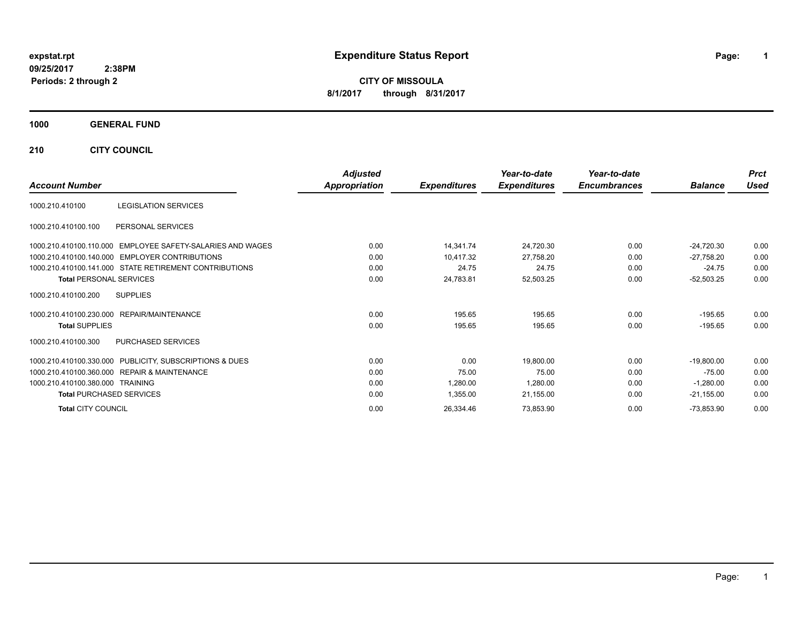**CITY OF MISSOULA 8/1/2017 through 8/31/2017**

### **1000 GENERAL FUND**

**210 CITY COUNCIL**

| <b>Account Number</b>                                      | <b>Adjusted</b><br>Appropriation | <b>Expenditures</b> | Year-to-date<br><b>Expenditures</b> | Year-to-date<br><b>Encumbrances</b> | <b>Balance</b> | <b>Prct</b><br><b>Used</b> |
|------------------------------------------------------------|----------------------------------|---------------------|-------------------------------------|-------------------------------------|----------------|----------------------------|
| <b>LEGISLATION SERVICES</b><br>1000.210.410100             |                                  |                     |                                     |                                     |                |                            |
| PERSONAL SERVICES<br>1000.210.410100.100                   |                                  |                     |                                     |                                     |                |                            |
| 1000.210.410100.110.000 EMPLOYEE SAFETY-SALARIES AND WAGES | 0.00                             | 14,341.74           | 24,720.30                           | 0.00                                | $-24,720.30$   | 0.00                       |
| 1000.210.410100.140.000 EMPLOYER CONTRIBUTIONS             | 0.00                             | 10,417.32           | 27,758.20                           | 0.00                                | $-27,758.20$   | 0.00                       |
| 1000.210.410100.141.000 STATE RETIREMENT CONTRIBUTIONS     | 0.00                             | 24.75               | 24.75                               | 0.00                                | $-24.75$       | 0.00                       |
| <b>Total PERSONAL SERVICES</b>                             | 0.00                             | 24,783.81           | 52,503.25                           | 0.00                                | $-52,503.25$   | 0.00                       |
| 1000.210.410100.200<br><b>SUPPLIES</b>                     |                                  |                     |                                     |                                     |                |                            |
| 1000.210.410100.230.000<br>REPAIR/MAINTENANCE              | 0.00                             | 195.65              | 195.65                              | 0.00                                | $-195.65$      | 0.00                       |
| <b>Total SUPPLIES</b>                                      | 0.00                             | 195.65              | 195.65                              | 0.00                                | $-195.65$      | 0.00                       |
| PURCHASED SERVICES<br>1000.210.410100.300                  |                                  |                     |                                     |                                     |                |                            |
| 1000.210.410100.330.000 PUBLICITY, SUBSCRIPTIONS & DUES    | 0.00                             | 0.00                | 19,800.00                           | 0.00                                | $-19,800.00$   | 0.00                       |
| 1000.210.410100.360.000 REPAIR & MAINTENANCE               | 0.00                             | 75.00               | 75.00                               | 0.00                                | $-75.00$       | 0.00                       |
| 1000.210.410100.380.000 TRAINING                           | 0.00                             | 1,280.00            | 1,280.00                            | 0.00                                | $-1,280.00$    | 0.00                       |
| <b>Total PURCHASED SERVICES</b>                            | 0.00                             | 1,355.00            | 21,155.00                           | 0.00                                | $-21,155.00$   | 0.00                       |
| <b>Total CITY COUNCIL</b>                                  | 0.00                             | 26,334.46           | 73,853.90                           | 0.00                                | $-73,853.90$   | 0.00                       |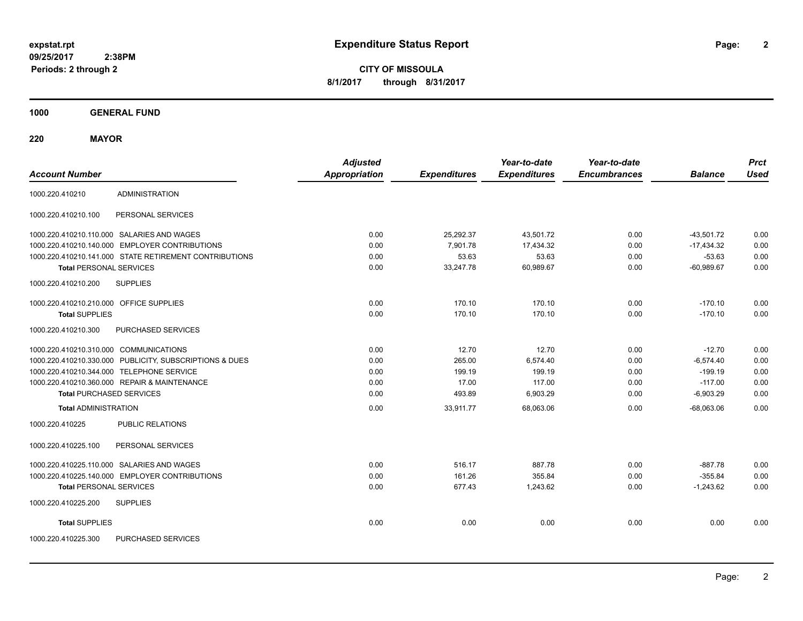**2**

**CITY OF MISSOULA 8/1/2017 through 8/31/2017**

**1000 GENERAL FUND**

**220 MAYOR**

| <b>Account Number</b>                                   | <b>Adjusted</b><br><b>Appropriation</b> | <b>Expenditures</b> | Year-to-date<br><b>Expenditures</b> | Year-to-date<br><b>Encumbrances</b> | <b>Balance</b> | <b>Prct</b><br><b>Used</b> |
|---------------------------------------------------------|-----------------------------------------|---------------------|-------------------------------------|-------------------------------------|----------------|----------------------------|
| <b>ADMINISTRATION</b><br>1000.220.410210                |                                         |                     |                                     |                                     |                |                            |
| 1000.220.410210.100<br>PERSONAL SERVICES                |                                         |                     |                                     |                                     |                |                            |
| 1000.220.410210.110.000 SALARIES AND WAGES              | 0.00                                    | 25,292.37           | 43.501.72                           | 0.00                                | $-43.501.72$   | 0.00                       |
| 1000.220.410210.140.000 EMPLOYER CONTRIBUTIONS          | 0.00                                    | 7,901.78            | 17,434.32                           | 0.00                                | $-17,434.32$   | 0.00                       |
| 1000.220.410210.141.000 STATE RETIREMENT CONTRIBUTIONS  | 0.00                                    | 53.63               | 53.63                               | 0.00                                | $-53.63$       | 0.00                       |
| <b>Total PERSONAL SERVICES</b>                          | 0.00                                    | 33,247.78           | 60,989.67                           | 0.00                                | $-60,989.67$   | 0.00                       |
| 1000.220.410210.200<br><b>SUPPLIES</b>                  |                                         |                     |                                     |                                     |                |                            |
| 1000.220.410210.210.000 OFFICE SUPPLIES                 | 0.00                                    | 170.10              | 170.10                              | 0.00                                | $-170.10$      | 0.00                       |
| <b>Total SUPPLIES</b>                                   | 0.00                                    | 170.10              | 170.10                              | 0.00                                | $-170.10$      | 0.00                       |
| PURCHASED SERVICES<br>1000.220.410210.300               |                                         |                     |                                     |                                     |                |                            |
| 1000.220.410210.310.000 COMMUNICATIONS                  | 0.00                                    | 12.70               | 12.70                               | 0.00                                | $-12.70$       | 0.00                       |
| 1000.220.410210.330.000 PUBLICITY, SUBSCRIPTIONS & DUES | 0.00                                    | 265.00              | 6,574.40                            | 0.00                                | $-6,574.40$    | 0.00                       |
| 1000.220.410210.344.000 TELEPHONE SERVICE               | 0.00                                    | 199.19              | 199.19                              | 0.00                                | $-199.19$      | 0.00                       |
| 1000.220.410210.360.000 REPAIR & MAINTENANCE            | 0.00                                    | 17.00               | 117.00                              | 0.00                                | $-117.00$      | 0.00                       |
| <b>Total PURCHASED SERVICES</b>                         | 0.00                                    | 493.89              | 6,903.29                            | 0.00                                | $-6,903.29$    | 0.00                       |
| <b>Total ADMINISTRATION</b>                             | 0.00                                    | 33,911.77           | 68,063.06                           | 0.00                                | $-68,063.06$   | 0.00                       |
| <b>PUBLIC RELATIONS</b><br>1000.220.410225              |                                         |                     |                                     |                                     |                |                            |
| PERSONAL SERVICES<br>1000.220.410225.100                |                                         |                     |                                     |                                     |                |                            |
| 1000.220.410225.110.000 SALARIES AND WAGES              | 0.00                                    | 516.17              | 887.78                              | 0.00                                | $-887.78$      | 0.00                       |
| 1000.220.410225.140.000 EMPLOYER CONTRIBUTIONS          | 0.00                                    | 161.26              | 355.84                              | 0.00                                | $-355.84$      | 0.00                       |
| <b>Total PERSONAL SERVICES</b>                          | 0.00                                    | 677.43              | 1,243.62                            | 0.00                                | $-1,243.62$    | 0.00                       |
| 1000.220.410225.200<br><b>SUPPLIES</b>                  |                                         |                     |                                     |                                     |                |                            |
| <b>Total SUPPLIES</b>                                   | 0.00                                    | 0.00                | 0.00                                | 0.00                                | 0.00           | 0.00                       |
| 1000.220.410225.300<br>PURCHASED SERVICES               |                                         |                     |                                     |                                     |                |                            |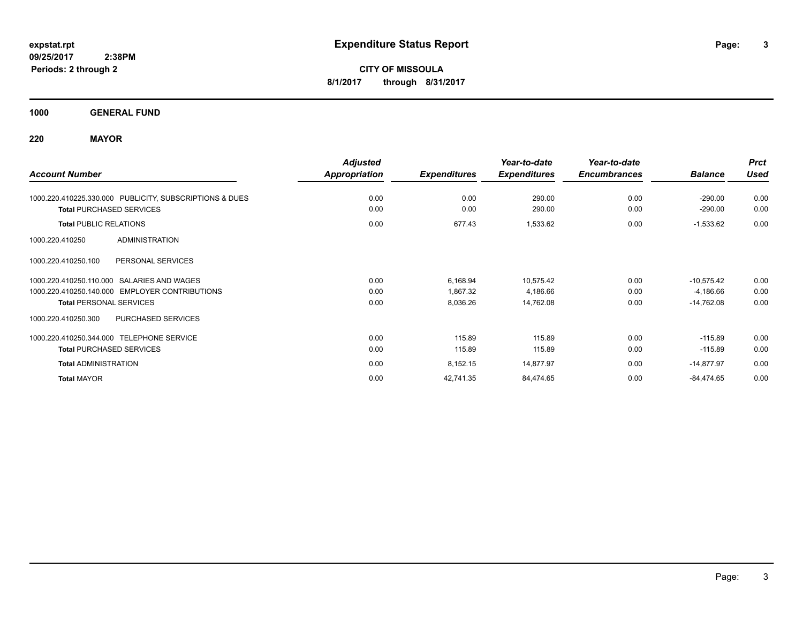**CITY OF MISSOULA 8/1/2017 through 8/31/2017**

**1000 GENERAL FUND**

# **220 MAYOR**

|                                                          | <b>Adjusted</b> |                     | Year-to-date        | Year-to-date        |                | <b>Prct</b> |
|----------------------------------------------------------|-----------------|---------------------|---------------------|---------------------|----------------|-------------|
| <b>Account Number</b>                                    | Appropriation   | <b>Expenditures</b> | <b>Expenditures</b> | <b>Encumbrances</b> | <b>Balance</b> | <b>Used</b> |
| 1000.220.410225.330.000 PUBLICITY, SUBSCRIPTIONS & DUES  | 0.00            | 0.00                | 290.00              | 0.00                | $-290.00$      | 0.00        |
| <b>Total PURCHASED SERVICES</b>                          | 0.00            | 0.00                | 290.00              | 0.00                | $-290.00$      | 0.00        |
| <b>Total PUBLIC RELATIONS</b>                            | 0.00            | 677.43              | 1,533.62            | 0.00                | $-1,533.62$    | 0.00        |
| <b>ADMINISTRATION</b><br>1000.220.410250                 |                 |                     |                     |                     |                |             |
| 1000.220.410250.100<br>PERSONAL SERVICES                 |                 |                     |                     |                     |                |             |
| SALARIES AND WAGES<br>1000.220.410250.110.000            | 0.00            | 6,168.94            | 10,575.42           | 0.00                | $-10,575.42$   | 0.00        |
| <b>EMPLOYER CONTRIBUTIONS</b><br>1000.220.410250.140.000 | 0.00            | 1,867.32            | 4,186.66            | 0.00                | $-4,186.66$    | 0.00        |
| <b>Total PERSONAL SERVICES</b>                           | 0.00            | 8,036.26            | 14,762.08           | 0.00                | $-14,762.08$   | 0.00        |
| PURCHASED SERVICES<br>1000.220.410250.300                |                 |                     |                     |                     |                |             |
| 1000.220.410250.344.000 TELEPHONE SERVICE                | 0.00            | 115.89              | 115.89              | 0.00                | $-115.89$      | 0.00        |
| <b>Total PURCHASED SERVICES</b>                          | 0.00            | 115.89              | 115.89              | 0.00                | $-115.89$      | 0.00        |
| <b>Total ADMINISTRATION</b>                              | 0.00            | 8,152.15            | 14,877.97           | 0.00                | $-14,877.97$   | 0.00        |
| <b>Total MAYOR</b>                                       | 0.00            | 42,741.35           | 84,474.65           | 0.00                | $-84,474.65$   | 0.00        |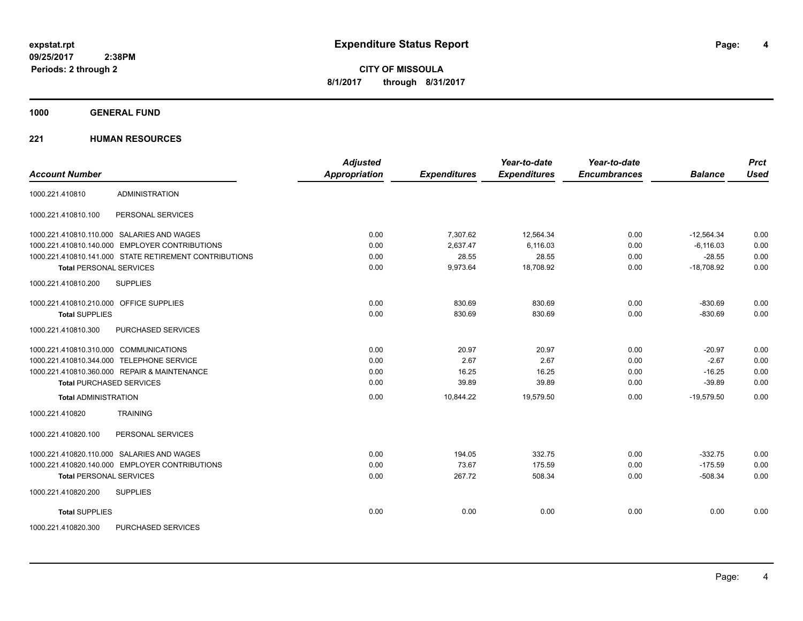**CITY OF MISSOULA 8/1/2017 through 8/31/2017**

**1000 GENERAL FUND**

| <b>Account Number</b>                   |                                                        | <b>Adjusted</b><br>Appropriation | <b>Expenditures</b> | Year-to-date<br><b>Expenditures</b> | Year-to-date<br><b>Encumbrances</b> | <b>Balance</b> | <b>Prct</b><br><b>Used</b> |
|-----------------------------------------|--------------------------------------------------------|----------------------------------|---------------------|-------------------------------------|-------------------------------------|----------------|----------------------------|
| 1000.221.410810                         | <b>ADMINISTRATION</b>                                  |                                  |                     |                                     |                                     |                |                            |
|                                         |                                                        |                                  |                     |                                     |                                     |                |                            |
| 1000.221.410810.100                     | PERSONAL SERVICES                                      |                                  |                     |                                     |                                     |                |                            |
|                                         | 1000.221.410810.110.000 SALARIES AND WAGES             | 0.00                             | 7,307.62            | 12.564.34                           | 0.00                                | $-12.564.34$   | 0.00                       |
|                                         | 1000.221.410810.140.000 EMPLOYER CONTRIBUTIONS         | 0.00                             | 2,637.47            | 6,116.03                            | 0.00                                | $-6,116.03$    | 0.00                       |
|                                         | 1000.221.410810.141.000 STATE RETIREMENT CONTRIBUTIONS | 0.00                             | 28.55               | 28.55                               | 0.00                                | $-28.55$       | 0.00                       |
| <b>Total PERSONAL SERVICES</b>          |                                                        | 0.00                             | 9,973.64            | 18,708.92                           | 0.00                                | $-18,708.92$   | 0.00                       |
| 1000.221.410810.200                     | <b>SUPPLIES</b>                                        |                                  |                     |                                     |                                     |                |                            |
| 1000.221.410810.210.000 OFFICE SUPPLIES |                                                        | 0.00                             | 830.69              | 830.69                              | 0.00                                | $-830.69$      | 0.00                       |
| <b>Total SUPPLIES</b>                   |                                                        | 0.00                             | 830.69              | 830.69                              | 0.00                                | $-830.69$      | 0.00                       |
| 1000.221.410810.300                     | PURCHASED SERVICES                                     |                                  |                     |                                     |                                     |                |                            |
| 1000.221.410810.310.000 COMMUNICATIONS  |                                                        | 0.00                             | 20.97               | 20.97                               | 0.00                                | $-20.97$       | 0.00                       |
|                                         | 1000.221.410810.344.000 TELEPHONE SERVICE              | 0.00                             | 2.67                | 2.67                                | 0.00                                | $-2.67$        | 0.00                       |
|                                         | 1000.221.410810.360.000 REPAIR & MAINTENANCE           | 0.00                             | 16.25               | 16.25                               | 0.00                                | $-16.25$       | 0.00                       |
| <b>Total PURCHASED SERVICES</b>         |                                                        | 0.00                             | 39.89               | 39.89                               | 0.00                                | $-39.89$       | 0.00                       |
| <b>Total ADMINISTRATION</b>             |                                                        | 0.00                             | 10,844.22           | 19,579.50                           | 0.00                                | $-19,579.50$   | 0.00                       |
| 1000.221.410820                         | <b>TRAINING</b>                                        |                                  |                     |                                     |                                     |                |                            |
| 1000.221.410820.100                     | PERSONAL SERVICES                                      |                                  |                     |                                     |                                     |                |                            |
|                                         | 1000.221.410820.110.000 SALARIES AND WAGES             | 0.00                             | 194.05              | 332.75                              | 0.00                                | $-332.75$      | 0.00                       |
|                                         | 1000.221.410820.140.000 EMPLOYER CONTRIBUTIONS         | 0.00                             | 73.67               | 175.59                              | 0.00                                | $-175.59$      | 0.00                       |
| <b>Total PERSONAL SERVICES</b>          |                                                        | 0.00                             | 267.72              | 508.34                              | 0.00                                | $-508.34$      | 0.00                       |
| 1000.221.410820.200                     | <b>SUPPLIES</b>                                        |                                  |                     |                                     |                                     |                |                            |
| <b>Total SUPPLIES</b>                   |                                                        | 0.00                             | 0.00                | 0.00                                | 0.00                                | 0.00           | 0.00                       |
| 1000.221.410820.300                     | PURCHASED SERVICES                                     |                                  |                     |                                     |                                     |                |                            |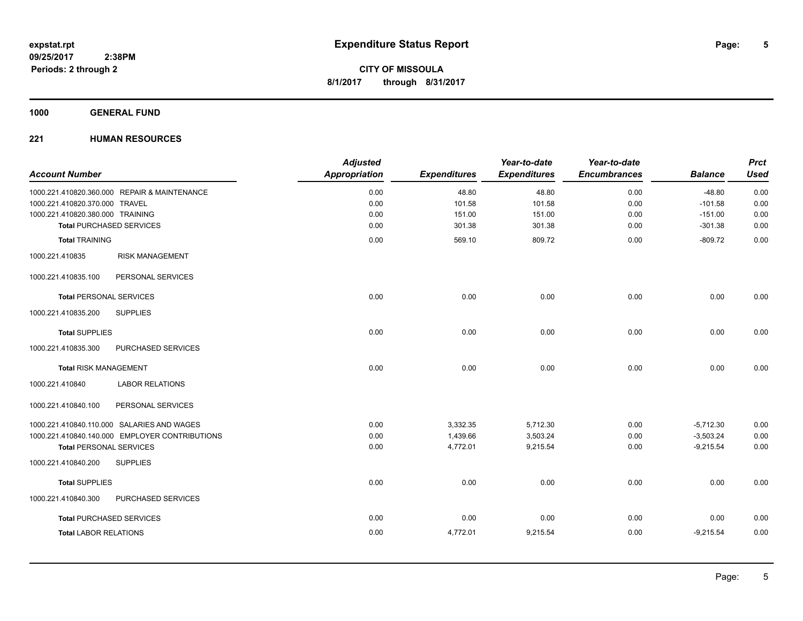**5**

**CITY OF MISSOULA 8/1/2017 through 8/31/2017**

**1000 GENERAL FUND**

| <b>Account Number</b>                          | <b>Adjusted</b><br><b>Appropriation</b> | <b>Expenditures</b> | Year-to-date<br><b>Expenditures</b> | Year-to-date<br><b>Encumbrances</b> | <b>Balance</b> | <b>Prct</b><br><b>Used</b> |
|------------------------------------------------|-----------------------------------------|---------------------|-------------------------------------|-------------------------------------|----------------|----------------------------|
| 1000.221.410820.360.000 REPAIR & MAINTENANCE   | 0.00                                    | 48.80               | 48.80                               | 0.00                                | $-48.80$       | 0.00                       |
| 1000.221.410820.370.000 TRAVEL                 | 0.00                                    | 101.58              | 101.58                              | 0.00                                | $-101.58$      | 0.00                       |
| 1000.221.410820.380.000 TRAINING               | 0.00                                    | 151.00              | 151.00                              | 0.00                                | $-151.00$      | 0.00                       |
| <b>Total PURCHASED SERVICES</b>                | 0.00                                    | 301.38              | 301.38                              | 0.00                                | $-301.38$      | 0.00                       |
| <b>Total TRAINING</b>                          | 0.00                                    | 569.10              | 809.72                              | 0.00                                | $-809.72$      | 0.00                       |
| 1000.221.410835<br><b>RISK MANAGEMENT</b>      |                                         |                     |                                     |                                     |                |                            |
| 1000.221.410835.100<br>PERSONAL SERVICES       |                                         |                     |                                     |                                     |                |                            |
| <b>Total PERSONAL SERVICES</b>                 | 0.00                                    | 0.00                | 0.00                                | 0.00                                | 0.00           | 0.00                       |
| <b>SUPPLIES</b><br>1000.221.410835.200         |                                         |                     |                                     |                                     |                |                            |
| <b>Total SUPPLIES</b>                          | 0.00                                    | 0.00                | 0.00                                | 0.00                                | 0.00           | 0.00                       |
| PURCHASED SERVICES<br>1000.221.410835.300      |                                         |                     |                                     |                                     |                |                            |
| <b>Total RISK MANAGEMENT</b>                   | 0.00                                    | 0.00                | 0.00                                | 0.00                                | 0.00           | 0.00                       |
| 1000.221.410840<br><b>LABOR RELATIONS</b>      |                                         |                     |                                     |                                     |                |                            |
| 1000.221.410840.100<br>PERSONAL SERVICES       |                                         |                     |                                     |                                     |                |                            |
| 1000.221.410840.110.000 SALARIES AND WAGES     | 0.00                                    | 3,332.35            | 5,712.30                            | 0.00                                | $-5,712.30$    | 0.00                       |
| 1000.221.410840.140.000 EMPLOYER CONTRIBUTIONS | 0.00                                    | 1,439.66            | 3,503.24                            | 0.00                                | $-3,503.24$    | 0.00                       |
| <b>Total PERSONAL SERVICES</b>                 | 0.00                                    | 4,772.01            | 9,215.54                            | 0.00                                | $-9,215.54$    | 0.00                       |
| 1000.221.410840.200<br><b>SUPPLIES</b>         |                                         |                     |                                     |                                     |                |                            |
| <b>Total SUPPLIES</b>                          | 0.00                                    | 0.00                | 0.00                                | 0.00                                | 0.00           | 0.00                       |
| PURCHASED SERVICES<br>1000.221.410840.300      |                                         |                     |                                     |                                     |                |                            |
| <b>Total PURCHASED SERVICES</b>                | 0.00                                    | 0.00                | 0.00                                | 0.00                                | 0.00           | 0.00                       |
| <b>Total LABOR RELATIONS</b>                   | 0.00                                    | 4,772.01            | 9,215.54                            | 0.00                                | $-9,215.54$    | 0.00                       |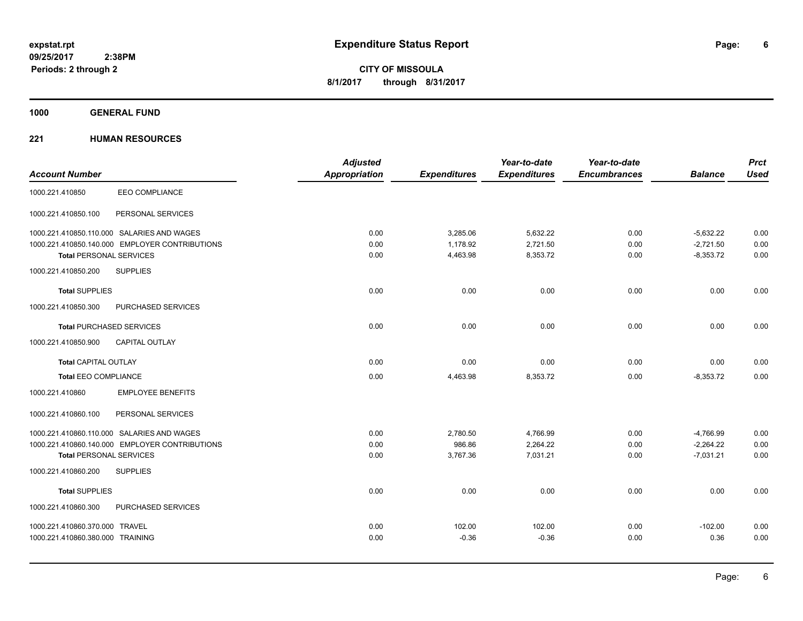**Periods: 2 through 2**

**6**

**CITY OF MISSOULA 8/1/2017 through 8/31/2017**

**1000 GENERAL FUND**

| <b>Account Number</b>                          | <b>Adjusted</b><br>Appropriation | <b>Expenditures</b> | Year-to-date<br><b>Expenditures</b> | Year-to-date<br><b>Encumbrances</b> | <b>Balance</b> | <b>Prct</b><br><b>Used</b> |
|------------------------------------------------|----------------------------------|---------------------|-------------------------------------|-------------------------------------|----------------|----------------------------|
| <b>EEO COMPLIANCE</b><br>1000.221.410850       |                                  |                     |                                     |                                     |                |                            |
|                                                |                                  |                     |                                     |                                     |                |                            |
| PERSONAL SERVICES<br>1000.221.410850.100       |                                  |                     |                                     |                                     |                |                            |
| 1000.221.410850.110.000 SALARIES AND WAGES     | 0.00                             | 3,285.06            | 5,632.22                            | 0.00                                | $-5,632.22$    | 0.00                       |
| 1000.221.410850.140.000 EMPLOYER CONTRIBUTIONS | 0.00                             | 1,178.92            | 2,721.50                            | 0.00                                | $-2,721.50$    | 0.00                       |
| <b>Total PERSONAL SERVICES</b>                 | 0.00                             | 4,463.98            | 8,353.72                            | 0.00                                | $-8,353.72$    | 0.00                       |
| <b>SUPPLIES</b><br>1000.221.410850.200         |                                  |                     |                                     |                                     |                |                            |
| <b>Total SUPPLIES</b>                          | 0.00                             | 0.00                | 0.00                                | 0.00                                | 0.00           | 0.00                       |
| 1000.221.410850.300<br>PURCHASED SERVICES      |                                  |                     |                                     |                                     |                |                            |
| <b>Total PURCHASED SERVICES</b>                | 0.00                             | 0.00                | 0.00                                | 0.00                                | 0.00           | 0.00                       |
| 1000.221.410850.900<br>CAPITAL OUTLAY          |                                  |                     |                                     |                                     |                |                            |
| <b>Total CAPITAL OUTLAY</b>                    | 0.00                             | 0.00                | 0.00                                | 0.00                                | 0.00           | 0.00                       |
| <b>Total EEO COMPLIANCE</b>                    | 0.00                             | 4,463.98            | 8,353.72                            | 0.00                                | $-8,353.72$    | 0.00                       |
| 1000.221.410860<br><b>EMPLOYEE BENEFITS</b>    |                                  |                     |                                     |                                     |                |                            |
| 1000.221.410860.100<br>PERSONAL SERVICES       |                                  |                     |                                     |                                     |                |                            |
| 1000.221.410860.110.000 SALARIES AND WAGES     | 0.00                             | 2,780.50            | 4,766.99                            | 0.00                                | $-4,766.99$    | 0.00                       |
| 1000.221.410860.140.000 EMPLOYER CONTRIBUTIONS | 0.00                             | 986.86              | 2,264.22                            | 0.00                                | $-2,264.22$    | 0.00                       |
| <b>Total PERSONAL SERVICES</b>                 | 0.00                             | 3,767.36            | 7,031.21                            | 0.00                                | $-7,031.21$    | 0.00                       |
| 1000.221.410860.200<br><b>SUPPLIES</b>         |                                  |                     |                                     |                                     |                |                            |
| <b>Total SUPPLIES</b>                          | 0.00                             | 0.00                | 0.00                                | 0.00                                | 0.00           | 0.00                       |
| PURCHASED SERVICES<br>1000.221.410860.300      |                                  |                     |                                     |                                     |                |                            |
| 1000.221.410860.370.000 TRAVEL                 | 0.00                             | 102.00              | 102.00                              | 0.00                                | $-102.00$      | 0.00                       |
| 1000.221.410860.380.000 TRAINING               | 0.00                             | $-0.36$             | $-0.36$                             | 0.00                                | 0.36           | 0.00                       |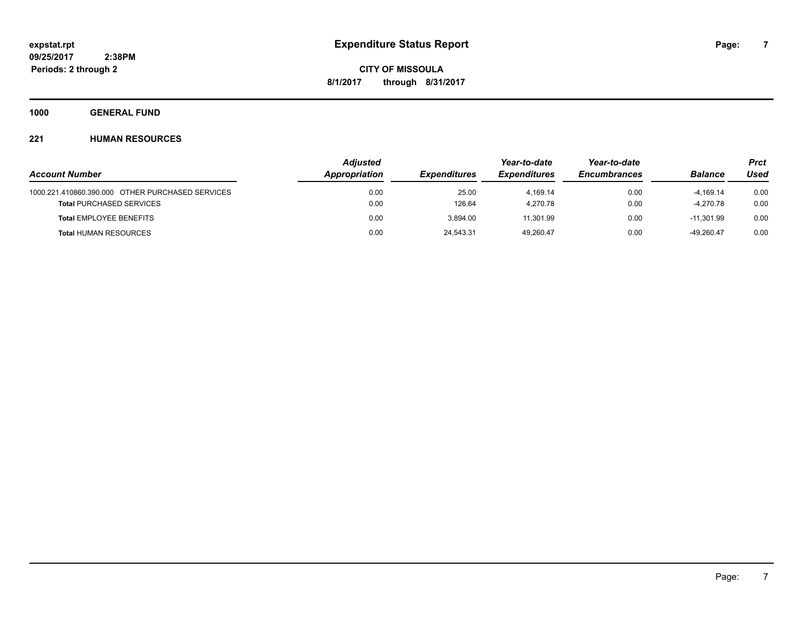**1000 GENERAL FUND**

|                                                  | <b>Adjusted</b> |                     | Year-to-date        | Year-to-date        |                | <b>Prct</b> |  |
|--------------------------------------------------|-----------------|---------------------|---------------------|---------------------|----------------|-------------|--|
| <b>Account Number</b>                            | Appropriation   | <b>Expenditures</b> | <b>Expenditures</b> | <b>Encumbrances</b> | <b>Balance</b> | Used        |  |
| 1000.221.410860.390.000 OTHER PURCHASED SERVICES | 0.00            | 25.00               | 4.169.14            | 0.00                | $-4.169.14$    | 0.00        |  |
| <b>Total PURCHASED SERVICES</b>                  | 0.00            | 126.64              | 4.270.78            | 0.00                | $-4.270.78$    | 0.00        |  |
| <b>Total EMPLOYEE BENEFITS</b>                   | 0.00            | 3.894.00            | 11.301.99           | 0.00                | $-11.301.99$   | 0.00        |  |
| <b>Total HUMAN RESOURCES</b>                     | 0.00            | 24,543.31           | 49.260.47           | 0.00                | -49.260.47     | 0.00        |  |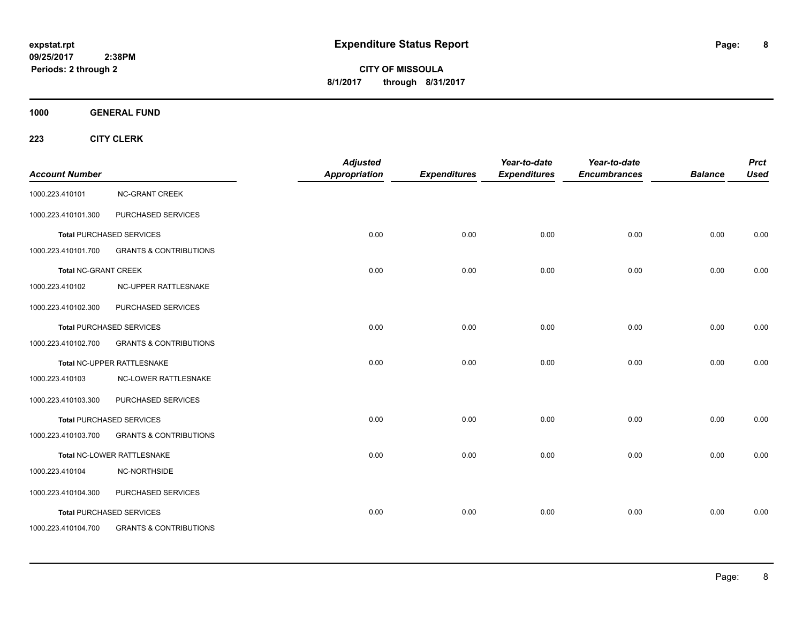**CITY OF MISSOULA 8/1/2017 through 8/31/2017**

**1000 GENERAL FUND**

| <b>Account Number</b>       |                                   | <b>Adjusted</b><br>Appropriation | <b>Expenditures</b> | Year-to-date<br><b>Expenditures</b> | Year-to-date<br><b>Encumbrances</b> | <b>Balance</b> | <b>Prct</b><br><b>Used</b> |
|-----------------------------|-----------------------------------|----------------------------------|---------------------|-------------------------------------|-------------------------------------|----------------|----------------------------|
| 1000.223.410101             | <b>NC-GRANT CREEK</b>             |                                  |                     |                                     |                                     |                |                            |
| 1000.223.410101.300         | PURCHASED SERVICES                |                                  |                     |                                     |                                     |                |                            |
|                             | <b>Total PURCHASED SERVICES</b>   | 0.00                             | 0.00                | 0.00                                | 0.00                                | 0.00           | 0.00                       |
| 1000.223.410101.700         | <b>GRANTS &amp; CONTRIBUTIONS</b> |                                  |                     |                                     |                                     |                |                            |
| <b>Total NC-GRANT CREEK</b> |                                   | 0.00                             | 0.00                | 0.00                                | 0.00                                | 0.00           | 0.00                       |
| 1000.223.410102             | NC-UPPER RATTLESNAKE              |                                  |                     |                                     |                                     |                |                            |
| 1000.223.410102.300         | PURCHASED SERVICES                |                                  |                     |                                     |                                     |                |                            |
|                             | <b>Total PURCHASED SERVICES</b>   | 0.00                             | 0.00                | 0.00                                | 0.00                                | 0.00           | 0.00                       |
| 1000.223.410102.700         | <b>GRANTS &amp; CONTRIBUTIONS</b> |                                  |                     |                                     |                                     |                |                            |
|                             | Total NC-UPPER RATTLESNAKE        | 0.00                             | 0.00                | 0.00                                | 0.00                                | 0.00           | 0.00                       |
| 1000.223.410103             | <b>NC-LOWER RATTLESNAKE</b>       |                                  |                     |                                     |                                     |                |                            |
| 1000.223.410103.300         | PURCHASED SERVICES                |                                  |                     |                                     |                                     |                |                            |
|                             | <b>Total PURCHASED SERVICES</b>   | 0.00                             | 0.00                | 0.00                                | 0.00                                | 0.00           | 0.00                       |
| 1000.223.410103.700         | <b>GRANTS &amp; CONTRIBUTIONS</b> |                                  |                     |                                     |                                     |                |                            |
|                             | Total NC-LOWER RATTLESNAKE        | 0.00                             | 0.00                | 0.00                                | 0.00                                | 0.00           | 0.00                       |
| 1000.223.410104             | NC-NORTHSIDE                      |                                  |                     |                                     |                                     |                |                            |
| 1000.223.410104.300         | PURCHASED SERVICES                |                                  |                     |                                     |                                     |                |                            |
|                             | <b>Total PURCHASED SERVICES</b>   | 0.00                             | 0.00                | 0.00                                | 0.00                                | 0.00           | 0.00                       |
| 1000.223.410104.700         | <b>GRANTS &amp; CONTRIBUTIONS</b> |                                  |                     |                                     |                                     |                |                            |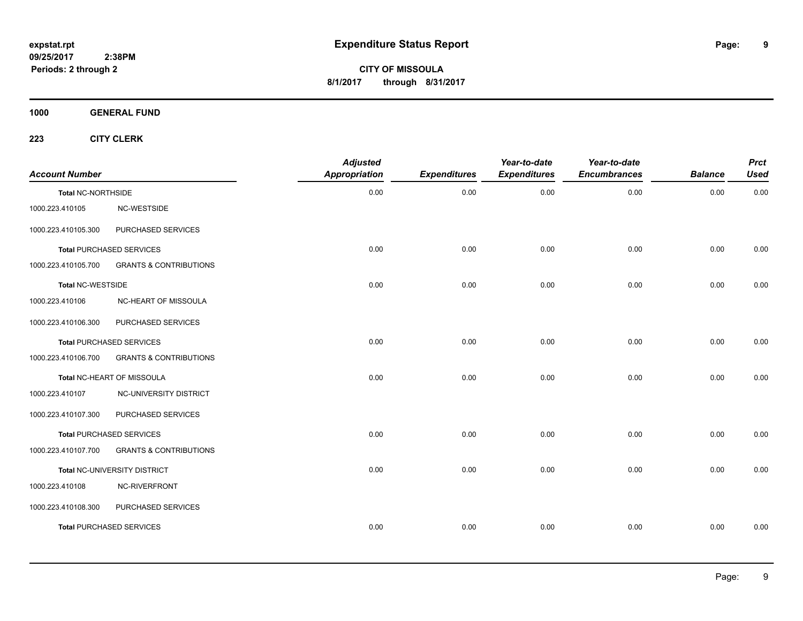**CITY OF MISSOULA 8/1/2017 through 8/31/2017**

**1000 GENERAL FUND**

| <b>Account Number</b>     |                                   | <b>Adjusted</b><br><b>Appropriation</b> | <b>Expenditures</b> | Year-to-date<br><b>Expenditures</b> | Year-to-date<br><b>Encumbrances</b> | <b>Balance</b> | <b>Prct</b><br><b>Used</b> |
|---------------------------|-----------------------------------|-----------------------------------------|---------------------|-------------------------------------|-------------------------------------|----------------|----------------------------|
| <b>Total NC-NORTHSIDE</b> |                                   | 0.00                                    | 0.00                | 0.00                                | 0.00                                | 0.00           | 0.00                       |
| 1000.223.410105           | NC-WESTSIDE                       |                                         |                     |                                     |                                     |                |                            |
| 1000.223.410105.300       | PURCHASED SERVICES                |                                         |                     |                                     |                                     |                |                            |
|                           | Total PURCHASED SERVICES          | 0.00                                    | 0.00                | 0.00                                | 0.00                                | 0.00           | 0.00                       |
| 1000.223.410105.700       | <b>GRANTS &amp; CONTRIBUTIONS</b> |                                         |                     |                                     |                                     |                |                            |
| Total NC-WESTSIDE         |                                   | 0.00                                    | 0.00                | 0.00                                | 0.00                                | 0.00           | 0.00                       |
| 1000.223.410106           | NC-HEART OF MISSOULA              |                                         |                     |                                     |                                     |                |                            |
| 1000.223.410106.300       | PURCHASED SERVICES                |                                         |                     |                                     |                                     |                |                            |
|                           | <b>Total PURCHASED SERVICES</b>   | 0.00                                    | 0.00                | 0.00                                | 0.00                                | 0.00           | 0.00                       |
| 1000.223.410106.700       | <b>GRANTS &amp; CONTRIBUTIONS</b> |                                         |                     |                                     |                                     |                |                            |
|                           | Total NC-HEART OF MISSOULA        | 0.00                                    | 0.00                | 0.00                                | 0.00                                | 0.00           | 0.00                       |
| 1000.223.410107           | NC-UNIVERSITY DISTRICT            |                                         |                     |                                     |                                     |                |                            |
| 1000.223.410107.300       | PURCHASED SERVICES                |                                         |                     |                                     |                                     |                |                            |
|                           | <b>Total PURCHASED SERVICES</b>   | 0.00                                    | 0.00                | 0.00                                | 0.00                                | 0.00           | 0.00                       |
| 1000.223.410107.700       | <b>GRANTS &amp; CONTRIBUTIONS</b> |                                         |                     |                                     |                                     |                |                            |
|                           | Total NC-UNIVERSITY DISTRICT      | 0.00                                    | 0.00                | 0.00                                | 0.00                                | 0.00           | 0.00                       |
| 1000.223.410108           | NC-RIVERFRONT                     |                                         |                     |                                     |                                     |                |                            |
| 1000.223.410108.300       | PURCHASED SERVICES                |                                         |                     |                                     |                                     |                |                            |
|                           | <b>Total PURCHASED SERVICES</b>   | 0.00                                    | 0.00                | 0.00                                | 0.00                                | 0.00           | 0.00                       |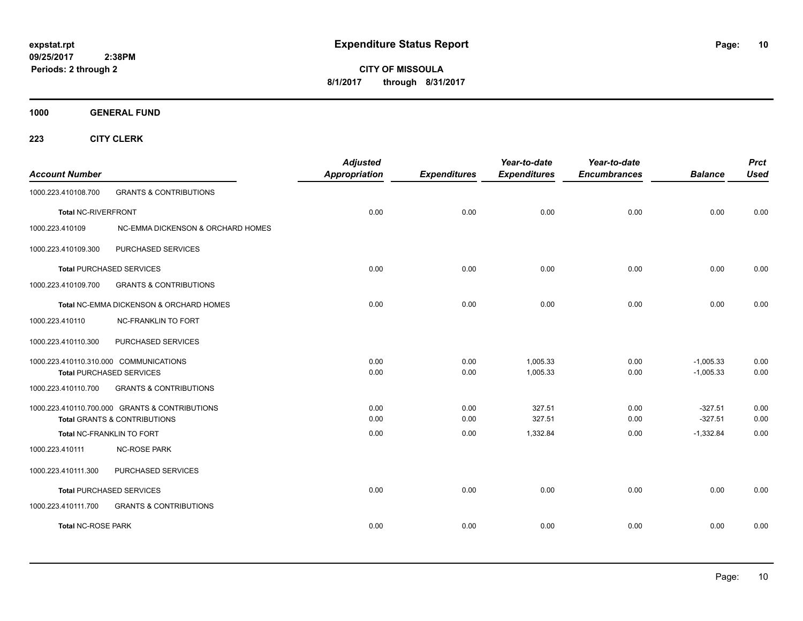**CITY OF MISSOULA 8/1/2017 through 8/31/2017**

**1000 GENERAL FUND**

| <b>Account Number</b>      |                                                | <b>Adjusted</b><br><b>Appropriation</b> | <b>Expenditures</b> | Year-to-date<br><b>Expenditures</b> | Year-to-date<br><b>Encumbrances</b> | <b>Balance</b> | <b>Prct</b><br><b>Used</b> |
|----------------------------|------------------------------------------------|-----------------------------------------|---------------------|-------------------------------------|-------------------------------------|----------------|----------------------------|
| 1000.223.410108.700        | <b>GRANTS &amp; CONTRIBUTIONS</b>              |                                         |                     |                                     |                                     |                |                            |
| <b>Total NC-RIVERFRONT</b> |                                                | 0.00                                    | 0.00                | 0.00                                | 0.00                                | 0.00           | 0.00                       |
| 1000.223.410109            | NC-EMMA DICKENSON & ORCHARD HOMES              |                                         |                     |                                     |                                     |                |                            |
| 1000.223.410109.300        | PURCHASED SERVICES                             |                                         |                     |                                     |                                     |                |                            |
|                            | <b>Total PURCHASED SERVICES</b>                | 0.00                                    | 0.00                | 0.00                                | 0.00                                | 0.00           | 0.00                       |
| 1000.223.410109.700        | <b>GRANTS &amp; CONTRIBUTIONS</b>              |                                         |                     |                                     |                                     |                |                            |
|                            | Total NC-EMMA DICKENSON & ORCHARD HOMES        | 0.00                                    | 0.00                | 0.00                                | 0.00                                | 0.00           | 0.00                       |
| 1000.223.410110            | <b>NC-FRANKLIN TO FORT</b>                     |                                         |                     |                                     |                                     |                |                            |
| 1000.223.410110.300        | PURCHASED SERVICES                             |                                         |                     |                                     |                                     |                |                            |
|                            | 1000.223.410110.310.000 COMMUNICATIONS         | 0.00                                    | 0.00                | 1,005.33                            | 0.00                                | $-1,005.33$    | 0.00                       |
|                            | <b>Total PURCHASED SERVICES</b>                | 0.00                                    | 0.00                | 1,005.33                            | 0.00                                | $-1,005.33$    | 0.00                       |
| 1000.223.410110.700        | <b>GRANTS &amp; CONTRIBUTIONS</b>              |                                         |                     |                                     |                                     |                |                            |
|                            | 1000.223.410110.700.000 GRANTS & CONTRIBUTIONS | 0.00                                    | 0.00                | 327.51                              | 0.00                                | $-327.51$      | 0.00                       |
|                            | <b>Total GRANTS &amp; CONTRIBUTIONS</b>        | 0.00                                    | 0.00                | 327.51                              | 0.00                                | $-327.51$      | 0.00                       |
|                            | Total NC-FRANKLIN TO FORT                      | 0.00                                    | 0.00                | 1,332.84                            | 0.00                                | $-1,332.84$    | 0.00                       |
| 1000.223.410111            | <b>NC-ROSE PARK</b>                            |                                         |                     |                                     |                                     |                |                            |
| 1000.223.410111.300        | PURCHASED SERVICES                             |                                         |                     |                                     |                                     |                |                            |
|                            | <b>Total PURCHASED SERVICES</b>                | 0.00                                    | 0.00                | 0.00                                | 0.00                                | 0.00           | 0.00                       |
| 1000.223.410111.700        | <b>GRANTS &amp; CONTRIBUTIONS</b>              |                                         |                     |                                     |                                     |                |                            |
| <b>Total NC-ROSE PARK</b>  |                                                | 0.00                                    | 0.00                | 0.00                                | 0.00                                | 0.00           | 0.00                       |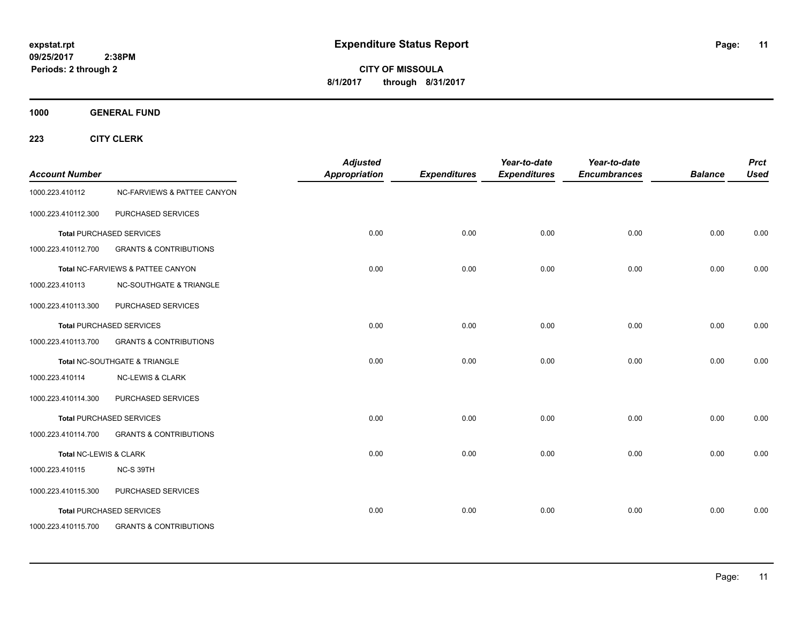**CITY OF MISSOULA 8/1/2017 through 8/31/2017**

**1000 GENERAL FUND**

| <b>Account Number</b>  |                                        | <b>Adjusted</b><br><b>Appropriation</b> | <b>Expenditures</b> | Year-to-date<br><b>Expenditures</b> | Year-to-date<br><b>Encumbrances</b> | <b>Balance</b> | <b>Prct</b><br><b>Used</b> |
|------------------------|----------------------------------------|-----------------------------------------|---------------------|-------------------------------------|-------------------------------------|----------------|----------------------------|
| 1000.223.410112        | <b>NC-FARVIEWS &amp; PATTEE CANYON</b> |                                         |                     |                                     |                                     |                |                            |
| 1000.223.410112.300    | PURCHASED SERVICES                     |                                         |                     |                                     |                                     |                |                            |
|                        | <b>Total PURCHASED SERVICES</b>        | 0.00                                    | 0.00                | 0.00                                | 0.00                                | 0.00           | 0.00                       |
| 1000.223.410112.700    | <b>GRANTS &amp; CONTRIBUTIONS</b>      |                                         |                     |                                     |                                     |                |                            |
|                        | Total NC-FARVIEWS & PATTEE CANYON      | 0.00                                    | 0.00                | 0.00                                | 0.00                                | 0.00           | 0.00                       |
| 1000.223.410113        | <b>NC-SOUTHGATE &amp; TRIANGLE</b>     |                                         |                     |                                     |                                     |                |                            |
| 1000.223.410113.300    | PURCHASED SERVICES                     |                                         |                     |                                     |                                     |                |                            |
|                        | <b>Total PURCHASED SERVICES</b>        | 0.00                                    | 0.00                | 0.00                                | 0.00                                | 0.00           | 0.00                       |
| 1000.223.410113.700    | <b>GRANTS &amp; CONTRIBUTIONS</b>      |                                         |                     |                                     |                                     |                |                            |
|                        | Total NC-SOUTHGATE & TRIANGLE          | 0.00                                    | 0.00                | 0.00                                | 0.00                                | 0.00           | 0.00                       |
| 1000.223.410114        | <b>NC-LEWIS &amp; CLARK</b>            |                                         |                     |                                     |                                     |                |                            |
| 1000.223.410114.300    | PURCHASED SERVICES                     |                                         |                     |                                     |                                     |                |                            |
|                        | <b>Total PURCHASED SERVICES</b>        | 0.00                                    | 0.00                | 0.00                                | 0.00                                | 0.00           | 0.00                       |
| 1000.223.410114.700    | <b>GRANTS &amp; CONTRIBUTIONS</b>      |                                         |                     |                                     |                                     |                |                            |
| Total NC-LEWIS & CLARK |                                        | 0.00                                    | 0.00                | 0.00                                | 0.00                                | 0.00           | 0.00                       |
| 1000.223.410115        | NC-S 39TH                              |                                         |                     |                                     |                                     |                |                            |
| 1000.223.410115.300    | PURCHASED SERVICES                     |                                         |                     |                                     |                                     |                |                            |
|                        | <b>Total PURCHASED SERVICES</b>        | 0.00                                    | 0.00                | 0.00                                | 0.00                                | 0.00           | 0.00                       |
| 1000.223.410115.700    | <b>GRANTS &amp; CONTRIBUTIONS</b>      |                                         |                     |                                     |                                     |                |                            |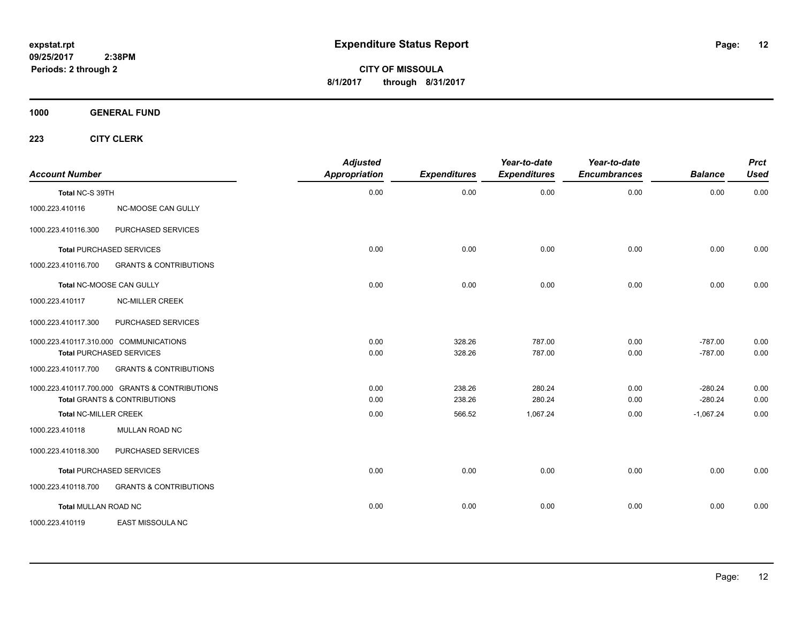**CITY OF MISSOULA 8/1/2017 through 8/31/2017**

**1000 GENERAL FUND**

| <b>Account Number</b>        |                                                | <b>Adjusted</b><br>Appropriation | <b>Expenditures</b> | Year-to-date<br><b>Expenditures</b> | Year-to-date<br><b>Encumbrances</b> | <b>Balance</b> | <b>Prct</b><br><b>Used</b> |
|------------------------------|------------------------------------------------|----------------------------------|---------------------|-------------------------------------|-------------------------------------|----------------|----------------------------|
| Total NC-S 39TH              |                                                | 0.00                             | 0.00                | 0.00                                | 0.00                                | 0.00           | 0.00                       |
| 1000.223.410116              | NC-MOOSE CAN GULLY                             |                                  |                     |                                     |                                     |                |                            |
| 1000.223.410116.300          | PURCHASED SERVICES                             |                                  |                     |                                     |                                     |                |                            |
|                              | <b>Total PURCHASED SERVICES</b>                | 0.00                             | 0.00                | 0.00                                | 0.00                                | 0.00           | 0.00                       |
| 1000.223.410116.700          | <b>GRANTS &amp; CONTRIBUTIONS</b>              |                                  |                     |                                     |                                     |                |                            |
|                              | Total NC-MOOSE CAN GULLY                       | 0.00                             | 0.00                | 0.00                                | 0.00                                | 0.00           | 0.00                       |
| 1000.223.410117              | <b>NC-MILLER CREEK</b>                         |                                  |                     |                                     |                                     |                |                            |
| 1000.223.410117.300          | PURCHASED SERVICES                             |                                  |                     |                                     |                                     |                |                            |
|                              | 1000.223.410117.310.000 COMMUNICATIONS         | 0.00                             | 328.26              | 787.00                              | 0.00                                | $-787.00$      | 0.00                       |
|                              | <b>Total PURCHASED SERVICES</b>                | 0.00                             | 328.26              | 787.00                              | 0.00                                | $-787.00$      | 0.00                       |
| 1000.223.410117.700          | <b>GRANTS &amp; CONTRIBUTIONS</b>              |                                  |                     |                                     |                                     |                |                            |
|                              | 1000.223.410117.700.000 GRANTS & CONTRIBUTIONS | 0.00                             | 238.26              | 280.24                              | 0.00                                | $-280.24$      | 0.00                       |
|                              | <b>Total GRANTS &amp; CONTRIBUTIONS</b>        | 0.00                             | 238.26              | 280.24                              | 0.00                                | $-280.24$      | 0.00                       |
| <b>Total NC-MILLER CREEK</b> |                                                | 0.00                             | 566.52              | 1,067.24                            | 0.00                                | $-1,067.24$    | 0.00                       |
| 1000.223.410118              | MULLAN ROAD NC                                 |                                  |                     |                                     |                                     |                |                            |
| 1000.223.410118.300          | PURCHASED SERVICES                             |                                  |                     |                                     |                                     |                |                            |
|                              | <b>Total PURCHASED SERVICES</b>                | 0.00                             | 0.00                | 0.00                                | 0.00                                | 0.00           | 0.00                       |
| 1000.223.410118.700          | <b>GRANTS &amp; CONTRIBUTIONS</b>              |                                  |                     |                                     |                                     |                |                            |
| <b>Total MULLAN ROAD NC</b>  |                                                | 0.00                             | 0.00                | 0.00                                | 0.00                                | 0.00           | 0.00                       |
| 1000.223.410119              | <b>EAST MISSOULA NC</b>                        |                                  |                     |                                     |                                     |                |                            |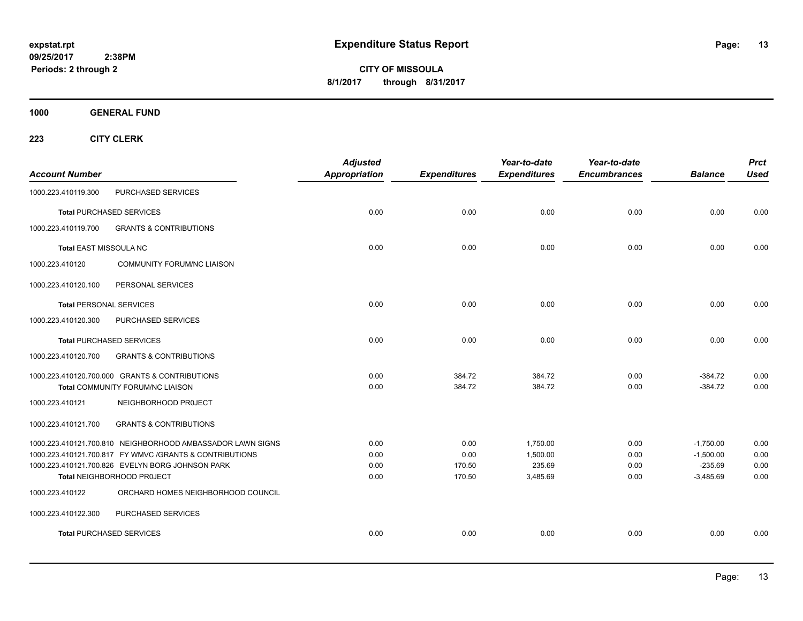**CITY OF MISSOULA 8/1/2017 through 8/31/2017**

**1000 GENERAL FUND**

| <b>Account Number</b>          |                                                                                                                                                                                                          | <b>Adjusted</b><br><b>Appropriation</b> | <b>Expenditures</b>              | Year-to-date<br><b>Expenditures</b>        | Year-to-date<br><b>Encumbrances</b> | <b>Balance</b>                                         | <b>Prct</b><br><b>Used</b>   |
|--------------------------------|----------------------------------------------------------------------------------------------------------------------------------------------------------------------------------------------------------|-----------------------------------------|----------------------------------|--------------------------------------------|-------------------------------------|--------------------------------------------------------|------------------------------|
| 1000.223.410119.300            | PURCHASED SERVICES                                                                                                                                                                                       |                                         |                                  |                                            |                                     |                                                        |                              |
|                                | <b>Total PURCHASED SERVICES</b>                                                                                                                                                                          | 0.00                                    | 0.00                             | 0.00                                       | 0.00                                | 0.00                                                   | 0.00                         |
| 1000.223.410119.700            | <b>GRANTS &amp; CONTRIBUTIONS</b>                                                                                                                                                                        |                                         |                                  |                                            |                                     |                                                        |                              |
| Total EAST MISSOULA NC         |                                                                                                                                                                                                          | 0.00                                    | 0.00                             | 0.00                                       | 0.00                                | 0.00                                                   | 0.00                         |
| 1000.223.410120                | <b>COMMUNITY FORUM/NC LIAISON</b>                                                                                                                                                                        |                                         |                                  |                                            |                                     |                                                        |                              |
| 1000.223.410120.100            | PERSONAL SERVICES                                                                                                                                                                                        |                                         |                                  |                                            |                                     |                                                        |                              |
| <b>Total PERSONAL SERVICES</b> |                                                                                                                                                                                                          | 0.00                                    | 0.00                             | 0.00                                       | 0.00                                | 0.00                                                   | 0.00                         |
| 1000.223.410120.300            | PURCHASED SERVICES                                                                                                                                                                                       |                                         |                                  |                                            |                                     |                                                        |                              |
|                                | <b>Total PURCHASED SERVICES</b>                                                                                                                                                                          | 0.00                                    | 0.00                             | 0.00                                       | 0.00                                | 0.00                                                   | 0.00                         |
| 1000.223.410120.700            | <b>GRANTS &amp; CONTRIBUTIONS</b>                                                                                                                                                                        |                                         |                                  |                                            |                                     |                                                        |                              |
|                                | 1000.223.410120.700.000 GRANTS & CONTRIBUTIONS<br>Total COMMUNITY FORUM/NC LIAISON                                                                                                                       | 0.00<br>0.00                            | 384.72<br>384.72                 | 384.72<br>384.72                           | 0.00<br>0.00                        | $-384.72$<br>$-384.72$                                 | 0.00<br>0.00                 |
| 1000.223.410121                | NEIGHBORHOOD PROJECT                                                                                                                                                                                     |                                         |                                  |                                            |                                     |                                                        |                              |
| 1000.223.410121.700            | <b>GRANTS &amp; CONTRIBUTIONS</b>                                                                                                                                                                        |                                         |                                  |                                            |                                     |                                                        |                              |
|                                | 1000.223.410121.700.810 NEIGHBORHOOD AMBASSADOR LAWN SIGNS<br>1000.223.410121.700.817 FY WMVC / GRANTS & CONTRIBUTIONS<br>1000.223.410121.700.826 EVELYN BORG JOHNSON PARK<br>Total NEIGHBORHOOD PROJECT | 0.00<br>0.00<br>0.00<br>0.00            | 0.00<br>0.00<br>170.50<br>170.50 | 1,750.00<br>1,500.00<br>235.69<br>3,485.69 | 0.00<br>0.00<br>0.00<br>0.00        | $-1,750.00$<br>$-1,500.00$<br>$-235.69$<br>$-3,485.69$ | 0.00<br>0.00<br>0.00<br>0.00 |
| 1000.223.410122                | ORCHARD HOMES NEIGHBORHOOD COUNCIL                                                                                                                                                                       |                                         |                                  |                                            |                                     |                                                        |                              |
| 1000.223.410122.300            | PURCHASED SERVICES                                                                                                                                                                                       |                                         |                                  |                                            |                                     |                                                        |                              |
|                                | <b>Total PURCHASED SERVICES</b>                                                                                                                                                                          | 0.00                                    | 0.00                             | 0.00                                       | 0.00                                | 0.00                                                   | 0.00                         |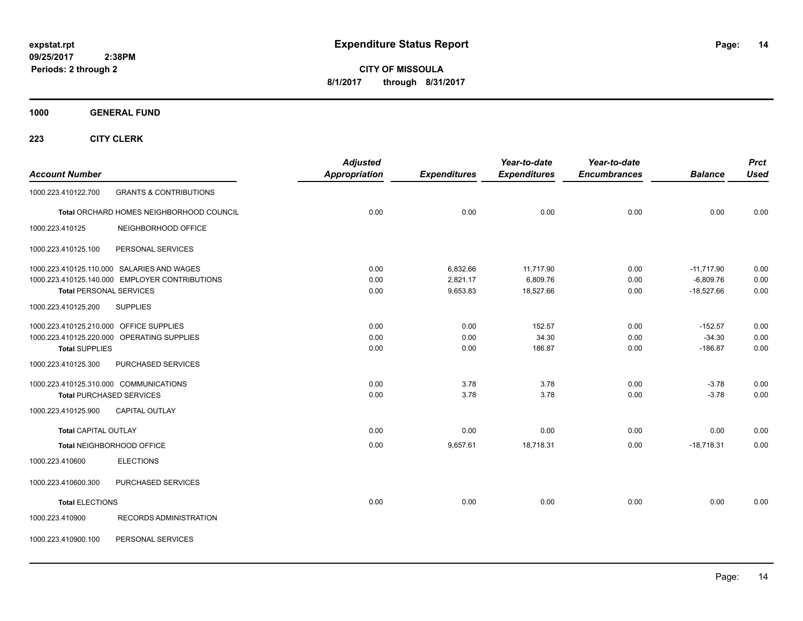**CITY OF MISSOULA 8/1/2017 through 8/31/2017**

**1000 GENERAL FUND**

| <b>Account Number</b>                   |                                                | <b>Adjusted</b><br><b>Appropriation</b> | <b>Expenditures</b> | Year-to-date<br><b>Expenditures</b> | Year-to-date<br><b>Encumbrances</b> | <b>Balance</b> | <b>Prct</b><br><b>Used</b> |
|-----------------------------------------|------------------------------------------------|-----------------------------------------|---------------------|-------------------------------------|-------------------------------------|----------------|----------------------------|
| 1000.223.410122.700                     | <b>GRANTS &amp; CONTRIBUTIONS</b>              |                                         |                     |                                     |                                     |                |                            |
|                                         | Total ORCHARD HOMES NEIGHBORHOOD COUNCIL       | 0.00                                    | 0.00                | 0.00                                | 0.00                                | 0.00           | 0.00                       |
| 1000.223.410125                         | NEIGHBORHOOD OFFICE                            |                                         |                     |                                     |                                     |                |                            |
| 1000.223.410125.100                     | PERSONAL SERVICES                              |                                         |                     |                                     |                                     |                |                            |
|                                         | 1000.223.410125.110.000 SALARIES AND WAGES     | 0.00                                    | 6,832.66            | 11,717.90                           | 0.00                                | $-11,717.90$   | 0.00                       |
|                                         | 1000.223.410125.140.000 EMPLOYER CONTRIBUTIONS | 0.00                                    | 2,821.17            | 6,809.76                            | 0.00                                | $-6,809.76$    | 0.00                       |
| <b>Total PERSONAL SERVICES</b>          |                                                | 0.00                                    | 9,653.83            | 18,527.66                           | 0.00                                | $-18,527.66$   | 0.00                       |
| 1000.223.410125.200                     | <b>SUPPLIES</b>                                |                                         |                     |                                     |                                     |                |                            |
| 1000.223.410125.210.000 OFFICE SUPPLIES |                                                | 0.00                                    | 0.00                | 152.57                              | 0.00                                | $-152.57$      | 0.00                       |
|                                         | 1000.223.410125.220.000 OPERATING SUPPLIES     | 0.00                                    | 0.00                | 34.30                               | 0.00                                | $-34.30$       | 0.00                       |
| <b>Total SUPPLIES</b>                   |                                                | 0.00                                    | 0.00                | 186.87                              | 0.00                                | $-186.87$      | 0.00                       |
| 1000.223.410125.300                     | PURCHASED SERVICES                             |                                         |                     |                                     |                                     |                |                            |
|                                         | 1000.223.410125.310.000 COMMUNICATIONS         | 0.00                                    | 3.78                | 3.78                                | 0.00                                | $-3.78$        | 0.00                       |
|                                         | <b>Total PURCHASED SERVICES</b>                | 0.00                                    | 3.78                | 3.78                                | 0.00                                | $-3.78$        | 0.00                       |
| 1000.223.410125.900                     | <b>CAPITAL OUTLAY</b>                          |                                         |                     |                                     |                                     |                |                            |
| <b>Total CAPITAL OUTLAY</b>             |                                                | 0.00                                    | 0.00                | 0.00                                | 0.00                                | 0.00           | 0.00                       |
|                                         | Total NEIGHBORHOOD OFFICE                      | 0.00                                    | 9,657.61            | 18.718.31                           | 0.00                                | $-18,718.31$   | 0.00                       |
| 1000.223.410600                         | <b>ELECTIONS</b>                               |                                         |                     |                                     |                                     |                |                            |
| 1000.223.410600.300                     | PURCHASED SERVICES                             |                                         |                     |                                     |                                     |                |                            |
| <b>Total ELECTIONS</b>                  |                                                | 0.00                                    | 0.00                | 0.00                                | 0.00                                | 0.00           | 0.00                       |
| 1000.223.410900                         | RECORDS ADMINISTRATION                         |                                         |                     |                                     |                                     |                |                            |
| 1000.223.410900.100                     | PERSONAL SERVICES                              |                                         |                     |                                     |                                     |                |                            |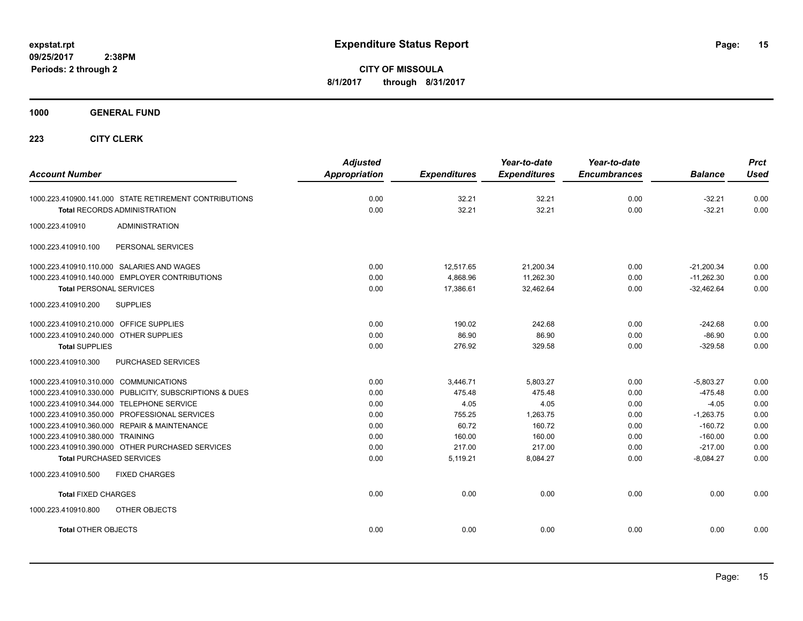**CITY OF MISSOULA 8/1/2017 through 8/31/2017**

**1000 GENERAL FUND**

| <b>Account Number</b>                                   | <b>Adjusted</b><br><b>Appropriation</b> | <b>Expenditures</b> | Year-to-date<br><b>Expenditures</b> | Year-to-date<br><b>Encumbrances</b> | <b>Balance</b> | <b>Prct</b><br><b>Used</b> |
|---------------------------------------------------------|-----------------------------------------|---------------------|-------------------------------------|-------------------------------------|----------------|----------------------------|
| 1000.223.410900.141.000 STATE RETIREMENT CONTRIBUTIONS  | 0.00                                    | 32.21               | 32.21                               | 0.00                                | $-32.21$       | 0.00                       |
| <b>Total RECORDS ADMINISTRATION</b>                     | 0.00                                    | 32.21               | 32.21                               | 0.00                                | $-32.21$       | 0.00                       |
| 1000.223.410910<br><b>ADMINISTRATION</b>                |                                         |                     |                                     |                                     |                |                            |
| 1000.223.410910.100<br>PERSONAL SERVICES                |                                         |                     |                                     |                                     |                |                            |
| 1000.223.410910.110.000 SALARIES AND WAGES              | 0.00                                    | 12,517.65           | 21,200.34                           | 0.00                                | $-21.200.34$   | 0.00                       |
| 1000.223.410910.140.000 EMPLOYER CONTRIBUTIONS          | 0.00                                    | 4,868.96            | 11,262.30                           | 0.00                                | $-11,262.30$   | 0.00                       |
| <b>Total PERSONAL SERVICES</b>                          | 0.00                                    | 17,386.61           | 32,462.64                           | 0.00                                | $-32,462.64$   | 0.00                       |
| 1000.223.410910.200<br><b>SUPPLIES</b>                  |                                         |                     |                                     |                                     |                |                            |
| 1000.223.410910.210.000 OFFICE SUPPLIES                 | 0.00                                    | 190.02              | 242.68                              | 0.00                                | $-242.68$      | 0.00                       |
| 1000.223.410910.240.000 OTHER SUPPLIES                  | 0.00                                    | 86.90               | 86.90                               | 0.00                                | $-86.90$       | 0.00                       |
| <b>Total SUPPLIES</b>                                   | 0.00                                    | 276.92              | 329.58                              | 0.00                                | $-329.58$      | 0.00                       |
| PURCHASED SERVICES<br>1000.223.410910.300               |                                         |                     |                                     |                                     |                |                            |
| 1000.223.410910.310.000 COMMUNICATIONS                  | 0.00                                    | 3,446.71            | 5,803.27                            | 0.00                                | $-5,803.27$    | 0.00                       |
| 1000.223.410910.330.000 PUBLICITY, SUBSCRIPTIONS & DUES | 0.00                                    | 475.48              | 475.48                              | 0.00                                | $-475.48$      | 0.00                       |
| 1000.223.410910.344.000 TELEPHONE SERVICE               | 0.00                                    | 4.05                | 4.05                                | 0.00                                | $-4.05$        | 0.00                       |
| 1000.223.410910.350.000 PROFESSIONAL SERVICES           | 0.00                                    | 755.25              | 1,263.75                            | 0.00                                | $-1,263.75$    | 0.00                       |
| 1000.223.410910.360.000 REPAIR & MAINTENANCE            | 0.00                                    | 60.72               | 160.72                              | 0.00                                | $-160.72$      | 0.00                       |
| 1000.223.410910.380.000 TRAINING                        | 0.00                                    | 160.00              | 160.00                              | 0.00                                | $-160.00$      | 0.00                       |
| 1000.223.410910.390.000 OTHER PURCHASED SERVICES        | 0.00                                    | 217.00              | 217.00                              | 0.00                                | $-217.00$      | 0.00                       |
| <b>Total PURCHASED SERVICES</b>                         | 0.00                                    | 5,119.21            | 8,084.27                            | 0.00                                | $-8,084.27$    | 0.00                       |
| 1000.223.410910.500<br><b>FIXED CHARGES</b>             |                                         |                     |                                     |                                     |                |                            |
| <b>Total FIXED CHARGES</b>                              | 0.00                                    | 0.00                | 0.00                                | 0.00                                | 0.00           | 0.00                       |
| 1000.223.410910.800<br>OTHER OBJECTS                    |                                         |                     |                                     |                                     |                |                            |
| <b>Total OTHER OBJECTS</b>                              | 0.00                                    | 0.00                | 0.00                                | 0.00                                | 0.00           | 0.00                       |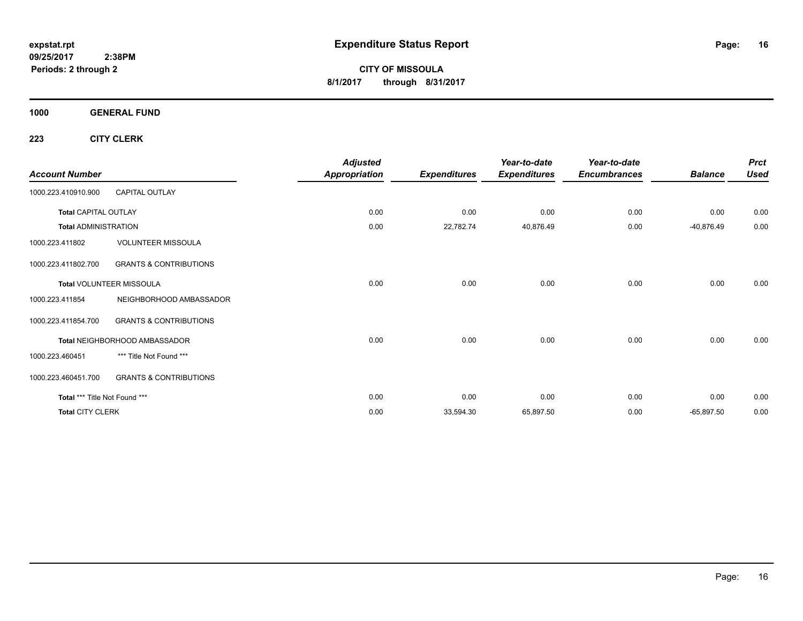**CITY OF MISSOULA 8/1/2017 through 8/31/2017**

**1000 GENERAL FUND**

| <b>Account Number</b>         |                                   | <b>Adjusted</b><br><b>Appropriation</b> | <b>Expenditures</b> | Year-to-date<br><b>Expenditures</b> | Year-to-date<br><b>Encumbrances</b> | <b>Balance</b> | <b>Prct</b><br><b>Used</b> |
|-------------------------------|-----------------------------------|-----------------------------------------|---------------------|-------------------------------------|-------------------------------------|----------------|----------------------------|
| 1000.223.410910.900           | <b>CAPITAL OUTLAY</b>             |                                         |                     |                                     |                                     |                |                            |
| <b>Total CAPITAL OUTLAY</b>   |                                   | 0.00                                    | 0.00                | 0.00                                | 0.00                                | 0.00           | 0.00                       |
| <b>Total ADMINISTRATION</b>   |                                   | 0.00                                    | 22,782.74           | 40,876.49                           | 0.00                                | $-40,876.49$   | 0.00                       |
| 1000.223.411802               | <b>VOLUNTEER MISSOULA</b>         |                                         |                     |                                     |                                     |                |                            |
| 1000.223.411802.700           | <b>GRANTS &amp; CONTRIBUTIONS</b> |                                         |                     |                                     |                                     |                |                            |
|                               | Total VOLUNTEER MISSOULA          | 0.00                                    | 0.00                | 0.00                                | 0.00                                | 0.00           | 0.00                       |
| 1000.223.411854               | NEIGHBORHOOD AMBASSADOR           |                                         |                     |                                     |                                     |                |                            |
| 1000.223.411854.700           | <b>GRANTS &amp; CONTRIBUTIONS</b> |                                         |                     |                                     |                                     |                |                            |
|                               | Total NEIGHBORHOOD AMBASSADOR     | 0.00                                    | 0.00                | 0.00                                | 0.00                                | 0.00           | 0.00                       |
| 1000.223.460451               | *** Title Not Found ***           |                                         |                     |                                     |                                     |                |                            |
| 1000.223.460451.700           | <b>GRANTS &amp; CONTRIBUTIONS</b> |                                         |                     |                                     |                                     |                |                            |
| Total *** Title Not Found *** |                                   | 0.00                                    | 0.00                | 0.00                                | 0.00                                | 0.00           | 0.00                       |
| <b>Total CITY CLERK</b>       |                                   | 0.00                                    | 33,594.30           | 65,897.50                           | 0.00                                | $-65,897.50$   | 0.00                       |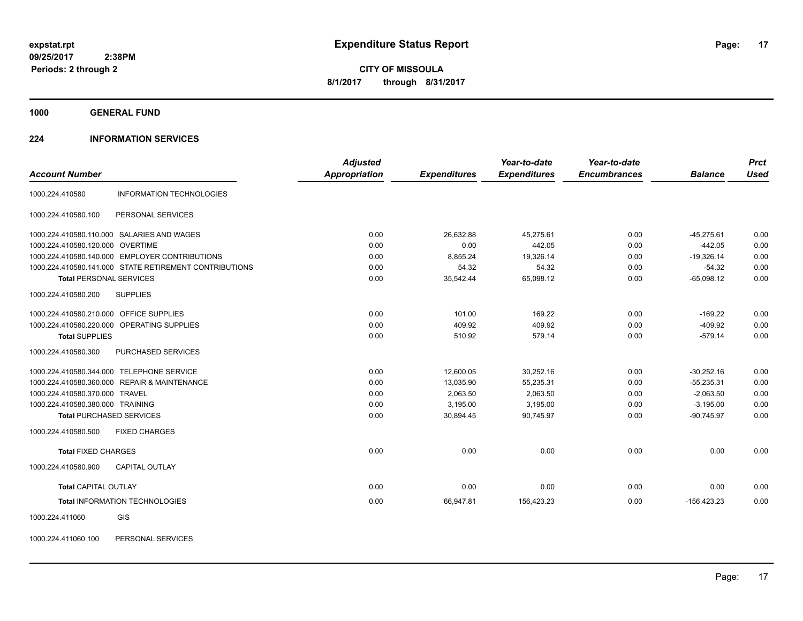**1000 GENERAL FUND**

### **224 INFORMATION SERVICES**

|                                         |                                                        | <b>Adjusted</b>      |                     | Year-to-date        | Year-to-date        |                | <b>Prct</b> |
|-----------------------------------------|--------------------------------------------------------|----------------------|---------------------|---------------------|---------------------|----------------|-------------|
| <b>Account Number</b>                   |                                                        | <b>Appropriation</b> | <b>Expenditures</b> | <b>Expenditures</b> | <b>Encumbrances</b> | <b>Balance</b> | <b>Used</b> |
| 1000.224.410580                         | <b>INFORMATION TECHNOLOGIES</b>                        |                      |                     |                     |                     |                |             |
| 1000.224.410580.100                     | PERSONAL SERVICES                                      |                      |                     |                     |                     |                |             |
|                                         | 1000.224.410580.110.000 SALARIES AND WAGES             | 0.00                 | 26,632.88           | 45,275.61           | 0.00                | $-45,275.61$   | 0.00        |
| 1000.224.410580.120.000 OVERTIME        |                                                        | 0.00                 | 0.00                | 442.05              | 0.00                | $-442.05$      | 0.00        |
|                                         | 1000.224.410580.140.000 EMPLOYER CONTRIBUTIONS         | 0.00                 | 8,855.24            | 19,326.14           | 0.00                | $-19,326.14$   | 0.00        |
|                                         | 1000.224.410580.141.000 STATE RETIREMENT CONTRIBUTIONS | 0.00                 | 54.32               | 54.32               | 0.00                | $-54.32$       | 0.00        |
| <b>Total PERSONAL SERVICES</b>          |                                                        | 0.00                 | 35,542.44           | 65,098.12           | 0.00                | $-65,098.12$   | 0.00        |
| 1000.224.410580.200                     | <b>SUPPLIES</b>                                        |                      |                     |                     |                     |                |             |
| 1000.224.410580.210.000 OFFICE SUPPLIES |                                                        | 0.00                 | 101.00              | 169.22              | 0.00                | $-169.22$      | 0.00        |
|                                         | 1000.224.410580.220.000 OPERATING SUPPLIES             | 0.00                 | 409.92              | 409.92              | 0.00                | $-409.92$      | 0.00        |
| <b>Total SUPPLIES</b>                   |                                                        | 0.00                 | 510.92              | 579.14              | 0.00                | $-579.14$      | 0.00        |
| 1000.224.410580.300                     | PURCHASED SERVICES                                     |                      |                     |                     |                     |                |             |
|                                         | 1000.224.410580.344.000 TELEPHONE SERVICE              | 0.00                 | 12,600.05           | 30,252.16           | 0.00                | $-30,252.16$   | 0.00        |
|                                         | 1000.224.410580.360.000 REPAIR & MAINTENANCE           | 0.00                 | 13,035.90           | 55,235.31           | 0.00                | $-55,235.31$   | 0.00        |
| 1000.224.410580.370.000 TRAVEL          |                                                        | 0.00                 | 2,063.50            | 2,063.50            | 0.00                | $-2,063.50$    | 0.00        |
| 1000.224.410580.380.000 TRAINING        |                                                        | 0.00                 | 3,195.00            | 3,195.00            | 0.00                | $-3,195.00$    | 0.00        |
|                                         | <b>Total PURCHASED SERVICES</b>                        | 0.00                 | 30,894.45           | 90,745.97           | 0.00                | $-90,745.97$   | 0.00        |
| 1000.224.410580.500                     | <b>FIXED CHARGES</b>                                   |                      |                     |                     |                     |                |             |
| <b>Total FIXED CHARGES</b>              |                                                        | 0.00                 | 0.00                | 0.00                | 0.00                | 0.00           | 0.00        |
| 1000.224.410580.900                     | <b>CAPITAL OUTLAY</b>                                  |                      |                     |                     |                     |                |             |
| <b>Total CAPITAL OUTLAY</b>             |                                                        | 0.00                 | 0.00                | 0.00                | 0.00                | 0.00           | 0.00        |
|                                         | Total INFORMATION TECHNOLOGIES                         | 0.00                 | 66,947.81           | 156,423.23          | 0.00                | $-156,423.23$  | 0.00        |
| 1000.224.411060                         | GIS                                                    |                      |                     |                     |                     |                |             |

1000.224.411060.100 PERSONAL SERVICES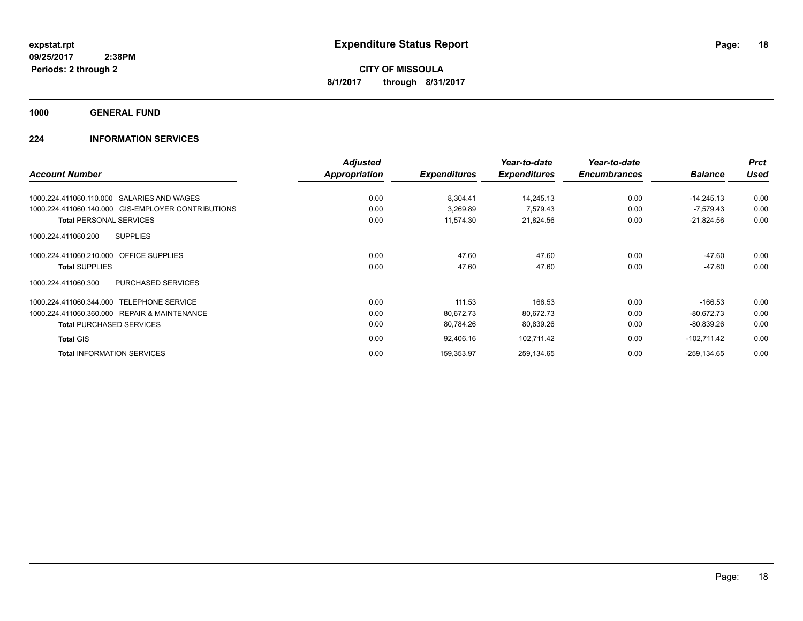**1000 GENERAL FUND**

### **224 INFORMATION SERVICES**

|                                                    | <b>Adjusted</b>      |                     | Year-to-date        | Year-to-date        |                | <b>Prct</b> |
|----------------------------------------------------|----------------------|---------------------|---------------------|---------------------|----------------|-------------|
| <b>Account Number</b>                              | <b>Appropriation</b> | <b>Expenditures</b> | <b>Expenditures</b> | <b>Encumbrances</b> | <b>Balance</b> | Used        |
| 1000.224.411060.110.000 SALARIES AND WAGES         | 0.00                 | 8,304.41            | 14,245.13           | 0.00                | $-14,245.13$   | 0.00        |
| 1000.224.411060.140.000 GIS-EMPLOYER CONTRIBUTIONS | 0.00                 | 3,269.89            | 7,579.43            | 0.00                | $-7,579.43$    | 0.00        |
| <b>Total PERSONAL SERVICES</b>                     | 0.00                 | 11,574.30           | 21,824.56           | 0.00                | $-21,824.56$   | 0.00        |
| <b>SUPPLIES</b><br>1000.224.411060.200             |                      |                     |                     |                     |                |             |
| <b>OFFICE SUPPLIES</b><br>1000.224.411060.210.000  | 0.00                 | 47.60               | 47.60               | 0.00                | $-47.60$       | 0.00        |
| <b>Total SUPPLIES</b>                              | 0.00                 | 47.60               | 47.60               | 0.00                | $-47.60$       | 0.00        |
| <b>PURCHASED SERVICES</b><br>1000.224.411060.300   |                      |                     |                     |                     |                |             |
| 1000.224.411060.344.000 TELEPHONE SERVICE          | 0.00                 | 111.53              | 166.53              | 0.00                | $-166.53$      | 0.00        |
| 1000.224.411060.360.000 REPAIR & MAINTENANCE       | 0.00                 | 80,672.73           | 80,672.73           | 0.00                | $-80.672.73$   | 0.00        |
| <b>Total PURCHASED SERVICES</b>                    | 0.00                 | 80,784.26           | 80,839.26           | 0.00                | $-80,839.26$   | 0.00        |
| <b>Total GIS</b>                                   | 0.00                 | 92,406.16           | 102,711.42          | 0.00                | $-102,711.42$  | 0.00        |
| <b>Total INFORMATION SERVICES</b>                  | 0.00                 | 159,353.97          | 259,134.65          | 0.00                | $-259, 134.65$ | 0.00        |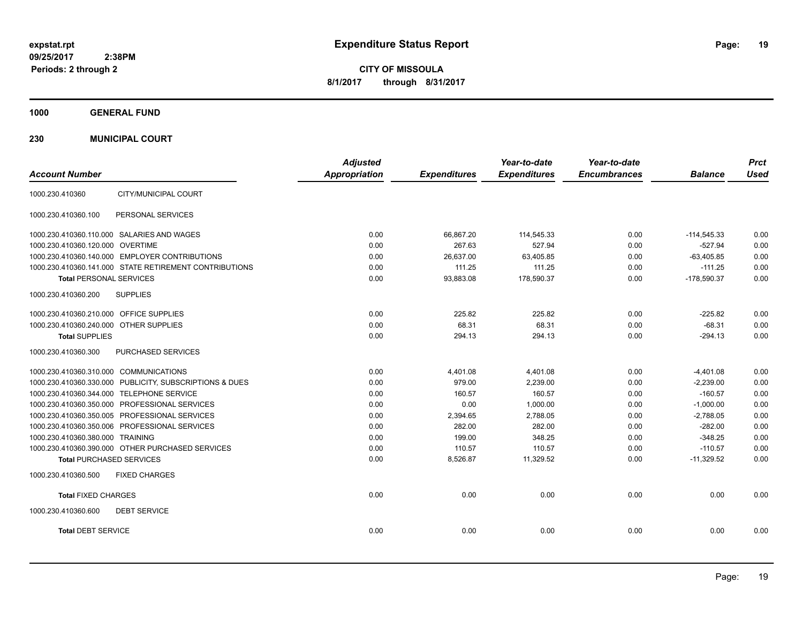**CITY OF MISSOULA 8/1/2017 through 8/31/2017**

**1000 GENERAL FUND**

**230 MUNICIPAL COURT**

| <b>Account Number</b>                                   | <b>Adjusted</b><br><b>Appropriation</b> | <b>Expenditures</b> | Year-to-date<br><b>Expenditures</b> | Year-to-date<br><b>Encumbrances</b> | <b>Balance</b> | <b>Prct</b><br><b>Used</b> |
|---------------------------------------------------------|-----------------------------------------|---------------------|-------------------------------------|-------------------------------------|----------------|----------------------------|
| CITY/MUNICIPAL COURT<br>1000.230.410360                 |                                         |                     |                                     |                                     |                |                            |
| 1000.230.410360.100<br>PERSONAL SERVICES                |                                         |                     |                                     |                                     |                |                            |
| 1000.230.410360.110.000 SALARIES AND WAGES              | 0.00                                    | 66,867.20           | 114,545.33                          | 0.00                                | $-114,545.33$  | 0.00                       |
| 1000.230.410360.120.000 OVERTIME                        | 0.00                                    | 267.63              | 527.94                              | 0.00                                | $-527.94$      | 0.00                       |
| 1000.230.410360.140.000 EMPLOYER CONTRIBUTIONS          | 0.00                                    | 26,637.00           | 63,405.85                           | 0.00                                | $-63.405.85$   | 0.00                       |
| 1000.230.410360.141.000 STATE RETIREMENT CONTRIBUTIONS  | 0.00                                    | 111.25              | 111.25                              | 0.00                                | $-111.25$      | 0.00                       |
| <b>Total PERSONAL SERVICES</b>                          | 0.00                                    | 93,883.08           | 178,590.37                          | 0.00                                | $-178,590.37$  | 0.00                       |
| 1000.230.410360.200<br><b>SUPPLIES</b>                  |                                         |                     |                                     |                                     |                |                            |
| 1000.230.410360.210.000 OFFICE SUPPLIES                 | 0.00                                    | 225.82              | 225.82                              | 0.00                                | $-225.82$      | 0.00                       |
| 1000.230.410360.240.000 OTHER SUPPLIES                  | 0.00                                    | 68.31               | 68.31                               | 0.00                                | $-68.31$       | 0.00                       |
| <b>Total SUPPLIES</b>                                   | 0.00                                    | 294.13              | 294.13                              | 0.00                                | $-294.13$      | 0.00                       |
| PURCHASED SERVICES<br>1000.230.410360.300               |                                         |                     |                                     |                                     |                |                            |
| 1000.230.410360.310.000 COMMUNICATIONS                  | 0.00                                    | 4,401.08            | 4,401.08                            | 0.00                                | $-4.401.08$    | 0.00                       |
| 1000.230.410360.330.000 PUBLICITY, SUBSCRIPTIONS & DUES | 0.00                                    | 979.00              | 2,239.00                            | 0.00                                | $-2,239.00$    | 0.00                       |
| 1000.230.410360.344.000 TELEPHONE SERVICE               | 0.00                                    | 160.57              | 160.57                              | 0.00                                | $-160.57$      | 0.00                       |
| 1000.230.410360.350.000 PROFESSIONAL SERVICES           | 0.00                                    | 0.00                | 1,000.00                            | 0.00                                | $-1,000.00$    | 0.00                       |
| 1000.230.410360.350.005 PROFESSIONAL SERVICES           | 0.00                                    | 2,394.65            | 2,788.05                            | 0.00                                | $-2,788.05$    | 0.00                       |
| 1000.230.410360.350.006 PROFESSIONAL SERVICES           | 0.00                                    | 282.00              | 282.00                              | 0.00                                | $-282.00$      | 0.00                       |
| 1000.230.410360.380.000 TRAINING                        | 0.00                                    | 199.00              | 348.25                              | 0.00                                | $-348.25$      | 0.00                       |
| 1000.230.410360.390.000 OTHER PURCHASED SERVICES        | 0.00                                    | 110.57              | 110.57                              | 0.00                                | $-110.57$      | 0.00                       |
| <b>Total PURCHASED SERVICES</b>                         | 0.00                                    | 8,526.87            | 11,329.52                           | 0.00                                | $-11,329.52$   | 0.00                       |
| 1000.230.410360.500<br><b>FIXED CHARGES</b>             |                                         |                     |                                     |                                     |                |                            |
| <b>Total FIXED CHARGES</b>                              | 0.00                                    | 0.00                | 0.00                                | 0.00                                | 0.00           | 0.00                       |
| <b>DEBT SERVICE</b><br>1000.230.410360.600              |                                         |                     |                                     |                                     |                |                            |
| <b>Total DEBT SERVICE</b>                               | 0.00                                    | 0.00                | 0.00                                | 0.00                                | 0.00           | 0.00                       |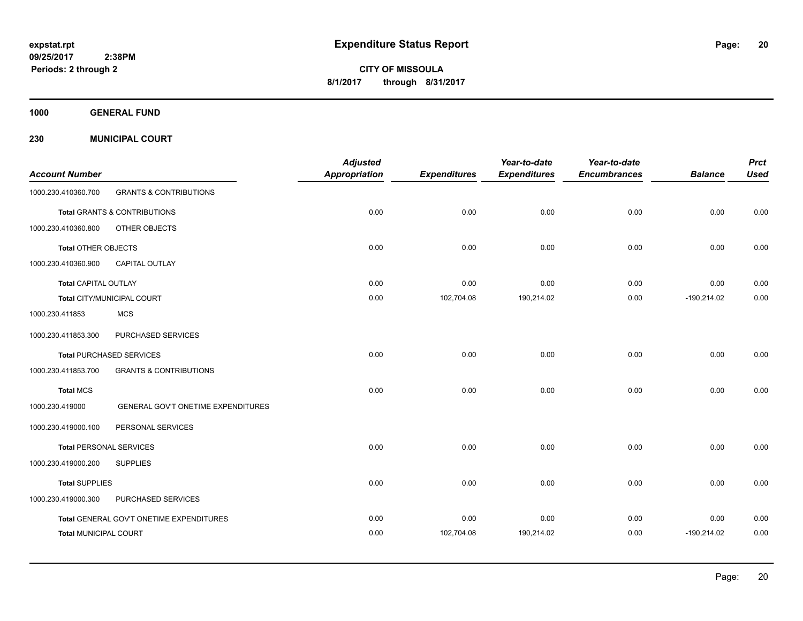**CITY OF MISSOULA 8/1/2017 through 8/31/2017**

**1000 GENERAL FUND**

**230 MUNICIPAL COURT**

| <b>Account Number</b>          |                                          | <b>Adjusted</b><br><b>Appropriation</b> | <b>Expenditures</b> | Year-to-date<br><b>Expenditures</b> | Year-to-date<br><b>Encumbrances</b> | <b>Balance</b> | <b>Prct</b><br><b>Used</b> |
|--------------------------------|------------------------------------------|-----------------------------------------|---------------------|-------------------------------------|-------------------------------------|----------------|----------------------------|
| 1000.230.410360.700            | <b>GRANTS &amp; CONTRIBUTIONS</b>        |                                         |                     |                                     |                                     |                |                            |
|                                | Total GRANTS & CONTRIBUTIONS             | 0.00                                    | 0.00                | 0.00                                | 0.00                                | 0.00           | 0.00                       |
| 1000.230.410360.800            | OTHER OBJECTS                            |                                         |                     |                                     |                                     |                |                            |
| <b>Total OTHER OBJECTS</b>     |                                          | 0.00                                    | 0.00                | 0.00                                | 0.00                                | 0.00           | 0.00                       |
| 1000.230.410360.900            | CAPITAL OUTLAY                           |                                         |                     |                                     |                                     |                |                            |
| <b>Total CAPITAL OUTLAY</b>    |                                          | 0.00                                    | 0.00                | 0.00                                | 0.00                                | 0.00           | 0.00                       |
|                                | Total CITY/MUNICIPAL COURT               | 0.00                                    | 102,704.08          | 190,214.02                          | 0.00                                | $-190,214.02$  | 0.00                       |
| 1000.230.411853                | <b>MCS</b>                               |                                         |                     |                                     |                                     |                |                            |
| 1000.230.411853.300            | PURCHASED SERVICES                       |                                         |                     |                                     |                                     |                |                            |
|                                | <b>Total PURCHASED SERVICES</b>          | 0.00                                    | 0.00                | 0.00                                | 0.00                                | 0.00           | 0.00                       |
| 1000.230.411853.700            | <b>GRANTS &amp; CONTRIBUTIONS</b>        |                                         |                     |                                     |                                     |                |                            |
| <b>Total MCS</b>               |                                          | 0.00                                    | 0.00                | 0.00                                | 0.00                                | 0.00           | 0.00                       |
| 1000.230.419000                | GENERAL GOV'T ONETIME EXPENDITURES       |                                         |                     |                                     |                                     |                |                            |
| 1000.230.419000.100            | PERSONAL SERVICES                        |                                         |                     |                                     |                                     |                |                            |
| <b>Total PERSONAL SERVICES</b> |                                          | 0.00                                    | 0.00                | 0.00                                | 0.00                                | 0.00           | 0.00                       |
| 1000.230.419000.200            | <b>SUPPLIES</b>                          |                                         |                     |                                     |                                     |                |                            |
| <b>Total SUPPLIES</b>          |                                          | 0.00                                    | 0.00                | 0.00                                | 0.00                                | 0.00           | 0.00                       |
| 1000.230.419000.300            | PURCHASED SERVICES                       |                                         |                     |                                     |                                     |                |                            |
|                                | Total GENERAL GOV'T ONETIME EXPENDITURES | 0.00                                    | 0.00                | 0.00                                | 0.00                                | 0.00           | 0.00                       |
| <b>Total MUNICIPAL COURT</b>   |                                          | 0.00                                    | 102,704.08          | 190,214.02                          | 0.00                                | $-190,214.02$  | 0.00                       |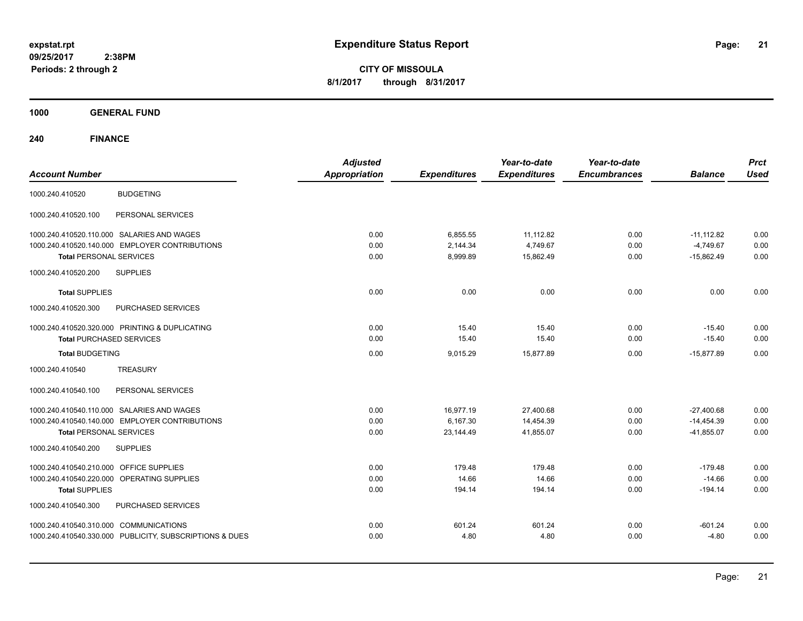**21**

**CITY OF MISSOULA 8/1/2017 through 8/31/2017**

**1000 GENERAL FUND**

**240 FINANCE**

| <b>Account Number</b>                                                                                                                                                    | <b>Adjusted</b><br><b>Appropriation</b> | <b>Expenditures</b>                | Year-to-date<br><b>Expenditures</b> | Year-to-date<br><b>Encumbrances</b> | <b>Balance</b>                               | <b>Prct</b><br><b>Used</b> |
|--------------------------------------------------------------------------------------------------------------------------------------------------------------------------|-----------------------------------------|------------------------------------|-------------------------------------|-------------------------------------|----------------------------------------------|----------------------------|
| <b>BUDGETING</b><br>1000.240.410520                                                                                                                                      |                                         |                                    |                                     |                                     |                                              |                            |
| PERSONAL SERVICES<br>1000.240.410520.100                                                                                                                                 |                                         |                                    |                                     |                                     |                                              |                            |
| 1000.240.410520.110.000 SALARIES AND WAGES<br>1000.240.410520.140.000 EMPLOYER CONTRIBUTIONS<br><b>Total PERSONAL SERVICES</b><br>1000.240.410520.200<br><b>SUPPLIES</b> | 0.00<br>0.00<br>0.00                    | 6,855.55<br>2.144.34<br>8,999.89   | 11,112.82<br>4.749.67<br>15,862.49  | 0.00<br>0.00<br>0.00                | $-11,112.82$<br>$-4.749.67$<br>$-15,862.49$  | 0.00<br>0.00<br>0.00       |
| <b>Total SUPPLIES</b><br>1000.240.410520.300<br>PURCHASED SERVICES                                                                                                       | 0.00                                    | 0.00                               | 0.00                                | 0.00                                | 0.00                                         | 0.00                       |
| 1000.240.410520.320.000 PRINTING & DUPLICATING<br><b>Total PURCHASED SERVICES</b><br><b>Total BUDGETING</b>                                                              | 0.00<br>0.00<br>0.00                    | 15.40<br>15.40<br>9,015.29         | 15.40<br>15.40<br>15.877.89         | 0.00<br>0.00<br>0.00                | $-15.40$<br>$-15.40$<br>$-15.877.89$         | 0.00<br>0.00<br>0.00       |
| 1000.240.410540<br><b>TREASURY</b>                                                                                                                                       |                                         |                                    |                                     |                                     |                                              |                            |
| 1000.240.410540.100<br>PERSONAL SERVICES                                                                                                                                 |                                         |                                    |                                     |                                     |                                              |                            |
| 1000.240.410540.110.000 SALARIES AND WAGES<br>1000.240.410540.140.000 EMPLOYER CONTRIBUTIONS<br><b>Total PERSONAL SERVICES</b><br>1000.240.410540.200<br><b>SUPPLIES</b> | 0.00<br>0.00<br>0.00                    | 16,977.19<br>6.167.30<br>23,144.49 | 27,400.68<br>14,454.39<br>41,855.07 | 0.00<br>0.00<br>0.00                | $-27,400.68$<br>$-14,454.39$<br>$-41,855.07$ | 0.00<br>0.00<br>0.00       |
| 1000.240.410540.210.000 OFFICE SUPPLIES<br>1000.240.410540.220.000<br>OPERATING SUPPLIES<br><b>Total SUPPLIES</b><br>1000.240.410540.300<br>PURCHASED SERVICES           | 0.00<br>0.00<br>0.00                    | 179.48<br>14.66<br>194.14          | 179.48<br>14.66<br>194.14           | 0.00<br>0.00<br>0.00                | $-179.48$<br>$-14.66$<br>$-194.14$           | 0.00<br>0.00<br>0.00       |
| 1000.240.410540.310.000 COMMUNICATIONS<br>1000.240.410540.330.000 PUBLICITY, SUBSCRIPTIONS & DUES                                                                        | 0.00<br>0.00                            | 601.24<br>4.80                     | 601.24<br>4.80                      | 0.00<br>0.00                        | $-601.24$<br>$-4.80$                         | 0.00<br>0.00               |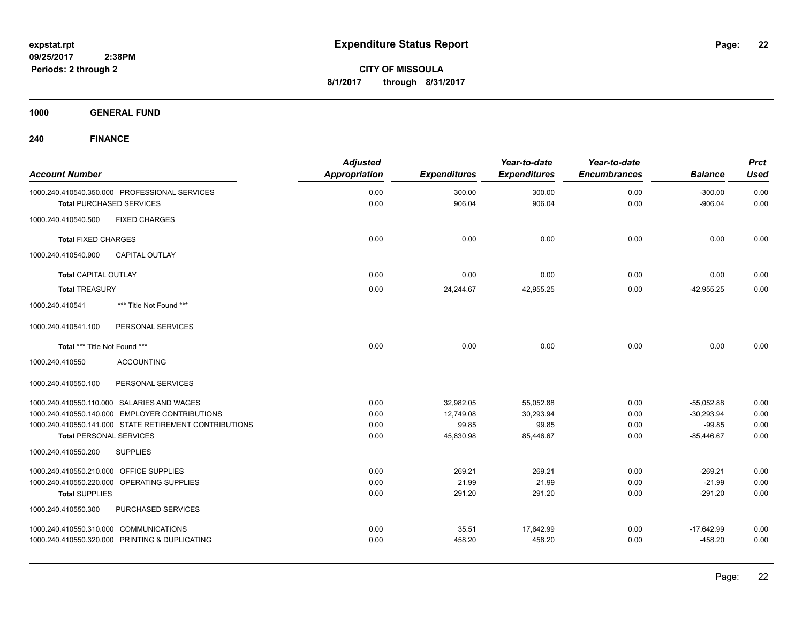**CITY OF MISSOULA 8/1/2017 through 8/31/2017**

**1000 GENERAL FUND**

**240 FINANCE**

| <b>Account Number</b>                   |                                                        | <b>Adjusted</b><br><b>Appropriation</b> | <b>Expenditures</b> | Year-to-date<br><b>Expenditures</b> | Year-to-date<br><b>Encumbrances</b> | <b>Balance</b>         | <b>Prct</b><br><b>Used</b> |
|-----------------------------------------|--------------------------------------------------------|-----------------------------------------|---------------------|-------------------------------------|-------------------------------------|------------------------|----------------------------|
|                                         | 1000.240.410540.350.000 PROFESSIONAL SERVICES          | 0.00<br>0.00                            | 300.00<br>906.04    | 300.00<br>906.04                    | 0.00                                | $-300.00$<br>$-906.04$ | 0.00                       |
|                                         | <b>Total PURCHASED SERVICES</b>                        |                                         |                     |                                     | 0.00                                |                        | 0.00                       |
| 1000.240.410540.500                     | <b>FIXED CHARGES</b>                                   |                                         |                     |                                     |                                     |                        |                            |
| <b>Total FIXED CHARGES</b>              |                                                        | 0.00                                    | 0.00                | 0.00                                | 0.00                                | 0.00                   | 0.00                       |
| 1000.240.410540.900                     | <b>CAPITAL OUTLAY</b>                                  |                                         |                     |                                     |                                     |                        |                            |
| Total CAPITAL OUTLAY                    |                                                        | 0.00                                    | 0.00                | 0.00                                | 0.00                                | 0.00                   | 0.00                       |
| <b>Total TREASURY</b>                   |                                                        | 0.00                                    | 24,244.67           | 42,955.25                           | 0.00                                | $-42,955.25$           | 0.00                       |
| 1000.240.410541                         | *** Title Not Found ***                                |                                         |                     |                                     |                                     |                        |                            |
| 1000.240.410541.100                     | PERSONAL SERVICES                                      |                                         |                     |                                     |                                     |                        |                            |
| Total *** Title Not Found ***           |                                                        | 0.00                                    | 0.00                | 0.00                                | 0.00                                | 0.00                   | 0.00                       |
| 1000.240.410550                         | <b>ACCOUNTING</b>                                      |                                         |                     |                                     |                                     |                        |                            |
| 1000.240.410550.100                     | PERSONAL SERVICES                                      |                                         |                     |                                     |                                     |                        |                            |
|                                         | 1000.240.410550.110.000 SALARIES AND WAGES             | 0.00                                    | 32,982.05           | 55,052.88                           | 0.00                                | $-55,052.88$           | 0.00                       |
|                                         | 1000.240.410550.140.000 EMPLOYER CONTRIBUTIONS         | 0.00                                    | 12,749.08           | 30,293.94                           | 0.00                                | $-30,293.94$           | 0.00                       |
|                                         | 1000.240.410550.141.000 STATE RETIREMENT CONTRIBUTIONS | 0.00                                    | 99.85               | 99.85                               | 0.00                                | $-99.85$               | 0.00                       |
| <b>Total PERSONAL SERVICES</b>          |                                                        | 0.00                                    | 45,830.98           | 85.446.67                           | 0.00                                | $-85.446.67$           | 0.00                       |
| 1000.240.410550.200                     | <b>SUPPLIES</b>                                        |                                         |                     |                                     |                                     |                        |                            |
| 1000.240.410550.210.000 OFFICE SUPPLIES |                                                        | 0.00                                    | 269.21              | 269.21                              | 0.00                                | $-269.21$              | 0.00                       |
|                                         | 1000.240.410550.220.000 OPERATING SUPPLIES             | 0.00                                    | 21.99               | 21.99                               | 0.00                                | $-21.99$               | 0.00                       |
| <b>Total SUPPLIES</b>                   |                                                        | 0.00                                    | 291.20              | 291.20                              | 0.00                                | $-291.20$              | 0.00                       |
| 1000.240.410550.300                     | PURCHASED SERVICES                                     |                                         |                     |                                     |                                     |                        |                            |
| 1000.240.410550.310.000 COMMUNICATIONS  |                                                        | 0.00                                    | 35.51               | 17,642.99                           | 0.00                                | $-17,642.99$           | 0.00                       |
|                                         | 1000.240.410550.320.000 PRINTING & DUPLICATING         | 0.00                                    | 458.20              | 458.20                              | 0.00                                | $-458.20$              | 0.00                       |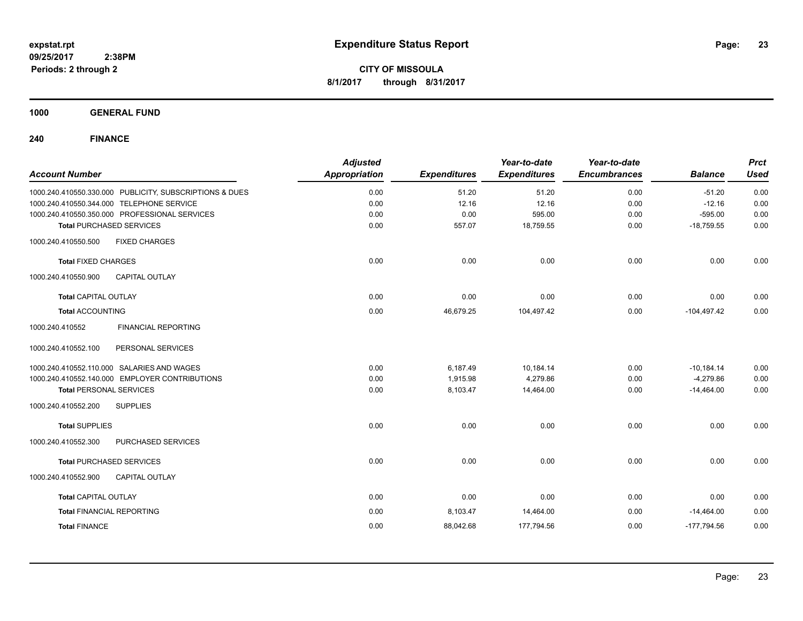**CITY OF MISSOULA 8/1/2017 through 8/31/2017**

**1000 GENERAL FUND**

**240 FINANCE**

| <b>Account Number</b>                                   | <b>Adjusted</b><br><b>Appropriation</b> | <b>Expenditures</b> | Year-to-date<br><b>Expenditures</b> | Year-to-date<br><b>Encumbrances</b> | <b>Balance</b> | <b>Prct</b><br><b>Used</b> |
|---------------------------------------------------------|-----------------------------------------|---------------------|-------------------------------------|-------------------------------------|----------------|----------------------------|
| 1000.240.410550.330.000 PUBLICITY, SUBSCRIPTIONS & DUES | 0.00                                    | 51.20               | 51.20                               | 0.00                                | $-51.20$       | 0.00                       |
| 1000.240.410550.344.000 TELEPHONE SERVICE               | 0.00                                    | 12.16               | 12.16                               | 0.00                                | $-12.16$       | 0.00                       |
| 1000.240.410550.350.000 PROFESSIONAL SERVICES           | 0.00                                    | 0.00                | 595.00                              | 0.00                                | $-595.00$      | 0.00                       |
| <b>Total PURCHASED SERVICES</b>                         | 0.00                                    | 557.07              | 18,759.55                           | 0.00                                | $-18,759.55$   | 0.00                       |
| 1000.240.410550.500<br><b>FIXED CHARGES</b>             |                                         |                     |                                     |                                     |                |                            |
| <b>Total FIXED CHARGES</b>                              | 0.00                                    | 0.00                | 0.00                                | 0.00                                | 0.00           | 0.00                       |
| 1000.240.410550.900<br><b>CAPITAL OUTLAY</b>            |                                         |                     |                                     |                                     |                |                            |
| <b>Total CAPITAL OUTLAY</b>                             | 0.00                                    | 0.00                | 0.00                                | 0.00                                | 0.00           | 0.00                       |
| <b>Total ACCOUNTING</b>                                 | 0.00                                    | 46,679.25           | 104,497.42                          | 0.00                                | $-104,497.42$  | 0.00                       |
| 1000.240.410552<br><b>FINANCIAL REPORTING</b>           |                                         |                     |                                     |                                     |                |                            |
| PERSONAL SERVICES<br>1000.240.410552.100                |                                         |                     |                                     |                                     |                |                            |
| 1000.240.410552.110.000 SALARIES AND WAGES              | 0.00                                    | 6,187.49            | 10,184.14                           | 0.00                                | $-10,184.14$   | 0.00                       |
| 1000.240.410552.140.000 EMPLOYER CONTRIBUTIONS          | 0.00                                    | 1,915.98            | 4,279.86                            | 0.00                                | $-4,279.86$    | 0.00                       |
| <b>Total PERSONAL SERVICES</b>                          | 0.00                                    | 8,103.47            | 14,464.00                           | 0.00                                | $-14,464.00$   | 0.00                       |
| <b>SUPPLIES</b><br>1000.240.410552.200                  |                                         |                     |                                     |                                     |                |                            |
| <b>Total SUPPLIES</b>                                   | 0.00                                    | 0.00                | 0.00                                | 0.00                                | 0.00           | 0.00                       |
| 1000.240.410552.300<br>PURCHASED SERVICES               |                                         |                     |                                     |                                     |                |                            |
| <b>Total PURCHASED SERVICES</b>                         | 0.00                                    | 0.00                | 0.00                                | 0.00                                | 0.00           | 0.00                       |
| 1000.240.410552.900<br><b>CAPITAL OUTLAY</b>            |                                         |                     |                                     |                                     |                |                            |
| <b>Total CAPITAL OUTLAY</b>                             | 0.00                                    | 0.00                | 0.00                                | 0.00                                | 0.00           | 0.00                       |
| <b>Total FINANCIAL REPORTING</b>                        | 0.00                                    | 8,103.47            | 14,464.00                           | 0.00                                | $-14,464.00$   | 0.00                       |
| <b>Total FINANCE</b>                                    | 0.00                                    | 88,042.68           | 177,794.56                          | 0.00                                | $-177,794.56$  | 0.00                       |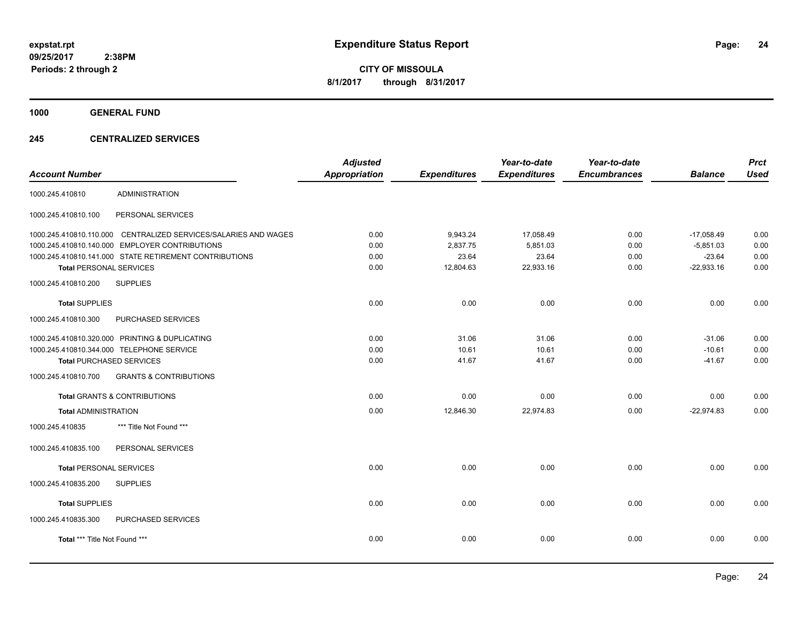**CITY OF MISSOULA 8/1/2017 through 8/31/2017**

**1000 GENERAL FUND**

### **245 CENTRALIZED SERVICES**

| <b>Account Number</b>          |                                                                 | <b>Adjusted</b><br><b>Appropriation</b> | <b>Expenditures</b> | Year-to-date<br><b>Expenditures</b> | Year-to-date<br><b>Encumbrances</b> | <b>Balance</b> | <b>Prct</b><br><b>Used</b> |
|--------------------------------|-----------------------------------------------------------------|-----------------------------------------|---------------------|-------------------------------------|-------------------------------------|----------------|----------------------------|
| 1000.245.410810                | <b>ADMINISTRATION</b>                                           |                                         |                     |                                     |                                     |                |                            |
| 1000.245.410810.100            | PERSONAL SERVICES                                               |                                         |                     |                                     |                                     |                |                            |
|                                | 1000.245.410810.110.000 CENTRALIZED SERVICES/SALARIES AND WAGES | 0.00                                    | 9,943.24            | 17,058.49                           | 0.00                                | $-17,058.49$   | 0.00                       |
|                                | 1000.245.410810.140.000 EMPLOYER CONTRIBUTIONS                  | 0.00                                    | 2,837.75            | 5,851.03                            | 0.00                                | $-5,851.03$    | 0.00                       |
|                                | 1000.245.410810.141.000 STATE RETIREMENT CONTRIBUTIONS          | 0.00                                    | 23.64               | 23.64                               | 0.00                                | $-23.64$       | 0.00                       |
| <b>Total PERSONAL SERVICES</b> |                                                                 | 0.00                                    | 12,804.63           | 22,933.16                           | 0.00                                | $-22,933.16$   | 0.00                       |
| 1000.245.410810.200            | <b>SUPPLIES</b>                                                 |                                         |                     |                                     |                                     |                |                            |
| <b>Total SUPPLIES</b>          |                                                                 | 0.00                                    | 0.00                | 0.00                                | 0.00                                | 0.00           | 0.00                       |
| 1000.245.410810.300            | PURCHASED SERVICES                                              |                                         |                     |                                     |                                     |                |                            |
|                                | 1000.245.410810.320.000 PRINTING & DUPLICATING                  | 0.00                                    | 31.06               | 31.06                               | 0.00                                | $-31.06$       | 0.00                       |
|                                | 1000.245.410810.344.000 TELEPHONE SERVICE                       | 0.00                                    | 10.61               | 10.61                               | 0.00                                | $-10.61$       | 0.00                       |
|                                | <b>Total PURCHASED SERVICES</b>                                 | 0.00                                    | 41.67               | 41.67                               | 0.00                                | $-41.67$       | 0.00                       |
| 1000.245.410810.700            | <b>GRANTS &amp; CONTRIBUTIONS</b>                               |                                         |                     |                                     |                                     |                |                            |
|                                | <b>Total GRANTS &amp; CONTRIBUTIONS</b>                         | 0.00                                    | 0.00                | 0.00                                | 0.00                                | 0.00           | 0.00                       |
| <b>Total ADMINISTRATION</b>    |                                                                 | 0.00                                    | 12,846.30           | 22,974.83                           | 0.00                                | $-22,974.83$   | 0.00                       |
| 1000.245.410835                | *** Title Not Found ***                                         |                                         |                     |                                     |                                     |                |                            |
| 1000.245.410835.100            | PERSONAL SERVICES                                               |                                         |                     |                                     |                                     |                |                            |
| <b>Total PERSONAL SERVICES</b> |                                                                 | 0.00                                    | 0.00                | 0.00                                | 0.00                                | 0.00           | 0.00                       |
| 1000.245.410835.200            | <b>SUPPLIES</b>                                                 |                                         |                     |                                     |                                     |                |                            |
| <b>Total SUPPLIES</b>          |                                                                 | 0.00                                    | 0.00                | 0.00                                | 0.00                                | 0.00           | 0.00                       |
| 1000.245.410835.300            | PURCHASED SERVICES                                              |                                         |                     |                                     |                                     |                |                            |
| Total *** Title Not Found ***  |                                                                 | 0.00                                    | 0.00                | 0.00                                | 0.00                                | 0.00           | 0.00                       |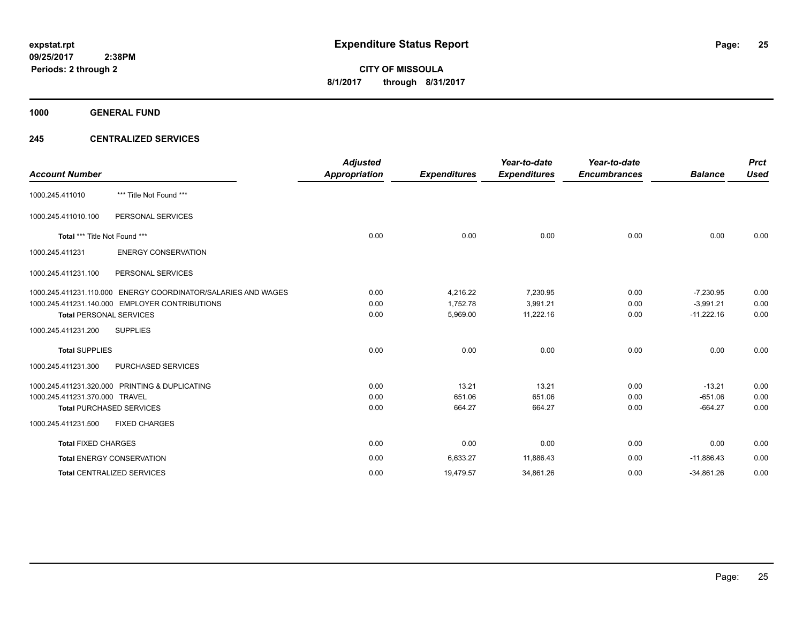**1000 GENERAL FUND**

### **245 CENTRALIZED SERVICES**

| <b>Account Number</b>          |                                                               | <b>Adjusted</b><br><b>Appropriation</b> | <b>Expenditures</b> | Year-to-date<br><b>Expenditures</b> | Year-to-date<br><b>Encumbrances</b> | <b>Balance</b> | <b>Prct</b><br><b>Used</b> |
|--------------------------------|---------------------------------------------------------------|-----------------------------------------|---------------------|-------------------------------------|-------------------------------------|----------------|----------------------------|
| 1000.245.411010                | *** Title Not Found ***                                       |                                         |                     |                                     |                                     |                |                            |
| 1000.245.411010.100            | PERSONAL SERVICES                                             |                                         |                     |                                     |                                     |                |                            |
| Total *** Title Not Found ***  |                                                               | 0.00                                    | 0.00                | 0.00                                | 0.00                                | 0.00           | 0.00                       |
| 1000.245.411231                | <b>ENERGY CONSERVATION</b>                                    |                                         |                     |                                     |                                     |                |                            |
| 1000.245.411231.100            | PERSONAL SERVICES                                             |                                         |                     |                                     |                                     |                |                            |
|                                | 1000.245.411231.110.000 ENERGY COORDINATOR/SALARIES AND WAGES | 0.00                                    | 4,216.22            | 7,230.95                            | 0.00                                | $-7,230.95$    | 0.00                       |
|                                | 1000.245.411231.140.000 EMPLOYER CONTRIBUTIONS                | 0.00                                    | 1,752.78            | 3,991.21                            | 0.00                                | $-3,991.21$    | 0.00                       |
| <b>Total PERSONAL SERVICES</b> |                                                               | 0.00                                    | 5,969.00            | 11,222.16                           | 0.00                                | $-11,222.16$   | 0.00                       |
| 1000.245.411231.200            | <b>SUPPLIES</b>                                               |                                         |                     |                                     |                                     |                |                            |
| <b>Total SUPPLIES</b>          |                                                               | 0.00                                    | 0.00                | 0.00                                | 0.00                                | 0.00           | 0.00                       |
| 1000.245.411231.300            | <b>PURCHASED SERVICES</b>                                     |                                         |                     |                                     |                                     |                |                            |
|                                | 1000.245.411231.320.000 PRINTING & DUPLICATING                | 0.00                                    | 13.21               | 13.21                               | 0.00                                | $-13.21$       | 0.00                       |
| 1000.245.411231.370.000 TRAVEL |                                                               | 0.00                                    | 651.06              | 651.06                              | 0.00                                | $-651.06$      | 0.00                       |
|                                | <b>Total PURCHASED SERVICES</b>                               | 0.00                                    | 664.27              | 664.27                              | 0.00                                | $-664.27$      | 0.00                       |
| 1000.245.411231.500            | <b>FIXED CHARGES</b>                                          |                                         |                     |                                     |                                     |                |                            |
| <b>Total FIXED CHARGES</b>     |                                                               | 0.00                                    | 0.00                | 0.00                                | 0.00                                | 0.00           | 0.00                       |
|                                | <b>Total ENERGY CONSERVATION</b>                              | 0.00                                    | 6,633.27            | 11,886.43                           | 0.00                                | $-11,886.43$   | 0.00                       |
|                                | <b>Total CENTRALIZED SERVICES</b>                             | 0.00                                    | 19,479.57           | 34,861.26                           | 0.00                                | $-34,861.26$   | 0.00                       |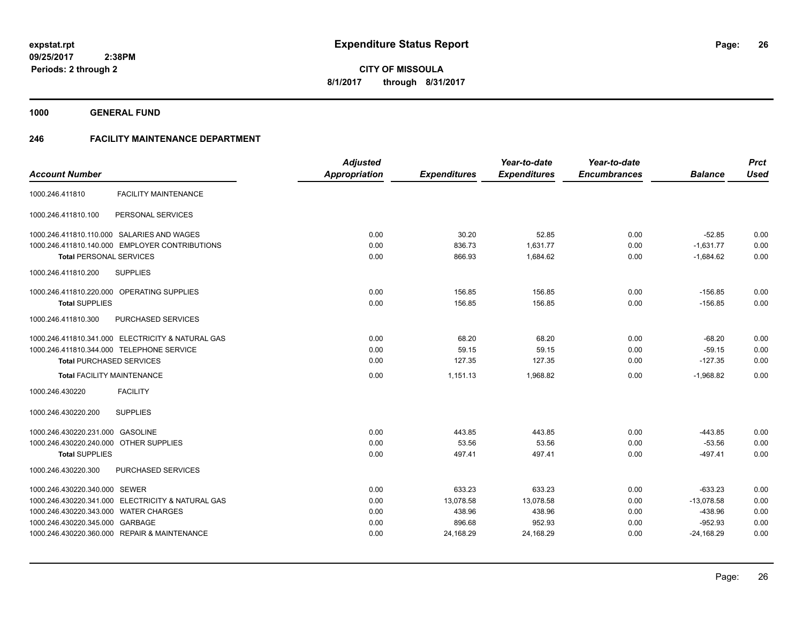**1000 GENERAL FUND**

### **246 FACILITY MAINTENANCE DEPARTMENT**

| <b>Account Number</b>                             | <b>Adjusted</b><br>Appropriation | <b>Expenditures</b> | Year-to-date<br><b>Expenditures</b> | Year-to-date<br><b>Encumbrances</b> | <b>Balance</b> | <b>Prct</b><br><b>Used</b> |
|---------------------------------------------------|----------------------------------|---------------------|-------------------------------------|-------------------------------------|----------------|----------------------------|
|                                                   |                                  |                     |                                     |                                     |                |                            |
| <b>FACILITY MAINTENANCE</b><br>1000.246.411810    |                                  |                     |                                     |                                     |                |                            |
| 1000.246.411810.100<br>PERSONAL SERVICES          |                                  |                     |                                     |                                     |                |                            |
| 1000.246.411810.110.000 SALARIES AND WAGES        | 0.00                             | 30.20               | 52.85                               | 0.00                                | $-52.85$       | 0.00                       |
| 1000.246.411810.140.000 EMPLOYER CONTRIBUTIONS    | 0.00                             | 836.73              | 1,631.77                            | 0.00                                | $-1,631.77$    | 0.00                       |
| <b>Total PERSONAL SERVICES</b>                    | 0.00                             | 866.93              | 1,684.62                            | 0.00                                | $-1,684.62$    | 0.00                       |
| 1000.246.411810.200<br><b>SUPPLIES</b>            |                                  |                     |                                     |                                     |                |                            |
| 1000.246.411810.220.000 OPERATING SUPPLIES        | 0.00                             | 156.85              | 156.85                              | 0.00                                | $-156.85$      | 0.00                       |
| <b>Total SUPPLIES</b>                             | 0.00                             | 156.85              | 156.85                              | 0.00                                | $-156.85$      | 0.00                       |
| 1000.246.411810.300<br>PURCHASED SERVICES         |                                  |                     |                                     |                                     |                |                            |
| 1000.246.411810.341.000 ELECTRICITY & NATURAL GAS | 0.00                             | 68.20               | 68.20                               | 0.00                                | $-68.20$       | 0.00                       |
| 1000.246.411810.344.000 TELEPHONE SERVICE         | 0.00                             | 59.15               | 59.15                               | 0.00                                | $-59.15$       | 0.00                       |
| <b>Total PURCHASED SERVICES</b>                   | 0.00                             | 127.35              | 127.35                              | 0.00                                | $-127.35$      | 0.00                       |
| <b>Total FACILITY MAINTENANCE</b>                 | 0.00                             | 1,151.13            | 1,968.82                            | 0.00                                | $-1,968.82$    | 0.00                       |
| <b>FACILITY</b><br>1000.246.430220                |                                  |                     |                                     |                                     |                |                            |
| <b>SUPPLIES</b><br>1000.246.430220.200            |                                  |                     |                                     |                                     |                |                            |
| 1000.246.430220.231.000 GASOLINE                  | 0.00                             | 443.85              | 443.85                              | 0.00                                | $-443.85$      | 0.00                       |
| 1000.246.430220.240.000 OTHER SUPPLIES            | 0.00                             | 53.56               | 53.56                               | 0.00                                | $-53.56$       | 0.00                       |
| <b>Total SUPPLIES</b>                             | 0.00                             | 497.41              | 497.41                              | 0.00                                | $-497.41$      | 0.00                       |
| 1000.246.430220.300<br>PURCHASED SERVICES         |                                  |                     |                                     |                                     |                |                            |
| 1000.246.430220.340.000 SEWER                     | 0.00                             | 633.23              | 633.23                              | 0.00                                | $-633.23$      | 0.00                       |
| 1000.246.430220.341.000 ELECTRICITY & NATURAL GAS | 0.00                             | 13,078.58           | 13,078.58                           | 0.00                                | $-13,078.58$   | 0.00                       |
| 1000.246.430220.343.000 WATER CHARGES             | 0.00                             | 438.96              | 438.96                              | 0.00                                | $-438.96$      | 0.00                       |
| 1000.246.430220.345.000 GARBAGE                   | 0.00                             | 896.68              | 952.93                              | 0.00                                | $-952.93$      | 0.00                       |
| 1000.246.430220.360.000 REPAIR & MAINTENANCE      | 0.00                             | 24,168.29           | 24,168.29                           | 0.00                                | $-24,168.29$   | 0.00                       |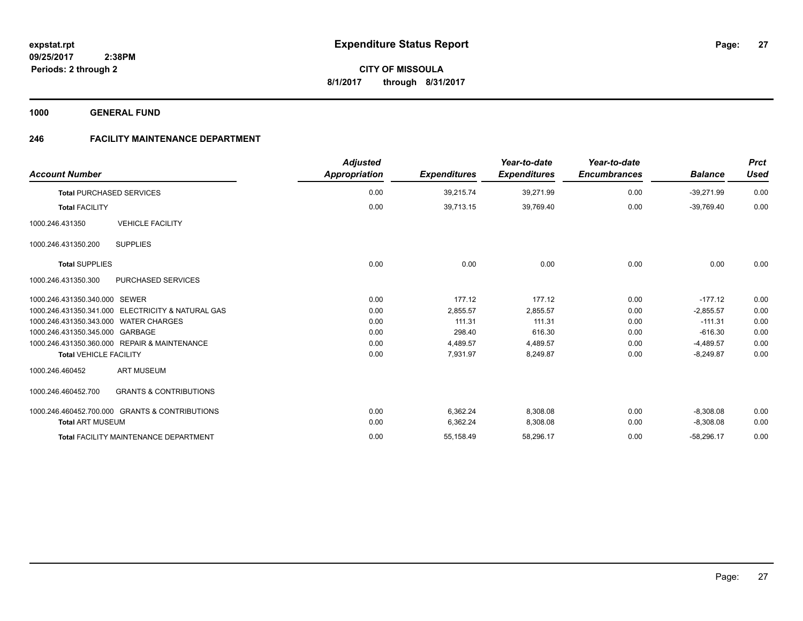**1000 GENERAL FUND**

## **246 FACILITY MAINTENANCE DEPARTMENT**

| <b>Account Number</b>                                    | <b>Adjusted</b><br><b>Appropriation</b> | <b>Expenditures</b> | Year-to-date<br><b>Expenditures</b> | Year-to-date<br><b>Encumbrances</b> | <b>Balance</b> | <b>Prct</b><br><b>Used</b> |
|----------------------------------------------------------|-----------------------------------------|---------------------|-------------------------------------|-------------------------------------|----------------|----------------------------|
| <b>Total PURCHASED SERVICES</b>                          | 0.00                                    | 39,215.74           | 39,271.99                           | 0.00                                | $-39,271.99$   | 0.00                       |
| <b>Total FACILITY</b>                                    | 0.00                                    | 39,713.15           | 39,769.40                           | 0.00                                | $-39,769.40$   | 0.00                       |
| <b>VEHICLE FACILITY</b><br>1000.246.431350               |                                         |                     |                                     |                                     |                |                            |
| <b>SUPPLIES</b><br>1000.246.431350.200                   |                                         |                     |                                     |                                     |                |                            |
| <b>Total SUPPLIES</b>                                    | 0.00                                    | 0.00                | 0.00                                | 0.00                                | 0.00           | 0.00                       |
| 1000.246.431350.300<br><b>PURCHASED SERVICES</b>         |                                         |                     |                                     |                                     |                |                            |
| 1000.246.431350.340.000 SEWER                            | 0.00                                    | 177.12              | 177.12                              | 0.00                                | $-177.12$      | 0.00                       |
| 1000.246.431350.341.000 ELECTRICITY & NATURAL GAS        | 0.00                                    | 2,855.57            | 2,855.57                            | 0.00                                | $-2,855.57$    | 0.00                       |
| 1000.246.431350.343.000 WATER CHARGES                    | 0.00                                    | 111.31              | 111.31                              | 0.00                                | $-111.31$      | 0.00                       |
| 1000.246.431350.345.000 GARBAGE                          | 0.00                                    | 298.40              | 616.30                              | 0.00                                | $-616.30$      | 0.00                       |
| 1000.246.431350.360.000 REPAIR & MAINTENANCE             | 0.00                                    | 4,489.57            | 4,489.57                            | 0.00                                | $-4,489.57$    | 0.00                       |
| <b>Total VEHICLE FACILITY</b>                            | 0.00                                    | 7,931.97            | 8,249.87                            | 0.00                                | $-8,249.87$    | 0.00                       |
| <b>ART MUSEUM</b><br>1000.246.460452                     |                                         |                     |                                     |                                     |                |                            |
| <b>GRANTS &amp; CONTRIBUTIONS</b><br>1000.246.460452.700 |                                         |                     |                                     |                                     |                |                            |
| 1000.246.460452.700.000 GRANTS & CONTRIBUTIONS           | 0.00                                    | 6,362.24            | 8,308.08                            | 0.00                                | $-8,308.08$    | 0.00                       |
| <b>Total ART MUSEUM</b>                                  | 0.00                                    | 6,362.24            | 8,308.08                            | 0.00                                | $-8,308.08$    | 0.00                       |
| <b>Total FACILITY MAINTENANCE DEPARTMENT</b>             | 0.00                                    | 55,158.49           | 58,296.17                           | 0.00                                | $-58,296.17$   | 0.00                       |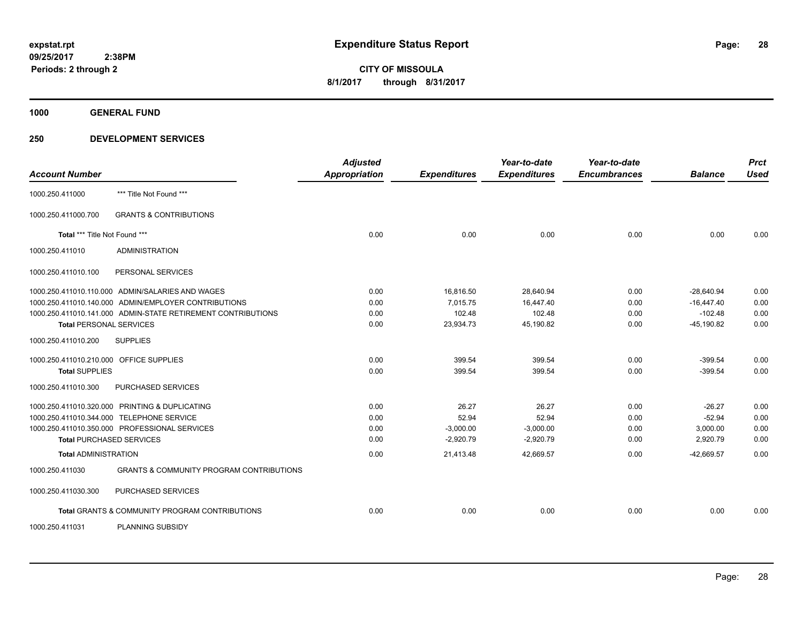**1000 GENERAL FUND**

| <b>Account Number</b>                   |                                                              | <b>Adjusted</b><br><b>Appropriation</b> | <b>Expenditures</b> | Year-to-date<br><b>Expenditures</b> | Year-to-date<br><b>Encumbrances</b> | <b>Balance</b> | <b>Prct</b><br><b>Used</b> |
|-----------------------------------------|--------------------------------------------------------------|-----------------------------------------|---------------------|-------------------------------------|-------------------------------------|----------------|----------------------------|
| 1000.250.411000                         | *** Title Not Found ***                                      |                                         |                     |                                     |                                     |                |                            |
| 1000.250.411000.700                     | <b>GRANTS &amp; CONTRIBUTIONS</b>                            |                                         |                     |                                     |                                     |                |                            |
| Total *** Title Not Found ***           |                                                              | 0.00                                    | 0.00                | 0.00                                | 0.00                                | 0.00           | 0.00                       |
| 1000.250.411010                         | <b>ADMINISTRATION</b>                                        |                                         |                     |                                     |                                     |                |                            |
| 1000.250.411010.100                     | PERSONAL SERVICES                                            |                                         |                     |                                     |                                     |                |                            |
|                                         | 1000.250.411010.110.000 ADMIN/SALARIES AND WAGES             | 0.00                                    | 16,816.50           | 28,640.94                           | 0.00                                | $-28.640.94$   | 0.00                       |
|                                         | 1000.250.411010.140.000 ADMIN/EMPLOYER CONTRIBUTIONS         | 0.00                                    | 7,015.75            | 16,447.40                           | 0.00                                | $-16,447.40$   | 0.00                       |
|                                         | 1000.250.411010.141.000 ADMIN-STATE RETIREMENT CONTRIBUTIONS | 0.00                                    | 102.48              | 102.48                              | 0.00                                | $-102.48$      | 0.00                       |
| <b>Total PERSONAL SERVICES</b>          |                                                              | 0.00                                    | 23,934.73           | 45,190.82                           | 0.00                                | $-45,190.82$   | 0.00                       |
| 1000.250.411010.200                     | <b>SUPPLIES</b>                                              |                                         |                     |                                     |                                     |                |                            |
| 1000.250.411010.210.000 OFFICE SUPPLIES |                                                              | 0.00                                    | 399.54              | 399.54                              | 0.00                                | $-399.54$      | 0.00                       |
| <b>Total SUPPLIES</b>                   |                                                              | 0.00                                    | 399.54              | 399.54                              | 0.00                                | $-399.54$      | 0.00                       |
| 1000.250.411010.300                     | <b>PURCHASED SERVICES</b>                                    |                                         |                     |                                     |                                     |                |                            |
|                                         | 1000.250.411010.320.000 PRINTING & DUPLICATING               | 0.00                                    | 26.27               | 26.27                               | 0.00                                | $-26.27$       | 0.00                       |
|                                         | 1000.250.411010.344.000 TELEPHONE SERVICE                    | 0.00                                    | 52.94               | 52.94                               | 0.00                                | $-52.94$       | 0.00                       |
|                                         | 1000.250.411010.350.000 PROFESSIONAL SERVICES                | 0.00                                    | $-3,000.00$         | $-3,000.00$                         | 0.00                                | 3,000.00       | 0.00                       |
|                                         | <b>Total PURCHASED SERVICES</b>                              | 0.00                                    | $-2,920.79$         | $-2,920.79$                         | 0.00                                | 2,920.79       | 0.00                       |
| <b>Total ADMINISTRATION</b>             |                                                              | 0.00                                    | 21,413.48           | 42,669.57                           | 0.00                                | $-42.669.57$   | 0.00                       |
| 1000.250.411030                         | <b>GRANTS &amp; COMMUNITY PROGRAM CONTRIBUTIONS</b>          |                                         |                     |                                     |                                     |                |                            |
| 1000.250.411030.300                     | PURCHASED SERVICES                                           |                                         |                     |                                     |                                     |                |                            |
|                                         | <b>Total GRANTS &amp; COMMUNITY PROGRAM CONTRIBUTIONS</b>    | 0.00                                    | 0.00                | 0.00                                | 0.00                                | 0.00           | 0.00                       |
| 1000.250.411031                         | <b>PLANNING SUBSIDY</b>                                      |                                         |                     |                                     |                                     |                |                            |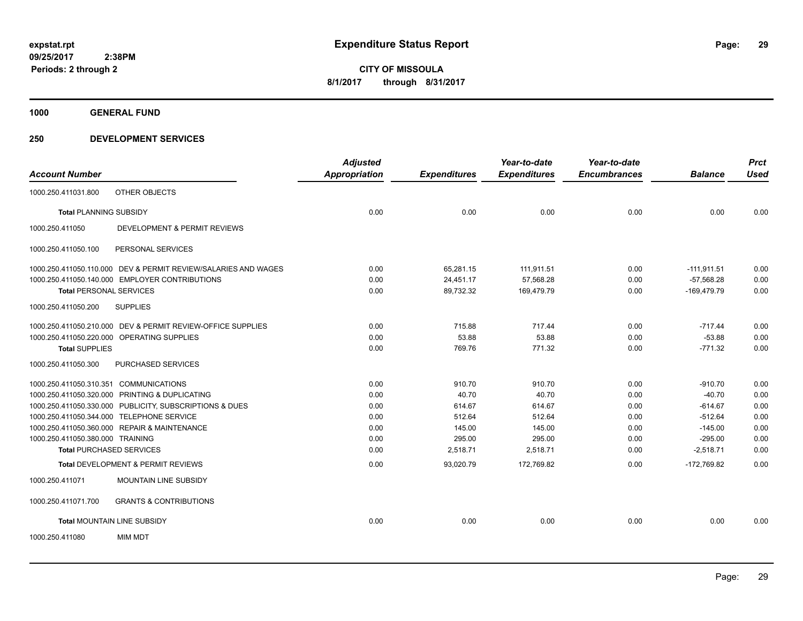**1000 GENERAL FUND**

|                                                                | <b>Adjusted</b>      |                     | Year-to-date        | Year-to-date        |                | <b>Prct</b> |
|----------------------------------------------------------------|----------------------|---------------------|---------------------|---------------------|----------------|-------------|
| <b>Account Number</b>                                          | <b>Appropriation</b> | <b>Expenditures</b> | <b>Expenditures</b> | <b>Encumbrances</b> | <b>Balance</b> | <b>Used</b> |
| OTHER OBJECTS<br>1000.250.411031.800                           |                      |                     |                     |                     |                |             |
| <b>Total PLANNING SUBSIDY</b>                                  | 0.00                 | 0.00                | 0.00                | 0.00                | 0.00           | 0.00        |
| DEVELOPMENT & PERMIT REVIEWS<br>1000.250.411050                |                      |                     |                     |                     |                |             |
| 1000.250.411050.100<br>PERSONAL SERVICES                       |                      |                     |                     |                     |                |             |
| 1000.250.411050.110.000 DEV & PERMIT REVIEW/SALARIES AND WAGES | 0.00                 | 65,281.15           | 111,911.51          | 0.00                | $-111,911.51$  | 0.00        |
| 1000.250.411050.140.000 EMPLOYER CONTRIBUTIONS                 | 0.00                 | 24,451.17           | 57,568.28           | 0.00                | $-57.568.28$   | 0.00        |
| <b>Total PERSONAL SERVICES</b>                                 | 0.00                 | 89,732.32           | 169,479.79          | 0.00                | -169,479.79    | 0.00        |
| 1000.250.411050.200<br><b>SUPPLIES</b>                         |                      |                     |                     |                     |                |             |
| 1000.250.411050.210.000 DEV & PERMIT REVIEW-OFFICE SUPPLIES    | 0.00                 | 715.88              | 717.44              | 0.00                | $-717.44$      | 0.00        |
| 1000.250.411050.220.000 OPERATING SUPPLIES                     | 0.00                 | 53.88               | 53.88               | 0.00                | $-53.88$       | 0.00        |
| <b>Total SUPPLIES</b>                                          | 0.00                 | 769.76              | 771.32              | 0.00                | $-771.32$      | 0.00        |
| 1000.250.411050.300<br>PURCHASED SERVICES                      |                      |                     |                     |                     |                |             |
| 1000.250.411050.310.351 COMMUNICATIONS                         | 0.00                 | 910.70              | 910.70              | 0.00                | $-910.70$      | 0.00        |
| 1000.250.411050.320.000 PRINTING & DUPLICATING                 | 0.00                 | 40.70               | 40.70               | 0.00                | $-40.70$       | 0.00        |
| 1000.250.411050.330.000 PUBLICITY, SUBSCRIPTIONS & DUES        | 0.00                 | 614.67              | 614.67              | 0.00                | $-614.67$      | 0.00        |
| 1000.250.411050.344.000 TELEPHONE SERVICE                      | 0.00                 | 512.64              | 512.64              | 0.00                | $-512.64$      | 0.00        |
| 1000.250.411050.360.000 REPAIR & MAINTENANCE                   | 0.00                 | 145.00              | 145.00              | 0.00                | $-145.00$      | 0.00        |
| 1000.250.411050.380.000 TRAINING                               | 0.00                 | 295.00              | 295.00              | 0.00                | $-295.00$      | 0.00        |
| <b>Total PURCHASED SERVICES</b>                                | 0.00                 | 2,518.71            | 2,518.71            | 0.00                | $-2,518.71$    | 0.00        |
| Total DEVELOPMENT & PERMIT REVIEWS                             | 0.00                 | 93,020.79           | 172,769.82          | 0.00                | $-172,769.82$  | 0.00        |
| 1000.250.411071<br><b>MOUNTAIN LINE SUBSIDY</b>                |                      |                     |                     |                     |                |             |
| 1000.250.411071.700<br><b>GRANTS &amp; CONTRIBUTIONS</b>       |                      |                     |                     |                     |                |             |
| Total MOUNTAIN LINE SUBSIDY                                    | 0.00                 | 0.00                | 0.00                | 0.00                | 0.00           | 0.00        |
| 1000.250.411080<br><b>MIM MDT</b>                              |                      |                     |                     |                     |                |             |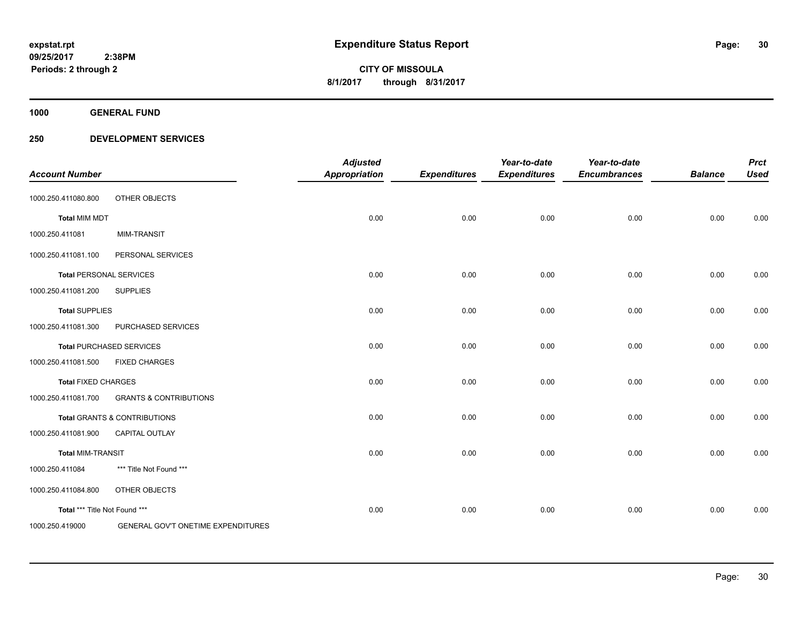**1000 GENERAL FUND**

| <b>Account Number</b>         |                                    | <b>Adjusted</b><br><b>Appropriation</b> | <b>Expenditures</b> | Year-to-date<br><b>Expenditures</b> | Year-to-date<br><b>Encumbrances</b> | <b>Balance</b> | <b>Prct</b><br><b>Used</b> |
|-------------------------------|------------------------------------|-----------------------------------------|---------------------|-------------------------------------|-------------------------------------|----------------|----------------------------|
| 1000.250.411080.800           | OTHER OBJECTS                      |                                         |                     |                                     |                                     |                |                            |
| <b>Total MIM MDT</b>          |                                    | 0.00                                    | 0.00                | 0.00                                | 0.00                                | 0.00           | 0.00                       |
| 1000.250.411081               | <b>MIM-TRANSIT</b>                 |                                         |                     |                                     |                                     |                |                            |
| 1000.250.411081.100           | PERSONAL SERVICES                  |                                         |                     |                                     |                                     |                |                            |
|                               | <b>Total PERSONAL SERVICES</b>     | 0.00                                    | 0.00                | 0.00                                | 0.00                                | 0.00           | 0.00                       |
| 1000.250.411081.200           | <b>SUPPLIES</b>                    |                                         |                     |                                     |                                     |                |                            |
| <b>Total SUPPLIES</b>         |                                    | 0.00                                    | 0.00                | 0.00                                | 0.00                                | 0.00           | 0.00                       |
| 1000.250.411081.300           | PURCHASED SERVICES                 |                                         |                     |                                     |                                     |                |                            |
|                               | <b>Total PURCHASED SERVICES</b>    | 0.00                                    | 0.00                | 0.00                                | 0.00                                | 0.00           | 0.00                       |
| 1000.250.411081.500           | <b>FIXED CHARGES</b>               |                                         |                     |                                     |                                     |                |                            |
| <b>Total FIXED CHARGES</b>    |                                    | 0.00                                    | 0.00                | 0.00                                | 0.00                                | 0.00           | 0.00                       |
| 1000.250.411081.700           | <b>GRANTS &amp; CONTRIBUTIONS</b>  |                                         |                     |                                     |                                     |                |                            |
|                               | Total GRANTS & CONTRIBUTIONS       | 0.00                                    | 0.00                | 0.00                                | 0.00                                | 0.00           | 0.00                       |
| 1000.250.411081.900           | <b>CAPITAL OUTLAY</b>              |                                         |                     |                                     |                                     |                |                            |
| <b>Total MIM-TRANSIT</b>      |                                    | 0.00                                    | 0.00                | 0.00                                | 0.00                                | 0.00           | 0.00                       |
| 1000.250.411084               | *** Title Not Found ***            |                                         |                     |                                     |                                     |                |                            |
| 1000.250.411084.800           | OTHER OBJECTS                      |                                         |                     |                                     |                                     |                |                            |
| Total *** Title Not Found *** |                                    | 0.00                                    | 0.00                | 0.00                                | 0.00                                | 0.00           | 0.00                       |
| 1000.250.419000               | GENERAL GOV'T ONETIME EXPENDITURES |                                         |                     |                                     |                                     |                |                            |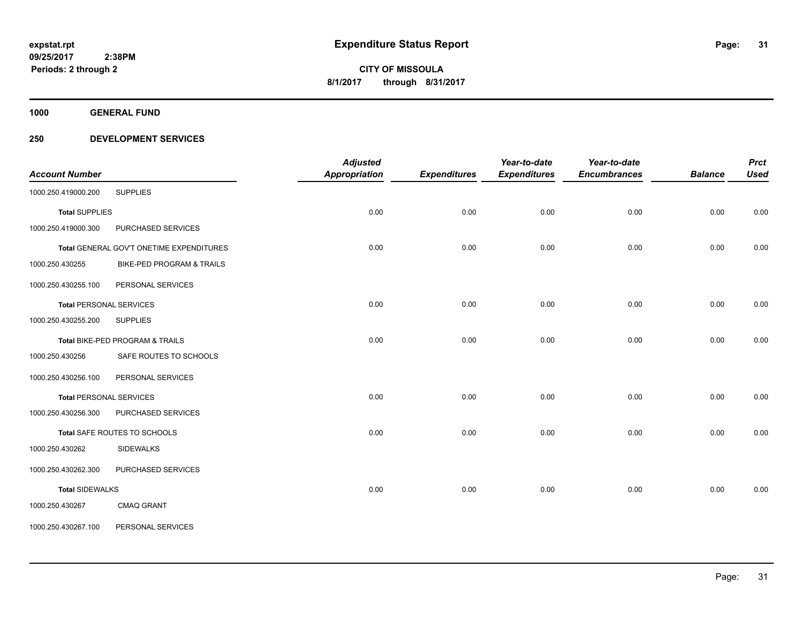**1000 GENERAL FUND**

| <b>Account Number</b>          |                                          | <b>Adjusted</b><br><b>Appropriation</b> | <b>Expenditures</b> | Year-to-date<br><b>Expenditures</b> | Year-to-date<br><b>Encumbrances</b> | <b>Balance</b> | <b>Prct</b><br><b>Used</b> |
|--------------------------------|------------------------------------------|-----------------------------------------|---------------------|-------------------------------------|-------------------------------------|----------------|----------------------------|
| 1000.250.419000.200            | <b>SUPPLIES</b>                          |                                         |                     |                                     |                                     |                |                            |
| <b>Total SUPPLIES</b>          |                                          | 0.00                                    | 0.00                | 0.00                                | 0.00                                | 0.00           | 0.00                       |
| 1000.250.419000.300            | PURCHASED SERVICES                       |                                         |                     |                                     |                                     |                |                            |
|                                | Total GENERAL GOV'T ONETIME EXPENDITURES | 0.00                                    | 0.00                | 0.00                                | 0.00                                | 0.00           | 0.00                       |
| 1000.250.430255                | BIKE-PED PROGRAM & TRAILS                |                                         |                     |                                     |                                     |                |                            |
| 1000.250.430255.100            | PERSONAL SERVICES                        |                                         |                     |                                     |                                     |                |                            |
| <b>Total PERSONAL SERVICES</b> |                                          | 0.00                                    | 0.00                | 0.00                                | 0.00                                | 0.00           | 0.00                       |
| 1000.250.430255.200            | <b>SUPPLIES</b>                          |                                         |                     |                                     |                                     |                |                            |
|                                | Total BIKE-PED PROGRAM & TRAILS          | 0.00                                    | 0.00                | 0.00                                | 0.00                                | 0.00           | 0.00                       |
| 1000.250.430256                | SAFE ROUTES TO SCHOOLS                   |                                         |                     |                                     |                                     |                |                            |
| 1000.250.430256.100            | PERSONAL SERVICES                        |                                         |                     |                                     |                                     |                |                            |
| <b>Total PERSONAL SERVICES</b> |                                          | 0.00                                    | 0.00                | 0.00                                | 0.00                                | 0.00           | 0.00                       |
| 1000.250.430256.300            | PURCHASED SERVICES                       |                                         |                     |                                     |                                     |                |                            |
|                                | Total SAFE ROUTES TO SCHOOLS             | 0.00                                    | 0.00                | 0.00                                | 0.00                                | 0.00           | 0.00                       |
| 1000.250.430262                | <b>SIDEWALKS</b>                         |                                         |                     |                                     |                                     |                |                            |
| 1000.250.430262.300            | PURCHASED SERVICES                       |                                         |                     |                                     |                                     |                |                            |
| <b>Total SIDEWALKS</b>         |                                          | 0.00                                    | 0.00                | 0.00                                | 0.00                                | 0.00           | 0.00                       |
| 1000.250.430267                | <b>CMAQ GRANT</b>                        |                                         |                     |                                     |                                     |                |                            |
| 1000.250.430267.100            | PERSONAL SERVICES                        |                                         |                     |                                     |                                     |                |                            |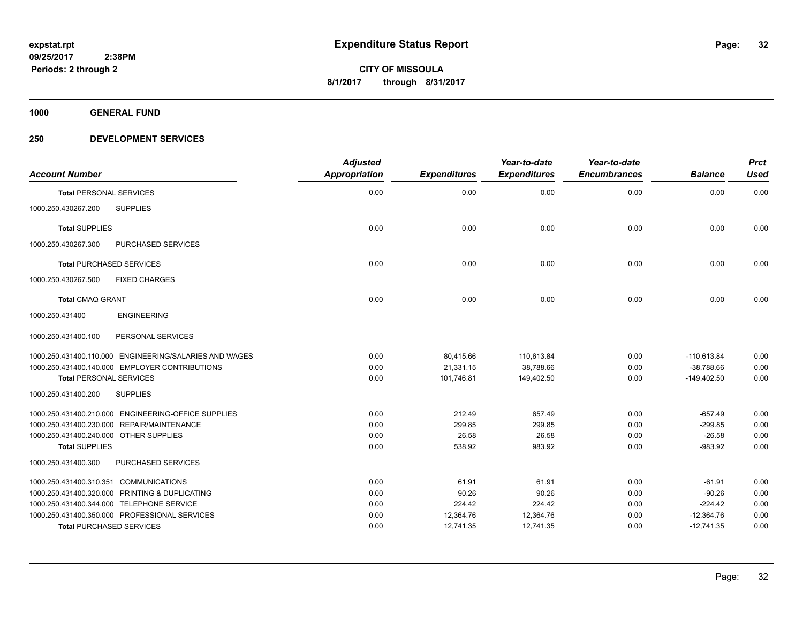**1000 GENERAL FUND**

| <b>Account Number</b>                                  | <b>Adjusted</b><br>Appropriation | <b>Expenditures</b> | Year-to-date<br><b>Expenditures</b> | Year-to-date<br><b>Encumbrances</b> | <b>Balance</b> | <b>Prct</b><br><b>Used</b> |
|--------------------------------------------------------|----------------------------------|---------------------|-------------------------------------|-------------------------------------|----------------|----------------------------|
| <b>Total PERSONAL SERVICES</b>                         | 0.00                             | 0.00                | 0.00                                | 0.00                                | 0.00           | 0.00                       |
| 1000.250.430267.200<br><b>SUPPLIES</b>                 |                                  |                     |                                     |                                     |                |                            |
| <b>Total SUPPLIES</b>                                  | 0.00                             | 0.00                | 0.00                                | 0.00                                | 0.00           | 0.00                       |
| PURCHASED SERVICES<br>1000.250.430267.300              |                                  |                     |                                     |                                     |                |                            |
| <b>Total PURCHASED SERVICES</b>                        | 0.00                             | 0.00                | 0.00                                | 0.00                                | 0.00           | 0.00                       |
| <b>FIXED CHARGES</b><br>1000.250.430267.500            |                                  |                     |                                     |                                     |                |                            |
| <b>Total CMAQ GRANT</b>                                | 0.00                             | 0.00                | 0.00                                | 0.00                                | 0.00           | 0.00                       |
| <b>ENGINEERING</b><br>1000.250.431400                  |                                  |                     |                                     |                                     |                |                            |
| PERSONAL SERVICES<br>1000.250.431400.100               |                                  |                     |                                     |                                     |                |                            |
| 1000.250.431400.110.000 ENGINEERING/SALARIES AND WAGES | 0.00                             | 80,415.66           | 110,613.84                          | 0.00                                | $-110.613.84$  | 0.00                       |
| 1000.250.431400.140.000 EMPLOYER CONTRIBUTIONS         | 0.00                             | 21,331.15           | 38.788.66                           | 0.00                                | $-38,788.66$   | 0.00                       |
| <b>Total PERSONAL SERVICES</b>                         | 0.00                             | 101,746.81          | 149,402.50                          | 0.00                                | $-149,402.50$  | 0.00                       |
| 1000.250.431400.200<br><b>SUPPLIES</b>                 |                                  |                     |                                     |                                     |                |                            |
| 1000.250.431400.210.000 ENGINEERING-OFFICE SUPPLIES    | 0.00                             | 212.49              | 657.49                              | 0.00                                | $-657.49$      | 0.00                       |
| 1000.250.431400.230.000 REPAIR/MAINTENANCE             | 0.00                             | 299.85              | 299.85                              | 0.00                                | $-299.85$      | 0.00                       |
| 1000.250.431400.240.000 OTHER SUPPLIES                 | 0.00                             | 26.58               | 26.58                               | 0.00                                | $-26.58$       | 0.00                       |
| <b>Total SUPPLIES</b>                                  | 0.00                             | 538.92              | 983.92                              | 0.00                                | $-983.92$      | 0.00                       |
| 1000.250.431400.300<br>PURCHASED SERVICES              |                                  |                     |                                     |                                     |                |                            |
| 1000.250.431400.310.351 COMMUNICATIONS                 | 0.00                             | 61.91               | 61.91                               | 0.00                                | $-61.91$       | 0.00                       |
| 1000.250.431400.320.000 PRINTING & DUPLICATING         | 0.00                             | 90.26               | 90.26                               | 0.00                                | $-90.26$       | 0.00                       |
| 1000.250.431400.344.000 TELEPHONE SERVICE              | 0.00                             | 224.42              | 224.42                              | 0.00                                | $-224.42$      | 0.00                       |
| 1000.250.431400.350.000 PROFESSIONAL SERVICES          | 0.00                             | 12,364.76           | 12,364.76                           | 0.00                                | $-12,364.76$   | 0.00                       |
| <b>Total PURCHASED SERVICES</b>                        | 0.00                             | 12,741.35           | 12,741.35                           | 0.00                                | $-12,741.35$   | 0.00                       |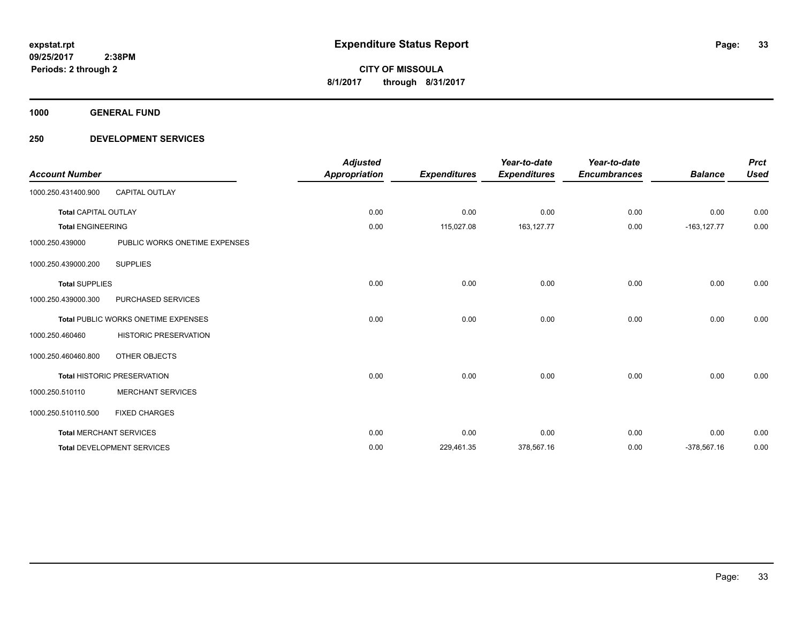**1000 GENERAL FUND**

| <b>Account Number</b>       |                                     | <b>Adjusted</b><br><b>Appropriation</b> | <b>Expenditures</b> | Year-to-date<br><b>Expenditures</b> | Year-to-date<br><b>Encumbrances</b> | <b>Balance</b> | <b>Prct</b><br><b>Used</b> |
|-----------------------------|-------------------------------------|-----------------------------------------|---------------------|-------------------------------------|-------------------------------------|----------------|----------------------------|
| 1000.250.431400.900         | <b>CAPITAL OUTLAY</b>               |                                         |                     |                                     |                                     |                |                            |
| <b>Total CAPITAL OUTLAY</b> |                                     | 0.00                                    | 0.00                | 0.00                                | 0.00                                | 0.00           | 0.00                       |
| <b>Total ENGINEERING</b>    |                                     | 0.00                                    | 115,027.08          | 163,127.77                          | 0.00                                | $-163, 127.77$ | 0.00                       |
| 1000.250.439000             | PUBLIC WORKS ONETIME EXPENSES       |                                         |                     |                                     |                                     |                |                            |
| 1000.250.439000.200         | <b>SUPPLIES</b>                     |                                         |                     |                                     |                                     |                |                            |
| <b>Total SUPPLIES</b>       |                                     | 0.00                                    | 0.00                | 0.00                                | 0.00                                | 0.00           | 0.00                       |
| 1000.250.439000.300         | PURCHASED SERVICES                  |                                         |                     |                                     |                                     |                |                            |
|                             | Total PUBLIC WORKS ONETIME EXPENSES | 0.00                                    | 0.00                | 0.00                                | 0.00                                | 0.00           | 0.00                       |
| 1000.250.460460             | <b>HISTORIC PRESERVATION</b>        |                                         |                     |                                     |                                     |                |                            |
| 1000.250.460460.800         | OTHER OBJECTS                       |                                         |                     |                                     |                                     |                |                            |
|                             | <b>Total HISTORIC PRESERVATION</b>  | 0.00                                    | 0.00                | 0.00                                | 0.00                                | 0.00           | 0.00                       |
| 1000.250.510110             | <b>MERCHANT SERVICES</b>            |                                         |                     |                                     |                                     |                |                            |
| 1000.250.510110.500         | <b>FIXED CHARGES</b>                |                                         |                     |                                     |                                     |                |                            |
|                             | <b>Total MERCHANT SERVICES</b>      | 0.00                                    | 0.00                | 0.00                                | 0.00                                | 0.00           | 0.00                       |
|                             | <b>Total DEVELOPMENT SERVICES</b>   | 0.00                                    | 229,461.35          | 378,567.16                          | 0.00                                | $-378,567.16$  | 0.00                       |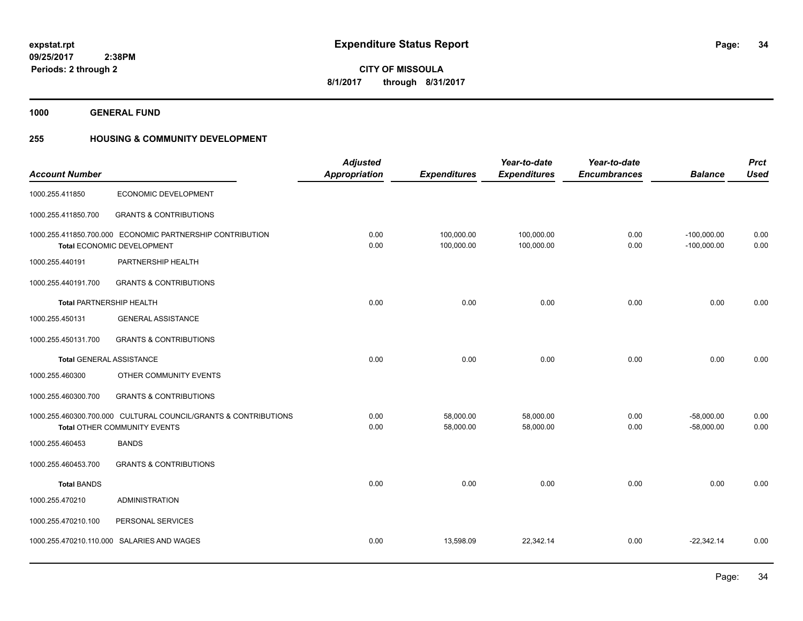**1000 GENERAL FUND**

### **255 HOUSING & COMMUNITY DEVELOPMENT**

|                                 |                                                                                                        | <b>Adjusted</b><br><b>Appropriation</b> |                          | Year-to-date             | Year-to-date        |                                | <b>Prct</b>  |
|---------------------------------|--------------------------------------------------------------------------------------------------------|-----------------------------------------|--------------------------|--------------------------|---------------------|--------------------------------|--------------|
| <b>Account Number</b>           |                                                                                                        |                                         | <b>Expenditures</b>      | <b>Expenditures</b>      | <b>Encumbrances</b> | <b>Balance</b>                 | <b>Used</b>  |
| 1000.255.411850                 | ECONOMIC DEVELOPMENT                                                                                   |                                         |                          |                          |                     |                                |              |
| 1000.255.411850.700             | <b>GRANTS &amp; CONTRIBUTIONS</b>                                                                      |                                         |                          |                          |                     |                                |              |
|                                 | 1000.255.411850.700.000 ECONOMIC PARTNERSHIP CONTRIBUTION<br>Total ECONOMIC DEVELOPMENT                | 0.00<br>0.00                            | 100,000.00<br>100,000.00 | 100,000.00<br>100,000.00 | 0.00<br>0.00        | $-100,000.00$<br>$-100,000.00$ | 0.00<br>0.00 |
|                                 |                                                                                                        |                                         |                          |                          |                     |                                |              |
| 1000.255.440191                 | PARTNERSHIP HEALTH                                                                                     |                                         |                          |                          |                     |                                |              |
| 1000.255.440191.700             | <b>GRANTS &amp; CONTRIBUTIONS</b>                                                                      |                                         |                          |                          |                     |                                |              |
| Total PARTNERSHIP HEALTH        |                                                                                                        | 0.00                                    | 0.00                     | 0.00                     | 0.00                | 0.00                           | 0.00         |
| 1000.255.450131                 | <b>GENERAL ASSISTANCE</b>                                                                              |                                         |                          |                          |                     |                                |              |
| 1000.255.450131.700             | <b>GRANTS &amp; CONTRIBUTIONS</b>                                                                      |                                         |                          |                          |                     |                                |              |
| <b>Total GENERAL ASSISTANCE</b> |                                                                                                        | 0.00                                    | 0.00                     | 0.00                     | 0.00                | 0.00                           | 0.00         |
| 1000.255.460300                 | OTHER COMMUNITY EVENTS                                                                                 |                                         |                          |                          |                     |                                |              |
| 1000.255.460300.700             | <b>GRANTS &amp; CONTRIBUTIONS</b>                                                                      |                                         |                          |                          |                     |                                |              |
|                                 | 1000.255.460300.700.000 CULTURAL COUNCIL/GRANTS & CONTRIBUTIONS<br><b>Total OTHER COMMUNITY EVENTS</b> | 0.00<br>0.00                            | 58,000.00<br>58,000.00   | 58,000.00<br>58,000.00   | 0.00<br>0.00        | $-58,000.00$<br>$-58,000.00$   | 0.00<br>0.00 |
|                                 |                                                                                                        |                                         |                          |                          |                     |                                |              |
| 1000.255.460453                 | <b>BANDS</b>                                                                                           |                                         |                          |                          |                     |                                |              |
| 1000.255.460453.700             | <b>GRANTS &amp; CONTRIBUTIONS</b>                                                                      |                                         |                          |                          |                     |                                |              |
| <b>Total BANDS</b>              |                                                                                                        | 0.00                                    | 0.00                     | 0.00                     | 0.00                | 0.00                           | 0.00         |
| 1000.255.470210                 | <b>ADMINISTRATION</b>                                                                                  |                                         |                          |                          |                     |                                |              |
| 1000.255.470210.100             | PERSONAL SERVICES                                                                                      |                                         |                          |                          |                     |                                |              |
|                                 | 1000.255.470210.110.000 SALARIES AND WAGES                                                             | 0.00                                    | 13,598.09                | 22,342.14                | 0.00                | $-22,342.14$                   | 0.00         |
|                                 |                                                                                                        |                                         |                          |                          |                     |                                |              |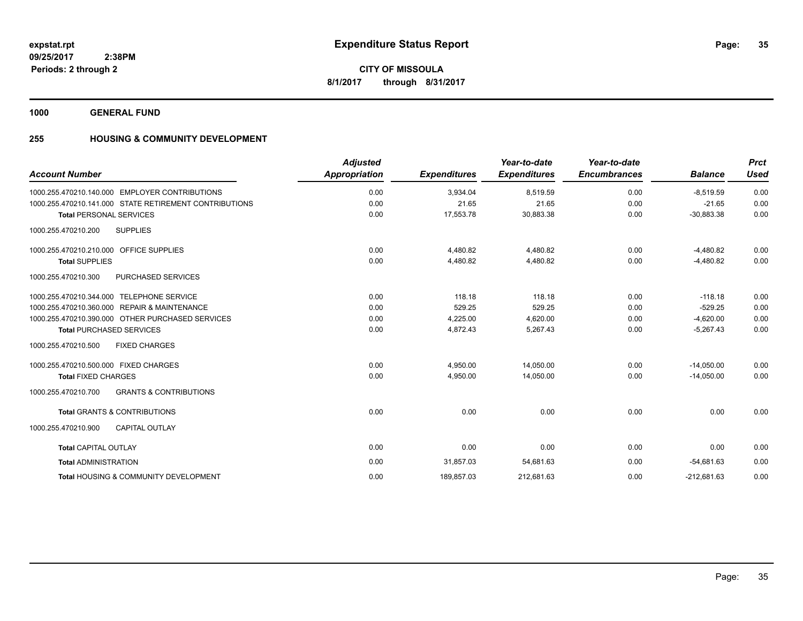**35**

**CITY OF MISSOULA 8/1/2017 through 8/31/2017**

**1000 GENERAL FUND**

### **255 HOUSING & COMMUNITY DEVELOPMENT**

| <b>Account Number</b>                                    | <b>Adjusted</b><br><b>Appropriation</b> | <b>Expenditures</b> | Year-to-date<br><b>Expenditures</b> | Year-to-date<br><b>Encumbrances</b> | <b>Balance</b> | <b>Prct</b><br><b>Used</b> |
|----------------------------------------------------------|-----------------------------------------|---------------------|-------------------------------------|-------------------------------------|----------------|----------------------------|
| 1000.255.470210.140.000 EMPLOYER CONTRIBUTIONS           | 0.00                                    | 3,934.04            | 8,519.59                            | 0.00                                | $-8.519.59$    | 0.00                       |
| 1000.255.470210.141.000 STATE RETIREMENT CONTRIBUTIONS   | 0.00                                    | 21.65               | 21.65                               | 0.00                                | $-21.65$       | 0.00                       |
| <b>Total PERSONAL SERVICES</b>                           | 0.00                                    | 17,553.78           | 30,883.38                           | 0.00                                | $-30,883.38$   | 0.00                       |
| 1000.255.470210.200<br><b>SUPPLIES</b>                   |                                         |                     |                                     |                                     |                |                            |
| 1000.255.470210.210.000 OFFICE SUPPLIES                  | 0.00                                    | 4,480.82            | 4,480.82                            | 0.00                                | $-4,480.82$    | 0.00                       |
| <b>Total SUPPLIES</b>                                    | 0.00                                    | 4,480.82            | 4,480.82                            | 0.00                                | $-4,480.82$    | 0.00                       |
| PURCHASED SERVICES<br>1000.255.470210.300                |                                         |                     |                                     |                                     |                |                            |
| 1000.255.470210.344.000 TELEPHONE SERVICE                | 0.00                                    | 118.18              | 118.18                              | 0.00                                | $-118.18$      | 0.00                       |
| 1000.255.470210.360.000 REPAIR & MAINTENANCE             | 0.00                                    | 529.25              | 529.25                              | 0.00                                | $-529.25$      | 0.00                       |
| 1000.255.470210.390.000 OTHER PURCHASED SERVICES         | 0.00                                    | 4,225.00            | 4,620.00                            | 0.00                                | $-4,620.00$    | 0.00                       |
| <b>Total PURCHASED SERVICES</b>                          | 0.00                                    | 4,872.43            | 5,267.43                            | 0.00                                | $-5,267.43$    | 0.00                       |
| <b>FIXED CHARGES</b><br>1000.255.470210.500              |                                         |                     |                                     |                                     |                |                            |
| 1000.255.470210.500.000 FIXED CHARGES                    | 0.00                                    | 4,950.00            | 14,050.00                           | 0.00                                | $-14.050.00$   | 0.00                       |
| <b>Total FIXED CHARGES</b>                               | 0.00                                    | 4,950.00            | 14,050.00                           | 0.00                                | $-14,050.00$   | 0.00                       |
| <b>GRANTS &amp; CONTRIBUTIONS</b><br>1000.255.470210.700 |                                         |                     |                                     |                                     |                |                            |
| <b>Total GRANTS &amp; CONTRIBUTIONS</b>                  | 0.00                                    | 0.00                | 0.00                                | 0.00                                | 0.00           | 0.00                       |
| 1000.255.470210.900<br><b>CAPITAL OUTLAY</b>             |                                         |                     |                                     |                                     |                |                            |
| <b>Total CAPITAL OUTLAY</b>                              | 0.00                                    | 0.00                | 0.00                                | 0.00                                | 0.00           | 0.00                       |
| <b>Total ADMINISTRATION</b>                              | 0.00                                    | 31,857.03           | 54,681.63                           | 0.00                                | $-54,681.63$   | 0.00                       |
| <b>Total HOUSING &amp; COMMUNITY DEVELOPMENT</b>         | 0.00                                    | 189,857.03          | 212,681.63                          | 0.00                                | $-212.681.63$  | 0.00                       |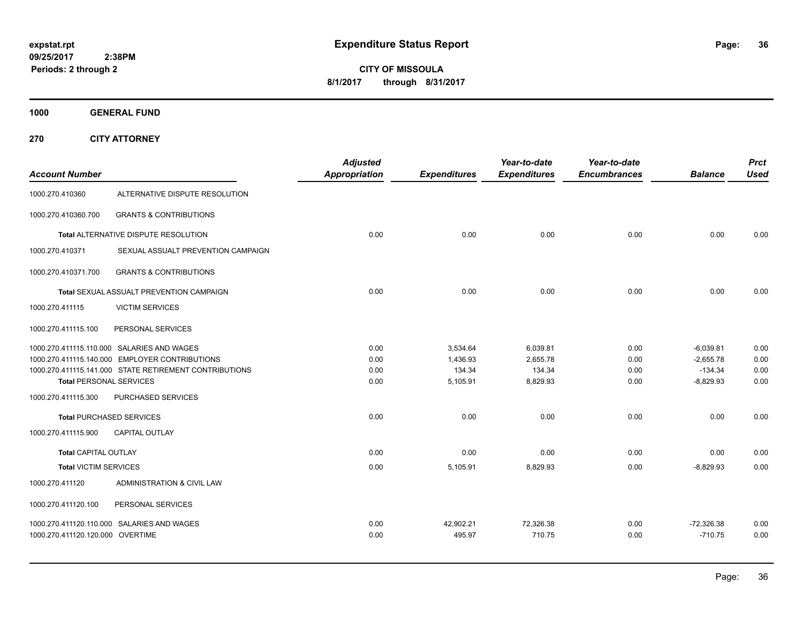**CITY OF MISSOULA 8/1/2017 through 8/31/2017**

**1000 GENERAL FUND**

**270 CITY ATTORNEY**

| <b>Account Number</b>            |                                                        | <b>Adjusted</b><br><b>Appropriation</b> | <b>Expenditures</b> | Year-to-date<br><b>Expenditures</b> | Year-to-date<br><b>Encumbrances</b> | <b>Balance</b> | <b>Prct</b><br><b>Used</b> |
|----------------------------------|--------------------------------------------------------|-----------------------------------------|---------------------|-------------------------------------|-------------------------------------|----------------|----------------------------|
| 1000.270.410360                  | ALTERNATIVE DISPUTE RESOLUTION                         |                                         |                     |                                     |                                     |                |                            |
| 1000.270.410360.700              | <b>GRANTS &amp; CONTRIBUTIONS</b>                      |                                         |                     |                                     |                                     |                |                            |
|                                  | Total ALTERNATIVE DISPUTE RESOLUTION                   | 0.00                                    | 0.00                | 0.00                                | 0.00                                | 0.00           | 0.00                       |
| 1000.270.410371                  | SEXUAL ASSUALT PREVENTION CAMPAIGN                     |                                         |                     |                                     |                                     |                |                            |
| 1000.270.410371.700              | <b>GRANTS &amp; CONTRIBUTIONS</b>                      |                                         |                     |                                     |                                     |                |                            |
|                                  | Total SEXUAL ASSUALT PREVENTION CAMPAIGN               | 0.00                                    | 0.00                | 0.00                                | 0.00                                | 0.00           | 0.00                       |
| 1000.270.411115                  | <b>VICTIM SERVICES</b>                                 |                                         |                     |                                     |                                     |                |                            |
| 1000.270.411115.100              | PERSONAL SERVICES                                      |                                         |                     |                                     |                                     |                |                            |
|                                  | 1000.270.411115.110.000 SALARIES AND WAGES             | 0.00                                    | 3,534.64            | 6,039.81                            | 0.00                                | $-6,039.81$    | 0.00                       |
|                                  | 1000.270.411115.140.000 EMPLOYER CONTRIBUTIONS         | 0.00                                    | 1,436.93            | 2,655.78                            | 0.00                                | $-2,655.78$    | 0.00                       |
|                                  | 1000.270.411115.141.000 STATE RETIREMENT CONTRIBUTIONS | 0.00                                    | 134.34              | 134.34                              | 0.00                                | $-134.34$      | 0.00                       |
| <b>Total PERSONAL SERVICES</b>   |                                                        | 0.00                                    | 5,105.91            | 8,829.93                            | 0.00                                | $-8,829.93$    | 0.00                       |
| 1000.270.411115.300              | PURCHASED SERVICES                                     |                                         |                     |                                     |                                     |                |                            |
|                                  | <b>Total PURCHASED SERVICES</b>                        | 0.00                                    | 0.00                | 0.00                                | 0.00                                | 0.00           | 0.00                       |
| 1000.270.411115.900              | <b>CAPITAL OUTLAY</b>                                  |                                         |                     |                                     |                                     |                |                            |
| <b>Total CAPITAL OUTLAY</b>      |                                                        | 0.00                                    | 0.00                | 0.00                                | 0.00                                | 0.00           | 0.00                       |
| <b>Total VICTIM SERVICES</b>     |                                                        | 0.00                                    | 5,105.91            | 8,829.93                            | 0.00                                | $-8,829.93$    | 0.00                       |
| 1000.270.411120                  | ADMINISTRATION & CIVIL LAW                             |                                         |                     |                                     |                                     |                |                            |
| 1000.270.411120.100              | PERSONAL SERVICES                                      |                                         |                     |                                     |                                     |                |                            |
|                                  | 1000.270.411120.110.000 SALARIES AND WAGES             | 0.00                                    | 42,902.21           | 72,326.38                           | 0.00                                | $-72,326.38$   | 0.00                       |
| 1000.270.411120.120.000 OVERTIME |                                                        | 0.00                                    | 495.97              | 710.75                              | 0.00                                | $-710.75$      | 0.00                       |
|                                  |                                                        |                                         |                     |                                     |                                     |                |                            |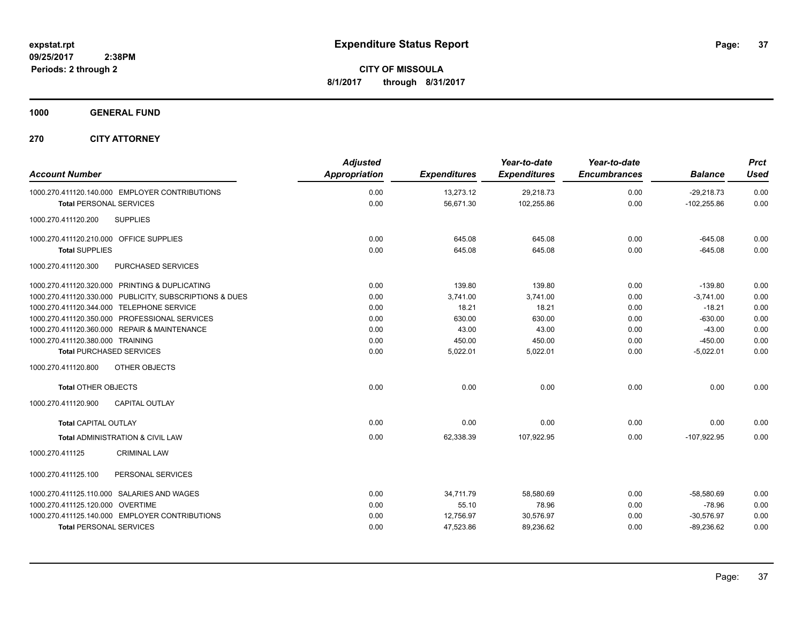**1000 GENERAL FUND**

**270 CITY ATTORNEY**

| <b>Account Number</b>                          |                                                         | <b>Adjusted</b><br>Appropriation | <b>Expenditures</b> | Year-to-date<br><b>Expenditures</b> | Year-to-date<br><b>Encumbrances</b> | <b>Balance</b> | <b>Prct</b><br><b>Used</b> |
|------------------------------------------------|---------------------------------------------------------|----------------------------------|---------------------|-------------------------------------|-------------------------------------|----------------|----------------------------|
| 1000.270.411120.140.000 EMPLOYER CONTRIBUTIONS |                                                         | 0.00                             | 13,273.12           | 29,218.73                           | 0.00                                | $-29.218.73$   | 0.00                       |
| <b>Total PERSONAL SERVICES</b>                 |                                                         | 0.00                             | 56,671.30           | 102,255.86                          | 0.00                                | $-102,255.86$  | 0.00                       |
| 1000.270.411120.200                            | <b>SUPPLIES</b>                                         |                                  |                     |                                     |                                     |                |                            |
| 1000.270.411120.210.000 OFFICE SUPPLIES        |                                                         | 0.00                             | 645.08              | 645.08                              | 0.00                                | $-645.08$      | 0.00                       |
| <b>Total SUPPLIES</b>                          |                                                         | 0.00                             | 645.08              | 645.08                              | 0.00                                | $-645.08$      | 0.00                       |
| 1000.270.411120.300                            | PURCHASED SERVICES                                      |                                  |                     |                                     |                                     |                |                            |
| 1000.270.411120.320.000 PRINTING & DUPLICATING |                                                         | 0.00                             | 139.80              | 139.80                              | 0.00                                | $-139.80$      | 0.00                       |
|                                                | 1000.270.411120.330.000 PUBLICITY, SUBSCRIPTIONS & DUES | 0.00                             | 3,741.00            | 3,741.00                            | 0.00                                | $-3,741.00$    | 0.00                       |
| 1000.270.411120.344.000 TELEPHONE SERVICE      |                                                         | 0.00                             | 18.21               | 18.21                               | 0.00                                | $-18.21$       | 0.00                       |
| 1000.270.411120.350.000 PROFESSIONAL SERVICES  |                                                         | 0.00                             | 630.00              | 630.00                              | 0.00                                | $-630.00$      | 0.00                       |
| 1000.270.411120.360.000 REPAIR & MAINTENANCE   |                                                         | 0.00                             | 43.00               | 43.00                               | 0.00                                | $-43.00$       | 0.00                       |
| 1000.270.411120.380.000 TRAINING               |                                                         | 0.00                             | 450.00              | 450.00                              | 0.00                                | $-450.00$      | 0.00                       |
| <b>Total PURCHASED SERVICES</b>                |                                                         | 0.00                             | 5,022.01            | 5,022.01                            | 0.00                                | $-5,022.01$    | 0.00                       |
| 1000.270.411120.800                            | OTHER OBJECTS                                           |                                  |                     |                                     |                                     |                |                            |
| <b>Total OTHER OBJECTS</b>                     |                                                         | 0.00                             | 0.00                | 0.00                                | 0.00                                | 0.00           | 0.00                       |
| 1000.270.411120.900                            | <b>CAPITAL OUTLAY</b>                                   |                                  |                     |                                     |                                     |                |                            |
| <b>Total CAPITAL OUTLAY</b>                    |                                                         | 0.00                             | 0.00                | 0.00                                | 0.00                                | 0.00           | 0.00                       |
| <b>Total ADMINISTRATION &amp; CIVIL LAW</b>    |                                                         | 0.00                             | 62,338.39           | 107.922.95                          | 0.00                                | $-107.922.95$  | 0.00                       |
| 1000.270.411125                                | <b>CRIMINAL LAW</b>                                     |                                  |                     |                                     |                                     |                |                            |
| 1000.270.411125.100                            | PERSONAL SERVICES                                       |                                  |                     |                                     |                                     |                |                            |
| 1000.270.411125.110.000 SALARIES AND WAGES     |                                                         | 0.00                             | 34,711.79           | 58,580.69                           | 0.00                                | $-58,580.69$   | 0.00                       |
| 1000.270.411125.120.000 OVERTIME               |                                                         | 0.00                             | 55.10               | 78.96                               | 0.00                                | $-78.96$       | 0.00                       |
| 1000.270.411125.140.000 EMPLOYER CONTRIBUTIONS |                                                         | 0.00                             | 12,756.97           | 30,576.97                           | 0.00                                | $-30,576.97$   | 0.00                       |
| <b>Total PERSONAL SERVICES</b>                 |                                                         | 0.00                             | 47,523.86           | 89,236.62                           | 0.00                                | $-89,236.62$   | 0.00                       |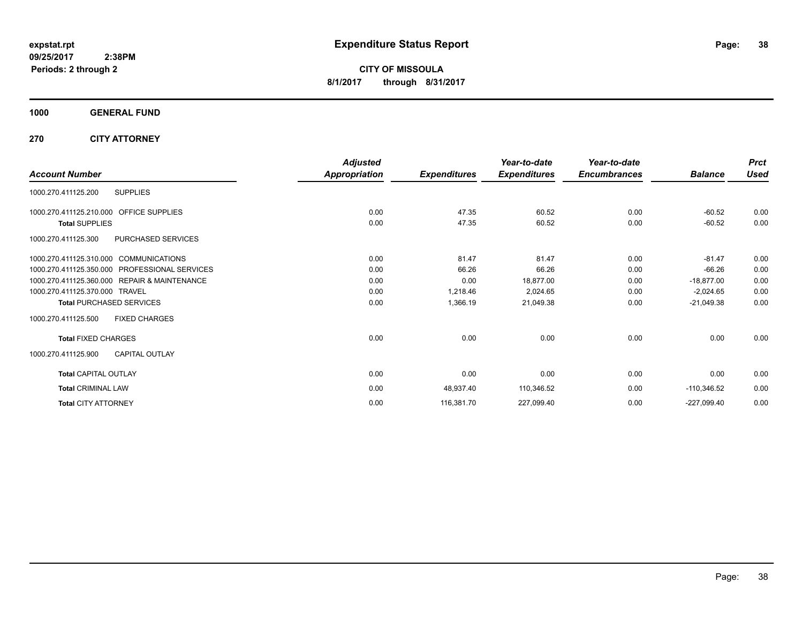**CITY OF MISSOULA 8/1/2017 through 8/31/2017**

**1000 GENERAL FUND**

**270 CITY ATTORNEY**

|                                                   | <b>Adjusted</b> |                     | Year-to-date        | Year-to-date        |                | <b>Prct</b> |
|---------------------------------------------------|-----------------|---------------------|---------------------|---------------------|----------------|-------------|
| <b>Account Number</b>                             | Appropriation   | <b>Expenditures</b> | <b>Expenditures</b> | <b>Encumbrances</b> | <b>Balance</b> | <b>Used</b> |
| 1000.270.411125.200<br><b>SUPPLIES</b>            |                 |                     |                     |                     |                |             |
| 1000.270.411125.210.000<br><b>OFFICE SUPPLIES</b> | 0.00            | 47.35               | 60.52               | 0.00                | $-60.52$       | 0.00        |
| <b>Total SUPPLIES</b>                             | 0.00            | 47.35               | 60.52               | 0.00                | $-60.52$       | 0.00        |
| PURCHASED SERVICES<br>1000.270.411125.300         |                 |                     |                     |                     |                |             |
| 1000.270.411125.310.000 COMMUNICATIONS            | 0.00            | 81.47               | 81.47               | 0.00                | $-81.47$       | 0.00        |
| 1000.270.411125.350.000 PROFESSIONAL SERVICES     | 0.00            | 66.26               | 66.26               | 0.00                | $-66.26$       | 0.00        |
| 1000.270.411125.360.000 REPAIR & MAINTENANCE      | 0.00            | 0.00                | 18,877.00           | 0.00                | $-18,877.00$   | 0.00        |
| 1000.270.411125.370.000<br>TRAVEL                 | 0.00            | 1,218.46            | 2,024.65            | 0.00                | $-2,024.65$    | 0.00        |
| <b>Total PURCHASED SERVICES</b>                   | 0.00            | 1,366.19            | 21,049.38           | 0.00                | $-21,049.38$   | 0.00        |
| 1000.270.411125.500<br><b>FIXED CHARGES</b>       |                 |                     |                     |                     |                |             |
| <b>Total FIXED CHARGES</b>                        | 0.00            | 0.00                | 0.00                | 0.00                | 0.00           | 0.00        |
| <b>CAPITAL OUTLAY</b><br>1000.270.411125.900      |                 |                     |                     |                     |                |             |
| <b>Total CAPITAL OUTLAY</b>                       | 0.00            | 0.00                | 0.00                | 0.00                | 0.00           | 0.00        |
| <b>Total CRIMINAL LAW</b>                         | 0.00            | 48,937.40           | 110,346.52          | 0.00                | $-110,346.52$  | 0.00        |
| <b>Total CITY ATTORNEY</b>                        | 0.00            | 116,381.70          | 227,099.40          | 0.00                | $-227,099.40$  | 0.00        |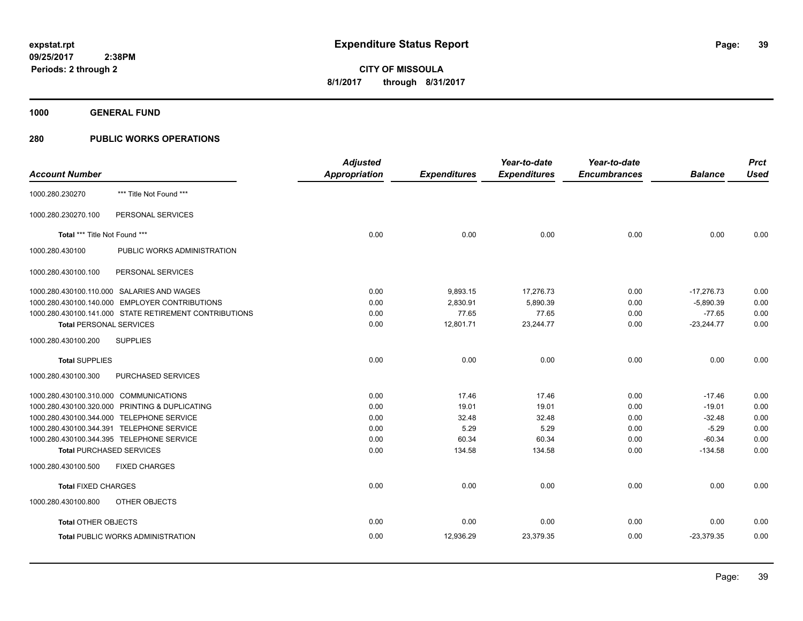**1000 GENERAL FUND**

|                                        |                                                        | <b>Adjusted</b>      |                     | Year-to-date        | Year-to-date        |                | <b>Prct</b> |
|----------------------------------------|--------------------------------------------------------|----------------------|---------------------|---------------------|---------------------|----------------|-------------|
| <b>Account Number</b>                  |                                                        | <b>Appropriation</b> | <b>Expenditures</b> | <b>Expenditures</b> | <b>Encumbrances</b> | <b>Balance</b> | <b>Used</b> |
| 1000.280.230270                        | *** Title Not Found ***                                |                      |                     |                     |                     |                |             |
| 1000.280.230270.100                    | PERSONAL SERVICES                                      |                      |                     |                     |                     |                |             |
| Total *** Title Not Found ***          |                                                        | 0.00                 | 0.00                | 0.00                | 0.00                | 0.00           | 0.00        |
| 1000.280.430100                        | PUBLIC WORKS ADMINISTRATION                            |                      |                     |                     |                     |                |             |
| 1000.280.430100.100                    | PERSONAL SERVICES                                      |                      |                     |                     |                     |                |             |
|                                        | 1000.280.430100.110.000 SALARIES AND WAGES             | 0.00                 | 9,893.15            | 17,276.73           | 0.00                | $-17,276.73$   | 0.00        |
|                                        | 1000.280.430100.140.000 EMPLOYER CONTRIBUTIONS         | 0.00                 | 2,830.91            | 5,890.39            | 0.00                | $-5,890.39$    | 0.00        |
|                                        | 1000.280.430100.141.000 STATE RETIREMENT CONTRIBUTIONS | 0.00                 | 77.65               | 77.65               | 0.00                | $-77.65$       | 0.00        |
| <b>Total PERSONAL SERVICES</b>         |                                                        | 0.00                 | 12,801.71           | 23,244.77           | 0.00                | $-23,244.77$   | 0.00        |
| 1000.280.430100.200                    | <b>SUPPLIES</b>                                        |                      |                     |                     |                     |                |             |
| <b>Total SUPPLIES</b>                  |                                                        | 0.00                 | 0.00                | 0.00                | 0.00                | 0.00           | 0.00        |
| 1000.280.430100.300                    | PURCHASED SERVICES                                     |                      |                     |                     |                     |                |             |
| 1000.280.430100.310.000 COMMUNICATIONS |                                                        | 0.00                 | 17.46               | 17.46               | 0.00                | $-17.46$       | 0.00        |
|                                        | 1000.280.430100.320.000 PRINTING & DUPLICATING         | 0.00                 | 19.01               | 19.01               | 0.00                | $-19.01$       | 0.00        |
|                                        | 1000.280.430100.344.000 TELEPHONE SERVICE              | 0.00                 | 32.48               | 32.48               | 0.00                | $-32.48$       | 0.00        |
|                                        | 1000.280.430100.344.391 TELEPHONE SERVICE              | 0.00                 | 5.29                | 5.29                | 0.00                | $-5.29$        | 0.00        |
|                                        | 1000.280.430100.344.395 TELEPHONE SERVICE              | 0.00                 | 60.34               | 60.34               | 0.00                | $-60.34$       | 0.00        |
| <b>Total PURCHASED SERVICES</b>        |                                                        | 0.00                 | 134.58              | 134.58              | 0.00                | $-134.58$      | 0.00        |
| 1000.280.430100.500                    | <b>FIXED CHARGES</b>                                   |                      |                     |                     |                     |                |             |
| <b>Total FIXED CHARGES</b>             |                                                        | 0.00                 | 0.00                | 0.00                | 0.00                | 0.00           | 0.00        |
| 1000.280.430100.800                    | OTHER OBJECTS                                          |                      |                     |                     |                     |                |             |
| <b>Total OTHER OBJECTS</b>             |                                                        | 0.00                 | 0.00                | 0.00                | 0.00                | 0.00           | 0.00        |
|                                        | <b>Total PUBLIC WORKS ADMINISTRATION</b>               | 0.00                 | 12,936.29           | 23,379.35           | 0.00                | $-23,379.35$   | 0.00        |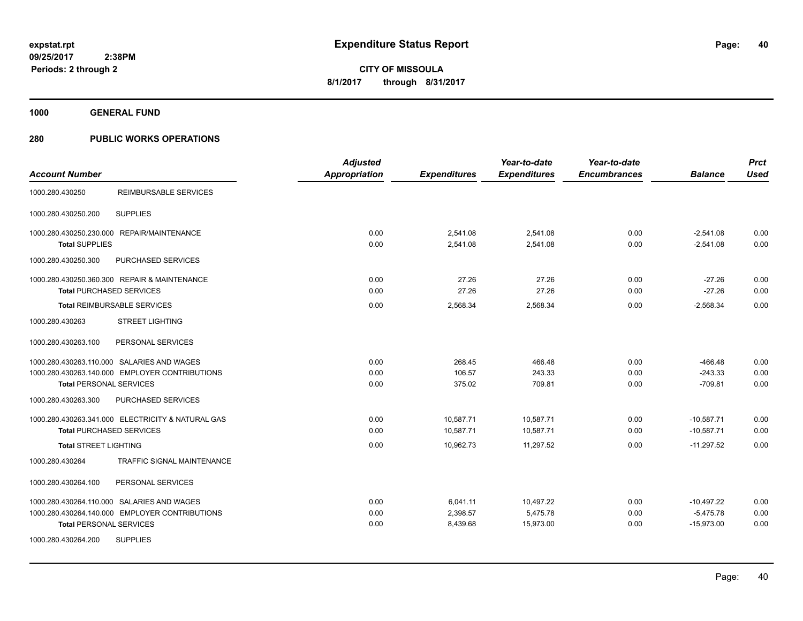**1000 GENERAL FUND**

|                                                   | <b>Adjusted</b> |                     | Year-to-date        | Year-to-date        |                | <b>Prct</b> |
|---------------------------------------------------|-----------------|---------------------|---------------------|---------------------|----------------|-------------|
| <b>Account Number</b>                             | Appropriation   | <b>Expenditures</b> | <b>Expenditures</b> | <b>Encumbrances</b> | <b>Balance</b> | <b>Used</b> |
| 1000.280.430250<br>REIMBURSABLE SERVICES          |                 |                     |                     |                     |                |             |
| <b>SUPPLIES</b><br>1000.280.430250.200            |                 |                     |                     |                     |                |             |
| 1000.280.430250.230.000 REPAIR/MAINTENANCE        | 0.00            | 2.541.08            | 2.541.08            | 0.00                | $-2,541.08$    | 0.00        |
| <b>Total SUPPLIES</b>                             | 0.00            | 2,541.08            | 2,541.08            | 0.00                | $-2,541.08$    | 0.00        |
| 1000.280.430250.300<br>PURCHASED SERVICES         |                 |                     |                     |                     |                |             |
| 1000.280.430250.360.300 REPAIR & MAINTENANCE      | 0.00            | 27.26               | 27.26               | 0.00                | $-27.26$       | 0.00        |
| <b>Total PURCHASED SERVICES</b>                   | 0.00            | 27.26               | 27.26               | 0.00                | $-27.26$       | 0.00        |
| <b>Total REIMBURSABLE SERVICES</b>                | 0.00            | 2,568.34            | 2,568.34            | 0.00                | $-2,568.34$    | 0.00        |
| 1000.280.430263<br><b>STREET LIGHTING</b>         |                 |                     |                     |                     |                |             |
| 1000.280.430263.100<br>PERSONAL SERVICES          |                 |                     |                     |                     |                |             |
| 1000.280.430263.110.000 SALARIES AND WAGES        | 0.00            | 268.45              | 466.48              | 0.00                | $-466.48$      | 0.00        |
| 1000.280.430263.140.000 EMPLOYER CONTRIBUTIONS    | 0.00            | 106.57              | 243.33              | 0.00                | $-243.33$      | 0.00        |
| <b>Total PERSONAL SERVICES</b>                    | 0.00            | 375.02              | 709.81              | 0.00                | $-709.81$      | 0.00        |
| 1000.280.430263.300<br>PURCHASED SERVICES         |                 |                     |                     |                     |                |             |
| 1000.280.430263.341.000 ELECTRICITY & NATURAL GAS | 0.00            | 10,587.71           | 10,587.71           | 0.00                | $-10,587.71$   | 0.00        |
| <b>Total PURCHASED SERVICES</b>                   | 0.00            | 10,587.71           | 10.587.71           | 0.00                | $-10.587.71$   | 0.00        |
| <b>Total STREET LIGHTING</b>                      | 0.00            | 10,962.73           | 11,297.52           | 0.00                | $-11,297.52$   | 0.00        |
| 1000.280.430264<br>TRAFFIC SIGNAL MAINTENANCE     |                 |                     |                     |                     |                |             |
| 1000.280.430264.100<br>PERSONAL SERVICES          |                 |                     |                     |                     |                |             |
| 1000.280.430264.110.000 SALARIES AND WAGES        | 0.00            | 6,041.11            | 10,497.22           | 0.00                | $-10,497.22$   | 0.00        |
| 1000.280.430264.140.000 EMPLOYER CONTRIBUTIONS    | 0.00            | 2,398.57            | 5,475.78            | 0.00                | $-5,475.78$    | 0.00        |
| <b>Total PERSONAL SERVICES</b>                    | 0.00            | 8,439.68            | 15,973.00           | 0.00                | $-15,973.00$   | 0.00        |
| 1000.280.430264.200<br><b>SUPPLIES</b>            |                 |                     |                     |                     |                |             |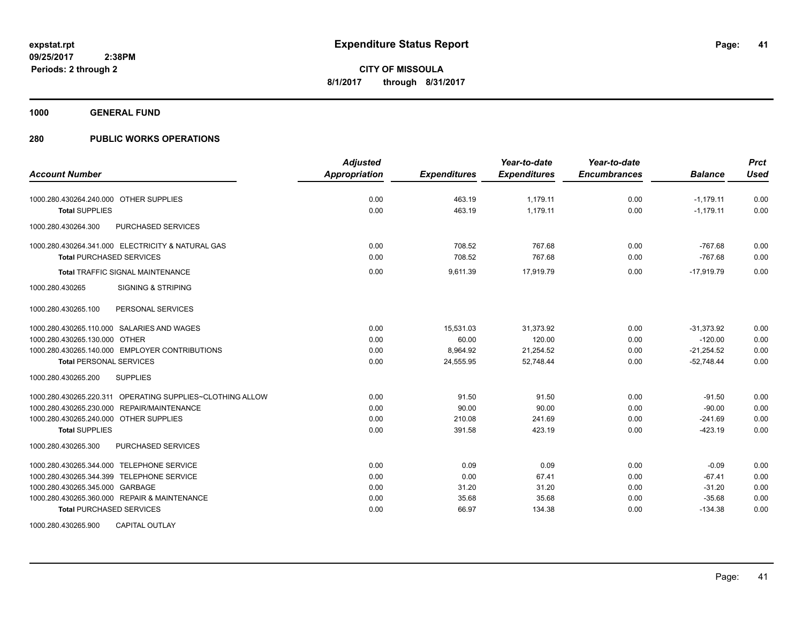**1000 GENERAL FUND**

| <b>Account Number</b>                                     | <b>Adjusted</b><br><b>Appropriation</b> | <b>Expenditures</b> | Year-to-date<br><b>Expenditures</b> | Year-to-date<br><b>Encumbrances</b> | <b>Balance</b> | <b>Prct</b><br><b>Used</b> |
|-----------------------------------------------------------|-----------------------------------------|---------------------|-------------------------------------|-------------------------------------|----------------|----------------------------|
|                                                           |                                         |                     |                                     |                                     |                |                            |
| 1000.280.430264.240.000 OTHER SUPPLIES                    | 0.00                                    | 463.19              | 1,179.11                            | 0.00                                | $-1,179.11$    | 0.00                       |
| <b>Total SUPPLIES</b>                                     | 0.00                                    | 463.19              | 1.179.11                            | 0.00                                | $-1,179.11$    | 0.00                       |
| PURCHASED SERVICES<br>1000.280.430264.300                 |                                         |                     |                                     |                                     |                |                            |
| 1000.280.430264.341.000 ELECTRICITY & NATURAL GAS         | 0.00                                    | 708.52              | 767.68                              | 0.00                                | $-767.68$      | 0.00                       |
| <b>Total PURCHASED SERVICES</b>                           | 0.00                                    | 708.52              | 767.68                              | 0.00                                | $-767.68$      | 0.00                       |
| <b>Total TRAFFIC SIGNAL MAINTENANCE</b>                   | 0.00                                    | 9,611.39            | 17,919.79                           | 0.00                                | $-17.919.79$   | 0.00                       |
| <b>SIGNING &amp; STRIPING</b><br>1000.280.430265          |                                         |                     |                                     |                                     |                |                            |
| 1000.280.430265.100<br>PERSONAL SERVICES                  |                                         |                     |                                     |                                     |                |                            |
| 1000.280.430265.110.000 SALARIES AND WAGES                | 0.00                                    | 15,531.03           | 31,373.92                           | 0.00                                | $-31,373.92$   | 0.00                       |
| 1000.280.430265.130.000 OTHER                             | 0.00                                    | 60.00               | 120.00                              | 0.00                                | $-120.00$      | 0.00                       |
| 1000.280.430265.140.000 EMPLOYER CONTRIBUTIONS            | 0.00                                    | 8,964.92            | 21,254.52                           | 0.00                                | $-21,254.52$   | 0.00                       |
| <b>Total PERSONAL SERVICES</b>                            | 0.00                                    | 24,555.95           | 52,748.44                           | 0.00                                | $-52,748.44$   | 0.00                       |
| 1000.280.430265.200<br><b>SUPPLIES</b>                    |                                         |                     |                                     |                                     |                |                            |
| 1000.280.430265.220.311 OPERATING SUPPLIES~CLOTHING ALLOW | 0.00                                    | 91.50               | 91.50                               | 0.00                                | $-91.50$       | 0.00                       |
| 1000.280.430265.230.000 REPAIR/MAINTENANCE                | 0.00                                    | 90.00               | 90.00                               | 0.00                                | $-90.00$       | 0.00                       |
| 1000.280.430265.240.000 OTHER SUPPLIES                    | 0.00                                    | 210.08              | 241.69                              | 0.00                                | $-241.69$      | 0.00                       |
| <b>Total SUPPLIES</b>                                     | 0.00                                    | 391.58              | 423.19                              | 0.00                                | $-423.19$      | 0.00                       |
| PURCHASED SERVICES<br>1000.280.430265.300                 |                                         |                     |                                     |                                     |                |                            |
| 1000.280.430265.344.000 TELEPHONE SERVICE                 | 0.00                                    | 0.09                | 0.09                                | 0.00                                | $-0.09$        | 0.00                       |
| 1000.280.430265.344.399 TELEPHONE SERVICE                 | 0.00                                    | 0.00                | 67.41                               | 0.00                                | $-67.41$       | 0.00                       |
| 1000.280.430265.345.000 GARBAGE                           | 0.00                                    | 31.20               | 31.20                               | 0.00                                | $-31.20$       | 0.00                       |
| 1000.280.430265.360.000 REPAIR & MAINTENANCE              | 0.00                                    | 35.68               | 35.68                               | 0.00                                | $-35.68$       | 0.00                       |
| <b>Total PURCHASED SERVICES</b>                           | 0.00                                    | 66.97               | 134.38                              | 0.00                                | $-134.38$      | 0.00                       |
| <b>CAPITAL OUTLAY</b><br>1000.280.430265.900              |                                         |                     |                                     |                                     |                |                            |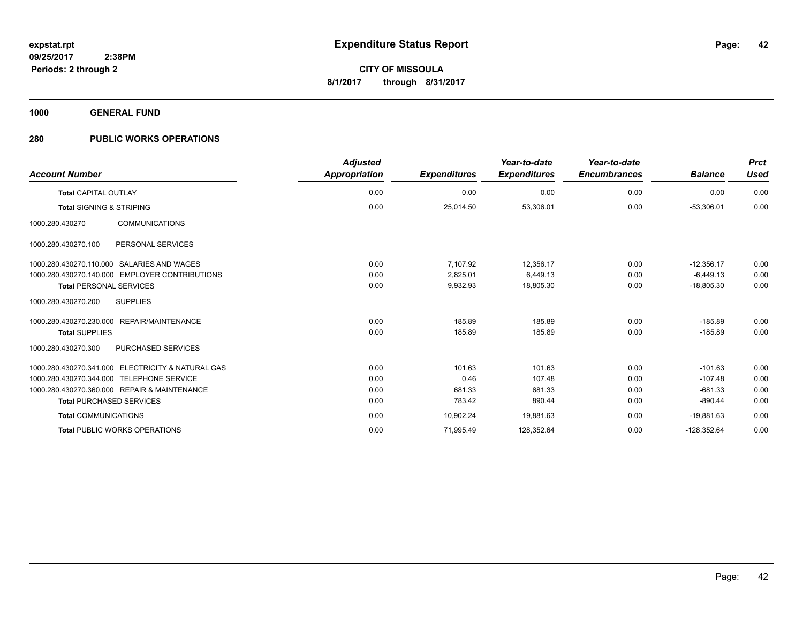**1000 GENERAL FUND**

| <b>Account Number</b>                             | <b>Adjusted</b><br><b>Appropriation</b> | <b>Expenditures</b> | Year-to-date<br><b>Expenditures</b> | Year-to-date<br><b>Encumbrances</b> | <b>Balance</b> | <b>Prct</b><br><b>Used</b> |
|---------------------------------------------------|-----------------------------------------|---------------------|-------------------------------------|-------------------------------------|----------------|----------------------------|
| <b>Total CAPITAL OUTLAY</b>                       | 0.00                                    | 0.00                | 0.00                                | 0.00                                | 0.00           | 0.00                       |
| <b>Total SIGNING &amp; STRIPING</b>               | 0.00                                    | 25,014.50           | 53,306.01                           | 0.00                                | $-53,306.01$   | 0.00                       |
| <b>COMMUNICATIONS</b><br>1000.280.430270          |                                         |                     |                                     |                                     |                |                            |
| 1000.280.430270.100<br>PERSONAL SERVICES          |                                         |                     |                                     |                                     |                |                            |
| 1000.280.430270.110.000 SALARIES AND WAGES        | 0.00                                    | 7.107.92            | 12.356.17                           | 0.00                                | $-12.356.17$   | 0.00                       |
| 1000.280.430270.140.000 EMPLOYER CONTRIBUTIONS    | 0.00                                    | 2.825.01            | 6.449.13                            | 0.00                                | $-6.449.13$    | 0.00                       |
| <b>Total PERSONAL SERVICES</b>                    | 0.00                                    | 9,932.93            | 18,805.30                           | 0.00                                | $-18.805.30$   | 0.00                       |
| 1000.280.430270.200<br><b>SUPPLIES</b>            |                                         |                     |                                     |                                     |                |                            |
| 1000.280.430270.230.000 REPAIR/MAINTENANCE        | 0.00                                    | 185.89              | 185.89                              | 0.00                                | $-185.89$      | 0.00                       |
| <b>Total SUPPLIES</b>                             | 0.00                                    | 185.89              | 185.89                              | 0.00                                | $-185.89$      | 0.00                       |
| PURCHASED SERVICES<br>1000.280.430270.300         |                                         |                     |                                     |                                     |                |                            |
| 1000.280.430270.341.000 ELECTRICITY & NATURAL GAS | 0.00                                    | 101.63              | 101.63                              | 0.00                                | $-101.63$      | 0.00                       |
| 1000.280.430270.344.000 TELEPHONE SERVICE         | 0.00                                    | 0.46                | 107.48                              | 0.00                                | $-107.48$      | 0.00                       |
| 1000.280.430270.360.000 REPAIR & MAINTENANCE      | 0.00                                    | 681.33              | 681.33                              | 0.00                                | $-681.33$      | 0.00                       |
| <b>Total PURCHASED SERVICES</b>                   | 0.00                                    | 783.42              | 890.44                              | 0.00                                | $-890.44$      | 0.00                       |
| <b>Total COMMUNICATIONS</b>                       | 0.00                                    | 10,902.24           | 19,881.63                           | 0.00                                | $-19.881.63$   | 0.00                       |
| <b>Total PUBLIC WORKS OPERATIONS</b>              | 0.00                                    | 71,995.49           | 128,352.64                          | 0.00                                | $-128,352.64$  | 0.00                       |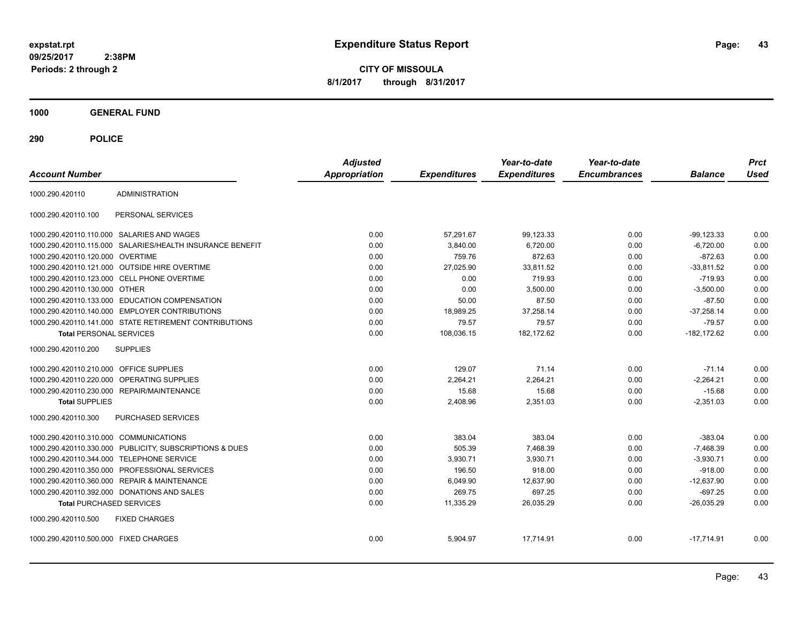**43**

**CITY OF MISSOULA 8/1/2017 through 8/31/2017**

**1000 GENERAL FUND**

| <b>Account Number</b>                   |                                                        | <b>Adjusted</b><br><b>Appropriation</b> | <b>Expenditures</b> | Year-to-date<br><b>Expenditures</b> | Year-to-date<br><b>Encumbrances</b> | <b>Balance</b> | <b>Prct</b><br><b>Used</b> |
|-----------------------------------------|--------------------------------------------------------|-----------------------------------------|---------------------|-------------------------------------|-------------------------------------|----------------|----------------------------|
| 1000.290.420110                         | <b>ADMINISTRATION</b>                                  |                                         |                     |                                     |                                     |                |                            |
| 1000.290.420110.100                     | PERSONAL SERVICES                                      |                                         |                     |                                     |                                     |                |                            |
|                                         | 1000.290.420110.110.000 SALARIES AND WAGES             | 0.00                                    | 57,291.67           | 99,123.33                           | 0.00                                | $-99, 123.33$  | 0.00                       |
| 1000.290.420110.115.000                 | SALARIES/HEALTH INSURANCE BENEFIT                      | 0.00                                    | 3,840.00            | 6,720.00                            | 0.00                                | $-6,720.00$    | 0.00                       |
| 1000.290.420110.120.000 OVERTIME        |                                                        | 0.00                                    | 759.76              | 872.63                              | 0.00                                | $-872.63$      | 0.00                       |
|                                         | 1000.290.420110.121.000 OUTSIDE HIRE OVERTIME          | 0.00                                    | 27,025.90           | 33,811.52                           | 0.00                                | $-33,811.52$   | 0.00                       |
|                                         | 1000.290.420110.123.000 CELL PHONE OVERTIME            | 0.00                                    | 0.00                | 719.93                              | 0.00                                | $-719.93$      | 0.00                       |
| 1000.290.420110.130.000 OTHER           |                                                        | 0.00                                    | 0.00                | 3.500.00                            | 0.00                                | $-3.500.00$    | 0.00                       |
| 1000.290.420110.133.000                 | EDUCATION COMPENSATION                                 | 0.00                                    | 50.00               | 87.50                               | 0.00                                | $-87.50$       | 0.00                       |
| 1000.290.420110.140.000                 | <b>EMPLOYER CONTRIBUTIONS</b>                          | 0.00                                    | 18,989.25           | 37,258.14                           | 0.00                                | $-37,258.14$   | 0.00                       |
|                                         | 1000.290.420110.141.000 STATE RETIREMENT CONTRIBUTIONS | 0.00                                    | 79.57               | 79.57                               | 0.00                                | $-79.57$       | 0.00                       |
| <b>Total PERSONAL SERVICES</b>          |                                                        | 0.00                                    | 108,036.15          | 182,172.62                          | 0.00                                | $-182, 172.62$ | 0.00                       |
| 1000.290.420110.200                     | <b>SUPPLIES</b>                                        |                                         |                     |                                     |                                     |                |                            |
| 1000.290.420110.210.000 OFFICE SUPPLIES |                                                        | 0.00                                    | 129.07              | 71.14                               | 0.00                                | $-71.14$       | 0.00                       |
| 1000.290.420110.220.000                 | <b>OPERATING SUPPLIES</b>                              | 0.00                                    | 2,264.21            | 2,264.21                            | 0.00                                | $-2.264.21$    | 0.00                       |
| 1000.290.420110.230.000                 | <b>REPAIR/MAINTENANCE</b>                              | 0.00                                    | 15.68               | 15.68                               | 0.00                                | $-15.68$       | 0.00                       |
| <b>Total SUPPLIES</b>                   |                                                        | 0.00                                    | 2.408.96            | 2,351.03                            | 0.00                                | $-2,351.03$    | 0.00                       |
| 1000.290.420110.300                     | PURCHASED SERVICES                                     |                                         |                     |                                     |                                     |                |                            |
| 1000.290.420110.310.000 COMMUNICATIONS  |                                                        | 0.00                                    | 383.04              | 383.04                              | 0.00                                | $-383.04$      | 0.00                       |
| 1000.290.420110.330.000                 | PUBLICITY, SUBSCRIPTIONS & DUES                        | 0.00                                    | 505.39              | 7,468.39                            | 0.00                                | $-7,468.39$    | 0.00                       |
| 1000.290.420110.344.000                 | <b>TELEPHONE SERVICE</b>                               | 0.00                                    | 3,930.71            | 3,930.71                            | 0.00                                | $-3,930.71$    | 0.00                       |
| 1000.290.420110.350.000                 | PROFESSIONAL SERVICES                                  | 0.00                                    | 196.50              | 918.00                              | 0.00                                | $-918.00$      | 0.00                       |
| 1000.290.420110.360.000                 | <b>REPAIR &amp; MAINTENANCE</b>                        | 0.00                                    | 6,049.90            | 12,637.90                           | 0.00                                | $-12,637.90$   | 0.00                       |
|                                         | 1000.290.420110.392.000 DONATIONS AND SALES            | 0.00                                    | 269.75              | 697.25                              | 0.00                                | $-697.25$      | 0.00                       |
| <b>Total PURCHASED SERVICES</b>         |                                                        | 0.00                                    | 11,335.29           | 26,035.29                           | 0.00                                | $-26,035.29$   | 0.00                       |
| 1000.290.420110.500                     | <b>FIXED CHARGES</b>                                   |                                         |                     |                                     |                                     |                |                            |
| 1000.290.420110.500.000 FIXED CHARGES   |                                                        | 0.00                                    | 5,904.97            | 17,714.91                           | 0.00                                | $-17,714.91$   | 0.00                       |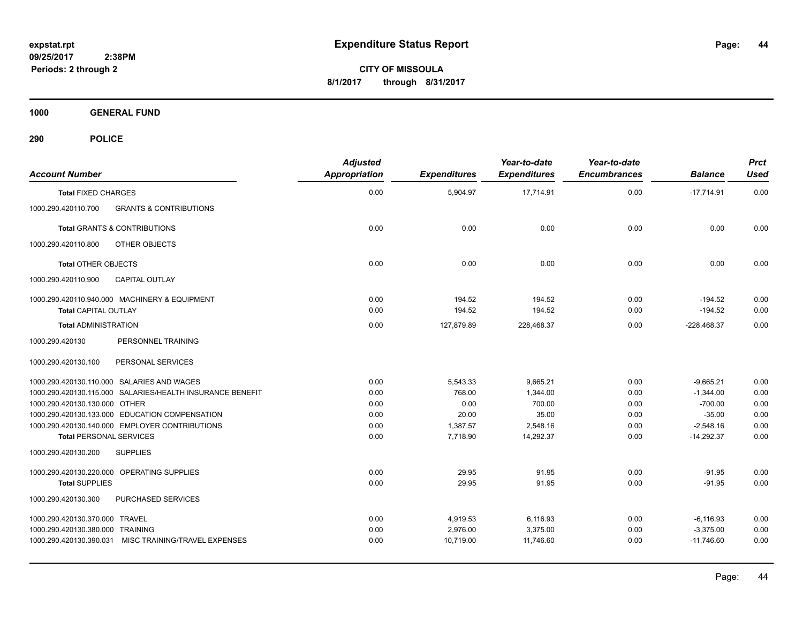**CITY OF MISSOULA 8/1/2017 through 8/31/2017**

**1000 GENERAL FUND**

| <b>Account Number</b>                                      |                                                           | <b>Adjusted</b><br><b>Appropriation</b> | <b>Expenditures</b>  | Year-to-date<br><b>Expenditures</b> | Year-to-date<br><b>Encumbrances</b> | <b>Balance</b>             | <b>Prct</b><br><b>Used</b> |
|------------------------------------------------------------|-----------------------------------------------------------|-----------------------------------------|----------------------|-------------------------------------|-------------------------------------|----------------------------|----------------------------|
| <b>Total FIXED CHARGES</b>                                 |                                                           | 0.00                                    | 5,904.97             | 17,714.91                           | 0.00                                | $-17,714.91$               | 0.00                       |
| 1000.290.420110.700                                        | <b>GRANTS &amp; CONTRIBUTIONS</b>                         |                                         |                      |                                     |                                     |                            |                            |
|                                                            | <b>Total GRANTS &amp; CONTRIBUTIONS</b>                   | 0.00                                    | 0.00                 | 0.00                                | 0.00                                | 0.00                       | 0.00                       |
| 1000.290.420110.800                                        | OTHER OBJECTS                                             |                                         |                      |                                     |                                     |                            |                            |
| <b>Total OTHER OBJECTS</b>                                 |                                                           | 0.00                                    | 0.00                 | 0.00                                | 0.00                                | 0.00                       | 0.00                       |
| 1000.290.420110.900                                        | <b>CAPITAL OUTLAY</b>                                     |                                         |                      |                                     |                                     |                            |                            |
|                                                            | 1000.290.420110.940.000 MACHINERY & EQUIPMENT             | 0.00                                    | 194.52               | 194.52                              | 0.00                                | $-194.52$                  | 0.00                       |
| <b>Total CAPITAL OUTLAY</b><br><b>Total ADMINISTRATION</b> |                                                           | 0.00<br>0.00                            | 194.52<br>127,879.89 | 194.52<br>228,468.37                | 0.00<br>0.00                        | $-194.52$<br>$-228,468.37$ | 0.00<br>0.00               |
| 1000.290.420130                                            | PERSONNEL TRAINING                                        |                                         |                      |                                     |                                     |                            |                            |
| 1000.290.420130.100                                        | PERSONAL SERVICES                                         |                                         |                      |                                     |                                     |                            |                            |
|                                                            | 1000.290.420130.110.000 SALARIES AND WAGES                | 0.00                                    | 5,543.33             | 9,665.21                            | 0.00                                | $-9,665.21$                | 0.00                       |
|                                                            | 1000.290.420130.115.000 SALARIES/HEALTH INSURANCE BENEFIT | 0.00                                    | 768.00               | 1.344.00                            | 0.00                                | $-1,344.00$                | 0.00                       |
| 1000.290.420130.130.000 OTHER                              |                                                           | 0.00                                    | 0.00                 | 700.00                              | 0.00                                | $-700.00$                  | 0.00                       |
|                                                            | 1000.290.420130.133.000 EDUCATION COMPENSATION            | 0.00                                    | 20.00                | 35.00                               | 0.00                                | $-35.00$                   | 0.00                       |
|                                                            | 1000.290.420130.140.000 EMPLOYER CONTRIBUTIONS            | 0.00                                    | 1,387.57             | 2,548.16                            | 0.00                                | $-2,548.16$                | 0.00                       |
| <b>Total PERSONAL SERVICES</b>                             |                                                           | 0.00                                    | 7,718.90             | 14,292.37                           | 0.00                                | $-14,292.37$               | 0.00                       |
| 1000.290.420130.200                                        | <b>SUPPLIES</b>                                           |                                         |                      |                                     |                                     |                            |                            |
|                                                            | 1000.290.420130.220.000 OPERATING SUPPLIES                | 0.00                                    | 29.95                | 91.95                               | 0.00                                | $-91.95$                   | 0.00                       |
| <b>Total SUPPLIES</b>                                      |                                                           | 0.00                                    | 29.95                | 91.95                               | 0.00                                | $-91.95$                   | 0.00                       |
| 1000.290.420130.300                                        | PURCHASED SERVICES                                        |                                         |                      |                                     |                                     |                            |                            |
| 1000.290.420130.370.000 TRAVEL                             |                                                           | 0.00                                    | 4,919.53             | 6,116.93                            | 0.00                                | $-6, 116.93$               | 0.00                       |
| 1000.290.420130.380.000 TRAINING                           |                                                           | 0.00                                    | 2,976.00             | 3,375.00                            | 0.00                                | $-3,375.00$                | 0.00                       |
|                                                            | 1000.290.420130.390.031 MISC TRAINING/TRAVEL EXPENSES     | 0.00                                    | 10,719.00            | 11,746.60                           | 0.00                                | $-11,746.60$               | 0.00                       |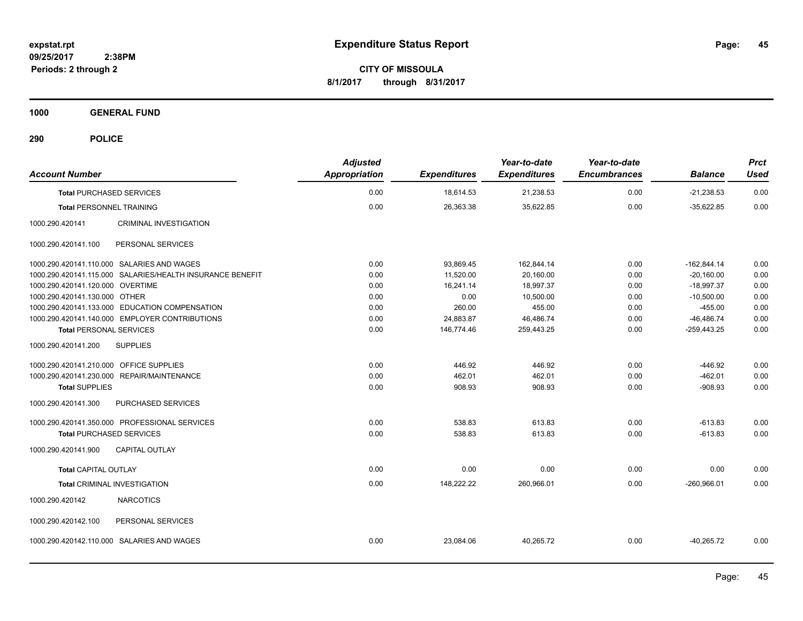**CITY OF MISSOULA 8/1/2017 through 8/31/2017**

**1000 GENERAL FUND**

| <b>Account Number</b>                                     | <b>Adjusted</b><br><b>Appropriation</b> | <b>Expenditures</b> | Year-to-date<br><b>Expenditures</b> | Year-to-date<br><b>Encumbrances</b> | <b>Balance</b> | <b>Prct</b><br><b>Used</b> |
|-----------------------------------------------------------|-----------------------------------------|---------------------|-------------------------------------|-------------------------------------|----------------|----------------------------|
| <b>Total PURCHASED SERVICES</b>                           | 0.00                                    | 18,614.53           | 21,238.53                           | 0.00                                | $-21,238.53$   | 0.00                       |
| <b>Total PERSONNEL TRAINING</b>                           | 0.00                                    | 26,363.38           | 35.622.85                           | 0.00                                | $-35.622.85$   | 0.00                       |
| CRIMINAL INVESTIGATION<br>1000.290.420141                 |                                         |                     |                                     |                                     |                |                            |
| PERSONAL SERVICES<br>1000.290.420141.100                  |                                         |                     |                                     |                                     |                |                            |
| 1000.290.420141.110.000 SALARIES AND WAGES                | 0.00                                    | 93,869.45           | 162,844.14                          | 0.00                                | $-162,844.14$  | 0.00                       |
| 1000.290.420141.115.000 SALARIES/HEALTH INSURANCE BENEFIT | 0.00                                    | 11,520.00           | 20,160.00                           | 0.00                                | $-20,160.00$   | 0.00                       |
| 1000.290.420141.120.000 OVERTIME                          | 0.00                                    | 16,241.14           | 18,997.37                           | 0.00                                | $-18,997.37$   | 0.00                       |
| 1000.290.420141.130.000 OTHER                             | 0.00                                    | 0.00                | 10,500.00                           | 0.00                                | $-10,500.00$   | 0.00                       |
| 1000.290.420141.133.000 EDUCATION COMPENSATION            | 0.00                                    | 260.00              | 455.00                              | 0.00                                | $-455.00$      | 0.00                       |
| 1000.290.420141.140.000 EMPLOYER CONTRIBUTIONS            | 0.00                                    | 24,883.87           | 46,486.74                           | 0.00                                | $-46,486.74$   | 0.00                       |
| <b>Total PERSONAL SERVICES</b>                            | 0.00                                    | 146,774.46          | 259,443.25                          | 0.00                                | $-259,443.25$  | 0.00                       |
| 1000.290.420141.200<br><b>SUPPLIES</b>                    |                                         |                     |                                     |                                     |                |                            |
| 1000.290.420141.210.000 OFFICE SUPPLIES                   | 0.00                                    | 446.92              | 446.92                              | 0.00                                | $-446.92$      | 0.00                       |
| 1000.290.420141.230.000 REPAIR/MAINTENANCE                | 0.00                                    | 462.01              | 462.01                              | 0.00                                | $-462.01$      | 0.00                       |
| <b>Total SUPPLIES</b>                                     | 0.00                                    | 908.93              | 908.93                              | 0.00                                | $-908.93$      | 0.00                       |
| PURCHASED SERVICES<br>1000.290.420141.300                 |                                         |                     |                                     |                                     |                |                            |
| 1000.290.420141.350.000 PROFESSIONAL SERVICES             | 0.00                                    | 538.83              | 613.83                              | 0.00                                | $-613.83$      | 0.00                       |
| <b>Total PURCHASED SERVICES</b>                           | 0.00                                    | 538.83              | 613.83                              | 0.00                                | $-613.83$      | 0.00                       |
| 1000.290.420141.900<br><b>CAPITAL OUTLAY</b>              |                                         |                     |                                     |                                     |                |                            |
| <b>Total CAPITAL OUTLAY</b>                               | 0.00                                    | 0.00                | 0.00                                | 0.00                                | 0.00           | 0.00                       |
| Total CRIMINAL INVESTIGATION                              | 0.00                                    | 148,222.22          | 260,966.01                          | 0.00                                | $-260.966.01$  | 0.00                       |
| 1000.290.420142<br><b>NARCOTICS</b>                       |                                         |                     |                                     |                                     |                |                            |
| 1000.290.420142.100<br>PERSONAL SERVICES                  |                                         |                     |                                     |                                     |                |                            |
| 1000.290.420142.110.000 SALARIES AND WAGES                | 0.00                                    | 23,084.06           | 40,265.72                           | 0.00                                | $-40,265.72$   | 0.00                       |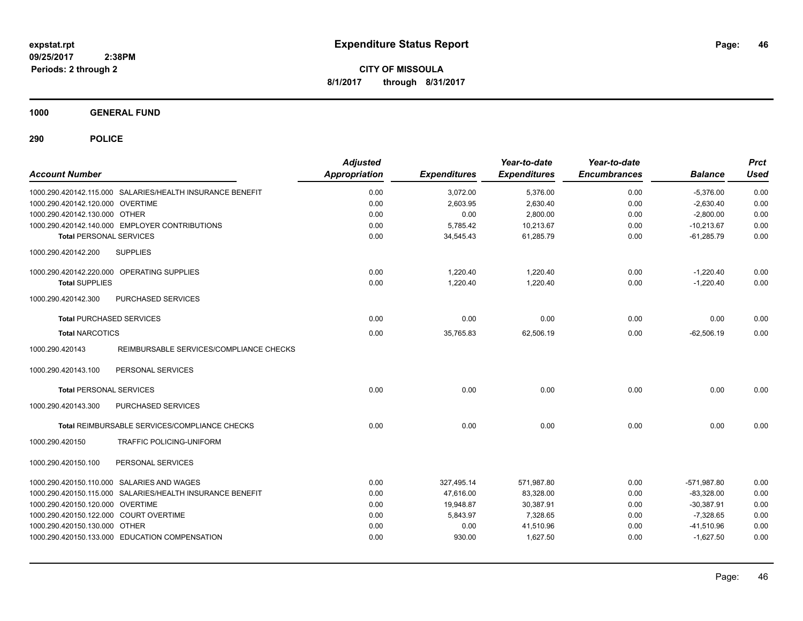**CITY OF MISSOULA 8/1/2017 through 8/31/2017**

**1000 GENERAL FUND**

| <b>Account Number</b>                                      | <b>Adjusted</b><br>Appropriation | <b>Expenditures</b> | Year-to-date<br><b>Expenditures</b> | Year-to-date<br><b>Encumbrances</b> | <b>Balance</b> | <b>Prct</b><br><b>Used</b> |
|------------------------------------------------------------|----------------------------------|---------------------|-------------------------------------|-------------------------------------|----------------|----------------------------|
| 1000.290.420142.115.000 SALARIES/HEALTH INSURANCE BENEFIT  | 0.00                             | 3,072.00            | 5,376.00                            | 0.00                                | $-5,376.00$    | 0.00                       |
| 1000.290.420142.120.000 OVERTIME                           | 0.00                             | 2,603.95            | 2,630.40                            | 0.00                                | $-2,630.40$    | 0.00                       |
| 1000.290.420142.130.000 OTHER                              | 0.00                             | 0.00                | 2,800.00                            | 0.00                                | $-2,800.00$    | 0.00                       |
| 1000.290.420142.140.000 EMPLOYER CONTRIBUTIONS             | 0.00                             | 5,785.42            | 10,213.67                           | 0.00                                | $-10,213.67$   | 0.00                       |
| <b>Total PERSONAL SERVICES</b>                             | 0.00                             | 34,545.43           | 61,285.79                           | 0.00                                | $-61,285.79$   | 0.00                       |
| 1000.290.420142.200<br><b>SUPPLIES</b>                     |                                  |                     |                                     |                                     |                |                            |
| 1000.290.420142.220.000 OPERATING SUPPLIES                 | 0.00                             | 1,220.40            | 1,220.40                            | 0.00                                | $-1,220.40$    | 0.00                       |
| <b>Total SUPPLIES</b>                                      | 0.00                             | 1,220.40            | 1,220.40                            | 0.00                                | $-1,220.40$    | 0.00                       |
| 1000.290.420142.300<br>PURCHASED SERVICES                  |                                  |                     |                                     |                                     |                |                            |
| <b>Total PURCHASED SERVICES</b>                            | 0.00                             | 0.00                | 0.00                                | 0.00                                | 0.00           | 0.00                       |
| <b>Total NARCOTICS</b>                                     | 0.00                             | 35,765.83           | 62,506.19                           | 0.00                                | $-62,506.19$   | 0.00                       |
| 1000.290.420143<br>REIMBURSABLE SERVICES/COMPLIANCE CHECKS |                                  |                     |                                     |                                     |                |                            |
| 1000.290.420143.100<br>PERSONAL SERVICES                   |                                  |                     |                                     |                                     |                |                            |
| <b>Total PERSONAL SERVICES</b>                             | 0.00                             | 0.00                | 0.00                                | 0.00                                | 0.00           | 0.00                       |
| 1000.290.420143.300<br>PURCHASED SERVICES                  |                                  |                     |                                     |                                     |                |                            |
| Total REIMBURSABLE SERVICES/COMPLIANCE CHECKS              | 0.00                             | 0.00                | 0.00                                | 0.00                                | 0.00           | 0.00                       |
| 1000.290.420150<br>TRAFFIC POLICING-UNIFORM                |                                  |                     |                                     |                                     |                |                            |
| 1000.290.420150.100<br>PERSONAL SERVICES                   |                                  |                     |                                     |                                     |                |                            |
| 1000.290.420150.110.000 SALARIES AND WAGES                 | 0.00                             | 327,495.14          | 571,987.80                          | 0.00                                | $-571,987.80$  | 0.00                       |
| 1000.290.420150.115.000 SALARIES/HEALTH INSURANCE BENEFIT  | 0.00                             | 47,616.00           | 83,328.00                           | 0.00                                | $-83,328.00$   | 0.00                       |
| 1000.290.420150.120.000 OVERTIME                           | 0.00                             | 19,948.87           | 30,387.91                           | 0.00                                | $-30,387.91$   | 0.00                       |
| 1000.290.420150.122.000 COURT OVERTIME                     | 0.00                             | 5,843.97            | 7,328.65                            | 0.00                                | $-7,328.65$    | 0.00                       |
| 1000.290.420150.130.000 OTHER                              | 0.00                             | 0.00                | 41,510.96                           | 0.00                                | $-41,510.96$   | 0.00                       |
| 1000.290.420150.133.000 EDUCATION COMPENSATION             | 0.00                             | 930.00              | 1.627.50                            | 0.00                                | $-1,627.50$    | 0.00                       |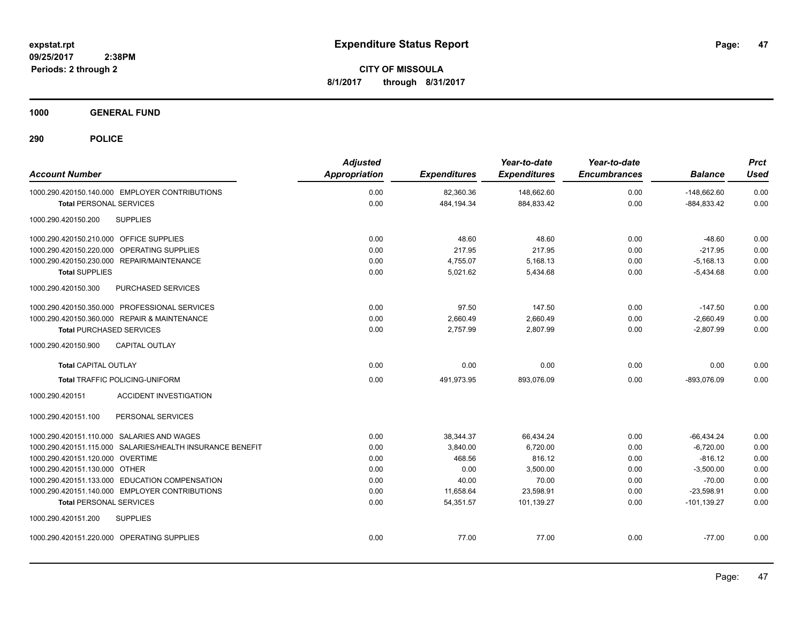**CITY OF MISSOULA 8/1/2017 through 8/31/2017**

**1000 GENERAL FUND**

| <b>Account Number</b>                                     | <b>Adjusted</b><br><b>Appropriation</b> | <b>Expenditures</b> | Year-to-date<br><b>Expenditures</b> | Year-to-date<br><b>Encumbrances</b> | <b>Balance</b> | <b>Prct</b><br><b>Used</b> |
|-----------------------------------------------------------|-----------------------------------------|---------------------|-------------------------------------|-------------------------------------|----------------|----------------------------|
| 1000.290.420150.140.000 EMPLOYER CONTRIBUTIONS            | 0.00                                    | 82,360.36           | 148,662.60                          | 0.00                                | $-148,662.60$  | 0.00                       |
| <b>Total PERSONAL SERVICES</b>                            | 0.00                                    | 484,194.34          | 884,833.42                          | 0.00                                | $-884,833.42$  | 0.00                       |
| <b>SUPPLIES</b><br>1000.290.420150.200                    |                                         |                     |                                     |                                     |                |                            |
| 1000.290.420150.210.000 OFFICE SUPPLIES                   | 0.00                                    | 48.60               | 48.60                               | 0.00                                | $-48.60$       | 0.00                       |
| 1000.290.420150.220.000 OPERATING SUPPLIES                | 0.00                                    | 217.95              | 217.95                              | 0.00                                | $-217.95$      | 0.00                       |
| 1000.290.420150.230.000 REPAIR/MAINTENANCE                | 0.00                                    | 4,755.07            | 5,168.13                            | 0.00                                | $-5,168.13$    | 0.00                       |
| <b>Total SUPPLIES</b>                                     | 0.00                                    | 5,021.62            | 5,434.68                            | 0.00                                | $-5,434.68$    | 0.00                       |
| PURCHASED SERVICES<br>1000.290.420150.300                 |                                         |                     |                                     |                                     |                |                            |
| 1000.290.420150.350.000 PROFESSIONAL SERVICES             | 0.00                                    | 97.50               | 147.50                              | 0.00                                | $-147.50$      | 0.00                       |
| 1000.290.420150.360.000 REPAIR & MAINTENANCE              | 0.00                                    | 2,660.49            | 2,660.49                            | 0.00                                | $-2,660.49$    | 0.00                       |
| <b>Total PURCHASED SERVICES</b>                           | 0.00                                    | 2,757.99            | 2,807.99                            | 0.00                                | $-2,807.99$    | 0.00                       |
| 1000.290.420150.900<br><b>CAPITAL OUTLAY</b>              |                                         |                     |                                     |                                     |                |                            |
| <b>Total CAPITAL OUTLAY</b>                               | 0.00                                    | 0.00                | 0.00                                | 0.00                                | 0.00           | 0.00                       |
| <b>Total TRAFFIC POLICING-UNIFORM</b>                     | 0.00                                    | 491,973.95          | 893,076.09                          | 0.00                                | $-893,076.09$  | 0.00                       |
| 1000.290.420151<br><b>ACCIDENT INVESTIGATION</b>          |                                         |                     |                                     |                                     |                |                            |
| 1000.290.420151.100<br>PERSONAL SERVICES                  |                                         |                     |                                     |                                     |                |                            |
| 1000.290.420151.110.000 SALARIES AND WAGES                | 0.00                                    | 38,344.37           | 66,434.24                           | 0.00                                | $-66,434.24$   | 0.00                       |
| 1000.290.420151.115.000 SALARIES/HEALTH INSURANCE BENEFIT | 0.00                                    | 3,840.00            | 6,720.00                            | 0.00                                | $-6,720.00$    | 0.00                       |
| 1000.290.420151.120.000 OVERTIME                          | 0.00                                    | 468.56              | 816.12                              | 0.00                                | $-816.12$      | 0.00                       |
| 1000.290.420151.130.000 OTHER                             | 0.00                                    | 0.00                | 3,500.00                            | 0.00                                | $-3,500.00$    | 0.00                       |
| 1000.290.420151.133.000 EDUCATION COMPENSATION            | 0.00                                    | 40.00               | 70.00                               | 0.00                                | $-70.00$       | 0.00                       |
| 1000.290.420151.140.000 EMPLOYER CONTRIBUTIONS            | 0.00                                    | 11,658.64           | 23,598.91                           | 0.00                                | $-23,598.91$   | 0.00                       |
| <b>Total PERSONAL SERVICES</b>                            | 0.00                                    | 54,351.57           | 101,139.27                          | 0.00                                | $-101, 139.27$ | 0.00                       |
| 1000.290.420151.200<br><b>SUPPLIES</b>                    |                                         |                     |                                     |                                     |                |                            |
| 1000.290.420151.220.000 OPERATING SUPPLIES                | 0.00                                    | 77.00               | 77.00                               | 0.00                                | $-77.00$       | 0.00                       |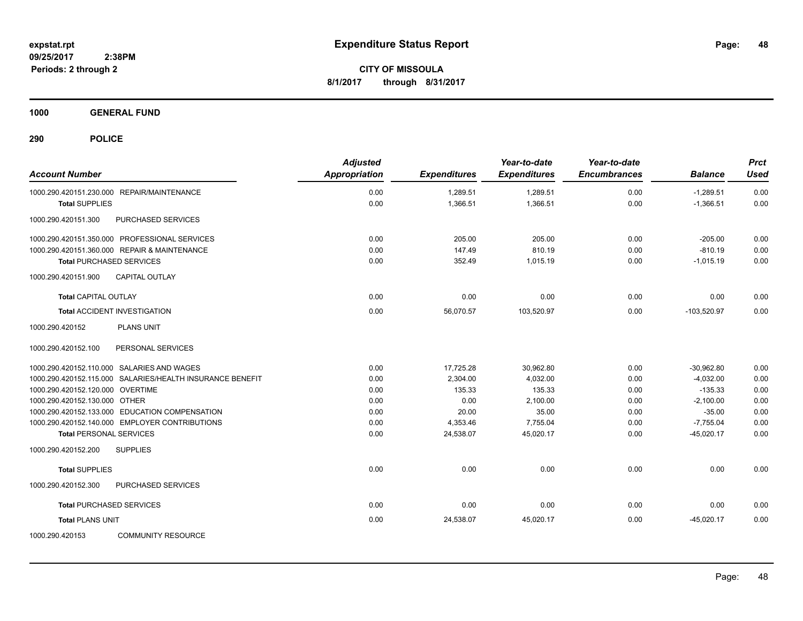**CITY OF MISSOULA 8/1/2017 through 8/31/2017**

**1000 GENERAL FUND**

| <b>Account Number</b>                                     | <b>Adjusted</b><br>Appropriation | <b>Expenditures</b> | Year-to-date<br><b>Expenditures</b> | Year-to-date<br><b>Encumbrances</b> | <b>Balance</b> | <b>Prct</b><br><b>Used</b> |
|-----------------------------------------------------------|----------------------------------|---------------------|-------------------------------------|-------------------------------------|----------------|----------------------------|
| 1000.290.420151.230.000 REPAIR/MAINTENANCE                | 0.00                             | 1,289.51            | 1,289.51                            | 0.00                                | $-1,289.51$    | 0.00                       |
| <b>Total SUPPLIES</b>                                     | 0.00                             | 1,366.51            | 1,366.51                            | 0.00                                | $-1,366.51$    | 0.00                       |
| 1000.290.420151.300<br>PURCHASED SERVICES                 |                                  |                     |                                     |                                     |                |                            |
| 1000.290.420151.350.000 PROFESSIONAL SERVICES             | 0.00                             | 205.00              | 205.00                              | 0.00                                | $-205.00$      | 0.00                       |
| 1000.290.420151.360.000 REPAIR & MAINTENANCE              | 0.00                             | 147.49              | 810.19                              | 0.00                                | $-810.19$      | 0.00                       |
| <b>Total PURCHASED SERVICES</b>                           | 0.00                             | 352.49              | 1,015.19                            | 0.00                                | $-1,015.19$    | 0.00                       |
| 1000.290.420151.900<br><b>CAPITAL OUTLAY</b>              |                                  |                     |                                     |                                     |                |                            |
| <b>Total CAPITAL OUTLAY</b>                               | 0.00                             | 0.00                | 0.00                                | 0.00                                | 0.00           | 0.00                       |
| <b>Total ACCIDENT INVESTIGATION</b>                       | 0.00                             | 56,070.57           | 103,520.97                          | 0.00                                | $-103,520.97$  | 0.00                       |
| 1000.290.420152<br><b>PLANS UNIT</b>                      |                                  |                     |                                     |                                     |                |                            |
| 1000.290.420152.100<br>PERSONAL SERVICES                  |                                  |                     |                                     |                                     |                |                            |
| 1000.290.420152.110.000 SALARIES AND WAGES                | 0.00                             | 17,725.28           | 30,962.80                           | 0.00                                | $-30,962.80$   | 0.00                       |
| 1000.290.420152.115.000 SALARIES/HEALTH INSURANCE BENEFIT | 0.00                             | 2,304.00            | 4,032.00                            | 0.00                                | $-4,032.00$    | 0.00                       |
| 1000.290.420152.120.000 OVERTIME                          | 0.00                             | 135.33              | 135.33                              | 0.00                                | $-135.33$      | 0.00                       |
| 1000.290.420152.130.000 OTHER                             | 0.00                             | 0.00                | 2,100.00                            | 0.00                                | $-2,100.00$    | 0.00                       |
| 1000.290.420152.133.000 EDUCATION COMPENSATION            | 0.00                             | 20.00               | 35.00                               | 0.00                                | $-35.00$       | 0.00                       |
| 1000.290.420152.140.000 EMPLOYER CONTRIBUTIONS            | 0.00                             | 4,353.46            | 7.755.04                            | 0.00                                | $-7.755.04$    | 0.00                       |
| <b>Total PERSONAL SERVICES</b>                            | 0.00                             | 24,538.07           | 45.020.17                           | 0.00                                | $-45.020.17$   | 0.00                       |
| 1000.290.420152.200<br><b>SUPPLIES</b>                    |                                  |                     |                                     |                                     |                |                            |
| <b>Total SUPPLIES</b>                                     | 0.00                             | 0.00                | 0.00                                | 0.00                                | 0.00           | 0.00                       |
| 1000.290.420152.300<br>PURCHASED SERVICES                 |                                  |                     |                                     |                                     |                |                            |
| <b>Total PURCHASED SERVICES</b>                           | 0.00                             | 0.00                | 0.00                                | 0.00                                | 0.00           | 0.00                       |
| <b>Total PLANS UNIT</b>                                   | 0.00                             | 24,538.07           | 45,020.17                           | 0.00                                | $-45,020.17$   | 0.00                       |
| 1000.290.420153<br><b>COMMUNITY RESOURCE</b>              |                                  |                     |                                     |                                     |                |                            |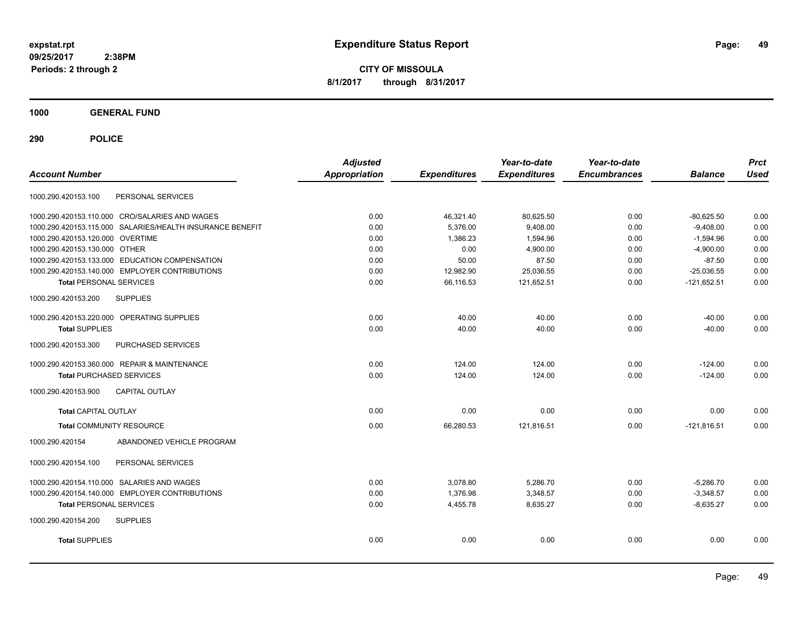**CITY OF MISSOULA 8/1/2017 through 8/31/2017**

**1000 GENERAL FUND**

| <b>Account Number</b>                                     | <b>Adjusted</b><br><b>Appropriation</b> | <b>Expenditures</b> | Year-to-date<br><b>Expenditures</b> | Year-to-date<br><b>Encumbrances</b> | <b>Balance</b> | <b>Prct</b><br><b>Used</b> |
|-----------------------------------------------------------|-----------------------------------------|---------------------|-------------------------------------|-------------------------------------|----------------|----------------------------|
| PERSONAL SERVICES<br>1000.290.420153.100                  |                                         |                     |                                     |                                     |                |                            |
| 1000.290.420153.110.000 CRO/SALARIES AND WAGES            | 0.00                                    | 46,321.40           | 80,625.50                           | 0.00                                | $-80,625.50$   | 0.00                       |
| 1000.290.420153.115.000 SALARIES/HEALTH INSURANCE BENEFIT | 0.00                                    | 5,376.00            | 9,408.00                            | 0.00                                | $-9,408.00$    | 0.00                       |
| 1000.290.420153.120.000 OVERTIME                          | 0.00                                    | 1,386.23            | 1,594.96                            | 0.00                                | $-1,594.96$    | 0.00                       |
| 1000.290.420153.130.000 OTHER                             | 0.00                                    | 0.00                | 4,900.00                            | 0.00                                | $-4,900.00$    | 0.00                       |
| 1000.290.420153.133.000 EDUCATION COMPENSATION            | 0.00                                    | 50.00               | 87.50                               | 0.00                                | $-87.50$       | 0.00                       |
| 1000.290.420153.140.000 EMPLOYER CONTRIBUTIONS            | 0.00                                    | 12,982.90           | 25,036.55                           | 0.00                                | $-25,036.55$   | 0.00                       |
| <b>Total PERSONAL SERVICES</b>                            | 0.00                                    | 66,116.53           | 121,652.51                          | 0.00                                | $-121,652.51$  | 0.00                       |
| 1000.290.420153.200<br><b>SUPPLIES</b>                    |                                         |                     |                                     |                                     |                |                            |
| 1000.290.420153.220.000 OPERATING SUPPLIES                | 0.00                                    | 40.00               | 40.00                               | 0.00                                | $-40.00$       | 0.00                       |
| <b>Total SUPPLIES</b>                                     | 0.00                                    | 40.00               | 40.00                               | 0.00                                | $-40.00$       | 0.00                       |
| 1000.290.420153.300<br>PURCHASED SERVICES                 |                                         |                     |                                     |                                     |                |                            |
| 1000.290.420153.360.000 REPAIR & MAINTENANCE              | 0.00                                    | 124.00              | 124.00                              | 0.00                                | $-124.00$      | 0.00                       |
| <b>Total PURCHASED SERVICES</b>                           | 0.00                                    | 124.00              | 124.00                              | 0.00                                | $-124.00$      | 0.00                       |
| 1000.290.420153.900<br><b>CAPITAL OUTLAY</b>              |                                         |                     |                                     |                                     |                |                            |
| <b>Total CAPITAL OUTLAY</b>                               | 0.00                                    | 0.00                | 0.00                                | 0.00                                | 0.00           | 0.00                       |
| <b>Total COMMUNITY RESOURCE</b>                           | 0.00                                    | 66.280.53           | 121,816.51                          | 0.00                                | $-121,816.51$  | 0.00                       |
| ABANDONED VEHICLE PROGRAM<br>1000.290.420154              |                                         |                     |                                     |                                     |                |                            |
| 1000.290.420154.100<br>PERSONAL SERVICES                  |                                         |                     |                                     |                                     |                |                            |
| 1000.290.420154.110.000 SALARIES AND WAGES                | 0.00                                    | 3,078.80            | 5,286.70                            | 0.00                                | $-5,286.70$    | 0.00                       |
| 1000.290.420154.140.000 EMPLOYER CONTRIBUTIONS            | 0.00                                    | 1,376.98            | 3,348.57                            | 0.00                                | $-3,348.57$    | 0.00                       |
| <b>Total PERSONAL SERVICES</b>                            | 0.00                                    | 4,455.78            | 8,635.27                            | 0.00                                | $-8,635.27$    | 0.00                       |
| 1000.290.420154.200<br><b>SUPPLIES</b>                    |                                         |                     |                                     |                                     |                |                            |
| <b>Total SUPPLIES</b>                                     | 0.00                                    | 0.00                | 0.00                                | 0.00                                | 0.00           | 0.00                       |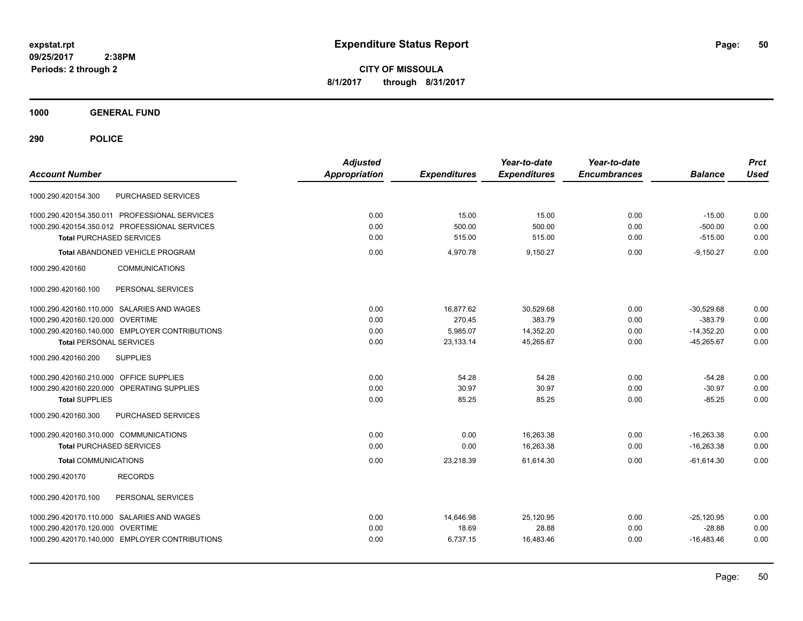**CITY OF MISSOULA 8/1/2017 through 8/31/2017**

**1000 GENERAL FUND**

| <b>Account Number</b>                          | <b>Adjusted</b><br><b>Appropriation</b> | <b>Expenditures</b> | Year-to-date<br><b>Expenditures</b> | Year-to-date<br><b>Encumbrances</b> | <b>Balance</b> | <b>Prct</b><br><b>Used</b> |
|------------------------------------------------|-----------------------------------------|---------------------|-------------------------------------|-------------------------------------|----------------|----------------------------|
| PURCHASED SERVICES<br>1000.290.420154.300      |                                         |                     |                                     |                                     |                |                            |
| 1000.290.420154.350.011 PROFESSIONAL SERVICES  | 0.00                                    | 15.00               | 15.00                               | 0.00                                | $-15.00$       | 0.00                       |
| 1000.290.420154.350.012 PROFESSIONAL SERVICES  | 0.00                                    | 500.00              | 500.00                              | 0.00                                | $-500.00$      | 0.00                       |
| <b>Total PURCHASED SERVICES</b>                | 0.00                                    | 515.00              | 515.00                              | 0.00                                | $-515.00$      | 0.00                       |
| <b>Total ABANDONED VEHICLE PROGRAM</b>         | 0.00                                    | 4,970.78            | 9,150.27                            | 0.00                                | $-9,150.27$    | 0.00                       |
| 1000.290.420160<br><b>COMMUNICATIONS</b>       |                                         |                     |                                     |                                     |                |                            |
| PERSONAL SERVICES<br>1000.290.420160.100       |                                         |                     |                                     |                                     |                |                            |
| 1000.290.420160.110.000 SALARIES AND WAGES     | 0.00                                    | 16,877.62           | 30,529.68                           | 0.00                                | $-30,529.68$   | 0.00                       |
| 1000.290.420160.120.000 OVERTIME               | 0.00                                    | 270.45              | 383.79                              | 0.00                                | $-383.79$      | 0.00                       |
| 1000.290.420160.140.000 EMPLOYER CONTRIBUTIONS | 0.00                                    | 5,985.07            | 14,352.20                           | 0.00                                | $-14,352.20$   | 0.00                       |
| <b>Total PERSONAL SERVICES</b>                 | 0.00                                    | 23,133.14           | 45,265.67                           | 0.00                                | $-45,265.67$   | 0.00                       |
| <b>SUPPLIES</b><br>1000.290.420160.200         |                                         |                     |                                     |                                     |                |                            |
| 1000.290.420160.210.000 OFFICE SUPPLIES        | 0.00                                    | 54.28               | 54.28                               | 0.00                                | $-54.28$       | 0.00                       |
| 1000.290.420160.220.000 OPERATING SUPPLIES     | 0.00                                    | 30.97               | 30.97                               | 0.00                                | $-30.97$       | 0.00                       |
| <b>Total SUPPLIES</b>                          | 0.00                                    | 85.25               | 85.25                               | 0.00                                | $-85.25$       | 0.00                       |
| PURCHASED SERVICES<br>1000.290.420160.300      |                                         |                     |                                     |                                     |                |                            |
| 1000.290.420160.310.000 COMMUNICATIONS         | 0.00                                    | 0.00                | 16,263.38                           | 0.00                                | $-16,263.38$   | 0.00                       |
| <b>Total PURCHASED SERVICES</b>                | 0.00                                    | 0.00                | 16,263.38                           | 0.00                                | $-16,263.38$   | 0.00                       |
| <b>Total COMMUNICATIONS</b>                    | 0.00                                    | 23,218.39           | 61,614.30                           | 0.00                                | $-61,614.30$   | 0.00                       |
| 1000.290.420170<br><b>RECORDS</b>              |                                         |                     |                                     |                                     |                |                            |
| 1000.290.420170.100<br>PERSONAL SERVICES       |                                         |                     |                                     |                                     |                |                            |
| 1000.290.420170.110.000 SALARIES AND WAGES     | 0.00                                    | 14,646.98           | 25,120.95                           | 0.00                                | $-25,120.95$   | 0.00                       |
| 1000.290.420170.120.000 OVERTIME               | 0.00                                    | 18.69               | 28.88                               | 0.00                                | $-28.88$       | 0.00                       |
| 1000.290.420170.140.000 EMPLOYER CONTRIBUTIONS | 0.00                                    | 6,737.15            | 16,483.46                           | 0.00                                | $-16,483.46$   | 0.00                       |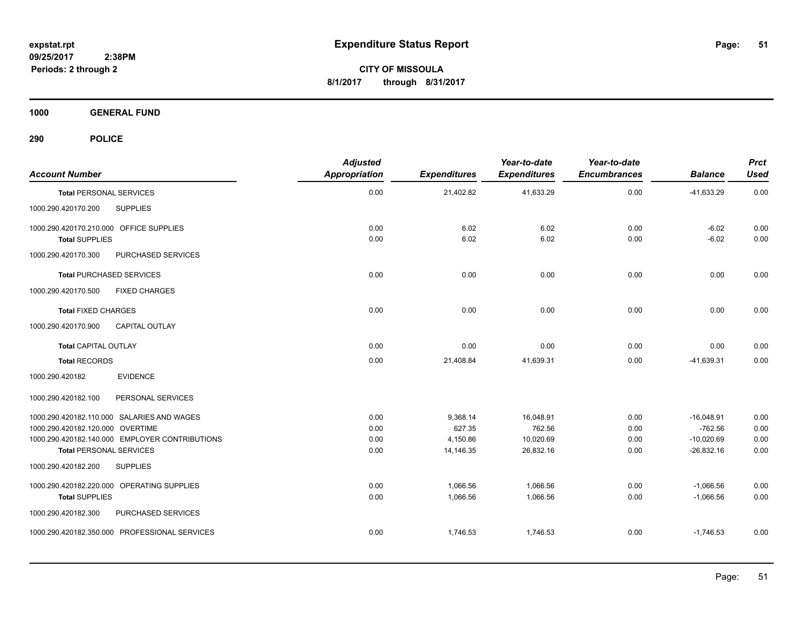**CITY OF MISSOULA 8/1/2017 through 8/31/2017**

**1000 GENERAL FUND**

| <b>Account Number</b>                                                          | <b>Adjusted</b><br><b>Appropriation</b> | <b>Expenditures</b> | Year-to-date<br><b>Expenditures</b> | Year-to-date<br><b>Encumbrances</b> | <b>Balance</b>            | <b>Prct</b><br><b>Used</b> |
|--------------------------------------------------------------------------------|-----------------------------------------|---------------------|-------------------------------------|-------------------------------------|---------------------------|----------------------------|
| <b>Total PERSONAL SERVICES</b>                                                 | 0.00                                    | 21,402.82           | 41,633.29                           | 0.00                                | $-41,633.29$              | 0.00                       |
| 1000.290.420170.200<br><b>SUPPLIES</b>                                         |                                         |                     |                                     |                                     |                           |                            |
| 1000.290.420170.210.000 OFFICE SUPPLIES<br><b>Total SUPPLIES</b>               | 0.00<br>0.00                            | 6.02<br>6.02        | 6.02<br>6.02                        | 0.00<br>0.00                        | $-6.02$<br>$-6.02$        | 0.00<br>0.00               |
| PURCHASED SERVICES<br>1000.290.420170.300                                      |                                         |                     |                                     |                                     |                           |                            |
| <b>Total PURCHASED SERVICES</b>                                                | 0.00                                    | 0.00                | 0.00                                | 0.00                                | 0.00                      | 0.00                       |
| 1000.290.420170.500<br><b>FIXED CHARGES</b>                                    |                                         |                     |                                     |                                     |                           |                            |
| <b>Total FIXED CHARGES</b>                                                     | 0.00                                    | 0.00                | 0.00                                | 0.00                                | 0.00                      | 0.00                       |
| <b>CAPITAL OUTLAY</b><br>1000.290.420170.900                                   |                                         |                     |                                     |                                     |                           |                            |
| <b>Total CAPITAL OUTLAY</b>                                                    | 0.00                                    | 0.00                | 0.00                                | 0.00                                | 0.00                      | 0.00                       |
| <b>Total RECORDS</b>                                                           | 0.00                                    | 21,408.84           | 41,639.31                           | 0.00                                | $-41,639.31$              | 0.00                       |
| <b>EVIDENCE</b><br>1000.290.420182                                             |                                         |                     |                                     |                                     |                           |                            |
| PERSONAL SERVICES<br>1000.290.420182.100                                       |                                         |                     |                                     |                                     |                           |                            |
| 1000.290.420182.110.000 SALARIES AND WAGES<br>1000.290.420182.120.000 OVERTIME | 0.00<br>0.00                            | 9,368.14<br>627.35  | 16,048.91<br>762.56                 | 0.00<br>0.00                        | $-16,048.91$<br>$-762.56$ | 0.00<br>0.00               |
| 1000.290.420182.140.000 EMPLOYER CONTRIBUTIONS                                 | 0.00                                    | 4,150.86            | 10,020.69                           | 0.00                                | $-10,020.69$              | 0.00                       |
| <b>Total PERSONAL SERVICES</b>                                                 | 0.00                                    | 14,146.35           | 26,832.16                           | 0.00                                | $-26,832.16$              | 0.00                       |
| <b>SUPPLIES</b><br>1000.290.420182.200                                         |                                         |                     |                                     |                                     |                           |                            |
| 1000.290.420182.220.000 OPERATING SUPPLIES                                     | 0.00                                    | 1,066.56            | 1,066.56                            | 0.00                                | $-1,066.56$               | 0.00                       |
| <b>Total SUPPLIES</b>                                                          | 0.00                                    | 1,066.56            | 1,066.56                            | 0.00                                | $-1,066.56$               | 0.00                       |
| 1000.290.420182.300<br>PURCHASED SERVICES                                      |                                         |                     |                                     |                                     |                           |                            |
| 1000.290.420182.350.000 PROFESSIONAL SERVICES                                  | 0.00                                    | 1,746.53            | 1,746.53                            | 0.00                                | $-1.746.53$               | 0.00                       |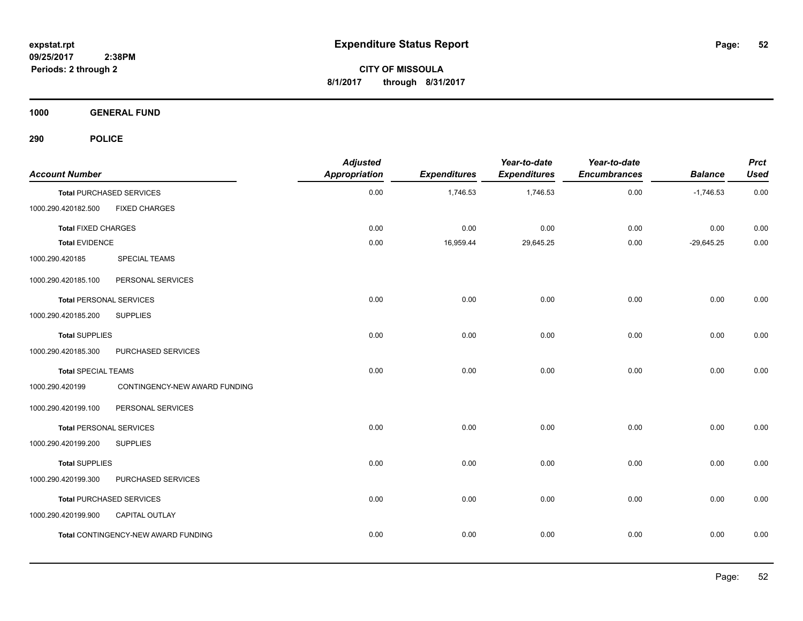**CITY OF MISSOULA 8/1/2017 through 8/31/2017**

**1000 GENERAL FUND**

| <b>Account Number</b>          |                                            | <b>Adjusted</b><br><b>Appropriation</b> | <b>Expenditures</b> | Year-to-date<br><b>Expenditures</b> | Year-to-date<br><b>Encumbrances</b> | <b>Balance</b> | <b>Prct</b><br><b>Used</b> |
|--------------------------------|--------------------------------------------|-----------------------------------------|---------------------|-------------------------------------|-------------------------------------|----------------|----------------------------|
|                                | <b>Total PURCHASED SERVICES</b>            | 0.00                                    | 1,746.53            | 1,746.53                            | 0.00                                | $-1,746.53$    | 0.00                       |
| 1000.290.420182.500            | <b>FIXED CHARGES</b>                       |                                         |                     |                                     |                                     |                |                            |
| <b>Total FIXED CHARGES</b>     |                                            | 0.00                                    | 0.00                | 0.00                                | 0.00                                | 0.00           | 0.00                       |
| <b>Total EVIDENCE</b>          |                                            | 0.00                                    | 16,959.44           | 29,645.25                           | 0.00                                | $-29,645.25$   | 0.00                       |
| 1000.290.420185                | <b>SPECIAL TEAMS</b>                       |                                         |                     |                                     |                                     |                |                            |
| 1000.290.420185.100            | PERSONAL SERVICES                          |                                         |                     |                                     |                                     |                |                            |
| <b>Total PERSONAL SERVICES</b> |                                            | 0.00                                    | 0.00                | 0.00                                | 0.00                                | 0.00           | 0.00                       |
| 1000.290.420185.200            | <b>SUPPLIES</b>                            |                                         |                     |                                     |                                     |                |                            |
| <b>Total SUPPLIES</b>          |                                            | 0.00                                    | 0.00                | 0.00                                | 0.00                                | 0.00           | 0.00                       |
| 1000.290.420185.300            | PURCHASED SERVICES                         |                                         |                     |                                     |                                     |                |                            |
| <b>Total SPECIAL TEAMS</b>     |                                            | 0.00                                    | 0.00                | 0.00                                | 0.00                                | 0.00           | 0.00                       |
| 1000.290.420199                | CONTINGENCY-NEW AWARD FUNDING              |                                         |                     |                                     |                                     |                |                            |
| 1000.290.420199.100            | PERSONAL SERVICES                          |                                         |                     |                                     |                                     |                |                            |
| <b>Total PERSONAL SERVICES</b> |                                            | 0.00                                    | 0.00                | 0.00                                | 0.00                                | 0.00           | 0.00                       |
| 1000.290.420199.200            | <b>SUPPLIES</b>                            |                                         |                     |                                     |                                     |                |                            |
| <b>Total SUPPLIES</b>          |                                            | 0.00                                    | 0.00                | 0.00                                | 0.00                                | 0.00           | 0.00                       |
| 1000.290.420199.300            | PURCHASED SERVICES                         |                                         |                     |                                     |                                     |                |                            |
|                                | <b>Total PURCHASED SERVICES</b>            | 0.00                                    | 0.00                | 0.00                                | 0.00                                | 0.00           | 0.00                       |
| 1000.290.420199.900            | CAPITAL OUTLAY                             |                                         |                     |                                     |                                     |                |                            |
|                                | <b>Total CONTINGENCY-NEW AWARD FUNDING</b> | 0.00                                    | 0.00                | 0.00                                | 0.00                                | 0.00           | 0.00                       |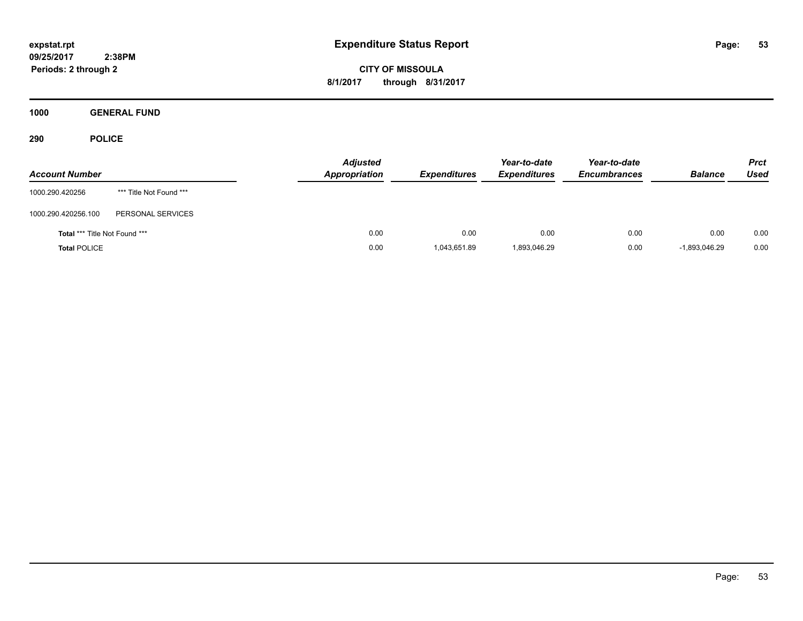**CITY OF MISSOULA 8/1/2017 through 8/31/2017**

**1000 GENERAL FUND**

| <b>Account Number</b>                |                         | <b>Adjusted</b><br><b>Appropriation</b> | <b>Expenditures</b> | Year-to-date<br><b>Expenditures</b> | Year-to-date<br><b>Encumbrances</b> | <b>Balance</b> | <b>Prct</b><br>Used |
|--------------------------------------|-------------------------|-----------------------------------------|---------------------|-------------------------------------|-------------------------------------|----------------|---------------------|
| 1000.290.420256                      | *** Title Not Found *** |                                         |                     |                                     |                                     |                |                     |
| 1000.290.420256.100                  | PERSONAL SERVICES       |                                         |                     |                                     |                                     |                |                     |
| <b>Total *** Title Not Found ***</b> |                         | 0.00                                    | 0.00                | 0.00                                | 0.00                                | 0.00           | 0.00                |
| <b>Total POLICE</b>                  |                         | 0.00                                    | 1,043,651.89        | 1,893,046.29                        | 0.00                                | -1,893,046.29  | 0.00                |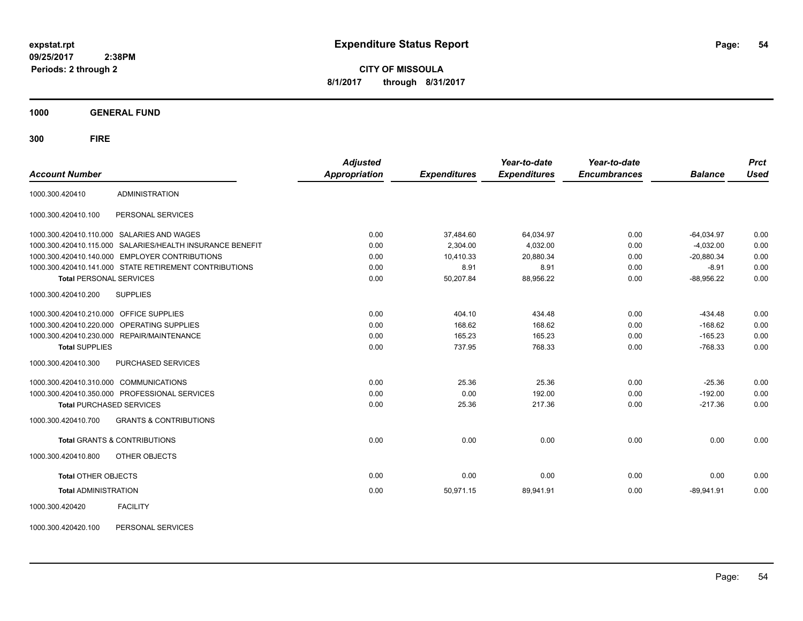**CITY OF MISSOULA 8/1/2017 through 8/31/2017**

**1000 GENERAL FUND**

**300 FIRE**

| <b>Account Number</b>                   |                                                           | <b>Adjusted</b><br><b>Appropriation</b> | <b>Expenditures</b> | Year-to-date<br><b>Expenditures</b> | Year-to-date<br><b>Encumbrances</b> | <b>Balance</b> | <b>Prct</b><br><b>Used</b> |
|-----------------------------------------|-----------------------------------------------------------|-----------------------------------------|---------------------|-------------------------------------|-------------------------------------|----------------|----------------------------|
| 1000.300.420410                         | <b>ADMINISTRATION</b>                                     |                                         |                     |                                     |                                     |                |                            |
| 1000.300.420410.100                     | PERSONAL SERVICES                                         |                                         |                     |                                     |                                     |                |                            |
|                                         | 1000.300.420410.110.000 SALARIES AND WAGES                | 0.00                                    | 37,484.60           | 64,034.97                           | 0.00                                | $-64,034.97$   | 0.00                       |
|                                         | 1000.300.420410.115.000 SALARIES/HEALTH INSURANCE BENEFIT | 0.00                                    | 2,304.00            | 4,032.00                            | 0.00                                | $-4,032.00$    | 0.00                       |
|                                         | 1000.300.420410.140.000 EMPLOYER CONTRIBUTIONS            | 0.00                                    | 10,410.33           | 20,880.34                           | 0.00                                | $-20,880.34$   | 0.00                       |
|                                         | 1000.300.420410.141.000 STATE RETIREMENT CONTRIBUTIONS    | 0.00                                    | 8.91                | 8.91                                | 0.00                                | $-8.91$        | 0.00                       |
| <b>Total PERSONAL SERVICES</b>          |                                                           | 0.00                                    | 50,207.84           | 88,956.22                           | 0.00                                | $-88,956.22$   | 0.00                       |
| 1000.300.420410.200                     | <b>SUPPLIES</b>                                           |                                         |                     |                                     |                                     |                |                            |
| 1000.300.420410.210.000 OFFICE SUPPLIES |                                                           | 0.00                                    | 404.10              | 434.48                              | 0.00                                | $-434.48$      | 0.00                       |
|                                         | 1000.300.420410.220.000 OPERATING SUPPLIES                | 0.00                                    | 168.62              | 168.62                              | 0.00                                | $-168.62$      | 0.00                       |
|                                         | 1000.300.420410.230.000 REPAIR/MAINTENANCE                | 0.00                                    | 165.23              | 165.23                              | 0.00                                | $-165.23$      | 0.00                       |
| <b>Total SUPPLIES</b>                   |                                                           | 0.00                                    | 737.95              | 768.33                              | 0.00                                | $-768.33$      | 0.00                       |
| 1000.300.420410.300                     | <b>PURCHASED SERVICES</b>                                 |                                         |                     |                                     |                                     |                |                            |
| 1000.300.420410.310.000 COMMUNICATIONS  |                                                           | 0.00                                    | 25.36               | 25.36                               | 0.00                                | $-25.36$       | 0.00                       |
|                                         | 1000.300.420410.350.000 PROFESSIONAL SERVICES             | 0.00                                    | 0.00                | 192.00                              | 0.00                                | $-192.00$      | 0.00                       |
| <b>Total PURCHASED SERVICES</b>         |                                                           | 0.00                                    | 25.36               | 217.36                              | 0.00                                | $-217.36$      | 0.00                       |
| 1000.300.420410.700                     | <b>GRANTS &amp; CONTRIBUTIONS</b>                         |                                         |                     |                                     |                                     |                |                            |
|                                         | Total GRANTS & CONTRIBUTIONS                              | 0.00                                    | 0.00                | 0.00                                | 0.00                                | 0.00           | 0.00                       |
| 1000.300.420410.800                     | OTHER OBJECTS                                             |                                         |                     |                                     |                                     |                |                            |
| <b>Total OTHER OBJECTS</b>              |                                                           | 0.00                                    | 0.00                | 0.00                                | 0.00                                | 0.00           | 0.00                       |
| <b>Total ADMINISTRATION</b>             |                                                           | 0.00                                    | 50,971.15           | 89,941.91                           | 0.00                                | $-89,941.91$   | 0.00                       |
| 1000.300.420420                         | <b>FACILITY</b>                                           |                                         |                     |                                     |                                     |                |                            |

1000.300.420420.100 PERSONAL SERVICES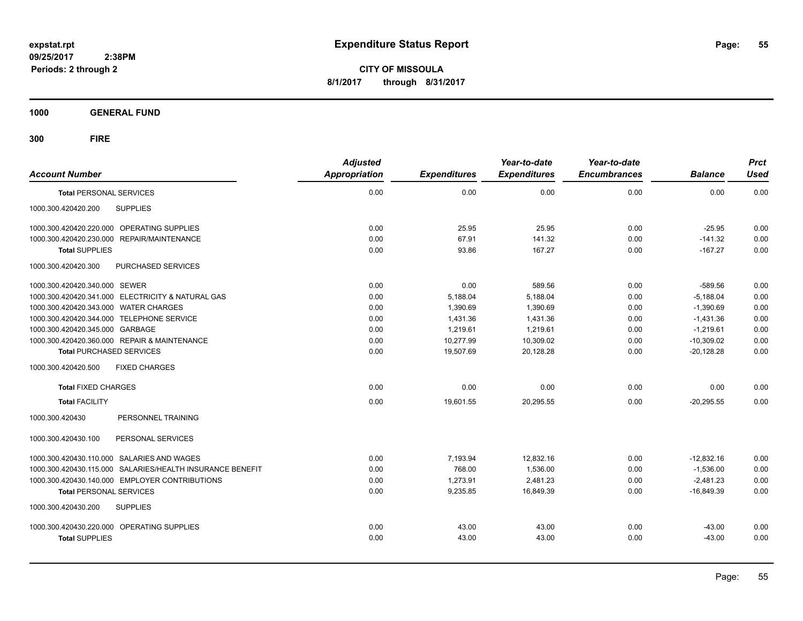**CITY OF MISSOULA 8/1/2017 through 8/31/2017**

**1000 GENERAL FUND**

| <b>Account Number</b>                                     | <b>Adjusted</b><br><b>Appropriation</b> | <b>Expenditures</b> | Year-to-date<br><b>Expenditures</b> | Year-to-date<br><b>Encumbrances</b> | <b>Balance</b> | <b>Prct</b><br><b>Used</b> |
|-----------------------------------------------------------|-----------------------------------------|---------------------|-------------------------------------|-------------------------------------|----------------|----------------------------|
| <b>Total PERSONAL SERVICES</b>                            | 0.00                                    | 0.00                | 0.00                                | 0.00                                | 0.00           | 0.00                       |
| 1000.300.420420.200<br><b>SUPPLIES</b>                    |                                         |                     |                                     |                                     |                |                            |
| 1000.300.420420.220.000 OPERATING SUPPLIES                | 0.00                                    | 25.95               | 25.95                               | 0.00                                | $-25.95$       | 0.00                       |
| 1000.300.420420.230.000 REPAIR/MAINTENANCE                | 0.00                                    | 67.91               | 141.32                              | 0.00                                | $-141.32$      | 0.00                       |
| <b>Total SUPPLIES</b>                                     | 0.00                                    | 93.86               | 167.27                              | 0.00                                | $-167.27$      | 0.00                       |
| PURCHASED SERVICES<br>1000.300.420420.300                 |                                         |                     |                                     |                                     |                |                            |
| 1000.300.420420.340.000 SEWER                             | 0.00                                    | 0.00                | 589.56                              | 0.00                                | $-589.56$      | 0.00                       |
| 1000.300.420420.341.000 ELECTRICITY & NATURAL GAS         | 0.00                                    | 5,188.04            | 5,188.04                            | 0.00                                | $-5,188.04$    | 0.00                       |
| 1000.300.420420.343.000 WATER CHARGES                     | 0.00                                    | 1,390.69            | 1,390.69                            | 0.00                                | $-1,390.69$    | 0.00                       |
| 1000.300.420420.344.000 TELEPHONE SERVICE                 | 0.00                                    | 1.431.36            | 1,431.36                            | 0.00                                | $-1.431.36$    | 0.00                       |
| 1000.300.420420.345.000 GARBAGE                           | 0.00                                    | 1,219.61            | 1,219.61                            | 0.00                                | $-1,219.61$    | 0.00                       |
| 1000.300.420420.360.000 REPAIR & MAINTENANCE              | 0.00                                    | 10,277.99           | 10,309.02                           | 0.00                                | $-10,309.02$   | 0.00                       |
| <b>Total PURCHASED SERVICES</b>                           | 0.00                                    | 19,507.69           | 20,128.28                           | 0.00                                | $-20,128.28$   | 0.00                       |
| <b>FIXED CHARGES</b><br>1000.300.420420.500               |                                         |                     |                                     |                                     |                |                            |
| <b>Total FIXED CHARGES</b>                                | 0.00                                    | 0.00                | 0.00                                | 0.00                                | 0.00           | 0.00                       |
| <b>Total FACILITY</b>                                     | 0.00                                    | 19,601.55           | 20,295.55                           | 0.00                                | $-20,295.55$   | 0.00                       |
| PERSONNEL TRAINING<br>1000.300.420430                     |                                         |                     |                                     |                                     |                |                            |
| 1000.300.420430.100<br>PERSONAL SERVICES                  |                                         |                     |                                     |                                     |                |                            |
| 1000.300.420430.110.000 SALARIES AND WAGES                | 0.00                                    | 7,193.94            | 12,832.16                           | 0.00                                | $-12,832.16$   | 0.00                       |
| 1000.300.420430.115.000 SALARIES/HEALTH INSURANCE BENEFIT | 0.00                                    | 768.00              | 1,536.00                            | 0.00                                | $-1,536.00$    | 0.00                       |
| 1000.300.420430.140.000 EMPLOYER CONTRIBUTIONS            | 0.00                                    | 1,273.91            | 2,481.23                            | 0.00                                | $-2,481.23$    | 0.00                       |
| <b>Total PERSONAL SERVICES</b>                            | 0.00                                    | 9,235.85            | 16,849.39                           | 0.00                                | $-16,849.39$   | 0.00                       |
| 1000.300.420430.200<br><b>SUPPLIES</b>                    |                                         |                     |                                     |                                     |                |                            |
| 1000.300.420430.220.000 OPERATING SUPPLIES                | 0.00                                    | 43.00               | 43.00                               | 0.00                                | $-43.00$       | 0.00                       |
| <b>Total SUPPLIES</b>                                     | 0.00                                    | 43.00               | 43.00                               | 0.00                                | $-43.00$       | 0.00                       |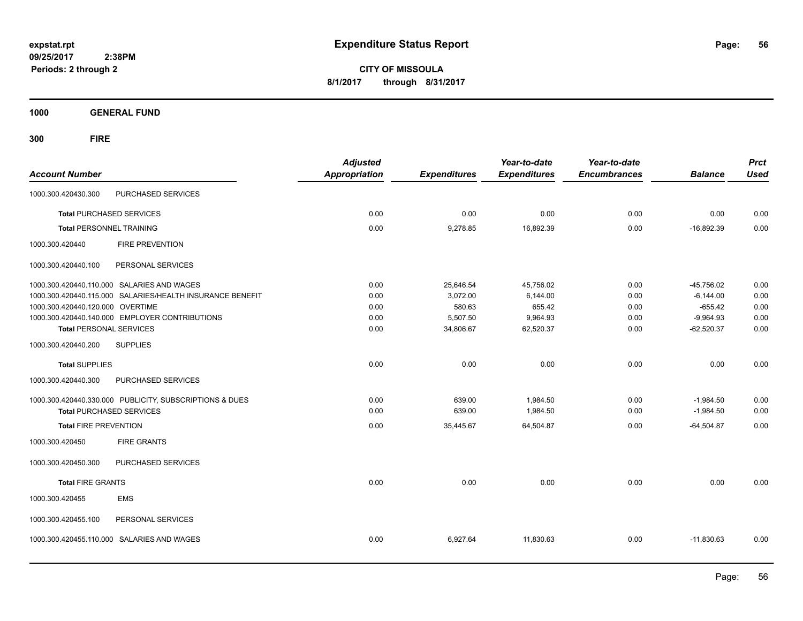**CITY OF MISSOULA 8/1/2017 through 8/31/2017**

**1000 GENERAL FUND**

| <b>Account Number</b>                                     | <b>Adjusted</b><br><b>Appropriation</b> | <b>Expenditures</b> | Year-to-date<br><b>Expenditures</b> | Year-to-date<br><b>Encumbrances</b> | <b>Balance</b> | <b>Prct</b><br><b>Used</b> |
|-----------------------------------------------------------|-----------------------------------------|---------------------|-------------------------------------|-------------------------------------|----------------|----------------------------|
| PURCHASED SERVICES<br>1000.300.420430.300                 |                                         |                     |                                     |                                     |                |                            |
| <b>Total PURCHASED SERVICES</b>                           | 0.00                                    | 0.00                | 0.00                                | 0.00                                | 0.00           | 0.00                       |
| <b>Total PERSONNEL TRAINING</b>                           | 0.00                                    | 9,278.85            | 16.892.39                           | 0.00                                | $-16.892.39$   | 0.00                       |
| 1000.300.420440<br><b>FIRE PREVENTION</b>                 |                                         |                     |                                     |                                     |                |                            |
| PERSONAL SERVICES<br>1000.300.420440.100                  |                                         |                     |                                     |                                     |                |                            |
| 1000.300.420440.110.000 SALARIES AND WAGES                | 0.00                                    | 25,646.54           | 45,756.02                           | 0.00                                | $-45,756.02$   | 0.00                       |
| 1000.300.420440.115.000 SALARIES/HEALTH INSURANCE BENEFIT | 0.00                                    | 3,072.00            | 6,144.00                            | 0.00                                | $-6,144.00$    | 0.00                       |
| 1000.300.420440.120.000 OVERTIME                          | 0.00                                    | 580.63              | 655.42                              | 0.00                                | $-655.42$      | 0.00                       |
| 1000.300.420440.140.000 EMPLOYER CONTRIBUTIONS            | 0.00                                    | 5.507.50            | 9,964.93                            | 0.00                                | $-9.964.93$    | 0.00                       |
| <b>Total PERSONAL SERVICES</b>                            | 0.00                                    | 34,806.67           | 62,520.37                           | 0.00                                | $-62.520.37$   | 0.00                       |
| <b>SUPPLIES</b><br>1000.300.420440.200                    |                                         |                     |                                     |                                     |                |                            |
| <b>Total SUPPLIES</b>                                     | 0.00                                    | 0.00                | 0.00                                | 0.00                                | 0.00           | 0.00                       |
| PURCHASED SERVICES<br>1000.300.420440.300                 |                                         |                     |                                     |                                     |                |                            |
| 1000.300.420440.330.000 PUBLICITY, SUBSCRIPTIONS & DUES   | 0.00                                    | 639.00              | 1,984.50                            | 0.00                                | $-1,984.50$    | 0.00                       |
| <b>Total PURCHASED SERVICES</b>                           | 0.00                                    | 639.00              | 1,984.50                            | 0.00                                | $-1,984.50$    | 0.00                       |
| <b>Total FIRE PREVENTION</b>                              | 0.00                                    | 35,445.67           | 64,504.87                           | 0.00                                | $-64,504.87$   | 0.00                       |
| <b>FIRE GRANTS</b><br>1000.300.420450                     |                                         |                     |                                     |                                     |                |                            |
| 1000.300.420450.300<br>PURCHASED SERVICES                 |                                         |                     |                                     |                                     |                |                            |
| <b>Total FIRE GRANTS</b>                                  | 0.00                                    | 0.00                | 0.00                                | 0.00                                | 0.00           | 0.00                       |
| <b>EMS</b><br>1000.300.420455                             |                                         |                     |                                     |                                     |                |                            |
| 1000.300.420455.100<br>PERSONAL SERVICES                  |                                         |                     |                                     |                                     |                |                            |
| 1000.300.420455.110.000 SALARIES AND WAGES                | 0.00                                    | 6,927.64            | 11,830.63                           | 0.00                                | $-11,830.63$   | 0.00                       |
|                                                           |                                         |                     |                                     |                                     |                |                            |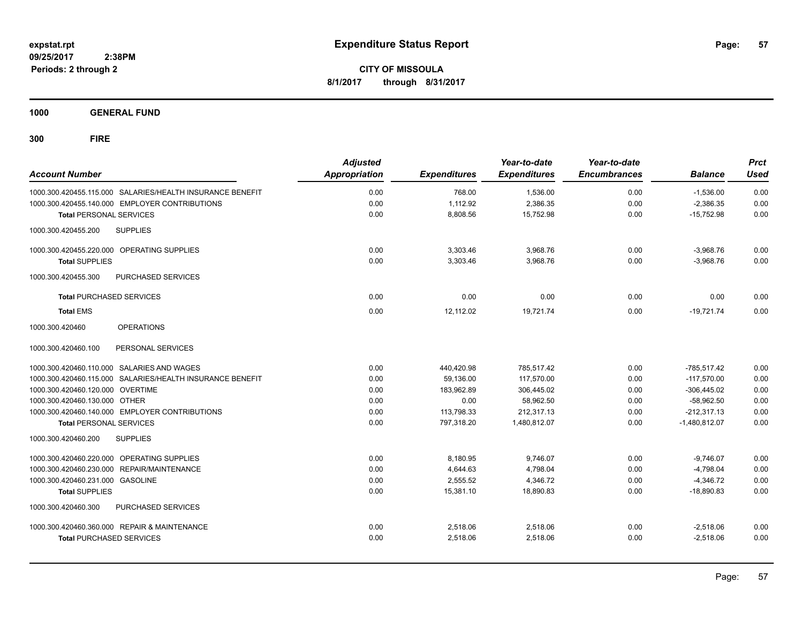**CITY OF MISSOULA 8/1/2017 through 8/31/2017**

**1000 GENERAL FUND**

| <b>Account Number</b>                                     | <b>Adjusted</b><br>Appropriation | <b>Expenditures</b> | Year-to-date<br><b>Expenditures</b> | Year-to-date<br><b>Encumbrances</b> | <b>Balance</b>  | <b>Prct</b><br><b>Used</b> |
|-----------------------------------------------------------|----------------------------------|---------------------|-------------------------------------|-------------------------------------|-----------------|----------------------------|
| 1000.300.420455.115.000 SALARIES/HEALTH INSURANCE BENEFIT | 0.00                             | 768.00              | 1,536.00                            | 0.00                                | $-1,536.00$     | 0.00                       |
| 1000.300.420455.140.000 EMPLOYER CONTRIBUTIONS            | 0.00                             | 1,112.92            | 2,386.35                            | 0.00                                | $-2,386.35$     | 0.00                       |
| <b>Total PERSONAL SERVICES</b>                            | 0.00                             | 8,808.56            | 15,752.98                           | 0.00                                | $-15,752.98$    | 0.00                       |
| 1000.300.420455.200<br><b>SUPPLIES</b>                    |                                  |                     |                                     |                                     |                 |                            |
| 1000.300.420455.220.000 OPERATING SUPPLIES                | 0.00                             | 3,303.46            | 3,968.76                            | 0.00                                | $-3,968.76$     | 0.00                       |
| <b>Total SUPPLIES</b>                                     | 0.00                             | 3,303.46            | 3.968.76                            | 0.00                                | $-3.968.76$     | 0.00                       |
| 1000.300.420455.300<br><b>PURCHASED SERVICES</b>          |                                  |                     |                                     |                                     |                 |                            |
| <b>Total PURCHASED SERVICES</b>                           | 0.00                             | 0.00                | 0.00                                | 0.00                                | 0.00            | 0.00                       |
| <b>Total EMS</b>                                          | 0.00                             | 12,112.02           | 19,721.74                           | 0.00                                | $-19,721.74$    | 0.00                       |
| 1000.300.420460<br><b>OPERATIONS</b>                      |                                  |                     |                                     |                                     |                 |                            |
| 1000.300.420460.100<br>PERSONAL SERVICES                  |                                  |                     |                                     |                                     |                 |                            |
| 1000.300.420460.110.000 SALARIES AND WAGES                | 0.00                             | 440,420.98          | 785.517.42                          | 0.00                                | $-785.517.42$   | 0.00                       |
| 1000.300.420460.115.000 SALARIES/HEALTH INSURANCE BENEFIT | 0.00                             | 59,136.00           | 117.570.00                          | 0.00                                | $-117.570.00$   | 0.00                       |
| 1000.300.420460.120.000 OVERTIME                          | 0.00                             | 183,962.89          | 306,445.02                          | 0.00                                | $-306,445.02$   | 0.00                       |
| 1000.300.420460.130.000 OTHER                             | 0.00                             | 0.00                | 58,962.50                           | 0.00                                | $-58,962.50$    | 0.00                       |
| 1000.300.420460.140.000 EMPLOYER CONTRIBUTIONS            | 0.00                             | 113,798.33          | 212.317.13                          | 0.00                                | $-212.317.13$   | 0.00                       |
| <b>Total PERSONAL SERVICES</b>                            | 0.00                             | 797,318.20          | 1,480,812.07                        | 0.00                                | $-1,480,812.07$ | 0.00                       |
| 1000.300.420460.200<br><b>SUPPLIES</b>                    |                                  |                     |                                     |                                     |                 |                            |
| 1000.300.420460.220.000 OPERATING SUPPLIES                | 0.00                             | 8,180.95            | 9,746.07                            | 0.00                                | $-9,746.07$     | 0.00                       |
| 1000.300.420460.230.000 REPAIR/MAINTENANCE                | 0.00                             | 4,644.63            | 4,798.04                            | 0.00                                | $-4,798.04$     | 0.00                       |
| 1000.300.420460.231.000 GASOLINE                          | 0.00                             | 2.555.52            | 4,346.72                            | 0.00                                | $-4.346.72$     | 0.00                       |
| <b>Total SUPPLIES</b>                                     | 0.00                             | 15,381.10           | 18,890.83                           | 0.00                                | $-18.890.83$    | 0.00                       |
| 1000.300.420460.300<br>PURCHASED SERVICES                 |                                  |                     |                                     |                                     |                 |                            |
| 1000.300.420460.360.000 REPAIR & MAINTENANCE              | 0.00                             | 2,518.06            | 2,518.06                            | 0.00                                | $-2,518.06$     | 0.00                       |
| <b>Total PURCHASED SERVICES</b>                           | 0.00                             | 2,518.06            | 2,518.06                            | 0.00                                | $-2,518.06$     | 0.00                       |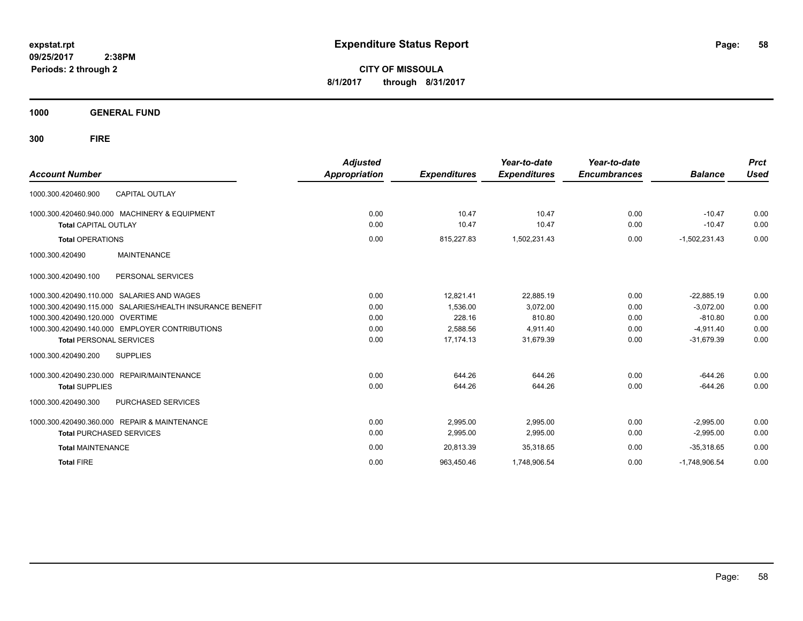**CITY OF MISSOULA 8/1/2017 through 8/31/2017**

**1000 GENERAL FUND**

| <b>Account Number</b>                                        | <b>Adjusted</b><br>Appropriation | <b>Expenditures</b> | Year-to-date<br><b>Expenditures</b> | Year-to-date<br><b>Encumbrances</b> | <b>Balance</b>  | <b>Prct</b><br><b>Used</b> |
|--------------------------------------------------------------|----------------------------------|---------------------|-------------------------------------|-------------------------------------|-----------------|----------------------------|
| <b>CAPITAL OUTLAY</b><br>1000.300.420460.900                 |                                  |                     |                                     |                                     |                 |                            |
| 1000.300.420460.940.000 MACHINERY & EQUIPMENT                | 0.00                             | 10.47               | 10.47                               | 0.00                                | $-10.47$        | 0.00                       |
| <b>Total CAPITAL OUTLAY</b>                                  | 0.00                             | 10.47               | 10.47                               | 0.00                                | $-10.47$        | 0.00                       |
| <b>Total OPERATIONS</b>                                      | 0.00                             | 815,227.83          | 1,502,231.43                        | 0.00                                | $-1,502,231.43$ | 0.00                       |
| <b>MAINTENANCE</b><br>1000.300.420490                        |                                  |                     |                                     |                                     |                 |                            |
| PERSONAL SERVICES<br>1000.300.420490.100                     |                                  |                     |                                     |                                     |                 |                            |
| SALARIES AND WAGES<br>1000.300.420490.110.000                | 0.00                             | 12.821.41           | 22.885.19                           | 0.00                                | $-22.885.19$    | 0.00                       |
| SALARIES/HEALTH INSURANCE BENEFIT<br>1000.300.420490.115.000 | 0.00                             | 1.536.00            | 3.072.00                            | 0.00                                | $-3.072.00$     | 0.00                       |
| 1000.300.420490.120.000 OVERTIME                             | 0.00                             | 228.16              | 810.80                              | 0.00                                | $-810.80$       | 0.00                       |
| 1000.300.420490.140.000 EMPLOYER CONTRIBUTIONS               | 0.00                             | 2,588.56            | 4.911.40                            | 0.00                                | $-4.911.40$     | 0.00                       |
| <b>Total PERSONAL SERVICES</b>                               | 0.00                             | 17,174.13           | 31,679.39                           | 0.00                                | $-31,679.39$    | 0.00                       |
| <b>SUPPLIES</b><br>1000.300.420490.200                       |                                  |                     |                                     |                                     |                 |                            |
| 1000.300.420490.230.000<br><b>REPAIR/MAINTENANCE</b>         | 0.00                             | 644.26              | 644.26                              | 0.00                                | $-644.26$       | 0.00                       |
| <b>Total SUPPLIES</b>                                        | 0.00                             | 644.26              | 644.26                              | 0.00                                | $-644.26$       | 0.00                       |
| 1000.300.420490.300<br><b>PURCHASED SERVICES</b>             |                                  |                     |                                     |                                     |                 |                            |
| 1000.300.420490.360.000 REPAIR & MAINTENANCE                 | 0.00                             | 2,995.00            | 2,995.00                            | 0.00                                | $-2,995.00$     | 0.00                       |
| <b>Total PURCHASED SERVICES</b>                              | 0.00                             | 2,995.00            | 2,995.00                            | 0.00                                | $-2,995.00$     | 0.00                       |
| <b>Total MAINTENANCE</b>                                     | 0.00                             | 20,813.39           | 35,318.65                           | 0.00                                | $-35.318.65$    | 0.00                       |
| <b>Total FIRE</b>                                            | 0.00                             | 963,450.46          | 1,748,906.54                        | 0.00                                | $-1,748,906.54$ | 0.00                       |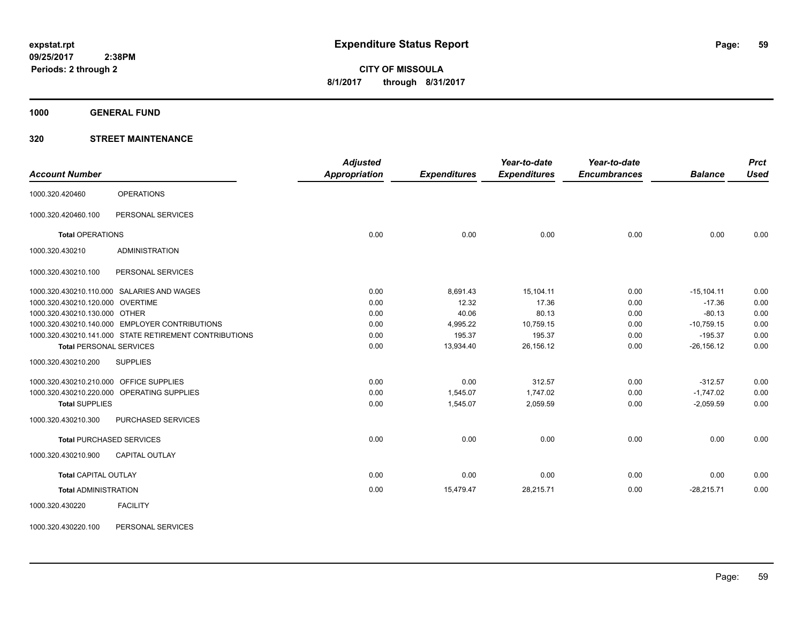**1000 GENERAL FUND**

### **320 STREET MAINTENANCE**

|                                         |                                                        | <b>Adjusted</b>      |                     | Year-to-date        | Year-to-date        |                | <b>Prct</b> |
|-----------------------------------------|--------------------------------------------------------|----------------------|---------------------|---------------------|---------------------|----------------|-------------|
| <b>Account Number</b>                   |                                                        | <b>Appropriation</b> | <b>Expenditures</b> | <b>Expenditures</b> | <b>Encumbrances</b> | <b>Balance</b> | <b>Used</b> |
| 1000.320.420460                         | <b>OPERATIONS</b>                                      |                      |                     |                     |                     |                |             |
| 1000.320.420460.100                     | PERSONAL SERVICES                                      |                      |                     |                     |                     |                |             |
| <b>Total OPERATIONS</b>                 |                                                        | 0.00                 | 0.00                | 0.00                | 0.00                | 0.00           | 0.00        |
| 1000.320.430210                         | <b>ADMINISTRATION</b>                                  |                      |                     |                     |                     |                |             |
| 1000.320.430210.100                     | PERSONAL SERVICES                                      |                      |                     |                     |                     |                |             |
|                                         | 1000.320.430210.110.000 SALARIES AND WAGES             | 0.00                 | 8,691.43            | 15,104.11           | 0.00                | $-15, 104.11$  | 0.00        |
| 1000.320.430210.120.000 OVERTIME        |                                                        | 0.00                 | 12.32               | 17.36               | 0.00                | $-17.36$       | 0.00        |
| 1000.320.430210.130.000 OTHER           |                                                        | 0.00                 | 40.06               | 80.13               | 0.00                | $-80.13$       | 0.00        |
|                                         | 1000.320.430210.140.000 EMPLOYER CONTRIBUTIONS         | 0.00                 | 4,995.22            | 10,759.15           | 0.00                | $-10,759.15$   | 0.00        |
|                                         | 1000.320.430210.141.000 STATE RETIREMENT CONTRIBUTIONS | 0.00                 | 195.37              | 195.37              | 0.00                | $-195.37$      | 0.00        |
| <b>Total PERSONAL SERVICES</b>          |                                                        | 0.00                 | 13.934.40           | 26,156.12           | 0.00                | $-26, 156.12$  | 0.00        |
| 1000.320.430210.200                     | <b>SUPPLIES</b>                                        |                      |                     |                     |                     |                |             |
| 1000.320.430210.210.000 OFFICE SUPPLIES |                                                        | 0.00                 | 0.00                | 312.57              | 0.00                | $-312.57$      | 0.00        |
|                                         | 1000.320.430210.220.000 OPERATING SUPPLIES             | 0.00                 | 1,545.07            | 1,747.02            | 0.00                | $-1,747.02$    | 0.00        |
| <b>Total SUPPLIES</b>                   |                                                        | 0.00                 | 1,545.07            | 2,059.59            | 0.00                | $-2.059.59$    | 0.00        |
| 1000.320.430210.300                     | PURCHASED SERVICES                                     |                      |                     |                     |                     |                |             |
|                                         | <b>Total PURCHASED SERVICES</b>                        | 0.00                 | 0.00                | 0.00                | 0.00                | 0.00           | 0.00        |
| 1000.320.430210.900                     | <b>CAPITAL OUTLAY</b>                                  |                      |                     |                     |                     |                |             |
| <b>Total CAPITAL OUTLAY</b>             |                                                        | 0.00                 | 0.00                | 0.00                | 0.00                | 0.00           | 0.00        |
| <b>Total ADMINISTRATION</b>             |                                                        | 0.00                 | 15,479.47           | 28,215.71           | 0.00                | $-28,215.71$   | 0.00        |
| 1000.320.430220                         | <b>FACILITY</b>                                        |                      |                     |                     |                     |                |             |

1000.320.430220.100 PERSONAL SERVICES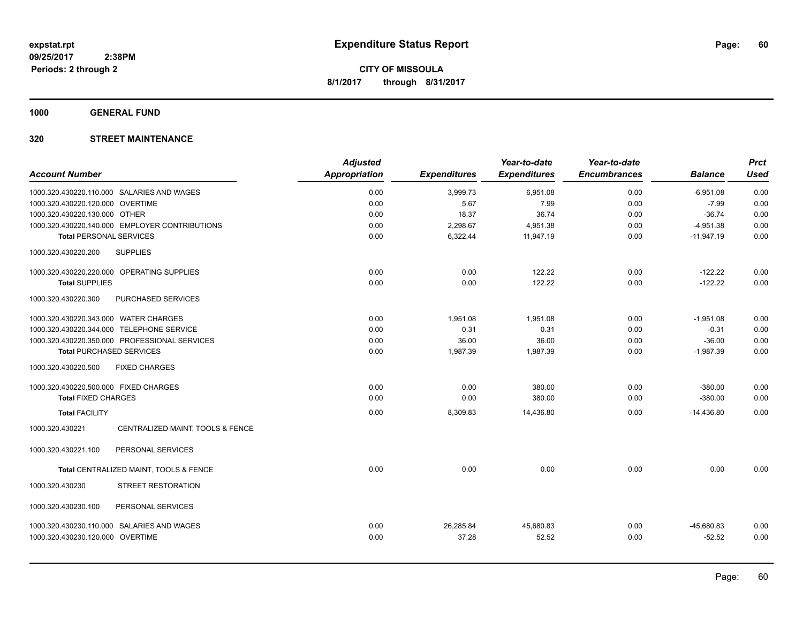**1000 GENERAL FUND**

| <b>Account Number</b>                               | <b>Adjusted</b><br><b>Appropriation</b> | <b>Expenditures</b> | Year-to-date<br><b>Expenditures</b> | Year-to-date<br><b>Encumbrances</b> | <b>Balance</b> | <b>Prct</b><br><b>Used</b> |
|-----------------------------------------------------|-----------------------------------------|---------------------|-------------------------------------|-------------------------------------|----------------|----------------------------|
| 1000.320.430220.110.000 SALARIES AND WAGES          | 0.00                                    | 3,999.73            | 6,951.08                            | 0.00                                | $-6,951.08$    | 0.00                       |
| 1000.320.430220.120.000 OVERTIME                    | 0.00                                    | 5.67                | 7.99                                | 0.00                                | $-7.99$        | 0.00                       |
| 1000.320.430220.130.000 OTHER                       | 0.00                                    | 18.37               | 36.74                               | 0.00                                | $-36.74$       | 0.00                       |
| 1000.320.430220.140.000 EMPLOYER CONTRIBUTIONS      | 0.00                                    | 2,298.67            | 4,951.38                            | 0.00                                | $-4,951.38$    | 0.00                       |
| <b>Total PERSONAL SERVICES</b>                      | 0.00                                    | 6,322.44            | 11,947.19                           | 0.00                                | $-11,947.19$   | 0.00                       |
| <b>SUPPLIES</b><br>1000.320.430220.200              |                                         |                     |                                     |                                     |                |                            |
| 1000.320.430220.220.000 OPERATING SUPPLIES          | 0.00                                    | 0.00                | 122.22                              | 0.00                                | $-122.22$      | 0.00                       |
| <b>Total SUPPLIES</b>                               | 0.00                                    | 0.00                | 122.22                              | 0.00                                | $-122.22$      | 0.00                       |
| 1000.320.430220.300<br>PURCHASED SERVICES           |                                         |                     |                                     |                                     |                |                            |
| 1000.320.430220.343.000 WATER CHARGES               | 0.00                                    | 1.951.08            | 1.951.08                            | 0.00                                | $-1.951.08$    | 0.00                       |
| 1000.320.430220.344.000 TELEPHONE SERVICE           | 0.00                                    | 0.31                | 0.31                                | 0.00                                | $-0.31$        | 0.00                       |
| 1000.320.430220.350.000 PROFESSIONAL SERVICES       | 0.00                                    | 36.00               | 36.00                               | 0.00                                | $-36.00$       | 0.00                       |
| <b>Total PURCHASED SERVICES</b>                     | 0.00                                    | 1,987.39            | 1,987.39                            | 0.00                                | $-1,987.39$    | 0.00                       |
| 1000.320.430220.500<br><b>FIXED CHARGES</b>         |                                         |                     |                                     |                                     |                |                            |
| 1000.320.430220.500.000 FIXED CHARGES               | 0.00                                    | 0.00                | 380.00                              | 0.00                                | $-380.00$      | 0.00                       |
| <b>Total FIXED CHARGES</b>                          | 0.00                                    | 0.00                | 380.00                              | 0.00                                | $-380.00$      | 0.00                       |
| <b>Total FACILITY</b>                               | 0.00                                    | 8,309.83            | 14,436.80                           | 0.00                                | $-14,436.80$   | 0.00                       |
| 1000.320.430221<br>CENTRALIZED MAINT, TOOLS & FENCE |                                         |                     |                                     |                                     |                |                            |
| 1000.320.430221.100<br>PERSONAL SERVICES            |                                         |                     |                                     |                                     |                |                            |
| Total CENTRALIZED MAINT, TOOLS & FENCE              | 0.00                                    | 0.00                | 0.00                                | 0.00                                | 0.00           | 0.00                       |
| 1000.320.430230<br>STREET RESTORATION               |                                         |                     |                                     |                                     |                |                            |
| 1000.320.430230.100<br>PERSONAL SERVICES            |                                         |                     |                                     |                                     |                |                            |
| 1000.320.430230.110.000 SALARIES AND WAGES          | 0.00                                    | 26,285.84           | 45,680.83                           | 0.00                                | $-45,680.83$   | 0.00                       |
| 1000.320.430230.120.000 OVERTIME                    | 0.00                                    | 37.28               | 52.52                               | 0.00                                | $-52.52$       | 0.00                       |
|                                                     |                                         |                     |                                     |                                     |                |                            |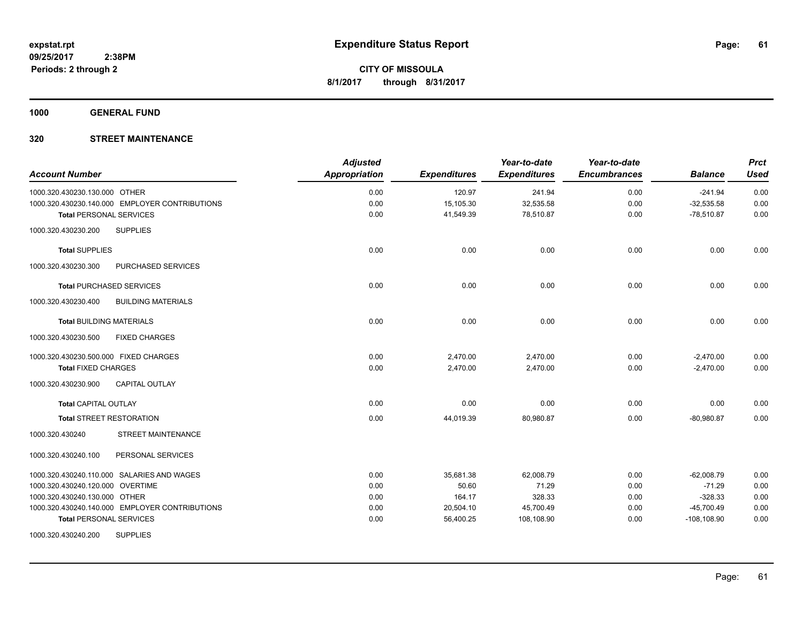**1000 GENERAL FUND**

| <b>Account Number</b>                            | <b>Adjusted</b><br>Appropriation | <b>Expenditures</b> | Year-to-date<br><b>Expenditures</b> | Year-to-date<br><b>Encumbrances</b> | <b>Balance</b> | <b>Prct</b><br><b>Used</b> |
|--------------------------------------------------|----------------------------------|---------------------|-------------------------------------|-------------------------------------|----------------|----------------------------|
| 1000.320.430230.130.000 OTHER                    | 0.00                             | 120.97              | 241.94                              | 0.00                                | $-241.94$      | 0.00                       |
| 1000.320.430230.140.000 EMPLOYER CONTRIBUTIONS   | 0.00                             | 15,105.30           | 32,535.58                           | 0.00                                | $-32,535.58$   | 0.00                       |
| <b>Total PERSONAL SERVICES</b>                   | 0.00                             | 41,549.39           | 78,510.87                           | 0.00                                | $-78,510.87$   | 0.00                       |
| <b>SUPPLIES</b><br>1000.320.430230.200           |                                  |                     |                                     |                                     |                |                            |
| <b>Total SUPPLIES</b>                            | 0.00                             | 0.00                | 0.00                                | 0.00                                | 0.00           | 0.00                       |
| 1000.320.430230.300<br>PURCHASED SERVICES        |                                  |                     |                                     |                                     |                |                            |
| <b>Total PURCHASED SERVICES</b>                  | 0.00                             | 0.00                | 0.00                                | 0.00                                | 0.00           | 0.00                       |
| 1000.320.430230.400<br><b>BUILDING MATERIALS</b> |                                  |                     |                                     |                                     |                |                            |
| <b>Total BUILDING MATERIALS</b>                  | 0.00                             | 0.00                | 0.00                                | 0.00                                | 0.00           | 0.00                       |
| <b>FIXED CHARGES</b><br>1000.320.430230.500      |                                  |                     |                                     |                                     |                |                            |
| 1000.320.430230.500.000 FIXED CHARGES            | 0.00                             | 2,470.00            | 2,470.00                            | 0.00                                | $-2,470.00$    | 0.00                       |
| <b>Total FIXED CHARGES</b>                       | 0.00                             | 2,470.00            | 2,470.00                            | 0.00                                | $-2,470.00$    | 0.00                       |
| CAPITAL OUTLAY<br>1000.320.430230.900            |                                  |                     |                                     |                                     |                |                            |
| <b>Total CAPITAL OUTLAY</b>                      | 0.00                             | 0.00                | 0.00                                | 0.00                                | 0.00           | 0.00                       |
| <b>Total STREET RESTORATION</b>                  | 0.00                             | 44,019.39           | 80,980.87                           | 0.00                                | $-80,980.87$   | 0.00                       |
| 1000.320.430240<br>STREET MAINTENANCE            |                                  |                     |                                     |                                     |                |                            |
| PERSONAL SERVICES<br>1000.320.430240.100         |                                  |                     |                                     |                                     |                |                            |
| 1000.320.430240.110.000 SALARIES AND WAGES       | 0.00                             | 35,681.38           | 62,008.79                           | 0.00                                | $-62,008.79$   | 0.00                       |
| 1000.320.430240.120.000 OVERTIME                 | 0.00                             | 50.60               | 71.29                               | 0.00                                | $-71.29$       | 0.00                       |
| 1000.320.430240.130.000 OTHER                    | 0.00                             | 164.17              | 328.33                              | 0.00                                | $-328.33$      | 0.00                       |
| 1000.320.430240.140.000 EMPLOYER CONTRIBUTIONS   | 0.00                             | 20,504.10           | 45,700.49                           | 0.00                                | $-45,700.49$   | 0.00                       |
| <b>Total PERSONAL SERVICES</b>                   | 0.00                             | 56,400.25           | 108,108.90                          | 0.00                                | $-108, 108.90$ | 0.00                       |
| <b>SUPPLIES</b><br>1000.320.430240.200           |                                  |                     |                                     |                                     |                |                            |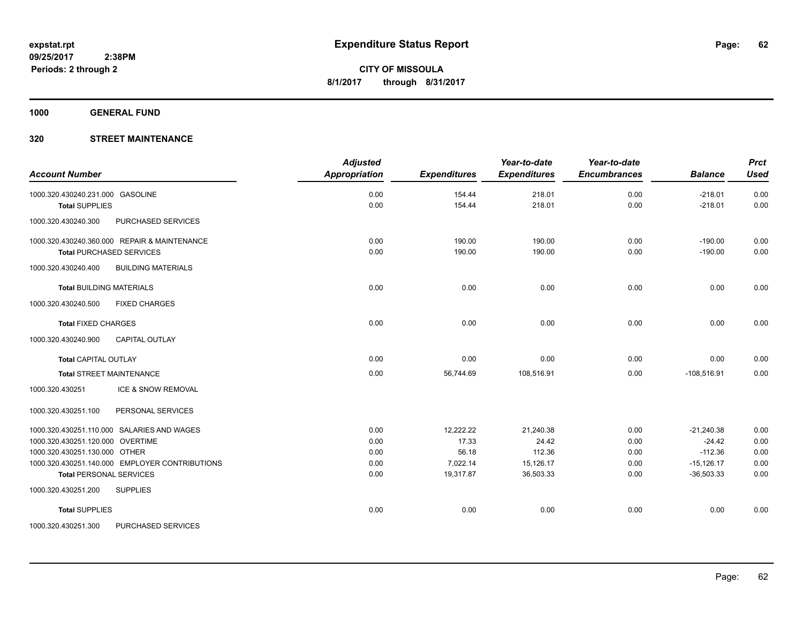**1000 GENERAL FUND**

| <b>Account Number</b>                            | <b>Adjusted</b><br><b>Appropriation</b> | <b>Expenditures</b> | Year-to-date<br><b>Expenditures</b> | Year-to-date<br><b>Encumbrances</b> | <b>Balance</b> | <b>Prct</b><br><b>Used</b> |
|--------------------------------------------------|-----------------------------------------|---------------------|-------------------------------------|-------------------------------------|----------------|----------------------------|
| 1000.320.430240.231.000 GASOLINE                 | 0.00                                    | 154.44              | 218.01                              | 0.00                                | $-218.01$      | 0.00                       |
| <b>Total SUPPLIES</b>                            | 0.00                                    | 154.44              | 218.01                              | 0.00                                | $-218.01$      | 0.00                       |
| 1000.320.430240.300<br>PURCHASED SERVICES        |                                         |                     |                                     |                                     |                |                            |
| 1000.320.430240.360.000 REPAIR & MAINTENANCE     | 0.00                                    | 190.00              | 190.00                              | 0.00                                | $-190.00$      | 0.00                       |
| <b>Total PURCHASED SERVICES</b>                  | 0.00                                    | 190.00              | 190.00                              | 0.00                                | $-190.00$      | 0.00                       |
| <b>BUILDING MATERIALS</b><br>1000.320.430240.400 |                                         |                     |                                     |                                     |                |                            |
| <b>Total BUILDING MATERIALS</b>                  | 0.00                                    | 0.00                | 0.00                                | 0.00                                | 0.00           | 0.00                       |
| 1000.320.430240.500<br><b>FIXED CHARGES</b>      |                                         |                     |                                     |                                     |                |                            |
| <b>Total FIXED CHARGES</b>                       | 0.00                                    | 0.00                | 0.00                                | 0.00                                | 0.00           | 0.00                       |
| <b>CAPITAL OUTLAY</b><br>1000.320.430240.900     |                                         |                     |                                     |                                     |                |                            |
| <b>Total CAPITAL OUTLAY</b>                      | 0.00                                    | 0.00                | 0.00                                | 0.00                                | 0.00           | 0.00                       |
| <b>Total STREET MAINTENANCE</b>                  | 0.00                                    | 56,744.69           | 108,516.91                          | 0.00                                | $-108,516.91$  | 0.00                       |
| ICE & SNOW REMOVAL<br>1000.320.430251            |                                         |                     |                                     |                                     |                |                            |
| 1000.320.430251.100<br>PERSONAL SERVICES         |                                         |                     |                                     |                                     |                |                            |
| 1000.320.430251.110.000 SALARIES AND WAGES       | 0.00                                    | 12,222.22           | 21,240.38                           | 0.00                                | $-21,240.38$   | 0.00                       |
| 1000.320.430251.120.000 OVERTIME                 | 0.00                                    | 17.33               | 24.42                               | 0.00                                | $-24.42$       | 0.00                       |
| 1000.320.430251.130.000 OTHER                    | 0.00                                    | 56.18               | 112.36                              | 0.00                                | $-112.36$      | 0.00                       |
| 1000.320.430251.140.000 EMPLOYER CONTRIBUTIONS   | 0.00                                    | 7,022.14            | 15,126.17                           | 0.00                                | $-15, 126.17$  | 0.00                       |
| <b>Total PERSONAL SERVICES</b>                   | 0.00                                    | 19,317.87           | 36,503.33                           | 0.00                                | $-36,503.33$   | 0.00                       |
| 1000.320.430251.200<br><b>SUPPLIES</b>           |                                         |                     |                                     |                                     |                |                            |
| <b>Total SUPPLIES</b>                            | 0.00                                    | 0.00                | 0.00                                | 0.00                                | 0.00           | 0.00                       |
| 1000.320.430251.300<br>PURCHASED SERVICES        |                                         |                     |                                     |                                     |                |                            |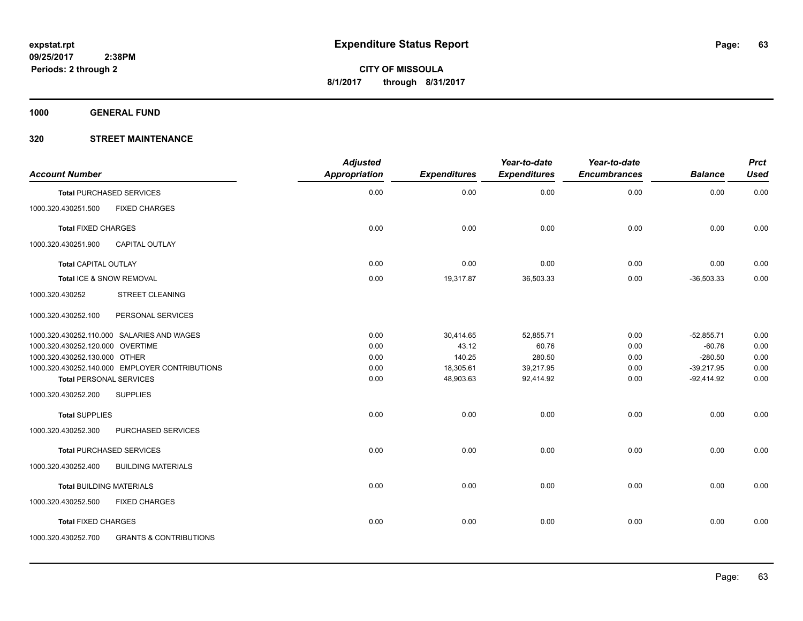**1000 GENERAL FUND**

| <b>Account Number</b>                                    | <b>Adjusted</b><br><b>Appropriation</b> | <b>Expenditures</b> | Year-to-date<br><b>Expenditures</b> | Year-to-date<br><b>Encumbrances</b> | <b>Balance</b> | <b>Prct</b><br><b>Used</b> |
|----------------------------------------------------------|-----------------------------------------|---------------------|-------------------------------------|-------------------------------------|----------------|----------------------------|
| <b>Total PURCHASED SERVICES</b>                          | 0.00                                    | 0.00                | 0.00                                | 0.00                                | 0.00           | 0.00                       |
| <b>FIXED CHARGES</b><br>1000.320.430251.500              |                                         |                     |                                     |                                     |                |                            |
| <b>Total FIXED CHARGES</b>                               | 0.00                                    | 0.00                | 0.00                                | 0.00                                | 0.00           | 0.00                       |
| 1000.320.430251.900<br><b>CAPITAL OUTLAY</b>             |                                         |                     |                                     |                                     |                |                            |
| <b>Total CAPITAL OUTLAY</b>                              | 0.00                                    | 0.00                | 0.00                                | 0.00                                | 0.00           | 0.00                       |
| Total ICE & SNOW REMOVAL                                 | 0.00                                    | 19,317.87           | 36,503.33                           | 0.00                                | $-36,503.33$   | 0.00                       |
| 1000.320.430252<br><b>STREET CLEANING</b>                |                                         |                     |                                     |                                     |                |                            |
| 1000.320.430252.100<br>PERSONAL SERVICES                 |                                         |                     |                                     |                                     |                |                            |
| 1000.320.430252.110.000 SALARIES AND WAGES               | 0.00                                    | 30,414.65           | 52,855.71                           | 0.00                                | $-52,855.71$   | 0.00                       |
| 1000.320.430252.120.000 OVERTIME                         | 0.00                                    | 43.12               | 60.76                               | 0.00                                | $-60.76$       | 0.00                       |
| 1000.320.430252.130.000 OTHER                            | 0.00                                    | 140.25              | 280.50                              | 0.00                                | $-280.50$      | 0.00                       |
| 1000.320.430252.140.000 EMPLOYER CONTRIBUTIONS           | 0.00                                    | 18,305.61           | 39,217.95                           | 0.00                                | $-39,217.95$   | 0.00                       |
| <b>Total PERSONAL SERVICES</b>                           | 0.00                                    | 48,903.63           | 92,414.92                           | 0.00                                | $-92,414.92$   | 0.00                       |
| <b>SUPPLIES</b><br>1000.320.430252.200                   |                                         |                     |                                     |                                     |                |                            |
| <b>Total SUPPLIES</b>                                    | 0.00                                    | 0.00                | 0.00                                | 0.00                                | 0.00           | 0.00                       |
| 1000.320.430252.300<br>PURCHASED SERVICES                |                                         |                     |                                     |                                     |                |                            |
| <b>Total PURCHASED SERVICES</b>                          | 0.00                                    | 0.00                | 0.00                                | 0.00                                | 0.00           | 0.00                       |
| 1000.320.430252.400<br><b>BUILDING MATERIALS</b>         |                                         |                     |                                     |                                     |                |                            |
| <b>Total BUILDING MATERIALS</b>                          | 0.00                                    | 0.00                | 0.00                                | 0.00                                | 0.00           | 0.00                       |
| 1000.320.430252.500<br><b>FIXED CHARGES</b>              |                                         |                     |                                     |                                     |                |                            |
| <b>Total FIXED CHARGES</b>                               | 0.00                                    | 0.00                | 0.00                                | 0.00                                | 0.00           | 0.00                       |
| <b>GRANTS &amp; CONTRIBUTIONS</b><br>1000.320.430252.700 |                                         |                     |                                     |                                     |                |                            |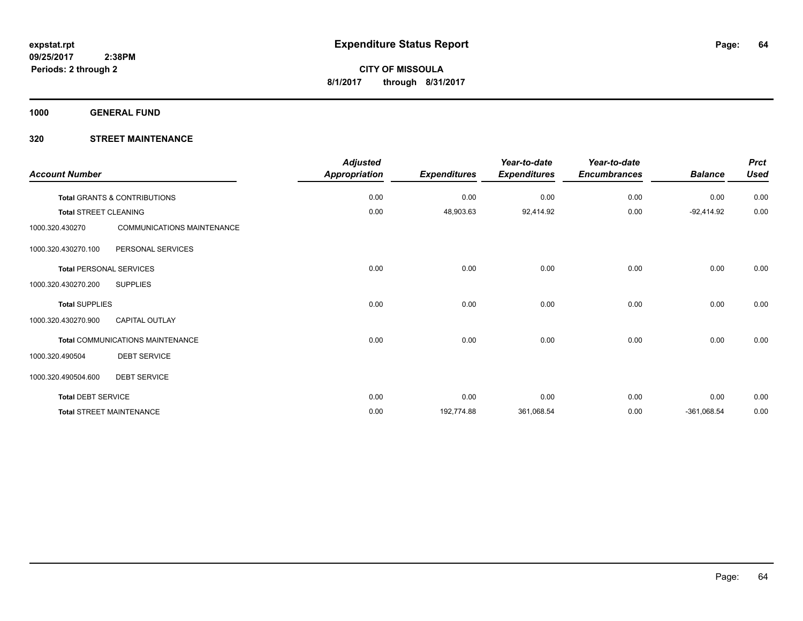**1000 GENERAL FUND**

| <b>Account Number</b>          |                                         | <b>Adjusted</b><br>Appropriation | <b>Expenditures</b> | Year-to-date<br><b>Expenditures</b> | Year-to-date<br><b>Encumbrances</b> | <b>Balance</b> | <b>Prct</b><br><b>Used</b> |
|--------------------------------|-----------------------------------------|----------------------------------|---------------------|-------------------------------------|-------------------------------------|----------------|----------------------------|
|                                | <b>Total GRANTS &amp; CONTRIBUTIONS</b> | 0.00                             | 0.00                | 0.00                                | 0.00                                | 0.00           | 0.00                       |
| <b>Total STREET CLEANING</b>   |                                         | 0.00                             | 48,903.63           | 92,414.92                           | 0.00                                | $-92,414.92$   | 0.00                       |
| 1000.320.430270                | <b>COMMUNICATIONS MAINTENANCE</b>       |                                  |                     |                                     |                                     |                |                            |
| 1000.320.430270.100            | PERSONAL SERVICES                       |                                  |                     |                                     |                                     |                |                            |
| <b>Total PERSONAL SERVICES</b> |                                         | 0.00                             | 0.00                | 0.00                                | 0.00                                | 0.00           | 0.00                       |
| 1000.320.430270.200            | <b>SUPPLIES</b>                         |                                  |                     |                                     |                                     |                |                            |
| <b>Total SUPPLIES</b>          |                                         | 0.00                             | 0.00                | 0.00                                | 0.00                                | 0.00           | 0.00                       |
| 1000.320.430270.900            | <b>CAPITAL OUTLAY</b>                   |                                  |                     |                                     |                                     |                |                            |
|                                | Total COMMUNICATIONS MAINTENANCE        | 0.00                             | 0.00                | 0.00                                | 0.00                                | 0.00           | 0.00                       |
| 1000.320.490504                | <b>DEBT SERVICE</b>                     |                                  |                     |                                     |                                     |                |                            |
| 1000.320.490504.600            | <b>DEBT SERVICE</b>                     |                                  |                     |                                     |                                     |                |                            |
| <b>Total DEBT SERVICE</b>      |                                         | 0.00                             | 0.00                | 0.00                                | 0.00                                | 0.00           | 0.00                       |
|                                | <b>Total STREET MAINTENANCE</b>         | 0.00                             | 192,774.88          | 361,068.54                          | 0.00                                | $-361,068.54$  | 0.00                       |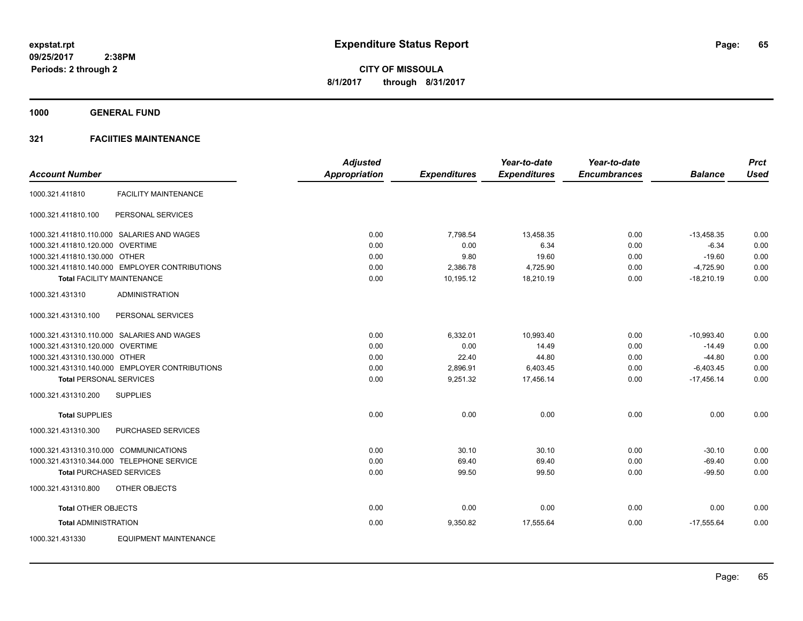**1000 GENERAL FUND**

### **321 FACIITIES MAINTENANCE**

|                                        |                                                | <b>Adjusted</b>      |                     | Year-to-date        | Year-to-date        |                | <b>Prct</b> |
|----------------------------------------|------------------------------------------------|----------------------|---------------------|---------------------|---------------------|----------------|-------------|
| <b>Account Number</b>                  |                                                | <b>Appropriation</b> | <b>Expenditures</b> | <b>Expenditures</b> | <b>Encumbrances</b> | <b>Balance</b> | <b>Used</b> |
| 1000.321.411810                        | <b>FACILITY MAINTENANCE</b>                    |                      |                     |                     |                     |                |             |
| 1000.321.411810.100                    | PERSONAL SERVICES                              |                      |                     |                     |                     |                |             |
|                                        | 1000.321.411810.110.000 SALARIES AND WAGES     | 0.00                 | 7,798.54            | 13,458.35           | 0.00                | $-13,458.35$   | 0.00        |
| 1000.321.411810.120.000 OVERTIME       |                                                | 0.00                 | 0.00                | 6.34                | 0.00                | $-6.34$        | 0.00        |
| 1000.321.411810.130.000 OTHER          |                                                | 0.00                 | 9.80                | 19.60               | 0.00                | $-19.60$       | 0.00        |
|                                        | 1000.321.411810.140.000 EMPLOYER CONTRIBUTIONS | 0.00                 | 2,386.78            | 4,725.90            | 0.00                | $-4,725.90$    | 0.00        |
|                                        | <b>Total FACILITY MAINTENANCE</b>              | 0.00                 | 10,195.12           | 18,210.19           | 0.00                | $-18,210.19$   | 0.00        |
| 1000.321.431310                        | <b>ADMINISTRATION</b>                          |                      |                     |                     |                     |                |             |
| 1000.321.431310.100                    | PERSONAL SERVICES                              |                      |                     |                     |                     |                |             |
|                                        | 1000.321.431310.110.000 SALARIES AND WAGES     | 0.00                 | 6,332.01            | 10,993.40           | 0.00                | $-10,993.40$   | 0.00        |
| 1000.321.431310.120.000 OVERTIME       |                                                | 0.00                 | 0.00                | 14.49               | 0.00                | $-14.49$       | 0.00        |
| 1000.321.431310.130.000 OTHER          |                                                | 0.00                 | 22.40               | 44.80               | 0.00                | $-44.80$       | 0.00        |
|                                        | 1000.321.431310.140.000 EMPLOYER CONTRIBUTIONS | 0.00                 | 2,896.91            | 6,403.45            | 0.00                | $-6,403.45$    | 0.00        |
| <b>Total PERSONAL SERVICES</b>         |                                                | 0.00                 | 9,251.32            | 17,456.14           | 0.00                | $-17,456.14$   | 0.00        |
| 1000.321.431310.200                    | <b>SUPPLIES</b>                                |                      |                     |                     |                     |                |             |
| <b>Total SUPPLIES</b>                  |                                                | 0.00                 | 0.00                | 0.00                | 0.00                | 0.00           | 0.00        |
| 1000.321.431310.300                    | PURCHASED SERVICES                             |                      |                     |                     |                     |                |             |
| 1000.321.431310.310.000 COMMUNICATIONS |                                                | 0.00                 | 30.10               | 30.10               | 0.00                | $-30.10$       | 0.00        |
|                                        | 1000.321.431310.344.000 TELEPHONE SERVICE      | 0.00                 | 69.40               | 69.40               | 0.00                | $-69.40$       | 0.00        |
| <b>Total PURCHASED SERVICES</b>        |                                                | 0.00                 | 99.50               | 99.50               | 0.00                | $-99.50$       | 0.00        |
| 1000.321.431310.800                    | OTHER OBJECTS                                  |                      |                     |                     |                     |                |             |
| <b>Total OTHER OBJECTS</b>             |                                                | 0.00                 | 0.00                | 0.00                | 0.00                | 0.00           | 0.00        |
| <b>Total ADMINISTRATION</b>            |                                                | 0.00                 | 9,350.82            | 17,555.64           | 0.00                | $-17,555.64$   | 0.00        |
| 1000.321.431330                        | <b>EQUIPMENT MAINTENANCE</b>                   |                      |                     |                     |                     |                |             |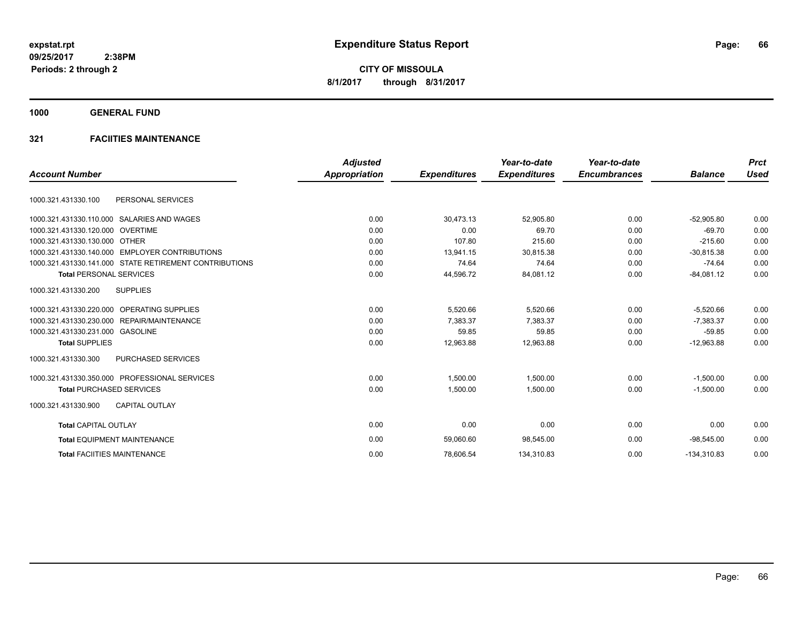**1000 GENERAL FUND**

### **321 FACIITIES MAINTENANCE**

| <b>Account Number</b>                                  | <b>Adjusted</b><br><b>Appropriation</b> | <b>Expenditures</b> | Year-to-date<br><b>Expenditures</b> | Year-to-date<br><b>Encumbrances</b> | <b>Balance</b> | <b>Prct</b><br><b>Used</b> |
|--------------------------------------------------------|-----------------------------------------|---------------------|-------------------------------------|-------------------------------------|----------------|----------------------------|
|                                                        |                                         |                     |                                     |                                     |                |                            |
| 1000.321.431330.100<br>PERSONAL SERVICES               |                                         |                     |                                     |                                     |                |                            |
| 1000.321.431330.110.000 SALARIES AND WAGES             | 0.00                                    | 30.473.13           | 52.905.80                           | 0.00                                | $-52.905.80$   | 0.00                       |
| 1000.321.431330.120.000 OVERTIME                       | 0.00                                    | 0.00                | 69.70                               | 0.00                                | $-69.70$       | 0.00                       |
| 1000.321.431330.130.000 OTHER                          | 0.00                                    | 107.80              | 215.60                              | 0.00                                | $-215.60$      | 0.00                       |
| 1000.321.431330.140.000 EMPLOYER CONTRIBUTIONS         | 0.00                                    | 13,941.15           | 30,815.38                           | 0.00                                | $-30.815.38$   | 0.00                       |
| 1000.321.431330.141.000 STATE RETIREMENT CONTRIBUTIONS | 0.00                                    | 74.64               | 74.64                               | 0.00                                | $-74.64$       | 0.00                       |
| <b>Total PERSONAL SERVICES</b>                         | 0.00                                    | 44,596.72           | 84,081.12                           | 0.00                                | $-84,081.12$   | 0.00                       |
| <b>SUPPLIES</b><br>1000.321.431330.200                 |                                         |                     |                                     |                                     |                |                            |
| 1000.321.431330.220.000 OPERATING SUPPLIES             | 0.00                                    | 5,520.66            | 5,520.66                            | 0.00                                | $-5.520.66$    | 0.00                       |
| 1000.321.431330.230.000 REPAIR/MAINTENANCE             | 0.00                                    | 7.383.37            | 7.383.37                            | 0.00                                | $-7.383.37$    | 0.00                       |
| 1000.321.431330.231.000 GASOLINE                       | 0.00                                    | 59.85               | 59.85                               | 0.00                                | $-59.85$       | 0.00                       |
| <b>Total SUPPLIES</b>                                  | 0.00                                    | 12,963.88           | 12,963.88                           | 0.00                                | $-12,963.88$   | 0.00                       |
| 1000.321.431330.300<br><b>PURCHASED SERVICES</b>       |                                         |                     |                                     |                                     |                |                            |
| 1000.321.431330.350.000 PROFESSIONAL SERVICES          | 0.00                                    | 1.500.00            | 1.500.00                            | 0.00                                | $-1.500.00$    | 0.00                       |
| <b>Total PURCHASED SERVICES</b>                        | 0.00                                    | 1,500.00            | 1,500.00                            | 0.00                                | $-1,500.00$    | 0.00                       |
| 1000.321.431330.900<br><b>CAPITAL OUTLAY</b>           |                                         |                     |                                     |                                     |                |                            |
| <b>Total CAPITAL OUTLAY</b>                            | 0.00                                    | 0.00                | 0.00                                | 0.00                                | 0.00           | 0.00                       |
| <b>Total EQUIPMENT MAINTENANCE</b>                     | 0.00                                    | 59,060.60           | 98,545.00                           | 0.00                                | $-98.545.00$   | 0.00                       |
| <b>Total FACIITIES MAINTENANCE</b>                     | 0.00                                    | 78,606.54           | 134,310.83                          | 0.00                                | $-134,310.83$  | 0.00                       |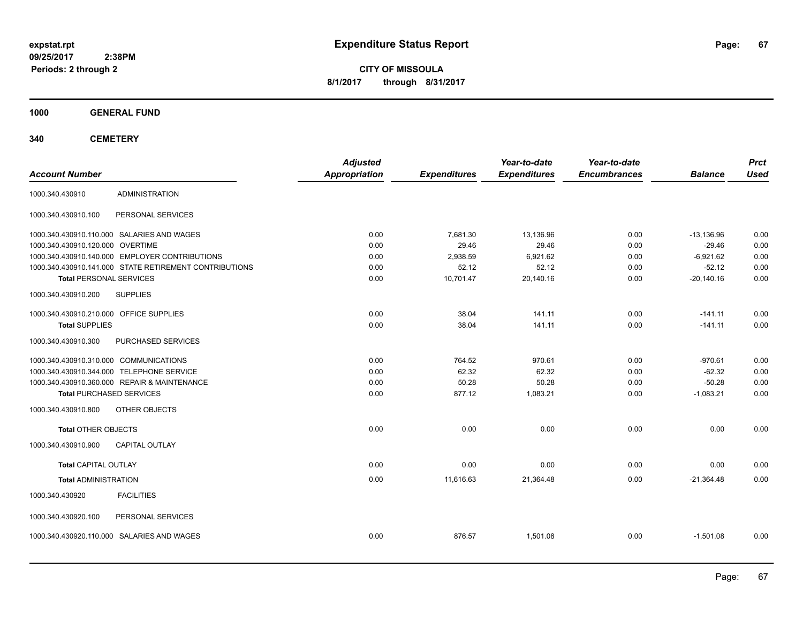**CITY OF MISSOULA 8/1/2017 through 8/31/2017**

**1000 GENERAL FUND**

| <b>Account Number</b>                                  | <b>Adjusted</b><br>Appropriation | <b>Expenditures</b> | Year-to-date<br><b>Expenditures</b> | Year-to-date<br><b>Encumbrances</b> | <b>Balance</b> | <b>Prct</b><br><b>Used</b> |
|--------------------------------------------------------|----------------------------------|---------------------|-------------------------------------|-------------------------------------|----------------|----------------------------|
| <b>ADMINISTRATION</b><br>1000.340.430910               |                                  |                     |                                     |                                     |                |                            |
| 1000.340.430910.100<br>PERSONAL SERVICES               |                                  |                     |                                     |                                     |                |                            |
| 1000.340.430910.110.000 SALARIES AND WAGES             | 0.00                             | 7,681.30            | 13,136.96                           | 0.00                                | $-13,136.96$   | 0.00                       |
| 1000.340.430910.120.000 OVERTIME                       | 0.00                             | 29.46               | 29.46                               | 0.00                                | $-29.46$       | 0.00                       |
| 1000.340.430910.140.000 EMPLOYER CONTRIBUTIONS         | 0.00                             | 2,938.59            | 6,921.62                            | 0.00                                | $-6,921.62$    | 0.00                       |
| 1000.340.430910.141.000 STATE RETIREMENT CONTRIBUTIONS | 0.00                             | 52.12               | 52.12                               | 0.00                                | $-52.12$       | 0.00                       |
| <b>Total PERSONAL SERVICES</b>                         | 0.00                             | 10,701.47           | 20,140.16                           | 0.00                                | $-20.140.16$   | 0.00                       |
| 1000.340.430910.200<br><b>SUPPLIES</b>                 |                                  |                     |                                     |                                     |                |                            |
| 1000.340.430910.210.000 OFFICE SUPPLIES                | 0.00                             | 38.04               | 141.11                              | 0.00                                | $-141.11$      | 0.00                       |
| <b>Total SUPPLIES</b>                                  | 0.00                             | 38.04               | 141.11                              | 0.00                                | $-141.11$      | 0.00                       |
| 1000.340.430910.300<br>PURCHASED SERVICES              |                                  |                     |                                     |                                     |                |                            |
| 1000.340.430910.310.000 COMMUNICATIONS                 | 0.00                             | 764.52              | 970.61                              | 0.00                                | $-970.61$      | 0.00                       |
| 1000.340.430910.344.000 TELEPHONE SERVICE              | 0.00                             | 62.32               | 62.32                               | 0.00                                | $-62.32$       | 0.00                       |
| 1000.340.430910.360.000 REPAIR & MAINTENANCE           | 0.00                             | 50.28               | 50.28                               | 0.00                                | $-50.28$       | 0.00                       |
| <b>Total PURCHASED SERVICES</b>                        | 0.00                             | 877.12              | 1,083.21                            | 0.00                                | $-1,083.21$    | 0.00                       |
| OTHER OBJECTS<br>1000.340.430910.800                   |                                  |                     |                                     |                                     |                |                            |
| <b>Total OTHER OBJECTS</b>                             | 0.00                             | 0.00                | 0.00                                | 0.00                                | 0.00           | 0.00                       |
| 1000.340.430910.900<br><b>CAPITAL OUTLAY</b>           |                                  |                     |                                     |                                     |                |                            |
| <b>Total CAPITAL OUTLAY</b>                            | 0.00                             | 0.00                | 0.00                                | 0.00                                | 0.00           | 0.00                       |
| <b>Total ADMINISTRATION</b>                            | 0.00                             | 11,616.63           | 21,364.48                           | 0.00                                | $-21,364.48$   | 0.00                       |
| <b>FACILITIES</b><br>1000.340.430920                   |                                  |                     |                                     |                                     |                |                            |
| 1000.340.430920.100<br>PERSONAL SERVICES               |                                  |                     |                                     |                                     |                |                            |
| 1000.340.430920.110.000 SALARIES AND WAGES             | 0.00                             | 876.57              | 1,501.08                            | 0.00                                | $-1,501.08$    | 0.00                       |
|                                                        |                                  |                     |                                     |                                     |                |                            |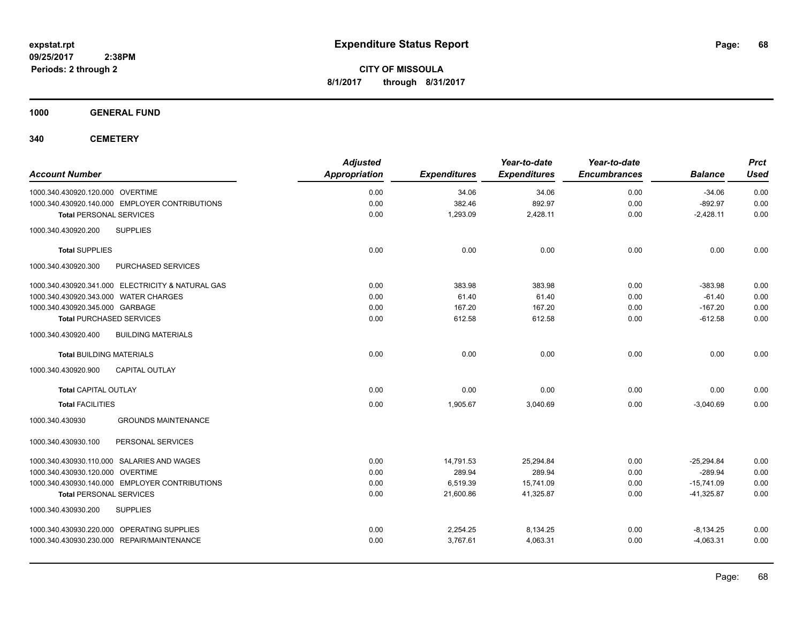**CITY OF MISSOULA 8/1/2017 through 8/31/2017**

**1000 GENERAL FUND**

| <b>Account Number</b>                             | <b>Adjusted</b><br>Appropriation | <b>Expenditures</b> | Year-to-date<br><b>Expenditures</b> | Year-to-date<br><b>Encumbrances</b> | <b>Balance</b> | <b>Prct</b><br><b>Used</b> |
|---------------------------------------------------|----------------------------------|---------------------|-------------------------------------|-------------------------------------|----------------|----------------------------|
| 1000.340.430920.120.000 OVERTIME                  | 0.00                             | 34.06               | 34.06                               | 0.00                                | $-34.06$       | 0.00                       |
| 1000.340.430920.140.000 EMPLOYER CONTRIBUTIONS    | 0.00                             | 382.46              | 892.97                              | 0.00                                | $-892.97$      | 0.00                       |
| <b>Total PERSONAL SERVICES</b>                    | 0.00                             | 1,293.09            | 2,428.11                            | 0.00                                | $-2,428.11$    | 0.00                       |
| <b>SUPPLIES</b><br>1000.340.430920.200            |                                  |                     |                                     |                                     |                |                            |
| <b>Total SUPPLIES</b>                             | 0.00                             | 0.00                | 0.00                                | 0.00                                | 0.00           | 0.00                       |
| 1000.340.430920.300<br>PURCHASED SERVICES         |                                  |                     |                                     |                                     |                |                            |
| 1000.340.430920.341.000 ELECTRICITY & NATURAL GAS | 0.00                             | 383.98              | 383.98                              | 0.00                                | $-383.98$      | 0.00                       |
| 1000.340.430920.343.000 WATER CHARGES             | 0.00                             | 61.40               | 61.40                               | 0.00                                | $-61.40$       | 0.00                       |
| 1000.340.430920.345.000 GARBAGE                   | 0.00                             | 167.20              | 167.20                              | 0.00                                | $-167.20$      | 0.00                       |
| <b>Total PURCHASED SERVICES</b>                   | 0.00                             | 612.58              | 612.58                              | 0.00                                | $-612.58$      | 0.00                       |
| 1000.340.430920.400<br><b>BUILDING MATERIALS</b>  |                                  |                     |                                     |                                     |                |                            |
| <b>Total BUILDING MATERIALS</b>                   | 0.00                             | 0.00                | 0.00                                | 0.00                                | 0.00           | 0.00                       |
| 1000.340.430920.900<br><b>CAPITAL OUTLAY</b>      |                                  |                     |                                     |                                     |                |                            |
| <b>Total CAPITAL OUTLAY</b>                       | 0.00                             | 0.00                | 0.00                                | 0.00                                | 0.00           | 0.00                       |
| <b>Total FACILITIES</b>                           | 0.00                             | 1,905.67            | 3,040.69                            | 0.00                                | $-3,040.69$    | 0.00                       |
| <b>GROUNDS MAINTENANCE</b><br>1000.340.430930     |                                  |                     |                                     |                                     |                |                            |
| 1000.340.430930.100<br>PERSONAL SERVICES          |                                  |                     |                                     |                                     |                |                            |
| 1000.340.430930.110.000 SALARIES AND WAGES        | 0.00                             | 14,791.53           | 25,294.84                           | 0.00                                | $-25,294.84$   | 0.00                       |
| 1000.340.430930.120.000 OVERTIME                  | 0.00                             | 289.94              | 289.94                              | 0.00                                | $-289.94$      | 0.00                       |
| 1000.340.430930.140.000 EMPLOYER CONTRIBUTIONS    | 0.00                             | 6,519.39            | 15,741.09                           | 0.00                                | $-15,741.09$   | 0.00                       |
| <b>Total PERSONAL SERVICES</b>                    | 0.00                             | 21,600.86           | 41,325.87                           | 0.00                                | $-41,325.87$   | 0.00                       |
| 1000.340.430930.200<br><b>SUPPLIES</b>            |                                  |                     |                                     |                                     |                |                            |
| 1000.340.430930.220.000 OPERATING SUPPLIES        | 0.00                             | 2,254.25            | 8,134.25                            | 0.00                                | $-8,134.25$    | 0.00                       |
| 1000.340.430930.230.000 REPAIR/MAINTENANCE        | 0.00                             | 3,767.61            | 4,063.31                            | 0.00                                | $-4,063.31$    | 0.00                       |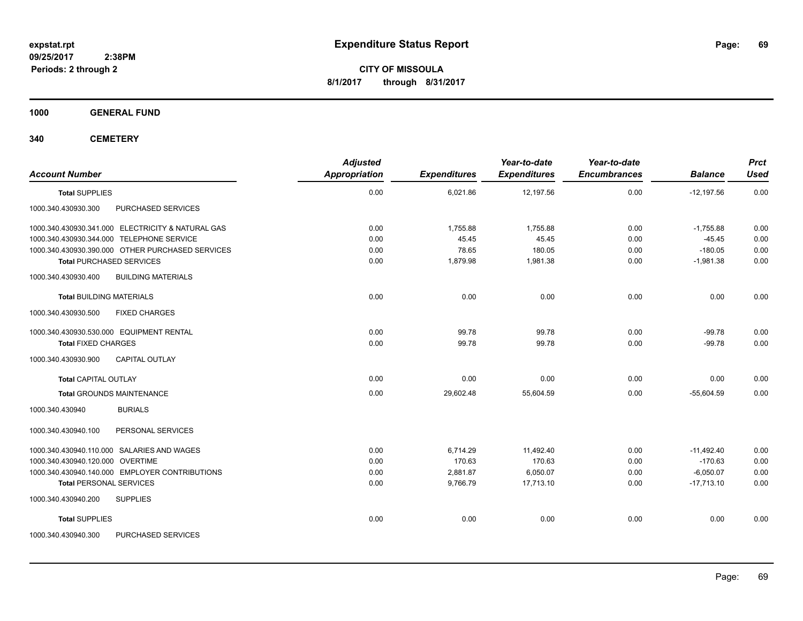**CITY OF MISSOULA 8/1/2017 through 8/31/2017**

**1000 GENERAL FUND**

| <b>Account Number</b>                                                                         | <b>Adjusted</b><br>Appropriation | <b>Expenditures</b> | Year-to-date<br><b>Expenditures</b> | Year-to-date<br><b>Encumbrances</b> | <b>Balance</b>        | <b>Prct</b><br>Used |
|-----------------------------------------------------------------------------------------------|----------------------------------|---------------------|-------------------------------------|-------------------------------------|-----------------------|---------------------|
| <b>Total SUPPLIES</b>                                                                         | 0.00                             | 6,021.86            | 12,197.56                           | 0.00                                | $-12,197.56$          | 0.00                |
| 1000.340.430930.300<br>PURCHASED SERVICES                                                     |                                  |                     |                                     |                                     |                       |                     |
| 1000.340.430930.341.000 ELECTRICITY & NATURAL GAS                                             | 0.00                             | 1,755.88<br>45.45   | 1,755.88<br>45.45                   | 0.00                                | $-1,755.88$           | 0.00                |
| 1000.340.430930.344.000 TELEPHONE SERVICE<br>1000.340.430930.390.000 OTHER PURCHASED SERVICES | 0.00<br>0.00                     | 78.65               | 180.05                              | 0.00<br>0.00                        | $-45.45$<br>$-180.05$ | 0.00<br>0.00        |
| <b>Total PURCHASED SERVICES</b>                                                               | 0.00                             | 1,879.98            | 1,981.38                            | 0.00                                | $-1,981.38$           | 0.00                |
| <b>BUILDING MATERIALS</b><br>1000.340.430930.400                                              |                                  |                     |                                     |                                     |                       |                     |
| <b>Total BUILDING MATERIALS</b>                                                               | 0.00                             | 0.00                | 0.00                                | 0.00                                | 0.00                  | 0.00                |
| <b>FIXED CHARGES</b><br>1000.340.430930.500                                                   |                                  |                     |                                     |                                     |                       |                     |
| 1000.340.430930.530.000 EQUIPMENT RENTAL                                                      | 0.00                             | 99.78               | 99.78                               | 0.00                                | $-99.78$              | 0.00                |
| <b>Total FIXED CHARGES</b>                                                                    | 0.00                             | 99.78               | 99.78                               | 0.00                                | $-99.78$              | 0.00                |
| <b>CAPITAL OUTLAY</b><br>1000.340.430930.900                                                  |                                  |                     |                                     |                                     |                       |                     |
| <b>Total CAPITAL OUTLAY</b>                                                                   | 0.00                             | 0.00                | 0.00                                | 0.00                                | 0.00                  | 0.00                |
| <b>Total GROUNDS MAINTENANCE</b>                                                              | 0.00                             | 29,602.48           | 55,604.59                           | 0.00                                | $-55,604.59$          | 0.00                |
| <b>BURIALS</b><br>1000.340.430940                                                             |                                  |                     |                                     |                                     |                       |                     |
| 1000.340.430940.100<br>PERSONAL SERVICES                                                      |                                  |                     |                                     |                                     |                       |                     |
| 1000.340.430940.110.000 SALARIES AND WAGES                                                    | 0.00                             | 6,714.29            | 11,492.40                           | 0.00                                | $-11,492.40$          | 0.00                |
| 1000.340.430940.120.000 OVERTIME                                                              | 0.00                             | 170.63              | 170.63                              | 0.00                                | $-170.63$             | 0.00                |
| 1000.340.430940.140.000 EMPLOYER CONTRIBUTIONS                                                | 0.00                             | 2,881.87            | 6,050.07                            | 0.00                                | $-6,050.07$           | 0.00                |
| <b>Total PERSONAL SERVICES</b>                                                                | 0.00                             | 9,766.79            | 17,713.10                           | 0.00                                | $-17,713.10$          | 0.00                |
| 1000.340.430940.200<br><b>SUPPLIES</b>                                                        |                                  |                     |                                     |                                     |                       |                     |
| <b>Total SUPPLIES</b>                                                                         | 0.00                             | 0.00                | 0.00                                | 0.00                                | 0.00                  | 0.00                |
| 1000.340.430940.300<br>PURCHASED SERVICES                                                     |                                  |                     |                                     |                                     |                       |                     |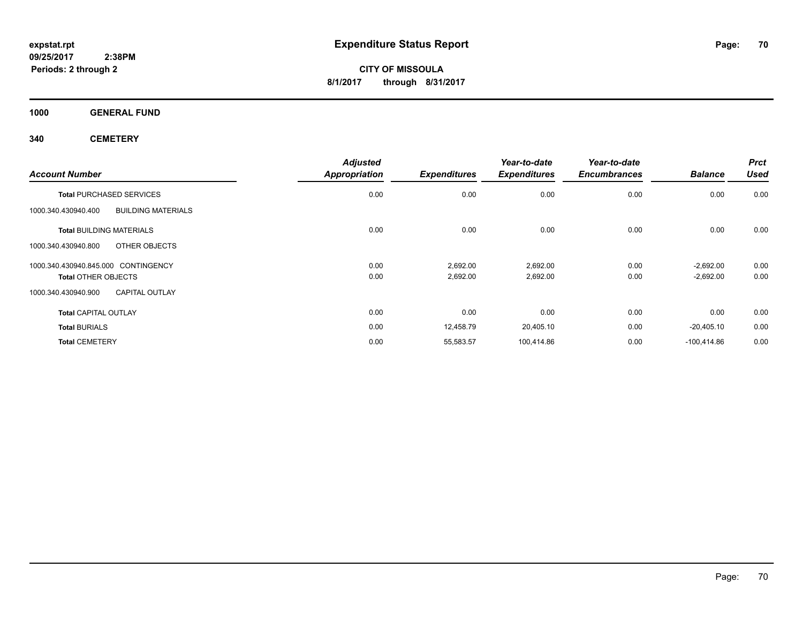**CITY OF MISSOULA 8/1/2017 through 8/31/2017**

**1000 GENERAL FUND**

| <b>Account Number</b>                            | <b>Adjusted</b><br><b>Appropriation</b> | <b>Expenditures</b> | Year-to-date<br><b>Expenditures</b> | Year-to-date<br><b>Encumbrances</b> | <b>Balance</b> | <b>Prct</b><br><b>Used</b> |
|--------------------------------------------------|-----------------------------------------|---------------------|-------------------------------------|-------------------------------------|----------------|----------------------------|
| <b>Total PURCHASED SERVICES</b>                  | 0.00                                    | 0.00                | 0.00                                | 0.00                                | 0.00           | 0.00                       |
| <b>BUILDING MATERIALS</b><br>1000.340.430940.400 |                                         |                     |                                     |                                     |                |                            |
| <b>Total BUILDING MATERIALS</b>                  | 0.00                                    | 0.00                | 0.00                                | 0.00                                | 0.00           | 0.00                       |
| OTHER OBJECTS<br>1000.340.430940.800             |                                         |                     |                                     |                                     |                |                            |
| 1000.340.430940.845.000 CONTINGENCY              | 0.00                                    | 2,692.00            | 2,692.00                            | 0.00                                | $-2,692.00$    | 0.00                       |
| <b>Total OTHER OBJECTS</b>                       | 0.00                                    | 2,692.00            | 2,692.00                            | 0.00                                | $-2,692.00$    | 0.00                       |
| <b>CAPITAL OUTLAY</b><br>1000.340.430940.900     |                                         |                     |                                     |                                     |                |                            |
| <b>Total CAPITAL OUTLAY</b>                      | 0.00                                    | 0.00                | 0.00                                | 0.00                                | 0.00           | 0.00                       |
| <b>Total BURIALS</b>                             | 0.00                                    | 12,458.79           | 20,405.10                           | 0.00                                | $-20,405.10$   | 0.00                       |
| <b>Total CEMETERY</b>                            | 0.00                                    | 55,583.57           | 100,414.86                          | 0.00                                | $-100.414.86$  | 0.00                       |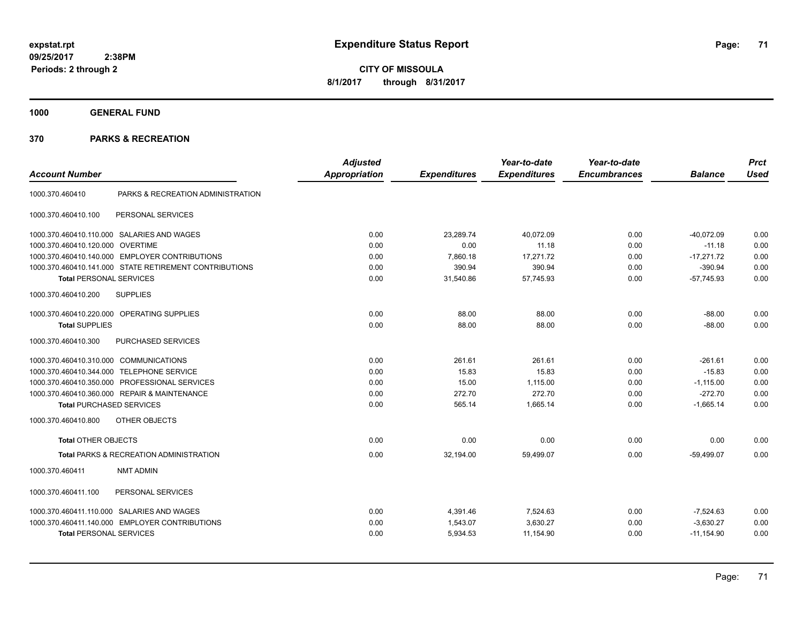**CITY OF MISSOULA 8/1/2017 through 8/31/2017**

**1000 GENERAL FUND**

### **370 PARKS & RECREATION**

| <b>Account Number</b>                  |                                                        | <b>Adjusted</b><br><b>Appropriation</b> | <b>Expenditures</b> | Year-to-date<br><b>Expenditures</b> | Year-to-date<br><b>Encumbrances</b> | <b>Balance</b> | <b>Prct</b><br><b>Used</b> |
|----------------------------------------|--------------------------------------------------------|-----------------------------------------|---------------------|-------------------------------------|-------------------------------------|----------------|----------------------------|
| 1000.370.460410                        | PARKS & RECREATION ADMINISTRATION                      |                                         |                     |                                     |                                     |                |                            |
| 1000.370.460410.100                    | PERSONAL SERVICES                                      |                                         |                     |                                     |                                     |                |                            |
|                                        | 1000.370.460410.110.000 SALARIES AND WAGES             | 0.00                                    | 23,289.74           | 40,072.09                           | 0.00                                | $-40,072.09$   | 0.00                       |
| 1000.370.460410.120.000 OVERTIME       |                                                        | 0.00                                    | 0.00                | 11.18                               | 0.00                                | $-11.18$       | 0.00                       |
|                                        | 1000.370.460410.140.000 EMPLOYER CONTRIBUTIONS         | 0.00                                    | 7,860.18            | 17,271.72                           | 0.00                                | $-17,271.72$   | 0.00                       |
|                                        | 1000.370.460410.141.000 STATE RETIREMENT CONTRIBUTIONS | 0.00                                    | 390.94              | 390.94                              | 0.00                                | $-390.94$      | 0.00                       |
| <b>Total PERSONAL SERVICES</b>         |                                                        | 0.00                                    | 31,540.86           | 57,745.93                           | 0.00                                | $-57,745.93$   | 0.00                       |
| 1000.370.460410.200                    | <b>SUPPLIES</b>                                        |                                         |                     |                                     |                                     |                |                            |
|                                        | 1000.370.460410.220.000 OPERATING SUPPLIES             | 0.00                                    | 88.00               | 88.00                               | 0.00                                | $-88.00$       | 0.00                       |
| <b>Total SUPPLIES</b>                  |                                                        | 0.00                                    | 88.00               | 88.00                               | 0.00                                | $-88.00$       | 0.00                       |
| 1000.370.460410.300                    | PURCHASED SERVICES                                     |                                         |                     |                                     |                                     |                |                            |
| 1000.370.460410.310.000 COMMUNICATIONS |                                                        | 0.00                                    | 261.61              | 261.61                              | 0.00                                | $-261.61$      | 0.00                       |
|                                        | 1000.370.460410.344.000 TELEPHONE SERVICE              | 0.00                                    | 15.83               | 15.83                               | 0.00                                | $-15.83$       | 0.00                       |
|                                        | 1000.370.460410.350.000 PROFESSIONAL SERVICES          | 0.00                                    | 15.00               | 1,115.00                            | 0.00                                | $-1,115.00$    | 0.00                       |
|                                        | 1000.370.460410.360.000 REPAIR & MAINTENANCE           | 0.00                                    | 272.70              | 272.70                              | 0.00                                | $-272.70$      | 0.00                       |
| <b>Total PURCHASED SERVICES</b>        |                                                        | 0.00                                    | 565.14              | 1,665.14                            | 0.00                                | $-1,665.14$    | 0.00                       |
| 1000.370.460410.800                    | OTHER OBJECTS                                          |                                         |                     |                                     |                                     |                |                            |
| <b>Total OTHER OBJECTS</b>             |                                                        | 0.00                                    | 0.00                | 0.00                                | 0.00                                | 0.00           | 0.00                       |
|                                        | Total PARKS & RECREATION ADMINISTRATION                | 0.00                                    | 32.194.00           | 59,499.07                           | 0.00                                | $-59.499.07$   | 0.00                       |
| 1000.370.460411                        | <b>NMT ADMIN</b>                                       |                                         |                     |                                     |                                     |                |                            |
| 1000.370.460411.100                    | PERSONAL SERVICES                                      |                                         |                     |                                     |                                     |                |                            |
|                                        | 1000.370.460411.110.000 SALARIES AND WAGES             | 0.00                                    | 4,391.46            | 7,524.63                            | 0.00                                | $-7,524.63$    | 0.00                       |
|                                        | 1000.370.460411.140.000 EMPLOYER CONTRIBUTIONS         | 0.00                                    | 1,543.07            | 3,630.27                            | 0.00                                | $-3,630.27$    | 0.00                       |
| <b>Total PERSONAL SERVICES</b>         |                                                        | 0.00                                    | 5,934.53            | 11,154.90                           | 0.00                                | $-11,154.90$   | 0.00                       |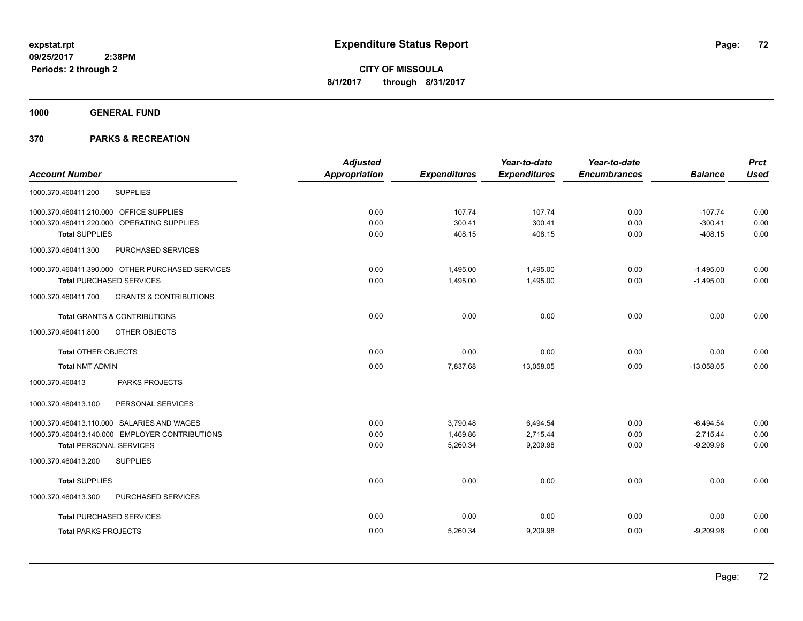**1000 GENERAL FUND**

### **370 PARKS & RECREATION**

|                                                          | <b>Adjusted</b>      |                     | Year-to-date        | Year-to-date        |                | <b>Prct</b> |
|----------------------------------------------------------|----------------------|---------------------|---------------------|---------------------|----------------|-------------|
| <b>Account Number</b>                                    | <b>Appropriation</b> | <b>Expenditures</b> | <b>Expenditures</b> | <b>Encumbrances</b> | <b>Balance</b> | <b>Used</b> |
| <b>SUPPLIES</b><br>1000.370.460411.200                   |                      |                     |                     |                     |                |             |
| 1000.370.460411.210.000 OFFICE SUPPLIES                  | 0.00                 | 107.74              | 107.74              | 0.00                | $-107.74$      | 0.00        |
| 1000.370.460411.220.000 OPERATING SUPPLIES               | 0.00                 | 300.41              | 300.41              | 0.00                | $-300.41$      | 0.00        |
| <b>Total SUPPLIES</b>                                    | 0.00                 | 408.15              | 408.15              | 0.00                | $-408.15$      | 0.00        |
| PURCHASED SERVICES<br>1000.370.460411.300                |                      |                     |                     |                     |                |             |
| 1000.370.460411.390.000 OTHER PURCHASED SERVICES         | 0.00                 | 1,495.00            | 1,495.00            | 0.00                | $-1,495.00$    | 0.00        |
| <b>Total PURCHASED SERVICES</b>                          | 0.00                 | 1,495.00            | 1,495.00            | 0.00                | $-1,495.00$    | 0.00        |
| 1000.370.460411.700<br><b>GRANTS &amp; CONTRIBUTIONS</b> |                      |                     |                     |                     |                |             |
| <b>Total GRANTS &amp; CONTRIBUTIONS</b>                  | 0.00                 | 0.00                | 0.00                | 0.00                | 0.00           | 0.00        |
| 1000.370.460411.800<br>OTHER OBJECTS                     |                      |                     |                     |                     |                |             |
| <b>Total OTHER OBJECTS</b>                               | 0.00                 | 0.00                | 0.00                | 0.00                | 0.00           | 0.00        |
| <b>Total NMT ADMIN</b>                                   | 0.00                 | 7,837.68            | 13,058.05           | 0.00                | $-13,058.05$   | 0.00        |
| 1000.370.460413<br>PARKS PROJECTS                        |                      |                     |                     |                     |                |             |
| 1000.370.460413.100<br>PERSONAL SERVICES                 |                      |                     |                     |                     |                |             |
| 1000.370.460413.110.000 SALARIES AND WAGES               | 0.00                 | 3,790.48            | 6,494.54            | 0.00                | $-6,494.54$    | 0.00        |
| 1000.370.460413.140.000 EMPLOYER CONTRIBUTIONS           | 0.00                 | 1,469.86            | 2,715.44            | 0.00                | $-2,715.44$    | 0.00        |
| <b>Total PERSONAL SERVICES</b>                           | 0.00                 | 5,260.34            | 9,209.98            | 0.00                | $-9,209.98$    | 0.00        |
| 1000.370.460413.200<br><b>SUPPLIES</b>                   |                      |                     |                     |                     |                |             |
| <b>Total SUPPLIES</b>                                    | 0.00                 | 0.00                | 0.00                | 0.00                | 0.00           | 0.00        |
| 1000.370.460413.300<br>PURCHASED SERVICES                |                      |                     |                     |                     |                |             |
| <b>Total PURCHASED SERVICES</b>                          | 0.00                 | 0.00                | 0.00                | 0.00                | 0.00           | 0.00        |
| <b>Total PARKS PROJECTS</b>                              | 0.00                 | 5,260.34            | 9,209.98            | 0.00                | $-9,209.98$    | 0.00        |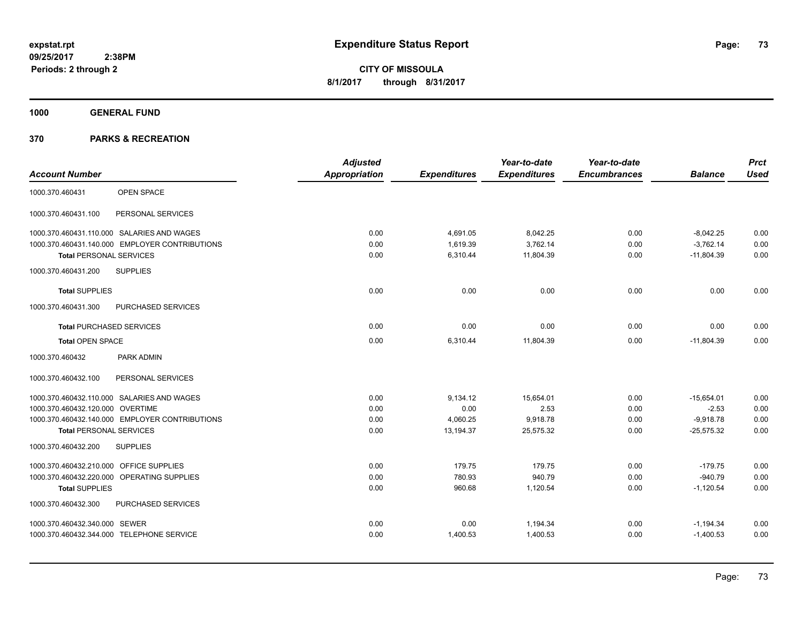**1000 GENERAL FUND**

|                                                | <b>Adjusted</b> |                     | Year-to-date        | Year-to-date        |                | <b>Prct</b> |
|------------------------------------------------|-----------------|---------------------|---------------------|---------------------|----------------|-------------|
| <b>Account Number</b>                          | Appropriation   | <b>Expenditures</b> | <b>Expenditures</b> | <b>Encumbrances</b> | <b>Balance</b> | Used        |
| <b>OPEN SPACE</b><br>1000.370.460431           |                 |                     |                     |                     |                |             |
| 1000.370.460431.100<br>PERSONAL SERVICES       |                 |                     |                     |                     |                |             |
| 1000.370.460431.110.000 SALARIES AND WAGES     | 0.00            | 4,691.05            | 8,042.25            | 0.00                | $-8,042.25$    | 0.00        |
| 1000.370.460431.140.000 EMPLOYER CONTRIBUTIONS | 0.00            | 1,619.39            | 3,762.14            | 0.00                | $-3.762.14$    | 0.00        |
| <b>Total PERSONAL SERVICES</b>                 | 0.00            | 6,310.44            | 11,804.39           | 0.00                | $-11,804.39$   | 0.00        |
| <b>SUPPLIES</b><br>1000.370.460431.200         |                 |                     |                     |                     |                |             |
| <b>Total SUPPLIES</b>                          | 0.00            | 0.00                | 0.00                | 0.00                | 0.00           | 0.00        |
| 1000.370.460431.300<br>PURCHASED SERVICES      |                 |                     |                     |                     |                |             |
| <b>Total PURCHASED SERVICES</b>                | 0.00            | 0.00                | 0.00                | 0.00                | 0.00           | 0.00        |
| <b>Total OPEN SPACE</b>                        | 0.00            | 6,310.44            | 11,804.39           | 0.00                | $-11,804.39$   | 0.00        |
| 1000.370.460432<br>PARK ADMIN                  |                 |                     |                     |                     |                |             |
| 1000.370.460432.100<br>PERSONAL SERVICES       |                 |                     |                     |                     |                |             |
| 1000.370.460432.110.000 SALARIES AND WAGES     | 0.00            | 9,134.12            | 15,654.01           | 0.00                | $-15,654.01$   | 0.00        |
| 1000.370.460432.120.000 OVERTIME               | 0.00            | 0.00                | 2.53                | 0.00                | $-2.53$        | 0.00        |
| 1000.370.460432.140.000 EMPLOYER CONTRIBUTIONS | 0.00            | 4,060.25            | 9,918.78            | 0.00                | $-9,918.78$    | 0.00        |
| <b>Total PERSONAL SERVICES</b>                 | 0.00            | 13,194.37           | 25,575.32           | 0.00                | $-25,575.32$   | 0.00        |
| 1000.370.460432.200<br><b>SUPPLIES</b>         |                 |                     |                     |                     |                |             |
| 1000.370.460432.210.000 OFFICE SUPPLIES        | 0.00            | 179.75              | 179.75              | 0.00                | $-179.75$      | 0.00        |
| 1000.370.460432.220.000 OPERATING SUPPLIES     | 0.00            | 780.93              | 940.79              | 0.00                | $-940.79$      | 0.00        |
| <b>Total SUPPLIES</b>                          | 0.00            | 960.68              | 1,120.54            | 0.00                | $-1,120.54$    | 0.00        |
| PURCHASED SERVICES<br>1000.370.460432.300      |                 |                     |                     |                     |                |             |
| 1000.370.460432.340.000 SEWER                  | 0.00            | 0.00                | 1,194.34            | 0.00                | $-1,194.34$    | 0.00        |
| 1000.370.460432.344.000 TELEPHONE SERVICE      | 0.00            | 1,400.53            | 1,400.53            | 0.00                | $-1,400.53$    | 0.00        |
|                                                |                 |                     |                     |                     |                |             |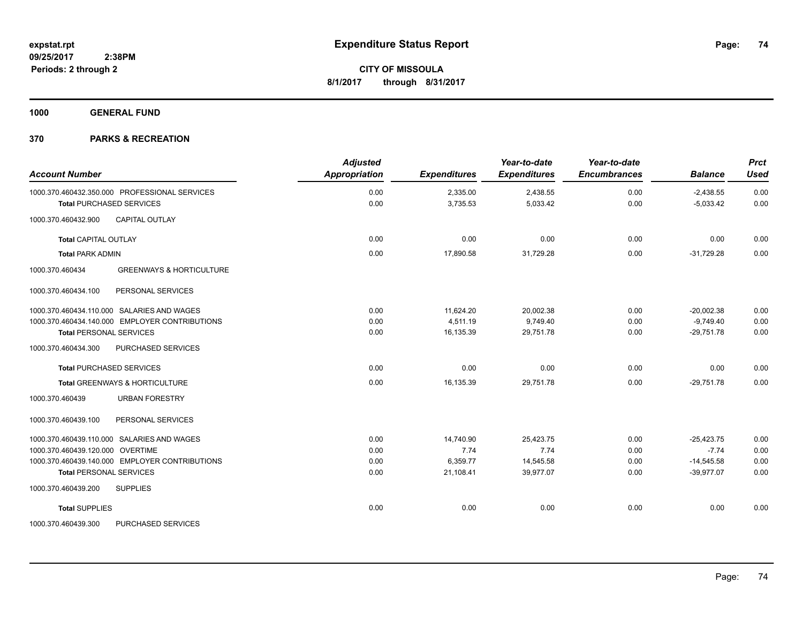**1000 GENERAL FUND**

| <b>Account Number</b>                                                            | <b>Adjusted</b><br><b>Appropriation</b> | <b>Expenditures</b>  | Year-to-date<br><b>Expenditures</b> | Year-to-date<br><b>Encumbrances</b> | <b>Balance</b>             | <b>Prct</b><br><b>Used</b> |
|----------------------------------------------------------------------------------|-----------------------------------------|----------------------|-------------------------------------|-------------------------------------|----------------------------|----------------------------|
| 1000.370.460432.350.000 PROFESSIONAL SERVICES<br><b>Total PURCHASED SERVICES</b> | 0.00<br>0.00                            | 2,335.00<br>3,735.53 | 2,438.55<br>5,033.42                | 0.00<br>0.00                        | $-2,438.55$<br>$-5,033.42$ | 0.00<br>0.00               |
| <b>CAPITAL OUTLAY</b><br>1000.370.460432.900                                     |                                         |                      |                                     |                                     |                            |                            |
| Total CAPITAL OUTLAY                                                             | 0.00                                    | 0.00                 | 0.00                                | 0.00                                | 0.00                       | 0.00                       |
| <b>Total PARK ADMIN</b>                                                          | 0.00                                    | 17,890.58            | 31,729.28                           | 0.00                                | $-31,729.28$               | 0.00                       |
| <b>GREENWAYS &amp; HORTICULTURE</b><br>1000.370.460434                           |                                         |                      |                                     |                                     |                            |                            |
| 1000.370.460434.100<br>PERSONAL SERVICES                                         |                                         |                      |                                     |                                     |                            |                            |
| 1000.370.460434.110.000 SALARIES AND WAGES                                       | 0.00                                    | 11,624.20            | 20,002.38                           | 0.00                                | $-20,002.38$               | 0.00                       |
| 1000.370.460434.140.000 EMPLOYER CONTRIBUTIONS                                   | 0.00                                    | 4,511.19             | 9,749.40                            | 0.00                                | $-9,749.40$                | 0.00                       |
| <b>Total PERSONAL SERVICES</b>                                                   | 0.00                                    | 16,135.39            | 29,751.78                           | 0.00                                | $-29,751.78$               | 0.00                       |
| 1000.370.460434.300<br>PURCHASED SERVICES                                        |                                         |                      |                                     |                                     |                            |                            |
| <b>Total PURCHASED SERVICES</b>                                                  | 0.00                                    | 0.00                 | 0.00                                | 0.00                                | 0.00                       | 0.00                       |
| Total GREENWAYS & HORTICULTURE                                                   | 0.00                                    | 16,135.39            | 29,751.78                           | 0.00                                | $-29,751.78$               | 0.00                       |
| <b>URBAN FORESTRY</b><br>1000.370.460439                                         |                                         |                      |                                     |                                     |                            |                            |
| 1000.370.460439.100<br>PERSONAL SERVICES                                         |                                         |                      |                                     |                                     |                            |                            |
| 1000.370.460439.110.000 SALARIES AND WAGES                                       | 0.00                                    | 14.740.90            | 25.423.75                           | 0.00                                | $-25.423.75$               | 0.00                       |
| 1000.370.460439.120.000 OVERTIME                                                 | 0.00                                    | 7.74                 | 7.74                                | 0.00                                | $-7.74$                    | 0.00                       |
| 1000.370.460439.140.000 EMPLOYER CONTRIBUTIONS                                   | 0.00                                    | 6,359.77             | 14,545.58                           | 0.00                                | $-14,545.58$               | 0.00                       |
| <b>Total PERSONAL SERVICES</b>                                                   | 0.00                                    | 21,108.41            | 39,977.07                           | 0.00                                | $-39,977.07$               | 0.00                       |
| <b>SUPPLIES</b><br>1000.370.460439.200                                           |                                         |                      |                                     |                                     |                            |                            |
| <b>Total SUPPLIES</b>                                                            | 0.00                                    | 0.00                 | 0.00                                | 0.00                                | 0.00                       | 0.00                       |
| 1000.370.460439.300<br>PURCHASED SERVICES                                        |                                         |                      |                                     |                                     |                            |                            |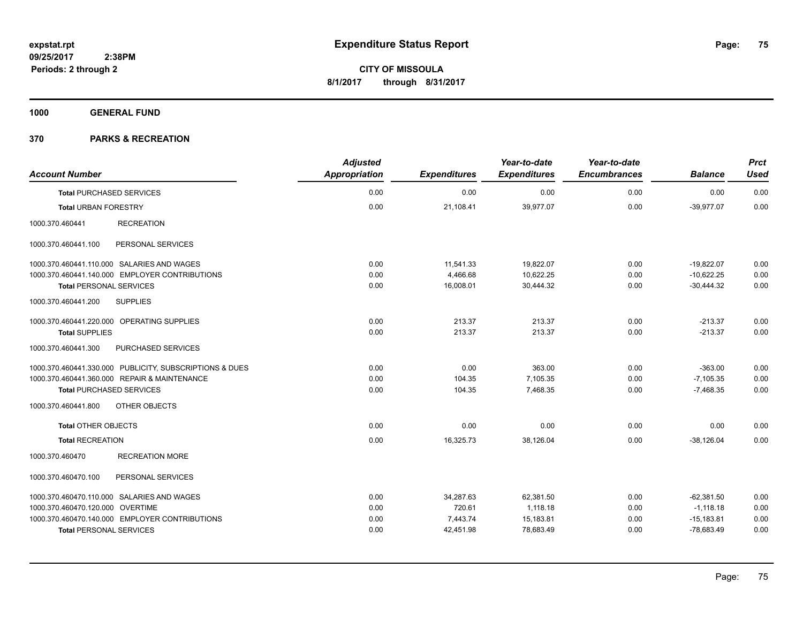**1000 GENERAL FUND**

| <b>Account Number</b>                                   | <b>Adjusted</b><br>Appropriation | <b>Expenditures</b> | Year-to-date<br><b>Expenditures</b> | Year-to-date<br><b>Encumbrances</b> | <b>Balance</b> | <b>Prct</b><br><b>Used</b> |
|---------------------------------------------------------|----------------------------------|---------------------|-------------------------------------|-------------------------------------|----------------|----------------------------|
| <b>Total PURCHASED SERVICES</b>                         | 0.00                             | 0.00                | 0.00                                | 0.00                                | 0.00           | 0.00                       |
| <b>Total URBAN FORESTRY</b>                             | 0.00                             | 21,108.41           | 39,977.07                           | 0.00                                | $-39,977.07$   | 0.00                       |
| 1000.370.460441<br><b>RECREATION</b>                    |                                  |                     |                                     |                                     |                |                            |
| 1000.370.460441.100<br>PERSONAL SERVICES                |                                  |                     |                                     |                                     |                |                            |
| 1000.370.460441.110.000 SALARIES AND WAGES              | 0.00                             | 11,541.33           | 19,822.07                           | 0.00                                | $-19,822.07$   | 0.00                       |
| 1000.370.460441.140.000 EMPLOYER CONTRIBUTIONS          | 0.00                             | 4,466.68            | 10,622.25                           | 0.00                                | $-10,622.25$   | 0.00                       |
| <b>Total PERSONAL SERVICES</b>                          | 0.00                             | 16,008.01           | 30,444.32                           | 0.00                                | $-30,444.32$   | 0.00                       |
| 1000.370.460441.200<br><b>SUPPLIES</b>                  |                                  |                     |                                     |                                     |                |                            |
| 1000.370.460441.220.000 OPERATING SUPPLIES              | 0.00                             | 213.37              | 213.37                              | 0.00                                | $-213.37$      | 0.00                       |
| <b>Total SUPPLIES</b>                                   | 0.00                             | 213.37              | 213.37                              | 0.00                                | $-213.37$      | 0.00                       |
| PURCHASED SERVICES<br>1000.370.460441.300               |                                  |                     |                                     |                                     |                |                            |
| 1000.370.460441.330.000 PUBLICITY, SUBSCRIPTIONS & DUES | 0.00                             | 0.00                | 363.00                              | 0.00                                | $-363.00$      | 0.00                       |
| 1000.370.460441.360.000 REPAIR & MAINTENANCE            | 0.00                             | 104.35              | 7,105.35                            | 0.00                                | $-7,105.35$    | 0.00                       |
| <b>Total PURCHASED SERVICES</b>                         | 0.00                             | 104.35              | 7,468.35                            | 0.00                                | $-7,468.35$    | 0.00                       |
| OTHER OBJECTS<br>1000.370.460441.800                    |                                  |                     |                                     |                                     |                |                            |
| <b>Total OTHER OBJECTS</b>                              | 0.00                             | 0.00                | 0.00                                | 0.00                                | 0.00           | 0.00                       |
| <b>Total RECREATION</b>                                 | 0.00                             | 16,325.73           | 38,126.04                           | 0.00                                | $-38,126.04$   | 0.00                       |
| 1000.370.460470<br><b>RECREATION MORE</b>               |                                  |                     |                                     |                                     |                |                            |
| 1000.370.460470.100<br>PERSONAL SERVICES                |                                  |                     |                                     |                                     |                |                            |
| 1000.370.460470.110.000 SALARIES AND WAGES              | 0.00                             | 34,287.63           | 62,381.50                           | 0.00                                | $-62,381.50$   | 0.00                       |
| 1000.370.460470.120.000 OVERTIME                        | 0.00                             | 720.61              | 1.118.18                            | 0.00                                | $-1,118.18$    | 0.00                       |
| 1000.370.460470.140.000 EMPLOYER CONTRIBUTIONS          | 0.00                             | 7,443.74            | 15,183.81                           | 0.00                                | $-15,183.81$   | 0.00                       |
| <b>Total PERSONAL SERVICES</b>                          | 0.00                             | 42,451.98           | 78,683.49                           | 0.00                                | $-78,683.49$   | 0.00                       |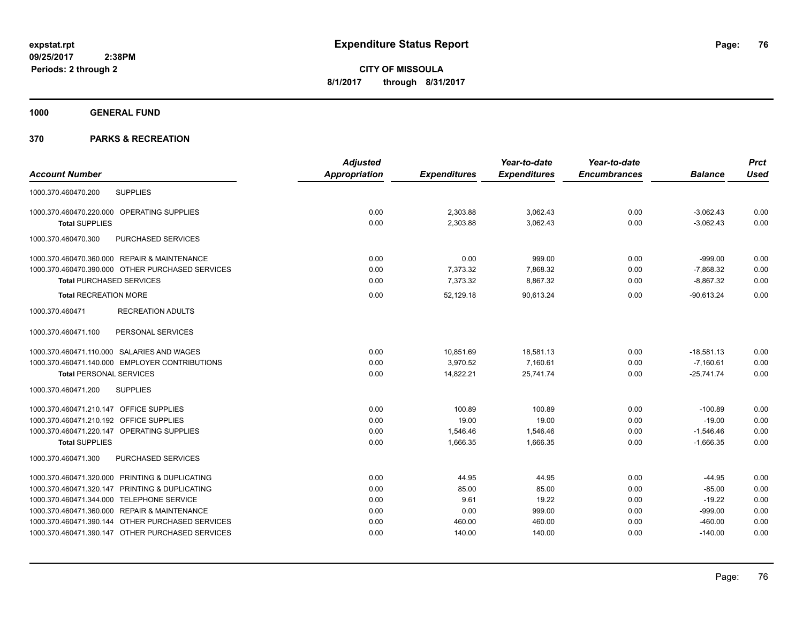**1000 GENERAL FUND**

|                                                   | <b>Adjusted</b>      |                     | Year-to-date        | Year-to-date        |                | <b>Prct</b> |
|---------------------------------------------------|----------------------|---------------------|---------------------|---------------------|----------------|-------------|
| <b>Account Number</b>                             | <b>Appropriation</b> | <b>Expenditures</b> | <b>Expenditures</b> | <b>Encumbrances</b> | <b>Balance</b> | <b>Used</b> |
| <b>SUPPLIES</b><br>1000.370.460470.200            |                      |                     |                     |                     |                |             |
| 1000.370.460470.220.000 OPERATING SUPPLIES        | 0.00                 | 2,303.88            | 3,062.43            | 0.00                | $-3,062.43$    | 0.00        |
| <b>Total SUPPLIES</b>                             | 0.00                 | 2,303.88            | 3,062.43            | 0.00                | $-3,062.43$    | 0.00        |
| 1000.370.460470.300<br>PURCHASED SERVICES         |                      |                     |                     |                     |                |             |
| 1000.370.460470.360.000 REPAIR & MAINTENANCE      | 0.00                 | 0.00                | 999.00              | 0.00                | $-999.00$      | 0.00        |
| 1000.370.460470.390.000 OTHER PURCHASED SERVICES  | 0.00                 | 7,373.32            | 7,868.32            | 0.00                | $-7,868.32$    | 0.00        |
| <b>Total PURCHASED SERVICES</b>                   | 0.00                 | 7,373.32            | 8,867.32            | 0.00                | $-8,867.32$    | 0.00        |
| <b>Total RECREATION MORE</b>                      | 0.00                 | 52,129.18           | 90,613.24           | 0.00                | $-90,613.24$   | 0.00        |
| <b>RECREATION ADULTS</b><br>1000.370.460471       |                      |                     |                     |                     |                |             |
| 1000.370.460471.100<br>PERSONAL SERVICES          |                      |                     |                     |                     |                |             |
| 1000.370.460471.110.000 SALARIES AND WAGES        | 0.00                 | 10,851.69           | 18,581.13           | 0.00                | $-18,581.13$   | 0.00        |
| 1000.370.460471.140.000 EMPLOYER CONTRIBUTIONS    | 0.00                 | 3,970.52            | 7,160.61            | 0.00                | $-7,160.61$    | 0.00        |
| <b>Total PERSONAL SERVICES</b>                    | 0.00                 | 14,822.21           | 25,741.74           | 0.00                | $-25,741.74$   | 0.00        |
| <b>SUPPLIES</b><br>1000.370.460471.200            |                      |                     |                     |                     |                |             |
| 1000.370.460471.210.147 OFFICE SUPPLIES           | 0.00                 | 100.89              | 100.89              | 0.00                | $-100.89$      | 0.00        |
| 1000.370.460471.210.192 OFFICE SUPPLIES           | 0.00                 | 19.00               | 19.00               | 0.00                | $-19.00$       | 0.00        |
| 1000.370.460471.220.147 OPERATING SUPPLIES        | 0.00                 | 1,546.46            | 1,546.46            | 0.00                | $-1,546.46$    | 0.00        |
| <b>Total SUPPLIES</b>                             | 0.00                 | 1,666.35            | 1,666.35            | 0.00                | $-1,666.35$    | 0.00        |
| PURCHASED SERVICES<br>1000.370.460471.300         |                      |                     |                     |                     |                |             |
| 1000.370.460471.320.000 PRINTING & DUPLICATING    | 0.00                 | 44.95               | 44.95               | 0.00                | $-44.95$       | 0.00        |
| PRINTING & DUPLICATING<br>1000.370.460471.320.147 | 0.00                 | 85.00               | 85.00               | 0.00                | $-85.00$       | 0.00        |
| 1000.370.460471.344.000 TELEPHONE SERVICE         | 0.00                 | 9.61                | 19.22               | 0.00                | $-19.22$       | 0.00        |
| 1000.370.460471.360.000 REPAIR & MAINTENANCE      | 0.00                 | 0.00                | 999.00              | 0.00                | $-999.00$      | 0.00        |
| 1000.370.460471.390.144 OTHER PURCHASED SERVICES  | 0.00                 | 460.00              | 460.00              | 0.00                | $-460.00$      | 0.00        |
| 1000.370.460471.390.147 OTHER PURCHASED SERVICES  | 0.00                 | 140.00              | 140.00              | 0.00                | $-140.00$      | 0.00        |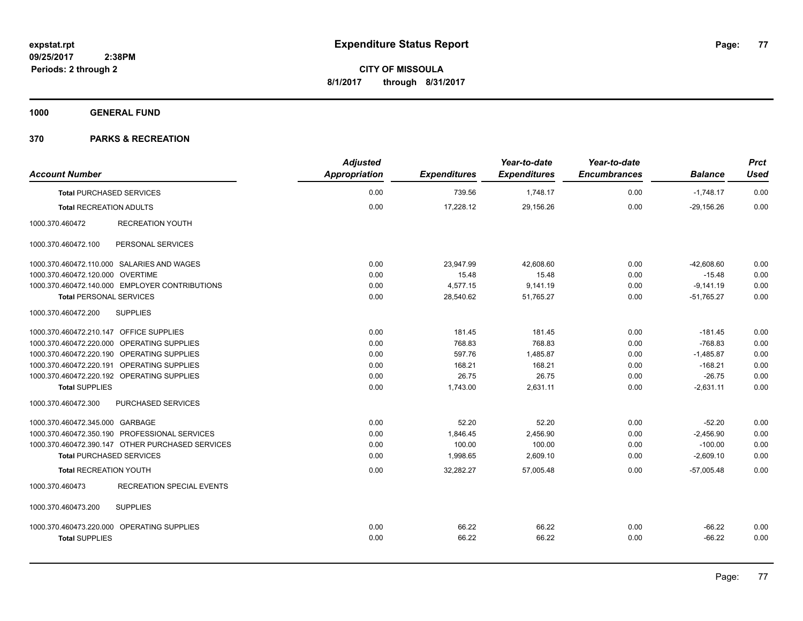**1000 GENERAL FUND**

| <b>Account Number</b>                            | <b>Adjusted</b><br>Appropriation | <b>Expenditures</b> | Year-to-date<br><b>Expenditures</b> | Year-to-date<br><b>Encumbrances</b> | <b>Balance</b> | <b>Prct</b><br><b>Used</b> |
|--------------------------------------------------|----------------------------------|---------------------|-------------------------------------|-------------------------------------|----------------|----------------------------|
| <b>Total PURCHASED SERVICES</b>                  | 0.00                             | 739.56              | 1,748.17                            | 0.00                                | $-1,748.17$    | 0.00                       |
| <b>Total RECREATION ADULTS</b>                   | 0.00                             | 17.228.12           | 29,156.26                           | 0.00                                | $-29.156.26$   | 0.00                       |
| 1000.370.460472<br><b>RECREATION YOUTH</b>       |                                  |                     |                                     |                                     |                |                            |
| PERSONAL SERVICES<br>1000.370.460472.100         |                                  |                     |                                     |                                     |                |                            |
| 1000.370.460472.110.000 SALARIES AND WAGES       | 0.00                             | 23,947.99           | 42,608.60                           | 0.00                                | $-42,608.60$   | 0.00                       |
| 1000.370.460472.120.000 OVERTIME                 | 0.00                             | 15.48               | 15.48                               | 0.00                                | $-15.48$       | 0.00                       |
| 1000.370.460472.140.000 EMPLOYER CONTRIBUTIONS   | 0.00                             | 4,577.15            | 9,141.19                            | 0.00                                | $-9,141.19$    | 0.00                       |
| <b>Total PERSONAL SERVICES</b>                   | 0.00                             | 28,540.62           | 51,765.27                           | 0.00                                | $-51,765.27$   | 0.00                       |
| 1000.370.460472.200<br><b>SUPPLIES</b>           |                                  |                     |                                     |                                     |                |                            |
| 1000.370.460472.210.147 OFFICE SUPPLIES          | 0.00                             | 181.45              | 181.45                              | 0.00                                | $-181.45$      | 0.00                       |
| 1000.370.460472.220.000 OPERATING SUPPLIES       | 0.00                             | 768.83              | 768.83                              | 0.00                                | $-768.83$      | 0.00                       |
| 1000.370.460472.220.190 OPERATING SUPPLIES       | 0.00                             | 597.76              | 1.485.87                            | 0.00                                | $-1,485.87$    | 0.00                       |
| 1000.370.460472.220.191 OPERATING SUPPLIES       | 0.00                             | 168.21              | 168.21                              | 0.00                                | $-168.21$      | 0.00                       |
| 1000.370.460472.220.192 OPERATING SUPPLIES       | 0.00                             | 26.75               | 26.75                               | 0.00                                | $-26.75$       | 0.00                       |
| <b>Total SUPPLIES</b>                            | 0.00                             | 1,743.00            | 2,631.11                            | 0.00                                | $-2,631.11$    | 0.00                       |
| PURCHASED SERVICES<br>1000.370.460472.300        |                                  |                     |                                     |                                     |                |                            |
| 1000.370.460472.345.000 GARBAGE                  | 0.00                             | 52.20               | 52.20                               | 0.00                                | $-52.20$       | 0.00                       |
| 1000.370.460472.350.190 PROFESSIONAL SERVICES    | 0.00                             | 1,846.45            | 2,456.90                            | 0.00                                | $-2,456.90$    | 0.00                       |
| 1000.370.460472.390.147 OTHER PURCHASED SERVICES | 0.00                             | 100.00              | 100.00                              | 0.00                                | $-100.00$      | 0.00                       |
| <b>Total PURCHASED SERVICES</b>                  | 0.00                             | 1,998.65            | 2,609.10                            | 0.00                                | $-2,609.10$    | 0.00                       |
| <b>Total RECREATION YOUTH</b>                    | 0.00                             | 32,282.27           | 57,005.48                           | 0.00                                | $-57,005.48$   | 0.00                       |
| RECREATION SPECIAL EVENTS<br>1000.370.460473     |                                  |                     |                                     |                                     |                |                            |
| 1000.370.460473.200<br><b>SUPPLIES</b>           |                                  |                     |                                     |                                     |                |                            |
| 1000.370.460473.220.000 OPERATING SUPPLIES       | 0.00                             | 66.22               | 66.22                               | 0.00                                | $-66.22$       | 0.00                       |
| <b>Total SUPPLIES</b>                            | 0.00                             | 66.22               | 66.22                               | 0.00                                | $-66.22$       | 0.00                       |
|                                                  |                                  |                     |                                     |                                     |                |                            |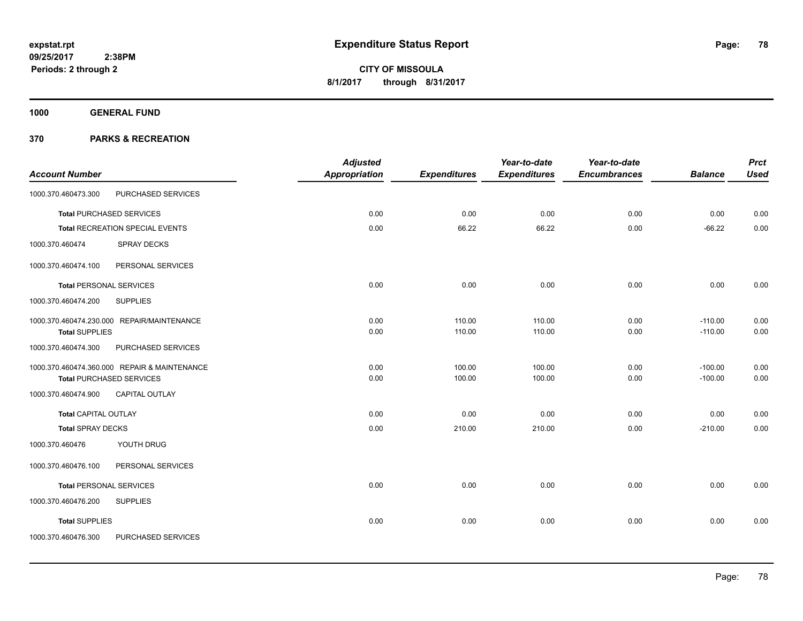**1000 GENERAL FUND**

|                                |                                              | <b>Adjusted</b> |                     | Year-to-date        | Year-to-date        |                | <b>Prct</b> |
|--------------------------------|----------------------------------------------|-----------------|---------------------|---------------------|---------------------|----------------|-------------|
| <b>Account Number</b>          |                                              | Appropriation   | <b>Expenditures</b> | <b>Expenditures</b> | <b>Encumbrances</b> | <b>Balance</b> | <b>Used</b> |
| 1000.370.460473.300            | PURCHASED SERVICES                           |                 |                     |                     |                     |                |             |
|                                | <b>Total PURCHASED SERVICES</b>              | 0.00            | 0.00                | 0.00                | 0.00                | 0.00           | 0.00        |
|                                | Total RECREATION SPECIAL EVENTS              | 0.00            | 66.22               | 66.22               | 0.00                | $-66.22$       | 0.00        |
| 1000.370.460474                | SPRAY DECKS                                  |                 |                     |                     |                     |                |             |
| 1000.370.460474.100            | PERSONAL SERVICES                            |                 |                     |                     |                     |                |             |
| <b>Total PERSONAL SERVICES</b> |                                              | 0.00            | 0.00                | 0.00                | 0.00                | 0.00           | 0.00        |
| 1000.370.460474.200            | <b>SUPPLIES</b>                              |                 |                     |                     |                     |                |             |
|                                | 1000.370.460474.230.000 REPAIR/MAINTENANCE   | 0.00            | 110.00              | 110.00              | 0.00                | $-110.00$      | 0.00        |
| <b>Total SUPPLIES</b>          |                                              | 0.00            | 110.00              | 110.00              | 0.00                | $-110.00$      | 0.00        |
| 1000.370.460474.300            | PURCHASED SERVICES                           |                 |                     |                     |                     |                |             |
|                                | 1000.370.460474.360.000 REPAIR & MAINTENANCE | 0.00            | 100.00              | 100.00              | 0.00                | $-100.00$      | 0.00        |
|                                | <b>Total PURCHASED SERVICES</b>              | 0.00            | 100.00              | 100.00              | 0.00                | $-100.00$      | 0.00        |
| 1000.370.460474.900            | <b>CAPITAL OUTLAY</b>                        |                 |                     |                     |                     |                |             |
| <b>Total CAPITAL OUTLAY</b>    |                                              | 0.00            | 0.00                | 0.00                | 0.00                | 0.00           | 0.00        |
| <b>Total SPRAY DECKS</b>       |                                              | 0.00            | 210.00              | 210.00              | 0.00                | $-210.00$      | 0.00        |
| 1000.370.460476                | YOUTH DRUG                                   |                 |                     |                     |                     |                |             |
| 1000.370.460476.100            | PERSONAL SERVICES                            |                 |                     |                     |                     |                |             |
| <b>Total PERSONAL SERVICES</b> |                                              | 0.00            | 0.00                | 0.00                | 0.00                | 0.00           | 0.00        |
| 1000.370.460476.200            | <b>SUPPLIES</b>                              |                 |                     |                     |                     |                |             |
| <b>Total SUPPLIES</b>          |                                              | 0.00            | 0.00                | 0.00                | 0.00                | 0.00           | 0.00        |
| 1000.370.460476.300            | PURCHASED SERVICES                           |                 |                     |                     |                     |                |             |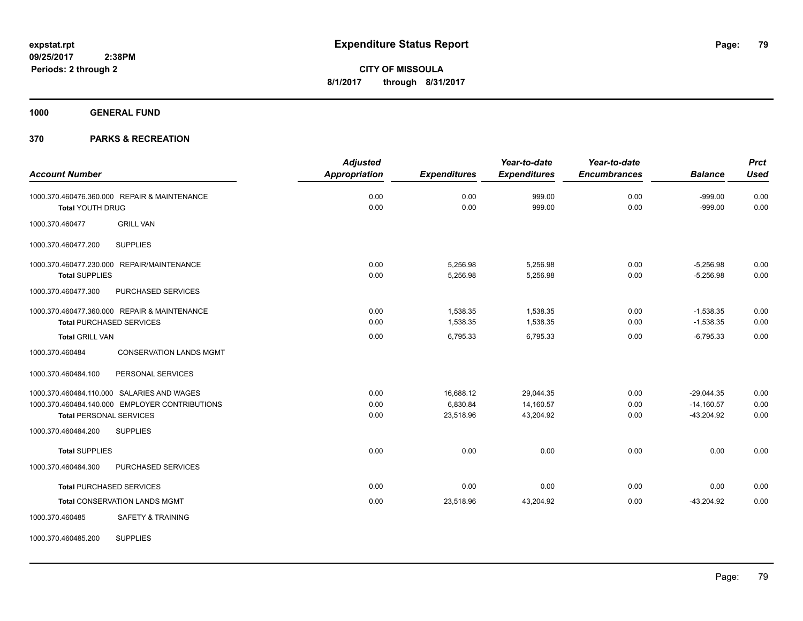**1000 GENERAL FUND**

# **370 PARKS & RECREATION**

|                                 |                                                | <b>Adjusted</b>      |                     | Year-to-date        | Year-to-date        |                | <b>Prct</b> |
|---------------------------------|------------------------------------------------|----------------------|---------------------|---------------------|---------------------|----------------|-------------|
| <b>Account Number</b>           |                                                | <b>Appropriation</b> | <b>Expenditures</b> | <b>Expenditures</b> | <b>Encumbrances</b> | <b>Balance</b> | <b>Used</b> |
|                                 | 1000.370.460476.360.000 REPAIR & MAINTENANCE   | 0.00                 | 0.00                | 999.00              | 0.00                | $-999.00$      | 0.00        |
| <b>Total YOUTH DRUG</b>         |                                                | 0.00                 | 0.00                | 999.00              | 0.00                | $-999.00$      | 0.00        |
| 1000.370.460477                 | <b>GRILL VAN</b>                               |                      |                     |                     |                     |                |             |
| 1000.370.460477.200             | <b>SUPPLIES</b>                                |                      |                     |                     |                     |                |             |
|                                 | 1000.370.460477.230.000 REPAIR/MAINTENANCE     | 0.00                 | 5,256.98            | 5,256.98            | 0.00                | $-5,256.98$    | 0.00        |
| <b>Total SUPPLIES</b>           |                                                | 0.00                 | 5,256.98            | 5,256.98            | 0.00                | $-5,256.98$    | 0.00        |
| 1000.370.460477.300             | PURCHASED SERVICES                             |                      |                     |                     |                     |                |             |
|                                 | 1000.370.460477.360.000 REPAIR & MAINTENANCE   | 0.00                 | 1,538.35            | 1,538.35            | 0.00                | $-1,538.35$    | 0.00        |
| <b>Total PURCHASED SERVICES</b> |                                                | 0.00                 | 1,538.35            | 1,538.35            | 0.00                | $-1,538.35$    | 0.00        |
| <b>Total GRILL VAN</b>          |                                                | 0.00                 | 6,795.33            | 6,795.33            | 0.00                | $-6,795.33$    | 0.00        |
| 1000.370.460484                 | <b>CONSERVATION LANDS MGMT</b>                 |                      |                     |                     |                     |                |             |
| 1000.370.460484.100             | PERSONAL SERVICES                              |                      |                     |                     |                     |                |             |
|                                 | 1000.370.460484.110.000 SALARIES AND WAGES     | 0.00                 | 16,688.12           | 29,044.35           | 0.00                | $-29,044.35$   | 0.00        |
|                                 | 1000.370.460484.140.000 EMPLOYER CONTRIBUTIONS | 0.00                 | 6,830.84            | 14,160.57           | 0.00                | $-14,160.57$   | 0.00        |
| <b>Total PERSONAL SERVICES</b>  |                                                | 0.00                 | 23,518.96           | 43,204.92           | 0.00                | $-43,204.92$   | 0.00        |
| 1000.370.460484.200             | <b>SUPPLIES</b>                                |                      |                     |                     |                     |                |             |
| <b>Total SUPPLIES</b>           |                                                | 0.00                 | 0.00                | 0.00                | 0.00                | 0.00           | 0.00        |
| 1000.370.460484.300             | PURCHASED SERVICES                             |                      |                     |                     |                     |                |             |
| <b>Total PURCHASED SERVICES</b> |                                                | 0.00                 | 0.00                | 0.00                | 0.00                | 0.00           | 0.00        |
|                                 | <b>Total CONSERVATION LANDS MGMT</b>           | 0.00                 | 23,518.96           | 43,204.92           | 0.00                | $-43,204.92$   | 0.00        |
| 1000.370.460485                 | <b>SAFETY &amp; TRAINING</b>                   |                      |                     |                     |                     |                |             |

1000.370.460485.200 SUPPLIES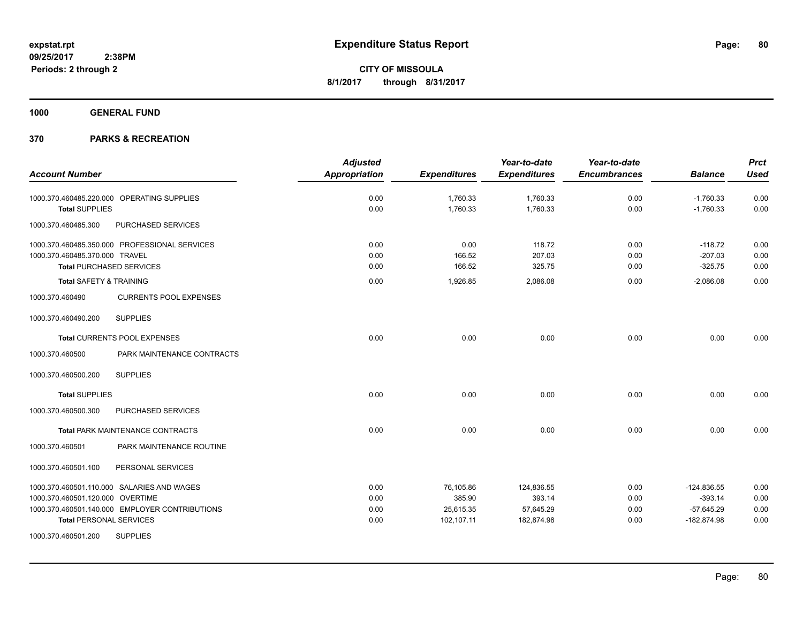**1000 GENERAL FUND**

|                                                  | <b>Adjusted</b>      |                     | Year-to-date        | Year-to-date        |                | <b>Prct</b> |
|--------------------------------------------------|----------------------|---------------------|---------------------|---------------------|----------------|-------------|
| <b>Account Number</b>                            | <b>Appropriation</b> | <b>Expenditures</b> | <b>Expenditures</b> | <b>Encumbrances</b> | <b>Balance</b> | <b>Used</b> |
| 1000.370.460485.220.000 OPERATING SUPPLIES       | 0.00                 | 1,760.33            | 1,760.33            | 0.00                | $-1,760.33$    | 0.00        |
| <b>Total SUPPLIES</b>                            | 0.00                 | 1,760.33            | 1,760.33            | 0.00                | $-1,760.33$    | 0.00        |
| PURCHASED SERVICES<br>1000.370.460485.300        |                      |                     |                     |                     |                |             |
| 1000.370.460485.350.000 PROFESSIONAL SERVICES    | 0.00                 | 0.00                | 118.72              | 0.00                | $-118.72$      | 0.00        |
| 1000.370.460485.370.000 TRAVEL                   | 0.00                 | 166.52              | 207.03              | 0.00                | $-207.03$      | 0.00        |
| <b>Total PURCHASED SERVICES</b>                  | 0.00                 | 166.52              | 325.75              | 0.00                | $-325.75$      | 0.00        |
| <b>Total SAFETY &amp; TRAINING</b>               | 0.00                 | 1,926.85            | 2,086.08            | 0.00                | $-2,086.08$    | 0.00        |
| <b>CURRENTS POOL EXPENSES</b><br>1000.370.460490 |                      |                     |                     |                     |                |             |
| 1000.370.460490.200<br><b>SUPPLIES</b>           |                      |                     |                     |                     |                |             |
| Total CURRENTS POOL EXPENSES                     | 0.00                 | 0.00                | 0.00                | 0.00                | 0.00           | 0.00        |
| 1000.370.460500<br>PARK MAINTENANCE CONTRACTS    |                      |                     |                     |                     |                |             |
| 1000.370.460500.200<br><b>SUPPLIES</b>           |                      |                     |                     |                     |                |             |
| <b>Total SUPPLIES</b>                            | 0.00                 | 0.00                | 0.00                | 0.00                | 0.00           | 0.00        |
| 1000.370.460500.300<br>PURCHASED SERVICES        |                      |                     |                     |                     |                |             |
| <b>Total PARK MAINTENANCE CONTRACTS</b>          | 0.00                 | 0.00                | 0.00                | 0.00                | 0.00           | 0.00        |
| PARK MAINTENANCE ROUTINE<br>1000.370.460501      |                      |                     |                     |                     |                |             |
| 1000.370.460501.100<br>PERSONAL SERVICES         |                      |                     |                     |                     |                |             |
| 1000.370.460501.110.000 SALARIES AND WAGES       | 0.00                 | 76,105.86           | 124,836.55          | 0.00                | $-124,836.55$  | 0.00        |
| 1000.370.460501.120.000 OVERTIME                 | 0.00                 | 385.90              | 393.14              | 0.00                | $-393.14$      | 0.00        |
| 1000.370.460501.140.000 EMPLOYER CONTRIBUTIONS   | 0.00                 | 25,615.35           | 57,645.29           | 0.00                | $-57,645.29$   | 0.00        |
| <b>Total PERSONAL SERVICES</b>                   | 0.00                 | 102,107.11          | 182,874.98          | 0.00                | $-182,874.98$  | 0.00        |
| <b>SUPPLIES</b><br>1000.370.460501.200           |                      |                     |                     |                     |                |             |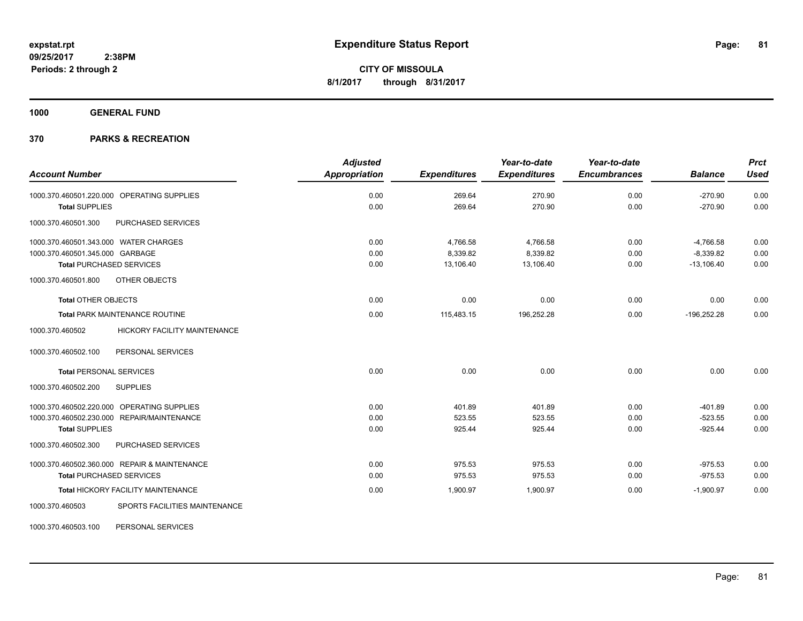**1000 GENERAL FUND**

# **370 PARKS & RECREATION**

| <b>Account Number</b>                            | <b>Adjusted</b><br><b>Appropriation</b> | <b>Expenditures</b> | Year-to-date<br><b>Expenditures</b> | Year-to-date<br><b>Encumbrances</b> | <b>Balance</b> | <b>Prct</b><br><b>Used</b> |
|--------------------------------------------------|-----------------------------------------|---------------------|-------------------------------------|-------------------------------------|----------------|----------------------------|
|                                                  |                                         |                     |                                     |                                     |                |                            |
| 1000.370.460501.220.000 OPERATING SUPPLIES       | 0.00                                    | 269.64              | 270.90                              | 0.00                                | $-270.90$      | 0.00                       |
| <b>Total SUPPLIES</b>                            | 0.00                                    | 269.64              | 270.90                              | 0.00                                | $-270.90$      | 0.00                       |
| 1000.370.460501.300<br>PURCHASED SERVICES        |                                         |                     |                                     |                                     |                |                            |
| 1000.370.460501.343.000 WATER CHARGES            | 0.00                                    | 4,766.58            | 4,766.58                            | 0.00                                | $-4,766.58$    | 0.00                       |
| 1000.370.460501.345.000 GARBAGE                  | 0.00                                    | 8,339.82            | 8,339.82                            | 0.00                                | $-8,339.82$    | 0.00                       |
| Total PURCHASED SERVICES                         | 0.00                                    | 13.106.40           | 13,106.40                           | 0.00                                | $-13,106.40$   | 0.00                       |
| 1000.370.460501.800<br>OTHER OBJECTS             |                                         |                     |                                     |                                     |                |                            |
| <b>Total OTHER OBJECTS</b>                       | 0.00                                    | 0.00                | 0.00                                | 0.00                                | 0.00           | 0.00                       |
| Total PARK MAINTENANCE ROUTINE                   | 0.00                                    | 115,483.15          | 196,252.28                          | 0.00                                | $-196,252.28$  | 0.00                       |
| HICKORY FACILITY MAINTENANCE<br>1000.370.460502  |                                         |                     |                                     |                                     |                |                            |
| PERSONAL SERVICES<br>1000.370.460502.100         |                                         |                     |                                     |                                     |                |                            |
| <b>Total PERSONAL SERVICES</b>                   | 0.00                                    | 0.00                | 0.00                                | 0.00                                | 0.00           | 0.00                       |
| 1000.370.460502.200<br><b>SUPPLIES</b>           |                                         |                     |                                     |                                     |                |                            |
| 1000.370.460502.220.000 OPERATING SUPPLIES       | 0.00                                    | 401.89              | 401.89                              | 0.00                                | $-401.89$      | 0.00                       |
| 1000.370.460502.230.000 REPAIR/MAINTENANCE       | 0.00                                    | 523.55              | 523.55                              | 0.00                                | $-523.55$      | 0.00                       |
| <b>Total SUPPLIES</b>                            | 0.00                                    | 925.44              | 925.44                              | 0.00                                | $-925.44$      | 0.00                       |
| PURCHASED SERVICES<br>1000.370.460502.300        |                                         |                     |                                     |                                     |                |                            |
| 1000.370.460502.360.000 REPAIR & MAINTENANCE     | 0.00                                    | 975.53              | 975.53                              | 0.00                                | $-975.53$      | 0.00                       |
| <b>Total PURCHASED SERVICES</b>                  | 0.00                                    | 975.53              | 975.53                              | 0.00                                | $-975.53$      | 0.00                       |
| Total HICKORY FACILITY MAINTENANCE               | 0.00                                    | 1,900.97            | 1,900.97                            | 0.00                                | $-1,900.97$    | 0.00                       |
| SPORTS FACILITIES MAINTENANCE<br>1000.370.460503 |                                         |                     |                                     |                                     |                |                            |

1000.370.460503.100 PERSONAL SERVICES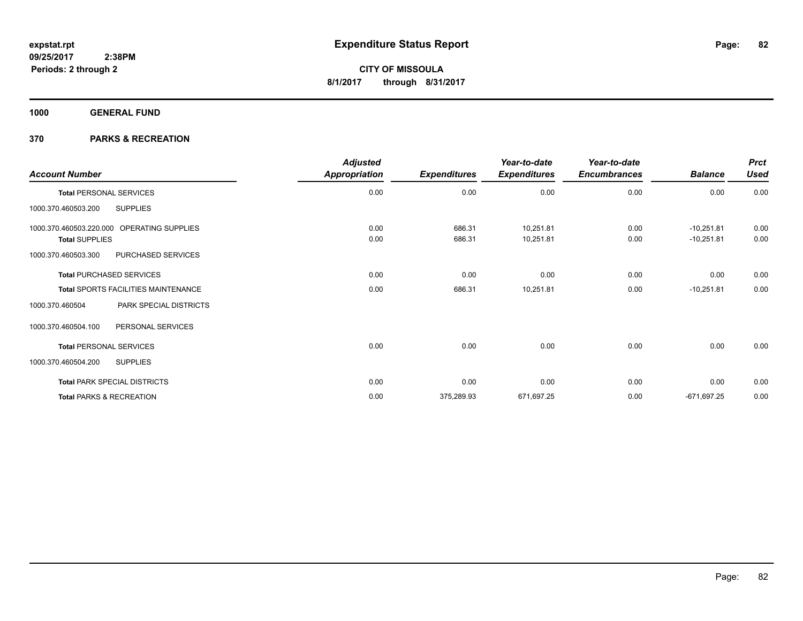**1000 GENERAL FUND**

| <b>Account Number</b>                      | <b>Adjusted</b><br>Appropriation | <b>Expenditures</b> | Year-to-date<br><b>Expenditures</b> | Year-to-date<br><b>Encumbrances</b> | <b>Balance</b> | <b>Prct</b><br><b>Used</b> |
|--------------------------------------------|----------------------------------|---------------------|-------------------------------------|-------------------------------------|----------------|----------------------------|
| <b>Total PERSONAL SERVICES</b>             | 0.00                             | 0.00                | 0.00                                | 0.00                                | 0.00           | 0.00                       |
| <b>SUPPLIES</b><br>1000.370.460503.200     |                                  |                     |                                     |                                     |                |                            |
| 1000.370.460503.220.000 OPERATING SUPPLIES | 0.00                             | 686.31              | 10,251.81                           | 0.00                                | $-10,251.81$   | 0.00                       |
| <b>Total SUPPLIES</b>                      | 0.00                             | 686.31              | 10,251.81                           | 0.00                                | $-10,251.81$   | 0.00                       |
| PURCHASED SERVICES<br>1000.370.460503.300  |                                  |                     |                                     |                                     |                |                            |
| <b>Total PURCHASED SERVICES</b>            | 0.00                             | 0.00                | 0.00                                | 0.00                                | 0.00           | 0.00                       |
| Total SPORTS FACILITIES MAINTENANCE        | 0.00                             | 686.31              | 10,251.81                           | 0.00                                | $-10,251.81$   | 0.00                       |
| PARK SPECIAL DISTRICTS<br>1000.370.460504  |                                  |                     |                                     |                                     |                |                            |
| 1000.370.460504.100<br>PERSONAL SERVICES   |                                  |                     |                                     |                                     |                |                            |
| <b>Total PERSONAL SERVICES</b>             | 0.00                             | 0.00                | 0.00                                | 0.00                                | 0.00           | 0.00                       |
| 1000.370.460504.200<br><b>SUPPLIES</b>     |                                  |                     |                                     |                                     |                |                            |
| <b>Total PARK SPECIAL DISTRICTS</b>        | 0.00                             | 0.00                | 0.00                                | 0.00                                | 0.00           | 0.00                       |
| <b>Total PARKS &amp; RECREATION</b>        | 0.00                             | 375,289.93          | 671,697.25                          | 0.00                                | $-671,697.25$  | 0.00                       |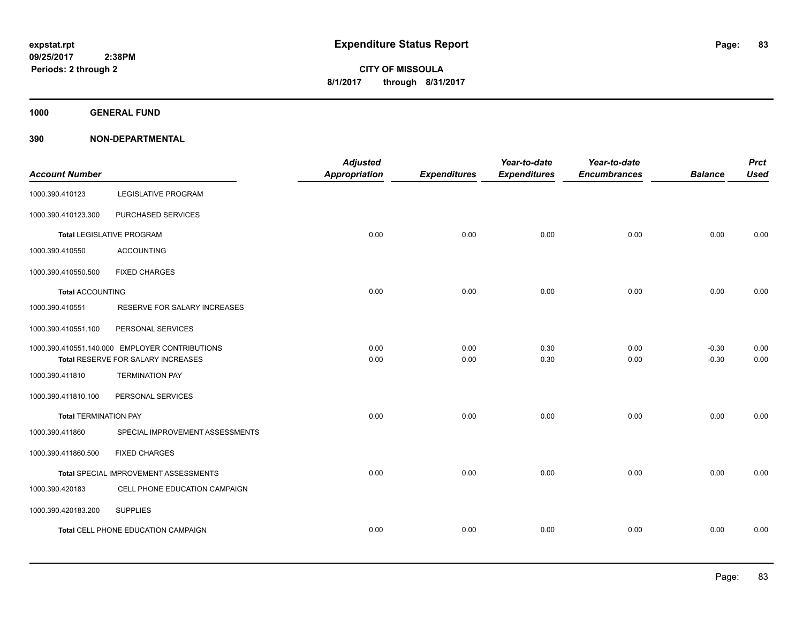**1000 GENERAL FUND**

| <b>Account Number</b>        |                                                | <b>Adjusted</b><br><b>Appropriation</b> | <b>Expenditures</b> | Year-to-date<br><b>Expenditures</b> | Year-to-date<br><b>Encumbrances</b> | <b>Balance</b> | <b>Prct</b><br><b>Used</b> |
|------------------------------|------------------------------------------------|-----------------------------------------|---------------------|-------------------------------------|-------------------------------------|----------------|----------------------------|
| 1000.390.410123              | <b>LEGISLATIVE PROGRAM</b>                     |                                         |                     |                                     |                                     |                |                            |
| 1000.390.410123.300          | PURCHASED SERVICES                             |                                         |                     |                                     |                                     |                |                            |
|                              | <b>Total LEGISLATIVE PROGRAM</b>               | 0.00                                    | 0.00                | 0.00                                | 0.00                                | 0.00           | 0.00                       |
| 1000.390.410550              | <b>ACCOUNTING</b>                              |                                         |                     |                                     |                                     |                |                            |
| 1000.390.410550.500          | <b>FIXED CHARGES</b>                           |                                         |                     |                                     |                                     |                |                            |
| <b>Total ACCOUNTING</b>      |                                                | 0.00                                    | 0.00                | 0.00                                | 0.00                                | 0.00           | 0.00                       |
| 1000.390.410551              | RESERVE FOR SALARY INCREASES                   |                                         |                     |                                     |                                     |                |                            |
| 1000.390.410551.100          | PERSONAL SERVICES                              |                                         |                     |                                     |                                     |                |                            |
|                              | 1000.390.410551.140.000 EMPLOYER CONTRIBUTIONS | 0.00                                    | 0.00                | 0.30                                | 0.00                                | $-0.30$        | 0.00                       |
|                              | Total RESERVE FOR SALARY INCREASES             | 0.00                                    | 0.00                | 0.30                                | 0.00                                | $-0.30$        | 0.00                       |
| 1000.390.411810              | <b>TERMINATION PAY</b>                         |                                         |                     |                                     |                                     |                |                            |
| 1000.390.411810.100          | PERSONAL SERVICES                              |                                         |                     |                                     |                                     |                |                            |
| <b>Total TERMINATION PAY</b> |                                                | 0.00                                    | 0.00                | 0.00                                | 0.00                                | 0.00           | 0.00                       |
| 1000.390.411860              | SPECIAL IMPROVEMENT ASSESSMENTS                |                                         |                     |                                     |                                     |                |                            |
| 1000.390.411860.500          | <b>FIXED CHARGES</b>                           |                                         |                     |                                     |                                     |                |                            |
|                              | Total SPECIAL IMPROVEMENT ASSESSMENTS          | 0.00                                    | 0.00                | 0.00                                | 0.00                                | 0.00           | 0.00                       |
| 1000.390.420183              | CELL PHONE EDUCATION CAMPAIGN                  |                                         |                     |                                     |                                     |                |                            |
| 1000.390.420183.200          | <b>SUPPLIES</b>                                |                                         |                     |                                     |                                     |                |                            |
|                              | Total CELL PHONE EDUCATION CAMPAIGN            | 0.00                                    | 0.00                | 0.00                                | 0.00                                | 0.00           | 0.00                       |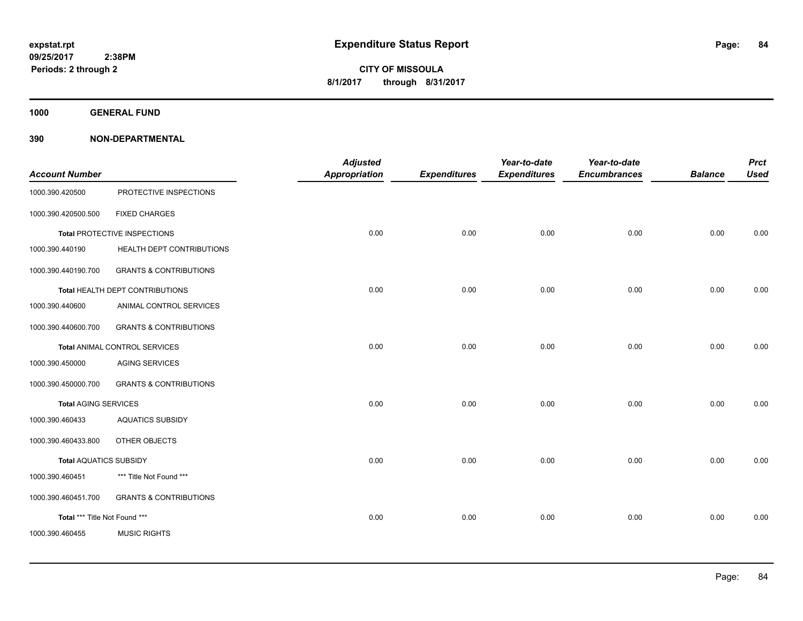**1000 GENERAL FUND**

|                               |                                   | <b>Adjusted</b>      |                     | Year-to-date        | Year-to-date        |                | <b>Prct</b> |
|-------------------------------|-----------------------------------|----------------------|---------------------|---------------------|---------------------|----------------|-------------|
| <b>Account Number</b>         |                                   | <b>Appropriation</b> | <b>Expenditures</b> | <b>Expenditures</b> | <b>Encumbrances</b> | <b>Balance</b> | <b>Used</b> |
| 1000.390.420500               | PROTECTIVE INSPECTIONS            |                      |                     |                     |                     |                |             |
| 1000.390.420500.500           | <b>FIXED CHARGES</b>              |                      |                     |                     |                     |                |             |
|                               | Total PROTECTIVE INSPECTIONS      | 0.00                 | 0.00                | 0.00                | 0.00                | 0.00           | 0.00        |
| 1000.390.440190               | HEALTH DEPT CONTRIBUTIONS         |                      |                     |                     |                     |                |             |
| 1000.390.440190.700           | <b>GRANTS &amp; CONTRIBUTIONS</b> |                      |                     |                     |                     |                |             |
|                               | Total HEALTH DEPT CONTRIBUTIONS   | 0.00                 | 0.00                | 0.00                | 0.00                | 0.00           | 0.00        |
| 1000.390.440600               | ANIMAL CONTROL SERVICES           |                      |                     |                     |                     |                |             |
| 1000.390.440600.700           | <b>GRANTS &amp; CONTRIBUTIONS</b> |                      |                     |                     |                     |                |             |
|                               | Total ANIMAL CONTROL SERVICES     | 0.00                 | 0.00                | 0.00                | 0.00                | 0.00           | 0.00        |
| 1000.390.450000               | <b>AGING SERVICES</b>             |                      |                     |                     |                     |                |             |
| 1000.390.450000.700           | <b>GRANTS &amp; CONTRIBUTIONS</b> |                      |                     |                     |                     |                |             |
| <b>Total AGING SERVICES</b>   |                                   | 0.00                 | 0.00                | 0.00                | 0.00                | 0.00           | 0.00        |
| 1000.390.460433               | <b>AQUATICS SUBSIDY</b>           |                      |                     |                     |                     |                |             |
| 1000.390.460433.800           | OTHER OBJECTS                     |                      |                     |                     |                     |                |             |
| <b>Total AQUATICS SUBSIDY</b> |                                   | 0.00                 | 0.00                | 0.00                | 0.00                | 0.00           | 0.00        |
| 1000.390.460451               | *** Title Not Found ***           |                      |                     |                     |                     |                |             |
| 1000.390.460451.700           | <b>GRANTS &amp; CONTRIBUTIONS</b> |                      |                     |                     |                     |                |             |
| Total *** Title Not Found *** |                                   | 0.00                 | 0.00                | 0.00                | 0.00                | 0.00           | 0.00        |
| 1000.390.460455               | <b>MUSIC RIGHTS</b>               |                      |                     |                     |                     |                |             |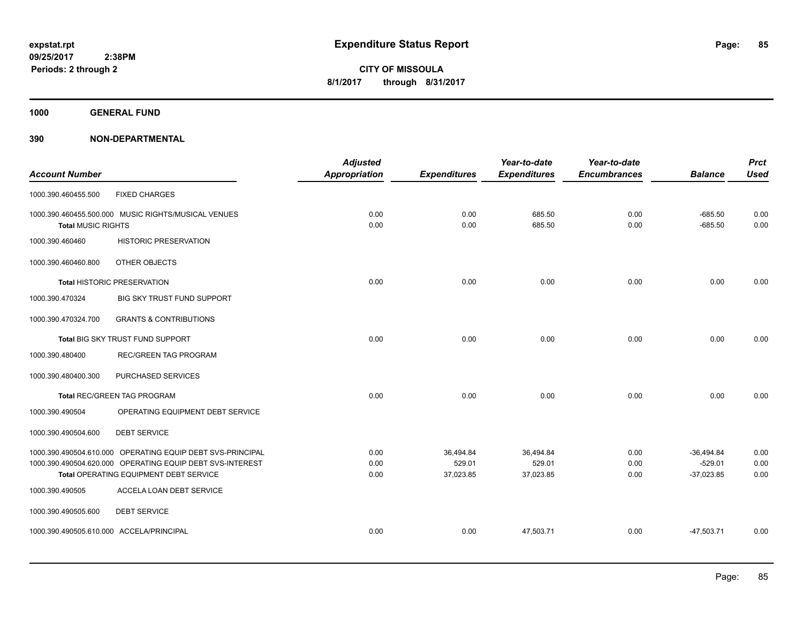**1000 GENERAL FUND**

|                           |                                                            | <b>Adjusted</b>      |                     | Year-to-date        | Year-to-date        |                | <b>Prct</b> |
|---------------------------|------------------------------------------------------------|----------------------|---------------------|---------------------|---------------------|----------------|-------------|
| <b>Account Number</b>     |                                                            | <b>Appropriation</b> | <b>Expenditures</b> | <b>Expenditures</b> | <b>Encumbrances</b> | <b>Balance</b> | <b>Used</b> |
| 1000.390.460455.500       | <b>FIXED CHARGES</b>                                       |                      |                     |                     |                     |                |             |
|                           | 1000.390.460455.500.000 MUSIC RIGHTS/MUSICAL VENUES        | 0.00                 | 0.00                | 685.50              | 0.00                | $-685.50$      | 0.00        |
| <b>Total MUSIC RIGHTS</b> |                                                            | 0.00                 | 0.00                | 685.50              | 0.00                | $-685.50$      | 0.00        |
| 1000.390.460460           | <b>HISTORIC PRESERVATION</b>                               |                      |                     |                     |                     |                |             |
| 1000.390.460460.800       | OTHER OBJECTS                                              |                      |                     |                     |                     |                |             |
|                           | <b>Total HISTORIC PRESERVATION</b>                         | 0.00                 | 0.00                | 0.00                | 0.00                | 0.00           | 0.00        |
| 1000.390.470324           | BIG SKY TRUST FUND SUPPORT                                 |                      |                     |                     |                     |                |             |
| 1000.390.470324.700       | <b>GRANTS &amp; CONTRIBUTIONS</b>                          |                      |                     |                     |                     |                |             |
|                           | Total BIG SKY TRUST FUND SUPPORT                           | 0.00                 | 0.00                | 0.00                | 0.00                | 0.00           | 0.00        |
| 1000.390.480400           | <b>REC/GREEN TAG PROGRAM</b>                               |                      |                     |                     |                     |                |             |
| 1000.390.480400.300       | PURCHASED SERVICES                                         |                      |                     |                     |                     |                |             |
|                           | Total REC/GREEN TAG PROGRAM                                | 0.00                 | 0.00                | 0.00                | 0.00                | 0.00           | 0.00        |
| 1000.390.490504           | OPERATING EQUIPMENT DEBT SERVICE                           |                      |                     |                     |                     |                |             |
| 1000.390.490504.600       | <b>DEBT SERVICE</b>                                        |                      |                     |                     |                     |                |             |
|                           | 1000.390.490504.610.000 OPERATING EQUIP DEBT SVS-PRINCIPAL | 0.00                 | 36,494.84           | 36,494.84           | 0.00                | $-36,494.84$   | 0.00        |
|                           | 1000.390.490504.620.000 OPERATING EQUIP DEBT SVS-INTEREST  | 0.00                 | 529.01              | 529.01              | 0.00                | $-529.01$      | 0.00        |
|                           | Total OPERATING EQUIPMENT DEBT SERVICE                     | 0.00                 | 37,023.85           | 37,023.85           | 0.00                | $-37,023.85$   | 0.00        |
| 1000.390.490505           | ACCELA LOAN DEBT SERVICE                                   |                      |                     |                     |                     |                |             |
| 1000.390.490505.600       | <b>DEBT SERVICE</b>                                        |                      |                     |                     |                     |                |             |
|                           | 1000.390.490505.610.000 ACCELA/PRINCIPAL                   | 0.00                 | 0.00                | 47,503.71           | 0.00                | $-47,503.71$   | 0.00        |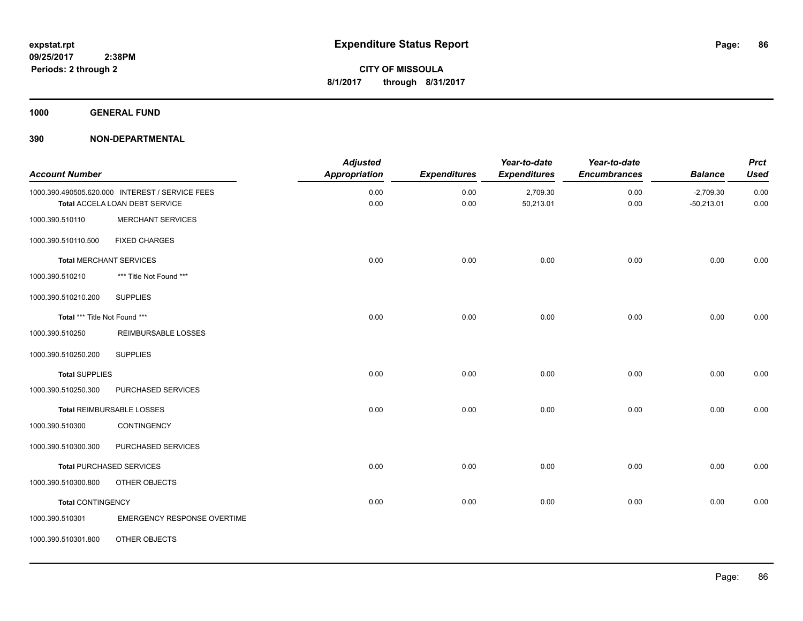**1000 GENERAL FUND**

| <b>Account Number</b>          |                                                                                   | <b>Adjusted</b><br><b>Appropriation</b> | <b>Expenditures</b> | Year-to-date<br><b>Expenditures</b> | Year-to-date<br><b>Encumbrances</b> | <b>Balance</b>              | <b>Prct</b><br><b>Used</b> |
|--------------------------------|-----------------------------------------------------------------------------------|-----------------------------------------|---------------------|-------------------------------------|-------------------------------------|-----------------------------|----------------------------|
|                                | 1000.390.490505.620.000 INTEREST / SERVICE FEES<br>Total ACCELA LOAN DEBT SERVICE | 0.00<br>0.00                            | 0.00<br>0.00        | 2,709.30<br>50,213.01               | 0.00<br>0.00                        | $-2,709.30$<br>$-50,213.01$ | 0.00<br>0.00               |
| 1000.390.510110                | <b>MERCHANT SERVICES</b>                                                          |                                         |                     |                                     |                                     |                             |                            |
| 1000.390.510110.500            | <b>FIXED CHARGES</b>                                                              |                                         |                     |                                     |                                     |                             |                            |
| <b>Total MERCHANT SERVICES</b> |                                                                                   | 0.00                                    | 0.00                | 0.00                                | 0.00                                | 0.00                        | 0.00                       |
| 1000.390.510210                | *** Title Not Found ***                                                           |                                         |                     |                                     |                                     |                             |                            |
| 1000.390.510210.200            | <b>SUPPLIES</b>                                                                   |                                         |                     |                                     |                                     |                             |                            |
| Total *** Title Not Found ***  |                                                                                   | 0.00                                    | 0.00                | 0.00                                | 0.00                                | 0.00                        | 0.00                       |
| 1000.390.510250                | REIMBURSABLE LOSSES                                                               |                                         |                     |                                     |                                     |                             |                            |
| 1000.390.510250.200            | <b>SUPPLIES</b>                                                                   |                                         |                     |                                     |                                     |                             |                            |
| <b>Total SUPPLIES</b>          |                                                                                   | 0.00                                    | 0.00                | 0.00                                | 0.00                                | 0.00                        | 0.00                       |
| 1000.390.510250.300            | PURCHASED SERVICES                                                                |                                         |                     |                                     |                                     |                             |                            |
|                                | Total REIMBURSABLE LOSSES                                                         | 0.00                                    | 0.00                | 0.00                                | 0.00                                | 0.00                        | 0.00                       |
| 1000.390.510300                | CONTINGENCY                                                                       |                                         |                     |                                     |                                     |                             |                            |
| 1000.390.510300.300            | PURCHASED SERVICES                                                                |                                         |                     |                                     |                                     |                             |                            |
|                                | <b>Total PURCHASED SERVICES</b>                                                   | 0.00                                    | 0.00                | 0.00                                | 0.00                                | 0.00                        | 0.00                       |
| 1000.390.510300.800            | OTHER OBJECTS                                                                     |                                         |                     |                                     |                                     |                             |                            |
| <b>Total CONTINGENCY</b>       |                                                                                   | 0.00                                    | 0.00                | 0.00                                | 0.00                                | 0.00                        | 0.00                       |
| 1000.390.510301                | <b>EMERGENCY RESPONSE OVERTIME</b>                                                |                                         |                     |                                     |                                     |                             |                            |
| 1000.390.510301.800            | OTHER OBJECTS                                                                     |                                         |                     |                                     |                                     |                             |                            |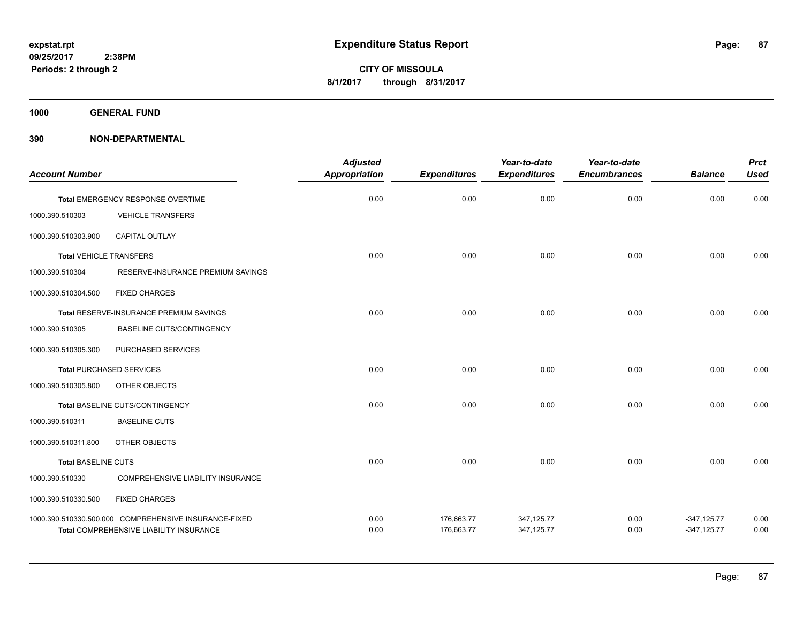**1000 GENERAL FUND**

| <b>Account Number</b>          |                                                                                                  | <b>Adjusted</b><br><b>Appropriation</b> | <b>Expenditures</b>      | Year-to-date<br><b>Expenditures</b> | Year-to-date<br><b>Encumbrances</b> | <b>Balance</b>                 | <b>Prct</b><br><b>Used</b> |
|--------------------------------|--------------------------------------------------------------------------------------------------|-----------------------------------------|--------------------------|-------------------------------------|-------------------------------------|--------------------------------|----------------------------|
|                                | Total EMERGENCY RESPONSE OVERTIME                                                                | 0.00                                    | 0.00                     | 0.00                                | 0.00                                | 0.00                           | 0.00                       |
| 1000.390.510303                | <b>VEHICLE TRANSFERS</b>                                                                         |                                         |                          |                                     |                                     |                                |                            |
| 1000.390.510303.900            | CAPITAL OUTLAY                                                                                   |                                         |                          |                                     |                                     |                                |                            |
| <b>Total VEHICLE TRANSFERS</b> |                                                                                                  | 0.00                                    | 0.00                     | 0.00                                | 0.00                                | 0.00                           | 0.00                       |
| 1000.390.510304                | RESERVE-INSURANCE PREMIUM SAVINGS                                                                |                                         |                          |                                     |                                     |                                |                            |
| 1000.390.510304.500            | <b>FIXED CHARGES</b>                                                                             |                                         |                          |                                     |                                     |                                |                            |
|                                | Total RESERVE-INSURANCE PREMIUM SAVINGS                                                          | 0.00                                    | 0.00                     | 0.00                                | 0.00                                | 0.00                           | 0.00                       |
| 1000.390.510305                | <b>BASELINE CUTS/CONTINGENCY</b>                                                                 |                                         |                          |                                     |                                     |                                |                            |
| 1000.390.510305.300            | PURCHASED SERVICES                                                                               |                                         |                          |                                     |                                     |                                |                            |
|                                | <b>Total PURCHASED SERVICES</b>                                                                  | 0.00                                    | 0.00                     | 0.00                                | 0.00                                | 0.00                           | 0.00                       |
| 1000.390.510305.800            | OTHER OBJECTS                                                                                    |                                         |                          |                                     |                                     |                                |                            |
|                                | Total BASELINE CUTS/CONTINGENCY                                                                  | 0.00                                    | 0.00                     | 0.00                                | 0.00                                | 0.00                           | 0.00                       |
| 1000.390.510311                | <b>BASELINE CUTS</b>                                                                             |                                         |                          |                                     |                                     |                                |                            |
| 1000.390.510311.800            | OTHER OBJECTS                                                                                    |                                         |                          |                                     |                                     |                                |                            |
| <b>Total BASELINE CUTS</b>     |                                                                                                  | 0.00                                    | 0.00                     | 0.00                                | 0.00                                | 0.00                           | 0.00                       |
| 1000.390.510330                | <b>COMPREHENSIVE LIABILITY INSURANCE</b>                                                         |                                         |                          |                                     |                                     |                                |                            |
| 1000.390.510330.500            | <b>FIXED CHARGES</b>                                                                             |                                         |                          |                                     |                                     |                                |                            |
|                                | 1000.390.510330.500.000 COMPREHENSIVE INSURANCE-FIXED<br>Total COMPREHENSIVE LIABILITY INSURANCE | 0.00<br>0.00                            | 176,663.77<br>176,663.77 | 347,125.77<br>347,125.77            | 0.00<br>0.00                        | $-347,125.77$<br>$-347,125.77$ | 0.00<br>0.00               |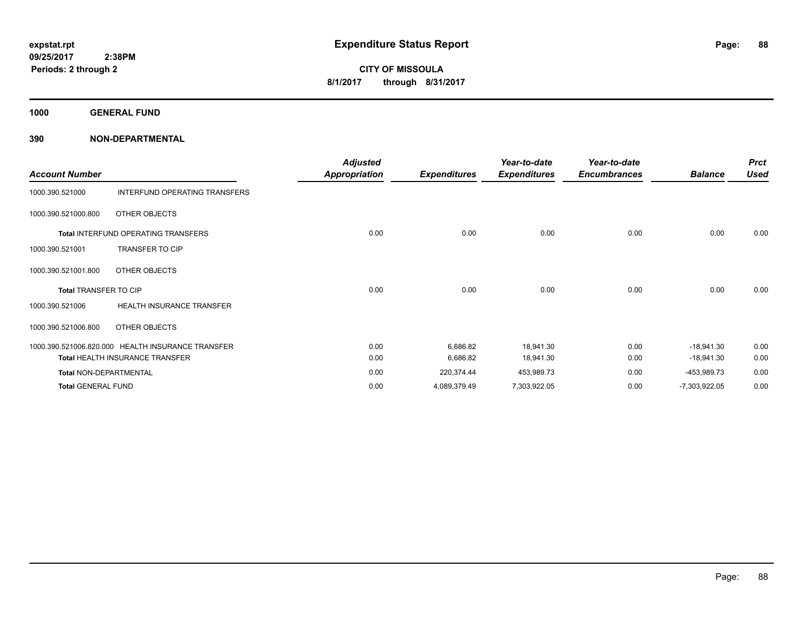**1000 GENERAL FUND**

| <b>Account Number</b>         |                                                   | <b>Adjusted</b><br><b>Appropriation</b> | <b>Expenditures</b> | Year-to-date<br><b>Expenditures</b> | Year-to-date<br><b>Encumbrances</b> | <b>Balance</b>  | <b>Prct</b><br><b>Used</b> |
|-------------------------------|---------------------------------------------------|-----------------------------------------|---------------------|-------------------------------------|-------------------------------------|-----------------|----------------------------|
| 1000.390.521000               | INTERFUND OPERATING TRANSFERS                     |                                         |                     |                                     |                                     |                 |                            |
| 1000.390.521000.800           | OTHER OBJECTS                                     |                                         |                     |                                     |                                     |                 |                            |
|                               | <b>Total INTERFUND OPERATING TRANSFERS</b>        | 0.00                                    | 0.00                | 0.00                                | 0.00                                | 0.00            | 0.00                       |
| 1000.390.521001               | <b>TRANSFER TO CIP</b>                            |                                         |                     |                                     |                                     |                 |                            |
| 1000.390.521001.800           | OTHER OBJECTS                                     |                                         |                     |                                     |                                     |                 |                            |
| Total TRANSFER TO CIP         |                                                   | 0.00                                    | 0.00                | 0.00                                | 0.00                                | 0.00            | 0.00                       |
| 1000.390.521006               | HEALTH INSURANCE TRANSFER                         |                                         |                     |                                     |                                     |                 |                            |
| 1000.390.521006.800           | OTHER OBJECTS                                     |                                         |                     |                                     |                                     |                 |                            |
|                               | 1000.390.521006.820.000 HEALTH INSURANCE TRANSFER | 0.00                                    | 6,686.82            | 18,941.30                           | 0.00                                | $-18,941.30$    | 0.00                       |
|                               | <b>Total HEALTH INSURANCE TRANSFER</b>            | 0.00                                    | 6,686.82            | 18,941.30                           | 0.00                                | $-18,941.30$    | 0.00                       |
| <b>Total NON-DEPARTMENTAL</b> |                                                   | 0.00                                    | 220,374.44          | 453,989.73                          | 0.00                                | -453,989.73     | 0.00                       |
| <b>Total GENERAL FUND</b>     |                                                   | 0.00                                    | 4,089,379.49        | 7,303,922.05                        | 0.00                                | $-7,303,922.05$ | 0.00                       |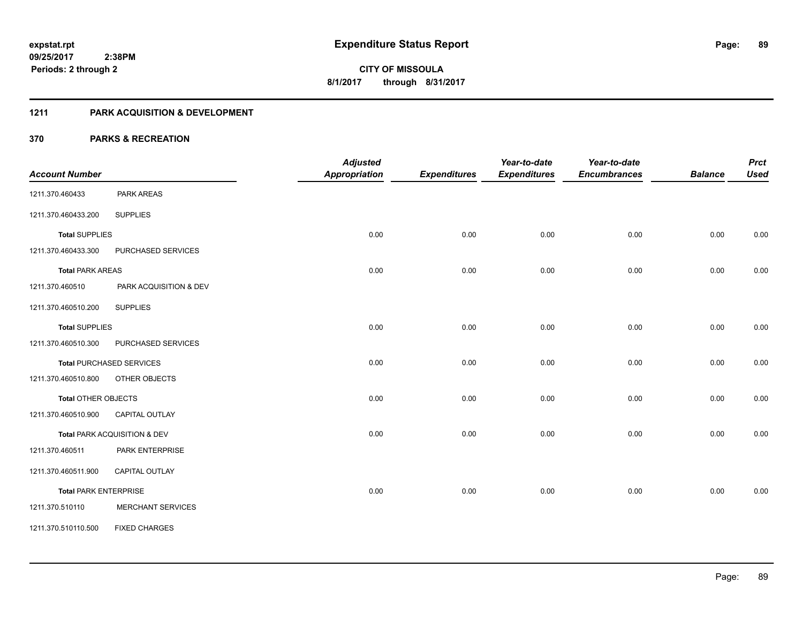# **1211 PARK ACQUISITION & DEVELOPMENT**

|                              |                                 | <b>Adjusted</b>      |                     | Year-to-date        | Year-to-date        |                | <b>Prct</b> |
|------------------------------|---------------------------------|----------------------|---------------------|---------------------|---------------------|----------------|-------------|
| <b>Account Number</b>        |                                 | <b>Appropriation</b> | <b>Expenditures</b> | <b>Expenditures</b> | <b>Encumbrances</b> | <b>Balance</b> | <b>Used</b> |
| 1211.370.460433              | PARK AREAS                      |                      |                     |                     |                     |                |             |
| 1211.370.460433.200          | <b>SUPPLIES</b>                 |                      |                     |                     |                     |                |             |
| <b>Total SUPPLIES</b>        |                                 | 0.00                 | 0.00                | 0.00                | 0.00                | 0.00           | 0.00        |
| 1211.370.460433.300          | PURCHASED SERVICES              |                      |                     |                     |                     |                |             |
| <b>Total PARK AREAS</b>      |                                 | 0.00                 | 0.00                | 0.00                | 0.00                | 0.00           | 0.00        |
| 1211.370.460510              | PARK ACQUISITION & DEV          |                      |                     |                     |                     |                |             |
| 1211.370.460510.200          | <b>SUPPLIES</b>                 |                      |                     |                     |                     |                |             |
| <b>Total SUPPLIES</b>        |                                 | 0.00                 | 0.00                | 0.00                | 0.00                | 0.00           | 0.00        |
| 1211.370.460510.300          | PURCHASED SERVICES              |                      |                     |                     |                     |                |             |
|                              | <b>Total PURCHASED SERVICES</b> | 0.00                 | 0.00                | 0.00                | 0.00                | 0.00           | 0.00        |
| 1211.370.460510.800          | OTHER OBJECTS                   |                      |                     |                     |                     |                |             |
| <b>Total OTHER OBJECTS</b>   |                                 | 0.00                 | 0.00                | 0.00                | 0.00                | 0.00           | 0.00        |
| 1211.370.460510.900          | CAPITAL OUTLAY                  |                      |                     |                     |                     |                |             |
|                              | Total PARK ACQUISITION & DEV    | 0.00                 | 0.00                | 0.00                | 0.00                | 0.00           | 0.00        |
| 1211.370.460511              | PARK ENTERPRISE                 |                      |                     |                     |                     |                |             |
| 1211.370.460511.900          | <b>CAPITAL OUTLAY</b>           |                      |                     |                     |                     |                |             |
| <b>Total PARK ENTERPRISE</b> |                                 | 0.00                 | 0.00                | 0.00                | 0.00                | 0.00           | 0.00        |
| 1211.370.510110              | <b>MERCHANT SERVICES</b>        |                      |                     |                     |                     |                |             |
| 1211.370.510110.500          | <b>FIXED CHARGES</b>            |                      |                     |                     |                     |                |             |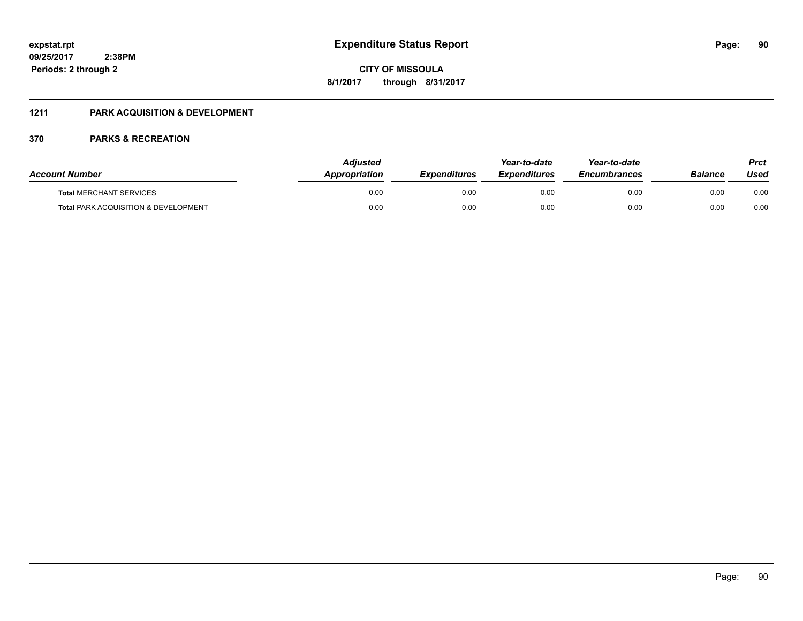# **09/25/2017 2:38PM Periods: 2 through 2**

**CITY OF MISSOULA 8/1/2017 through 8/31/2017**

# **1211 PARK ACQUISITION & DEVELOPMENT**

| <b>Account Number</b>                           | Adiusted<br>Appropriation | <b>Expenditures</b> | Year-to-date<br><b>Expenditures</b> | Year-to-date<br><b>Encumbrances</b> | Balance | Prct<br>Used |
|-------------------------------------------------|---------------------------|---------------------|-------------------------------------|-------------------------------------|---------|--------------|
| <b>Total MERCHANT SERVICES</b>                  | 0.00                      | 0.00                | 0.00                                | 0.00                                | 0.00    | 0.00         |
| <b>Total PARK ACQUISITION &amp; DEVELOPMENT</b> | 0.00                      | 0.00                | 0.00                                | 0.00                                | 0.00    | 0.00         |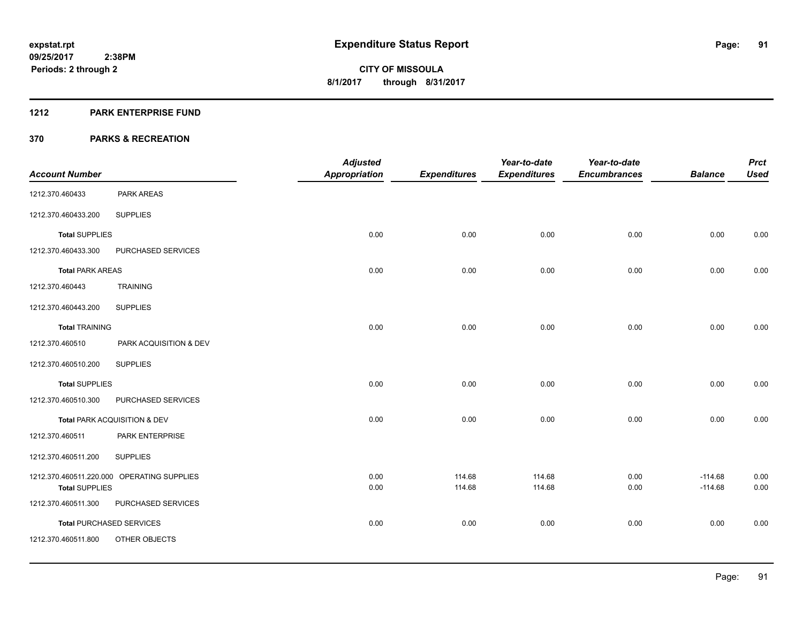#### **1212 PARK ENTERPRISE FUND**

|                         |                                            | <b>Adjusted</b>      |                     | Year-to-date        | Year-to-date        |                | <b>Prct</b> |
|-------------------------|--------------------------------------------|----------------------|---------------------|---------------------|---------------------|----------------|-------------|
| <b>Account Number</b>   |                                            | <b>Appropriation</b> | <b>Expenditures</b> | <b>Expenditures</b> | <b>Encumbrances</b> | <b>Balance</b> | <b>Used</b> |
| 1212.370.460433         | PARK AREAS                                 |                      |                     |                     |                     |                |             |
| 1212.370.460433.200     | <b>SUPPLIES</b>                            |                      |                     |                     |                     |                |             |
| <b>Total SUPPLIES</b>   |                                            | 0.00                 | 0.00                | 0.00                | 0.00                | 0.00           | 0.00        |
| 1212.370.460433.300     | PURCHASED SERVICES                         |                      |                     |                     |                     |                |             |
| <b>Total PARK AREAS</b> |                                            | 0.00                 | 0.00                | 0.00                | 0.00                | 0.00           | 0.00        |
| 1212.370.460443         | <b>TRAINING</b>                            |                      |                     |                     |                     |                |             |
| 1212.370.460443.200     | <b>SUPPLIES</b>                            |                      |                     |                     |                     |                |             |
| <b>Total TRAINING</b>   |                                            | 0.00                 | 0.00                | 0.00                | 0.00                | 0.00           | 0.00        |
| 1212.370.460510         | PARK ACQUISITION & DEV                     |                      |                     |                     |                     |                |             |
| 1212.370.460510.200     | <b>SUPPLIES</b>                            |                      |                     |                     |                     |                |             |
| <b>Total SUPPLIES</b>   |                                            | 0.00                 | 0.00                | 0.00                | 0.00                | 0.00           | 0.00        |
| 1212.370.460510.300     | PURCHASED SERVICES                         |                      |                     |                     |                     |                |             |
|                         | Total PARK ACQUISITION & DEV               | 0.00                 | 0.00                | 0.00                | 0.00                | 0.00           | 0.00        |
| 1212.370.460511         | PARK ENTERPRISE                            |                      |                     |                     |                     |                |             |
| 1212.370.460511.200     | <b>SUPPLIES</b>                            |                      |                     |                     |                     |                |             |
|                         | 1212.370.460511.220.000 OPERATING SUPPLIES | 0.00                 | 114.68              | 114.68              | 0.00                | $-114.68$      | 0.00        |
| <b>Total SUPPLIES</b>   |                                            | 0.00                 | 114.68              | 114.68              | 0.00                | $-114.68$      | 0.00        |
| 1212.370.460511.300     | PURCHASED SERVICES                         |                      |                     |                     |                     |                |             |
|                         | <b>Total PURCHASED SERVICES</b>            | 0.00                 | 0.00                | 0.00                | 0.00                | 0.00           | 0.00        |
| 1212.370.460511.800     | OTHER OBJECTS                              |                      |                     |                     |                     |                |             |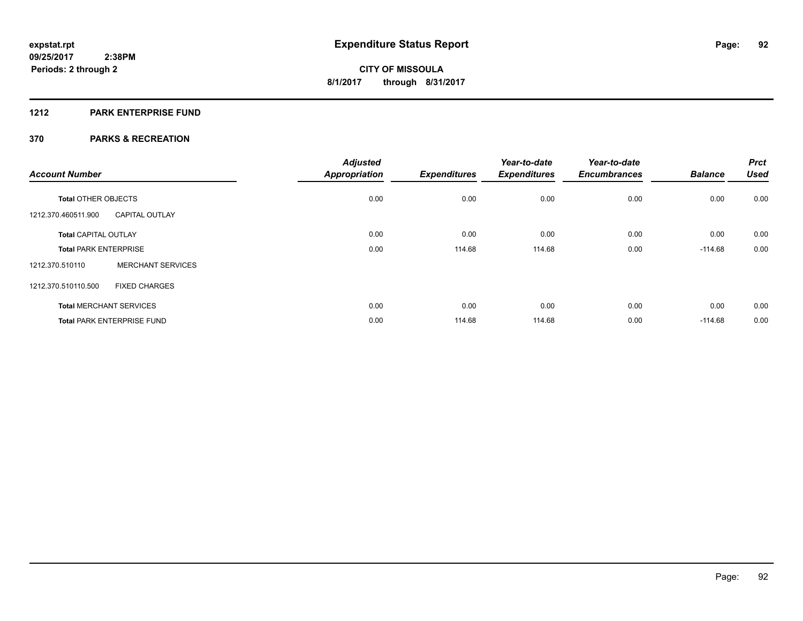# **1212 PARK ENTERPRISE FUND**

| <b>Account Number</b>        |                                   | <b>Adjusted</b><br><b>Appropriation</b> | <b>Expenditures</b> | Year-to-date<br><b>Expenditures</b> | Year-to-date<br><b>Encumbrances</b> | <b>Balance</b> | <b>Prct</b><br><b>Used</b> |
|------------------------------|-----------------------------------|-----------------------------------------|---------------------|-------------------------------------|-------------------------------------|----------------|----------------------------|
| <b>Total OTHER OBJECTS</b>   |                                   | 0.00                                    | 0.00                | 0.00                                | 0.00                                | 0.00           | 0.00                       |
| 1212.370.460511.900          | <b>CAPITAL OUTLAY</b>             |                                         |                     |                                     |                                     |                |                            |
| <b>Total CAPITAL OUTLAY</b>  |                                   | 0.00                                    | 0.00                | 0.00                                | 0.00                                | 0.00           | 0.00                       |
| <b>Total PARK ENTERPRISE</b> |                                   | 0.00                                    | 114.68              | 114.68                              | 0.00                                | $-114.68$      | 0.00                       |
| 1212.370.510110              | <b>MERCHANT SERVICES</b>          |                                         |                     |                                     |                                     |                |                            |
| 1212.370.510110.500          | <b>FIXED CHARGES</b>              |                                         |                     |                                     |                                     |                |                            |
|                              | <b>Total MERCHANT SERVICES</b>    | 0.00                                    | 0.00                | 0.00                                | 0.00                                | 0.00           | 0.00                       |
|                              | <b>Total PARK ENTERPRISE FUND</b> | 0.00                                    | 114.68              | 114.68                              | 0.00                                | $-114.68$      | 0.00                       |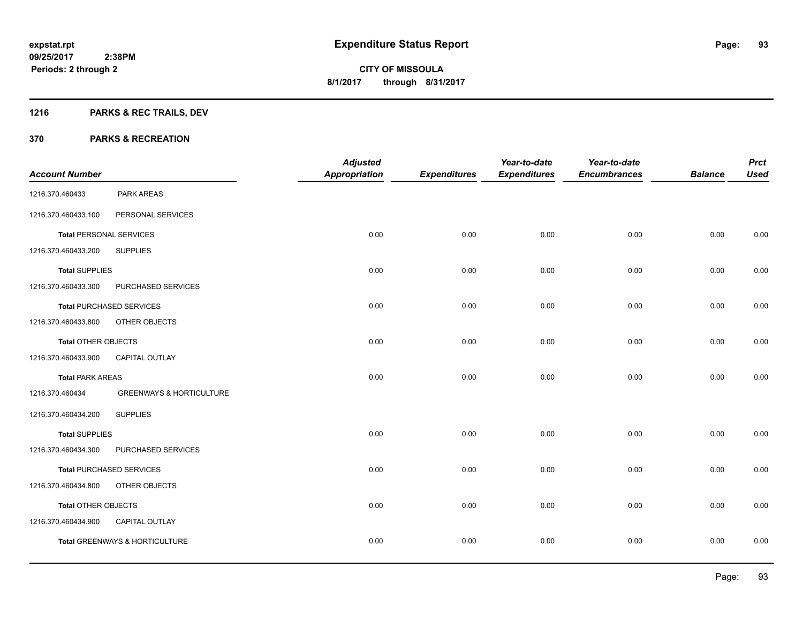# **1216 PARKS & REC TRAILS, DEV**

|                                |                                     | <b>Adjusted</b>      |                     | Year-to-date        | Year-to-date        |                | <b>Prct</b> |
|--------------------------------|-------------------------------------|----------------------|---------------------|---------------------|---------------------|----------------|-------------|
| <b>Account Number</b>          |                                     | <b>Appropriation</b> | <b>Expenditures</b> | <b>Expenditures</b> | <b>Encumbrances</b> | <b>Balance</b> | <b>Used</b> |
| 1216.370.460433                | PARK AREAS                          |                      |                     |                     |                     |                |             |
| 1216.370.460433.100            | PERSONAL SERVICES                   |                      |                     |                     |                     |                |             |
| <b>Total PERSONAL SERVICES</b> |                                     | 0.00                 | 0.00                | 0.00                | 0.00                | 0.00           | 0.00        |
| 1216.370.460433.200            | <b>SUPPLIES</b>                     |                      |                     |                     |                     |                |             |
| <b>Total SUPPLIES</b>          |                                     | 0.00                 | 0.00                | 0.00                | 0.00                | 0.00           | 0.00        |
| 1216.370.460433.300            | PURCHASED SERVICES                  |                      |                     |                     |                     |                |             |
|                                | <b>Total PURCHASED SERVICES</b>     | 0.00                 | 0.00                | 0.00                | 0.00                | 0.00           | 0.00        |
| 1216.370.460433.800            | OTHER OBJECTS                       |                      |                     |                     |                     |                |             |
| <b>Total OTHER OBJECTS</b>     |                                     | 0.00                 | 0.00                | 0.00                | 0.00                | 0.00           | 0.00        |
| 1216.370.460433.900            | CAPITAL OUTLAY                      |                      |                     |                     |                     |                |             |
| <b>Total PARK AREAS</b>        |                                     | 0.00                 | 0.00                | 0.00                | 0.00                | 0.00           | 0.00        |
| 1216.370.460434                | <b>GREENWAYS &amp; HORTICULTURE</b> |                      |                     |                     |                     |                |             |
| 1216.370.460434.200            | <b>SUPPLIES</b>                     |                      |                     |                     |                     |                |             |
| <b>Total SUPPLIES</b>          |                                     | 0.00                 | 0.00                | 0.00                | 0.00                | 0.00           | 0.00        |
| 1216.370.460434.300            | PURCHASED SERVICES                  |                      |                     |                     |                     |                |             |
|                                | <b>Total PURCHASED SERVICES</b>     | 0.00                 | 0.00                | 0.00                | 0.00                | 0.00           | 0.00        |
| 1216.370.460434.800            | OTHER OBJECTS                       |                      |                     |                     |                     |                |             |
| <b>Total OTHER OBJECTS</b>     |                                     | 0.00                 | 0.00                | 0.00                | 0.00                | 0.00           | 0.00        |
| 1216.370.460434.900            | CAPITAL OUTLAY                      |                      |                     |                     |                     |                |             |
|                                | Total GREENWAYS & HORTICULTURE      | 0.00                 | 0.00                | 0.00                | 0.00                | 0.00           | 0.00        |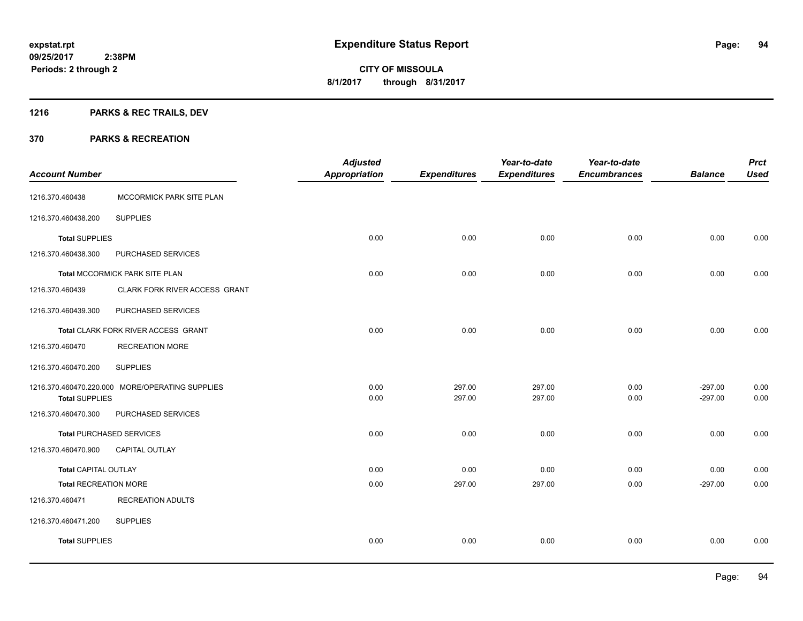# **1216 PARKS & REC TRAILS, DEV**

| <b>Account Number</b>        |                                                 | <b>Adjusted</b><br><b>Appropriation</b> | <b>Expenditures</b> | Year-to-date<br><b>Expenditures</b> | Year-to-date<br><b>Encumbrances</b> | <b>Balance</b>         | <b>Prct</b><br><b>Used</b> |
|------------------------------|-------------------------------------------------|-----------------------------------------|---------------------|-------------------------------------|-------------------------------------|------------------------|----------------------------|
| 1216.370.460438              | MCCORMICK PARK SITE PLAN                        |                                         |                     |                                     |                                     |                        |                            |
| 1216.370.460438.200          | <b>SUPPLIES</b>                                 |                                         |                     |                                     |                                     |                        |                            |
| <b>Total SUPPLIES</b>        |                                                 | 0.00                                    | 0.00                | 0.00                                | 0.00                                | 0.00                   | 0.00                       |
| 1216.370.460438.300          | PURCHASED SERVICES                              |                                         |                     |                                     |                                     |                        |                            |
|                              | Total MCCORMICK PARK SITE PLAN                  | 0.00                                    | 0.00                | 0.00                                | 0.00                                | 0.00                   | 0.00                       |
| 1216.370.460439              | CLARK FORK RIVER ACCESS GRANT                   |                                         |                     |                                     |                                     |                        |                            |
| 1216.370.460439.300          | PURCHASED SERVICES                              |                                         |                     |                                     |                                     |                        |                            |
|                              | Total CLARK FORK RIVER ACCESS GRANT             | 0.00                                    | 0.00                | 0.00                                | 0.00                                | 0.00                   | 0.00                       |
| 1216.370.460470              | <b>RECREATION MORE</b>                          |                                         |                     |                                     |                                     |                        |                            |
| 1216.370.460470.200          | <b>SUPPLIES</b>                                 |                                         |                     |                                     |                                     |                        |                            |
| <b>Total SUPPLIES</b>        | 1216.370.460470.220.000 MORE/OPERATING SUPPLIES | 0.00<br>0.00                            | 297.00<br>297.00    | 297.00<br>297.00                    | 0.00<br>0.00                        | $-297.00$<br>$-297.00$ | 0.00<br>0.00               |
| 1216.370.460470.300          | PURCHASED SERVICES                              |                                         |                     |                                     |                                     |                        |                            |
|                              | <b>Total PURCHASED SERVICES</b>                 | 0.00                                    | 0.00                | 0.00                                | 0.00                                | 0.00                   | 0.00                       |
| 1216.370.460470.900          | CAPITAL OUTLAY                                  |                                         |                     |                                     |                                     |                        |                            |
| <b>Total CAPITAL OUTLAY</b>  |                                                 | 0.00                                    | 0.00                | 0.00                                | 0.00                                | 0.00                   | 0.00                       |
| <b>Total RECREATION MORE</b> |                                                 | 0.00                                    | 297.00              | 297.00                              | 0.00                                | $-297.00$              | 0.00                       |
| 1216.370.460471              | <b>RECREATION ADULTS</b>                        |                                         |                     |                                     |                                     |                        |                            |
| 1216.370.460471.200          | <b>SUPPLIES</b>                                 |                                         |                     |                                     |                                     |                        |                            |
| <b>Total SUPPLIES</b>        |                                                 | 0.00                                    | 0.00                | 0.00                                | 0.00                                | 0.00                   | 0.00                       |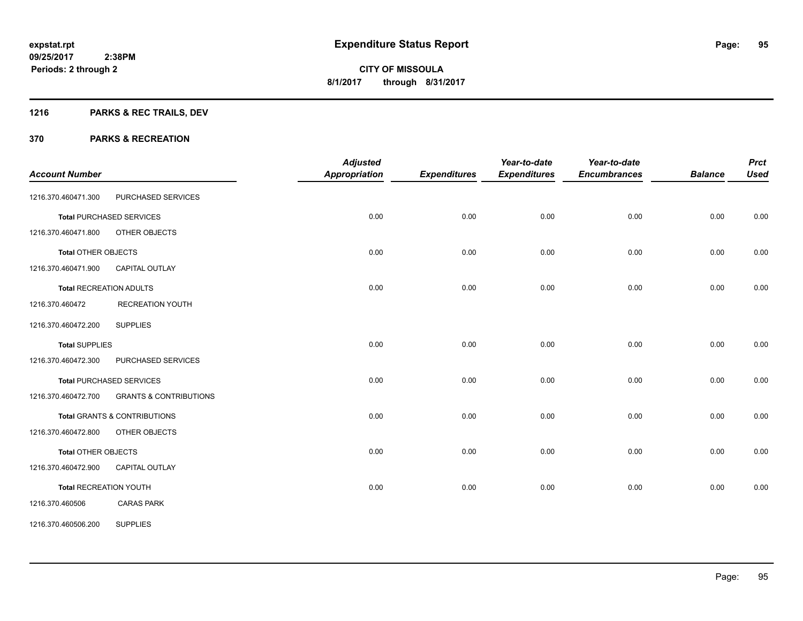# **1216 PARKS & REC TRAILS, DEV**

| <b>Account Number</b>          |                                         | <b>Adjusted</b><br>Appropriation | <b>Expenditures</b> | Year-to-date<br><b>Expenditures</b> | Year-to-date<br><b>Encumbrances</b> | <b>Balance</b> | <b>Prct</b><br><b>Used</b> |
|--------------------------------|-----------------------------------------|----------------------------------|---------------------|-------------------------------------|-------------------------------------|----------------|----------------------------|
|                                |                                         |                                  |                     |                                     |                                     |                |                            |
| 1216.370.460471.300            | PURCHASED SERVICES                      |                                  |                     |                                     |                                     |                |                            |
|                                | <b>Total PURCHASED SERVICES</b>         | 0.00                             | 0.00                | 0.00                                | 0.00                                | 0.00           | 0.00                       |
| 1216.370.460471.800            | OTHER OBJECTS                           |                                  |                     |                                     |                                     |                |                            |
| <b>Total OTHER OBJECTS</b>     |                                         | 0.00                             | 0.00                | 0.00                                | 0.00                                | 0.00           | 0.00                       |
| 1216.370.460471.900            | CAPITAL OUTLAY                          |                                  |                     |                                     |                                     |                |                            |
| <b>Total RECREATION ADULTS</b> |                                         | 0.00                             | 0.00                | 0.00                                | 0.00                                | 0.00           | 0.00                       |
| 1216.370.460472                | <b>RECREATION YOUTH</b>                 |                                  |                     |                                     |                                     |                |                            |
| 1216.370.460472.200            | <b>SUPPLIES</b>                         |                                  |                     |                                     |                                     |                |                            |
| <b>Total SUPPLIES</b>          |                                         | 0.00                             | 0.00                | 0.00                                | 0.00                                | 0.00           | 0.00                       |
| 1216.370.460472.300            | PURCHASED SERVICES                      |                                  |                     |                                     |                                     |                |                            |
|                                | <b>Total PURCHASED SERVICES</b>         | 0.00                             | 0.00                | 0.00                                | 0.00                                | 0.00           | 0.00                       |
| 1216.370.460472.700            | <b>GRANTS &amp; CONTRIBUTIONS</b>       |                                  |                     |                                     |                                     |                |                            |
|                                | <b>Total GRANTS &amp; CONTRIBUTIONS</b> | 0.00                             | 0.00                | 0.00                                | 0.00                                | 0.00           | 0.00                       |
| 1216.370.460472.800            | OTHER OBJECTS                           |                                  |                     |                                     |                                     |                |                            |
| Total OTHER OBJECTS            |                                         | 0.00                             | 0.00                | 0.00                                | 0.00                                | 0.00           | 0.00                       |
| 1216.370.460472.900            | <b>CAPITAL OUTLAY</b>                   |                                  |                     |                                     |                                     |                |                            |
| <b>Total RECREATION YOUTH</b>  |                                         | 0.00                             | 0.00                | 0.00                                | 0.00                                | 0.00           | 0.00                       |
| 1216.370.460506                | <b>CARAS PARK</b>                       |                                  |                     |                                     |                                     |                |                            |
| 1216.370.460506.200            | <b>SUPPLIES</b>                         |                                  |                     |                                     |                                     |                |                            |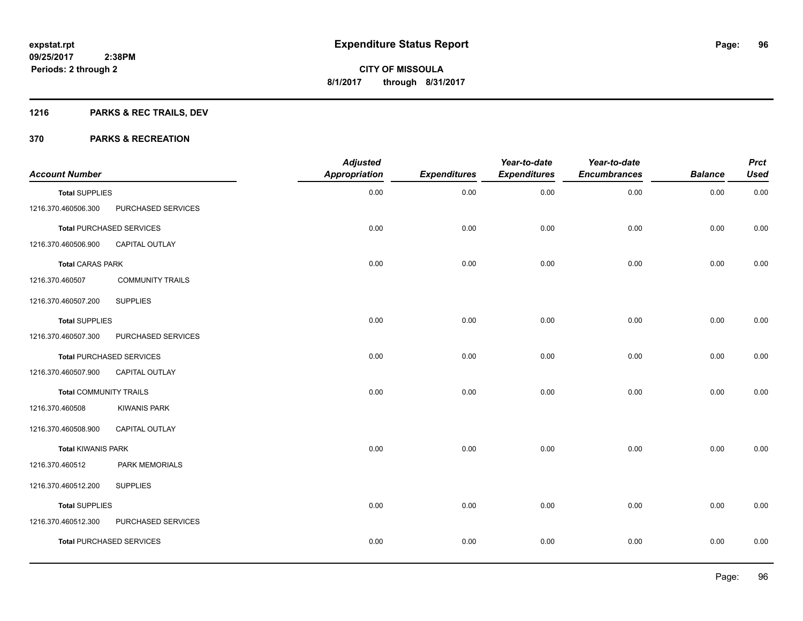# **1216 PARKS & REC TRAILS, DEV**

| <b>Account Number</b>         |                                 | <b>Adjusted</b><br><b>Appropriation</b> | <b>Expenditures</b> | Year-to-date<br><b>Expenditures</b> | Year-to-date<br><b>Encumbrances</b> | <b>Balance</b> | <b>Prct</b><br><b>Used</b> |
|-------------------------------|---------------------------------|-----------------------------------------|---------------------|-------------------------------------|-------------------------------------|----------------|----------------------------|
| <b>Total SUPPLIES</b>         |                                 | 0.00                                    | 0.00                | 0.00                                | 0.00                                | 0.00           | 0.00                       |
| 1216.370.460506.300           | PURCHASED SERVICES              |                                         |                     |                                     |                                     |                |                            |
|                               | <b>Total PURCHASED SERVICES</b> | 0.00                                    | 0.00                | 0.00                                | 0.00                                | 0.00           | 0.00                       |
| 1216.370.460506.900           | CAPITAL OUTLAY                  |                                         |                     |                                     |                                     |                |                            |
| <b>Total CARAS PARK</b>       |                                 | 0.00                                    | 0.00                | 0.00                                | 0.00                                | 0.00           | 0.00                       |
| 1216.370.460507               | <b>COMMUNITY TRAILS</b>         |                                         |                     |                                     |                                     |                |                            |
| 1216.370.460507.200           | <b>SUPPLIES</b>                 |                                         |                     |                                     |                                     |                |                            |
| <b>Total SUPPLIES</b>         |                                 | 0.00                                    | 0.00                | 0.00                                | 0.00                                | 0.00           | 0.00                       |
| 1216.370.460507.300           | PURCHASED SERVICES              |                                         |                     |                                     |                                     |                |                            |
|                               | <b>Total PURCHASED SERVICES</b> | 0.00                                    | 0.00                | 0.00                                | 0.00                                | 0.00           | 0.00                       |
| 1216.370.460507.900           | CAPITAL OUTLAY                  |                                         |                     |                                     |                                     |                |                            |
| <b>Total COMMUNITY TRAILS</b> |                                 | 0.00                                    | 0.00                | 0.00                                | 0.00                                | 0.00           | 0.00                       |
| 1216.370.460508               | <b>KIWANIS PARK</b>             |                                         |                     |                                     |                                     |                |                            |
| 1216.370.460508.900           | CAPITAL OUTLAY                  |                                         |                     |                                     |                                     |                |                            |
| <b>Total KIWANIS PARK</b>     |                                 | 0.00                                    | 0.00                | 0.00                                | 0.00                                | 0.00           | 0.00                       |
| 1216.370.460512               | <b>PARK MEMORIALS</b>           |                                         |                     |                                     |                                     |                |                            |
| 1216.370.460512.200           | <b>SUPPLIES</b>                 |                                         |                     |                                     |                                     |                |                            |
| <b>Total SUPPLIES</b>         |                                 | 0.00                                    | 0.00                | 0.00                                | 0.00                                | 0.00           | 0.00                       |
| 1216.370.460512.300           | PURCHASED SERVICES              |                                         |                     |                                     |                                     |                |                            |
|                               | <b>Total PURCHASED SERVICES</b> | 0.00                                    | 0.00                | 0.00                                | 0.00                                | 0.00           | 0.00                       |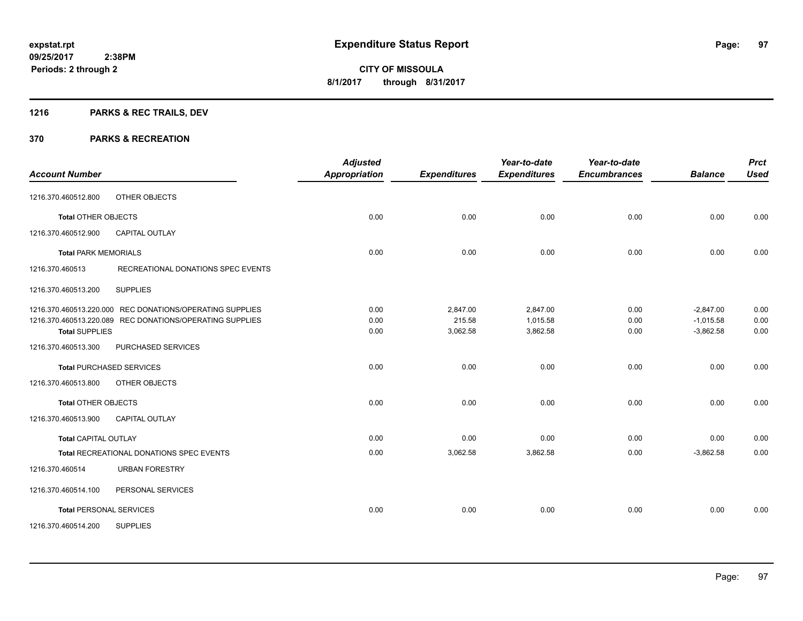# **1216 PARKS & REC TRAILS, DEV**

| <b>Account Number</b>           |                                                          | <b>Adjusted</b><br><b>Appropriation</b> | <b>Expenditures</b> | Year-to-date<br><b>Expenditures</b> | Year-to-date<br><b>Encumbrances</b> | <b>Balance</b> | <b>Prct</b><br><b>Used</b> |
|---------------------------------|----------------------------------------------------------|-----------------------------------------|---------------------|-------------------------------------|-------------------------------------|----------------|----------------------------|
|                                 |                                                          |                                         |                     |                                     |                                     |                |                            |
| 1216.370.460512.800             | OTHER OBJECTS                                            |                                         |                     |                                     |                                     |                |                            |
| <b>Total OTHER OBJECTS</b>      |                                                          | 0.00                                    | 0.00                | 0.00                                | 0.00                                | 0.00           | 0.00                       |
| 1216.370.460512.900             | <b>CAPITAL OUTLAY</b>                                    |                                         |                     |                                     |                                     |                |                            |
| <b>Total PARK MEMORIALS</b>     |                                                          | 0.00                                    | 0.00                | 0.00                                | 0.00                                | 0.00           | 0.00                       |
| 1216.370.460513                 | RECREATIONAL DONATIONS SPEC EVENTS                       |                                         |                     |                                     |                                     |                |                            |
| 1216.370.460513.200             | <b>SUPPLIES</b>                                          |                                         |                     |                                     |                                     |                |                            |
|                                 | 1216.370.460513.220.000 REC DONATIONS/OPERATING SUPPLIES | 0.00                                    | 2,847.00            | 2,847.00                            | 0.00                                | $-2,847.00$    | 0.00                       |
|                                 | 1216.370.460513.220.089 REC DONATIONS/OPERATING SUPPLIES | 0.00                                    | 215.58              | 1,015.58                            | 0.00                                | $-1,015.58$    | 0.00                       |
| <b>Total SUPPLIES</b>           |                                                          | 0.00                                    | 3,062.58            | 3,862.58                            | 0.00                                | $-3,862.58$    | 0.00                       |
| 1216.370.460513.300             | PURCHASED SERVICES                                       |                                         |                     |                                     |                                     |                |                            |
| <b>Total PURCHASED SERVICES</b> |                                                          | 0.00                                    | 0.00                | 0.00                                | 0.00                                | 0.00           | 0.00                       |
| 1216.370.460513.800             | OTHER OBJECTS                                            |                                         |                     |                                     |                                     |                |                            |
| <b>Total OTHER OBJECTS</b>      |                                                          | 0.00                                    | 0.00                | 0.00                                | 0.00                                | 0.00           | 0.00                       |
| 1216.370.460513.900             | <b>CAPITAL OUTLAY</b>                                    |                                         |                     |                                     |                                     |                |                            |
| <b>Total CAPITAL OUTLAY</b>     |                                                          | 0.00                                    | 0.00                | 0.00                                | 0.00                                | 0.00           | 0.00                       |
|                                 | Total RECREATIONAL DONATIONS SPEC EVENTS                 | 0.00                                    | 3,062.58            | 3,862.58                            | 0.00                                | $-3,862.58$    | 0.00                       |
| 1216.370.460514                 | <b>URBAN FORESTRY</b>                                    |                                         |                     |                                     |                                     |                |                            |
| 1216.370.460514.100             | PERSONAL SERVICES                                        |                                         |                     |                                     |                                     |                |                            |
| <b>Total PERSONAL SERVICES</b>  |                                                          | 0.00                                    | 0.00                | 0.00                                | 0.00                                | 0.00           | 0.00                       |
| 1216.370.460514.200             | <b>SUPPLIES</b>                                          |                                         |                     |                                     |                                     |                |                            |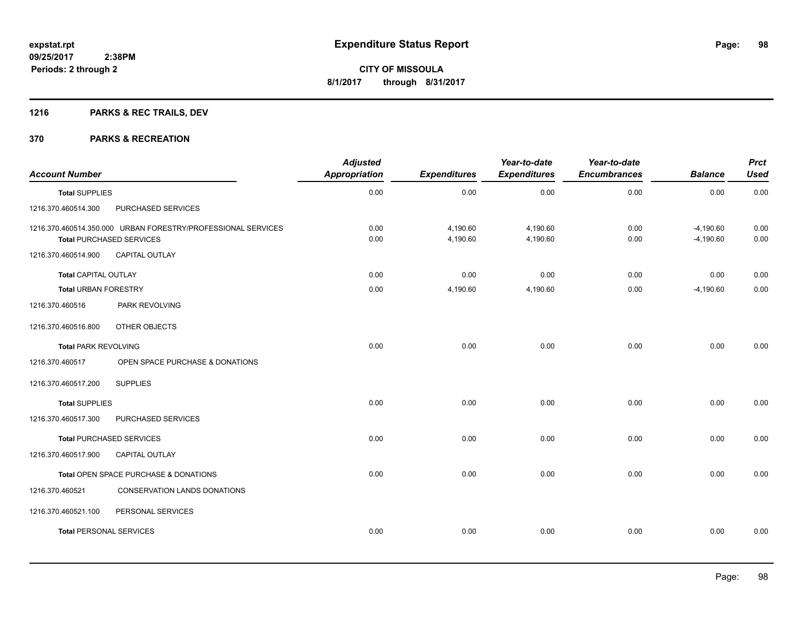# **1216 PARKS & REC TRAILS, DEV**

| <b>Account Number</b>          |                                                                                                 | <b>Adjusted</b><br><b>Appropriation</b> | <b>Expenditures</b>  | Year-to-date<br><b>Expenditures</b> | Year-to-date<br><b>Encumbrances</b> | <b>Balance</b>             | <b>Prct</b><br><b>Used</b> |
|--------------------------------|-------------------------------------------------------------------------------------------------|-----------------------------------------|----------------------|-------------------------------------|-------------------------------------|----------------------------|----------------------------|
| <b>Total SUPPLIES</b>          |                                                                                                 | 0.00                                    | 0.00                 | 0.00                                | 0.00                                | 0.00                       | 0.00                       |
| 1216.370.460514.300            | PURCHASED SERVICES                                                                              |                                         |                      |                                     |                                     |                            |                            |
|                                | 1216.370.460514.350.000 URBAN FORESTRY/PROFESSIONAL SERVICES<br><b>Total PURCHASED SERVICES</b> | 0.00<br>0.00                            | 4,190.60<br>4,190.60 | 4,190.60<br>4,190.60                | 0.00<br>0.00                        | $-4,190.60$<br>$-4,190.60$ | 0.00<br>0.00               |
| 1216.370.460514.900            | <b>CAPITAL OUTLAY</b>                                                                           |                                         |                      |                                     |                                     |                            |                            |
| <b>Total CAPITAL OUTLAY</b>    |                                                                                                 | 0.00                                    | 0.00                 | 0.00                                | 0.00                                | 0.00                       | 0.00                       |
| <b>Total URBAN FORESTRY</b>    |                                                                                                 | 0.00                                    | 4,190.60             | 4,190.60                            | 0.00                                | $-4,190.60$                | 0.00                       |
| 1216.370.460516                | PARK REVOLVING                                                                                  |                                         |                      |                                     |                                     |                            |                            |
| 1216.370.460516.800            | OTHER OBJECTS                                                                                   |                                         |                      |                                     |                                     |                            |                            |
| <b>Total PARK REVOLVING</b>    |                                                                                                 | 0.00                                    | 0.00                 | 0.00                                | 0.00                                | 0.00                       | 0.00                       |
| 1216.370.460517                | OPEN SPACE PURCHASE & DONATIONS                                                                 |                                         |                      |                                     |                                     |                            |                            |
| 1216.370.460517.200            | <b>SUPPLIES</b>                                                                                 |                                         |                      |                                     |                                     |                            |                            |
| <b>Total SUPPLIES</b>          |                                                                                                 | 0.00                                    | 0.00                 | 0.00                                | 0.00                                | 0.00                       | 0.00                       |
| 1216.370.460517.300            | PURCHASED SERVICES                                                                              |                                         |                      |                                     |                                     |                            |                            |
|                                | <b>Total PURCHASED SERVICES</b>                                                                 | 0.00                                    | 0.00                 | 0.00                                | 0.00                                | 0.00                       | 0.00                       |
| 1216.370.460517.900            | <b>CAPITAL OUTLAY</b>                                                                           |                                         |                      |                                     |                                     |                            |                            |
|                                | Total OPEN SPACE PURCHASE & DONATIONS                                                           | 0.00                                    | 0.00                 | 0.00                                | 0.00                                | 0.00                       | 0.00                       |
| 1216.370.460521                | <b>CONSERVATION LANDS DONATIONS</b>                                                             |                                         |                      |                                     |                                     |                            |                            |
| 1216.370.460521.100            | PERSONAL SERVICES                                                                               |                                         |                      |                                     |                                     |                            |                            |
| <b>Total PERSONAL SERVICES</b> |                                                                                                 | 0.00                                    | 0.00                 | 0.00                                | 0.00                                | 0.00                       | 0.00                       |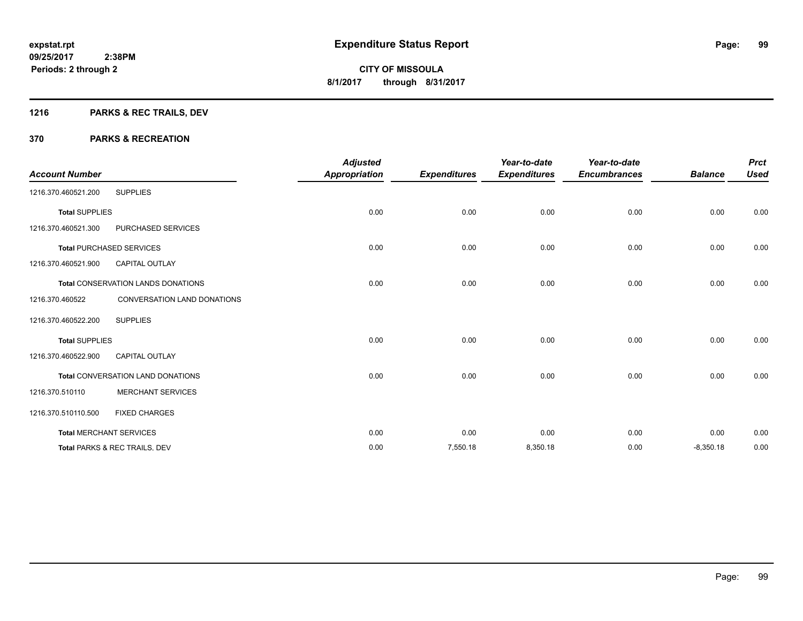# **1216 PARKS & REC TRAILS, DEV**

| <b>Account Number</b> |                                           | <b>Adjusted</b><br><b>Appropriation</b> | <b>Expenditures</b> | Year-to-date<br><b>Expenditures</b> | Year-to-date<br><b>Encumbrances</b> | <b>Balance</b> | <b>Prct</b><br><b>Used</b> |
|-----------------------|-------------------------------------------|-----------------------------------------|---------------------|-------------------------------------|-------------------------------------|----------------|----------------------------|
| 1216.370.460521.200   | <b>SUPPLIES</b>                           |                                         |                     |                                     |                                     |                |                            |
| <b>Total SUPPLIES</b> |                                           | 0.00                                    | 0.00                | 0.00                                | 0.00                                | 0.00           | 0.00                       |
| 1216.370.460521.300   | PURCHASED SERVICES                        |                                         |                     |                                     |                                     |                |                            |
|                       | <b>Total PURCHASED SERVICES</b>           | 0.00                                    | 0.00                | 0.00                                | 0.00                                | 0.00           | 0.00                       |
| 1216.370.460521.900   | <b>CAPITAL OUTLAY</b>                     |                                         |                     |                                     |                                     |                |                            |
|                       | <b>Total CONSERVATION LANDS DONATIONS</b> | 0.00                                    | 0.00                | 0.00                                | 0.00                                | 0.00           | 0.00                       |
| 1216.370.460522       | CONVERSATION LAND DONATIONS               |                                         |                     |                                     |                                     |                |                            |
| 1216.370.460522.200   | <b>SUPPLIES</b>                           |                                         |                     |                                     |                                     |                |                            |
| <b>Total SUPPLIES</b> |                                           | 0.00                                    | 0.00                | 0.00                                | 0.00                                | 0.00           | 0.00                       |
| 1216.370.460522.900   | <b>CAPITAL OUTLAY</b>                     |                                         |                     |                                     |                                     |                |                            |
|                       | Total CONVERSATION LAND DONATIONS         | 0.00                                    | 0.00                | 0.00                                | 0.00                                | 0.00           | 0.00                       |
| 1216.370.510110       | <b>MERCHANT SERVICES</b>                  |                                         |                     |                                     |                                     |                |                            |
| 1216.370.510110.500   | <b>FIXED CHARGES</b>                      |                                         |                     |                                     |                                     |                |                            |
|                       | <b>Total MERCHANT SERVICES</b>            | 0.00                                    | 0.00                | 0.00                                | 0.00                                | 0.00           | 0.00                       |
|                       | Total PARKS & REC TRAILS, DEV             | 0.00                                    | 7,550.18            | 8,350.18                            | 0.00                                | $-8,350.18$    | 0.00                       |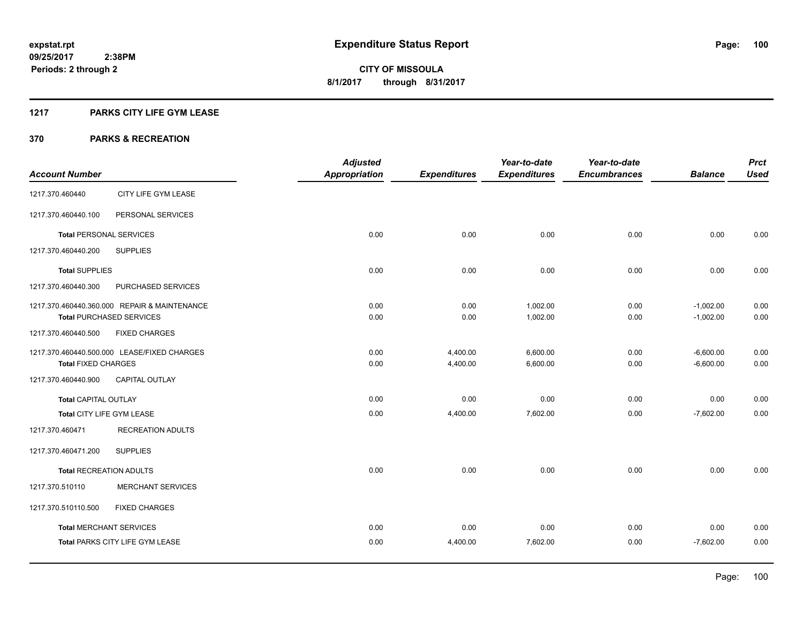# **1217 PARKS CITY LIFE GYM LEASE**

|                                |                                              | <b>Adjusted</b>      |                     | Year-to-date        | Year-to-date        |                | <b>Prct</b> |
|--------------------------------|----------------------------------------------|----------------------|---------------------|---------------------|---------------------|----------------|-------------|
| <b>Account Number</b>          |                                              | <b>Appropriation</b> | <b>Expenditures</b> | <b>Expenditures</b> | <b>Encumbrances</b> | <b>Balance</b> | <b>Used</b> |
| 1217.370.460440                | CITY LIFE GYM LEASE                          |                      |                     |                     |                     |                |             |
| 1217.370.460440.100            | PERSONAL SERVICES                            |                      |                     |                     |                     |                |             |
| <b>Total PERSONAL SERVICES</b> |                                              | 0.00                 | 0.00                | 0.00                | 0.00                | 0.00           | 0.00        |
| 1217.370.460440.200            | <b>SUPPLIES</b>                              |                      |                     |                     |                     |                |             |
| <b>Total SUPPLIES</b>          |                                              | 0.00                 | 0.00                | 0.00                | 0.00                | 0.00           | 0.00        |
| 1217.370.460440.300            | PURCHASED SERVICES                           |                      |                     |                     |                     |                |             |
|                                | 1217.370.460440.360.000 REPAIR & MAINTENANCE | 0.00                 | 0.00                | 1,002.00            | 0.00                | $-1,002.00$    | 0.00        |
|                                | <b>Total PURCHASED SERVICES</b>              | 0.00                 | 0.00                | 1,002.00            | 0.00                | $-1,002.00$    | 0.00        |
| 1217.370.460440.500            | <b>FIXED CHARGES</b>                         |                      |                     |                     |                     |                |             |
|                                | 1217.370.460440.500.000 LEASE/FIXED CHARGES  | 0.00                 | 4,400.00            | 6,600.00            | 0.00                | $-6,600.00$    | 0.00        |
| <b>Total FIXED CHARGES</b>     |                                              | 0.00                 | 4,400.00            | 6,600.00            | 0.00                | $-6,600.00$    | 0.00        |
| 1217.370.460440.900            | CAPITAL OUTLAY                               |                      |                     |                     |                     |                |             |
| <b>Total CAPITAL OUTLAY</b>    |                                              | 0.00                 | 0.00                | 0.00                | 0.00                | 0.00           | 0.00        |
| Total CITY LIFE GYM LEASE      |                                              | 0.00                 | 4,400.00            | 7,602.00            | 0.00                | $-7,602.00$    | 0.00        |
| 1217.370.460471                | <b>RECREATION ADULTS</b>                     |                      |                     |                     |                     |                |             |
| 1217.370.460471.200            | <b>SUPPLIES</b>                              |                      |                     |                     |                     |                |             |
| <b>Total RECREATION ADULTS</b> |                                              | 0.00                 | 0.00                | 0.00                | 0.00                | 0.00           | 0.00        |
| 1217.370.510110                | <b>MERCHANT SERVICES</b>                     |                      |                     |                     |                     |                |             |
| 1217.370.510110.500            | <b>FIXED CHARGES</b>                         |                      |                     |                     |                     |                |             |
| <b>Total MERCHANT SERVICES</b> |                                              | 0.00                 | 0.00                | 0.00                | 0.00                | 0.00           | 0.00        |
|                                | Total PARKS CITY LIFE GYM LEASE              | 0.00                 | 4,400.00            | 7,602.00            | 0.00                | $-7,602.00$    | 0.00        |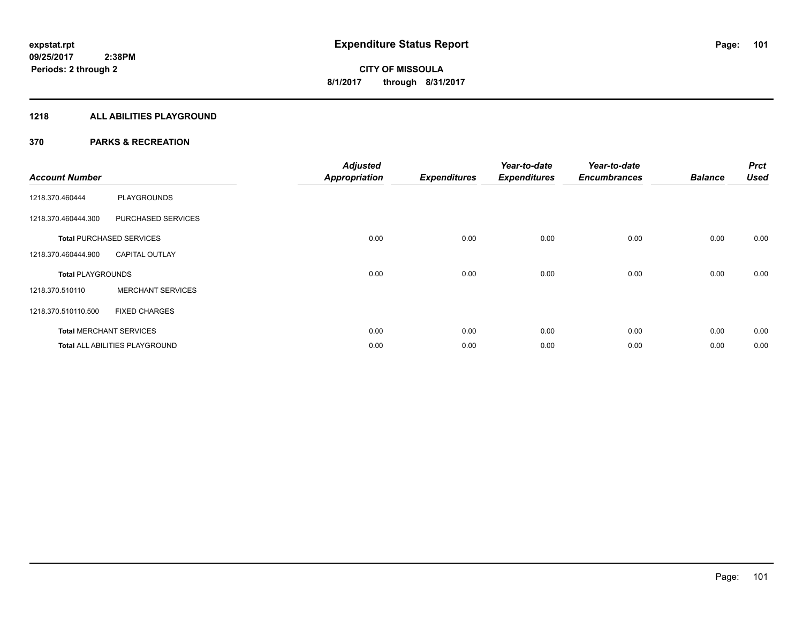# **1218 ALL ABILITIES PLAYGROUND**

| <b>Account Number</b>    |                                       | <b>Adjusted</b><br><b>Appropriation</b> | <b>Expenditures</b> | Year-to-date<br><b>Expenditures</b> | Year-to-date<br><b>Encumbrances</b> | <b>Balance</b> | <b>Prct</b><br><b>Used</b> |
|--------------------------|---------------------------------------|-----------------------------------------|---------------------|-------------------------------------|-------------------------------------|----------------|----------------------------|
| 1218.370.460444          | <b>PLAYGROUNDS</b>                    |                                         |                     |                                     |                                     |                |                            |
| 1218.370.460444.300      | PURCHASED SERVICES                    |                                         |                     |                                     |                                     |                |                            |
|                          | <b>Total PURCHASED SERVICES</b>       | 0.00                                    | 0.00                | 0.00                                | 0.00                                | 0.00           | 0.00                       |
| 1218.370.460444.900      | <b>CAPITAL OUTLAY</b>                 |                                         |                     |                                     |                                     |                |                            |
| <b>Total PLAYGROUNDS</b> |                                       | 0.00                                    | 0.00                | 0.00                                | 0.00                                | 0.00           | 0.00                       |
| 1218.370.510110          | <b>MERCHANT SERVICES</b>              |                                         |                     |                                     |                                     |                |                            |
| 1218.370.510110.500      | <b>FIXED CHARGES</b>                  |                                         |                     |                                     |                                     |                |                            |
|                          | <b>Total MERCHANT SERVICES</b>        | 0.00                                    | 0.00                | 0.00                                | 0.00                                | 0.00           | 0.00                       |
|                          | <b>Total ALL ABILITIES PLAYGROUND</b> | 0.00                                    | 0.00                | 0.00                                | 0.00                                | 0.00           | 0.00                       |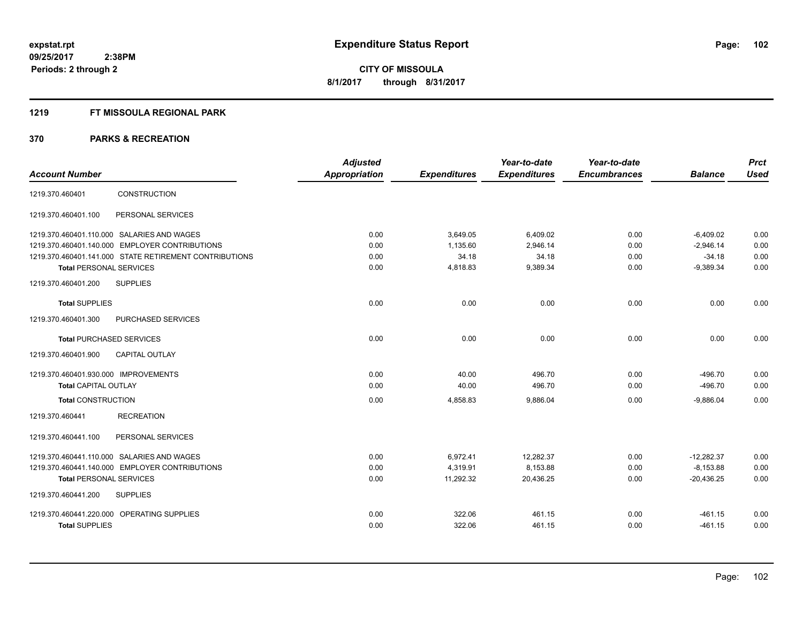# **1219 FT MISSOULA REGIONAL PARK**

|                                      |                                                        | <b>Adjusted</b>      |                     | Year-to-date        | Year-to-date        |                | <b>Prct</b> |
|--------------------------------------|--------------------------------------------------------|----------------------|---------------------|---------------------|---------------------|----------------|-------------|
| <b>Account Number</b>                |                                                        | <b>Appropriation</b> | <b>Expenditures</b> | <b>Expenditures</b> | <b>Encumbrances</b> | <b>Balance</b> | <b>Used</b> |
| 1219.370.460401                      | CONSTRUCTION                                           |                      |                     |                     |                     |                |             |
| 1219.370.460401.100                  | PERSONAL SERVICES                                      |                      |                     |                     |                     |                |             |
|                                      | 1219.370.460401.110.000 SALARIES AND WAGES             | 0.00                 | 3.649.05            | 6,409.02            | 0.00                | $-6,409.02$    | 0.00        |
|                                      | 1219.370.460401.140.000 EMPLOYER CONTRIBUTIONS         | 0.00                 | 1,135.60            | 2,946.14            | 0.00                | $-2,946.14$    | 0.00        |
|                                      | 1219.370.460401.141.000 STATE RETIREMENT CONTRIBUTIONS | 0.00                 | 34.18               | 34.18               | 0.00                | $-34.18$       | 0.00        |
| <b>Total PERSONAL SERVICES</b>       |                                                        | 0.00                 | 4,818.83            | 9,389.34            | 0.00                | $-9,389.34$    | 0.00        |
| 1219.370.460401.200                  | <b>SUPPLIES</b>                                        |                      |                     |                     |                     |                |             |
| <b>Total SUPPLIES</b>                |                                                        | 0.00                 | 0.00                | 0.00                | 0.00                | 0.00           | 0.00        |
| 1219.370.460401.300                  | PURCHASED SERVICES                                     |                      |                     |                     |                     |                |             |
| <b>Total PURCHASED SERVICES</b>      |                                                        | 0.00                 | 0.00                | 0.00                | 0.00                | 0.00           | 0.00        |
| 1219.370.460401.900                  | <b>CAPITAL OUTLAY</b>                                  |                      |                     |                     |                     |                |             |
| 1219.370.460401.930.000 IMPROVEMENTS |                                                        | 0.00                 | 40.00               | 496.70              | 0.00                | $-496.70$      | 0.00        |
| <b>Total CAPITAL OUTLAY</b>          |                                                        | 0.00                 | 40.00               | 496.70              | 0.00                | $-496.70$      | 0.00        |
| <b>Total CONSTRUCTION</b>            |                                                        | 0.00                 | 4,858.83            | 9,886.04            | 0.00                | $-9,886.04$    | 0.00        |
| 1219.370.460441                      | <b>RECREATION</b>                                      |                      |                     |                     |                     |                |             |
| 1219.370.460441.100                  | PERSONAL SERVICES                                      |                      |                     |                     |                     |                |             |
|                                      | 1219.370.460441.110.000 SALARIES AND WAGES             | 0.00                 | 6,972.41            | 12,282.37           | 0.00                | $-12.282.37$   | 0.00        |
|                                      | 1219.370.460441.140.000 EMPLOYER CONTRIBUTIONS         | 0.00                 | 4,319.91            | 8,153.88            | 0.00                | $-8.153.88$    | 0.00        |
| <b>Total PERSONAL SERVICES</b>       |                                                        | 0.00                 | 11,292.32           | 20,436.25           | 0.00                | $-20,436.25$   | 0.00        |
| 1219.370.460441.200                  | <b>SUPPLIES</b>                                        |                      |                     |                     |                     |                |             |
|                                      | 1219.370.460441.220.000 OPERATING SUPPLIES             | 0.00                 | 322.06              | 461.15              | 0.00                | $-461.15$      | 0.00        |
| <b>Total SUPPLIES</b>                |                                                        | 0.00                 | 322.06              | 461.15              | 0.00                | $-461.15$      | 0.00        |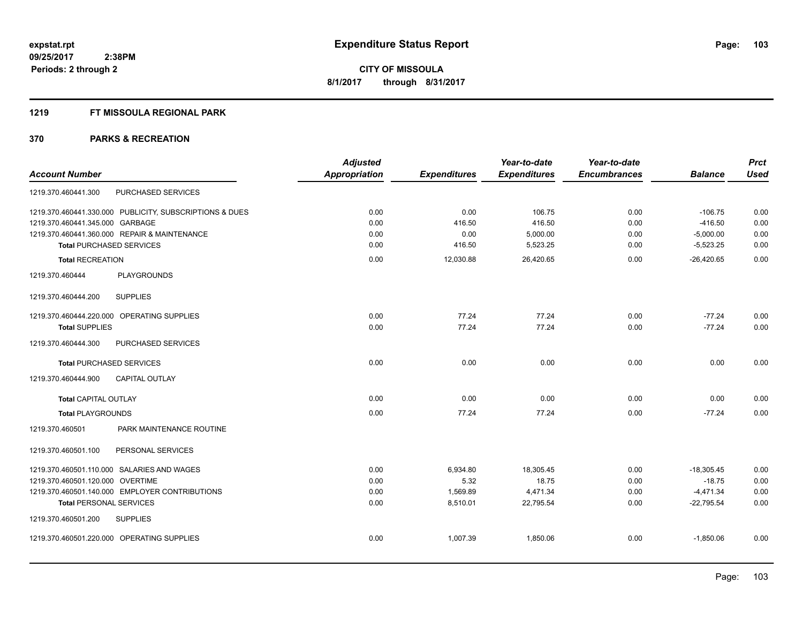#### **1219 FT MISSOULA REGIONAL PARK**

| <b>Adjusted</b>      |                      | Year-to-date               | Year-to-date                      |                      | <b>Prct</b>                                |
|----------------------|----------------------|----------------------------|-----------------------------------|----------------------|--------------------------------------------|
| <b>Appropriation</b> | <b>Expenditures</b>  | <b>Expenditures</b>        | <b>Encumbrances</b>               | <b>Balance</b>       | <b>Used</b>                                |
|                      |                      |                            |                                   |                      |                                            |
| 0.00                 | 0.00                 | 106.75                     | 0.00                              | $-106.75$            | 0.00                                       |
| 0.00                 | 416.50               | 416.50                     | 0.00                              | $-416.50$            | 0.00                                       |
|                      |                      |                            |                                   |                      | 0.00                                       |
|                      |                      |                            |                                   |                      | 0.00                                       |
| 0.00                 | 12,030.88            | 26,420.65                  | 0.00                              | $-26,420.65$         | 0.00                                       |
|                      |                      |                            |                                   |                      |                                            |
|                      |                      |                            |                                   |                      |                                            |
| 0.00                 | 77.24                | 77.24                      | 0.00                              | $-77.24$             | 0.00                                       |
| 0.00                 | 77.24                | 77.24                      | 0.00                              | $-77.24$             | 0.00                                       |
|                      |                      |                            |                                   |                      |                                            |
| 0.00                 | 0.00                 | 0.00                       | 0.00                              | 0.00                 | 0.00                                       |
|                      |                      |                            |                                   |                      |                                            |
| 0.00                 | 0.00                 | 0.00                       | 0.00                              | 0.00                 | 0.00                                       |
| 0.00                 | 77.24                | 77.24                      | 0.00                              | $-77.24$             | 0.00                                       |
|                      |                      |                            |                                   |                      |                                            |
|                      |                      |                            |                                   |                      |                                            |
| 0.00                 | 6,934.80             | 18,305.45                  | 0.00                              | $-18,305.45$         | 0.00                                       |
| 0.00                 | 5.32                 | 18.75                      | 0.00                              | $-18.75$             | 0.00                                       |
| 0.00                 | 1,569.89             | 4,471.34                   | 0.00                              | $-4,471.34$          | 0.00                                       |
|                      |                      |                            |                                   |                      | 0.00                                       |
|                      |                      |                            |                                   |                      |                                            |
| 0.00                 | 1,007.39             | 1,850.06                   | 0.00                              | $-1,850.06$          | 0.00                                       |
|                      | 0.00<br>0.00<br>0.00 | 0.00<br>416.50<br>8,510.01 | 5,000.00<br>5,523.25<br>22,795.54 | 0.00<br>0.00<br>0.00 | $-5,000.00$<br>$-5,523.25$<br>$-22,795.54$ |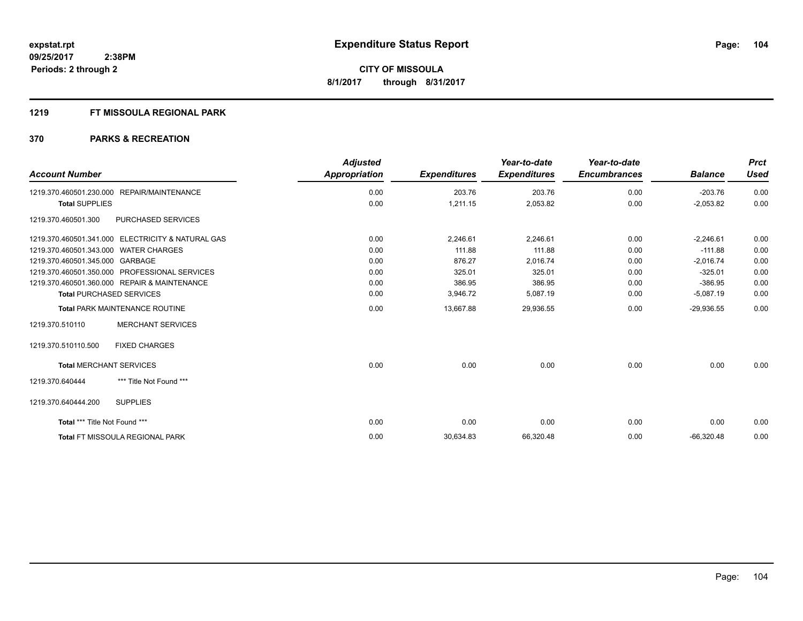# **1219 FT MISSOULA REGIONAL PARK**

| <b>Account Number</b>                             | <b>Adjusted</b><br><b>Appropriation</b> | <b>Expenditures</b> | Year-to-date<br><b>Expenditures</b> | Year-to-date<br><b>Encumbrances</b> | <b>Balance</b> | <b>Prct</b><br><b>Used</b> |
|---------------------------------------------------|-----------------------------------------|---------------------|-------------------------------------|-------------------------------------|----------------|----------------------------|
|                                                   |                                         |                     |                                     |                                     |                |                            |
| 1219.370.460501.230.000 REPAIR/MAINTENANCE        | 0.00                                    | 203.76              | 203.76                              | 0.00                                | $-203.76$      | 0.00                       |
| <b>Total SUPPLIES</b>                             | 0.00                                    | 1,211.15            | 2,053.82                            | 0.00                                | $-2,053.82$    | 0.00                       |
| 1219.370.460501.300<br><b>PURCHASED SERVICES</b>  |                                         |                     |                                     |                                     |                |                            |
| 1219.370.460501.341.000 ELECTRICITY & NATURAL GAS | 0.00                                    | 2.246.61            | 2.246.61                            | 0.00                                | $-2,246.61$    | 0.00                       |
| 1219.370.460501.343.000 WATER CHARGES             | 0.00                                    | 111.88              | 111.88                              | 0.00                                | $-111.88$      | 0.00                       |
| 1219.370.460501.345.000 GARBAGE                   | 0.00                                    | 876.27              | 2,016.74                            | 0.00                                | $-2,016.74$    | 0.00                       |
| 1219.370.460501.350.000 PROFESSIONAL SERVICES     | 0.00                                    | 325.01              | 325.01                              | 0.00                                | $-325.01$      | 0.00                       |
| 1219.370.460501.360.000 REPAIR & MAINTENANCE      | 0.00                                    | 386.95              | 386.95                              | 0.00                                | $-386.95$      | 0.00                       |
| <b>Total PURCHASED SERVICES</b>                   | 0.00                                    | 3,946.72            | 5,087.19                            | 0.00                                | $-5,087.19$    | 0.00                       |
| <b>Total PARK MAINTENANCE ROUTINE</b>             | 0.00                                    | 13,667.88           | 29,936.55                           | 0.00                                | $-29,936.55$   | 0.00                       |
| <b>MERCHANT SERVICES</b><br>1219.370.510110       |                                         |                     |                                     |                                     |                |                            |
| 1219.370.510110.500<br><b>FIXED CHARGES</b>       |                                         |                     |                                     |                                     |                |                            |
| <b>Total MERCHANT SERVICES</b>                    | 0.00                                    | 0.00                | 0.00                                | 0.00                                | 0.00           | 0.00                       |
| *** Title Not Found ***<br>1219.370.640444        |                                         |                     |                                     |                                     |                |                            |
| <b>SUPPLIES</b><br>1219.370.640444.200            |                                         |                     |                                     |                                     |                |                            |
| Total *** Title Not Found ***                     | 0.00                                    | 0.00                | 0.00                                | 0.00                                | 0.00           | 0.00                       |
| <b>Total FT MISSOULA REGIONAL PARK</b>            | 0.00                                    | 30,634.83           | 66,320.48                           | 0.00                                | $-66,320.48$   | 0.00                       |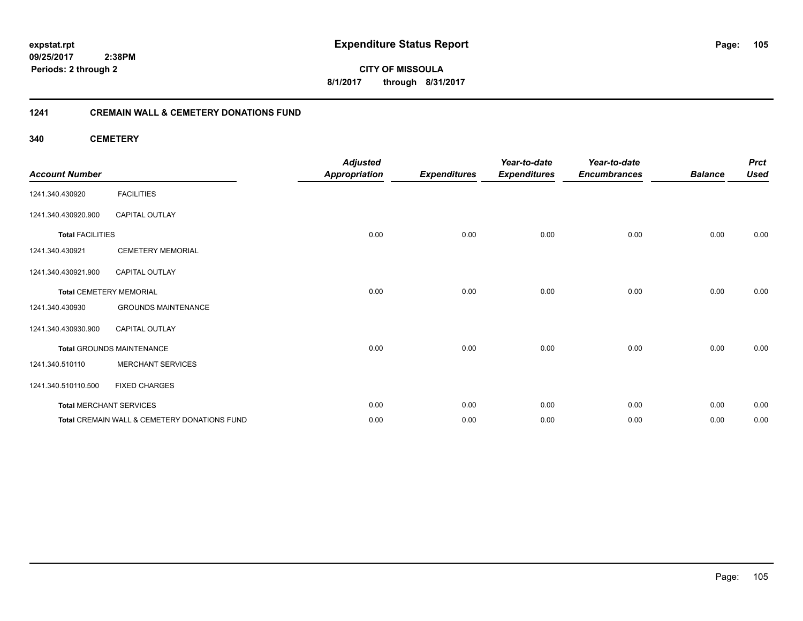**105**

**09/25/2017 2:38PM Periods: 2 through 2**

**CITY OF MISSOULA 8/1/2017 through 8/31/2017**

# **1241 CREMAIN WALL & CEMETERY DONATIONS FUND**

**340 CEMETERY**

| <b>Account Number</b>   |                                              | <b>Adjusted</b><br><b>Appropriation</b> | <b>Expenditures</b> | Year-to-date<br><b>Expenditures</b> | Year-to-date<br><b>Encumbrances</b> | <b>Balance</b> | <b>Prct</b><br><b>Used</b> |
|-------------------------|----------------------------------------------|-----------------------------------------|---------------------|-------------------------------------|-------------------------------------|----------------|----------------------------|
| 1241.340.430920         | <b>FACILITIES</b>                            |                                         |                     |                                     |                                     |                |                            |
| 1241.340.430920.900     | <b>CAPITAL OUTLAY</b>                        |                                         |                     |                                     |                                     |                |                            |
| <b>Total FACILITIES</b> |                                              | 0.00                                    | 0.00                | 0.00                                | 0.00                                | 0.00           | 0.00                       |
| 1241.340.430921         | <b>CEMETERY MEMORIAL</b>                     |                                         |                     |                                     |                                     |                |                            |
| 1241.340.430921.900     | <b>CAPITAL OUTLAY</b>                        |                                         |                     |                                     |                                     |                |                            |
|                         | <b>Total CEMETERY MEMORIAL</b>               | 0.00                                    | 0.00                | 0.00                                | 0.00                                | 0.00           | 0.00                       |
| 1241.340.430930         | <b>GROUNDS MAINTENANCE</b>                   |                                         |                     |                                     |                                     |                |                            |
| 1241.340.430930.900     | CAPITAL OUTLAY                               |                                         |                     |                                     |                                     |                |                            |
|                         | <b>Total GROUNDS MAINTENANCE</b>             | 0.00                                    | 0.00                | 0.00                                | 0.00                                | 0.00           | 0.00                       |
| 1241.340.510110         | <b>MERCHANT SERVICES</b>                     |                                         |                     |                                     |                                     |                |                            |
| 1241.340.510110.500     | <b>FIXED CHARGES</b>                         |                                         |                     |                                     |                                     |                |                            |
|                         | <b>Total MERCHANT SERVICES</b>               | 0.00                                    | 0.00                | 0.00                                | 0.00                                | 0.00           | 0.00                       |
|                         | Total CREMAIN WALL & CEMETERY DONATIONS FUND | 0.00                                    | 0.00                | 0.00                                | 0.00                                | 0.00           | 0.00                       |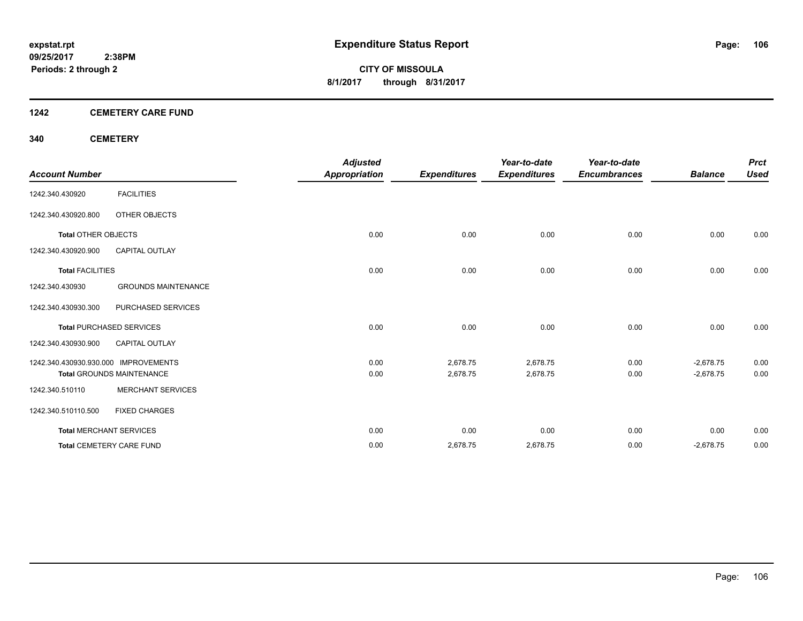# **1242 CEMETERY CARE FUND**

# **340 CEMETERY**

|                                      |                                  | <b>Adjusted</b>      |                     | Year-to-date        | Year-to-date        |                | <b>Prct</b> |
|--------------------------------------|----------------------------------|----------------------|---------------------|---------------------|---------------------|----------------|-------------|
| <b>Account Number</b>                |                                  | <b>Appropriation</b> | <b>Expenditures</b> | <b>Expenditures</b> | <b>Encumbrances</b> | <b>Balance</b> | <b>Used</b> |
| 1242.340.430920                      | <b>FACILITIES</b>                |                      |                     |                     |                     |                |             |
| 1242.340.430920.800                  | OTHER OBJECTS                    |                      |                     |                     |                     |                |             |
| <b>Total OTHER OBJECTS</b>           |                                  | 0.00                 | 0.00                | 0.00                | 0.00                | 0.00           | 0.00        |
| 1242.340.430920.900                  | <b>CAPITAL OUTLAY</b>            |                      |                     |                     |                     |                |             |
| <b>Total FACILITIES</b>              |                                  | 0.00                 | 0.00                | 0.00                | 0.00                | 0.00           | 0.00        |
| 1242.340.430930                      | <b>GROUNDS MAINTENANCE</b>       |                      |                     |                     |                     |                |             |
| 1242.340.430930.300                  | PURCHASED SERVICES               |                      |                     |                     |                     |                |             |
|                                      | <b>Total PURCHASED SERVICES</b>  | 0.00                 | 0.00                | 0.00                | 0.00                | 0.00           | 0.00        |
| 1242.340.430930.900                  | <b>CAPITAL OUTLAY</b>            |                      |                     |                     |                     |                |             |
| 1242.340.430930.930.000 IMPROVEMENTS |                                  | 0.00                 | 2,678.75            | 2,678.75            | 0.00                | $-2,678.75$    | 0.00        |
|                                      | <b>Total GROUNDS MAINTENANCE</b> | 0.00                 | 2,678.75            | 2,678.75            | 0.00                | $-2,678.75$    | 0.00        |
| 1242.340.510110                      | <b>MERCHANT SERVICES</b>         |                      |                     |                     |                     |                |             |
| 1242.340.510110.500                  | <b>FIXED CHARGES</b>             |                      |                     |                     |                     |                |             |
|                                      | <b>Total MERCHANT SERVICES</b>   | 0.00                 | 0.00                | 0.00                | 0.00                | 0.00           | 0.00        |
|                                      | <b>Total CEMETERY CARE FUND</b>  | 0.00                 | 2,678.75            | 2,678.75            | 0.00                | $-2,678.75$    | 0.00        |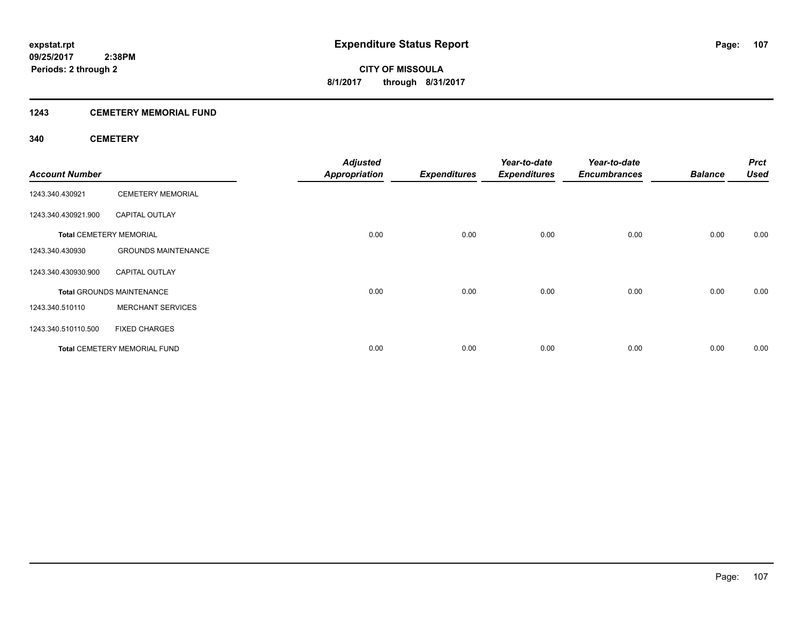# **1243 CEMETERY MEMORIAL FUND**

# **340 CEMETERY**

| <b>Account Number</b> |                                     | <b>Adjusted</b><br><b>Appropriation</b> | <b>Expenditures</b> | Year-to-date<br><b>Expenditures</b> | Year-to-date<br><b>Encumbrances</b> | <b>Balance</b> | <b>Prct</b><br><b>Used</b> |
|-----------------------|-------------------------------------|-----------------------------------------|---------------------|-------------------------------------|-------------------------------------|----------------|----------------------------|
| 1243.340.430921       | <b>CEMETERY MEMORIAL</b>            |                                         |                     |                                     |                                     |                |                            |
| 1243.340.430921.900   | <b>CAPITAL OUTLAY</b>               |                                         |                     |                                     |                                     |                |                            |
|                       | <b>Total CEMETERY MEMORIAL</b>      | 0.00                                    | 0.00                | 0.00                                | 0.00                                | 0.00           | 0.00                       |
| 1243.340.430930       | <b>GROUNDS MAINTENANCE</b>          |                                         |                     |                                     |                                     |                |                            |
| 1243.340.430930.900   | <b>CAPITAL OUTLAY</b>               |                                         |                     |                                     |                                     |                |                            |
|                       | <b>Total GROUNDS MAINTENANCE</b>    | 0.00                                    | 0.00                | 0.00                                | 0.00                                | 0.00           | 0.00                       |
| 1243.340.510110       | <b>MERCHANT SERVICES</b>            |                                         |                     |                                     |                                     |                |                            |
| 1243.340.510110.500   | <b>FIXED CHARGES</b>                |                                         |                     |                                     |                                     |                |                            |
|                       | <b>Total CEMETERY MEMORIAL FUND</b> | 0.00                                    | 0.00                | 0.00                                | 0.00                                | 0.00           | 0.00                       |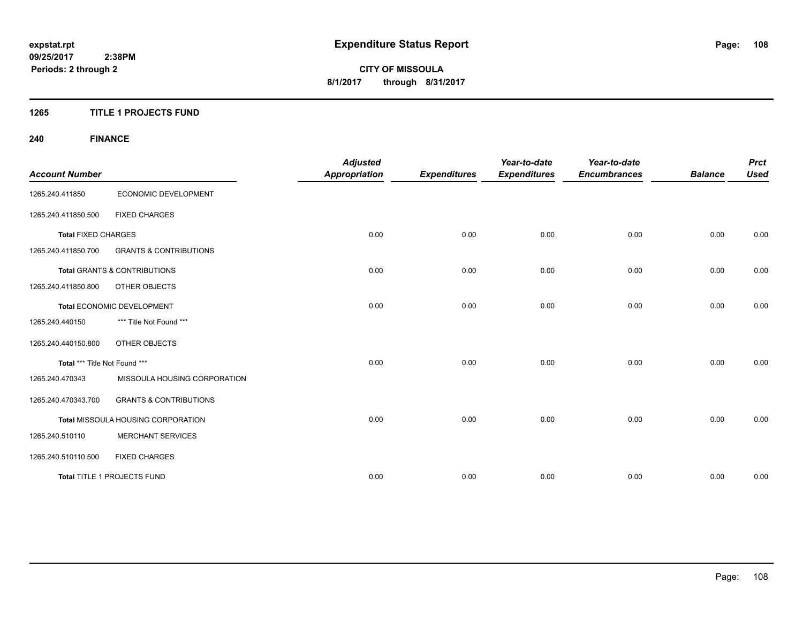# **1265 TITLE 1 PROJECTS FUND**

# **240 FINANCE**

| <b>Account Number</b>         |                                           | <b>Adjusted</b><br><b>Appropriation</b> | <b>Expenditures</b> | Year-to-date<br><b>Expenditures</b> | Year-to-date<br><b>Encumbrances</b> | <b>Balance</b> | <b>Prct</b><br><b>Used</b> |
|-------------------------------|-------------------------------------------|-----------------------------------------|---------------------|-------------------------------------|-------------------------------------|----------------|----------------------------|
| 1265.240.411850               | ECONOMIC DEVELOPMENT                      |                                         |                     |                                     |                                     |                |                            |
| 1265.240.411850.500           | <b>FIXED CHARGES</b>                      |                                         |                     |                                     |                                     |                |                            |
| <b>Total FIXED CHARGES</b>    |                                           | 0.00                                    | 0.00                | 0.00                                | 0.00                                | 0.00           | 0.00                       |
| 1265.240.411850.700           | <b>GRANTS &amp; CONTRIBUTIONS</b>         |                                         |                     |                                     |                                     |                |                            |
|                               | <b>Total GRANTS &amp; CONTRIBUTIONS</b>   | 0.00                                    | 0.00                | 0.00                                | 0.00                                | 0.00           | 0.00                       |
| 1265.240.411850.800           | <b>OTHER OBJECTS</b>                      |                                         |                     |                                     |                                     |                |                            |
|                               | Total ECONOMIC DEVELOPMENT                | 0.00                                    | 0.00                | 0.00                                | 0.00                                | 0.00           | 0.00                       |
| 1265.240.440150               | *** Title Not Found ***                   |                                         |                     |                                     |                                     |                |                            |
| 1265.240.440150.800           | OTHER OBJECTS                             |                                         |                     |                                     |                                     |                |                            |
| Total *** Title Not Found *** |                                           | 0.00                                    | 0.00                | 0.00                                | 0.00                                | 0.00           | 0.00                       |
| 1265.240.470343               | MISSOULA HOUSING CORPORATION              |                                         |                     |                                     |                                     |                |                            |
| 1265.240.470343.700           | <b>GRANTS &amp; CONTRIBUTIONS</b>         |                                         |                     |                                     |                                     |                |                            |
|                               | <b>Total MISSOULA HOUSING CORPORATION</b> | 0.00                                    | 0.00                | 0.00                                | 0.00                                | 0.00           | 0.00                       |
| 1265.240.510110               | <b>MERCHANT SERVICES</b>                  |                                         |                     |                                     |                                     |                |                            |
| 1265.240.510110.500           | <b>FIXED CHARGES</b>                      |                                         |                     |                                     |                                     |                |                            |
|                               | Total TITLE 1 PROJECTS FUND               | 0.00                                    | 0.00                | 0.00                                | 0.00                                | 0.00           | 0.00                       |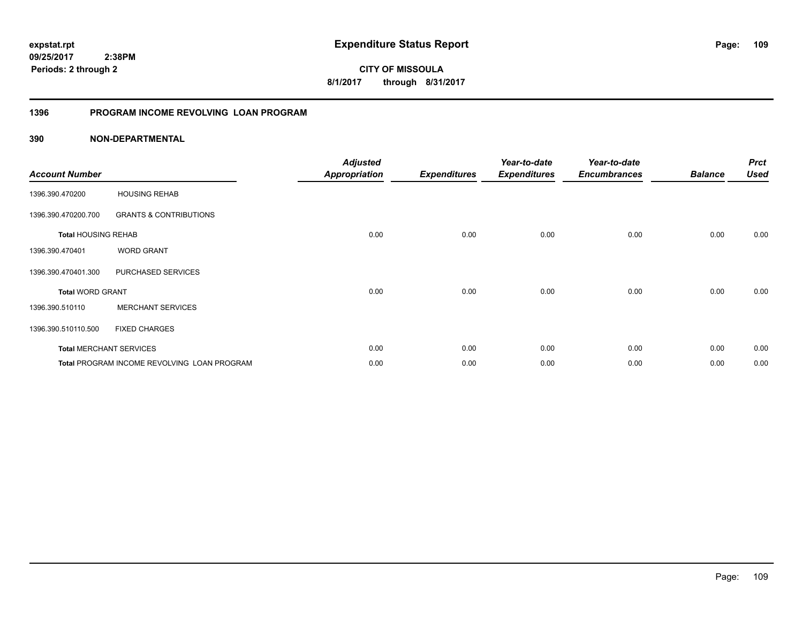**CITY OF MISSOULA 8/1/2017 through 8/31/2017**

## **1396 PROGRAM INCOME REVOLVING LOAN PROGRAM**

| <b>Account Number</b>      |                                                    | <b>Adjusted</b><br><b>Appropriation</b> | <b>Expenditures</b> | Year-to-date<br><b>Expenditures</b> | Year-to-date<br><b>Encumbrances</b> | <b>Balance</b> | <b>Prct</b><br><b>Used</b> |
|----------------------------|----------------------------------------------------|-----------------------------------------|---------------------|-------------------------------------|-------------------------------------|----------------|----------------------------|
| 1396.390.470200            | <b>HOUSING REHAB</b>                               |                                         |                     |                                     |                                     |                |                            |
| 1396.390.470200.700        | <b>GRANTS &amp; CONTRIBUTIONS</b>                  |                                         |                     |                                     |                                     |                |                            |
| <b>Total HOUSING REHAB</b> |                                                    | 0.00                                    | 0.00                | 0.00                                | 0.00                                | 0.00           | 0.00                       |
| 1396.390.470401            | <b>WORD GRANT</b>                                  |                                         |                     |                                     |                                     |                |                            |
| 1396.390.470401.300        | PURCHASED SERVICES                                 |                                         |                     |                                     |                                     |                |                            |
| <b>Total WORD GRANT</b>    |                                                    | 0.00                                    | 0.00                | 0.00                                | 0.00                                | 0.00           | 0.00                       |
| 1396.390.510110            | <b>MERCHANT SERVICES</b>                           |                                         |                     |                                     |                                     |                |                            |
| 1396.390.510110.500        | <b>FIXED CHARGES</b>                               |                                         |                     |                                     |                                     |                |                            |
|                            | <b>Total MERCHANT SERVICES</b>                     | 0.00                                    | 0.00                | 0.00                                | 0.00                                | 0.00           | 0.00                       |
|                            | <b>Total PROGRAM INCOME REVOLVING LOAN PROGRAM</b> | 0.00                                    | 0.00                | 0.00                                | 0.00                                | 0.00           | 0.00                       |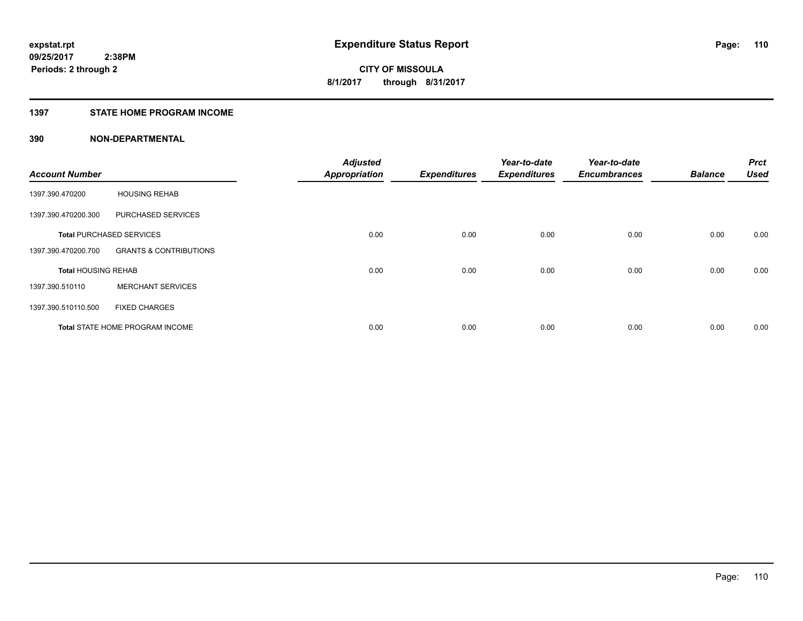## **1397 STATE HOME PROGRAM INCOME**

| <b>Account Number</b>      |                                   | <b>Adjusted</b><br><b>Appropriation</b> | <b>Expenditures</b> | Year-to-date<br><b>Expenditures</b> | Year-to-date<br><b>Encumbrances</b> | <b>Balance</b> | <b>Prct</b><br><b>Used</b> |
|----------------------------|-----------------------------------|-----------------------------------------|---------------------|-------------------------------------|-------------------------------------|----------------|----------------------------|
|                            |                                   |                                         |                     |                                     |                                     |                |                            |
| 1397.390.470200            | <b>HOUSING REHAB</b>              |                                         |                     |                                     |                                     |                |                            |
| 1397.390.470200.300        | PURCHASED SERVICES                |                                         |                     |                                     |                                     |                |                            |
|                            | <b>Total PURCHASED SERVICES</b>   | 0.00                                    | 0.00                | 0.00                                | 0.00                                | 0.00           | 0.00                       |
| 1397.390.470200.700        | <b>GRANTS &amp; CONTRIBUTIONS</b> |                                         |                     |                                     |                                     |                |                            |
| <b>Total HOUSING REHAB</b> |                                   | 0.00                                    | 0.00                | 0.00                                | 0.00                                | 0.00           | 0.00                       |
| 1397.390.510110            | <b>MERCHANT SERVICES</b>          |                                         |                     |                                     |                                     |                |                            |
| 1397.390.510110.500        | <b>FIXED CHARGES</b>              |                                         |                     |                                     |                                     |                |                            |
|                            | Total STATE HOME PROGRAM INCOME   | 0.00                                    | 0.00                | 0.00                                | 0.00                                | 0.00           | 0.00                       |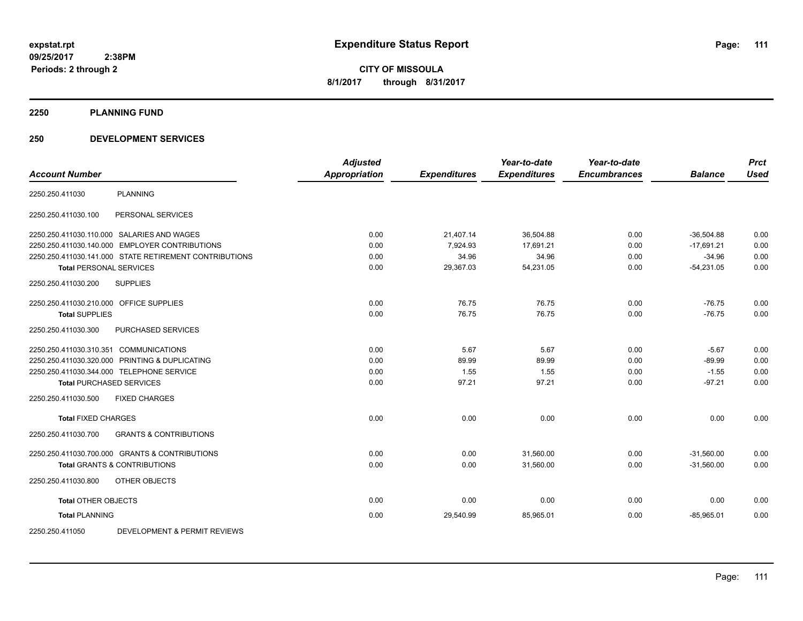**Periods: 2 through 2**

**CITY OF MISSOULA 8/1/2017 through 8/31/2017**

**2250 PLANNING FUND**

## **250 DEVELOPMENT SERVICES**

| <b>Account Number</b>                   |                                                        | <b>Adjusted</b><br><b>Appropriation</b> | <b>Expenditures</b> | Year-to-date<br><b>Expenditures</b> | Year-to-date<br><b>Encumbrances</b> | <b>Balance</b> | <b>Prct</b><br><b>Used</b> |
|-----------------------------------------|--------------------------------------------------------|-----------------------------------------|---------------------|-------------------------------------|-------------------------------------|----------------|----------------------------|
|                                         |                                                        |                                         |                     |                                     |                                     |                |                            |
| 2250.250.411030                         | <b>PLANNING</b>                                        |                                         |                     |                                     |                                     |                |                            |
| 2250.250.411030.100                     | PERSONAL SERVICES                                      |                                         |                     |                                     |                                     |                |                            |
|                                         | 2250.250.411030.110.000 SALARIES AND WAGES             | 0.00                                    | 21,407.14           | 36,504.88                           | 0.00                                | $-36,504.88$   | 0.00                       |
|                                         | 2250.250.411030.140.000 EMPLOYER CONTRIBUTIONS         | 0.00                                    | 7,924.93            | 17,691.21                           | 0.00                                | $-17,691.21$   | 0.00                       |
|                                         | 2250.250.411030.141.000 STATE RETIREMENT CONTRIBUTIONS | 0.00                                    | 34.96               | 34.96                               | 0.00                                | $-34.96$       | 0.00                       |
| <b>Total PERSONAL SERVICES</b>          |                                                        | 0.00                                    | 29,367.03           | 54,231.05                           | 0.00                                | $-54,231.05$   | 0.00                       |
| 2250.250.411030.200                     | <b>SUPPLIES</b>                                        |                                         |                     |                                     |                                     |                |                            |
| 2250.250.411030.210.000 OFFICE SUPPLIES |                                                        | 0.00                                    | 76.75               | 76.75                               | 0.00                                | $-76.75$       | 0.00                       |
| <b>Total SUPPLIES</b>                   |                                                        | 0.00                                    | 76.75               | 76.75                               | 0.00                                | $-76.75$       | 0.00                       |
| 2250.250.411030.300                     | <b>PURCHASED SERVICES</b>                              |                                         |                     |                                     |                                     |                |                            |
| 2250.250.411030.310.351 COMMUNICATIONS  |                                                        | 0.00                                    | 5.67                | 5.67                                | 0.00                                | $-5.67$        | 0.00                       |
|                                         | 2250.250.411030.320.000 PRINTING & DUPLICATING         | 0.00                                    | 89.99               | 89.99                               | 0.00                                | $-89.99$       | 0.00                       |
|                                         | 2250.250.411030.344.000 TELEPHONE SERVICE              | 0.00                                    | 1.55                | 1.55                                | 0.00                                | $-1.55$        | 0.00                       |
| <b>Total PURCHASED SERVICES</b>         |                                                        | 0.00                                    | 97.21               | 97.21                               | 0.00                                | $-97.21$       | 0.00                       |
| 2250.250.411030.500                     | <b>FIXED CHARGES</b>                                   |                                         |                     |                                     |                                     |                |                            |
| <b>Total FIXED CHARGES</b>              |                                                        | 0.00                                    | 0.00                | 0.00                                | 0.00                                | 0.00           | 0.00                       |
| 2250.250.411030.700                     | <b>GRANTS &amp; CONTRIBUTIONS</b>                      |                                         |                     |                                     |                                     |                |                            |
|                                         | 2250.250.411030.700.000 GRANTS & CONTRIBUTIONS         | 0.00                                    | 0.00                | 31,560.00                           | 0.00                                | $-31,560.00$   | 0.00                       |
|                                         | <b>Total GRANTS &amp; CONTRIBUTIONS</b>                | 0.00                                    | 0.00                | 31,560.00                           | 0.00                                | $-31,560.00$   | 0.00                       |
| 2250.250.411030.800                     | <b>OTHER OBJECTS</b>                                   |                                         |                     |                                     |                                     |                |                            |
| <b>Total OTHER OBJECTS</b>              |                                                        | 0.00                                    | 0.00                | 0.00                                | 0.00                                | 0.00           | 0.00                       |
| <b>Total PLANNING</b>                   |                                                        | 0.00                                    | 29,540.99           | 85,965.01                           | 0.00                                | $-85,965.01$   | 0.00                       |
| 2250.250.411050                         | DEVELOPMENT & PERMIT REVIEWS                           |                                         |                     |                                     |                                     |                |                            |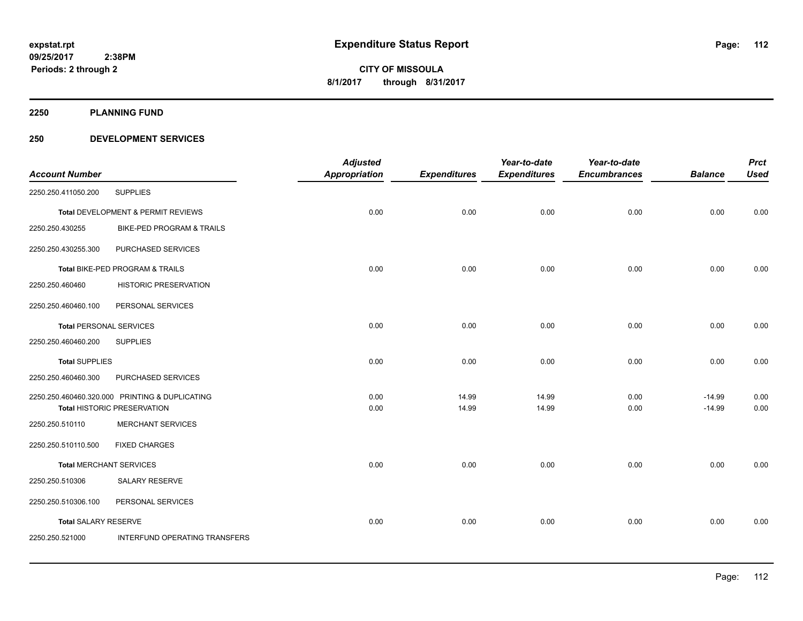**2250 PLANNING FUND**

## **250 DEVELOPMENT SERVICES**

| <b>Account Number</b>          |                                                | <b>Adjusted</b><br><b>Appropriation</b> | <b>Expenditures</b> | Year-to-date<br><b>Expenditures</b> | Year-to-date<br><b>Encumbrances</b> | <b>Balance</b> | <b>Prct</b><br><b>Used</b> |
|--------------------------------|------------------------------------------------|-----------------------------------------|---------------------|-------------------------------------|-------------------------------------|----------------|----------------------------|
| 2250.250.411050.200            | <b>SUPPLIES</b>                                |                                         |                     |                                     |                                     |                |                            |
|                                |                                                |                                         |                     |                                     |                                     |                |                            |
|                                | Total DEVELOPMENT & PERMIT REVIEWS             | 0.00                                    | 0.00                | 0.00                                | 0.00                                | 0.00           | 0.00                       |
| 2250.250.430255                | BIKE-PED PROGRAM & TRAILS                      |                                         |                     |                                     |                                     |                |                            |
| 2250.250.430255.300            | PURCHASED SERVICES                             |                                         |                     |                                     |                                     |                |                            |
|                                | Total BIKE-PED PROGRAM & TRAILS                | 0.00                                    | 0.00                | 0.00                                | 0.00                                | 0.00           | 0.00                       |
| 2250.250.460460                | <b>HISTORIC PRESERVATION</b>                   |                                         |                     |                                     |                                     |                |                            |
| 2250.250.460460.100            | PERSONAL SERVICES                              |                                         |                     |                                     |                                     |                |                            |
| <b>Total PERSONAL SERVICES</b> |                                                | 0.00                                    | 0.00                | 0.00                                | 0.00                                | 0.00           | 0.00                       |
| 2250.250.460460.200            | <b>SUPPLIES</b>                                |                                         |                     |                                     |                                     |                |                            |
| <b>Total SUPPLIES</b>          |                                                | 0.00                                    | 0.00                | 0.00                                | 0.00                                | 0.00           | 0.00                       |
| 2250.250.460460.300            | PURCHASED SERVICES                             |                                         |                     |                                     |                                     |                |                            |
|                                | 2250.250.460460.320.000 PRINTING & DUPLICATING | 0.00                                    | 14.99               | 14.99                               | 0.00                                | $-14.99$       | 0.00                       |
|                                | <b>Total HISTORIC PRESERVATION</b>             | 0.00                                    | 14.99               | 14.99                               | 0.00                                | $-14.99$       | 0.00                       |
| 2250.250.510110                | <b>MERCHANT SERVICES</b>                       |                                         |                     |                                     |                                     |                |                            |
| 2250.250.510110.500            | <b>FIXED CHARGES</b>                           |                                         |                     |                                     |                                     |                |                            |
| <b>Total MERCHANT SERVICES</b> |                                                | 0.00                                    | 0.00                | 0.00                                | 0.00                                | 0.00           | 0.00                       |
| 2250.250.510306                | <b>SALARY RESERVE</b>                          |                                         |                     |                                     |                                     |                |                            |
| 2250.250.510306.100            | PERSONAL SERVICES                              |                                         |                     |                                     |                                     |                |                            |
| <b>Total SALARY RESERVE</b>    |                                                | 0.00                                    | 0.00                | 0.00                                | 0.00                                | 0.00           | 0.00                       |
| 2250.250.521000                | INTERFUND OPERATING TRANSFERS                  |                                         |                     |                                     |                                     |                |                            |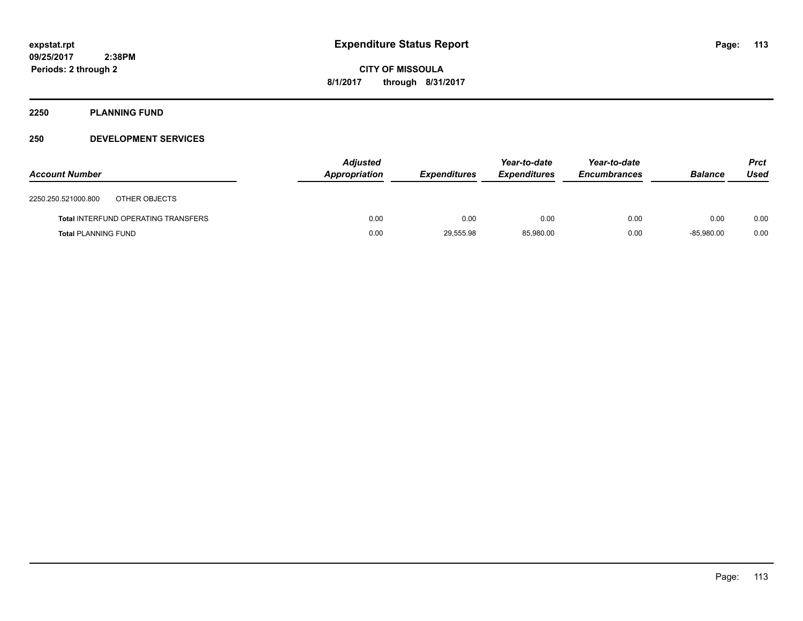## **2250 PLANNING FUND**

## **250 DEVELOPMENT SERVICES**

| <b>Account Number</b>      |                                            | <b>Adjusted</b><br><b>Appropriation</b> | <b>Expenditures</b> | Year-to-date<br><b>Expenditures</b> | Year-to-date<br><b>Encumbrances</b> | <b>Balance</b> | <b>Prct</b><br>Used |
|----------------------------|--------------------------------------------|-----------------------------------------|---------------------|-------------------------------------|-------------------------------------|----------------|---------------------|
| 2250.250.521000.800        | OTHER OBJECTS                              |                                         |                     |                                     |                                     |                |                     |
|                            | <b>Total INTERFUND OPERATING TRANSFERS</b> | 0.00                                    | 0.00                | 0.00                                | 0.00                                | 0.00           | 0.00                |
| <b>Total PLANNING FUND</b> |                                            | 0.00                                    | 29,555.98           | 85,980.00                           | 0.00                                | $-85.980.00$   | 0.00                |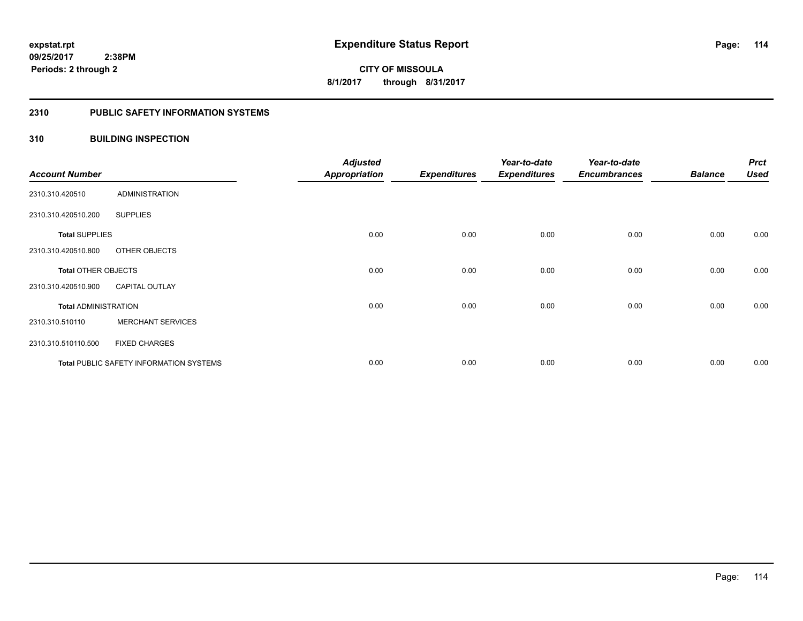#### **2310 PUBLIC SAFETY INFORMATION SYSTEMS**

## **310 BUILDING INSPECTION**

| <b>Account Number</b>       |                                                | <b>Adjusted</b><br><b>Appropriation</b> | <b>Expenditures</b> | Year-to-date<br><b>Expenditures</b> | Year-to-date<br><b>Encumbrances</b> | <b>Balance</b> | <b>Prct</b><br><b>Used</b> |
|-----------------------------|------------------------------------------------|-----------------------------------------|---------------------|-------------------------------------|-------------------------------------|----------------|----------------------------|
| 2310.310.420510             | <b>ADMINISTRATION</b>                          |                                         |                     |                                     |                                     |                |                            |
| 2310.310.420510.200         | <b>SUPPLIES</b>                                |                                         |                     |                                     |                                     |                |                            |
| <b>Total SUPPLIES</b>       |                                                | 0.00                                    | 0.00                | 0.00                                | 0.00                                | 0.00           | 0.00                       |
| 2310.310.420510.800         | OTHER OBJECTS                                  |                                         |                     |                                     |                                     |                |                            |
| <b>Total OTHER OBJECTS</b>  |                                                | 0.00                                    | 0.00                | 0.00                                | 0.00                                | 0.00           | 0.00                       |
| 2310.310.420510.900         | <b>CAPITAL OUTLAY</b>                          |                                         |                     |                                     |                                     |                |                            |
| <b>Total ADMINISTRATION</b> |                                                | 0.00                                    | 0.00                | 0.00                                | 0.00                                | 0.00           | 0.00                       |
| 2310.310.510110             | <b>MERCHANT SERVICES</b>                       |                                         |                     |                                     |                                     |                |                            |
| 2310.310.510110.500         | <b>FIXED CHARGES</b>                           |                                         |                     |                                     |                                     |                |                            |
|                             | <b>Total PUBLIC SAFETY INFORMATION SYSTEMS</b> | 0.00                                    | 0.00                | 0.00                                | 0.00                                | 0.00           | 0.00                       |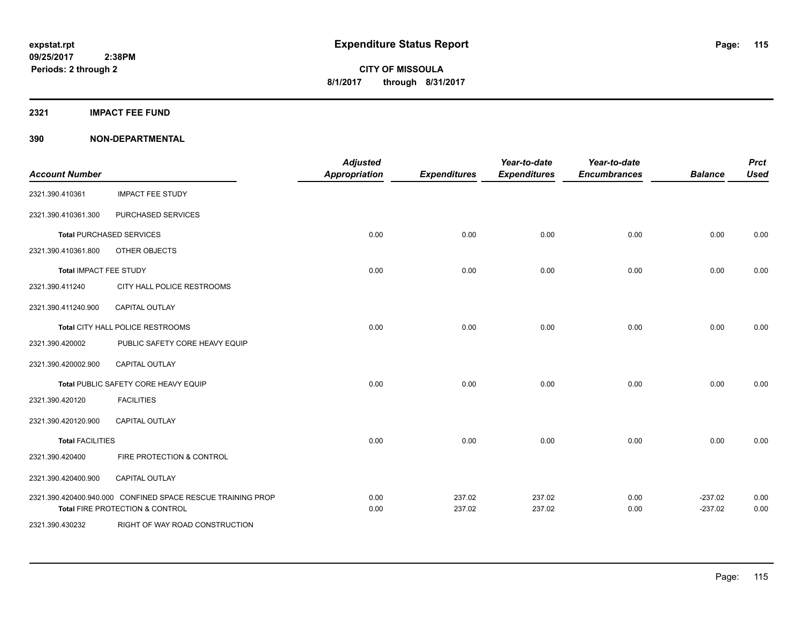**2321 IMPACT FEE FUND**

| <b>Account Number</b>   |                                                                                                           | <b>Adjusted</b><br><b>Appropriation</b> | <b>Expenditures</b> | Year-to-date<br><b>Expenditures</b> | Year-to-date<br><b>Encumbrances</b> | <b>Balance</b>         | <b>Prct</b><br><b>Used</b> |
|-------------------------|-----------------------------------------------------------------------------------------------------------|-----------------------------------------|---------------------|-------------------------------------|-------------------------------------|------------------------|----------------------------|
| 2321.390.410361         | <b>IMPACT FEE STUDY</b>                                                                                   |                                         |                     |                                     |                                     |                        |                            |
| 2321.390.410361.300     | PURCHASED SERVICES                                                                                        |                                         |                     |                                     |                                     |                        |                            |
|                         | <b>Total PURCHASED SERVICES</b>                                                                           | 0.00                                    | 0.00                | 0.00                                | 0.00                                | 0.00                   | 0.00                       |
| 2321.390.410361.800     | OTHER OBJECTS                                                                                             |                                         |                     |                                     |                                     |                        |                            |
| Total IMPACT FEE STUDY  |                                                                                                           | 0.00                                    | 0.00                | 0.00                                | 0.00                                | 0.00                   | 0.00                       |
| 2321.390.411240         | CITY HALL POLICE RESTROOMS                                                                                |                                         |                     |                                     |                                     |                        |                            |
| 2321.390.411240.900     | <b>CAPITAL OUTLAY</b>                                                                                     |                                         |                     |                                     |                                     |                        |                            |
|                         | Total CITY HALL POLICE RESTROOMS                                                                          | 0.00                                    | 0.00                | 0.00                                | 0.00                                | 0.00                   | 0.00                       |
| 2321.390.420002         | PUBLIC SAFETY CORE HEAVY EQUIP                                                                            |                                         |                     |                                     |                                     |                        |                            |
| 2321.390.420002.900     | <b>CAPITAL OUTLAY</b>                                                                                     |                                         |                     |                                     |                                     |                        |                            |
|                         | Total PUBLIC SAFETY CORE HEAVY EQUIP                                                                      | 0.00                                    | 0.00                | 0.00                                | 0.00                                | 0.00                   | 0.00                       |
| 2321.390.420120         | <b>FACILITIES</b>                                                                                         |                                         |                     |                                     |                                     |                        |                            |
| 2321.390.420120.900     | <b>CAPITAL OUTLAY</b>                                                                                     |                                         |                     |                                     |                                     |                        |                            |
| <b>Total FACILITIES</b> |                                                                                                           | 0.00                                    | 0.00                | 0.00                                | 0.00                                | 0.00                   | 0.00                       |
| 2321.390.420400         | FIRE PROTECTION & CONTROL                                                                                 |                                         |                     |                                     |                                     |                        |                            |
| 2321.390.420400.900     | CAPITAL OUTLAY                                                                                            |                                         |                     |                                     |                                     |                        |                            |
|                         | 2321.390.420400.940.000 CONFINED SPACE RESCUE TRAINING PROP<br><b>Total FIRE PROTECTION &amp; CONTROL</b> | 0.00<br>0.00                            | 237.02<br>237.02    | 237.02<br>237.02                    | 0.00<br>0.00                        | $-237.02$<br>$-237.02$ | 0.00<br>0.00               |
| 2321.390.430232         | RIGHT OF WAY ROAD CONSTRUCTION                                                                            |                                         |                     |                                     |                                     |                        |                            |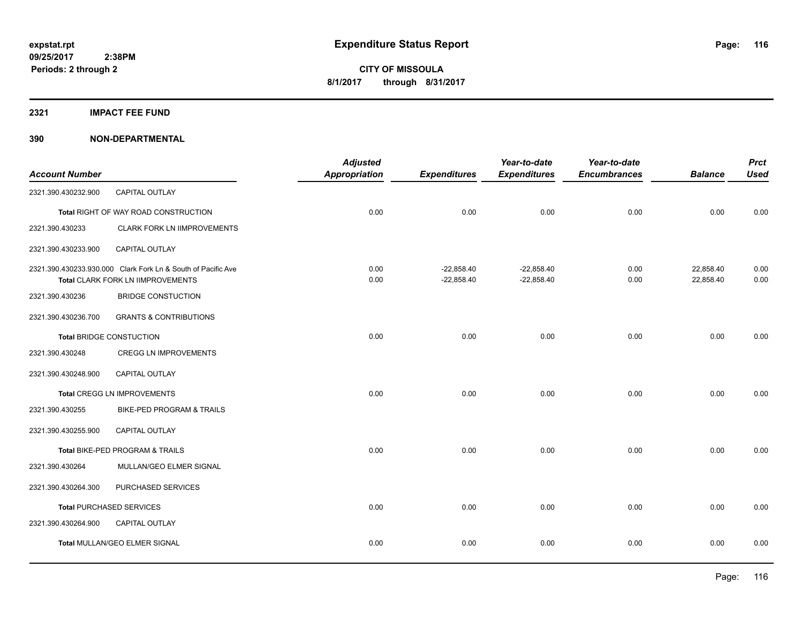#### **2321 IMPACT FEE FUND**

| <b>Account Number</b> |                                                                                                   | <b>Adjusted</b><br><b>Appropriation</b> | <b>Expenditures</b>          | Year-to-date<br><b>Expenditures</b> | Year-to-date<br><b>Encumbrances</b> | <b>Balance</b>         | <b>Prct</b><br><b>Used</b> |
|-----------------------|---------------------------------------------------------------------------------------------------|-----------------------------------------|------------------------------|-------------------------------------|-------------------------------------|------------------------|----------------------------|
| 2321.390.430232.900   | <b>CAPITAL OUTLAY</b>                                                                             |                                         |                              |                                     |                                     |                        |                            |
|                       | Total RIGHT OF WAY ROAD CONSTRUCTION                                                              | 0.00                                    | 0.00                         | 0.00                                | 0.00                                | 0.00                   | 0.00                       |
| 2321.390.430233       | <b>CLARK FORK LN IIMPROVEMENTS</b>                                                                |                                         |                              |                                     |                                     |                        |                            |
| 2321.390.430233.900   | CAPITAL OUTLAY                                                                                    |                                         |                              |                                     |                                     |                        |                            |
|                       | 2321.390.430233.930.000 Clark Fork Ln & South of Pacific Ave<br>Total CLARK FORK LN IIMPROVEMENTS | 0.00<br>0.00                            | $-22,858.40$<br>$-22,858.40$ | $-22,858.40$<br>$-22,858.40$        | 0.00<br>0.00                        | 22,858.40<br>22,858.40 | 0.00<br>0.00               |
| 2321.390.430236       | <b>BRIDGE CONSTUCTION</b>                                                                         |                                         |                              |                                     |                                     |                        |                            |
| 2321.390.430236.700   | <b>GRANTS &amp; CONTRIBUTIONS</b>                                                                 |                                         |                              |                                     |                                     |                        |                            |
|                       | <b>Total BRIDGE CONSTUCTION</b>                                                                   | 0.00                                    | 0.00                         | 0.00                                | 0.00                                | 0.00                   | 0.00                       |
| 2321.390.430248       | CREGG LN IMPROVEMENTS                                                                             |                                         |                              |                                     |                                     |                        |                            |
| 2321.390.430248.900   | <b>CAPITAL OUTLAY</b>                                                                             |                                         |                              |                                     |                                     |                        |                            |
|                       | Total CREGG LN IMPROVEMENTS                                                                       | 0.00                                    | 0.00                         | 0.00                                | 0.00                                | 0.00                   | 0.00                       |
| 2321.390.430255       | <b>BIKE-PED PROGRAM &amp; TRAILS</b>                                                              |                                         |                              |                                     |                                     |                        |                            |
| 2321.390.430255.900   | CAPITAL OUTLAY                                                                                    |                                         |                              |                                     |                                     |                        |                            |
|                       | Total BIKE-PED PROGRAM & TRAILS                                                                   | 0.00                                    | 0.00                         | 0.00                                | 0.00                                | 0.00                   | 0.00                       |
| 2321.390.430264       | MULLAN/GEO ELMER SIGNAL                                                                           |                                         |                              |                                     |                                     |                        |                            |
| 2321.390.430264.300   | PURCHASED SERVICES                                                                                |                                         |                              |                                     |                                     |                        |                            |
|                       | <b>Total PURCHASED SERVICES</b>                                                                   | 0.00                                    | 0.00                         | 0.00                                | 0.00                                | 0.00                   | 0.00                       |
| 2321.390.430264.900   | CAPITAL OUTLAY                                                                                    |                                         |                              |                                     |                                     |                        |                            |
|                       | Total MULLAN/GEO ELMER SIGNAL                                                                     | 0.00                                    | 0.00                         | 0.00                                | 0.00                                | 0.00                   | 0.00                       |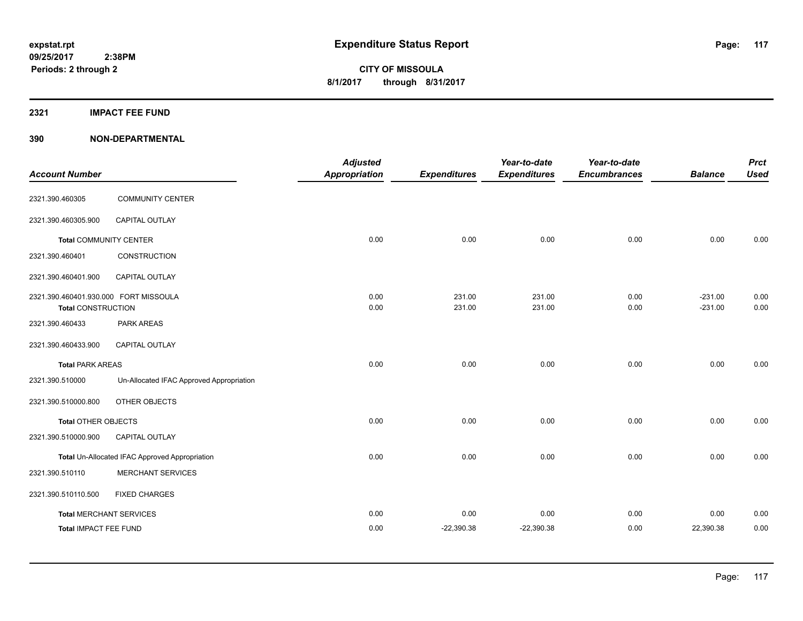## **2321 IMPACT FEE FUND**

| <b>Account Number</b>                 |                                                | <b>Adjusted</b><br><b>Appropriation</b> | <b>Expenditures</b> | Year-to-date<br><b>Expenditures</b> | Year-to-date<br><b>Encumbrances</b> | <b>Balance</b> | <b>Prct</b><br><b>Used</b> |
|---------------------------------------|------------------------------------------------|-----------------------------------------|---------------------|-------------------------------------|-------------------------------------|----------------|----------------------------|
| 2321.390.460305                       | <b>COMMUNITY CENTER</b>                        |                                         |                     |                                     |                                     |                |                            |
| 2321.390.460305.900                   | <b>CAPITAL OUTLAY</b>                          |                                         |                     |                                     |                                     |                |                            |
| <b>Total COMMUNITY CENTER</b>         |                                                | 0.00                                    | 0.00                | 0.00                                | 0.00                                | 0.00           | 0.00                       |
| 2321.390.460401                       | CONSTRUCTION                                   |                                         |                     |                                     |                                     |                |                            |
| 2321.390.460401.900                   | <b>CAPITAL OUTLAY</b>                          |                                         |                     |                                     |                                     |                |                            |
| 2321.390.460401.930.000 FORT MISSOULA |                                                | 0.00                                    | 231.00              | 231.00                              | 0.00                                | $-231.00$      | 0.00                       |
| <b>Total CONSTRUCTION</b>             |                                                | 0.00                                    | 231.00              | 231.00                              | 0.00                                | $-231.00$      | 0.00                       |
| 2321.390.460433                       | <b>PARK AREAS</b>                              |                                         |                     |                                     |                                     |                |                            |
| 2321.390.460433.900                   | <b>CAPITAL OUTLAY</b>                          |                                         |                     |                                     |                                     |                |                            |
| <b>Total PARK AREAS</b>               |                                                | 0.00                                    | 0.00                | 0.00                                | 0.00                                | 0.00           | 0.00                       |
| 2321.390.510000                       | Un-Allocated IFAC Approved Appropriation       |                                         |                     |                                     |                                     |                |                            |
| 2321.390.510000.800                   | OTHER OBJECTS                                  |                                         |                     |                                     |                                     |                |                            |
| <b>Total OTHER OBJECTS</b>            |                                                | 0.00                                    | 0.00                | 0.00                                | 0.00                                | 0.00           | 0.00                       |
| 2321.390.510000.900                   | CAPITAL OUTLAY                                 |                                         |                     |                                     |                                     |                |                            |
|                                       | Total Un-Allocated IFAC Approved Appropriation | 0.00                                    | 0.00                | 0.00                                | 0.00                                | 0.00           | $0.00\,$                   |
| 2321.390.510110                       | <b>MERCHANT SERVICES</b>                       |                                         |                     |                                     |                                     |                |                            |
| 2321.390.510110.500                   | <b>FIXED CHARGES</b>                           |                                         |                     |                                     |                                     |                |                            |
| <b>Total MERCHANT SERVICES</b>        |                                                | 0.00                                    | 0.00                | 0.00                                | 0.00                                | 0.00           | 0.00                       |
| Total IMPACT FEE FUND                 |                                                | 0.00                                    | $-22,390.38$        | $-22,390.38$                        | 0.00                                | 22,390.38      | 0.00                       |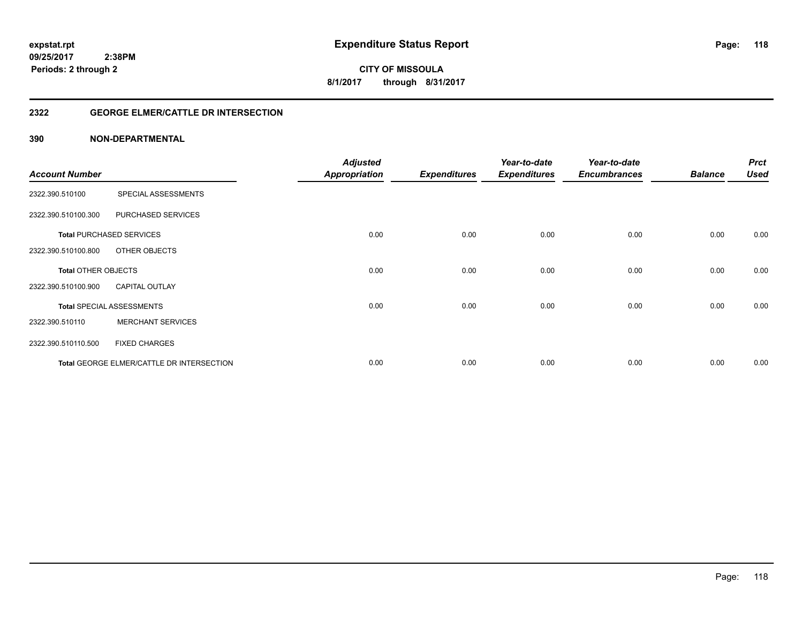**CITY OF MISSOULA 8/1/2017 through 8/31/2017**

## **2322 GEORGE ELMER/CATTLE DR INTERSECTION**

| <b>Account Number</b>      |                                           | <b>Adjusted</b><br><b>Appropriation</b> | <b>Expenditures</b> | Year-to-date<br><b>Expenditures</b> | Year-to-date<br><b>Encumbrances</b> | <b>Balance</b> | <b>Prct</b><br><b>Used</b> |
|----------------------------|-------------------------------------------|-----------------------------------------|---------------------|-------------------------------------|-------------------------------------|----------------|----------------------------|
|                            |                                           |                                         |                     |                                     |                                     |                |                            |
| 2322.390.510100            | SPECIAL ASSESSMENTS                       |                                         |                     |                                     |                                     |                |                            |
| 2322.390.510100.300        | PURCHASED SERVICES                        |                                         |                     |                                     |                                     |                |                            |
|                            | <b>Total PURCHASED SERVICES</b>           | 0.00                                    | 0.00                | 0.00                                | 0.00                                | 0.00           | 0.00                       |
| 2322.390.510100.800        | OTHER OBJECTS                             |                                         |                     |                                     |                                     |                |                            |
| <b>Total OTHER OBJECTS</b> |                                           | 0.00                                    | 0.00                | 0.00                                | 0.00                                | 0.00           | 0.00                       |
| 2322.390.510100.900        | <b>CAPITAL OUTLAY</b>                     |                                         |                     |                                     |                                     |                |                            |
|                            | <b>Total SPECIAL ASSESSMENTS</b>          | 0.00                                    | 0.00                | 0.00                                | 0.00                                | 0.00           | 0.00                       |
| 2322.390.510110            | <b>MERCHANT SERVICES</b>                  |                                         |                     |                                     |                                     |                |                            |
| 2322.390.510110.500        | <b>FIXED CHARGES</b>                      |                                         |                     |                                     |                                     |                |                            |
|                            | Total GEORGE ELMER/CATTLE DR INTERSECTION | 0.00                                    | 0.00                | 0.00                                | 0.00                                | 0.00           | 0.00                       |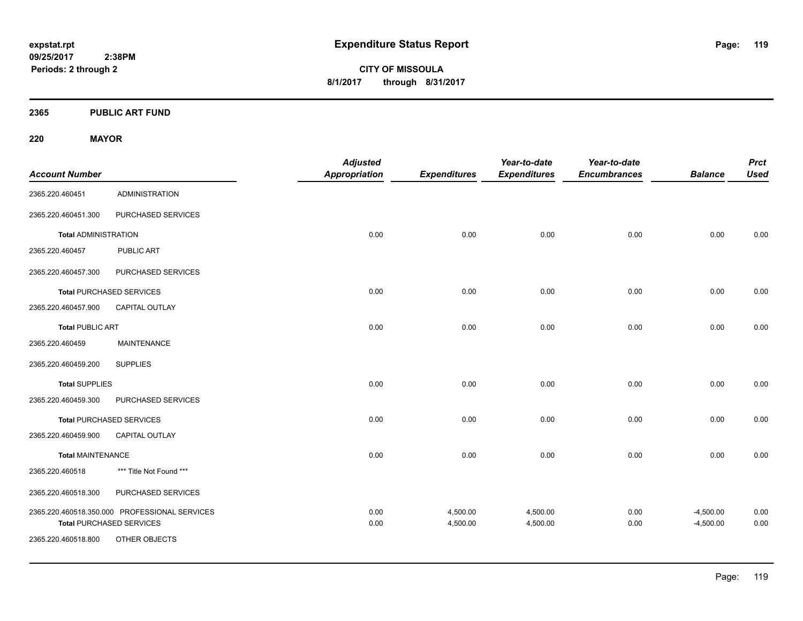**CITY OF MISSOULA 8/1/2017 through 8/31/2017**

**2365 PUBLIC ART FUND**

**220 MAYOR**

| <b>Account Number</b>       |                                                                                  | <b>Adjusted</b><br>Appropriation | <b>Expenditures</b>  | Year-to-date<br><b>Expenditures</b> | Year-to-date<br><b>Encumbrances</b> | <b>Balance</b>             | <b>Prct</b><br><b>Used</b> |
|-----------------------------|----------------------------------------------------------------------------------|----------------------------------|----------------------|-------------------------------------|-------------------------------------|----------------------------|----------------------------|
| 2365.220.460451             | <b>ADMINISTRATION</b>                                                            |                                  |                      |                                     |                                     |                            |                            |
| 2365.220.460451.300         | PURCHASED SERVICES                                                               |                                  |                      |                                     |                                     |                            |                            |
| <b>Total ADMINISTRATION</b> |                                                                                  | 0.00                             | 0.00                 | 0.00                                | 0.00                                | 0.00                       | 0.00                       |
| 2365.220.460457             | <b>PUBLIC ART</b>                                                                |                                  |                      |                                     |                                     |                            |                            |
| 2365.220.460457.300         | PURCHASED SERVICES                                                               |                                  |                      |                                     |                                     |                            |                            |
|                             | <b>Total PURCHASED SERVICES</b>                                                  | 0.00                             | 0.00                 | 0.00                                | 0.00                                | 0.00                       | 0.00                       |
| 2365.220.460457.900         | <b>CAPITAL OUTLAY</b>                                                            |                                  |                      |                                     |                                     |                            |                            |
| <b>Total PUBLIC ART</b>     |                                                                                  | 0.00                             | 0.00                 | 0.00                                | 0.00                                | 0.00                       | 0.00                       |
| 2365.220.460459             | <b>MAINTENANCE</b>                                                               |                                  |                      |                                     |                                     |                            |                            |
| 2365.220.460459.200         | <b>SUPPLIES</b>                                                                  |                                  |                      |                                     |                                     |                            |                            |
| <b>Total SUPPLIES</b>       |                                                                                  | 0.00                             | 0.00                 | 0.00                                | 0.00                                | 0.00                       | 0.00                       |
| 2365.220.460459.300         | PURCHASED SERVICES                                                               |                                  |                      |                                     |                                     |                            |                            |
|                             | <b>Total PURCHASED SERVICES</b>                                                  | 0.00                             | 0.00                 | 0.00                                | 0.00                                | 0.00                       | 0.00                       |
| 2365.220.460459.900         | <b>CAPITAL OUTLAY</b>                                                            |                                  |                      |                                     |                                     |                            |                            |
| <b>Total MAINTENANCE</b>    |                                                                                  | 0.00                             | 0.00                 | 0.00                                | 0.00                                | 0.00                       | 0.00                       |
| 2365.220.460518             | *** Title Not Found ***                                                          |                                  |                      |                                     |                                     |                            |                            |
| 2365.220.460518.300         | PURCHASED SERVICES                                                               |                                  |                      |                                     |                                     |                            |                            |
|                             | 2365.220.460518.350.000 PROFESSIONAL SERVICES<br><b>Total PURCHASED SERVICES</b> | 0.00<br>0.00                     | 4,500.00<br>4,500.00 | 4,500.00<br>4,500.00                | 0.00<br>0.00                        | $-4,500.00$<br>$-4,500.00$ | 0.00<br>0.00               |
| 2365.220.460518.800         | OTHER OBJECTS                                                                    |                                  |                      |                                     |                                     |                            |                            |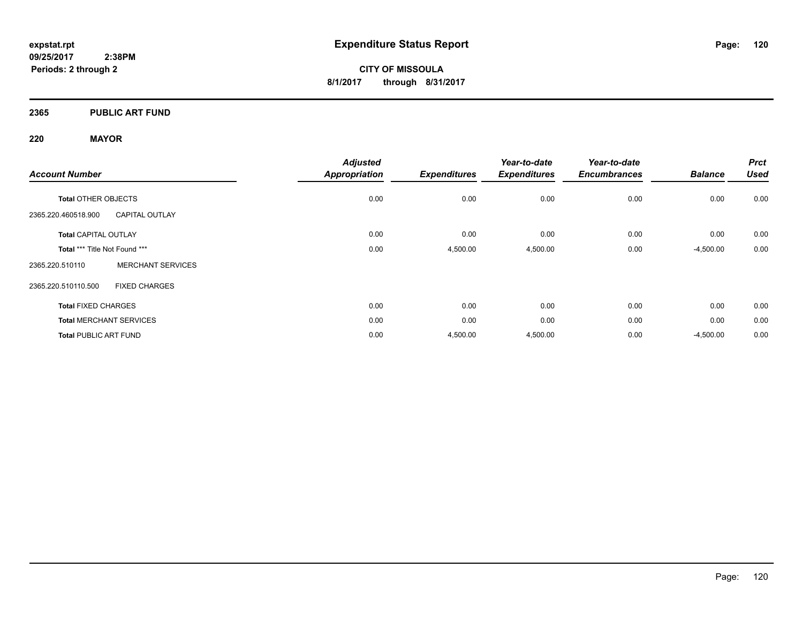**CITY OF MISSOULA 8/1/2017 through 8/31/2017**

## **2365 PUBLIC ART FUND**

## **220 MAYOR**

| <b>Account Number</b>         |                                | <b>Adjusted</b><br><b>Appropriation</b> | <b>Expenditures</b> | Year-to-date<br><b>Expenditures</b> | Year-to-date<br><b>Encumbrances</b> | <b>Balance</b> | <b>Prct</b><br><b>Used</b> |
|-------------------------------|--------------------------------|-----------------------------------------|---------------------|-------------------------------------|-------------------------------------|----------------|----------------------------|
|                               |                                |                                         |                     |                                     |                                     |                |                            |
| <b>Total OTHER OBJECTS</b>    |                                | 0.00                                    | 0.00                | 0.00                                | 0.00                                | 0.00           | 0.00                       |
| 2365.220.460518.900           | <b>CAPITAL OUTLAY</b>          |                                         |                     |                                     |                                     |                |                            |
| <b>Total CAPITAL OUTLAY</b>   |                                | 0.00                                    | 0.00                | 0.00                                | 0.00                                | 0.00           | 0.00                       |
| Total *** Title Not Found *** |                                | 0.00                                    | 4,500.00            | 4,500.00                            | 0.00                                | $-4,500.00$    | 0.00                       |
| 2365.220.510110               | <b>MERCHANT SERVICES</b>       |                                         |                     |                                     |                                     |                |                            |
| 2365.220.510110.500           | <b>FIXED CHARGES</b>           |                                         |                     |                                     |                                     |                |                            |
| <b>Total FIXED CHARGES</b>    |                                | 0.00                                    | 0.00                | 0.00                                | 0.00                                | 0.00           | 0.00                       |
|                               | <b>Total MERCHANT SERVICES</b> | 0.00                                    | 0.00                | 0.00                                | 0.00                                | 0.00           | 0.00                       |
| <b>Total PUBLIC ART FUND</b>  |                                | 0.00                                    | 4,500.00            | 4,500.00                            | 0.00                                | $-4,500.00$    | 0.00                       |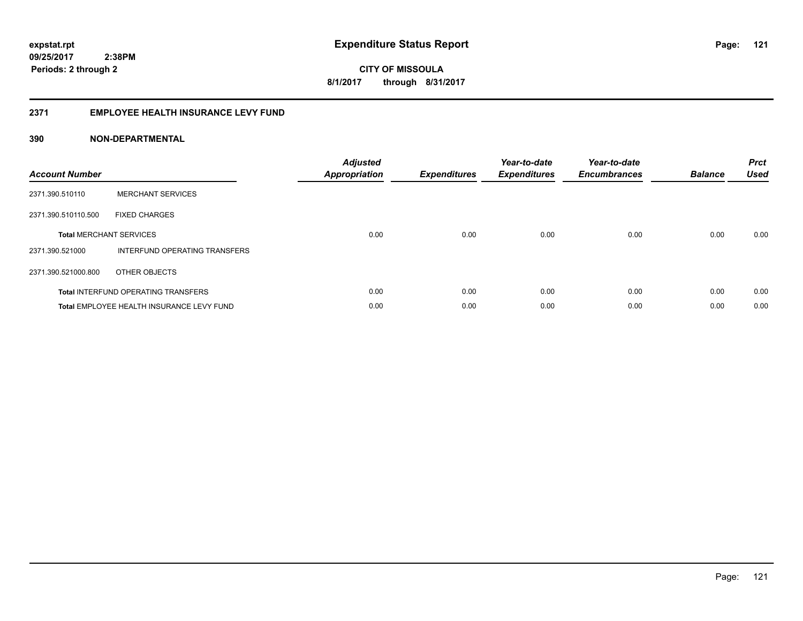**CITY OF MISSOULA 8/1/2017 through 8/31/2017**

#### **2371 EMPLOYEE HEALTH INSURANCE LEVY FUND**

| <b>Account Number</b> |                                            | <b>Adjusted</b><br><b>Appropriation</b> | <b>Expenditures</b> | Year-to-date<br><b>Expenditures</b> | Year-to-date<br><b>Encumbrances</b> | <b>Balance</b> | <b>Prct</b><br><b>Used</b> |
|-----------------------|--------------------------------------------|-----------------------------------------|---------------------|-------------------------------------|-------------------------------------|----------------|----------------------------|
| 2371.390.510110       | <b>MERCHANT SERVICES</b>                   |                                         |                     |                                     |                                     |                |                            |
| 2371.390.510110.500   | <b>FIXED CHARGES</b>                       |                                         |                     |                                     |                                     |                |                            |
|                       | <b>Total MERCHANT SERVICES</b>             | 0.00                                    | 0.00                | 0.00                                | 0.00                                | 0.00           | 0.00                       |
| 2371.390.521000       | INTERFUND OPERATING TRANSFERS              |                                         |                     |                                     |                                     |                |                            |
| 2371.390.521000.800   | OTHER OBJECTS                              |                                         |                     |                                     |                                     |                |                            |
|                       | <b>Total INTERFUND OPERATING TRANSFERS</b> | 0.00                                    | 0.00                | 0.00                                | 0.00                                | 0.00           | 0.00                       |
|                       | Total EMPLOYEE HEALTH INSURANCE LEVY FUND  | 0.00                                    | 0.00                | 0.00                                | 0.00                                | 0.00           | 0.00                       |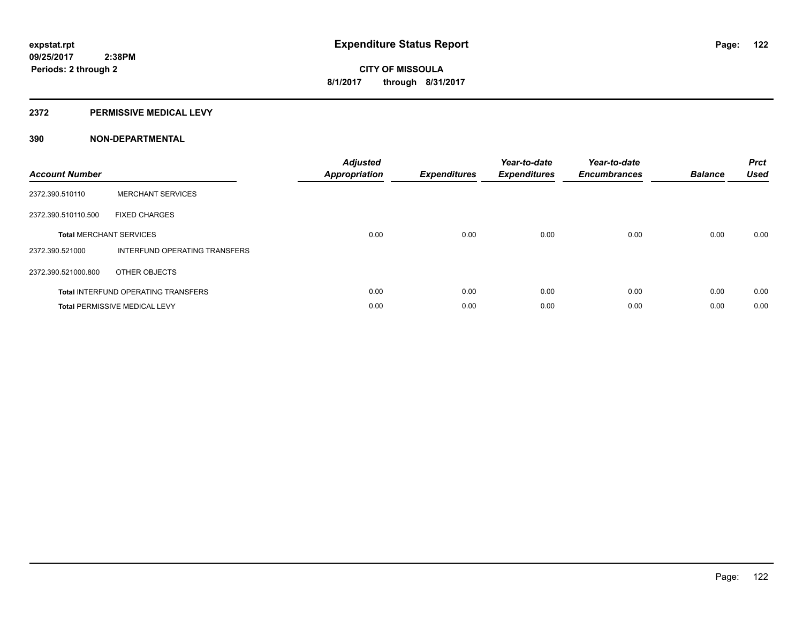#### **2372 PERMISSIVE MEDICAL LEVY**

| <b>Account Number</b> |                                            | <b>Adjusted</b><br>Appropriation | <b>Expenditures</b> | Year-to-date<br><b>Expenditures</b> | Year-to-date<br><b>Encumbrances</b> | <b>Balance</b> | <b>Prct</b><br><b>Used</b> |
|-----------------------|--------------------------------------------|----------------------------------|---------------------|-------------------------------------|-------------------------------------|----------------|----------------------------|
| 2372.390.510110       | <b>MERCHANT SERVICES</b>                   |                                  |                     |                                     |                                     |                |                            |
| 2372.390.510110.500   | <b>FIXED CHARGES</b>                       |                                  |                     |                                     |                                     |                |                            |
|                       | <b>Total MERCHANT SERVICES</b>             | 0.00                             | 0.00                | 0.00                                | 0.00                                | 0.00           | 0.00                       |
| 2372.390.521000       | INTERFUND OPERATING TRANSFERS              |                                  |                     |                                     |                                     |                |                            |
| 2372.390.521000.800   | OTHER OBJECTS                              |                                  |                     |                                     |                                     |                |                            |
|                       | <b>Total INTERFUND OPERATING TRANSFERS</b> | 0.00                             | 0.00                | 0.00                                | 0.00                                | 0.00           | 0.00                       |
|                       | <b>Total PERMISSIVE MEDICAL LEVY</b>       | 0.00                             | 0.00                | 0.00                                | 0.00                                | 0.00           | 0.00                       |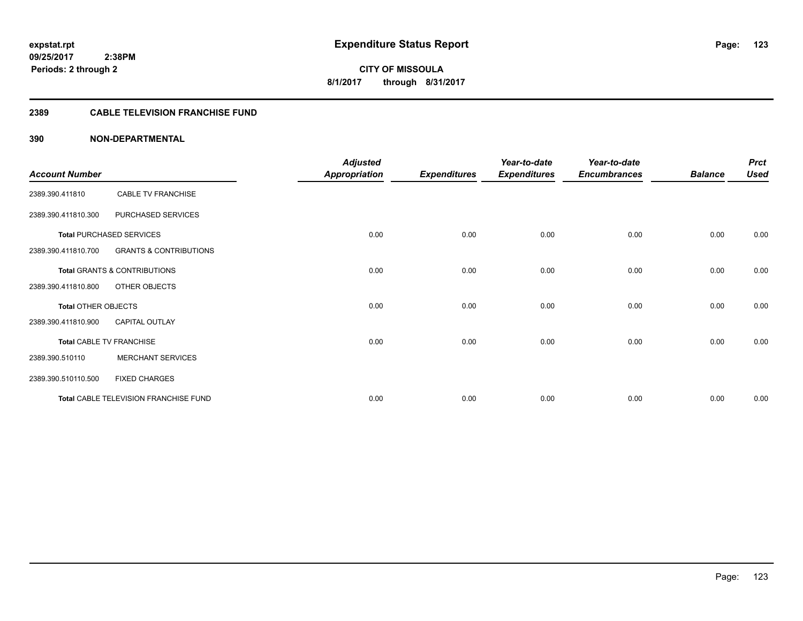## **2389 CABLE TELEVISION FRANCHISE FUND**

| <b>Account Number</b>      |                                       | <b>Adjusted</b><br><b>Appropriation</b> | <b>Expenditures</b> | Year-to-date<br><b>Expenditures</b> | Year-to-date<br><b>Encumbrances</b> | <b>Balance</b> | <b>Prct</b><br><b>Used</b> |
|----------------------------|---------------------------------------|-----------------------------------------|---------------------|-------------------------------------|-------------------------------------|----------------|----------------------------|
| 2389.390.411810            | <b>CABLE TV FRANCHISE</b>             |                                         |                     |                                     |                                     |                |                            |
| 2389.390.411810.300        | PURCHASED SERVICES                    |                                         |                     |                                     |                                     |                |                            |
|                            | <b>Total PURCHASED SERVICES</b>       | 0.00                                    | 0.00                | 0.00                                | 0.00                                | 0.00           | 0.00                       |
| 2389.390.411810.700        | <b>GRANTS &amp; CONTRIBUTIONS</b>     |                                         |                     |                                     |                                     |                |                            |
|                            | Total GRANTS & CONTRIBUTIONS          | 0.00                                    | 0.00                | 0.00                                | 0.00                                | 0.00           | 0.00                       |
| 2389.390.411810.800        | OTHER OBJECTS                         |                                         |                     |                                     |                                     |                |                            |
| <b>Total OTHER OBJECTS</b> |                                       | 0.00                                    | 0.00                | 0.00                                | 0.00                                | 0.00           | 0.00                       |
| 2389.390.411810.900        | <b>CAPITAL OUTLAY</b>                 |                                         |                     |                                     |                                     |                |                            |
|                            | <b>Total CABLE TV FRANCHISE</b>       | 0.00                                    | 0.00                | 0.00                                | 0.00                                | 0.00           | 0.00                       |
| 2389.390.510110            | <b>MERCHANT SERVICES</b>              |                                         |                     |                                     |                                     |                |                            |
| 2389.390.510110.500        | <b>FIXED CHARGES</b>                  |                                         |                     |                                     |                                     |                |                            |
|                            | Total CABLE TELEVISION FRANCHISE FUND | 0.00                                    | 0.00                | 0.00                                | 0.00                                | 0.00           | 0.00                       |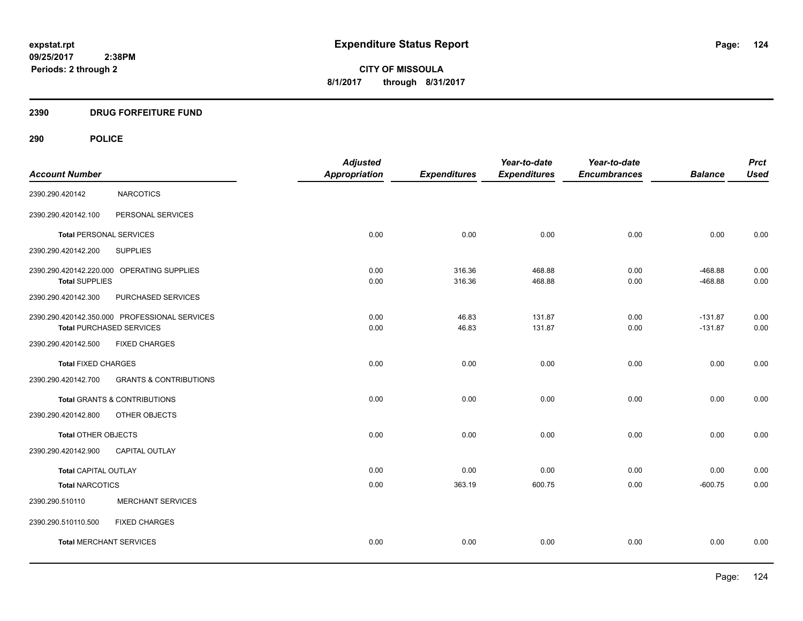## **2390 DRUG FORFEITURE FUND**

## **290 POLICE**

|                                |                                               | <b>Adjusted</b>      |                     | Year-to-date        | Year-to-date        |                | <b>Prct</b> |
|--------------------------------|-----------------------------------------------|----------------------|---------------------|---------------------|---------------------|----------------|-------------|
| <b>Account Number</b>          |                                               | <b>Appropriation</b> | <b>Expenditures</b> | <b>Expenditures</b> | <b>Encumbrances</b> | <b>Balance</b> | <b>Used</b> |
| 2390.290.420142                | <b>NARCOTICS</b>                              |                      |                     |                     |                     |                |             |
| 2390.290.420142.100            | PERSONAL SERVICES                             |                      |                     |                     |                     |                |             |
| <b>Total PERSONAL SERVICES</b> |                                               | 0.00                 | 0.00                | 0.00                | 0.00                | 0.00           | 0.00        |
| 2390.290.420142.200            | <b>SUPPLIES</b>                               |                      |                     |                     |                     |                |             |
|                                | 2390.290.420142.220.000 OPERATING SUPPLIES    | 0.00                 | 316.36              | 468.88              | 0.00                | $-468.88$      | 0.00        |
| <b>Total SUPPLIES</b>          |                                               | 0.00                 | 316.36              | 468.88              | 0.00                | $-468.88$      | 0.00        |
| 2390.290.420142.300            | PURCHASED SERVICES                            |                      |                     |                     |                     |                |             |
|                                | 2390.290.420142.350.000 PROFESSIONAL SERVICES | 0.00                 | 46.83               | 131.87              | 0.00                | $-131.87$      | 0.00        |
|                                | <b>Total PURCHASED SERVICES</b>               | 0.00                 | 46.83               | 131.87              | 0.00                | $-131.87$      | 0.00        |
| 2390.290.420142.500            | <b>FIXED CHARGES</b>                          |                      |                     |                     |                     |                |             |
| <b>Total FIXED CHARGES</b>     |                                               | 0.00                 | 0.00                | 0.00                | 0.00                | 0.00           | 0.00        |
| 2390.290.420142.700            | <b>GRANTS &amp; CONTRIBUTIONS</b>             |                      |                     |                     |                     |                |             |
|                                | Total GRANTS & CONTRIBUTIONS                  | 0.00                 | 0.00                | 0.00                | 0.00                | 0.00           | 0.00        |
| 2390.290.420142.800            | OTHER OBJECTS                                 |                      |                     |                     |                     |                |             |
| Total OTHER OBJECTS            |                                               | 0.00                 | 0.00                | 0.00                | 0.00                | 0.00           | 0.00        |
| 2390.290.420142.900            | CAPITAL OUTLAY                                |                      |                     |                     |                     |                |             |
| Total CAPITAL OUTLAY           |                                               | 0.00                 | 0.00                | 0.00                | 0.00                | 0.00           | 0.00        |
| <b>Total NARCOTICS</b>         |                                               | 0.00                 | 363.19              | 600.75              | 0.00                | $-600.75$      | 0.00        |
| 2390.290.510110                | <b>MERCHANT SERVICES</b>                      |                      |                     |                     |                     |                |             |
| 2390.290.510110.500            | <b>FIXED CHARGES</b>                          |                      |                     |                     |                     |                |             |
| <b>Total MERCHANT SERVICES</b> |                                               | 0.00                 | 0.00                | 0.00                | 0.00                | 0.00           | 0.00        |
|                                |                                               |                      |                     |                     |                     |                |             |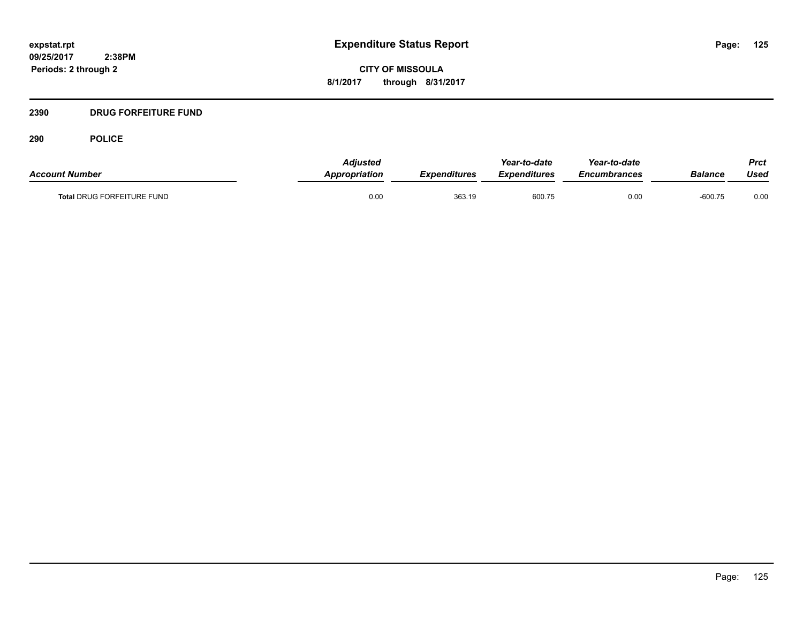**CITY OF MISSOULA 8/1/2017 through 8/31/2017**

## **2390 DRUG FORFEITURE FUND**

**290 POLICE**

| <b>Account Number</b>             | <b>Adiusted</b><br><b>Appropriation</b> | Expenditures | Year-to-date<br><b>Expenditures</b> | Year-to-date<br><i><b>Encumbrances</b></i> | <b>Balance</b> | Prct<br>Used |
|-----------------------------------|-----------------------------------------|--------------|-------------------------------------|--------------------------------------------|----------------|--------------|
| <b>Total DRUG FORFEITURE FUND</b> | 0.00                                    | 363.19       | 600.75                              | 0.00                                       | $-600.75$      | 0.00         |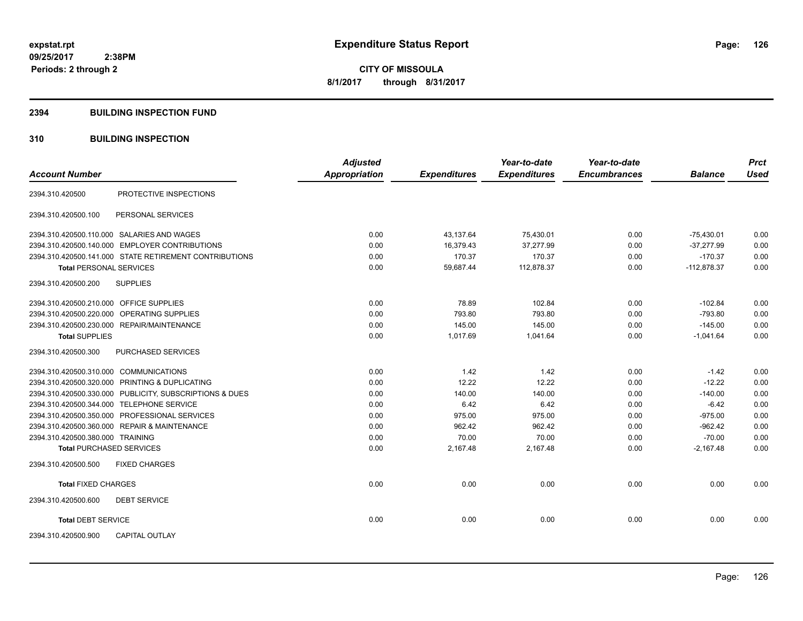#### **2394 BUILDING INSPECTION FUND**

## **310 BUILDING INSPECTION**

|                                                         | <b>Adjusted</b>      |                     | Year-to-date        | Year-to-date        |                | <b>Prct</b> |
|---------------------------------------------------------|----------------------|---------------------|---------------------|---------------------|----------------|-------------|
| <b>Account Number</b>                                   | <b>Appropriation</b> | <b>Expenditures</b> | <b>Expenditures</b> | <b>Encumbrances</b> | <b>Balance</b> | <b>Used</b> |
| PROTECTIVE INSPECTIONS<br>2394.310.420500               |                      |                     |                     |                     |                |             |
| PERSONAL SERVICES<br>2394.310.420500.100                |                      |                     |                     |                     |                |             |
| 2394.310.420500.110.000 SALARIES AND WAGES              | 0.00                 | 43,137.64           | 75,430.01           | 0.00                | $-75,430.01$   | 0.00        |
| 2394.310.420500.140.000 EMPLOYER CONTRIBUTIONS          | 0.00                 | 16,379.43           | 37,277.99           | 0.00                | $-37,277.99$   | 0.00        |
| 2394.310.420500.141.000 STATE RETIREMENT CONTRIBUTIONS  | 0.00                 | 170.37              | 170.37              | 0.00                | $-170.37$      | 0.00        |
| <b>Total PERSONAL SERVICES</b>                          | 0.00                 | 59,687.44           | 112,878.37          | 0.00                | $-112,878.37$  | 0.00        |
| 2394.310.420500.200<br><b>SUPPLIES</b>                  |                      |                     |                     |                     |                |             |
| 2394.310.420500.210.000 OFFICE SUPPLIES                 | 0.00                 | 78.89               | 102.84              | 0.00                | $-102.84$      | 0.00        |
| 2394.310.420500.220.000 OPERATING SUPPLIES              | 0.00                 | 793.80              | 793.80              | 0.00                | $-793.80$      | 0.00        |
| 2394.310.420500.230.000 REPAIR/MAINTENANCE              | 0.00                 | 145.00              | 145.00              | 0.00                | $-145.00$      | 0.00        |
| <b>Total SUPPLIES</b>                                   | 0.00                 | 1,017.69            | 1,041.64            | 0.00                | $-1,041.64$    | 0.00        |
| 2394.310.420500.300<br>PURCHASED SERVICES               |                      |                     |                     |                     |                |             |
| 2394.310.420500.310.000 COMMUNICATIONS                  | 0.00                 | 1.42                | 1.42                | 0.00                | $-1.42$        | 0.00        |
| 2394.310.420500.320.000 PRINTING & DUPLICATING          | 0.00                 | 12.22               | 12.22               | 0.00                | $-12.22$       | 0.00        |
| 2394.310.420500.330.000 PUBLICITY, SUBSCRIPTIONS & DUES | 0.00                 | 140.00              | 140.00              | 0.00                | $-140.00$      | 0.00        |
| 2394.310.420500.344.000 TELEPHONE SERVICE               | 0.00                 | 6.42                | 6.42                | 0.00                | $-6.42$        | 0.00        |
| 2394.310.420500.350.000 PROFESSIONAL SERVICES           | 0.00                 | 975.00              | 975.00              | 0.00                | $-975.00$      | 0.00        |
| 2394.310.420500.360.000 REPAIR & MAINTENANCE            | 0.00                 | 962.42              | 962.42              | 0.00                | $-962.42$      | 0.00        |
| 2394.310.420500.380.000 TRAINING                        | 0.00                 | 70.00               | 70.00               | 0.00                | $-70.00$       | 0.00        |
| <b>Total PURCHASED SERVICES</b>                         | 0.00                 | 2,167.48            | 2,167.48            | 0.00                | $-2,167.48$    | 0.00        |
| 2394.310.420500.500<br><b>FIXED CHARGES</b>             |                      |                     |                     |                     |                |             |
| <b>Total FIXED CHARGES</b>                              | 0.00                 | 0.00                | 0.00                | 0.00                | 0.00           | 0.00        |
| 2394.310.420500.600<br><b>DEBT SERVICE</b>              |                      |                     |                     |                     |                |             |
| <b>Total DEBT SERVICE</b>                               | 0.00                 | 0.00                | 0.00                | 0.00                | 0.00           | 0.00        |
| 2394.310.420500.900<br><b>CAPITAL OUTLAY</b>            |                      |                     |                     |                     |                |             |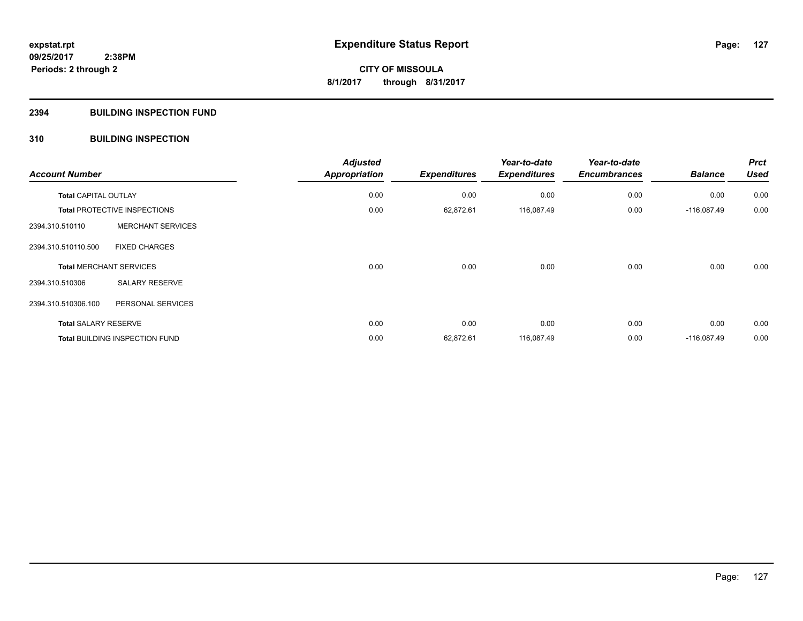## **2394 BUILDING INSPECTION FUND**

## **310 BUILDING INSPECTION**

| <b>Account Number</b>       |                                       | <b>Adjusted</b>      |                     | Year-to-date        | Year-to-date        | <b>Balance</b> | <b>Prct</b><br><b>Used</b> |
|-----------------------------|---------------------------------------|----------------------|---------------------|---------------------|---------------------|----------------|----------------------------|
|                             |                                       | <b>Appropriation</b> | <b>Expenditures</b> | <b>Expenditures</b> | <b>Encumbrances</b> |                |                            |
| <b>Total CAPITAL OUTLAY</b> |                                       | 0.00                 | 0.00                | 0.00                | 0.00                | 0.00           | 0.00                       |
|                             | <b>Total PROTECTIVE INSPECTIONS</b>   | 0.00                 | 62,872.61           | 116,087.49          | 0.00                | $-116,087.49$  | 0.00                       |
| 2394.310.510110             | <b>MERCHANT SERVICES</b>              |                      |                     |                     |                     |                |                            |
| 2394.310.510110.500         | <b>FIXED CHARGES</b>                  |                      |                     |                     |                     |                |                            |
|                             | <b>Total MERCHANT SERVICES</b>        | 0.00                 | 0.00                | 0.00                | 0.00                | 0.00           | 0.00                       |
| 2394.310.510306             | <b>SALARY RESERVE</b>                 |                      |                     |                     |                     |                |                            |
| 2394.310.510306.100         | PERSONAL SERVICES                     |                      |                     |                     |                     |                |                            |
| <b>Total SALARY RESERVE</b> |                                       | 0.00                 | 0.00                | 0.00                | 0.00                | 0.00           | 0.00                       |
|                             | <b>Total BUILDING INSPECTION FUND</b> | 0.00                 | 62,872.61           | 116,087.49          | 0.00                | $-116,087.49$  | 0.00                       |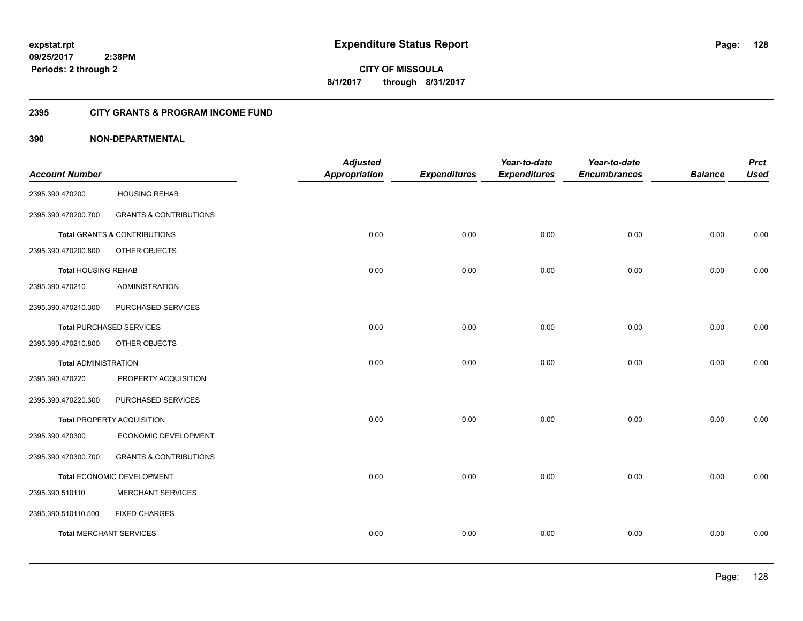**128**

**CITY OF MISSOULA 8/1/2017 through 8/31/2017**

## **2395 CITY GRANTS & PROGRAM INCOME FUND**

|                             |                                         | <b>Adjusted</b>      |                     | Year-to-date        | Year-to-date        |                | <b>Prct</b> |
|-----------------------------|-----------------------------------------|----------------------|---------------------|---------------------|---------------------|----------------|-------------|
| <b>Account Number</b>       |                                         | <b>Appropriation</b> | <b>Expenditures</b> | <b>Expenditures</b> | <b>Encumbrances</b> | <b>Balance</b> | <b>Used</b> |
| 2395.390.470200             | <b>HOUSING REHAB</b>                    |                      |                     |                     |                     |                |             |
| 2395.390.470200.700         | <b>GRANTS &amp; CONTRIBUTIONS</b>       |                      |                     |                     |                     |                |             |
|                             | <b>Total GRANTS &amp; CONTRIBUTIONS</b> | 0.00                 | 0.00                | 0.00                | 0.00                | 0.00           | 0.00        |
| 2395.390.470200.800         | OTHER OBJECTS                           |                      |                     |                     |                     |                |             |
| <b>Total HOUSING REHAB</b>  |                                         | 0.00                 | 0.00                | 0.00                | 0.00                | 0.00           | 0.00        |
| 2395.390.470210             | ADMINISTRATION                          |                      |                     |                     |                     |                |             |
| 2395.390.470210.300         | PURCHASED SERVICES                      |                      |                     |                     |                     |                |             |
|                             | <b>Total PURCHASED SERVICES</b>         | 0.00                 | 0.00                | 0.00                | 0.00                | 0.00           | 0.00        |
| 2395.390.470210.800         | OTHER OBJECTS                           |                      |                     |                     |                     |                |             |
| <b>Total ADMINISTRATION</b> |                                         | 0.00                 | 0.00                | 0.00                | 0.00                | 0.00           | 0.00        |
| 2395.390.470220             | PROPERTY ACQUISITION                    |                      |                     |                     |                     |                |             |
| 2395.390.470220.300         | PURCHASED SERVICES                      |                      |                     |                     |                     |                |             |
|                             | Total PROPERTY ACQUISITION              | 0.00                 | 0.00                | 0.00                | 0.00                | 0.00           | 0.00        |
| 2395.390.470300             | ECONOMIC DEVELOPMENT                    |                      |                     |                     |                     |                |             |
| 2395.390.470300.700         | <b>GRANTS &amp; CONTRIBUTIONS</b>       |                      |                     |                     |                     |                |             |
|                             | Total ECONOMIC DEVELOPMENT              | 0.00                 | 0.00                | 0.00                | 0.00                | 0.00           | 0.00        |
| 2395.390.510110             | <b>MERCHANT SERVICES</b>                |                      |                     |                     |                     |                |             |
| 2395.390.510110.500         | <b>FIXED CHARGES</b>                    |                      |                     |                     |                     |                |             |
|                             | <b>Total MERCHANT SERVICES</b>          | 0.00                 | 0.00                | 0.00                | 0.00                | 0.00           | 0.00        |
|                             |                                         |                      |                     |                     |                     |                |             |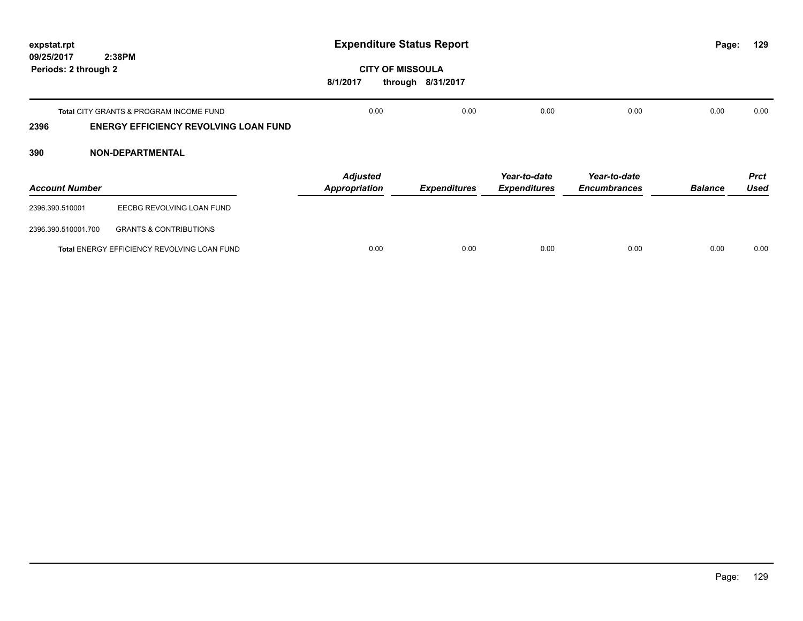| expstat.rpt<br>09/25/2017 | 2:38PM                                             | <b>Expenditure Status Report</b><br>Page: |                     |                     |                     |                | 129         |
|---------------------------|----------------------------------------------------|-------------------------------------------|---------------------|---------------------|---------------------|----------------|-------------|
| Periods: 2 through 2      |                                                    | <b>CITY OF MISSOULA</b><br>8/1/2017       | through 8/31/2017   |                     |                     |                |             |
|                           | <b>Total CITY GRANTS &amp; PROGRAM INCOME FUND</b> | 0.00                                      | 0.00                | 0.00                | 0.00                | 0.00           | 0.00        |
| 2396                      | <b>ENERGY EFFICIENCY REVOLVING LOAN FUND</b>       |                                           |                     |                     |                     |                |             |
| 390                       | <b>NON-DEPARTMENTAL</b>                            |                                           |                     |                     |                     |                |             |
|                           |                                                    | <b>Adjusted</b>                           |                     | Year-to-date        | Year-to-date        |                | <b>Prct</b> |
| <b>Account Number</b>     |                                                    | <b>Appropriation</b>                      | <b>Expenditures</b> | <b>Expenditures</b> | <b>Encumbrances</b> | <b>Balance</b> | <b>Used</b> |
| 2396.390.510001           | EECBG REVOLVING LOAN FUND                          |                                           |                     |                     |                     |                |             |
| 2396.390.510001.700       | <b>GRANTS &amp; CONTRIBUTIONS</b>                  |                                           |                     |                     |                     |                |             |

**Total** ENERGY EFFICIENCY REVOLVING LOAN FUND 0.00 0.00 0.00 0.00 0.00 0.00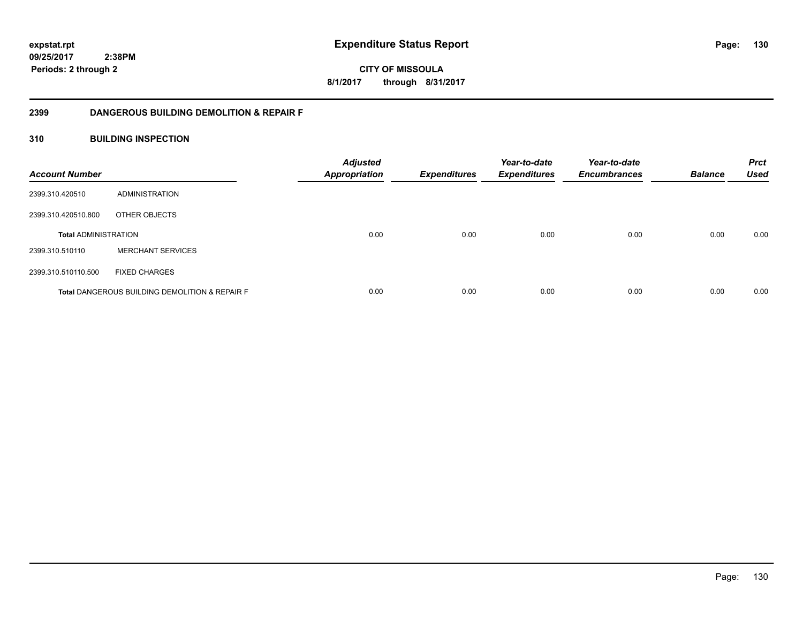**130**

**CITY OF MISSOULA 8/1/2017 through 8/31/2017**

## **2399 DANGEROUS BUILDING DEMOLITION & REPAIR F**

## **310 BUILDING INSPECTION**

| <b>Account Number</b>       |                                                           | <b>Adjusted</b><br>Appropriation | <b>Expenditures</b> | Year-to-date<br><b>Expenditures</b> | Year-to-date<br><b>Encumbrances</b> | <b>Balance</b> | <b>Prct</b><br><b>Used</b> |
|-----------------------------|-----------------------------------------------------------|----------------------------------|---------------------|-------------------------------------|-------------------------------------|----------------|----------------------------|
| 2399.310.420510             | ADMINISTRATION                                            |                                  |                     |                                     |                                     |                |                            |
| 2399.310.420510.800         | OTHER OBJECTS                                             |                                  |                     |                                     |                                     |                |                            |
| <b>Total ADMINISTRATION</b> |                                                           | 0.00                             | 0.00                | 0.00                                | 0.00                                | 0.00           | 0.00                       |
| 2399.310.510110             | <b>MERCHANT SERVICES</b>                                  |                                  |                     |                                     |                                     |                |                            |
| 2399.310.510110.500         | <b>FIXED CHARGES</b>                                      |                                  |                     |                                     |                                     |                |                            |
|                             | <b>Total DANGEROUS BUILDING DEMOLITION &amp; REPAIR F</b> | 0.00                             | 0.00                | 0.00                                | 0.00                                | 0.00           | 0.00                       |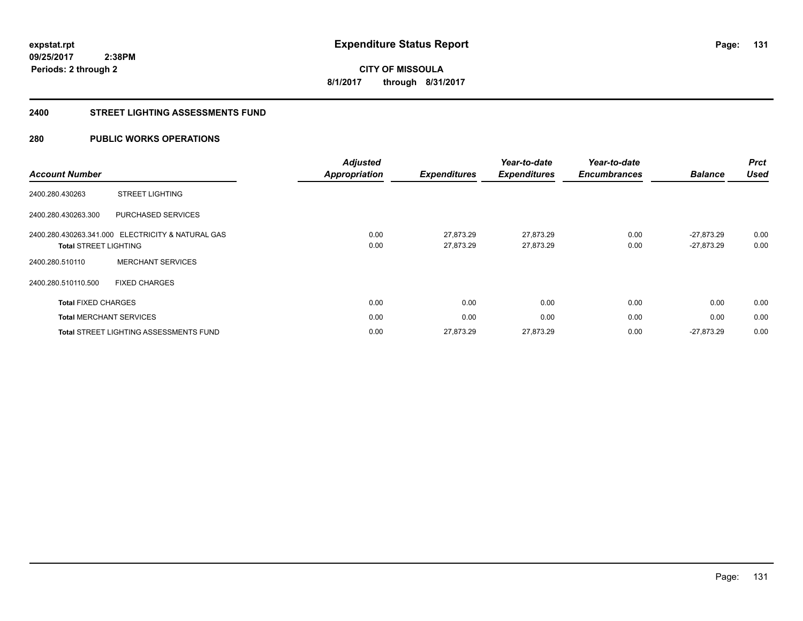**131**

**09/25/2017 2:38PM Periods: 2 through 2**

**CITY OF MISSOULA 8/1/2017 through 8/31/2017**

#### **2400 STREET LIGHTING ASSESSMENTS FUND**

## **280 PUBLIC WORKS OPERATIONS**

|                              |                                                   | <b>Adjusted</b>      |                     | Year-to-date        | Year-to-date        | <b>Balance</b> | <b>Prct</b><br><b>Used</b> |
|------------------------------|---------------------------------------------------|----------------------|---------------------|---------------------|---------------------|----------------|----------------------------|
| <b>Account Number</b>        |                                                   | <b>Appropriation</b> | <b>Expenditures</b> | <b>Expenditures</b> | <b>Encumbrances</b> |                |                            |
| 2400.280.430263              | <b>STREET LIGHTING</b>                            |                      |                     |                     |                     |                |                            |
| 2400.280.430263.300          | PURCHASED SERVICES                                |                      |                     |                     |                     |                |                            |
|                              | 2400.280.430263.341.000 ELECTRICITY & NATURAL GAS | 0.00                 | 27,873.29           | 27,873.29           | 0.00                | $-27.873.29$   | 0.00                       |
| <b>Total STREET LIGHTING</b> |                                                   | 0.00                 | 27,873.29           | 27,873.29           | 0.00                | $-27,873.29$   | 0.00                       |
| 2400.280.510110              | <b>MERCHANT SERVICES</b>                          |                      |                     |                     |                     |                |                            |
| 2400.280.510110.500          | <b>FIXED CHARGES</b>                              |                      |                     |                     |                     |                |                            |
| <b>Total FIXED CHARGES</b>   |                                                   | 0.00                 | 0.00                | 0.00                | 0.00                | 0.00           | 0.00                       |
|                              | <b>Total MERCHANT SERVICES</b>                    | 0.00                 | 0.00                | 0.00                | 0.00                | 0.00           | 0.00                       |
|                              | <b>Total STREET LIGHTING ASSESSMENTS FUND</b>     | 0.00                 | 27,873.29           | 27,873.29           | 0.00                | $-27.873.29$   | 0.00                       |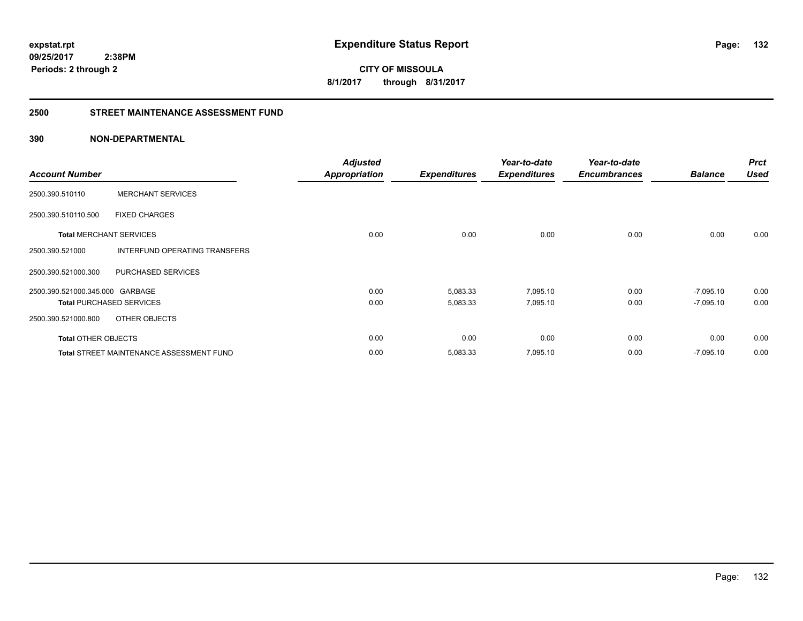**09/25/2017 2:38PM**

**Periods: 2 through 2**

**132**

**CITY OF MISSOULA 8/1/2017 through 8/31/2017**

#### **2500 STREET MAINTENANCE ASSESSMENT FUND**

| <b>Account Number</b>           |                                                 | <b>Adjusted</b><br><b>Appropriation</b> | <b>Expenditures</b> | Year-to-date<br><b>Expenditures</b> | Year-to-date<br><b>Encumbrances</b> | <b>Balance</b> | <b>Prct</b><br><b>Used</b> |
|---------------------------------|-------------------------------------------------|-----------------------------------------|---------------------|-------------------------------------|-------------------------------------|----------------|----------------------------|
| 2500.390.510110                 | <b>MERCHANT SERVICES</b>                        |                                         |                     |                                     |                                     |                |                            |
| 2500.390.510110.500             | <b>FIXED CHARGES</b>                            |                                         |                     |                                     |                                     |                |                            |
| <b>Total MERCHANT SERVICES</b>  |                                                 | 0.00                                    | 0.00                | 0.00                                | 0.00                                | 0.00           | 0.00                       |
| 2500.390.521000                 | INTERFUND OPERATING TRANSFERS                   |                                         |                     |                                     |                                     |                |                            |
| 2500.390.521000.300             | PURCHASED SERVICES                              |                                         |                     |                                     |                                     |                |                            |
| 2500.390.521000.345.000 GARBAGE |                                                 | 0.00                                    | 5,083.33            | 7,095.10                            | 0.00                                | $-7,095.10$    | 0.00                       |
| <b>Total PURCHASED SERVICES</b> |                                                 | 0.00                                    | 5,083.33            | 7,095.10                            | 0.00                                | $-7,095.10$    | 0.00                       |
| 2500.390.521000.800             | OTHER OBJECTS                                   |                                         |                     |                                     |                                     |                |                            |
| <b>Total OTHER OBJECTS</b>      |                                                 | 0.00                                    | 0.00                | 0.00                                | 0.00                                | 0.00           | 0.00                       |
|                                 | <b>Total STREET MAINTENANCE ASSESSMENT FUND</b> | 0.00                                    | 5,083.33            | 7,095.10                            | 0.00                                | $-7,095.10$    | 0.00                       |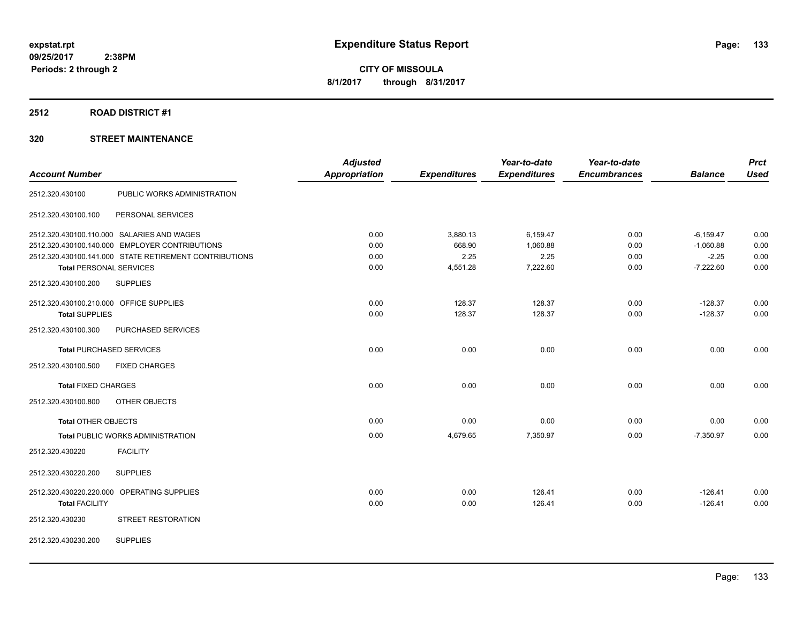## **2512 ROAD DISTRICT #1**

|                                         |                                                        | <b>Adjusted</b>      |                     | Year-to-date        | Year-to-date        |                | <b>Prct</b> |
|-----------------------------------------|--------------------------------------------------------|----------------------|---------------------|---------------------|---------------------|----------------|-------------|
| <b>Account Number</b>                   |                                                        | <b>Appropriation</b> | <b>Expenditures</b> | <b>Expenditures</b> | <b>Encumbrances</b> | <b>Balance</b> | <b>Used</b> |
| 2512.320.430100                         | PUBLIC WORKS ADMINISTRATION                            |                      |                     |                     |                     |                |             |
| 2512.320.430100.100                     | PERSONAL SERVICES                                      |                      |                     |                     |                     |                |             |
|                                         | 2512.320.430100.110.000 SALARIES AND WAGES             | 0.00                 | 3,880.13            | 6,159.47            | 0.00                | $-6,159.47$    | 0.00        |
|                                         | 2512.320.430100.140.000 EMPLOYER CONTRIBUTIONS         | 0.00                 | 668.90              | 1,060.88            | 0.00                | $-1,060.88$    | 0.00        |
|                                         | 2512.320.430100.141.000 STATE RETIREMENT CONTRIBUTIONS | 0.00                 | 2.25                | 2.25                | 0.00                | $-2.25$        | 0.00        |
| <b>Total PERSONAL SERVICES</b>          |                                                        | 0.00                 | 4,551.28            | 7,222.60            | 0.00                | $-7,222.60$    | 0.00        |
| 2512.320.430100.200                     | <b>SUPPLIES</b>                                        |                      |                     |                     |                     |                |             |
| 2512.320.430100.210.000 OFFICE SUPPLIES |                                                        | 0.00                 | 128.37              | 128.37              | 0.00                | $-128.37$      | 0.00        |
| <b>Total SUPPLIES</b>                   |                                                        | 0.00                 | 128.37              | 128.37              | 0.00                | $-128.37$      | 0.00        |
| 2512.320.430100.300                     | PURCHASED SERVICES                                     |                      |                     |                     |                     |                |             |
| <b>Total PURCHASED SERVICES</b>         |                                                        | 0.00                 | 0.00                | 0.00                | 0.00                | 0.00           | 0.00        |
| 2512.320.430100.500                     | <b>FIXED CHARGES</b>                                   |                      |                     |                     |                     |                |             |
| <b>Total FIXED CHARGES</b>              |                                                        | 0.00                 | 0.00                | 0.00                | 0.00                | 0.00           | 0.00        |
| 2512.320.430100.800                     | OTHER OBJECTS                                          |                      |                     |                     |                     |                |             |
| Total OTHER OBJECTS                     |                                                        | 0.00                 | 0.00                | 0.00                | 0.00                | 0.00           | 0.00        |
|                                         | <b>Total PUBLIC WORKS ADMINISTRATION</b>               | 0.00                 | 4,679.65            | 7,350.97            | 0.00                | $-7,350.97$    | 0.00        |
| 2512.320.430220                         | <b>FACILITY</b>                                        |                      |                     |                     |                     |                |             |
| 2512.320.430220.200                     | <b>SUPPLIES</b>                                        |                      |                     |                     |                     |                |             |
|                                         | 2512.320.430220.220.000 OPERATING SUPPLIES             | 0.00                 | 0.00                | 126.41              | 0.00                | $-126.41$      | 0.00        |
| <b>Total FACILITY</b>                   |                                                        | 0.00                 | 0.00                | 126.41              | 0.00                | $-126.41$      | 0.00        |
| 2512.320.430230                         | STREET RESTORATION                                     |                      |                     |                     |                     |                |             |
| 2512.320.430230.200                     | <b>SUPPLIES</b>                                        |                      |                     |                     |                     |                |             |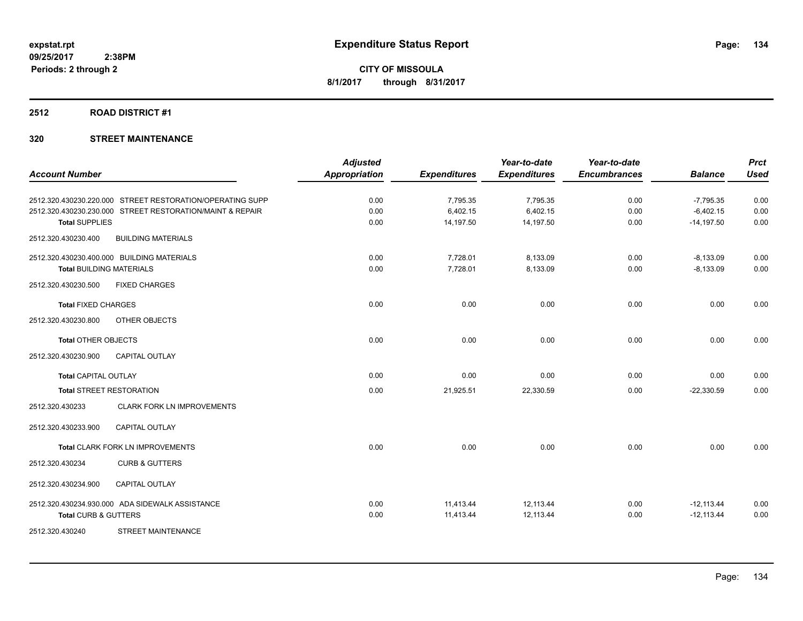#### **2512 ROAD DISTRICT #1**

|                                 |                                                           | <b>Adjusted</b>      |                     | Year-to-date        | Year-to-date        |                | <b>Prct</b> |
|---------------------------------|-----------------------------------------------------------|----------------------|---------------------|---------------------|---------------------|----------------|-------------|
| <b>Account Number</b>           |                                                           | <b>Appropriation</b> | <b>Expenditures</b> | <b>Expenditures</b> | <b>Encumbrances</b> | <b>Balance</b> | <b>Used</b> |
|                                 | 2512.320.430230.220.000 STREET RESTORATION/OPERATING SUPP | 0.00                 | 7,795.35            | 7,795.35            | 0.00                | $-7,795.35$    | 0.00        |
|                                 | 2512.320.430230.230.000 STREET RESTORATION/MAINT & REPAIR | 0.00                 | 6,402.15            | 6,402.15            | 0.00                | $-6,402.15$    | 0.00        |
| <b>Total SUPPLIES</b>           |                                                           | 0.00                 | 14,197.50           | 14,197.50           | 0.00                | $-14,197.50$   | 0.00        |
| 2512.320.430230.400             | <b>BUILDING MATERIALS</b>                                 |                      |                     |                     |                     |                |             |
|                                 | 2512.320.430230.400.000 BUILDING MATERIALS                | 0.00                 | 7,728.01            | 8,133.09            | 0.00                | $-8,133.09$    | 0.00        |
| <b>Total BUILDING MATERIALS</b> |                                                           | 0.00                 | 7,728.01            | 8,133.09            | 0.00                | $-8,133.09$    | 0.00        |
| 2512.320.430230.500             | <b>FIXED CHARGES</b>                                      |                      |                     |                     |                     |                |             |
| <b>Total FIXED CHARGES</b>      |                                                           | 0.00                 | 0.00                | 0.00                | 0.00                | 0.00           | 0.00        |
| 2512.320.430230.800             | OTHER OBJECTS                                             |                      |                     |                     |                     |                |             |
| <b>Total OTHER OBJECTS</b>      |                                                           | 0.00                 | 0.00                | 0.00                | 0.00                | 0.00           | 0.00        |
| 2512.320.430230.900             | <b>CAPITAL OUTLAY</b>                                     |                      |                     |                     |                     |                |             |
| <b>Total CAPITAL OUTLAY</b>     |                                                           | 0.00                 | 0.00                | 0.00                | 0.00                | 0.00           | 0.00        |
| <b>Total STREET RESTORATION</b> |                                                           | 0.00                 | 21,925.51           | 22,330.59           | 0.00                | $-22,330.59$   | 0.00        |
| 2512.320.430233                 | <b>CLARK FORK LN IMPROVEMENTS</b>                         |                      |                     |                     |                     |                |             |
| 2512.320.430233.900             | <b>CAPITAL OUTLAY</b>                                     |                      |                     |                     |                     |                |             |
|                                 | Total CLARK FORK LN IMPROVEMENTS                          | 0.00                 | 0.00                | 0.00                | 0.00                | 0.00           | 0.00        |
| 2512.320.430234                 | <b>CURB &amp; GUTTERS</b>                                 |                      |                     |                     |                     |                |             |
| 2512.320.430234.900             | <b>CAPITAL OUTLAY</b>                                     |                      |                     |                     |                     |                |             |
|                                 | 2512.320.430234.930.000 ADA SIDEWALK ASSISTANCE           | 0.00                 | 11,413.44           | 12,113.44           | 0.00                | $-12,113.44$   | 0.00        |
| <b>Total CURB &amp; GUTTERS</b> |                                                           | 0.00                 | 11,413.44           | 12,113.44           | 0.00                | $-12,113.44$   | 0.00        |
| 2512.320.430240                 | <b>STREET MAINTENANCE</b>                                 |                      |                     |                     |                     |                |             |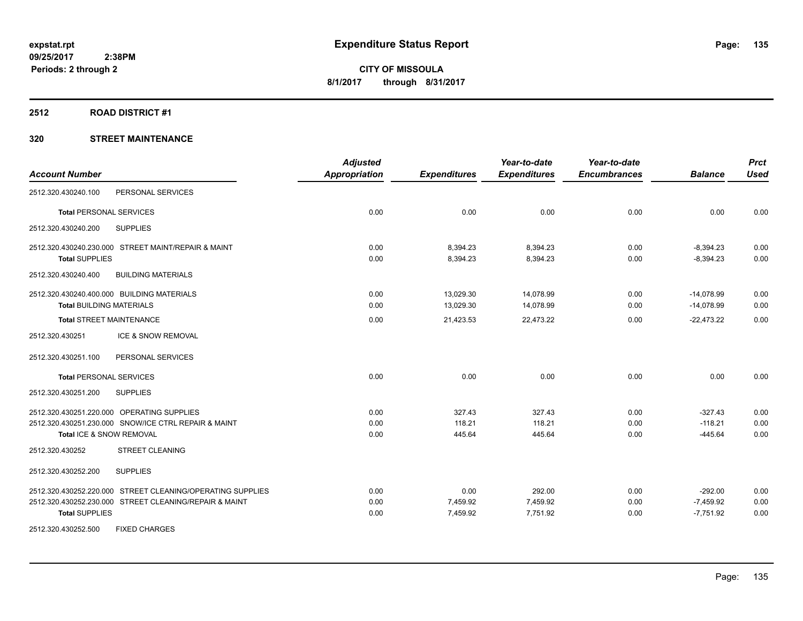#### **2512 ROAD DISTRICT #1**

|                                                            | <b>Adjusted</b>      |                     | Year-to-date        | Year-to-date        |                | <b>Prct</b> |
|------------------------------------------------------------|----------------------|---------------------|---------------------|---------------------|----------------|-------------|
| <b>Account Number</b>                                      | <b>Appropriation</b> | <b>Expenditures</b> | <b>Expenditures</b> | <b>Encumbrances</b> | <b>Balance</b> | <b>Used</b> |
| 2512.320.430240.100<br>PERSONAL SERVICES                   |                      |                     |                     |                     |                |             |
| <b>Total PERSONAL SERVICES</b>                             | 0.00                 | 0.00                | 0.00                | 0.00                | 0.00           | 0.00        |
| <b>SUPPLIES</b><br>2512.320.430240.200                     |                      |                     |                     |                     |                |             |
| 2512.320.430240.230.000 STREET MAINT/REPAIR & MAINT        | 0.00                 | 8,394.23            | 8,394.23            | 0.00                | $-8,394.23$    | 0.00        |
| <b>Total SUPPLIES</b>                                      | 0.00                 | 8,394.23            | 8,394.23            | 0.00                | $-8,394.23$    | 0.00        |
| 2512.320.430240.400<br><b>BUILDING MATERIALS</b>           |                      |                     |                     |                     |                |             |
| 2512.320.430240.400.000 BUILDING MATERIALS                 | 0.00                 | 13,029.30           | 14,078.99           | 0.00                | $-14,078.99$   | 0.00        |
| <b>Total BUILDING MATERIALS</b>                            | 0.00                 | 13,029.30           | 14,078.99           | 0.00                | $-14,078.99$   | 0.00        |
| <b>Total STREET MAINTENANCE</b>                            | 0.00                 | 21,423.53           | 22,473.22           | 0.00                | $-22,473.22$   | 0.00        |
| ICE & SNOW REMOVAL<br>2512.320.430251                      |                      |                     |                     |                     |                |             |
| 2512.320.430251.100<br>PERSONAL SERVICES                   |                      |                     |                     |                     |                |             |
| <b>Total PERSONAL SERVICES</b>                             | 0.00                 | 0.00                | 0.00                | 0.00                | 0.00           | 0.00        |
| 2512.320.430251.200<br><b>SUPPLIES</b>                     |                      |                     |                     |                     |                |             |
| 2512.320.430251.220.000 OPERATING SUPPLIES                 | 0.00                 | 327.43              | 327.43              | 0.00                | $-327.43$      | 0.00        |
| 2512.320.430251.230.000 SNOW/ICE CTRL REPAIR & MAINT       | 0.00                 | 118.21              | 118.21              | 0.00                | $-118.21$      | 0.00        |
| Total ICE & SNOW REMOVAL                                   | 0.00                 | 445.64              | 445.64              | 0.00                | $-445.64$      | 0.00        |
| <b>STREET CLEANING</b><br>2512.320.430252                  |                      |                     |                     |                     |                |             |
| 2512.320.430252.200<br><b>SUPPLIES</b>                     |                      |                     |                     |                     |                |             |
| 2512.320.430252.220.000 STREET CLEANING/OPERATING SUPPLIES | 0.00                 | 0.00                | 292.00              | 0.00                | $-292.00$      | 0.00        |
| 2512.320.430252.230.000 STREET CLEANING/REPAIR & MAINT     | 0.00                 | 7,459.92            | 7,459.92            | 0.00                | $-7.459.92$    | 0.00        |
| <b>Total SUPPLIES</b>                                      | 0.00                 | 7,459.92            | 7,751.92            | 0.00                | $-7,751.92$    | 0.00        |
| 2512.320.430252.500<br><b>FIXED CHARGES</b>                |                      |                     |                     |                     |                |             |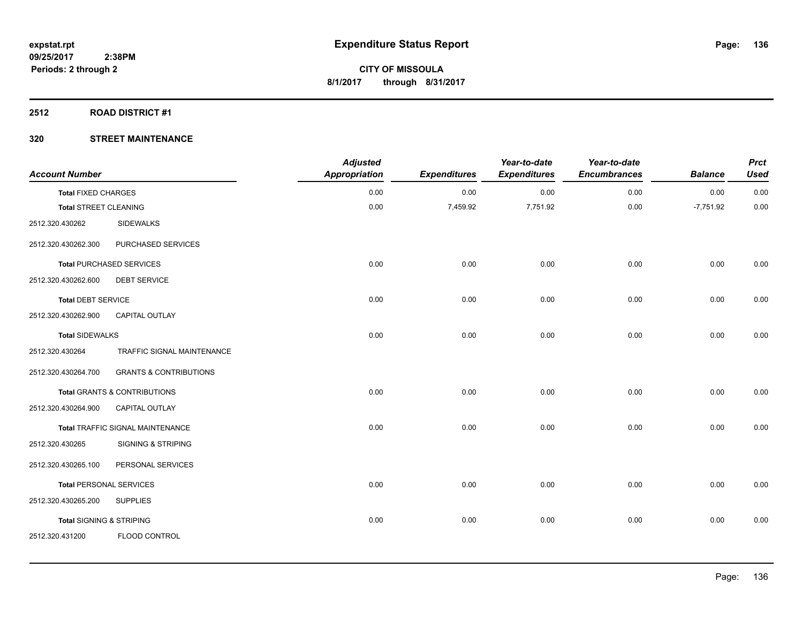#### **2512 ROAD DISTRICT #1**

| <b>Account Number</b>               |                                   | <b>Adjusted</b><br><b>Appropriation</b> | <b>Expenditures</b> | Year-to-date<br><b>Expenditures</b> | Year-to-date<br><b>Encumbrances</b> | <b>Balance</b> | <b>Prct</b><br><b>Used</b> |
|-------------------------------------|-----------------------------------|-----------------------------------------|---------------------|-------------------------------------|-------------------------------------|----------------|----------------------------|
| <b>Total FIXED CHARGES</b>          |                                   | 0.00                                    | 0.00                | 0.00                                | 0.00                                | 0.00           | 0.00                       |
| <b>Total STREET CLEANING</b>        |                                   | 0.00                                    | 7,459.92            | 7,751.92                            | 0.00                                | $-7,751.92$    | 0.00                       |
| 2512.320.430262                     | <b>SIDEWALKS</b>                  |                                         |                     |                                     |                                     |                |                            |
| 2512.320.430262.300                 | PURCHASED SERVICES                |                                         |                     |                                     |                                     |                |                            |
|                                     | <b>Total PURCHASED SERVICES</b>   | 0.00                                    | 0.00                | 0.00                                | 0.00                                | 0.00           | 0.00                       |
| 2512.320.430262.600                 | <b>DEBT SERVICE</b>               |                                         |                     |                                     |                                     |                |                            |
| <b>Total DEBT SERVICE</b>           |                                   | 0.00                                    | 0.00                | 0.00                                | 0.00                                | 0.00           | 0.00                       |
| 2512.320.430262.900                 | CAPITAL OUTLAY                    |                                         |                     |                                     |                                     |                |                            |
| <b>Total SIDEWALKS</b>              |                                   | 0.00                                    | 0.00                | 0.00                                | 0.00                                | 0.00           | 0.00                       |
| 2512.320.430264                     | TRAFFIC SIGNAL MAINTENANCE        |                                         |                     |                                     |                                     |                |                            |
| 2512.320.430264.700                 | <b>GRANTS &amp; CONTRIBUTIONS</b> |                                         |                     |                                     |                                     |                |                            |
|                                     | Total GRANTS & CONTRIBUTIONS      | 0.00                                    | 0.00                | 0.00                                | 0.00                                | 0.00           | 0.00                       |
| 2512.320.430264.900                 | <b>CAPITAL OUTLAY</b>             |                                         |                     |                                     |                                     |                |                            |
|                                     | Total TRAFFIC SIGNAL MAINTENANCE  | 0.00                                    | 0.00                | 0.00                                | 0.00                                | 0.00           | 0.00                       |
| 2512.320.430265                     | <b>SIGNING &amp; STRIPING</b>     |                                         |                     |                                     |                                     |                |                            |
| 2512.320.430265.100                 | PERSONAL SERVICES                 |                                         |                     |                                     |                                     |                |                            |
| <b>Total PERSONAL SERVICES</b>      |                                   | 0.00                                    | 0.00                | 0.00                                | 0.00                                | 0.00           | 0.00                       |
| 2512.320.430265.200                 | <b>SUPPLIES</b>                   |                                         |                     |                                     |                                     |                |                            |
| <b>Total SIGNING &amp; STRIPING</b> |                                   | 0.00                                    | 0.00                | 0.00                                | 0.00                                | 0.00           | 0.00                       |
| 2512.320.431200                     | FLOOD CONTROL                     |                                         |                     |                                     |                                     |                |                            |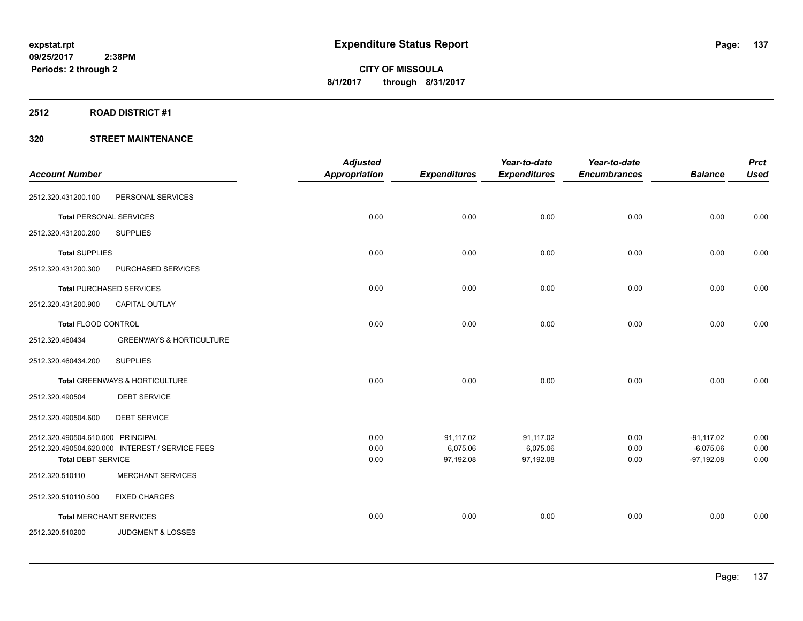## **2512 ROAD DISTRICT #1**

|                                   |                                                 | <b>Adjusted</b>      |                       | Year-to-date          | Year-to-date        |                             | <b>Prct</b>  |
|-----------------------------------|-------------------------------------------------|----------------------|-----------------------|-----------------------|---------------------|-----------------------------|--------------|
| <b>Account Number</b>             |                                                 | <b>Appropriation</b> | <b>Expenditures</b>   | <b>Expenditures</b>   | <b>Encumbrances</b> | <b>Balance</b>              | <b>Used</b>  |
| 2512.320.431200.100               | PERSONAL SERVICES                               |                      |                       |                       |                     |                             |              |
| <b>Total PERSONAL SERVICES</b>    |                                                 | 0.00                 | 0.00                  | 0.00                  | 0.00                | 0.00                        | 0.00         |
| 2512.320.431200.200               | <b>SUPPLIES</b>                                 |                      |                       |                       |                     |                             |              |
| <b>Total SUPPLIES</b>             |                                                 | 0.00                 | 0.00                  | 0.00                  | 0.00                | 0.00                        | 0.00         |
| 2512.320.431200.300               | PURCHASED SERVICES                              |                      |                       |                       |                     |                             |              |
| <b>Total PURCHASED SERVICES</b>   |                                                 | 0.00                 | 0.00                  | 0.00                  | 0.00                | 0.00                        | 0.00         |
| 2512.320.431200.900               | <b>CAPITAL OUTLAY</b>                           |                      |                       |                       |                     |                             |              |
| Total FLOOD CONTROL               |                                                 | 0.00                 | 0.00                  | 0.00                  | 0.00                | 0.00                        | 0.00         |
| 2512.320.460434                   | <b>GREENWAYS &amp; HORTICULTURE</b>             |                      |                       |                       |                     |                             |              |
| 2512.320.460434.200               | <b>SUPPLIES</b>                                 |                      |                       |                       |                     |                             |              |
|                                   | Total GREENWAYS & HORTICULTURE                  | 0.00                 | 0.00                  | 0.00                  | 0.00                | 0.00                        | 0.00         |
| 2512.320.490504                   | <b>DEBT SERVICE</b>                             |                      |                       |                       |                     |                             |              |
| 2512.320.490504.600               | <b>DEBT SERVICE</b>                             |                      |                       |                       |                     |                             |              |
| 2512.320.490504.610.000 PRINCIPAL |                                                 | 0.00                 | 91,117.02             | 91,117.02             | 0.00                | $-91,117.02$                | 0.00         |
| <b>Total DEBT SERVICE</b>         | 2512.320.490504.620.000 INTEREST / SERVICE FEES | 0.00<br>0.00         | 6,075.06<br>97,192.08 | 6,075.06<br>97,192.08 | 0.00<br>0.00        | $-6,075.06$<br>$-97,192.08$ | 0.00<br>0.00 |
| 2512.320.510110                   | <b>MERCHANT SERVICES</b>                        |                      |                       |                       |                     |                             |              |
| 2512.320.510110.500               | <b>FIXED CHARGES</b>                            |                      |                       |                       |                     |                             |              |
| <b>Total MERCHANT SERVICES</b>    |                                                 | 0.00                 | 0.00                  | 0.00                  | 0.00                | 0.00                        | 0.00         |
| 2512.320.510200                   | <b>JUDGMENT &amp; LOSSES</b>                    |                      |                       |                       |                     |                             |              |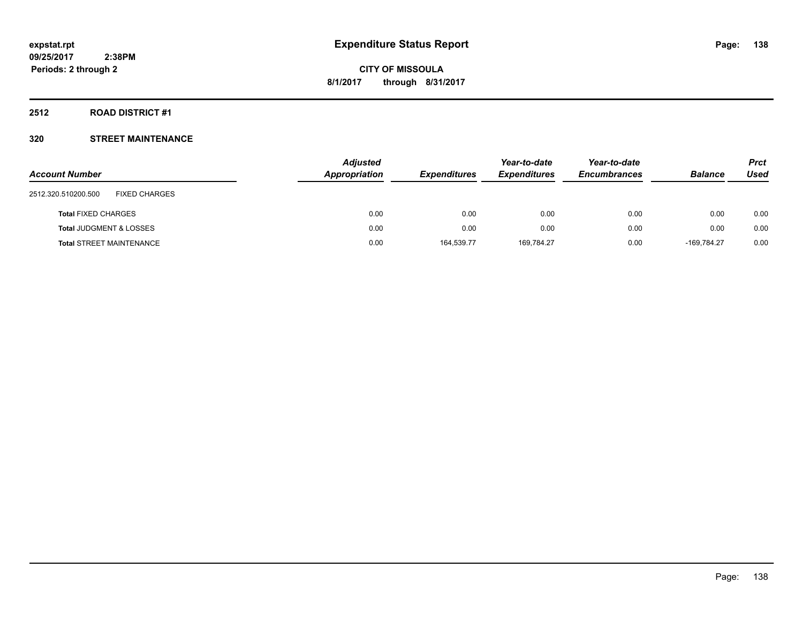#### **2512 ROAD DISTRICT #1**

|                                             | <b>Adjusted</b> |                     | Year-to-date        | Year-to-date        |                | <b>Prct</b> |
|---------------------------------------------|-----------------|---------------------|---------------------|---------------------|----------------|-------------|
| <b>Account Number</b>                       | Appropriation   | <b>Expenditures</b> | <b>Expenditures</b> | <b>Encumbrances</b> | <b>Balance</b> | Used        |
| 2512.320.510200.500<br><b>FIXED CHARGES</b> |                 |                     |                     |                     |                |             |
| <b>Total FIXED CHARGES</b>                  | 0.00            | 0.00                | 0.00                | 0.00                | 0.00           | 0.00        |
| <b>Total JUDGMENT &amp; LOSSES</b>          | 0.00            | 0.00                | 0.00                | 0.00                | 0.00           | 0.00        |
| <b>Total STREET MAINTENANCE</b>             | 0.00            | 164.539.77          | 169,784.27          | 0.00                | -169.784.27    | 0.00        |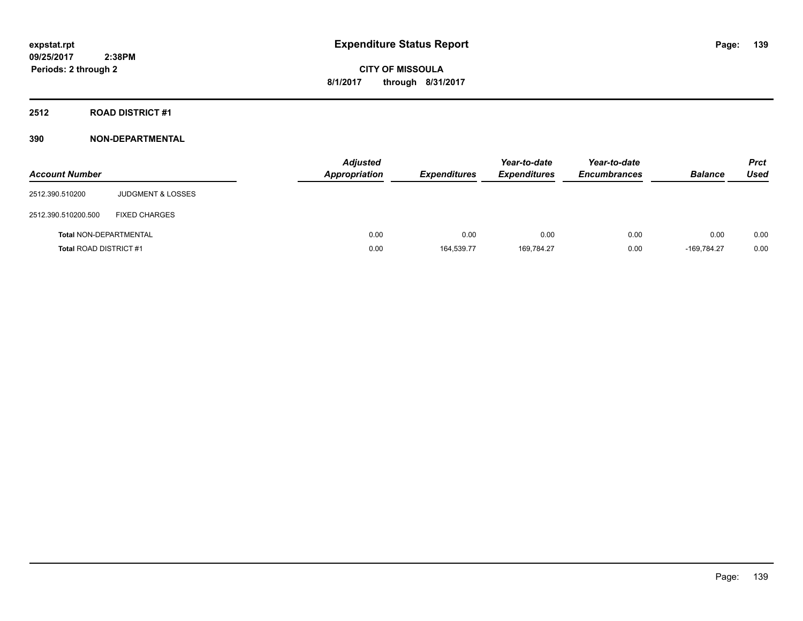## **2512 ROAD DISTRICT #1**

| <b>Account Number</b>         |                              | <b>Adjusted</b><br><b>Appropriation</b> | <b>Expenditures</b> | Year-to-date<br><b>Expenditures</b> | Year-to-date<br><b>Encumbrances</b> | <b>Balance</b> | <b>Prct</b><br>Used |
|-------------------------------|------------------------------|-----------------------------------------|---------------------|-------------------------------------|-------------------------------------|----------------|---------------------|
| 2512.390.510200               | <b>JUDGMENT &amp; LOSSES</b> |                                         |                     |                                     |                                     |                |                     |
| 2512.390.510200.500           | <b>FIXED CHARGES</b>         |                                         |                     |                                     |                                     |                |                     |
| <b>Total NON-DEPARTMENTAL</b> |                              | 0.00                                    | 0.00                | 0.00                                | 0.00                                | 0.00           | 0.00                |
| <b>Total ROAD DISTRICT #1</b> |                              | 0.00                                    | 164.539.77          | 169.784.27                          | 0.00                                | $-169.784.27$  | 0.00                |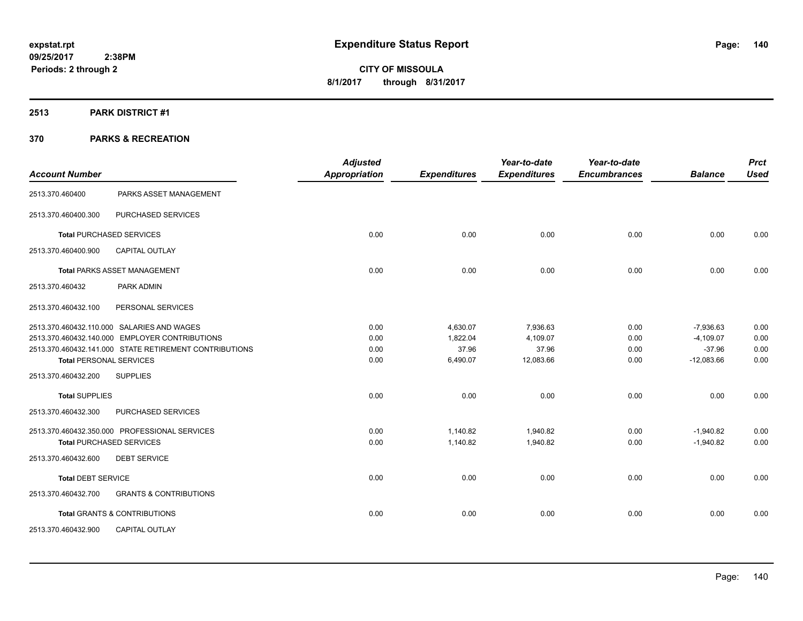#### **2513 PARK DISTRICT #1**

| <b>Account Number</b>          |                                                        | <b>Adjusted</b><br><b>Appropriation</b> | <b>Expenditures</b> | Year-to-date<br><b>Expenditures</b> | Year-to-date<br><b>Encumbrances</b> | <b>Balance</b> | <b>Prct</b><br><b>Used</b> |
|--------------------------------|--------------------------------------------------------|-----------------------------------------|---------------------|-------------------------------------|-------------------------------------|----------------|----------------------------|
| 2513.370.460400                | PARKS ASSET MANAGEMENT                                 |                                         |                     |                                     |                                     |                |                            |
| 2513.370.460400.300            | PURCHASED SERVICES                                     |                                         |                     |                                     |                                     |                |                            |
|                                | <b>Total PURCHASED SERVICES</b>                        | 0.00                                    | 0.00                | 0.00                                | 0.00                                | 0.00           | 0.00                       |
| 2513.370.460400.900            | CAPITAL OUTLAY                                         |                                         |                     |                                     |                                     |                |                            |
|                                | <b>Total PARKS ASSET MANAGEMENT</b>                    | 0.00                                    | 0.00                | 0.00                                | 0.00                                | 0.00           | 0.00                       |
| 2513.370.460432                | PARK ADMIN                                             |                                         |                     |                                     |                                     |                |                            |
| 2513.370.460432.100            | PERSONAL SERVICES                                      |                                         |                     |                                     |                                     |                |                            |
|                                | 2513.370.460432.110.000 SALARIES AND WAGES             | 0.00                                    | 4,630.07            | 7,936.63                            | 0.00                                | $-7,936.63$    | 0.00                       |
|                                | 2513.370.460432.140.000 EMPLOYER CONTRIBUTIONS         | 0.00                                    | 1,822.04            | 4,109.07                            | 0.00                                | $-4,109.07$    | 0.00                       |
|                                | 2513.370.460432.141.000 STATE RETIREMENT CONTRIBUTIONS | 0.00                                    | 37.96               | 37.96                               | 0.00                                | $-37.96$       | 0.00                       |
| <b>Total PERSONAL SERVICES</b> |                                                        | 0.00                                    | 6,490.07            | 12,083.66                           | 0.00                                | $-12,083.66$   | 0.00                       |
| 2513.370.460432.200            | <b>SUPPLIES</b>                                        |                                         |                     |                                     |                                     |                |                            |
| <b>Total SUPPLIES</b>          |                                                        | 0.00                                    | 0.00                | 0.00                                | 0.00                                | 0.00           | 0.00                       |
| 2513.370.460432.300            | PURCHASED SERVICES                                     |                                         |                     |                                     |                                     |                |                            |
|                                | 2513.370.460432.350.000 PROFESSIONAL SERVICES          | 0.00                                    | 1,140.82            | 1,940.82                            | 0.00                                | $-1,940.82$    | 0.00                       |
|                                | <b>Total PURCHASED SERVICES</b>                        | 0.00                                    | 1,140.82            | 1,940.82                            | 0.00                                | $-1,940.82$    | 0.00                       |
| 2513.370.460432.600            | <b>DEBT SERVICE</b>                                    |                                         |                     |                                     |                                     |                |                            |
| <b>Total DEBT SERVICE</b>      |                                                        | 0.00                                    | 0.00                | 0.00                                | 0.00                                | 0.00           | 0.00                       |
| 2513.370.460432.700            | <b>GRANTS &amp; CONTRIBUTIONS</b>                      |                                         |                     |                                     |                                     |                |                            |
|                                | <b>Total GRANTS &amp; CONTRIBUTIONS</b>                | 0.00                                    | 0.00                | 0.00                                | 0.00                                | 0.00           | 0.00                       |
| 2513.370.460432.900            | <b>CAPITAL OUTLAY</b>                                  |                                         |                     |                                     |                                     |                |                            |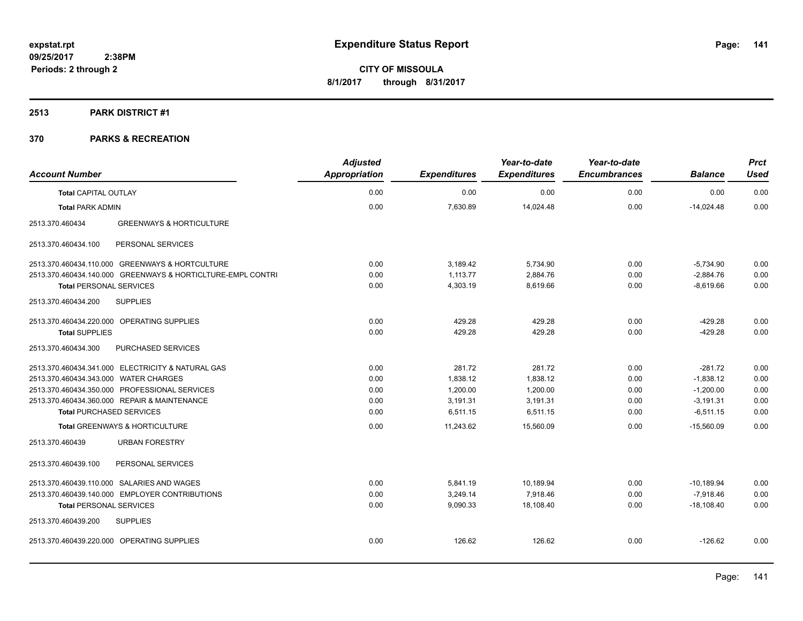#### **2513 PARK DISTRICT #1**

| <b>Account Number</b>                 |                                                             | <b>Adjusted</b><br>Appropriation | <b>Expenditures</b> | Year-to-date<br><b>Expenditures</b> | Year-to-date<br><b>Encumbrances</b> | <b>Balance</b> | <b>Prct</b><br><b>Used</b> |
|---------------------------------------|-------------------------------------------------------------|----------------------------------|---------------------|-------------------------------------|-------------------------------------|----------------|----------------------------|
| <b>Total CAPITAL OUTLAY</b>           |                                                             | 0.00                             | 0.00                | 0.00                                | 0.00                                | 0.00           | 0.00                       |
| <b>Total PARK ADMIN</b>               |                                                             | 0.00                             | 7,630.89            | 14,024.48                           | 0.00                                | $-14,024.48$   | 0.00                       |
| 2513.370.460434                       | <b>GREENWAYS &amp; HORTICULTURE</b>                         |                                  |                     |                                     |                                     |                |                            |
| 2513.370.460434.100                   | PERSONAL SERVICES                                           |                                  |                     |                                     |                                     |                |                            |
|                                       | 2513.370.460434.110.000 GREENWAYS & HORTCULTURE             | 0.00                             | 3,189.42            | 5,734.90                            | 0.00                                | $-5,734.90$    | 0.00                       |
|                                       | 2513.370.460434.140.000 GREENWAYS & HORTICLTURE-EMPL CONTRI | 0.00                             | 1,113.77            | 2,884.76                            | 0.00                                | $-2,884.76$    | 0.00                       |
| <b>Total PERSONAL SERVICES</b>        |                                                             | 0.00                             | 4,303.19            | 8,619.66                            | 0.00                                | $-8,619.66$    | 0.00                       |
| 2513.370.460434.200                   | <b>SUPPLIES</b>                                             |                                  |                     |                                     |                                     |                |                            |
|                                       | 2513.370.460434.220.000 OPERATING SUPPLIES                  | 0.00                             | 429.28              | 429.28                              | 0.00                                | $-429.28$      | 0.00                       |
| <b>Total SUPPLIES</b>                 |                                                             | 0.00                             | 429.28              | 429.28                              | 0.00                                | $-429.28$      | 0.00                       |
| 2513.370.460434.300                   | PURCHASED SERVICES                                          |                                  |                     |                                     |                                     |                |                            |
|                                       | 2513.370.460434.341.000 ELECTRICITY & NATURAL GAS           | 0.00                             | 281.72              | 281.72                              | 0.00                                | $-281.72$      | 0.00                       |
| 2513.370.460434.343.000 WATER CHARGES |                                                             | 0.00                             | 1,838.12            | 1,838.12                            | 0.00                                | $-1,838.12$    | 0.00                       |
|                                       | 2513.370.460434.350.000 PROFESSIONAL SERVICES               | 0.00                             | 1,200.00            | 1,200.00                            | 0.00                                | $-1,200.00$    | 0.00                       |
|                                       | 2513.370.460434.360.000 REPAIR & MAINTENANCE                | 0.00                             | 3,191.31            | 3,191.31                            | 0.00                                | $-3,191.31$    | 0.00                       |
| <b>Total PURCHASED SERVICES</b>       |                                                             | 0.00                             | 6,511.15            | 6,511.15                            | 0.00                                | $-6,511.15$    | 0.00                       |
|                                       | <b>Total GREENWAYS &amp; HORTICULTURE</b>                   | 0.00                             | 11.243.62           | 15.560.09                           | 0.00                                | $-15.560.09$   | 0.00                       |
| 2513.370.460439                       | <b>URBAN FORESTRY</b>                                       |                                  |                     |                                     |                                     |                |                            |
| 2513.370.460439.100                   | PERSONAL SERVICES                                           |                                  |                     |                                     |                                     |                |                            |
|                                       | 2513.370.460439.110.000 SALARIES AND WAGES                  | 0.00                             | 5,841.19            | 10,189.94                           | 0.00                                | $-10,189.94$   | 0.00                       |
|                                       | 2513.370.460439.140.000 EMPLOYER CONTRIBUTIONS              | 0.00                             | 3,249.14            | 7,918.46                            | 0.00                                | $-7,918.46$    | 0.00                       |
| <b>Total PERSONAL SERVICES</b>        |                                                             | 0.00                             | 9,090.33            | 18,108.40                           | 0.00                                | $-18.108.40$   | 0.00                       |
| 2513.370.460439.200                   | <b>SUPPLIES</b>                                             |                                  |                     |                                     |                                     |                |                            |
|                                       | 2513.370.460439.220.000 OPERATING SUPPLIES                  | 0.00                             | 126.62              | 126.62                              | 0.00                                | $-126.62$      | 0.00                       |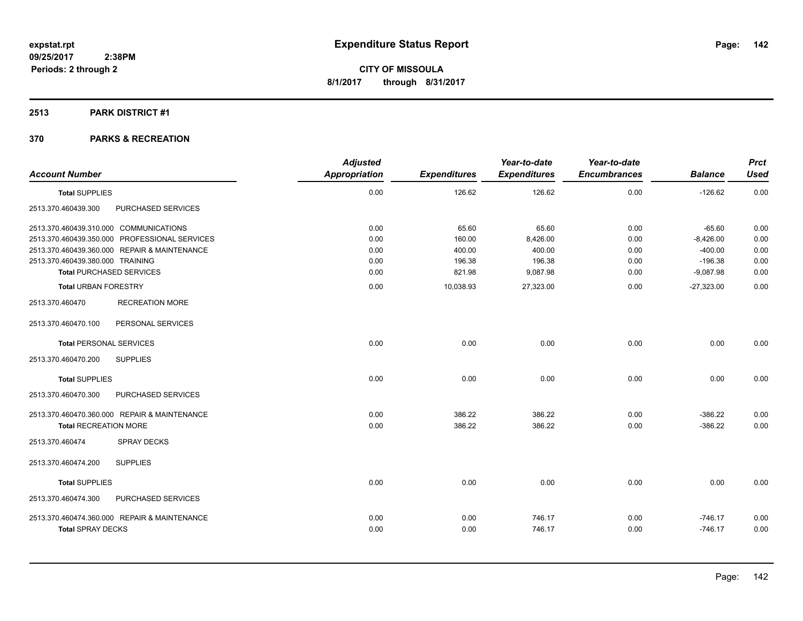## **2513 PARK DISTRICT #1**

|                                               | <b>Adjusted</b> |                     | Year-to-date        | Year-to-date        |                | <b>Prct</b> |
|-----------------------------------------------|-----------------|---------------------|---------------------|---------------------|----------------|-------------|
| <b>Account Number</b>                         | Appropriation   | <b>Expenditures</b> | <b>Expenditures</b> | <b>Encumbrances</b> | <b>Balance</b> | <b>Used</b> |
| <b>Total SUPPLIES</b>                         | 0.00            | 126.62              | 126.62              | 0.00                | $-126.62$      | 0.00        |
| 2513.370.460439.300<br>PURCHASED SERVICES     |                 |                     |                     |                     |                |             |
| 2513.370.460439.310.000 COMMUNICATIONS        | 0.00            | 65.60               | 65.60               | 0.00                | $-65.60$       | 0.00        |
| 2513.370.460439.350.000 PROFESSIONAL SERVICES | 0.00            | 160.00              | 8,426.00            | 0.00                | $-8,426.00$    | 0.00        |
| 2513.370.460439.360.000 REPAIR & MAINTENANCE  | 0.00            | 400.00              | 400.00              | 0.00                | $-400.00$      | 0.00        |
| 2513.370.460439.380.000 TRAINING              | 0.00            | 196.38              | 196.38              | 0.00                | $-196.38$      | 0.00        |
| <b>Total PURCHASED SERVICES</b>               | 0.00            | 821.98              | 9,087.98            | 0.00                | $-9,087.98$    | 0.00        |
| <b>Total URBAN FORESTRY</b>                   | 0.00            | 10,038.93           | 27,323.00           | 0.00                | $-27,323.00$   | 0.00        |
| <b>RECREATION MORE</b><br>2513.370.460470     |                 |                     |                     |                     |                |             |
| 2513.370.460470.100<br>PERSONAL SERVICES      |                 |                     |                     |                     |                |             |
| <b>Total PERSONAL SERVICES</b>                | 0.00            | 0.00                | 0.00                | 0.00                | 0.00           | 0.00        |
| 2513.370.460470.200<br><b>SUPPLIES</b>        |                 |                     |                     |                     |                |             |
| <b>Total SUPPLIES</b>                         | 0.00            | 0.00                | 0.00                | 0.00                | 0.00           | 0.00        |
| 2513.370.460470.300<br>PURCHASED SERVICES     |                 |                     |                     |                     |                |             |
| 2513.370.460470.360.000 REPAIR & MAINTENANCE  | 0.00            | 386.22              | 386.22              | 0.00                | $-386.22$      | 0.00        |
| <b>Total RECREATION MORE</b>                  | 0.00            | 386.22              | 386.22              | 0.00                | $-386.22$      | 0.00        |
| 2513.370.460474<br><b>SPRAY DECKS</b>         |                 |                     |                     |                     |                |             |
| <b>SUPPLIES</b><br>2513.370.460474.200        |                 |                     |                     |                     |                |             |
| <b>Total SUPPLIES</b>                         | 0.00            | 0.00                | 0.00                | 0.00                | 0.00           | 0.00        |
| 2513.370.460474.300<br>PURCHASED SERVICES     |                 |                     |                     |                     |                |             |
| 2513.370.460474.360.000 REPAIR & MAINTENANCE  | 0.00            | 0.00                | 746.17              | 0.00                | $-746.17$      | 0.00        |
| <b>Total SPRAY DECKS</b>                      | 0.00            | 0.00                | 746.17              | 0.00                | $-746.17$      | 0.00        |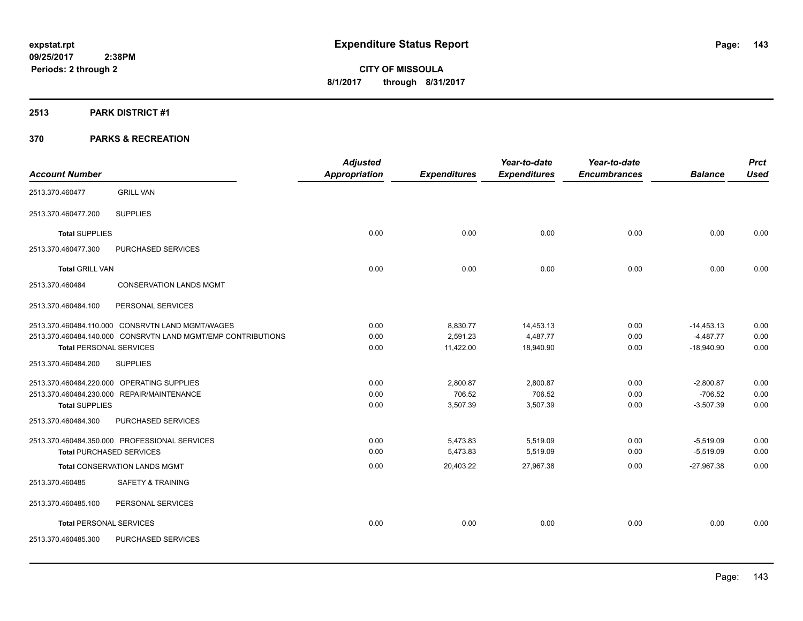#### **2513 PARK DISTRICT #1**

|                                 |                                                              | <b>Adjusted</b>      |                     | Year-to-date        | Year-to-date        |                | <b>Prct</b> |
|---------------------------------|--------------------------------------------------------------|----------------------|---------------------|---------------------|---------------------|----------------|-------------|
| <b>Account Number</b>           |                                                              | <b>Appropriation</b> | <b>Expenditures</b> | <b>Expenditures</b> | <b>Encumbrances</b> | <b>Balance</b> | <b>Used</b> |
| 2513.370.460477                 | <b>GRILL VAN</b>                                             |                      |                     |                     |                     |                |             |
| 2513.370.460477.200             | <b>SUPPLIES</b>                                              |                      |                     |                     |                     |                |             |
| <b>Total SUPPLIES</b>           |                                                              | 0.00                 | 0.00                | 0.00                | 0.00                | 0.00           | 0.00        |
| 2513.370.460477.300             | PURCHASED SERVICES                                           |                      |                     |                     |                     |                |             |
| <b>Total GRILL VAN</b>          |                                                              | 0.00                 | 0.00                | 0.00                | 0.00                | 0.00           | 0.00        |
| 2513.370.460484                 | <b>CONSERVATION LANDS MGMT</b>                               |                      |                     |                     |                     |                |             |
| 2513.370.460484.100             | PERSONAL SERVICES                                            |                      |                     |                     |                     |                |             |
|                                 | 2513.370.460484.110.000 CONSRVTN LAND MGMT/WAGES             | 0.00                 | 8,830.77            | 14,453.13           | 0.00                | $-14,453.13$   | 0.00        |
|                                 | 2513.370.460484.140.000 CONSRVTN LAND MGMT/EMP CONTRIBUTIONS | 0.00                 | 2,591.23            | 4,487.77            | 0.00                | $-4,487.77$    | 0.00        |
| <b>Total PERSONAL SERVICES</b>  |                                                              | 0.00                 | 11,422.00           | 18,940.90           | 0.00                | $-18,940.90$   | 0.00        |
| 2513.370.460484.200             | <b>SUPPLIES</b>                                              |                      |                     |                     |                     |                |             |
|                                 | 2513.370.460484.220.000 OPERATING SUPPLIES                   | 0.00                 | 2,800.87            | 2,800.87            | 0.00                | $-2,800.87$    | 0.00        |
|                                 | 2513.370.460484.230.000 REPAIR/MAINTENANCE                   | 0.00                 | 706.52              | 706.52              | 0.00                | $-706.52$      | 0.00        |
| <b>Total SUPPLIES</b>           |                                                              | 0.00                 | 3,507.39            | 3,507.39            | 0.00                | $-3,507.39$    | 0.00        |
| 2513.370.460484.300             | PURCHASED SERVICES                                           |                      |                     |                     |                     |                |             |
|                                 | 2513.370.460484.350.000 PROFESSIONAL SERVICES                | 0.00                 | 5,473.83            | 5,519.09            | 0.00                | $-5,519.09$    | 0.00        |
| <b>Total PURCHASED SERVICES</b> |                                                              | 0.00                 | 5,473.83            | 5,519.09            | 0.00                | $-5,519.09$    | 0.00        |
|                                 | <b>Total CONSERVATION LANDS MGMT</b>                         | 0.00                 | 20,403.22           | 27,967.38           | 0.00                | $-27,967.38$   | 0.00        |
| 2513.370.460485                 | SAFETY & TRAINING                                            |                      |                     |                     |                     |                |             |
| 2513.370.460485.100             | PERSONAL SERVICES                                            |                      |                     |                     |                     |                |             |
| <b>Total PERSONAL SERVICES</b>  |                                                              | 0.00                 | 0.00                | 0.00                | 0.00                | 0.00           | 0.00        |
| 2513.370.460485.300             | PURCHASED SERVICES                                           |                      |                     |                     |                     |                |             |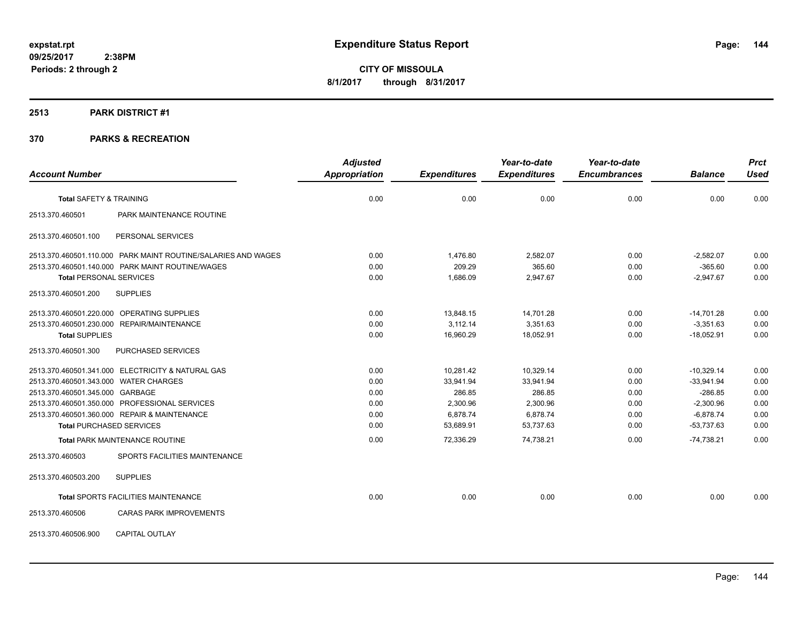#### **2513 PARK DISTRICT #1**

|                                       |                                                               | <b>Adjusted</b> |                     | Year-to-date        | Year-to-date        |                | <b>Prct</b> |
|---------------------------------------|---------------------------------------------------------------|-----------------|---------------------|---------------------|---------------------|----------------|-------------|
| <b>Account Number</b>                 |                                                               | Appropriation   | <b>Expenditures</b> | <b>Expenditures</b> | <b>Encumbrances</b> | <b>Balance</b> | <b>Used</b> |
| <b>Total SAFETY &amp; TRAINING</b>    |                                                               | 0.00            | 0.00                | 0.00                | 0.00                | 0.00           | 0.00        |
| 2513.370.460501                       | PARK MAINTENANCE ROUTINE                                      |                 |                     |                     |                     |                |             |
| 2513.370.460501.100                   | PERSONAL SERVICES                                             |                 |                     |                     |                     |                |             |
|                                       | 2513.370.460501.110.000 PARK MAINT ROUTINE/SALARIES AND WAGES | 0.00            | 1,476.80            | 2,582.07            | 0.00                | $-2,582.07$    | 0.00        |
|                                       | 2513.370.460501.140.000 PARK MAINT ROUTINE/WAGES              | 0.00            | 209.29              | 365.60              | 0.00                | $-365.60$      | 0.00        |
| <b>Total PERSONAL SERVICES</b>        |                                                               | 0.00            | 1,686.09            | 2,947.67            | 0.00                | $-2,947.67$    | 0.00        |
| 2513.370.460501.200                   | <b>SUPPLIES</b>                                               |                 |                     |                     |                     |                |             |
|                                       | 2513.370.460501.220.000 OPERATING SUPPLIES                    | 0.00            | 13,848.15           | 14,701.28           | 0.00                | $-14,701.28$   | 0.00        |
|                                       | 2513.370.460501.230.000 REPAIR/MAINTENANCE                    | 0.00            | 3,112.14            | 3,351.63            | 0.00                | $-3,351.63$    | 0.00        |
| <b>Total SUPPLIES</b>                 |                                                               | 0.00            | 16,960.29           | 18,052.91           | 0.00                | $-18,052.91$   | 0.00        |
| 2513.370.460501.300                   | PURCHASED SERVICES                                            |                 |                     |                     |                     |                |             |
|                                       | 2513.370.460501.341.000 ELECTRICITY & NATURAL GAS             | 0.00            | 10,281.42           | 10,329.14           | 0.00                | $-10,329.14$   | 0.00        |
| 2513.370.460501.343.000 WATER CHARGES |                                                               | 0.00            | 33,941.94           | 33,941.94           | 0.00                | $-33,941.94$   | 0.00        |
| 2513.370.460501.345.000 GARBAGE       |                                                               | 0.00            | 286.85              | 286.85              | 0.00                | $-286.85$      | 0.00        |
|                                       | 2513.370.460501.350.000 PROFESSIONAL SERVICES                 | 0.00            | 2,300.96            | 2,300.96            | 0.00                | $-2,300.96$    | 0.00        |
|                                       | 2513.370.460501.360.000 REPAIR & MAINTENANCE                  | 0.00            | 6,878.74            | 6,878.74            | 0.00                | $-6,878.74$    | 0.00        |
| <b>Total PURCHASED SERVICES</b>       |                                                               | 0.00            | 53.689.91           | 53,737.63           | 0.00                | $-53,737.63$   | 0.00        |
|                                       | <b>Total PARK MAINTENANCE ROUTINE</b>                         | 0.00            | 72,336.29           | 74,738.21           | 0.00                | $-74,738.21$   | 0.00        |
| 2513.370.460503                       | SPORTS FACILITIES MAINTENANCE                                 |                 |                     |                     |                     |                |             |
| 2513.370.460503.200                   | <b>SUPPLIES</b>                                               |                 |                     |                     |                     |                |             |
|                                       | Total SPORTS FACILITIES MAINTENANCE                           | 0.00            | 0.00                | 0.00                | 0.00                | 0.00           | 0.00        |
| 2513.370.460506                       | <b>CARAS PARK IMPROVEMENTS</b>                                |                 |                     |                     |                     |                |             |
| 2513.370.460506.900                   | <b>CAPITAL OUTLAY</b>                                         |                 |                     |                     |                     |                |             |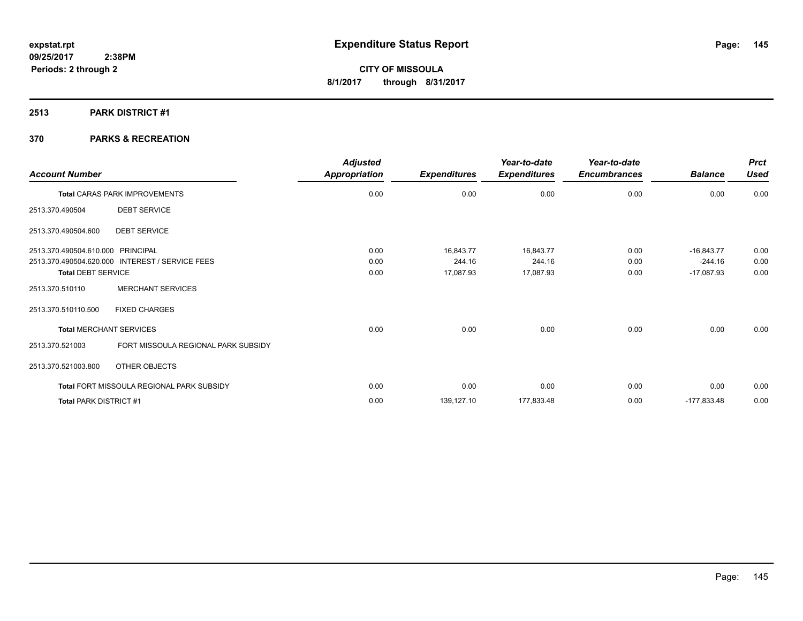# **2513 PARK DISTRICT #1**

# **370 PARKS & RECREATION**

| <b>Account Number</b>                                  | <b>Adjusted</b><br>Appropriation | <b>Expenditures</b> | Year-to-date<br><b>Expenditures</b> | Year-to-date<br><b>Encumbrances</b> | <b>Balance</b> | <b>Prct</b><br><b>Used</b> |
|--------------------------------------------------------|----------------------------------|---------------------|-------------------------------------|-------------------------------------|----------------|----------------------------|
| <b>Total CARAS PARK IMPROVEMENTS</b>                   | 0.00                             | 0.00                | 0.00                                | 0.00                                | 0.00           | 0.00                       |
| <b>DEBT SERVICE</b><br>2513.370.490504                 |                                  |                     |                                     |                                     |                |                            |
| 2513.370.490504.600<br><b>DEBT SERVICE</b>             |                                  |                     |                                     |                                     |                |                            |
| 2513.370.490504.610.000 PRINCIPAL                      | 0.00                             | 16,843.77           | 16,843.77                           | 0.00                                | $-16,843.77$   | 0.00                       |
| 2513.370.490504.620.000 INTEREST / SERVICE FEES        | 0.00                             | 244.16              | 244.16                              | 0.00                                | $-244.16$      | 0.00                       |
| <b>Total DEBT SERVICE</b>                              | 0.00                             | 17,087.93           | 17,087.93                           | 0.00                                | $-17,087.93$   | 0.00                       |
| <b>MERCHANT SERVICES</b><br>2513.370.510110            |                                  |                     |                                     |                                     |                |                            |
| <b>FIXED CHARGES</b><br>2513.370.510110.500            |                                  |                     |                                     |                                     |                |                            |
| <b>Total MERCHANT SERVICES</b>                         | 0.00                             | 0.00                | 0.00                                | 0.00                                | 0.00           | 0.00                       |
| FORT MISSOULA REGIONAL PARK SUBSIDY<br>2513.370.521003 |                                  |                     |                                     |                                     |                |                            |
| 2513.370.521003.800<br>OTHER OBJECTS                   |                                  |                     |                                     |                                     |                |                            |
| Total FORT MISSOULA REGIONAL PARK SUBSIDY              | 0.00                             | 0.00                | 0.00                                | 0.00                                | 0.00           | 0.00                       |
| Total PARK DISTRICT #1                                 | 0.00                             | 139,127.10          | 177,833.48                          | 0.00                                | $-177,833.48$  | 0.00                       |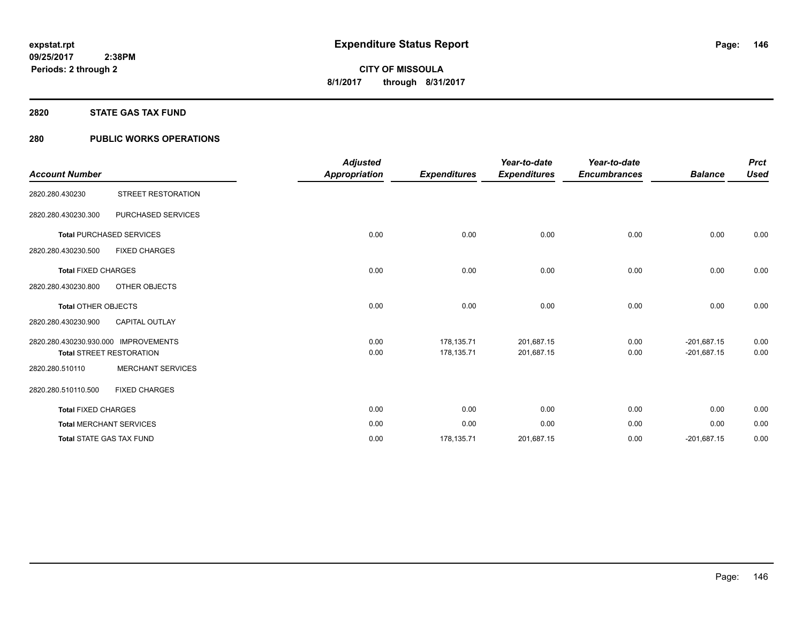#### **2820 STATE GAS TAX FUND**

# **280 PUBLIC WORKS OPERATIONS**

|                                      |                                 | <b>Adjusted</b>      |                     | Year-to-date        | Year-to-date        |                | <b>Prct</b> |
|--------------------------------------|---------------------------------|----------------------|---------------------|---------------------|---------------------|----------------|-------------|
| <b>Account Number</b>                |                                 | <b>Appropriation</b> | <b>Expenditures</b> | <b>Expenditures</b> | <b>Encumbrances</b> | <b>Balance</b> | <b>Used</b> |
| 2820.280.430230                      | STREET RESTORATION              |                      |                     |                     |                     |                |             |
| 2820.280.430230.300                  | PURCHASED SERVICES              |                      |                     |                     |                     |                |             |
|                                      | <b>Total PURCHASED SERVICES</b> | 0.00                 | 0.00                | 0.00                | 0.00                | 0.00           | 0.00        |
| 2820.280.430230.500                  | <b>FIXED CHARGES</b>            |                      |                     |                     |                     |                |             |
| <b>Total FIXED CHARGES</b>           |                                 | 0.00                 | 0.00                | 0.00                | 0.00                | 0.00           | 0.00        |
| 2820.280.430230.800                  | <b>OTHER OBJECTS</b>            |                      |                     |                     |                     |                |             |
| <b>Total OTHER OBJECTS</b>           |                                 | 0.00                 | 0.00                | 0.00                | 0.00                | 0.00           | 0.00        |
| 2820.280.430230.900                  | <b>CAPITAL OUTLAY</b>           |                      |                     |                     |                     |                |             |
| 2820.280.430230.930.000 IMPROVEMENTS |                                 | 0.00                 | 178,135.71          | 201,687.15          | 0.00                | $-201,687.15$  | 0.00        |
|                                      | <b>Total STREET RESTORATION</b> | 0.00                 | 178,135.71          | 201,687.15          | 0.00                | $-201,687.15$  | 0.00        |
| 2820.280.510110                      | <b>MERCHANT SERVICES</b>        |                      |                     |                     |                     |                |             |
| 2820.280.510110.500                  | <b>FIXED CHARGES</b>            |                      |                     |                     |                     |                |             |
| <b>Total FIXED CHARGES</b>           |                                 | 0.00                 | 0.00                | 0.00                | 0.00                | 0.00           | 0.00        |
|                                      | <b>Total MERCHANT SERVICES</b>  | 0.00                 | 0.00                | 0.00                | 0.00                | 0.00           | 0.00        |
|                                      | <b>Total STATE GAS TAX FUND</b> | 0.00                 | 178,135.71          | 201,687.15          | 0.00                | $-201,687.15$  | 0.00        |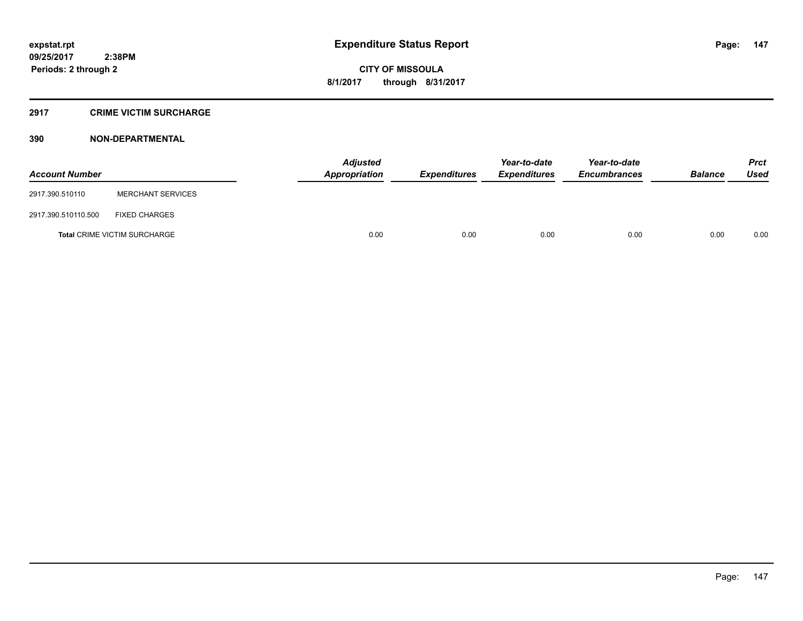#### **2917 CRIME VICTIM SURCHARGE**

| <b>Account Number</b> |                                     | Adjusted<br><b>Appropriation</b> | <b>Expenditures</b> | Year-to-date<br><b>Expenditures</b> | Year-to-date<br><b>Encumbrances</b> | <b>Balance</b> | <b>Prct</b><br><b>Used</b> |
|-----------------------|-------------------------------------|----------------------------------|---------------------|-------------------------------------|-------------------------------------|----------------|----------------------------|
| 2917.390.510110       | <b>MERCHANT SERVICES</b>            |                                  |                     |                                     |                                     |                |                            |
| 2917.390.510110.500   | <b>FIXED CHARGES</b>                |                                  |                     |                                     |                                     |                |                            |
|                       | <b>Total CRIME VICTIM SURCHARGE</b> | 0.00                             | 0.00                | 0.00                                | 0.00                                | 0.00           | 0.00                       |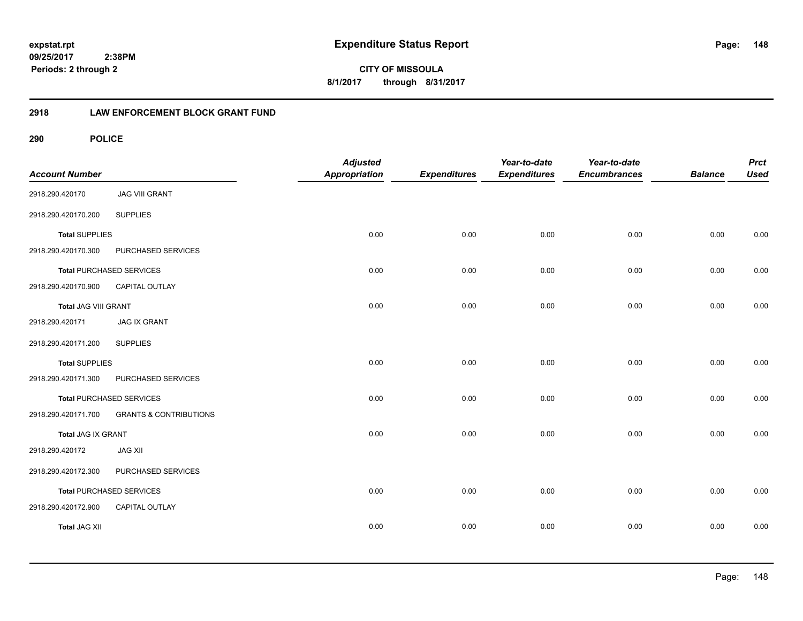**148**

**09/25/2017 2:38PM Periods: 2 through 2**

**CITY OF MISSOULA 8/1/2017 through 8/31/2017**

# **2918 LAW ENFORCEMENT BLOCK GRANT FUND**

| <b>Account Number</b> |                                   | <b>Adjusted</b><br>Appropriation | <b>Expenditures</b> | Year-to-date<br><b>Expenditures</b> | Year-to-date<br><b>Encumbrances</b> | <b>Balance</b> | <b>Prct</b><br><b>Used</b> |
|-----------------------|-----------------------------------|----------------------------------|---------------------|-------------------------------------|-------------------------------------|----------------|----------------------------|
| 2918.290.420170       | <b>JAG VIII GRANT</b>             |                                  |                     |                                     |                                     |                |                            |
| 2918.290.420170.200   | <b>SUPPLIES</b>                   |                                  |                     |                                     |                                     |                |                            |
| <b>Total SUPPLIES</b> |                                   | 0.00                             | 0.00                | 0.00                                | 0.00                                | 0.00           | 0.00                       |
| 2918.290.420170.300   | PURCHASED SERVICES                |                                  |                     |                                     |                                     |                |                            |
|                       | <b>Total PURCHASED SERVICES</b>   | 0.00                             | 0.00                | 0.00                                | 0.00                                | 0.00           | 0.00                       |
| 2918.290.420170.900   | CAPITAL OUTLAY                    |                                  |                     |                                     |                                     |                |                            |
| Total JAG VIII GRANT  |                                   | 0.00                             | 0.00                | 0.00                                | 0.00                                | 0.00           | 0.00                       |
| 2918.290.420171       | <b>JAG IX GRANT</b>               |                                  |                     |                                     |                                     |                |                            |
| 2918.290.420171.200   | <b>SUPPLIES</b>                   |                                  |                     |                                     |                                     |                |                            |
| <b>Total SUPPLIES</b> |                                   | 0.00                             | 0.00                | 0.00                                | 0.00                                | 0.00           | 0.00                       |
| 2918.290.420171.300   | PURCHASED SERVICES                |                                  |                     |                                     |                                     |                |                            |
|                       | <b>Total PURCHASED SERVICES</b>   | 0.00                             | 0.00                | 0.00                                | 0.00                                | 0.00           | 0.00                       |
| 2918.290.420171.700   | <b>GRANTS &amp; CONTRIBUTIONS</b> |                                  |                     |                                     |                                     |                |                            |
| Total JAG IX GRANT    |                                   | 0.00                             | 0.00                | 0.00                                | 0.00                                | 0.00           | 0.00                       |
| 2918.290.420172       | <b>JAG XII</b>                    |                                  |                     |                                     |                                     |                |                            |
| 2918.290.420172.300   | PURCHASED SERVICES                |                                  |                     |                                     |                                     |                |                            |
|                       | Total PURCHASED SERVICES          | 0.00                             | 0.00                | 0.00                                | 0.00                                | 0.00           | 0.00                       |
| 2918.290.420172.900   | CAPITAL OUTLAY                    |                                  |                     |                                     |                                     |                |                            |
| <b>Total JAG XII</b>  |                                   | 0.00                             | 0.00                | 0.00                                | 0.00                                | 0.00           | 0.00                       |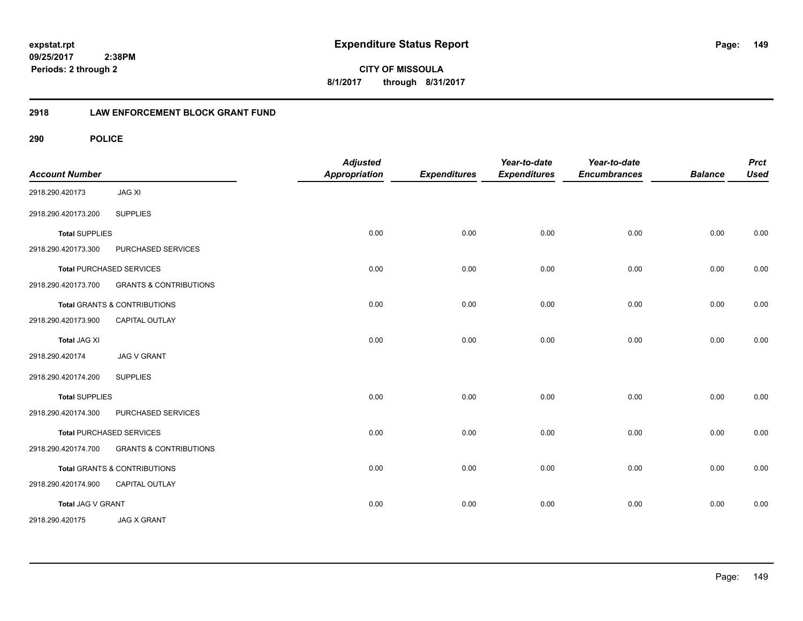**CITY OF MISSOULA 8/1/2017 through 8/31/2017**

# **2918 LAW ENFORCEMENT BLOCK GRANT FUND**

| <b>Account Number</b> |                                         | <b>Adjusted</b><br><b>Appropriation</b> | <b>Expenditures</b> | Year-to-date<br><b>Expenditures</b> | Year-to-date<br><b>Encumbrances</b> | <b>Balance</b> | <b>Prct</b><br><b>Used</b> |
|-----------------------|-----------------------------------------|-----------------------------------------|---------------------|-------------------------------------|-------------------------------------|----------------|----------------------------|
| 2918.290.420173       | <b>JAG XI</b>                           |                                         |                     |                                     |                                     |                |                            |
| 2918.290.420173.200   | <b>SUPPLIES</b>                         |                                         |                     |                                     |                                     |                |                            |
| <b>Total SUPPLIES</b> |                                         | 0.00                                    | 0.00                | 0.00                                | 0.00                                | 0.00           | 0.00                       |
| 2918.290.420173.300   | PURCHASED SERVICES                      |                                         |                     |                                     |                                     |                |                            |
|                       | <b>Total PURCHASED SERVICES</b>         | 0.00                                    | 0.00                | 0.00                                | 0.00                                | 0.00           | 0.00                       |
| 2918.290.420173.700   | <b>GRANTS &amp; CONTRIBUTIONS</b>       |                                         |                     |                                     |                                     |                |                            |
|                       | <b>Total GRANTS &amp; CONTRIBUTIONS</b> | 0.00                                    | 0.00                | 0.00                                | 0.00                                | 0.00           | 0.00                       |
| 2918.290.420173.900   | CAPITAL OUTLAY                          |                                         |                     |                                     |                                     |                |                            |
| <b>Total JAG XI</b>   |                                         | 0.00                                    | 0.00                | 0.00                                | 0.00                                | 0.00           | 0.00                       |
| 2918.290.420174       | <b>JAG V GRANT</b>                      |                                         |                     |                                     |                                     |                |                            |
| 2918.290.420174.200   | <b>SUPPLIES</b>                         |                                         |                     |                                     |                                     |                |                            |
| <b>Total SUPPLIES</b> |                                         | 0.00                                    | 0.00                | 0.00                                | 0.00                                | 0.00           | 0.00                       |
| 2918.290.420174.300   | PURCHASED SERVICES                      |                                         |                     |                                     |                                     |                |                            |
|                       | <b>Total PURCHASED SERVICES</b>         | 0.00                                    | 0.00                | 0.00                                | 0.00                                | 0.00           | 0.00                       |
| 2918.290.420174.700   | <b>GRANTS &amp; CONTRIBUTIONS</b>       |                                         |                     |                                     |                                     |                |                            |
|                       | <b>Total GRANTS &amp; CONTRIBUTIONS</b> | 0.00                                    | 0.00                | 0.00                                | 0.00                                | 0.00           | 0.00                       |
| 2918.290.420174.900   | <b>CAPITAL OUTLAY</b>                   |                                         |                     |                                     |                                     |                |                            |
| Total JAG V GRANT     |                                         | 0.00                                    | 0.00                | 0.00                                | 0.00                                | 0.00           | 0.00                       |
| 2918.290.420175       | <b>JAG X GRANT</b>                      |                                         |                     |                                     |                                     |                |                            |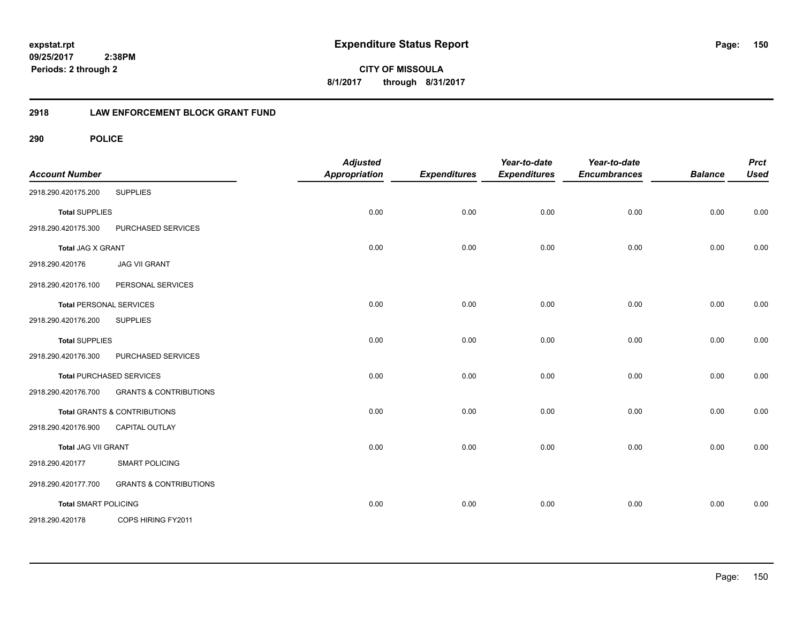**CITY OF MISSOULA 8/1/2017 through 8/31/2017**

# **2918 LAW ENFORCEMENT BLOCK GRANT FUND**

| <b>Account Number</b>       |                                   | <b>Adjusted</b><br><b>Appropriation</b> | <b>Expenditures</b> | Year-to-date<br><b>Expenditures</b> | Year-to-date<br><b>Encumbrances</b> | <b>Balance</b> | <b>Prct</b><br><b>Used</b> |
|-----------------------------|-----------------------------------|-----------------------------------------|---------------------|-------------------------------------|-------------------------------------|----------------|----------------------------|
| 2918.290.420175.200         | <b>SUPPLIES</b>                   |                                         |                     |                                     |                                     |                |                            |
| <b>Total SUPPLIES</b>       |                                   | 0.00                                    | 0.00                | 0.00                                | 0.00                                | 0.00           | 0.00                       |
| 2918.290.420175.300         | PURCHASED SERVICES                |                                         |                     |                                     |                                     |                |                            |
| Total JAG X GRANT           |                                   | 0.00                                    | 0.00                | 0.00                                | 0.00                                | 0.00           | 0.00                       |
| 2918.290.420176             | <b>JAG VII GRANT</b>              |                                         |                     |                                     |                                     |                |                            |
| 2918.290.420176.100         | PERSONAL SERVICES                 |                                         |                     |                                     |                                     |                |                            |
|                             | <b>Total PERSONAL SERVICES</b>    | 0.00                                    | 0.00                | 0.00                                | 0.00                                | 0.00           | 0.00                       |
| 2918.290.420176.200         | <b>SUPPLIES</b>                   |                                         |                     |                                     |                                     |                |                            |
| <b>Total SUPPLIES</b>       |                                   | 0.00                                    | 0.00                | 0.00                                | 0.00                                | 0.00           | 0.00                       |
| 2918.290.420176.300         | PURCHASED SERVICES                |                                         |                     |                                     |                                     |                |                            |
|                             | <b>Total PURCHASED SERVICES</b>   | 0.00                                    | 0.00                | 0.00                                | 0.00                                | 0.00           | 0.00                       |
| 2918.290.420176.700         | <b>GRANTS &amp; CONTRIBUTIONS</b> |                                         |                     |                                     |                                     |                |                            |
|                             | Total GRANTS & CONTRIBUTIONS      | 0.00                                    | 0.00                | 0.00                                | 0.00                                | 0.00           | 0.00                       |
| 2918.290.420176.900         | CAPITAL OUTLAY                    |                                         |                     |                                     |                                     |                |                            |
| Total JAG VII GRANT         |                                   | 0.00                                    | 0.00                | 0.00                                | 0.00                                | 0.00           | 0.00                       |
| 2918.290.420177             | <b>SMART POLICING</b>             |                                         |                     |                                     |                                     |                |                            |
| 2918.290.420177.700         | <b>GRANTS &amp; CONTRIBUTIONS</b> |                                         |                     |                                     |                                     |                |                            |
| <b>Total SMART POLICING</b> |                                   | 0.00                                    | 0.00                | 0.00                                | 0.00                                | 0.00           | 0.00                       |
| 2918.290.420178             | COPS HIRING FY2011                |                                         |                     |                                     |                                     |                |                            |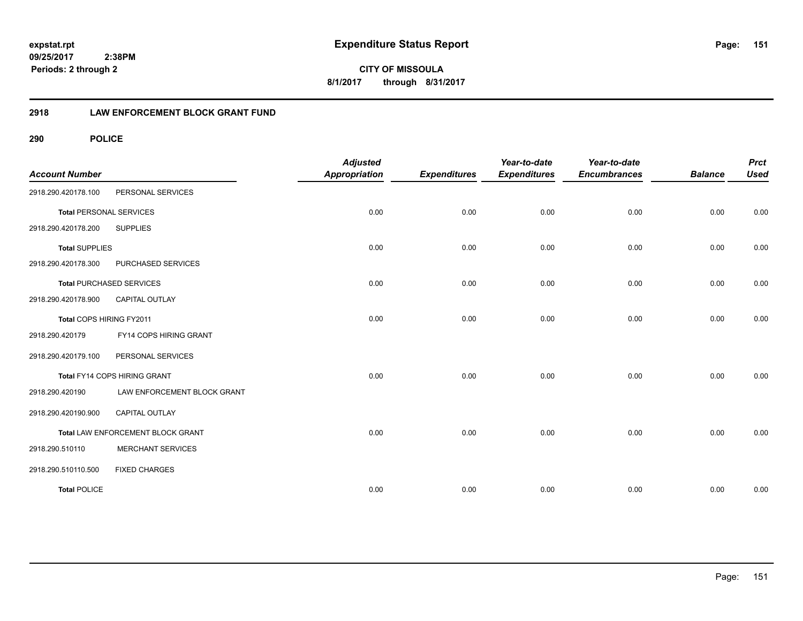**CITY OF MISSOULA 8/1/2017 through 8/31/2017**

# **2918 LAW ENFORCEMENT BLOCK GRANT FUND**

| <b>Account Number</b>          |                                   | <b>Adjusted</b><br><b>Appropriation</b> | <b>Expenditures</b> | Year-to-date<br><b>Expenditures</b> | Year-to-date<br><b>Encumbrances</b> | <b>Balance</b> | <b>Prct</b><br><b>Used</b> |
|--------------------------------|-----------------------------------|-----------------------------------------|---------------------|-------------------------------------|-------------------------------------|----------------|----------------------------|
| 2918.290.420178.100            | PERSONAL SERVICES                 |                                         |                     |                                     |                                     |                |                            |
| <b>Total PERSONAL SERVICES</b> |                                   | 0.00                                    | 0.00                | 0.00                                | 0.00                                | 0.00           | 0.00                       |
| 2918.290.420178.200            | <b>SUPPLIES</b>                   |                                         |                     |                                     |                                     |                |                            |
| <b>Total SUPPLIES</b>          |                                   | 0.00                                    | 0.00                | 0.00                                | 0.00                                | 0.00           | 0.00                       |
| 2918.290.420178.300            | PURCHASED SERVICES                |                                         |                     |                                     |                                     |                |                            |
|                                | <b>Total PURCHASED SERVICES</b>   | 0.00                                    | 0.00                | 0.00                                | 0.00                                | 0.00           | 0.00                       |
| 2918.290.420178.900            | <b>CAPITAL OUTLAY</b>             |                                         |                     |                                     |                                     |                |                            |
| Total COPS HIRING FY2011       |                                   | 0.00                                    | 0.00                | 0.00                                | 0.00                                | 0.00           | 0.00                       |
| 2918.290.420179                | FY14 COPS HIRING GRANT            |                                         |                     |                                     |                                     |                |                            |
| 2918.290.420179.100            | PERSONAL SERVICES                 |                                         |                     |                                     |                                     |                |                            |
|                                | Total FY14 COPS HIRING GRANT      | 0.00                                    | 0.00                | 0.00                                | 0.00                                | 0.00           | 0.00                       |
| 2918.290.420190                | LAW ENFORCEMENT BLOCK GRANT       |                                         |                     |                                     |                                     |                |                            |
| 2918.290.420190.900            | <b>CAPITAL OUTLAY</b>             |                                         |                     |                                     |                                     |                |                            |
|                                | Total LAW ENFORCEMENT BLOCK GRANT | 0.00                                    | 0.00                | 0.00                                | 0.00                                | 0.00           | 0.00                       |
| 2918.290.510110                | <b>MERCHANT SERVICES</b>          |                                         |                     |                                     |                                     |                |                            |
| 2918.290.510110.500            | <b>FIXED CHARGES</b>              |                                         |                     |                                     |                                     |                |                            |
| <b>Total POLICE</b>            |                                   | 0.00                                    | 0.00                | 0.00                                | 0.00                                | 0.00           | 0.00                       |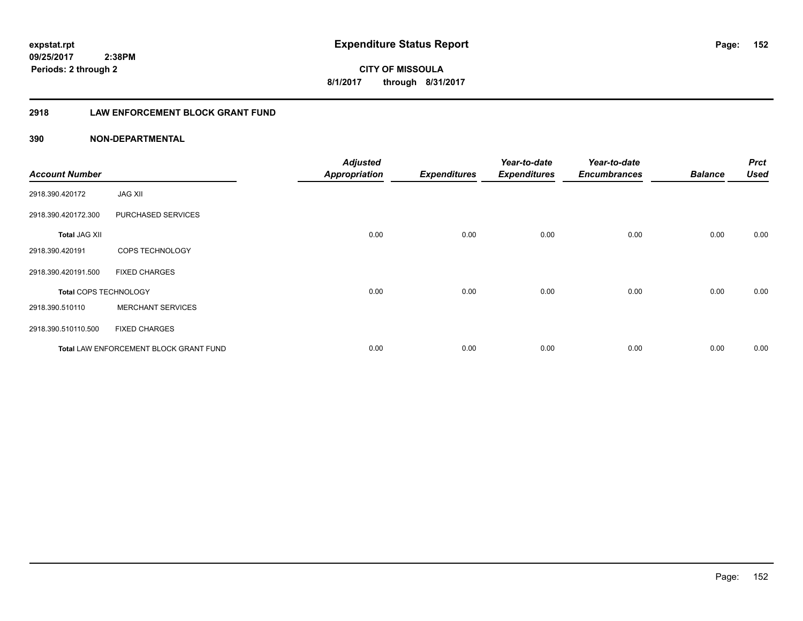**152**

**CITY OF MISSOULA 8/1/2017 through 8/31/2017**

# **2918 LAW ENFORCEMENT BLOCK GRANT FUND**

| <b>Account Number</b> |                                               | <b>Adjusted</b><br><b>Appropriation</b> | <b>Expenditures</b> | Year-to-date<br><b>Expenditures</b> | Year-to-date<br><b>Encumbrances</b> | <b>Balance</b> | <b>Prct</b><br><b>Used</b> |
|-----------------------|-----------------------------------------------|-----------------------------------------|---------------------|-------------------------------------|-------------------------------------|----------------|----------------------------|
| 2918.390.420172       | <b>JAG XII</b>                                |                                         |                     |                                     |                                     |                |                            |
| 2918.390.420172.300   | PURCHASED SERVICES                            |                                         |                     |                                     |                                     |                |                            |
| <b>Total JAG XII</b>  |                                               | 0.00                                    | 0.00                | 0.00                                | 0.00                                | 0.00           | 0.00                       |
| 2918.390.420191       | COPS TECHNOLOGY                               |                                         |                     |                                     |                                     |                |                            |
| 2918.390.420191.500   | <b>FIXED CHARGES</b>                          |                                         |                     |                                     |                                     |                |                            |
| Total COPS TECHNOLOGY |                                               | 0.00                                    | 0.00                | 0.00                                | 0.00                                | 0.00           | 0.00                       |
| 2918.390.510110       | <b>MERCHANT SERVICES</b>                      |                                         |                     |                                     |                                     |                |                            |
| 2918.390.510110.500   | <b>FIXED CHARGES</b>                          |                                         |                     |                                     |                                     |                |                            |
|                       | <b>Total LAW ENFORCEMENT BLOCK GRANT FUND</b> | 0.00                                    | 0.00                | 0.00                                | 0.00                                | 0.00           | 0.00                       |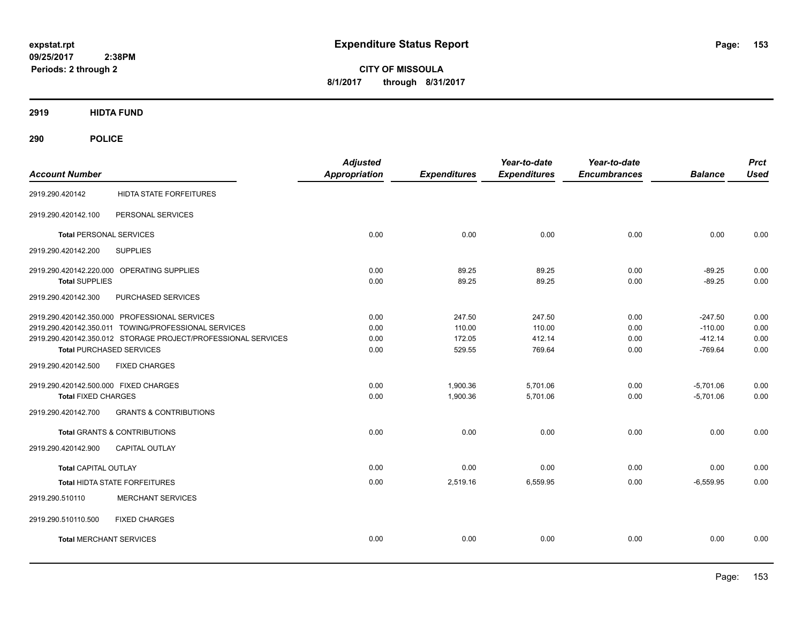**CITY OF MISSOULA 8/1/2017 through 8/31/2017**

**2919 HIDTA FUND**

| <b>Account Number</b>                 |                                                               | <b>Adjusted</b><br><b>Appropriation</b> | <b>Expenditures</b> | Year-to-date<br><b>Expenditures</b> | Year-to-date<br><b>Encumbrances</b> | <b>Balance</b> | <b>Prct</b><br><b>Used</b> |
|---------------------------------------|---------------------------------------------------------------|-----------------------------------------|---------------------|-------------------------------------|-------------------------------------|----------------|----------------------------|
| 2919.290.420142                       | <b>HIDTA STATE FORFEITURES</b>                                |                                         |                     |                                     |                                     |                |                            |
| 2919.290.420142.100                   | PERSONAL SERVICES                                             |                                         |                     |                                     |                                     |                |                            |
| <b>Total PERSONAL SERVICES</b>        |                                                               | 0.00                                    | 0.00                | 0.00                                | 0.00                                | 0.00           | 0.00                       |
| 2919.290.420142.200                   | <b>SUPPLIES</b>                                               |                                         |                     |                                     |                                     |                |                            |
|                                       | 2919.290.420142.220.000 OPERATING SUPPLIES                    | 0.00                                    | 89.25               | 89.25                               | 0.00                                | $-89.25$       | 0.00                       |
| <b>Total SUPPLIES</b>                 |                                                               | 0.00                                    | 89.25               | 89.25                               | 0.00                                | $-89.25$       | 0.00                       |
| 2919.290.420142.300                   | PURCHASED SERVICES                                            |                                         |                     |                                     |                                     |                |                            |
|                                       | 2919.290.420142.350.000 PROFESSIONAL SERVICES                 | 0.00                                    | 247.50              | 247.50                              | 0.00                                | $-247.50$      | 0.00                       |
|                                       | 2919.290.420142.350.011 TOWING/PROFESSIONAL SERVICES          | 0.00                                    | 110.00              | 110.00                              | 0.00                                | $-110.00$      | 0.00                       |
|                                       | 2919.290.420142.350.012 STORAGE PROJECT/PROFESSIONAL SERVICES | 0.00                                    | 172.05              | 412.14                              | 0.00                                | $-412.14$      | 0.00                       |
|                                       | <b>Total PURCHASED SERVICES</b>                               | 0.00                                    | 529.55              | 769.64                              | 0.00                                | $-769.64$      | 0.00                       |
| 2919.290.420142.500                   | <b>FIXED CHARGES</b>                                          |                                         |                     |                                     |                                     |                |                            |
| 2919.290.420142.500.000 FIXED CHARGES |                                                               | 0.00                                    | 1,900.36            | 5,701.06                            | 0.00                                | $-5,701.06$    | 0.00                       |
| <b>Total FIXED CHARGES</b>            |                                                               | 0.00                                    | 1,900.36            | 5,701.06                            | 0.00                                | $-5,701.06$    | 0.00                       |
| 2919.290.420142.700                   | <b>GRANTS &amp; CONTRIBUTIONS</b>                             |                                         |                     |                                     |                                     |                |                            |
|                                       | <b>Total GRANTS &amp; CONTRIBUTIONS</b>                       | 0.00                                    | 0.00                | 0.00                                | 0.00                                | 0.00           | 0.00                       |
| 2919.290.420142.900                   | CAPITAL OUTLAY                                                |                                         |                     |                                     |                                     |                |                            |
| <b>Total CAPITAL OUTLAY</b>           |                                                               | 0.00                                    | 0.00                | 0.00                                | 0.00                                | 0.00           | 0.00                       |
|                                       | Total HIDTA STATE FORFEITURES                                 | 0.00                                    | 2,519.16            | 6,559.95                            | 0.00                                | $-6,559.95$    | 0.00                       |
| 2919.290.510110                       | <b>MERCHANT SERVICES</b>                                      |                                         |                     |                                     |                                     |                |                            |
| 2919.290.510110.500                   | <b>FIXED CHARGES</b>                                          |                                         |                     |                                     |                                     |                |                            |
| <b>Total MERCHANT SERVICES</b>        |                                                               | 0.00                                    | 0.00                | 0.00                                | 0.00                                | 0.00           | 0.00                       |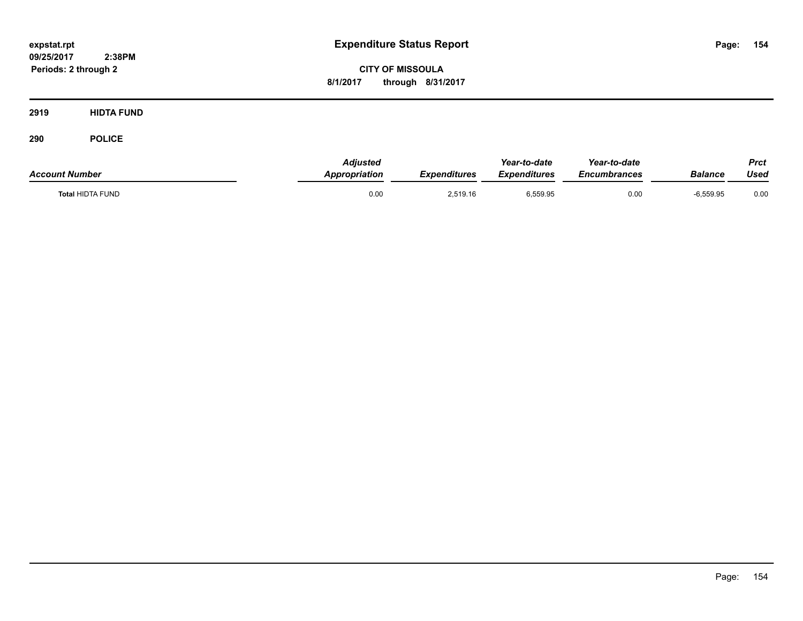**CITY OF MISSOULA 8/1/2017 through 8/31/2017**

**2919 HIDTA FUND**

| <b>Account Number</b>   | Adjusted<br>Appropriation | <b>Expenditures</b> | Year-to-date<br><b>Expenditures</b> | Year-to-date<br>Encumbrances | <b>Balance</b> | Prct<br>Used |
|-------------------------|---------------------------|---------------------|-------------------------------------|------------------------------|----------------|--------------|
| <b>Total HIDTA FUND</b> | 0.00                      | 2,519.16            | 6,559.95                            | 0.00                         | $-6,559.95$    | 0.00         |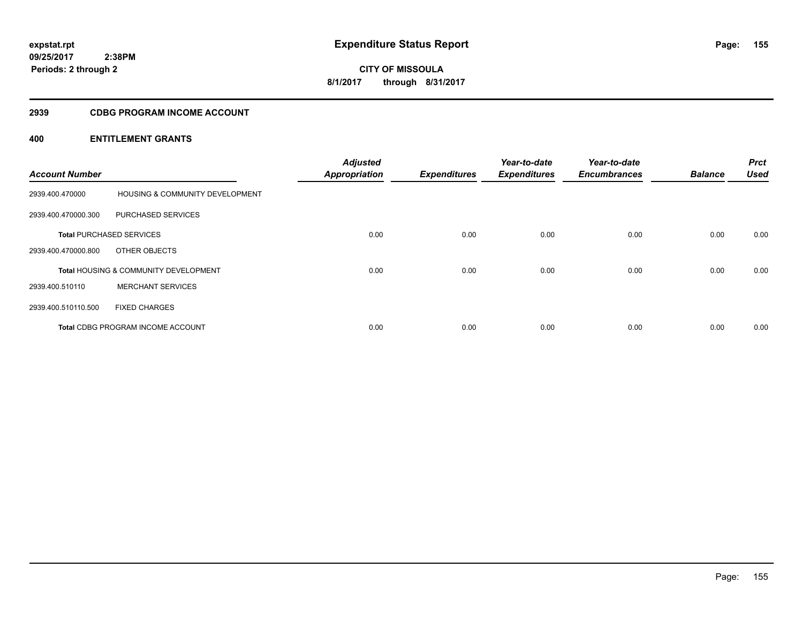**CITY OF MISSOULA 8/1/2017 through 8/31/2017**

#### **2939 CDBG PROGRAM INCOME ACCOUNT**

| <b>Account Number</b> |                                                  | <b>Adjusted</b><br><b>Appropriation</b> | <b>Expenditures</b> | Year-to-date<br><b>Expenditures</b> | Year-to-date<br><b>Encumbrances</b> | <b>Balance</b> | <b>Prct</b><br><b>Used</b> |
|-----------------------|--------------------------------------------------|-----------------------------------------|---------------------|-------------------------------------|-------------------------------------|----------------|----------------------------|
| 2939.400.470000       | <b>HOUSING &amp; COMMUNITY DEVELOPMENT</b>       |                                         |                     |                                     |                                     |                |                            |
| 2939.400.470000.300   | PURCHASED SERVICES                               |                                         |                     |                                     |                                     |                |                            |
|                       | <b>Total PURCHASED SERVICES</b>                  | 0.00                                    | 0.00                | 0.00                                | 0.00                                | 0.00           | 0.00                       |
| 2939.400.470000.800   | OTHER OBJECTS                                    |                                         |                     |                                     |                                     |                |                            |
|                       | <b>Total HOUSING &amp; COMMUNITY DEVELOPMENT</b> | 0.00                                    | 0.00                | 0.00                                | 0.00                                | 0.00           | 0.00                       |
| 2939.400.510110       | <b>MERCHANT SERVICES</b>                         |                                         |                     |                                     |                                     |                |                            |
| 2939.400.510110.500   | <b>FIXED CHARGES</b>                             |                                         |                     |                                     |                                     |                |                            |
|                       | <b>Total CDBG PROGRAM INCOME ACCOUNT</b>         | 0.00                                    | 0.00                | 0.00                                | 0.00                                | 0.00           | 0.00                       |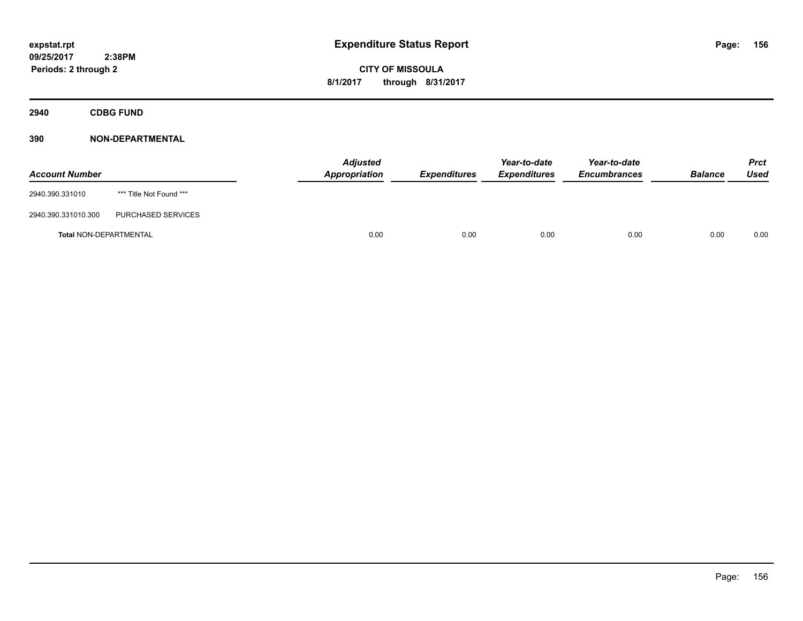**2940 CDBG FUND**

| <b>Account Number</b>         |                         | <b>Adjusted</b><br>Appropriation | <b>Expenditures</b> | Year-to-date<br><b>Expenditures</b> | Year-to-date<br><b>Encumbrances</b> | <b>Balance</b> | <b>Prct</b><br>Used |
|-------------------------------|-------------------------|----------------------------------|---------------------|-------------------------------------|-------------------------------------|----------------|---------------------|
| 2940.390.331010               | *** Title Not Found *** |                                  |                     |                                     |                                     |                |                     |
| 2940.390.331010.300           | PURCHASED SERVICES      |                                  |                     |                                     |                                     |                |                     |
| <b>Total NON-DEPARTMENTAL</b> |                         | 0.00                             | 0.00                | 0.00                                | 0.00                                | 0.00           | 0.00                |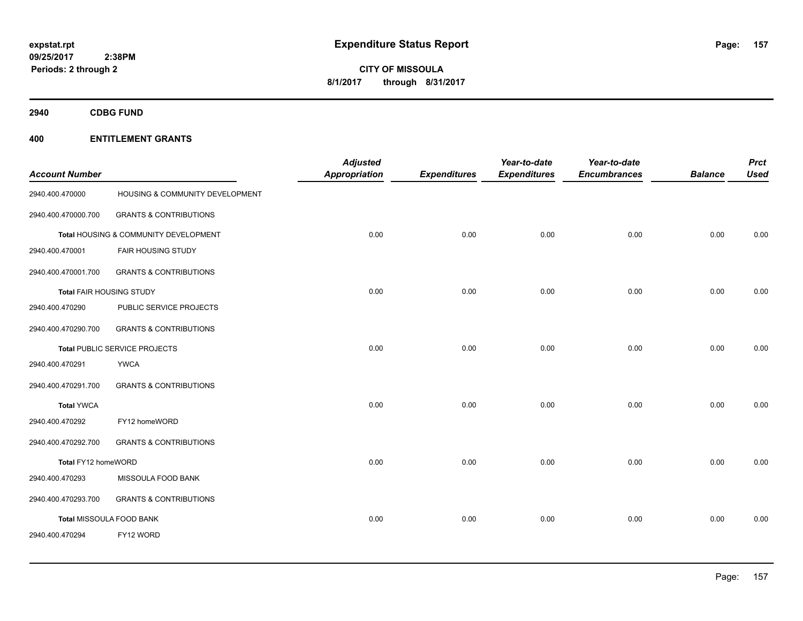**Periods: 2 through 2**

**157**

**CITY OF MISSOULA 8/1/2017 through 8/31/2017**

**2940 CDBG FUND**

# **400 ENTITLEMENT GRANTS**

 **2:38PM**

| <b>Account Number</b>    |                                       | <b>Adjusted</b><br><b>Appropriation</b> | <b>Expenditures</b> | Year-to-date<br><b>Expenditures</b> | Year-to-date<br><b>Encumbrances</b> | <b>Balance</b> | <b>Prct</b><br><b>Used</b> |
|--------------------------|---------------------------------------|-----------------------------------------|---------------------|-------------------------------------|-------------------------------------|----------------|----------------------------|
| 2940.400.470000          | HOUSING & COMMUNITY DEVELOPMENT       |                                         |                     |                                     |                                     |                |                            |
| 2940.400.470000.700      | <b>GRANTS &amp; CONTRIBUTIONS</b>     |                                         |                     |                                     |                                     |                |                            |
|                          | Total HOUSING & COMMUNITY DEVELOPMENT | 0.00                                    | 0.00                | 0.00                                | 0.00                                | 0.00           | 0.00                       |
| 2940.400.470001          | FAIR HOUSING STUDY                    |                                         |                     |                                     |                                     |                |                            |
| 2940.400.470001.700      | <b>GRANTS &amp; CONTRIBUTIONS</b>     |                                         |                     |                                     |                                     |                |                            |
| Total FAIR HOUSING STUDY |                                       | 0.00                                    | 0.00                | 0.00                                | 0.00                                | 0.00           | 0.00                       |
| 2940.400.470290          | PUBLIC SERVICE PROJECTS               |                                         |                     |                                     |                                     |                |                            |
| 2940.400.470290.700      | <b>GRANTS &amp; CONTRIBUTIONS</b>     |                                         |                     |                                     |                                     |                |                            |
|                          | Total PUBLIC SERVICE PROJECTS         | 0.00                                    | 0.00                | 0.00                                | 0.00                                | 0.00           | 0.00                       |
| 2940.400.470291          | <b>YWCA</b>                           |                                         |                     |                                     |                                     |                |                            |
| 2940.400.470291.700      | <b>GRANTS &amp; CONTRIBUTIONS</b>     |                                         |                     |                                     |                                     |                |                            |
| <b>Total YWCA</b>        |                                       | 0.00                                    | 0.00                | 0.00                                | 0.00                                | 0.00           | 0.00                       |
| 2940.400.470292          | FY12 homeWORD                         |                                         |                     |                                     |                                     |                |                            |
| 2940.400.470292.700      | <b>GRANTS &amp; CONTRIBUTIONS</b>     |                                         |                     |                                     |                                     |                |                            |
| Total FY12 homeWORD      |                                       | 0.00                                    | 0.00                | 0.00                                | 0.00                                | 0.00           | 0.00                       |
| 2940.400.470293          | MISSOULA FOOD BANK                    |                                         |                     |                                     |                                     |                |                            |
| 2940.400.470293.700      | <b>GRANTS &amp; CONTRIBUTIONS</b>     |                                         |                     |                                     |                                     |                |                            |
|                          | Total MISSOULA FOOD BANK              | 0.00                                    | 0.00                | 0.00                                | 0.00                                | 0.00           | 0.00                       |
| 2940.400.470294          | FY12 WORD                             |                                         |                     |                                     |                                     |                |                            |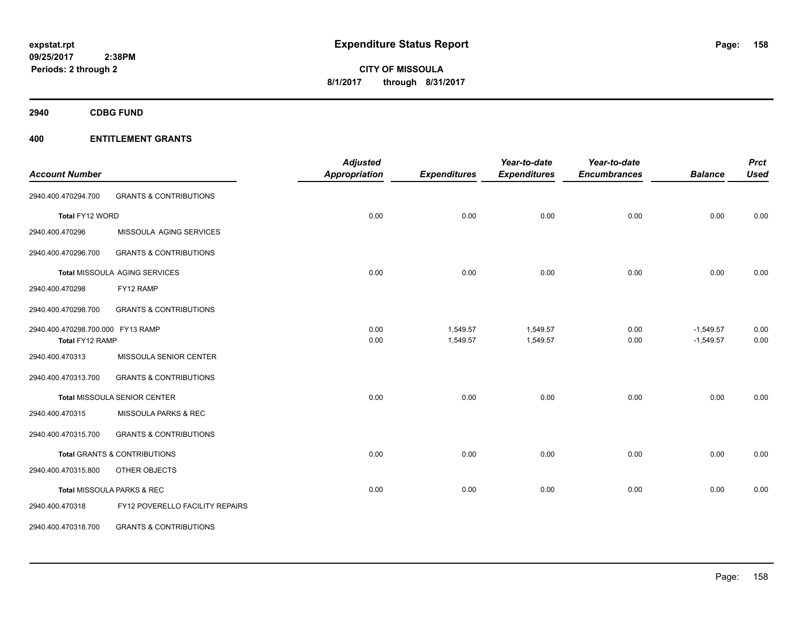**2940 CDBG FUND**

|                                                      |                                         | <b>Adjusted</b> |                      | Year-to-date         | Year-to-date        |                            | <b>Prct</b>  |
|------------------------------------------------------|-----------------------------------------|-----------------|----------------------|----------------------|---------------------|----------------------------|--------------|
| <b>Account Number</b>                                |                                         | Appropriation   | <b>Expenditures</b>  | <b>Expenditures</b>  | <b>Encumbrances</b> | <b>Balance</b>             | <b>Used</b>  |
| 2940.400.470294.700                                  | <b>GRANTS &amp; CONTRIBUTIONS</b>       |                 |                      |                      |                     |                            |              |
| Total FY12 WORD                                      |                                         | 0.00            | 0.00                 | 0.00                 | 0.00                | 0.00                       | 0.00         |
| 2940.400.470296                                      | MISSOULA AGING SERVICES                 |                 |                      |                      |                     |                            |              |
| 2940.400.470296.700                                  | <b>GRANTS &amp; CONTRIBUTIONS</b>       |                 |                      |                      |                     |                            |              |
|                                                      | Total MISSOULA AGING SERVICES           | 0.00            | 0.00                 | 0.00                 | 0.00                | 0.00                       | 0.00         |
| 2940.400.470298                                      | FY12 RAMP                               |                 |                      |                      |                     |                            |              |
| 2940.400.470298.700                                  | <b>GRANTS &amp; CONTRIBUTIONS</b>       |                 |                      |                      |                     |                            |              |
| 2940.400.470298.700.000 FY13 RAMP<br>Total FY12 RAMP |                                         | 0.00<br>0.00    | 1,549.57<br>1,549.57 | 1,549.57<br>1,549.57 | 0.00<br>0.00        | $-1,549.57$<br>$-1,549.57$ | 0.00<br>0.00 |
| 2940.400.470313                                      | MISSOULA SENIOR CENTER                  |                 |                      |                      |                     |                            |              |
| 2940.400.470313.700                                  | <b>GRANTS &amp; CONTRIBUTIONS</b>       |                 |                      |                      |                     |                            |              |
|                                                      | <b>Total MISSOULA SENIOR CENTER</b>     | 0.00            | 0.00                 | 0.00                 | 0.00                | 0.00                       | 0.00         |
| 2940.400.470315                                      | <b>MISSOULA PARKS &amp; REC</b>         |                 |                      |                      |                     |                            |              |
| 2940.400.470315.700                                  | <b>GRANTS &amp; CONTRIBUTIONS</b>       |                 |                      |                      |                     |                            |              |
|                                                      | <b>Total GRANTS &amp; CONTRIBUTIONS</b> | 0.00            | 0.00                 | 0.00                 | 0.00                | 0.00                       | 0.00         |
| 2940.400.470315.800                                  | OTHER OBJECTS                           |                 |                      |                      |                     |                            |              |
|                                                      | Total MISSOULA PARKS & REC              | 0.00            | 0.00                 | 0.00                 | 0.00                | 0.00                       | 0.00         |
| 2940.400.470318                                      | FY12 POVERELLO FACILITY REPAIRS         |                 |                      |                      |                     |                            |              |
| 2940.400.470318.700                                  | <b>GRANTS &amp; CONTRIBUTIONS</b>       |                 |                      |                      |                     |                            |              |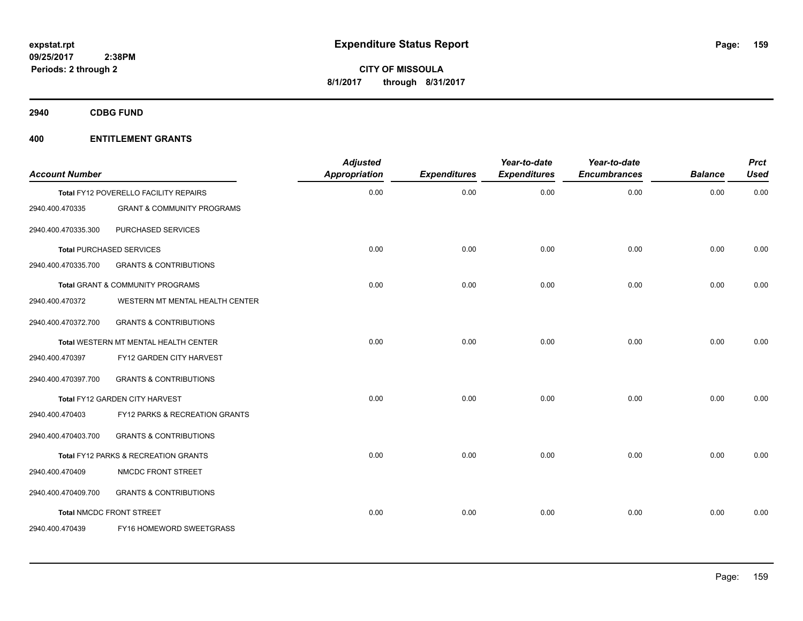**2940 CDBG FUND**

| <b>Account Number</b> |                                              | <b>Adjusted</b><br><b>Appropriation</b> | <b>Expenditures</b> | Year-to-date<br><b>Expenditures</b> | Year-to-date<br><b>Encumbrances</b> | <b>Balance</b> | <b>Prct</b><br><b>Used</b> |
|-----------------------|----------------------------------------------|-----------------------------------------|---------------------|-------------------------------------|-------------------------------------|----------------|----------------------------|
|                       | Total FY12 POVERELLO FACILITY REPAIRS        | 0.00                                    | 0.00                | 0.00                                | 0.00                                | 0.00           | 0.00                       |
| 2940.400.470335       | <b>GRANT &amp; COMMUNITY PROGRAMS</b>        |                                         |                     |                                     |                                     |                |                            |
| 2940.400.470335.300   | PURCHASED SERVICES                           |                                         |                     |                                     |                                     |                |                            |
|                       | <b>Total PURCHASED SERVICES</b>              | 0.00                                    | 0.00                | 0.00                                | 0.00                                | 0.00           | 0.00                       |
| 2940.400.470335.700   | <b>GRANTS &amp; CONTRIBUTIONS</b>            |                                         |                     |                                     |                                     |                |                            |
|                       | Total GRANT & COMMUNITY PROGRAMS             | 0.00                                    | 0.00                | 0.00                                | 0.00                                | 0.00           | 0.00                       |
| 2940.400.470372       | WESTERN MT MENTAL HEALTH CENTER              |                                         |                     |                                     |                                     |                |                            |
| 2940.400.470372.700   | <b>GRANTS &amp; CONTRIBUTIONS</b>            |                                         |                     |                                     |                                     |                |                            |
|                       | <b>Total WESTERN MT MENTAL HEALTH CENTER</b> | 0.00                                    | 0.00                | 0.00                                | 0.00                                | 0.00           | 0.00                       |
| 2940.400.470397       | FY12 GARDEN CITY HARVEST                     |                                         |                     |                                     |                                     |                |                            |
| 2940.400.470397.700   | <b>GRANTS &amp; CONTRIBUTIONS</b>            |                                         |                     |                                     |                                     |                |                            |
|                       | Total FY12 GARDEN CITY HARVEST               | 0.00                                    | 0.00                | 0.00                                | 0.00                                | 0.00           | 0.00                       |
| 2940.400.470403       | FY12 PARKS & RECREATION GRANTS               |                                         |                     |                                     |                                     |                |                            |
| 2940.400.470403.700   | <b>GRANTS &amp; CONTRIBUTIONS</b>            |                                         |                     |                                     |                                     |                |                            |
|                       | Total FY12 PARKS & RECREATION GRANTS         | 0.00                                    | 0.00                | 0.00                                | 0.00                                | 0.00           | 0.00                       |
| 2940.400.470409       | NMCDC FRONT STREET                           |                                         |                     |                                     |                                     |                |                            |
| 2940.400.470409.700   | <b>GRANTS &amp; CONTRIBUTIONS</b>            |                                         |                     |                                     |                                     |                |                            |
|                       | <b>Total NMCDC FRONT STREET</b>              | 0.00                                    | 0.00                | 0.00                                | 0.00                                | 0.00           | 0.00                       |
| 2940.400.470439       | FY16 HOMEWORD SWEETGRASS                     |                                         |                     |                                     |                                     |                |                            |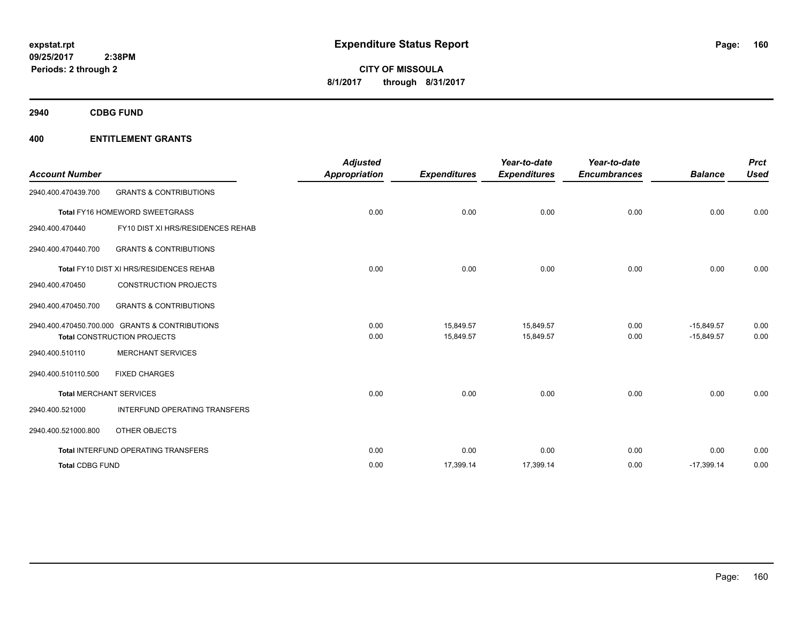**2940 CDBG FUND**

| <b>Account Number</b>  |                                                | <b>Adjusted</b><br><b>Appropriation</b> | <b>Expenditures</b> | Year-to-date<br><b>Expenditures</b> | Year-to-date<br><b>Encumbrances</b> | <b>Balance</b> | <b>Prct</b><br><b>Used</b> |
|------------------------|------------------------------------------------|-----------------------------------------|---------------------|-------------------------------------|-------------------------------------|----------------|----------------------------|
| 2940.400.470439.700    | <b>GRANTS &amp; CONTRIBUTIONS</b>              |                                         |                     |                                     |                                     |                |                            |
|                        | Total FY16 HOMEWORD SWEETGRASS                 | 0.00                                    | 0.00                | 0.00                                | 0.00                                | 0.00           | 0.00                       |
| 2940.400.470440        | FY10 DIST XI HRS/RESIDENCES REHAB              |                                         |                     |                                     |                                     |                |                            |
| 2940.400.470440.700    | <b>GRANTS &amp; CONTRIBUTIONS</b>              |                                         |                     |                                     |                                     |                |                            |
|                        | Total FY10 DIST XI HRS/RESIDENCES REHAB        | 0.00                                    | 0.00                | 0.00                                | 0.00                                | 0.00           | 0.00                       |
| 2940.400.470450        | <b>CONSTRUCTION PROJECTS</b>                   |                                         |                     |                                     |                                     |                |                            |
| 2940.400.470450.700    | <b>GRANTS &amp; CONTRIBUTIONS</b>              |                                         |                     |                                     |                                     |                |                            |
|                        | 2940.400.470450.700.000 GRANTS & CONTRIBUTIONS | 0.00                                    | 15,849.57           | 15,849.57                           | 0.00                                | $-15,849.57$   | 0.00                       |
|                        | <b>Total CONSTRUCTION PROJECTS</b>             | 0.00                                    | 15.849.57           | 15,849.57                           | 0.00                                | $-15.849.57$   | 0.00                       |
| 2940.400.510110        | <b>MERCHANT SERVICES</b>                       |                                         |                     |                                     |                                     |                |                            |
| 2940.400.510110.500    | <b>FIXED CHARGES</b>                           |                                         |                     |                                     |                                     |                |                            |
|                        | <b>Total MERCHANT SERVICES</b>                 | 0.00                                    | 0.00                | 0.00                                | 0.00                                | 0.00           | 0.00                       |
| 2940.400.521000        | <b>INTERFUND OPERATING TRANSFERS</b>           |                                         |                     |                                     |                                     |                |                            |
| 2940.400.521000.800    | OTHER OBJECTS                                  |                                         |                     |                                     |                                     |                |                            |
|                        | Total INTERFUND OPERATING TRANSFERS            | 0.00                                    | 0.00                | 0.00                                | 0.00                                | 0.00           | 0.00                       |
| <b>Total CDBG FUND</b> |                                                | 0.00                                    | 17,399.14           | 17,399.14                           | 0.00                                | $-17,399.14$   | 0.00                       |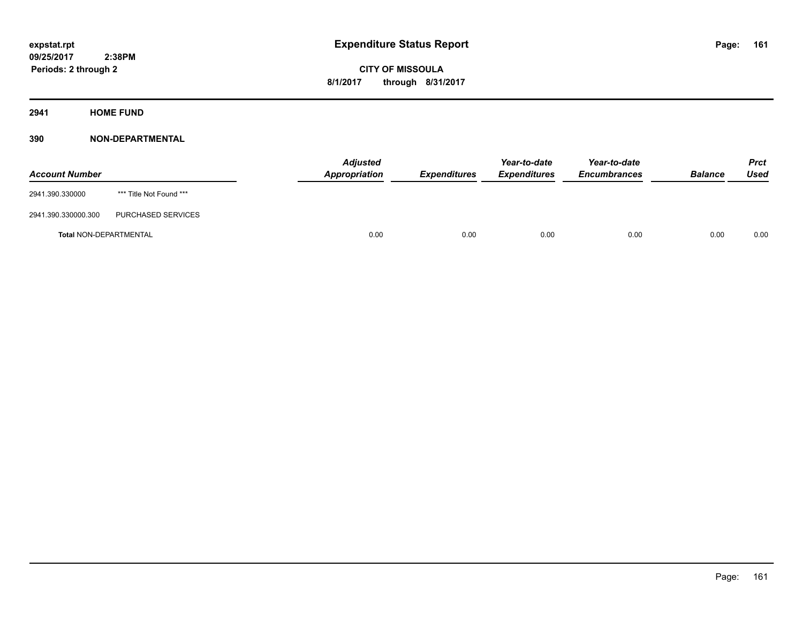**Periods: 2 through 2**

**CITY OF MISSOULA 8/1/2017 through 8/31/2017**

**2941 HOME FUND**

| <b>Account Number</b>         |                         | <b>Adjusted</b><br>Appropriation | <b>Expenditures</b> | Year-to-date<br><b>Expenditures</b> | Year-to-date<br><b>Encumbrances</b> | <b>Balance</b> | Prct<br>Used |
|-------------------------------|-------------------------|----------------------------------|---------------------|-------------------------------------|-------------------------------------|----------------|--------------|
| 2941.390.330000               | *** Title Not Found *** |                                  |                     |                                     |                                     |                |              |
| 2941.390.330000.300           | PURCHASED SERVICES      |                                  |                     |                                     |                                     |                |              |
| <b>Total NON-DEPARTMENTAL</b> |                         | 0.00                             | 0.00                | 0.00                                | 0.00                                | 0.00           | 0.00         |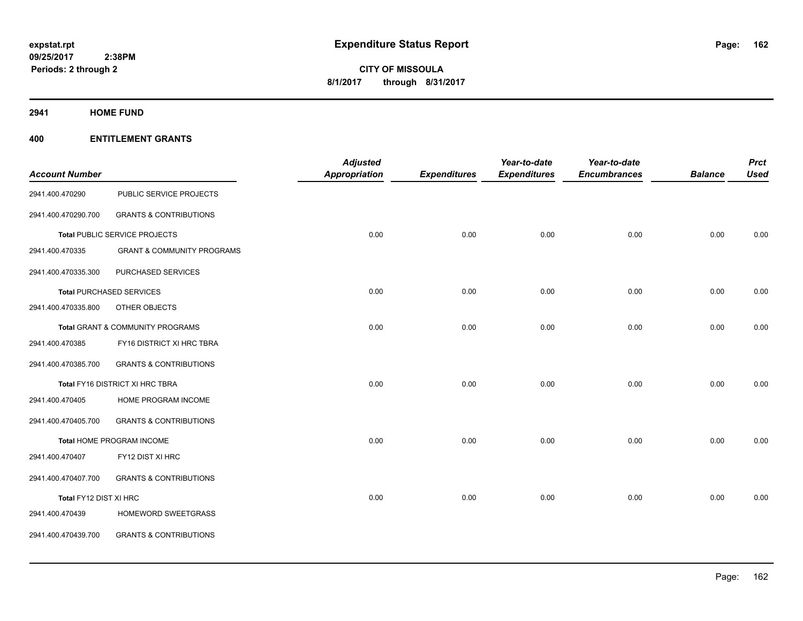**2941 HOME FUND**

|                        |                                       | <b>Adjusted</b> |                     | Year-to-date        | Year-to-date        |                | <b>Prct</b> |
|------------------------|---------------------------------------|-----------------|---------------------|---------------------|---------------------|----------------|-------------|
| <b>Account Number</b>  |                                       | Appropriation   | <b>Expenditures</b> | <b>Expenditures</b> | <b>Encumbrances</b> | <b>Balance</b> | <b>Used</b> |
| 2941.400.470290        | PUBLIC SERVICE PROJECTS               |                 |                     |                     |                     |                |             |
| 2941.400.470290.700    | <b>GRANTS &amp; CONTRIBUTIONS</b>     |                 |                     |                     |                     |                |             |
|                        | Total PUBLIC SERVICE PROJECTS         | 0.00            | 0.00                | 0.00                | 0.00                | 0.00           | 0.00        |
| 2941.400.470335        | <b>GRANT &amp; COMMUNITY PROGRAMS</b> |                 |                     |                     |                     |                |             |
| 2941.400.470335.300    | PURCHASED SERVICES                    |                 |                     |                     |                     |                |             |
|                        | <b>Total PURCHASED SERVICES</b>       | 0.00            | 0.00                | 0.00                | 0.00                | 0.00           | 0.00        |
| 2941.400.470335.800    | OTHER OBJECTS                         |                 |                     |                     |                     |                |             |
|                        | Total GRANT & COMMUNITY PROGRAMS      | 0.00            | 0.00                | 0.00                | 0.00                | 0.00           | 0.00        |
| 2941.400.470385        | FY16 DISTRICT XI HRC TBRA             |                 |                     |                     |                     |                |             |
| 2941.400.470385.700    | <b>GRANTS &amp; CONTRIBUTIONS</b>     |                 |                     |                     |                     |                |             |
|                        | Total FY16 DISTRICT XI HRC TBRA       | 0.00            | 0.00                | 0.00                | 0.00                | 0.00           | 0.00        |
| 2941.400.470405        | HOME PROGRAM INCOME                   |                 |                     |                     |                     |                |             |
| 2941.400.470405.700    | <b>GRANTS &amp; CONTRIBUTIONS</b>     |                 |                     |                     |                     |                |             |
|                        | Total HOME PROGRAM INCOME             | 0.00            | 0.00                | 0.00                | 0.00                | 0.00           | 0.00        |
| 2941.400.470407        | FY12 DIST XI HRC                      |                 |                     |                     |                     |                |             |
| 2941.400.470407.700    | <b>GRANTS &amp; CONTRIBUTIONS</b>     |                 |                     |                     |                     |                |             |
| Total FY12 DIST XI HRC |                                       | 0.00            | 0.00                | 0.00                | 0.00                | 0.00           | 0.00        |
| 2941.400.470439        | HOMEWORD SWEETGRASS                   |                 |                     |                     |                     |                |             |
| 2941.400.470439.700    | <b>GRANTS &amp; CONTRIBUTIONS</b>     |                 |                     |                     |                     |                |             |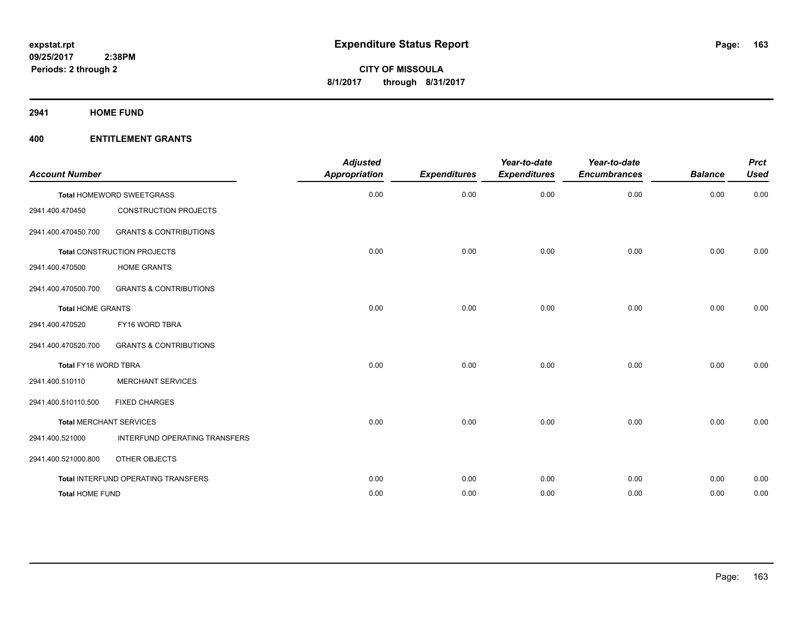**2941 HOME FUND**

| <b>Account Number</b>          |                                            | <b>Adjusted</b><br>Appropriation | <b>Expenditures</b> | Year-to-date<br><b>Expenditures</b> | Year-to-date<br><b>Encumbrances</b> | <b>Balance</b> | <b>Prct</b><br><b>Used</b> |
|--------------------------------|--------------------------------------------|----------------------------------|---------------------|-------------------------------------|-------------------------------------|----------------|----------------------------|
|                                | Total HOMEWORD SWEETGRASS                  | 0.00                             | 0.00                | 0.00                                | 0.00                                | 0.00           | 0.00                       |
| 2941.400.470450                | <b>CONSTRUCTION PROJECTS</b>               |                                  |                     |                                     |                                     |                |                            |
| 2941.400.470450.700            | <b>GRANTS &amp; CONTRIBUTIONS</b>          |                                  |                     |                                     |                                     |                |                            |
|                                | <b>Total CONSTRUCTION PROJECTS</b>         | 0.00                             | 0.00                | 0.00                                | 0.00                                | 0.00           | 0.00                       |
| 2941.400.470500                | <b>HOME GRANTS</b>                         |                                  |                     |                                     |                                     |                |                            |
| 2941.400.470500.700            | <b>GRANTS &amp; CONTRIBUTIONS</b>          |                                  |                     |                                     |                                     |                |                            |
| <b>Total HOME GRANTS</b>       |                                            | 0.00                             | 0.00                | 0.00                                | 0.00                                | 0.00           | 0.00                       |
| 2941.400.470520                | FY16 WORD TBRA                             |                                  |                     |                                     |                                     |                |                            |
| 2941.400.470520.700            | <b>GRANTS &amp; CONTRIBUTIONS</b>          |                                  |                     |                                     |                                     |                |                            |
| Total FY16 WORD TBRA           |                                            | 0.00                             | 0.00                | 0.00                                | 0.00                                | 0.00           | 0.00                       |
| 2941.400.510110                | <b>MERCHANT SERVICES</b>                   |                                  |                     |                                     |                                     |                |                            |
| 2941.400.510110.500            | <b>FIXED CHARGES</b>                       |                                  |                     |                                     |                                     |                |                            |
| <b>Total MERCHANT SERVICES</b> |                                            | 0.00                             | 0.00                | 0.00                                | 0.00                                | 0.00           | 0.00                       |
| 2941.400.521000                | INTERFUND OPERATING TRANSFERS              |                                  |                     |                                     |                                     |                |                            |
| 2941.400.521000.800            | OTHER OBJECTS                              |                                  |                     |                                     |                                     |                |                            |
|                                | <b>Total INTERFUND OPERATING TRANSFERS</b> | 0.00                             | 0.00                | 0.00                                | 0.00                                | 0.00           | 0.00                       |
| <b>Total HOME FUND</b>         |                                            | 0.00                             | 0.00                | 0.00                                | 0.00                                | 0.00           | 0.00                       |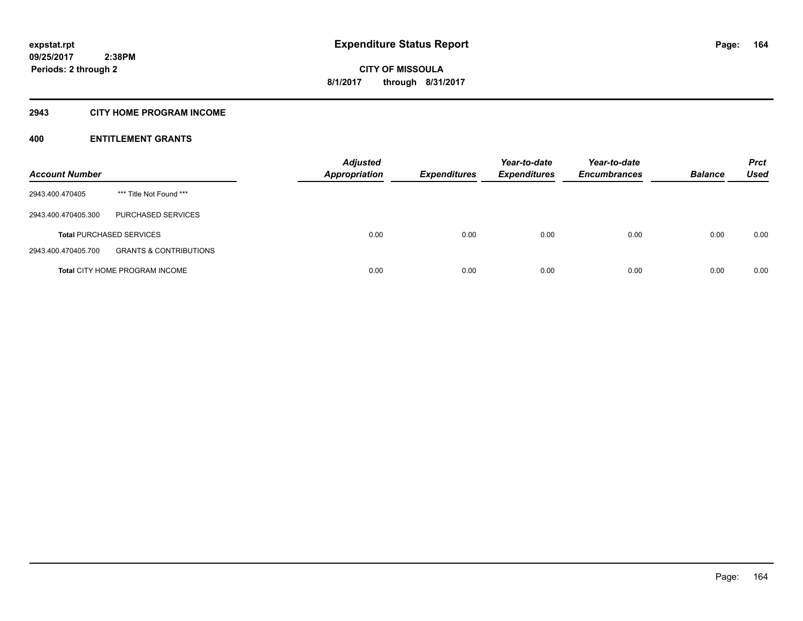# **2943 CITY HOME PROGRAM INCOME**

| <b>Account Number</b> |                                       | <b>Adjusted</b><br><b>Appropriation</b> | <b>Expenditures</b> | Year-to-date<br><b>Expenditures</b> | Year-to-date<br><b>Encumbrances</b> | <b>Balance</b> | <b>Prct</b><br>Used |
|-----------------------|---------------------------------------|-----------------------------------------|---------------------|-------------------------------------|-------------------------------------|----------------|---------------------|
| 2943.400.470405       | *** Title Not Found ***               |                                         |                     |                                     |                                     |                |                     |
| 2943.400.470405.300   | <b>PURCHASED SERVICES</b>             |                                         |                     |                                     |                                     |                |                     |
|                       | <b>Total PURCHASED SERVICES</b>       | 0.00                                    | 0.00                | 0.00                                | 0.00                                | 0.00           | 0.00                |
| 2943.400.470405.700   | <b>GRANTS &amp; CONTRIBUTIONS</b>     |                                         |                     |                                     |                                     |                |                     |
|                       | <b>Total CITY HOME PROGRAM INCOME</b> | 0.00                                    | 0.00                | 0.00                                | 0.00                                | 0.00           | 0.00                |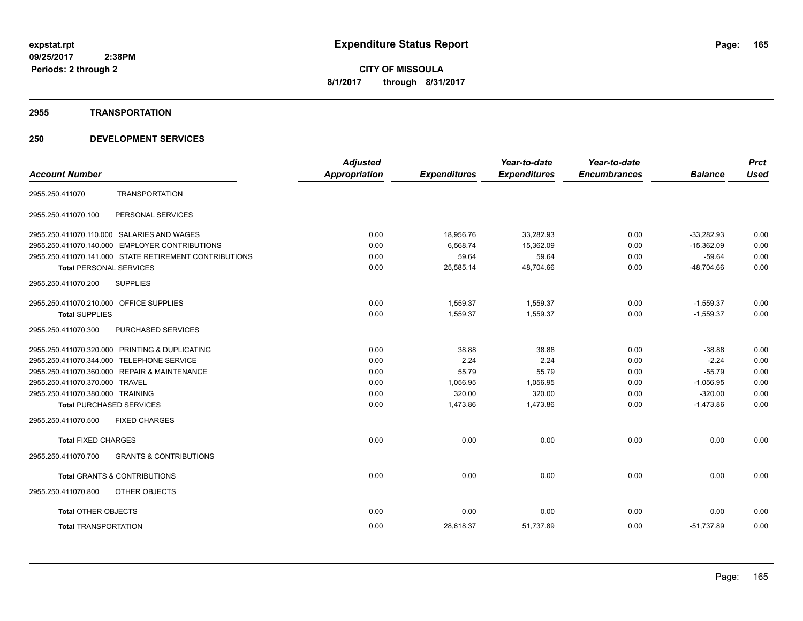#### **2955 TRANSPORTATION**

|                                                |                                                        | <b>Adjusted</b>      |                     | Year-to-date        | Year-to-date        |                | <b>Prct</b> |
|------------------------------------------------|--------------------------------------------------------|----------------------|---------------------|---------------------|---------------------|----------------|-------------|
| <b>Account Number</b>                          |                                                        | <b>Appropriation</b> | <b>Expenditures</b> | <b>Expenditures</b> | <b>Encumbrances</b> | <b>Balance</b> | <b>Used</b> |
| 2955.250.411070                                | <b>TRANSPORTATION</b>                                  |                      |                     |                     |                     |                |             |
| 2955.250.411070.100                            | PERSONAL SERVICES                                      |                      |                     |                     |                     |                |             |
| 2955.250.411070.110.000 SALARIES AND WAGES     |                                                        | 0.00                 | 18,956.76           | 33,282.93           | 0.00                | $-33,282.93$   | 0.00        |
|                                                | 2955.250.411070.140.000 EMPLOYER CONTRIBUTIONS         | 0.00                 | 6,568.74            | 15,362.09           | 0.00                | $-15,362.09$   | 0.00        |
|                                                | 2955.250.411070.141.000 STATE RETIREMENT CONTRIBUTIONS | 0.00                 | 59.64               | 59.64               | 0.00                | $-59.64$       | 0.00        |
| <b>Total PERSONAL SERVICES</b>                 |                                                        | 0.00                 | 25,585.14           | 48,704.66           | 0.00                | $-48,704.66$   | 0.00        |
| 2955.250.411070.200                            | <b>SUPPLIES</b>                                        |                      |                     |                     |                     |                |             |
| 2955.250.411070.210.000 OFFICE SUPPLIES        |                                                        | 0.00                 | 1,559.37            | 1,559.37            | 0.00                | $-1,559.37$    | 0.00        |
| <b>Total SUPPLIES</b>                          |                                                        | 0.00                 | 1,559.37            | 1,559.37            | 0.00                | $-1,559.37$    | 0.00        |
| 2955.250.411070.300                            | PURCHASED SERVICES                                     |                      |                     |                     |                     |                |             |
| 2955.250.411070.320.000 PRINTING & DUPLICATING |                                                        | 0.00                 | 38.88               | 38.88               | 0.00                | $-38.88$       | 0.00        |
| 2955.250.411070.344.000 TELEPHONE SERVICE      |                                                        | 0.00                 | 2.24                | 2.24                | 0.00                | $-2.24$        | 0.00        |
| 2955.250.411070.360.000 REPAIR & MAINTENANCE   |                                                        | 0.00                 | 55.79               | 55.79               | 0.00                | $-55.79$       | 0.00        |
| 2955.250.411070.370.000 TRAVEL                 |                                                        | 0.00                 | 1,056.95            | 1,056.95            | 0.00                | $-1,056.95$    | 0.00        |
| 2955.250.411070.380.000 TRAINING               |                                                        | 0.00                 | 320.00              | 320.00              | 0.00                | $-320.00$      | 0.00        |
| <b>Total PURCHASED SERVICES</b>                |                                                        | 0.00                 | 1,473.86            | 1,473.86            | 0.00                | $-1,473.86$    | 0.00        |
| 2955.250.411070.500                            | <b>FIXED CHARGES</b>                                   |                      |                     |                     |                     |                |             |
| <b>Total FIXED CHARGES</b>                     |                                                        | 0.00                 | 0.00                | 0.00                | 0.00                | 0.00           | 0.00        |
| 2955.250.411070.700                            | <b>GRANTS &amp; CONTRIBUTIONS</b>                      |                      |                     |                     |                     |                |             |
| <b>Total GRANTS &amp; CONTRIBUTIONS</b>        |                                                        | 0.00                 | 0.00                | 0.00                | 0.00                | 0.00           | 0.00        |
| 2955.250.411070.800                            | <b>OTHER OBJECTS</b>                                   |                      |                     |                     |                     |                |             |
| <b>Total OTHER OBJECTS</b>                     |                                                        | 0.00                 | 0.00                | 0.00                | 0.00                | 0.00           | 0.00        |
| <b>Total TRANSPORTATION</b>                    |                                                        | 0.00                 | 28,618.37           | 51,737.89           | 0.00                | $-51,737.89$   | 0.00        |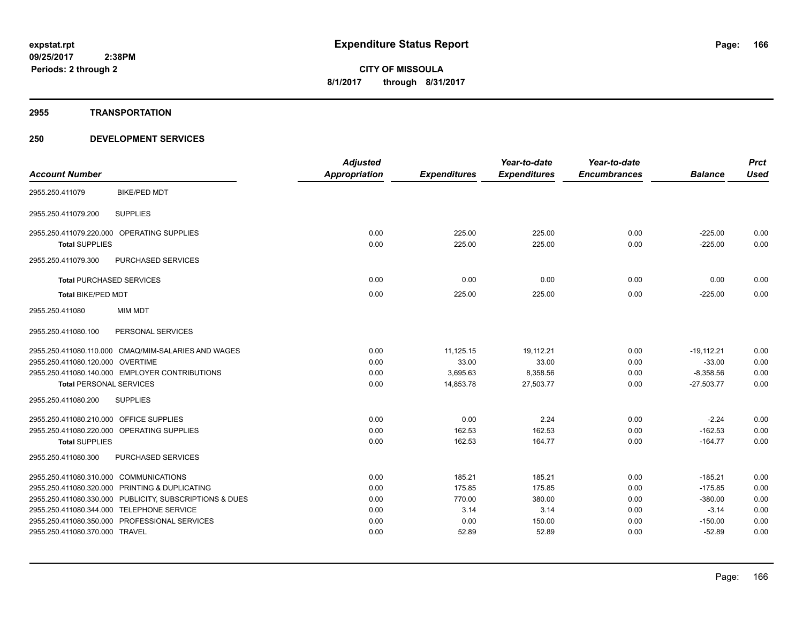#### **2955 TRANSPORTATION**

|                                         |                                                         | <b>Adjusted</b>      |                     | Year-to-date        | Year-to-date        |                | <b>Prct</b> |
|-----------------------------------------|---------------------------------------------------------|----------------------|---------------------|---------------------|---------------------|----------------|-------------|
| <b>Account Number</b>                   |                                                         | <b>Appropriation</b> | <b>Expenditures</b> | <b>Expenditures</b> | <b>Encumbrances</b> | <b>Balance</b> | <b>Used</b> |
| 2955.250.411079                         | <b>BIKE/PED MDT</b>                                     |                      |                     |                     |                     |                |             |
| 2955.250.411079.200                     | <b>SUPPLIES</b>                                         |                      |                     |                     |                     |                |             |
|                                         | 2955.250.411079.220.000 OPERATING SUPPLIES              | 0.00                 | 225.00              | 225.00              | 0.00                | $-225.00$      | 0.00        |
| <b>Total SUPPLIES</b>                   |                                                         | 0.00                 | 225.00              | 225.00              | 0.00                | $-225.00$      | 0.00        |
| 2955.250.411079.300                     | PURCHASED SERVICES                                      |                      |                     |                     |                     |                |             |
|                                         | <b>Total PURCHASED SERVICES</b>                         | 0.00                 | 0.00                | 0.00                | 0.00                | 0.00           | 0.00        |
| <b>Total BIKE/PED MDT</b>               |                                                         | 0.00                 | 225.00              | 225.00              | 0.00                | $-225.00$      | 0.00        |
| 2955.250.411080                         | <b>MIM MDT</b>                                          |                      |                     |                     |                     |                |             |
| 2955.250.411080.100                     | PERSONAL SERVICES                                       |                      |                     |                     |                     |                |             |
|                                         | 2955.250.411080.110.000 CMAQ/MIM-SALARIES AND WAGES     | 0.00                 | 11,125.15           | 19,112.21           | 0.00                | $-19,112.21$   | 0.00        |
| 2955.250.411080.120.000 OVERTIME        |                                                         | 0.00                 | 33.00               | 33.00               | 0.00                | $-33.00$       | 0.00        |
|                                         | 2955.250.411080.140.000 EMPLOYER CONTRIBUTIONS          | 0.00                 | 3,695.63            | 8,358.56            | 0.00                | $-8,358.56$    | 0.00        |
| <b>Total PERSONAL SERVICES</b>          |                                                         | 0.00                 | 14,853.78           | 27,503.77           | 0.00                | $-27,503.77$   | 0.00        |
| 2955.250.411080.200                     | <b>SUPPLIES</b>                                         |                      |                     |                     |                     |                |             |
| 2955.250.411080.210.000 OFFICE SUPPLIES |                                                         | 0.00                 | 0.00                | 2.24                | 0.00                | $-2.24$        | 0.00        |
|                                         | 2955.250.411080.220.000 OPERATING SUPPLIES              | 0.00                 | 162.53              | 162.53              | 0.00                | $-162.53$      | 0.00        |
| <b>Total SUPPLIES</b>                   |                                                         | 0.00                 | 162.53              | 164.77              | 0.00                | $-164.77$      | 0.00        |
| 2955.250.411080.300                     | <b>PURCHASED SERVICES</b>                               |                      |                     |                     |                     |                |             |
| 2955.250.411080.310.000 COMMUNICATIONS  |                                                         | 0.00                 | 185.21              | 185.21              | 0.00                | $-185.21$      | 0.00        |
|                                         | 2955.250.411080.320.000 PRINTING & DUPLICATING          | 0.00                 | 175.85              | 175.85              | 0.00                | $-175.85$      | 0.00        |
|                                         | 2955.250.411080.330.000 PUBLICITY, SUBSCRIPTIONS & DUES | 0.00                 | 770.00              | 380.00              | 0.00                | $-380.00$      | 0.00        |
|                                         | 2955.250.411080.344.000 TELEPHONE SERVICE               | 0.00                 | 3.14                | 3.14                | 0.00                | $-3.14$        | 0.00        |
|                                         | 2955.250.411080.350.000 PROFESSIONAL SERVICES           | 0.00                 | 0.00                | 150.00              | 0.00                | $-150.00$      | 0.00        |
| 2955.250.411080.370.000 TRAVEL          |                                                         | 0.00                 | 52.89               | 52.89               | 0.00                | $-52.89$       | 0.00        |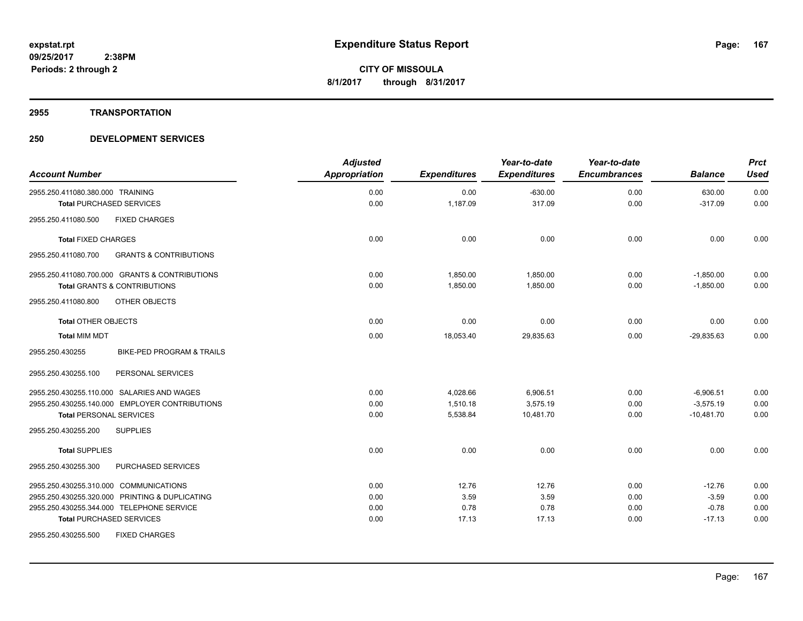#### **2955 TRANSPORTATION**

| <b>Account Number</b>                                    | <b>Adjusted</b><br>Appropriation | <b>Expenditures</b> | Year-to-date<br><b>Expenditures</b> | Year-to-date<br><b>Encumbrances</b> | <b>Balance</b> | <b>Prct</b><br><b>Used</b> |
|----------------------------------------------------------|----------------------------------|---------------------|-------------------------------------|-------------------------------------|----------------|----------------------------|
| 2955.250.411080.380.000 TRAINING                         | 0.00                             | 0.00                | $-630.00$                           | 0.00                                | 630.00         | 0.00                       |
| <b>Total PURCHASED SERVICES</b>                          | 0.00                             | 1,187.09            | 317.09                              | 0.00                                | $-317.09$      | 0.00                       |
| <b>FIXED CHARGES</b><br>2955.250.411080.500              |                                  |                     |                                     |                                     |                |                            |
| <b>Total FIXED CHARGES</b>                               | 0.00                             | 0.00                | 0.00                                | 0.00                                | 0.00           | 0.00                       |
| 2955.250.411080.700<br><b>GRANTS &amp; CONTRIBUTIONS</b> |                                  |                     |                                     |                                     |                |                            |
| 2955.250.411080.700.000 GRANTS & CONTRIBUTIONS           | 0.00                             | 1,850.00            | 1,850.00                            | 0.00                                | $-1,850.00$    | 0.00                       |
| <b>Total GRANTS &amp; CONTRIBUTIONS</b>                  | 0.00                             | 1,850.00            | 1,850.00                            | 0.00                                | $-1,850.00$    | 0.00                       |
| OTHER OBJECTS<br>2955.250.411080.800                     |                                  |                     |                                     |                                     |                |                            |
| <b>Total OTHER OBJECTS</b>                               | 0.00                             | 0.00                | 0.00                                | 0.00                                | 0.00           | 0.00                       |
| <b>Total MIM MDT</b>                                     | 0.00                             | 18,053.40           | 29,835.63                           | 0.00                                | $-29.835.63$   | 0.00                       |
| BIKE-PED PROGRAM & TRAILS<br>2955.250.430255             |                                  |                     |                                     |                                     |                |                            |
| 2955.250.430255.100<br>PERSONAL SERVICES                 |                                  |                     |                                     |                                     |                |                            |
| 2955.250.430255.110.000 SALARIES AND WAGES               | 0.00                             | 4,028.66            | 6,906.51                            | 0.00                                | $-6,906.51$    | 0.00                       |
| 2955.250.430255.140.000 EMPLOYER CONTRIBUTIONS           | 0.00                             | 1,510.18            | 3,575.19                            | 0.00                                | $-3,575.19$    | 0.00                       |
| <b>Total PERSONAL SERVICES</b>                           | 0.00                             | 5,538.84            | 10,481.70                           | 0.00                                | $-10,481.70$   | 0.00                       |
| <b>SUPPLIES</b><br>2955.250.430255.200                   |                                  |                     |                                     |                                     |                |                            |
| <b>Total SUPPLIES</b>                                    | 0.00                             | 0.00                | 0.00                                | 0.00                                | 0.00           | 0.00                       |
| 2955.250.430255.300<br>PURCHASED SERVICES                |                                  |                     |                                     |                                     |                |                            |
| 2955.250.430255.310.000 COMMUNICATIONS                   | 0.00                             | 12.76               | 12.76                               | 0.00                                | $-12.76$       | 0.00                       |
| 2955.250.430255.320.000 PRINTING & DUPLICATING           | 0.00                             | 3.59                | 3.59                                | 0.00                                | $-3.59$        | 0.00                       |
| 2955.250.430255.344.000 TELEPHONE SERVICE                | 0.00                             | 0.78                | 0.78                                | 0.00                                | $-0.78$        | 0.00                       |
| <b>Total PURCHASED SERVICES</b>                          | 0.00                             | 17.13               | 17.13                               | 0.00                                | $-17.13$       | 0.00                       |
| 2955.250.430255.500<br><b>FIXED CHARGES</b>              |                                  |                     |                                     |                                     |                |                            |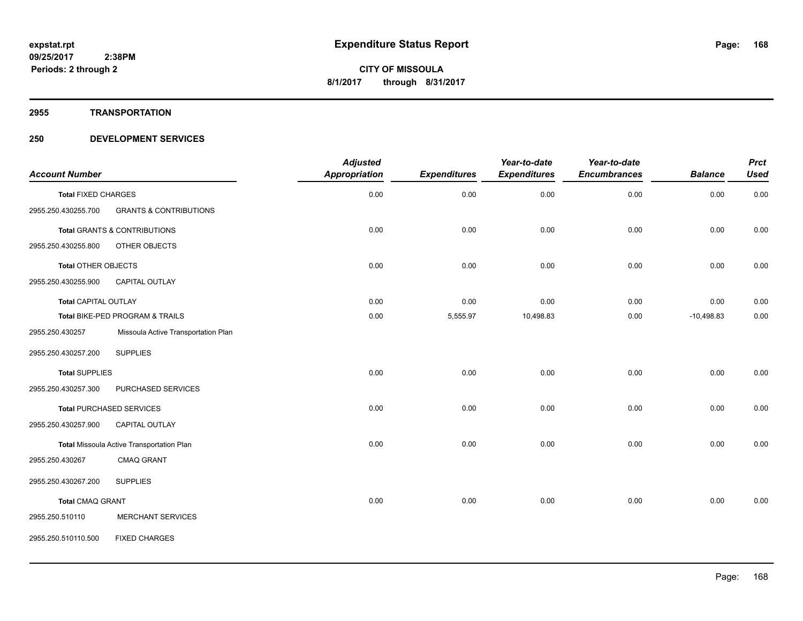#### **2955 TRANSPORTATION**

| <b>Account Number</b>       |                                                  | <b>Adjusted</b><br><b>Appropriation</b> | <b>Expenditures</b> | Year-to-date<br><b>Expenditures</b> | Year-to-date<br><b>Encumbrances</b> | <b>Balance</b> | <b>Prct</b><br><b>Used</b> |
|-----------------------------|--------------------------------------------------|-----------------------------------------|---------------------|-------------------------------------|-------------------------------------|----------------|----------------------------|
| <b>Total FIXED CHARGES</b>  |                                                  | 0.00                                    | 0.00                | 0.00                                | 0.00                                | 0.00           | 0.00                       |
| 2955.250.430255.700         | <b>GRANTS &amp; CONTRIBUTIONS</b>                |                                         |                     |                                     |                                     |                |                            |
|                             | Total GRANTS & CONTRIBUTIONS                     | 0.00                                    | 0.00                | 0.00                                | 0.00                                | 0.00           | 0.00                       |
| 2955.250.430255.800         | OTHER OBJECTS                                    |                                         |                     |                                     |                                     |                |                            |
| Total OTHER OBJECTS         |                                                  | 0.00                                    | 0.00                | 0.00                                | 0.00                                | 0.00           | 0.00                       |
| 2955.250.430255.900         | CAPITAL OUTLAY                                   |                                         |                     |                                     |                                     |                |                            |
| <b>Total CAPITAL OUTLAY</b> |                                                  | 0.00                                    | 0.00                | 0.00                                | 0.00                                | 0.00           | 0.00                       |
|                             | Total BIKE-PED PROGRAM & TRAILS                  | 0.00                                    | 5,555.97            | 10,498.83                           | 0.00                                | $-10,498.83$   | 0.00                       |
| 2955.250.430257             | Missoula Active Transportation Plan              |                                         |                     |                                     |                                     |                |                            |
| 2955.250.430257.200         | <b>SUPPLIES</b>                                  |                                         |                     |                                     |                                     |                |                            |
| <b>Total SUPPLIES</b>       |                                                  | 0.00                                    | 0.00                | 0.00                                | 0.00                                | 0.00           | 0.00                       |
| 2955.250.430257.300         | PURCHASED SERVICES                               |                                         |                     |                                     |                                     |                |                            |
|                             | <b>Total PURCHASED SERVICES</b>                  | 0.00                                    | 0.00                | 0.00                                | 0.00                                | 0.00           | 0.00                       |
| 2955.250.430257.900         | CAPITAL OUTLAY                                   |                                         |                     |                                     |                                     |                |                            |
|                             | <b>Total Missoula Active Transportation Plan</b> | 0.00                                    | 0.00                | 0.00                                | 0.00                                | 0.00           | 0.00                       |
| 2955.250.430267             | <b>CMAQ GRANT</b>                                |                                         |                     |                                     |                                     |                |                            |
| 2955.250.430267.200         | <b>SUPPLIES</b>                                  |                                         |                     |                                     |                                     |                |                            |
| <b>Total CMAQ GRANT</b>     |                                                  | 0.00                                    | 0.00                | 0.00                                | 0.00                                | 0.00           | 0.00                       |
| 2955.250.510110             | <b>MERCHANT SERVICES</b>                         |                                         |                     |                                     |                                     |                |                            |
| 2955.250.510110.500         | <b>FIXED CHARGES</b>                             |                                         |                     |                                     |                                     |                |                            |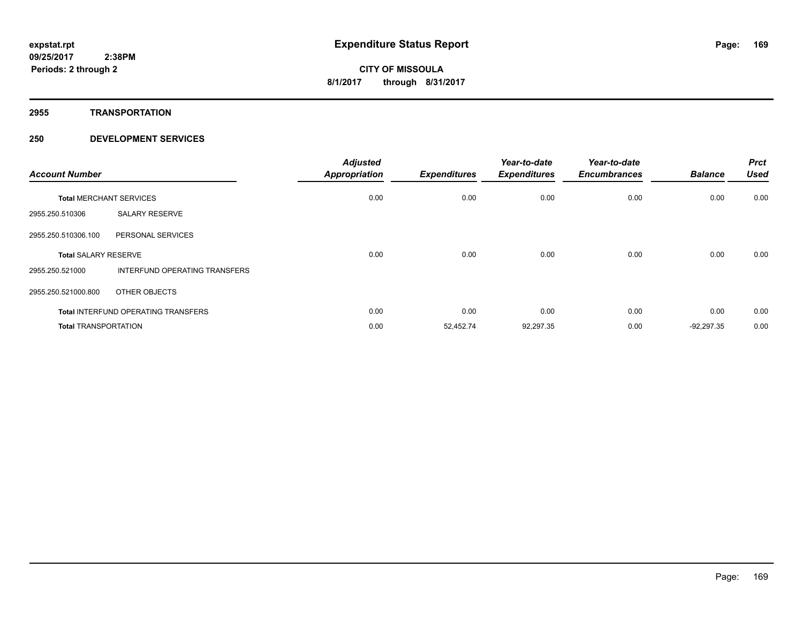**2955 TRANSPORTATION**

| <b>Account Number</b>          |                                            | <b>Adjusted</b><br><b>Appropriation</b> | <b>Expenditures</b> | Year-to-date<br><b>Expenditures</b> | Year-to-date<br><b>Encumbrances</b> | <b>Balance</b> | <b>Prct</b><br><b>Used</b> |
|--------------------------------|--------------------------------------------|-----------------------------------------|---------------------|-------------------------------------|-------------------------------------|----------------|----------------------------|
| <b>Total MERCHANT SERVICES</b> |                                            | 0.00                                    | 0.00                | 0.00                                | 0.00                                | 0.00           | 0.00                       |
| 2955.250.510306                | <b>SALARY RESERVE</b>                      |                                         |                     |                                     |                                     |                |                            |
| 2955.250.510306.100            | PERSONAL SERVICES                          |                                         |                     |                                     |                                     |                |                            |
| <b>Total SALARY RESERVE</b>    |                                            | 0.00                                    | 0.00                | 0.00                                | 0.00                                | 0.00           | 0.00                       |
| 2955.250.521000                | INTERFUND OPERATING TRANSFERS              |                                         |                     |                                     |                                     |                |                            |
| 2955.250.521000.800            | OTHER OBJECTS                              |                                         |                     |                                     |                                     |                |                            |
|                                | <b>Total INTERFUND OPERATING TRANSFERS</b> | 0.00                                    | 0.00                | 0.00                                | 0.00                                | 0.00           | 0.00                       |
| <b>Total TRANSPORTATION</b>    |                                            | 0.00                                    | 52,452.74           | 92,297.35                           | 0.00                                | $-92,297.35$   | 0.00                       |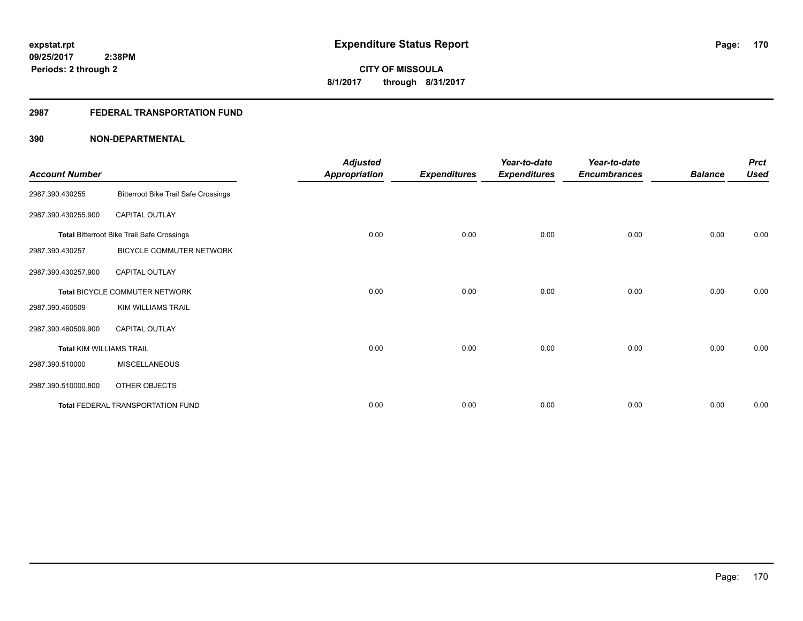# **2987 FEDERAL TRANSPORTATION FUND**

| <b>Account Number</b>           |                                                   | <b>Adjusted</b><br><b>Appropriation</b> | <b>Expenditures</b> | Year-to-date<br><b>Expenditures</b> | Year-to-date<br><b>Encumbrances</b> | <b>Balance</b> | <b>Prct</b><br><b>Used</b> |
|---------------------------------|---------------------------------------------------|-----------------------------------------|---------------------|-------------------------------------|-------------------------------------|----------------|----------------------------|
| 2987.390.430255                 | <b>Bitterroot Bike Trail Safe Crossings</b>       |                                         |                     |                                     |                                     |                |                            |
| 2987.390.430255.900             | CAPITAL OUTLAY                                    |                                         |                     |                                     |                                     |                |                            |
|                                 | <b>Total Bitterroot Bike Trail Safe Crossings</b> | 0.00                                    | 0.00                | 0.00                                | 0.00                                | 0.00           | 0.00                       |
| 2987.390.430257                 | BICYCLE COMMUTER NETWORK                          |                                         |                     |                                     |                                     |                |                            |
| 2987.390.430257.900             | <b>CAPITAL OUTLAY</b>                             |                                         |                     |                                     |                                     |                |                            |
|                                 | Total BICYCLE COMMUTER NETWORK                    | 0.00                                    | 0.00                | 0.00                                | 0.00                                | 0.00           | 0.00                       |
| 2987.390.460509                 | <b>KIM WILLIAMS TRAIL</b>                         |                                         |                     |                                     |                                     |                |                            |
| 2987.390.460509.900             | CAPITAL OUTLAY                                    |                                         |                     |                                     |                                     |                |                            |
| <b>Total KIM WILLIAMS TRAIL</b> |                                                   | 0.00                                    | 0.00                | 0.00                                | 0.00                                | 0.00           | 0.00                       |
| 2987.390.510000                 | <b>MISCELLANEOUS</b>                              |                                         |                     |                                     |                                     |                |                            |
| 2987.390.510000.800             | OTHER OBJECTS                                     |                                         |                     |                                     |                                     |                |                            |
|                                 | Total FEDERAL TRANSPORTATION FUND                 | 0.00                                    | 0.00                | 0.00                                | 0.00                                | 0.00           | 0.00                       |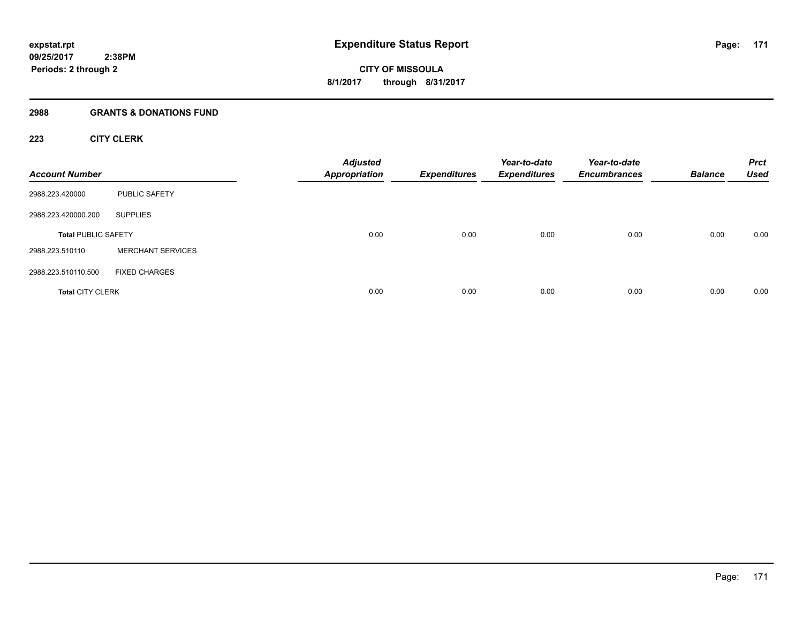#### **2988 GRANTS & DONATIONS FUND**

# **223 CITY CLERK**

| <b>Account Number</b>      |                          | <b>Adjusted</b><br><b>Appropriation</b> | <b>Expenditures</b> | Year-to-date<br><b>Expenditures</b> | Year-to-date<br><b>Encumbrances</b> | <b>Balance</b> | <b>Prct</b><br><b>Used</b> |
|----------------------------|--------------------------|-----------------------------------------|---------------------|-------------------------------------|-------------------------------------|----------------|----------------------------|
| 2988.223.420000            | <b>PUBLIC SAFETY</b>     |                                         |                     |                                     |                                     |                |                            |
| 2988.223.420000.200        | <b>SUPPLIES</b>          |                                         |                     |                                     |                                     |                |                            |
| <b>Total PUBLIC SAFETY</b> |                          | 0.00                                    | 0.00                | 0.00                                | 0.00                                | 0.00           | 0.00                       |
| 2988.223.510110            | <b>MERCHANT SERVICES</b> |                                         |                     |                                     |                                     |                |                            |
| 2988.223.510110.500        | <b>FIXED CHARGES</b>     |                                         |                     |                                     |                                     |                |                            |
| <b>Total CITY CLERK</b>    |                          | 0.00                                    | 0.00                | 0.00                                | 0.00                                | 0.00           | 0.00                       |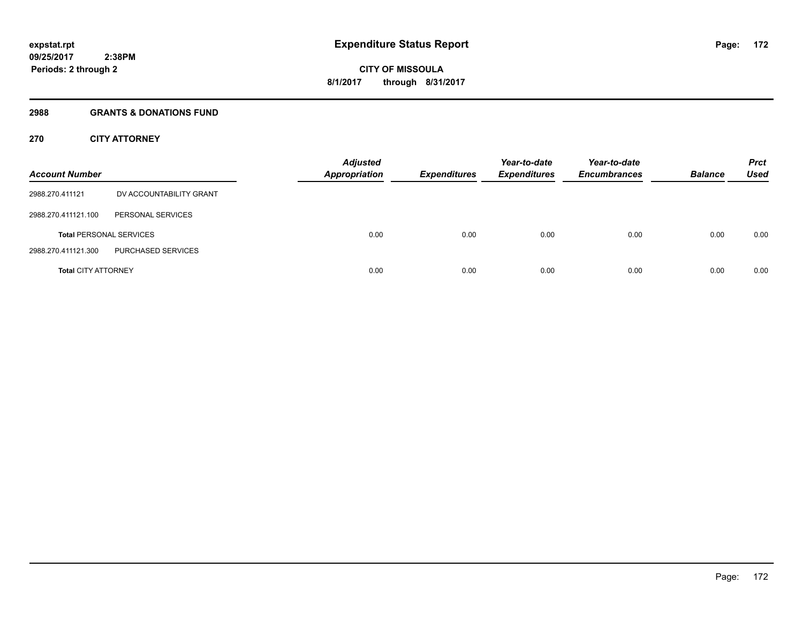#### **2988 GRANTS & DONATIONS FUND**

# **270 CITY ATTORNEY**

| <b>Account Number</b>      |                                | <b>Adjusted</b><br><b>Appropriation</b> | <b>Expenditures</b> | Year-to-date<br><b>Expenditures</b> | Year-to-date<br><b>Encumbrances</b> | <b>Balance</b> | <b>Prct</b><br>Used |
|----------------------------|--------------------------------|-----------------------------------------|---------------------|-------------------------------------|-------------------------------------|----------------|---------------------|
| 2988.270.411121            | DV ACCOUNTABILITY GRANT        |                                         |                     |                                     |                                     |                |                     |
| 2988.270.411121.100        | PERSONAL SERVICES              |                                         |                     |                                     |                                     |                |                     |
|                            | <b>Total PERSONAL SERVICES</b> | 0.00                                    | 0.00                | 0.00                                | 0.00                                | 0.00           | 0.00                |
| 2988.270.411121.300        | PURCHASED SERVICES             |                                         |                     |                                     |                                     |                |                     |
| <b>Total CITY ATTORNEY</b> |                                | 0.00                                    | 0.00                | 0.00                                | 0.00                                | 0.00           | 0.00                |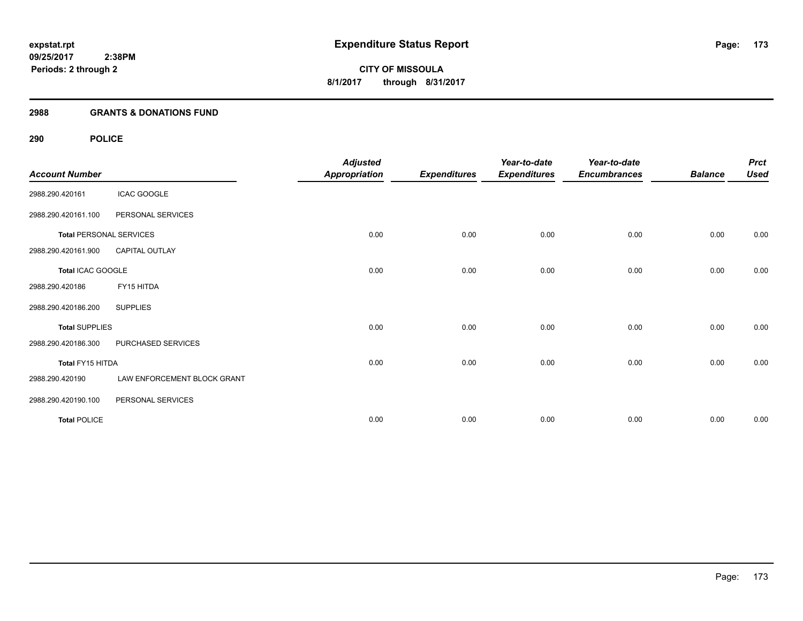# **2988 GRANTS & DONATIONS FUND**

| <b>Account Number</b>          |                             | <b>Adjusted</b><br><b>Appropriation</b> | <b>Expenditures</b> | Year-to-date<br><b>Expenditures</b> | Year-to-date<br><b>Encumbrances</b> | <b>Balance</b> | <b>Prct</b><br><b>Used</b> |
|--------------------------------|-----------------------------|-----------------------------------------|---------------------|-------------------------------------|-------------------------------------|----------------|----------------------------|
| 2988.290.420161                | <b>ICAC GOOGLE</b>          |                                         |                     |                                     |                                     |                |                            |
| 2988.290.420161.100            | PERSONAL SERVICES           |                                         |                     |                                     |                                     |                |                            |
| <b>Total PERSONAL SERVICES</b> |                             | 0.00                                    | 0.00                | 0.00                                | 0.00                                | 0.00           | 0.00                       |
| 2988.290.420161.900            | <b>CAPITAL OUTLAY</b>       |                                         |                     |                                     |                                     |                |                            |
| Total ICAC GOOGLE              |                             | 0.00                                    | 0.00                | 0.00                                | 0.00                                | 0.00           | 0.00                       |
| 2988.290.420186                | FY15 HITDA                  |                                         |                     |                                     |                                     |                |                            |
| 2988.290.420186.200            | <b>SUPPLIES</b>             |                                         |                     |                                     |                                     |                |                            |
| <b>Total SUPPLIES</b>          |                             | 0.00                                    | 0.00                | 0.00                                | 0.00                                | 0.00           | 0.00                       |
| 2988.290.420186.300            | PURCHASED SERVICES          |                                         |                     |                                     |                                     |                |                            |
| Total FY15 HITDA               |                             | 0.00                                    | 0.00                | 0.00                                | 0.00                                | 0.00           | 0.00                       |
| 2988.290.420190                | LAW ENFORCEMENT BLOCK GRANT |                                         |                     |                                     |                                     |                |                            |
| 2988.290.420190.100            | PERSONAL SERVICES           |                                         |                     |                                     |                                     |                |                            |
| <b>Total POLICE</b>            |                             | 0.00                                    | 0.00                | 0.00                                | 0.00                                | 0.00           | 0.00                       |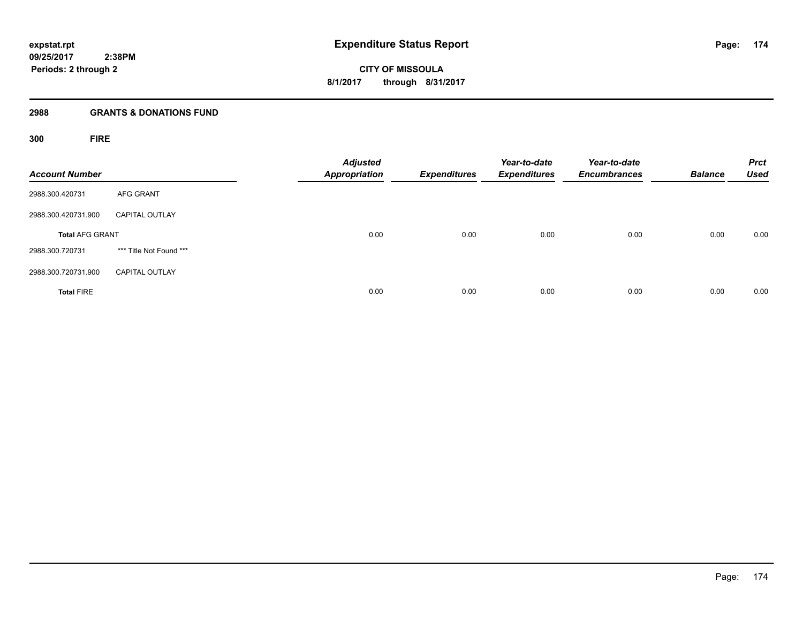**CITY OF MISSOULA 8/1/2017 through 8/31/2017**

#### **2988 GRANTS & DONATIONS FUND**

**300 FIRE**

| <b>Account Number</b>  |                         | <b>Adjusted</b><br><b>Appropriation</b> | <b>Expenditures</b> | Year-to-date<br><b>Expenditures</b> | Year-to-date<br><b>Encumbrances</b> | <b>Balance</b> | <b>Prct</b><br><b>Used</b> |
|------------------------|-------------------------|-----------------------------------------|---------------------|-------------------------------------|-------------------------------------|----------------|----------------------------|
| 2988.300.420731        | <b>AFG GRANT</b>        |                                         |                     |                                     |                                     |                |                            |
| 2988.300.420731.900    | <b>CAPITAL OUTLAY</b>   |                                         |                     |                                     |                                     |                |                            |
| <b>Total AFG GRANT</b> |                         | 0.00                                    | 0.00                | 0.00                                | 0.00                                | 0.00           | 0.00                       |
| 2988.300.720731        | *** Title Not Found *** |                                         |                     |                                     |                                     |                |                            |
| 2988.300.720731.900    | <b>CAPITAL OUTLAY</b>   |                                         |                     |                                     |                                     |                |                            |
| <b>Total FIRE</b>      |                         | 0.00                                    | 0.00                | 0.00                                | 0.00                                | 0.00           | 0.00                       |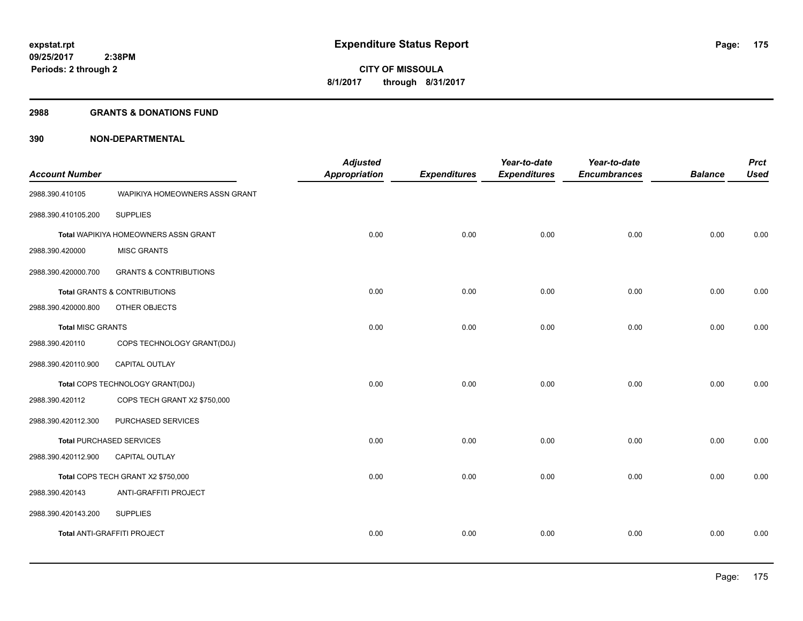#### **2988 GRANTS & DONATIONS FUND**

| <b>Account Number</b>    |                                      | <b>Adjusted</b><br><b>Appropriation</b> | <b>Expenditures</b> | Year-to-date<br><b>Expenditures</b> | Year-to-date<br><b>Encumbrances</b> | <b>Balance</b> | <b>Prct</b><br><b>Used</b> |
|--------------------------|--------------------------------------|-----------------------------------------|---------------------|-------------------------------------|-------------------------------------|----------------|----------------------------|
| 2988.390.410105          | WAPIKIYA HOMEOWNERS ASSN GRANT       |                                         |                     |                                     |                                     |                |                            |
| 2988.390.410105.200      | <b>SUPPLIES</b>                      |                                         |                     |                                     |                                     |                |                            |
|                          | Total WAPIKIYA HOMEOWNERS ASSN GRANT | 0.00                                    | 0.00                | 0.00                                | 0.00                                | 0.00           | 0.00                       |
| 2988.390.420000          | <b>MISC GRANTS</b>                   |                                         |                     |                                     |                                     |                |                            |
| 2988.390.420000.700      | <b>GRANTS &amp; CONTRIBUTIONS</b>    |                                         |                     |                                     |                                     |                |                            |
|                          | Total GRANTS & CONTRIBUTIONS         | 0.00                                    | 0.00                | 0.00                                | 0.00                                | 0.00           | 0.00                       |
| 2988.390.420000.800      | OTHER OBJECTS                        |                                         |                     |                                     |                                     |                |                            |
| <b>Total MISC GRANTS</b> |                                      | 0.00                                    | 0.00                | 0.00                                | 0.00                                | 0.00           | 0.00                       |
| 2988.390.420110          | COPS TECHNOLOGY GRANT(D0J)           |                                         |                     |                                     |                                     |                |                            |
| 2988.390.420110.900      | CAPITAL OUTLAY                       |                                         |                     |                                     |                                     |                |                            |
|                          | Total COPS TECHNOLOGY GRANT(D0J)     | 0.00                                    | 0.00                | 0.00                                | 0.00                                | 0.00           | 0.00                       |
| 2988.390.420112          | COPS TECH GRANT X2 \$750,000         |                                         |                     |                                     |                                     |                |                            |
| 2988.390.420112.300      | PURCHASED SERVICES                   |                                         |                     |                                     |                                     |                |                            |
|                          | <b>Total PURCHASED SERVICES</b>      | 0.00                                    | 0.00                | 0.00                                | 0.00                                | 0.00           | 0.00                       |
| 2988.390.420112.900      | <b>CAPITAL OUTLAY</b>                |                                         |                     |                                     |                                     |                |                            |
|                          | Total COPS TECH GRANT X2 \$750,000   | 0.00                                    | 0.00                | 0.00                                | 0.00                                | 0.00           | 0.00                       |
| 2988.390.420143          | ANTI-GRAFFITI PROJECT                |                                         |                     |                                     |                                     |                |                            |
| 2988.390.420143.200      | <b>SUPPLIES</b>                      |                                         |                     |                                     |                                     |                |                            |
|                          | Total ANTI-GRAFFITI PROJECT          | 0.00                                    | 0.00                | 0.00                                | 0.00                                | 0.00           | 0.00                       |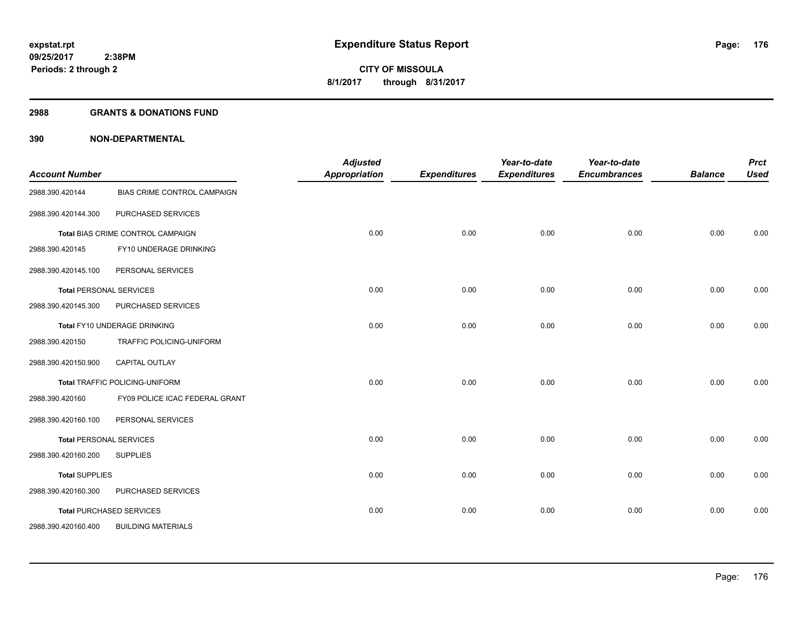#### **2988 GRANTS & DONATIONS FUND**

| <b>Account Number</b>          |                                       | <b>Adjusted</b><br><b>Appropriation</b> | <b>Expenditures</b> | Year-to-date<br><b>Expenditures</b> | Year-to-date<br><b>Encumbrances</b> | <b>Balance</b> | <b>Prct</b><br><b>Used</b> |
|--------------------------------|---------------------------------------|-----------------------------------------|---------------------|-------------------------------------|-------------------------------------|----------------|----------------------------|
| 2988.390.420144                | BIAS CRIME CONTROL CAMPAIGN           |                                         |                     |                                     |                                     |                |                            |
| 2988.390.420144.300            | PURCHASED SERVICES                    |                                         |                     |                                     |                                     |                |                            |
|                                | Total BIAS CRIME CONTROL CAMPAIGN     | 0.00                                    | 0.00                | 0.00                                | 0.00                                | 0.00           | 0.00                       |
| 2988.390.420145                | FY10 UNDERAGE DRINKING                |                                         |                     |                                     |                                     |                |                            |
| 2988.390.420145.100            | PERSONAL SERVICES                     |                                         |                     |                                     |                                     |                |                            |
|                                | <b>Total PERSONAL SERVICES</b>        | 0.00                                    | 0.00                | 0.00                                | 0.00                                | 0.00           | 0.00                       |
| 2988.390.420145.300            | PURCHASED SERVICES                    |                                         |                     |                                     |                                     |                |                            |
|                                | Total FY10 UNDERAGE DRINKING          | 0.00                                    | 0.00                | 0.00                                | 0.00                                | 0.00           | 0.00                       |
| 2988.390.420150                | TRAFFIC POLICING-UNIFORM              |                                         |                     |                                     |                                     |                |                            |
| 2988.390.420150.900            | <b>CAPITAL OUTLAY</b>                 |                                         |                     |                                     |                                     |                |                            |
|                                | <b>Total TRAFFIC POLICING-UNIFORM</b> | 0.00                                    | 0.00                | 0.00                                | 0.00                                | 0.00           | 0.00                       |
| 2988.390.420160                | FY09 POLICE ICAC FEDERAL GRANT        |                                         |                     |                                     |                                     |                |                            |
| 2988.390.420160.100            | PERSONAL SERVICES                     |                                         |                     |                                     |                                     |                |                            |
| <b>Total PERSONAL SERVICES</b> |                                       | 0.00                                    | 0.00                | 0.00                                | 0.00                                | 0.00           | 0.00                       |
| 2988.390.420160.200            | <b>SUPPLIES</b>                       |                                         |                     |                                     |                                     |                |                            |
| <b>Total SUPPLIES</b>          |                                       | 0.00                                    | 0.00                | 0.00                                | 0.00                                | 0.00           | 0.00                       |
| 2988.390.420160.300            | PURCHASED SERVICES                    |                                         |                     |                                     |                                     |                |                            |
|                                | <b>Total PURCHASED SERVICES</b>       | 0.00                                    | 0.00                | 0.00                                | 0.00                                | 0.00           | 0.00                       |
| 2988.390.420160.400            | <b>BUILDING MATERIALS</b>             |                                         |                     |                                     |                                     |                |                            |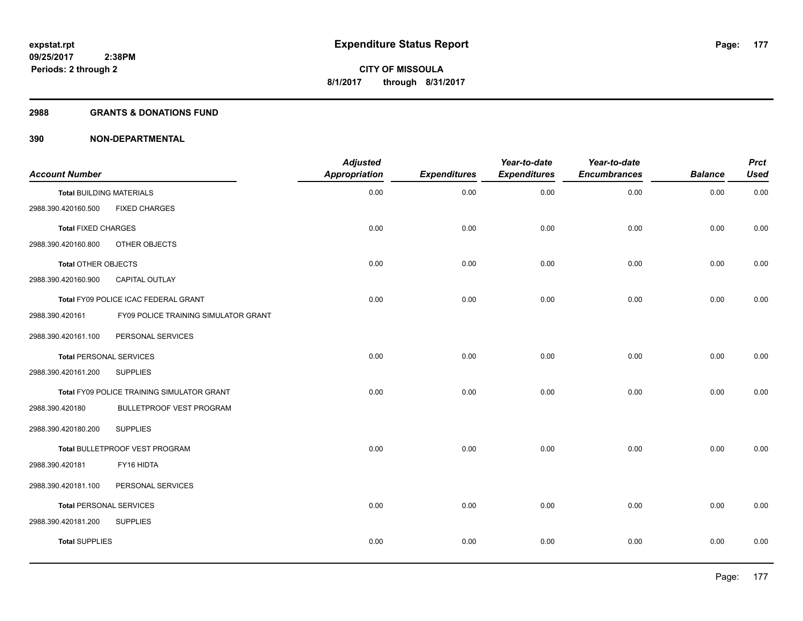#### **2988 GRANTS & DONATIONS FUND**

| <b>Account Number</b>           |                                            | <b>Adjusted</b><br><b>Appropriation</b> | <b>Expenditures</b> | Year-to-date<br><b>Expenditures</b> | Year-to-date<br><b>Encumbrances</b> | <b>Balance</b> | <b>Prct</b><br><b>Used</b> |
|---------------------------------|--------------------------------------------|-----------------------------------------|---------------------|-------------------------------------|-------------------------------------|----------------|----------------------------|
| <b>Total BUILDING MATERIALS</b> |                                            | 0.00                                    | 0.00                | 0.00                                | 0.00                                | 0.00           | 0.00                       |
| 2988.390.420160.500             | <b>FIXED CHARGES</b>                       |                                         |                     |                                     |                                     |                |                            |
| <b>Total FIXED CHARGES</b>      |                                            | 0.00                                    | 0.00                | 0.00                                | 0.00                                | 0.00           | 0.00                       |
| 2988.390.420160.800             | OTHER OBJECTS                              |                                         |                     |                                     |                                     |                |                            |
| Total OTHER OBJECTS             |                                            | 0.00                                    | 0.00                | 0.00                                | 0.00                                | 0.00           | 0.00                       |
| 2988.390.420160.900             | <b>CAPITAL OUTLAY</b>                      |                                         |                     |                                     |                                     |                |                            |
|                                 | Total FY09 POLICE ICAC FEDERAL GRANT       | 0.00                                    | 0.00                | 0.00                                | 0.00                                | 0.00           | 0.00                       |
| 2988.390.420161                 | FY09 POLICE TRAINING SIMULATOR GRANT       |                                         |                     |                                     |                                     |                |                            |
| 2988.390.420161.100             | PERSONAL SERVICES                          |                                         |                     |                                     |                                     |                |                            |
| <b>Total PERSONAL SERVICES</b>  |                                            | 0.00                                    | 0.00                | 0.00                                | 0.00                                | 0.00           | 0.00                       |
| 2988.390.420161.200             | <b>SUPPLIES</b>                            |                                         |                     |                                     |                                     |                |                            |
|                                 | Total FY09 POLICE TRAINING SIMULATOR GRANT | 0.00                                    | 0.00                | 0.00                                | 0.00                                | 0.00           | 0.00                       |
| 2988.390.420180                 | BULLETPROOF VEST PROGRAM                   |                                         |                     |                                     |                                     |                |                            |
| 2988.390.420180.200             | <b>SUPPLIES</b>                            |                                         |                     |                                     |                                     |                |                            |
|                                 | Total BULLETPROOF VEST PROGRAM             | 0.00                                    | 0.00                | 0.00                                | 0.00                                | 0.00           | 0.00                       |
| 2988.390.420181                 | FY16 HIDTA                                 |                                         |                     |                                     |                                     |                |                            |
| 2988.390.420181.100             | PERSONAL SERVICES                          |                                         |                     |                                     |                                     |                |                            |
| <b>Total PERSONAL SERVICES</b>  |                                            | 0.00                                    | 0.00                | 0.00                                | 0.00                                | 0.00           | 0.00                       |
| 2988.390.420181.200             | <b>SUPPLIES</b>                            |                                         |                     |                                     |                                     |                |                            |
| <b>Total SUPPLIES</b>           |                                            | 0.00                                    | 0.00                | 0.00                                | 0.00                                | 0.00           | 0.00                       |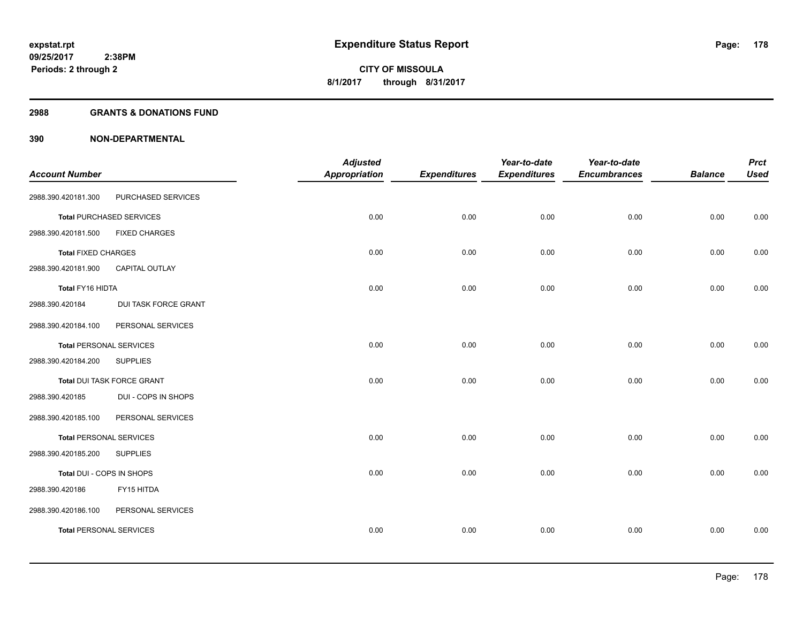#### **2988 GRANTS & DONATIONS FUND**

| <b>Account Number</b>          |                                 | <b>Adjusted</b><br><b>Appropriation</b> | <b>Expenditures</b> | Year-to-date<br><b>Expenditures</b> | Year-to-date<br><b>Encumbrances</b> | <b>Balance</b> | <b>Prct</b><br><b>Used</b> |
|--------------------------------|---------------------------------|-----------------------------------------|---------------------|-------------------------------------|-------------------------------------|----------------|----------------------------|
| 2988.390.420181.300            | PURCHASED SERVICES              |                                         |                     |                                     |                                     |                |                            |
|                                | <b>Total PURCHASED SERVICES</b> | 0.00                                    | 0.00                | 0.00                                | 0.00                                | 0.00           | 0.00                       |
| 2988.390.420181.500            | <b>FIXED CHARGES</b>            |                                         |                     |                                     |                                     |                |                            |
| <b>Total FIXED CHARGES</b>     |                                 | 0.00                                    | 0.00                | 0.00                                | 0.00                                | 0.00           | 0.00                       |
| 2988.390.420181.900            | <b>CAPITAL OUTLAY</b>           |                                         |                     |                                     |                                     |                |                            |
| Total FY16 HIDTA               |                                 | 0.00                                    | 0.00                | 0.00                                | 0.00                                | 0.00           | 0.00                       |
| 2988.390.420184                | DUI TASK FORCE GRANT            |                                         |                     |                                     |                                     |                |                            |
| 2988.390.420184.100            | PERSONAL SERVICES               |                                         |                     |                                     |                                     |                |                            |
| <b>Total PERSONAL SERVICES</b> |                                 | 0.00                                    | 0.00                | 0.00                                | 0.00                                | 0.00           | 0.00                       |
| 2988.390.420184.200            | <b>SUPPLIES</b>                 |                                         |                     |                                     |                                     |                |                            |
|                                | Total DUI TASK FORCE GRANT      | 0.00                                    | 0.00                | 0.00                                | 0.00                                | 0.00           | 0.00                       |
| 2988.390.420185                | DUI - COPS IN SHOPS             |                                         |                     |                                     |                                     |                |                            |
| 2988.390.420185.100            | PERSONAL SERVICES               |                                         |                     |                                     |                                     |                |                            |
| <b>Total PERSONAL SERVICES</b> |                                 | 0.00                                    | 0.00                | 0.00                                | 0.00                                | 0.00           | 0.00                       |
| 2988.390.420185.200            | <b>SUPPLIES</b>                 |                                         |                     |                                     |                                     |                |                            |
| Total DUI - COPS IN SHOPS      |                                 | 0.00                                    | 0.00                | 0.00                                | 0.00                                | 0.00           | 0.00                       |
| 2988.390.420186                | FY15 HITDA                      |                                         |                     |                                     |                                     |                |                            |
| 2988.390.420186.100            | PERSONAL SERVICES               |                                         |                     |                                     |                                     |                |                            |
| <b>Total PERSONAL SERVICES</b> |                                 | 0.00                                    | 0.00                | 0.00                                | 0.00                                | 0.00           | 0.00                       |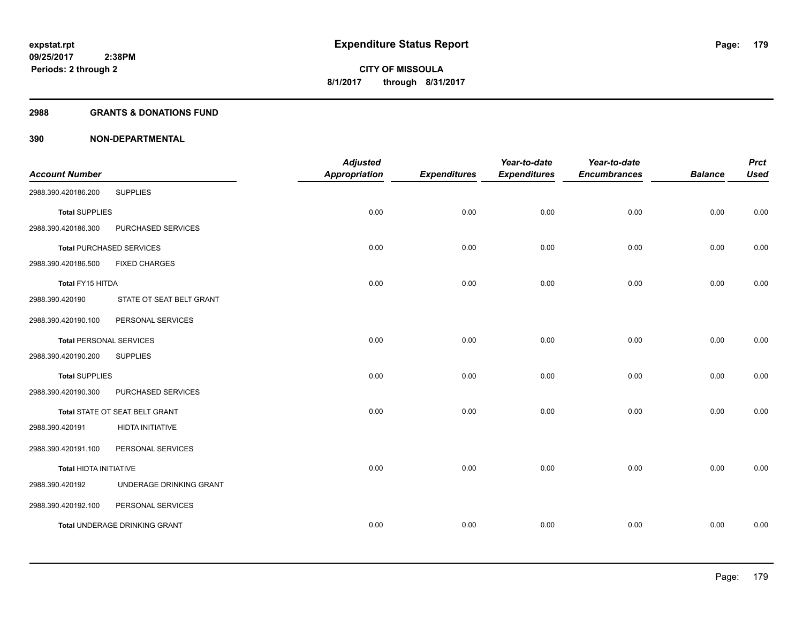#### **2988 GRANTS & DONATIONS FUND**

| <b>Account Number</b>          |                                 | <b>Adjusted</b><br><b>Appropriation</b> | <b>Expenditures</b> | Year-to-date<br><b>Expenditures</b> | Year-to-date<br><b>Encumbrances</b> | <b>Balance</b> | <b>Prct</b><br><b>Used</b> |
|--------------------------------|---------------------------------|-----------------------------------------|---------------------|-------------------------------------|-------------------------------------|----------------|----------------------------|
| 2988.390.420186.200            | <b>SUPPLIES</b>                 |                                         |                     |                                     |                                     |                |                            |
| <b>Total SUPPLIES</b>          |                                 | 0.00                                    | 0.00                | 0.00                                | 0.00                                | 0.00           | 0.00                       |
| 2988.390.420186.300            | PURCHASED SERVICES              |                                         |                     |                                     |                                     |                |                            |
|                                | <b>Total PURCHASED SERVICES</b> | 0.00                                    | 0.00                | 0.00                                | 0.00                                | 0.00           | 0.00                       |
| 2988.390.420186.500            | <b>FIXED CHARGES</b>            |                                         |                     |                                     |                                     |                |                            |
| Total FY15 HITDA               |                                 | 0.00                                    | 0.00                | 0.00                                | 0.00                                | 0.00           | 0.00                       |
| 2988.390.420190                | STATE OT SEAT BELT GRANT        |                                         |                     |                                     |                                     |                |                            |
| 2988.390.420190.100            | PERSONAL SERVICES               |                                         |                     |                                     |                                     |                |                            |
| <b>Total PERSONAL SERVICES</b> |                                 | 0.00                                    | 0.00                | 0.00                                | 0.00                                | 0.00           | 0.00                       |
| 2988.390.420190.200            | <b>SUPPLIES</b>                 |                                         |                     |                                     |                                     |                |                            |
| <b>Total SUPPLIES</b>          |                                 | 0.00                                    | 0.00                | 0.00                                | 0.00                                | 0.00           | 0.00                       |
| 2988.390.420190.300            | PURCHASED SERVICES              |                                         |                     |                                     |                                     |                |                            |
|                                | Total STATE OT SEAT BELT GRANT  | 0.00                                    | 0.00                | 0.00                                | 0.00                                | 0.00           | 0.00                       |
| 2988.390.420191                | <b>HIDTA INITIATIVE</b>         |                                         |                     |                                     |                                     |                |                            |
| 2988.390.420191.100            | PERSONAL SERVICES               |                                         |                     |                                     |                                     |                |                            |
| <b>Total HIDTA INITIATIVE</b>  |                                 | 0.00                                    | 0.00                | 0.00                                | 0.00                                | 0.00           | 0.00                       |
| 2988.390.420192                | UNDERAGE DRINKING GRANT         |                                         |                     |                                     |                                     |                |                            |
| 2988.390.420192.100            | PERSONAL SERVICES               |                                         |                     |                                     |                                     |                |                            |
|                                | Total UNDERAGE DRINKING GRANT   | 0.00                                    | 0.00                | 0.00                                | 0.00                                | 0.00           | 0.00                       |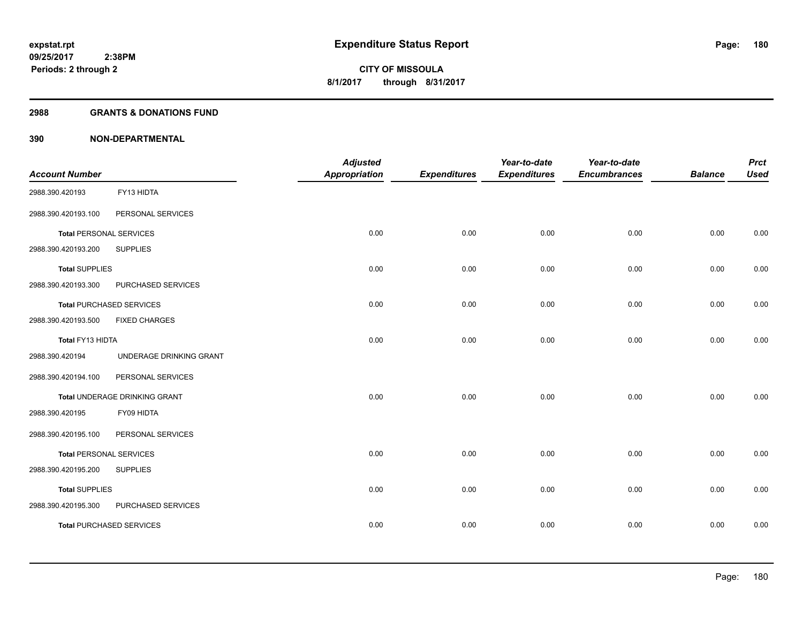#### **2988 GRANTS & DONATIONS FUND**

| <b>Account Number</b>          |                                 | <b>Adjusted</b><br><b>Appropriation</b> | <b>Expenditures</b> | Year-to-date<br><b>Expenditures</b> | Year-to-date<br><b>Encumbrances</b> | <b>Balance</b> | <b>Prct</b><br><b>Used</b> |
|--------------------------------|---------------------------------|-----------------------------------------|---------------------|-------------------------------------|-------------------------------------|----------------|----------------------------|
| 2988.390.420193                | FY13 HIDTA                      |                                         |                     |                                     |                                     |                |                            |
| 2988.390.420193.100            | PERSONAL SERVICES               |                                         |                     |                                     |                                     |                |                            |
| <b>Total PERSONAL SERVICES</b> |                                 | 0.00                                    | 0.00                | 0.00                                | 0.00                                | 0.00           | 0.00                       |
| 2988.390.420193.200            | <b>SUPPLIES</b>                 |                                         |                     |                                     |                                     |                |                            |
| <b>Total SUPPLIES</b>          |                                 | 0.00                                    | 0.00                | 0.00                                | 0.00                                | 0.00           | 0.00                       |
| 2988.390.420193.300            | PURCHASED SERVICES              |                                         |                     |                                     |                                     |                |                            |
|                                | <b>Total PURCHASED SERVICES</b> | 0.00                                    | 0.00                | 0.00                                | 0.00                                | 0.00           | 0.00                       |
| 2988.390.420193.500            | <b>FIXED CHARGES</b>            |                                         |                     |                                     |                                     |                |                            |
| Total FY13 HIDTA               |                                 | 0.00                                    | 0.00                | 0.00                                | 0.00                                | 0.00           | 0.00                       |
| 2988.390.420194                | UNDERAGE DRINKING GRANT         |                                         |                     |                                     |                                     |                |                            |
| 2988.390.420194.100            | PERSONAL SERVICES               |                                         |                     |                                     |                                     |                |                            |
|                                | Total UNDERAGE DRINKING GRANT   | 0.00                                    | 0.00                | 0.00                                | 0.00                                | 0.00           | 0.00                       |
| 2988.390.420195                | FY09 HIDTA                      |                                         |                     |                                     |                                     |                |                            |
| 2988.390.420195.100            | PERSONAL SERVICES               |                                         |                     |                                     |                                     |                |                            |
| <b>Total PERSONAL SERVICES</b> |                                 | 0.00                                    | 0.00                | 0.00                                | 0.00                                | 0.00           | 0.00                       |
| 2988.390.420195.200            | <b>SUPPLIES</b>                 |                                         |                     |                                     |                                     |                |                            |
| <b>Total SUPPLIES</b>          |                                 | 0.00                                    | 0.00                | 0.00                                | 0.00                                | 0.00           | 0.00                       |
| 2988.390.420195.300            | PURCHASED SERVICES              |                                         |                     |                                     |                                     |                |                            |
|                                | <b>Total PURCHASED SERVICES</b> | 0.00                                    | 0.00                | 0.00                                | 0.00                                | 0.00           | 0.00                       |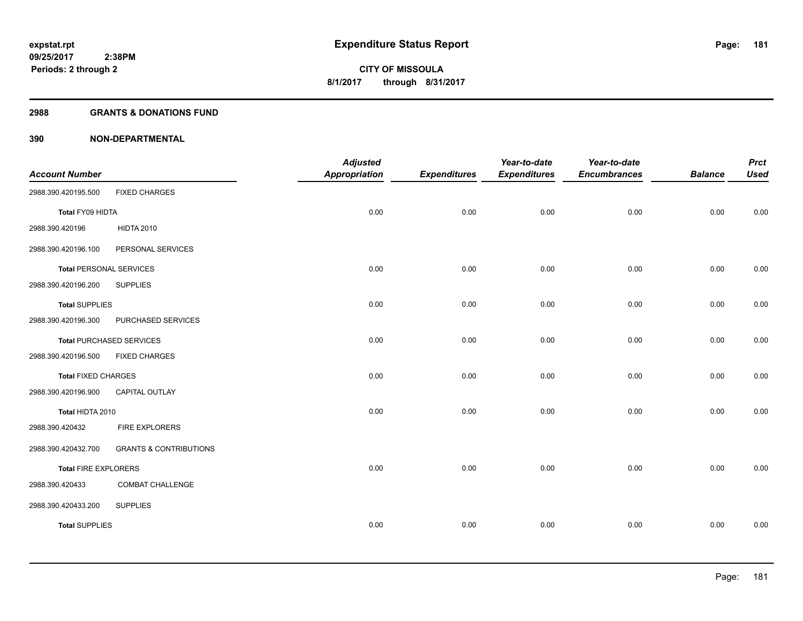### **2988 GRANTS & DONATIONS FUND**

| <b>Account Number</b>          |                                   | <b>Adjusted</b><br><b>Appropriation</b> | <b>Expenditures</b> | Year-to-date<br><b>Expenditures</b> | Year-to-date<br><b>Encumbrances</b> | <b>Balance</b> | <b>Prct</b><br><b>Used</b> |
|--------------------------------|-----------------------------------|-----------------------------------------|---------------------|-------------------------------------|-------------------------------------|----------------|----------------------------|
| 2988.390.420195.500            | <b>FIXED CHARGES</b>              |                                         |                     |                                     |                                     |                |                            |
| Total FY09 HIDTA               |                                   | 0.00                                    | 0.00                | 0.00                                | 0.00                                | 0.00           | 0.00                       |
| 2988.390.420196                | <b>HIDTA 2010</b>                 |                                         |                     |                                     |                                     |                |                            |
| 2988.390.420196.100            | PERSONAL SERVICES                 |                                         |                     |                                     |                                     |                |                            |
| <b>Total PERSONAL SERVICES</b> |                                   | 0.00                                    | 0.00                | 0.00                                | 0.00                                | 0.00           | 0.00                       |
| 2988.390.420196.200            | <b>SUPPLIES</b>                   |                                         |                     |                                     |                                     |                |                            |
| <b>Total SUPPLIES</b>          |                                   | 0.00                                    | 0.00                | 0.00                                | 0.00                                | 0.00           | 0.00                       |
| 2988.390.420196.300            | PURCHASED SERVICES                |                                         |                     |                                     |                                     |                |                            |
|                                | <b>Total PURCHASED SERVICES</b>   | 0.00                                    | 0.00                | 0.00                                | 0.00                                | 0.00           | 0.00                       |
| 2988.390.420196.500            | <b>FIXED CHARGES</b>              |                                         |                     |                                     |                                     |                |                            |
| <b>Total FIXED CHARGES</b>     |                                   | 0.00                                    | 0.00                | 0.00                                | 0.00                                | 0.00           | 0.00                       |
| 2988.390.420196.900            | CAPITAL OUTLAY                    |                                         |                     |                                     |                                     |                |                            |
| Total HIDTA 2010               |                                   | 0.00                                    | 0.00                | 0.00                                | 0.00                                | 0.00           | 0.00                       |
| 2988.390.420432                | FIRE EXPLORERS                    |                                         |                     |                                     |                                     |                |                            |
| 2988.390.420432.700            | <b>GRANTS &amp; CONTRIBUTIONS</b> |                                         |                     |                                     |                                     |                |                            |
| <b>Total FIRE EXPLORERS</b>    |                                   | 0.00                                    | 0.00                | 0.00                                | 0.00                                | 0.00           | 0.00                       |
| 2988.390.420433                | <b>COMBAT CHALLENGE</b>           |                                         |                     |                                     |                                     |                |                            |
| 2988.390.420433.200            | <b>SUPPLIES</b>                   |                                         |                     |                                     |                                     |                |                            |
| <b>Total SUPPLIES</b>          |                                   | 0.00                                    | 0.00                | 0.00                                | 0.00                                | 0.00           | 0.00                       |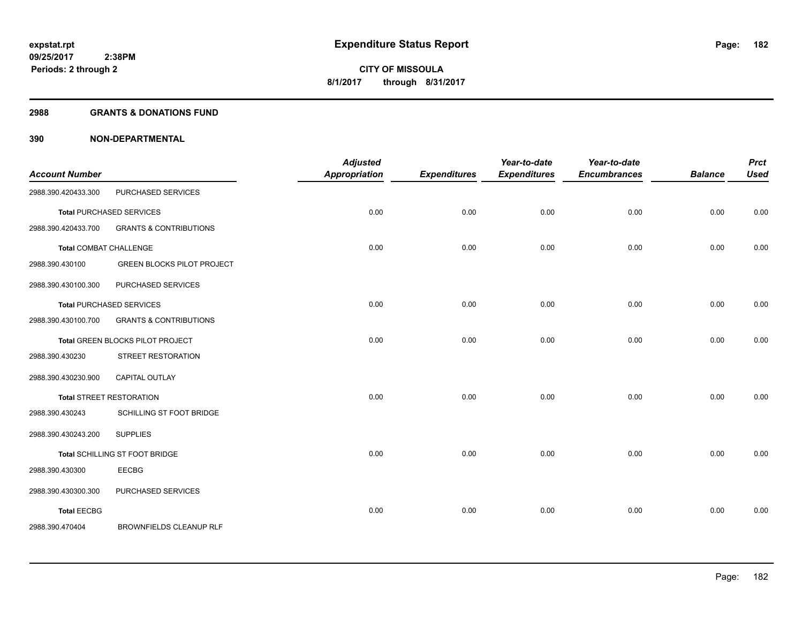#### **2988 GRANTS & DONATIONS FUND**

| <b>Account Number</b>         |                                   | <b>Adjusted</b><br><b>Appropriation</b> | <b>Expenditures</b> | Year-to-date<br><b>Expenditures</b> | Year-to-date<br><b>Encumbrances</b> | <b>Balance</b> | <b>Prct</b><br><b>Used</b> |
|-------------------------------|-----------------------------------|-----------------------------------------|---------------------|-------------------------------------|-------------------------------------|----------------|----------------------------|
| 2988.390.420433.300           | PURCHASED SERVICES                |                                         |                     |                                     |                                     |                |                            |
|                               | <b>Total PURCHASED SERVICES</b>   | 0.00                                    | 0.00                | 0.00                                | 0.00                                | 0.00           | 0.00                       |
| 2988.390.420433.700           | <b>GRANTS &amp; CONTRIBUTIONS</b> |                                         |                     |                                     |                                     |                |                            |
| <b>Total COMBAT CHALLENGE</b> |                                   | 0.00                                    | 0.00                | 0.00                                | 0.00                                | 0.00           | 0.00                       |
| 2988.390.430100               | <b>GREEN BLOCKS PILOT PROJECT</b> |                                         |                     |                                     |                                     |                |                            |
| 2988.390.430100.300           | PURCHASED SERVICES                |                                         |                     |                                     |                                     |                |                            |
|                               | <b>Total PURCHASED SERVICES</b>   | 0.00                                    | 0.00                | 0.00                                | 0.00                                | 0.00           | 0.00                       |
| 2988.390.430100.700           | <b>GRANTS &amp; CONTRIBUTIONS</b> |                                         |                     |                                     |                                     |                |                            |
|                               | Total GREEN BLOCKS PILOT PROJECT  | 0.00                                    | 0.00                | 0.00                                | 0.00                                | 0.00           | 0.00                       |
| 2988.390.430230               | STREET RESTORATION                |                                         |                     |                                     |                                     |                |                            |
| 2988.390.430230.900           | CAPITAL OUTLAY                    |                                         |                     |                                     |                                     |                |                            |
|                               | <b>Total STREET RESTORATION</b>   | 0.00                                    | 0.00                | 0.00                                | 0.00                                | 0.00           | 0.00                       |
| 2988.390.430243               | SCHILLING ST FOOT BRIDGE          |                                         |                     |                                     |                                     |                |                            |
| 2988.390.430243.200           | <b>SUPPLIES</b>                   |                                         |                     |                                     |                                     |                |                            |
|                               | Total SCHILLING ST FOOT BRIDGE    | 0.00                                    | 0.00                | 0.00                                | 0.00                                | 0.00           | 0.00                       |
| 2988.390.430300               | <b>EECBG</b>                      |                                         |                     |                                     |                                     |                |                            |
| 2988.390.430300.300           | PURCHASED SERVICES                |                                         |                     |                                     |                                     |                |                            |
| <b>Total EECBG</b>            |                                   | 0.00                                    | 0.00                | 0.00                                | 0.00                                | 0.00           | 0.00                       |
| 2988.390.470404               | BROWNFIELDS CLEANUP RLF           |                                         |                     |                                     |                                     |                |                            |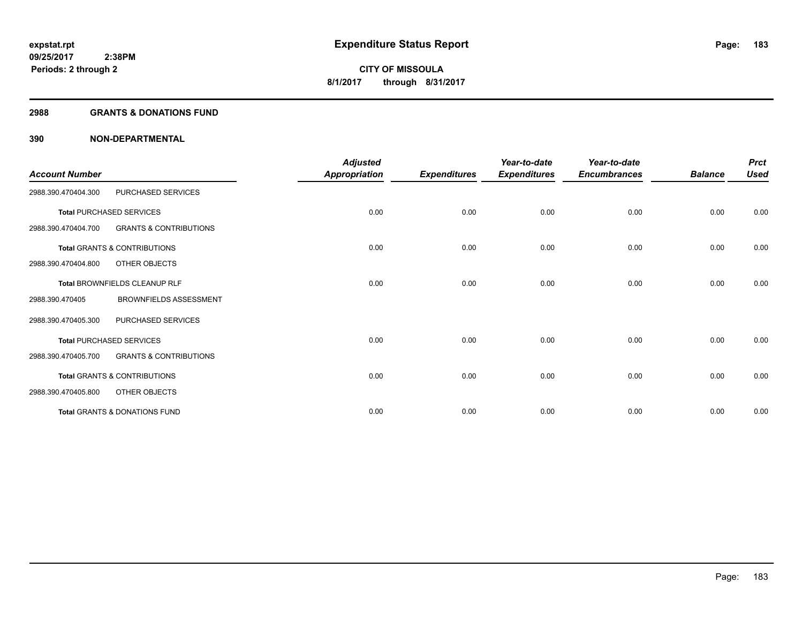#### **2988 GRANTS & DONATIONS FUND**

| <b>Account Number</b> |                                          | <b>Adjusted</b><br>Appropriation | <b>Expenditures</b> | Year-to-date<br><b>Expenditures</b> | Year-to-date<br><b>Encumbrances</b> | <b>Balance</b> | <b>Prct</b><br><b>Used</b> |
|-----------------------|------------------------------------------|----------------------------------|---------------------|-------------------------------------|-------------------------------------|----------------|----------------------------|
| 2988.390.470404.300   | PURCHASED SERVICES                       |                                  |                     |                                     |                                     |                |                            |
|                       | <b>Total PURCHASED SERVICES</b>          | 0.00                             | 0.00                | 0.00                                | 0.00                                | 0.00           | 0.00                       |
| 2988.390.470404.700   | <b>GRANTS &amp; CONTRIBUTIONS</b>        |                                  |                     |                                     |                                     |                |                            |
|                       | <b>Total GRANTS &amp; CONTRIBUTIONS</b>  | 0.00                             | 0.00                | 0.00                                | 0.00                                | 0.00           | 0.00                       |
| 2988.390.470404.800   | OTHER OBJECTS                            |                                  |                     |                                     |                                     |                |                            |
|                       | Total BROWNFIELDS CLEANUP RLF            | 0.00                             | 0.00                | 0.00                                | 0.00                                | 0.00           | 0.00                       |
| 2988.390.470405       | <b>BROWNFIELDS ASSESSMENT</b>            |                                  |                     |                                     |                                     |                |                            |
| 2988.390.470405.300   | PURCHASED SERVICES                       |                                  |                     |                                     |                                     |                |                            |
|                       | <b>Total PURCHASED SERVICES</b>          | 0.00                             | 0.00                | 0.00                                | 0.00                                | 0.00           | 0.00                       |
| 2988.390.470405.700   | <b>GRANTS &amp; CONTRIBUTIONS</b>        |                                  |                     |                                     |                                     |                |                            |
|                       | <b>Total GRANTS &amp; CONTRIBUTIONS</b>  | 0.00                             | 0.00                | 0.00                                | 0.00                                | 0.00           | 0.00                       |
| 2988.390.470405.800   | OTHER OBJECTS                            |                                  |                     |                                     |                                     |                |                            |
|                       | <b>Total GRANTS &amp; DONATIONS FUND</b> | 0.00                             | 0.00                | 0.00                                | 0.00                                | 0.00           | 0.00                       |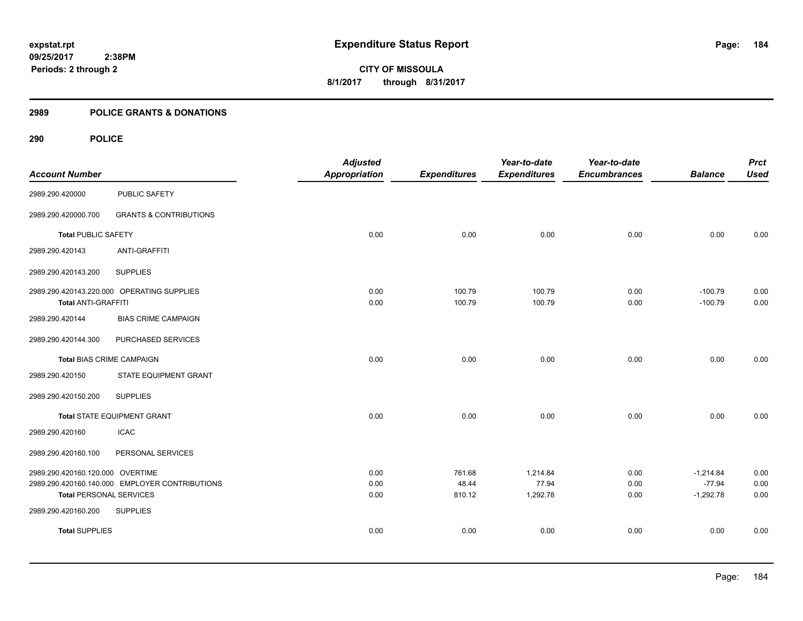# **2989 POLICE GRANTS & DONATIONS**

| <b>Account Number</b>            |                                                | <b>Adjusted</b><br><b>Appropriation</b> | <b>Expenditures</b> | Year-to-date<br><b>Expenditures</b> | Year-to-date<br><b>Encumbrances</b> | <b>Balance</b>         | <b>Prct</b><br><b>Used</b> |
|----------------------------------|------------------------------------------------|-----------------------------------------|---------------------|-------------------------------------|-------------------------------------|------------------------|----------------------------|
| 2989.290.420000                  | <b>PUBLIC SAFETY</b>                           |                                         |                     |                                     |                                     |                        |                            |
| 2989.290.420000.700              | <b>GRANTS &amp; CONTRIBUTIONS</b>              |                                         |                     |                                     |                                     |                        |                            |
| <b>Total PUBLIC SAFETY</b>       |                                                | 0.00                                    | 0.00                | 0.00                                | 0.00                                | 0.00                   | 0.00                       |
| 2989.290.420143                  | <b>ANTI-GRAFFITI</b>                           |                                         |                     |                                     |                                     |                        |                            |
| 2989.290.420143.200              | <b>SUPPLIES</b>                                |                                         |                     |                                     |                                     |                        |                            |
| <b>Total ANTI-GRAFFITI</b>       | 2989.290.420143.220.000 OPERATING SUPPLIES     | 0.00<br>0.00                            | 100.79<br>100.79    | 100.79<br>100.79                    | 0.00<br>0.00                        | $-100.79$<br>$-100.79$ | 0.00<br>0.00               |
| 2989.290.420144                  | <b>BIAS CRIME CAMPAIGN</b>                     |                                         |                     |                                     |                                     |                        |                            |
| 2989.290.420144.300              | PURCHASED SERVICES                             |                                         |                     |                                     |                                     |                        |                            |
| <b>Total BIAS CRIME CAMPAIGN</b> |                                                | 0.00                                    | 0.00                | 0.00                                | 0.00                                | 0.00                   | 0.00                       |
| 2989.290.420150                  | STATE EQUIPMENT GRANT                          |                                         |                     |                                     |                                     |                        |                            |
| 2989.290.420150.200              | <b>SUPPLIES</b>                                |                                         |                     |                                     |                                     |                        |                            |
|                                  | <b>Total STATE EQUIPMENT GRANT</b>             | 0.00                                    | 0.00                | 0.00                                | 0.00                                | 0.00                   | 0.00                       |
| 2989.290.420160                  | <b>ICAC</b>                                    |                                         |                     |                                     |                                     |                        |                            |
| 2989.290.420160.100              | PERSONAL SERVICES                              |                                         |                     |                                     |                                     |                        |                            |
| 2989.290.420160.120.000 OVERTIME |                                                | 0.00                                    | 761.68              | 1,214.84                            | 0.00                                | $-1,214.84$            | 0.00                       |
|                                  | 2989.290.420160.140.000 EMPLOYER CONTRIBUTIONS | 0.00                                    | 48.44               | 77.94                               | 0.00                                | $-77.94$               | 0.00                       |
| <b>Total PERSONAL SERVICES</b>   |                                                | 0.00                                    | 810.12              | 1,292.78                            | 0.00                                | $-1,292.78$            | 0.00                       |
| 2989.290.420160.200              | <b>SUPPLIES</b>                                |                                         |                     |                                     |                                     |                        |                            |
| <b>Total SUPPLIES</b>            |                                                | 0.00                                    | 0.00                | 0.00                                | 0.00                                | 0.00                   | 0.00                       |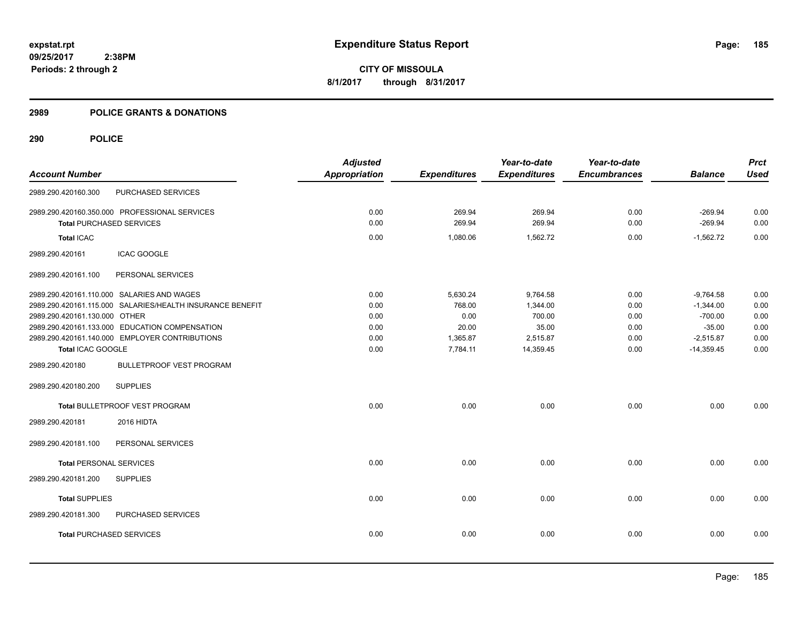## **2989 POLICE GRANTS & DONATIONS**

|                                 |                                                           | <b>Adjusted</b>      |                     | Year-to-date        | Year-to-date        |                | <b>Prct</b> |
|---------------------------------|-----------------------------------------------------------|----------------------|---------------------|---------------------|---------------------|----------------|-------------|
| <b>Account Number</b>           |                                                           | <b>Appropriation</b> | <b>Expenditures</b> | <b>Expenditures</b> | <b>Encumbrances</b> | <b>Balance</b> | <b>Used</b> |
| 2989.290.420160.300             | PURCHASED SERVICES                                        |                      |                     |                     |                     |                |             |
|                                 | 2989.290.420160.350.000 PROFESSIONAL SERVICES             | 0.00                 | 269.94              | 269.94              | 0.00                | $-269.94$      | 0.00        |
| <b>Total PURCHASED SERVICES</b> |                                                           | 0.00                 | 269.94              | 269.94              | 0.00                | $-269.94$      | 0.00        |
| <b>Total ICAC</b>               |                                                           | 0.00                 | 1,080.06            | 1,562.72            | 0.00                | $-1,562.72$    | 0.00        |
| 2989.290.420161                 | <b>ICAC GOOGLE</b>                                        |                      |                     |                     |                     |                |             |
| 2989.290.420161.100             | PERSONAL SERVICES                                         |                      |                     |                     |                     |                |             |
|                                 | 2989.290.420161.110.000 SALARIES AND WAGES                | 0.00                 | 5,630.24            | 9,764.58            | 0.00                | $-9.764.58$    | 0.00        |
|                                 | 2989.290.420161.115.000 SALARIES/HEALTH INSURANCE BENEFIT | 0.00                 | 768.00              | 1,344.00            | 0.00                | $-1,344.00$    | 0.00        |
| 2989.290.420161.130.000 OTHER   |                                                           | 0.00                 | 0.00                | 700.00              | 0.00                | $-700.00$      | 0.00        |
|                                 | 2989.290.420161.133.000 EDUCATION COMPENSATION            | 0.00                 | 20.00               | 35.00               | 0.00                | $-35.00$       | 0.00        |
|                                 | 2989.290.420161.140.000 EMPLOYER CONTRIBUTIONS            | 0.00                 | 1,365.87            | 2,515.87            | 0.00                | $-2,515.87$    | 0.00        |
| Total ICAC GOOGLE               |                                                           | 0.00                 | 7,784.11            | 14,359.45           | 0.00                | $-14,359.45$   | 0.00        |
| 2989.290.420180                 | <b>BULLETPROOF VEST PROGRAM</b>                           |                      |                     |                     |                     |                |             |
| 2989.290.420180.200             | <b>SUPPLIES</b>                                           |                      |                     |                     |                     |                |             |
|                                 | Total BULLETPROOF VEST PROGRAM                            | 0.00                 | 0.00                | 0.00                | 0.00                | 0.00           | 0.00        |
| 2989.290.420181                 | 2016 HIDTA                                                |                      |                     |                     |                     |                |             |
| 2989.290.420181.100             | PERSONAL SERVICES                                         |                      |                     |                     |                     |                |             |
| <b>Total PERSONAL SERVICES</b>  |                                                           | 0.00                 | 0.00                | 0.00                | 0.00                | 0.00           | 0.00        |
| 2989.290.420181.200             | <b>SUPPLIES</b>                                           |                      |                     |                     |                     |                |             |
| <b>Total SUPPLIES</b>           |                                                           | 0.00                 | 0.00                | 0.00                | 0.00                | 0.00           | 0.00        |
| 2989.290.420181.300             | PURCHASED SERVICES                                        |                      |                     |                     |                     |                |             |
| <b>Total PURCHASED SERVICES</b> |                                                           | 0.00                 | 0.00                | 0.00                | 0.00                | 0.00           | 0.00        |
|                                 |                                                           |                      |                     |                     |                     |                |             |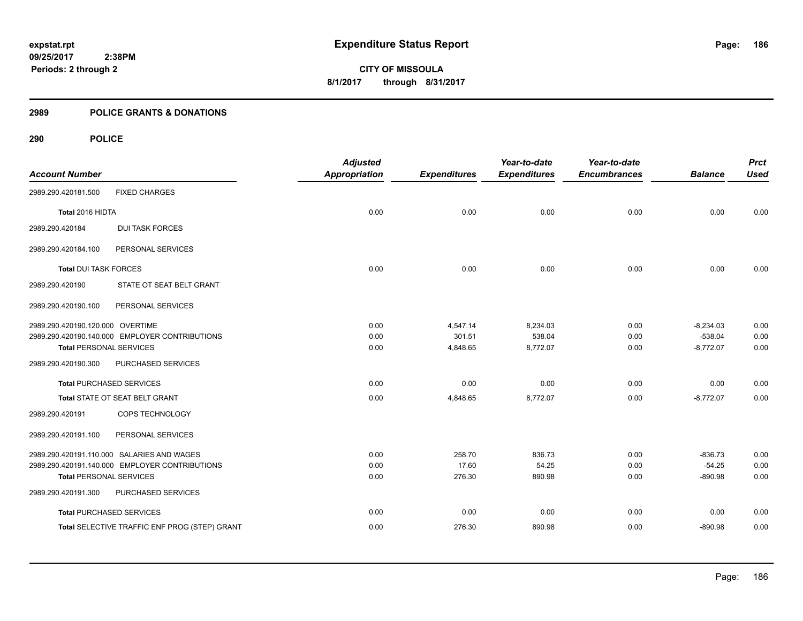# **2989 POLICE GRANTS & DONATIONS**

| <b>Account Number</b>            |                                                | <b>Adjusted</b><br><b>Appropriation</b> | <b>Expenditures</b> | Year-to-date<br><b>Expenditures</b> | Year-to-date<br><b>Encumbrances</b> | <b>Balance</b> | <b>Prct</b><br><b>Used</b> |
|----------------------------------|------------------------------------------------|-----------------------------------------|---------------------|-------------------------------------|-------------------------------------|----------------|----------------------------|
|                                  |                                                |                                         |                     |                                     |                                     |                |                            |
| 2989.290.420181.500              | <b>FIXED CHARGES</b>                           |                                         |                     |                                     |                                     |                |                            |
| Total 2016 HIDTA                 |                                                | 0.00                                    | 0.00                | 0.00                                | 0.00                                | 0.00           | 0.00                       |
| 2989.290.420184                  | <b>DUI TASK FORCES</b>                         |                                         |                     |                                     |                                     |                |                            |
| 2989.290.420184.100              | PERSONAL SERVICES                              |                                         |                     |                                     |                                     |                |                            |
| <b>Total DUI TASK FORCES</b>     |                                                | 0.00                                    | 0.00                | 0.00                                | 0.00                                | 0.00           | 0.00                       |
| 2989.290.420190                  | STATE OT SEAT BELT GRANT                       |                                         |                     |                                     |                                     |                |                            |
| 2989.290.420190.100              | PERSONAL SERVICES                              |                                         |                     |                                     |                                     |                |                            |
| 2989.290.420190.120.000 OVERTIME |                                                | 0.00                                    | 4,547.14            | 8,234.03                            | 0.00                                | $-8,234.03$    | 0.00                       |
|                                  | 2989.290.420190.140.000 EMPLOYER CONTRIBUTIONS | 0.00                                    | 301.51              | 538.04                              | 0.00                                | $-538.04$      | 0.00                       |
| <b>Total PERSONAL SERVICES</b>   |                                                | 0.00                                    | 4,848.65            | 8,772.07                            | 0.00                                | $-8,772.07$    | 0.00                       |
| 2989.290.420190.300              | PURCHASED SERVICES                             |                                         |                     |                                     |                                     |                |                            |
| <b>Total PURCHASED SERVICES</b>  |                                                | 0.00                                    | 0.00                | 0.00                                | 0.00                                | 0.00           | 0.00                       |
|                                  | Total STATE OT SEAT BELT GRANT                 | 0.00                                    | 4,848.65            | 8,772.07                            | 0.00                                | $-8,772.07$    | 0.00                       |
| 2989.290.420191                  | COPS TECHNOLOGY                                |                                         |                     |                                     |                                     |                |                            |
| 2989.290.420191.100              | PERSONAL SERVICES                              |                                         |                     |                                     |                                     |                |                            |
|                                  | 2989.290.420191.110.000 SALARIES AND WAGES     | 0.00                                    | 258.70              | 836.73                              | 0.00                                | $-836.73$      | 0.00                       |
|                                  | 2989.290.420191.140.000 EMPLOYER CONTRIBUTIONS | 0.00                                    | 17.60               | 54.25                               | 0.00                                | $-54.25$       | 0.00                       |
| <b>Total PERSONAL SERVICES</b>   |                                                | 0.00                                    | 276.30              | 890.98                              | 0.00                                | $-890.98$      | 0.00                       |
| 2989.290.420191.300              | PURCHASED SERVICES                             |                                         |                     |                                     |                                     |                |                            |
| <b>Total PURCHASED SERVICES</b>  |                                                | 0.00                                    | 0.00                | 0.00                                | 0.00                                | 0.00           | 0.00                       |
|                                  | Total SELECTIVE TRAFFIC ENF PROG (STEP) GRANT  | 0.00                                    | 276.30              | 890.98                              | 0.00                                | $-890.98$      | 0.00                       |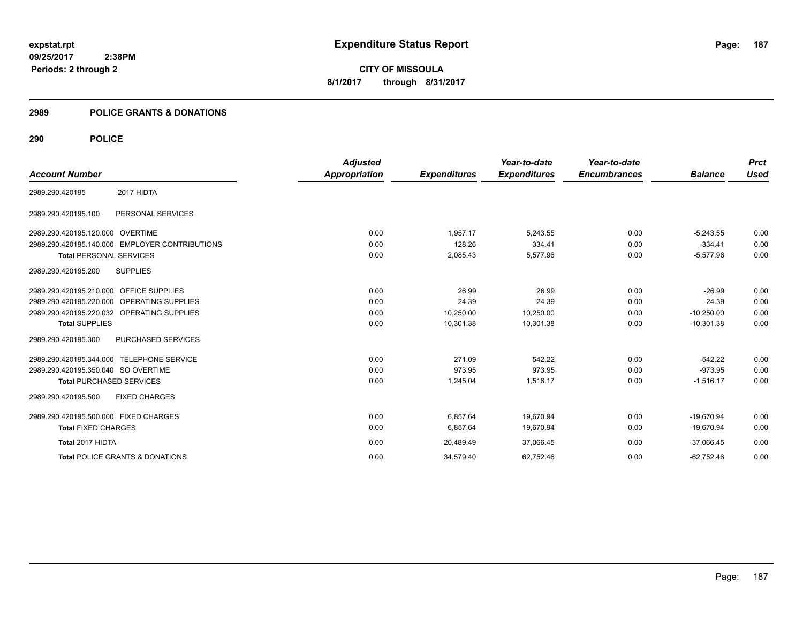**187**

**09/25/2017 2:38PM Periods: 2 through 2**

**CITY OF MISSOULA 8/1/2017 through 8/31/2017**

# **2989 POLICE GRANTS & DONATIONS**

|                                       |                                                | <b>Adjusted</b>      |                     | Year-to-date        | Year-to-date        |                | <b>Prct</b> |
|---------------------------------------|------------------------------------------------|----------------------|---------------------|---------------------|---------------------|----------------|-------------|
| <b>Account Number</b>                 |                                                | <b>Appropriation</b> | <b>Expenditures</b> | <b>Expenditures</b> | <b>Encumbrances</b> | <b>Balance</b> | <b>Used</b> |
| 2989.290.420195                       | 2017 HIDTA                                     |                      |                     |                     |                     |                |             |
| 2989.290.420195.100                   | PERSONAL SERVICES                              |                      |                     |                     |                     |                |             |
| 2989.290.420195.120.000 OVERTIME      |                                                | 0.00                 | 1.957.17            | 5.243.55            | 0.00                | $-5.243.55$    | 0.00        |
|                                       | 2989.290.420195.140.000 EMPLOYER CONTRIBUTIONS | 0.00                 | 128.26              | 334.41              | 0.00                | $-334.41$      | 0.00        |
| <b>Total PERSONAL SERVICES</b>        |                                                | 0.00                 | 2,085.43            | 5,577.96            | 0.00                | $-5,577.96$    | 0.00        |
| 2989.290.420195.200                   | <b>SUPPLIES</b>                                |                      |                     |                     |                     |                |             |
| 2989.290.420195.210.000               | <b>OFFICE SUPPLIES</b>                         | 0.00                 | 26.99               | 26.99               | 0.00                | $-26.99$       | 0.00        |
|                                       | 2989.290.420195.220.000 OPERATING SUPPLIES     | 0.00                 | 24.39               | 24.39               | 0.00                | $-24.39$       | 0.00        |
|                                       | 2989.290.420195.220.032 OPERATING SUPPLIES     | 0.00                 | 10,250.00           | 10,250.00           | 0.00                | $-10,250.00$   | 0.00        |
| <b>Total SUPPLIES</b>                 |                                                | 0.00                 | 10,301.38           | 10,301.38           | 0.00                | $-10,301.38$   | 0.00        |
| 2989.290.420195.300                   | PURCHASED SERVICES                             |                      |                     |                     |                     |                |             |
|                                       | 2989.290.420195.344.000 TELEPHONE SERVICE      | 0.00                 | 271.09              | 542.22              | 0.00                | $-542.22$      | 0.00        |
| 2989.290.420195.350.040 SO OVERTIME   |                                                | 0.00                 | 973.95              | 973.95              | 0.00                | $-973.95$      | 0.00        |
|                                       | <b>Total PURCHASED SERVICES</b>                | 0.00                 | 1,245.04            | 1,516.17            | 0.00                | $-1,516.17$    | 0.00        |
| 2989.290.420195.500                   | <b>FIXED CHARGES</b>                           |                      |                     |                     |                     |                |             |
| 2989.290.420195.500.000 FIXED CHARGES |                                                | 0.00                 | 6,857.64            | 19.670.94           | 0.00                | $-19.670.94$   | 0.00        |
| <b>Total FIXED CHARGES</b>            |                                                | 0.00                 | 6,857.64            | 19,670.94           | 0.00                | $-19,670.94$   | 0.00        |
| Total 2017 HIDTA                      |                                                | 0.00                 | 20,489.49           | 37,066.45           | 0.00                | $-37.066.45$   | 0.00        |
|                                       | <b>Total POLICE GRANTS &amp; DONATIONS</b>     | 0.00                 | 34,579.40           | 62,752.46           | 0.00                | $-62,752.46$   | 0.00        |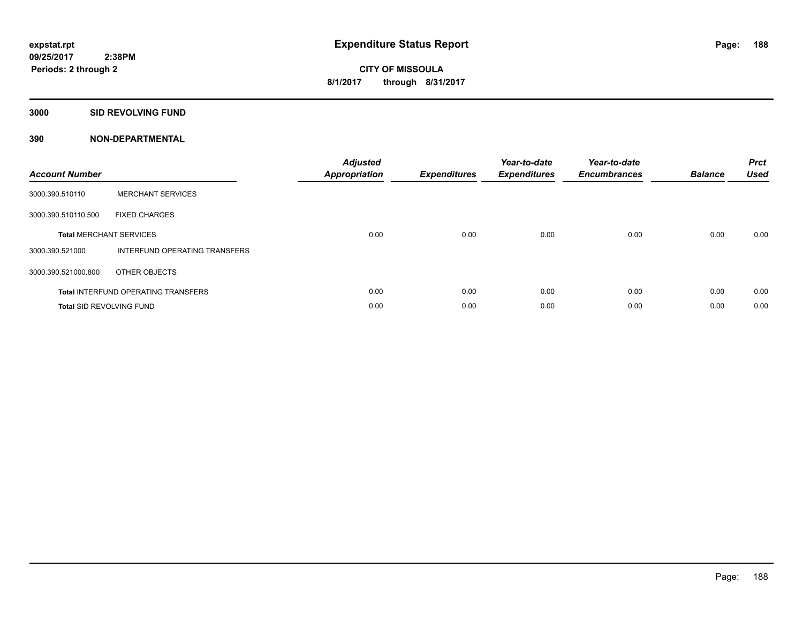**3000 SID REVOLVING FUND**

| <b>Account Number</b>           |                                            | <b>Adjusted</b><br><b>Appropriation</b> | <b>Expenditures</b> | Year-to-date<br><b>Expenditures</b> | Year-to-date<br><b>Encumbrances</b> | <b>Balance</b> | <b>Prct</b><br><b>Used</b> |
|---------------------------------|--------------------------------------------|-----------------------------------------|---------------------|-------------------------------------|-------------------------------------|----------------|----------------------------|
| 3000.390.510110                 | <b>MERCHANT SERVICES</b>                   |                                         |                     |                                     |                                     |                |                            |
| 3000.390.510110.500             | <b>FIXED CHARGES</b>                       |                                         |                     |                                     |                                     |                |                            |
|                                 | <b>Total MERCHANT SERVICES</b>             | 0.00                                    | 0.00                | 0.00                                | 0.00                                | 0.00           | 0.00                       |
| 3000.390.521000                 | INTERFUND OPERATING TRANSFERS              |                                         |                     |                                     |                                     |                |                            |
| 3000.390.521000.800             | OTHER OBJECTS                              |                                         |                     |                                     |                                     |                |                            |
|                                 | <b>Total INTERFUND OPERATING TRANSFERS</b> | 0.00                                    | 0.00                | 0.00                                | 0.00                                | 0.00           | 0.00                       |
| <b>Total SID REVOLVING FUND</b> |                                            | 0.00                                    | 0.00                | 0.00                                | 0.00                                | 0.00           | 0.00                       |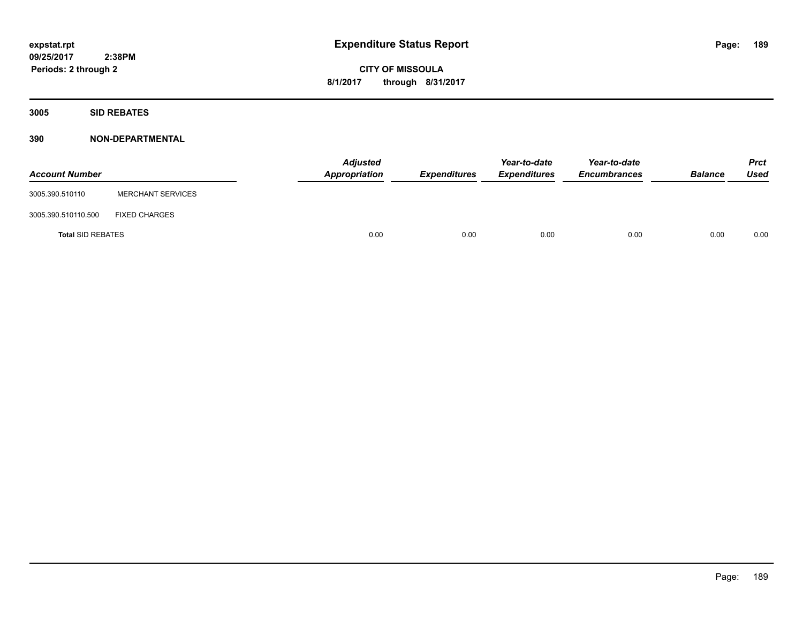**3005 SID REBATES**

| <b>Account Number</b>    |                          | <b>Adjusted</b><br>Appropriation | <b>Expenditures</b> | Year-to-date<br><b>Expenditures</b> | Year-to-date<br><b>Encumbrances</b> | <b>Balance</b> | Prct<br><b>Used</b> |
|--------------------------|--------------------------|----------------------------------|---------------------|-------------------------------------|-------------------------------------|----------------|---------------------|
| 3005.390.510110          | <b>MERCHANT SERVICES</b> |                                  |                     |                                     |                                     |                |                     |
| 3005.390.510110.500      | <b>FIXED CHARGES</b>     |                                  |                     |                                     |                                     |                |                     |
| <b>Total SID REBATES</b> |                          | 0.00                             | 0.00                | 0.00                                | 0.00                                | 0.00           | 0.00                |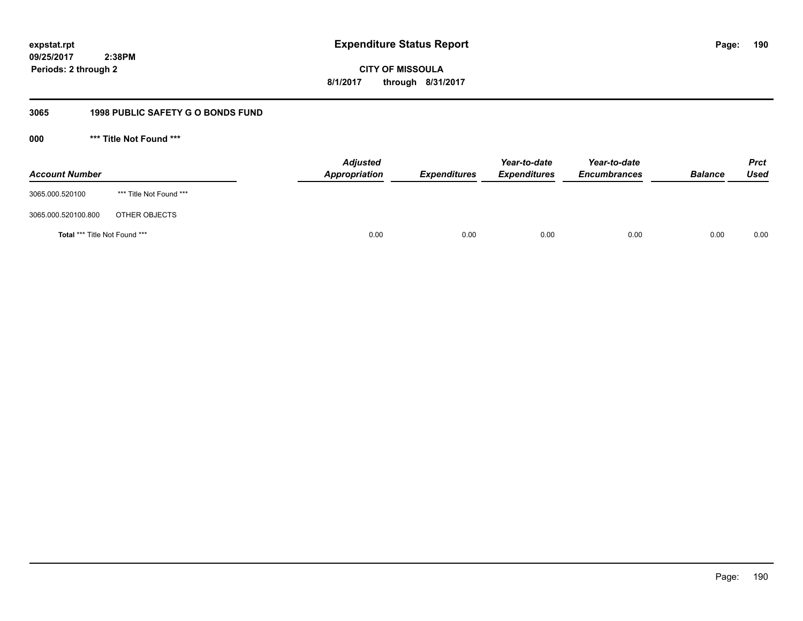**CITY OF MISSOULA 8/1/2017 through 8/31/2017**

# **3065 1998 PUBLIC SAFETY G O BONDS FUND**

**000 \*\*\* Title Not Found \*\*\***

| <b>Account Number</b>                |                         | <b>Adjusted</b><br>Appropriation | <b>Expenditures</b> | Year-to-date<br><b>Expenditures</b> | Year-to-date<br><b>Encumbrances</b> | <b>Balance</b> | <b>Prct</b><br><b>Used</b> |
|--------------------------------------|-------------------------|----------------------------------|---------------------|-------------------------------------|-------------------------------------|----------------|----------------------------|
| 3065.000.520100                      | *** Title Not Found *** |                                  |                     |                                     |                                     |                |                            |
| 3065.000.520100.800                  | OTHER OBJECTS           |                                  |                     |                                     |                                     |                |                            |
| <b>Total *** Title Not Found ***</b> |                         | 0.00                             | 0.00                | 0.00                                | 0.00                                | 0.00           | 0.00                       |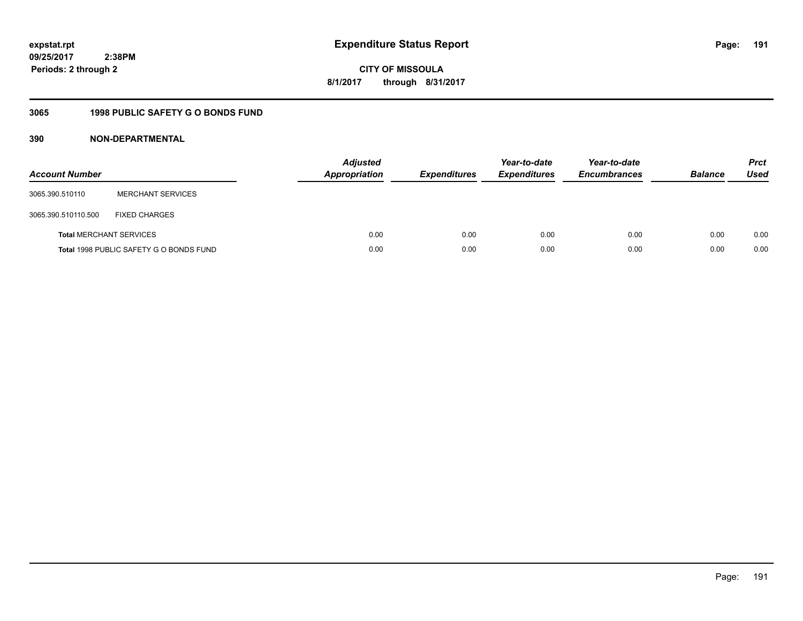**CITY OF MISSOULA 8/1/2017 through 8/31/2017**

# **3065 1998 PUBLIC SAFETY G O BONDS FUND**

| <b>Account Number</b>          |                                         | <b>Adjusted</b><br><b>Appropriation</b> | <b>Expenditures</b> | Year-to-date<br><b>Expenditures</b> | Year-to-date<br><b>Encumbrances</b> | <b>Balance</b> | <b>Prct</b><br>Used |
|--------------------------------|-----------------------------------------|-----------------------------------------|---------------------|-------------------------------------|-------------------------------------|----------------|---------------------|
| 3065.390.510110                | <b>MERCHANT SERVICES</b>                |                                         |                     |                                     |                                     |                |                     |
| 3065.390.510110.500            | <b>FIXED CHARGES</b>                    |                                         |                     |                                     |                                     |                |                     |
| <b>Total MERCHANT SERVICES</b> |                                         | 0.00                                    | 0.00                | 0.00                                | 0.00                                | 0.00           | 0.00                |
|                                | Total 1998 PUBLIC SAFETY G O BONDS FUND | 0.00                                    | 0.00                | 0.00                                | 0.00                                | 0.00           | 0.00                |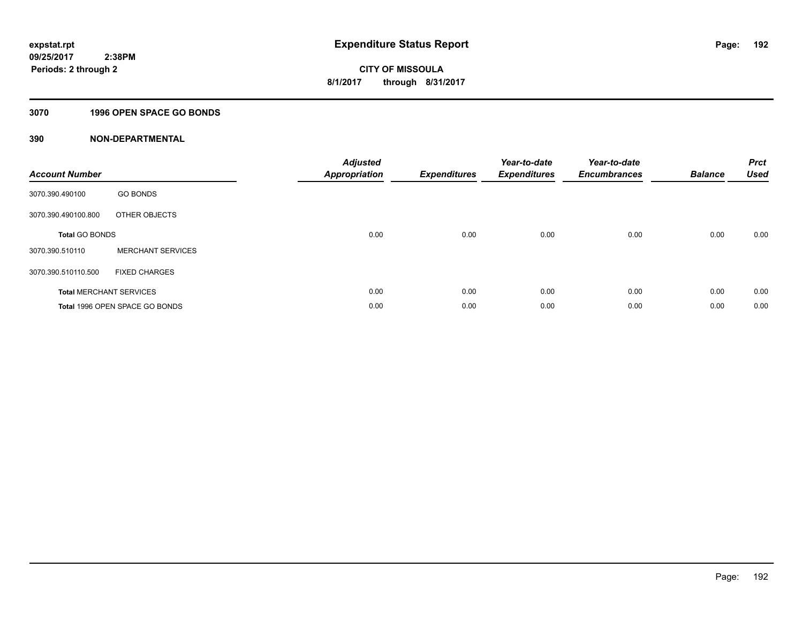# **3070 1996 OPEN SPACE GO BONDS**

| <b>Account Number</b> |                                | <b>Adjusted</b><br>Appropriation | <b>Expenditures</b> | Year-to-date<br><b>Expenditures</b> | Year-to-date<br><b>Encumbrances</b> | <b>Balance</b> | <b>Prct</b><br>Used |
|-----------------------|--------------------------------|----------------------------------|---------------------|-------------------------------------|-------------------------------------|----------------|---------------------|
| 3070.390.490100       | <b>GO BONDS</b>                |                                  |                     |                                     |                                     |                |                     |
| 3070.390.490100.800   | OTHER OBJECTS                  |                                  |                     |                                     |                                     |                |                     |
| <b>Total GO BONDS</b> |                                | 0.00                             | 0.00                | 0.00                                | 0.00                                | 0.00           | 0.00                |
| 3070.390.510110       | <b>MERCHANT SERVICES</b>       |                                  |                     |                                     |                                     |                |                     |
| 3070.390.510110.500   | <b>FIXED CHARGES</b>           |                                  |                     |                                     |                                     |                |                     |
|                       | <b>Total MERCHANT SERVICES</b> | 0.00                             | 0.00                | 0.00                                | 0.00                                | 0.00           | 0.00                |
|                       | Total 1996 OPEN SPACE GO BONDS | 0.00                             | 0.00                | 0.00                                | 0.00                                | 0.00           | 0.00                |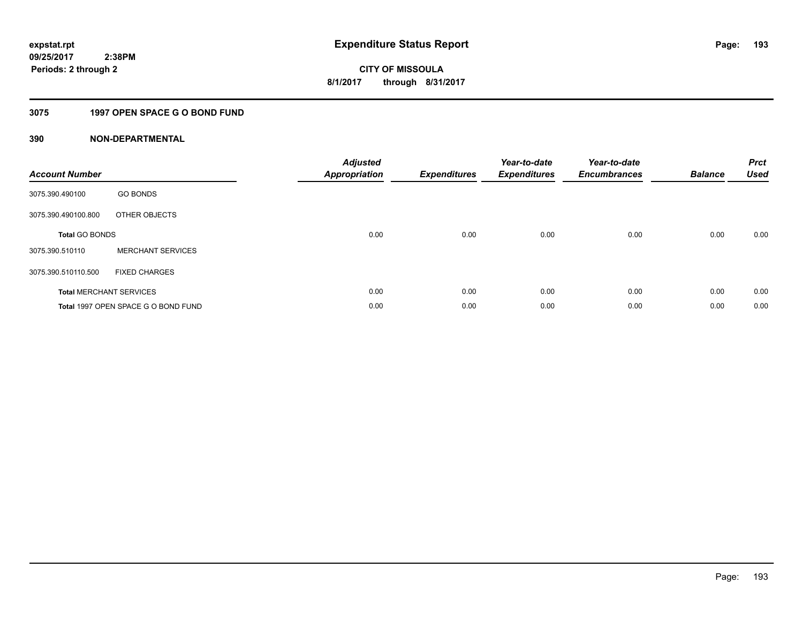# **3075 1997 OPEN SPACE G O BOND FUND**

| <b>Account Number</b> |                                     | <b>Adjusted</b><br>Appropriation | <b>Expenditures</b> | Year-to-date<br><b>Expenditures</b> | Year-to-date<br><b>Encumbrances</b> | <b>Balance</b> | <b>Prct</b><br><b>Used</b> |
|-----------------------|-------------------------------------|----------------------------------|---------------------|-------------------------------------|-------------------------------------|----------------|----------------------------|
| 3075.390.490100       | <b>GO BONDS</b>                     |                                  |                     |                                     |                                     |                |                            |
| 3075.390.490100.800   | OTHER OBJECTS                       |                                  |                     |                                     |                                     |                |                            |
| <b>Total GO BONDS</b> |                                     | 0.00                             | 0.00                | 0.00                                | 0.00                                | 0.00           | 0.00                       |
| 3075.390.510110       | <b>MERCHANT SERVICES</b>            |                                  |                     |                                     |                                     |                |                            |
| 3075.390.510110.500   | <b>FIXED CHARGES</b>                |                                  |                     |                                     |                                     |                |                            |
|                       | <b>Total MERCHANT SERVICES</b>      | 0.00                             | 0.00                | 0.00                                | 0.00                                | 0.00           | 0.00                       |
|                       | Total 1997 OPEN SPACE G O BOND FUND | 0.00                             | 0.00                | 0.00                                | 0.00                                | 0.00           | 0.00                       |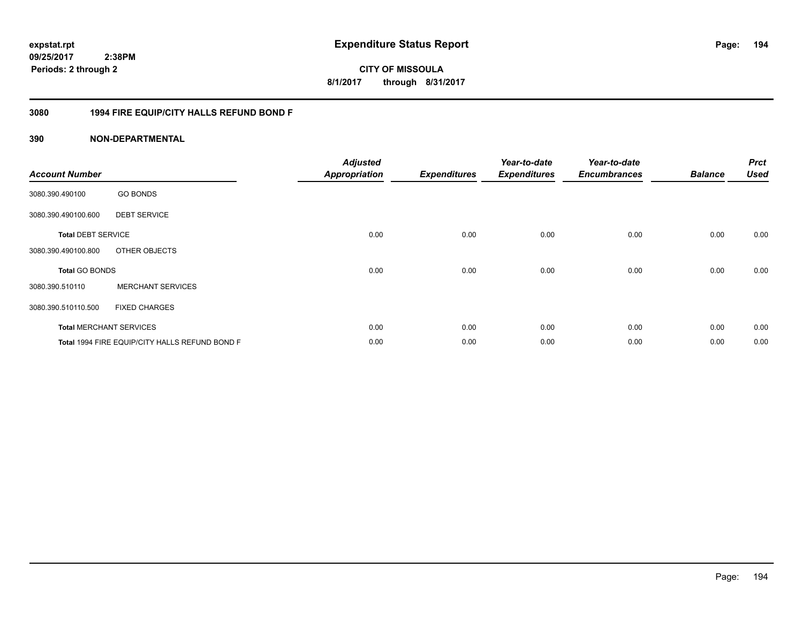**CITY OF MISSOULA 8/1/2017 through 8/31/2017**

# **3080 1994 FIRE EQUIP/CITY HALLS REFUND BOND F**

| <b>Account Number</b>     |                                                | <b>Adjusted</b><br><b>Appropriation</b> | <b>Expenditures</b> | Year-to-date<br><b>Expenditures</b> | Year-to-date<br><b>Encumbrances</b> | <b>Balance</b> | <b>Prct</b><br><b>Used</b> |
|---------------------------|------------------------------------------------|-----------------------------------------|---------------------|-------------------------------------|-------------------------------------|----------------|----------------------------|
| 3080.390.490100           | <b>GO BONDS</b>                                |                                         |                     |                                     |                                     |                |                            |
| 3080.390.490100.600       | <b>DEBT SERVICE</b>                            |                                         |                     |                                     |                                     |                |                            |
| <b>Total DEBT SERVICE</b> |                                                | 0.00                                    | 0.00                | 0.00                                | 0.00                                | 0.00           | 0.00                       |
| 3080.390.490100.800       | OTHER OBJECTS                                  |                                         |                     |                                     |                                     |                |                            |
| <b>Total GO BONDS</b>     |                                                | 0.00                                    | 0.00                | 0.00                                | 0.00                                | 0.00           | 0.00                       |
| 3080.390.510110           | <b>MERCHANT SERVICES</b>                       |                                         |                     |                                     |                                     |                |                            |
| 3080.390.510110.500       | <b>FIXED CHARGES</b>                           |                                         |                     |                                     |                                     |                |                            |
|                           | <b>Total MERCHANT SERVICES</b>                 | 0.00                                    | 0.00                | 0.00                                | 0.00                                | 0.00           | 0.00                       |
|                           | Total 1994 FIRE EQUIP/CITY HALLS REFUND BOND F | 0.00                                    | 0.00                | 0.00                                | 0.00                                | 0.00           | 0.00                       |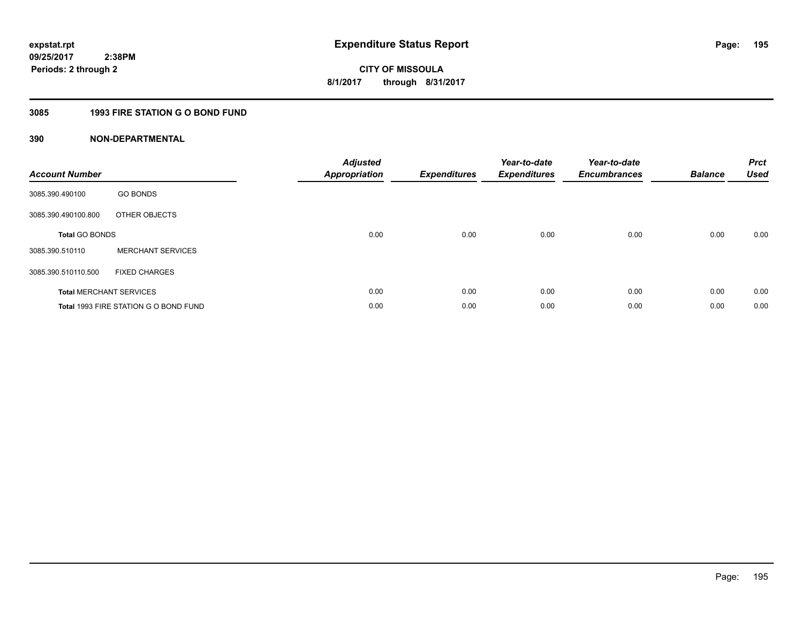# **3085 1993 FIRE STATION G O BOND FUND**

| <b>Account Number</b> |                                       | <b>Adjusted</b><br>Appropriation | <b>Expenditures</b> | Year-to-date<br><b>Expenditures</b> | Year-to-date<br><b>Encumbrances</b> | <b>Balance</b> | <b>Prct</b><br><b>Used</b> |
|-----------------------|---------------------------------------|----------------------------------|---------------------|-------------------------------------|-------------------------------------|----------------|----------------------------|
| 3085.390.490100       | <b>GO BONDS</b>                       |                                  |                     |                                     |                                     |                |                            |
| 3085.390.490100.800   | OTHER OBJECTS                         |                                  |                     |                                     |                                     |                |                            |
| <b>Total GO BONDS</b> |                                       | 0.00                             | 0.00                | 0.00                                | 0.00                                | 0.00           | 0.00                       |
| 3085.390.510110       | <b>MERCHANT SERVICES</b>              |                                  |                     |                                     |                                     |                |                            |
| 3085.390.510110.500   | <b>FIXED CHARGES</b>                  |                                  |                     |                                     |                                     |                |                            |
|                       | <b>Total MERCHANT SERVICES</b>        | 0.00                             | 0.00                | 0.00                                | 0.00                                | 0.00           | 0.00                       |
|                       | Total 1993 FIRE STATION G O BOND FUND | 0.00                             | 0.00                | 0.00                                | 0.00                                | 0.00           | 0.00                       |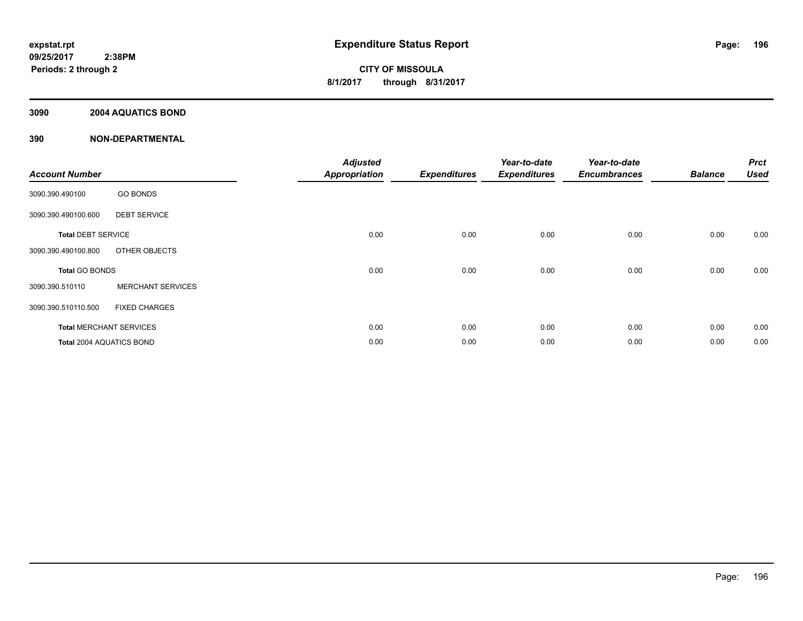# **3090 2004 AQUATICS BOND**

| <b>Account Number</b>     |                                | <b>Adjusted</b><br><b>Appropriation</b> | <b>Expenditures</b> | Year-to-date<br><b>Expenditures</b> | Year-to-date<br><b>Encumbrances</b> | <b>Balance</b> | <b>Prct</b><br><b>Used</b> |
|---------------------------|--------------------------------|-----------------------------------------|---------------------|-------------------------------------|-------------------------------------|----------------|----------------------------|
| 3090.390.490100           | <b>GO BONDS</b>                |                                         |                     |                                     |                                     |                |                            |
| 3090.390.490100.600       | <b>DEBT SERVICE</b>            |                                         |                     |                                     |                                     |                |                            |
| <b>Total DEBT SERVICE</b> |                                | 0.00                                    | 0.00                | 0.00                                | 0.00                                | 0.00           | 0.00                       |
| 3090.390.490100.800       | OTHER OBJECTS                  |                                         |                     |                                     |                                     |                |                            |
| <b>Total GO BONDS</b>     |                                | 0.00                                    | 0.00                | 0.00                                | 0.00                                | 0.00           | 0.00                       |
| 3090.390.510110           | <b>MERCHANT SERVICES</b>       |                                         |                     |                                     |                                     |                |                            |
| 3090.390.510110.500       | <b>FIXED CHARGES</b>           |                                         |                     |                                     |                                     |                |                            |
|                           | <b>Total MERCHANT SERVICES</b> | 0.00                                    | 0.00                | 0.00                                | 0.00                                | 0.00           | 0.00                       |
| Total 2004 AQUATICS BOND  |                                | 0.00                                    | 0.00                | 0.00                                | 0.00                                | 0.00           | 0.00                       |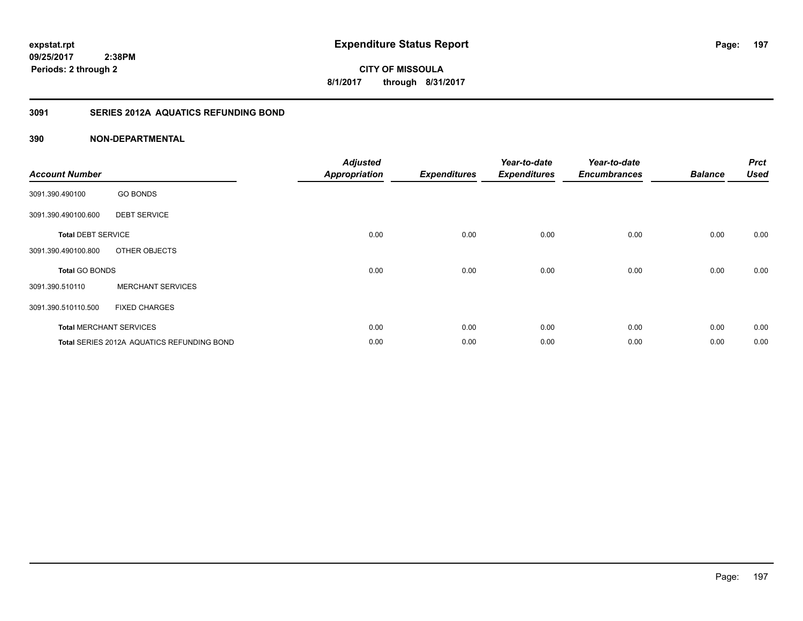**197**

**CITY OF MISSOULA 8/1/2017 through 8/31/2017**

# **3091 SERIES 2012A AQUATICS REFUNDING BOND**

| <b>Account Number</b>     |                                            | <b>Adjusted</b><br><b>Appropriation</b> | <b>Expenditures</b> | Year-to-date<br><b>Expenditures</b> | Year-to-date<br><b>Encumbrances</b> | <b>Balance</b> | <b>Prct</b><br><b>Used</b> |
|---------------------------|--------------------------------------------|-----------------------------------------|---------------------|-------------------------------------|-------------------------------------|----------------|----------------------------|
| 3091.390.490100           | <b>GO BONDS</b>                            |                                         |                     |                                     |                                     |                |                            |
| 3091.390.490100.600       | <b>DEBT SERVICE</b>                        |                                         |                     |                                     |                                     |                |                            |
| <b>Total DEBT SERVICE</b> |                                            | 0.00                                    | 0.00                | 0.00                                | 0.00                                | 0.00           | 0.00                       |
| 3091.390.490100.800       | OTHER OBJECTS                              |                                         |                     |                                     |                                     |                |                            |
| <b>Total GO BONDS</b>     |                                            | 0.00                                    | 0.00                | 0.00                                | 0.00                                | 0.00           | 0.00                       |
| 3091.390.510110           | <b>MERCHANT SERVICES</b>                   |                                         |                     |                                     |                                     |                |                            |
| 3091.390.510110.500       | <b>FIXED CHARGES</b>                       |                                         |                     |                                     |                                     |                |                            |
|                           | <b>Total MERCHANT SERVICES</b>             | 0.00                                    | 0.00                | 0.00                                | 0.00                                | 0.00           | 0.00                       |
|                           | Total SERIES 2012A AQUATICS REFUNDING BOND | 0.00                                    | 0.00                | 0.00                                | 0.00                                | 0.00           | 0.00                       |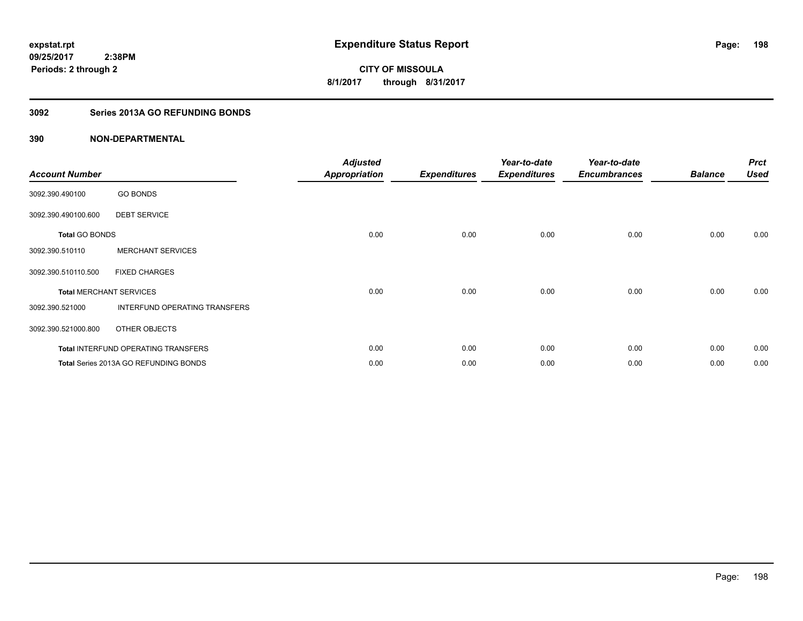# **3092 Series 2013A GO REFUNDING BONDS**

| <b>Account Number</b>          |                                              | <b>Adjusted</b><br><b>Appropriation</b> | <b>Expenditures</b> | Year-to-date<br><b>Expenditures</b> | Year-to-date<br><b>Encumbrances</b> | <b>Balance</b> | <b>Prct</b><br><b>Used</b> |
|--------------------------------|----------------------------------------------|-----------------------------------------|---------------------|-------------------------------------|-------------------------------------|----------------|----------------------------|
| 3092.390.490100                | <b>GO BONDS</b>                              |                                         |                     |                                     |                                     |                |                            |
| 3092.390.490100.600            | <b>DEBT SERVICE</b>                          |                                         |                     |                                     |                                     |                |                            |
| <b>Total GO BONDS</b>          |                                              | 0.00                                    | 0.00                | 0.00                                | 0.00                                | 0.00           | 0.00                       |
| 3092.390.510110                | <b>MERCHANT SERVICES</b>                     |                                         |                     |                                     |                                     |                |                            |
| 3092.390.510110.500            | <b>FIXED CHARGES</b>                         |                                         |                     |                                     |                                     |                |                            |
| <b>Total MERCHANT SERVICES</b> |                                              | 0.00                                    | 0.00                | 0.00                                | 0.00                                | 0.00           | 0.00                       |
| 3092.390.521000                | INTERFUND OPERATING TRANSFERS                |                                         |                     |                                     |                                     |                |                            |
| 3092.390.521000.800            | OTHER OBJECTS                                |                                         |                     |                                     |                                     |                |                            |
|                                | Total INTERFUND OPERATING TRANSFERS          | 0.00                                    | 0.00                | 0.00                                | 0.00                                | 0.00           | 0.00                       |
|                                | <b>Total Series 2013A GO REFUNDING BONDS</b> | 0.00                                    | 0.00                | 0.00                                | 0.00                                | 0.00           | 0.00                       |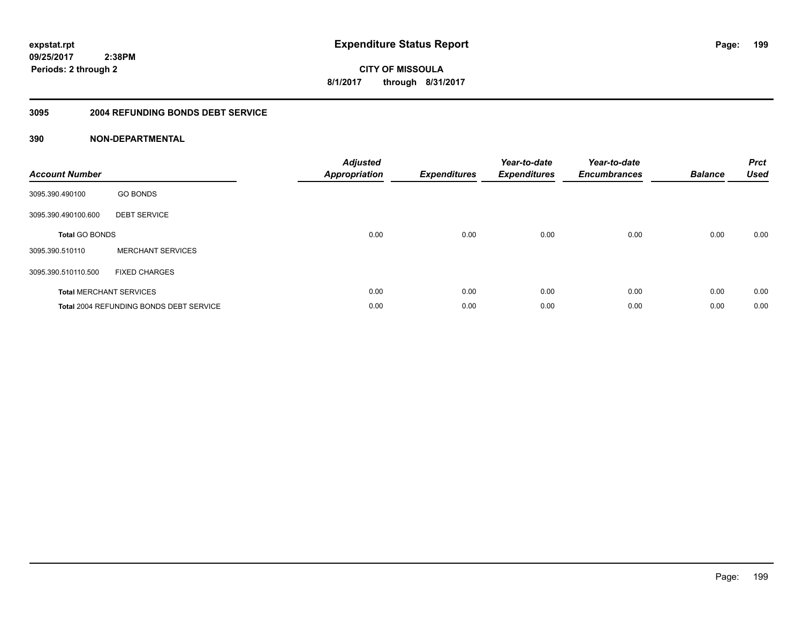**CITY OF MISSOULA 8/1/2017 through 8/31/2017**

#### **3095 2004 REFUNDING BONDS DEBT SERVICE**

| <b>Account Number</b> |                                                | <b>Adjusted</b><br>Appropriation | <b>Expenditures</b> | Year-to-date<br><b>Expenditures</b> | Year-to-date<br><b>Encumbrances</b> | <b>Balance</b> | <b>Prct</b><br>Used |
|-----------------------|------------------------------------------------|----------------------------------|---------------------|-------------------------------------|-------------------------------------|----------------|---------------------|
| 3095.390.490100       | <b>GO BONDS</b>                                |                                  |                     |                                     |                                     |                |                     |
| 3095.390.490100.600   | <b>DEBT SERVICE</b>                            |                                  |                     |                                     |                                     |                |                     |
| <b>Total GO BONDS</b> |                                                | 0.00                             | 0.00                | 0.00                                | 0.00                                | 0.00           | 0.00                |
| 3095.390.510110       | <b>MERCHANT SERVICES</b>                       |                                  |                     |                                     |                                     |                |                     |
| 3095.390.510110.500   | <b>FIXED CHARGES</b>                           |                                  |                     |                                     |                                     |                |                     |
|                       | <b>Total MERCHANT SERVICES</b>                 | 0.00                             | 0.00                | 0.00                                | 0.00                                | 0.00           | 0.00                |
|                       | <b>Total 2004 REFUNDING BONDS DEBT SERVICE</b> | 0.00                             | 0.00                | 0.00                                | 0.00                                | 0.00           | 0.00                |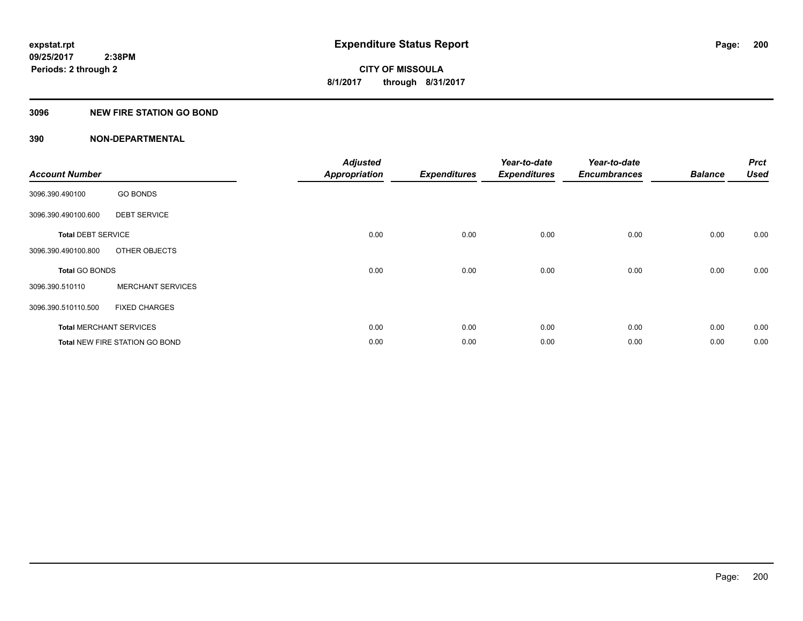# **3096 NEW FIRE STATION GO BOND**

| <b>Account Number</b>     |                                       | <b>Adjusted</b><br><b>Appropriation</b> | <b>Expenditures</b> | Year-to-date<br><b>Expenditures</b> | Year-to-date<br><b>Encumbrances</b> | <b>Balance</b> | <b>Prct</b><br><b>Used</b> |
|---------------------------|---------------------------------------|-----------------------------------------|---------------------|-------------------------------------|-------------------------------------|----------------|----------------------------|
| 3096.390.490100           | <b>GO BONDS</b>                       |                                         |                     |                                     |                                     |                |                            |
| 3096.390.490100.600       | <b>DEBT SERVICE</b>                   |                                         |                     |                                     |                                     |                |                            |
| <b>Total DEBT SERVICE</b> |                                       | 0.00                                    | 0.00                | 0.00                                | 0.00                                | 0.00           | 0.00                       |
| 3096.390.490100.800       | OTHER OBJECTS                         |                                         |                     |                                     |                                     |                |                            |
| <b>Total GO BONDS</b>     |                                       | 0.00                                    | 0.00                | 0.00                                | 0.00                                | 0.00           | 0.00                       |
| 3096.390.510110           | <b>MERCHANT SERVICES</b>              |                                         |                     |                                     |                                     |                |                            |
| 3096.390.510110.500       | <b>FIXED CHARGES</b>                  |                                         |                     |                                     |                                     |                |                            |
|                           | <b>Total MERCHANT SERVICES</b>        | 0.00                                    | 0.00                | 0.00                                | 0.00                                | 0.00           | 0.00                       |
|                           | <b>Total NEW FIRE STATION GO BOND</b> | 0.00                                    | 0.00                | 0.00                                | 0.00                                | 0.00           | 0.00                       |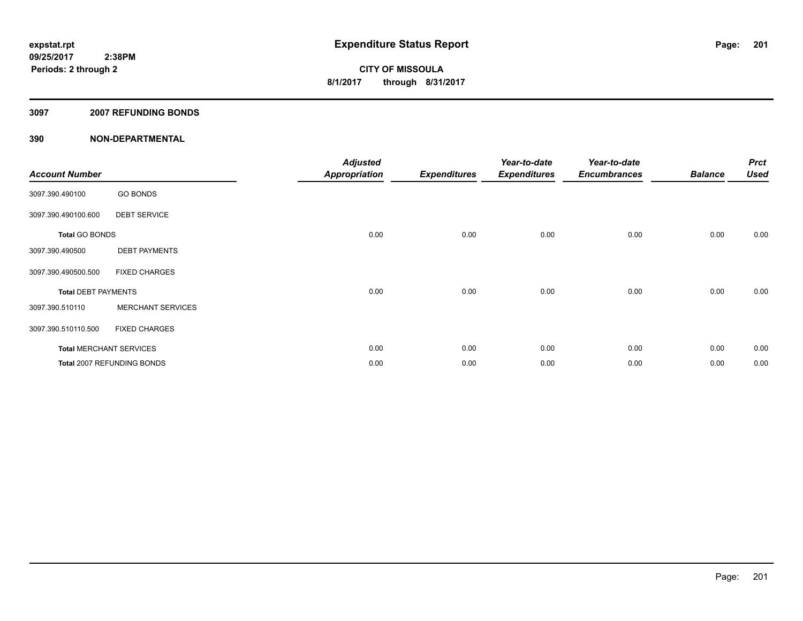# **3097 2007 REFUNDING BONDS**

| <b>Account Number</b>          |                            | <b>Adjusted</b><br><b>Appropriation</b> | <b>Expenditures</b> | Year-to-date<br><b>Expenditures</b> | Year-to-date<br><b>Encumbrances</b> | <b>Balance</b> | <b>Prct</b><br><b>Used</b> |
|--------------------------------|----------------------------|-----------------------------------------|---------------------|-------------------------------------|-------------------------------------|----------------|----------------------------|
| 3097.390.490100                | <b>GO BONDS</b>            |                                         |                     |                                     |                                     |                |                            |
| 3097.390.490100.600            | <b>DEBT SERVICE</b>        |                                         |                     |                                     |                                     |                |                            |
| <b>Total GO BONDS</b>          |                            | 0.00                                    | 0.00                | 0.00                                | 0.00                                | 0.00           | 0.00                       |
| 3097.390.490500                | <b>DEBT PAYMENTS</b>       |                                         |                     |                                     |                                     |                |                            |
| 3097.390.490500.500            | <b>FIXED CHARGES</b>       |                                         |                     |                                     |                                     |                |                            |
| <b>Total DEBT PAYMENTS</b>     |                            | 0.00                                    | 0.00                | 0.00                                | 0.00                                | 0.00           | 0.00                       |
| 3097.390.510110                | <b>MERCHANT SERVICES</b>   |                                         |                     |                                     |                                     |                |                            |
| 3097.390.510110.500            | <b>FIXED CHARGES</b>       |                                         |                     |                                     |                                     |                |                            |
| <b>Total MERCHANT SERVICES</b> |                            | 0.00                                    | 0.00                | 0.00                                | 0.00                                | 0.00           | 0.00                       |
|                                | Total 2007 REFUNDING BONDS | 0.00                                    | 0.00                | 0.00                                | 0.00                                | 0.00           | 0.00                       |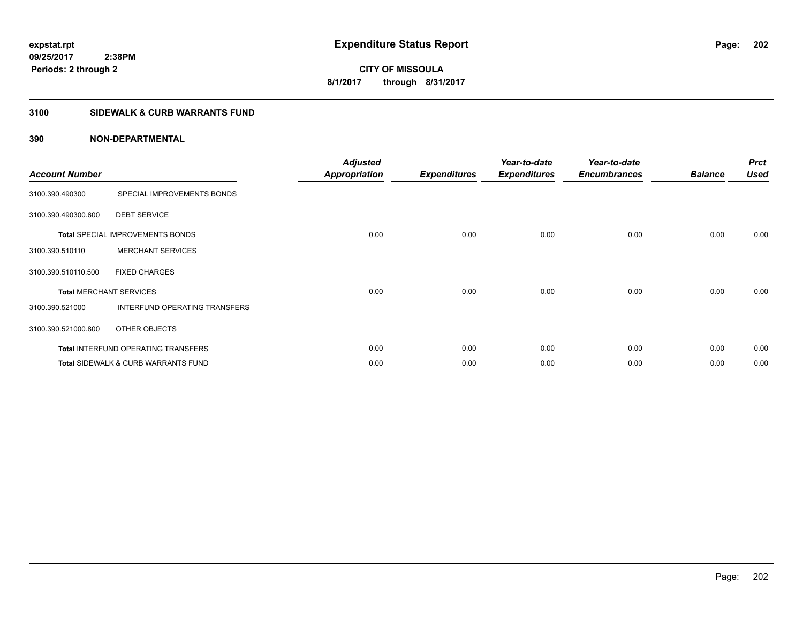**CITY OF MISSOULA 8/1/2017 through 8/31/2017**

# **3100 SIDEWALK & CURB WARRANTS FUND**

| <b>Account Number</b>          |                                                | <b>Adjusted</b><br><b>Appropriation</b> | <b>Expenditures</b> | Year-to-date<br><b>Expenditures</b> | Year-to-date<br><b>Encumbrances</b> | <b>Balance</b> | <b>Prct</b><br><b>Used</b> |
|--------------------------------|------------------------------------------------|-----------------------------------------|---------------------|-------------------------------------|-------------------------------------|----------------|----------------------------|
| 3100.390.490300                | SPECIAL IMPROVEMENTS BONDS                     |                                         |                     |                                     |                                     |                |                            |
| 3100.390.490300.600            | <b>DEBT SERVICE</b>                            |                                         |                     |                                     |                                     |                |                            |
|                                | <b>Total SPECIAL IMPROVEMENTS BONDS</b>        | 0.00                                    | 0.00                | 0.00                                | 0.00                                | 0.00           | 0.00                       |
| 3100.390.510110                | <b>MERCHANT SERVICES</b>                       |                                         |                     |                                     |                                     |                |                            |
| 3100.390.510110.500            | <b>FIXED CHARGES</b>                           |                                         |                     |                                     |                                     |                |                            |
| <b>Total MERCHANT SERVICES</b> |                                                | 0.00                                    | 0.00                | 0.00                                | 0.00                                | 0.00           | 0.00                       |
| 3100.390.521000                | INTERFUND OPERATING TRANSFERS                  |                                         |                     |                                     |                                     |                |                            |
| 3100.390.521000.800            | OTHER OBJECTS                                  |                                         |                     |                                     |                                     |                |                            |
|                                | <b>Total INTERFUND OPERATING TRANSFERS</b>     | 0.00                                    | 0.00                | 0.00                                | 0.00                                | 0.00           | 0.00                       |
|                                | <b>Total SIDEWALK &amp; CURB WARRANTS FUND</b> | 0.00                                    | 0.00                | 0.00                                | 0.00                                | 0.00           | 0.00                       |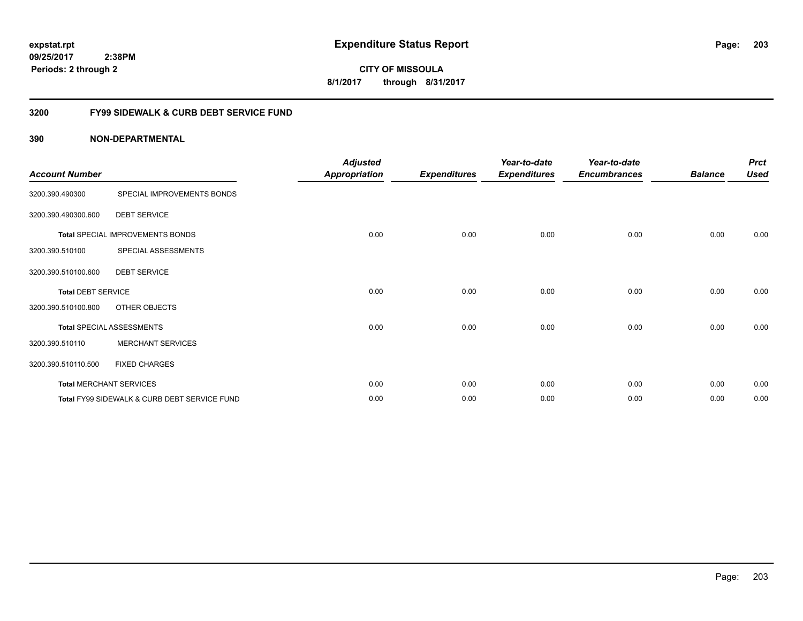**203**

**09/25/2017 2:38PM Periods: 2 through 2**

**CITY OF MISSOULA 8/1/2017 through 8/31/2017**

# **3200 FY99 SIDEWALK & CURB DEBT SERVICE FUND**

| <b>Account Number</b>     |                                              | <b>Adjusted</b><br><b>Appropriation</b> | <b>Expenditures</b> | Year-to-date<br><b>Expenditures</b> | Year-to-date<br><b>Encumbrances</b> | <b>Balance</b> | <b>Prct</b><br><b>Used</b> |
|---------------------------|----------------------------------------------|-----------------------------------------|---------------------|-------------------------------------|-------------------------------------|----------------|----------------------------|
| 3200.390.490300           | SPECIAL IMPROVEMENTS BONDS                   |                                         |                     |                                     |                                     |                |                            |
| 3200.390.490300.600       | <b>DEBT SERVICE</b>                          |                                         |                     |                                     |                                     |                |                            |
|                           | Total SPECIAL IMPROVEMENTS BONDS             | 0.00                                    | 0.00                | 0.00                                | 0.00                                | 0.00           | 0.00                       |
| 3200.390.510100           | SPECIAL ASSESSMENTS                          |                                         |                     |                                     |                                     |                |                            |
| 3200.390.510100.600       | <b>DEBT SERVICE</b>                          |                                         |                     |                                     |                                     |                |                            |
| <b>Total DEBT SERVICE</b> |                                              | 0.00                                    | 0.00                | 0.00                                | 0.00                                | 0.00           | 0.00                       |
| 3200.390.510100.800       | OTHER OBJECTS                                |                                         |                     |                                     |                                     |                |                            |
|                           | <b>Total SPECIAL ASSESSMENTS</b>             | 0.00                                    | 0.00                | 0.00                                | 0.00                                | 0.00           | 0.00                       |
| 3200.390.510110           | <b>MERCHANT SERVICES</b>                     |                                         |                     |                                     |                                     |                |                            |
| 3200.390.510110.500       | <b>FIXED CHARGES</b>                         |                                         |                     |                                     |                                     |                |                            |
|                           | <b>Total MERCHANT SERVICES</b>               | 0.00                                    | 0.00                | 0.00                                | 0.00                                | 0.00           | 0.00                       |
|                           | Total FY99 SIDEWALK & CURB DEBT SERVICE FUND | 0.00                                    | 0.00                | 0.00                                | 0.00                                | 0.00           | 0.00                       |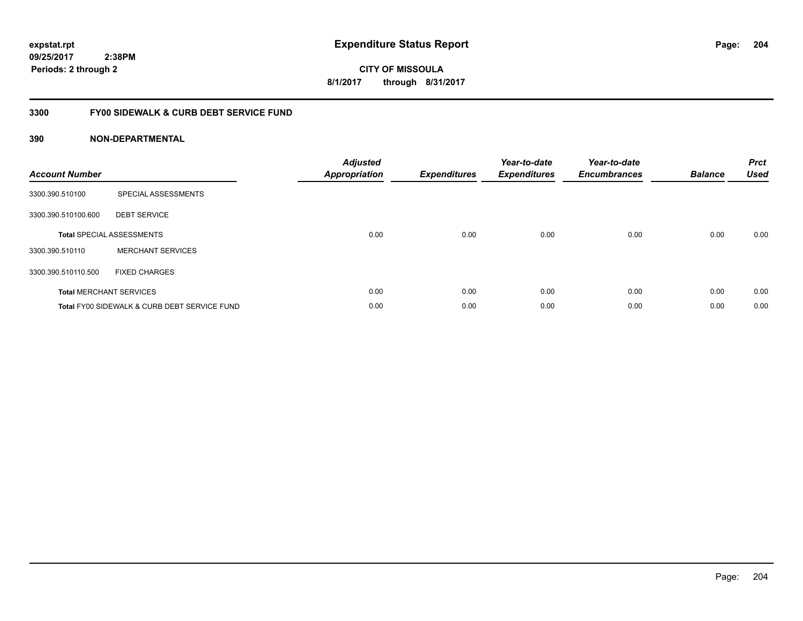**204**

**09/25/2017 2:38PM Periods: 2 through 2**

**CITY OF MISSOULA 8/1/2017 through 8/31/2017**

# **3300 FY00 SIDEWALK & CURB DEBT SERVICE FUND**

| <b>Account Number</b> |                                              | <b>Adjusted</b><br>Appropriation | <b>Expenditures</b> | Year-to-date<br><b>Expenditures</b> | Year-to-date<br><b>Encumbrances</b> | <b>Balance</b> | <b>Prct</b><br><b>Used</b> |
|-----------------------|----------------------------------------------|----------------------------------|---------------------|-------------------------------------|-------------------------------------|----------------|----------------------------|
| 3300.390.510100       | SPECIAL ASSESSMENTS                          |                                  |                     |                                     |                                     |                |                            |
| 3300.390.510100.600   | <b>DEBT SERVICE</b>                          |                                  |                     |                                     |                                     |                |                            |
|                       | <b>Total SPECIAL ASSESSMENTS</b>             | 0.00                             | 0.00                | 0.00                                | 0.00                                | 0.00           | 0.00                       |
| 3300.390.510110       | <b>MERCHANT SERVICES</b>                     |                                  |                     |                                     |                                     |                |                            |
| 3300.390.510110.500   | <b>FIXED CHARGES</b>                         |                                  |                     |                                     |                                     |                |                            |
|                       | <b>Total MERCHANT SERVICES</b>               | 0.00                             | 0.00                | 0.00                                | 0.00                                | 0.00           | 0.00                       |
|                       | Total FY00 SIDEWALK & CURB DEBT SERVICE FUND | 0.00                             | 0.00                | 0.00                                | 0.00                                | 0.00           | 0.00                       |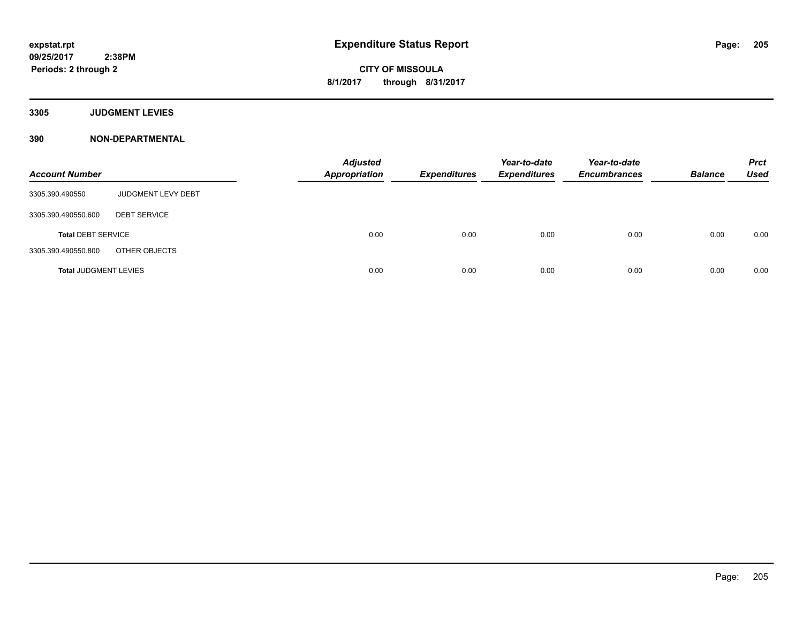**3305 JUDGMENT LEVIES**

| <b>Account Number</b>        |                     | <b>Adjusted</b><br><b>Appropriation</b> | <b>Expenditures</b> | Year-to-date<br><b>Expenditures</b> | Year-to-date<br><b>Encumbrances</b> | <b>Balance</b> | <b>Prct</b><br><b>Used</b> |
|------------------------------|---------------------|-----------------------------------------|---------------------|-------------------------------------|-------------------------------------|----------------|----------------------------|
| 3305.390.490550              | JUDGMENT LEVY DEBT  |                                         |                     |                                     |                                     |                |                            |
| 3305.390.490550.600          | <b>DEBT SERVICE</b> |                                         |                     |                                     |                                     |                |                            |
| <b>Total DEBT SERVICE</b>    |                     | 0.00                                    | 0.00                | 0.00                                | 0.00                                | 0.00           | 0.00                       |
| 3305.390.490550.800          | OTHER OBJECTS       |                                         |                     |                                     |                                     |                |                            |
| <b>Total JUDGMENT LEVIES</b> |                     | 0.00                                    | 0.00                | 0.00                                | 0.00                                | 0.00           | 0.00                       |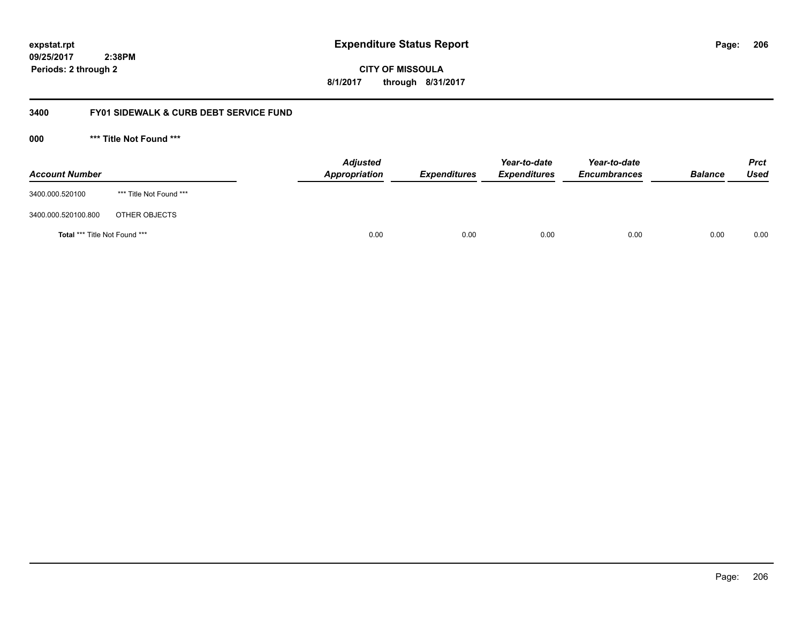**CITY OF MISSOULA 8/1/2017 through 8/31/2017**

# **3400 FY01 SIDEWALK & CURB DEBT SERVICE FUND**

**000 \*\*\* Title Not Found \*\*\***

| <b>Account Number</b>                |                         | <b>Adjusted</b><br>Appropriation | <b>Expenditures</b> | Year-to-date<br><b>Expenditures</b> | Year-to-date<br><b>Encumbrances</b> | <b>Balance</b> | <b>Prct</b><br><b>Used</b> |
|--------------------------------------|-------------------------|----------------------------------|---------------------|-------------------------------------|-------------------------------------|----------------|----------------------------|
| 3400.000.520100                      | *** Title Not Found *** |                                  |                     |                                     |                                     |                |                            |
| 3400.000.520100.800                  | OTHER OBJECTS           |                                  |                     |                                     |                                     |                |                            |
| <b>Total *** Title Not Found ***</b> |                         |                                  | 0.00<br>0.00        | 0.00                                | 0.00                                | 0.00           | 0.00                       |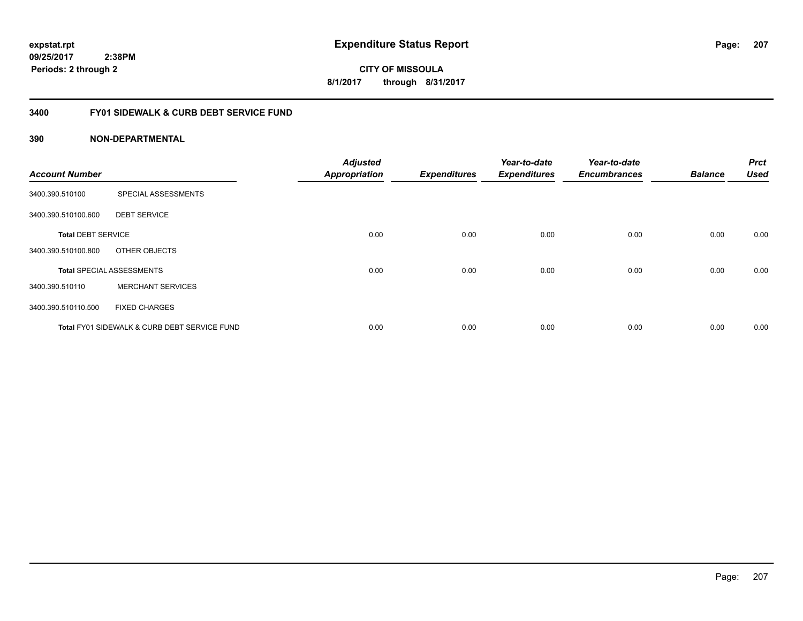**207**

**CITY OF MISSOULA 8/1/2017 through 8/31/2017**

# **3400 FY01 SIDEWALK & CURB DEBT SERVICE FUND**

| <b>Account Number</b>     |                                              | <b>Adjusted</b><br><b>Appropriation</b> | <b>Expenditures</b> | Year-to-date<br><b>Expenditures</b> | Year-to-date<br><b>Encumbrances</b> | <b>Balance</b> | <b>Prct</b><br><b>Used</b> |
|---------------------------|----------------------------------------------|-----------------------------------------|---------------------|-------------------------------------|-------------------------------------|----------------|----------------------------|
|                           |                                              |                                         |                     |                                     |                                     |                |                            |
| 3400.390.510100           | SPECIAL ASSESSMENTS                          |                                         |                     |                                     |                                     |                |                            |
| 3400.390.510100.600       | <b>DEBT SERVICE</b>                          |                                         |                     |                                     |                                     |                |                            |
| <b>Total DEBT SERVICE</b> |                                              | 0.00                                    | 0.00                | 0.00                                | 0.00                                | 0.00           | 0.00                       |
| 3400.390.510100.800       | OTHER OBJECTS                                |                                         |                     |                                     |                                     |                |                            |
|                           | <b>Total SPECIAL ASSESSMENTS</b>             | 0.00                                    | 0.00                | 0.00                                | 0.00                                | 0.00           | 0.00                       |
| 3400.390.510110           | <b>MERCHANT SERVICES</b>                     |                                         |                     |                                     |                                     |                |                            |
| 3400.390.510110.500       | <b>FIXED CHARGES</b>                         |                                         |                     |                                     |                                     |                |                            |
|                           | Total FY01 SIDEWALK & CURB DEBT SERVICE FUND | 0.00                                    | 0.00                | 0.00                                | 0.00                                | 0.00           | 0.00                       |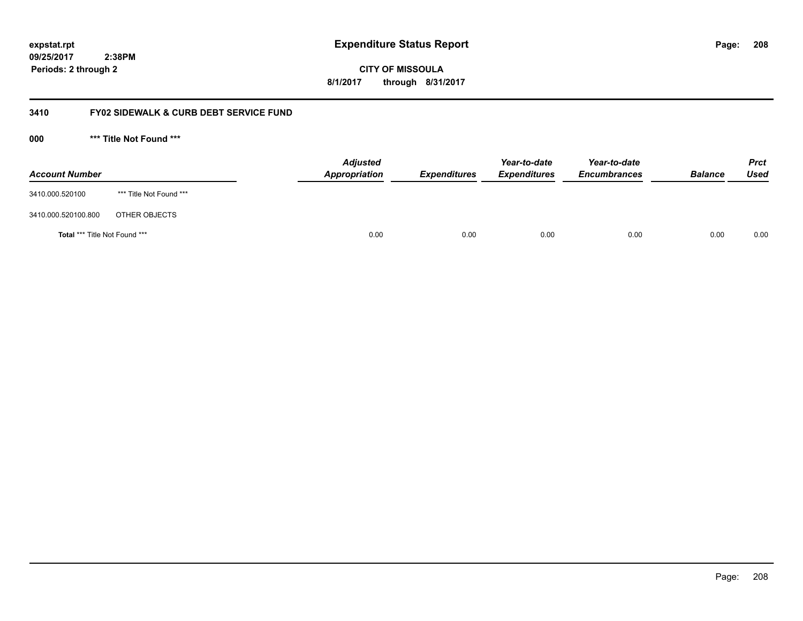**CITY OF MISSOULA 8/1/2017 through 8/31/2017**

# **3410 FY02 SIDEWALK & CURB DEBT SERVICE FUND**

**000 \*\*\* Title Not Found \*\*\***

| <b>Account Number</b>                |                         | <b>Adjusted</b><br>Appropriation | <b>Expenditures</b> | Year-to-date<br><b>Expenditures</b> | Year-to-date<br><b>Encumbrances</b> | <b>Balance</b> | Prct<br><b>Used</b> |
|--------------------------------------|-------------------------|----------------------------------|---------------------|-------------------------------------|-------------------------------------|----------------|---------------------|
| 3410.000.520100                      | *** Title Not Found *** |                                  |                     |                                     |                                     |                |                     |
| 3410.000.520100.800                  | OTHER OBJECTS           |                                  |                     |                                     |                                     |                |                     |
| <b>Total *** Title Not Found ***</b> |                         | 0.00                             | 0.00                | 0.00                                | 0.00                                | 0.00           | 0.00                |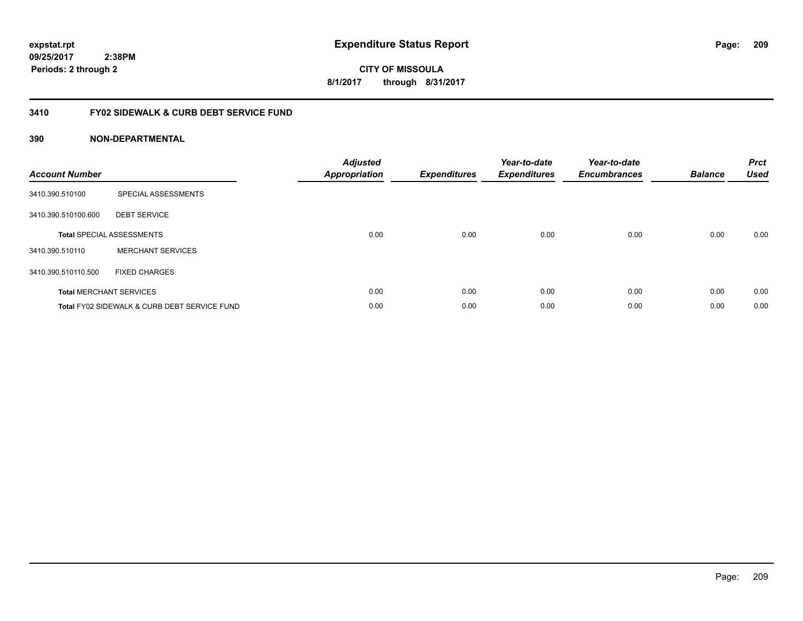**09/25/2017 2:38PM**

**Periods: 2 through 2**

**209**

**CITY OF MISSOULA 8/1/2017 through 8/31/2017**

# **3410 FY02 SIDEWALK & CURB DEBT SERVICE FUND**

| <b>Account Number</b> |                                              | <b>Adjusted</b><br><b>Appropriation</b> | <b>Expenditures</b> | Year-to-date<br><b>Expenditures</b> | Year-to-date<br><b>Encumbrances</b> | <b>Balance</b> | <b>Prct</b><br><b>Used</b> |
|-----------------------|----------------------------------------------|-----------------------------------------|---------------------|-------------------------------------|-------------------------------------|----------------|----------------------------|
| 3410.390.510100       | SPECIAL ASSESSMENTS                          |                                         |                     |                                     |                                     |                |                            |
| 3410.390.510100.600   | <b>DEBT SERVICE</b>                          |                                         |                     |                                     |                                     |                |                            |
|                       | <b>Total SPECIAL ASSESSMENTS</b>             | 0.00                                    | 0.00                | 0.00                                | 0.00                                | 0.00           | 0.00                       |
| 3410.390.510110       | <b>MERCHANT SERVICES</b>                     |                                         |                     |                                     |                                     |                |                            |
| 3410.390.510110.500   | <b>FIXED CHARGES</b>                         |                                         |                     |                                     |                                     |                |                            |
|                       | <b>Total MERCHANT SERVICES</b>               | 0.00                                    | 0.00                | 0.00                                | 0.00                                | 0.00           | 0.00                       |
|                       | Total FY02 SIDEWALK & CURB DEBT SERVICE FUND | 0.00                                    | 0.00                | 0.00                                | 0.00                                | 0.00           | 0.00                       |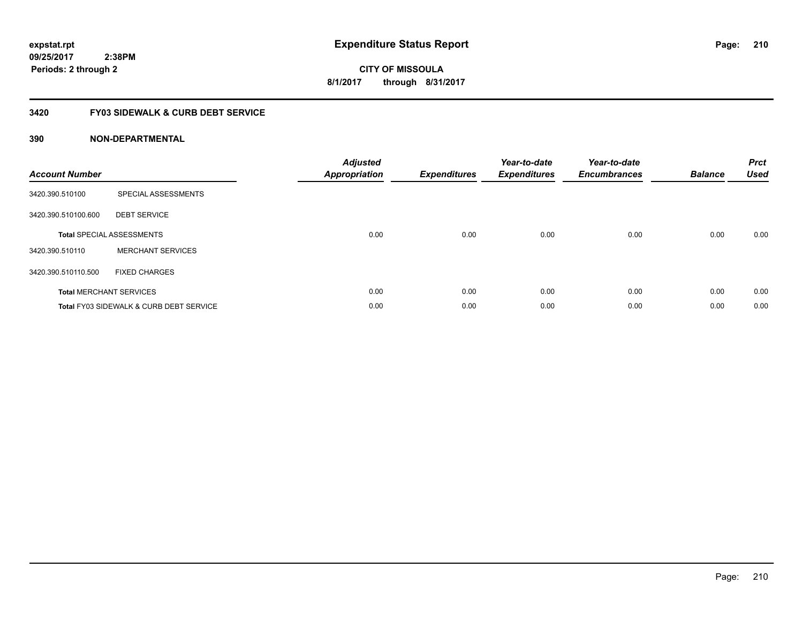# **CITY OF MISSOULA 8/1/2017 through 8/31/2017**

# **3420 FY03 SIDEWALK & CURB DEBT SERVICE**

| <b>Account Number</b> |                                                    | <b>Adjusted</b><br><b>Appropriation</b> | <b>Expenditures</b> | Year-to-date<br><b>Expenditures</b> | Year-to-date<br><b>Encumbrances</b> | <b>Balance</b> | <b>Prct</b><br><b>Used</b> |
|-----------------------|----------------------------------------------------|-----------------------------------------|---------------------|-------------------------------------|-------------------------------------|----------------|----------------------------|
| 3420.390.510100       | SPECIAL ASSESSMENTS                                |                                         |                     |                                     |                                     |                |                            |
| 3420.390.510100.600   | <b>DEBT SERVICE</b>                                |                                         |                     |                                     |                                     |                |                            |
|                       | <b>Total SPECIAL ASSESSMENTS</b>                   | 0.00                                    | 0.00                | 0.00                                | 0.00                                | 0.00           | 0.00                       |
| 3420.390.510110       | <b>MERCHANT SERVICES</b>                           |                                         |                     |                                     |                                     |                |                            |
| 3420.390.510110.500   | <b>FIXED CHARGES</b>                               |                                         |                     |                                     |                                     |                |                            |
|                       | <b>Total MERCHANT SERVICES</b>                     | 0.00                                    | 0.00                | 0.00                                | 0.00                                | 0.00           | 0.00                       |
|                       | <b>Total FY03 SIDEWALK &amp; CURB DEBT SERVICE</b> | 0.00                                    | 0.00                | 0.00                                | 0.00                                | 0.00           | 0.00                       |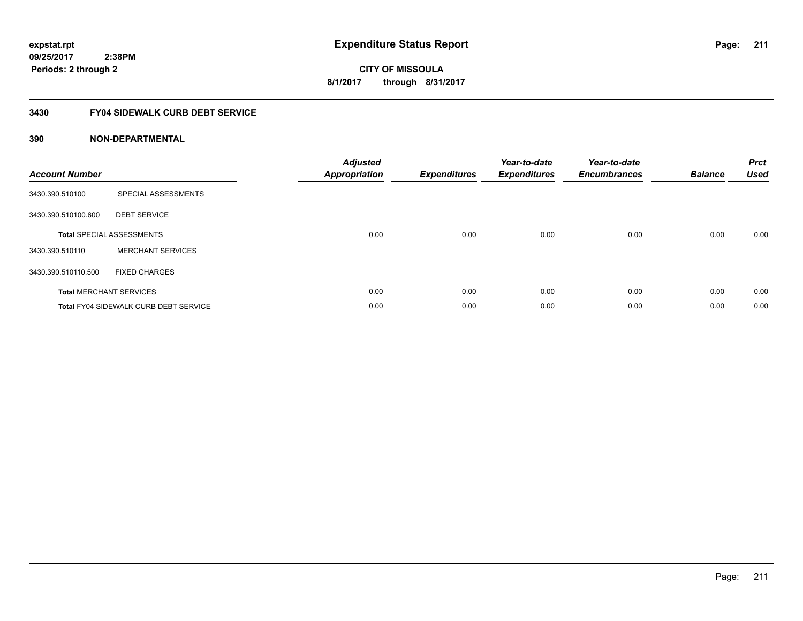# **CITY OF MISSOULA 8/1/2017 through 8/31/2017**

# **3430 FY04 SIDEWALK CURB DEBT SERVICE**

| <b>Account Number</b> |                                              | <b>Adjusted</b><br>Appropriation | <b>Expenditures</b> | Year-to-date<br><b>Expenditures</b> | Year-to-date<br><b>Encumbrances</b> | <b>Balance</b> | <b>Prct</b><br><b>Used</b> |
|-----------------------|----------------------------------------------|----------------------------------|---------------------|-------------------------------------|-------------------------------------|----------------|----------------------------|
| 3430.390.510100       | SPECIAL ASSESSMENTS                          |                                  |                     |                                     |                                     |                |                            |
| 3430.390.510100.600   | <b>DEBT SERVICE</b>                          |                                  |                     |                                     |                                     |                |                            |
|                       | <b>Total SPECIAL ASSESSMENTS</b>             | 0.00                             | 0.00                | 0.00                                | 0.00                                | 0.00           | 0.00                       |
| 3430.390.510110       | <b>MERCHANT SERVICES</b>                     |                                  |                     |                                     |                                     |                |                            |
| 3430.390.510110.500   | <b>FIXED CHARGES</b>                         |                                  |                     |                                     |                                     |                |                            |
|                       | <b>Total MERCHANT SERVICES</b>               | 0.00                             | 0.00                | 0.00                                | 0.00                                | 0.00           | 0.00                       |
|                       | <b>Total FY04 SIDEWALK CURB DEBT SERVICE</b> | 0.00                             | 0.00                | 0.00                                | 0.00                                | 0.00           | 0.00                       |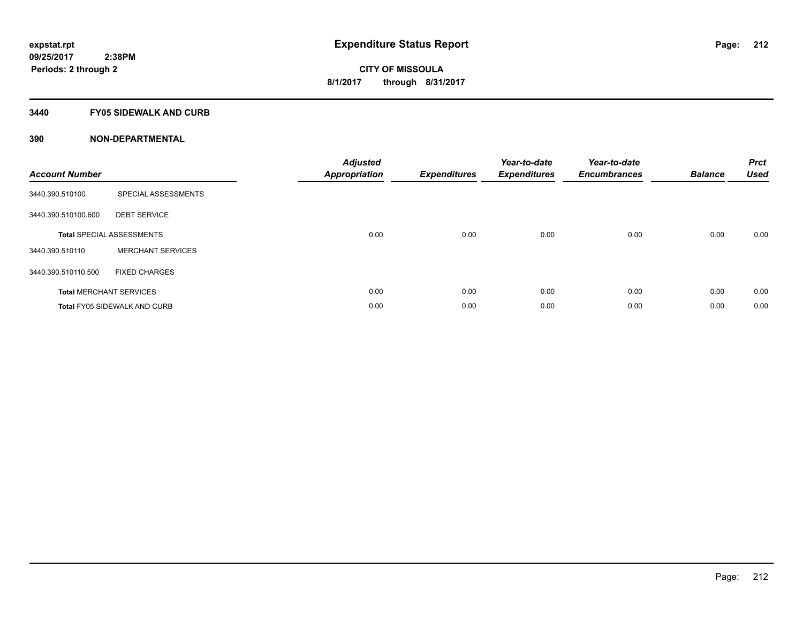### **3440 FY05 SIDEWALK AND CURB**

| <b>Account Number</b> |                                     | <b>Adjusted</b><br>Appropriation | <b>Expenditures</b> | Year-to-date<br><b>Expenditures</b> | Year-to-date<br><b>Encumbrances</b> | <b>Balance</b> | <b>Prct</b><br><b>Used</b> |
|-----------------------|-------------------------------------|----------------------------------|---------------------|-------------------------------------|-------------------------------------|----------------|----------------------------|
| 3440.390.510100       | SPECIAL ASSESSMENTS                 |                                  |                     |                                     |                                     |                |                            |
| 3440.390.510100.600   | <b>DEBT SERVICE</b>                 |                                  |                     |                                     |                                     |                |                            |
|                       | <b>Total SPECIAL ASSESSMENTS</b>    | 0.00                             | 0.00                | 0.00                                | 0.00                                | 0.00           | 0.00                       |
| 3440.390.510110       | <b>MERCHANT SERVICES</b>            |                                  |                     |                                     |                                     |                |                            |
| 3440.390.510110.500   | <b>FIXED CHARGES</b>                |                                  |                     |                                     |                                     |                |                            |
|                       | <b>Total MERCHANT SERVICES</b>      | 0.00                             | 0.00                | 0.00                                | 0.00                                | 0.00           | 0.00                       |
|                       | <b>Total FY05 SIDEWALK AND CURB</b> | 0.00                             | 0.00                | 0.00                                | 0.00                                | 0.00           | 0.00                       |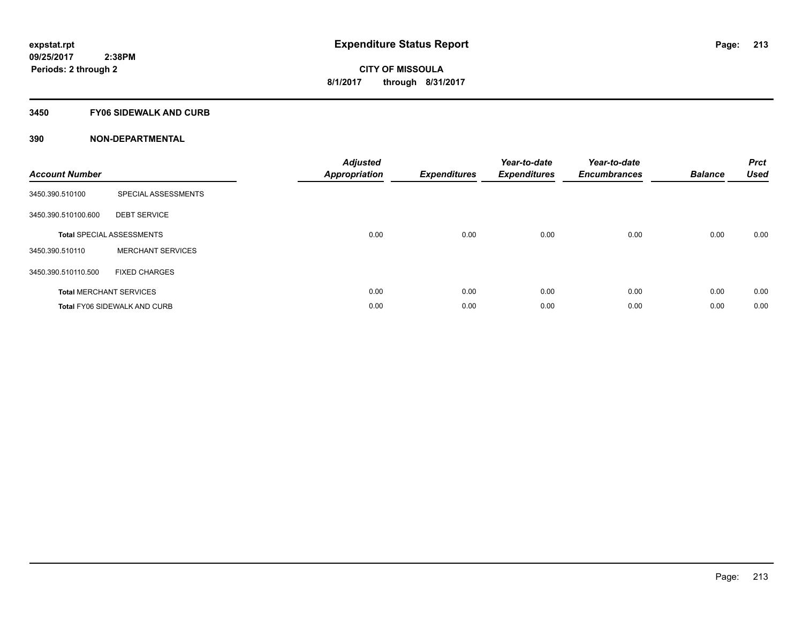### **3450 FY06 SIDEWALK AND CURB**

| <b>Account Number</b> |                                     | <b>Adjusted</b><br>Appropriation | <b>Expenditures</b> | Year-to-date<br><b>Expenditures</b> | Year-to-date<br><b>Encumbrances</b> | <b>Balance</b> | <b>Prct</b><br><b>Used</b> |
|-----------------------|-------------------------------------|----------------------------------|---------------------|-------------------------------------|-------------------------------------|----------------|----------------------------|
| 3450.390.510100       | SPECIAL ASSESSMENTS                 |                                  |                     |                                     |                                     |                |                            |
| 3450.390.510100.600   | <b>DEBT SERVICE</b>                 |                                  |                     |                                     |                                     |                |                            |
|                       | <b>Total SPECIAL ASSESSMENTS</b>    | 0.00                             | 0.00                | 0.00                                | 0.00                                | 0.00           | 0.00                       |
| 3450.390.510110       | <b>MERCHANT SERVICES</b>            |                                  |                     |                                     |                                     |                |                            |
| 3450.390.510110.500   | <b>FIXED CHARGES</b>                |                                  |                     |                                     |                                     |                |                            |
|                       | <b>Total MERCHANT SERVICES</b>      | 0.00                             | 0.00                | 0.00                                | 0.00                                | 0.00           | 0.00                       |
|                       | <b>Total FY06 SIDEWALK AND CURB</b> | 0.00                             | 0.00                | 0.00                                | 0.00                                | 0.00           | 0.00                       |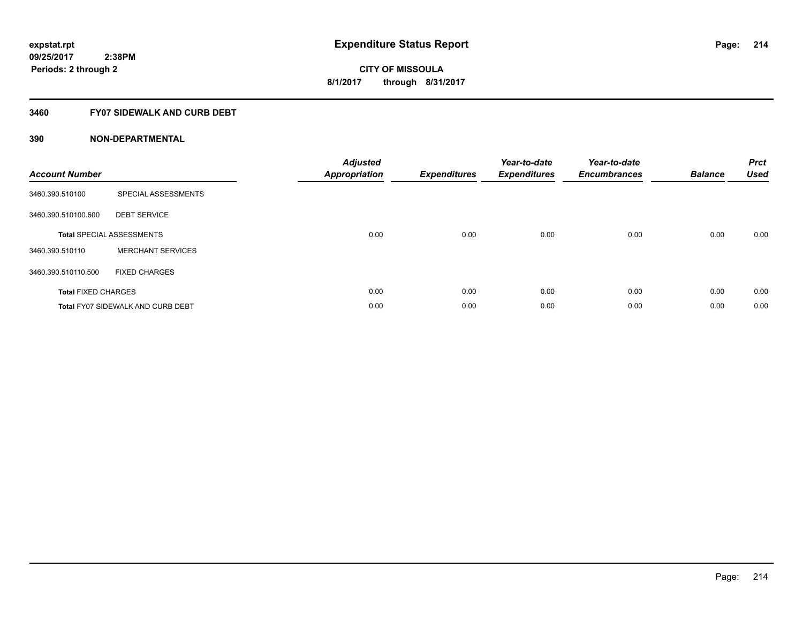# **3460 FY07 SIDEWALK AND CURB DEBT**

| <b>Account Number</b>      |                                          | <b>Adjusted</b><br><b>Appropriation</b> | <b>Expenditures</b> | Year-to-date<br><b>Expenditures</b> | Year-to-date<br><b>Encumbrances</b> | <b>Balance</b> | <b>Prct</b><br><b>Used</b> |
|----------------------------|------------------------------------------|-----------------------------------------|---------------------|-------------------------------------|-------------------------------------|----------------|----------------------------|
| 3460.390.510100            | SPECIAL ASSESSMENTS                      |                                         |                     |                                     |                                     |                |                            |
| 3460.390.510100.600        | <b>DEBT SERVICE</b>                      |                                         |                     |                                     |                                     |                |                            |
|                            | <b>Total SPECIAL ASSESSMENTS</b>         | 0.00                                    | 0.00                | 0.00                                | 0.00                                | 0.00           | 0.00                       |
| 3460.390.510110            | <b>MERCHANT SERVICES</b>                 |                                         |                     |                                     |                                     |                |                            |
| 3460.390.510110.500        | <b>FIXED CHARGES</b>                     |                                         |                     |                                     |                                     |                |                            |
| <b>Total FIXED CHARGES</b> |                                          | 0.00                                    | 0.00                | 0.00                                | 0.00                                | 0.00           | 0.00                       |
|                            | <b>Total FY07 SIDEWALK AND CURB DEBT</b> | 0.00                                    | 0.00                | 0.00                                | 0.00                                | 0.00           | 0.00                       |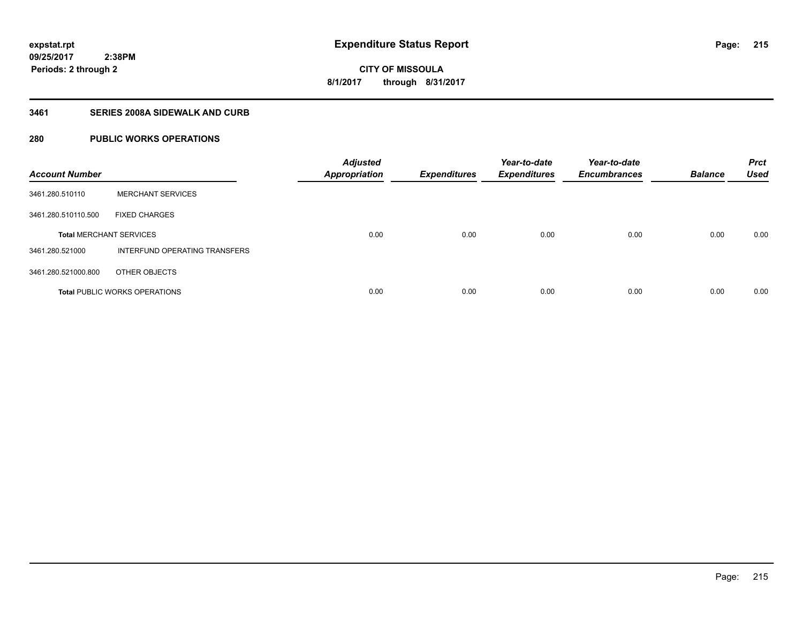**CITY OF MISSOULA 8/1/2017 through 8/31/2017**

# **3461 SERIES 2008A SIDEWALK AND CURB**

# **280 PUBLIC WORKS OPERATIONS**

| <b>Account Number</b>          |                                      | <b>Adjusted</b><br><b>Appropriation</b> | <b>Expenditures</b> | Year-to-date<br><b>Expenditures</b> | Year-to-date<br><b>Encumbrances</b> | <b>Balance</b> | <b>Prct</b><br><b>Used</b> |
|--------------------------------|--------------------------------------|-----------------------------------------|---------------------|-------------------------------------|-------------------------------------|----------------|----------------------------|
| 3461.280.510110                | <b>MERCHANT SERVICES</b>             |                                         |                     |                                     |                                     |                |                            |
| 3461.280.510110.500            | <b>FIXED CHARGES</b>                 |                                         |                     |                                     |                                     |                |                            |
| <b>Total MERCHANT SERVICES</b> |                                      | 0.00                                    | 0.00                | 0.00                                | 0.00                                | 0.00           | 0.00                       |
| 3461.280.521000                | INTERFUND OPERATING TRANSFERS        |                                         |                     |                                     |                                     |                |                            |
| 3461.280.521000.800            | OTHER OBJECTS                        |                                         |                     |                                     |                                     |                |                            |
|                                | <b>Total PUBLIC WORKS OPERATIONS</b> | 0.00                                    | 0.00                | 0.00                                | 0.00                                | 0.00           | 0.00                       |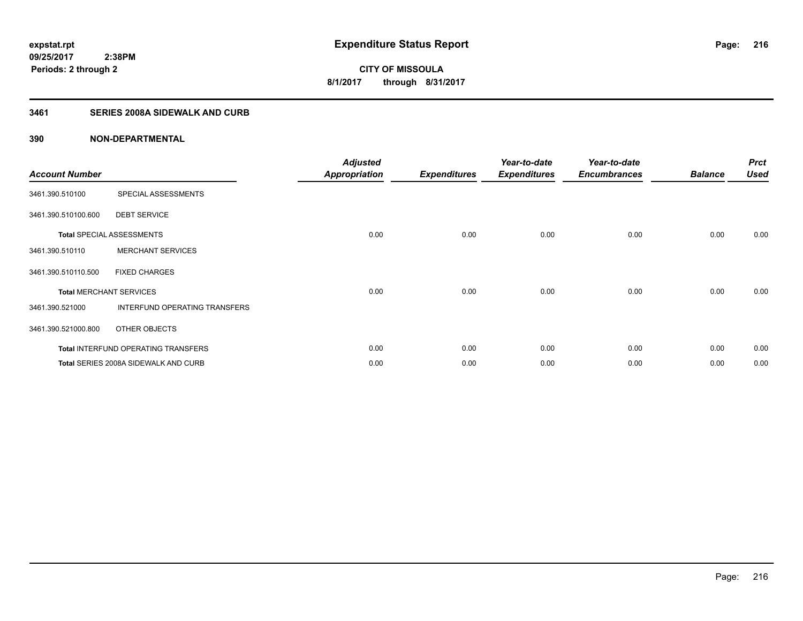# **3461 SERIES 2008A SIDEWALK AND CURB**

| <b>Account Number</b>          |                                            | <b>Adjusted</b><br><b>Appropriation</b> | <b>Expenditures</b> | Year-to-date<br><b>Expenditures</b> | Year-to-date<br><b>Encumbrances</b> | <b>Balance</b> | <b>Prct</b><br><b>Used</b> |
|--------------------------------|--------------------------------------------|-----------------------------------------|---------------------|-------------------------------------|-------------------------------------|----------------|----------------------------|
| 3461.390.510100                | SPECIAL ASSESSMENTS                        |                                         |                     |                                     |                                     |                |                            |
| 3461.390.510100.600            | <b>DEBT SERVICE</b>                        |                                         |                     |                                     |                                     |                |                            |
|                                | <b>Total SPECIAL ASSESSMENTS</b>           | 0.00                                    | 0.00                | 0.00                                | 0.00                                | 0.00           | 0.00                       |
| 3461.390.510110                | <b>MERCHANT SERVICES</b>                   |                                         |                     |                                     |                                     |                |                            |
| 3461.390.510110.500            | <b>FIXED CHARGES</b>                       |                                         |                     |                                     |                                     |                |                            |
| <b>Total MERCHANT SERVICES</b> |                                            | 0.00                                    | 0.00                | 0.00                                | 0.00                                | 0.00           | 0.00                       |
| 3461.390.521000                | INTERFUND OPERATING TRANSFERS              |                                         |                     |                                     |                                     |                |                            |
| 3461.390.521000.800            | OTHER OBJECTS                              |                                         |                     |                                     |                                     |                |                            |
|                                | <b>Total INTERFUND OPERATING TRANSFERS</b> | 0.00                                    | 0.00                | 0.00                                | 0.00                                | 0.00           | 0.00                       |
|                                | Total SERIES 2008A SIDEWALK AND CURB       | 0.00                                    | 0.00                | 0.00                                | 0.00                                | 0.00           | 0.00                       |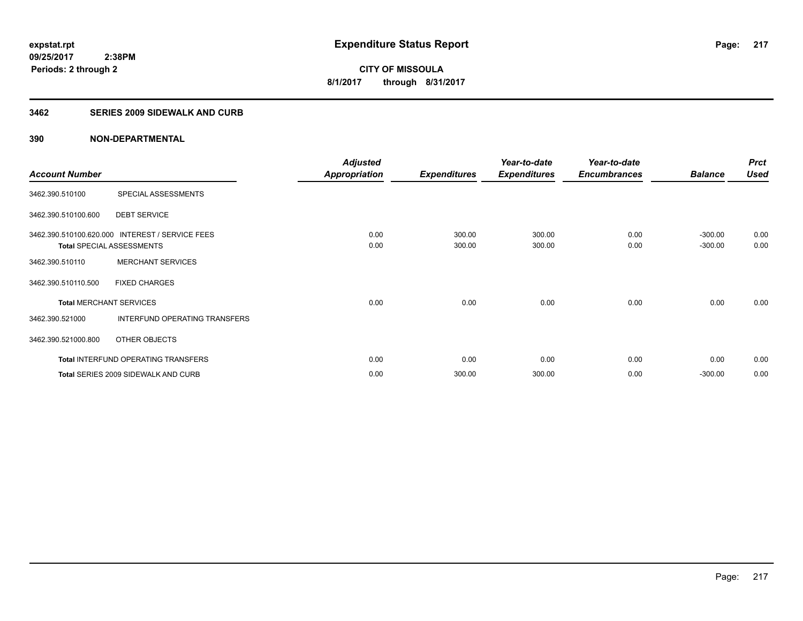## **3462 SERIES 2009 SIDEWALK AND CURB**

| <b>Account Number</b> |                                                                                     | <b>Adjusted</b><br><b>Appropriation</b> | <b>Expenditures</b> | Year-to-date<br><b>Expenditures</b> | Year-to-date<br><b>Encumbrances</b> | <b>Balance</b>         | <b>Prct</b><br><b>Used</b> |
|-----------------------|-------------------------------------------------------------------------------------|-----------------------------------------|---------------------|-------------------------------------|-------------------------------------|------------------------|----------------------------|
| 3462.390.510100       | SPECIAL ASSESSMENTS                                                                 |                                         |                     |                                     |                                     |                        |                            |
| 3462.390.510100.600   | <b>DEBT SERVICE</b>                                                                 |                                         |                     |                                     |                                     |                        |                            |
|                       | 3462.390.510100.620.000 INTEREST / SERVICE FEES<br><b>Total SPECIAL ASSESSMENTS</b> | 0.00<br>0.00                            | 300.00<br>300.00    | 300.00<br>300.00                    | 0.00<br>0.00                        | $-300.00$<br>$-300.00$ | 0.00<br>0.00               |
| 3462.390.510110       | <b>MERCHANT SERVICES</b>                                                            |                                         |                     |                                     |                                     |                        |                            |
| 3462.390.510110.500   | <b>FIXED CHARGES</b>                                                                |                                         |                     |                                     |                                     |                        |                            |
|                       | <b>Total MERCHANT SERVICES</b>                                                      | 0.00                                    | 0.00                | 0.00                                | 0.00                                | 0.00                   | 0.00                       |
| 3462.390.521000       | INTERFUND OPERATING TRANSFERS                                                       |                                         |                     |                                     |                                     |                        |                            |
| 3462.390.521000.800   | OTHER OBJECTS                                                                       |                                         |                     |                                     |                                     |                        |                            |
|                       | <b>Total INTERFUND OPERATING TRANSFERS</b>                                          | 0.00                                    | 0.00                | 0.00                                | 0.00                                | 0.00                   | 0.00                       |
|                       | Total SERIES 2009 SIDEWALK AND CURB                                                 | 0.00                                    | 300.00              | 300.00                              | 0.00                                | $-300.00$              | 0.00                       |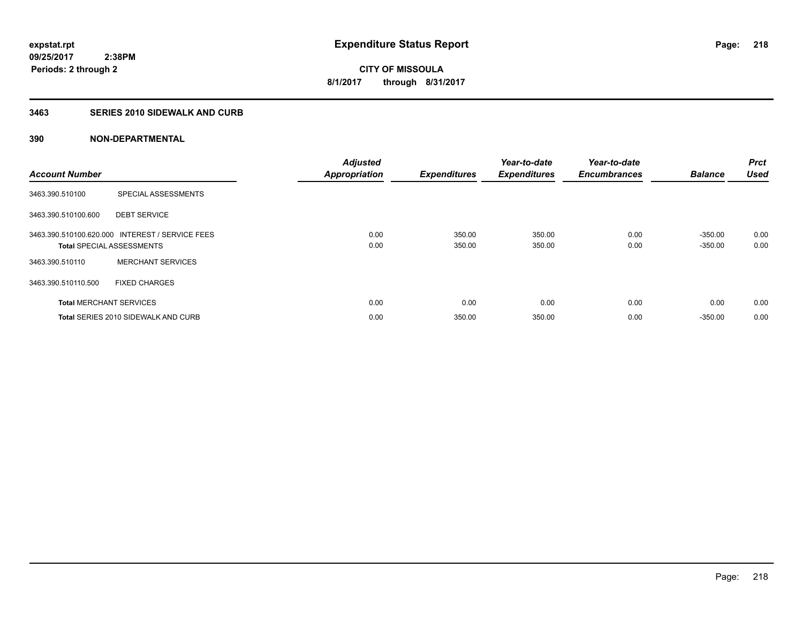# **3463 SERIES 2010 SIDEWALK AND CURB**

| <b>Account Number</b> |                                                                                     | <b>Adjusted</b><br><b>Appropriation</b> | <b>Expenditures</b> | Year-to-date<br><b>Expenditures</b> | Year-to-date<br><b>Encumbrances</b> | <b>Balance</b>         | <b>Prct</b><br><b>Used</b> |
|-----------------------|-------------------------------------------------------------------------------------|-----------------------------------------|---------------------|-------------------------------------|-------------------------------------|------------------------|----------------------------|
| 3463.390.510100       | SPECIAL ASSESSMENTS                                                                 |                                         |                     |                                     |                                     |                        |                            |
| 3463.390.510100.600   | <b>DEBT SERVICE</b>                                                                 |                                         |                     |                                     |                                     |                        |                            |
|                       | 3463.390.510100.620.000 INTEREST / SERVICE FEES<br><b>Total SPECIAL ASSESSMENTS</b> | 0.00<br>0.00                            | 350.00<br>350.00    | 350.00<br>350.00                    | 0.00<br>0.00                        | $-350.00$<br>$-350.00$ | 0.00<br>0.00               |
| 3463.390.510110       | <b>MERCHANT SERVICES</b>                                                            |                                         |                     |                                     |                                     |                        |                            |
| 3463.390.510110.500   | <b>FIXED CHARGES</b>                                                                |                                         |                     |                                     |                                     |                        |                            |
|                       | <b>Total MERCHANT SERVICES</b>                                                      | 0.00                                    | 0.00                | 0.00                                | 0.00                                | 0.00                   | 0.00                       |
|                       | Total SERIES 2010 SIDEWALK AND CURB                                                 | 0.00                                    | 350.00              | 350.00                              | 0.00                                | $-350.00$              | 0.00                       |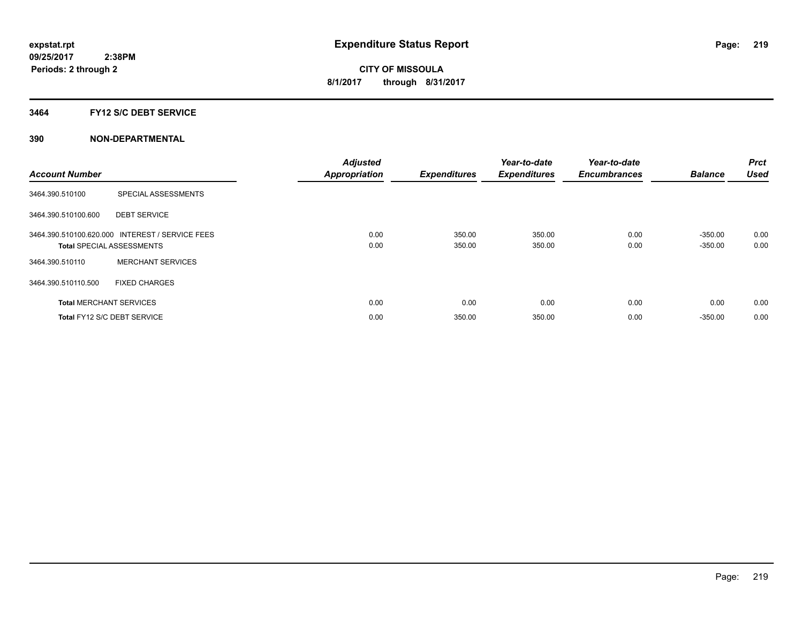## **3464 FY12 S/C DEBT SERVICE**

| <b>Account Number</b> |                                                                                     | <b>Adjusted</b><br><b>Appropriation</b> | <b>Expenditures</b> | Year-to-date<br><b>Expenditures</b> | Year-to-date<br><b>Encumbrances</b> | <b>Balance</b>         | <b>Prct</b><br><b>Used</b> |
|-----------------------|-------------------------------------------------------------------------------------|-----------------------------------------|---------------------|-------------------------------------|-------------------------------------|------------------------|----------------------------|
| 3464.390.510100       | SPECIAL ASSESSMENTS                                                                 |                                         |                     |                                     |                                     |                        |                            |
| 3464.390.510100.600   | <b>DEBT SERVICE</b>                                                                 |                                         |                     |                                     |                                     |                        |                            |
|                       | 3464.390.510100.620.000 INTEREST / SERVICE FEES<br><b>Total SPECIAL ASSESSMENTS</b> | 0.00<br>0.00                            | 350.00<br>350.00    | 350.00<br>350.00                    | 0.00<br>0.00                        | $-350.00$<br>$-350.00$ | 0.00<br>0.00               |
| 3464.390.510110       | <b>MERCHANT SERVICES</b>                                                            |                                         |                     |                                     |                                     |                        |                            |
| 3464.390.510110.500   | <b>FIXED CHARGES</b>                                                                |                                         |                     |                                     |                                     |                        |                            |
|                       | <b>Total MERCHANT SERVICES</b>                                                      | 0.00                                    | 0.00                | 0.00                                | 0.00                                | 0.00                   | 0.00                       |
|                       | Total FY12 S/C DEBT SERVICE                                                         | 0.00                                    | 350.00              | 350.00                              | 0.00                                | $-350.00$              | 0.00                       |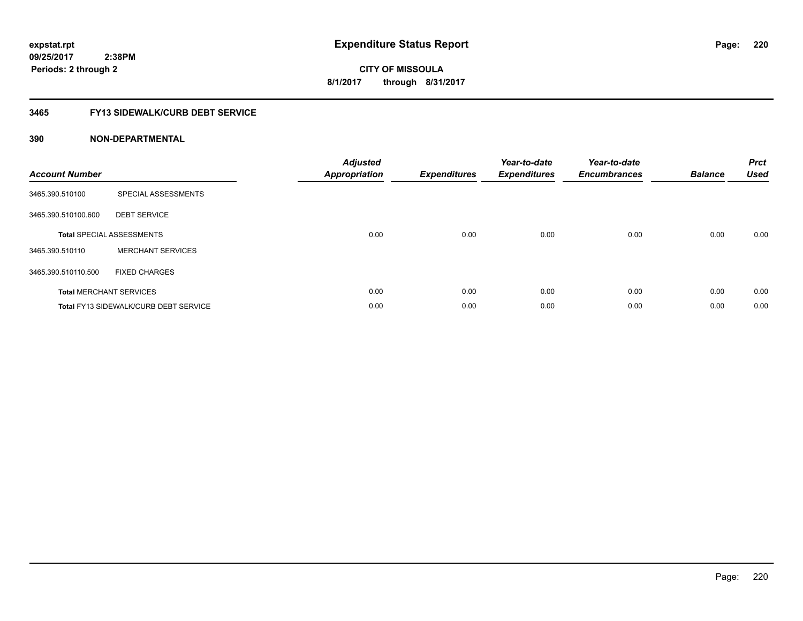**09/25/2017 2:38PM Periods: 2 through 2**

# **CITY OF MISSOULA 8/1/2017 through 8/31/2017**

## **3465 FY13 SIDEWALK/CURB DEBT SERVICE**

| <b>Account Number</b> |                                              | <b>Adjusted</b><br>Appropriation | <b>Expenditures</b> | Year-to-date<br><b>Expenditures</b> | Year-to-date<br><b>Encumbrances</b> | <b>Balance</b> | <b>Prct</b><br><b>Used</b> |
|-----------------------|----------------------------------------------|----------------------------------|---------------------|-------------------------------------|-------------------------------------|----------------|----------------------------|
| 3465.390.510100       | SPECIAL ASSESSMENTS                          |                                  |                     |                                     |                                     |                |                            |
| 3465.390.510100.600   | <b>DEBT SERVICE</b>                          |                                  |                     |                                     |                                     |                |                            |
|                       | <b>Total SPECIAL ASSESSMENTS</b>             | 0.00                             | 0.00                | 0.00                                | 0.00                                | 0.00           | 0.00                       |
| 3465.390.510110       | <b>MERCHANT SERVICES</b>                     |                                  |                     |                                     |                                     |                |                            |
| 3465.390.510110.500   | <b>FIXED CHARGES</b>                         |                                  |                     |                                     |                                     |                |                            |
|                       | <b>Total MERCHANT SERVICES</b>               | 0.00                             | 0.00                | 0.00                                | 0.00                                | 0.00           | 0.00                       |
|                       | <b>Total FY13 SIDEWALK/CURB DEBT SERVICE</b> | 0.00                             | 0.00                | 0.00                                | 0.00                                | 0.00           | 0.00                       |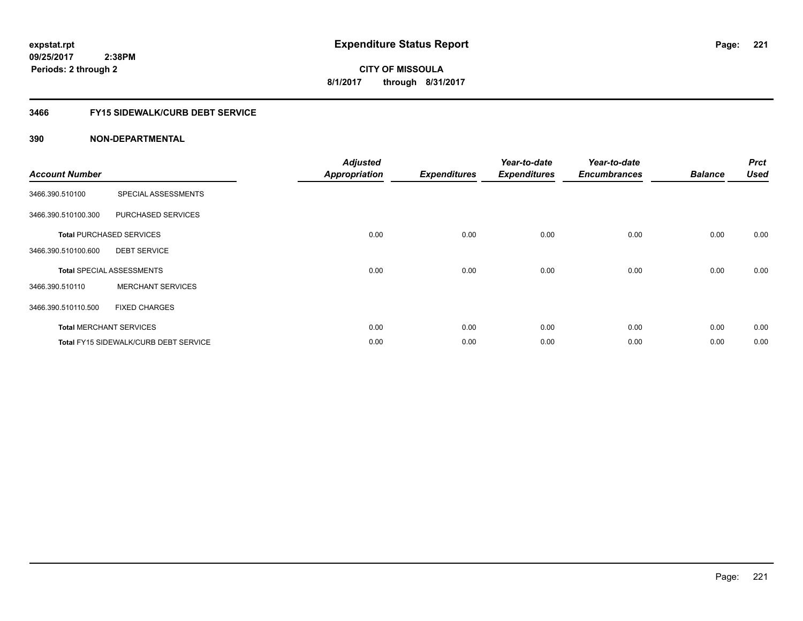**09/25/2017 2:38PM Periods: 2 through 2**

# **CITY OF MISSOULA 8/1/2017 through 8/31/2017**

# **3466 FY15 SIDEWALK/CURB DEBT SERVICE**

| <b>Account Number</b> |                                       | <b>Adjusted</b><br><b>Appropriation</b> | <b>Expenditures</b> | Year-to-date<br><b>Expenditures</b> | Year-to-date<br><b>Encumbrances</b> | <b>Balance</b> | <b>Prct</b><br><b>Used</b> |
|-----------------------|---------------------------------------|-----------------------------------------|---------------------|-------------------------------------|-------------------------------------|----------------|----------------------------|
| 3466.390.510100       | SPECIAL ASSESSMENTS                   |                                         |                     |                                     |                                     |                |                            |
| 3466.390.510100.300   | PURCHASED SERVICES                    |                                         |                     |                                     |                                     |                |                            |
|                       | <b>Total PURCHASED SERVICES</b>       | 0.00                                    | 0.00                | 0.00                                | 0.00                                | 0.00           | 0.00                       |
| 3466.390.510100.600   | <b>DEBT SERVICE</b>                   |                                         |                     |                                     |                                     |                |                            |
|                       | <b>Total SPECIAL ASSESSMENTS</b>      | 0.00                                    | 0.00                | 0.00                                | 0.00                                | 0.00           | 0.00                       |
| 3466.390.510110       | <b>MERCHANT SERVICES</b>              |                                         |                     |                                     |                                     |                |                            |
| 3466.390.510110.500   | <b>FIXED CHARGES</b>                  |                                         |                     |                                     |                                     |                |                            |
|                       | <b>Total MERCHANT SERVICES</b>        | 0.00                                    | 0.00                | 0.00                                | 0.00                                | 0.00           | 0.00                       |
|                       | Total FY15 SIDEWALK/CURB DEBT SERVICE | 0.00                                    | 0.00                | 0.00                                | 0.00                                | 0.00           | 0.00                       |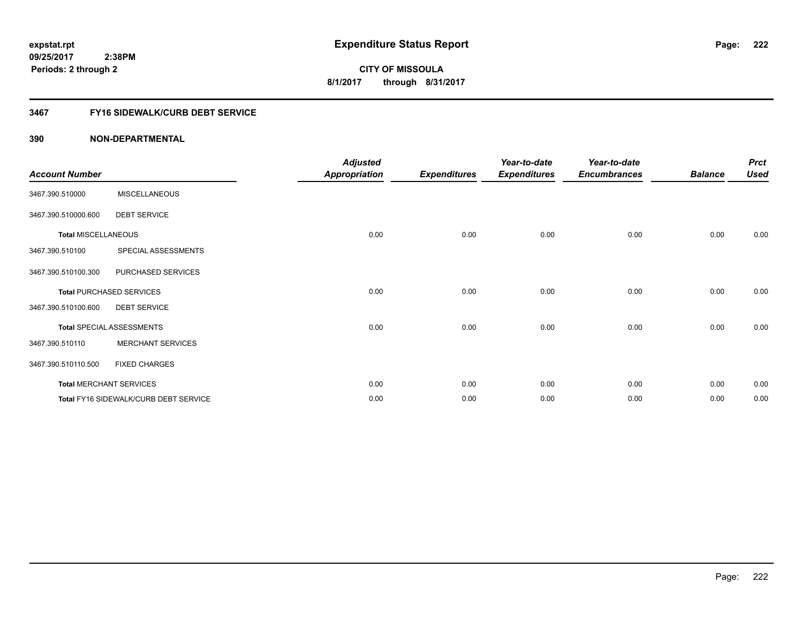# **3467 FY16 SIDEWALK/CURB DEBT SERVICE**

| <b>Account Number</b>      |                                       | <b>Adjusted</b><br><b>Appropriation</b> | <b>Expenditures</b> | Year-to-date<br><b>Expenditures</b> | Year-to-date<br><b>Encumbrances</b> | <b>Balance</b> | <b>Prct</b><br><b>Used</b> |
|----------------------------|---------------------------------------|-----------------------------------------|---------------------|-------------------------------------|-------------------------------------|----------------|----------------------------|
| 3467.390.510000            | <b>MISCELLANEOUS</b>                  |                                         |                     |                                     |                                     |                |                            |
| 3467.390.510000.600        | <b>DEBT SERVICE</b>                   |                                         |                     |                                     |                                     |                |                            |
| <b>Total MISCELLANEOUS</b> |                                       | 0.00                                    | 0.00                | 0.00                                | 0.00                                | 0.00           | 0.00                       |
| 3467.390.510100            | SPECIAL ASSESSMENTS                   |                                         |                     |                                     |                                     |                |                            |
| 3467.390.510100.300        | PURCHASED SERVICES                    |                                         |                     |                                     |                                     |                |                            |
|                            | <b>Total PURCHASED SERVICES</b>       | 0.00                                    | 0.00                | 0.00                                | 0.00                                | 0.00           | 0.00                       |
| 3467.390.510100.600        | <b>DEBT SERVICE</b>                   |                                         |                     |                                     |                                     |                |                            |
|                            | <b>Total SPECIAL ASSESSMENTS</b>      | 0.00                                    | 0.00                | 0.00                                | 0.00                                | 0.00           | 0.00                       |
| 3467.390.510110            | <b>MERCHANT SERVICES</b>              |                                         |                     |                                     |                                     |                |                            |
| 3467.390.510110.500        | <b>FIXED CHARGES</b>                  |                                         |                     |                                     |                                     |                |                            |
|                            | <b>Total MERCHANT SERVICES</b>        | 0.00                                    | 0.00                | 0.00                                | 0.00                                | 0.00           | 0.00                       |
|                            | Total FY16 SIDEWALK/CURB DEBT SERVICE | 0.00                                    | 0.00                | 0.00                                | 0.00                                | 0.00           | 0.00                       |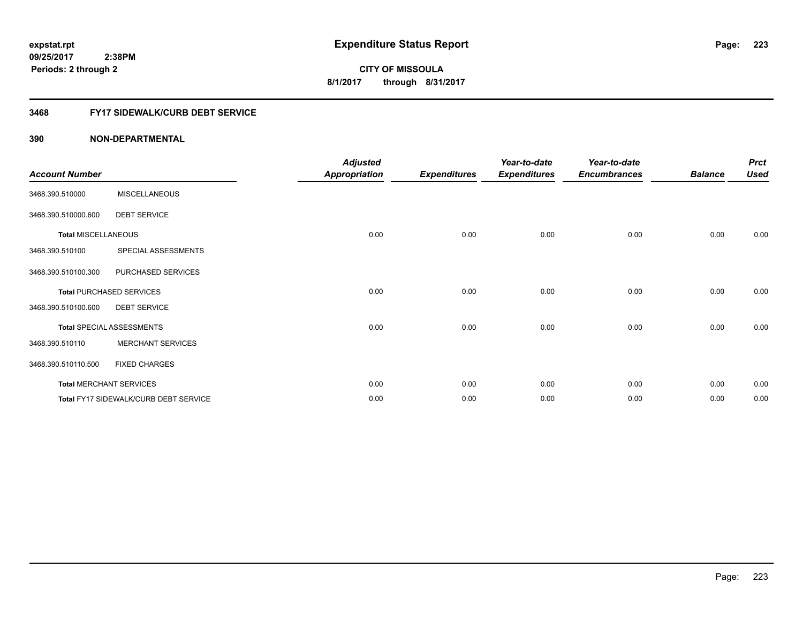**09/25/2017 2:38PM Periods: 2 through 2**

**223**

**CITY OF MISSOULA 8/1/2017 through 8/31/2017**

## **3468 FY17 SIDEWALK/CURB DEBT SERVICE**

| <b>Account Number</b>      |                                       | <b>Adjusted</b><br><b>Appropriation</b> | <b>Expenditures</b> | Year-to-date<br><b>Expenditures</b> | Year-to-date<br><b>Encumbrances</b> | <b>Balance</b> | <b>Prct</b><br><b>Used</b> |
|----------------------------|---------------------------------------|-----------------------------------------|---------------------|-------------------------------------|-------------------------------------|----------------|----------------------------|
| 3468.390.510000            | <b>MISCELLANEOUS</b>                  |                                         |                     |                                     |                                     |                |                            |
| 3468.390.510000.600        | <b>DEBT SERVICE</b>                   |                                         |                     |                                     |                                     |                |                            |
| <b>Total MISCELLANEOUS</b> |                                       | 0.00                                    | 0.00                | 0.00                                | 0.00                                | 0.00           | 0.00                       |
| 3468.390.510100            | SPECIAL ASSESSMENTS                   |                                         |                     |                                     |                                     |                |                            |
| 3468.390.510100.300        | PURCHASED SERVICES                    |                                         |                     |                                     |                                     |                |                            |
|                            | <b>Total PURCHASED SERVICES</b>       | 0.00                                    | 0.00                | 0.00                                | 0.00                                | 0.00           | 0.00                       |
| 3468.390.510100.600        | <b>DEBT SERVICE</b>                   |                                         |                     |                                     |                                     |                |                            |
|                            | <b>Total SPECIAL ASSESSMENTS</b>      | 0.00                                    | 0.00                | 0.00                                | 0.00                                | 0.00           | 0.00                       |
| 3468.390.510110            | <b>MERCHANT SERVICES</b>              |                                         |                     |                                     |                                     |                |                            |
| 3468.390.510110.500        | <b>FIXED CHARGES</b>                  |                                         |                     |                                     |                                     |                |                            |
|                            | <b>Total MERCHANT SERVICES</b>        | 0.00                                    | 0.00                | 0.00                                | 0.00                                | 0.00           | 0.00                       |
|                            | Total FY17 SIDEWALK/CURB DEBT SERVICE | 0.00                                    | 0.00                | 0.00                                | 0.00                                | 0.00           | 0.00                       |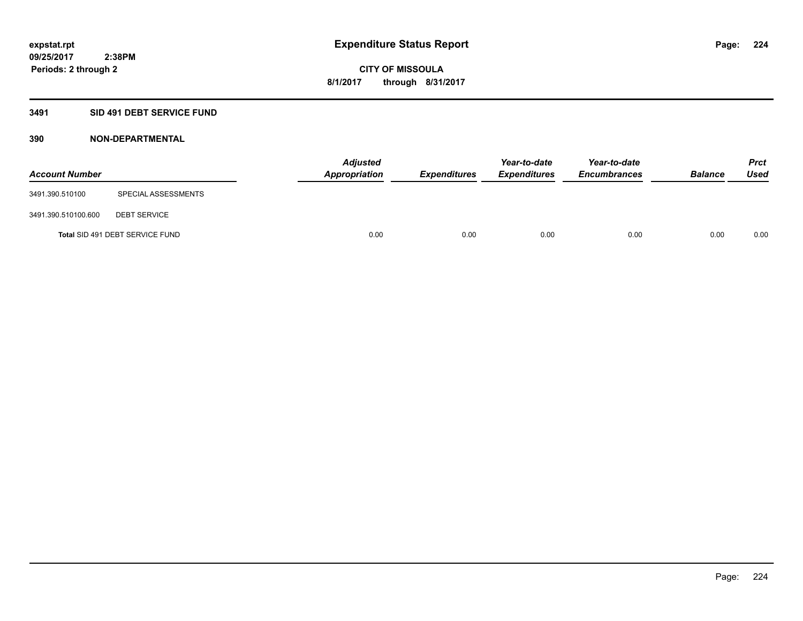## **3491 SID 491 DEBT SERVICE FUND**

| <b>Account Number</b> |                                 | <b>Adjusted</b><br><b>Appropriation</b> | <b>Expenditures</b> | Year-to-date<br><b>Expenditures</b> | Year-to-date<br><b>Encumbrances</b> | <b>Balance</b> | <b>Prct</b><br><b>Used</b> |
|-----------------------|---------------------------------|-----------------------------------------|---------------------|-------------------------------------|-------------------------------------|----------------|----------------------------|
| 3491.390.510100       | SPECIAL ASSESSMENTS             |                                         |                     |                                     |                                     |                |                            |
| 3491.390.510100.600   | <b>DEBT SERVICE</b>             |                                         |                     |                                     |                                     |                |                            |
|                       | Total SID 491 DEBT SERVICE FUND | 0.00                                    | 0.00                | 0.00                                | 0.00                                | 0.00           | 0.00                       |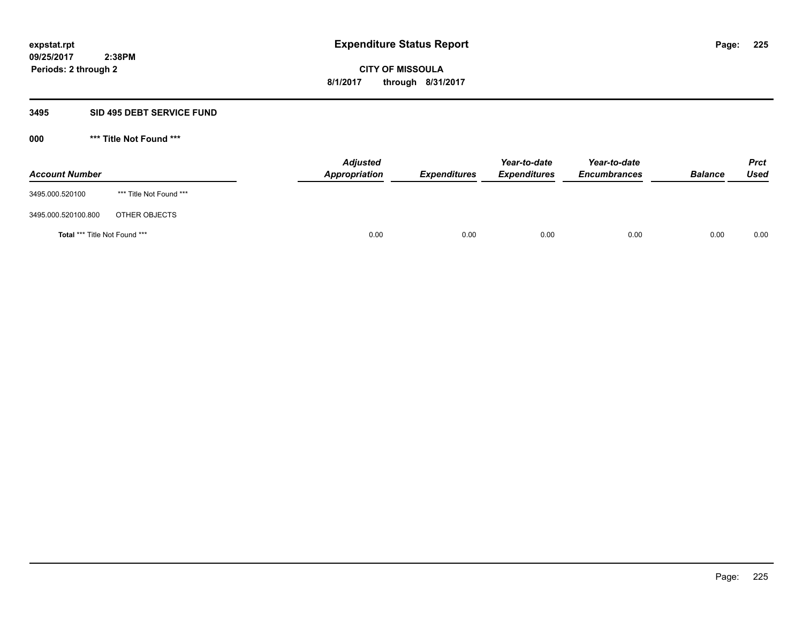#### **3495 SID 495 DEBT SERVICE FUND**

| <b>Account Number</b>                |                         | <b>Adjusted</b><br><b>Appropriation</b> | <b>Expenditures</b> | Year-to-date<br><i><b>Expenditures</b></i> | Year-to-date<br><b>Encumbrances</b> | <b>Balance</b> | <b>Prct</b><br>Used |
|--------------------------------------|-------------------------|-----------------------------------------|---------------------|--------------------------------------------|-------------------------------------|----------------|---------------------|
| 3495.000.520100                      | *** Title Not Found *** |                                         |                     |                                            |                                     |                |                     |
| 3495.000.520100.800                  | OTHER OBJECTS           |                                         |                     |                                            |                                     |                |                     |
| <b>Total *** Title Not Found ***</b> |                         | 0.00                                    | 0.00                | 0.00                                       | 0.00                                | 0.00           | 0.00                |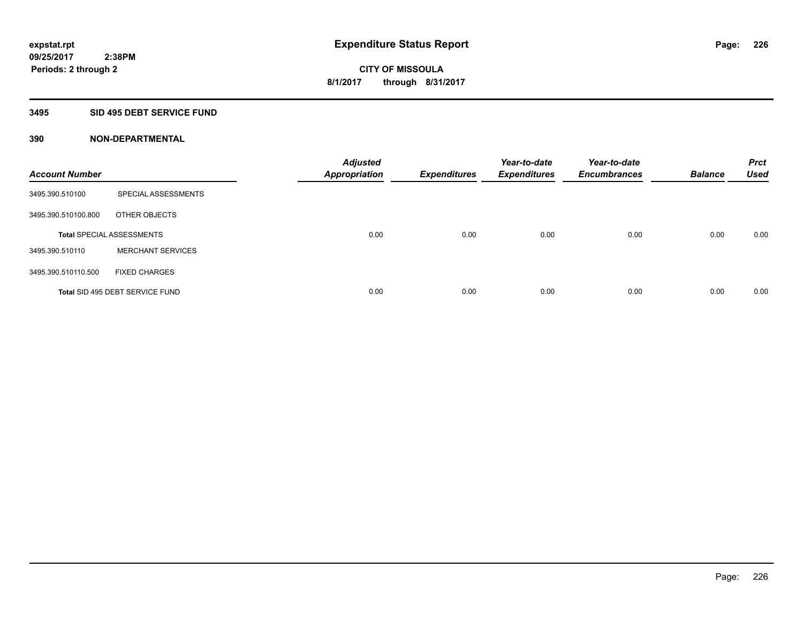#### **3495 SID 495 DEBT SERVICE FUND**

| <b>Account Number</b> |                                  | <b>Adjusted</b><br><b>Appropriation</b> | <b>Expenditures</b> | Year-to-date<br><b>Expenditures</b> | Year-to-date<br><b>Encumbrances</b> | <b>Balance</b> | <b>Prct</b><br><b>Used</b> |
|-----------------------|----------------------------------|-----------------------------------------|---------------------|-------------------------------------|-------------------------------------|----------------|----------------------------|
| 3495.390.510100       | SPECIAL ASSESSMENTS              |                                         |                     |                                     |                                     |                |                            |
| 3495.390.510100.800   | OTHER OBJECTS                    |                                         |                     |                                     |                                     |                |                            |
|                       | <b>Total SPECIAL ASSESSMENTS</b> | 0.00                                    | 0.00                | 0.00                                | 0.00                                | 0.00           | 0.00                       |
| 3495.390.510110       | <b>MERCHANT SERVICES</b>         |                                         |                     |                                     |                                     |                |                            |
| 3495.390.510110.500   | <b>FIXED CHARGES</b>             |                                         |                     |                                     |                                     |                |                            |
|                       | Total SID 495 DEBT SERVICE FUND  | 0.00                                    | 0.00                | 0.00                                | 0.00                                | 0.00           | 0.00                       |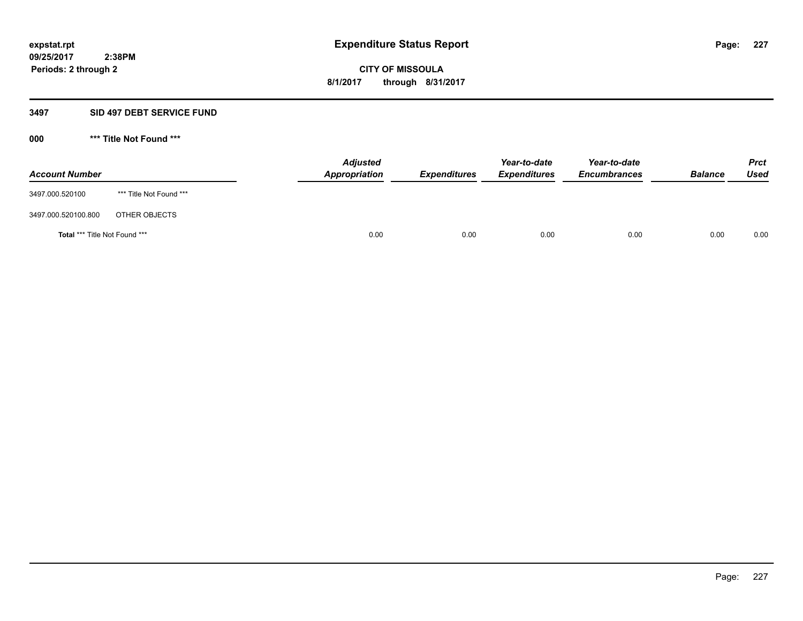### **3497 SID 497 DEBT SERVICE FUND**

| <b>Account Number</b>                |                         | <b>Adjusted</b><br><b>Appropriation</b> | <b>Expenditures</b> | Year-to-date<br><b>Expenditures</b> | Year-to-date<br><b>Encumbrances</b> | <b>Balance</b> | <b>Prct</b><br><b>Used</b> |
|--------------------------------------|-------------------------|-----------------------------------------|---------------------|-------------------------------------|-------------------------------------|----------------|----------------------------|
| 3497.000.520100                      | *** Title Not Found *** |                                         |                     |                                     |                                     |                |                            |
| 3497.000.520100.800                  | OTHER OBJECTS           |                                         |                     |                                     |                                     |                |                            |
| <b>Total *** Title Not Found ***</b> |                         | 0.00                                    | 0.00                | 0.00                                | 0.00                                | 0.00           | 0.00                       |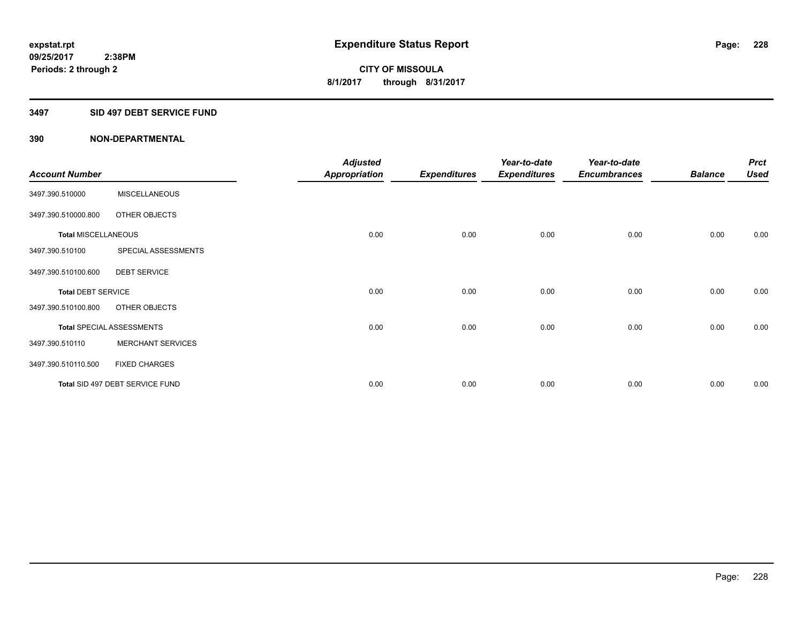### **3497 SID 497 DEBT SERVICE FUND**

|                            |                                  | <b>Adjusted</b>      |                     | Year-to-date        | Year-to-date        |                | <b>Prct</b> |
|----------------------------|----------------------------------|----------------------|---------------------|---------------------|---------------------|----------------|-------------|
| <b>Account Number</b>      |                                  | <b>Appropriation</b> | <b>Expenditures</b> | <b>Expenditures</b> | <b>Encumbrances</b> | <b>Balance</b> | <b>Used</b> |
| 3497.390.510000            | <b>MISCELLANEOUS</b>             |                      |                     |                     |                     |                |             |
| 3497.390.510000.800        | OTHER OBJECTS                    |                      |                     |                     |                     |                |             |
| <b>Total MISCELLANEOUS</b> |                                  | 0.00                 | 0.00                | 0.00                | 0.00                | 0.00           | 0.00        |
| 3497.390.510100            | SPECIAL ASSESSMENTS              |                      |                     |                     |                     |                |             |
| 3497.390.510100.600        | <b>DEBT SERVICE</b>              |                      |                     |                     |                     |                |             |
| <b>Total DEBT SERVICE</b>  |                                  | 0.00                 | 0.00                | 0.00                | 0.00                | 0.00           | 0.00        |
| 3497.390.510100.800        | OTHER OBJECTS                    |                      |                     |                     |                     |                |             |
|                            | <b>Total SPECIAL ASSESSMENTS</b> | 0.00                 | 0.00                | 0.00                | 0.00                | 0.00           | 0.00        |
| 3497.390.510110            | <b>MERCHANT SERVICES</b>         |                      |                     |                     |                     |                |             |
| 3497.390.510110.500        | <b>FIXED CHARGES</b>             |                      |                     |                     |                     |                |             |
|                            | Total SID 497 DEBT SERVICE FUND  | 0.00                 | 0.00                | 0.00                | 0.00                | 0.00           | 0.00        |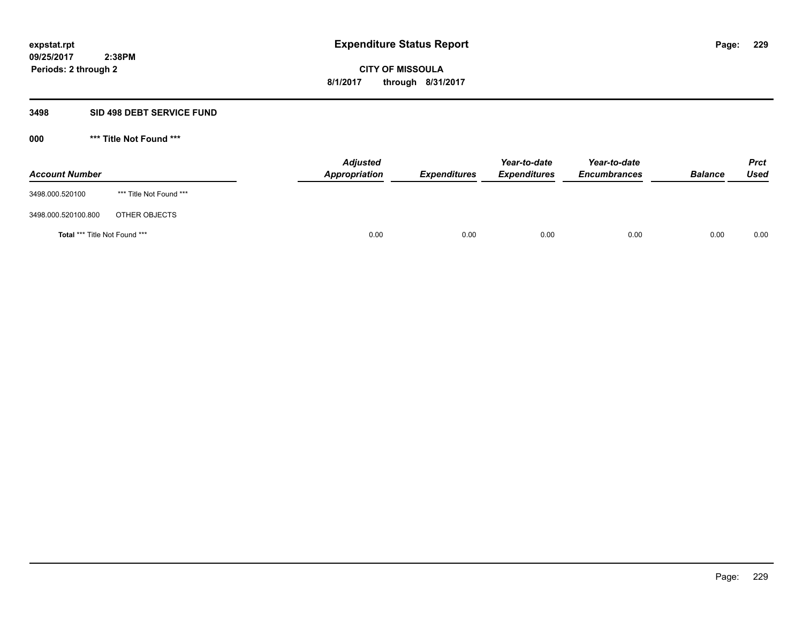### **3498 SID 498 DEBT SERVICE FUND**

| <b>Account Number</b>         |                         | <b>Adjusted</b><br>Appropriation | <b>Expenditures</b> | Year-to-date<br><b>Expenditures</b> | Year-to-date<br><b>Encumbrances</b> | <b>Balance</b> | <b>Prct</b><br>Used |
|-------------------------------|-------------------------|----------------------------------|---------------------|-------------------------------------|-------------------------------------|----------------|---------------------|
| 3498.000.520100               | *** Title Not Found *** |                                  |                     |                                     |                                     |                |                     |
| 3498.000.520100.800           | OTHER OBJECTS           |                                  |                     |                                     |                                     |                |                     |
| Total *** Title Not Found *** |                         | 0.00                             | 0.00                | 0.00                                | 0.00                                | 0.00           | 0.00                |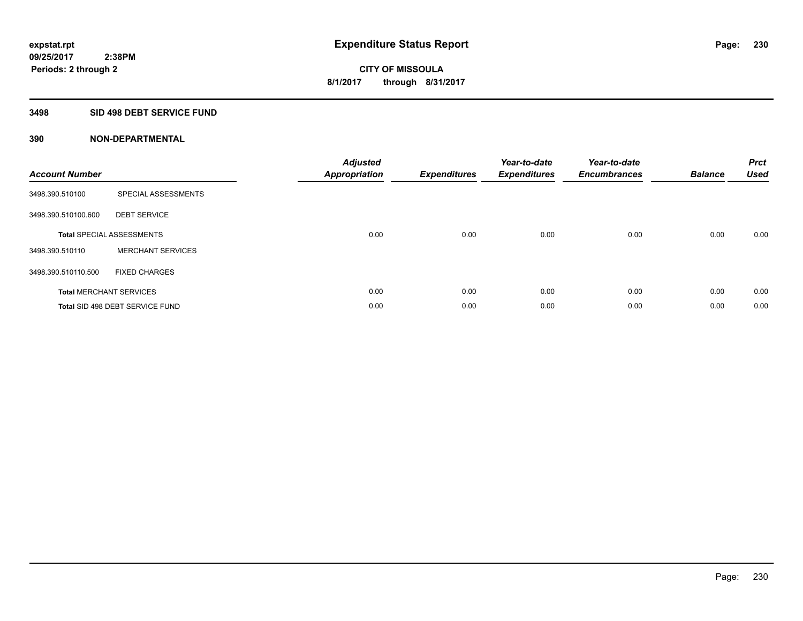### **3498 SID 498 DEBT SERVICE FUND**

| <b>Account Number</b> |                                  | <b>Adjusted</b><br>Appropriation | <b>Expenditures</b> | Year-to-date<br><b>Expenditures</b> | Year-to-date<br><b>Encumbrances</b> | <b>Balance</b> | <b>Prct</b><br><b>Used</b> |
|-----------------------|----------------------------------|----------------------------------|---------------------|-------------------------------------|-------------------------------------|----------------|----------------------------|
| 3498.390.510100       | SPECIAL ASSESSMENTS              |                                  |                     |                                     |                                     |                |                            |
| 3498.390.510100.600   | <b>DEBT SERVICE</b>              |                                  |                     |                                     |                                     |                |                            |
|                       | <b>Total SPECIAL ASSESSMENTS</b> | 0.00                             | 0.00                | 0.00                                | 0.00                                | 0.00           | 0.00                       |
| 3498.390.510110       | <b>MERCHANT SERVICES</b>         |                                  |                     |                                     |                                     |                |                            |
| 3498.390.510110.500   | <b>FIXED CHARGES</b>             |                                  |                     |                                     |                                     |                |                            |
|                       | <b>Total MERCHANT SERVICES</b>   | 0.00                             | 0.00                | 0.00                                | 0.00                                | 0.00           | 0.00                       |
|                       | Total SID 498 DEBT SERVICE FUND  | 0.00                             | 0.00                | 0.00                                | 0.00                                | 0.00           | 0.00                       |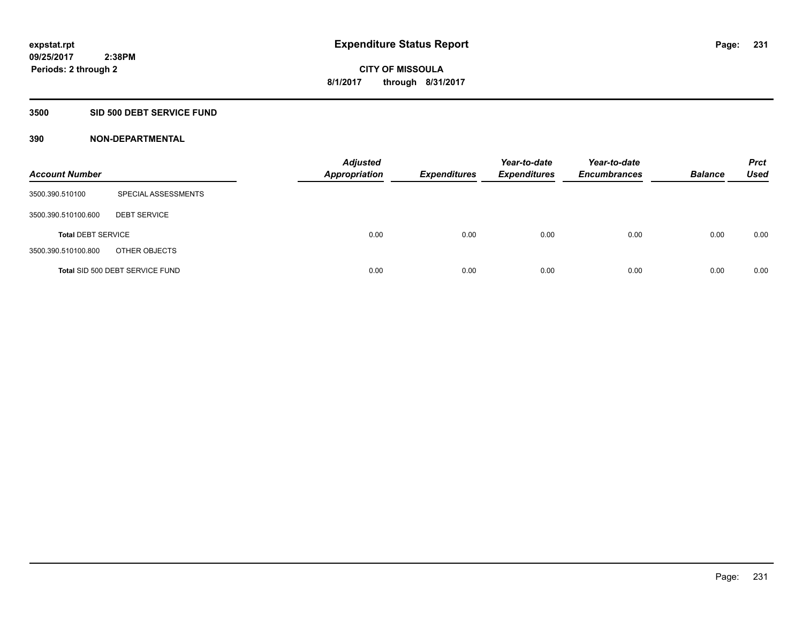### **3500 SID 500 DEBT SERVICE FUND**

| <b>Account Number</b>     |                                 | <b>Adjusted</b><br><b>Appropriation</b> | <b>Expenditures</b> | Year-to-date<br><b>Expenditures</b> | Year-to-date<br><b>Encumbrances</b> | <b>Balance</b> | <b>Prct</b><br>Used |
|---------------------------|---------------------------------|-----------------------------------------|---------------------|-------------------------------------|-------------------------------------|----------------|---------------------|
| 3500.390.510100           | SPECIAL ASSESSMENTS             |                                         |                     |                                     |                                     |                |                     |
| 3500.390.510100.600       | <b>DEBT SERVICE</b>             |                                         |                     |                                     |                                     |                |                     |
| <b>Total DEBT SERVICE</b> |                                 | 0.00                                    | 0.00                | 0.00                                | 0.00                                | 0.00           | 0.00                |
| 3500.390.510100.800       | OTHER OBJECTS                   |                                         |                     |                                     |                                     |                |                     |
|                           | Total SID 500 DEBT SERVICE FUND | 0.00                                    | 0.00                | 0.00                                | 0.00                                | 0.00           | 0.00                |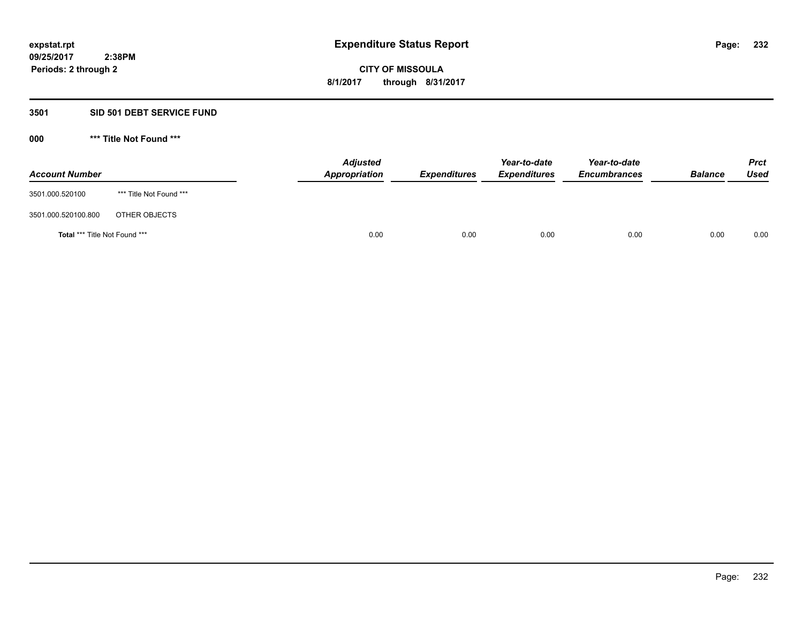### **3501 SID 501 DEBT SERVICE FUND**

| <b>Account Number</b>                |                         | <b>Adjusted</b><br><b>Appropriation</b> | <b>Expenditures</b> | Year-to-date<br><b>Expenditures</b> | Year-to-date<br><b>Encumbrances</b> | <b>Balance</b> | <b>Prct</b><br><b>Used</b> |
|--------------------------------------|-------------------------|-----------------------------------------|---------------------|-------------------------------------|-------------------------------------|----------------|----------------------------|
| 3501.000.520100                      | *** Title Not Found *** |                                         |                     |                                     |                                     |                |                            |
| 3501.000.520100.800                  | OTHER OBJECTS           |                                         |                     |                                     |                                     |                |                            |
| <b>Total *** Title Not Found ***</b> |                         | 0.00                                    | 0.00                | 0.00                                | 0.00                                | 0.00           | 0.00                       |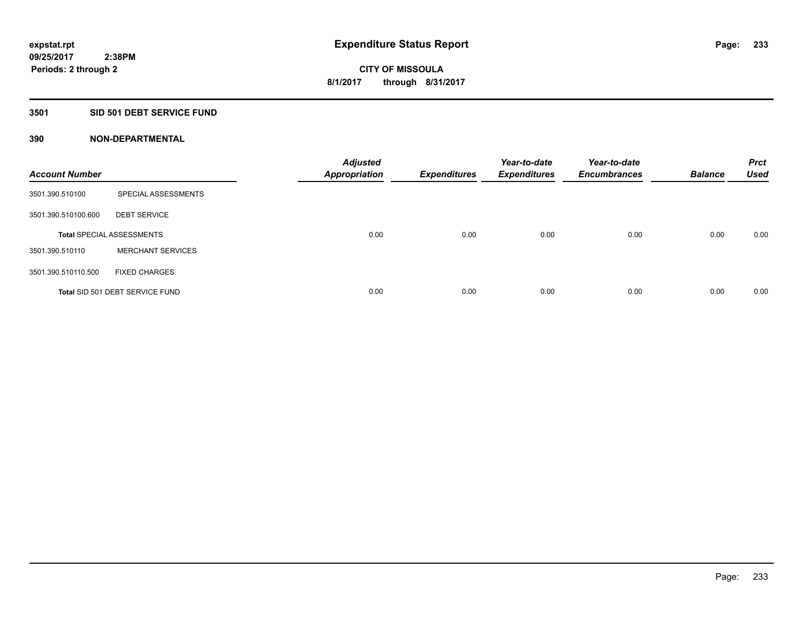## **3501 SID 501 DEBT SERVICE FUND**

| <b>Account Number</b> |                                  | <b>Adjusted</b><br><b>Appropriation</b> | <b>Expenditures</b> | Year-to-date<br><b>Expenditures</b> | Year-to-date<br><b>Encumbrances</b> | <b>Balance</b> | <b>Prct</b><br><b>Used</b> |
|-----------------------|----------------------------------|-----------------------------------------|---------------------|-------------------------------------|-------------------------------------|----------------|----------------------------|
| 3501.390.510100       | SPECIAL ASSESSMENTS              |                                         |                     |                                     |                                     |                |                            |
| 3501.390.510100.600   | <b>DEBT SERVICE</b>              |                                         |                     |                                     |                                     |                |                            |
|                       | <b>Total SPECIAL ASSESSMENTS</b> | 0.00                                    | 0.00                | 0.00                                | 0.00                                | 0.00           | 0.00                       |
| 3501.390.510110       | <b>MERCHANT SERVICES</b>         |                                         |                     |                                     |                                     |                |                            |
| 3501.390.510110.500   | <b>FIXED CHARGES</b>             |                                         |                     |                                     |                                     |                |                            |
|                       | Total SID 501 DEBT SERVICE FUND  | 0.00                                    | 0.00                | 0.00                                | 0.00                                | 0.00           | 0.00                       |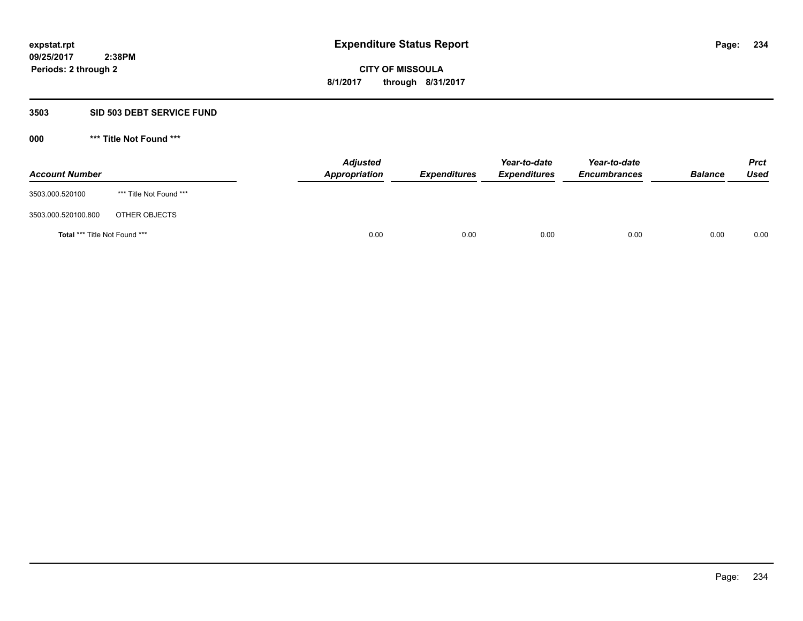## **3503 SID 503 DEBT SERVICE FUND**

| <b>Account Number</b>         |                         | <b>Adjusted</b><br>Appropriation | <b>Expenditures</b> | Year-to-date<br><b>Expenditures</b> | Year-to-date<br><b>Encumbrances</b> | <b>Balance</b> | <b>Prct</b><br>Used |
|-------------------------------|-------------------------|----------------------------------|---------------------|-------------------------------------|-------------------------------------|----------------|---------------------|
| 3503.000.520100               | *** Title Not Found *** |                                  |                     |                                     |                                     |                |                     |
| 3503.000.520100.800           | OTHER OBJECTS           |                                  |                     |                                     |                                     |                |                     |
| Total *** Title Not Found *** |                         | 0.00                             | 0.00                | 0.00                                | 0.00                                | 0.00           | 0.00                |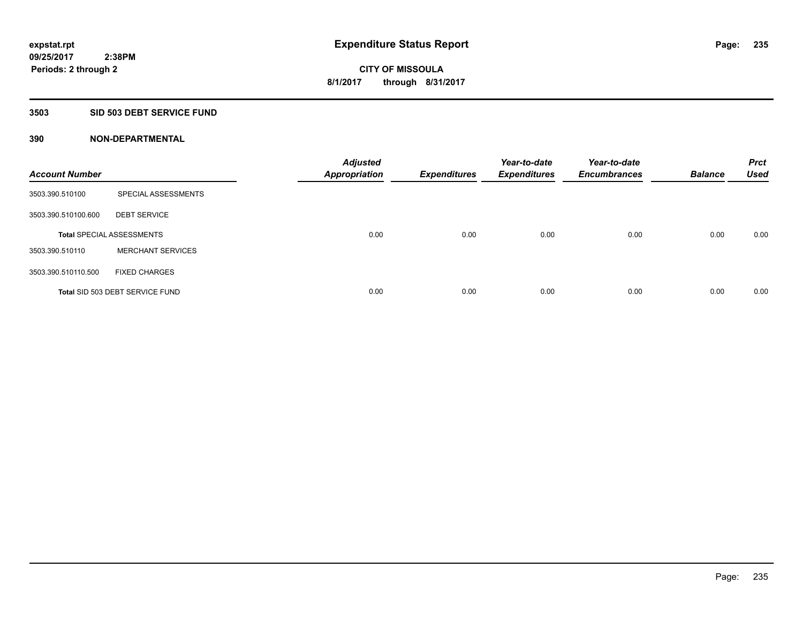#### **3503 SID 503 DEBT SERVICE FUND**

| <b>Account Number</b> |                                  | <b>Adjusted</b><br><b>Appropriation</b> | <b>Expenditures</b> | Year-to-date<br><b>Expenditures</b> | Year-to-date<br><b>Encumbrances</b> | <b>Balance</b> | <b>Prct</b><br><b>Used</b> |
|-----------------------|----------------------------------|-----------------------------------------|---------------------|-------------------------------------|-------------------------------------|----------------|----------------------------|
| 3503.390.510100       | SPECIAL ASSESSMENTS              |                                         |                     |                                     |                                     |                |                            |
| 3503.390.510100.600   | <b>DEBT SERVICE</b>              |                                         |                     |                                     |                                     |                |                            |
|                       | <b>Total SPECIAL ASSESSMENTS</b> | 0.00                                    | 0.00                | 0.00                                | 0.00                                | 0.00           | 0.00                       |
| 3503.390.510110       | <b>MERCHANT SERVICES</b>         |                                         |                     |                                     |                                     |                |                            |
| 3503.390.510110.500   | <b>FIXED CHARGES</b>             |                                         |                     |                                     |                                     |                |                            |
|                       | Total SID 503 DEBT SERVICE FUND  | 0.00                                    | 0.00                | 0.00                                | 0.00                                | 0.00           | 0.00                       |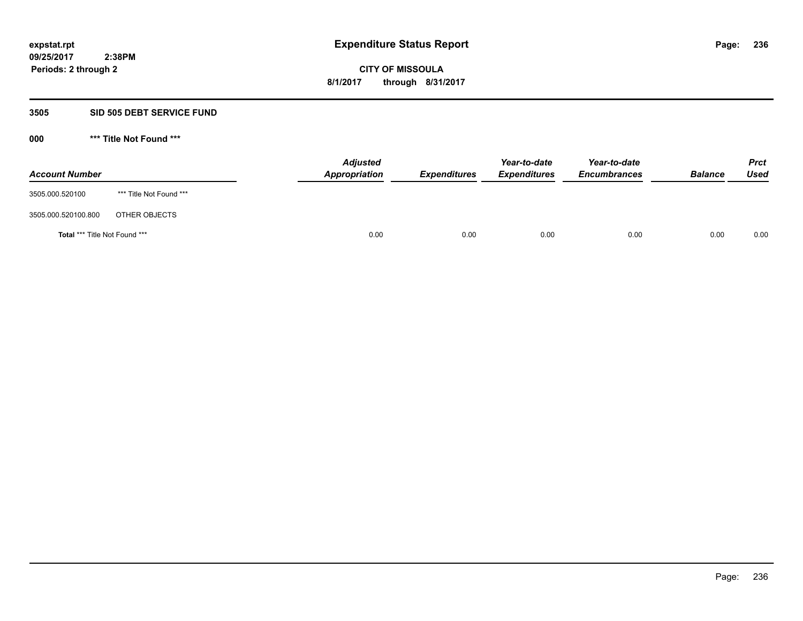### **3505 SID 505 DEBT SERVICE FUND**

| <b>Account Number</b>                |                         | <b>Adjusted</b><br>Appropriation | <b>Expenditures</b> | Year-to-date<br><b>Expenditures</b> | Year-to-date<br><b>Encumbrances</b> | <b>Balance</b> | <b>Prct</b><br>Used |
|--------------------------------------|-------------------------|----------------------------------|---------------------|-------------------------------------|-------------------------------------|----------------|---------------------|
| 3505.000.520100                      | *** Title Not Found *** |                                  |                     |                                     |                                     |                |                     |
| 3505.000.520100.800                  | OTHER OBJECTS           |                                  |                     |                                     |                                     |                |                     |
| <b>Total *** Title Not Found ***</b> |                         | 0.00                             | 0.00                | 0.00                                | 0.00                                | 0.00           | 0.00                |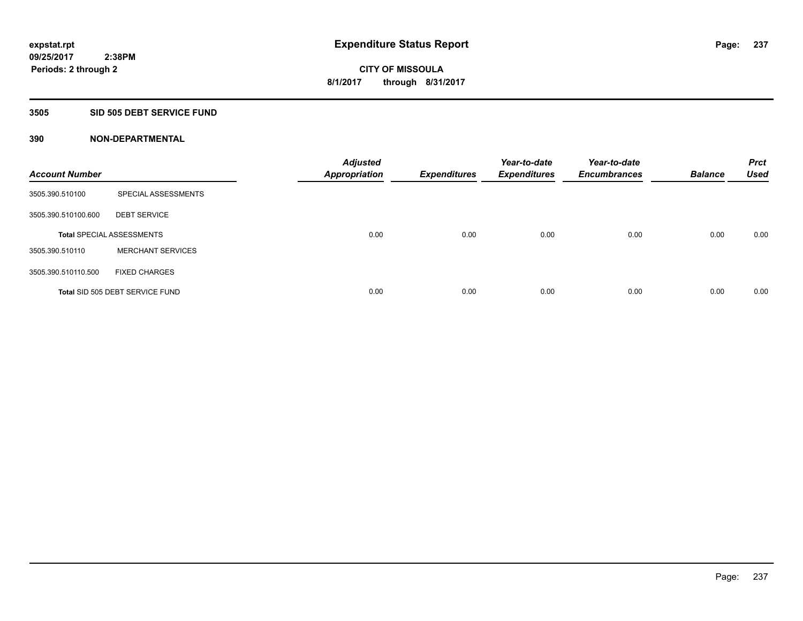### **3505 SID 505 DEBT SERVICE FUND**

| <b>Account Number</b> |                                  | <b>Adjusted</b><br><b>Appropriation</b> | <b>Expenditures</b> | Year-to-date<br><b>Expenditures</b> | Year-to-date<br><b>Encumbrances</b> | <b>Balance</b> | <b>Prct</b><br><b>Used</b> |
|-----------------------|----------------------------------|-----------------------------------------|---------------------|-------------------------------------|-------------------------------------|----------------|----------------------------|
| 3505.390.510100       | SPECIAL ASSESSMENTS              |                                         |                     |                                     |                                     |                |                            |
| 3505.390.510100.600   | <b>DEBT SERVICE</b>              |                                         |                     |                                     |                                     |                |                            |
|                       | <b>Total SPECIAL ASSESSMENTS</b> | 0.00                                    | 0.00                | 0.00                                | 0.00                                | 0.00           | 0.00                       |
| 3505.390.510110       | <b>MERCHANT SERVICES</b>         |                                         |                     |                                     |                                     |                |                            |
| 3505.390.510110.500   | <b>FIXED CHARGES</b>             |                                         |                     |                                     |                                     |                |                            |
|                       | Total SID 505 DEBT SERVICE FUND  | 0.00                                    | 0.00                | 0.00                                | 0.00                                | 0.00           | 0.00                       |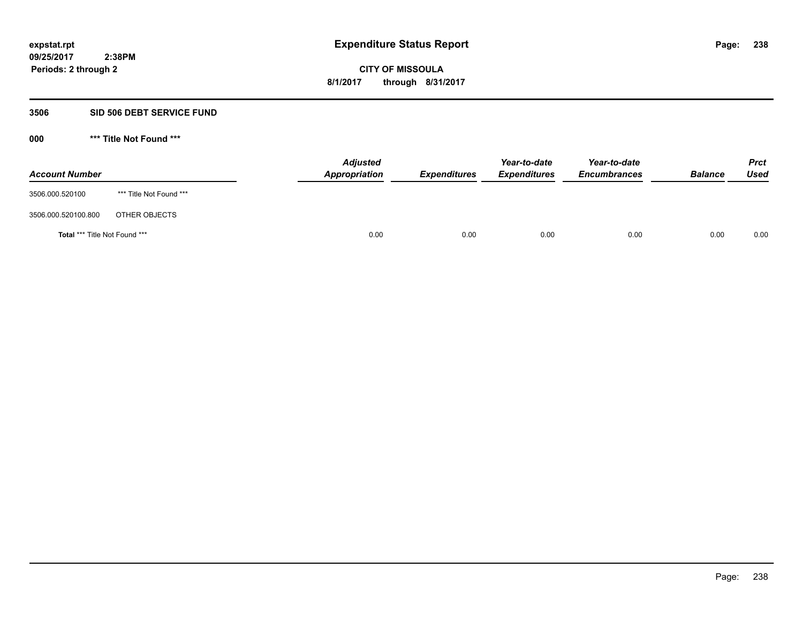#### **3506 SID 506 DEBT SERVICE FUND**

| <b>Account Number</b>         |                         | <b>Adjusted</b><br>Appropriation | <b>Expenditures</b> | Year-to-date<br><b>Expenditures</b> | Year-to-date<br><b>Encumbrances</b> | <b>Balance</b> | <b>Prct</b><br>Used |
|-------------------------------|-------------------------|----------------------------------|---------------------|-------------------------------------|-------------------------------------|----------------|---------------------|
| 3506.000.520100               | *** Title Not Found *** |                                  |                     |                                     |                                     |                |                     |
| 3506.000.520100.800           | OTHER OBJECTS           |                                  |                     |                                     |                                     |                |                     |
| Total *** Title Not Found *** |                         | 0.00                             | 0.00                | 0.00                                | 0.00                                | 0.00           | 0.00                |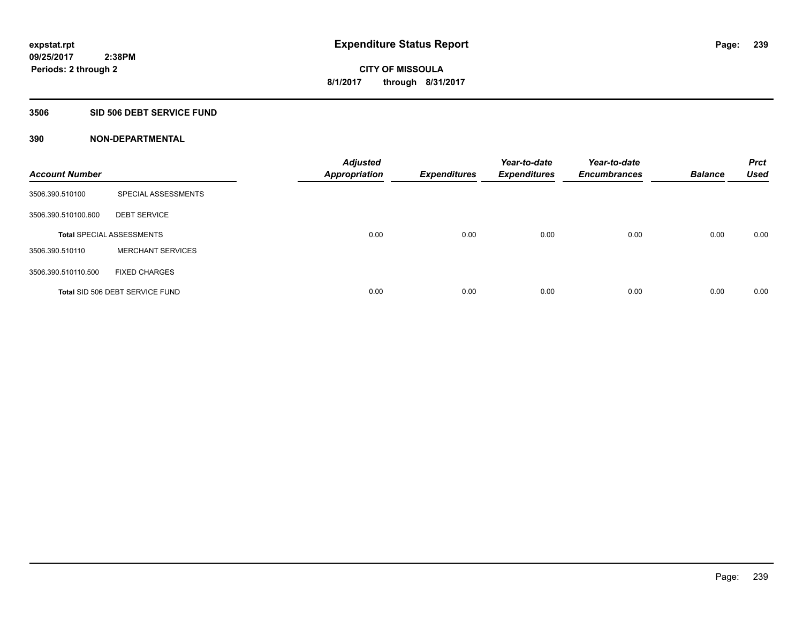#### **3506 SID 506 DEBT SERVICE FUND**

| <b>Account Number</b> |                                  | <b>Adjusted</b><br><b>Appropriation</b> | <b>Expenditures</b> | Year-to-date<br><b>Expenditures</b> | Year-to-date<br><b>Encumbrances</b> | <b>Balance</b> | <b>Prct</b><br><b>Used</b> |
|-----------------------|----------------------------------|-----------------------------------------|---------------------|-------------------------------------|-------------------------------------|----------------|----------------------------|
| 3506.390.510100       | SPECIAL ASSESSMENTS              |                                         |                     |                                     |                                     |                |                            |
| 3506.390.510100.600   | <b>DEBT SERVICE</b>              |                                         |                     |                                     |                                     |                |                            |
|                       | <b>Total SPECIAL ASSESSMENTS</b> | 0.00                                    | 0.00                | 0.00                                | 0.00                                | 0.00           | 0.00                       |
| 3506.390.510110       | <b>MERCHANT SERVICES</b>         |                                         |                     |                                     |                                     |                |                            |
| 3506.390.510110.500   | <b>FIXED CHARGES</b>             |                                         |                     |                                     |                                     |                |                            |
|                       | Total SID 506 DEBT SERVICE FUND  | 0.00                                    | 0.00                | 0.00                                | 0.00                                | 0.00           | 0.00                       |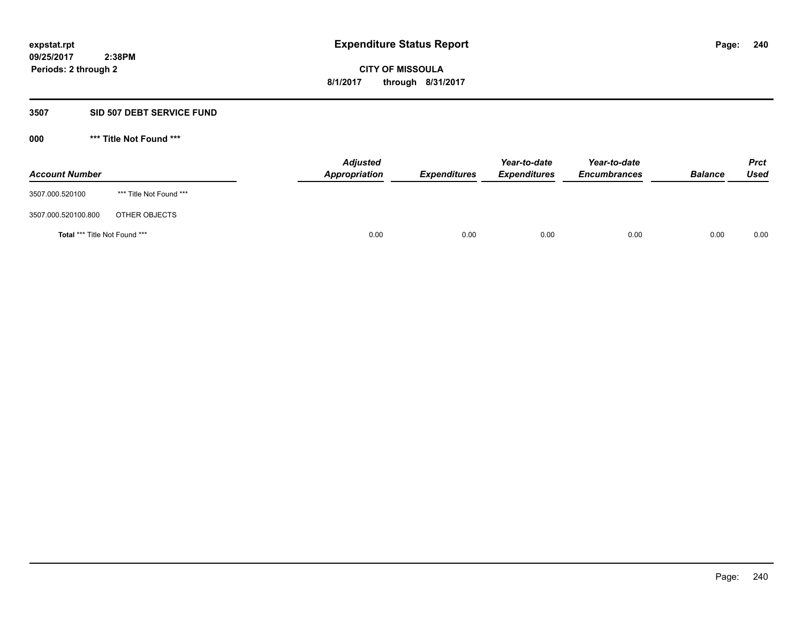#### **3507 SID 507 DEBT SERVICE FUND**

| <b>Account Number</b>                |                         | <b>Adjusted</b><br>Appropriation | <b>Expenditures</b> | Year-to-date<br><b>Expenditures</b> | Year-to-date<br><b>Encumbrances</b> | <b>Balance</b> | <b>Prct</b><br>Used |
|--------------------------------------|-------------------------|----------------------------------|---------------------|-------------------------------------|-------------------------------------|----------------|---------------------|
| 3507.000.520100                      | *** Title Not Found *** |                                  |                     |                                     |                                     |                |                     |
| 3507.000.520100.800                  | OTHER OBJECTS           |                                  |                     |                                     |                                     |                |                     |
| <b>Total *** Title Not Found ***</b> |                         | 0.00                             | 0.00                | 0.00                                | 0.00                                | 0.00           | 0.00                |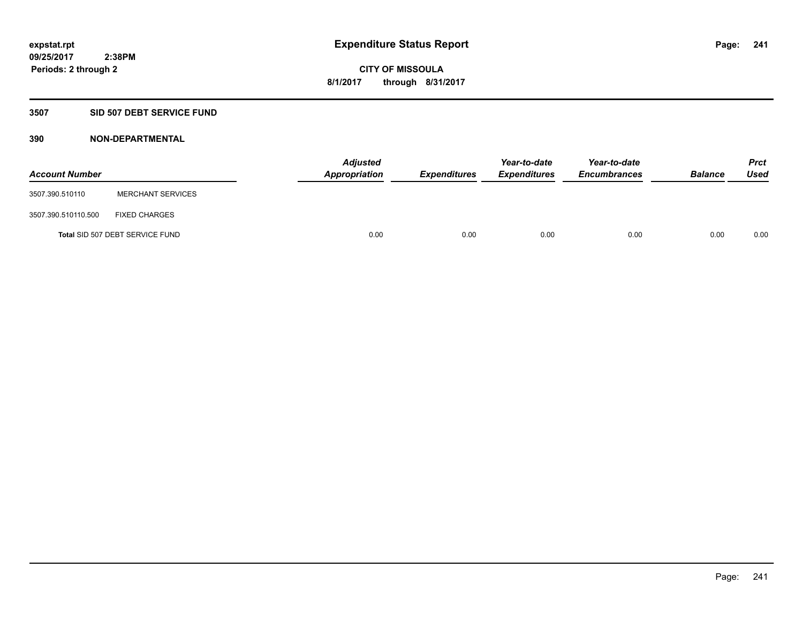## **3507 SID 507 DEBT SERVICE FUND**

| <b>Account Number</b> |                                 | <b>Adjusted</b><br>Appropriation | <b>Expenditures</b> | Year-to-date<br><b>Expenditures</b> | Year-to-date<br><b>Encumbrances</b> | <b>Balance</b> | <b>Prct</b><br><b>Used</b> |
|-----------------------|---------------------------------|----------------------------------|---------------------|-------------------------------------|-------------------------------------|----------------|----------------------------|
| 3507.390.510110       | <b>MERCHANT SERVICES</b>        |                                  |                     |                                     |                                     |                |                            |
| 3507.390.510110.500   | <b>FIXED CHARGES</b>            |                                  |                     |                                     |                                     |                |                            |
|                       | Total SID 507 DEBT SERVICE FUND | 0.00                             | 0.00                | 0.00                                | 0.00                                | 0.00           | 0.00                       |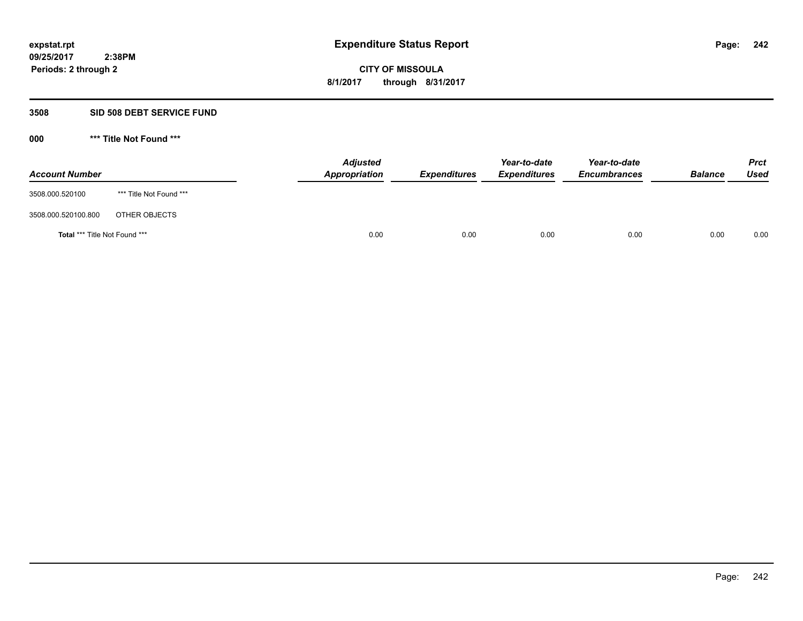#### **3508 SID 508 DEBT SERVICE FUND**

| <b>Account Number</b>                |                         | <b>Adjusted</b><br>Appropriation | <b>Expenditures</b> | Year-to-date<br><b>Expenditures</b> | Year-to-date<br><b>Encumbrances</b> | <b>Balance</b> | <b>Prct</b><br>Used |
|--------------------------------------|-------------------------|----------------------------------|---------------------|-------------------------------------|-------------------------------------|----------------|---------------------|
| 3508.000.520100                      | *** Title Not Found *** |                                  |                     |                                     |                                     |                |                     |
| 3508.000.520100.800                  | OTHER OBJECTS           |                                  |                     |                                     |                                     |                |                     |
| <b>Total *** Title Not Found ***</b> |                         | 0.00                             | 0.00                | 0.00                                | 0.00                                | 0.00           | 0.00                |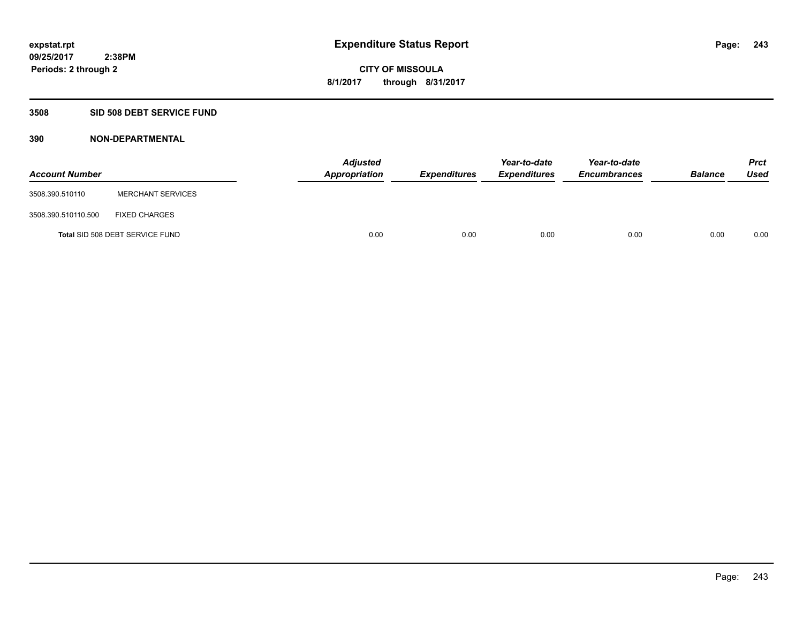### **3508 SID 508 DEBT SERVICE FUND**

| <b>Account Number</b> |                                 | <b>Adjusted</b><br><b>Appropriation</b> | <b>Expenditures</b> | Year-to-date<br><b>Expenditures</b> | Year-to-date<br><b>Encumbrances</b> | <b>Balance</b> | <b>Prct</b><br><b>Used</b> |
|-----------------------|---------------------------------|-----------------------------------------|---------------------|-------------------------------------|-------------------------------------|----------------|----------------------------|
| 3508.390.510110       | <b>MERCHANT SERVICES</b>        |                                         |                     |                                     |                                     |                |                            |
| 3508.390.510110.500   | <b>FIXED CHARGES</b>            |                                         |                     |                                     |                                     |                |                            |
|                       | Total SID 508 DEBT SERVICE FUND | 0.00                                    | 0.00                | 0.00                                | 0.00                                | 0.00           | 0.00                       |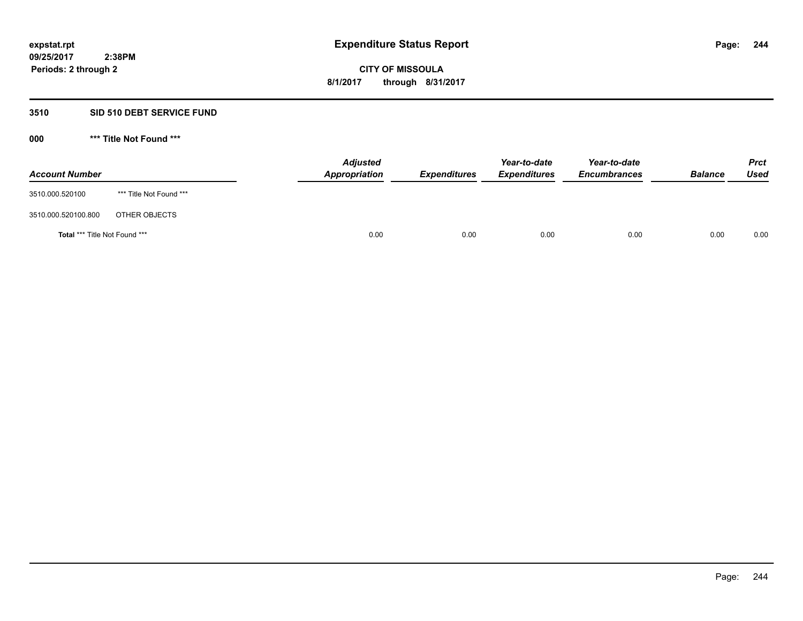# **3510 SID 510 DEBT SERVICE FUND**

| <b>Account Number</b>                |                         | <b>Adjusted</b><br>Appropriation | <b>Expenditures</b> | Year-to-date<br><b>Expenditures</b> | Year-to-date<br><b>Encumbrances</b> | <b>Balance</b> | <b>Prct</b><br>Used |
|--------------------------------------|-------------------------|----------------------------------|---------------------|-------------------------------------|-------------------------------------|----------------|---------------------|
| 3510.000.520100                      | *** Title Not Found *** |                                  |                     |                                     |                                     |                |                     |
| 3510.000.520100.800                  | OTHER OBJECTS           |                                  |                     |                                     |                                     |                |                     |
| <b>Total *** Title Not Found ***</b> |                         | 0.00                             | 0.00                | 0.00                                | 0.00                                | 0.00           | 0.00                |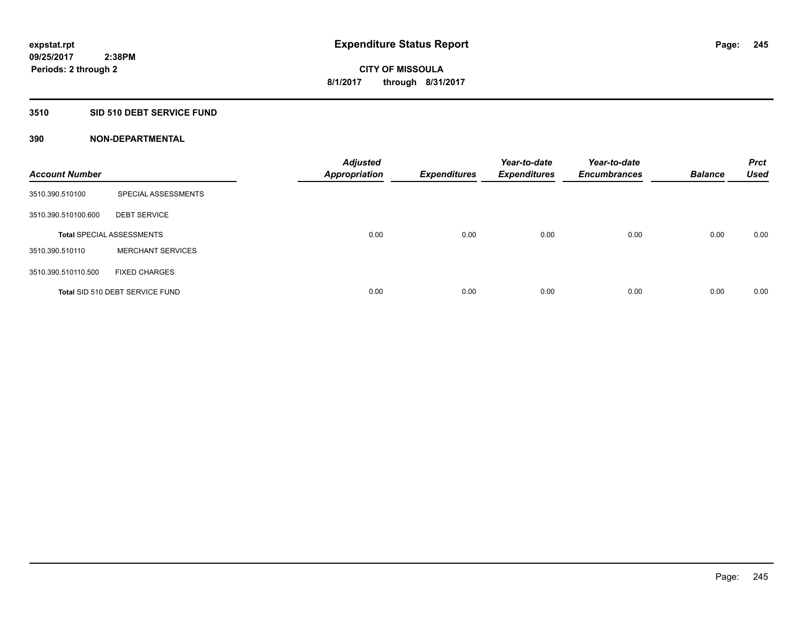### **3510 SID 510 DEBT SERVICE FUND**

| <b>Account Number</b> |                                  | <b>Adjusted</b><br><b>Appropriation</b> | <b>Expenditures</b> | Year-to-date<br><b>Expenditures</b> | Year-to-date<br><b>Encumbrances</b> | <b>Balance</b> | <b>Prct</b><br><b>Used</b> |
|-----------------------|----------------------------------|-----------------------------------------|---------------------|-------------------------------------|-------------------------------------|----------------|----------------------------|
| 3510.390.510100       | SPECIAL ASSESSMENTS              |                                         |                     |                                     |                                     |                |                            |
| 3510.390.510100.600   | <b>DEBT SERVICE</b>              |                                         |                     |                                     |                                     |                |                            |
|                       | <b>Total SPECIAL ASSESSMENTS</b> | 0.00                                    | 0.00                | 0.00                                | 0.00                                | 0.00           | 0.00                       |
| 3510.390.510110       | <b>MERCHANT SERVICES</b>         |                                         |                     |                                     |                                     |                |                            |
| 3510.390.510110.500   | <b>FIXED CHARGES</b>             |                                         |                     |                                     |                                     |                |                            |
|                       | Total SID 510 DEBT SERVICE FUND  | 0.00                                    | 0.00                | 0.00                                | 0.00                                | 0.00           | 0.00                       |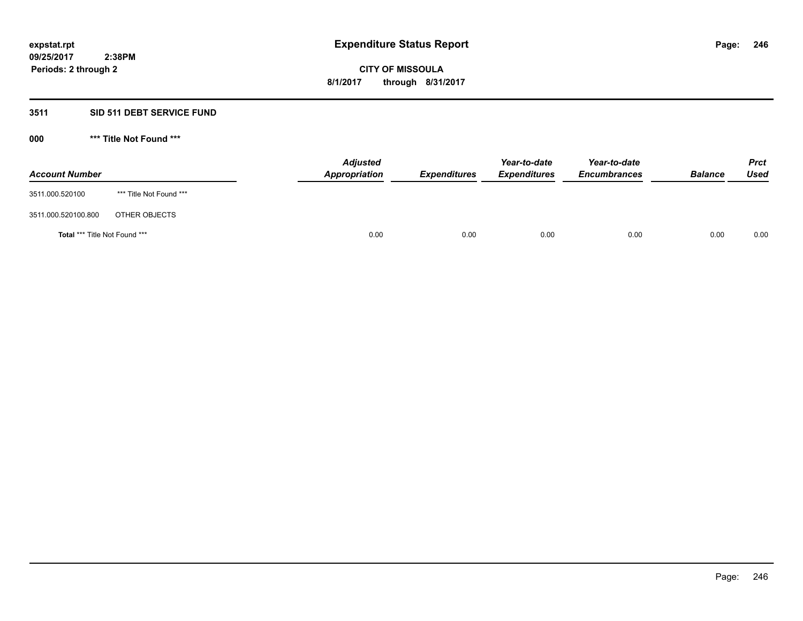# **3511 SID 511 DEBT SERVICE FUND**

| <b>Account Number</b>                |                         | <b>Adjusted</b><br>Appropriation | <b>Expenditures</b> | Year-to-date<br><i><b>Expenditures</b></i> | Year-to-date<br><b>Encumbrances</b> | <b>Balance</b> | <b>Prct</b><br>Used |
|--------------------------------------|-------------------------|----------------------------------|---------------------|--------------------------------------------|-------------------------------------|----------------|---------------------|
| 3511.000.520100                      | *** Title Not Found *** |                                  |                     |                                            |                                     |                |                     |
| 3511.000.520100.800                  | OTHER OBJECTS           |                                  |                     |                                            |                                     |                |                     |
| <b>Total *** Title Not Found ***</b> |                         | 0.00                             | 0.00                | 0.00                                       | 0.00                                | 0.00           | 0.00                |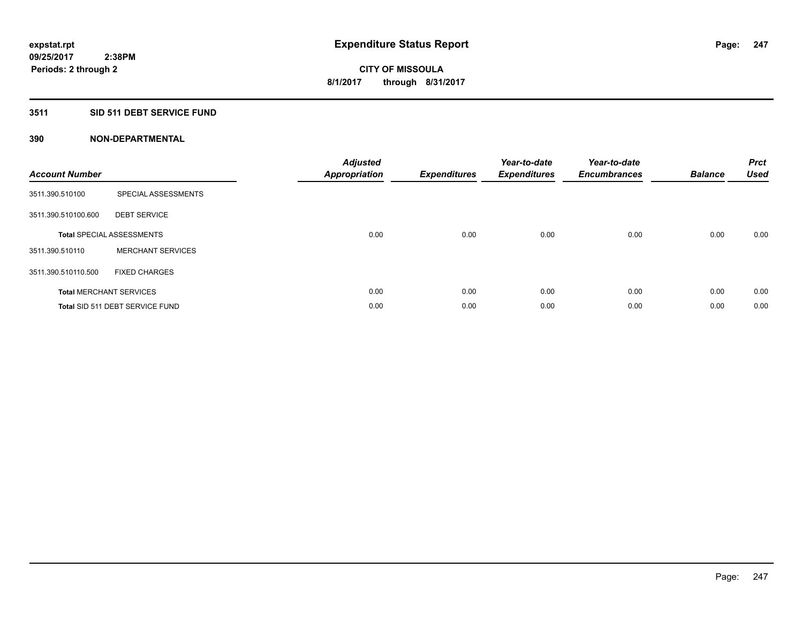## **3511 SID 511 DEBT SERVICE FUND**

| <b>Account Number</b> |                                  | <b>Adjusted</b><br><b>Appropriation</b> | <b>Expenditures</b> | Year-to-date<br><b>Expenditures</b> | Year-to-date<br><b>Encumbrances</b> | <b>Balance</b> | <b>Prct</b><br><b>Used</b> |
|-----------------------|----------------------------------|-----------------------------------------|---------------------|-------------------------------------|-------------------------------------|----------------|----------------------------|
| 3511.390.510100       | SPECIAL ASSESSMENTS              |                                         |                     |                                     |                                     |                |                            |
| 3511.390.510100.600   | <b>DEBT SERVICE</b>              |                                         |                     |                                     |                                     |                |                            |
|                       | <b>Total SPECIAL ASSESSMENTS</b> | 0.00                                    | 0.00                | 0.00                                | 0.00                                | 0.00           | 0.00                       |
| 3511.390.510110       | <b>MERCHANT SERVICES</b>         |                                         |                     |                                     |                                     |                |                            |
| 3511.390.510110.500   | <b>FIXED CHARGES</b>             |                                         |                     |                                     |                                     |                |                            |
|                       | <b>Total MERCHANT SERVICES</b>   | 0.00                                    | 0.00                | 0.00                                | 0.00                                | 0.00           | 0.00                       |
|                       | Total SID 511 DEBT SERVICE FUND  | 0.00                                    | 0.00                | 0.00                                | 0.00                                | 0.00           | 0.00                       |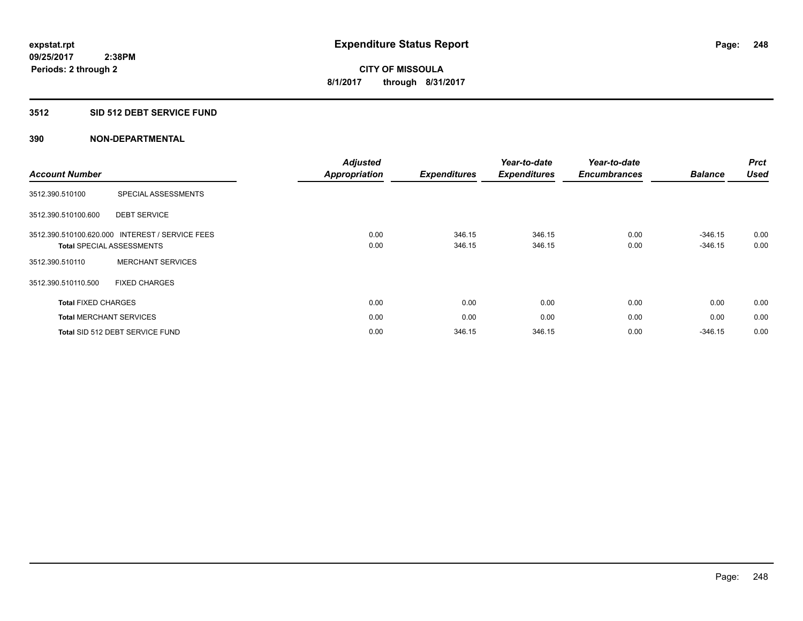### **3512 SID 512 DEBT SERVICE FUND**

| <b>Account Number</b>      |                                                                    | <b>Adjusted</b><br><b>Appropriation</b> | <b>Expenditures</b> | Year-to-date<br><b>Expenditures</b> | Year-to-date<br><b>Encumbrances</b> | <b>Balance</b>         | <b>Prct</b><br><b>Used</b> |
|----------------------------|--------------------------------------------------------------------|-----------------------------------------|---------------------|-------------------------------------|-------------------------------------|------------------------|----------------------------|
| 3512.390.510100            | SPECIAL ASSESSMENTS                                                |                                         |                     |                                     |                                     |                        |                            |
| 3512.390.510100.600        | <b>DEBT SERVICE</b>                                                |                                         |                     |                                     |                                     |                        |                            |
| 3512.390.510100.620.000    | <b>INTEREST / SERVICE FEES</b><br><b>Total SPECIAL ASSESSMENTS</b> | 0.00<br>0.00                            | 346.15<br>346.15    | 346.15<br>346.15                    | 0.00<br>0.00                        | $-346.15$<br>$-346.15$ | 0.00<br>0.00               |
| 3512.390.510110            | <b>MERCHANT SERVICES</b>                                           |                                         |                     |                                     |                                     |                        |                            |
| 3512.390.510110.500        | <b>FIXED CHARGES</b>                                               |                                         |                     |                                     |                                     |                        |                            |
| <b>Total FIXED CHARGES</b> |                                                                    | 0.00                                    | 0.00                | 0.00                                | 0.00                                | 0.00                   | 0.00                       |
|                            | <b>Total MERCHANT SERVICES</b>                                     | 0.00                                    | 0.00                | 0.00                                | 0.00                                | 0.00                   | 0.00                       |
|                            | Total SID 512 DEBT SERVICE FUND                                    | 0.00                                    | 346.15              | 346.15                              | 0.00                                | $-346.15$              | 0.00                       |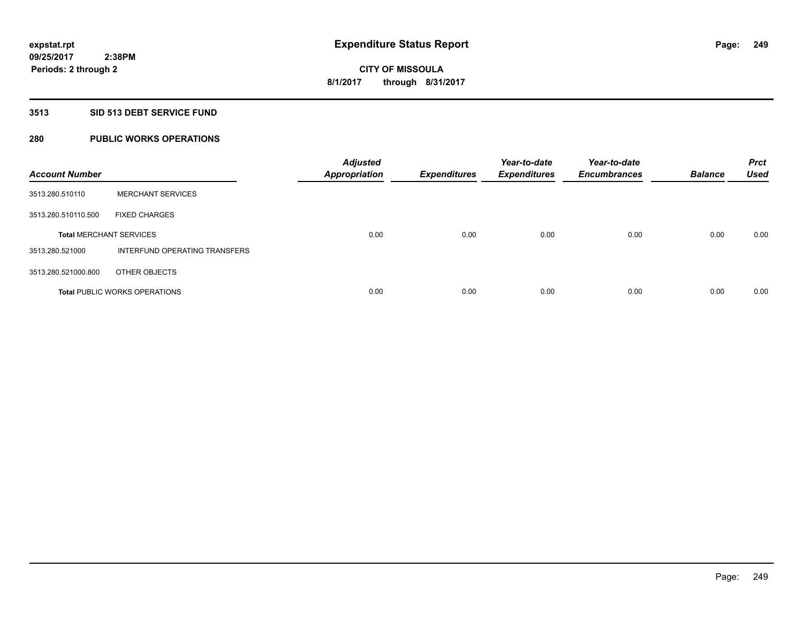### **3513 SID 513 DEBT SERVICE FUND**

# **280 PUBLIC WORKS OPERATIONS**

| <b>Account Number</b>          |                                      | <b>Adjusted</b><br><b>Appropriation</b> | <b>Expenditures</b> | Year-to-date<br><b>Expenditures</b> | Year-to-date<br><b>Encumbrances</b> | <b>Balance</b> | <b>Prct</b><br><b>Used</b> |
|--------------------------------|--------------------------------------|-----------------------------------------|---------------------|-------------------------------------|-------------------------------------|----------------|----------------------------|
| 3513.280.510110                | <b>MERCHANT SERVICES</b>             |                                         |                     |                                     |                                     |                |                            |
| 3513.280.510110.500            | <b>FIXED CHARGES</b>                 |                                         |                     |                                     |                                     |                |                            |
| <b>Total MERCHANT SERVICES</b> |                                      | 0.00                                    | 0.00                | 0.00                                | 0.00                                | 0.00           | 0.00                       |
| 3513.280.521000                | INTERFUND OPERATING TRANSFERS        |                                         |                     |                                     |                                     |                |                            |
| 3513.280.521000.800            | OTHER OBJECTS                        |                                         |                     |                                     |                                     |                |                            |
|                                | <b>Total PUBLIC WORKS OPERATIONS</b> | 0.00                                    | 0.00                | 0.00                                | 0.00                                | 0.00           | 0.00                       |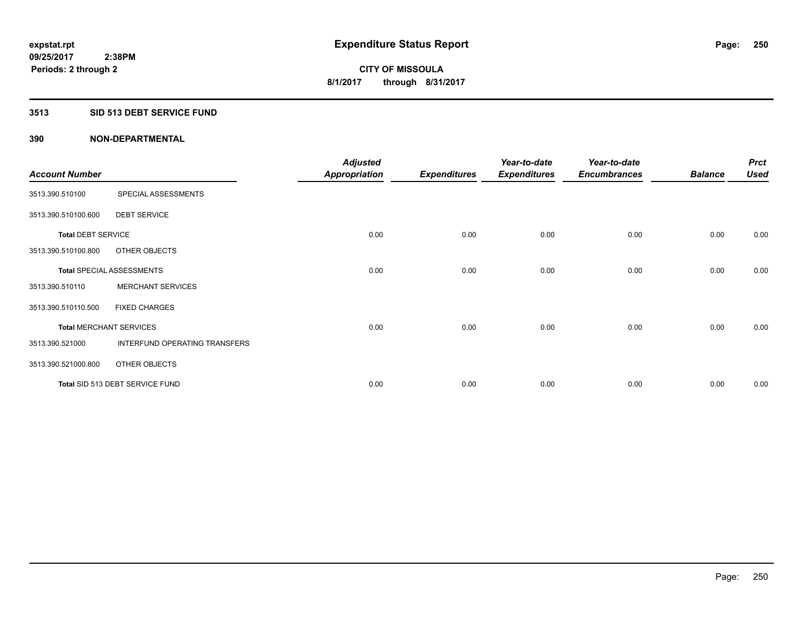### **3513 SID 513 DEBT SERVICE FUND**

| <b>Account Number</b>     |                                  | <b>Adjusted</b><br><b>Appropriation</b> | <b>Expenditures</b> | Year-to-date<br><b>Expenditures</b> | Year-to-date<br><b>Encumbrances</b> | <b>Balance</b> | <b>Prct</b><br><b>Used</b> |
|---------------------------|----------------------------------|-----------------------------------------|---------------------|-------------------------------------|-------------------------------------|----------------|----------------------------|
| 3513.390.510100           | SPECIAL ASSESSMENTS              |                                         |                     |                                     |                                     |                |                            |
| 3513.390.510100.600       | <b>DEBT SERVICE</b>              |                                         |                     |                                     |                                     |                |                            |
| <b>Total DEBT SERVICE</b> |                                  | 0.00                                    | 0.00                | 0.00                                | 0.00                                | 0.00           | 0.00                       |
| 3513.390.510100.800       | OTHER OBJECTS                    |                                         |                     |                                     |                                     |                |                            |
|                           | <b>Total SPECIAL ASSESSMENTS</b> | 0.00                                    | 0.00                | 0.00                                | 0.00                                | 0.00           | 0.00                       |
| 3513.390.510110           | <b>MERCHANT SERVICES</b>         |                                         |                     |                                     |                                     |                |                            |
| 3513.390.510110.500       | <b>FIXED CHARGES</b>             |                                         |                     |                                     |                                     |                |                            |
|                           | <b>Total MERCHANT SERVICES</b>   | 0.00                                    | 0.00                | 0.00                                | 0.00                                | 0.00           | 0.00                       |
| 3513.390.521000           | INTERFUND OPERATING TRANSFERS    |                                         |                     |                                     |                                     |                |                            |
| 3513.390.521000.800       | OTHER OBJECTS                    |                                         |                     |                                     |                                     |                |                            |
|                           | Total SID 513 DEBT SERVICE FUND  | 0.00                                    | 0.00                | 0.00                                | 0.00                                | 0.00           | 0.00                       |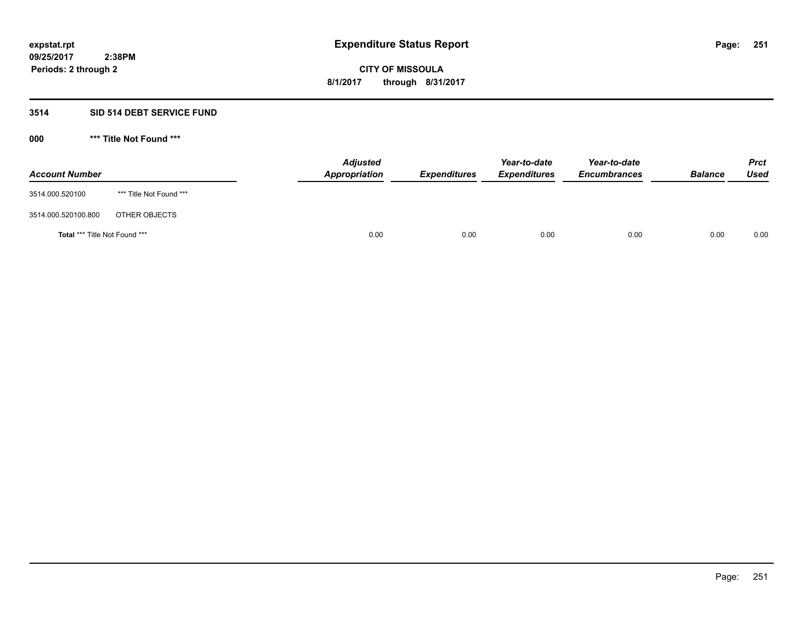## **3514 SID 514 DEBT SERVICE FUND**

| <b>Account Number</b>                |                         | <b>Adjusted</b><br>Appropriation | <b>Expenditures</b> | Year-to-date<br><b>Expenditures</b> | Year-to-date<br><b>Encumbrances</b> | <b>Balance</b> | <b>Prct</b><br>Used |
|--------------------------------------|-------------------------|----------------------------------|---------------------|-------------------------------------|-------------------------------------|----------------|---------------------|
| 3514.000.520100                      | *** Title Not Found *** |                                  |                     |                                     |                                     |                |                     |
| 3514.000.520100.800                  | OTHER OBJECTS           |                                  |                     |                                     |                                     |                |                     |
| <b>Total *** Title Not Found ***</b> |                         | 0.00                             | 0.00                | 0.00                                | 0.00                                | 0.00           | 0.00                |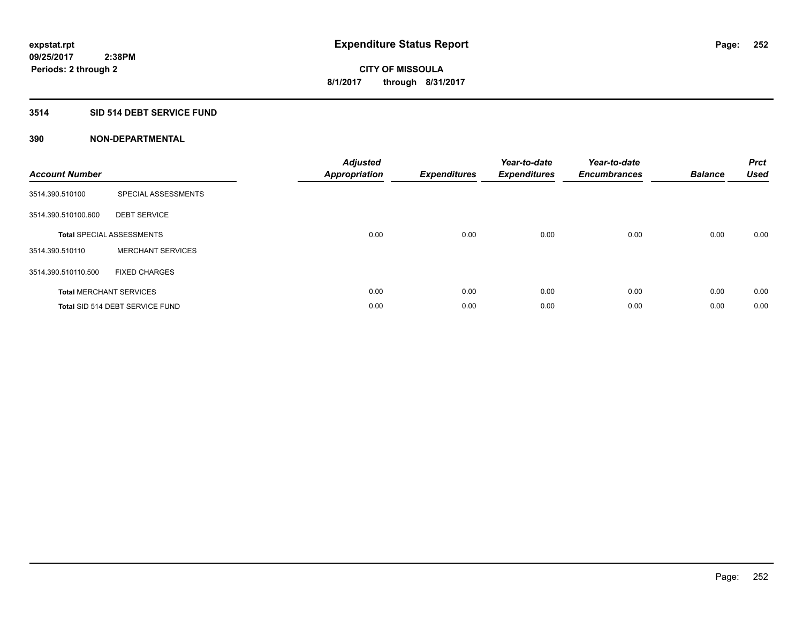## **3514 SID 514 DEBT SERVICE FUND**

| <b>Account Number</b> |                                  | <b>Adjusted</b><br><b>Appropriation</b> | <b>Expenditures</b> | Year-to-date<br><b>Expenditures</b> | Year-to-date<br><b>Encumbrances</b> | <b>Balance</b> | <b>Prct</b><br>Used |
|-----------------------|----------------------------------|-----------------------------------------|---------------------|-------------------------------------|-------------------------------------|----------------|---------------------|
| 3514.390.510100       | SPECIAL ASSESSMENTS              |                                         |                     |                                     |                                     |                |                     |
| 3514.390.510100.600   | <b>DEBT SERVICE</b>              |                                         |                     |                                     |                                     |                |                     |
|                       | <b>Total SPECIAL ASSESSMENTS</b> | 0.00                                    | 0.00                | 0.00                                | 0.00                                | 0.00           | 0.00                |
| 3514.390.510110       | <b>MERCHANT SERVICES</b>         |                                         |                     |                                     |                                     |                |                     |
| 3514.390.510110.500   | <b>FIXED CHARGES</b>             |                                         |                     |                                     |                                     |                |                     |
|                       | <b>Total MERCHANT SERVICES</b>   | 0.00                                    | 0.00                | 0.00                                | 0.00                                | 0.00           | 0.00                |
|                       | Total SID 514 DEBT SERVICE FUND  | 0.00                                    | 0.00                | 0.00                                | 0.00                                | 0.00           | 0.00                |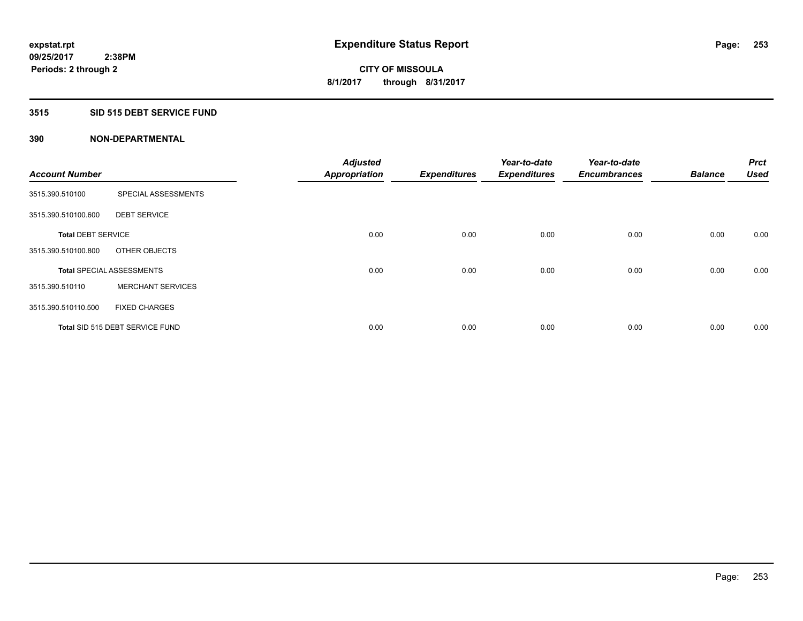#### **3515 SID 515 DEBT SERVICE FUND**

| <b>Account Number</b>     |                                  | <b>Adjusted</b>      |                     | Year-to-date        | Year-to-date<br><b>Encumbrances</b> | <b>Balance</b> | <b>Prct</b><br><b>Used</b> |
|---------------------------|----------------------------------|----------------------|---------------------|---------------------|-------------------------------------|----------------|----------------------------|
|                           |                                  | <b>Appropriation</b> | <b>Expenditures</b> | <b>Expenditures</b> |                                     |                |                            |
| 3515.390.510100           | SPECIAL ASSESSMENTS              |                      |                     |                     |                                     |                |                            |
| 3515.390.510100.600       | <b>DEBT SERVICE</b>              |                      |                     |                     |                                     |                |                            |
| <b>Total DEBT SERVICE</b> |                                  | 0.00                 | 0.00                | 0.00                | 0.00                                | 0.00           | 0.00                       |
| 3515.390.510100.800       | OTHER OBJECTS                    |                      |                     |                     |                                     |                |                            |
|                           | <b>Total SPECIAL ASSESSMENTS</b> | 0.00                 | 0.00                | 0.00                | 0.00                                | 0.00           | 0.00                       |
| 3515.390.510110           | <b>MERCHANT SERVICES</b>         |                      |                     |                     |                                     |                |                            |
| 3515.390.510110.500       | <b>FIXED CHARGES</b>             |                      |                     |                     |                                     |                |                            |
|                           | Total SID 515 DEBT SERVICE FUND  | 0.00                 | 0.00                | 0.00                | 0.00                                | 0.00           | 0.00                       |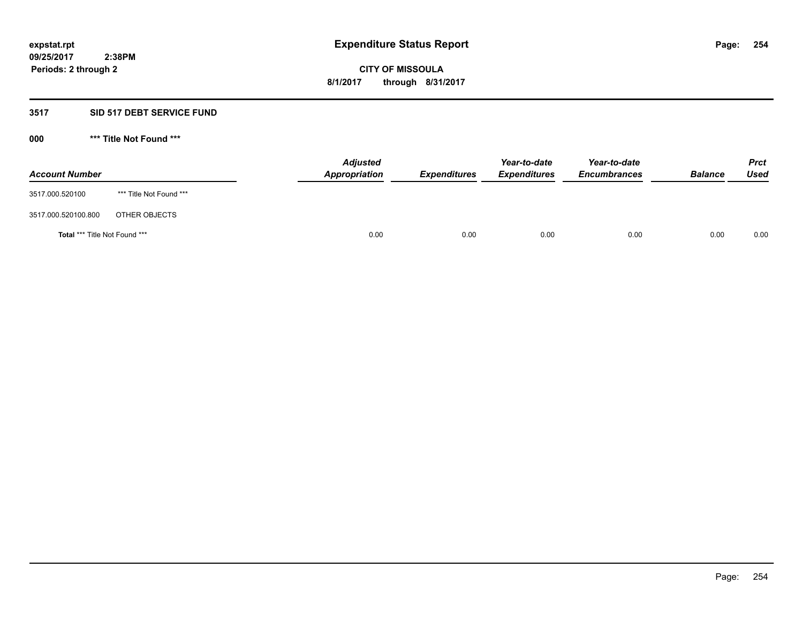#### **3517 SID 517 DEBT SERVICE FUND**

**000 \*\*\* Title Not Found \*\*\***

| <b>Account Number</b>                |                         | <b>Adjusted</b><br>Appropriation | <b>Expenditures</b> | Year-to-date<br><b>Expenditures</b> | Year-to-date<br><b>Encumbrances</b> | <b>Balance</b> | <b>Prct</b><br>Used |
|--------------------------------------|-------------------------|----------------------------------|---------------------|-------------------------------------|-------------------------------------|----------------|---------------------|
| 3517.000.520100                      | *** Title Not Found *** |                                  |                     |                                     |                                     |                |                     |
| 3517.000.520100.800                  | OTHER OBJECTS           |                                  |                     |                                     |                                     |                |                     |
| <b>Total *** Title Not Found ***</b> |                         | 0.00                             | 0.00                | 0.00                                | 0.00                                | 0.00           | 0.00                |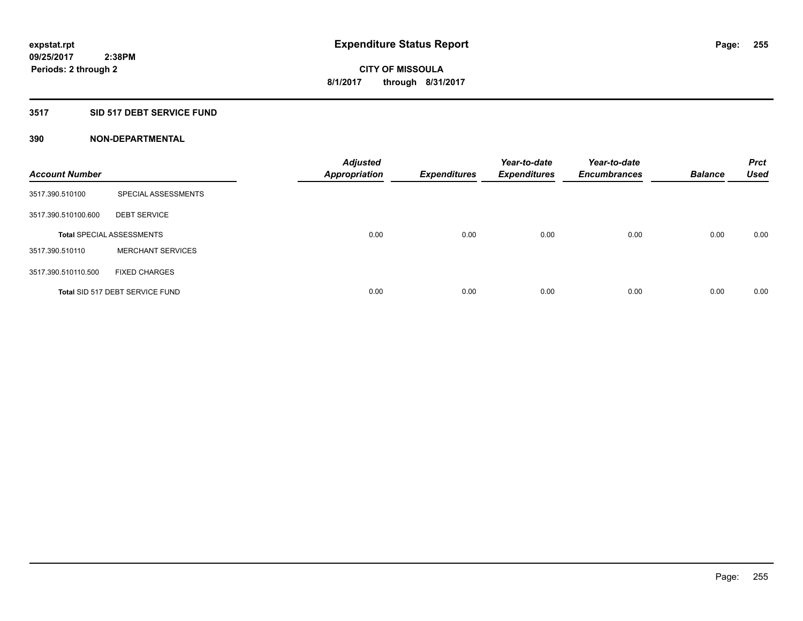#### **3517 SID 517 DEBT SERVICE FUND**

| <b>Account Number</b> |                                  | <b>Adjusted</b><br><b>Appropriation</b> | <b>Expenditures</b> | Year-to-date<br><b>Expenditures</b> | Year-to-date<br><b>Encumbrances</b> | <b>Balance</b> | <b>Prct</b><br><b>Used</b> |
|-----------------------|----------------------------------|-----------------------------------------|---------------------|-------------------------------------|-------------------------------------|----------------|----------------------------|
| 3517.390.510100       | SPECIAL ASSESSMENTS              |                                         |                     |                                     |                                     |                |                            |
| 3517.390.510100.600   | <b>DEBT SERVICE</b>              |                                         |                     |                                     |                                     |                |                            |
|                       | <b>Total SPECIAL ASSESSMENTS</b> | 0.00                                    | 0.00                | 0.00                                | 0.00                                | 0.00           | 0.00                       |
| 3517.390.510110       | <b>MERCHANT SERVICES</b>         |                                         |                     |                                     |                                     |                |                            |
| 3517.390.510110.500   | <b>FIXED CHARGES</b>             |                                         |                     |                                     |                                     |                |                            |
|                       | Total SID 517 DEBT SERVICE FUND  | 0.00                                    | 0.00                | 0.00                                | 0.00                                | 0.00           | 0.00                       |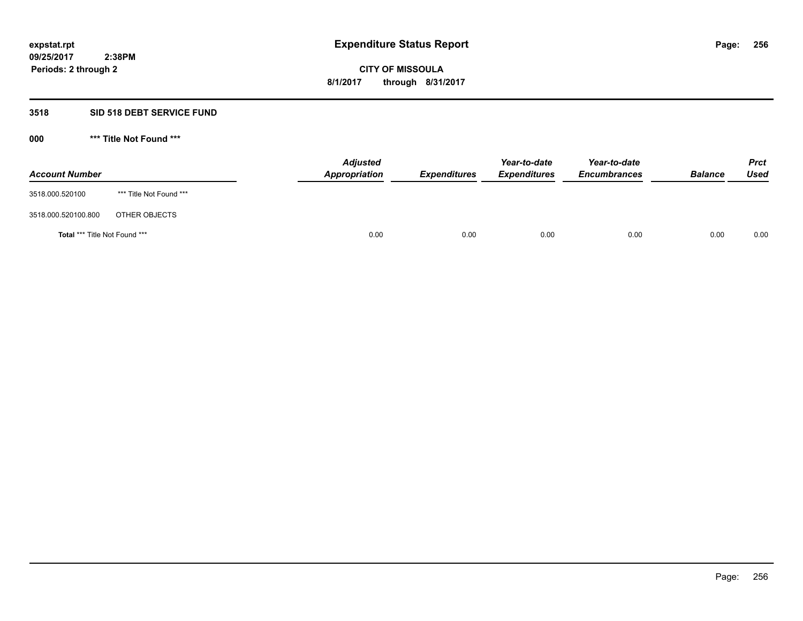#### **3518 SID 518 DEBT SERVICE FUND**

**000 \*\*\* Title Not Found \*\*\***

| <b>Account Number</b>                |                         | <b>Adjusted</b><br>Appropriation | <b>Expenditures</b> | Year-to-date<br><b>Expenditures</b> | Year-to-date<br><b>Encumbrances</b> | <b>Balance</b> | <b>Prct</b><br>Used |
|--------------------------------------|-------------------------|----------------------------------|---------------------|-------------------------------------|-------------------------------------|----------------|---------------------|
| 3518.000.520100                      | *** Title Not Found *** |                                  |                     |                                     |                                     |                |                     |
| 3518.000.520100.800                  | OTHER OBJECTS           |                                  |                     |                                     |                                     |                |                     |
| <b>Total *** Title Not Found ***</b> |                         | 0.00                             | 0.00                | 0.00                                | 0.00                                | 0.00           | 0.00                |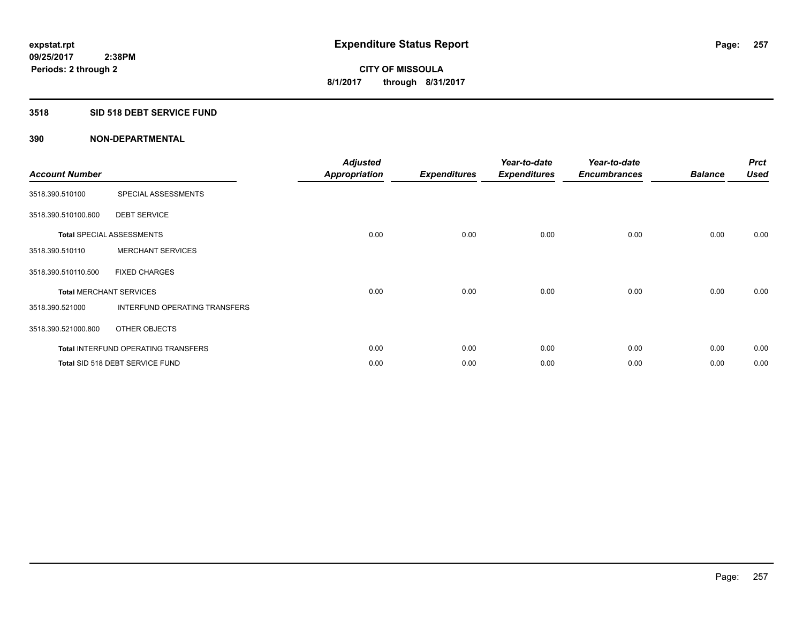#### **3518 SID 518 DEBT SERVICE FUND**

| <b>Account Number</b>          |                                            | <b>Adjusted</b><br>Appropriation | <b>Expenditures</b> | Year-to-date<br><b>Expenditures</b> | Year-to-date<br><b>Encumbrances</b> | <b>Balance</b> | <b>Prct</b><br><b>Used</b> |
|--------------------------------|--------------------------------------------|----------------------------------|---------------------|-------------------------------------|-------------------------------------|----------------|----------------------------|
| 3518.390.510100                | SPECIAL ASSESSMENTS                        |                                  |                     |                                     |                                     |                |                            |
| 3518.390.510100.600            | <b>DEBT SERVICE</b>                        |                                  |                     |                                     |                                     |                |                            |
|                                | <b>Total SPECIAL ASSESSMENTS</b>           | 0.00                             | 0.00                | 0.00                                | 0.00                                | 0.00           | 0.00                       |
| 3518.390.510110                | <b>MERCHANT SERVICES</b>                   |                                  |                     |                                     |                                     |                |                            |
| 3518.390.510110.500            | <b>FIXED CHARGES</b>                       |                                  |                     |                                     |                                     |                |                            |
| <b>Total MERCHANT SERVICES</b> |                                            | 0.00                             | 0.00                | 0.00                                | 0.00                                | 0.00           | 0.00                       |
| 3518.390.521000                | <b>INTERFUND OPERATING TRANSFERS</b>       |                                  |                     |                                     |                                     |                |                            |
| 3518.390.521000.800            | OTHER OBJECTS                              |                                  |                     |                                     |                                     |                |                            |
|                                | <b>Total INTERFUND OPERATING TRANSFERS</b> | 0.00                             | 0.00                | 0.00                                | 0.00                                | 0.00           | 0.00                       |
|                                | Total SID 518 DEBT SERVICE FUND            | 0.00                             | 0.00                | 0.00                                | 0.00                                | 0.00           | 0.00                       |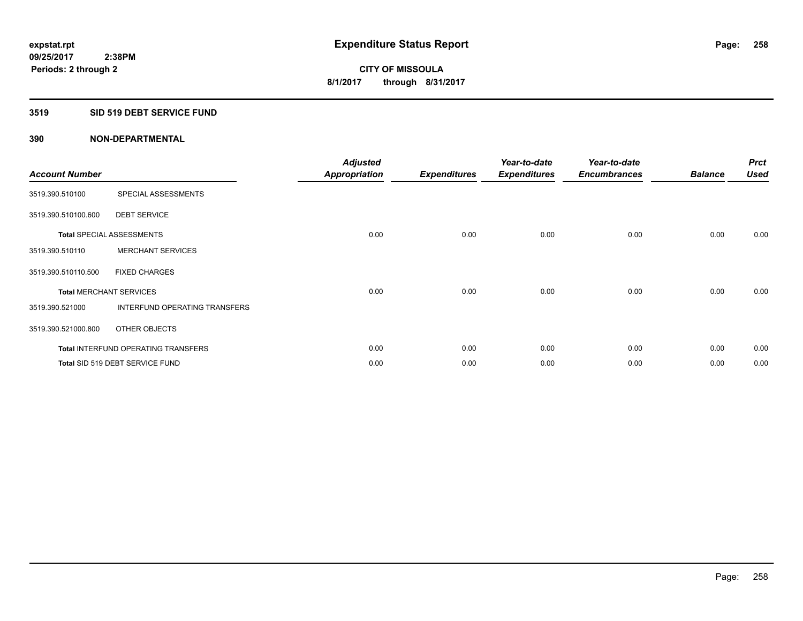#### **3519 SID 519 DEBT SERVICE FUND**

| <b>Account Number</b>          |                                            | <b>Adjusted</b><br><b>Appropriation</b> | <b>Expenditures</b> | Year-to-date<br><b>Expenditures</b> | Year-to-date<br><b>Encumbrances</b> | <b>Balance</b> | <b>Prct</b><br><b>Used</b> |
|--------------------------------|--------------------------------------------|-----------------------------------------|---------------------|-------------------------------------|-------------------------------------|----------------|----------------------------|
| 3519.390.510100                | SPECIAL ASSESSMENTS                        |                                         |                     |                                     |                                     |                |                            |
| 3519.390.510100.600            | <b>DEBT SERVICE</b>                        |                                         |                     |                                     |                                     |                |                            |
|                                | <b>Total SPECIAL ASSESSMENTS</b>           | 0.00                                    | 0.00                | 0.00                                | 0.00                                | 0.00           | 0.00                       |
| 3519.390.510110                | <b>MERCHANT SERVICES</b>                   |                                         |                     |                                     |                                     |                |                            |
| 3519.390.510110.500            | <b>FIXED CHARGES</b>                       |                                         |                     |                                     |                                     |                |                            |
| <b>Total MERCHANT SERVICES</b> |                                            | 0.00                                    | 0.00                | 0.00                                | 0.00                                | 0.00           | 0.00                       |
| 3519.390.521000                | INTERFUND OPERATING TRANSFERS              |                                         |                     |                                     |                                     |                |                            |
| 3519.390.521000.800            | OTHER OBJECTS                              |                                         |                     |                                     |                                     |                |                            |
|                                | <b>Total INTERFUND OPERATING TRANSFERS</b> | 0.00                                    | 0.00                | 0.00                                | 0.00                                | 0.00           | 0.00                       |
|                                | Total SID 519 DEBT SERVICE FUND            | 0.00                                    | 0.00                | 0.00                                | 0.00                                | 0.00           | 0.00                       |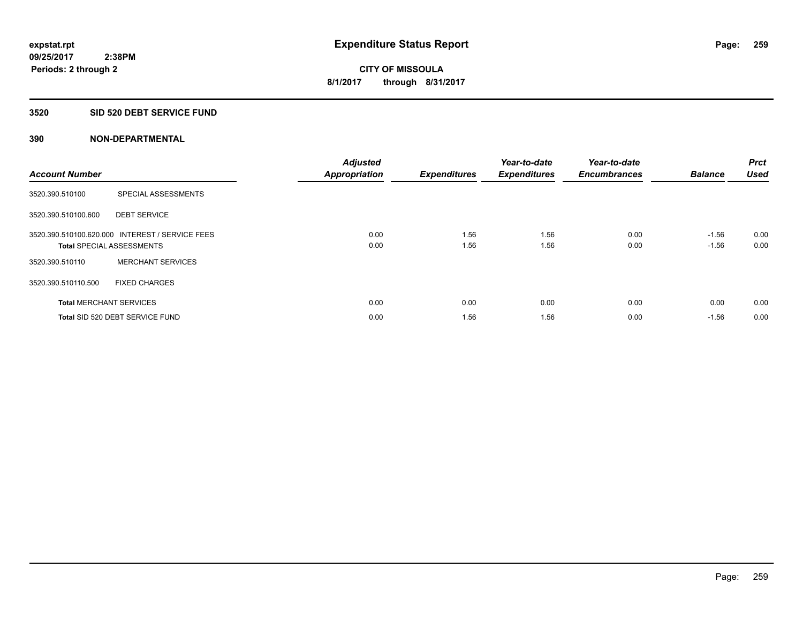#### **3520 SID 520 DEBT SERVICE FUND**

| <b>Account Number</b> |                                                                                     | <b>Adjusted</b><br><b>Appropriation</b> | <b>Expenditures</b> | Year-to-date<br><b>Expenditures</b> | Year-to-date<br><b>Encumbrances</b> | <b>Balance</b>     | <b>Prct</b><br><b>Used</b> |
|-----------------------|-------------------------------------------------------------------------------------|-----------------------------------------|---------------------|-------------------------------------|-------------------------------------|--------------------|----------------------------|
| 3520.390.510100       | SPECIAL ASSESSMENTS                                                                 |                                         |                     |                                     |                                     |                    |                            |
| 3520.390.510100.600   | <b>DEBT SERVICE</b>                                                                 |                                         |                     |                                     |                                     |                    |                            |
|                       | 3520.390.510100.620.000 INTEREST / SERVICE FEES<br><b>Total SPECIAL ASSESSMENTS</b> | 0.00<br>0.00                            | 1.56<br>1.56        | 1.56<br>1.56                        | 0.00<br>0.00                        | $-1.56$<br>$-1.56$ | 0.00<br>0.00               |
| 3520.390.510110       | <b>MERCHANT SERVICES</b>                                                            |                                         |                     |                                     |                                     |                    |                            |
| 3520.390.510110.500   | <b>FIXED CHARGES</b>                                                                |                                         |                     |                                     |                                     |                    |                            |
|                       | <b>Total MERCHANT SERVICES</b>                                                      | 0.00                                    | 0.00                | 0.00                                | 0.00                                | 0.00               | 0.00                       |
|                       | Total SID 520 DEBT SERVICE FUND                                                     | 0.00                                    | 1.56                | 1.56                                | 0.00                                | $-1.56$            | 0.00                       |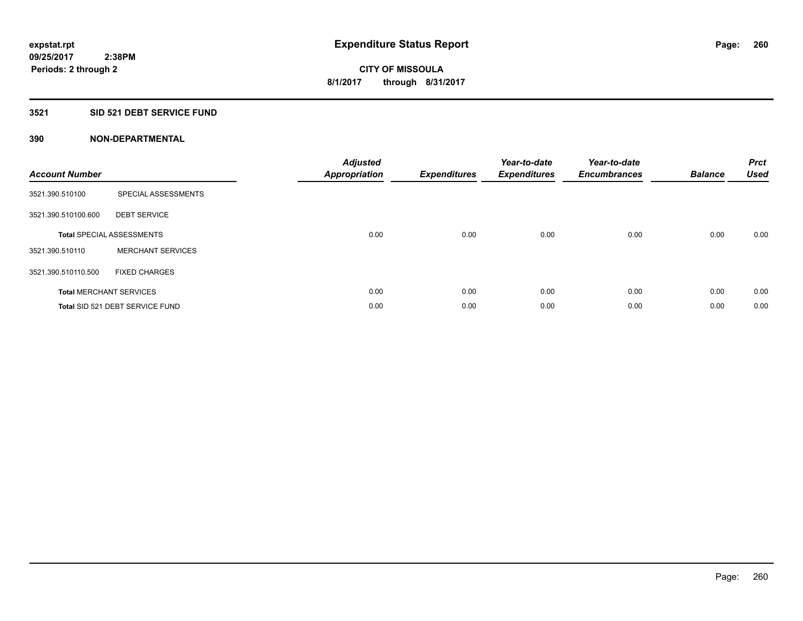## **3521 SID 521 DEBT SERVICE FUND**

| <b>Account Number</b> |                                  | <b>Adjusted</b><br><b>Appropriation</b> | <b>Expenditures</b> | Year-to-date<br><b>Expenditures</b> | Year-to-date<br><b>Encumbrances</b> | <b>Balance</b> | <b>Prct</b><br><b>Used</b> |
|-----------------------|----------------------------------|-----------------------------------------|---------------------|-------------------------------------|-------------------------------------|----------------|----------------------------|
| 3521.390.510100       | SPECIAL ASSESSMENTS              |                                         |                     |                                     |                                     |                |                            |
| 3521.390.510100.600   | <b>DEBT SERVICE</b>              |                                         |                     |                                     |                                     |                |                            |
|                       | <b>Total SPECIAL ASSESSMENTS</b> | 0.00                                    | 0.00                | 0.00                                | 0.00                                | 0.00           | 0.00                       |
| 3521.390.510110       | <b>MERCHANT SERVICES</b>         |                                         |                     |                                     |                                     |                |                            |
| 3521.390.510110.500   | <b>FIXED CHARGES</b>             |                                         |                     |                                     |                                     |                |                            |
|                       | <b>Total MERCHANT SERVICES</b>   | 0.00                                    | 0.00                | 0.00                                | 0.00                                | 0.00           | 0.00                       |
|                       | Total SID 521 DEBT SERVICE FUND  | 0.00                                    | 0.00                | 0.00                                | 0.00                                | 0.00           | 0.00                       |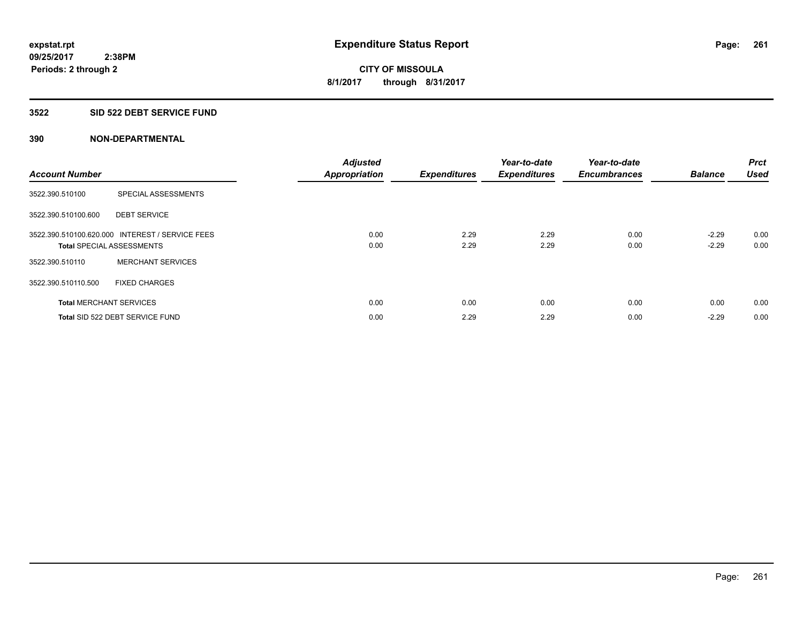#### **3522 SID 522 DEBT SERVICE FUND**

| <b>Account Number</b> |                                                                                     | <b>Adjusted</b><br><b>Appropriation</b> | <b>Expenditures</b> | Year-to-date<br><b>Expenditures</b> | Year-to-date<br><b>Encumbrances</b> | <b>Balance</b>     | <b>Prct</b><br><b>Used</b> |
|-----------------------|-------------------------------------------------------------------------------------|-----------------------------------------|---------------------|-------------------------------------|-------------------------------------|--------------------|----------------------------|
| 3522.390.510100       | SPECIAL ASSESSMENTS                                                                 |                                         |                     |                                     |                                     |                    |                            |
| 3522.390.510100.600   | <b>DEBT SERVICE</b>                                                                 |                                         |                     |                                     |                                     |                    |                            |
|                       | 3522.390.510100.620.000 INTEREST / SERVICE FEES<br><b>Total SPECIAL ASSESSMENTS</b> | 0.00<br>0.00                            | 2.29<br>2.29        | 2.29<br>2.29                        | 0.00<br>0.00                        | $-2.29$<br>$-2.29$ | 0.00<br>0.00               |
| 3522.390.510110       | <b>MERCHANT SERVICES</b>                                                            |                                         |                     |                                     |                                     |                    |                            |
| 3522.390.510110.500   | <b>FIXED CHARGES</b>                                                                |                                         |                     |                                     |                                     |                    |                            |
|                       | <b>Total MERCHANT SERVICES</b>                                                      | 0.00                                    | 0.00                | 0.00                                | 0.00                                | 0.00               | 0.00                       |
|                       | Total SID 522 DEBT SERVICE FUND                                                     | 0.00                                    | 2.29                | 2.29                                | 0.00                                | $-2.29$            | 0.00                       |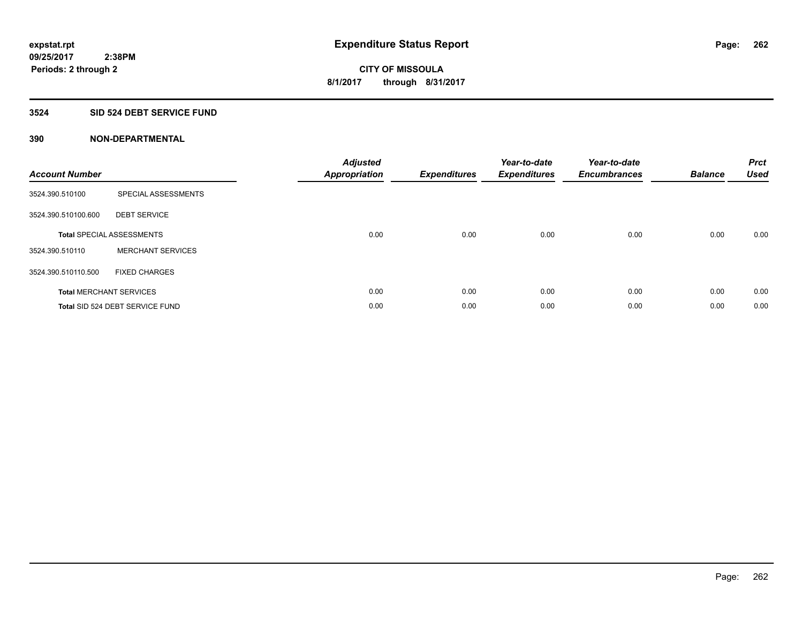## **3524 SID 524 DEBT SERVICE FUND**

| <b>Account Number</b> |                                  | <b>Adjusted</b><br><b>Appropriation</b> | <b>Expenditures</b> | Year-to-date<br><b>Expenditures</b> | Year-to-date<br><b>Encumbrances</b> | <b>Balance</b> | <b>Prct</b><br><b>Used</b> |
|-----------------------|----------------------------------|-----------------------------------------|---------------------|-------------------------------------|-------------------------------------|----------------|----------------------------|
| 3524.390.510100       | SPECIAL ASSESSMENTS              |                                         |                     |                                     |                                     |                |                            |
| 3524.390.510100.600   | <b>DEBT SERVICE</b>              |                                         |                     |                                     |                                     |                |                            |
|                       | <b>Total SPECIAL ASSESSMENTS</b> | 0.00                                    | 0.00                | 0.00                                | 0.00                                | 0.00           | 0.00                       |
| 3524.390.510110       | <b>MERCHANT SERVICES</b>         |                                         |                     |                                     |                                     |                |                            |
| 3524.390.510110.500   | <b>FIXED CHARGES</b>             |                                         |                     |                                     |                                     |                |                            |
|                       | <b>Total MERCHANT SERVICES</b>   | 0.00                                    | 0.00                | 0.00                                | 0.00                                | 0.00           | 0.00                       |
|                       | Total SID 524 DEBT SERVICE FUND  | 0.00                                    | 0.00                | 0.00                                | 0.00                                | 0.00           | 0.00                       |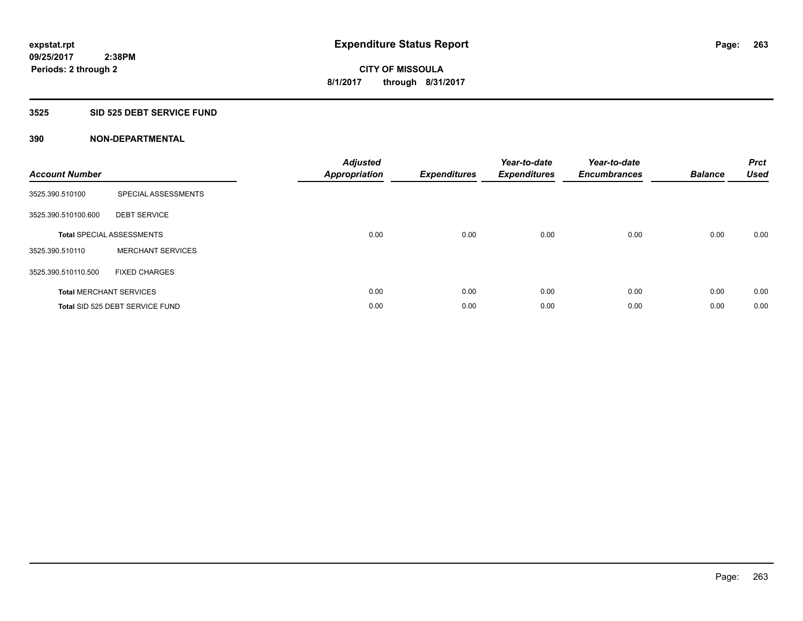#### **3525 SID 525 DEBT SERVICE FUND**

| <b>Account Number</b> |                                  | <b>Adjusted</b><br>Appropriation | <b>Expenditures</b> | Year-to-date<br><b>Expenditures</b> | Year-to-date<br><b>Encumbrances</b> | <b>Balance</b> | <b>Prct</b><br><b>Used</b> |
|-----------------------|----------------------------------|----------------------------------|---------------------|-------------------------------------|-------------------------------------|----------------|----------------------------|
| 3525.390.510100       | SPECIAL ASSESSMENTS              |                                  |                     |                                     |                                     |                |                            |
| 3525.390.510100.600   | <b>DEBT SERVICE</b>              |                                  |                     |                                     |                                     |                |                            |
|                       | <b>Total SPECIAL ASSESSMENTS</b> | 0.00                             | 0.00                | 0.00                                | 0.00                                | 0.00           | 0.00                       |
| 3525.390.510110       | <b>MERCHANT SERVICES</b>         |                                  |                     |                                     |                                     |                |                            |
| 3525.390.510110.500   | <b>FIXED CHARGES</b>             |                                  |                     |                                     |                                     |                |                            |
|                       | <b>Total MERCHANT SERVICES</b>   | 0.00                             | 0.00                | 0.00                                | 0.00                                | 0.00           | 0.00                       |
|                       | Total SID 525 DEBT SERVICE FUND  | 0.00                             | 0.00                | 0.00                                | 0.00                                | 0.00           | 0.00                       |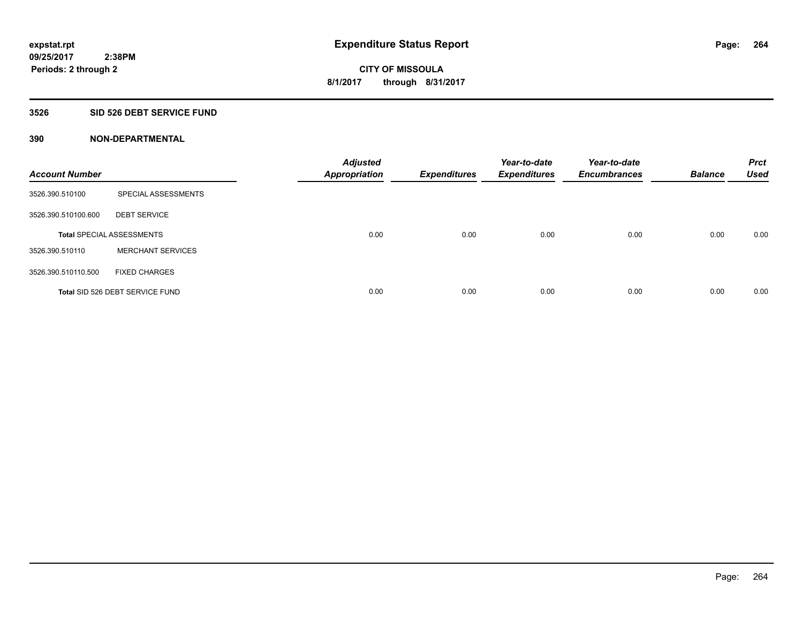#### **3526 SID 526 DEBT SERVICE FUND**

| <b>Account Number</b> |                                  | <b>Adjusted</b><br><b>Appropriation</b> | <b>Expenditures</b> | Year-to-date<br><b>Expenditures</b> | Year-to-date<br><b>Encumbrances</b> | <b>Balance</b> | <b>Prct</b><br><b>Used</b> |
|-----------------------|----------------------------------|-----------------------------------------|---------------------|-------------------------------------|-------------------------------------|----------------|----------------------------|
| 3526.390.510100       | SPECIAL ASSESSMENTS              |                                         |                     |                                     |                                     |                |                            |
| 3526.390.510100.600   | <b>DEBT SERVICE</b>              |                                         |                     |                                     |                                     |                |                            |
|                       | <b>Total SPECIAL ASSESSMENTS</b> | 0.00                                    | 0.00                | 0.00                                | 0.00                                | 0.00           | 0.00                       |
| 3526.390.510110       | <b>MERCHANT SERVICES</b>         |                                         |                     |                                     |                                     |                |                            |
| 3526.390.510110.500   | <b>FIXED CHARGES</b>             |                                         |                     |                                     |                                     |                |                            |
|                       | Total SID 526 DEBT SERVICE FUND  | 0.00                                    | 0.00                | 0.00                                | 0.00                                | 0.00           | 0.00                       |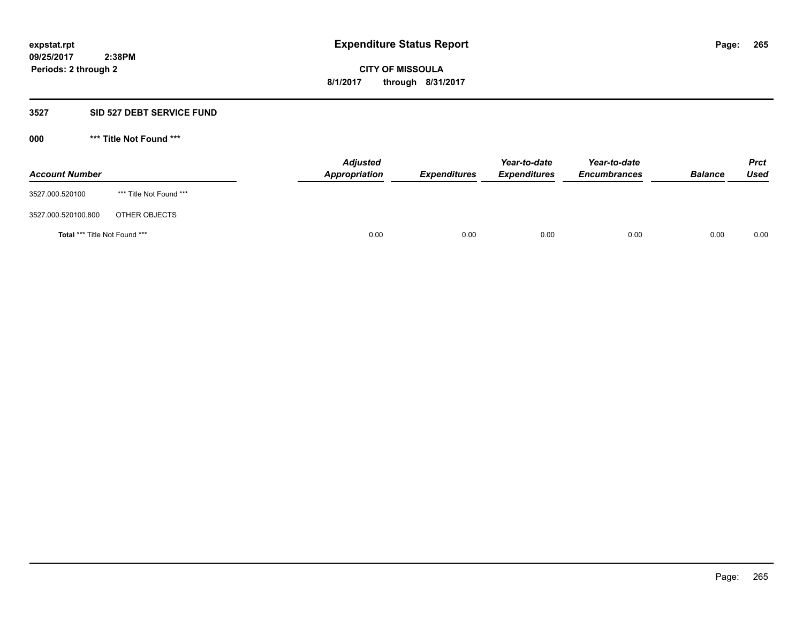#### **3527 SID 527 DEBT SERVICE FUND**

**000 \*\*\* Title Not Found \*\*\***

| <b>Account Number</b>         |                         | <b>Adjusted</b><br>Appropriation | <b>Expenditures</b> | Year-to-date<br><b>Expenditures</b> | Year-to-date<br><b>Encumbrances</b> | <b>Balance</b> | <b>Prct</b><br>Used |
|-------------------------------|-------------------------|----------------------------------|---------------------|-------------------------------------|-------------------------------------|----------------|---------------------|
| 3527.000.520100               | *** Title Not Found *** |                                  |                     |                                     |                                     |                |                     |
| 3527.000.520100.800           | OTHER OBJECTS           |                                  |                     |                                     |                                     |                |                     |
| Total *** Title Not Found *** |                         | 0.00                             | 0.00                | 0.00                                | 0.00                                | 0.00           | 0.00                |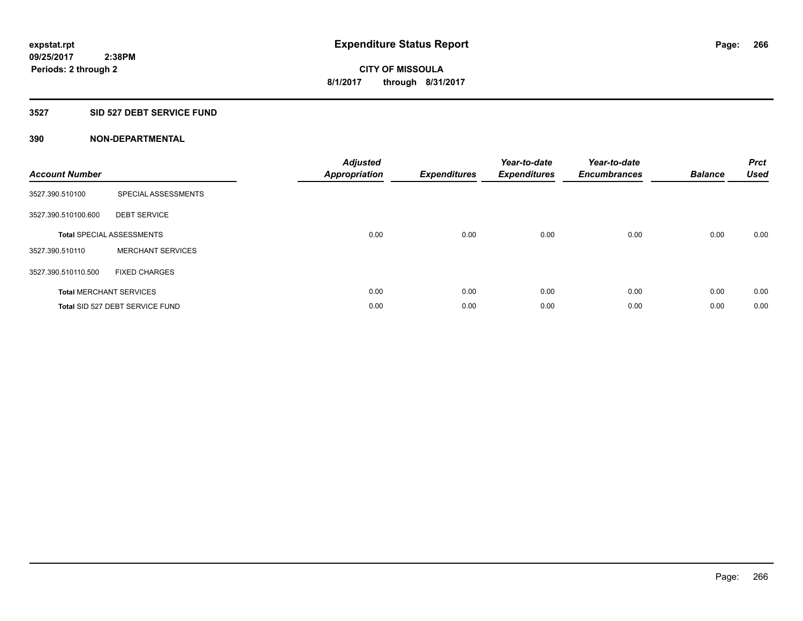#### **3527 SID 527 DEBT SERVICE FUND**

| <b>Account Number</b> |                                  | <b>Adjusted</b><br>Appropriation | <b>Expenditures</b> | Year-to-date<br><b>Expenditures</b> | Year-to-date<br><b>Encumbrances</b> | <b>Balance</b> | <b>Prct</b><br><b>Used</b> |
|-----------------------|----------------------------------|----------------------------------|---------------------|-------------------------------------|-------------------------------------|----------------|----------------------------|
| 3527.390.510100       | SPECIAL ASSESSMENTS              |                                  |                     |                                     |                                     |                |                            |
| 3527.390.510100.600   | <b>DEBT SERVICE</b>              |                                  |                     |                                     |                                     |                |                            |
|                       | <b>Total SPECIAL ASSESSMENTS</b> | 0.00                             | 0.00                | 0.00                                | 0.00                                | 0.00           | 0.00                       |
| 3527.390.510110       | <b>MERCHANT SERVICES</b>         |                                  |                     |                                     |                                     |                |                            |
| 3527.390.510110.500   | <b>FIXED CHARGES</b>             |                                  |                     |                                     |                                     |                |                            |
|                       | <b>Total MERCHANT SERVICES</b>   | 0.00                             | 0.00                | 0.00                                | 0.00                                | 0.00           | 0.00                       |
|                       | Total SID 527 DEBT SERVICE FUND  | 0.00                             | 0.00                | 0.00                                | 0.00                                | 0.00           | 0.00                       |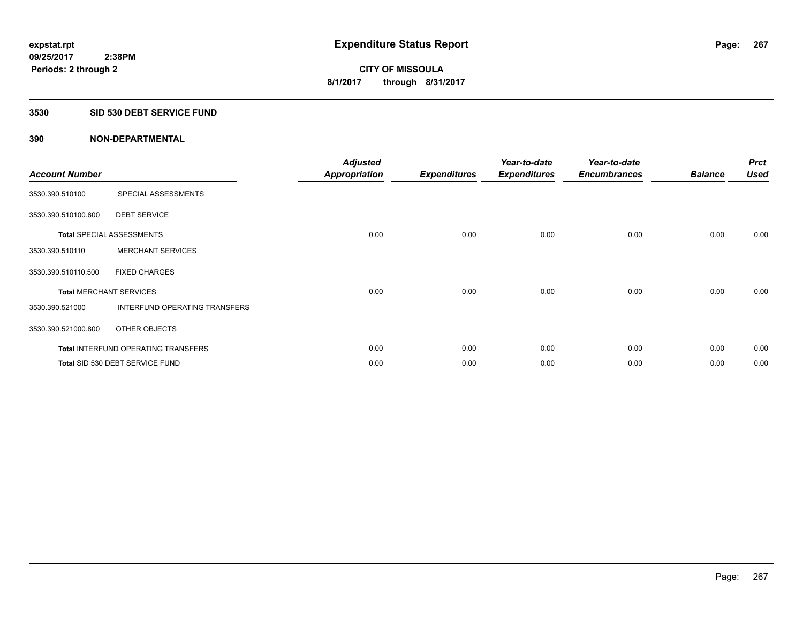#### **3530 SID 530 DEBT SERVICE FUND**

| <b>Account Number</b>          |                                            | <b>Adjusted</b><br><b>Appropriation</b> | <b>Expenditures</b> | Year-to-date<br><b>Expenditures</b> | Year-to-date<br><b>Encumbrances</b> | <b>Balance</b> | <b>Prct</b><br><b>Used</b> |
|--------------------------------|--------------------------------------------|-----------------------------------------|---------------------|-------------------------------------|-------------------------------------|----------------|----------------------------|
| 3530.390.510100                | SPECIAL ASSESSMENTS                        |                                         |                     |                                     |                                     |                |                            |
| 3530.390.510100.600            | <b>DEBT SERVICE</b>                        |                                         |                     |                                     |                                     |                |                            |
|                                | <b>Total SPECIAL ASSESSMENTS</b>           | 0.00                                    | 0.00                | 0.00                                | 0.00                                | 0.00           | 0.00                       |
| 3530.390.510110                | <b>MERCHANT SERVICES</b>                   |                                         |                     |                                     |                                     |                |                            |
| 3530.390.510110.500            | <b>FIXED CHARGES</b>                       |                                         |                     |                                     |                                     |                |                            |
| <b>Total MERCHANT SERVICES</b> |                                            | 0.00                                    | 0.00                | 0.00                                | 0.00                                | 0.00           | 0.00                       |
| 3530.390.521000                | INTERFUND OPERATING TRANSFERS              |                                         |                     |                                     |                                     |                |                            |
| 3530.390.521000.800            | OTHER OBJECTS                              |                                         |                     |                                     |                                     |                |                            |
|                                | <b>Total INTERFUND OPERATING TRANSFERS</b> | 0.00                                    | 0.00                | 0.00                                | 0.00                                | 0.00           | 0.00                       |
|                                | Total SID 530 DEBT SERVICE FUND            | 0.00                                    | 0.00                | 0.00                                | 0.00                                | 0.00           | 0.00                       |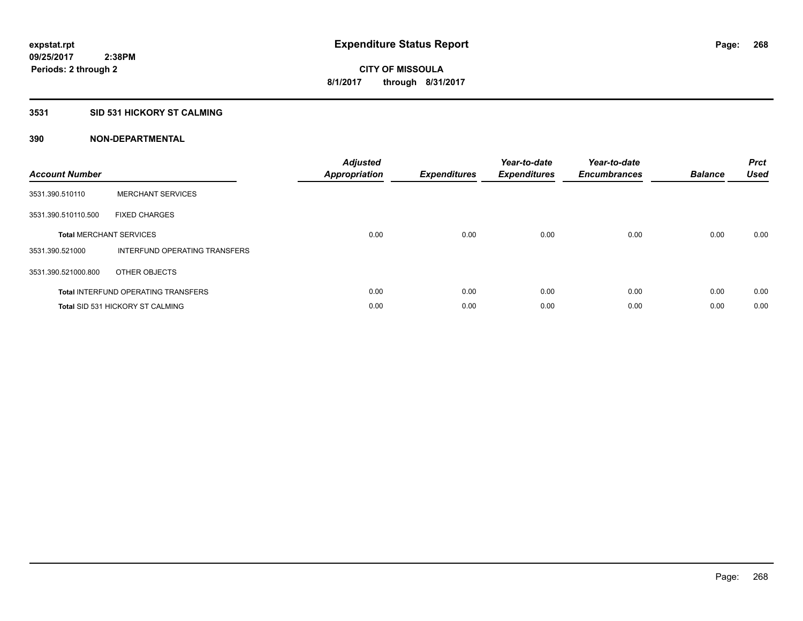#### **3531 SID 531 HICKORY ST CALMING**

| <b>Account Number</b> |                                            | <b>Adjusted</b><br>Appropriation | <b>Expenditures</b> | Year-to-date<br><b>Expenditures</b> | Year-to-date<br><b>Encumbrances</b> | <b>Balance</b> | <b>Prct</b><br><b>Used</b> |
|-----------------------|--------------------------------------------|----------------------------------|---------------------|-------------------------------------|-------------------------------------|----------------|----------------------------|
| 3531.390.510110       | <b>MERCHANT SERVICES</b>                   |                                  |                     |                                     |                                     |                |                            |
| 3531.390.510110.500   | <b>FIXED CHARGES</b>                       |                                  |                     |                                     |                                     |                |                            |
|                       | <b>Total MERCHANT SERVICES</b>             | 0.00                             | 0.00                | 0.00                                | 0.00                                | 0.00           | 0.00                       |
| 3531.390.521000       | INTERFUND OPERATING TRANSFERS              |                                  |                     |                                     |                                     |                |                            |
| 3531.390.521000.800   | OTHER OBJECTS                              |                                  |                     |                                     |                                     |                |                            |
|                       | <b>Total INTERFUND OPERATING TRANSFERS</b> | 0.00                             | 0.00                | 0.00                                | 0.00                                | 0.00           | 0.00                       |
|                       | <b>Total SID 531 HICKORY ST CALMING</b>    | 0.00                             | 0.00                | 0.00                                | 0.00                                | 0.00           | 0.00                       |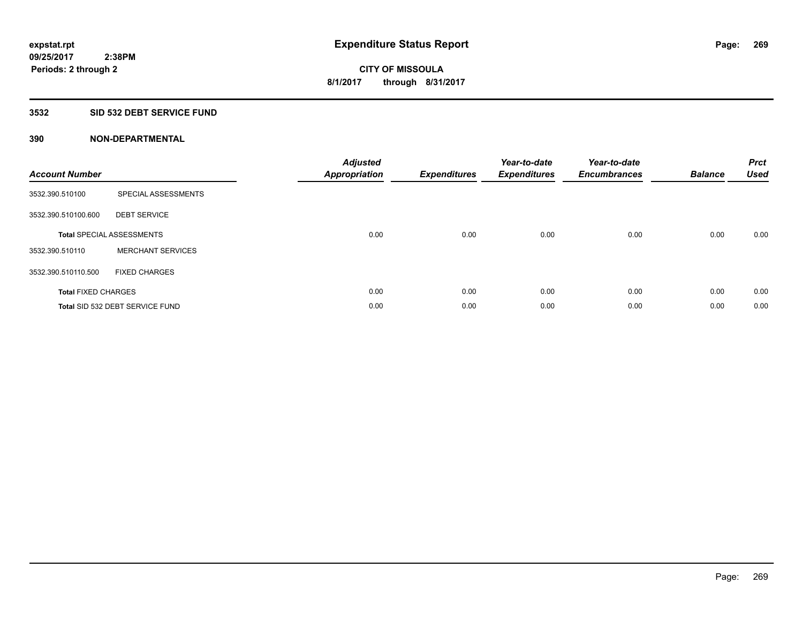#### **3532 SID 532 DEBT SERVICE FUND**

| <b>Account Number</b>      |                                  | <b>Adjusted</b><br>Appropriation | <b>Expenditures</b> | Year-to-date<br><b>Expenditures</b> | Year-to-date<br><b>Encumbrances</b> | <b>Balance</b> | <b>Prct</b><br><b>Used</b> |
|----------------------------|----------------------------------|----------------------------------|---------------------|-------------------------------------|-------------------------------------|----------------|----------------------------|
| 3532.390.510100            | SPECIAL ASSESSMENTS              |                                  |                     |                                     |                                     |                |                            |
| 3532.390.510100.600        | <b>DEBT SERVICE</b>              |                                  |                     |                                     |                                     |                |                            |
|                            | <b>Total SPECIAL ASSESSMENTS</b> | 0.00                             | 0.00                | 0.00                                | 0.00                                | 0.00           | 0.00                       |
| 3532.390.510110            | <b>MERCHANT SERVICES</b>         |                                  |                     |                                     |                                     |                |                            |
| 3532.390.510110.500        | <b>FIXED CHARGES</b>             |                                  |                     |                                     |                                     |                |                            |
| <b>Total FIXED CHARGES</b> |                                  | 0.00                             | 0.00                | 0.00                                | 0.00                                | 0.00           | 0.00                       |
|                            | Total SID 532 DEBT SERVICE FUND  | 0.00                             | 0.00                | 0.00                                | 0.00                                | 0.00           | 0.00                       |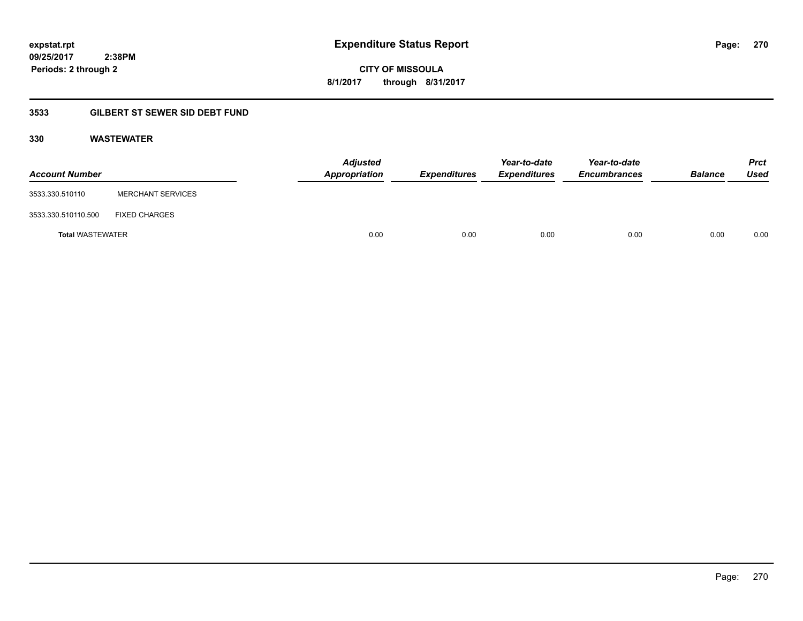## **09/25/2017 2:38PM Periods: 2 through 2**

**CITY OF MISSOULA 8/1/2017 through 8/31/2017**

## **3533 GILBERT ST SEWER SID DEBT FUND**

## **330 WASTEWATER**

| <b>Account Number</b>   |                          | <b>Adjusted</b><br>Appropriation | Expenditures | Year-to-date<br><b>Expenditures</b> | Year-to-date<br><b>Encumbrances</b> | <b>Balance</b> | <b>Prct</b><br>Used |
|-------------------------|--------------------------|----------------------------------|--------------|-------------------------------------|-------------------------------------|----------------|---------------------|
| 3533.330.510110         | <b>MERCHANT SERVICES</b> |                                  |              |                                     |                                     |                |                     |
| 3533.330.510110.500     | <b>FIXED CHARGES</b>     |                                  |              |                                     |                                     |                |                     |
| <b>Total WASTEWATER</b> |                          | 0.00                             | 0.00         | 0.00                                | 0.00                                | 0.00           | 0.00                |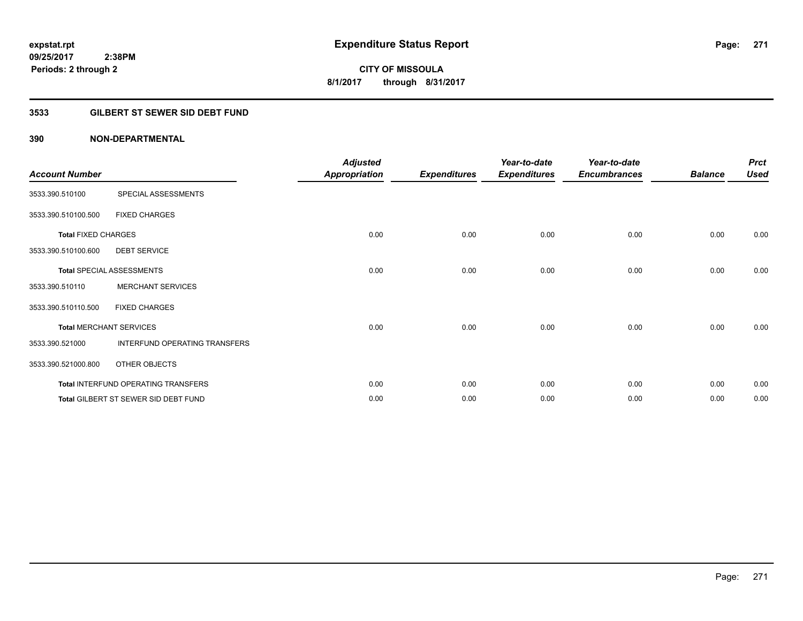## **3533 GILBERT ST SEWER SID DEBT FUND**

| <b>Account Number</b>      |                                      | <b>Adjusted</b><br><b>Appropriation</b> | <b>Expenditures</b> | Year-to-date<br><b>Expenditures</b> | Year-to-date<br><b>Encumbrances</b> | <b>Balance</b> | <b>Prct</b><br><b>Used</b> |
|----------------------------|--------------------------------------|-----------------------------------------|---------------------|-------------------------------------|-------------------------------------|----------------|----------------------------|
| 3533.390.510100            | SPECIAL ASSESSMENTS                  |                                         |                     |                                     |                                     |                |                            |
| 3533.390.510100.500        | <b>FIXED CHARGES</b>                 |                                         |                     |                                     |                                     |                |                            |
| <b>Total FIXED CHARGES</b> |                                      | 0.00                                    | 0.00                | 0.00                                | 0.00                                | 0.00           | 0.00                       |
| 3533.390.510100.600        | <b>DEBT SERVICE</b>                  |                                         |                     |                                     |                                     |                |                            |
|                            | <b>Total SPECIAL ASSESSMENTS</b>     | 0.00                                    | 0.00                | 0.00                                | 0.00                                | 0.00           | 0.00                       |
| 3533.390.510110            | <b>MERCHANT SERVICES</b>             |                                         |                     |                                     |                                     |                |                            |
| 3533.390.510110.500        | <b>FIXED CHARGES</b>                 |                                         |                     |                                     |                                     |                |                            |
|                            | <b>Total MERCHANT SERVICES</b>       | 0.00                                    | 0.00                | 0.00                                | 0.00                                | 0.00           | 0.00                       |
| 3533.390.521000            | INTERFUND OPERATING TRANSFERS        |                                         |                     |                                     |                                     |                |                            |
| 3533.390.521000.800        | OTHER OBJECTS                        |                                         |                     |                                     |                                     |                |                            |
|                            | Total INTERFUND OPERATING TRANSFERS  | 0.00                                    | 0.00                | 0.00                                | 0.00                                | 0.00           | 0.00                       |
|                            | Total GILBERT ST SEWER SID DEBT FUND | 0.00                                    | 0.00                | 0.00                                | 0.00                                | 0.00           | 0.00                       |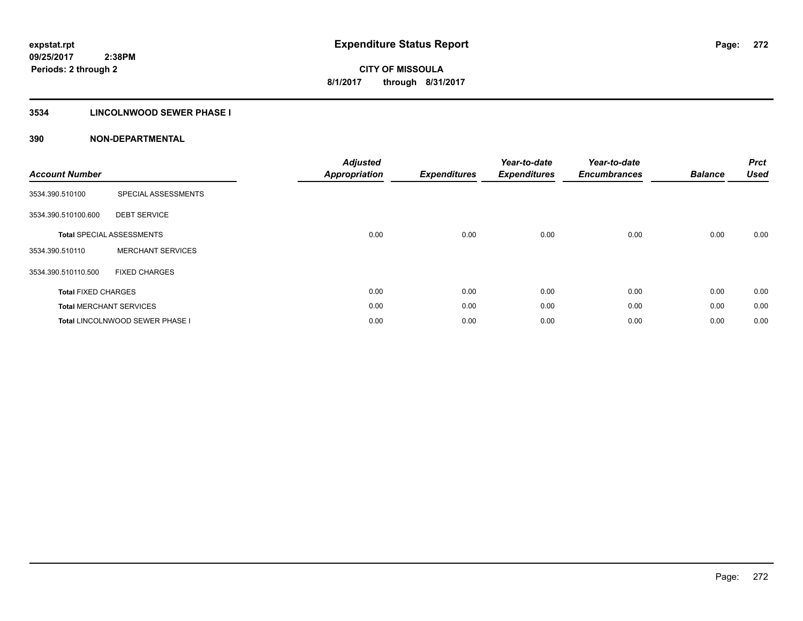## **3534 LINCOLNWOOD SEWER PHASE I**

| <b>Account Number</b>      |                                        | <b>Adjusted</b><br><b>Appropriation</b> | <b>Expenditures</b> | Year-to-date<br><b>Expenditures</b> | Year-to-date<br><b>Encumbrances</b> | <b>Balance</b> | <b>Prct</b><br><b>Used</b> |
|----------------------------|----------------------------------------|-----------------------------------------|---------------------|-------------------------------------|-------------------------------------|----------------|----------------------------|
| 3534.390.510100            | SPECIAL ASSESSMENTS                    |                                         |                     |                                     |                                     |                |                            |
| 3534.390.510100.600        | <b>DEBT SERVICE</b>                    |                                         |                     |                                     |                                     |                |                            |
|                            | <b>Total SPECIAL ASSESSMENTS</b>       | 0.00                                    | 0.00                | 0.00                                | 0.00                                | 0.00           | 0.00                       |
| 3534.390.510110            | <b>MERCHANT SERVICES</b>               |                                         |                     |                                     |                                     |                |                            |
| 3534.390.510110.500        | <b>FIXED CHARGES</b>                   |                                         |                     |                                     |                                     |                |                            |
| <b>Total FIXED CHARGES</b> |                                        | 0.00                                    | 0.00                | 0.00                                | 0.00                                | 0.00           | 0.00                       |
|                            | <b>Total MERCHANT SERVICES</b>         | 0.00                                    | 0.00                | 0.00                                | 0.00                                | 0.00           | 0.00                       |
|                            | <b>Total LINCOLNWOOD SEWER PHASE I</b> | 0.00                                    | 0.00                | 0.00                                | 0.00                                | 0.00           | 0.00                       |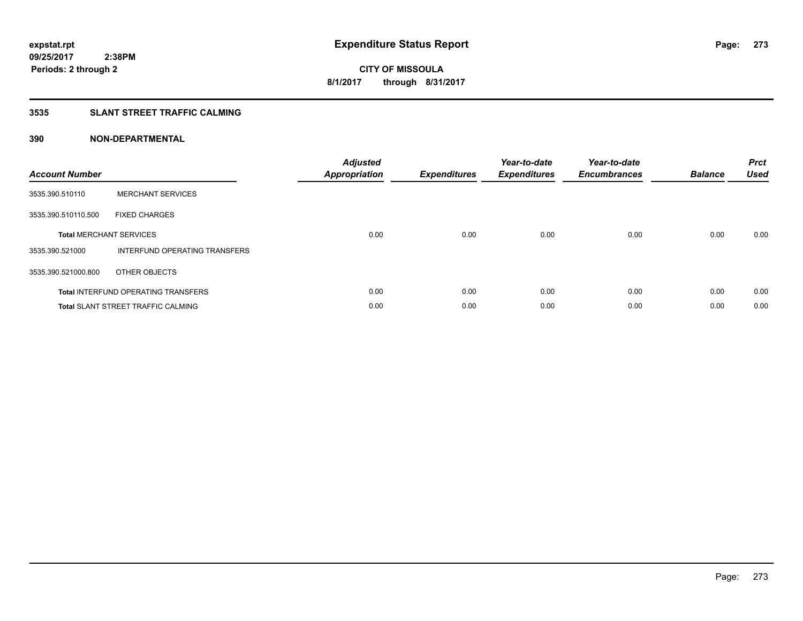## **3535 SLANT STREET TRAFFIC CALMING**

| <b>Account Number</b> |                                            | <b>Adjusted</b><br>Appropriation | <b>Expenditures</b> | Year-to-date<br><b>Expenditures</b> | Year-to-date<br><b>Encumbrances</b> | <b>Balance</b> | <b>Prct</b><br><b>Used</b> |
|-----------------------|--------------------------------------------|----------------------------------|---------------------|-------------------------------------|-------------------------------------|----------------|----------------------------|
| 3535.390.510110       | <b>MERCHANT SERVICES</b>                   |                                  |                     |                                     |                                     |                |                            |
| 3535.390.510110.500   | <b>FIXED CHARGES</b>                       |                                  |                     |                                     |                                     |                |                            |
|                       | <b>Total MERCHANT SERVICES</b>             | 0.00                             | 0.00                | 0.00                                | 0.00                                | 0.00           | 0.00                       |
| 3535.390.521000       | INTERFUND OPERATING TRANSFERS              |                                  |                     |                                     |                                     |                |                            |
| 3535.390.521000.800   | OTHER OBJECTS                              |                                  |                     |                                     |                                     |                |                            |
|                       | <b>Total INTERFUND OPERATING TRANSFERS</b> | 0.00                             | 0.00                | 0.00                                | 0.00                                | 0.00           | 0.00                       |
|                       | <b>Total SLANT STREET TRAFFIC CALMING</b>  | 0.00                             | 0.00                | 0.00                                | 0.00                                | 0.00           | 0.00                       |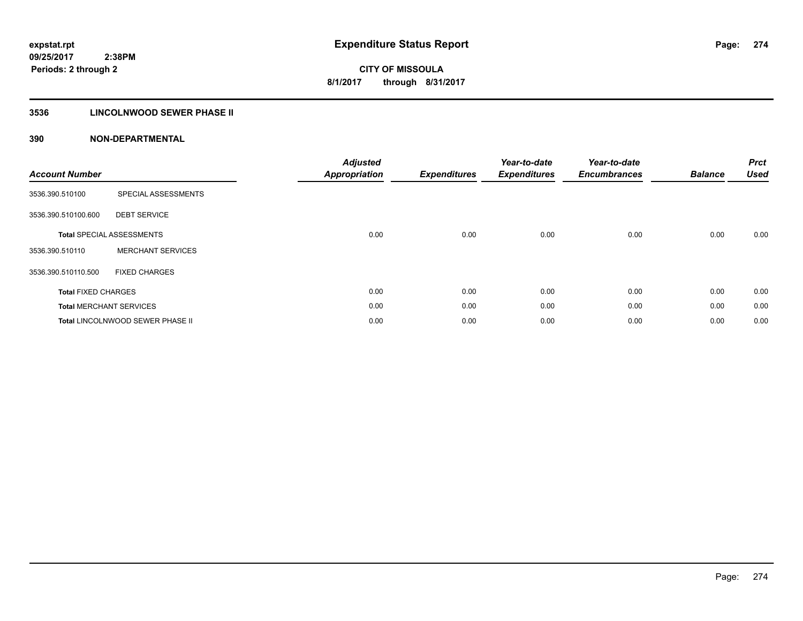## **3536 LINCOLNWOOD SEWER PHASE II**

| <b>Account Number</b>      |                                  | <b>Adjusted</b><br><b>Appropriation</b> | <b>Expenditures</b> | Year-to-date<br><b>Expenditures</b> | Year-to-date<br><b>Encumbrances</b> | <b>Balance</b> | <b>Prct</b><br><b>Used</b> |
|----------------------------|----------------------------------|-----------------------------------------|---------------------|-------------------------------------|-------------------------------------|----------------|----------------------------|
| 3536.390.510100            | SPECIAL ASSESSMENTS              |                                         |                     |                                     |                                     |                |                            |
| 3536.390.510100.600        | <b>DEBT SERVICE</b>              |                                         |                     |                                     |                                     |                |                            |
|                            | <b>Total SPECIAL ASSESSMENTS</b> | 0.00                                    | 0.00                | 0.00                                | 0.00                                | 0.00           | 0.00                       |
| 3536.390.510110            | <b>MERCHANT SERVICES</b>         |                                         |                     |                                     |                                     |                |                            |
| 3536.390.510110.500        | <b>FIXED CHARGES</b>             |                                         |                     |                                     |                                     |                |                            |
| <b>Total FIXED CHARGES</b> |                                  | 0.00                                    | 0.00                | 0.00                                | 0.00                                | 0.00           | 0.00                       |
|                            | <b>Total MERCHANT SERVICES</b>   | 0.00                                    | 0.00                | 0.00                                | 0.00                                | 0.00           | 0.00                       |
|                            | Total LINCOLNWOOD SEWER PHASE II | 0.00                                    | 0.00                | 0.00                                | 0.00                                | 0.00           | 0.00                       |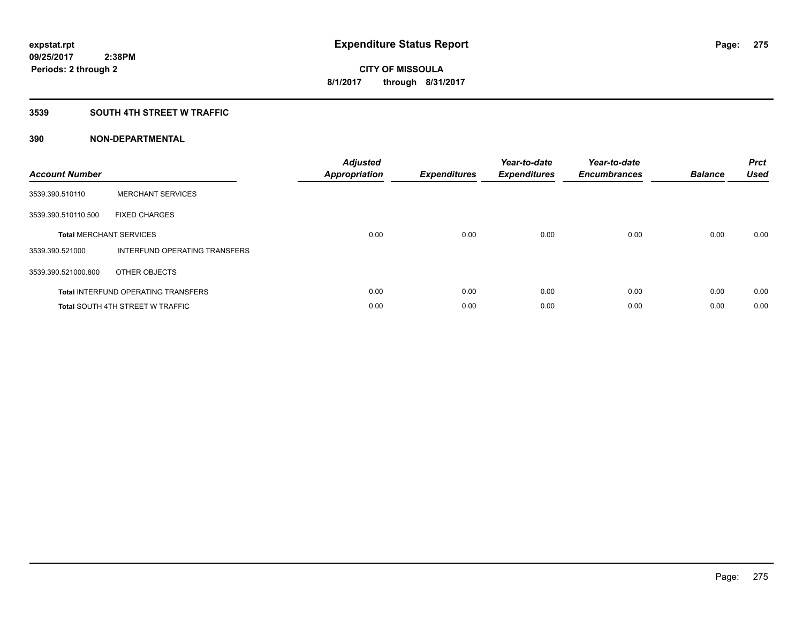## **3539 SOUTH 4TH STREET W TRAFFIC**

| <b>Account Number</b> |                                            | <b>Adjusted</b><br>Appropriation | <b>Expenditures</b> | Year-to-date<br><b>Expenditures</b> | Year-to-date<br><b>Encumbrances</b> | <b>Balance</b> | <b>Prct</b><br><b>Used</b> |
|-----------------------|--------------------------------------------|----------------------------------|---------------------|-------------------------------------|-------------------------------------|----------------|----------------------------|
| 3539.390.510110       | <b>MERCHANT SERVICES</b>                   |                                  |                     |                                     |                                     |                |                            |
| 3539.390.510110.500   | <b>FIXED CHARGES</b>                       |                                  |                     |                                     |                                     |                |                            |
|                       | <b>Total MERCHANT SERVICES</b>             | 0.00                             | 0.00                | 0.00                                | 0.00                                | 0.00           | 0.00                       |
| 3539.390.521000       | INTERFUND OPERATING TRANSFERS              |                                  |                     |                                     |                                     |                |                            |
| 3539.390.521000.800   | OTHER OBJECTS                              |                                  |                     |                                     |                                     |                |                            |
|                       | <b>Total INTERFUND OPERATING TRANSFERS</b> | 0.00                             | 0.00                | 0.00                                | 0.00                                | 0.00           | 0.00                       |
|                       | <b>Total SOUTH 4TH STREET W TRAFFIC</b>    | 0.00                             | 0.00                | 0.00                                | 0.00                                | 0.00           | 0.00                       |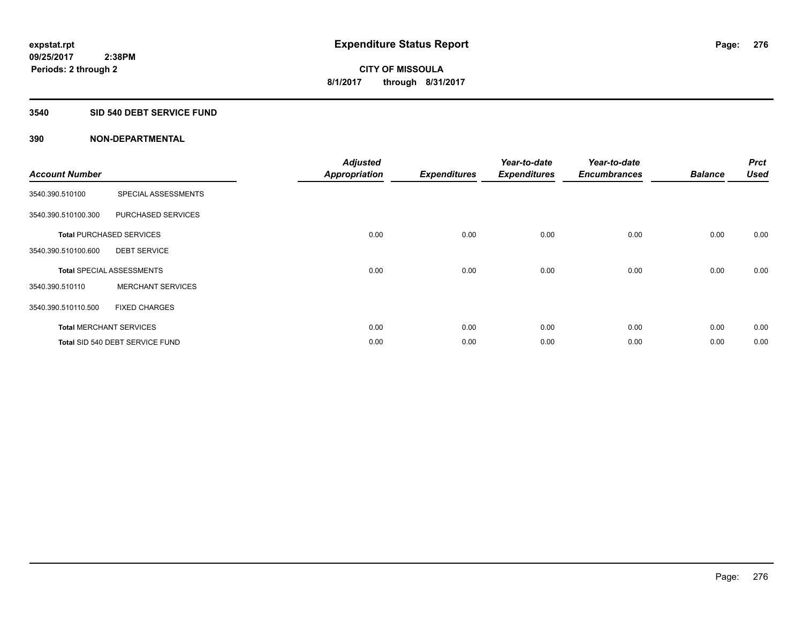#### **3540 SID 540 DEBT SERVICE FUND**

| <b>Account Number</b> |                                  | <b>Adjusted</b><br><b>Appropriation</b> | <b>Expenditures</b> | Year-to-date<br><b>Expenditures</b> | Year-to-date<br><b>Encumbrances</b> | <b>Balance</b> | <b>Prct</b><br><b>Used</b> |
|-----------------------|----------------------------------|-----------------------------------------|---------------------|-------------------------------------|-------------------------------------|----------------|----------------------------|
| 3540.390.510100       | SPECIAL ASSESSMENTS              |                                         |                     |                                     |                                     |                |                            |
| 3540.390.510100.300   | PURCHASED SERVICES               |                                         |                     |                                     |                                     |                |                            |
|                       | <b>Total PURCHASED SERVICES</b>  | 0.00                                    | 0.00                | 0.00                                | 0.00                                | 0.00           | 0.00                       |
| 3540.390.510100.600   | <b>DEBT SERVICE</b>              |                                         |                     |                                     |                                     |                |                            |
|                       | <b>Total SPECIAL ASSESSMENTS</b> | 0.00                                    | 0.00                | 0.00                                | 0.00                                | 0.00           | 0.00                       |
| 3540.390.510110       | <b>MERCHANT SERVICES</b>         |                                         |                     |                                     |                                     |                |                            |
| 3540.390.510110.500   | <b>FIXED CHARGES</b>             |                                         |                     |                                     |                                     |                |                            |
|                       | <b>Total MERCHANT SERVICES</b>   | 0.00                                    | 0.00                | 0.00                                | 0.00                                | 0.00           | 0.00                       |
|                       | Total SID 540 DEBT SERVICE FUND  | 0.00                                    | 0.00                | 0.00                                | 0.00                                | 0.00           | 0.00                       |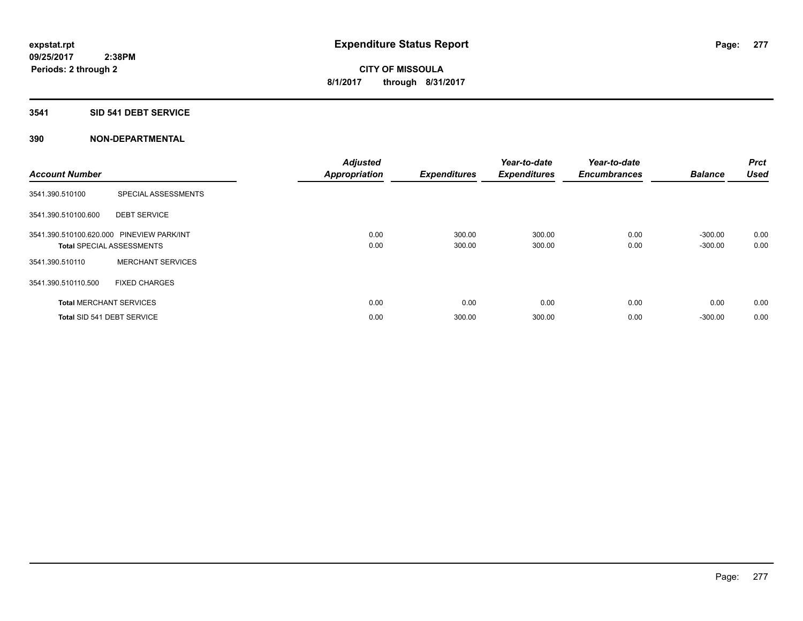## **3541 SID 541 DEBT SERVICE**

| <b>Account Number</b> |                                                                               | <b>Adjusted</b><br><b>Appropriation</b> | <b>Expenditures</b> | Year-to-date<br><b>Expenditures</b> | Year-to-date<br><b>Encumbrances</b> | <b>Balance</b>         | <b>Prct</b><br><b>Used</b> |
|-----------------------|-------------------------------------------------------------------------------|-----------------------------------------|---------------------|-------------------------------------|-------------------------------------|------------------------|----------------------------|
| 3541.390.510100       | SPECIAL ASSESSMENTS                                                           |                                         |                     |                                     |                                     |                        |                            |
| 3541.390.510100.600   | <b>DEBT SERVICE</b>                                                           |                                         |                     |                                     |                                     |                        |                            |
|                       | 3541.390.510100.620.000 PINEVIEW PARK/INT<br><b>Total SPECIAL ASSESSMENTS</b> | 0.00<br>0.00                            | 300.00<br>300.00    | 300.00<br>300.00                    | 0.00<br>0.00                        | $-300.00$<br>$-300.00$ | 0.00<br>0.00               |
| 3541.390.510110       | <b>MERCHANT SERVICES</b>                                                      |                                         |                     |                                     |                                     |                        |                            |
| 3541.390.510110.500   | <b>FIXED CHARGES</b>                                                          |                                         |                     |                                     |                                     |                        |                            |
|                       | <b>Total MERCHANT SERVICES</b>                                                | 0.00                                    | 0.00                | 0.00                                | 0.00                                | 0.00                   | 0.00                       |
|                       | Total SID 541 DEBT SERVICE                                                    | 0.00                                    | 300.00              | 300.00                              | 0.00                                | $-300.00$              | 0.00                       |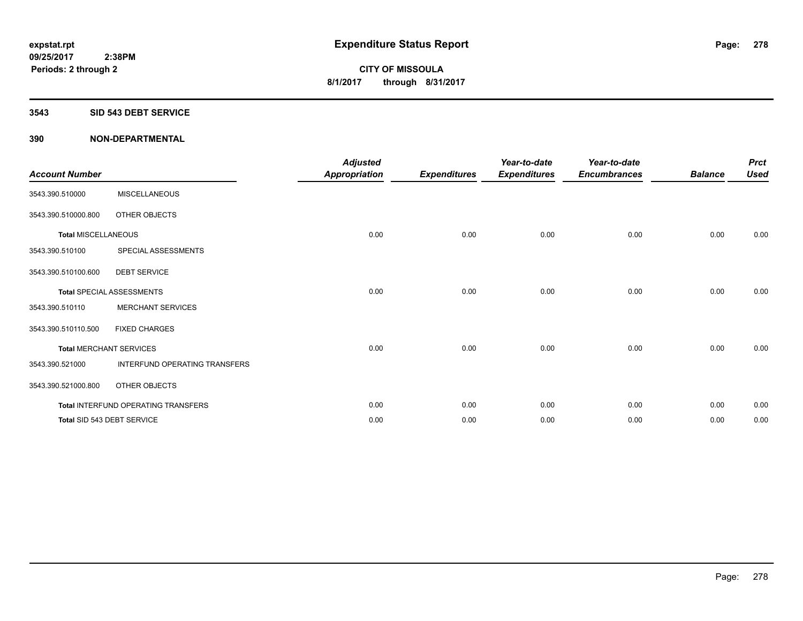#### **3543 SID 543 DEBT SERVICE**

| <b>Account Number</b>      |                                     | <b>Adjusted</b><br><b>Appropriation</b> | <b>Expenditures</b> | Year-to-date<br><b>Expenditures</b> | Year-to-date<br><b>Encumbrances</b> | <b>Balance</b> | <b>Prct</b><br><b>Used</b> |
|----------------------------|-------------------------------------|-----------------------------------------|---------------------|-------------------------------------|-------------------------------------|----------------|----------------------------|
| 3543.390.510000            | <b>MISCELLANEOUS</b>                |                                         |                     |                                     |                                     |                |                            |
| 3543.390.510000.800        | OTHER OBJECTS                       |                                         |                     |                                     |                                     |                |                            |
| <b>Total MISCELLANEOUS</b> |                                     | 0.00                                    | 0.00                | 0.00                                | 0.00                                | 0.00           | 0.00                       |
| 3543.390.510100            | SPECIAL ASSESSMENTS                 |                                         |                     |                                     |                                     |                |                            |
| 3543.390.510100.600        | <b>DEBT SERVICE</b>                 |                                         |                     |                                     |                                     |                |                            |
|                            | <b>Total SPECIAL ASSESSMENTS</b>    | 0.00                                    | 0.00                | 0.00                                | 0.00                                | 0.00           | 0.00                       |
| 3543.390.510110            | <b>MERCHANT SERVICES</b>            |                                         |                     |                                     |                                     |                |                            |
| 3543.390.510110.500        | <b>FIXED CHARGES</b>                |                                         |                     |                                     |                                     |                |                            |
|                            | <b>Total MERCHANT SERVICES</b>      | 0.00                                    | 0.00                | 0.00                                | 0.00                                | 0.00           | 0.00                       |
| 3543.390.521000            | INTERFUND OPERATING TRANSFERS       |                                         |                     |                                     |                                     |                |                            |
| 3543.390.521000.800        | OTHER OBJECTS                       |                                         |                     |                                     |                                     |                |                            |
|                            | Total INTERFUND OPERATING TRANSFERS | 0.00                                    | 0.00                | 0.00                                | 0.00                                | 0.00           | 0.00                       |
|                            | Total SID 543 DEBT SERVICE          | 0.00                                    | 0.00                | 0.00                                | 0.00                                | 0.00           | 0.00                       |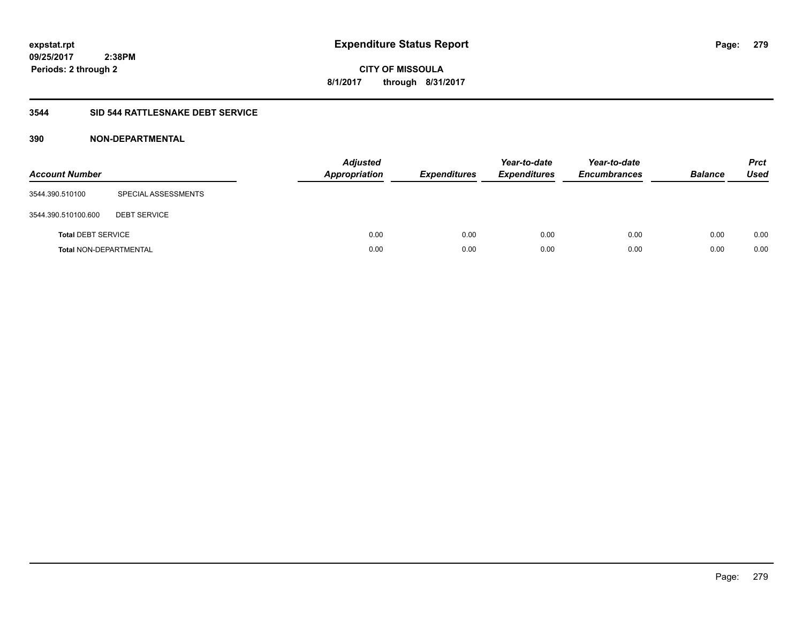**09/25/2017 2:38PM Periods: 2 through 2**

**CITY OF MISSOULA 8/1/2017 through 8/31/2017**

#### **3544 SID 544 RATTLESNAKE DEBT SERVICE**

| <b>Account Number</b>         |                     | <b>Adjusted</b><br><b>Appropriation</b> | <b>Expenditures</b> | Year-to-date<br><b>Expenditures</b> | Year-to-date<br><b>Encumbrances</b> | <b>Balance</b> | <b>Prct</b><br><b>Used</b> |
|-------------------------------|---------------------|-----------------------------------------|---------------------|-------------------------------------|-------------------------------------|----------------|----------------------------|
| 3544.390.510100               | SPECIAL ASSESSMENTS |                                         |                     |                                     |                                     |                |                            |
| 3544.390.510100.600           | <b>DEBT SERVICE</b> |                                         |                     |                                     |                                     |                |                            |
| <b>Total DEBT SERVICE</b>     |                     | 0.00                                    | 0.00                | 0.00                                | 0.00                                | 0.00           | 0.00                       |
| <b>Total NON-DEPARTMENTAL</b> |                     | 0.00                                    | 0.00                | 0.00                                | 0.00                                | 0.00           | 0.00                       |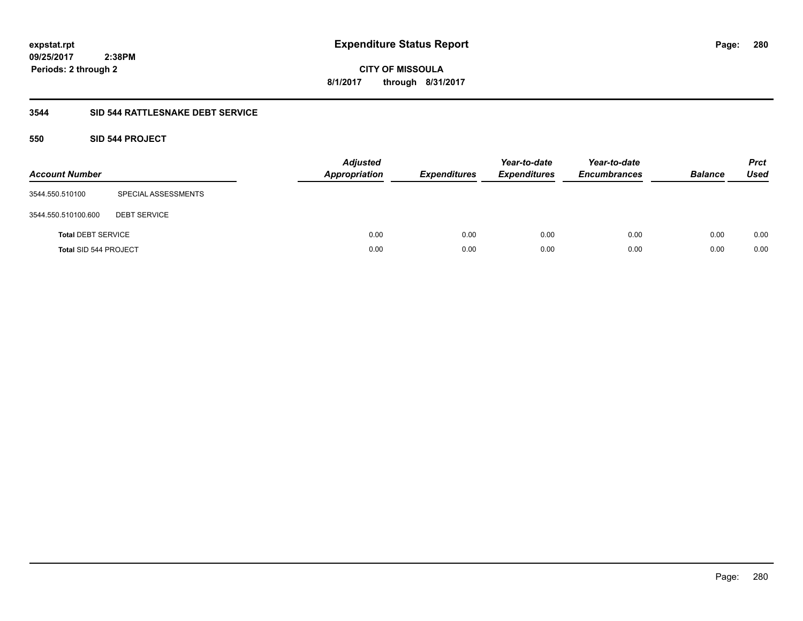**280**

**09/25/2017 2:38PM Periods: 2 through 2**

**CITY OF MISSOULA 8/1/2017 through 8/31/2017**

## **3544 SID 544 RATTLESNAKE DEBT SERVICE**

## **550 SID 544 PROJECT**

| <b>Account Number</b>     |                     | <b>Adjusted</b><br><b>Appropriation</b> | <b>Expenditures</b> | Year-to-date<br><b>Expenditures</b> | Year-to-date<br><b>Encumbrances</b> | <b>Balance</b> | <b>Prct</b><br>Used |
|---------------------------|---------------------|-----------------------------------------|---------------------|-------------------------------------|-------------------------------------|----------------|---------------------|
| 3544.550.510100           | SPECIAL ASSESSMENTS |                                         |                     |                                     |                                     |                |                     |
| 3544.550.510100.600       | <b>DEBT SERVICE</b> |                                         |                     |                                     |                                     |                |                     |
| <b>Total DEBT SERVICE</b> |                     | 0.00                                    | 0.00                | 0.00                                | 0.00                                | 0.00           | 0.00                |
| Total SID 544 PROJECT     |                     | 0.00                                    | 0.00                | 0.00                                | 0.00                                | 0.00           | 0.00                |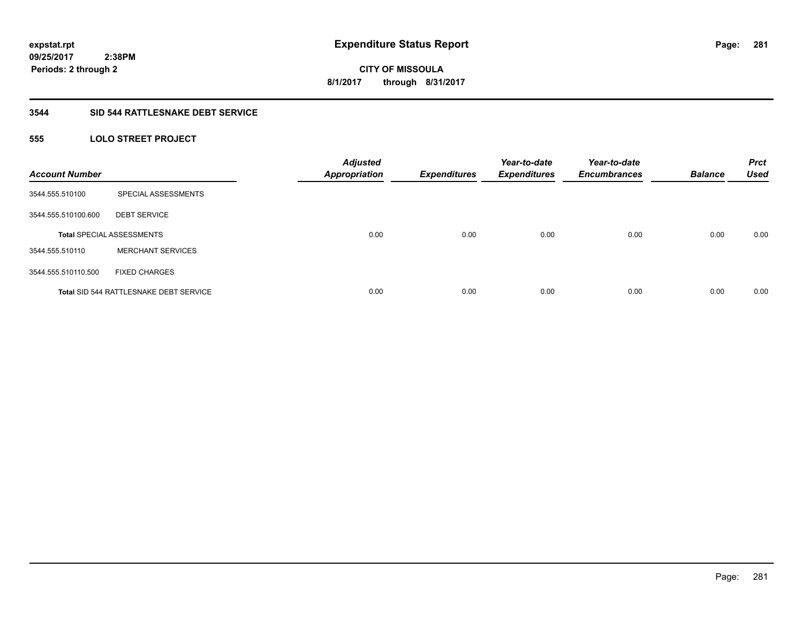**09/25/2017 2:38PM Periods: 2 through 2**

**CITY OF MISSOULA 8/1/2017 through 8/31/2017**

#### **3544 SID 544 RATTLESNAKE DEBT SERVICE**

## **555 LOLO STREET PROJECT**

| <b>Account Number</b> |                                               | <b>Adjusted</b><br><b>Appropriation</b> | <b>Expenditures</b> | Year-to-date<br><b>Expenditures</b> | Year-to-date<br><b>Encumbrances</b> | <b>Balance</b> | <b>Prct</b><br><b>Used</b> |
|-----------------------|-----------------------------------------------|-----------------------------------------|---------------------|-------------------------------------|-------------------------------------|----------------|----------------------------|
| 3544.555.510100       | SPECIAL ASSESSMENTS                           |                                         |                     |                                     |                                     |                |                            |
| 3544.555.510100.600   | <b>DEBT SERVICE</b>                           |                                         |                     |                                     |                                     |                |                            |
|                       | <b>Total SPECIAL ASSESSMENTS</b>              | 0.00                                    | 0.00                | 0.00                                | 0.00                                | 0.00           | 0.00                       |
| 3544.555.510110       | <b>MERCHANT SERVICES</b>                      |                                         |                     |                                     |                                     |                |                            |
| 3544.555.510110.500   | <b>FIXED CHARGES</b>                          |                                         |                     |                                     |                                     |                |                            |
|                       | <b>Total SID 544 RATTLESNAKE DEBT SERVICE</b> | 0.00                                    | 0.00                | 0.00                                | 0.00                                | 0.00           | 0.00                       |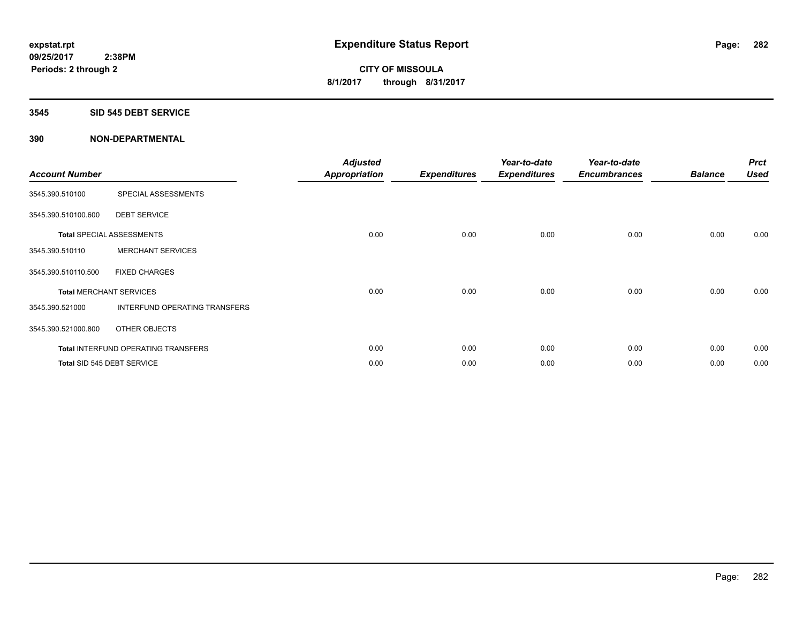#### **3545 SID 545 DEBT SERVICE**

| <b>Account Number</b> |                                            | <b>Adjusted</b><br><b>Appropriation</b> | <b>Expenditures</b> | Year-to-date<br><b>Expenditures</b> | Year-to-date<br><b>Encumbrances</b> | <b>Balance</b> | <b>Prct</b><br><b>Used</b> |
|-----------------------|--------------------------------------------|-----------------------------------------|---------------------|-------------------------------------|-------------------------------------|----------------|----------------------------|
| 3545.390.510100       | SPECIAL ASSESSMENTS                        |                                         |                     |                                     |                                     |                |                            |
| 3545.390.510100.600   | <b>DEBT SERVICE</b>                        |                                         |                     |                                     |                                     |                |                            |
|                       | <b>Total SPECIAL ASSESSMENTS</b>           | 0.00                                    | 0.00                | 0.00                                | 0.00                                | 0.00           | 0.00                       |
| 3545.390.510110       | <b>MERCHANT SERVICES</b>                   |                                         |                     |                                     |                                     |                |                            |
| 3545.390.510110.500   | <b>FIXED CHARGES</b>                       |                                         |                     |                                     |                                     |                |                            |
|                       | <b>Total MERCHANT SERVICES</b>             | 0.00                                    | 0.00                | 0.00                                | 0.00                                | 0.00           | 0.00                       |
| 3545.390.521000       | INTERFUND OPERATING TRANSFERS              |                                         |                     |                                     |                                     |                |                            |
| 3545.390.521000.800   | OTHER OBJECTS                              |                                         |                     |                                     |                                     |                |                            |
|                       | <b>Total INTERFUND OPERATING TRANSFERS</b> | 0.00                                    | 0.00                | 0.00                                | 0.00                                | 0.00           | 0.00                       |
|                       | Total SID 545 DEBT SERVICE                 | 0.00                                    | 0.00                | 0.00                                | 0.00                                | 0.00           | 0.00                       |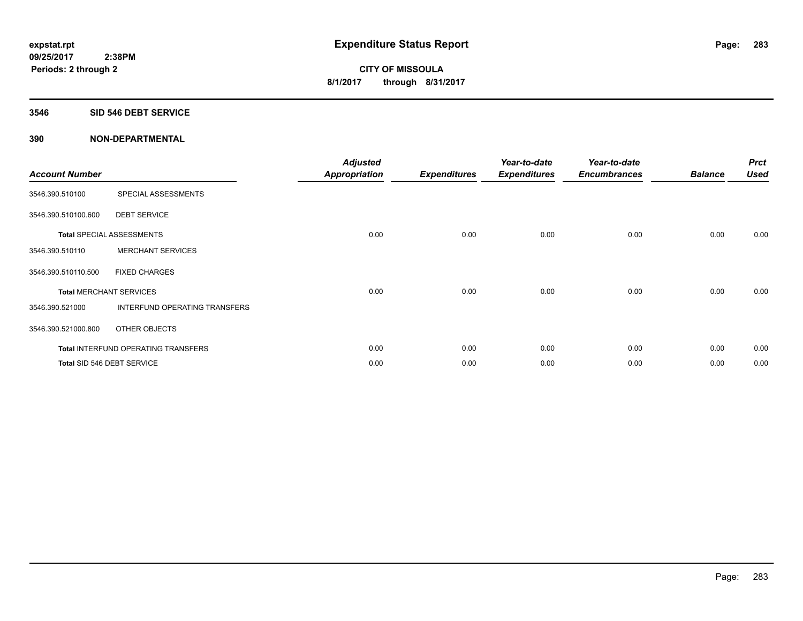#### **3546 SID 546 DEBT SERVICE**

| <b>Account Number</b> |                                     | <b>Adjusted</b><br><b>Appropriation</b> | <b>Expenditures</b> | Year-to-date<br><b>Expenditures</b> | Year-to-date<br><b>Encumbrances</b> | <b>Balance</b> | <b>Prct</b><br><b>Used</b> |
|-----------------------|-------------------------------------|-----------------------------------------|---------------------|-------------------------------------|-------------------------------------|----------------|----------------------------|
| 3546.390.510100       | SPECIAL ASSESSMENTS                 |                                         |                     |                                     |                                     |                |                            |
| 3546.390.510100.600   | <b>DEBT SERVICE</b>                 |                                         |                     |                                     |                                     |                |                            |
|                       | Total SPECIAL ASSESSMENTS           | 0.00                                    | 0.00                | 0.00                                | 0.00                                | 0.00           | 0.00                       |
| 3546.390.510110       | <b>MERCHANT SERVICES</b>            |                                         |                     |                                     |                                     |                |                            |
| 3546.390.510110.500   | <b>FIXED CHARGES</b>                |                                         |                     |                                     |                                     |                |                            |
|                       | <b>Total MERCHANT SERVICES</b>      | 0.00                                    | 0.00                | 0.00                                | 0.00                                | 0.00           | 0.00                       |
| 3546.390.521000       | INTERFUND OPERATING TRANSFERS       |                                         |                     |                                     |                                     |                |                            |
| 3546.390.521000.800   | OTHER OBJECTS                       |                                         |                     |                                     |                                     |                |                            |
|                       | Total INTERFUND OPERATING TRANSFERS | 0.00                                    | 0.00                | 0.00                                | 0.00                                | 0.00           | 0.00                       |
|                       | Total SID 546 DEBT SERVICE          | 0.00                                    | 0.00                | 0.00                                | 0.00                                | 0.00           | 0.00                       |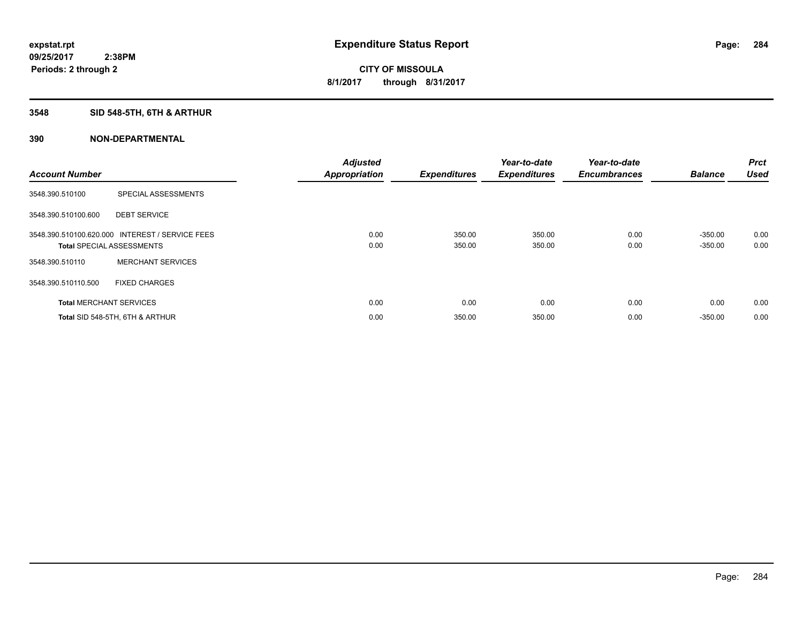## **3548 SID 548-5TH, 6TH & ARTHUR**

| <b>Account Number</b> |                                                                                     | <b>Adjusted</b><br><b>Appropriation</b> | <b>Expenditures</b> | Year-to-date<br><b>Expenditures</b> | Year-to-date<br><b>Encumbrances</b> | <b>Balance</b>         | Prct<br><b>Used</b> |
|-----------------------|-------------------------------------------------------------------------------------|-----------------------------------------|---------------------|-------------------------------------|-------------------------------------|------------------------|---------------------|
| 3548.390.510100       | SPECIAL ASSESSMENTS                                                                 |                                         |                     |                                     |                                     |                        |                     |
| 3548.390.510100.600   | <b>DEBT SERVICE</b>                                                                 |                                         |                     |                                     |                                     |                        |                     |
|                       | 3548.390.510100.620.000 INTEREST / SERVICE FEES<br><b>Total SPECIAL ASSESSMENTS</b> | 0.00<br>0.00                            | 350.00<br>350.00    | 350.00<br>350.00                    | 0.00<br>0.00                        | $-350.00$<br>$-350.00$ | 0.00<br>0.00        |
| 3548.390.510110       | <b>MERCHANT SERVICES</b>                                                            |                                         |                     |                                     |                                     |                        |                     |
| 3548.390.510110.500   | <b>FIXED CHARGES</b>                                                                |                                         |                     |                                     |                                     |                        |                     |
|                       | <b>Total MERCHANT SERVICES</b>                                                      | 0.00                                    | 0.00                | 0.00                                | 0.00                                | 0.00                   | 0.00                |
|                       | Total SID 548-5TH, 6TH & ARTHUR                                                     | 0.00                                    | 350.00              | 350.00                              | 0.00                                | $-350.00$              | 0.00                |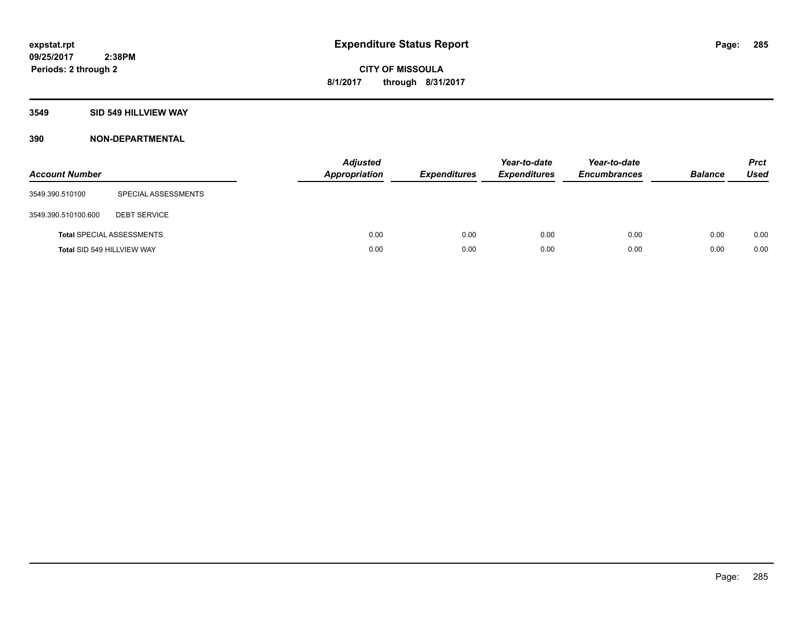#### **3549 SID 549 HILLVIEW WAY**

| <b>Account Number</b>      |                                  | <b>Adjusted</b><br><b>Appropriation</b> | <b>Expenditures</b> | Year-to-date<br><b>Expenditures</b> | Year-to-date<br><b>Encumbrances</b> | <b>Balance</b> | <b>Prct</b><br><b>Used</b> |
|----------------------------|----------------------------------|-----------------------------------------|---------------------|-------------------------------------|-------------------------------------|----------------|----------------------------|
| 3549.390.510100            | SPECIAL ASSESSMENTS              |                                         |                     |                                     |                                     |                |                            |
| 3549.390.510100.600        | <b>DEBT SERVICE</b>              |                                         |                     |                                     |                                     |                |                            |
|                            | <b>Total SPECIAL ASSESSMENTS</b> | 0.00                                    | 0.00                | 0.00                                | 0.00                                | 0.00           | 0.00                       |
| Total SID 549 HILLVIEW WAY |                                  | 0.00                                    | 0.00                | 0.00                                | 0.00                                | 0.00           | 0.00                       |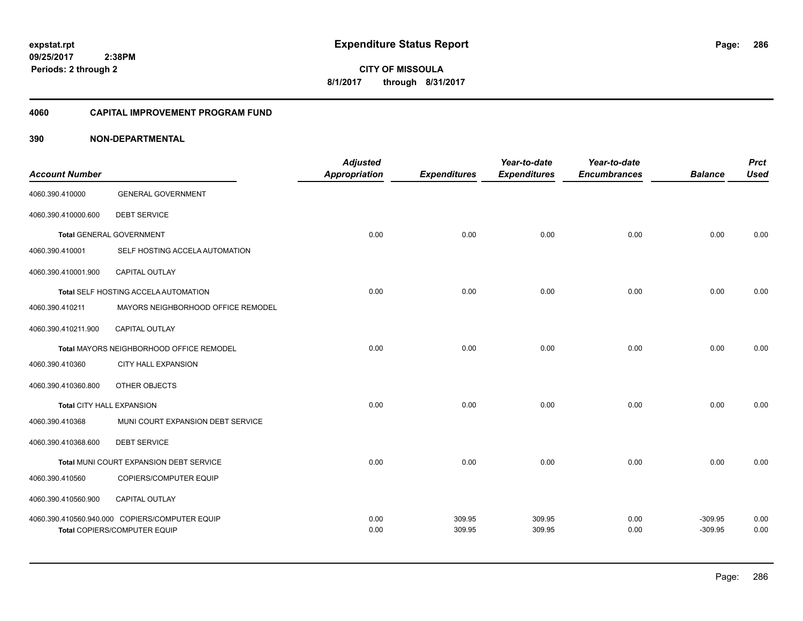**09/25/2017 2:38PM Periods: 2 through 2**

**286**

**CITY OF MISSOULA 8/1/2017 through 8/31/2017**

#### **4060 CAPITAL IMPROVEMENT PROGRAM FUND**

| <b>Account Number</b>     |                                                | <b>Adjusted</b><br><b>Appropriation</b> | <b>Expenditures</b> | Year-to-date<br><b>Expenditures</b> | Year-to-date<br><b>Encumbrances</b> | <b>Balance</b> | <b>Prct</b><br><b>Used</b> |
|---------------------------|------------------------------------------------|-----------------------------------------|---------------------|-------------------------------------|-------------------------------------|----------------|----------------------------|
| 4060.390.410000           | <b>GENERAL GOVERNMENT</b>                      |                                         |                     |                                     |                                     |                |                            |
| 4060.390.410000.600       | <b>DEBT SERVICE</b>                            |                                         |                     |                                     |                                     |                |                            |
|                           | <b>Total GENERAL GOVERNMENT</b>                | 0.00                                    | 0.00                | 0.00                                | 0.00                                | 0.00           | 0.00                       |
| 4060.390.410001           | SELF HOSTING ACCELA AUTOMATION                 |                                         |                     |                                     |                                     |                |                            |
| 4060.390.410001.900       | <b>CAPITAL OUTLAY</b>                          |                                         |                     |                                     |                                     |                |                            |
|                           | <b>Total SELF HOSTING ACCELA AUTOMATION</b>    | 0.00                                    | 0.00                | 0.00                                | 0.00                                | 0.00           | 0.00                       |
| 4060.390.410211           | MAYORS NEIGHBORHOOD OFFICE REMODEL             |                                         |                     |                                     |                                     |                |                            |
| 4060.390.410211.900       | <b>CAPITAL OUTLAY</b>                          |                                         |                     |                                     |                                     |                |                            |
|                           | Total MAYORS NEIGHBORHOOD OFFICE REMODEL       | 0.00                                    | 0.00                | 0.00                                | 0.00                                | 0.00           | 0.00                       |
| 4060.390.410360           | <b>CITY HALL EXPANSION</b>                     |                                         |                     |                                     |                                     |                |                            |
| 4060.390.410360.800       | OTHER OBJECTS                                  |                                         |                     |                                     |                                     |                |                            |
| Total CITY HALL EXPANSION |                                                | 0.00                                    | 0.00                | 0.00                                | 0.00                                | 0.00           | 0.00                       |
| 4060.390.410368           | MUNI COURT EXPANSION DEBT SERVICE              |                                         |                     |                                     |                                     |                |                            |
| 4060.390.410368.600       | <b>DEBT SERVICE</b>                            |                                         |                     |                                     |                                     |                |                            |
|                           | Total MUNI COURT EXPANSION DEBT SERVICE        | 0.00                                    | 0.00                | 0.00                                | 0.00                                | 0.00           | 0.00                       |
| 4060.390.410560           | COPIERS/COMPUTER EQUIP                         |                                         |                     |                                     |                                     |                |                            |
| 4060.390.410560.900       | <b>CAPITAL OUTLAY</b>                          |                                         |                     |                                     |                                     |                |                            |
|                           | 4060.390.410560.940.000 COPIERS/COMPUTER EQUIP | 0.00                                    | 309.95              | 309.95                              | 0.00                                | $-309.95$      | 0.00                       |
|                           | Total COPIERS/COMPUTER EQUIP                   | 0.00                                    | 309.95              | 309.95                              | 0.00                                | $-309.95$      | 0.00                       |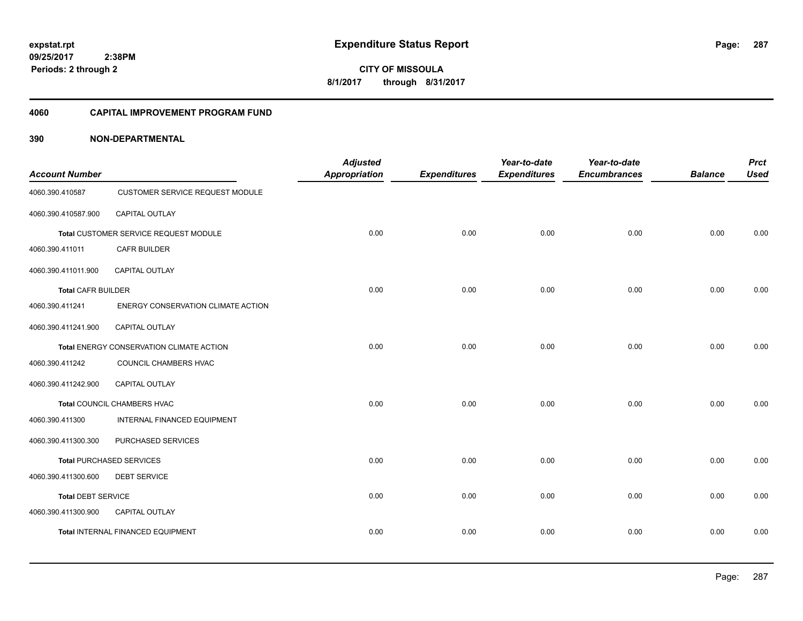# **09/25/2017**

**287**

 **2:38PM Periods: 2 through 2**

**CITY OF MISSOULA 8/1/2017 through 8/31/2017**

#### **4060 CAPITAL IMPROVEMENT PROGRAM FUND**

| <b>Account Number</b>     |                                          | <b>Adjusted</b><br><b>Appropriation</b> | <b>Expenditures</b> | Year-to-date<br><b>Expenditures</b> | Year-to-date<br><b>Encumbrances</b> | <b>Balance</b> | <b>Prct</b><br><b>Used</b> |
|---------------------------|------------------------------------------|-----------------------------------------|---------------------|-------------------------------------|-------------------------------------|----------------|----------------------------|
| 4060.390.410587           | <b>CUSTOMER SERVICE REQUEST MODULE</b>   |                                         |                     |                                     |                                     |                |                            |
| 4060.390.410587.900       | CAPITAL OUTLAY                           |                                         |                     |                                     |                                     |                |                            |
|                           | Total CUSTOMER SERVICE REQUEST MODULE    | 0.00                                    | 0.00                | 0.00                                | 0.00                                | 0.00           | 0.00                       |
| 4060.390.411011           | <b>CAFR BUILDER</b>                      |                                         |                     |                                     |                                     |                |                            |
| 4060.390.411011.900       | <b>CAPITAL OUTLAY</b>                    |                                         |                     |                                     |                                     |                |                            |
| <b>Total CAFR BUILDER</b> |                                          | 0.00                                    | 0.00                | 0.00                                | 0.00                                | 0.00           | 0.00                       |
| 4060.390.411241           | ENERGY CONSERVATION CLIMATE ACTION       |                                         |                     |                                     |                                     |                |                            |
| 4060.390.411241.900       | CAPITAL OUTLAY                           |                                         |                     |                                     |                                     |                |                            |
|                           | Total ENERGY CONSERVATION CLIMATE ACTION | 0.00                                    | 0.00                | 0.00                                | 0.00                                | 0.00           | 0.00                       |
| 4060.390.411242           | COUNCIL CHAMBERS HVAC                    |                                         |                     |                                     |                                     |                |                            |
| 4060.390.411242.900       | <b>CAPITAL OUTLAY</b>                    |                                         |                     |                                     |                                     |                |                            |
|                           | Total COUNCIL CHAMBERS HVAC              | 0.00                                    | 0.00                | 0.00                                | 0.00                                | 0.00           | 0.00                       |
| 4060.390.411300           | INTERNAL FINANCED EQUIPMENT              |                                         |                     |                                     |                                     |                |                            |
| 4060.390.411300.300       | PURCHASED SERVICES                       |                                         |                     |                                     |                                     |                |                            |
|                           | <b>Total PURCHASED SERVICES</b>          | 0.00                                    | 0.00                | 0.00                                | 0.00                                | 0.00           | 0.00                       |
| 4060.390.411300.600       | <b>DEBT SERVICE</b>                      |                                         |                     |                                     |                                     |                |                            |
| <b>Total DEBT SERVICE</b> |                                          | 0.00                                    | 0.00                | 0.00                                | 0.00                                | 0.00           | 0.00                       |
| 4060.390.411300.900       | <b>CAPITAL OUTLAY</b>                    |                                         |                     |                                     |                                     |                |                            |
|                           | <b>Total INTERNAL FINANCED EQUIPMENT</b> | 0.00                                    | 0.00                | 0.00                                | 0.00                                | 0.00           | 0.00                       |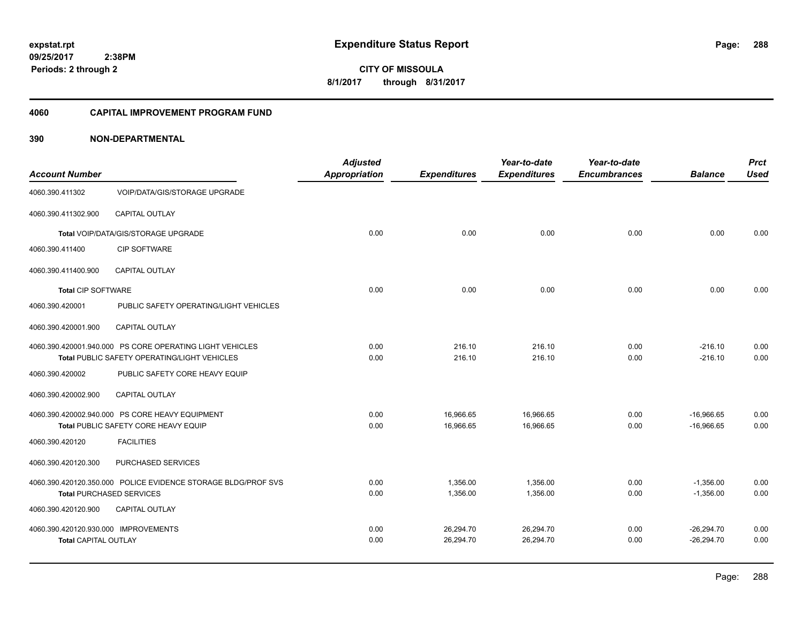# **09/25/2017**

**288**

 **2:38PM Periods: 2 through 2**

**CITY OF MISSOULA 8/1/2017 through 8/31/2017**

#### **4060 CAPITAL IMPROVEMENT PROGRAM FUND**

| <b>Account Number</b>                |                                                               | <b>Adjusted</b><br><b>Appropriation</b> | <b>Expenditures</b> | Year-to-date<br><b>Expenditures</b> | Year-to-date<br><b>Encumbrances</b> | <b>Balance</b> | <b>Prct</b><br><b>Used</b> |
|--------------------------------------|---------------------------------------------------------------|-----------------------------------------|---------------------|-------------------------------------|-------------------------------------|----------------|----------------------------|
| 4060.390.411302                      | <b>VOIP/DATA/GIS/STORAGE UPGRADE</b>                          |                                         |                     |                                     |                                     |                |                            |
|                                      |                                                               |                                         |                     |                                     |                                     |                |                            |
| 4060.390.411302.900                  | <b>CAPITAL OUTLAY</b>                                         |                                         |                     |                                     |                                     |                |                            |
|                                      | Total VOIP/DATA/GIS/STORAGE UPGRADE                           | 0.00                                    | 0.00                | 0.00                                | 0.00                                | 0.00           | 0.00                       |
| 4060.390.411400                      | <b>CIP SOFTWARE</b>                                           |                                         |                     |                                     |                                     |                |                            |
| 4060.390.411400.900                  | <b>CAPITAL OUTLAY</b>                                         |                                         |                     |                                     |                                     |                |                            |
| <b>Total CIP SOFTWARE</b>            |                                                               | 0.00                                    | 0.00                | 0.00                                | 0.00                                | 0.00           | 0.00                       |
| 4060.390.420001                      | PUBLIC SAFETY OPERATING/LIGHT VEHICLES                        |                                         |                     |                                     |                                     |                |                            |
| 4060.390.420001.900                  | CAPITAL OUTLAY                                                |                                         |                     |                                     |                                     |                |                            |
|                                      | 4060.390.420001.940.000 PS CORE OPERATING LIGHT VEHICLES      | 0.00                                    | 216.10              | 216.10                              | 0.00                                | $-216.10$      | 0.00                       |
|                                      | Total PUBLIC SAFETY OPERATING/LIGHT VEHICLES                  | 0.00                                    | 216.10              | 216.10                              | 0.00                                | $-216.10$      | 0.00                       |
| 4060.390.420002                      | PUBLIC SAFETY CORE HEAVY EQUIP                                |                                         |                     |                                     |                                     |                |                            |
| 4060.390.420002.900                  | <b>CAPITAL OUTLAY</b>                                         |                                         |                     |                                     |                                     |                |                            |
|                                      | 4060.390.420002.940.000 PS CORE HEAVY EQUIPMENT               | 0.00                                    | 16,966.65           | 16,966.65                           | 0.00                                | $-16,966.65$   | 0.00                       |
|                                      | Total PUBLIC SAFETY CORE HEAVY EQUIP                          | 0.00                                    | 16,966.65           | 16,966.65                           | 0.00                                | $-16,966.65$   | 0.00                       |
| 4060.390.420120                      | <b>FACILITIES</b>                                             |                                         |                     |                                     |                                     |                |                            |
| 4060.390.420120.300                  | PURCHASED SERVICES                                            |                                         |                     |                                     |                                     |                |                            |
|                                      | 4060.390.420120.350.000 POLICE EVIDENCE STORAGE BLDG/PROF SVS | 0.00                                    | 1,356.00            | 1,356.00                            | 0.00                                | $-1,356.00$    | 0.00                       |
|                                      | <b>Total PURCHASED SERVICES</b>                               | 0.00                                    | 1,356.00            | 1,356.00                            | 0.00                                | $-1,356.00$    | 0.00                       |
| 4060.390.420120.900                  | <b>CAPITAL OUTLAY</b>                                         |                                         |                     |                                     |                                     |                |                            |
| 4060.390.420120.930.000 IMPROVEMENTS |                                                               | 0.00                                    | 26,294.70           | 26,294.70                           | 0.00                                | $-26,294.70$   | 0.00                       |
| <b>Total CAPITAL OUTLAY</b>          |                                                               | 0.00                                    | 26,294.70           | 26,294.70                           | 0.00                                | $-26,294.70$   | 0.00                       |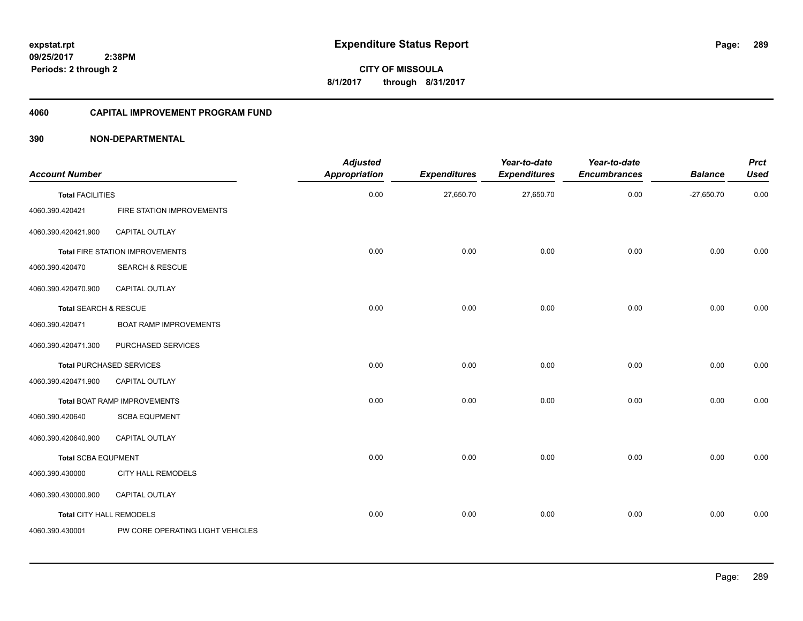**CITY OF MISSOULA 8/1/2017 through 8/31/2017**

### **4060 CAPITAL IMPROVEMENT PROGRAM FUND**

| <b>Account Number</b>      |                                        | <b>Adjusted</b><br><b>Appropriation</b> | <b>Expenditures</b> | Year-to-date<br><b>Expenditures</b> | Year-to-date<br><b>Encumbrances</b> | <b>Balance</b> | <b>Prct</b><br><b>Used</b> |
|----------------------------|----------------------------------------|-----------------------------------------|---------------------|-------------------------------------|-------------------------------------|----------------|----------------------------|
| <b>Total FACILITIES</b>    |                                        | 0.00                                    | 27,650.70           | 27,650.70                           | 0.00                                | $-27,650.70$   | 0.00                       |
| 4060.390.420421            | FIRE STATION IMPROVEMENTS              |                                         |                     |                                     |                                     |                |                            |
| 4060.390.420421.900        | CAPITAL OUTLAY                         |                                         |                     |                                     |                                     |                |                            |
|                            | <b>Total FIRE STATION IMPROVEMENTS</b> | 0.00                                    | 0.00                | 0.00                                | 0.00                                | 0.00           | 0.00                       |
| 4060.390.420470            | <b>SEARCH &amp; RESCUE</b>             |                                         |                     |                                     |                                     |                |                            |
| 4060.390.420470.900        | <b>CAPITAL OUTLAY</b>                  |                                         |                     |                                     |                                     |                |                            |
| Total SEARCH & RESCUE      |                                        | 0.00                                    | 0.00                | 0.00                                | 0.00                                | 0.00           | 0.00                       |
| 4060.390.420471            | <b>BOAT RAMP IMPROVEMENTS</b>          |                                         |                     |                                     |                                     |                |                            |
| 4060.390.420471.300        | PURCHASED SERVICES                     |                                         |                     |                                     |                                     |                |                            |
|                            | <b>Total PURCHASED SERVICES</b>        | 0.00                                    | 0.00                | 0.00                                | 0.00                                | 0.00           | 0.00                       |
| 4060.390.420471.900        | <b>CAPITAL OUTLAY</b>                  |                                         |                     |                                     |                                     |                |                            |
|                            | Total BOAT RAMP IMPROVEMENTS           | 0.00                                    | 0.00                | 0.00                                | 0.00                                | 0.00           | 0.00                       |
| 4060.390.420640            | <b>SCBA EQUPMENT</b>                   |                                         |                     |                                     |                                     |                |                            |
| 4060.390.420640.900        | CAPITAL OUTLAY                         |                                         |                     |                                     |                                     |                |                            |
| <b>Total SCBA EQUPMENT</b> |                                        | 0.00                                    | 0.00                | 0.00                                | 0.00                                | 0.00           | 0.00                       |
| 4060.390.430000            | <b>CITY HALL REMODELS</b>              |                                         |                     |                                     |                                     |                |                            |
| 4060.390.430000.900        | <b>CAPITAL OUTLAY</b>                  |                                         |                     |                                     |                                     |                |                            |
| Total CITY HALL REMODELS   |                                        | 0.00                                    | 0.00                | 0.00                                | 0.00                                | 0.00           | 0.00                       |
| 4060.390.430001            | PW CORE OPERATING LIGHT VEHICLES       |                                         |                     |                                     |                                     |                |                            |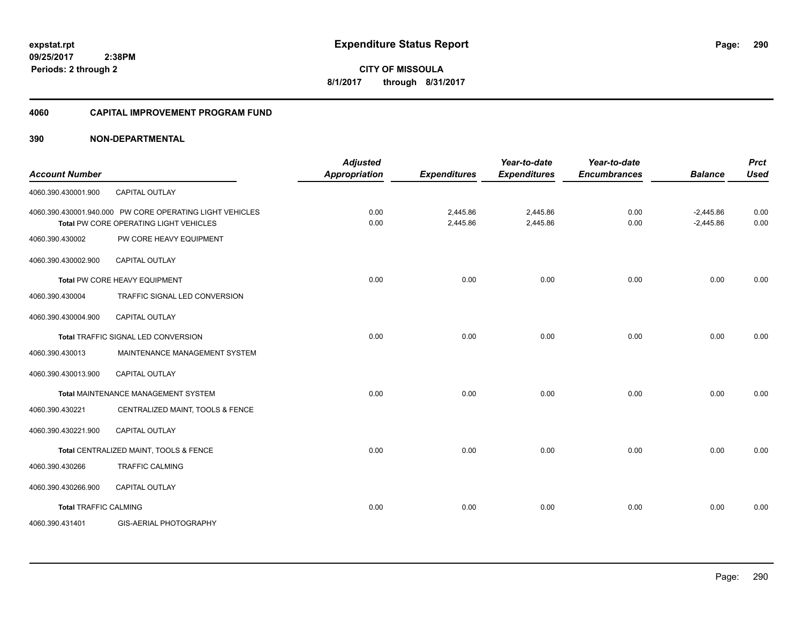#### **4060 CAPITAL IMPROVEMENT PROGRAM FUND**

| <b>Account Number</b>        |                                                                                                    | <b>Adjusted</b><br><b>Appropriation</b> | <b>Expenditures</b>  | Year-to-date<br><b>Expenditures</b> | Year-to-date<br><b>Encumbrances</b> | <b>Balance</b>             | <b>Prct</b><br><b>Used</b> |
|------------------------------|----------------------------------------------------------------------------------------------------|-----------------------------------------|----------------------|-------------------------------------|-------------------------------------|----------------------------|----------------------------|
| 4060.390.430001.900          | CAPITAL OUTLAY                                                                                     |                                         |                      |                                     |                                     |                            |                            |
|                              | 4060.390.430001.940.000 PW CORE OPERATING LIGHT VEHICLES<br>Total PW CORE OPERATING LIGHT VEHICLES | 0.00<br>0.00                            | 2,445.86<br>2,445.86 | 2,445.86<br>2,445.86                | 0.00<br>0.00                        | $-2,445.86$<br>$-2,445.86$ | 0.00<br>0.00               |
| 4060.390.430002              | PW CORE HEAVY EQUIPMENT                                                                            |                                         |                      |                                     |                                     |                            |                            |
| 4060.390.430002.900          | <b>CAPITAL OUTLAY</b>                                                                              |                                         |                      |                                     |                                     |                            |                            |
|                              | Total PW CORE HEAVY EQUIPMENT                                                                      | 0.00                                    | 0.00                 | 0.00                                | 0.00                                | 0.00                       | 0.00                       |
| 4060.390.430004              | TRAFFIC SIGNAL LED CONVERSION                                                                      |                                         |                      |                                     |                                     |                            |                            |
| 4060.390.430004.900          | CAPITAL OUTLAY                                                                                     |                                         |                      |                                     |                                     |                            |                            |
|                              | Total TRAFFIC SIGNAL LED CONVERSION                                                                | 0.00                                    | 0.00                 | 0.00                                | 0.00                                | 0.00                       | 0.00                       |
| 4060.390.430013              | MAINTENANCE MANAGEMENT SYSTEM                                                                      |                                         |                      |                                     |                                     |                            |                            |
| 4060.390.430013.900          | <b>CAPITAL OUTLAY</b>                                                                              |                                         |                      |                                     |                                     |                            |                            |
|                              | Total MAINTENANCE MANAGEMENT SYSTEM                                                                | 0.00                                    | 0.00                 | 0.00                                | 0.00                                | 0.00                       | 0.00                       |
| 4060.390.430221              | CENTRALIZED MAINT, TOOLS & FENCE                                                                   |                                         |                      |                                     |                                     |                            |                            |
| 4060.390.430221.900          | <b>CAPITAL OUTLAY</b>                                                                              |                                         |                      |                                     |                                     |                            |                            |
|                              | Total CENTRALIZED MAINT, TOOLS & FENCE                                                             | 0.00                                    | 0.00                 | 0.00                                | 0.00                                | 0.00                       | 0.00                       |
| 4060.390.430266              | <b>TRAFFIC CALMING</b>                                                                             |                                         |                      |                                     |                                     |                            |                            |
| 4060.390.430266.900          | <b>CAPITAL OUTLAY</b>                                                                              |                                         |                      |                                     |                                     |                            |                            |
| <b>Total TRAFFIC CALMING</b> |                                                                                                    | 0.00                                    | 0.00                 | 0.00                                | 0.00                                | 0.00                       | 0.00                       |
| 4060.390.431401              | GIS-AERIAL PHOTOGRAPHY                                                                             |                                         |                      |                                     |                                     |                            |                            |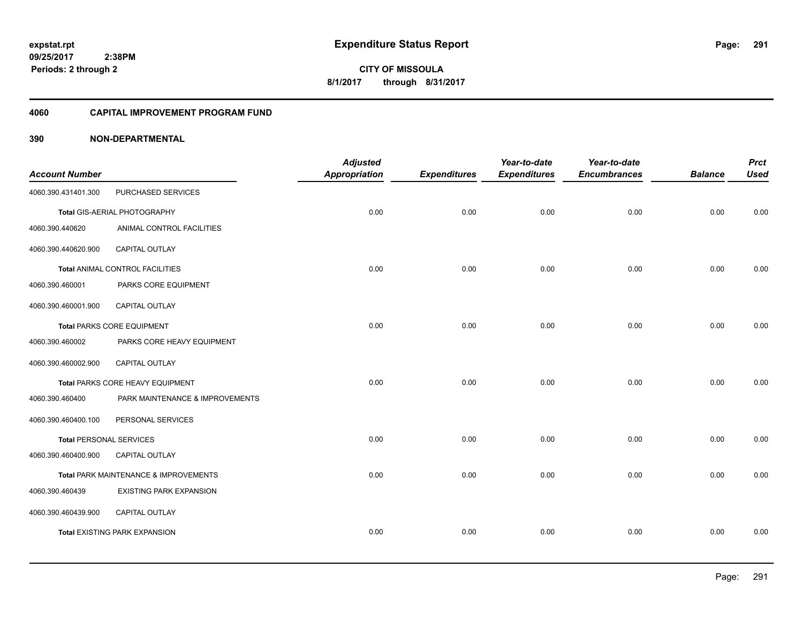#### **4060 CAPITAL IMPROVEMENT PROGRAM FUND**

|                                |                                       | <b>Adjusted</b>      |                     | Year-to-date        | Year-to-date        |                | <b>Prct</b> |
|--------------------------------|---------------------------------------|----------------------|---------------------|---------------------|---------------------|----------------|-------------|
| <b>Account Number</b>          |                                       | <b>Appropriation</b> | <b>Expenditures</b> | <b>Expenditures</b> | <b>Encumbrances</b> | <b>Balance</b> | <b>Used</b> |
| 4060.390.431401.300            | PURCHASED SERVICES                    |                      |                     |                     |                     |                |             |
|                                | Total GIS-AERIAL PHOTOGRAPHY          | 0.00                 | 0.00                | 0.00                | 0.00                | 0.00           | 0.00        |
| 4060.390.440620                | ANIMAL CONTROL FACILITIES             |                      |                     |                     |                     |                |             |
| 4060.390.440620.900            | CAPITAL OUTLAY                        |                      |                     |                     |                     |                |             |
|                                | Total ANIMAL CONTROL FACILITIES       | 0.00                 | 0.00                | 0.00                | 0.00                | 0.00           | 0.00        |
| 4060.390.460001                | PARKS CORE EQUIPMENT                  |                      |                     |                     |                     |                |             |
| 4060.390.460001.900            | CAPITAL OUTLAY                        |                      |                     |                     |                     |                |             |
|                                | <b>Total PARKS CORE EQUIPMENT</b>     | 0.00                 | 0.00                | 0.00                | 0.00                | 0.00           | 0.00        |
| 4060.390.460002                | PARKS CORE HEAVY EQUIPMENT            |                      |                     |                     |                     |                |             |
| 4060.390.460002.900            | <b>CAPITAL OUTLAY</b>                 |                      |                     |                     |                     |                |             |
|                                | Total PARKS CORE HEAVY EQUIPMENT      | 0.00                 | 0.00                | 0.00                | 0.00                | 0.00           | 0.00        |
| 4060.390.460400                | PARK MAINTENANCE & IMPROVEMENTS       |                      |                     |                     |                     |                |             |
| 4060.390.460400.100            | PERSONAL SERVICES                     |                      |                     |                     |                     |                |             |
| <b>Total PERSONAL SERVICES</b> |                                       | 0.00                 | 0.00                | 0.00                | 0.00                | 0.00           | 0.00        |
| 4060.390.460400.900            | CAPITAL OUTLAY                        |                      |                     |                     |                     |                |             |
|                                | Total PARK MAINTENANCE & IMPROVEMENTS | 0.00                 | 0.00                | 0.00                | 0.00                | 0.00           | 0.00        |
| 4060.390.460439                | <b>EXISTING PARK EXPANSION</b>        |                      |                     |                     |                     |                |             |
| 4060.390.460439.900            | CAPITAL OUTLAY                        |                      |                     |                     |                     |                |             |
|                                | <b>Total EXISTING PARK EXPANSION</b>  | 0.00                 | 0.00                | 0.00                | 0.00                | 0.00           | 0.00        |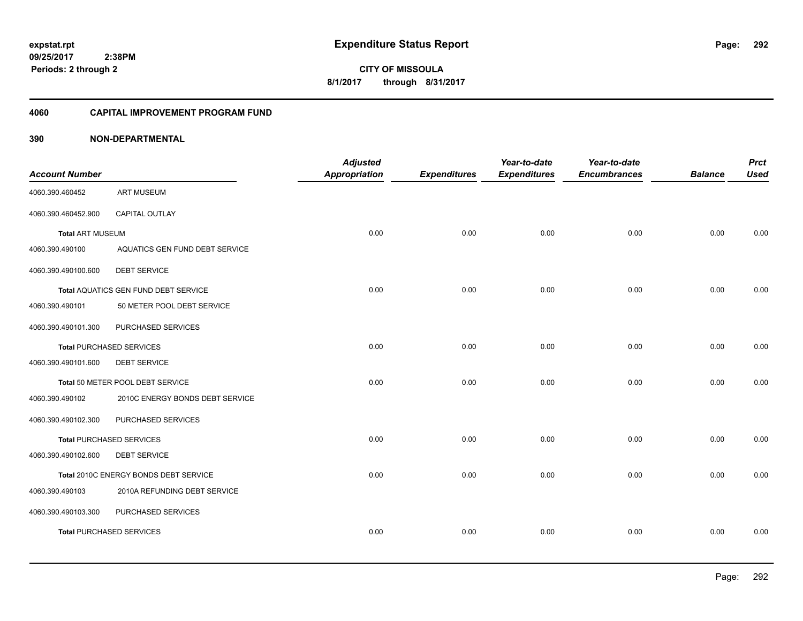**CITY OF MISSOULA 8/1/2017 through 8/31/2017**

#### **4060 CAPITAL IMPROVEMENT PROGRAM FUND**

| <b>Account Number</b>   |                                       | <b>Adjusted</b><br><b>Appropriation</b> | <b>Expenditures</b> | Year-to-date<br><b>Expenditures</b> | Year-to-date<br><b>Encumbrances</b> | <b>Balance</b> | <b>Prct</b><br><b>Used</b> |
|-------------------------|---------------------------------------|-----------------------------------------|---------------------|-------------------------------------|-------------------------------------|----------------|----------------------------|
| 4060.390.460452         | <b>ART MUSEUM</b>                     |                                         |                     |                                     |                                     |                |                            |
| 4060.390.460452.900     | CAPITAL OUTLAY                        |                                         |                     |                                     |                                     |                |                            |
| <b>Total ART MUSEUM</b> |                                       | 0.00                                    | 0.00                | 0.00                                | 0.00                                | 0.00           | 0.00                       |
| 4060.390.490100         | AQUATICS GEN FUND DEBT SERVICE        |                                         |                     |                                     |                                     |                |                            |
| 4060.390.490100.600     | <b>DEBT SERVICE</b>                   |                                         |                     |                                     |                                     |                |                            |
|                         | Total AQUATICS GEN FUND DEBT SERVICE  | 0.00                                    | 0.00                | 0.00                                | 0.00                                | 0.00           | 0.00                       |
| 4060.390.490101         | 50 METER POOL DEBT SERVICE            |                                         |                     |                                     |                                     |                |                            |
| 4060.390.490101.300     | PURCHASED SERVICES                    |                                         |                     |                                     |                                     |                |                            |
|                         | <b>Total PURCHASED SERVICES</b>       | 0.00                                    | 0.00                | 0.00                                | 0.00                                | 0.00           | 0.00                       |
| 4060.390.490101.600     | <b>DEBT SERVICE</b>                   |                                         |                     |                                     |                                     |                |                            |
|                         | Total 50 METER POOL DEBT SERVICE      | 0.00                                    | 0.00                | 0.00                                | 0.00                                | 0.00           | 0.00                       |
| 4060.390.490102         | 2010C ENERGY BONDS DEBT SERVICE       |                                         |                     |                                     |                                     |                |                            |
| 4060.390.490102.300     | PURCHASED SERVICES                    |                                         |                     |                                     |                                     |                |                            |
|                         | <b>Total PURCHASED SERVICES</b>       | 0.00                                    | 0.00                | 0.00                                | 0.00                                | 0.00           | 0.00                       |
| 4060.390.490102.600     | <b>DEBT SERVICE</b>                   |                                         |                     |                                     |                                     |                |                            |
|                         | Total 2010C ENERGY BONDS DEBT SERVICE | 0.00                                    | 0.00                | 0.00                                | 0.00                                | 0.00           | 0.00                       |
| 4060.390.490103         | 2010A REFUNDING DEBT SERVICE          |                                         |                     |                                     |                                     |                |                            |
| 4060.390.490103.300     | PURCHASED SERVICES                    |                                         |                     |                                     |                                     |                |                            |
|                         | <b>Total PURCHASED SERVICES</b>       | 0.00                                    | 0.00                | 0.00                                | 0.00                                | 0.00           | 0.00                       |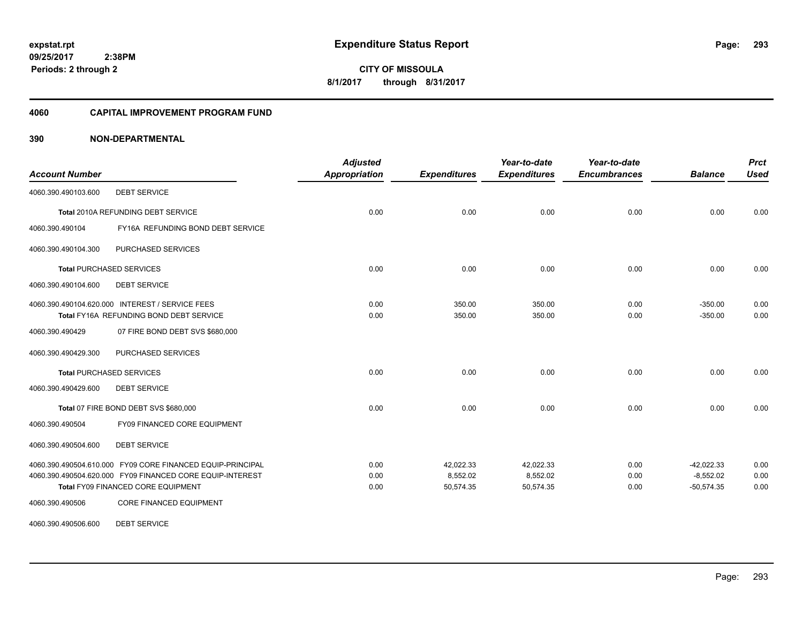#### **4060 CAPITAL IMPROVEMENT PROGRAM FUND**

| <b>Account Number</b> |                                                                                            | <b>Adjusted</b><br><b>Appropriation</b> | <b>Expenditures</b> | Year-to-date<br><b>Expenditures</b> | Year-to-date<br><b>Encumbrances</b> | <b>Balance</b>         | <b>Prct</b><br><b>Used</b> |
|-----------------------|--------------------------------------------------------------------------------------------|-----------------------------------------|---------------------|-------------------------------------|-------------------------------------|------------------------|----------------------------|
| 4060.390.490103.600   | <b>DEBT SERVICE</b>                                                                        |                                         |                     |                                     |                                     |                        |                            |
|                       | Total 2010A REFUNDING DEBT SERVICE                                                         | 0.00                                    | 0.00                | 0.00                                | 0.00                                | 0.00                   | 0.00                       |
| 4060.390.490104       | FY16A REFUNDING BOND DEBT SERVICE                                                          |                                         |                     |                                     |                                     |                        |                            |
| 4060.390.490104.300   | PURCHASED SERVICES                                                                         |                                         |                     |                                     |                                     |                        |                            |
|                       | <b>Total PURCHASED SERVICES</b>                                                            | 0.00                                    | 0.00                | 0.00                                | 0.00                                | 0.00                   | 0.00                       |
| 4060.390.490104.600   | <b>DEBT SERVICE</b>                                                                        |                                         |                     |                                     |                                     |                        |                            |
|                       | 4060.390.490104.620.000 INTEREST / SERVICE FEES<br>Total FY16A REFUNDING BOND DEBT SERVICE | 0.00<br>0.00                            | 350.00<br>350.00    | 350.00<br>350.00                    | 0.00<br>0.00                        | $-350.00$<br>$-350.00$ | 0.00<br>0.00               |
| 4060.390.490429       | 07 FIRE BOND DEBT SVS \$680,000                                                            |                                         |                     |                                     |                                     |                        |                            |
| 4060.390.490429.300   | PURCHASED SERVICES                                                                         |                                         |                     |                                     |                                     |                        |                            |
|                       | <b>Total PURCHASED SERVICES</b>                                                            | 0.00                                    | 0.00                | 0.00                                | 0.00                                | 0.00                   | 0.00                       |
| 4060.390.490429.600   | <b>DEBT SERVICE</b>                                                                        |                                         |                     |                                     |                                     |                        |                            |
|                       | Total 07 FIRE BOND DEBT SVS \$680,000                                                      | 0.00                                    | 0.00                | 0.00                                | 0.00                                | 0.00                   | 0.00                       |
| 4060.390.490504       | FY09 FINANCED CORE EQUIPMENT                                                               |                                         |                     |                                     |                                     |                        |                            |
| 4060.390.490504.600   | <b>DEBT SERVICE</b>                                                                        |                                         |                     |                                     |                                     |                        |                            |
|                       | 4060.390.490504.610.000 FY09 CORE FINANCED EQUIP-PRINCIPAL                                 | 0.00                                    | 42,022.33           | 42,022.33                           | 0.00                                | $-42,022.33$           | 0.00                       |
|                       | 4060.390.490504.620.000 FY09 FINANCED CORE EQUIP-INTEREST                                  | 0.00                                    | 8,552.02            | 8,552.02                            | 0.00                                | $-8,552.02$            | 0.00                       |
|                       | Total FY09 FINANCED CORE EQUIPMENT                                                         | 0.00                                    | 50,574.35           | 50,574.35                           | 0.00                                | $-50,574.35$           | 0.00                       |
| 4060.390.490506       | CORE FINANCED EQUIPMENT                                                                    |                                         |                     |                                     |                                     |                        |                            |
| 4060.390.490506.600   | <b>DEBT SERVICE</b>                                                                        |                                         |                     |                                     |                                     |                        |                            |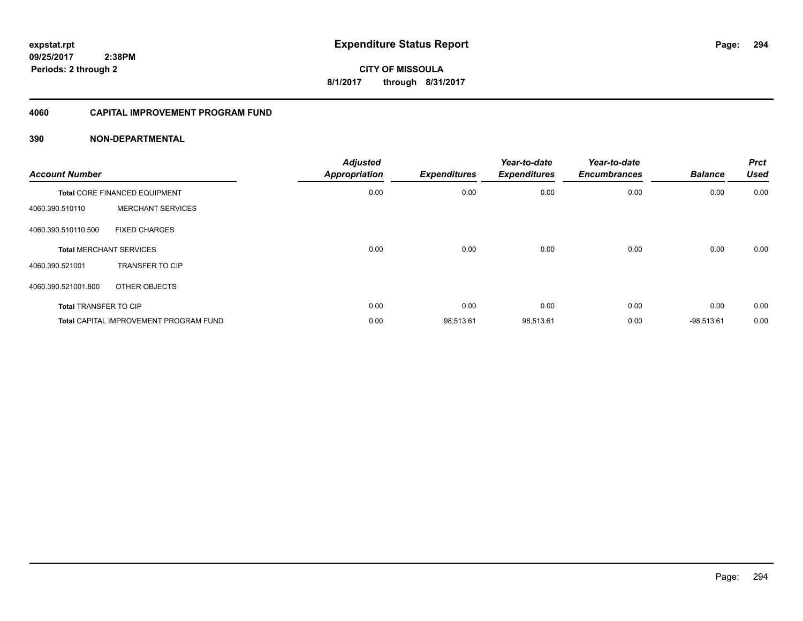### **4060 CAPITAL IMPROVEMENT PROGRAM FUND**

| <b>Account Number</b>        |                                               | <b>Adjusted</b><br><b>Appropriation</b> | <b>Expenditures</b> | Year-to-date<br><b>Expenditures</b> | Year-to-date<br><b>Encumbrances</b> | <b>Balance</b> | <b>Prct</b><br><b>Used</b> |
|------------------------------|-----------------------------------------------|-----------------------------------------|---------------------|-------------------------------------|-------------------------------------|----------------|----------------------------|
|                              | <b>Total CORE FINANCED EQUIPMENT</b>          | 0.00                                    | 0.00                | 0.00                                | 0.00                                | 0.00           | 0.00                       |
| 4060.390.510110              | <b>MERCHANT SERVICES</b>                      |                                         |                     |                                     |                                     |                |                            |
| 4060.390.510110.500          | <b>FIXED CHARGES</b>                          |                                         |                     |                                     |                                     |                |                            |
|                              | <b>Total MERCHANT SERVICES</b>                | 0.00                                    | 0.00                | 0.00                                | 0.00                                | 0.00           | 0.00                       |
| 4060.390.521001              | <b>TRANSFER TO CIP</b>                        |                                         |                     |                                     |                                     |                |                            |
| 4060.390.521001.800          | OTHER OBJECTS                                 |                                         |                     |                                     |                                     |                |                            |
| <b>Total TRANSFER TO CIP</b> |                                               | 0.00                                    | 0.00                | 0.00                                | 0.00                                | 0.00           | 0.00                       |
|                              | <b>Total CAPITAL IMPROVEMENT PROGRAM FUND</b> | 0.00                                    | 98,513.61           | 98,513.61                           | 0.00                                | $-98,513.61$   | 0.00                       |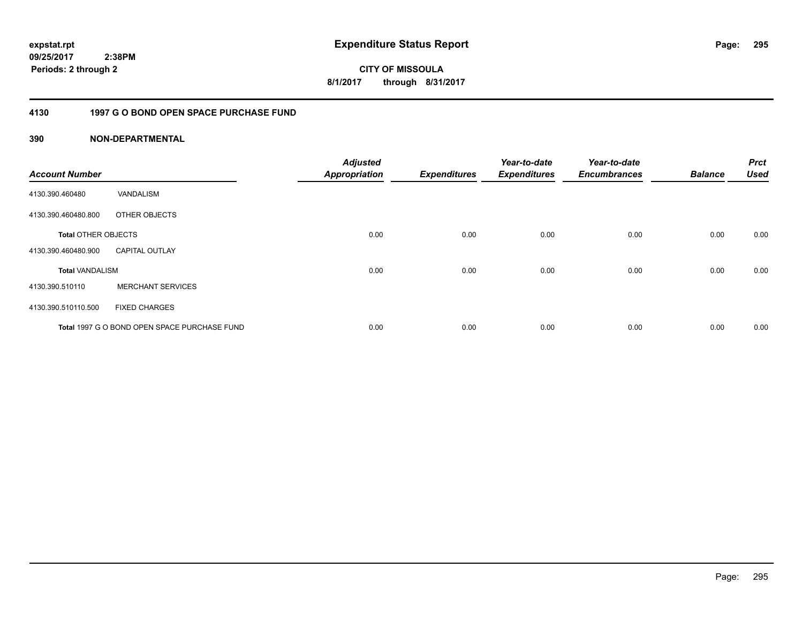**295**

**CITY OF MISSOULA 8/1/2017 through 8/31/2017**

### **4130 1997 G O BOND OPEN SPACE PURCHASE FUND**

| <b>Account Number</b>      |                                              | <b>Adjusted</b><br><b>Appropriation</b> | <b>Expenditures</b> | Year-to-date<br><b>Expenditures</b> | Year-to-date<br><b>Encumbrances</b> | <b>Balance</b> | <b>Prct</b><br><b>Used</b> |
|----------------------------|----------------------------------------------|-----------------------------------------|---------------------|-------------------------------------|-------------------------------------|----------------|----------------------------|
| 4130.390.460480            | VANDALISM                                    |                                         |                     |                                     |                                     |                |                            |
| 4130.390.460480.800        | OTHER OBJECTS                                |                                         |                     |                                     |                                     |                |                            |
| <b>Total OTHER OBJECTS</b> |                                              | 0.00                                    | 0.00                | 0.00                                | 0.00                                | 0.00           | 0.00                       |
| 4130.390.460480.900        | <b>CAPITAL OUTLAY</b>                        |                                         |                     |                                     |                                     |                |                            |
| <b>Total VANDALISM</b>     |                                              | 0.00                                    | 0.00                | 0.00                                | 0.00                                | 0.00           | 0.00                       |
| 4130.390.510110            | <b>MERCHANT SERVICES</b>                     |                                         |                     |                                     |                                     |                |                            |
| 4130.390.510110.500        | <b>FIXED CHARGES</b>                         |                                         |                     |                                     |                                     |                |                            |
|                            | Total 1997 G O BOND OPEN SPACE PURCHASE FUND | 0.00                                    | 0.00                | 0.00                                | 0.00                                | 0.00           | 0.00                       |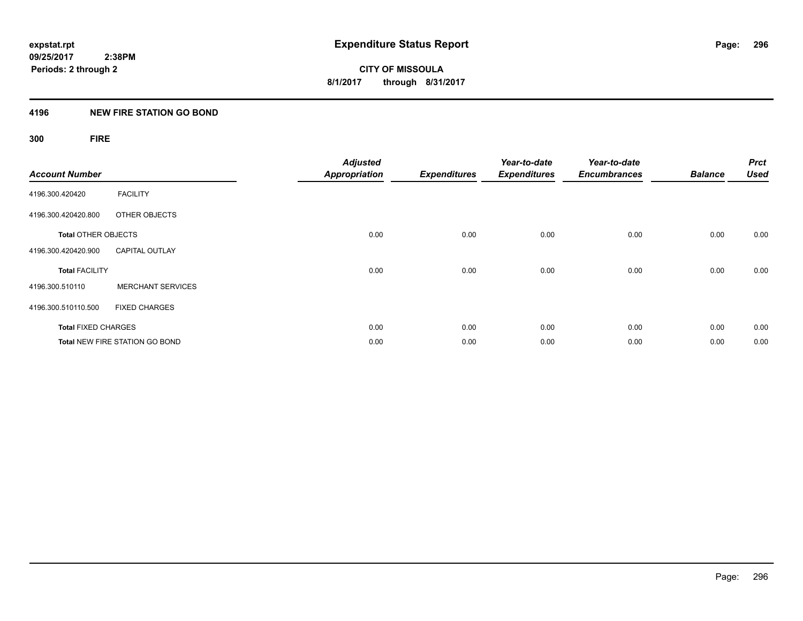### **4196 NEW FIRE STATION GO BOND**

## **300 FIRE**

| <b>Account Number</b>      |                                       | <b>Adjusted</b><br><b>Appropriation</b> | <b>Expenditures</b> | Year-to-date<br><b>Expenditures</b> | Year-to-date<br><b>Encumbrances</b> | <b>Balance</b> | <b>Prct</b><br><b>Used</b> |
|----------------------------|---------------------------------------|-----------------------------------------|---------------------|-------------------------------------|-------------------------------------|----------------|----------------------------|
| 4196.300.420420            | <b>FACILITY</b>                       |                                         |                     |                                     |                                     |                |                            |
| 4196.300.420420.800        | OTHER OBJECTS                         |                                         |                     |                                     |                                     |                |                            |
| <b>Total OTHER OBJECTS</b> |                                       | 0.00                                    | 0.00                | 0.00                                | 0.00                                | 0.00           | 0.00                       |
| 4196.300.420420.900        | <b>CAPITAL OUTLAY</b>                 |                                         |                     |                                     |                                     |                |                            |
| <b>Total FACILITY</b>      |                                       | 0.00                                    | 0.00                | 0.00                                | 0.00                                | 0.00           | 0.00                       |
| 4196.300.510110            | <b>MERCHANT SERVICES</b>              |                                         |                     |                                     |                                     |                |                            |
| 4196.300.510110.500        | <b>FIXED CHARGES</b>                  |                                         |                     |                                     |                                     |                |                            |
| <b>Total FIXED CHARGES</b> |                                       | 0.00                                    | 0.00                | 0.00                                | 0.00                                | 0.00           | 0.00                       |
|                            | <b>Total NEW FIRE STATION GO BOND</b> | 0.00                                    | 0.00                | 0.00                                | 0.00                                | 0.00           | 0.00                       |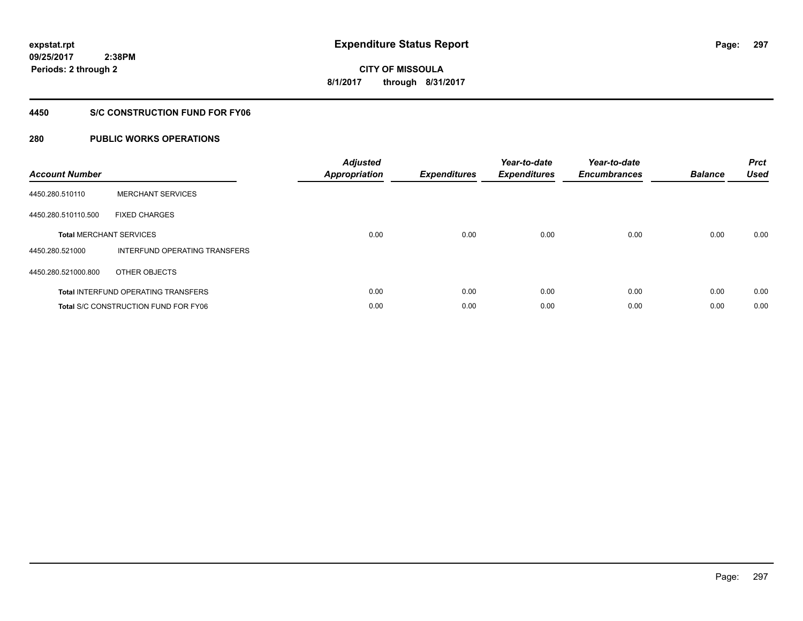**297**

**CITY OF MISSOULA 8/1/2017 through 8/31/2017**

### **4450 S/C CONSTRUCTION FUND FOR FY06**

| <b>Account Number</b> |                                             | <b>Adjusted</b><br><b>Appropriation</b> | <b>Expenditures</b> | Year-to-date<br><b>Expenditures</b> | Year-to-date<br><b>Encumbrances</b> | <b>Balance</b> | <b>Prct</b><br><b>Used</b> |
|-----------------------|---------------------------------------------|-----------------------------------------|---------------------|-------------------------------------|-------------------------------------|----------------|----------------------------|
| 4450.280.510110       | <b>MERCHANT SERVICES</b>                    |                                         |                     |                                     |                                     |                |                            |
| 4450.280.510110.500   | <b>FIXED CHARGES</b>                        |                                         |                     |                                     |                                     |                |                            |
|                       | <b>Total MERCHANT SERVICES</b>              | 0.00                                    | 0.00                | 0.00                                | 0.00                                | 0.00           | 0.00                       |
| 4450.280.521000       | INTERFUND OPERATING TRANSFERS               |                                         |                     |                                     |                                     |                |                            |
| 4450.280.521000.800   | OTHER OBJECTS                               |                                         |                     |                                     |                                     |                |                            |
|                       | <b>Total INTERFUND OPERATING TRANSFERS</b>  | 0.00                                    | 0.00                | 0.00                                | 0.00                                | 0.00           | 0.00                       |
|                       | <b>Total S/C CONSTRUCTION FUND FOR FY06</b> | 0.00                                    | 0.00                | 0.00                                | 0.00                                | 0.00           | 0.00                       |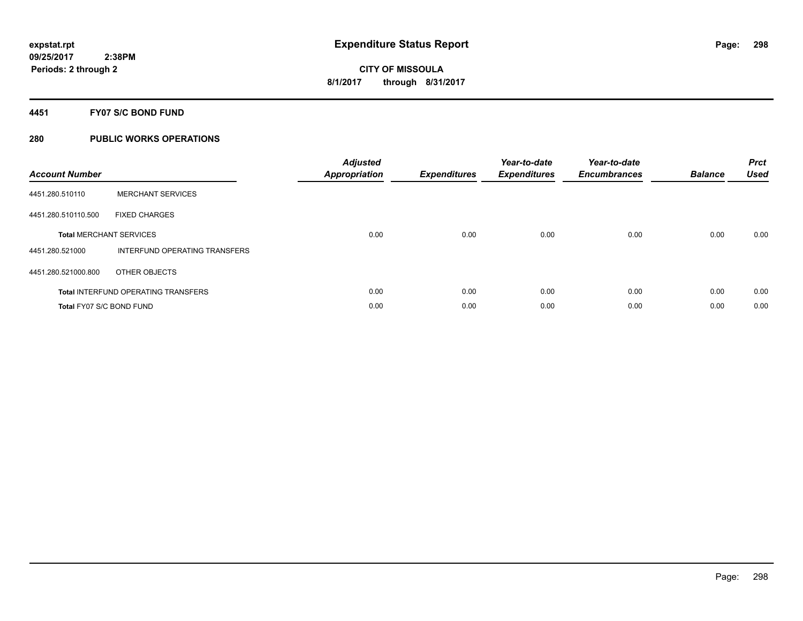### **4451 FY07 S/C BOND FUND**

| <b>Account Number</b>    |                                            | <b>Adjusted</b><br>Appropriation | <b>Expenditures</b> | Year-to-date<br><b>Expenditures</b> | Year-to-date<br><b>Encumbrances</b> | <b>Balance</b> | <b>Prct</b><br><b>Used</b> |
|--------------------------|--------------------------------------------|----------------------------------|---------------------|-------------------------------------|-------------------------------------|----------------|----------------------------|
| 4451.280.510110          | <b>MERCHANT SERVICES</b>                   |                                  |                     |                                     |                                     |                |                            |
| 4451.280.510110.500      | <b>FIXED CHARGES</b>                       |                                  |                     |                                     |                                     |                |                            |
|                          | <b>Total MERCHANT SERVICES</b>             | 0.00                             | 0.00                | 0.00                                | 0.00                                | 0.00           | 0.00                       |
| 4451.280.521000          | INTERFUND OPERATING TRANSFERS              |                                  |                     |                                     |                                     |                |                            |
| 4451.280.521000.800      | OTHER OBJECTS                              |                                  |                     |                                     |                                     |                |                            |
|                          | <b>Total INTERFUND OPERATING TRANSFERS</b> | 0.00                             | 0.00                | 0.00                                | 0.00                                | 0.00           | 0.00                       |
| Total FY07 S/C BOND FUND |                                            | 0.00                             | 0.00                | 0.00                                | 0.00                                | 0.00           | 0.00                       |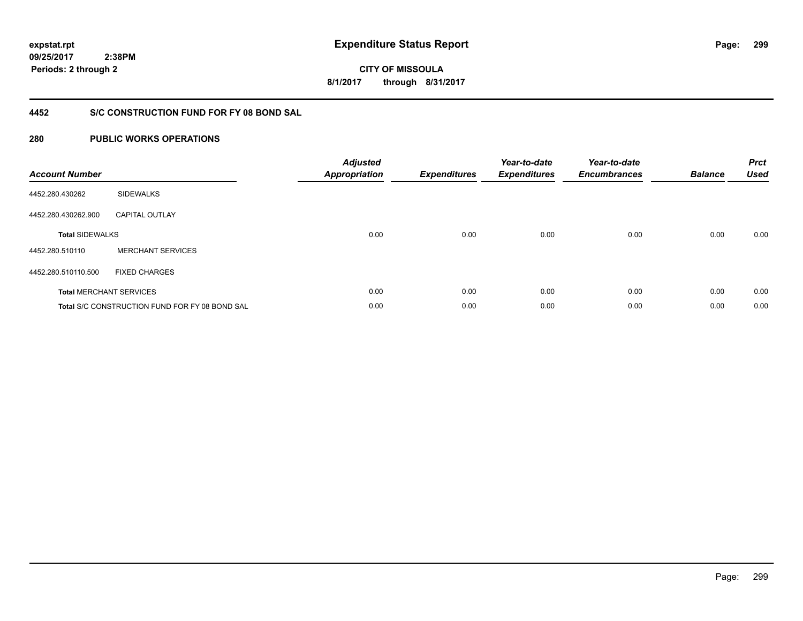**299**

**09/25/2017 2:38PM Periods: 2 through 2**

**CITY OF MISSOULA 8/1/2017 through 8/31/2017**

### **4452 S/C CONSTRUCTION FUND FOR FY 08 BOND SAL**

| <b>Account Number</b>  |                                                       | <b>Adjusted</b><br><b>Appropriation</b> | <b>Expenditures</b> | Year-to-date<br><b>Expenditures</b> | Year-to-date<br><b>Encumbrances</b> | <b>Balance</b> | <b>Prct</b><br><b>Used</b> |
|------------------------|-------------------------------------------------------|-----------------------------------------|---------------------|-------------------------------------|-------------------------------------|----------------|----------------------------|
| 4452.280.430262        | <b>SIDEWALKS</b>                                      |                                         |                     |                                     |                                     |                |                            |
| 4452.280.430262.900    | <b>CAPITAL OUTLAY</b>                                 |                                         |                     |                                     |                                     |                |                            |
| <b>Total SIDEWALKS</b> |                                                       | 0.00                                    | 0.00                | 0.00                                | 0.00                                | 0.00           | 0.00                       |
| 4452.280.510110        | <b>MERCHANT SERVICES</b>                              |                                         |                     |                                     |                                     |                |                            |
| 4452.280.510110.500    | <b>FIXED CHARGES</b>                                  |                                         |                     |                                     |                                     |                |                            |
|                        | <b>Total MERCHANT SERVICES</b>                        | 0.00                                    | 0.00                | 0.00                                | 0.00                                | 0.00           | 0.00                       |
|                        | <b>Total S/C CONSTRUCTION FUND FOR FY 08 BOND SAL</b> | 0.00                                    | 0.00                | 0.00                                | 0.00                                | 0.00           | 0.00                       |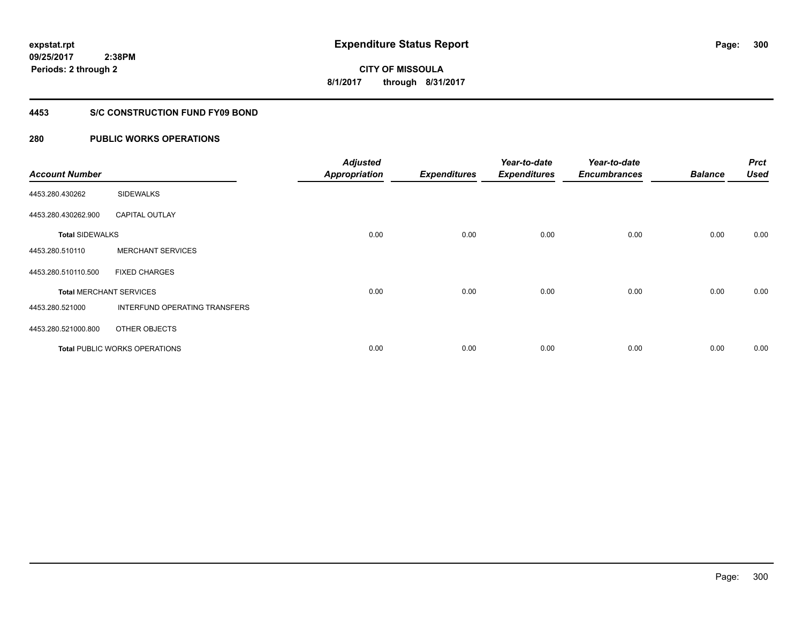### **4453 S/C CONSTRUCTION FUND FY09 BOND**

| <b>Account Number</b>  |                                      | <b>Adjusted</b><br><b>Appropriation</b> | <b>Expenditures</b> | Year-to-date<br><b>Expenditures</b> | Year-to-date<br><b>Encumbrances</b> | <b>Balance</b> | <b>Prct</b><br><b>Used</b> |
|------------------------|--------------------------------------|-----------------------------------------|---------------------|-------------------------------------|-------------------------------------|----------------|----------------------------|
| 4453.280.430262        | <b>SIDEWALKS</b>                     |                                         |                     |                                     |                                     |                |                            |
| 4453.280.430262.900    | <b>CAPITAL OUTLAY</b>                |                                         |                     |                                     |                                     |                |                            |
| <b>Total SIDEWALKS</b> |                                      | 0.00                                    | 0.00                | 0.00                                | 0.00                                | 0.00           | 0.00                       |
| 4453.280.510110        | <b>MERCHANT SERVICES</b>             |                                         |                     |                                     |                                     |                |                            |
| 4453.280.510110.500    | <b>FIXED CHARGES</b>                 |                                         |                     |                                     |                                     |                |                            |
|                        | <b>Total MERCHANT SERVICES</b>       | 0.00                                    | 0.00                | 0.00                                | 0.00                                | 0.00           | 0.00                       |
| 4453.280.521000        | INTERFUND OPERATING TRANSFERS        |                                         |                     |                                     |                                     |                |                            |
| 4453.280.521000.800    | OTHER OBJECTS                        |                                         |                     |                                     |                                     |                |                            |
|                        | <b>Total PUBLIC WORKS OPERATIONS</b> | 0.00                                    | 0.00                | 0.00                                | 0.00                                | 0.00           | 0.00                       |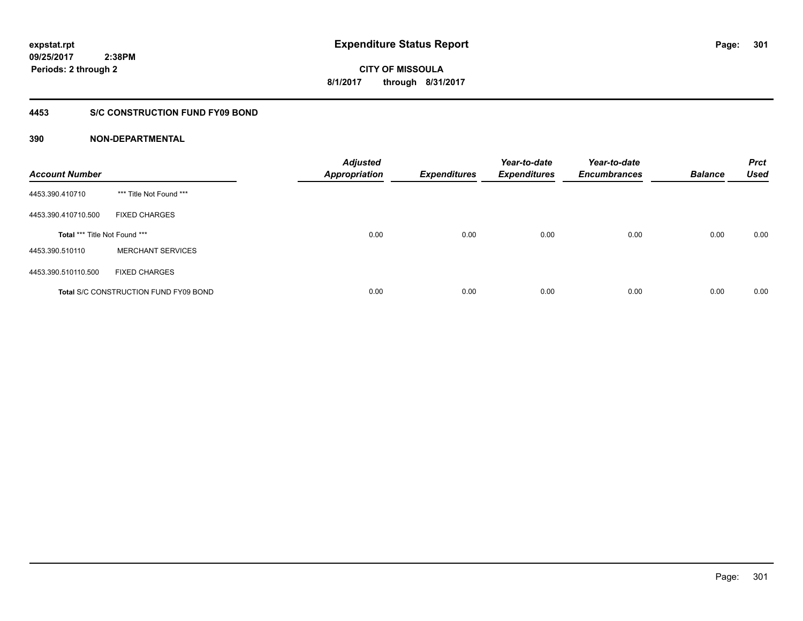**CITY OF MISSOULA 8/1/2017 through 8/31/2017**

### **4453 S/C CONSTRUCTION FUND FY09 BOND**

| <b>Account Number</b>         |                                              | <b>Adjusted</b><br><b>Appropriation</b> | <b>Expenditures</b> | Year-to-date<br><b>Expenditures</b> | Year-to-date<br><b>Encumbrances</b> | <b>Balance</b> | <b>Prct</b><br><b>Used</b> |
|-------------------------------|----------------------------------------------|-----------------------------------------|---------------------|-------------------------------------|-------------------------------------|----------------|----------------------------|
| 4453.390.410710               | *** Title Not Found ***                      |                                         |                     |                                     |                                     |                |                            |
| 4453.390.410710.500           | <b>FIXED CHARGES</b>                         |                                         |                     |                                     |                                     |                |                            |
| Total *** Title Not Found *** |                                              | 0.00                                    | 0.00                | 0.00                                | 0.00                                | 0.00           | 0.00                       |
| 4453.390.510110               | <b>MERCHANT SERVICES</b>                     |                                         |                     |                                     |                                     |                |                            |
| 4453.390.510110.500           | <b>FIXED CHARGES</b>                         |                                         |                     |                                     |                                     |                |                            |
|                               | <b>Total S/C CONSTRUCTION FUND FY09 BOND</b> | 0.00                                    | 0.00                | 0.00                                | 0.00                                | 0.00           | 0.00                       |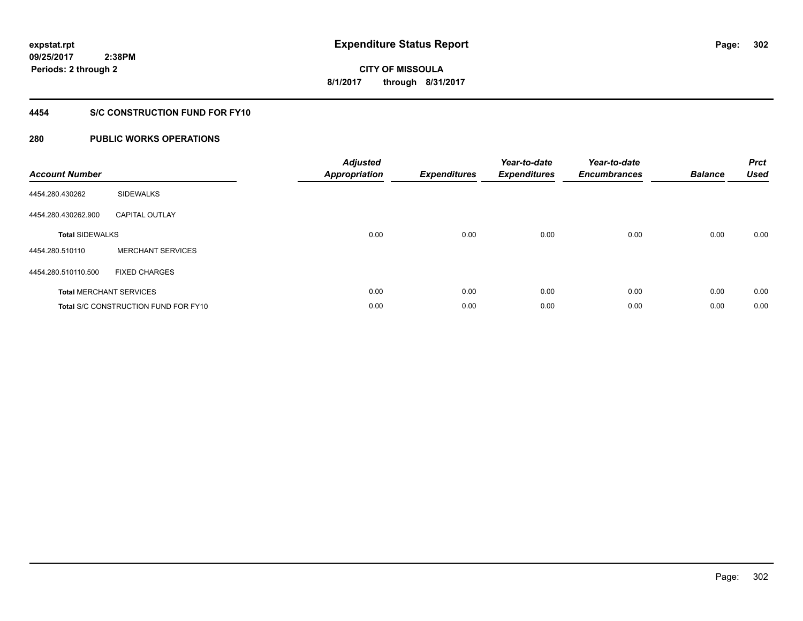### **4454 S/C CONSTRUCTION FUND FOR FY10**

| <b>Account Number</b>  |                                             | <b>Adjusted</b><br><b>Appropriation</b> | <b>Expenditures</b> | Year-to-date<br><b>Expenditures</b> | Year-to-date<br><b>Encumbrances</b> | <b>Balance</b> | <b>Prct</b><br><b>Used</b> |
|------------------------|---------------------------------------------|-----------------------------------------|---------------------|-------------------------------------|-------------------------------------|----------------|----------------------------|
| 4454.280.430262        | <b>SIDEWALKS</b>                            |                                         |                     |                                     |                                     |                |                            |
| 4454.280.430262.900    | <b>CAPITAL OUTLAY</b>                       |                                         |                     |                                     |                                     |                |                            |
| <b>Total SIDEWALKS</b> |                                             | 0.00                                    | 0.00                | 0.00                                | 0.00                                | 0.00           | 0.00                       |
| 4454.280.510110        | <b>MERCHANT SERVICES</b>                    |                                         |                     |                                     |                                     |                |                            |
| 4454.280.510110.500    | <b>FIXED CHARGES</b>                        |                                         |                     |                                     |                                     |                |                            |
|                        | <b>Total MERCHANT SERVICES</b>              | 0.00                                    | 0.00                | 0.00                                | 0.00                                | 0.00           | 0.00                       |
|                        | <b>Total S/C CONSTRUCTION FUND FOR FY10</b> | 0.00                                    | 0.00                | 0.00                                | 0.00                                | 0.00           | 0.00                       |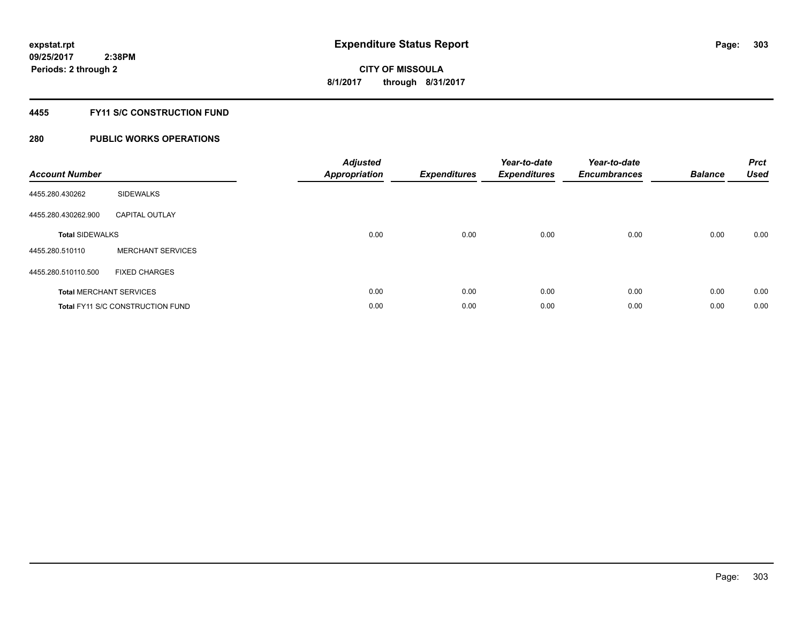### **4455 FY11 S/C CONSTRUCTION FUND**

| <b>Account Number</b>  |                                         | <b>Adjusted</b><br>Appropriation | <b>Expenditures</b> | Year-to-date<br><b>Expenditures</b> | Year-to-date<br><b>Encumbrances</b> | <b>Balance</b> | <b>Prct</b><br><b>Used</b> |
|------------------------|-----------------------------------------|----------------------------------|---------------------|-------------------------------------|-------------------------------------|----------------|----------------------------|
| 4455.280.430262        | <b>SIDEWALKS</b>                        |                                  |                     |                                     |                                     |                |                            |
| 4455.280.430262.900    | <b>CAPITAL OUTLAY</b>                   |                                  |                     |                                     |                                     |                |                            |
| <b>Total SIDEWALKS</b> |                                         | 0.00                             | 0.00                | 0.00                                | 0.00                                | 0.00           | 0.00                       |
| 4455.280.510110        | <b>MERCHANT SERVICES</b>                |                                  |                     |                                     |                                     |                |                            |
| 4455.280.510110.500    | <b>FIXED CHARGES</b>                    |                                  |                     |                                     |                                     |                |                            |
|                        | <b>Total MERCHANT SERVICES</b>          | 0.00                             | 0.00                | 0.00                                | 0.00                                | 0.00           | 0.00                       |
|                        | <b>Total FY11 S/C CONSTRUCTION FUND</b> | 0.00                             | 0.00                | 0.00                                | 0.00                                | 0.00           | 0.00                       |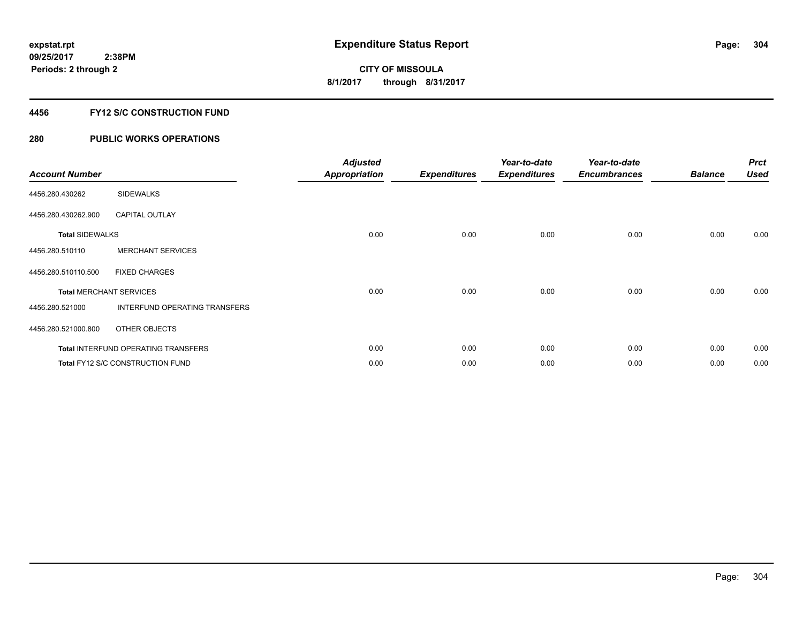### **4456 FY12 S/C CONSTRUCTION FUND**

| <b>Account Number</b>  |                                            | <b>Adjusted</b><br><b>Appropriation</b> | <b>Expenditures</b> | Year-to-date<br><b>Expenditures</b> | Year-to-date<br><b>Encumbrances</b> | <b>Balance</b> | <b>Prct</b><br><b>Used</b> |
|------------------------|--------------------------------------------|-----------------------------------------|---------------------|-------------------------------------|-------------------------------------|----------------|----------------------------|
| 4456.280.430262        | <b>SIDEWALKS</b>                           |                                         |                     |                                     |                                     |                |                            |
| 4456.280.430262.900    | <b>CAPITAL OUTLAY</b>                      |                                         |                     |                                     |                                     |                |                            |
| <b>Total SIDEWALKS</b> |                                            | 0.00                                    | 0.00                | 0.00                                | 0.00                                | 0.00           | 0.00                       |
| 4456.280.510110        | <b>MERCHANT SERVICES</b>                   |                                         |                     |                                     |                                     |                |                            |
| 4456.280.510110.500    | <b>FIXED CHARGES</b>                       |                                         |                     |                                     |                                     |                |                            |
|                        | <b>Total MERCHANT SERVICES</b>             | 0.00                                    | 0.00                | 0.00                                | 0.00                                | 0.00           | 0.00                       |
| 4456.280.521000        | INTERFUND OPERATING TRANSFERS              |                                         |                     |                                     |                                     |                |                            |
| 4456.280.521000.800    | OTHER OBJECTS                              |                                         |                     |                                     |                                     |                |                            |
|                        | <b>Total INTERFUND OPERATING TRANSFERS</b> | 0.00                                    | 0.00                | 0.00                                | 0.00                                | 0.00           | 0.00                       |
|                        | Total FY12 S/C CONSTRUCTION FUND           | 0.00                                    | 0.00                | 0.00                                | 0.00                                | 0.00           | 0.00                       |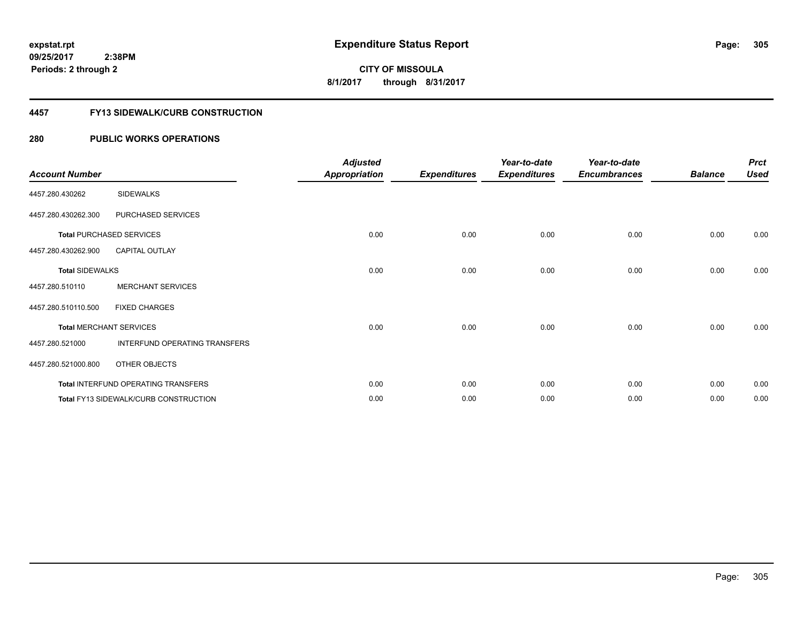### **4457 FY13 SIDEWALK/CURB CONSTRUCTION**

| <b>Account Number</b>  |                                       | <b>Adjusted</b><br><b>Appropriation</b> | <b>Expenditures</b> | Year-to-date<br><b>Expenditures</b> | Year-to-date<br><b>Encumbrances</b> | <b>Balance</b> | <b>Prct</b><br><b>Used</b> |
|------------------------|---------------------------------------|-----------------------------------------|---------------------|-------------------------------------|-------------------------------------|----------------|----------------------------|
| 4457.280.430262        | <b>SIDEWALKS</b>                      |                                         |                     |                                     |                                     |                |                            |
| 4457.280.430262.300    | PURCHASED SERVICES                    |                                         |                     |                                     |                                     |                |                            |
|                        | <b>Total PURCHASED SERVICES</b>       | 0.00                                    | 0.00                | 0.00                                | 0.00                                | 0.00           | 0.00                       |
| 4457.280.430262.900    | CAPITAL OUTLAY                        |                                         |                     |                                     |                                     |                |                            |
| <b>Total SIDEWALKS</b> |                                       | 0.00                                    | 0.00                | 0.00                                | 0.00                                | 0.00           | 0.00                       |
| 4457.280.510110        | <b>MERCHANT SERVICES</b>              |                                         |                     |                                     |                                     |                |                            |
| 4457.280.510110.500    | <b>FIXED CHARGES</b>                  |                                         |                     |                                     |                                     |                |                            |
|                        | <b>Total MERCHANT SERVICES</b>        | 0.00                                    | 0.00                | 0.00                                | 0.00                                | 0.00           | 0.00                       |
| 4457.280.521000        | INTERFUND OPERATING TRANSFERS         |                                         |                     |                                     |                                     |                |                            |
| 4457.280.521000.800    | OTHER OBJECTS                         |                                         |                     |                                     |                                     |                |                            |
|                        | Total INTERFUND OPERATING TRANSFERS   | 0.00                                    | 0.00                | 0.00                                | 0.00                                | 0.00           | 0.00                       |
|                        | Total FY13 SIDEWALK/CURB CONSTRUCTION | 0.00                                    | 0.00                | 0.00                                | 0.00                                | 0.00           | 0.00                       |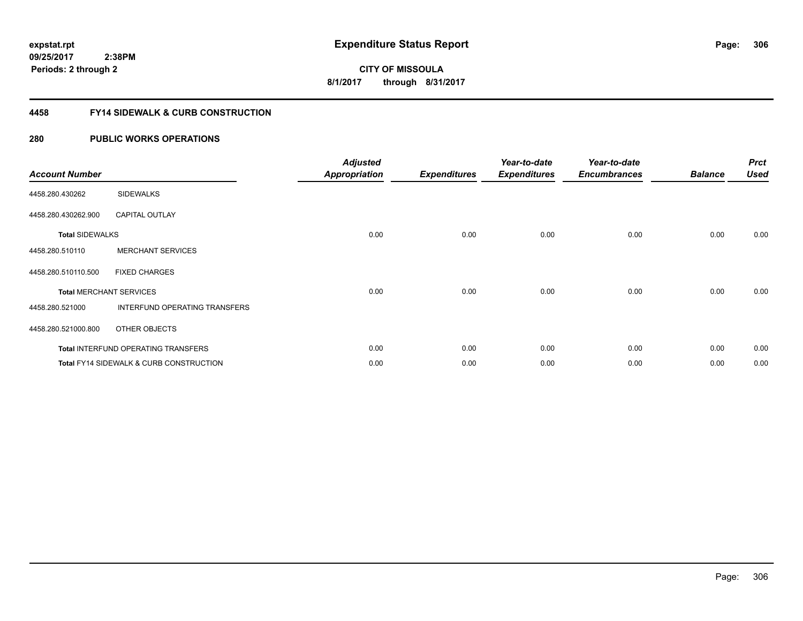### **4458 FY14 SIDEWALK & CURB CONSTRUCTION**

| <b>Account Number</b>  |                                                    | <b>Adjusted</b><br><b>Appropriation</b> | <b>Expenditures</b> | Year-to-date<br><b>Expenditures</b> | Year-to-date<br><b>Encumbrances</b> | <b>Balance</b> | <b>Prct</b><br><b>Used</b> |
|------------------------|----------------------------------------------------|-----------------------------------------|---------------------|-------------------------------------|-------------------------------------|----------------|----------------------------|
| 4458.280.430262        | <b>SIDEWALKS</b>                                   |                                         |                     |                                     |                                     |                |                            |
| 4458.280.430262.900    | <b>CAPITAL OUTLAY</b>                              |                                         |                     |                                     |                                     |                |                            |
| <b>Total SIDEWALKS</b> |                                                    | 0.00                                    | 0.00                | 0.00                                | 0.00                                | 0.00           | 0.00                       |
| 4458.280.510110        | <b>MERCHANT SERVICES</b>                           |                                         |                     |                                     |                                     |                |                            |
| 4458.280.510110.500    | <b>FIXED CHARGES</b>                               |                                         |                     |                                     |                                     |                |                            |
|                        | <b>Total MERCHANT SERVICES</b>                     | 0.00                                    | 0.00                | 0.00                                | 0.00                                | 0.00           | 0.00                       |
| 4458.280.521000        | INTERFUND OPERATING TRANSFERS                      |                                         |                     |                                     |                                     |                |                            |
| 4458.280.521000.800    | OTHER OBJECTS                                      |                                         |                     |                                     |                                     |                |                            |
|                        | Total INTERFUND OPERATING TRANSFERS                | 0.00                                    | 0.00                | 0.00                                | 0.00                                | 0.00           | 0.00                       |
|                        | <b>Total FY14 SIDEWALK &amp; CURB CONSTRUCTION</b> | 0.00                                    | 0.00                | 0.00                                | 0.00                                | 0.00           | 0.00                       |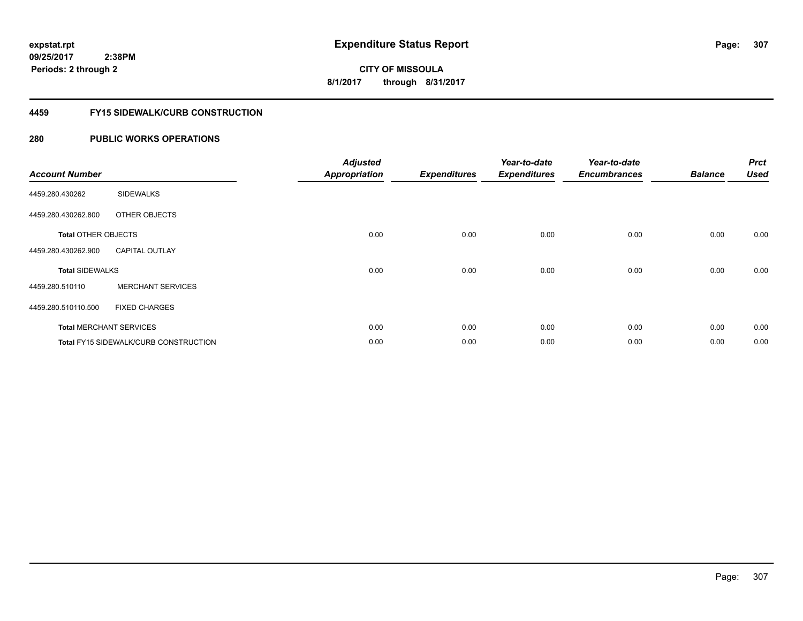**CITY OF MISSOULA 8/1/2017 through 8/31/2017**

#### **4459 FY15 SIDEWALK/CURB CONSTRUCTION**

| <b>Account Number</b>      |                                       | <b>Adjusted</b><br><b>Appropriation</b> | <b>Expenditures</b> | Year-to-date<br><b>Expenditures</b> | Year-to-date<br><b>Encumbrances</b> | <b>Balance</b> | <b>Prct</b><br><b>Used</b> |
|----------------------------|---------------------------------------|-----------------------------------------|---------------------|-------------------------------------|-------------------------------------|----------------|----------------------------|
| 4459.280.430262            | <b>SIDEWALKS</b>                      |                                         |                     |                                     |                                     |                |                            |
| 4459.280.430262.800        | OTHER OBJECTS                         |                                         |                     |                                     |                                     |                |                            |
| <b>Total OTHER OBJECTS</b> |                                       | 0.00                                    | 0.00                | 0.00                                | 0.00                                | 0.00           | 0.00                       |
| 4459.280.430262.900        | <b>CAPITAL OUTLAY</b>                 |                                         |                     |                                     |                                     |                |                            |
| <b>Total SIDEWALKS</b>     |                                       | 0.00                                    | 0.00                | 0.00                                | 0.00                                | 0.00           | 0.00                       |
| 4459.280.510110            | <b>MERCHANT SERVICES</b>              |                                         |                     |                                     |                                     |                |                            |
| 4459.280.510110.500        | <b>FIXED CHARGES</b>                  |                                         |                     |                                     |                                     |                |                            |
|                            | <b>Total MERCHANT SERVICES</b>        | 0.00                                    | 0.00                | 0.00                                | 0.00                                | 0.00           | 0.00                       |
|                            | Total FY15 SIDEWALK/CURB CONSTRUCTION | 0.00                                    | 0.00                | 0.00                                | 0.00                                | 0.00           | 0.00                       |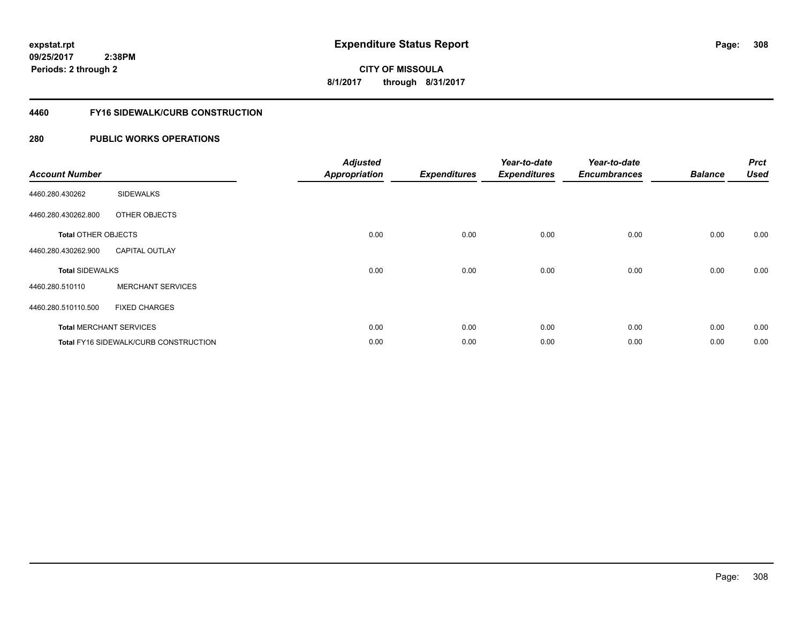**308**

**CITY OF MISSOULA 8/1/2017 through 8/31/2017**

#### **4460 FY16 SIDEWALK/CURB CONSTRUCTION**

| <b>Account Number</b>      |                                              | <b>Adjusted</b><br><b>Appropriation</b> | <b>Expenditures</b> | Year-to-date<br><b>Expenditures</b> | Year-to-date<br><b>Encumbrances</b> | <b>Balance</b> | <b>Prct</b><br><b>Used</b> |
|----------------------------|----------------------------------------------|-----------------------------------------|---------------------|-------------------------------------|-------------------------------------|----------------|----------------------------|
| 4460.280.430262            | <b>SIDEWALKS</b>                             |                                         |                     |                                     |                                     |                |                            |
| 4460.280.430262.800        | OTHER OBJECTS                                |                                         |                     |                                     |                                     |                |                            |
| <b>Total OTHER OBJECTS</b> |                                              | 0.00                                    | 0.00                | 0.00                                | 0.00                                | 0.00           | 0.00                       |
| 4460.280.430262.900        | <b>CAPITAL OUTLAY</b>                        |                                         |                     |                                     |                                     |                |                            |
| <b>Total SIDEWALKS</b>     |                                              | 0.00                                    | 0.00                | 0.00                                | 0.00                                | 0.00           | 0.00                       |
| 4460.280.510110            | <b>MERCHANT SERVICES</b>                     |                                         |                     |                                     |                                     |                |                            |
| 4460.280.510110.500        | <b>FIXED CHARGES</b>                         |                                         |                     |                                     |                                     |                |                            |
|                            | <b>Total MERCHANT SERVICES</b>               | 0.00                                    | 0.00                | 0.00                                | 0.00                                | 0.00           | 0.00                       |
|                            | <b>Total FY16 SIDEWALK/CURB CONSTRUCTION</b> | 0.00                                    | 0.00                | 0.00                                | 0.00                                | 0.00           | 0.00                       |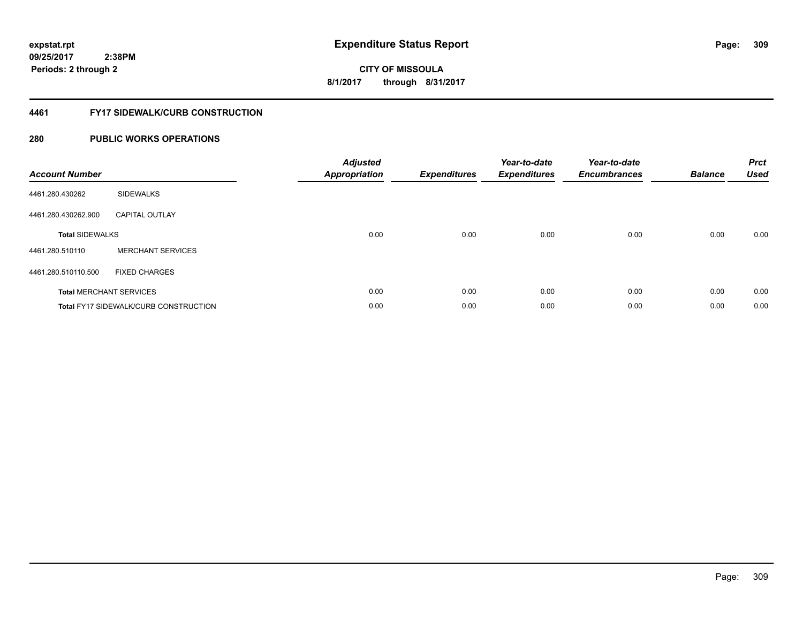# **CITY OF MISSOULA 8/1/2017 through 8/31/2017**

### **4461 FY17 SIDEWALK/CURB CONSTRUCTION**

| <b>Account Number</b>  |                                              | <b>Adjusted</b><br>Appropriation | <b>Expenditures</b> | Year-to-date<br><b>Expenditures</b> | Year-to-date<br><b>Encumbrances</b> | <b>Balance</b> | <b>Prct</b><br><b>Used</b> |
|------------------------|----------------------------------------------|----------------------------------|---------------------|-------------------------------------|-------------------------------------|----------------|----------------------------|
| 4461.280.430262        | <b>SIDEWALKS</b>                             |                                  |                     |                                     |                                     |                |                            |
| 4461.280.430262.900    | <b>CAPITAL OUTLAY</b>                        |                                  |                     |                                     |                                     |                |                            |
| <b>Total SIDEWALKS</b> |                                              | 0.00                             | 0.00                | 0.00                                | 0.00                                | 0.00           | 0.00                       |
| 4461.280.510110        | <b>MERCHANT SERVICES</b>                     |                                  |                     |                                     |                                     |                |                            |
| 4461.280.510110.500    | <b>FIXED CHARGES</b>                         |                                  |                     |                                     |                                     |                |                            |
|                        | <b>Total MERCHANT SERVICES</b>               | 0.00                             | 0.00                | 0.00                                | 0.00                                | 0.00           | 0.00                       |
|                        | <b>Total FY17 SIDEWALK/CURB CONSTRUCTION</b> | 0.00                             | 0.00                | 0.00                                | 0.00                                | 0.00           | 0.00                       |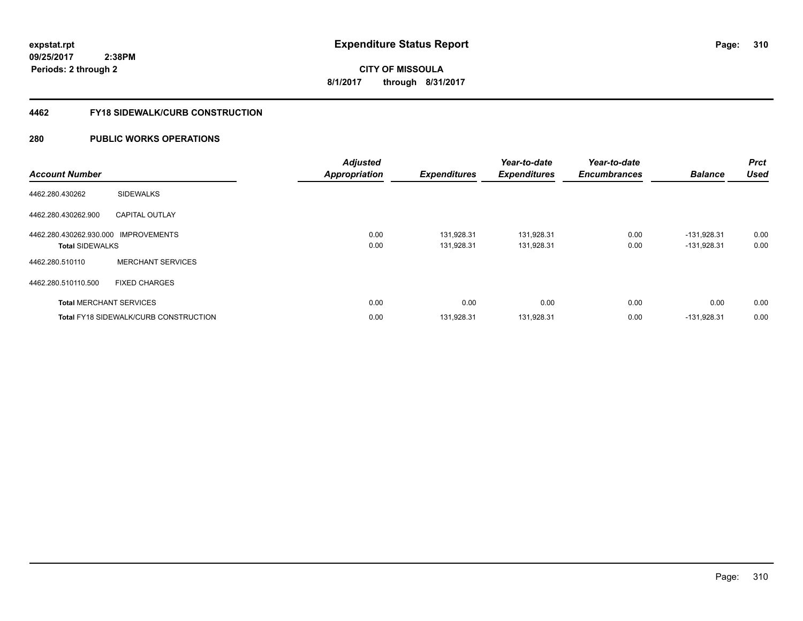# **CITY OF MISSOULA 8/1/2017 through 8/31/2017**

### **4462 FY18 SIDEWALK/CURB CONSTRUCTION**

| <b>Account Number</b>                                          |                                              | <b>Adjusted</b><br><b>Appropriation</b> | <b>Expenditures</b>      | Year-to-date<br><b>Expenditures</b> | Year-to-date<br><b>Encumbrances</b> | <b>Balance</b>                 | <b>Prct</b><br><b>Used</b> |
|----------------------------------------------------------------|----------------------------------------------|-----------------------------------------|--------------------------|-------------------------------------|-------------------------------------|--------------------------------|----------------------------|
| 4462.280.430262                                                | <b>SIDEWALKS</b>                             |                                         |                          |                                     |                                     |                                |                            |
| 4462.280.430262.900                                            | <b>CAPITAL OUTLAY</b>                        |                                         |                          |                                     |                                     |                                |                            |
| 4462.280.430262.930.000 IMPROVEMENTS<br><b>Total SIDEWALKS</b> |                                              | 0.00<br>0.00                            | 131,928.31<br>131.928.31 | 131,928.31<br>131,928.31            | 0.00<br>0.00                        | $-131.928.31$<br>$-131.928.31$ | 0.00<br>0.00               |
| 4462.280.510110                                                | <b>MERCHANT SERVICES</b>                     |                                         |                          |                                     |                                     |                                |                            |
| 4462.280.510110.500                                            | <b>FIXED CHARGES</b>                         |                                         |                          |                                     |                                     |                                |                            |
|                                                                | <b>Total MERCHANT SERVICES</b>               | 0.00                                    | 0.00                     | 0.00                                | 0.00                                | 0.00                           | 0.00                       |
|                                                                | <b>Total FY18 SIDEWALK/CURB CONSTRUCTION</b> | 0.00                                    | 131,928.31               | 131,928.31                          | 0.00                                | $-131,928.31$                  | 0.00                       |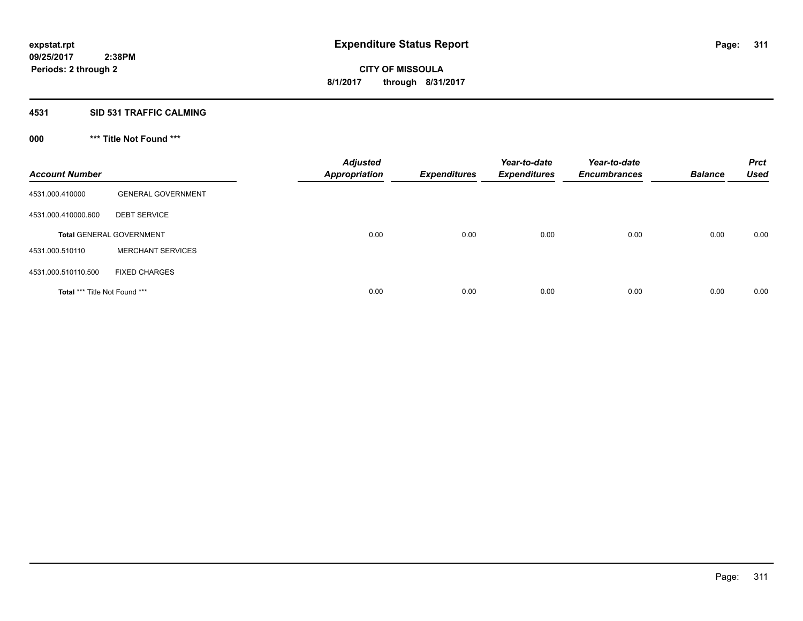### **4531 SID 531 TRAFFIC CALMING**

## **000 \*\*\* Title Not Found \*\*\***

| <b>Account Number</b>         |                                 | <b>Adjusted</b><br><b>Appropriation</b> | <b>Expenditures</b> | Year-to-date<br><b>Expenditures</b> | Year-to-date<br><b>Encumbrances</b> | <b>Balance</b> | <b>Prct</b><br><b>Used</b> |
|-------------------------------|---------------------------------|-----------------------------------------|---------------------|-------------------------------------|-------------------------------------|----------------|----------------------------|
| 4531.000.410000               | <b>GENERAL GOVERNMENT</b>       |                                         |                     |                                     |                                     |                |                            |
| 4531.000.410000.600           | <b>DEBT SERVICE</b>             |                                         |                     |                                     |                                     |                |                            |
|                               | <b>Total GENERAL GOVERNMENT</b> | 0.00                                    | 0.00                | 0.00                                | 0.00                                | 0.00           | 0.00                       |
| 4531.000.510110               | <b>MERCHANT SERVICES</b>        |                                         |                     |                                     |                                     |                |                            |
| 4531.000.510110.500           | <b>FIXED CHARGES</b>            |                                         |                     |                                     |                                     |                |                            |
| Total *** Title Not Found *** |                                 | 0.00                                    | 0.00                | 0.00                                | 0.00                                | 0.00           | 0.00                       |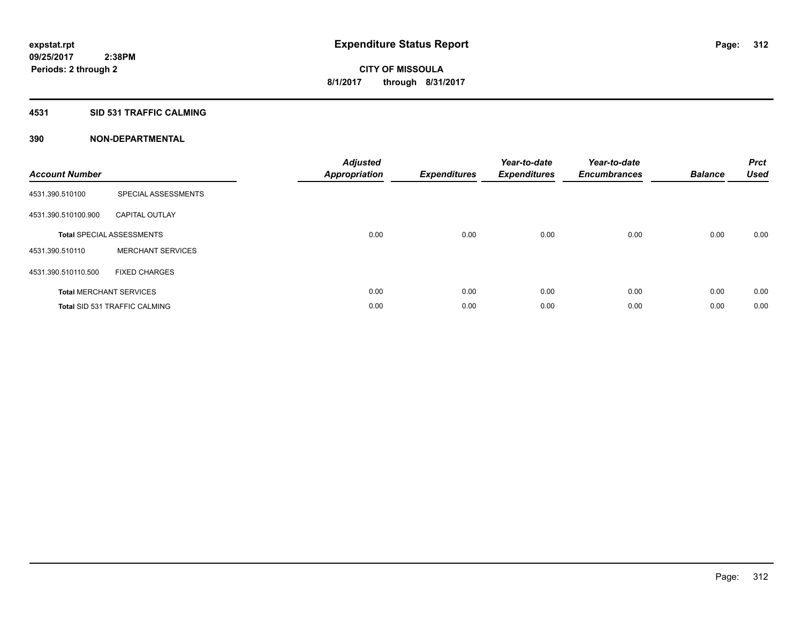### **4531 SID 531 TRAFFIC CALMING**

| <b>Account Number</b> |                                      | <b>Adjusted</b><br>Appropriation | <b>Expenditures</b> | Year-to-date<br><b>Expenditures</b> | Year-to-date<br><b>Encumbrances</b> | <b>Balance</b> | <b>Prct</b><br><b>Used</b> |
|-----------------------|--------------------------------------|----------------------------------|---------------------|-------------------------------------|-------------------------------------|----------------|----------------------------|
| 4531.390.510100       | SPECIAL ASSESSMENTS                  |                                  |                     |                                     |                                     |                |                            |
| 4531.390.510100.900   | <b>CAPITAL OUTLAY</b>                |                                  |                     |                                     |                                     |                |                            |
|                       | <b>Total SPECIAL ASSESSMENTS</b>     | 0.00                             | 0.00                | 0.00                                | 0.00                                | 0.00           | 0.00                       |
| 4531.390.510110       | <b>MERCHANT SERVICES</b>             |                                  |                     |                                     |                                     |                |                            |
| 4531.390.510110.500   | <b>FIXED CHARGES</b>                 |                                  |                     |                                     |                                     |                |                            |
|                       | <b>Total MERCHANT SERVICES</b>       | 0.00                             | 0.00                | 0.00                                | 0.00                                | 0.00           | 0.00                       |
|                       | <b>Total SID 531 TRAFFIC CALMING</b> | 0.00                             | 0.00                | 0.00                                | 0.00                                | 0.00           | 0.00                       |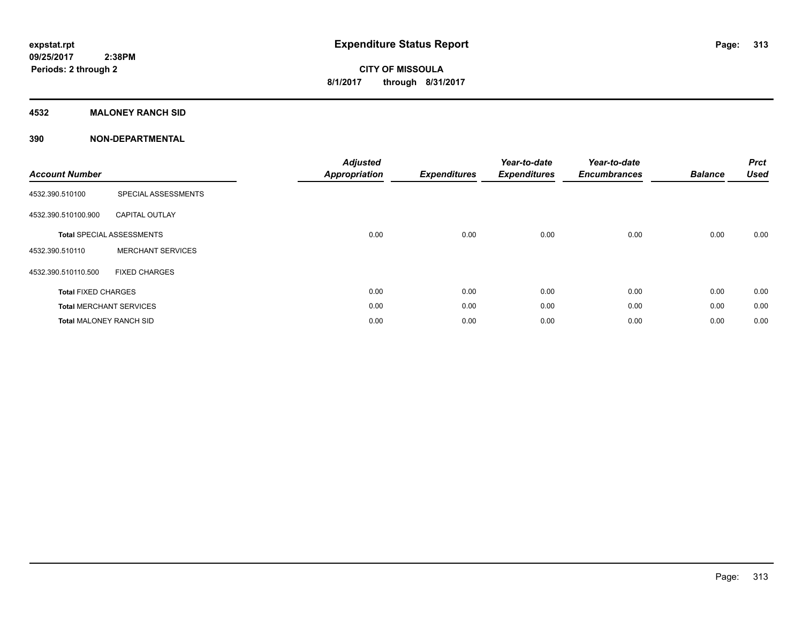### **4532 MALONEY RANCH SID**

| <b>Account Number</b>          |                                  | <b>Adjusted</b><br><b>Appropriation</b> | <b>Expenditures</b> | Year-to-date<br><b>Expenditures</b> | Year-to-date<br><b>Encumbrances</b> | <b>Balance</b> | <b>Prct</b><br><b>Used</b> |
|--------------------------------|----------------------------------|-----------------------------------------|---------------------|-------------------------------------|-------------------------------------|----------------|----------------------------|
| 4532.390.510100                | SPECIAL ASSESSMENTS              |                                         |                     |                                     |                                     |                |                            |
| 4532.390.510100.900            | <b>CAPITAL OUTLAY</b>            |                                         |                     |                                     |                                     |                |                            |
|                                | <b>Total SPECIAL ASSESSMENTS</b> | 0.00                                    | 0.00                | 0.00                                | 0.00                                | 0.00           | 0.00                       |
| 4532.390.510110                | <b>MERCHANT SERVICES</b>         |                                         |                     |                                     |                                     |                |                            |
| 4532.390.510110.500            | <b>FIXED CHARGES</b>             |                                         |                     |                                     |                                     |                |                            |
| <b>Total FIXED CHARGES</b>     |                                  | 0.00                                    | 0.00                | 0.00                                | 0.00                                | 0.00           | 0.00                       |
|                                | <b>Total MERCHANT SERVICES</b>   | 0.00                                    | 0.00                | 0.00                                | 0.00                                | 0.00           | 0.00                       |
| <b>Total MALONEY RANCH SID</b> |                                  | 0.00                                    | 0.00                | 0.00                                | 0.00                                | 0.00           | 0.00                       |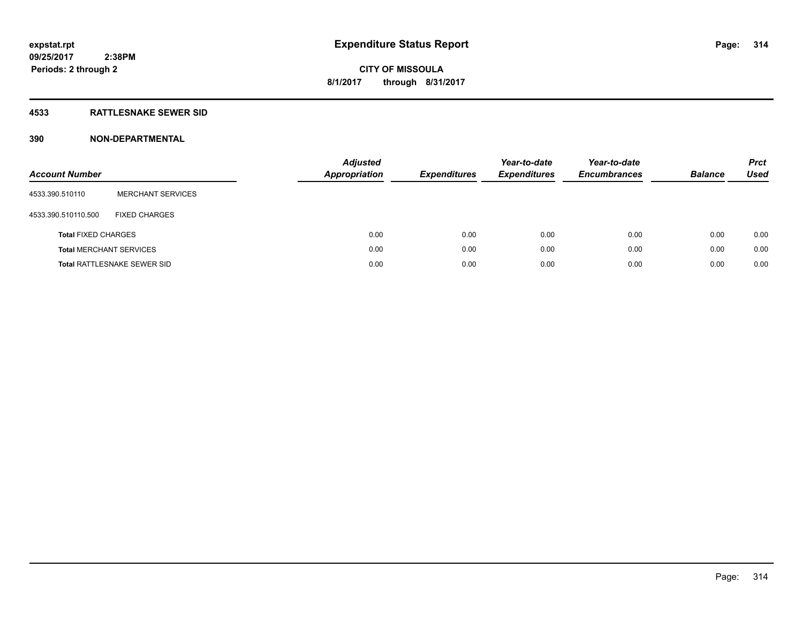### **4533 RATTLESNAKE SEWER SID**

| <b>Account Number</b>      |                                    | <b>Adjusted</b><br>Appropriation | <b>Expenditures</b> | Year-to-date<br><b>Expenditures</b> | Year-to-date<br><b>Encumbrances</b> | <b>Balance</b> | <b>Prct</b><br><b>Used</b> |
|----------------------------|------------------------------------|----------------------------------|---------------------|-------------------------------------|-------------------------------------|----------------|----------------------------|
| 4533.390.510110            | <b>MERCHANT SERVICES</b>           |                                  |                     |                                     |                                     |                |                            |
| 4533.390.510110.500        | <b>FIXED CHARGES</b>               |                                  |                     |                                     |                                     |                |                            |
| <b>Total FIXED CHARGES</b> |                                    |                                  | 0.00<br>0.00        | 0.00                                | 0.00                                | 0.00           | 0.00                       |
|                            | <b>Total MERCHANT SERVICES</b>     |                                  | 0.00<br>0.00        | 0.00                                | 0.00                                | 0.00           | 0.00                       |
|                            | <b>Total RATTLESNAKE SEWER SID</b> |                                  | 0.00<br>0.00        | 0.00                                | 0.00                                | 0.00           | 0.00                       |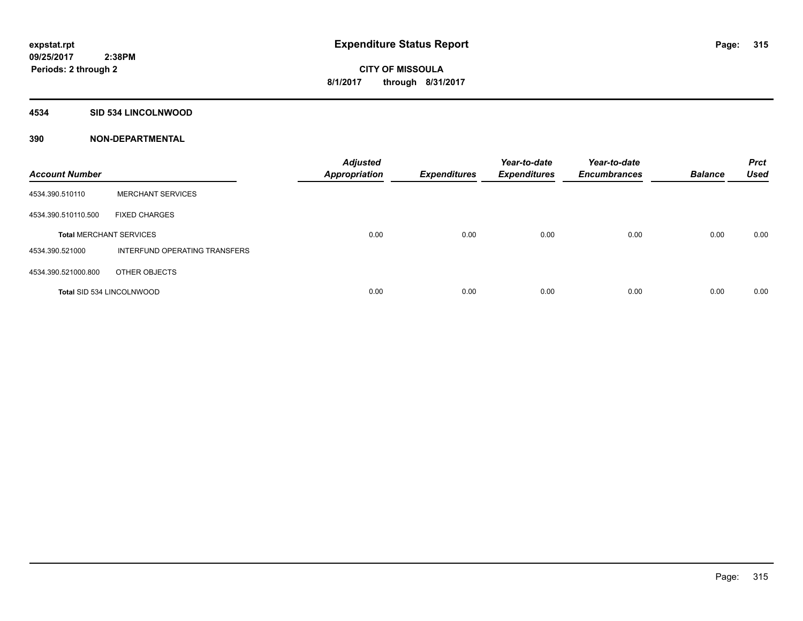### **4534 SID 534 LINCOLNWOOD**

| <b>Account Number</b>            |                               | <b>Adjusted</b><br><b>Appropriation</b> | <b>Expenditures</b> | Year-to-date<br><b>Expenditures</b> | Year-to-date<br><b>Encumbrances</b> | <b>Balance</b> | <b>Prct</b><br><b>Used</b> |
|----------------------------------|-------------------------------|-----------------------------------------|---------------------|-------------------------------------|-------------------------------------|----------------|----------------------------|
| 4534.390.510110                  | <b>MERCHANT SERVICES</b>      |                                         |                     |                                     |                                     |                |                            |
| 4534.390.510110.500              | <b>FIXED CHARGES</b>          |                                         |                     |                                     |                                     |                |                            |
| <b>Total MERCHANT SERVICES</b>   |                               | 0.00                                    | 0.00                | 0.00                                | 0.00                                | 0.00           | 0.00                       |
| 4534.390.521000                  | INTERFUND OPERATING TRANSFERS |                                         |                     |                                     |                                     |                |                            |
| 4534.390.521000.800              | OTHER OBJECTS                 |                                         |                     |                                     |                                     |                |                            |
| <b>Total SID 534 LINCOLNWOOD</b> |                               | 0.00                                    | 0.00                | 0.00                                | 0.00                                | 0.00           | 0.00                       |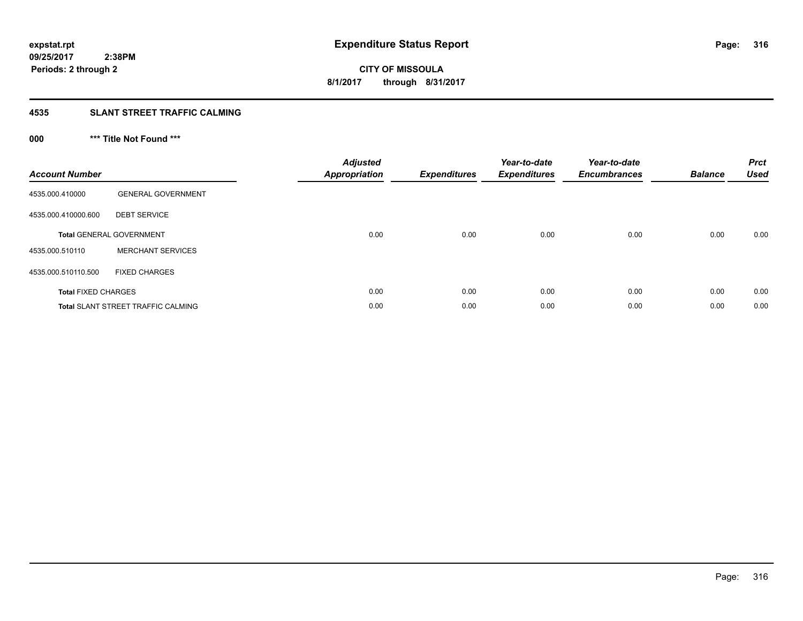**CITY OF MISSOULA 8/1/2017 through 8/31/2017**

### **4535 SLANT STREET TRAFFIC CALMING**

## **000 \*\*\* Title Not Found \*\*\***

| <b>Account Number</b>      |                                           | <b>Adjusted</b><br><b>Appropriation</b> | <b>Expenditures</b> | Year-to-date<br><b>Expenditures</b> | Year-to-date<br><b>Encumbrances</b> | <b>Balance</b> | <b>Prct</b><br><b>Used</b> |
|----------------------------|-------------------------------------------|-----------------------------------------|---------------------|-------------------------------------|-------------------------------------|----------------|----------------------------|
| 4535.000.410000            | <b>GENERAL GOVERNMENT</b>                 |                                         |                     |                                     |                                     |                |                            |
| 4535.000.410000.600        | <b>DEBT SERVICE</b>                       |                                         |                     |                                     |                                     |                |                            |
|                            | <b>Total GENERAL GOVERNMENT</b>           | 0.00                                    | 0.00                | 0.00                                | 0.00                                | 0.00           | 0.00                       |
| 4535.000.510110            | <b>MERCHANT SERVICES</b>                  |                                         |                     |                                     |                                     |                |                            |
| 4535.000.510110.500        | <b>FIXED CHARGES</b>                      |                                         |                     |                                     |                                     |                |                            |
| <b>Total FIXED CHARGES</b> |                                           | 0.00                                    | 0.00                | 0.00                                | 0.00                                | 0.00           | 0.00                       |
|                            | <b>Total SLANT STREET TRAFFIC CALMING</b> | 0.00                                    | 0.00                | 0.00                                | 0.00                                | 0.00           | 0.00                       |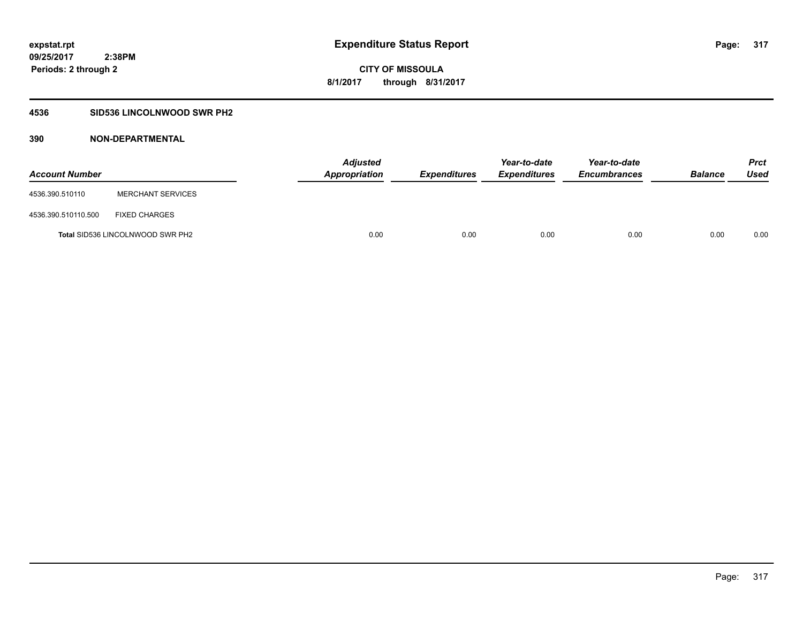### **4536 SID536 LINCOLNWOOD SWR PH2**

| <b>Account Number</b> |                                         | <b>Adjusted</b><br>Appropriation | <b>Expenditures</b> | Year-to-date<br><b>Expenditures</b> | Year-to-date<br><b>Encumbrances</b> | <b>Balance</b> | Prct<br><b>Used</b> |
|-----------------------|-----------------------------------------|----------------------------------|---------------------|-------------------------------------|-------------------------------------|----------------|---------------------|
| 4536.390.510110       | <b>MERCHANT SERVICES</b>                |                                  |                     |                                     |                                     |                |                     |
| 4536.390.510110.500   | <b>FIXED CHARGES</b>                    |                                  |                     |                                     |                                     |                |                     |
|                       | <b>Total SID536 LINCOLNWOOD SWR PH2</b> | 0.00                             | 0.00                | 0.00                                | 0.00                                | 0.00           | 0.00                |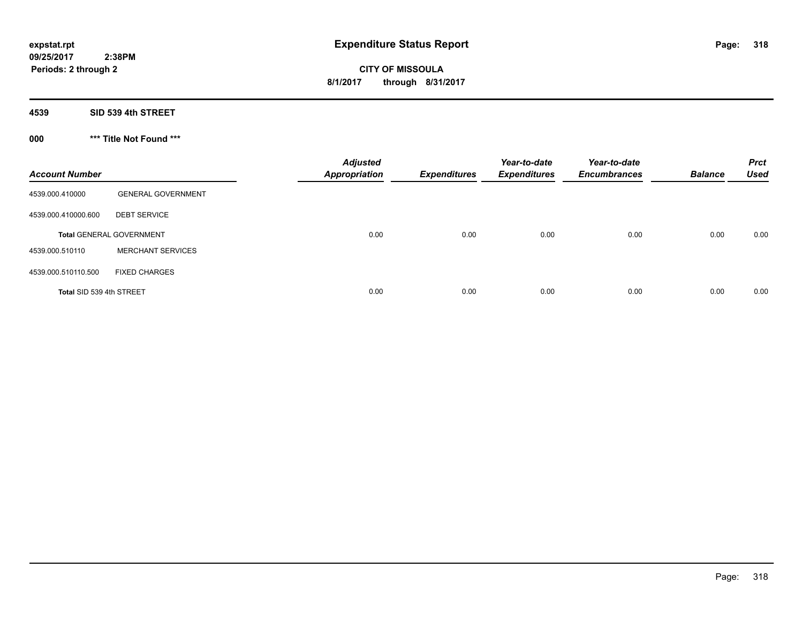**4539 SID 539 4th STREET**

**000 \*\*\* Title Not Found \*\*\***

| <b>Account Number</b>    |                                 | <b>Adjusted</b><br><b>Appropriation</b> | <b>Expenditures</b> | Year-to-date<br><b>Expenditures</b> | Year-to-date<br><b>Encumbrances</b> | <b>Balance</b> | <b>Prct</b><br><b>Used</b> |
|--------------------------|---------------------------------|-----------------------------------------|---------------------|-------------------------------------|-------------------------------------|----------------|----------------------------|
| 4539.000.410000          | <b>GENERAL GOVERNMENT</b>       |                                         |                     |                                     |                                     |                |                            |
| 4539.000.410000.600      | <b>DEBT SERVICE</b>             |                                         |                     |                                     |                                     |                |                            |
|                          | <b>Total GENERAL GOVERNMENT</b> | 0.00                                    | 0.00                | 0.00                                | 0.00                                | 0.00           | 0.00                       |
| 4539.000.510110          | <b>MERCHANT SERVICES</b>        |                                         |                     |                                     |                                     |                |                            |
| 4539.000.510110.500      | <b>FIXED CHARGES</b>            |                                         |                     |                                     |                                     |                |                            |
| Total SID 539 4th STREET |                                 | 0.00                                    | 0.00                | 0.00                                | 0.00                                | 0.00           | 0.00                       |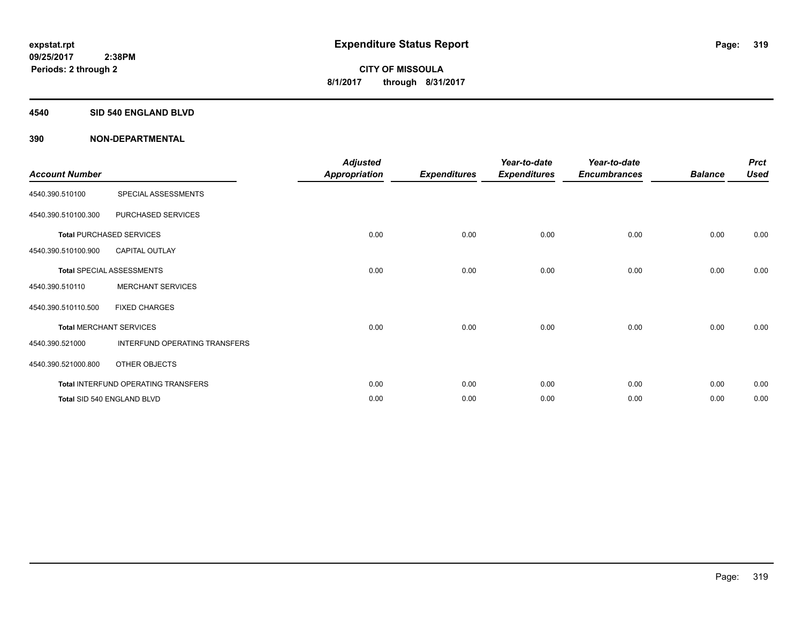#### **4540 SID 540 ENGLAND BLVD**

| <b>Account Number</b> |                                     | <b>Adjusted</b><br><b>Appropriation</b> | <b>Expenditures</b> | Year-to-date<br><b>Expenditures</b> | Year-to-date<br><b>Encumbrances</b> | <b>Balance</b> | <b>Prct</b><br><b>Used</b> |
|-----------------------|-------------------------------------|-----------------------------------------|---------------------|-------------------------------------|-------------------------------------|----------------|----------------------------|
| 4540.390.510100       | SPECIAL ASSESSMENTS                 |                                         |                     |                                     |                                     |                |                            |
| 4540.390.510100.300   | PURCHASED SERVICES                  |                                         |                     |                                     |                                     |                |                            |
|                       | <b>Total PURCHASED SERVICES</b>     | 0.00                                    | 0.00                | 0.00                                | 0.00                                | 0.00           | 0.00                       |
| 4540.390.510100.900   | <b>CAPITAL OUTLAY</b>               |                                         |                     |                                     |                                     |                |                            |
|                       | <b>Total SPECIAL ASSESSMENTS</b>    | 0.00                                    | 0.00                | 0.00                                | 0.00                                | 0.00           | 0.00                       |
| 4540.390.510110       | <b>MERCHANT SERVICES</b>            |                                         |                     |                                     |                                     |                |                            |
| 4540.390.510110.500   | <b>FIXED CHARGES</b>                |                                         |                     |                                     |                                     |                |                            |
|                       | <b>Total MERCHANT SERVICES</b>      | 0.00                                    | 0.00                | 0.00                                | 0.00                                | 0.00           | 0.00                       |
| 4540.390.521000       | INTERFUND OPERATING TRANSFERS       |                                         |                     |                                     |                                     |                |                            |
| 4540.390.521000.800   | OTHER OBJECTS                       |                                         |                     |                                     |                                     |                |                            |
|                       | Total INTERFUND OPERATING TRANSFERS | 0.00                                    | 0.00                | 0.00                                | 0.00                                | 0.00           | 0.00                       |
|                       | Total SID 540 ENGLAND BLVD          | 0.00                                    | 0.00                | 0.00                                | 0.00                                | 0.00           | 0.00                       |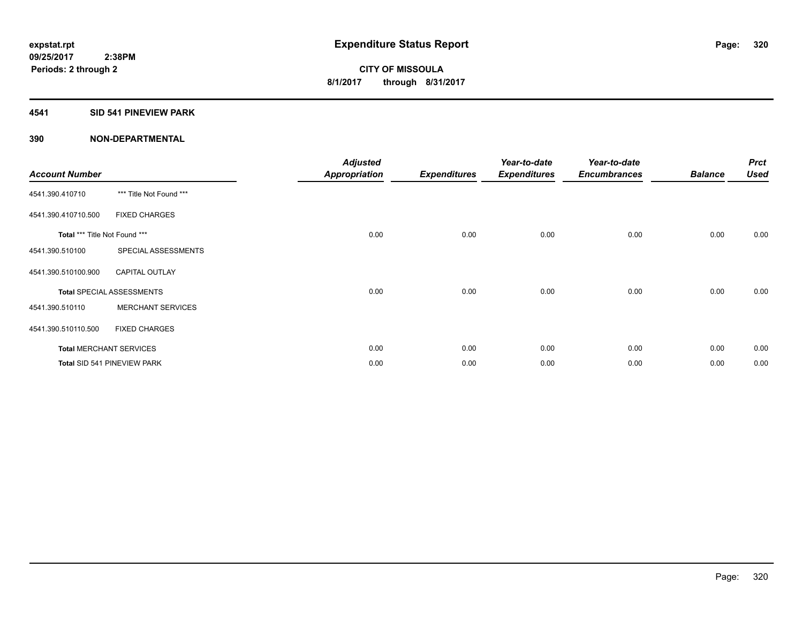### **4541 SID 541 PINEVIEW PARK**

| <b>Account Number</b>         |                                  | <b>Adjusted</b><br><b>Appropriation</b> | <b>Expenditures</b> | Year-to-date<br><b>Expenditures</b> | Year-to-date<br><b>Encumbrances</b> | <b>Balance</b> | <b>Prct</b><br><b>Used</b> |
|-------------------------------|----------------------------------|-----------------------------------------|---------------------|-------------------------------------|-------------------------------------|----------------|----------------------------|
| 4541.390.410710               | *** Title Not Found ***          |                                         |                     |                                     |                                     |                |                            |
| 4541.390.410710.500           | <b>FIXED CHARGES</b>             |                                         |                     |                                     |                                     |                |                            |
| Total *** Title Not Found *** |                                  | 0.00                                    | 0.00                | 0.00                                | 0.00                                | 0.00           | 0.00                       |
| 4541.390.510100               | SPECIAL ASSESSMENTS              |                                         |                     |                                     |                                     |                |                            |
| 4541.390.510100.900           | <b>CAPITAL OUTLAY</b>            |                                         |                     |                                     |                                     |                |                            |
|                               | <b>Total SPECIAL ASSESSMENTS</b> | 0.00                                    | 0.00                | 0.00                                | 0.00                                | 0.00           | 0.00                       |
| 4541.390.510110               | <b>MERCHANT SERVICES</b>         |                                         |                     |                                     |                                     |                |                            |
| 4541.390.510110.500           | <b>FIXED CHARGES</b>             |                                         |                     |                                     |                                     |                |                            |
|                               | <b>Total MERCHANT SERVICES</b>   | 0.00                                    | 0.00                | 0.00                                | 0.00                                | 0.00           | 0.00                       |
|                               | Total SID 541 PINEVIEW PARK      | 0.00                                    | 0.00                | 0.00                                | 0.00                                | 0.00           | 0.00                       |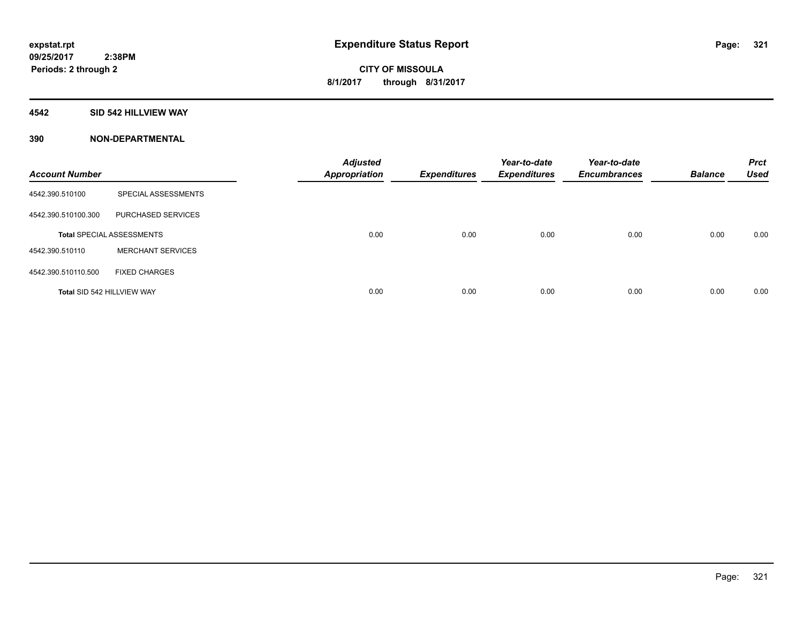#### **4542 SID 542 HILLVIEW WAY**

| <b>Account Number</b>             |                                  | <b>Adjusted</b><br><b>Appropriation</b> | <b>Expenditures</b> | Year-to-date<br><b>Expenditures</b> | Year-to-date<br><b>Encumbrances</b> | <b>Balance</b> | <b>Prct</b><br><b>Used</b> |
|-----------------------------------|----------------------------------|-----------------------------------------|---------------------|-------------------------------------|-------------------------------------|----------------|----------------------------|
| 4542.390.510100                   | SPECIAL ASSESSMENTS              |                                         |                     |                                     |                                     |                |                            |
| 4542.390.510100.300               | PURCHASED SERVICES               |                                         |                     |                                     |                                     |                |                            |
|                                   | <b>Total SPECIAL ASSESSMENTS</b> | 0.00                                    | 0.00                | 0.00                                | 0.00                                | 0.00           | 0.00                       |
| 4542.390.510110                   | <b>MERCHANT SERVICES</b>         |                                         |                     |                                     |                                     |                |                            |
| 4542.390.510110.500               | <b>FIXED CHARGES</b>             |                                         |                     |                                     |                                     |                |                            |
| <b>Total SID 542 HILLVIEW WAY</b> |                                  | 0.00                                    | 0.00                | 0.00                                | 0.00                                | 0.00           | 0.00                       |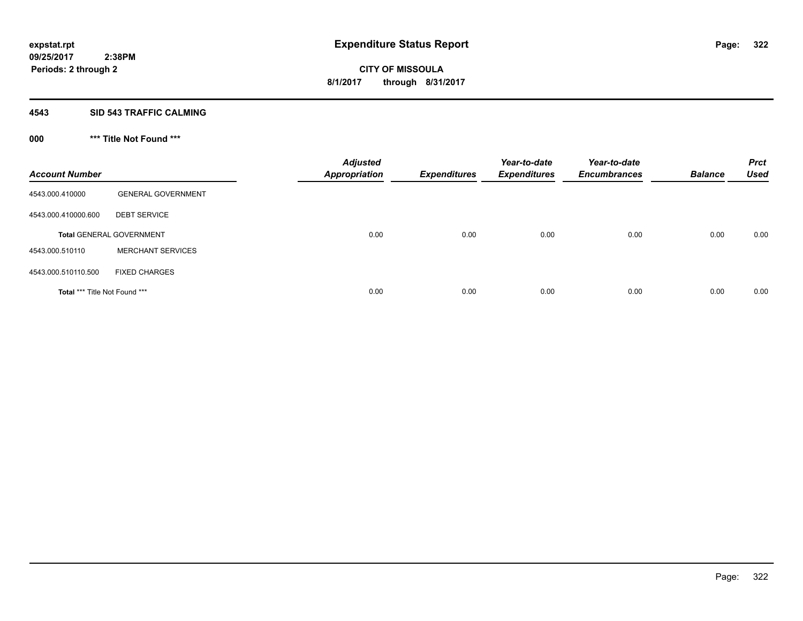#### **4543 SID 543 TRAFFIC CALMING**

## **000 \*\*\* Title Not Found \*\*\***

| <b>Account Number</b>         |                                 | <b>Adjusted</b><br><b>Appropriation</b> | <b>Expenditures</b> | Year-to-date<br><b>Expenditures</b> | Year-to-date<br><b>Encumbrances</b> | <b>Balance</b> | <b>Prct</b><br><b>Used</b> |
|-------------------------------|---------------------------------|-----------------------------------------|---------------------|-------------------------------------|-------------------------------------|----------------|----------------------------|
| 4543.000.410000               | <b>GENERAL GOVERNMENT</b>       |                                         |                     |                                     |                                     |                |                            |
| 4543.000.410000.600           | <b>DEBT SERVICE</b>             |                                         |                     |                                     |                                     |                |                            |
|                               | <b>Total GENERAL GOVERNMENT</b> | 0.00                                    | 0.00                | 0.00                                | 0.00                                | 0.00           | 0.00                       |
| 4543.000.510110               | <b>MERCHANT SERVICES</b>        |                                         |                     |                                     |                                     |                |                            |
| 4543.000.510110.500           | <b>FIXED CHARGES</b>            |                                         |                     |                                     |                                     |                |                            |
| Total *** Title Not Found *** |                                 | 0.00                                    | 0.00                | 0.00                                | 0.00                                | 0.00           | 0.00                       |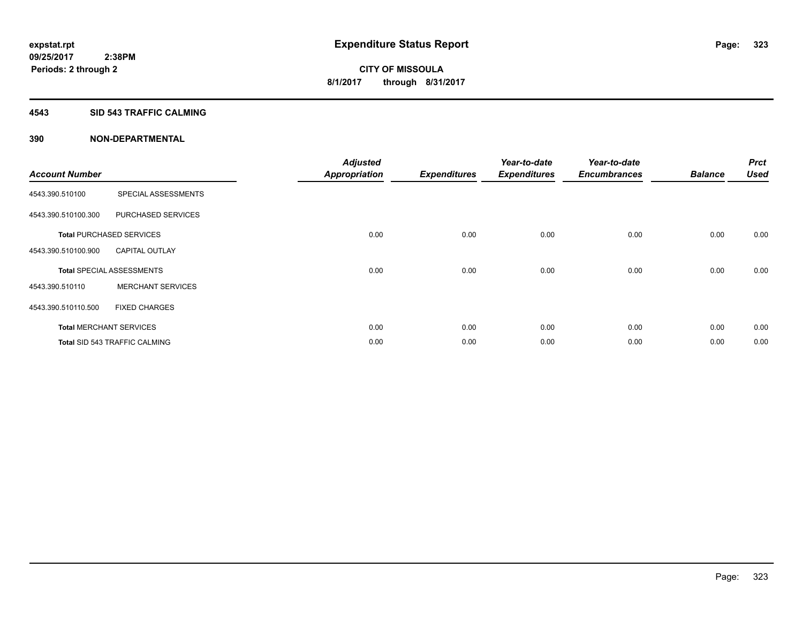### **4543 SID 543 TRAFFIC CALMING**

|                       |                                      | <b>Adjusted</b>      |                     | Year-to-date        | Year-to-date        |                | <b>Prct</b> |
|-----------------------|--------------------------------------|----------------------|---------------------|---------------------|---------------------|----------------|-------------|
| <b>Account Number</b> |                                      | <b>Appropriation</b> | <b>Expenditures</b> | <b>Expenditures</b> | <b>Encumbrances</b> | <b>Balance</b> | <b>Used</b> |
| 4543.390.510100       | SPECIAL ASSESSMENTS                  |                      |                     |                     |                     |                |             |
| 4543.390.510100.300   | PURCHASED SERVICES                   |                      |                     |                     |                     |                |             |
|                       | <b>Total PURCHASED SERVICES</b>      | 0.00                 | 0.00                | 0.00                | 0.00                | 0.00           | 0.00        |
| 4543.390.510100.900   | <b>CAPITAL OUTLAY</b>                |                      |                     |                     |                     |                |             |
|                       | <b>Total SPECIAL ASSESSMENTS</b>     | 0.00                 | 0.00                | 0.00                | 0.00                | 0.00           | 0.00        |
| 4543.390.510110       | <b>MERCHANT SERVICES</b>             |                      |                     |                     |                     |                |             |
| 4543.390.510110.500   | <b>FIXED CHARGES</b>                 |                      |                     |                     |                     |                |             |
|                       | <b>Total MERCHANT SERVICES</b>       | 0.00                 | 0.00                | 0.00                | 0.00                | 0.00           | 0.00        |
|                       | <b>Total SID 543 TRAFFIC CALMING</b> | 0.00                 | 0.00                | 0.00                | 0.00                | 0.00           | 0.00        |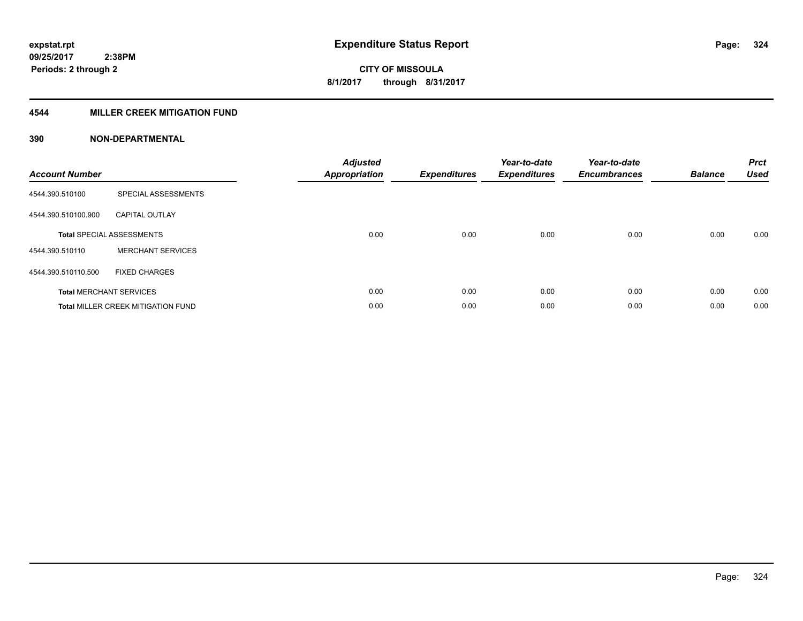### **4544 MILLER CREEK MITIGATION FUND**

| <b>Account Number</b> |                                           | <b>Adjusted</b><br><b>Appropriation</b> | <b>Expenditures</b> | Year-to-date<br><b>Expenditures</b> | Year-to-date<br><b>Encumbrances</b> | <b>Balance</b> | <b>Prct</b><br><b>Used</b> |
|-----------------------|-------------------------------------------|-----------------------------------------|---------------------|-------------------------------------|-------------------------------------|----------------|----------------------------|
| 4544.390.510100       | SPECIAL ASSESSMENTS                       |                                         |                     |                                     |                                     |                |                            |
| 4544.390.510100.900   | <b>CAPITAL OUTLAY</b>                     |                                         |                     |                                     |                                     |                |                            |
|                       | <b>Total SPECIAL ASSESSMENTS</b>          | 0.00                                    | 0.00                | 0.00                                | 0.00                                | 0.00           | 0.00                       |
| 4544.390.510110       | <b>MERCHANT SERVICES</b>                  |                                         |                     |                                     |                                     |                |                            |
| 4544.390.510110.500   | <b>FIXED CHARGES</b>                      |                                         |                     |                                     |                                     |                |                            |
|                       | <b>Total MERCHANT SERVICES</b>            | 0.00                                    | 0.00                | 0.00                                | 0.00                                | 0.00           | 0.00                       |
|                       | <b>Total MILLER CREEK MITIGATION FUND</b> | 0.00                                    | 0.00                | 0.00                                | 0.00                                | 0.00           | 0.00                       |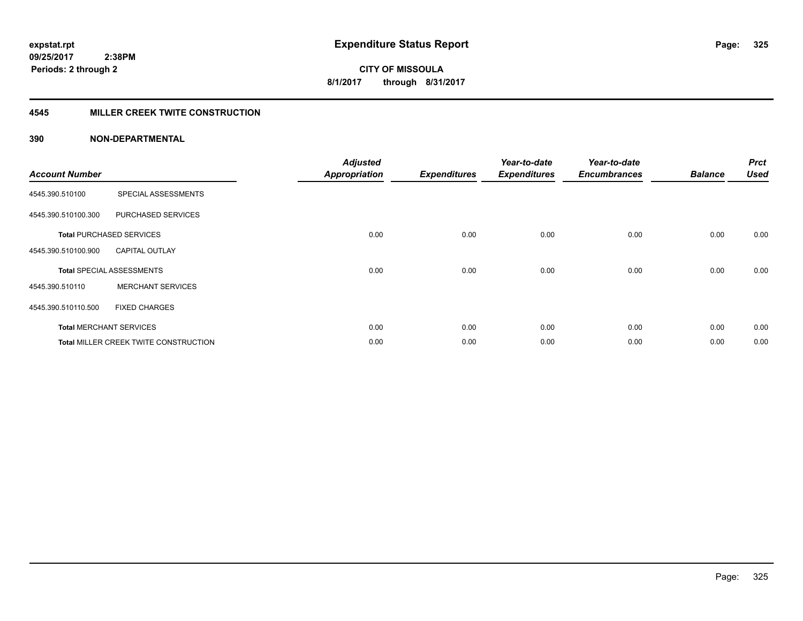### **4545 MILLER CREEK TWITE CONSTRUCTION**

| <b>Account Number</b> |                                       | <b>Adjusted</b><br><b>Appropriation</b> | <b>Expenditures</b> | Year-to-date<br><b>Expenditures</b> | Year-to-date<br><b>Encumbrances</b> | <b>Balance</b> | <b>Prct</b><br><b>Used</b> |
|-----------------------|---------------------------------------|-----------------------------------------|---------------------|-------------------------------------|-------------------------------------|----------------|----------------------------|
| 4545.390.510100       | SPECIAL ASSESSMENTS                   |                                         |                     |                                     |                                     |                |                            |
| 4545.390.510100.300   | PURCHASED SERVICES                    |                                         |                     |                                     |                                     |                |                            |
|                       | <b>Total PURCHASED SERVICES</b>       | 0.00                                    | 0.00                | 0.00                                | 0.00                                | 0.00           | 0.00                       |
| 4545.390.510100.900   | <b>CAPITAL OUTLAY</b>                 |                                         |                     |                                     |                                     |                |                            |
|                       | <b>Total SPECIAL ASSESSMENTS</b>      | 0.00                                    | 0.00                | 0.00                                | 0.00                                | 0.00           | 0.00                       |
| 4545.390.510110       | <b>MERCHANT SERVICES</b>              |                                         |                     |                                     |                                     |                |                            |
| 4545.390.510110.500   | <b>FIXED CHARGES</b>                  |                                         |                     |                                     |                                     |                |                            |
|                       | <b>Total MERCHANT SERVICES</b>        | 0.00                                    | 0.00                | 0.00                                | 0.00                                | 0.00           | 0.00                       |
|                       | Total MILLER CREEK TWITE CONSTRUCTION | 0.00                                    | 0.00                | 0.00                                | 0.00                                | 0.00           | 0.00                       |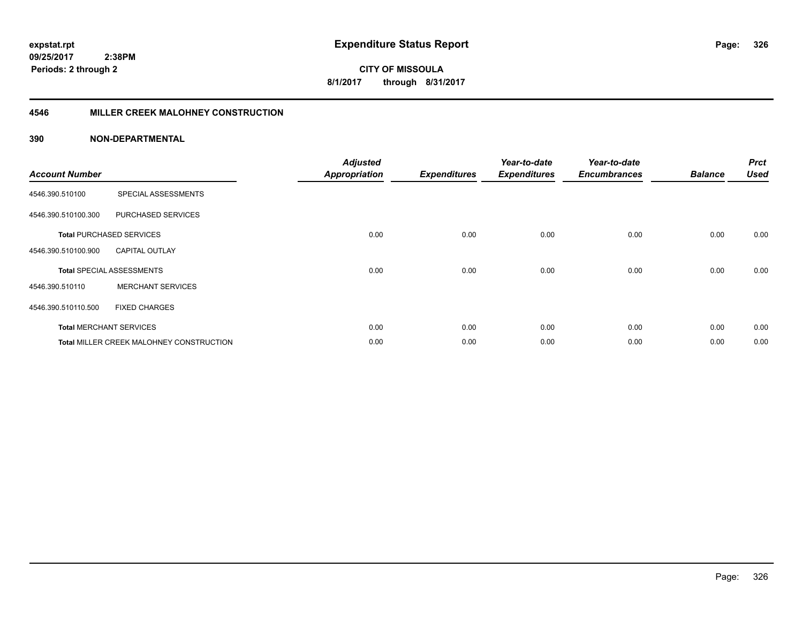**CITY OF MISSOULA 8/1/2017 through 8/31/2017**

#### **4546 MILLER CREEK MALOHNEY CONSTRUCTION**

| <b>Account Number</b> |                                          | <b>Adjusted</b><br><b>Appropriation</b> | <b>Expenditures</b> | Year-to-date<br><b>Expenditures</b> | Year-to-date<br><b>Encumbrances</b> | <b>Balance</b> | <b>Prct</b><br><b>Used</b> |
|-----------------------|------------------------------------------|-----------------------------------------|---------------------|-------------------------------------|-------------------------------------|----------------|----------------------------|
| 4546.390.510100       | SPECIAL ASSESSMENTS                      |                                         |                     |                                     |                                     |                |                            |
| 4546.390.510100.300   | PURCHASED SERVICES                       |                                         |                     |                                     |                                     |                |                            |
|                       | <b>Total PURCHASED SERVICES</b>          | 0.00                                    | 0.00                | 0.00                                | 0.00                                | 0.00           | 0.00                       |
| 4546.390.510100.900   | <b>CAPITAL OUTLAY</b>                    |                                         |                     |                                     |                                     |                |                            |
|                       | <b>Total SPECIAL ASSESSMENTS</b>         | 0.00                                    | 0.00                | 0.00                                | 0.00                                | 0.00           | 0.00                       |
| 4546.390.510110       | <b>MERCHANT SERVICES</b>                 |                                         |                     |                                     |                                     |                |                            |
| 4546.390.510110.500   | <b>FIXED CHARGES</b>                     |                                         |                     |                                     |                                     |                |                            |
|                       | <b>Total MERCHANT SERVICES</b>           | 0.00                                    | 0.00                | 0.00                                | 0.00                                | 0.00           | 0.00                       |
|                       | Total MILLER CREEK MALOHNEY CONSTRUCTION | 0.00                                    | 0.00                | 0.00                                | 0.00                                | 0.00           | 0.00                       |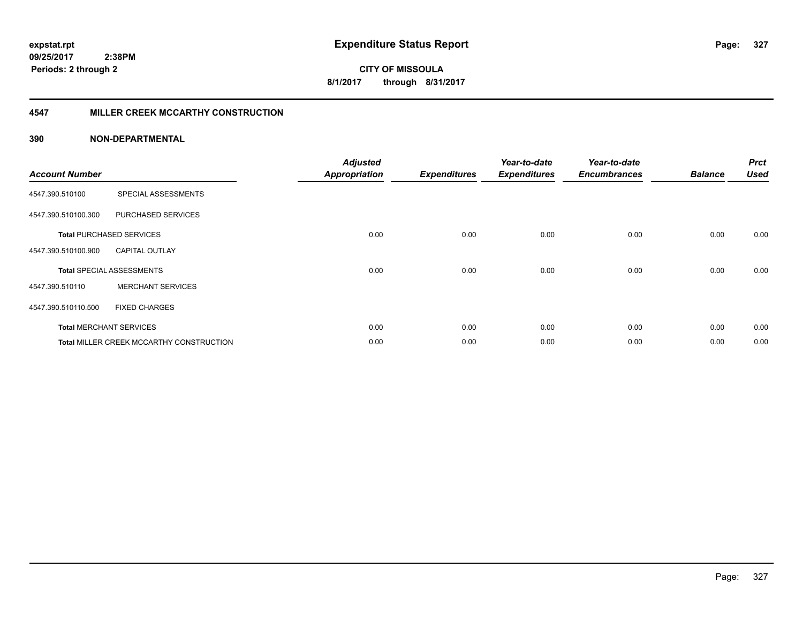**CITY OF MISSOULA 8/1/2017 through 8/31/2017**

### **4547 MILLER CREEK MCCARTHY CONSTRUCTION**

| <b>Account Number</b> |                                                 | <b>Adjusted</b><br><b>Appropriation</b> | <b>Expenditures</b> | Year-to-date<br><b>Expenditures</b> | Year-to-date<br><b>Encumbrances</b> | <b>Balance</b> | <b>Prct</b><br><b>Used</b> |
|-----------------------|-------------------------------------------------|-----------------------------------------|---------------------|-------------------------------------|-------------------------------------|----------------|----------------------------|
| 4547.390.510100       | SPECIAL ASSESSMENTS                             |                                         |                     |                                     |                                     |                |                            |
| 4547.390.510100.300   | <b>PURCHASED SERVICES</b>                       |                                         |                     |                                     |                                     |                |                            |
|                       | <b>Total PURCHASED SERVICES</b>                 | 0.00                                    | 0.00                | 0.00                                | 0.00                                | 0.00           | 0.00                       |
| 4547.390.510100.900   | <b>CAPITAL OUTLAY</b>                           |                                         |                     |                                     |                                     |                |                            |
|                       | <b>Total SPECIAL ASSESSMENTS</b>                | 0.00                                    | 0.00                | 0.00                                | 0.00                                | 0.00           | 0.00                       |
| 4547.390.510110       | <b>MERCHANT SERVICES</b>                        |                                         |                     |                                     |                                     |                |                            |
| 4547.390.510110.500   | <b>FIXED CHARGES</b>                            |                                         |                     |                                     |                                     |                |                            |
|                       | <b>Total MERCHANT SERVICES</b>                  | 0.00                                    | 0.00                | 0.00                                | 0.00                                | 0.00           | 0.00                       |
|                       | <b>Total MILLER CREEK MCCARTHY CONSTRUCTION</b> | 0.00                                    | 0.00                | 0.00                                | 0.00                                | 0.00           | 0.00                       |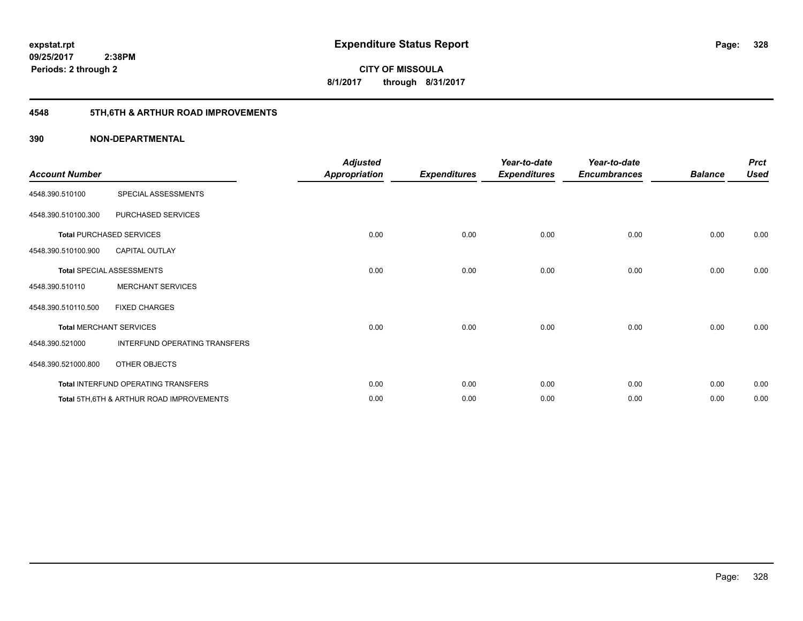**CITY OF MISSOULA 8/1/2017 through 8/31/2017**

# **4548 5TH,6TH & ARTHUR ROAD IMPROVEMENTS**

| <b>Account Number</b> |                                          | <b>Adjusted</b><br><b>Appropriation</b> | <b>Expenditures</b> | Year-to-date<br><b>Expenditures</b> | Year-to-date<br><b>Encumbrances</b> | <b>Balance</b> | <b>Prct</b><br><b>Used</b> |
|-----------------------|------------------------------------------|-----------------------------------------|---------------------|-------------------------------------|-------------------------------------|----------------|----------------------------|
| 4548.390.510100       | SPECIAL ASSESSMENTS                      |                                         |                     |                                     |                                     |                |                            |
| 4548.390.510100.300   | PURCHASED SERVICES                       |                                         |                     |                                     |                                     |                |                            |
|                       | <b>Total PURCHASED SERVICES</b>          | 0.00                                    | 0.00                | 0.00                                | 0.00                                | 0.00           | 0.00                       |
| 4548.390.510100.900   | <b>CAPITAL OUTLAY</b>                    |                                         |                     |                                     |                                     |                |                            |
|                       | <b>Total SPECIAL ASSESSMENTS</b>         | 0.00                                    | 0.00                | 0.00                                | 0.00                                | 0.00           | 0.00                       |
| 4548.390.510110       | <b>MERCHANT SERVICES</b>                 |                                         |                     |                                     |                                     |                |                            |
| 4548.390.510110.500   | <b>FIXED CHARGES</b>                     |                                         |                     |                                     |                                     |                |                            |
|                       | <b>Total MERCHANT SERVICES</b>           | 0.00                                    | 0.00                | 0.00                                | 0.00                                | 0.00           | 0.00                       |
| 4548.390.521000       | INTERFUND OPERATING TRANSFERS            |                                         |                     |                                     |                                     |                |                            |
| 4548.390.521000.800   | OTHER OBJECTS                            |                                         |                     |                                     |                                     |                |                            |
|                       | Total INTERFUND OPERATING TRANSFERS      | 0.00                                    | 0.00                | 0.00                                | 0.00                                | 0.00           | 0.00                       |
|                       | Total 5TH.6TH & ARTHUR ROAD IMPROVEMENTS | 0.00                                    | 0.00                | 0.00                                | 0.00                                | 0.00           | 0.00                       |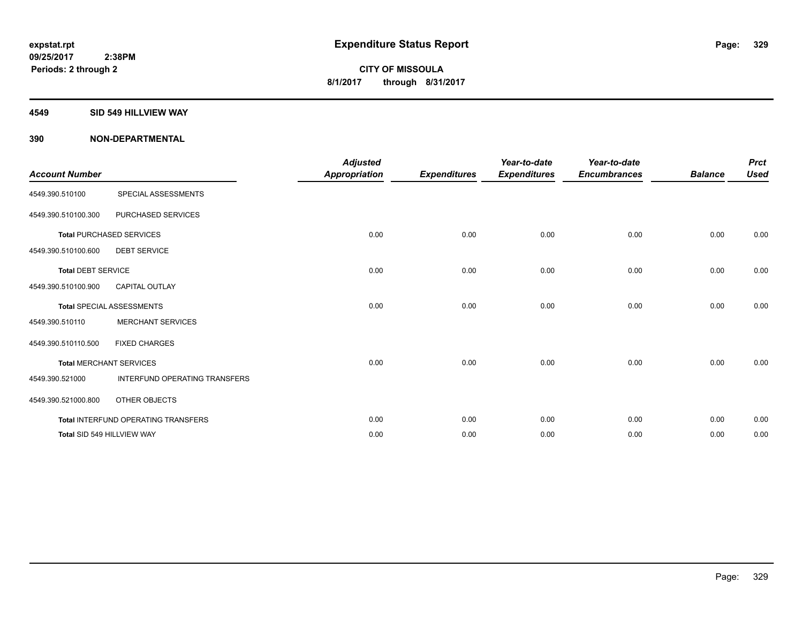#### **4549 SID 549 HILLVIEW WAY**

| <b>Account Number</b>     |                                     | <b>Adjusted</b><br><b>Appropriation</b> | <b>Expenditures</b> | Year-to-date<br><b>Expenditures</b> | Year-to-date<br><b>Encumbrances</b> | <b>Balance</b> | <b>Prct</b><br><b>Used</b> |
|---------------------------|-------------------------------------|-----------------------------------------|---------------------|-------------------------------------|-------------------------------------|----------------|----------------------------|
| 4549.390.510100           | SPECIAL ASSESSMENTS                 |                                         |                     |                                     |                                     |                |                            |
| 4549.390.510100.300       | PURCHASED SERVICES                  |                                         |                     |                                     |                                     |                |                            |
|                           | <b>Total PURCHASED SERVICES</b>     | 0.00                                    | 0.00                | 0.00                                | 0.00                                | 0.00           | 0.00                       |
| 4549.390.510100.600       | <b>DEBT SERVICE</b>                 |                                         |                     |                                     |                                     |                |                            |
| <b>Total DEBT SERVICE</b> |                                     | 0.00                                    | 0.00                | 0.00                                | 0.00                                | 0.00           | 0.00                       |
| 4549.390.510100.900       | <b>CAPITAL OUTLAY</b>               |                                         |                     |                                     |                                     |                |                            |
|                           | <b>Total SPECIAL ASSESSMENTS</b>    | 0.00                                    | 0.00                | 0.00                                | 0.00                                | 0.00           | 0.00                       |
| 4549.390.510110           | <b>MERCHANT SERVICES</b>            |                                         |                     |                                     |                                     |                |                            |
| 4549.390.510110.500       | <b>FIXED CHARGES</b>                |                                         |                     |                                     |                                     |                |                            |
|                           | <b>Total MERCHANT SERVICES</b>      | 0.00                                    | 0.00                | 0.00                                | 0.00                                | 0.00           | 0.00                       |
| 4549.390.521000           | INTERFUND OPERATING TRANSFERS       |                                         |                     |                                     |                                     |                |                            |
| 4549.390.521000.800       | OTHER OBJECTS                       |                                         |                     |                                     |                                     |                |                            |
|                           | Total INTERFUND OPERATING TRANSFERS | 0.00                                    | 0.00                | 0.00                                | 0.00                                | 0.00           | 0.00                       |
|                           | Total SID 549 HILLVIEW WAY          | 0.00                                    | 0.00                | 0.00                                | 0.00                                | 0.00           | 0.00                       |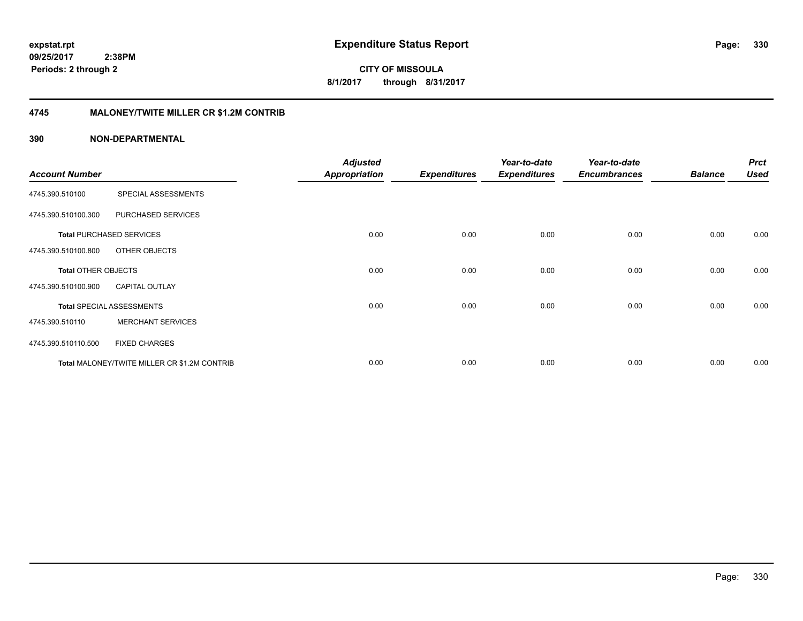**CITY OF MISSOULA 8/1/2017 through 8/31/2017**

### **4745 MALONEY/TWITE MILLER CR \$1.2M CONTRIB**

| <b>Account Number</b>      |                                              | <b>Adjusted</b><br><b>Appropriation</b> | <b>Expenditures</b> | Year-to-date<br><b>Expenditures</b> | Year-to-date<br><b>Encumbrances</b> | <b>Balance</b> | <b>Prct</b><br><b>Used</b> |
|----------------------------|----------------------------------------------|-----------------------------------------|---------------------|-------------------------------------|-------------------------------------|----------------|----------------------------|
|                            |                                              |                                         |                     |                                     |                                     |                |                            |
| 4745.390.510100            | SPECIAL ASSESSMENTS                          |                                         |                     |                                     |                                     |                |                            |
| 4745.390.510100.300        | PURCHASED SERVICES                           |                                         |                     |                                     |                                     |                |                            |
|                            | <b>Total PURCHASED SERVICES</b>              | 0.00                                    | 0.00                | 0.00                                | 0.00                                | 0.00           | 0.00                       |
| 4745.390.510100.800        | OTHER OBJECTS                                |                                         |                     |                                     |                                     |                |                            |
| <b>Total OTHER OBJECTS</b> |                                              | 0.00                                    | 0.00                | 0.00                                | 0.00                                | 0.00           | 0.00                       |
| 4745.390.510100.900        | <b>CAPITAL OUTLAY</b>                        |                                         |                     |                                     |                                     |                |                            |
|                            | <b>Total SPECIAL ASSESSMENTS</b>             | 0.00                                    | 0.00                | 0.00                                | 0.00                                | 0.00           | 0.00                       |
| 4745.390.510110            | <b>MERCHANT SERVICES</b>                     |                                         |                     |                                     |                                     |                |                            |
| 4745.390.510110.500        | <b>FIXED CHARGES</b>                         |                                         |                     |                                     |                                     |                |                            |
|                            | Total MALONEY/TWITE MILLER CR \$1.2M CONTRIB | 0.00                                    | 0.00                | 0.00                                | 0.00                                | 0.00           | 0.00                       |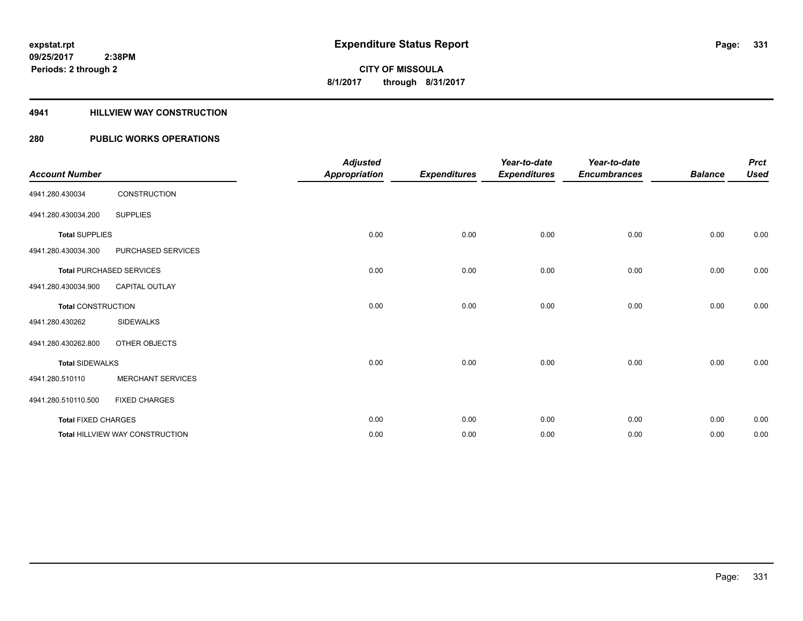### **4941 HILLVIEW WAY CONSTRUCTION**

### **280 PUBLIC WORKS OPERATIONS**

| <b>Account Number</b>      |                                        | <b>Adjusted</b><br><b>Appropriation</b> | <b>Expenditures</b> | Year-to-date<br><b>Expenditures</b> | Year-to-date<br><b>Encumbrances</b> | <b>Balance</b> | <b>Prct</b><br><b>Used</b> |
|----------------------------|----------------------------------------|-----------------------------------------|---------------------|-------------------------------------|-------------------------------------|----------------|----------------------------|
| 4941.280.430034            | CONSTRUCTION                           |                                         |                     |                                     |                                     |                |                            |
| 4941.280.430034.200        | <b>SUPPLIES</b>                        |                                         |                     |                                     |                                     |                |                            |
| <b>Total SUPPLIES</b>      |                                        | 0.00                                    | 0.00                | 0.00                                | 0.00                                | 0.00           | 0.00                       |
| 4941.280.430034.300        | PURCHASED SERVICES                     |                                         |                     |                                     |                                     |                |                            |
|                            | <b>Total PURCHASED SERVICES</b>        | 0.00                                    | 0.00                | 0.00                                | 0.00                                | 0.00           | 0.00                       |
| 4941.280.430034.900        | CAPITAL OUTLAY                         |                                         |                     |                                     |                                     |                |                            |
| <b>Total CONSTRUCTION</b>  |                                        | 0.00                                    | 0.00                | 0.00                                | 0.00                                | 0.00           | 0.00                       |
| 4941.280.430262            | <b>SIDEWALKS</b>                       |                                         |                     |                                     |                                     |                |                            |
| 4941.280.430262.800        | OTHER OBJECTS                          |                                         |                     |                                     |                                     |                |                            |
| <b>Total SIDEWALKS</b>     |                                        | 0.00                                    | 0.00                | 0.00                                | 0.00                                | 0.00           | 0.00                       |
| 4941.280.510110            | <b>MERCHANT SERVICES</b>               |                                         |                     |                                     |                                     |                |                            |
| 4941.280.510110.500        | <b>FIXED CHARGES</b>                   |                                         |                     |                                     |                                     |                |                            |
| <b>Total FIXED CHARGES</b> |                                        | 0.00                                    | 0.00                | 0.00                                | 0.00                                | 0.00           | 0.00                       |
|                            | <b>Total HILLVIEW WAY CONSTRUCTION</b> | 0.00                                    | 0.00                | 0.00                                | 0.00                                | 0.00           | 0.00                       |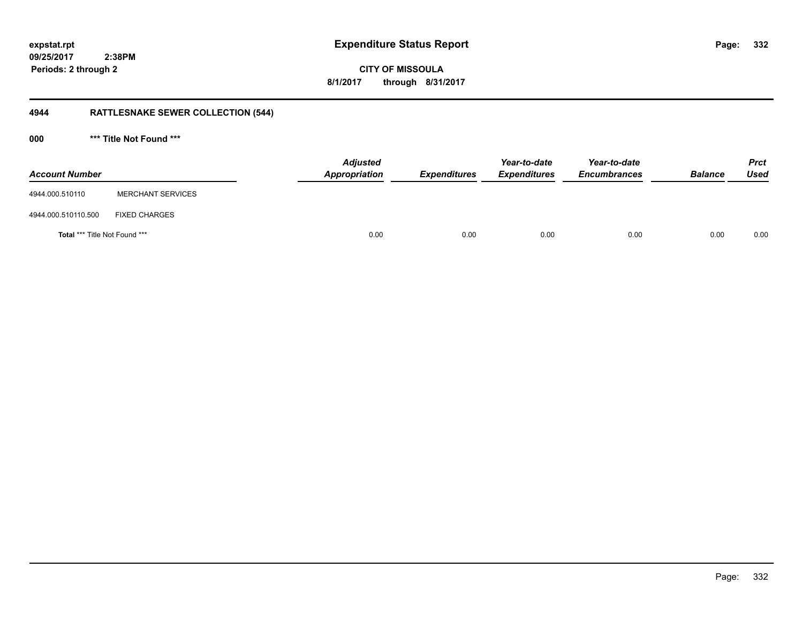**CITY OF MISSOULA 8/1/2017 through 8/31/2017**

# **4944 RATTLESNAKE SEWER COLLECTION (544)**

**000 \*\*\* Title Not Found \*\*\***

| <b>Account Number</b>                |                          | <b>Adjusted</b><br>Appropriation | <b>Expenditures</b> | Year-to-date<br><b>Expenditures</b> | Year-to-date<br><b>Encumbrances</b> | <b>Balance</b> | <b>Prct</b><br><b>Used</b> |
|--------------------------------------|--------------------------|----------------------------------|---------------------|-------------------------------------|-------------------------------------|----------------|----------------------------|
| 4944.000.510110                      | <b>MERCHANT SERVICES</b> |                                  |                     |                                     |                                     |                |                            |
| 4944.000.510110.500                  | <b>FIXED CHARGES</b>     |                                  |                     |                                     |                                     |                |                            |
| <b>Total *** Title Not Found ***</b> |                          | 0.00                             | 0.00                | 0.00                                | 0.00                                | 0.00           | 0.00                       |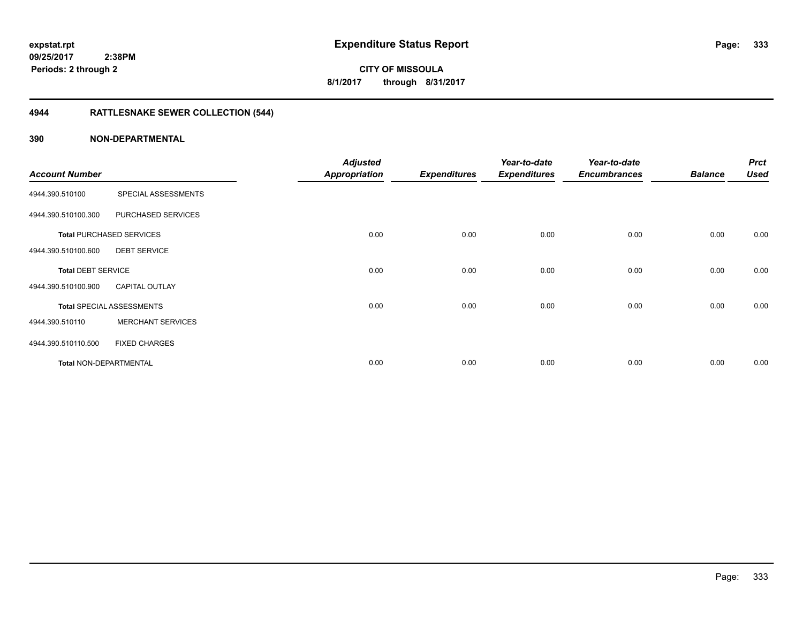# **CITY OF MISSOULA 8/1/2017 through 8/31/2017**

# **4944 RATTLESNAKE SEWER COLLECTION (544)**

|                               |                                  | <b>Adjusted</b> |                     | Year-to-date        | Year-to-date        |                | <b>Prct</b> |
|-------------------------------|----------------------------------|-----------------|---------------------|---------------------|---------------------|----------------|-------------|
| <b>Account Number</b>         |                                  | Appropriation   | <b>Expenditures</b> | <b>Expenditures</b> | <b>Encumbrances</b> | <b>Balance</b> | <b>Used</b> |
| 4944.390.510100               | SPECIAL ASSESSMENTS              |                 |                     |                     |                     |                |             |
| 4944.390.510100.300           | PURCHASED SERVICES               |                 |                     |                     |                     |                |             |
|                               | <b>Total PURCHASED SERVICES</b>  | 0.00            | 0.00                | 0.00                | 0.00                | 0.00           | 0.00        |
| 4944.390.510100.600           | <b>DEBT SERVICE</b>              |                 |                     |                     |                     |                |             |
| <b>Total DEBT SERVICE</b>     |                                  | 0.00            | 0.00                | 0.00                | 0.00                | 0.00           | 0.00        |
| 4944.390.510100.900           | <b>CAPITAL OUTLAY</b>            |                 |                     |                     |                     |                |             |
|                               | <b>Total SPECIAL ASSESSMENTS</b> | 0.00            | 0.00                | 0.00                | 0.00                | 0.00           | 0.00        |
| 4944.390.510110               | <b>MERCHANT SERVICES</b>         |                 |                     |                     |                     |                |             |
| 4944.390.510110.500           | <b>FIXED CHARGES</b>             |                 |                     |                     |                     |                |             |
| <b>Total NON-DEPARTMENTAL</b> |                                  | 0.00            | 0.00                | 0.00                | 0.00                | 0.00           | 0.00        |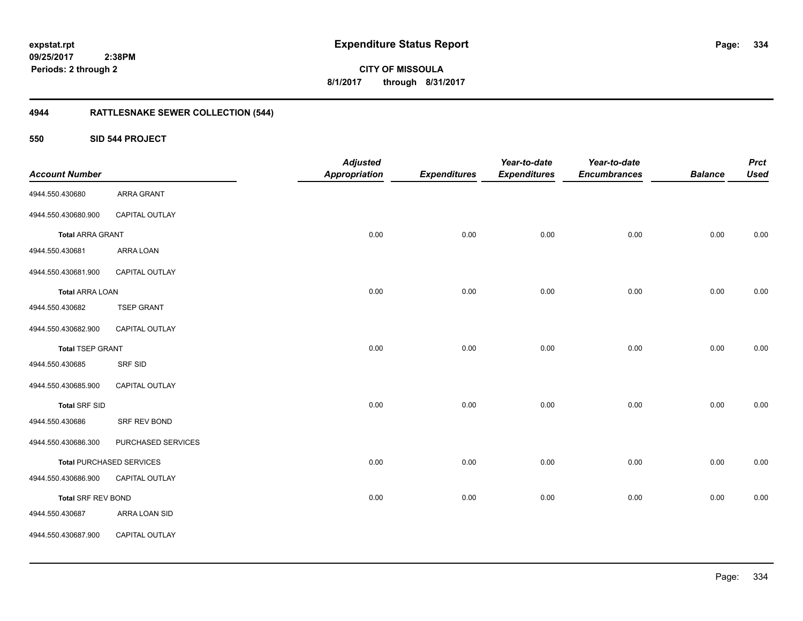**334**

**CITY OF MISSOULA 8/1/2017 through 8/31/2017**

# **4944 RATTLESNAKE SEWER COLLECTION (544)**

**550 SID 544 PROJECT**

| <b>Account Number</b>     |                                 | <b>Adjusted</b><br><b>Appropriation</b> | <b>Expenditures</b> | Year-to-date<br><b>Expenditures</b> | Year-to-date<br><b>Encumbrances</b> | <b>Balance</b> | <b>Prct</b><br><b>Used</b> |
|---------------------------|---------------------------------|-----------------------------------------|---------------------|-------------------------------------|-------------------------------------|----------------|----------------------------|
| 4944.550.430680           | ARRA GRANT                      |                                         |                     |                                     |                                     |                |                            |
| 4944.550.430680.900       | CAPITAL OUTLAY                  |                                         |                     |                                     |                                     |                |                            |
| <b>Total ARRA GRANT</b>   |                                 | 0.00                                    | 0.00                | 0.00                                | 0.00                                | 0.00           | 0.00                       |
| 4944.550.430681           | ARRA LOAN                       |                                         |                     |                                     |                                     |                |                            |
| 4944.550.430681.900       | CAPITAL OUTLAY                  |                                         |                     |                                     |                                     |                |                            |
| <b>Total ARRA LOAN</b>    |                                 | 0.00                                    | 0.00                | 0.00                                | 0.00                                | 0.00           | 0.00                       |
| 4944.550.430682           | <b>TSEP GRANT</b>               |                                         |                     |                                     |                                     |                |                            |
| 4944.550.430682.900       | CAPITAL OUTLAY                  |                                         |                     |                                     |                                     |                |                            |
| <b>Total TSEP GRANT</b>   |                                 | 0.00                                    | 0.00                | 0.00                                | 0.00                                | 0.00           | 0.00                       |
| 4944.550.430685           | SRF SID                         |                                         |                     |                                     |                                     |                |                            |
| 4944.550.430685.900       | CAPITAL OUTLAY                  |                                         |                     |                                     |                                     |                |                            |
| <b>Total SRF SID</b>      |                                 | 0.00                                    | 0.00                | 0.00                                | 0.00                                | 0.00           | 0.00                       |
| 4944.550.430686           | SRF REV BOND                    |                                         |                     |                                     |                                     |                |                            |
| 4944.550.430686.300       | PURCHASED SERVICES              |                                         |                     |                                     |                                     |                |                            |
|                           | <b>Total PURCHASED SERVICES</b> | 0.00                                    | 0.00                | 0.00                                | 0.00                                | 0.00           | 0.00                       |
| 4944.550.430686.900       | CAPITAL OUTLAY                  |                                         |                     |                                     |                                     |                |                            |
| <b>Total SRF REV BOND</b> |                                 | 0.00                                    | 0.00                | 0.00                                | 0.00                                | 0.00           | 0.00                       |
| 4944.550.430687           | ARRA LOAN SID                   |                                         |                     |                                     |                                     |                |                            |
| 4944.550.430687.900       | CAPITAL OUTLAY                  |                                         |                     |                                     |                                     |                |                            |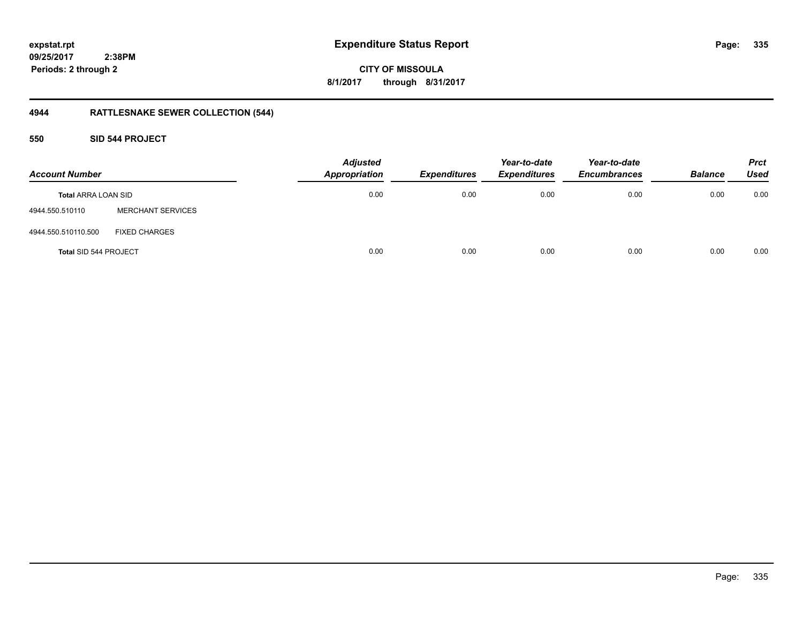**CITY OF MISSOULA 8/1/2017 through 8/31/2017**

# **4944 RATTLESNAKE SEWER COLLECTION (544)**

### **550 SID 544 PROJECT**

| <b>Account Number</b>        |                          | <b>Adjusted</b><br><b>Appropriation</b> | <b>Expenditures</b> | Year-to-date<br><b>Expenditures</b> | Year-to-date<br><b>Encumbrances</b> | <b>Balance</b> | <b>Prct</b><br><b>Used</b> |
|------------------------------|--------------------------|-----------------------------------------|---------------------|-------------------------------------|-------------------------------------|----------------|----------------------------|
| <b>Total ARRA LOAN SID</b>   |                          | 0.00                                    | 0.00                | 0.00                                | 0.00                                | 0.00           | 0.00                       |
| 4944.550.510110              | <b>MERCHANT SERVICES</b> |                                         |                     |                                     |                                     |                |                            |
| 4944.550.510110.500          | <b>FIXED CHARGES</b>     |                                         |                     |                                     |                                     |                |                            |
| <b>Total SID 544 PROJECT</b> |                          | 0.00                                    | 0.00                | 0.00                                | 0.00                                | 0.00           | 0.00                       |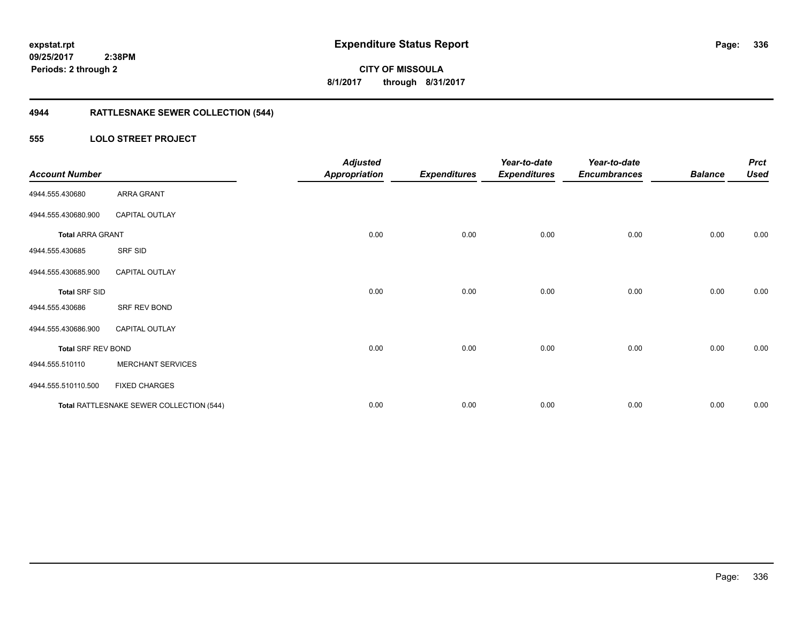**CITY OF MISSOULA 8/1/2017 through 8/31/2017**

# **4944 RATTLESNAKE SEWER COLLECTION (544)**

### **555 LOLO STREET PROJECT**

| <b>Account Number</b>     |                                          | <b>Adjusted</b><br><b>Appropriation</b> | <b>Expenditures</b> | Year-to-date<br><b>Expenditures</b> | Year-to-date<br><b>Encumbrances</b> | <b>Balance</b> | <b>Prct</b><br><b>Used</b> |
|---------------------------|------------------------------------------|-----------------------------------------|---------------------|-------------------------------------|-------------------------------------|----------------|----------------------------|
| 4944.555.430680           | ARRA GRANT                               |                                         |                     |                                     |                                     |                |                            |
| 4944.555.430680.900       | <b>CAPITAL OUTLAY</b>                    |                                         |                     |                                     |                                     |                |                            |
| <b>Total ARRA GRANT</b>   |                                          | 0.00                                    | 0.00                | 0.00                                | 0.00                                | 0.00           | 0.00                       |
| 4944.555.430685           | SRF SID                                  |                                         |                     |                                     |                                     |                |                            |
| 4944.555.430685.900       | <b>CAPITAL OUTLAY</b>                    |                                         |                     |                                     |                                     |                |                            |
| <b>Total SRF SID</b>      |                                          | 0.00                                    | 0.00                | 0.00                                | 0.00                                | 0.00           | 0.00                       |
| 4944.555.430686           | SRF REV BOND                             |                                         |                     |                                     |                                     |                |                            |
| 4944.555.430686.900       | <b>CAPITAL OUTLAY</b>                    |                                         |                     |                                     |                                     |                |                            |
| <b>Total SRF REV BOND</b> |                                          | 0.00                                    | 0.00                | 0.00                                | 0.00                                | 0.00           | 0.00                       |
| 4944.555.510110           | <b>MERCHANT SERVICES</b>                 |                                         |                     |                                     |                                     |                |                            |
| 4944.555.510110.500       | <b>FIXED CHARGES</b>                     |                                         |                     |                                     |                                     |                |                            |
|                           | Total RATTLESNAKE SEWER COLLECTION (544) | 0.00                                    | 0.00                | 0.00                                | 0.00                                | 0.00           | 0.00                       |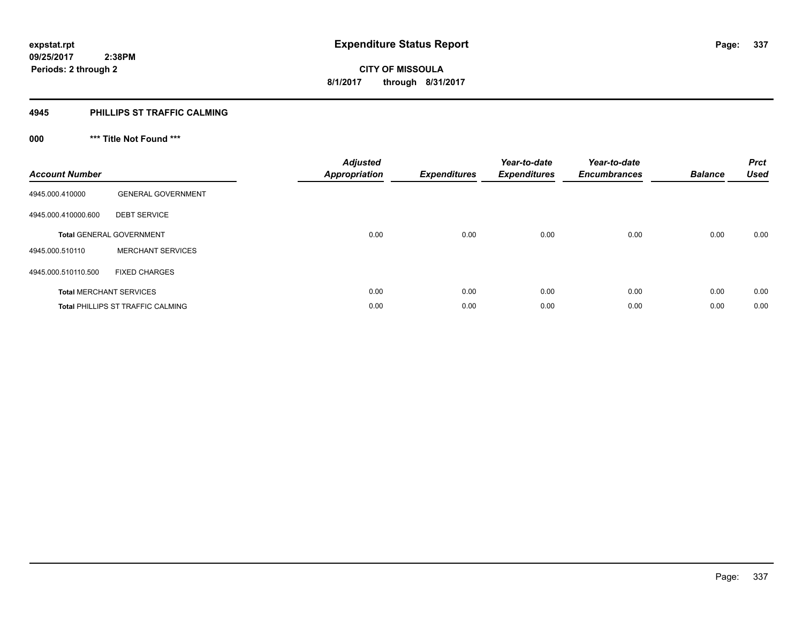### **4945 PHILLIPS ST TRAFFIC CALMING**

# **000 \*\*\* Title Not Found \*\*\***

| <b>Account Number</b>          |                                   | <b>Adjusted</b><br><b>Appropriation</b> | <b>Expenditures</b> | Year-to-date<br><b>Expenditures</b> | Year-to-date<br><b>Encumbrances</b> | <b>Balance</b> | <b>Prct</b><br><b>Used</b> |
|--------------------------------|-----------------------------------|-----------------------------------------|---------------------|-------------------------------------|-------------------------------------|----------------|----------------------------|
| 4945.000.410000                | <b>GENERAL GOVERNMENT</b>         |                                         |                     |                                     |                                     |                |                            |
| 4945.000.410000.600            | <b>DEBT SERVICE</b>               |                                         |                     |                                     |                                     |                |                            |
|                                | <b>Total GENERAL GOVERNMENT</b>   | 0.00                                    | 0.00                | 0.00                                | 0.00                                | 0.00           | 0.00                       |
| 4945.000.510110                | <b>MERCHANT SERVICES</b>          |                                         |                     |                                     |                                     |                |                            |
| 4945.000.510110.500            | <b>FIXED CHARGES</b>              |                                         |                     |                                     |                                     |                |                            |
| <b>Total MERCHANT SERVICES</b> |                                   | 0.00                                    | 0.00                | 0.00                                | 0.00                                | 0.00           | 0.00                       |
|                                | Total PHILLIPS ST TRAFFIC CALMING | 0.00                                    | 0.00                | 0.00                                | 0.00                                | 0.00           | 0.00                       |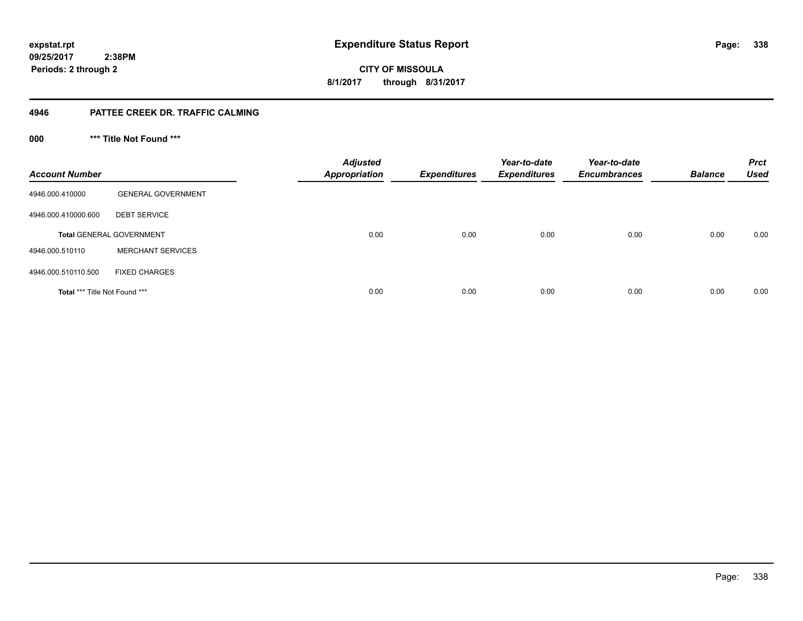**CITY OF MISSOULA 8/1/2017 through 8/31/2017**

### **4946 PATTEE CREEK DR. TRAFFIC CALMING**

**000 \*\*\* Title Not Found \*\*\***

| <b>Account Number</b>                |                                 | <b>Adjusted</b><br><b>Appropriation</b> | <b>Expenditures</b> | Year-to-date<br><b>Expenditures</b> | Year-to-date<br><b>Encumbrances</b> | <b>Balance</b> | <b>Prct</b><br>Used |
|--------------------------------------|---------------------------------|-----------------------------------------|---------------------|-------------------------------------|-------------------------------------|----------------|---------------------|
| 4946.000.410000                      | <b>GENERAL GOVERNMENT</b>       |                                         |                     |                                     |                                     |                |                     |
| 4946.000.410000.600                  | <b>DEBT SERVICE</b>             |                                         |                     |                                     |                                     |                |                     |
|                                      | <b>Total GENERAL GOVERNMENT</b> | 0.00                                    | 0.00                | 0.00                                | 0.00                                | 0.00           | 0.00                |
| 4946.000.510110                      | <b>MERCHANT SERVICES</b>        |                                         |                     |                                     |                                     |                |                     |
| 4946.000.510110.500                  | <b>FIXED CHARGES</b>            |                                         |                     |                                     |                                     |                |                     |
| <b>Total *** Title Not Found ***</b> |                                 | 0.00                                    | 0.00                | 0.00                                | 0.00                                | 0.00           | 0.00                |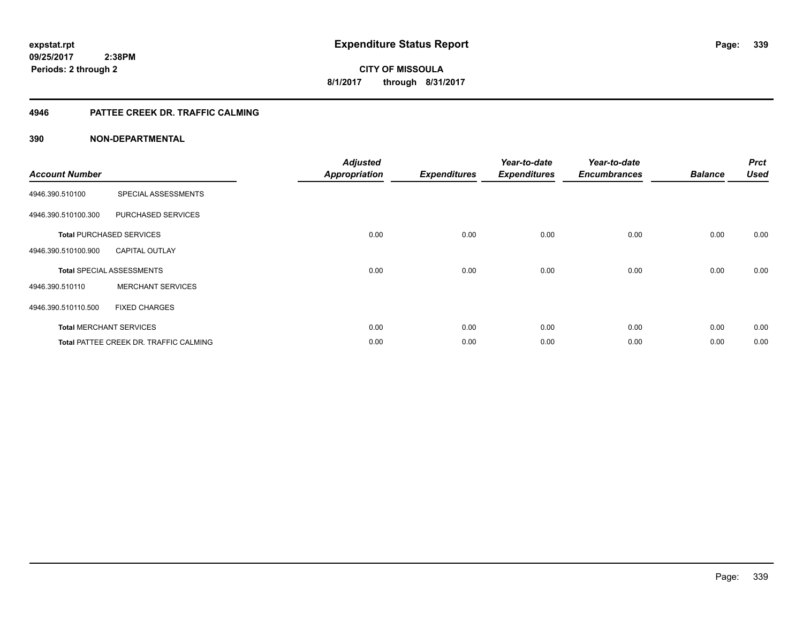### **4946 PATTEE CREEK DR. TRAFFIC CALMING**

| <b>Account Number</b> |                                        | <b>Adjusted</b><br><b>Appropriation</b> | <b>Expenditures</b> | Year-to-date<br><b>Expenditures</b> | Year-to-date<br><b>Encumbrances</b> | <b>Balance</b> | <b>Prct</b><br><b>Used</b> |
|-----------------------|----------------------------------------|-----------------------------------------|---------------------|-------------------------------------|-------------------------------------|----------------|----------------------------|
|                       |                                        |                                         |                     |                                     |                                     |                |                            |
| 4946.390.510100       | SPECIAL ASSESSMENTS                    |                                         |                     |                                     |                                     |                |                            |
| 4946.390.510100.300   | PURCHASED SERVICES                     |                                         |                     |                                     |                                     |                |                            |
|                       | <b>Total PURCHASED SERVICES</b>        | 0.00                                    | 0.00                | 0.00                                | 0.00                                | 0.00           | 0.00                       |
| 4946.390.510100.900   | <b>CAPITAL OUTLAY</b>                  |                                         |                     |                                     |                                     |                |                            |
|                       | <b>Total SPECIAL ASSESSMENTS</b>       | 0.00                                    | 0.00                | 0.00                                | 0.00                                | 0.00           | 0.00                       |
| 4946.390.510110       | <b>MERCHANT SERVICES</b>               |                                         |                     |                                     |                                     |                |                            |
| 4946.390.510110.500   | <b>FIXED CHARGES</b>                   |                                         |                     |                                     |                                     |                |                            |
|                       | <b>Total MERCHANT SERVICES</b>         | 0.00                                    | 0.00                | 0.00                                | 0.00                                | 0.00           | 0.00                       |
|                       | Total PATTEE CREEK DR. TRAFFIC CALMING | 0.00                                    | 0.00                | 0.00                                | 0.00                                | 0.00           | 0.00                       |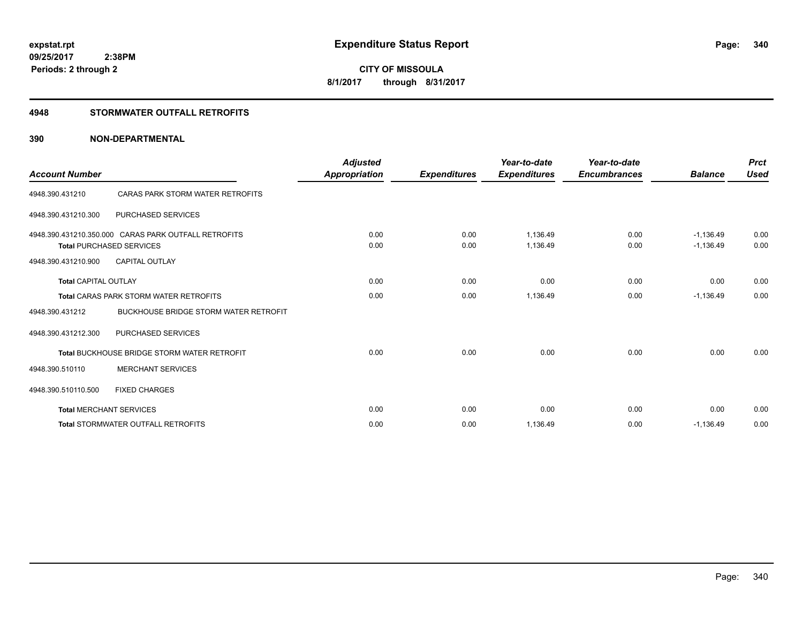### **4948 STORMWATER OUTFALL RETROFITS**

| <b>Account Number</b>       |                                                                                         | <b>Adjusted</b><br>Appropriation | <b>Expenditures</b> | Year-to-date<br><b>Expenditures</b> | Year-to-date<br><b>Encumbrances</b> | <b>Balance</b>             | <b>Prct</b><br><b>Used</b> |
|-----------------------------|-----------------------------------------------------------------------------------------|----------------------------------|---------------------|-------------------------------------|-------------------------------------|----------------------------|----------------------------|
| 4948.390.431210             | CARAS PARK STORM WATER RETROFITS                                                        |                                  |                     |                                     |                                     |                            |                            |
| 4948.390.431210.300         | PURCHASED SERVICES                                                                      |                                  |                     |                                     |                                     |                            |                            |
|                             | 4948.390.431210.350.000 CARAS PARK OUTFALL RETROFITS<br><b>Total PURCHASED SERVICES</b> | 0.00<br>0.00                     | 0.00<br>0.00        | 1,136.49<br>1,136.49                | 0.00<br>0.00                        | $-1,136.49$<br>$-1,136.49$ | 0.00<br>0.00               |
| 4948.390.431210.900         | <b>CAPITAL OUTLAY</b>                                                                   |                                  |                     |                                     |                                     |                            |                            |
| <b>Total CAPITAL OUTLAY</b> |                                                                                         | 0.00                             | 0.00                | 0.00                                | 0.00                                | 0.00                       | 0.00                       |
|                             | <b>Total CARAS PARK STORM WATER RETROFITS</b>                                           | 0.00                             | 0.00                | 1,136.49                            | 0.00                                | $-1,136.49$                | 0.00                       |
| 4948.390.431212             | <b>BUCKHOUSE BRIDGE STORM WATER RETROFIT</b>                                            |                                  |                     |                                     |                                     |                            |                            |
| 4948.390.431212.300         | PURCHASED SERVICES                                                                      |                                  |                     |                                     |                                     |                            |                            |
|                             | <b>Total BUCKHOUSE BRIDGE STORM WATER RETROFIT</b>                                      | 0.00                             | 0.00                | 0.00                                | 0.00                                | 0.00                       | 0.00                       |
| 4948.390.510110             | <b>MERCHANT SERVICES</b>                                                                |                                  |                     |                                     |                                     |                            |                            |
| 4948.390.510110.500         | <b>FIXED CHARGES</b>                                                                    |                                  |                     |                                     |                                     |                            |                            |
|                             | <b>Total MERCHANT SERVICES</b>                                                          | 0.00                             | 0.00                | 0.00                                | 0.00                                | 0.00                       | 0.00                       |
|                             | <b>Total STORMWATER OUTFALL RETROFITS</b>                                               | 0.00                             | 0.00                | 1,136.49                            | 0.00                                | $-1,136.49$                | 0.00                       |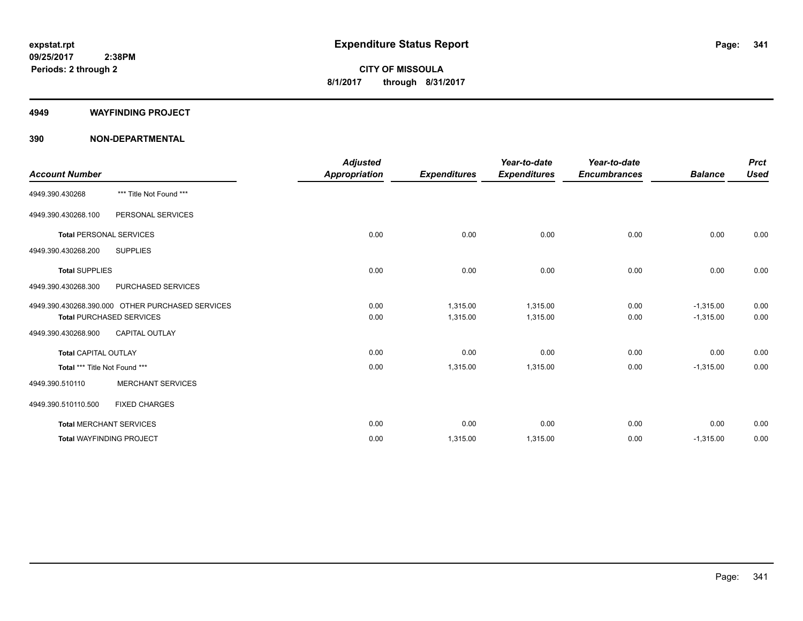#### **4949 WAYFINDING PROJECT**

|                                 |                                                  | <b>Adjusted</b>      |                     | Year-to-date        | Year-to-date        |                | <b>Prct</b> |
|---------------------------------|--------------------------------------------------|----------------------|---------------------|---------------------|---------------------|----------------|-------------|
| <b>Account Number</b>           |                                                  | <b>Appropriation</b> | <b>Expenditures</b> | <b>Expenditures</b> | <b>Encumbrances</b> | <b>Balance</b> | <b>Used</b> |
| 4949.390.430268                 | *** Title Not Found ***                          |                      |                     |                     |                     |                |             |
| 4949.390.430268.100             | PERSONAL SERVICES                                |                      |                     |                     |                     |                |             |
| <b>Total PERSONAL SERVICES</b>  |                                                  | 0.00                 | 0.00                | 0.00                | 0.00                | 0.00           | 0.00        |
| 4949.390.430268.200             | <b>SUPPLIES</b>                                  |                      |                     |                     |                     |                |             |
| <b>Total SUPPLIES</b>           |                                                  | 0.00                 | 0.00                | 0.00                | 0.00                | 0.00           | 0.00        |
| 4949.390.430268.300             | PURCHASED SERVICES                               |                      |                     |                     |                     |                |             |
|                                 | 4949.390.430268.390.000 OTHER PURCHASED SERVICES | 0.00                 | 1,315.00            | 1,315.00            | 0.00                | $-1,315.00$    | 0.00        |
|                                 | <b>Total PURCHASED SERVICES</b>                  | 0.00                 | 1,315.00            | 1,315.00            | 0.00                | $-1,315.00$    | 0.00        |
| 4949.390.430268.900             | <b>CAPITAL OUTLAY</b>                            |                      |                     |                     |                     |                |             |
| <b>Total CAPITAL OUTLAY</b>     |                                                  | 0.00                 | 0.00                | 0.00                | 0.00                | 0.00           | 0.00        |
| Total *** Title Not Found ***   |                                                  | 0.00                 | 1,315.00            | 1,315.00            | 0.00                | $-1,315.00$    | 0.00        |
| 4949.390.510110                 | <b>MERCHANT SERVICES</b>                         |                      |                     |                     |                     |                |             |
| 4949.390.510110.500             | <b>FIXED CHARGES</b>                             |                      |                     |                     |                     |                |             |
| <b>Total MERCHANT SERVICES</b>  |                                                  | 0.00                 | 0.00                | 0.00                | 0.00                | 0.00           | 0.00        |
| <b>Total WAYFINDING PROJECT</b> |                                                  | 0.00                 | 1,315.00            | 1,315.00            | 0.00                | $-1,315.00$    | 0.00        |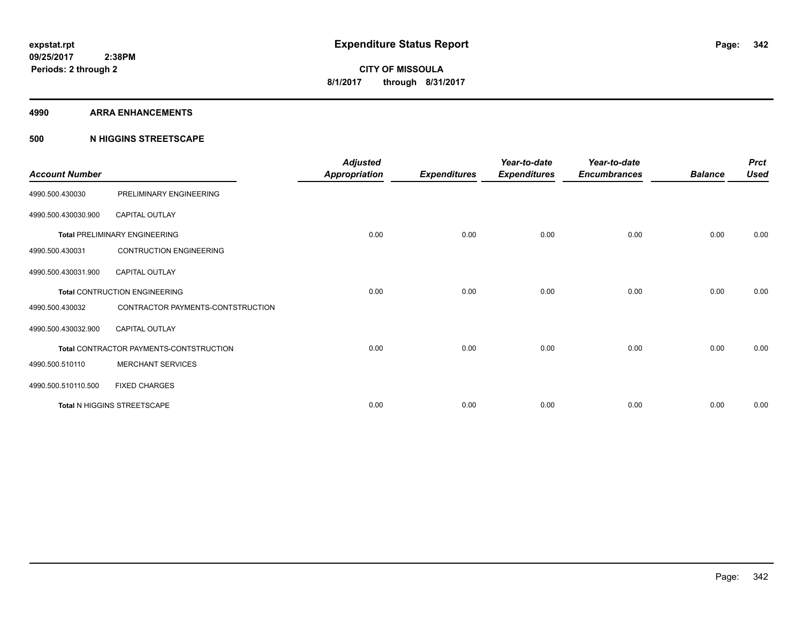#### **4990 ARRA ENHANCEMENTS**

### **500 N HIGGINS STREETSCAPE**

| <b>Account Number</b> |                                         | <b>Adjusted</b><br><b>Appropriation</b> | <b>Expenditures</b> | Year-to-date<br><b>Expenditures</b> | Year-to-date<br><b>Encumbrances</b> | <b>Balance</b> | <b>Prct</b><br><b>Used</b> |
|-----------------------|-----------------------------------------|-----------------------------------------|---------------------|-------------------------------------|-------------------------------------|----------------|----------------------------|
| 4990.500.430030       | PRELIMINARY ENGINEERING                 |                                         |                     |                                     |                                     |                |                            |
| 4990.500.430030.900   | <b>CAPITAL OUTLAY</b>                   |                                         |                     |                                     |                                     |                |                            |
|                       | <b>Total PRELIMINARY ENGINEERING</b>    | 0.00                                    | 0.00                | 0.00                                | 0.00                                | 0.00           | 0.00                       |
| 4990.500.430031       | <b>CONTRUCTION ENGINEERING</b>          |                                         |                     |                                     |                                     |                |                            |
| 4990.500.430031.900   | <b>CAPITAL OUTLAY</b>                   |                                         |                     |                                     |                                     |                |                            |
|                       | <b>Total CONTRUCTION ENGINEERING</b>    | 0.00                                    | 0.00                | 0.00                                | 0.00                                | 0.00           | 0.00                       |
| 4990.500.430032       | CONTRACTOR PAYMENTS-CONTSTRUCTION       |                                         |                     |                                     |                                     |                |                            |
| 4990.500.430032.900   | <b>CAPITAL OUTLAY</b>                   |                                         |                     |                                     |                                     |                |                            |
|                       | Total CONTRACTOR PAYMENTS-CONTSTRUCTION | 0.00                                    | 0.00                | 0.00                                | 0.00                                | 0.00           | 0.00                       |
| 4990.500.510110       | <b>MERCHANT SERVICES</b>                |                                         |                     |                                     |                                     |                |                            |
| 4990.500.510110.500   | <b>FIXED CHARGES</b>                    |                                         |                     |                                     |                                     |                |                            |
|                       | Total N HIGGINS STREETSCAPE             | 0.00                                    | 0.00                | 0.00                                | 0.00                                | 0.00           | 0.00                       |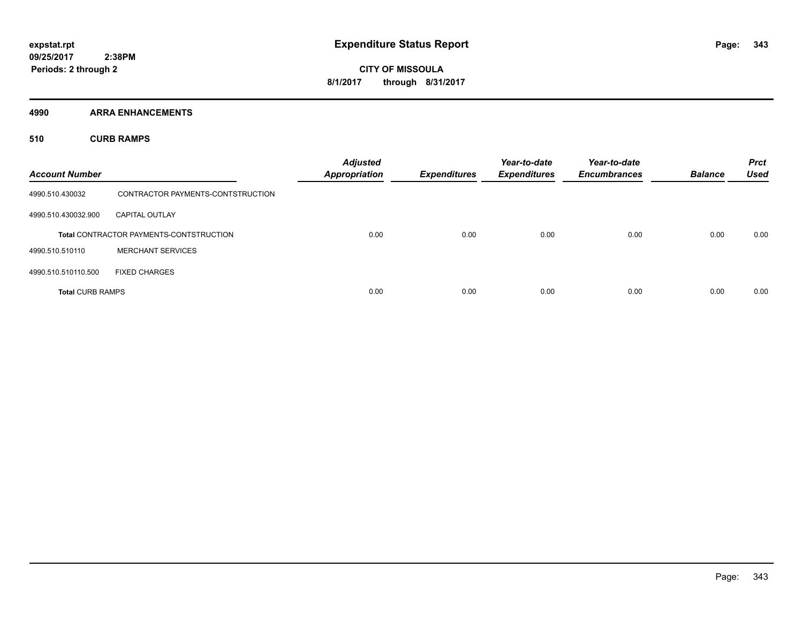**4990 ARRA ENHANCEMENTS**

**510 CURB RAMPS**

| <b>Account Number</b>   |                                                | <b>Adjusted</b><br><b>Appropriation</b> | <b>Expenditures</b> | Year-to-date<br><b>Expenditures</b> | Year-to-date<br><b>Encumbrances</b> | <b>Balance</b> | <b>Prct</b><br><b>Used</b> |
|-------------------------|------------------------------------------------|-----------------------------------------|---------------------|-------------------------------------|-------------------------------------|----------------|----------------------------|
| 4990.510.430032         | CONTRACTOR PAYMENTS-CONTSTRUCTION              |                                         |                     |                                     |                                     |                |                            |
| 4990.510.430032.900     | <b>CAPITAL OUTLAY</b>                          |                                         |                     |                                     |                                     |                |                            |
|                         | <b>Total CONTRACTOR PAYMENTS-CONTSTRUCTION</b> | 0.00                                    | 0.00                | 0.00                                | 0.00                                | 0.00           | 0.00                       |
| 4990.510.510110         | <b>MERCHANT SERVICES</b>                       |                                         |                     |                                     |                                     |                |                            |
| 4990.510.510110.500     | <b>FIXED CHARGES</b>                           |                                         |                     |                                     |                                     |                |                            |
| <b>Total CURB RAMPS</b> |                                                | 0.00                                    | 0.00                | 0.00                                | 0.00                                | 0.00           | 0.00                       |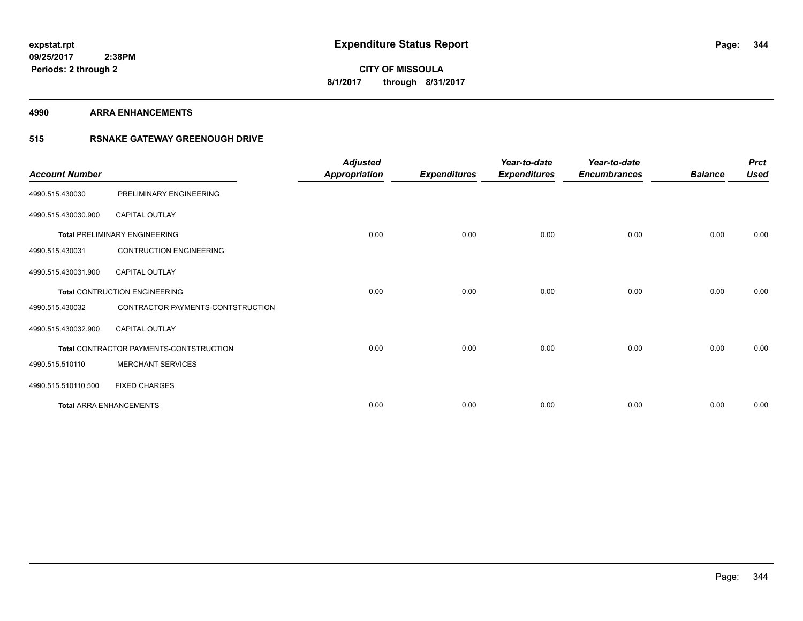#### **4990 ARRA ENHANCEMENTS**

### **515 RSNAKE GATEWAY GREENOUGH DRIVE**

| <b>Account Number</b> |                                         | <b>Adjusted</b><br><b>Appropriation</b> | <b>Expenditures</b> | Year-to-date<br><b>Expenditures</b> | Year-to-date<br><b>Encumbrances</b> | <b>Balance</b> | <b>Prct</b><br><b>Used</b> |
|-----------------------|-----------------------------------------|-----------------------------------------|---------------------|-------------------------------------|-------------------------------------|----------------|----------------------------|
| 4990.515.430030       | PRELIMINARY ENGINEERING                 |                                         |                     |                                     |                                     |                |                            |
| 4990.515.430030.900   | <b>CAPITAL OUTLAY</b>                   |                                         |                     |                                     |                                     |                |                            |
|                       | <b>Total PRELIMINARY ENGINEERING</b>    | 0.00                                    | 0.00                | 0.00                                | 0.00                                | 0.00           | 0.00                       |
| 4990.515.430031       | <b>CONTRUCTION ENGINEERING</b>          |                                         |                     |                                     |                                     |                |                            |
| 4990.515.430031.900   | <b>CAPITAL OUTLAY</b>                   |                                         |                     |                                     |                                     |                |                            |
|                       | <b>Total CONTRUCTION ENGINEERING</b>    | 0.00                                    | 0.00                | 0.00                                | 0.00                                | 0.00           | 0.00                       |
| 4990.515.430032       | CONTRACTOR PAYMENTS-CONTSTRUCTION       |                                         |                     |                                     |                                     |                |                            |
| 4990.515.430032.900   | <b>CAPITAL OUTLAY</b>                   |                                         |                     |                                     |                                     |                |                            |
|                       | Total CONTRACTOR PAYMENTS-CONTSTRUCTION | 0.00                                    | 0.00                | 0.00                                | 0.00                                | 0.00           | 0.00                       |
| 4990.515.510110       | <b>MERCHANT SERVICES</b>                |                                         |                     |                                     |                                     |                |                            |
| 4990.515.510110.500   | <b>FIXED CHARGES</b>                    |                                         |                     |                                     |                                     |                |                            |
|                       | <b>Total ARRA ENHANCEMENTS</b>          | 0.00                                    | 0.00                | 0.00                                | 0.00                                | 0.00           | 0.00                       |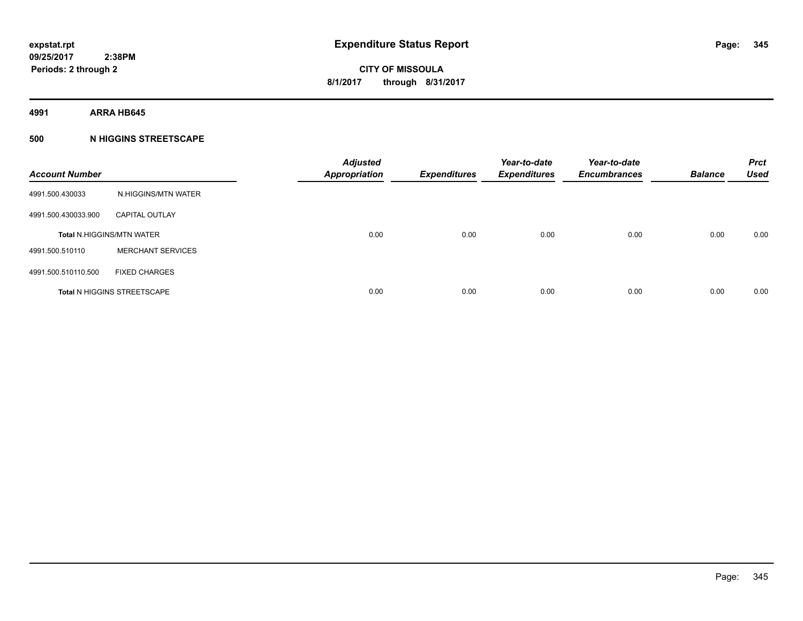**4991 ARRA HB645**

### **500 N HIGGINS STREETSCAPE**

| <b>Account Number</b> |                                    | <b>Adjusted</b><br><b>Appropriation</b> | <b>Expenditures</b> | Year-to-date<br><b>Expenditures</b> | Year-to-date<br><b>Encumbrances</b> | <b>Balance</b> | <b>Prct</b><br><b>Used</b> |
|-----------------------|------------------------------------|-----------------------------------------|---------------------|-------------------------------------|-------------------------------------|----------------|----------------------------|
| 4991.500.430033       | N.HIGGINS/MTN WATER                |                                         |                     |                                     |                                     |                |                            |
| 4991.500.430033.900   | <b>CAPITAL OUTLAY</b>              |                                         |                     |                                     |                                     |                |                            |
|                       | <b>Total N.HIGGINS/MTN WATER</b>   | 0.00                                    | 0.00                | 0.00                                | 0.00                                | 0.00           | 0.00                       |
| 4991.500.510110       | <b>MERCHANT SERVICES</b>           |                                         |                     |                                     |                                     |                |                            |
| 4991.500.510110.500   | <b>FIXED CHARGES</b>               |                                         |                     |                                     |                                     |                |                            |
|                       | <b>Total N HIGGINS STREETSCAPE</b> | 0.00                                    | 0.00                | 0.00                                | 0.00                                | 0.00           | 0.00                       |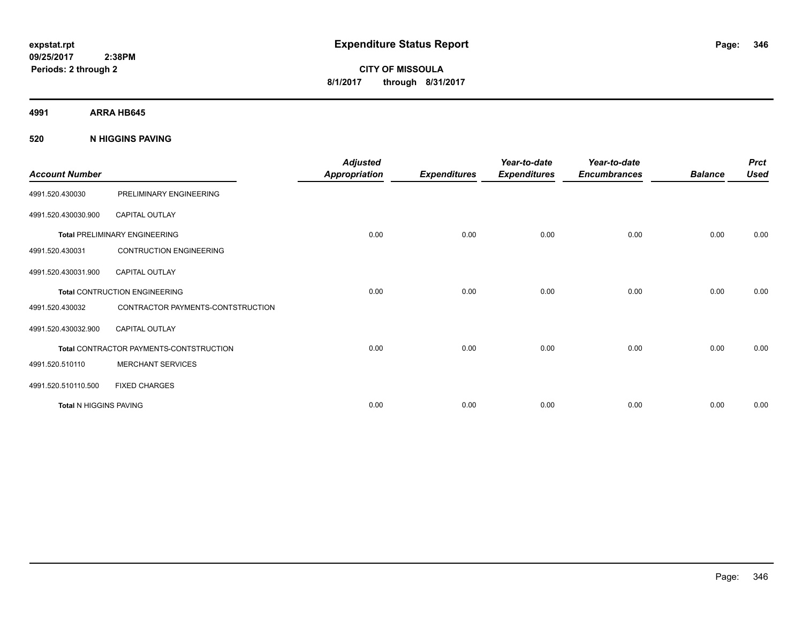**CITY OF MISSOULA 8/1/2017 through 8/31/2017**

**4991 ARRA HB645**

**520 N HIGGINS PAVING**

| <b>Account Number</b>         |                                         | <b>Adjusted</b><br><b>Appropriation</b> | <b>Expenditures</b> | Year-to-date<br><b>Expenditures</b> | Year-to-date<br><b>Encumbrances</b> | <b>Balance</b> | <b>Prct</b><br><b>Used</b> |
|-------------------------------|-----------------------------------------|-----------------------------------------|---------------------|-------------------------------------|-------------------------------------|----------------|----------------------------|
| 4991.520.430030               | PRELIMINARY ENGINEERING                 |                                         |                     |                                     |                                     |                |                            |
| 4991.520.430030.900           | <b>CAPITAL OUTLAY</b>                   |                                         |                     |                                     |                                     |                |                            |
|                               | <b>Total PRELIMINARY ENGINEERING</b>    | 0.00                                    | 0.00                | 0.00                                | 0.00                                | 0.00           | 0.00                       |
| 4991.520.430031               | <b>CONTRUCTION ENGINEERING</b>          |                                         |                     |                                     |                                     |                |                            |
| 4991.520.430031.900           | <b>CAPITAL OUTLAY</b>                   |                                         |                     |                                     |                                     |                |                            |
|                               | Total CONTRUCTION ENGINEERING           | 0.00                                    | 0.00                | 0.00                                | 0.00                                | 0.00           | 0.00                       |
| 4991.520.430032               | CONTRACTOR PAYMENTS-CONTSTRUCTION       |                                         |                     |                                     |                                     |                |                            |
| 4991.520.430032.900           | <b>CAPITAL OUTLAY</b>                   |                                         |                     |                                     |                                     |                |                            |
|                               | Total CONTRACTOR PAYMENTS-CONTSTRUCTION | 0.00                                    | 0.00                | 0.00                                | 0.00                                | 0.00           | 0.00                       |
| 4991.520.510110               | <b>MERCHANT SERVICES</b>                |                                         |                     |                                     |                                     |                |                            |
| 4991.520.510110.500           | <b>FIXED CHARGES</b>                    |                                         |                     |                                     |                                     |                |                            |
| <b>Total N HIGGINS PAVING</b> |                                         | 0.00                                    | 0.00                | 0.00                                | 0.00                                | 0.00           | 0.00                       |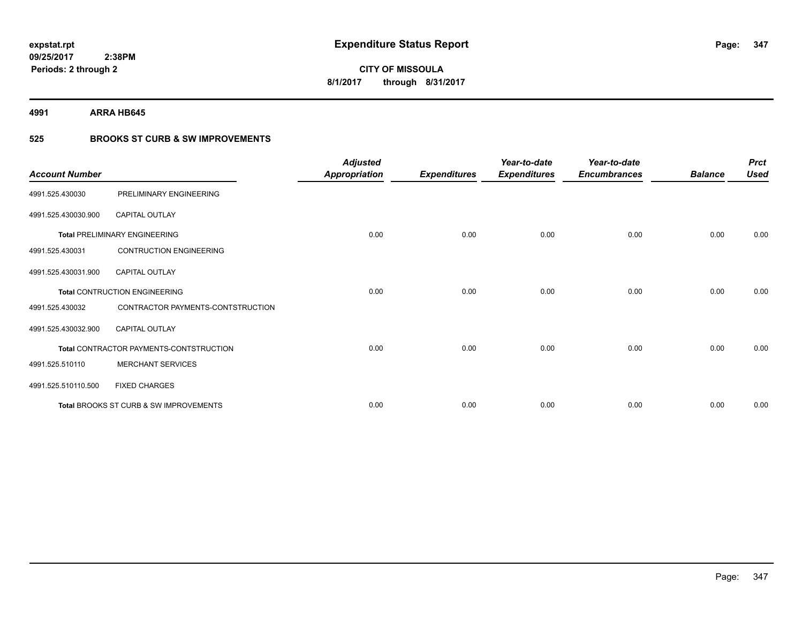**4991 ARRA HB645**

### **525 BROOKS ST CURB & SW IMPROVEMENTS**

| <b>Account Number</b> |                                         | <b>Adjusted</b><br><b>Appropriation</b> | <b>Expenditures</b> | Year-to-date<br><b>Expenditures</b> | Year-to-date<br><b>Encumbrances</b> | <b>Balance</b> | <b>Prct</b><br><b>Used</b> |
|-----------------------|-----------------------------------------|-----------------------------------------|---------------------|-------------------------------------|-------------------------------------|----------------|----------------------------|
| 4991.525.430030       | PRELIMINARY ENGINEERING                 |                                         |                     |                                     |                                     |                |                            |
| 4991.525.430030.900   | CAPITAL OUTLAY                          |                                         |                     |                                     |                                     |                |                            |
|                       | <b>Total PRELIMINARY ENGINEERING</b>    | 0.00                                    | 0.00                | 0.00                                | 0.00                                | 0.00           | 0.00                       |
| 4991.525.430031       | <b>CONTRUCTION ENGINEERING</b>          |                                         |                     |                                     |                                     |                |                            |
| 4991.525.430031.900   | <b>CAPITAL OUTLAY</b>                   |                                         |                     |                                     |                                     |                |                            |
|                       | <b>Total CONTRUCTION ENGINEERING</b>    | 0.00                                    | 0.00                | 0.00                                | 0.00                                | 0.00           | 0.00                       |
| 4991.525.430032       | CONTRACTOR PAYMENTS-CONTSTRUCTION       |                                         |                     |                                     |                                     |                |                            |
| 4991.525.430032.900   | <b>CAPITAL OUTLAY</b>                   |                                         |                     |                                     |                                     |                |                            |
|                       | Total CONTRACTOR PAYMENTS-CONTSTRUCTION | 0.00                                    | 0.00                | 0.00                                | 0.00                                | 0.00           | 0.00                       |
| 4991.525.510110       | <b>MERCHANT SERVICES</b>                |                                         |                     |                                     |                                     |                |                            |
| 4991.525.510110.500   | <b>FIXED CHARGES</b>                    |                                         |                     |                                     |                                     |                |                            |
|                       | Total BROOKS ST CURB & SW IMPROVEMENTS  | 0.00                                    | 0.00                | 0.00                                | 0.00                                | 0.00           | 0.00                       |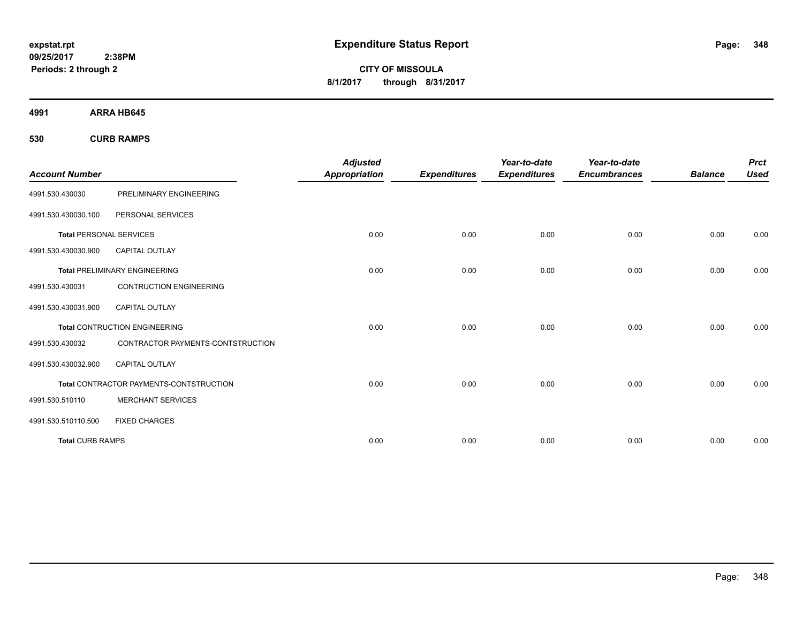**CITY OF MISSOULA 8/1/2017 through 8/31/2017**

**4991 ARRA HB645**

**530 CURB RAMPS**

| <b>Account Number</b>          |                                                | <b>Adjusted</b><br><b>Appropriation</b> | <b>Expenditures</b> | Year-to-date<br><b>Expenditures</b> | Year-to-date<br><b>Encumbrances</b> | <b>Balance</b> | <b>Prct</b><br><b>Used</b> |
|--------------------------------|------------------------------------------------|-----------------------------------------|---------------------|-------------------------------------|-------------------------------------|----------------|----------------------------|
| 4991.530.430030                | PRELIMINARY ENGINEERING                        |                                         |                     |                                     |                                     |                |                            |
| 4991.530.430030.100            | PERSONAL SERVICES                              |                                         |                     |                                     |                                     |                |                            |
| <b>Total PERSONAL SERVICES</b> |                                                | 0.00                                    | 0.00                | 0.00                                | 0.00                                | 0.00           | 0.00                       |
| 4991.530.430030.900            | <b>CAPITAL OUTLAY</b>                          |                                         |                     |                                     |                                     |                |                            |
|                                | <b>Total PRELIMINARY ENGINEERING</b>           | 0.00                                    | 0.00                | 0.00                                | 0.00                                | 0.00           | 0.00                       |
| 4991.530.430031                | <b>CONTRUCTION ENGINEERING</b>                 |                                         |                     |                                     |                                     |                |                            |
| 4991.530.430031.900            | <b>CAPITAL OUTLAY</b>                          |                                         |                     |                                     |                                     |                |                            |
|                                | <b>Total CONTRUCTION ENGINEERING</b>           | 0.00                                    | 0.00                | 0.00                                | 0.00                                | 0.00           | 0.00                       |
| 4991.530.430032                | CONTRACTOR PAYMENTS-CONTSTRUCTION              |                                         |                     |                                     |                                     |                |                            |
| 4991.530.430032.900            | <b>CAPITAL OUTLAY</b>                          |                                         |                     |                                     |                                     |                |                            |
|                                | <b>Total CONTRACTOR PAYMENTS-CONTSTRUCTION</b> | 0.00                                    | 0.00                | 0.00                                | 0.00                                | 0.00           | 0.00                       |
| 4991.530.510110                | <b>MERCHANT SERVICES</b>                       |                                         |                     |                                     |                                     |                |                            |
| 4991.530.510110.500            | <b>FIXED CHARGES</b>                           |                                         |                     |                                     |                                     |                |                            |
| <b>Total CURB RAMPS</b>        |                                                | 0.00                                    | 0.00                | 0.00                                | 0.00                                | 0.00           | 0.00                       |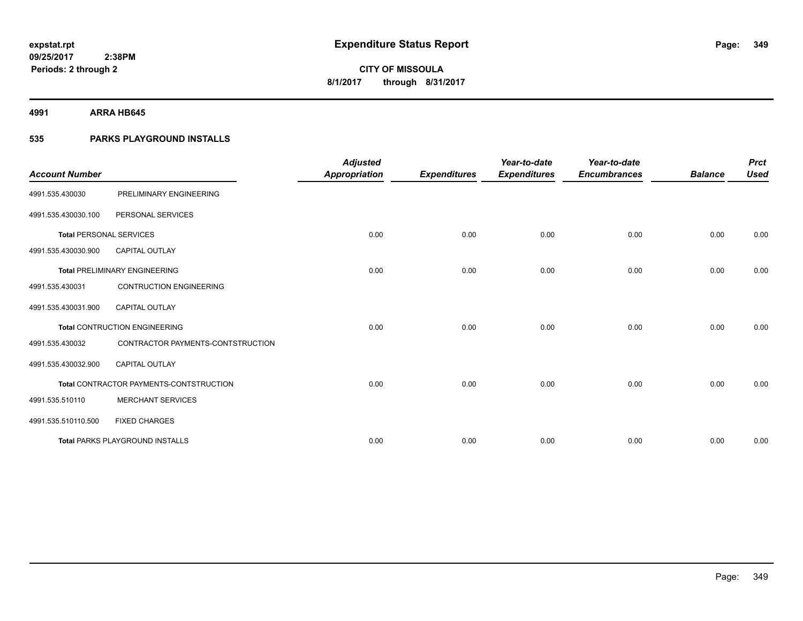**4991 ARRA HB645**

### **535 PARKS PLAYGROUND INSTALLS**

| <b>Account Number</b>          |                                         | <b>Adjusted</b><br><b>Appropriation</b> | <b>Expenditures</b> | Year-to-date<br><b>Expenditures</b> | Year-to-date<br><b>Encumbrances</b> | <b>Balance</b> | <b>Prct</b><br><b>Used</b> |
|--------------------------------|-----------------------------------------|-----------------------------------------|---------------------|-------------------------------------|-------------------------------------|----------------|----------------------------|
| 4991.535.430030                | PRELIMINARY ENGINEERING                 |                                         |                     |                                     |                                     |                |                            |
| 4991.535.430030.100            | PERSONAL SERVICES                       |                                         |                     |                                     |                                     |                |                            |
| <b>Total PERSONAL SERVICES</b> |                                         | 0.00                                    | 0.00                | 0.00                                | 0.00                                | 0.00           | 0.00                       |
| 4991.535.430030.900            | <b>CAPITAL OUTLAY</b>                   |                                         |                     |                                     |                                     |                |                            |
|                                | <b>Total PRELIMINARY ENGINEERING</b>    | 0.00                                    | 0.00                | 0.00                                | 0.00                                | 0.00           | 0.00                       |
| 4991.535.430031                | <b>CONTRUCTION ENGINEERING</b>          |                                         |                     |                                     |                                     |                |                            |
| 4991.535.430031.900            | CAPITAL OUTLAY                          |                                         |                     |                                     |                                     |                |                            |
|                                | <b>Total CONTRUCTION ENGINEERING</b>    | 0.00                                    | 0.00                | 0.00                                | 0.00                                | 0.00           | 0.00                       |
| 4991.535.430032                | CONTRACTOR PAYMENTS-CONTSTRUCTION       |                                         |                     |                                     |                                     |                |                            |
| 4991.535.430032.900            | <b>CAPITAL OUTLAY</b>                   |                                         |                     |                                     |                                     |                |                            |
|                                | Total CONTRACTOR PAYMENTS-CONTSTRUCTION | 0.00                                    | 0.00                | 0.00                                | 0.00                                | 0.00           | 0.00                       |
| 4991.535.510110                | <b>MERCHANT SERVICES</b>                |                                         |                     |                                     |                                     |                |                            |
| 4991.535.510110.500            | <b>FIXED CHARGES</b>                    |                                         |                     |                                     |                                     |                |                            |
|                                | <b>Total PARKS PLAYGROUND INSTALLS</b>  | 0.00                                    | 0.00                | 0.00                                | 0.00                                | 0.00           | 0.00                       |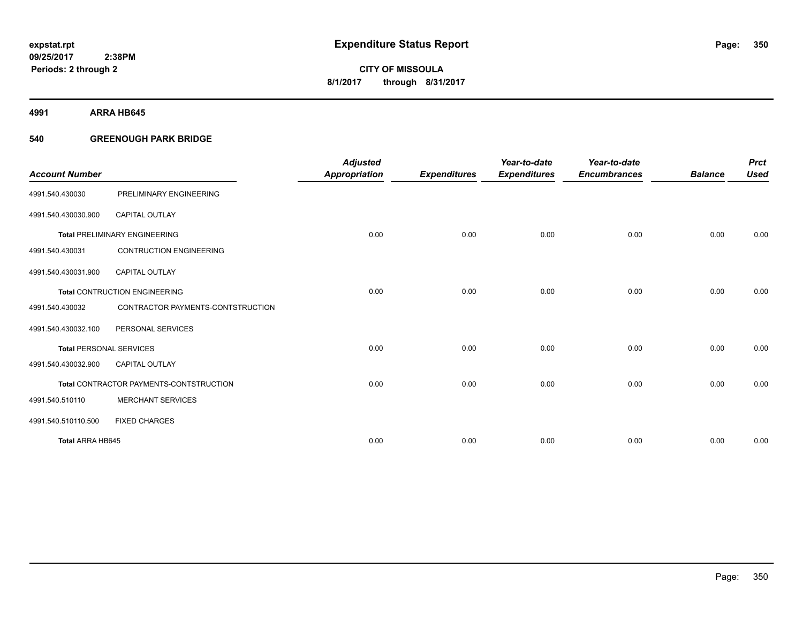**4991 ARRA HB645**

### **540 GREENOUGH PARK BRIDGE**

| <b>Account Number</b>          |                                         | <b>Adjusted</b><br><b>Appropriation</b> | <b>Expenditures</b> | Year-to-date<br><b>Expenditures</b> | Year-to-date<br><b>Encumbrances</b> | <b>Balance</b> | <b>Prct</b><br><b>Used</b> |
|--------------------------------|-----------------------------------------|-----------------------------------------|---------------------|-------------------------------------|-------------------------------------|----------------|----------------------------|
| 4991.540.430030                | PRELIMINARY ENGINEERING                 |                                         |                     |                                     |                                     |                |                            |
| 4991.540.430030.900            | <b>CAPITAL OUTLAY</b>                   |                                         |                     |                                     |                                     |                |                            |
|                                | <b>Total PRELIMINARY ENGINEERING</b>    | 0.00                                    | 0.00                | 0.00                                | 0.00                                | 0.00           | 0.00                       |
| 4991.540.430031                | <b>CONTRUCTION ENGINEERING</b>          |                                         |                     |                                     |                                     |                |                            |
| 4991.540.430031.900            | <b>CAPITAL OUTLAY</b>                   |                                         |                     |                                     |                                     |                |                            |
|                                | <b>Total CONTRUCTION ENGINEERING</b>    | 0.00                                    | 0.00                | 0.00                                | 0.00                                | 0.00           | 0.00                       |
| 4991.540.430032                | CONTRACTOR PAYMENTS-CONTSTRUCTION       |                                         |                     |                                     |                                     |                |                            |
| 4991.540.430032.100            | PERSONAL SERVICES                       |                                         |                     |                                     |                                     |                |                            |
| <b>Total PERSONAL SERVICES</b> |                                         | 0.00                                    | 0.00                | 0.00                                | 0.00                                | 0.00           | 0.00                       |
| 4991.540.430032.900            | <b>CAPITAL OUTLAY</b>                   |                                         |                     |                                     |                                     |                |                            |
|                                | Total CONTRACTOR PAYMENTS-CONTSTRUCTION | 0.00                                    | 0.00                | 0.00                                | 0.00                                | 0.00           | 0.00                       |
| 4991.540.510110                | <b>MERCHANT SERVICES</b>                |                                         |                     |                                     |                                     |                |                            |
| 4991.540.510110.500            | <b>FIXED CHARGES</b>                    |                                         |                     |                                     |                                     |                |                            |
| <b>Total ARRA HB645</b>        |                                         | 0.00                                    | 0.00                | 0.00                                | 0.00                                | 0.00           | 0.00                       |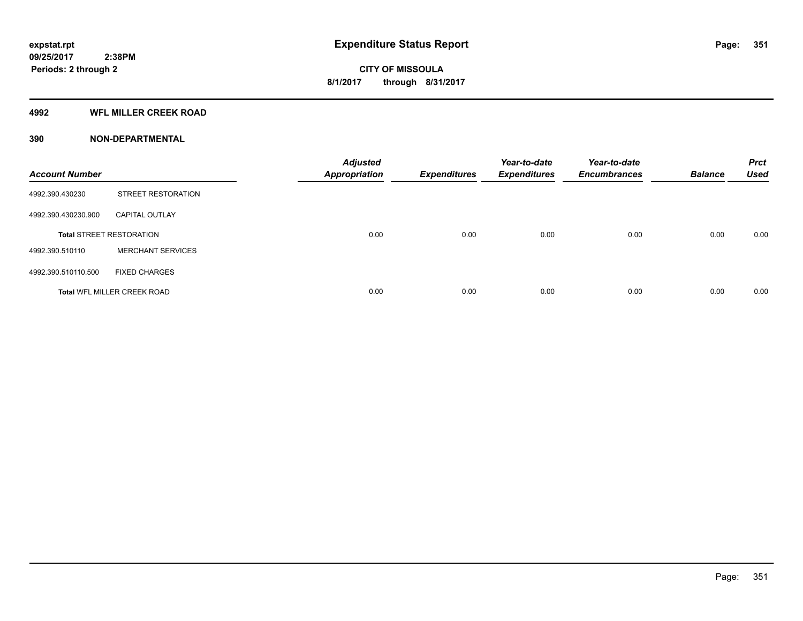#### **4992 WFL MILLER CREEK ROAD**

| <b>Account Number</b> |                                    | <b>Adjusted</b><br><b>Appropriation</b> | <b>Expenditures</b> | Year-to-date<br><b>Expenditures</b> | Year-to-date<br><b>Encumbrances</b> | <b>Balance</b> | <b>Prct</b><br><b>Used</b> |
|-----------------------|------------------------------------|-----------------------------------------|---------------------|-------------------------------------|-------------------------------------|----------------|----------------------------|
| 4992.390.430230       | <b>STREET RESTORATION</b>          |                                         |                     |                                     |                                     |                |                            |
| 4992.390.430230.900   | <b>CAPITAL OUTLAY</b>              |                                         |                     |                                     |                                     |                |                            |
|                       | <b>Total STREET RESTORATION</b>    | 0.00                                    | 0.00                | 0.00                                | 0.00                                | 0.00           | 0.00                       |
| 4992.390.510110       | <b>MERCHANT SERVICES</b>           |                                         |                     |                                     |                                     |                |                            |
| 4992.390.510110.500   | <b>FIXED CHARGES</b>               |                                         |                     |                                     |                                     |                |                            |
|                       | <b>Total WFL MILLER CREEK ROAD</b> | 0.00                                    | 0.00                | 0.00                                | 0.00                                | 0.00           | 0.00                       |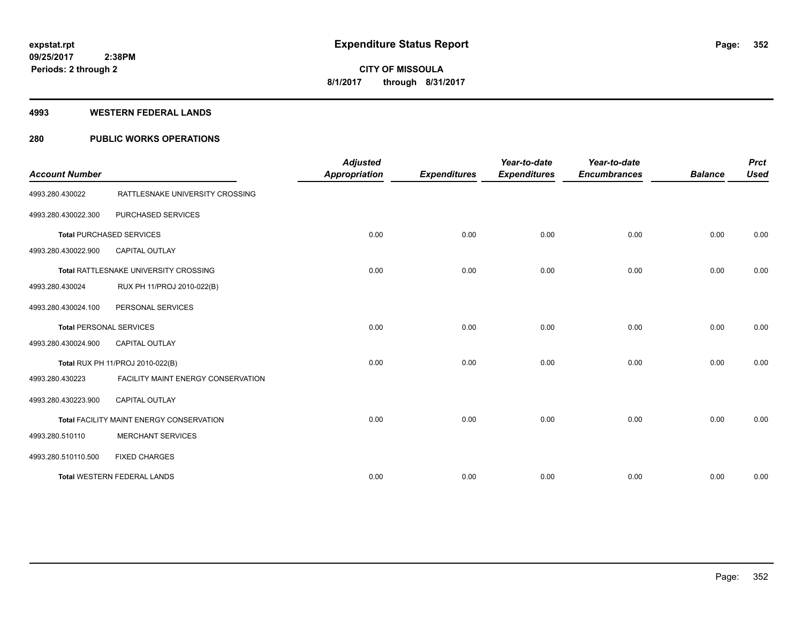#### **4993 WESTERN FEDERAL LANDS**

### **280 PUBLIC WORKS OPERATIONS**

| <b>Account Number</b>          |                                          | <b>Adjusted</b><br><b>Appropriation</b> | <b>Expenditures</b> | Year-to-date<br><b>Expenditures</b> | Year-to-date<br><b>Encumbrances</b> | <b>Balance</b> | <b>Prct</b><br><b>Used</b> |
|--------------------------------|------------------------------------------|-----------------------------------------|---------------------|-------------------------------------|-------------------------------------|----------------|----------------------------|
| 4993.280.430022                | RATTLESNAKE UNIVERSITY CROSSING          |                                         |                     |                                     |                                     |                |                            |
| 4993.280.430022.300            | PURCHASED SERVICES                       |                                         |                     |                                     |                                     |                |                            |
|                                | <b>Total PURCHASED SERVICES</b>          | 0.00                                    | 0.00                | 0.00                                | 0.00                                | 0.00           | 0.00                       |
| 4993.280.430022.900            | <b>CAPITAL OUTLAY</b>                    |                                         |                     |                                     |                                     |                |                            |
|                                | Total RATTLESNAKE UNIVERSITY CROSSING    | 0.00                                    | 0.00                | 0.00                                | 0.00                                | 0.00           | 0.00                       |
| 4993.280.430024                | RUX PH 11/PROJ 2010-022(B)               |                                         |                     |                                     |                                     |                |                            |
| 4993.280.430024.100            | PERSONAL SERVICES                        |                                         |                     |                                     |                                     |                |                            |
| <b>Total PERSONAL SERVICES</b> |                                          | 0.00                                    | 0.00                | 0.00                                | 0.00                                | 0.00           | 0.00                       |
| 4993.280.430024.900            | <b>CAPITAL OUTLAY</b>                    |                                         |                     |                                     |                                     |                |                            |
|                                | Total RUX PH 11/PROJ 2010-022(B)         | 0.00                                    | 0.00                | 0.00                                | 0.00                                | 0.00           | 0.00                       |
| 4993.280.430223                | FACILITY MAINT ENERGY CONSERVATION       |                                         |                     |                                     |                                     |                |                            |
| 4993.280.430223.900            | <b>CAPITAL OUTLAY</b>                    |                                         |                     |                                     |                                     |                |                            |
|                                | Total FACILITY MAINT ENERGY CONSERVATION | 0.00                                    | 0.00                | 0.00                                | 0.00                                | 0.00           | 0.00                       |
| 4993.280.510110                | <b>MERCHANT SERVICES</b>                 |                                         |                     |                                     |                                     |                |                            |
| 4993.280.510110.500            | <b>FIXED CHARGES</b>                     |                                         |                     |                                     |                                     |                |                            |
|                                | <b>Total WESTERN FEDERAL LANDS</b>       | 0.00                                    | 0.00                | 0.00                                | 0.00                                | 0.00           | 0.00                       |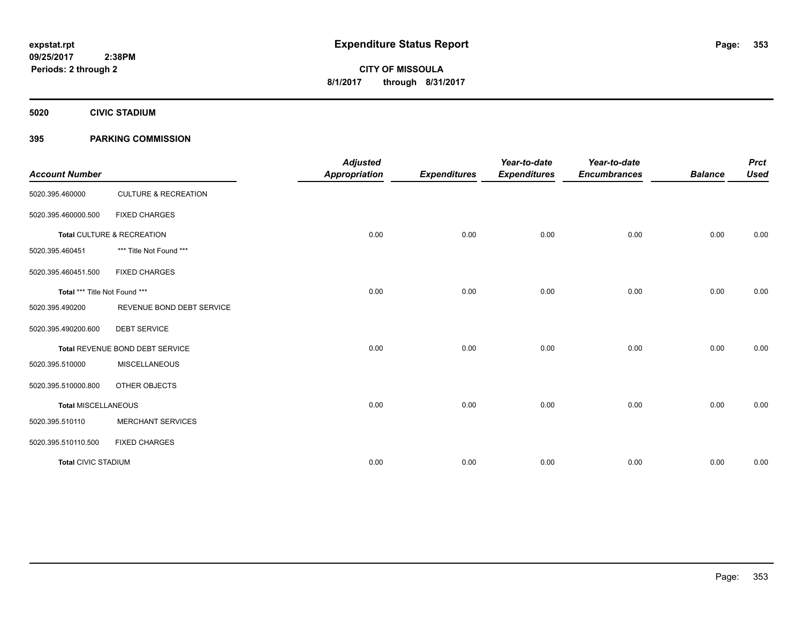**5020 CIVIC STADIUM**

### **395 PARKING COMMISSION**

| <b>Account Number</b>         |                                 | <b>Adjusted</b><br><b>Appropriation</b> | <b>Expenditures</b> | Year-to-date<br><b>Expenditures</b> | Year-to-date<br><b>Encumbrances</b> | <b>Balance</b> | <b>Prct</b><br><b>Used</b> |
|-------------------------------|---------------------------------|-----------------------------------------|---------------------|-------------------------------------|-------------------------------------|----------------|----------------------------|
| 5020.395.460000               | <b>CULTURE &amp; RECREATION</b> |                                         |                     |                                     |                                     |                |                            |
| 5020.395.460000.500           | <b>FIXED CHARGES</b>            |                                         |                     |                                     |                                     |                |                            |
|                               | Total CULTURE & RECREATION      | 0.00                                    | 0.00                | 0.00                                | 0.00                                | 0.00           | 0.00                       |
| 5020.395.460451               | *** Title Not Found ***         |                                         |                     |                                     |                                     |                |                            |
| 5020.395.460451.500           | <b>FIXED CHARGES</b>            |                                         |                     |                                     |                                     |                |                            |
| Total *** Title Not Found *** |                                 | 0.00                                    | 0.00                | 0.00                                | 0.00                                | 0.00           | 0.00                       |
| 5020.395.490200               | REVENUE BOND DEBT SERVICE       |                                         |                     |                                     |                                     |                |                            |
| 5020.395.490200.600           | <b>DEBT SERVICE</b>             |                                         |                     |                                     |                                     |                |                            |
|                               | Total REVENUE BOND DEBT SERVICE | 0.00                                    | 0.00                | 0.00                                | 0.00                                | 0.00           | 0.00                       |
| 5020.395.510000               | <b>MISCELLANEOUS</b>            |                                         |                     |                                     |                                     |                |                            |
| 5020.395.510000.800           | OTHER OBJECTS                   |                                         |                     |                                     |                                     |                |                            |
| <b>Total MISCELLANEOUS</b>    |                                 | 0.00                                    | 0.00                | 0.00                                | 0.00                                | 0.00           | 0.00                       |
| 5020.395.510110               | <b>MERCHANT SERVICES</b>        |                                         |                     |                                     |                                     |                |                            |
| 5020.395.510110.500           | <b>FIXED CHARGES</b>            |                                         |                     |                                     |                                     |                |                            |
| <b>Total CIVIC STADIUM</b>    |                                 | 0.00                                    | 0.00                | 0.00                                | 0.00                                | 0.00           | 0.00                       |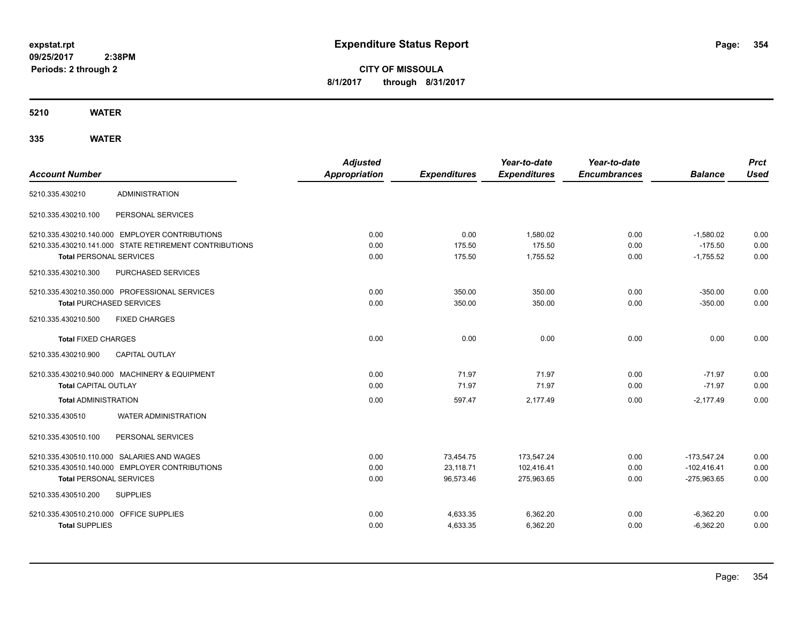**CITY OF MISSOULA 8/1/2017 through 8/31/2017**

**5210 WATER**

|                                         |                                                        | <b>Adjusted</b>      |                     | Year-to-date        | Year-to-date        |                | <b>Prct</b> |
|-----------------------------------------|--------------------------------------------------------|----------------------|---------------------|---------------------|---------------------|----------------|-------------|
| <b>Account Number</b>                   |                                                        | <b>Appropriation</b> | <b>Expenditures</b> | <b>Expenditures</b> | <b>Encumbrances</b> | <b>Balance</b> | <b>Used</b> |
| 5210.335.430210                         | <b>ADMINISTRATION</b>                                  |                      |                     |                     |                     |                |             |
| 5210.335.430210.100                     | PERSONAL SERVICES                                      |                      |                     |                     |                     |                |             |
|                                         | 5210.335.430210.140.000 EMPLOYER CONTRIBUTIONS         | 0.00                 | 0.00                | 1,580.02            | 0.00                | $-1,580.02$    | 0.00        |
|                                         | 5210.335.430210.141.000 STATE RETIREMENT CONTRIBUTIONS | 0.00                 | 175.50              | 175.50              | 0.00                | $-175.50$      | 0.00        |
| <b>Total PERSONAL SERVICES</b>          |                                                        | 0.00                 | 175.50              | 1,755.52            | 0.00                | $-1,755.52$    | 0.00        |
| 5210.335.430210.300                     | PURCHASED SERVICES                                     |                      |                     |                     |                     |                |             |
|                                         | 5210.335.430210.350.000 PROFESSIONAL SERVICES          | 0.00                 | 350.00              | 350.00              | 0.00                | $-350.00$      | 0.00        |
| <b>Total PURCHASED SERVICES</b>         |                                                        | 0.00                 | 350.00              | 350.00              | 0.00                | $-350.00$      | 0.00        |
| 5210.335.430210.500                     | <b>FIXED CHARGES</b>                                   |                      |                     |                     |                     |                |             |
| <b>Total FIXED CHARGES</b>              |                                                        | 0.00                 | 0.00                | 0.00                | 0.00                | 0.00           | 0.00        |
| 5210.335.430210.900                     | CAPITAL OUTLAY                                         |                      |                     |                     |                     |                |             |
|                                         | 5210.335.430210.940.000 MACHINERY & EQUIPMENT          | 0.00                 | 71.97               | 71.97               | 0.00                | $-71.97$       | 0.00        |
| <b>Total CAPITAL OUTLAY</b>             |                                                        | 0.00                 | 71.97               | 71.97               | 0.00                | $-71.97$       | 0.00        |
| <b>Total ADMINISTRATION</b>             |                                                        | 0.00                 | 597.47              | 2,177.49            | 0.00                | $-2.177.49$    | 0.00        |
| 5210.335.430510                         | <b>WATER ADMINISTRATION</b>                            |                      |                     |                     |                     |                |             |
| 5210.335.430510.100                     | PERSONAL SERVICES                                      |                      |                     |                     |                     |                |             |
|                                         | 5210.335.430510.110.000 SALARIES AND WAGES             | 0.00                 | 73,454.75           | 173,547.24          | 0.00                | $-173,547.24$  | 0.00        |
|                                         | 5210.335.430510.140.000 EMPLOYER CONTRIBUTIONS         | 0.00                 | 23.118.71           | 102,416.41          | 0.00                | $-102,416.41$  | 0.00        |
| <b>Total PERSONAL SERVICES</b>          |                                                        | 0.00                 | 96,573.46           | 275,963.65          | 0.00                | $-275,963.65$  | 0.00        |
| 5210.335.430510.200                     | <b>SUPPLIES</b>                                        |                      |                     |                     |                     |                |             |
| 5210.335.430510.210.000 OFFICE SUPPLIES |                                                        | 0.00                 | 4,633.35            | 6,362.20            | 0.00                | $-6,362.20$    | 0.00        |
| <b>Total SUPPLIES</b>                   |                                                        | 0.00                 | 4,633.35            | 6,362.20            | 0.00                | $-6,362.20$    | 0.00        |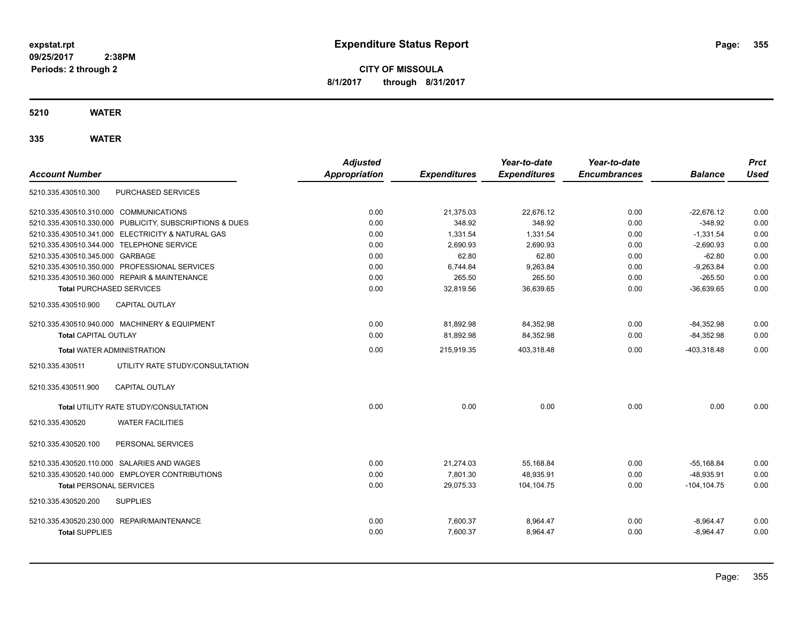**CITY OF MISSOULA 8/1/2017 through 8/31/2017**

**5210 WATER**

| <b>Account Number</b>                                   | <b>Adjusted</b><br><b>Appropriation</b> | <b>Expenditures</b> | Year-to-date<br><b>Expenditures</b> | Year-to-date<br><b>Encumbrances</b> | <b>Balance</b> | <b>Prct</b><br><b>Used</b> |
|---------------------------------------------------------|-----------------------------------------|---------------------|-------------------------------------|-------------------------------------|----------------|----------------------------|
| PURCHASED SERVICES<br>5210.335.430510.300               |                                         |                     |                                     |                                     |                |                            |
| 5210.335.430510.310.000 COMMUNICATIONS                  | 0.00                                    | 21.375.03           | 22.676.12                           | 0.00                                | $-22.676.12$   | 0.00                       |
| 5210.335.430510.330.000 PUBLICITY, SUBSCRIPTIONS & DUES | 0.00                                    | 348.92              | 348.92                              | 0.00                                | $-348.92$      | 0.00                       |
| 5210.335.430510.341.000 ELECTRICITY & NATURAL GAS       | 0.00                                    | 1,331.54            | 1,331.54                            | 0.00                                | $-1,331.54$    | 0.00                       |
| 5210.335.430510.344.000 TELEPHONE SERVICE               | 0.00                                    | 2.690.93            | 2,690.93                            | 0.00                                | $-2,690.93$    | 0.00                       |
| 5210.335.430510.345.000 GARBAGE                         | 0.00                                    | 62.80               | 62.80                               | 0.00                                | $-62.80$       | 0.00                       |
| 5210.335.430510.350.000 PROFESSIONAL SERVICES           | 0.00                                    | 6,744.84            | 9,263.84                            | 0.00                                | $-9,263.84$    | 0.00                       |
| 5210.335.430510.360.000 REPAIR & MAINTENANCE            | 0.00                                    | 265.50              | 265.50                              | 0.00                                | $-265.50$      | 0.00                       |
| <b>Total PURCHASED SERVICES</b>                         | 0.00                                    | 32,819.56           | 36,639.65                           | 0.00                                | $-36,639.65$   | 0.00                       |
| 5210.335.430510.900<br><b>CAPITAL OUTLAY</b>            |                                         |                     |                                     |                                     |                |                            |
| 5210.335.430510.940.000 MACHINERY & EQUIPMENT           | 0.00                                    | 81.892.98           | 84.352.98                           | 0.00                                | $-84.352.98$   | 0.00                       |
| <b>Total CAPITAL OUTLAY</b>                             | 0.00                                    | 81,892.98           | 84,352.98                           | 0.00                                | $-84,352.98$   | 0.00                       |
| <b>Total WATER ADMINISTRATION</b>                       | 0.00                                    | 215,919.35          | 403,318.48                          | 0.00                                | $-403,318.48$  | 0.00                       |
| 5210.335.430511<br>UTILITY RATE STUDY/CONSULTATION      |                                         |                     |                                     |                                     |                |                            |
| <b>CAPITAL OUTLAY</b><br>5210.335.430511.900            |                                         |                     |                                     |                                     |                |                            |
| Total UTILITY RATE STUDY/CONSULTATION                   | 0.00                                    | 0.00                | 0.00                                | 0.00                                | 0.00           | 0.00                       |
| <b>WATER FACILITIES</b><br>5210.335.430520              |                                         |                     |                                     |                                     |                |                            |
| 5210.335.430520.100<br>PERSONAL SERVICES                |                                         |                     |                                     |                                     |                |                            |
| 5210.335.430520.110.000 SALARIES AND WAGES              | 0.00                                    | 21,274.03           | 55,168.84                           | 0.00                                | $-55,168.84$   | 0.00                       |
| 5210.335.430520.140.000 EMPLOYER CONTRIBUTIONS          | 0.00                                    | 7,801.30            | 48,935.91                           | 0.00                                | $-48,935.91$   | 0.00                       |
| <b>Total PERSONAL SERVICES</b>                          | 0.00                                    | 29.075.33           | 104.104.75                          | 0.00                                | $-104.104.75$  | 0.00                       |
| 5210.335.430520.200<br><b>SUPPLIES</b>                  |                                         |                     |                                     |                                     |                |                            |
| 5210.335.430520.230.000 REPAIR/MAINTENANCE              | 0.00                                    | 7,600.37            | 8,964.47                            | 0.00                                | $-8,964.47$    | 0.00                       |
| <b>Total SUPPLIES</b>                                   | 0.00                                    | 7,600.37            | 8,964.47                            | 0.00                                | $-8,964.47$    | 0.00                       |
|                                                         |                                         |                     |                                     |                                     |                |                            |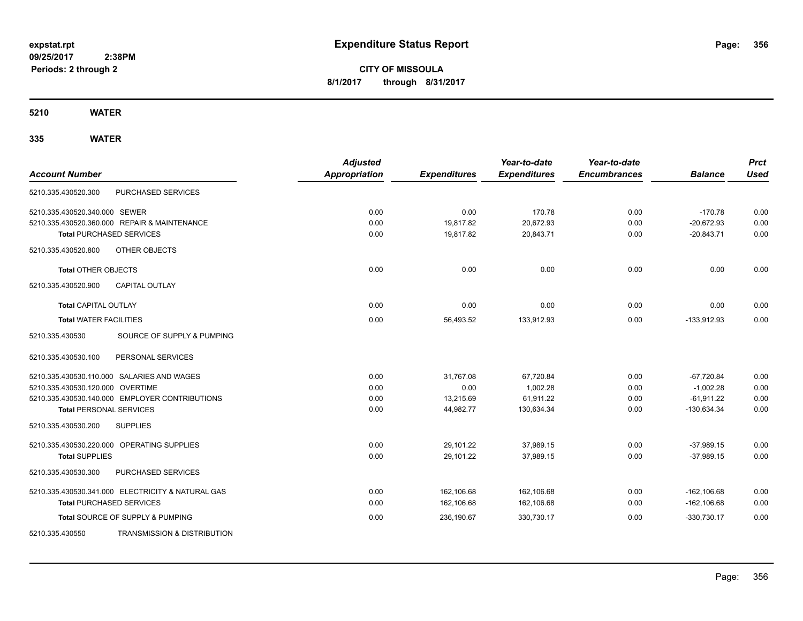**CITY OF MISSOULA 8/1/2017 through 8/31/2017**

**5210 WATER**

| <b>Account Number</b>           |                                                   | <b>Adjusted</b><br><b>Appropriation</b> | <b>Expenditures</b> | Year-to-date<br><b>Expenditures</b> | Year-to-date<br><b>Encumbrances</b> | <b>Balance</b> | <b>Prct</b><br><b>Used</b> |
|---------------------------------|---------------------------------------------------|-----------------------------------------|---------------------|-------------------------------------|-------------------------------------|----------------|----------------------------|
| 5210.335.430520.300             | PURCHASED SERVICES                                |                                         |                     |                                     |                                     |                |                            |
| 5210.335.430520.340.000 SEWER   |                                                   | 0.00                                    | 0.00                | 170.78                              | 0.00                                | $-170.78$      | 0.00                       |
|                                 | 5210.335.430520.360.000 REPAIR & MAINTENANCE      | 0.00                                    | 19.817.82           | 20,672.93                           | 0.00                                | $-20.672.93$   | 0.00                       |
| <b>Total PURCHASED SERVICES</b> |                                                   | 0.00                                    | 19,817.82           | 20,843.71                           | 0.00                                | $-20,843.71$   | 0.00                       |
| 5210.335.430520.800             | OTHER OBJECTS                                     |                                         |                     |                                     |                                     |                |                            |
| <b>Total OTHER OBJECTS</b>      |                                                   | 0.00                                    | 0.00                | 0.00                                | 0.00                                | 0.00           | 0.00                       |
| 5210.335.430520.900             | <b>CAPITAL OUTLAY</b>                             |                                         |                     |                                     |                                     |                |                            |
| Total CAPITAL OUTLAY            |                                                   | 0.00                                    | 0.00                | 0.00                                | 0.00                                | 0.00           | 0.00                       |
| <b>Total WATER FACILITIES</b>   |                                                   | 0.00                                    | 56,493.52           | 133,912.93                          | 0.00                                | $-133,912.93$  | 0.00                       |
| 5210.335.430530                 | SOURCE OF SUPPLY & PUMPING                        |                                         |                     |                                     |                                     |                |                            |
| 5210.335.430530.100             | PERSONAL SERVICES                                 |                                         |                     |                                     |                                     |                |                            |
|                                 | 5210.335.430530.110.000 SALARIES AND WAGES        | 0.00                                    | 31,767.08           | 67,720.84                           | 0.00                                | $-67,720.84$   | 0.00                       |
| 5210.335.430530.120.000         | <b>OVERTIME</b>                                   | 0.00                                    | 0.00                | 1.002.28                            | 0.00                                | $-1.002.28$    | 0.00                       |
|                                 | 5210.335.430530.140.000 EMPLOYER CONTRIBUTIONS    | 0.00                                    | 13,215.69           | 61,911.22                           | 0.00                                | $-61,911.22$   | 0.00                       |
| <b>Total PERSONAL SERVICES</b>  |                                                   | 0.00                                    | 44,982.77           | 130,634.34                          | 0.00                                | $-130,634.34$  | 0.00                       |
| 5210.335.430530.200             | <b>SUPPLIES</b>                                   |                                         |                     |                                     |                                     |                |                            |
|                                 | 5210.335.430530.220.000 OPERATING SUPPLIES        | 0.00                                    | 29,101.22           | 37,989.15                           | 0.00                                | $-37.989.15$   | 0.00                       |
| <b>Total SUPPLIES</b>           |                                                   | 0.00                                    | 29,101.22           | 37,989.15                           | 0.00                                | $-37,989.15$   | 0.00                       |
| 5210.335.430530.300             | PURCHASED SERVICES                                |                                         |                     |                                     |                                     |                |                            |
|                                 | 5210.335.430530.341.000 ELECTRICITY & NATURAL GAS | 0.00                                    | 162,106.68          | 162,106.68                          | 0.00                                | $-162, 106.68$ | 0.00                       |
| <b>Total PURCHASED SERVICES</b> |                                                   | 0.00                                    | 162,106.68          | 162,106.68                          | 0.00                                | $-162, 106.68$ | 0.00                       |
|                                 | Total SOURCE OF SUPPLY & PUMPING                  | 0.00                                    | 236,190.67          | 330,730.17                          | 0.00                                | $-330,730.17$  | 0.00                       |
| 5210.335.430550                 | <b>TRANSMISSION &amp; DISTRIBUTION</b>            |                                         |                     |                                     |                                     |                |                            |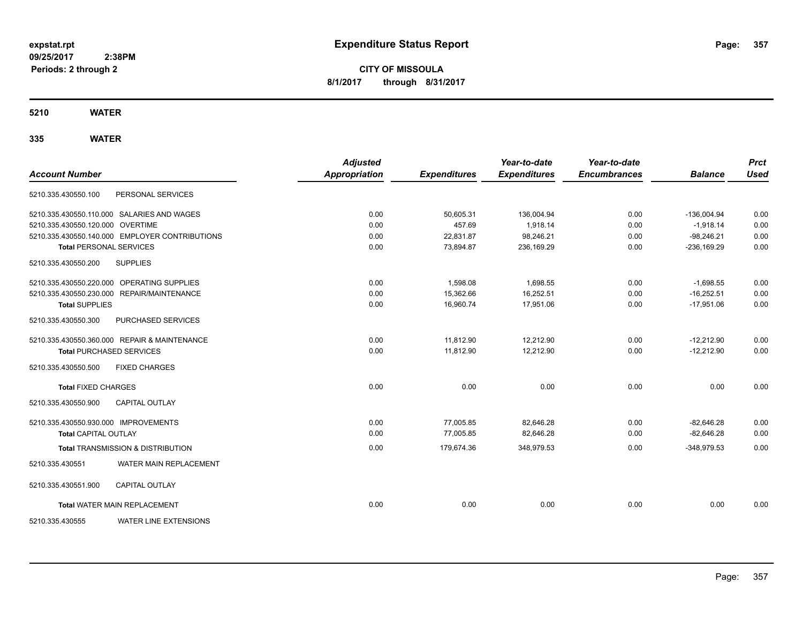**CITY OF MISSOULA 8/1/2017 through 8/31/2017**

**5210 WATER**

| <b>Account Number</b>                |                                                | <b>Adjusted</b><br><b>Appropriation</b> | <b>Expenditures</b> | Year-to-date<br><b>Expenditures</b> | Year-to-date<br><b>Encumbrances</b> | <b>Balance</b> | <b>Prct</b><br><b>Used</b> |
|--------------------------------------|------------------------------------------------|-----------------------------------------|---------------------|-------------------------------------|-------------------------------------|----------------|----------------------------|
| 5210.335.430550.100                  | PERSONAL SERVICES                              |                                         |                     |                                     |                                     |                |                            |
|                                      | 5210.335.430550.110.000 SALARIES AND WAGES     | 0.00                                    | 50,605.31           | 136,004.94                          | 0.00                                | $-136,004.94$  | 0.00                       |
| 5210.335.430550.120.000 OVERTIME     |                                                | 0.00                                    | 457.69              | 1.918.14                            | 0.00                                | $-1.918.14$    | 0.00                       |
|                                      | 5210.335.430550.140.000 EMPLOYER CONTRIBUTIONS | 0.00                                    | 22,831.87           | 98,246.21                           | 0.00                                | $-98,246.21$   | 0.00                       |
| <b>Total PERSONAL SERVICES</b>       |                                                | 0.00                                    | 73,894.87           | 236,169.29                          | 0.00                                | $-236,169.29$  | 0.00                       |
| 5210.335.430550.200                  | <b>SUPPLIES</b>                                |                                         |                     |                                     |                                     |                |                            |
|                                      | 5210.335.430550.220.000 OPERATING SUPPLIES     | 0.00                                    | 1,598.08            | 1,698.55                            | 0.00                                | $-1,698.55$    | 0.00                       |
|                                      | 5210.335.430550.230.000 REPAIR/MAINTENANCE     | 0.00                                    | 15,362.66           | 16,252.51                           | 0.00                                | $-16,252.51$   | 0.00                       |
| <b>Total SUPPLIES</b>                |                                                | 0.00                                    | 16,960.74           | 17,951.06                           | 0.00                                | $-17,951.06$   | 0.00                       |
| 5210.335.430550.300                  | PURCHASED SERVICES                             |                                         |                     |                                     |                                     |                |                            |
|                                      | 5210.335.430550.360.000 REPAIR & MAINTENANCE   | 0.00                                    | 11,812.90           | 12,212.90                           | 0.00                                | $-12,212.90$   | 0.00                       |
|                                      | <b>Total PURCHASED SERVICES</b>                | 0.00                                    | 11,812.90           | 12,212.90                           | 0.00                                | $-12,212.90$   | 0.00                       |
| 5210.335.430550.500                  | <b>FIXED CHARGES</b>                           |                                         |                     |                                     |                                     |                |                            |
| <b>Total FIXED CHARGES</b>           |                                                | 0.00                                    | 0.00                | 0.00                                | 0.00                                | 0.00           | 0.00                       |
| 5210.335.430550.900                  | <b>CAPITAL OUTLAY</b>                          |                                         |                     |                                     |                                     |                |                            |
| 5210.335.430550.930.000 IMPROVEMENTS |                                                | 0.00                                    | 77,005.85           | 82,646.28                           | 0.00                                | $-82,646.28$   | 0.00                       |
| <b>Total CAPITAL OUTLAY</b>          |                                                | 0.00                                    | 77,005.85           | 82,646.28                           | 0.00                                | $-82,646.28$   | 0.00                       |
|                                      | <b>Total TRANSMISSION &amp; DISTRIBUTION</b>   | 0.00                                    | 179,674.36          | 348,979.53                          | 0.00                                | $-348.979.53$  | 0.00                       |
| 5210.335.430551                      | <b>WATER MAIN REPLACEMENT</b>                  |                                         |                     |                                     |                                     |                |                            |
| 5210.335.430551.900                  | <b>CAPITAL OUTLAY</b>                          |                                         |                     |                                     |                                     |                |                            |
|                                      | <b>Total WATER MAIN REPLACEMENT</b>            | 0.00                                    | 0.00                | 0.00                                | 0.00                                | 0.00           | 0.00                       |
| 5210.335.430555                      | <b>WATER LINE EXTENSIONS</b>                   |                                         |                     |                                     |                                     |                |                            |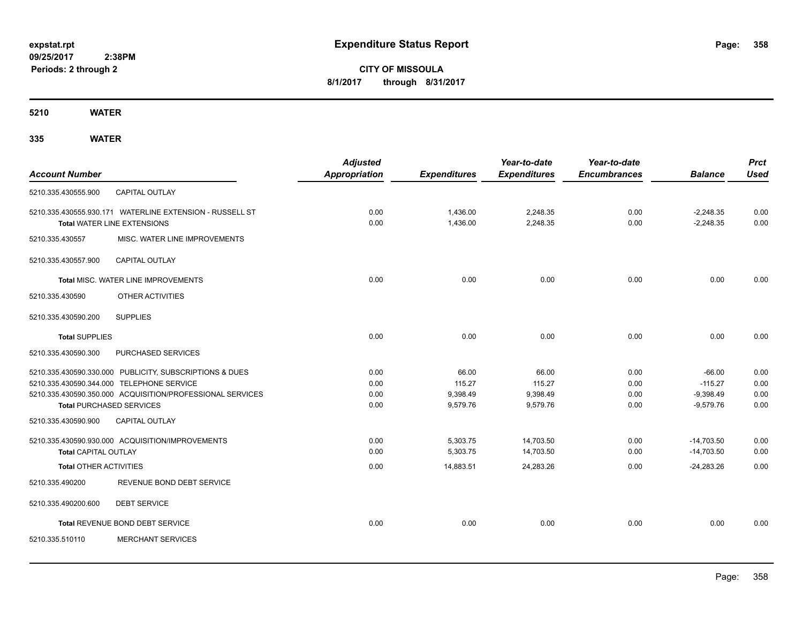# **CITY OF MISSOULA 8/1/2017 through 8/31/2017**

**5210 WATER**

|                               |                                                           | <b>Adjusted</b>      |                     | Year-to-date        | Year-to-date        |                | <b>Prct</b> |
|-------------------------------|-----------------------------------------------------------|----------------------|---------------------|---------------------|---------------------|----------------|-------------|
| <b>Account Number</b>         |                                                           | <b>Appropriation</b> | <b>Expenditures</b> | <b>Expenditures</b> | <b>Encumbrances</b> | <b>Balance</b> | <b>Used</b> |
| 5210.335.430555.900           | CAPITAL OUTLAY                                            |                      |                     |                     |                     |                |             |
|                               | 5210.335.430555.930.171 WATERLINE EXTENSION - RUSSELL ST  | 0.00                 | 1.436.00            | 2.248.35            | 0.00                | $-2.248.35$    | 0.00        |
|                               | <b>Total WATER LINE EXTENSIONS</b>                        | 0.00                 | 1.436.00            | 2,248.35            | 0.00                | $-2,248.35$    | 0.00        |
| 5210.335.430557               | MISC. WATER LINE IMPROVEMENTS                             |                      |                     |                     |                     |                |             |
| 5210.335.430557.900           | CAPITAL OUTLAY                                            |                      |                     |                     |                     |                |             |
|                               | Total MISC. WATER LINE IMPROVEMENTS                       | 0.00                 | 0.00                | 0.00                | 0.00                | 0.00           | 0.00        |
| 5210.335.430590               | <b>OTHER ACTIVITIES</b>                                   |                      |                     |                     |                     |                |             |
| 5210.335.430590.200           | <b>SUPPLIES</b>                                           |                      |                     |                     |                     |                |             |
| <b>Total SUPPLIES</b>         |                                                           | 0.00                 | 0.00                | 0.00                | 0.00                | 0.00           | 0.00        |
| 5210.335.430590.300           | PURCHASED SERVICES                                        |                      |                     |                     |                     |                |             |
|                               | 5210.335.430590.330.000 PUBLICITY, SUBSCRIPTIONS & DUES   | 0.00                 | 66.00               | 66.00               | 0.00                | $-66.00$       | 0.00        |
|                               | 5210.335.430590.344.000 TELEPHONE SERVICE                 | 0.00                 | 115.27              | 115.27              | 0.00                | $-115.27$      | 0.00        |
|                               | 5210.335.430590.350.000 ACQUISITION/PROFESSIONAL SERVICES | 0.00                 | 9,398.49            | 9,398.49            | 0.00                | $-9,398.49$    | 0.00        |
|                               | <b>Total PURCHASED SERVICES</b>                           | 0.00                 | 9,579.76            | 9,579.76            | 0.00                | $-9,579.76$    | 0.00        |
| 5210.335.430590.900           | CAPITAL OUTLAY                                            |                      |                     |                     |                     |                |             |
|                               | 5210.335.430590.930.000 ACQUISITION/IMPROVEMENTS          | 0.00                 | 5,303.75            | 14,703.50           | 0.00                | $-14,703.50$   | 0.00        |
| <b>Total CAPITAL OUTLAY</b>   |                                                           | 0.00                 | 5,303.75            | 14,703.50           | 0.00                | $-14,703.50$   | 0.00        |
| <b>Total OTHER ACTIVITIES</b> |                                                           | 0.00                 | 14,883.51           | 24,283.26           | 0.00                | $-24,283.26$   | 0.00        |
| 5210.335.490200               | REVENUE BOND DEBT SERVICE                                 |                      |                     |                     |                     |                |             |
| 5210.335.490200.600           | <b>DEBT SERVICE</b>                                       |                      |                     |                     |                     |                |             |
|                               | Total REVENUE BOND DEBT SERVICE                           | 0.00                 | 0.00                | 0.00                | 0.00                | 0.00           | 0.00        |
| 5210.335.510110               | <b>MERCHANT SERVICES</b>                                  |                      |                     |                     |                     |                |             |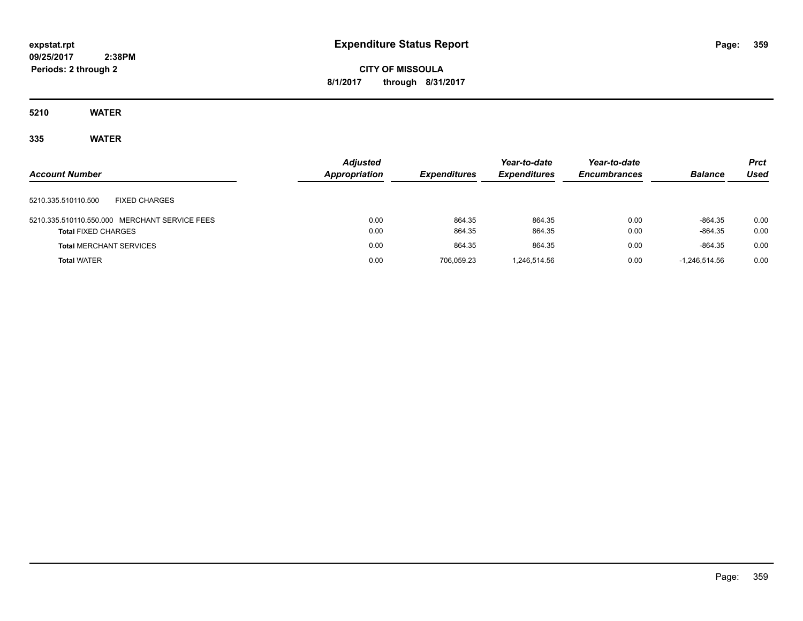# **CITY OF MISSOULA 8/1/2017 through 8/31/2017**

**5210 WATER**

| <b>Account Number</b>                                                       | <b>Adjusted</b><br><b>Appropriation</b> | <b>Expenditures</b> | Year-to-date<br><b>Expenditures</b> | Year-to-date<br><b>Encumbrances</b> | <b>Balance</b>         | <b>Prct</b><br>Used |
|-----------------------------------------------------------------------------|-----------------------------------------|---------------------|-------------------------------------|-------------------------------------|------------------------|---------------------|
| <b>FIXED CHARGES</b><br>5210.335.510110.500                                 |                                         |                     |                                     |                                     |                        |                     |
| 5210.335.510110.550.000 MERCHANT SERVICE FEES<br><b>Total FIXED CHARGES</b> | 0.00<br>0.00                            | 864.35<br>864.35    | 864.35<br>864.35                    | 0.00<br>0.00                        | $-864.35$<br>$-864.35$ | 0.00<br>0.00        |
| <b>Total MERCHANT SERVICES</b>                                              | 0.00                                    | 864.35              | 864.35                              | 0.00                                | $-864.35$              | 0.00                |
| <b>Total WATER</b>                                                          | 0.00                                    | 706.059.23          | 1.246.514.56                        | 0.00                                | $-1.246.514.56$        | 0.00                |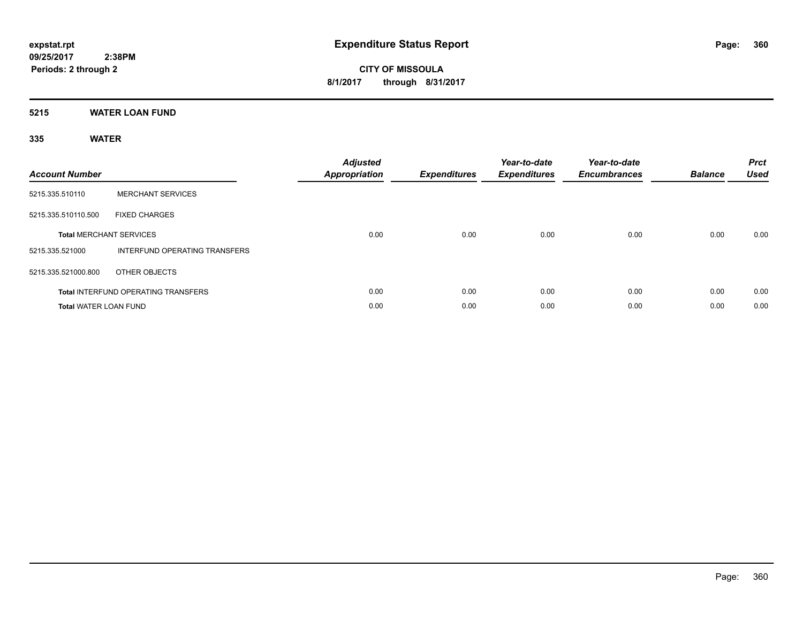**Periods: 2 through 2**

**CITY OF MISSOULA 8/1/2017 through 8/31/2017**

**5215 WATER LOAN FUND**

 **2:38PM**

| <b>Account Number</b>          |                                            | <b>Adjusted</b><br>Appropriation | <b>Expenditures</b> | Year-to-date<br><b>Expenditures</b> | Year-to-date<br><b>Encumbrances</b> | <b>Balance</b> | <b>Prct</b><br><b>Used</b> |
|--------------------------------|--------------------------------------------|----------------------------------|---------------------|-------------------------------------|-------------------------------------|----------------|----------------------------|
| 5215.335.510110                | <b>MERCHANT SERVICES</b>                   |                                  |                     |                                     |                                     |                |                            |
| 5215.335.510110.500            | <b>FIXED CHARGES</b>                       |                                  |                     |                                     |                                     |                |                            |
| <b>Total MERCHANT SERVICES</b> |                                            | 0.00                             | 0.00                | 0.00                                | 0.00                                | 0.00           | 0.00                       |
| 5215.335.521000                | INTERFUND OPERATING TRANSFERS              |                                  |                     |                                     |                                     |                |                            |
| 5215.335.521000.800            | OTHER OBJECTS                              |                                  |                     |                                     |                                     |                |                            |
|                                | <b>Total INTERFUND OPERATING TRANSFERS</b> | 0.00                             | 0.00                | 0.00                                | 0.00                                | 0.00           | 0.00                       |
| <b>Total WATER LOAN FUND</b>   |                                            | 0.00                             | 0.00                | 0.00                                | 0.00                                | 0.00           | 0.00                       |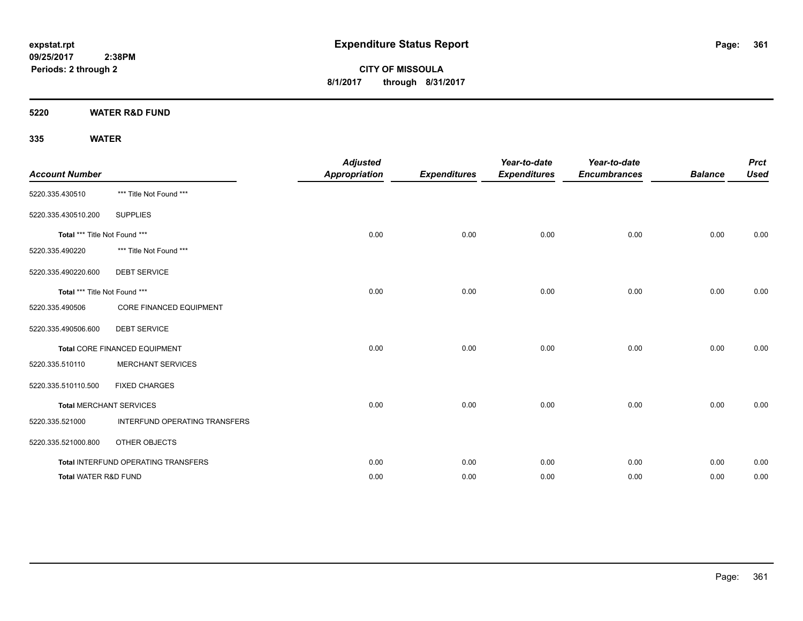**CITY OF MISSOULA 8/1/2017 through 8/31/2017**

**5220 WATER R&D FUND**

## **335 WATER**

| <b>Account Number</b>           |                                     | <b>Adjusted</b><br><b>Appropriation</b> | <b>Expenditures</b> | Year-to-date<br><b>Expenditures</b> | Year-to-date<br><b>Encumbrances</b> | <b>Balance</b> | <b>Prct</b><br><b>Used</b> |
|---------------------------------|-------------------------------------|-----------------------------------------|---------------------|-------------------------------------|-------------------------------------|----------------|----------------------------|
| 5220.335.430510                 | *** Title Not Found ***             |                                         |                     |                                     |                                     |                |                            |
| 5220.335.430510.200             | <b>SUPPLIES</b>                     |                                         |                     |                                     |                                     |                |                            |
| Total *** Title Not Found ***   |                                     | 0.00                                    | 0.00                | 0.00                                | 0.00                                | 0.00           | 0.00                       |
| 5220.335.490220                 | *** Title Not Found ***             |                                         |                     |                                     |                                     |                |                            |
| 5220.335.490220.600             | <b>DEBT SERVICE</b>                 |                                         |                     |                                     |                                     |                |                            |
| Total *** Title Not Found ***   |                                     | 0.00                                    | 0.00                | 0.00                                | 0.00                                | 0.00           | 0.00                       |
| 5220.335.490506                 | <b>CORE FINANCED EQUIPMENT</b>      |                                         |                     |                                     |                                     |                |                            |
| 5220.335.490506.600             | <b>DEBT SERVICE</b>                 |                                         |                     |                                     |                                     |                |                            |
|                                 | Total CORE FINANCED EQUIPMENT       | 0.00                                    | 0.00                | 0.00                                | 0.00                                | 0.00           | 0.00                       |
| 5220.335.510110                 | <b>MERCHANT SERVICES</b>            |                                         |                     |                                     |                                     |                |                            |
| 5220.335.510110.500             | <b>FIXED CHARGES</b>                |                                         |                     |                                     |                                     |                |                            |
|                                 | <b>Total MERCHANT SERVICES</b>      | 0.00                                    | 0.00                | 0.00                                | 0.00                                | 0.00           | 0.00                       |
| 5220.335.521000                 | INTERFUND OPERATING TRANSFERS       |                                         |                     |                                     |                                     |                |                            |
| 5220.335.521000.800             | OTHER OBJECTS                       |                                         |                     |                                     |                                     |                |                            |
|                                 | Total INTERFUND OPERATING TRANSFERS | 0.00                                    | 0.00                | 0.00                                | 0.00                                | 0.00           | 0.00                       |
| <b>Total WATER R&amp;D FUND</b> |                                     | 0.00                                    | 0.00                | 0.00                                | 0.00                                | 0.00           | 0.00                       |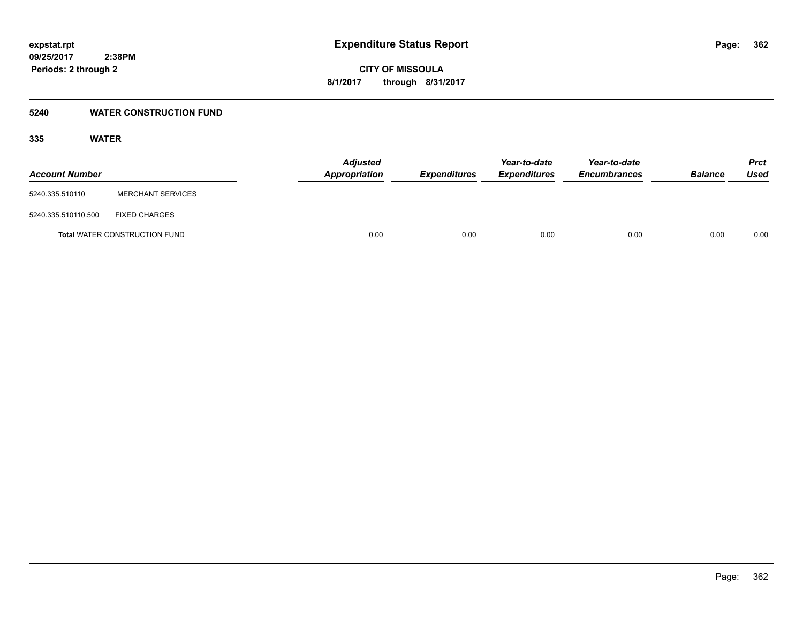### **5240 WATER CONSTRUCTION FUND**

### **335 WATER**

| <b>Account Number</b> |                                      | <b>Adjusted</b><br>Appropriation | <b>Expenditures</b> | Year-to-date<br><b>Expenditures</b> | Year-to-date<br><b>Encumbrances</b> | <b>Balance</b> | Prct<br><b>Used</b> |
|-----------------------|--------------------------------------|----------------------------------|---------------------|-------------------------------------|-------------------------------------|----------------|---------------------|
| 5240.335.510110       | <b>MERCHANT SERVICES</b>             |                                  |                     |                                     |                                     |                |                     |
| 5240.335.510110.500   | <b>FIXED CHARGES</b>                 |                                  |                     |                                     |                                     |                |                     |
|                       | <b>Total WATER CONSTRUCTION FUND</b> |                                  | 0.00<br>0.00        | 0.00                                | 0.00                                | 0.00           | 0.00                |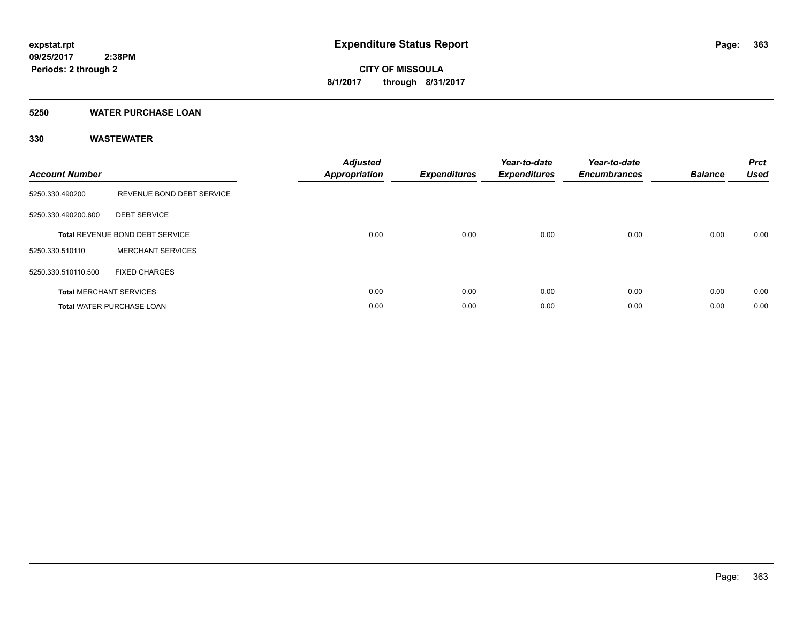### **5250 WATER PURCHASE LOAN**

| <b>Account Number</b> |                                        | <b>Adjusted</b><br><b>Appropriation</b> | <b>Expenditures</b> | Year-to-date<br><b>Expenditures</b> | Year-to-date<br><b>Encumbrances</b> | <b>Balance</b> | <b>Prct</b><br><b>Used</b> |
|-----------------------|----------------------------------------|-----------------------------------------|---------------------|-------------------------------------|-------------------------------------|----------------|----------------------------|
| 5250.330.490200       | REVENUE BOND DEBT SERVICE              |                                         |                     |                                     |                                     |                |                            |
| 5250.330.490200.600   | <b>DEBT SERVICE</b>                    |                                         |                     |                                     |                                     |                |                            |
|                       | <b>Total REVENUE BOND DEBT SERVICE</b> | 0.00                                    | 0.00                | 0.00                                | 0.00                                | 0.00           | 0.00                       |
| 5250.330.510110       | <b>MERCHANT SERVICES</b>               |                                         |                     |                                     |                                     |                |                            |
| 5250.330.510110.500   | <b>FIXED CHARGES</b>                   |                                         |                     |                                     |                                     |                |                            |
|                       | <b>Total MERCHANT SERVICES</b>         | 0.00                                    | 0.00                | 0.00                                | 0.00                                | 0.00           | 0.00                       |
|                       | <b>Total WATER PURCHASE LOAN</b>       | 0.00                                    | 0.00                | 0.00                                | 0.00                                | 0.00           | 0.00                       |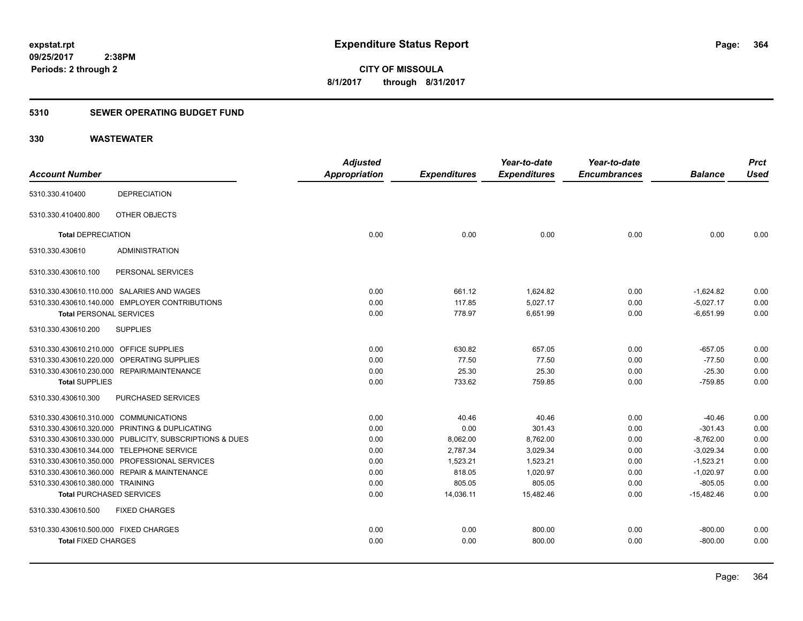### **5310 SEWER OPERATING BUDGET FUND**

|                                         |                                                         | <b>Adjusted</b>      |                     | Year-to-date        | Year-to-date        |                | <b>Prct</b> |
|-----------------------------------------|---------------------------------------------------------|----------------------|---------------------|---------------------|---------------------|----------------|-------------|
| <b>Account Number</b>                   |                                                         | <b>Appropriation</b> | <b>Expenditures</b> | <b>Expenditures</b> | <b>Encumbrances</b> | <b>Balance</b> | <b>Used</b> |
| 5310.330.410400                         | <b>DEPRECIATION</b>                                     |                      |                     |                     |                     |                |             |
| 5310.330.410400.800                     | OTHER OBJECTS                                           |                      |                     |                     |                     |                |             |
| <b>Total DEPRECIATION</b>               |                                                         | 0.00                 | 0.00                | 0.00                | 0.00                | 0.00           | 0.00        |
| 5310.330.430610                         | <b>ADMINISTRATION</b>                                   |                      |                     |                     |                     |                |             |
| 5310.330.430610.100                     | PERSONAL SERVICES                                       |                      |                     |                     |                     |                |             |
|                                         | 5310.330.430610.110.000 SALARIES AND WAGES              | 0.00                 | 661.12              | 1,624.82            | 0.00                | $-1,624.82$    | 0.00        |
|                                         | 5310.330.430610.140.000 EMPLOYER CONTRIBUTIONS          | 0.00                 | 117.85              | 5.027.17            | 0.00                | $-5.027.17$    | 0.00        |
| <b>Total PERSONAL SERVICES</b>          |                                                         | 0.00                 | 778.97              | 6,651.99            | 0.00                | $-6,651.99$    | 0.00        |
| 5310.330.430610.200                     | <b>SUPPLIES</b>                                         |                      |                     |                     |                     |                |             |
| 5310.330.430610.210.000 OFFICE SUPPLIES |                                                         | 0.00                 | 630.82              | 657.05              | 0.00                | $-657.05$      | 0.00        |
|                                         | 5310.330.430610.220.000 OPERATING SUPPLIES              | 0.00                 | 77.50               | 77.50               | 0.00                | $-77.50$       | 0.00        |
|                                         | 5310.330.430610.230.000 REPAIR/MAINTENANCE              | 0.00                 | 25.30               | 25.30               | 0.00                | $-25.30$       | 0.00        |
| <b>Total SUPPLIES</b>                   |                                                         | 0.00                 | 733.62              | 759.85              | 0.00                | $-759.85$      | 0.00        |
| 5310.330.430610.300                     | PURCHASED SERVICES                                      |                      |                     |                     |                     |                |             |
| 5310.330.430610.310.000 COMMUNICATIONS  |                                                         | 0.00                 | 40.46               | 40.46               | 0.00                | $-40.46$       | 0.00        |
|                                         | 5310.330.430610.320.000 PRINTING & DUPLICATING          | 0.00                 | 0.00                | 301.43              | 0.00                | $-301.43$      | 0.00        |
|                                         | 5310.330.430610.330.000 PUBLICITY, SUBSCRIPTIONS & DUES | 0.00                 | 8,062.00            | 8,762.00            | 0.00                | $-8,762.00$    | 0.00        |
|                                         | 5310.330.430610.344.000 TELEPHONE SERVICE               | 0.00                 | 2,787.34            | 3,029.34            | 0.00                | $-3,029.34$    | 0.00        |
|                                         | 5310.330.430610.350.000 PROFESSIONAL SERVICES           | 0.00                 | 1,523.21            | 1,523.21            | 0.00                | $-1,523.21$    | 0.00        |
|                                         | 5310.330.430610.360.000 REPAIR & MAINTENANCE            | 0.00                 | 818.05              | 1,020.97            | 0.00                | $-1,020.97$    | 0.00        |
| 5310.330.430610.380.000 TRAINING        |                                                         | 0.00                 | 805.05              | 805.05              | 0.00                | $-805.05$      | 0.00        |
| <b>Total PURCHASED SERVICES</b>         |                                                         | 0.00                 | 14,036.11           | 15,482.46           | 0.00                | $-15,482.46$   | 0.00        |
| 5310.330.430610.500                     | <b>FIXED CHARGES</b>                                    |                      |                     |                     |                     |                |             |
| 5310.330.430610.500.000 FIXED CHARGES   |                                                         | 0.00                 | 0.00                | 800.00              | 0.00                | $-800.00$      | 0.00        |
| <b>Total FIXED CHARGES</b>              |                                                         | 0.00                 | 0.00                | 800.00              | 0.00                | $-800.00$      | 0.00        |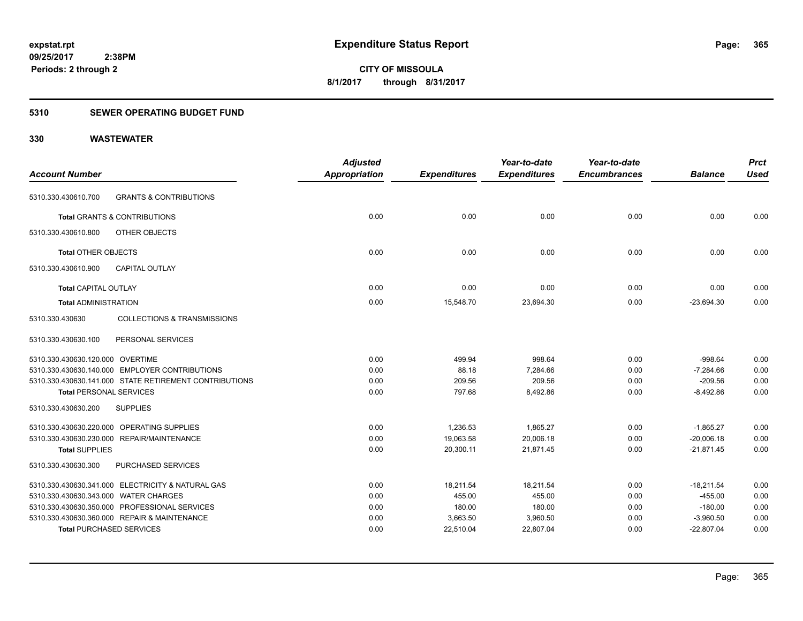### **5310 SEWER OPERATING BUDGET FUND**

|                                                           | <b>Adjusted</b>      |                     | Year-to-date        | Year-to-date        |                | <b>Prct</b> |
|-----------------------------------------------------------|----------------------|---------------------|---------------------|---------------------|----------------|-------------|
| <b>Account Number</b>                                     | <b>Appropriation</b> | <b>Expenditures</b> | <b>Expenditures</b> | <b>Encumbrances</b> | <b>Balance</b> | <b>Used</b> |
| <b>GRANTS &amp; CONTRIBUTIONS</b><br>5310.330.430610.700  |                      |                     |                     |                     |                |             |
| <b>Total GRANTS &amp; CONTRIBUTIONS</b>                   | 0.00                 | 0.00                | 0.00                | 0.00                | 0.00           | 0.00        |
| OTHER OBJECTS<br>5310.330.430610.800                      |                      |                     |                     |                     |                |             |
| <b>Total OTHER OBJECTS</b>                                | 0.00                 | 0.00                | 0.00                | 0.00                | 0.00           | 0.00        |
| 5310.330.430610.900<br><b>CAPITAL OUTLAY</b>              |                      |                     |                     |                     |                |             |
| <b>Total CAPITAL OUTLAY</b>                               | 0.00                 | 0.00                | 0.00                | 0.00                | 0.00           | 0.00        |
| <b>Total ADMINISTRATION</b>                               | 0.00                 | 15,548.70           | 23,694.30           | 0.00                | $-23,694.30$   | 0.00        |
| <b>COLLECTIONS &amp; TRANSMISSIONS</b><br>5310.330.430630 |                      |                     |                     |                     |                |             |
| 5310.330.430630.100<br>PERSONAL SERVICES                  |                      |                     |                     |                     |                |             |
| 5310.330.430630.120.000 OVERTIME                          | 0.00                 | 499.94              | 998.64              | 0.00                | $-998.64$      | 0.00        |
| 5310.330.430630.140.000 EMPLOYER CONTRIBUTIONS            | 0.00                 | 88.18               | 7,284.66            | 0.00                | $-7,284.66$    | 0.00        |
| 5310.330.430630.141.000 STATE RETIREMENT CONTRIBUTIONS    | 0.00                 | 209.56              | 209.56              | 0.00                | $-209.56$      | 0.00        |
| <b>Total PERSONAL SERVICES</b>                            | 0.00                 | 797.68              | 8,492.86            | 0.00                | $-8,492.86$    | 0.00        |
| <b>SUPPLIES</b><br>5310.330.430630.200                    |                      |                     |                     |                     |                |             |
| 5310.330.430630.220.000 OPERATING SUPPLIES                | 0.00                 | 1,236.53            | 1.865.27            | 0.00                | $-1,865.27$    | 0.00        |
| 5310.330.430630.230.000 REPAIR/MAINTENANCE                | 0.00                 | 19,063.58           | 20,006.18           | 0.00                | $-20,006.18$   | 0.00        |
| <b>Total SUPPLIES</b>                                     | 0.00                 | 20,300.11           | 21,871.45           | 0.00                | $-21,871.45$   | 0.00        |
| PURCHASED SERVICES<br>5310.330.430630.300                 |                      |                     |                     |                     |                |             |
| 5310.330.430630.341.000 ELECTRICITY & NATURAL GAS         | 0.00                 | 18,211.54           | 18,211.54           | 0.00                | $-18,211.54$   | 0.00        |
| 5310.330.430630.343.000 WATER CHARGES                     | 0.00                 | 455.00              | 455.00              | 0.00                | $-455.00$      | 0.00        |
| 5310.330.430630.350.000 PROFESSIONAL SERVICES             | 0.00                 | 180.00              | 180.00              | 0.00                | $-180.00$      | 0.00        |
| 5310.330.430630.360.000 REPAIR & MAINTENANCE              | 0.00                 | 3,663.50            | 3,960.50            | 0.00                | $-3,960.50$    | 0.00        |
| <b>Total PURCHASED SERVICES</b>                           | 0.00                 | 22,510.04           | 22,807.04           | 0.00                | $-22,807.04$   | 0.00        |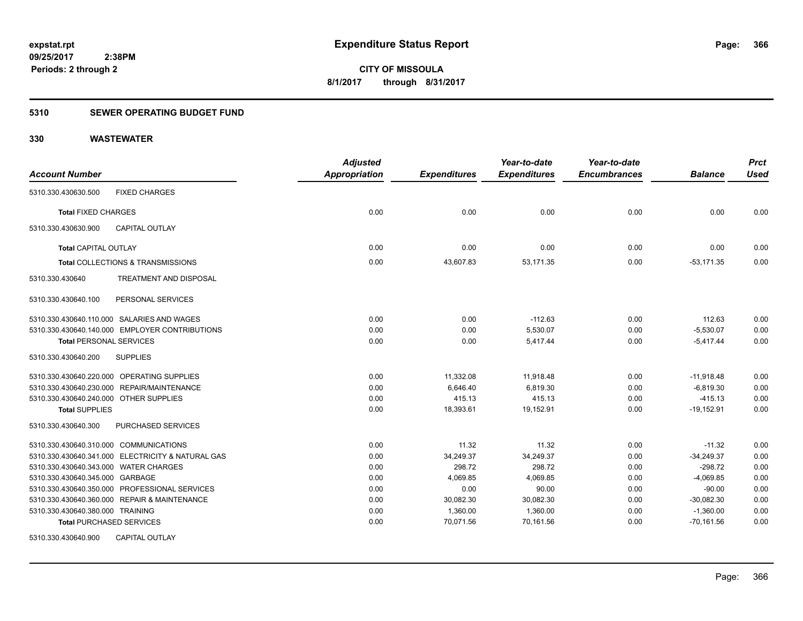### **5310 SEWER OPERATING BUDGET FUND**

|                                                   | <b>Adjusted</b>      |                     | Year-to-date        | Year-to-date        |                | <b>Prct</b> |
|---------------------------------------------------|----------------------|---------------------|---------------------|---------------------|----------------|-------------|
| <b>Account Number</b>                             | <b>Appropriation</b> | <b>Expenditures</b> | <b>Expenditures</b> | <b>Encumbrances</b> | <b>Balance</b> | <b>Used</b> |
| <b>FIXED CHARGES</b><br>5310.330.430630.500       |                      |                     |                     |                     |                |             |
| <b>Total FIXED CHARGES</b>                        | 0.00                 | 0.00                | 0.00                | 0.00                | 0.00           | 0.00        |
| <b>CAPITAL OUTLAY</b><br>5310.330.430630.900      |                      |                     |                     |                     |                |             |
| Total CAPITAL OUTLAY                              | 0.00                 | 0.00                | 0.00                | 0.00                | 0.00           | 0.00        |
| Total COLLECTIONS & TRANSMISSIONS                 | 0.00                 | 43,607.83           | 53,171.35           | 0.00                | $-53,171.35$   | 0.00        |
| 5310.330.430640<br>TREATMENT AND DISPOSAL         |                      |                     |                     |                     |                |             |
| PERSONAL SERVICES<br>5310.330.430640.100          |                      |                     |                     |                     |                |             |
| 5310.330.430640.110.000 SALARIES AND WAGES        | 0.00                 | 0.00                | $-112.63$           | 0.00                | 112.63         | 0.00        |
| 5310.330.430640.140.000 EMPLOYER CONTRIBUTIONS    | 0.00                 | 0.00                | 5,530.07            | 0.00                | $-5,530.07$    | 0.00        |
| <b>Total PERSONAL SERVICES</b>                    | 0.00                 | 0.00                | 5,417.44            | 0.00                | $-5,417.44$    | 0.00        |
| <b>SUPPLIES</b><br>5310.330.430640.200            |                      |                     |                     |                     |                |             |
| 5310.330.430640.220.000 OPERATING SUPPLIES        | 0.00                 | 11,332.08           | 11,918.48           | 0.00                | $-11,918.48$   | 0.00        |
| 5310.330.430640.230.000 REPAIR/MAINTENANCE        | 0.00                 | 6,646.40            | 6,819.30            | 0.00                | $-6,819.30$    | 0.00        |
| 5310.330.430640.240.000 OTHER SUPPLIES            | 0.00                 | 415.13              | 415.13              | 0.00                | $-415.13$      | 0.00        |
| <b>Total SUPPLIES</b>                             | 0.00                 | 18,393.61           | 19,152.91           | 0.00                | $-19,152.91$   | 0.00        |
| PURCHASED SERVICES<br>5310.330.430640.300         |                      |                     |                     |                     |                |             |
| 5310.330.430640.310.000 COMMUNICATIONS            | 0.00                 | 11.32               | 11.32               | 0.00                | $-11.32$       | 0.00        |
| 5310.330.430640.341.000 ELECTRICITY & NATURAL GAS | 0.00                 | 34,249.37           | 34,249.37           | 0.00                | $-34,249.37$   | 0.00        |
| 5310.330.430640.343.000 WATER CHARGES             | 0.00                 | 298.72              | 298.72              | 0.00                | $-298.72$      | 0.00        |
| 5310.330.430640.345.000 GARBAGE                   | 0.00                 | 4,069.85            | 4,069.85            | 0.00                | $-4,069.85$    | 0.00        |
| 5310.330.430640.350.000 PROFESSIONAL SERVICES     | 0.00                 | 0.00                | 90.00               | 0.00                | $-90.00$       | 0.00        |
| 5310.330.430640.360.000 REPAIR & MAINTENANCE      | 0.00                 | 30,082.30           | 30,082.30           | 0.00                | $-30,082.30$   | 0.00        |
| 5310.330.430640.380.000 TRAINING                  | 0.00                 | 1,360.00            | 1,360.00            | 0.00                | $-1,360.00$    | 0.00        |
| <b>Total PURCHASED SERVICES</b>                   | 0.00                 | 70,071.56           | 70,161.56           | 0.00                | $-70,161.56$   | 0.00        |
| <b>CAPITAL OUTLAY</b><br>5310.330.430640.900      |                      |                     |                     |                     |                |             |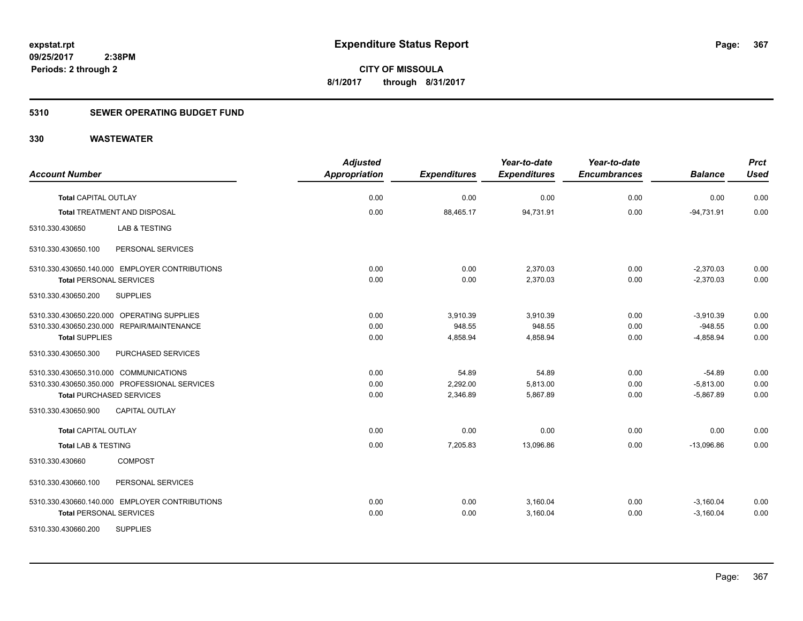### **5310 SEWER OPERATING BUDGET FUND**

| <b>Account Number</b>                                                                                                                                                      | <b>Adjusted</b><br>Appropriation | <b>Expenditures</b>            | Year-to-date<br><b>Expenditures</b> | Year-to-date<br><b>Encumbrances</b> | <b>Balance</b>                          | <b>Prct</b><br><b>Used</b> |
|----------------------------------------------------------------------------------------------------------------------------------------------------------------------------|----------------------------------|--------------------------------|-------------------------------------|-------------------------------------|-----------------------------------------|----------------------------|
| Total CAPITAL OUTLAY                                                                                                                                                       | 0.00                             | 0.00                           | 0.00                                | 0.00                                | 0.00                                    | 0.00                       |
| <b>Total TREATMENT AND DISPOSAL</b>                                                                                                                                        | 0.00                             | 88,465.17                      | 94,731.91                           | 0.00                                | $-94,731.91$                            | 0.00                       |
| 5310.330.430650<br>LAB & TESTING                                                                                                                                           |                                  |                                |                                     |                                     |                                         |                            |
| PERSONAL SERVICES<br>5310.330.430650.100                                                                                                                                   |                                  |                                |                                     |                                     |                                         |                            |
| 5310.330.430650.140.000 EMPLOYER CONTRIBUTIONS<br><b>Total PERSONAL SERVICES</b>                                                                                           | 0.00<br>0.00                     | 0.00<br>0.00                   | 2,370.03<br>2,370.03                | 0.00<br>0.00                        | $-2,370.03$<br>$-2,370.03$              | 0.00<br>0.00               |
| <b>SUPPLIES</b><br>5310.330.430650.200                                                                                                                                     |                                  |                                |                                     |                                     |                                         |                            |
| 5310.330.430650.220.000 OPERATING SUPPLIES<br>5310.330.430650.230.000 REPAIR/MAINTENANCE<br><b>Total SUPPLIES</b>                                                          | 0.00<br>0.00<br>0.00             | 3.910.39<br>948.55<br>4,858.94 | 3,910.39<br>948.55<br>4,858.94      | 0.00<br>0.00<br>0.00                | $-3,910.39$<br>$-948.55$<br>$-4,858.94$ | 0.00<br>0.00<br>0.00       |
| 5310.330.430650.300<br>PURCHASED SERVICES                                                                                                                                  |                                  |                                |                                     |                                     |                                         |                            |
| 5310.330.430650.310.000 COMMUNICATIONS<br>5310.330.430650.350.000 PROFESSIONAL SERVICES<br><b>Total PURCHASED SERVICES</b><br>5310.330.430650.900<br><b>CAPITAL OUTLAY</b> | 0.00<br>0.00<br>0.00             | 54.89<br>2,292.00<br>2,346.89  | 54.89<br>5,813.00<br>5,867.89       | 0.00<br>0.00<br>0.00                | $-54.89$<br>$-5,813.00$<br>$-5,867.89$  | 0.00<br>0.00<br>0.00       |
| <b>Total CAPITAL OUTLAY</b>                                                                                                                                                | 0.00                             | 0.00                           | 0.00                                | 0.00                                | 0.00                                    | 0.00                       |
| <b>Total LAB &amp; TESTING</b>                                                                                                                                             | 0.00                             | 7,205.83                       | 13,096.86                           | 0.00                                | $-13,096.86$                            | 0.00                       |
| <b>COMPOST</b><br>5310.330.430660                                                                                                                                          |                                  |                                |                                     |                                     |                                         |                            |
| 5310.330.430660.100<br>PERSONAL SERVICES                                                                                                                                   |                                  |                                |                                     |                                     |                                         |                            |
| 5310.330.430660.140.000 EMPLOYER CONTRIBUTIONS<br><b>Total PERSONAL SERVICES</b>                                                                                           | 0.00<br>0.00                     | 0.00<br>0.00                   | 3,160.04<br>3,160.04                | 0.00<br>0.00                        | $-3,160.04$<br>$-3,160.04$              | 0.00<br>0.00               |
| <b>SUPPLIES</b><br>5310.330.430660.200                                                                                                                                     |                                  |                                |                                     |                                     |                                         |                            |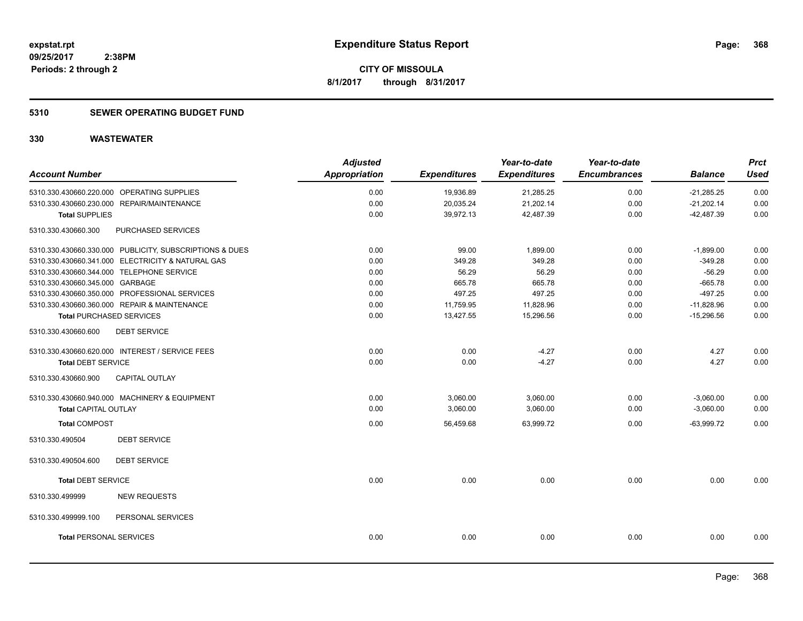### **5310 SEWER OPERATING BUDGET FUND**

| <b>Account Number</b>                                   | <b>Adjusted</b><br><b>Appropriation</b> | <b>Expenditures</b> | Year-to-date<br><b>Expenditures</b> | Year-to-date<br><b>Encumbrances</b> | <b>Balance</b> | <b>Prct</b><br><b>Used</b> |
|---------------------------------------------------------|-----------------------------------------|---------------------|-------------------------------------|-------------------------------------|----------------|----------------------------|
| 5310.330.430660.220.000 OPERATING SUPPLIES              | 0.00                                    | 19,936.89           | 21,285.25                           | 0.00                                | $-21,285.25$   | 0.00                       |
| 5310.330.430660.230.000 REPAIR/MAINTENANCE              | 0.00                                    | 20,035.24           | 21,202.14                           | 0.00                                | $-21,202.14$   | 0.00                       |
| <b>Total SUPPLIES</b>                                   | 0.00                                    | 39,972.13           | 42,487.39                           | 0.00                                | $-42,487.39$   | 0.00                       |
| 5310.330.430660.300<br>PURCHASED SERVICES               |                                         |                     |                                     |                                     |                |                            |
| 5310.330.430660.330.000 PUBLICITY, SUBSCRIPTIONS & DUES | 0.00                                    | 99.00               | 1,899.00                            | 0.00                                | $-1,899.00$    | 0.00                       |
| 5310.330.430660.341.000 ELECTRICITY & NATURAL GAS       | 0.00                                    | 349.28              | 349.28                              | 0.00                                | $-349.28$      | 0.00                       |
| 5310.330.430660.344.000 TELEPHONE SERVICE               | 0.00                                    | 56.29               | 56.29                               | 0.00                                | $-56.29$       | 0.00                       |
| 5310.330.430660.345.000 GARBAGE                         | 0.00                                    | 665.78              | 665.78                              | 0.00                                | $-665.78$      | 0.00                       |
| 5310.330.430660.350.000 PROFESSIONAL SERVICES           | 0.00                                    | 497.25              | 497.25                              | 0.00                                | $-497.25$      | 0.00                       |
| 5310.330.430660.360.000 REPAIR & MAINTENANCE            | 0.00                                    | 11,759.95           | 11,828.96                           | 0.00                                | $-11,828.96$   | 0.00                       |
| <b>Total PURCHASED SERVICES</b>                         | 0.00                                    | 13,427.55           | 15,296.56                           | 0.00                                | $-15,296.56$   | 0.00                       |
| 5310.330.430660.600<br><b>DEBT SERVICE</b>              |                                         |                     |                                     |                                     |                |                            |
| 5310.330.430660.620.000 INTEREST / SERVICE FEES         | 0.00                                    | 0.00                | $-4.27$                             | 0.00                                | 4.27           | 0.00                       |
| <b>Total DEBT SERVICE</b>                               | 0.00                                    | 0.00                | $-4.27$                             | 0.00                                | 4.27           | 0.00                       |
| 5310.330.430660.900<br><b>CAPITAL OUTLAY</b>            |                                         |                     |                                     |                                     |                |                            |
| 5310.330.430660.940.000 MACHINERY & EQUIPMENT           | 0.00                                    | 3,060.00            | 3,060.00                            | 0.00                                | $-3,060.00$    | 0.00                       |
| <b>Total CAPITAL OUTLAY</b>                             | 0.00                                    | 3,060.00            | 3,060.00                            | 0.00                                | $-3,060.00$    | 0.00                       |
| <b>Total COMPOST</b>                                    | 0.00                                    | 56,459.68           | 63.999.72                           | 0.00                                | $-63,999.72$   | 0.00                       |
| <b>DEBT SERVICE</b><br>5310.330.490504                  |                                         |                     |                                     |                                     |                |                            |
| <b>DEBT SERVICE</b><br>5310.330.490504.600              |                                         |                     |                                     |                                     |                |                            |
| <b>Total DEBT SERVICE</b>                               | 0.00                                    | 0.00                | 0.00                                | 0.00                                | 0.00           | 0.00                       |
| <b>NEW REQUESTS</b><br>5310.330.499999                  |                                         |                     |                                     |                                     |                |                            |
| 5310.330.499999.100<br>PERSONAL SERVICES                |                                         |                     |                                     |                                     |                |                            |
| <b>Total PERSONAL SERVICES</b>                          | 0.00                                    | 0.00                | 0.00                                | 0.00                                | 0.00           | 0.00                       |
|                                                         |                                         |                     |                                     |                                     |                |                            |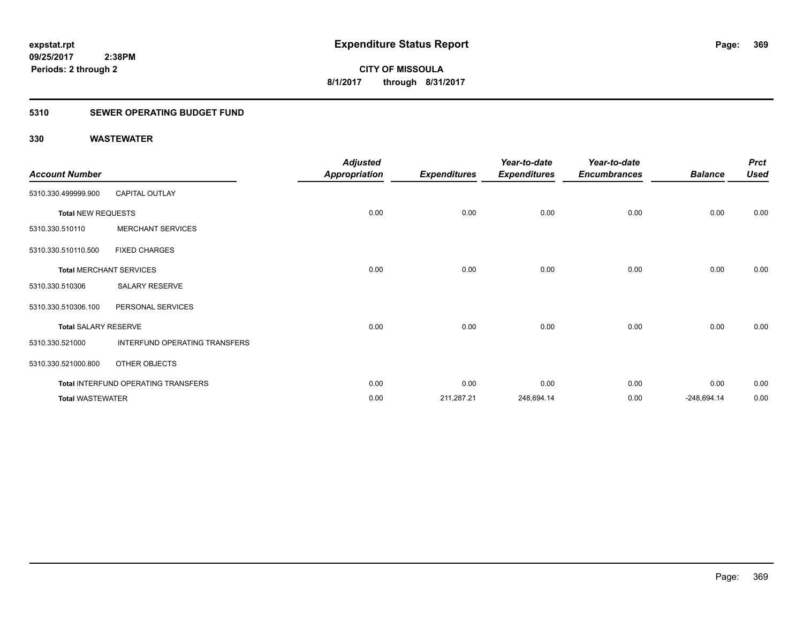### **5310 SEWER OPERATING BUDGET FUND**

| <b>Account Number</b>       |                                     | <b>Adjusted</b><br>Appropriation | <b>Expenditures</b> | Year-to-date<br><b>Expenditures</b> | Year-to-date<br><b>Encumbrances</b> | <b>Balance</b> | <b>Prct</b><br><b>Used</b> |
|-----------------------------|-------------------------------------|----------------------------------|---------------------|-------------------------------------|-------------------------------------|----------------|----------------------------|
| 5310.330.499999.900         | <b>CAPITAL OUTLAY</b>               |                                  |                     |                                     |                                     |                |                            |
| <b>Total NEW REQUESTS</b>   |                                     | 0.00                             | 0.00                | 0.00                                | 0.00                                | 0.00           | 0.00                       |
| 5310.330.510110             | <b>MERCHANT SERVICES</b>            |                                  |                     |                                     |                                     |                |                            |
| 5310.330.510110.500         | <b>FIXED CHARGES</b>                |                                  |                     |                                     |                                     |                |                            |
|                             | <b>Total MERCHANT SERVICES</b>      | 0.00                             | 0.00                | 0.00                                | 0.00                                | 0.00           | 0.00                       |
| 5310.330.510306             | SALARY RESERVE                      |                                  |                     |                                     |                                     |                |                            |
| 5310.330.510306.100         | PERSONAL SERVICES                   |                                  |                     |                                     |                                     |                |                            |
| <b>Total SALARY RESERVE</b> |                                     | 0.00                             | 0.00                | 0.00                                | 0.00                                | 0.00           | 0.00                       |
| 5310.330.521000             | INTERFUND OPERATING TRANSFERS       |                                  |                     |                                     |                                     |                |                            |
| 5310.330.521000.800         | OTHER OBJECTS                       |                                  |                     |                                     |                                     |                |                            |
|                             | Total INTERFUND OPERATING TRANSFERS | 0.00                             | 0.00                | 0.00                                | 0.00                                | 0.00           | 0.00                       |
| <b>Total WASTEWATER</b>     |                                     | 0.00                             | 211,287.21          | 248,694.14                          | 0.00                                | $-248,694.14$  | 0.00                       |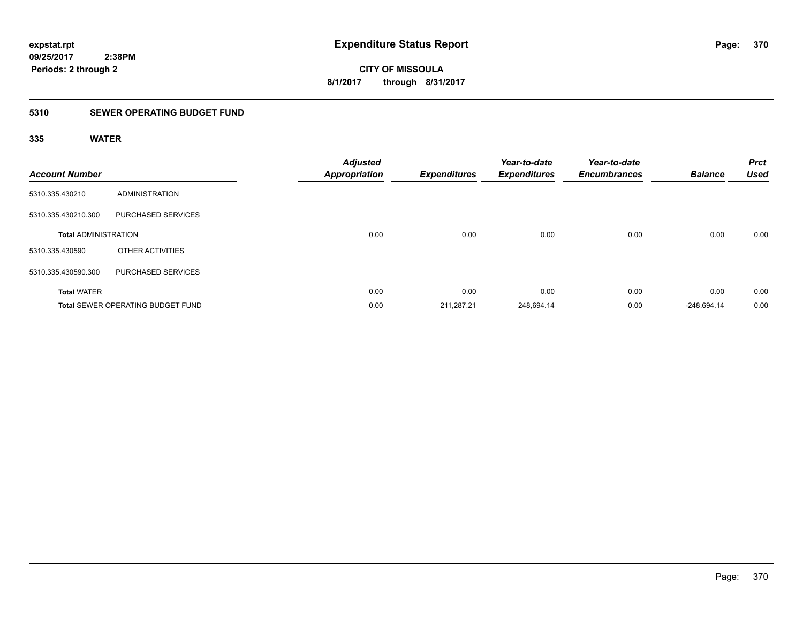# **CITY OF MISSOULA 8/1/2017 through 8/31/2017**

### **5310 SEWER OPERATING BUDGET FUND**

### **335 WATER**

| <b>Account Number</b>       |                                          | <b>Adjusted</b><br><b>Appropriation</b> | <b>Expenditures</b> | Year-to-date<br><b>Expenditures</b> | Year-to-date<br><b>Encumbrances</b> | <b>Balance</b> | <b>Prct</b><br><b>Used</b> |
|-----------------------------|------------------------------------------|-----------------------------------------|---------------------|-------------------------------------|-------------------------------------|----------------|----------------------------|
| 5310.335.430210             | <b>ADMINISTRATION</b>                    |                                         |                     |                                     |                                     |                |                            |
| 5310.335.430210.300         | PURCHASED SERVICES                       |                                         |                     |                                     |                                     |                |                            |
| <b>Total ADMINISTRATION</b> |                                          | 0.00                                    | 0.00                | 0.00                                | 0.00                                | 0.00           | 0.00                       |
| 5310.335.430590             | OTHER ACTIVITIES                         |                                         |                     |                                     |                                     |                |                            |
| 5310.335.430590.300         | PURCHASED SERVICES                       |                                         |                     |                                     |                                     |                |                            |
| <b>Total WATER</b>          |                                          | 0.00                                    | 0.00                | 0.00                                | 0.00                                | 0.00           | 0.00                       |
|                             | <b>Total SEWER OPERATING BUDGET FUND</b> | 0.00                                    | 211.287.21          | 248,694.14                          | 0.00                                | $-248.694.14$  | 0.00                       |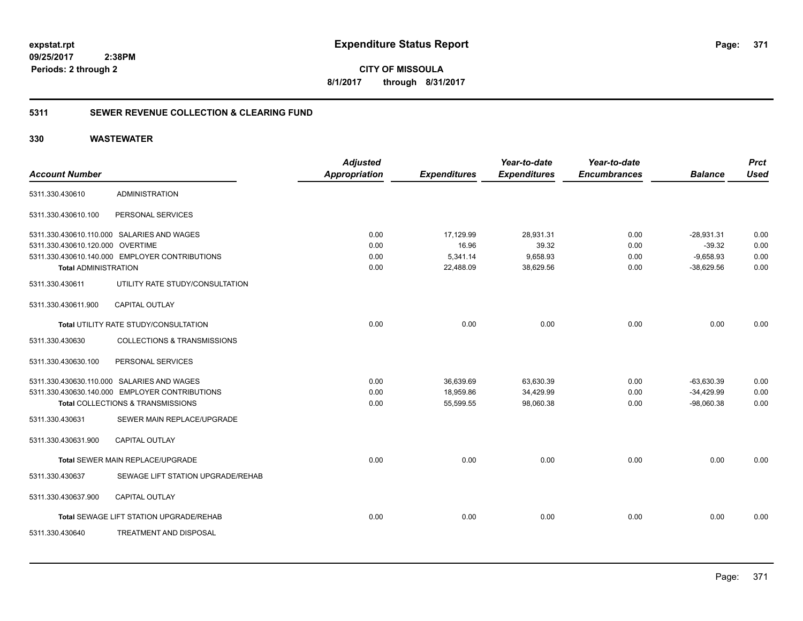**CITY OF MISSOULA 8/1/2017 through 8/31/2017**

### **5311 SEWER REVENUE COLLECTION & CLEARING FUND**

|                                  |                                                | <b>Adjusted</b>      |                     | Year-to-date        | Year-to-date        |                | <b>Prct</b> |
|----------------------------------|------------------------------------------------|----------------------|---------------------|---------------------|---------------------|----------------|-------------|
| <b>Account Number</b>            |                                                | <b>Appropriation</b> | <b>Expenditures</b> | <b>Expenditures</b> | <b>Encumbrances</b> | <b>Balance</b> | <b>Used</b> |
| 5311.330.430610                  | <b>ADMINISTRATION</b>                          |                      |                     |                     |                     |                |             |
| 5311.330.430610.100              | PERSONAL SERVICES                              |                      |                     |                     |                     |                |             |
|                                  | 5311.330.430610.110.000 SALARIES AND WAGES     | 0.00                 | 17,129.99           | 28,931.31           | 0.00                | $-28,931.31$   | 0.00        |
| 5311.330.430610.120.000 OVERTIME |                                                | 0.00                 | 16.96               | 39.32               | 0.00                | $-39.32$       | 0.00        |
|                                  | 5311.330.430610.140.000 EMPLOYER CONTRIBUTIONS | 0.00                 | 5,341.14            | 9,658.93            | 0.00                | $-9,658.93$    | 0.00        |
| <b>Total ADMINISTRATION</b>      |                                                | 0.00                 | 22,488.09           | 38,629.56           | 0.00                | $-38,629.56$   | 0.00        |
| 5311.330.430611                  | UTILITY RATE STUDY/CONSULTATION                |                      |                     |                     |                     |                |             |
| 5311.330.430611.900              | <b>CAPITAL OUTLAY</b>                          |                      |                     |                     |                     |                |             |
|                                  | Total UTILITY RATE STUDY/CONSULTATION          | 0.00                 | 0.00                | 0.00                | 0.00                | 0.00           | 0.00        |
| 5311.330.430630                  | <b>COLLECTIONS &amp; TRANSMISSIONS</b>         |                      |                     |                     |                     |                |             |
| 5311.330.430630.100              | PERSONAL SERVICES                              |                      |                     |                     |                     |                |             |
|                                  | 5311.330.430630.110.000 SALARIES AND WAGES     | 0.00                 | 36,639.69           | 63,630.39           | 0.00                | $-63,630.39$   | 0.00        |
|                                  | 5311.330.430630.140.000 EMPLOYER CONTRIBUTIONS | 0.00                 | 18,959.86           | 34,429.99           | 0.00                | $-34,429.99$   | 0.00        |
|                                  | Total COLLECTIONS & TRANSMISSIONS              | 0.00                 | 55,599.55           | 98,060.38           | 0.00                | $-98,060.38$   | 0.00        |
| 5311.330.430631                  | SEWER MAIN REPLACE/UPGRADE                     |                      |                     |                     |                     |                |             |
| 5311.330.430631.900              | CAPITAL OUTLAY                                 |                      |                     |                     |                     |                |             |
|                                  | Total SEWER MAIN REPLACE/UPGRADE               | 0.00                 | 0.00                | 0.00                | 0.00                | 0.00           | 0.00        |
| 5311.330.430637                  | SEWAGE LIFT STATION UPGRADE/REHAB              |                      |                     |                     |                     |                |             |
| 5311.330.430637.900              | <b>CAPITAL OUTLAY</b>                          |                      |                     |                     |                     |                |             |
|                                  | Total SEWAGE LIFT STATION UPGRADE/REHAB        | 0.00                 | 0.00                | 0.00                | 0.00                | 0.00           | 0.00        |
| 5311.330.430640                  | <b>TREATMENT AND DISPOSAL</b>                  |                      |                     |                     |                     |                |             |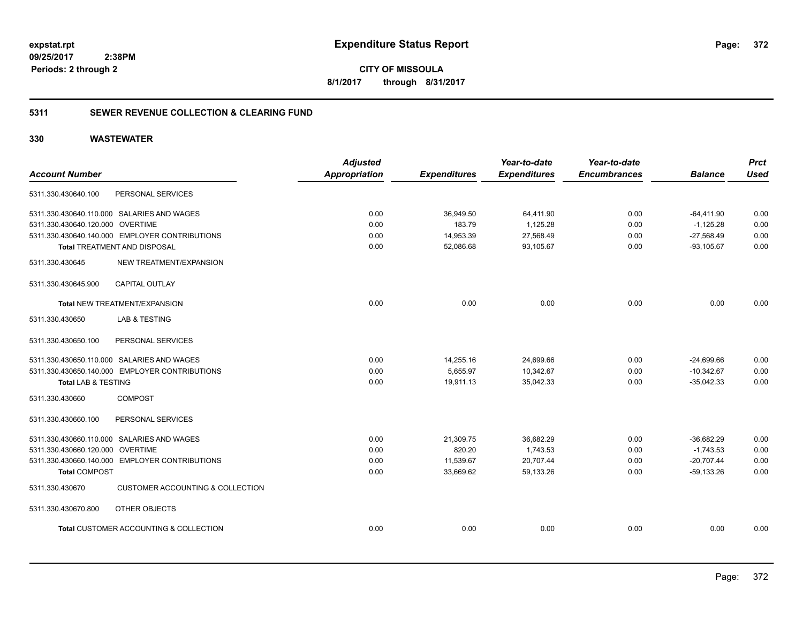**372**

**CITY OF MISSOULA 8/1/2017 through 8/31/2017**

### **5311 SEWER REVENUE COLLECTION & CLEARING FUND**

|                                                                | <b>Adjusted</b> |                     | Year-to-date        | Year-to-date        |                | <b>Prct</b> |
|----------------------------------------------------------------|-----------------|---------------------|---------------------|---------------------|----------------|-------------|
| <b>Account Number</b>                                          | Appropriation   | <b>Expenditures</b> | <b>Expenditures</b> | <b>Encumbrances</b> | <b>Balance</b> | <b>Used</b> |
| PERSONAL SERVICES<br>5311.330.430640.100                       |                 |                     |                     |                     |                |             |
| 5311.330.430640.110.000 SALARIES AND WAGES                     | 0.00            | 36,949.50           | 64,411.90           | 0.00                | $-64,411.90$   | 0.00        |
| 5311.330.430640.120.000 OVERTIME                               | 0.00            | 183.79              | 1,125.28            | 0.00                | $-1,125.28$    | 0.00        |
| 5311.330.430640.140.000 EMPLOYER CONTRIBUTIONS                 | 0.00            | 14,953.39           | 27,568.49           | 0.00                | $-27,568.49$   | 0.00        |
| <b>Total TREATMENT AND DISPOSAL</b>                            | 0.00            | 52,086.68           | 93,105.67           | 0.00                | $-93, 105.67$  | 0.00        |
| NEW TREATMENT/EXPANSION<br>5311.330.430645                     |                 |                     |                     |                     |                |             |
| <b>CAPITAL OUTLAY</b><br>5311.330.430645.900                   |                 |                     |                     |                     |                |             |
| Total NEW TREATMENT/EXPANSION                                  | 0.00            | 0.00                | 0.00                | 0.00                | 0.00           | 0.00        |
| 5311.330.430650<br>LAB & TESTING                               |                 |                     |                     |                     |                |             |
| PERSONAL SERVICES<br>5311.330.430650.100                       |                 |                     |                     |                     |                |             |
| 5311.330.430650.110.000 SALARIES AND WAGES                     | 0.00            | 14,255.16           | 24,699.66           | 0.00                | $-24,699.66$   | 0.00        |
| 5311.330.430650.140.000 EMPLOYER CONTRIBUTIONS                 | 0.00            | 5,655.97            | 10,342.67           | 0.00                | $-10,342.67$   | 0.00        |
| <b>Total LAB &amp; TESTING</b>                                 | 0.00            | 19,911.13           | 35,042.33           | 0.00                | $-35,042.33$   | 0.00        |
| 5311.330.430660<br><b>COMPOST</b>                              |                 |                     |                     |                     |                |             |
| PERSONAL SERVICES<br>5311.330.430660.100                       |                 |                     |                     |                     |                |             |
| 5311.330.430660.110.000 SALARIES AND WAGES                     | 0.00            | 21,309.75           | 36,682.29           | 0.00                | $-36,682.29$   | 0.00        |
| 5311.330.430660.120.000 OVERTIME                               | 0.00            | 820.20              | 1,743.53            | 0.00                | $-1,743.53$    | 0.00        |
| 5311.330.430660.140.000 EMPLOYER CONTRIBUTIONS                 | 0.00            | 11,539.67           | 20,707.44           | 0.00                | $-20,707.44$   | 0.00        |
| <b>Total COMPOST</b>                                           | 0.00            | 33,669.62           | 59,133.26           | 0.00                | $-59,133.26$   | 0.00        |
| <b>CUSTOMER ACCOUNTING &amp; COLLECTION</b><br>5311.330.430670 |                 |                     |                     |                     |                |             |
| 5311.330.430670.800<br>OTHER OBJECTS                           |                 |                     |                     |                     |                |             |
| Total CUSTOMER ACCOUNTING & COLLECTION                         | 0.00            | 0.00                | 0.00                | 0.00                | 0.00           | 0.00        |
|                                                                |                 |                     |                     |                     |                |             |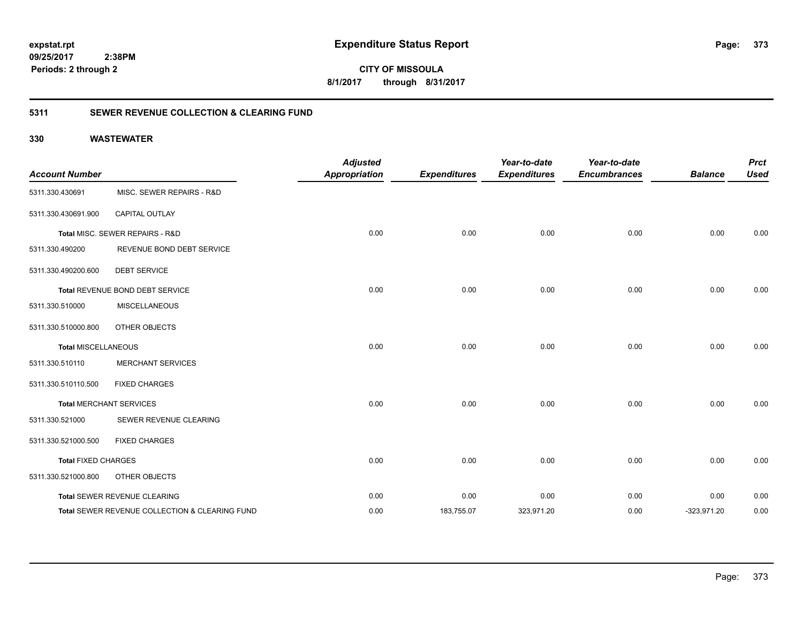**09/25/2017**

**Periods: 2 through 2**

**CITY OF MISSOULA 8/1/2017 through 8/31/2017**

### **5311 SEWER REVENUE COLLECTION & CLEARING FUND**

### **330 WASTEWATER**

 **2:38PM**

| <b>Account Number</b>      |                                                | <b>Adjusted</b><br><b>Appropriation</b> | <b>Expenditures</b> | Year-to-date<br><b>Expenditures</b> | Year-to-date<br><b>Encumbrances</b> | <b>Balance</b> | <b>Prct</b><br><b>Used</b> |
|----------------------------|------------------------------------------------|-----------------------------------------|---------------------|-------------------------------------|-------------------------------------|----------------|----------------------------|
| 5311.330.430691            | MISC. SEWER REPAIRS - R&D                      |                                         |                     |                                     |                                     |                |                            |
| 5311.330.430691.900        | CAPITAL OUTLAY                                 |                                         |                     |                                     |                                     |                |                            |
|                            | Total MISC. SEWER REPAIRS - R&D                | 0.00                                    | 0.00                | 0.00                                | 0.00                                | 0.00           | 0.00                       |
| 5311.330.490200            | REVENUE BOND DEBT SERVICE                      |                                         |                     |                                     |                                     |                |                            |
| 5311.330.490200.600        | <b>DEBT SERVICE</b>                            |                                         |                     |                                     |                                     |                |                            |
|                            | Total REVENUE BOND DEBT SERVICE                | 0.00                                    | 0.00                | 0.00                                | 0.00                                | 0.00           | 0.00                       |
| 5311.330.510000            | <b>MISCELLANEOUS</b>                           |                                         |                     |                                     |                                     |                |                            |
| 5311.330.510000.800        | OTHER OBJECTS                                  |                                         |                     |                                     |                                     |                |                            |
| <b>Total MISCELLANEOUS</b> |                                                | 0.00                                    | 0.00                | 0.00                                | 0.00                                | 0.00           | 0.00                       |
| 5311.330.510110            | <b>MERCHANT SERVICES</b>                       |                                         |                     |                                     |                                     |                |                            |
| 5311.330.510110.500        | <b>FIXED CHARGES</b>                           |                                         |                     |                                     |                                     |                |                            |
|                            | <b>Total MERCHANT SERVICES</b>                 | 0.00                                    | 0.00                | 0.00                                | 0.00                                | 0.00           | 0.00                       |
| 5311.330.521000            | SEWER REVENUE CLEARING                         |                                         |                     |                                     |                                     |                |                            |
| 5311.330.521000.500        | <b>FIXED CHARGES</b>                           |                                         |                     |                                     |                                     |                |                            |
| <b>Total FIXED CHARGES</b> |                                                | 0.00                                    | 0.00                | 0.00                                | 0.00                                | 0.00           | 0.00                       |
| 5311.330.521000.800        | OTHER OBJECTS                                  |                                         |                     |                                     |                                     |                |                            |
|                            | Total SEWER REVENUE CLEARING                   | 0.00                                    | 0.00                | 0.00                                | 0.00                                | 0.00           | 0.00                       |
|                            | Total SEWER REVENUE COLLECTION & CLEARING FUND | 0.00                                    | 183,755.07          | 323,971.20                          | 0.00                                | $-323,971.20$  | 0.00                       |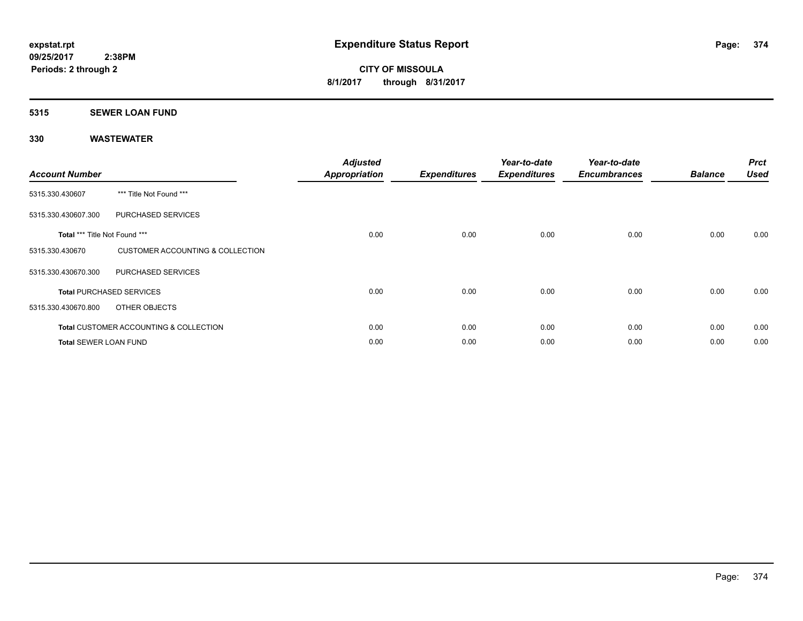# **5315 SEWER LOAN FUND**

| <b>Account Number</b>         |                                                   | <b>Adjusted</b><br><b>Appropriation</b> | <b>Expenditures</b> | Year-to-date<br><b>Expenditures</b> | Year-to-date<br><b>Encumbrances</b> | <b>Balance</b> | <b>Prct</b><br><b>Used</b> |
|-------------------------------|---------------------------------------------------|-----------------------------------------|---------------------|-------------------------------------|-------------------------------------|----------------|----------------------------|
| 5315.330.430607               | *** Title Not Found ***                           |                                         |                     |                                     |                                     |                |                            |
| 5315.330.430607.300           | PURCHASED SERVICES                                |                                         |                     |                                     |                                     |                |                            |
| Total *** Title Not Found *** |                                                   | 0.00                                    | 0.00                | 0.00                                | 0.00                                | 0.00           | 0.00                       |
| 5315.330.430670               | <b>CUSTOMER ACCOUNTING &amp; COLLECTION</b>       |                                         |                     |                                     |                                     |                |                            |
| 5315.330.430670.300           | PURCHASED SERVICES                                |                                         |                     |                                     |                                     |                |                            |
|                               | <b>Total PURCHASED SERVICES</b>                   | 0.00                                    | 0.00                | 0.00                                | 0.00                                | 0.00           | 0.00                       |
| 5315.330.430670.800           | OTHER OBJECTS                                     |                                         |                     |                                     |                                     |                |                            |
|                               | <b>Total CUSTOMER ACCOUNTING &amp; COLLECTION</b> | 0.00                                    | 0.00                | 0.00                                | 0.00                                | 0.00           | 0.00                       |
| <b>Total SEWER LOAN FUND</b>  |                                                   | 0.00                                    | 0.00                | 0.00                                | 0.00                                | 0.00           | 0.00                       |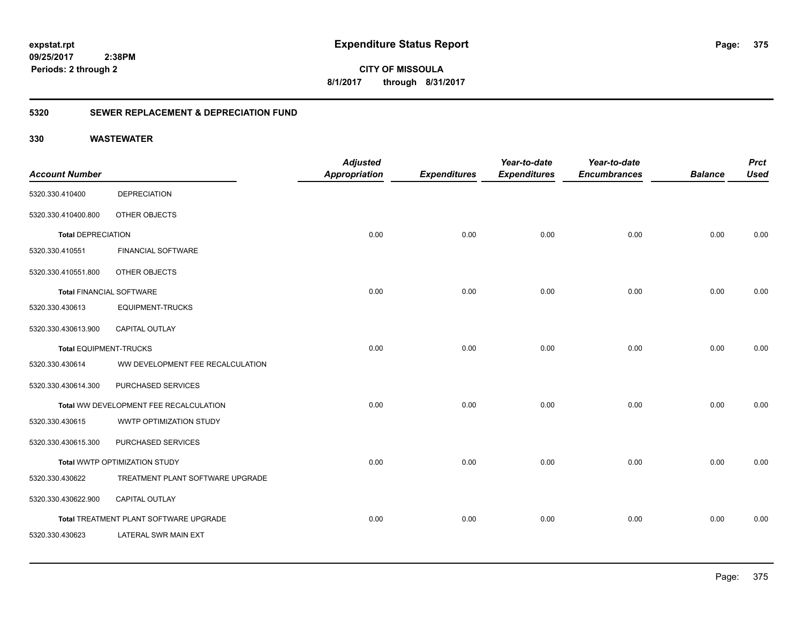**375**

**09/25/2017 2:38PM Periods: 2 through 2**

**CITY OF MISSOULA 8/1/2017 through 8/31/2017**

### **5320 SEWER REPLACEMENT & DEPRECIATION FUND**

|                                 |                                        | <b>Adjusted</b>      |                     | Year-to-date        | Year-to-date        |                | <b>Prct</b> |
|---------------------------------|----------------------------------------|----------------------|---------------------|---------------------|---------------------|----------------|-------------|
| <b>Account Number</b>           |                                        | <b>Appropriation</b> | <b>Expenditures</b> | <b>Expenditures</b> | <b>Encumbrances</b> | <b>Balance</b> | <b>Used</b> |
| 5320.330.410400                 | <b>DEPRECIATION</b>                    |                      |                     |                     |                     |                |             |
| 5320.330.410400.800             | OTHER OBJECTS                          |                      |                     |                     |                     |                |             |
| <b>Total DEPRECIATION</b>       |                                        | 0.00                 | 0.00                | 0.00                | 0.00                | 0.00           | 0.00        |
| 5320.330.410551                 | <b>FINANCIAL SOFTWARE</b>              |                      |                     |                     |                     |                |             |
| 5320.330.410551.800             | OTHER OBJECTS                          |                      |                     |                     |                     |                |             |
| <b>Total FINANCIAL SOFTWARE</b> |                                        | 0.00                 | 0.00                | 0.00                | 0.00                | 0.00           | 0.00        |
| 5320.330.430613                 | <b>EQUIPMENT-TRUCKS</b>                |                      |                     |                     |                     |                |             |
| 5320.330.430613.900             | <b>CAPITAL OUTLAY</b>                  |                      |                     |                     |                     |                |             |
| <b>Total EQUIPMENT-TRUCKS</b>   |                                        | 0.00                 | 0.00                | 0.00                | 0.00                | 0.00           | 0.00        |
| 5320.330.430614                 | WW DEVELOPMENT FEE RECALCULATION       |                      |                     |                     |                     |                |             |
| 5320.330.430614.300             | PURCHASED SERVICES                     |                      |                     |                     |                     |                |             |
|                                 | Total WW DEVELOPMENT FEE RECALCULATION | 0.00                 | 0.00                | 0.00                | 0.00                | 0.00           | 0.00        |
| 5320.330.430615                 | WWTP OPTIMIZATION STUDY                |                      |                     |                     |                     |                |             |
| 5320.330.430615.300             | PURCHASED SERVICES                     |                      |                     |                     |                     |                |             |
|                                 | Total WWTP OPTIMIZATION STUDY          | 0.00                 | 0.00                | 0.00                | 0.00                | 0.00           | 0.00        |
| 5320.330.430622                 | TREATMENT PLANT SOFTWARE UPGRADE       |                      |                     |                     |                     |                |             |
| 5320.330.430622.900             | <b>CAPITAL OUTLAY</b>                  |                      |                     |                     |                     |                |             |
|                                 | Total TREATMENT PLANT SOFTWARE UPGRADE | 0.00                 | 0.00                | 0.00                | 0.00                | 0.00           | 0.00        |
| 5320.330.430623                 | LATERAL SWR MAIN EXT                   |                      |                     |                     |                     |                |             |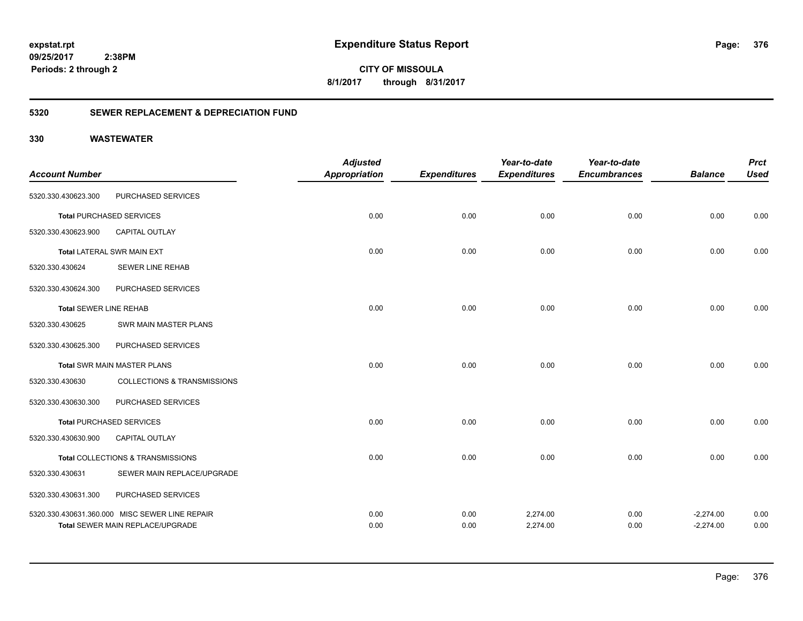**CITY OF MISSOULA 8/1/2017 through 8/31/2017**

### **5320 SEWER REPLACEMENT & DEPRECIATION FUND**

| <b>Account Number</b>         |                                                                                           | <b>Adjusted</b><br><b>Appropriation</b> | <b>Expenditures</b> | Year-to-date<br><b>Expenditures</b> | Year-to-date<br><b>Encumbrances</b> | <b>Balance</b>             | <b>Prct</b><br><b>Used</b> |
|-------------------------------|-------------------------------------------------------------------------------------------|-----------------------------------------|---------------------|-------------------------------------|-------------------------------------|----------------------------|----------------------------|
| 5320.330.430623.300           | PURCHASED SERVICES                                                                        |                                         |                     |                                     |                                     |                            |                            |
|                               | <b>Total PURCHASED SERVICES</b>                                                           | 0.00                                    | 0.00                | 0.00                                | 0.00                                | 0.00                       | 0.00                       |
| 5320.330.430623.900           | <b>CAPITAL OUTLAY</b>                                                                     |                                         |                     |                                     |                                     |                            |                            |
|                               | <b>Total LATERAL SWR MAIN EXT</b>                                                         | 0.00                                    | 0.00                | 0.00                                | 0.00                                | 0.00                       | 0.00                       |
| 5320.330.430624               | <b>SEWER LINE REHAB</b>                                                                   |                                         |                     |                                     |                                     |                            |                            |
| 5320.330.430624.300           | PURCHASED SERVICES                                                                        |                                         |                     |                                     |                                     |                            |                            |
| <b>Total SEWER LINE REHAB</b> |                                                                                           | 0.00                                    | 0.00                | 0.00                                | 0.00                                | 0.00                       | 0.00                       |
| 5320.330.430625               | SWR MAIN MASTER PLANS                                                                     |                                         |                     |                                     |                                     |                            |                            |
| 5320.330.430625.300           | PURCHASED SERVICES                                                                        |                                         |                     |                                     |                                     |                            |                            |
|                               | <b>Total SWR MAIN MASTER PLANS</b>                                                        | 0.00                                    | 0.00                | 0.00                                | 0.00                                | 0.00                       | 0.00                       |
| 5320.330.430630               | <b>COLLECTIONS &amp; TRANSMISSIONS</b>                                                    |                                         |                     |                                     |                                     |                            |                            |
| 5320.330.430630.300           | PURCHASED SERVICES                                                                        |                                         |                     |                                     |                                     |                            |                            |
|                               | <b>Total PURCHASED SERVICES</b>                                                           | 0.00                                    | 0.00                | 0.00                                | 0.00                                | 0.00                       | 0.00                       |
| 5320.330.430630.900           | <b>CAPITAL OUTLAY</b>                                                                     |                                         |                     |                                     |                                     |                            |                            |
|                               | Total COLLECTIONS & TRANSMISSIONS                                                         | 0.00                                    | 0.00                | 0.00                                | 0.00                                | 0.00                       | 0.00                       |
| 5320.330.430631               | SEWER MAIN REPLACE/UPGRADE                                                                |                                         |                     |                                     |                                     |                            |                            |
| 5320.330.430631.300           | PURCHASED SERVICES                                                                        |                                         |                     |                                     |                                     |                            |                            |
|                               | 5320.330.430631.360.000 MISC SEWER LINE REPAIR<br><b>Total SEWER MAIN REPLACE/UPGRADE</b> | 0.00<br>0.00                            | 0.00<br>0.00        | 2,274.00<br>2,274.00                | 0.00<br>0.00                        | $-2,274.00$<br>$-2,274.00$ | 0.00<br>0.00               |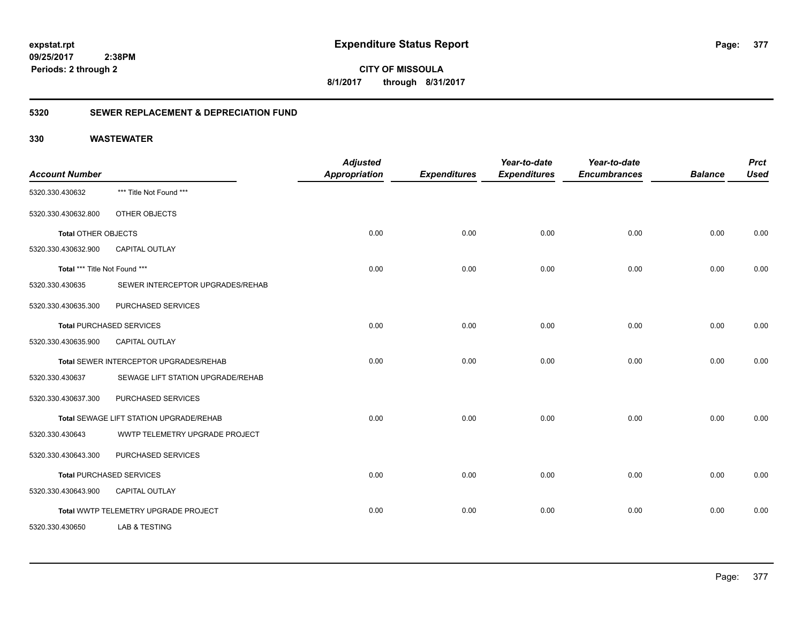**CITY OF MISSOULA 8/1/2017 through 8/31/2017**

### **5320 SEWER REPLACEMENT & DEPRECIATION FUND**

| <b>Account Number</b>         |                                         | <b>Adjusted</b><br><b>Appropriation</b> | <b>Expenditures</b> | Year-to-date<br><b>Expenditures</b> | Year-to-date<br><b>Encumbrances</b> | <b>Balance</b> | <b>Prct</b><br><b>Used</b> |
|-------------------------------|-----------------------------------------|-----------------------------------------|---------------------|-------------------------------------|-------------------------------------|----------------|----------------------------|
| 5320.330.430632               | *** Title Not Found ***                 |                                         |                     |                                     |                                     |                |                            |
| 5320.330.430632.800           | OTHER OBJECTS                           |                                         |                     |                                     |                                     |                |                            |
| <b>Total OTHER OBJECTS</b>    |                                         | 0.00                                    | 0.00                | 0.00                                | 0.00                                | 0.00           | 0.00                       |
| 5320.330.430632.900           | <b>CAPITAL OUTLAY</b>                   |                                         |                     |                                     |                                     |                |                            |
| Total *** Title Not Found *** |                                         | 0.00                                    | 0.00                | 0.00                                | 0.00                                | 0.00           | 0.00                       |
| 5320.330.430635               | SEWER INTERCEPTOR UPGRADES/REHAB        |                                         |                     |                                     |                                     |                |                            |
| 5320.330.430635.300           | PURCHASED SERVICES                      |                                         |                     |                                     |                                     |                |                            |
|                               | <b>Total PURCHASED SERVICES</b>         | 0.00                                    | 0.00                | 0.00                                | 0.00                                | 0.00           | 0.00                       |
| 5320.330.430635.900           | <b>CAPITAL OUTLAY</b>                   |                                         |                     |                                     |                                     |                |                            |
|                               | Total SEWER INTERCEPTOR UPGRADES/REHAB  | 0.00                                    | 0.00                | 0.00                                | 0.00                                | 0.00           | 0.00                       |
| 5320.330.430637               | SEWAGE LIFT STATION UPGRADE/REHAB       |                                         |                     |                                     |                                     |                |                            |
| 5320.330.430637.300           | PURCHASED SERVICES                      |                                         |                     |                                     |                                     |                |                            |
|                               | Total SEWAGE LIFT STATION UPGRADE/REHAB | 0.00                                    | 0.00                | 0.00                                | 0.00                                | 0.00           | 0.00                       |
| 5320.330.430643               | WWTP TELEMETRY UPGRADE PROJECT          |                                         |                     |                                     |                                     |                |                            |
| 5320.330.430643.300           | PURCHASED SERVICES                      |                                         |                     |                                     |                                     |                |                            |
|                               | <b>Total PURCHASED SERVICES</b>         | 0.00                                    | 0.00                | 0.00                                | 0.00                                | 0.00           | 0.00                       |
| 5320.330.430643.900           | <b>CAPITAL OUTLAY</b>                   |                                         |                     |                                     |                                     |                |                            |
|                               | Total WWTP TELEMETRY UPGRADE PROJECT    | 0.00                                    | 0.00                | 0.00                                | 0.00                                | 0.00           | 0.00                       |
| 5320.330.430650               | LAB & TESTING                           |                                         |                     |                                     |                                     |                |                            |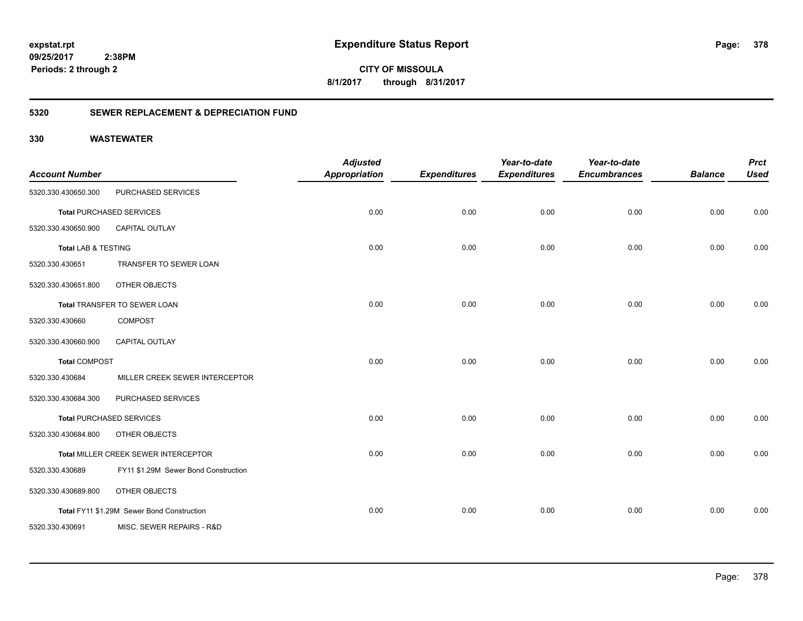**378**

**09/25/2017 2:38PM Periods: 2 through 2**

**CITY OF MISSOULA 8/1/2017 through 8/31/2017**

### **5320 SEWER REPLACEMENT & DEPRECIATION FUND**

| <b>Account Number</b>          |                                            | <b>Adjusted</b><br><b>Appropriation</b> | <b>Expenditures</b> | Year-to-date<br><b>Expenditures</b> | Year-to-date<br><b>Encumbrances</b> | <b>Balance</b> | <b>Prct</b><br><b>Used</b> |
|--------------------------------|--------------------------------------------|-----------------------------------------|---------------------|-------------------------------------|-------------------------------------|----------------|----------------------------|
| 5320.330.430650.300            | PURCHASED SERVICES                         |                                         |                     |                                     |                                     |                |                            |
|                                | <b>Total PURCHASED SERVICES</b>            | 0.00                                    | 0.00                | 0.00                                | 0.00                                | 0.00           | 0.00                       |
| 5320.330.430650.900            | <b>CAPITAL OUTLAY</b>                      |                                         |                     |                                     |                                     |                |                            |
| <b>Total LAB &amp; TESTING</b> |                                            | 0.00                                    | 0.00                | 0.00                                | 0.00                                | 0.00           | 0.00                       |
| 5320.330.430651                | TRANSFER TO SEWER LOAN                     |                                         |                     |                                     |                                     |                |                            |
| 5320.330.430651.800            | OTHER OBJECTS                              |                                         |                     |                                     |                                     |                |                            |
|                                | Total TRANSFER TO SEWER LOAN               | 0.00                                    | 0.00                | 0.00                                | 0.00                                | 0.00           | 0.00                       |
| 5320.330.430660                | <b>COMPOST</b>                             |                                         |                     |                                     |                                     |                |                            |
| 5320.330.430660.900            | CAPITAL OUTLAY                             |                                         |                     |                                     |                                     |                |                            |
| <b>Total COMPOST</b>           |                                            | 0.00                                    | 0.00                | 0.00                                | 0.00                                | 0.00           | 0.00                       |
| 5320.330.430684                | MILLER CREEK SEWER INTERCEPTOR             |                                         |                     |                                     |                                     |                |                            |
| 5320.330.430684.300            | PURCHASED SERVICES                         |                                         |                     |                                     |                                     |                |                            |
|                                | <b>Total PURCHASED SERVICES</b>            | 0.00                                    | 0.00                | 0.00                                | 0.00                                | 0.00           | 0.00                       |
| 5320.330.430684.800            | OTHER OBJECTS                              |                                         |                     |                                     |                                     |                |                            |
|                                | Total MILLER CREEK SEWER INTERCEPTOR       | 0.00                                    | 0.00                | 0.00                                | 0.00                                | 0.00           | 0.00                       |
| 5320.330.430689                | FY11 \$1.29M Sewer Bond Construction       |                                         |                     |                                     |                                     |                |                            |
| 5320.330.430689.800            | OTHER OBJECTS                              |                                         |                     |                                     |                                     |                |                            |
|                                | Total FY11 \$1.29M Sewer Bond Construction | 0.00                                    | 0.00                | 0.00                                | 0.00                                | 0.00           | 0.00                       |
| 5320.330.430691                | MISC. SEWER REPAIRS - R&D                  |                                         |                     |                                     |                                     |                |                            |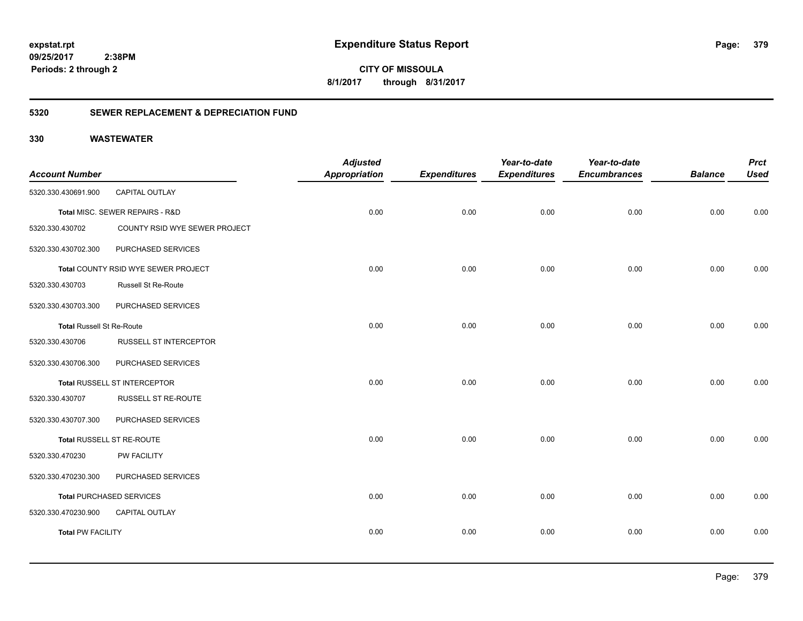**CITY OF MISSOULA 8/1/2017 through 8/31/2017**

### **5320 SEWER REPLACEMENT & DEPRECIATION FUND**

| <b>Account Number</b>            |                                     | <b>Adjusted</b><br><b>Appropriation</b> | <b>Expenditures</b> | Year-to-date<br><b>Expenditures</b> | Year-to-date<br><b>Encumbrances</b> | <b>Balance</b> | <b>Prct</b><br><b>Used</b> |
|----------------------------------|-------------------------------------|-----------------------------------------|---------------------|-------------------------------------|-------------------------------------|----------------|----------------------------|
| 5320.330.430691.900              | CAPITAL OUTLAY                      |                                         |                     |                                     |                                     |                |                            |
|                                  | Total MISC. SEWER REPAIRS - R&D     | 0.00                                    | 0.00                | 0.00                                | 0.00                                | 0.00           | 0.00                       |
| 5320.330.430702                  | COUNTY RSID WYE SEWER PROJECT       |                                         |                     |                                     |                                     |                |                            |
| 5320.330.430702.300              | PURCHASED SERVICES                  |                                         |                     |                                     |                                     |                |                            |
|                                  | Total COUNTY RSID WYE SEWER PROJECT | 0.00                                    | 0.00                | 0.00                                | 0.00                                | 0.00           | 0.00                       |
| 5320.330.430703                  | <b>Russell St Re-Route</b>          |                                         |                     |                                     |                                     |                |                            |
| 5320.330.430703.300              | PURCHASED SERVICES                  |                                         |                     |                                     |                                     |                |                            |
| <b>Total Russell St Re-Route</b> |                                     | 0.00                                    | 0.00                | 0.00                                | 0.00                                | 0.00           | 0.00                       |
| 5320.330.430706                  | RUSSELL ST INTERCEPTOR              |                                         |                     |                                     |                                     |                |                            |
| 5320.330.430706.300              | PURCHASED SERVICES                  |                                         |                     |                                     |                                     |                |                            |
|                                  | Total RUSSELL ST INTERCEPTOR        | 0.00                                    | 0.00                | 0.00                                | 0.00                                | 0.00           | 0.00                       |
| 5320.330.430707                  | RUSSELL ST RE-ROUTE                 |                                         |                     |                                     |                                     |                |                            |
| 5320.330.430707.300              | PURCHASED SERVICES                  |                                         |                     |                                     |                                     |                |                            |
|                                  | Total RUSSELL ST RE-ROUTE           | 0.00                                    | 0.00                | 0.00                                | 0.00                                | 0.00           | 0.00                       |
| 5320.330.470230                  | PW FACILITY                         |                                         |                     |                                     |                                     |                |                            |
| 5320.330.470230.300              | PURCHASED SERVICES                  |                                         |                     |                                     |                                     |                |                            |
|                                  | <b>Total PURCHASED SERVICES</b>     | 0.00                                    | 0.00                | 0.00                                | 0.00                                | 0.00           | 0.00                       |
| 5320.330.470230.900              | <b>CAPITAL OUTLAY</b>               |                                         |                     |                                     |                                     |                |                            |
| <b>Total PW FACILITY</b>         |                                     | 0.00                                    | 0.00                | 0.00                                | 0.00                                | 0.00           | 0.00                       |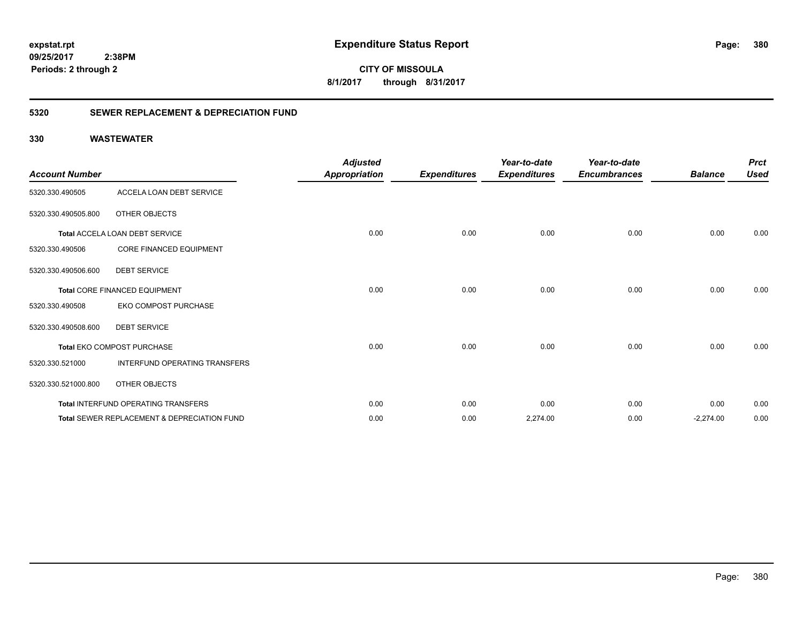**380**

**09/25/2017 2:38PM Periods: 2 through 2**

**CITY OF MISSOULA 8/1/2017 through 8/31/2017**

### **5320 SEWER REPLACEMENT & DEPRECIATION FUND**

|                       |                                                        | <b>Adjusted</b>      |                     | Year-to-date        | Year-to-date        |                | <b>Prct</b> |
|-----------------------|--------------------------------------------------------|----------------------|---------------------|---------------------|---------------------|----------------|-------------|
| <b>Account Number</b> |                                                        | <b>Appropriation</b> | <b>Expenditures</b> | <b>Expenditures</b> | <b>Encumbrances</b> | <b>Balance</b> | <b>Used</b> |
| 5320.330.490505       | ACCELA LOAN DEBT SERVICE                               |                      |                     |                     |                     |                |             |
| 5320.330.490505.800   | OTHER OBJECTS                                          |                      |                     |                     |                     |                |             |
|                       | Total ACCELA LOAN DEBT SERVICE                         | 0.00                 | 0.00                | 0.00                | 0.00                | 0.00           | 0.00        |
| 5320.330.490506       | CORE FINANCED EQUIPMENT                                |                      |                     |                     |                     |                |             |
| 5320.330.490506.600   | <b>DEBT SERVICE</b>                                    |                      |                     |                     |                     |                |             |
|                       | Total CORE FINANCED EQUIPMENT                          | 0.00                 | 0.00                | 0.00                | 0.00                | 0.00           | 0.00        |
| 5320.330.490508       | EKO COMPOST PURCHASE                                   |                      |                     |                     |                     |                |             |
| 5320.330.490508.600   | <b>DEBT SERVICE</b>                                    |                      |                     |                     |                     |                |             |
|                       | Total EKO COMPOST PURCHASE                             | 0.00                 | 0.00                | 0.00                | 0.00                | 0.00           | 0.00        |
| 5320.330.521000       | INTERFUND OPERATING TRANSFERS                          |                      |                     |                     |                     |                |             |
| 5320.330.521000.800   | OTHER OBJECTS                                          |                      |                     |                     |                     |                |             |
|                       | Total INTERFUND OPERATING TRANSFERS                    | 0.00                 | 0.00                | 0.00                | 0.00                | 0.00           | 0.00        |
|                       | <b>Total SEWER REPLACEMENT &amp; DEPRECIATION FUND</b> | 0.00                 | 0.00                | 2,274.00            | 0.00                | $-2,274.00$    | 0.00        |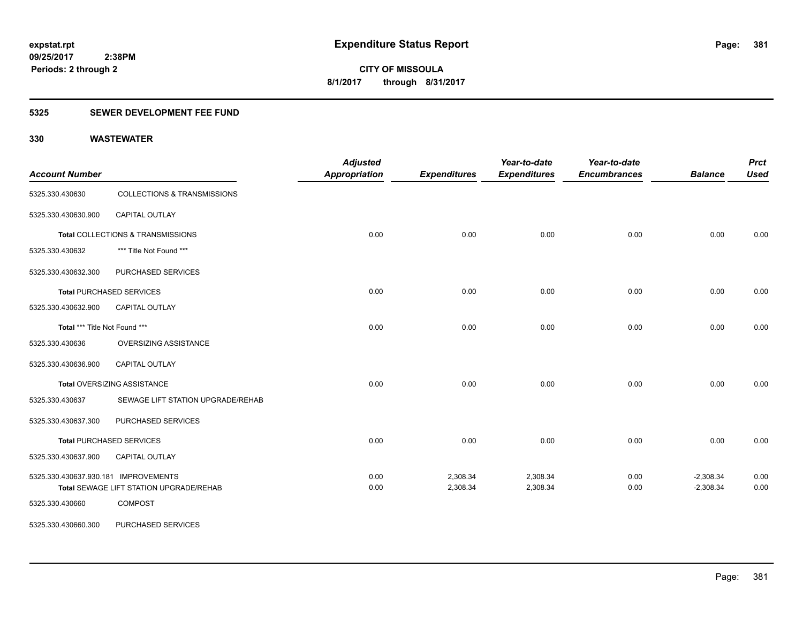### **5325 SEWER DEVELOPMENT FEE FUND**

| <b>Account Number</b>                |                                         | <b>Adjusted</b><br><b>Appropriation</b> | <b>Expenditures</b> | Year-to-date<br><b>Expenditures</b> | Year-to-date<br><b>Encumbrances</b> | <b>Balance</b> | <b>Prct</b><br><b>Used</b> |
|--------------------------------------|-----------------------------------------|-----------------------------------------|---------------------|-------------------------------------|-------------------------------------|----------------|----------------------------|
| 5325.330.430630                      | <b>COLLECTIONS &amp; TRANSMISSIONS</b>  |                                         |                     |                                     |                                     |                |                            |
| 5325.330.430630.900                  | <b>CAPITAL OUTLAY</b>                   |                                         |                     |                                     |                                     |                |                            |
|                                      | Total COLLECTIONS & TRANSMISSIONS       | 0.00                                    | 0.00                | 0.00                                | 0.00                                | 0.00           | 0.00                       |
| 5325.330.430632                      | *** Title Not Found ***                 |                                         |                     |                                     |                                     |                |                            |
| 5325.330.430632.300                  | PURCHASED SERVICES                      |                                         |                     |                                     |                                     |                |                            |
|                                      | <b>Total PURCHASED SERVICES</b>         | 0.00                                    | 0.00                | 0.00                                | 0.00                                | 0.00           | 0.00                       |
| 5325.330.430632.900                  | <b>CAPITAL OUTLAY</b>                   |                                         |                     |                                     |                                     |                |                            |
| Total *** Title Not Found ***        |                                         | 0.00                                    | 0.00                | 0.00                                | 0.00                                | 0.00           | 0.00                       |
| 5325.330.430636                      | OVERSIZING ASSISTANCE                   |                                         |                     |                                     |                                     |                |                            |
| 5325.330.430636.900                  | CAPITAL OUTLAY                          |                                         |                     |                                     |                                     |                |                            |
|                                      | Total OVERSIZING ASSISTANCE             | 0.00                                    | 0.00                | 0.00                                | 0.00                                | 0.00           | 0.00                       |
| 5325.330.430637                      | SEWAGE LIFT STATION UPGRADE/REHAB       |                                         |                     |                                     |                                     |                |                            |
| 5325.330.430637.300                  | PURCHASED SERVICES                      |                                         |                     |                                     |                                     |                |                            |
|                                      | <b>Total PURCHASED SERVICES</b>         | 0.00                                    | 0.00                | 0.00                                | 0.00                                | 0.00           | 0.00                       |
| 5325.330.430637.900                  | <b>CAPITAL OUTLAY</b>                   |                                         |                     |                                     |                                     |                |                            |
| 5325.330.430637.930.181 IMPROVEMENTS |                                         | 0.00                                    | 2,308.34            | 2,308.34                            | 0.00                                | $-2,308.34$    | 0.00                       |
|                                      | Total SEWAGE LIFT STATION UPGRADE/REHAB | 0.00                                    | 2,308.34            | 2,308.34                            | 0.00                                | $-2,308.34$    | 0.00                       |
| 5325.330.430660                      | <b>COMPOST</b>                          |                                         |                     |                                     |                                     |                |                            |
| 5325.330.430660.300                  | PURCHASED SERVICES                      |                                         |                     |                                     |                                     |                |                            |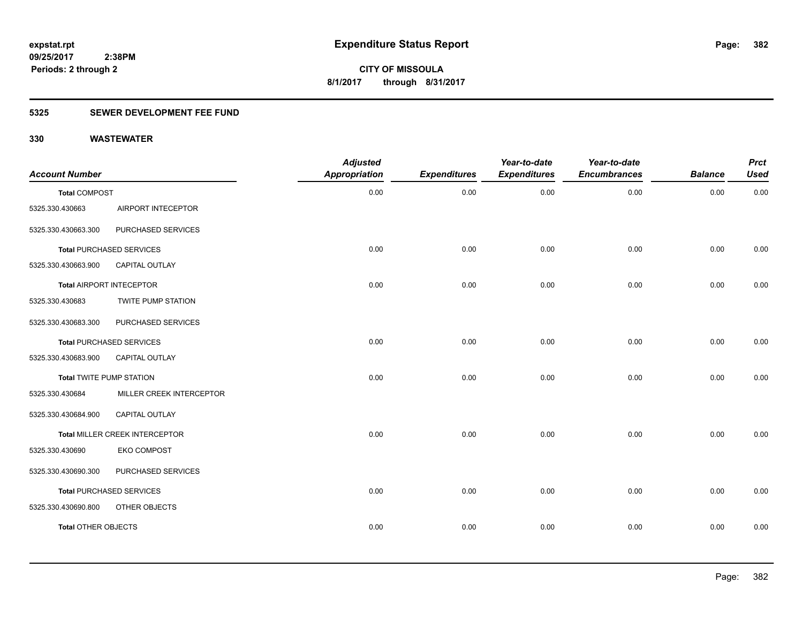### **5325 SEWER DEVELOPMENT FEE FUND**

| <b>Account Number</b>           |                                 | <b>Adjusted</b><br><b>Appropriation</b> | <b>Expenditures</b> | Year-to-date<br><b>Expenditures</b> | Year-to-date<br><b>Encumbrances</b> | <b>Balance</b> | <b>Prct</b><br><b>Used</b> |
|---------------------------------|---------------------------------|-----------------------------------------|---------------------|-------------------------------------|-------------------------------------|----------------|----------------------------|
| <b>Total COMPOST</b>            |                                 | 0.00                                    | 0.00                | 0.00                                | 0.00                                | 0.00           | 0.00                       |
| 5325.330.430663                 | AIRPORT INTECEPTOR              |                                         |                     |                                     |                                     |                |                            |
| 5325.330.430663.300             | PURCHASED SERVICES              |                                         |                     |                                     |                                     |                |                            |
|                                 | <b>Total PURCHASED SERVICES</b> | 0.00                                    | 0.00                | 0.00                                | 0.00                                | 0.00           | 0.00                       |
| 5325.330.430663.900             | CAPITAL OUTLAY                  |                                         |                     |                                     |                                     |                |                            |
|                                 | <b>Total AIRPORT INTECEPTOR</b> | 0.00                                    | 0.00                | 0.00                                | 0.00                                | 0.00           | 0.00                       |
| 5325.330.430683                 | <b>TWITE PUMP STATION</b>       |                                         |                     |                                     |                                     |                |                            |
| 5325.330.430683.300             | PURCHASED SERVICES              |                                         |                     |                                     |                                     |                |                            |
|                                 | <b>Total PURCHASED SERVICES</b> | 0.00                                    | 0.00                | 0.00                                | 0.00                                | 0.00           | 0.00                       |
| 5325.330.430683.900             | CAPITAL OUTLAY                  |                                         |                     |                                     |                                     |                |                            |
| <b>Total TWITE PUMP STATION</b> |                                 | 0.00                                    | 0.00                | 0.00                                | 0.00                                | 0.00           | 0.00                       |
| 5325.330.430684                 | MILLER CREEK INTERCEPTOR        |                                         |                     |                                     |                                     |                |                            |
| 5325.330.430684.900             | CAPITAL OUTLAY                  |                                         |                     |                                     |                                     |                |                            |
|                                 | Total MILLER CREEK INTERCEPTOR  | 0.00                                    | 0.00                | 0.00                                | 0.00                                | 0.00           | 0.00                       |
| 5325.330.430690                 | <b>EKO COMPOST</b>              |                                         |                     |                                     |                                     |                |                            |
| 5325.330.430690.300             | PURCHASED SERVICES              |                                         |                     |                                     |                                     |                |                            |
|                                 | <b>Total PURCHASED SERVICES</b> | 0.00                                    | 0.00                | 0.00                                | 0.00                                | 0.00           | 0.00                       |
| 5325.330.430690.800             | OTHER OBJECTS                   |                                         |                     |                                     |                                     |                |                            |
| <b>Total OTHER OBJECTS</b>      |                                 | 0.00                                    | 0.00                | 0.00                                | 0.00                                | 0.00           | 0.00                       |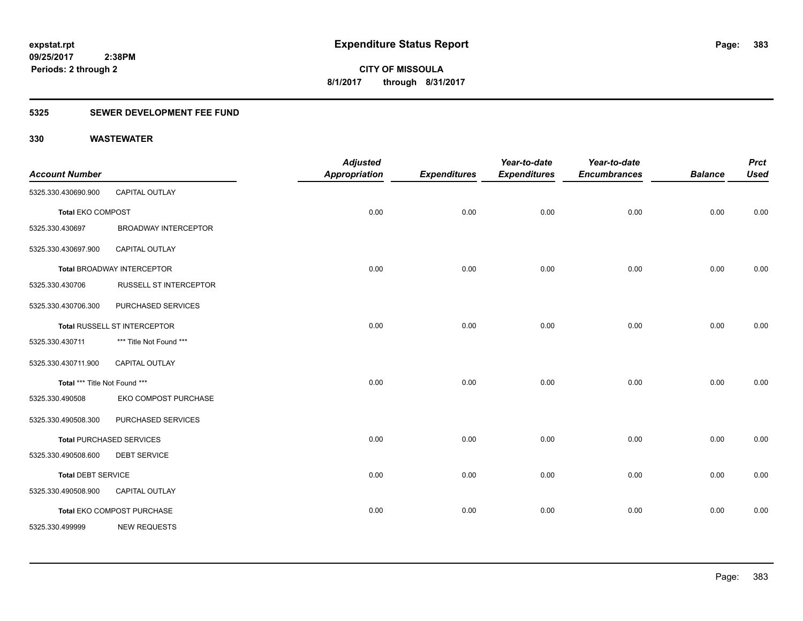### **5325 SEWER DEVELOPMENT FEE FUND**

| <b>Account Number</b>         |                                   | <b>Adjusted</b><br><b>Appropriation</b> | <b>Expenditures</b> | Year-to-date<br><b>Expenditures</b> | Year-to-date<br><b>Encumbrances</b> | <b>Balance</b> | <b>Prct</b><br><b>Used</b> |
|-------------------------------|-----------------------------------|-----------------------------------------|---------------------|-------------------------------------|-------------------------------------|----------------|----------------------------|
| 5325.330.430690.900           | CAPITAL OUTLAY                    |                                         |                     |                                     |                                     |                |                            |
| <b>Total EKO COMPOST</b>      |                                   | 0.00                                    | 0.00                | 0.00                                | 0.00                                | 0.00           | 0.00                       |
| 5325.330.430697               | <b>BROADWAY INTERCEPTOR</b>       |                                         |                     |                                     |                                     |                |                            |
| 5325.330.430697.900           | <b>CAPITAL OUTLAY</b>             |                                         |                     |                                     |                                     |                |                            |
|                               | <b>Total BROADWAY INTERCEPTOR</b> | 0.00                                    | 0.00                | 0.00                                | 0.00                                | 0.00           | 0.00                       |
| 5325.330.430706               | <b>RUSSELL ST INTERCEPTOR</b>     |                                         |                     |                                     |                                     |                |                            |
| 5325.330.430706.300           | PURCHASED SERVICES                |                                         |                     |                                     |                                     |                |                            |
|                               | Total RUSSELL ST INTERCEPTOR      | 0.00                                    | 0.00                | 0.00                                | 0.00                                | 0.00           | 0.00                       |
| 5325.330.430711               | *** Title Not Found ***           |                                         |                     |                                     |                                     |                |                            |
| 5325.330.430711.900           | <b>CAPITAL OUTLAY</b>             |                                         |                     |                                     |                                     |                |                            |
| Total *** Title Not Found *** |                                   | 0.00                                    | 0.00                | 0.00                                | 0.00                                | 0.00           | 0.00                       |
| 5325.330.490508               | EKO COMPOST PURCHASE              |                                         |                     |                                     |                                     |                |                            |
| 5325.330.490508.300           | PURCHASED SERVICES                |                                         |                     |                                     |                                     |                |                            |
|                               | <b>Total PURCHASED SERVICES</b>   | 0.00                                    | 0.00                | 0.00                                | 0.00                                | 0.00           | 0.00                       |
| 5325.330.490508.600           | <b>DEBT SERVICE</b>               |                                         |                     |                                     |                                     |                |                            |
| <b>Total DEBT SERVICE</b>     |                                   | 0.00                                    | 0.00                | 0.00                                | 0.00                                | 0.00           | 0.00                       |
| 5325.330.490508.900           | <b>CAPITAL OUTLAY</b>             |                                         |                     |                                     |                                     |                |                            |
|                               | Total EKO COMPOST PURCHASE        | 0.00                                    | 0.00                | 0.00                                | 0.00                                | 0.00           | 0.00                       |
| 5325.330.499999               | <b>NEW REQUESTS</b>               |                                         |                     |                                     |                                     |                |                            |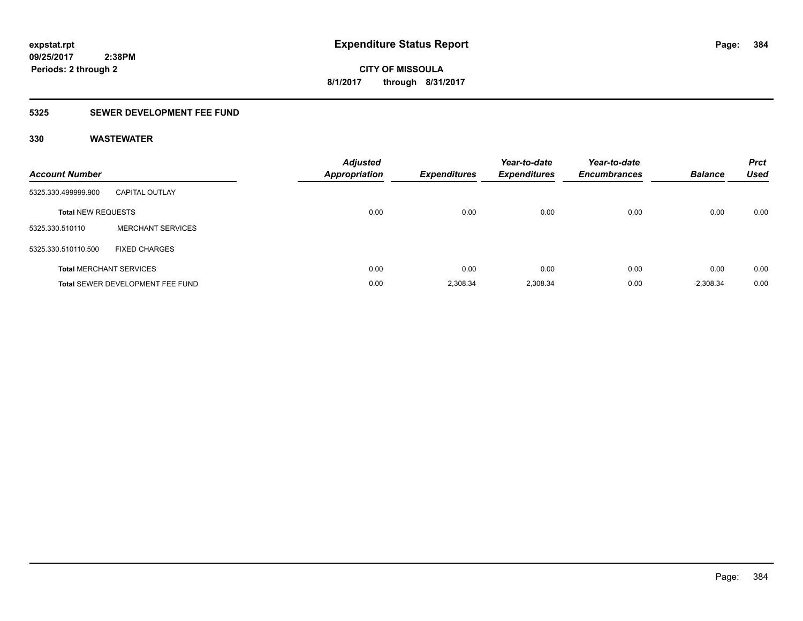### **5325 SEWER DEVELOPMENT FEE FUND**

| <b>Account Number</b>     |                                         | <b>Adjusted</b><br><b>Appropriation</b> | <b>Expenditures</b> | Year-to-date<br><b>Expenditures</b> | Year-to-date<br><b>Encumbrances</b> | <b>Balance</b> | <b>Prct</b><br><b>Used</b> |
|---------------------------|-----------------------------------------|-----------------------------------------|---------------------|-------------------------------------|-------------------------------------|----------------|----------------------------|
| 5325.330.499999.900       | <b>CAPITAL OUTLAY</b>                   |                                         |                     |                                     |                                     |                |                            |
| <b>Total NEW REQUESTS</b> |                                         | 0.00                                    | 0.00                | 0.00                                | 0.00                                | 0.00           | 0.00                       |
| 5325.330.510110           | <b>MERCHANT SERVICES</b>                |                                         |                     |                                     |                                     |                |                            |
| 5325.330.510110.500       | <b>FIXED CHARGES</b>                    |                                         |                     |                                     |                                     |                |                            |
|                           | <b>Total MERCHANT SERVICES</b>          | 0.00                                    | 0.00                | 0.00                                | 0.00                                | 0.00           | 0.00                       |
|                           | <b>Total SEWER DEVELOPMENT FEE FUND</b> | 0.00                                    | 2.308.34            | 2.308.34                            | 0.00                                | $-2,308.34$    | 0.00                       |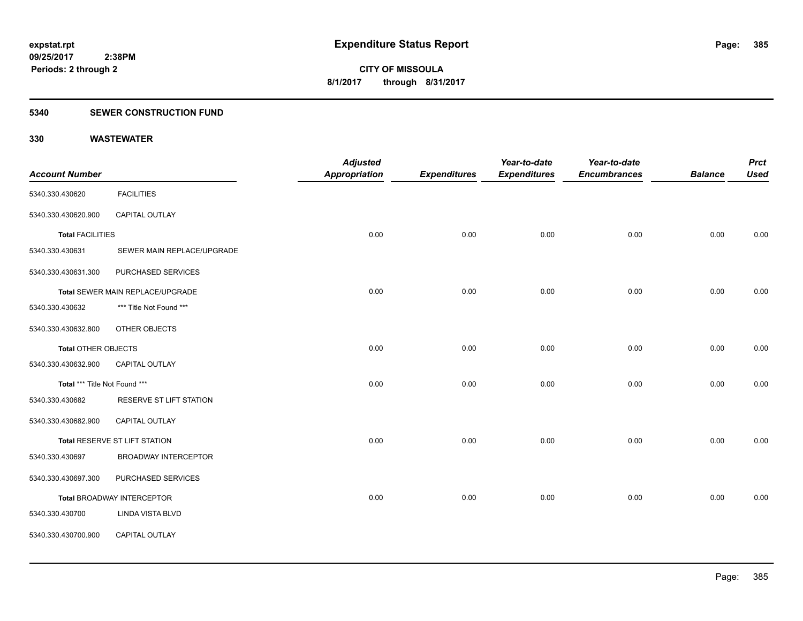#### **5340 SEWER CONSTRUCTION FUND**

|                               |                                  | <b>Adjusted</b>      |                     | Year-to-date        | Year-to-date        |                | <b>Prct</b> |
|-------------------------------|----------------------------------|----------------------|---------------------|---------------------|---------------------|----------------|-------------|
| <b>Account Number</b>         |                                  | <b>Appropriation</b> | <b>Expenditures</b> | <b>Expenditures</b> | <b>Encumbrances</b> | <b>Balance</b> | <b>Used</b> |
| 5340.330.430620               | <b>FACILITIES</b>                |                      |                     |                     |                     |                |             |
| 5340.330.430620.900           | CAPITAL OUTLAY                   |                      |                     |                     |                     |                |             |
| <b>Total FACILITIES</b>       |                                  | 0.00                 | 0.00                | 0.00                | 0.00                | 0.00           | 0.00        |
| 5340.330.430631               | SEWER MAIN REPLACE/UPGRADE       |                      |                     |                     |                     |                |             |
| 5340.330.430631.300           | PURCHASED SERVICES               |                      |                     |                     |                     |                |             |
|                               | Total SEWER MAIN REPLACE/UPGRADE | 0.00                 | 0.00                | 0.00                | 0.00                | 0.00           | 0.00        |
| 5340.330.430632               | *** Title Not Found ***          |                      |                     |                     |                     |                |             |
| 5340.330.430632.800           | OTHER OBJECTS                    |                      |                     |                     |                     |                |             |
| <b>Total OTHER OBJECTS</b>    |                                  | 0.00                 | 0.00                | 0.00                | 0.00                | 0.00           | 0.00        |
| 5340.330.430632.900           | CAPITAL OUTLAY                   |                      |                     |                     |                     |                |             |
| Total *** Title Not Found *** |                                  | 0.00                 | 0.00                | 0.00                | 0.00                | 0.00           | 0.00        |
| 5340.330.430682               | RESERVE ST LIFT STATION          |                      |                     |                     |                     |                |             |
| 5340.330.430682.900           | CAPITAL OUTLAY                   |                      |                     |                     |                     |                |             |
|                               | Total RESERVE ST LIFT STATION    | 0.00                 | 0.00                | 0.00                | 0.00                | 0.00           | 0.00        |
| 5340.330.430697               | <b>BROADWAY INTERCEPTOR</b>      |                      |                     |                     |                     |                |             |
| 5340.330.430697.300           | PURCHASED SERVICES               |                      |                     |                     |                     |                |             |
|                               | Total BROADWAY INTERCEPTOR       | 0.00                 | 0.00                | 0.00                | 0.00                | 0.00           | 0.00        |
| 5340.330.430700               | <b>LINDA VISTA BLVD</b>          |                      |                     |                     |                     |                |             |
| 5340.330.430700.900           | CAPITAL OUTLAY                   |                      |                     |                     |                     |                |             |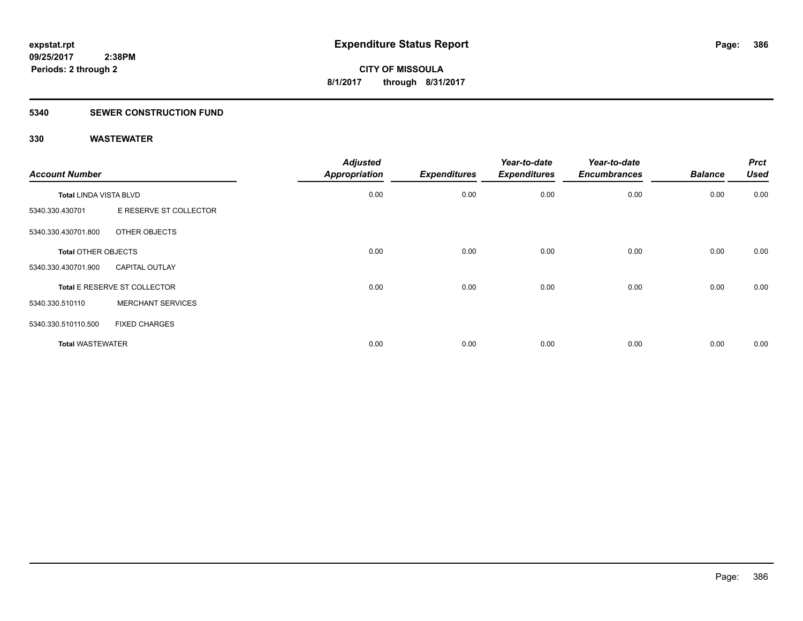#### **5340 SEWER CONSTRUCTION FUND**

| <b>Account Number</b>      |                              | <b>Adjusted</b><br><b>Appropriation</b> | <b>Expenditures</b> | Year-to-date<br><b>Expenditures</b> | Year-to-date<br><b>Encumbrances</b> | <b>Balance</b> | <b>Prct</b><br><b>Used</b> |
|----------------------------|------------------------------|-----------------------------------------|---------------------|-------------------------------------|-------------------------------------|----------------|----------------------------|
| Total LINDA VISTA BLVD     |                              | 0.00                                    | 0.00                | 0.00                                | 0.00                                | 0.00           | 0.00                       |
| 5340.330.430701            | E RESERVE ST COLLECTOR       |                                         |                     |                                     |                                     |                |                            |
| 5340.330.430701.800        | OTHER OBJECTS                |                                         |                     |                                     |                                     |                |                            |
| <b>Total OTHER OBJECTS</b> |                              | 0.00                                    | 0.00                | 0.00                                | 0.00                                | 0.00           | 0.00                       |
| 5340.330.430701.900        | <b>CAPITAL OUTLAY</b>        |                                         |                     |                                     |                                     |                |                            |
|                            | Total E RESERVE ST COLLECTOR | 0.00                                    | 0.00                | 0.00                                | 0.00                                | 0.00           | 0.00                       |
| 5340.330.510110            | <b>MERCHANT SERVICES</b>     |                                         |                     |                                     |                                     |                |                            |
| 5340.330.510110.500        | <b>FIXED CHARGES</b>         |                                         |                     |                                     |                                     |                |                            |
| <b>Total WASTEWATER</b>    |                              | 0.00                                    | 0.00                | 0.00                                | 0.00                                | 0.00           | 0.00                       |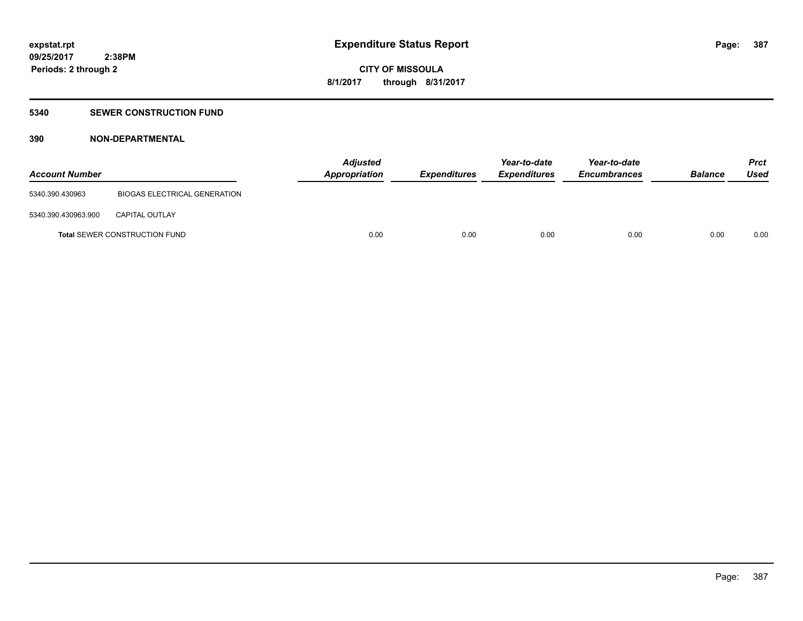#### **5340 SEWER CONSTRUCTION FUND**

### **390 NON-DEPARTMENTAL**

| <b>Account Number</b> |                                     | <b>Adjusted</b><br>Appropriation | <b>Expenditures</b> | Year-to-date<br><b>Expenditures</b> | Year-to-date<br><b>Encumbrances</b> | <b>Balance</b> | Prct<br><b>Used</b> |
|-----------------------|-------------------------------------|----------------------------------|---------------------|-------------------------------------|-------------------------------------|----------------|---------------------|
| 5340.390.430963       | <b>BIOGAS ELECTRICAL GENERATION</b> |                                  |                     |                                     |                                     |                |                     |
| 5340.390.430963.900   | <b>CAPITAL OUTLAY</b>               |                                  |                     |                                     |                                     |                |                     |
|                       | Total SEWER CONSTRUCTION FUND       | 0.00                             | 0.00                | 0.00                                | 0.00                                | 0.00           | 0.00                |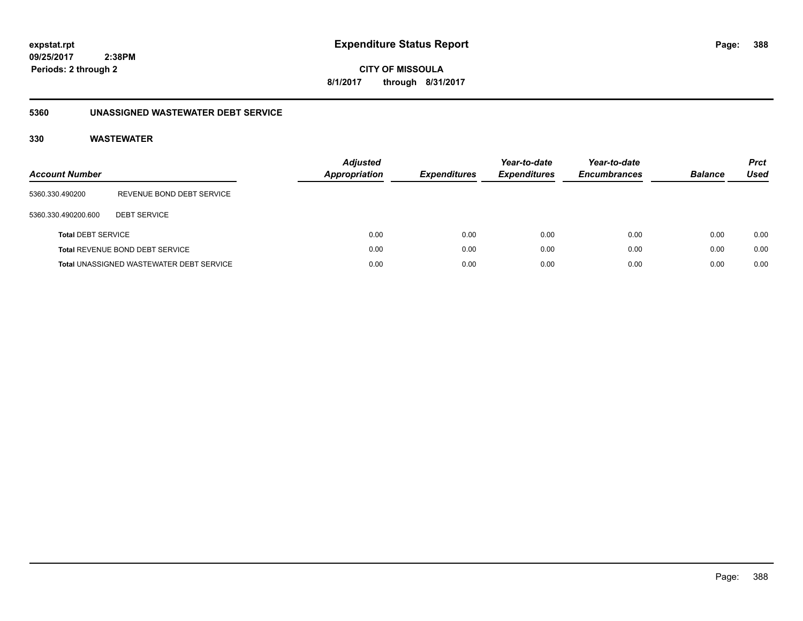**388**

**09/25/2017 2:38PM Periods: 2 through 2**

**CITY OF MISSOULA 8/1/2017 through 8/31/2017**

### **5360 UNASSIGNED WASTEWATER DEBT SERVICE**

| <b>Account Number</b>     |                                                 | <b>Adjusted</b><br><b>Appropriation</b> | <b>Expenditures</b> | Year-to-date<br><b>Expenditures</b> | Year-to-date<br><b>Encumbrances</b> | <b>Balance</b> | <b>Prct</b><br><b>Used</b> |
|---------------------------|-------------------------------------------------|-----------------------------------------|---------------------|-------------------------------------|-------------------------------------|----------------|----------------------------|
| 5360.330.490200           | REVENUE BOND DEBT SERVICE                       |                                         |                     |                                     |                                     |                |                            |
| 5360.330.490200.600       | <b>DEBT SERVICE</b>                             |                                         |                     |                                     |                                     |                |                            |
| <b>Total DEBT SERVICE</b> |                                                 | 0.00                                    | 0.00                | 0.00                                | 0.00                                | 0.00           | 0.00                       |
|                           | Total REVENUE BOND DEBT SERVICE                 | 0.00                                    | 0.00                | 0.00                                | 0.00                                | 0.00           | 0.00                       |
|                           | <b>Total UNASSIGNED WASTEWATER DEBT SERVICE</b> | 0.00                                    | 0.00                | 0.00                                | 0.00                                | 0.00           | 0.00                       |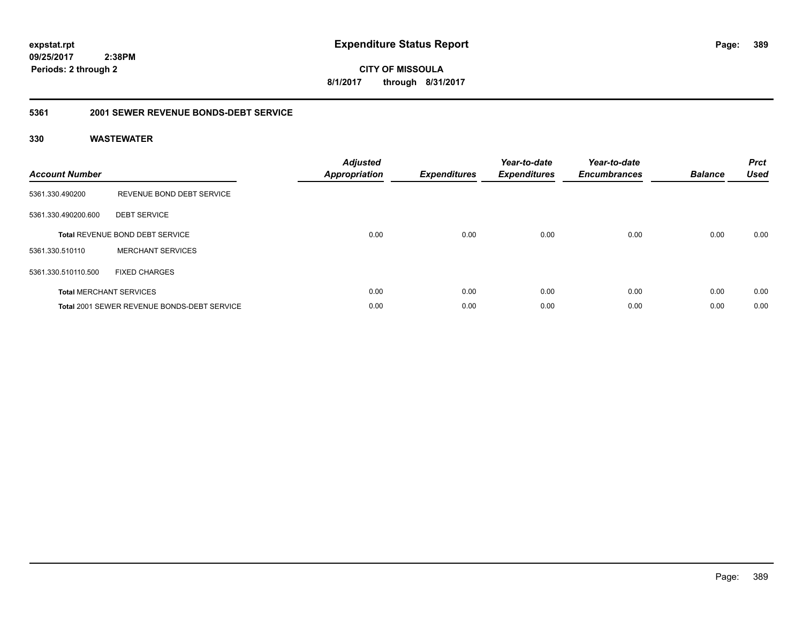**389**

**09/25/2017 2:38PM Periods: 2 through 2**

**CITY OF MISSOULA 8/1/2017 through 8/31/2017**

#### **5361 2001 SEWER REVENUE BONDS-DEBT SERVICE**

| <b>Account Number</b> |                                             | <b>Adjusted</b><br><b>Appropriation</b> | <b>Expenditures</b> | Year-to-date<br><b>Expenditures</b> | Year-to-date<br><b>Encumbrances</b> | <b>Balance</b> | <b>Prct</b><br><b>Used</b> |
|-----------------------|---------------------------------------------|-----------------------------------------|---------------------|-------------------------------------|-------------------------------------|----------------|----------------------------|
| 5361.330.490200       | REVENUE BOND DEBT SERVICE                   |                                         |                     |                                     |                                     |                |                            |
| 5361.330.490200.600   | <b>DEBT SERVICE</b>                         |                                         |                     |                                     |                                     |                |                            |
|                       | Total REVENUE BOND DEBT SERVICE             | 0.00                                    | 0.00                | 0.00                                | 0.00                                | 0.00           | 0.00                       |
| 5361.330.510110       | <b>MERCHANT SERVICES</b>                    |                                         |                     |                                     |                                     |                |                            |
| 5361.330.510110.500   | <b>FIXED CHARGES</b>                        |                                         |                     |                                     |                                     |                |                            |
|                       | <b>Total MERCHANT SERVICES</b>              | 0.00                                    | 0.00                | 0.00                                | 0.00                                | 0.00           | 0.00                       |
|                       | Total 2001 SEWER REVENUE BONDS-DEBT SERVICE | 0.00                                    | 0.00                | 0.00                                | 0.00                                | 0.00           | 0.00                       |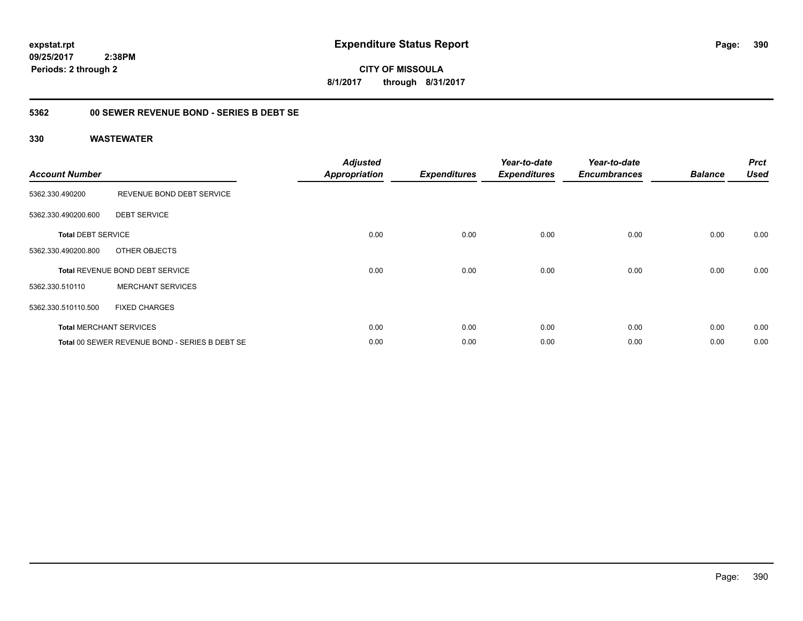**CITY OF MISSOULA 8/1/2017 through 8/31/2017**

### **5362 00 SEWER REVENUE BOND - SERIES B DEBT SE**

| <b>Account Number</b>     |                                                | <b>Adjusted</b><br><b>Appropriation</b> | <b>Expenditures</b> | Year-to-date<br><b>Expenditures</b> | Year-to-date<br><b>Encumbrances</b> | <b>Balance</b> | <b>Prct</b><br><b>Used</b> |
|---------------------------|------------------------------------------------|-----------------------------------------|---------------------|-------------------------------------|-------------------------------------|----------------|----------------------------|
| 5362.330.490200           | REVENUE BOND DEBT SERVICE                      |                                         |                     |                                     |                                     |                |                            |
| 5362.330.490200.600       | <b>DEBT SERVICE</b>                            |                                         |                     |                                     |                                     |                |                            |
| <b>Total DEBT SERVICE</b> |                                                | 0.00                                    | 0.00                | 0.00                                | 0.00                                | 0.00           | 0.00                       |
| 5362.330.490200.800       | OTHER OBJECTS                                  |                                         |                     |                                     |                                     |                |                            |
|                           | <b>Total REVENUE BOND DEBT SERVICE</b>         | 0.00                                    | 0.00                | 0.00                                | 0.00                                | 0.00           | 0.00                       |
| 5362.330.510110           | <b>MERCHANT SERVICES</b>                       |                                         |                     |                                     |                                     |                |                            |
| 5362.330.510110.500       | <b>FIXED CHARGES</b>                           |                                         |                     |                                     |                                     |                |                            |
|                           | <b>Total MERCHANT SERVICES</b>                 | 0.00                                    | 0.00                | 0.00                                | 0.00                                | 0.00           | 0.00                       |
|                           | Total 00 SEWER REVENUE BOND - SERIES B DEBT SE | 0.00                                    | 0.00                | 0.00                                | 0.00                                | 0.00           | 0.00                       |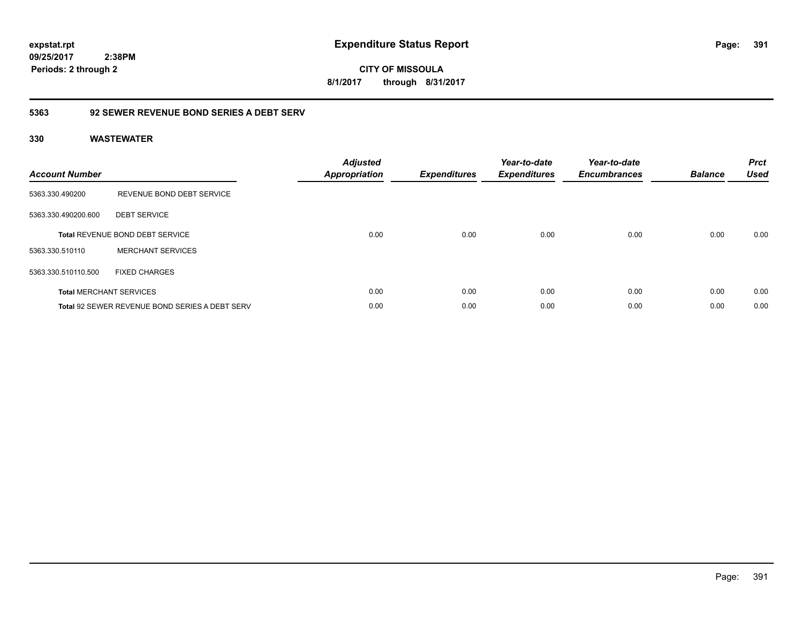**391**

**09/25/2017 2:38PM Periods: 2 through 2**

**CITY OF MISSOULA 8/1/2017 through 8/31/2017**

### **5363 92 SEWER REVENUE BOND SERIES A DEBT SERV**

| <b>Account Number</b> |                                                       | <b>Adjusted</b><br><b>Appropriation</b> | <b>Expenditures</b> | Year-to-date<br><b>Expenditures</b> | Year-to-date<br><b>Encumbrances</b> | <b>Balance</b> | <b>Prct</b><br><b>Used</b> |
|-----------------------|-------------------------------------------------------|-----------------------------------------|---------------------|-------------------------------------|-------------------------------------|----------------|----------------------------|
| 5363.330.490200       | REVENUE BOND DEBT SERVICE                             |                                         |                     |                                     |                                     |                |                            |
| 5363.330.490200.600   | <b>DEBT SERVICE</b>                                   |                                         |                     |                                     |                                     |                |                            |
|                       | <b>Total REVENUE BOND DEBT SERVICE</b>                | 0.00                                    | 0.00                | 0.00                                | 0.00                                | 0.00           | 0.00                       |
| 5363.330.510110       | <b>MERCHANT SERVICES</b>                              |                                         |                     |                                     |                                     |                |                            |
| 5363.330.510110.500   | <b>FIXED CHARGES</b>                                  |                                         |                     |                                     |                                     |                |                            |
|                       | <b>Total MERCHANT SERVICES</b>                        | 0.00                                    | 0.00                | 0.00                                | 0.00                                | 0.00           | 0.00                       |
|                       | <b>Total 92 SEWER REVENUE BOND SERIES A DEBT SERV</b> | 0.00                                    | 0.00                | 0.00                                | 0.00                                | 0.00           | 0.00                       |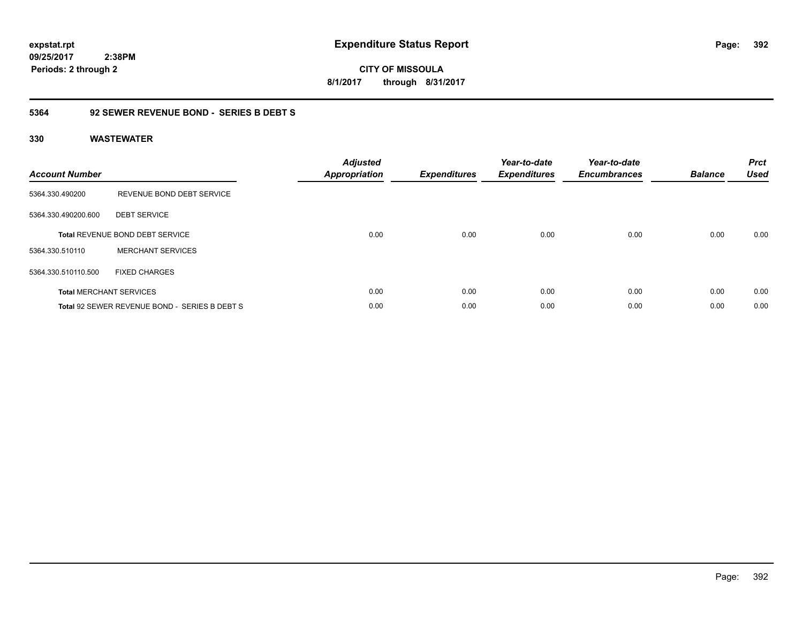**expstat.rpt Expenditure Status Report Page:**

**09/25/2017 2:38PM Periods: 2 through 2**

**CITY OF MISSOULA 8/1/2017 through 8/31/2017**

### **5364 92 SEWER REVENUE BOND - SERIES B DEBT S**

| <b>Account Number</b> |                                               | <b>Adjusted</b><br><b>Appropriation</b> | <b>Expenditures</b> | Year-to-date<br><b>Expenditures</b> | Year-to-date<br><b>Encumbrances</b> | <b>Balance</b> | <b>Prct</b><br><b>Used</b> |
|-----------------------|-----------------------------------------------|-----------------------------------------|---------------------|-------------------------------------|-------------------------------------|----------------|----------------------------|
| 5364.330.490200       | REVENUE BOND DEBT SERVICE                     |                                         |                     |                                     |                                     |                |                            |
| 5364.330.490200.600   | <b>DEBT SERVICE</b>                           |                                         |                     |                                     |                                     |                |                            |
|                       | <b>Total REVENUE BOND DEBT SERVICE</b>        | 0.00                                    | 0.00                | 0.00                                | 0.00                                | 0.00           | 0.00                       |
| 5364.330.510110       | <b>MERCHANT SERVICES</b>                      |                                         |                     |                                     |                                     |                |                            |
| 5364.330.510110.500   | <b>FIXED CHARGES</b>                          |                                         |                     |                                     |                                     |                |                            |
|                       | <b>Total MERCHANT SERVICES</b>                | 0.00                                    | 0.00                | 0.00                                | 0.00                                | 0.00           | 0.00                       |
|                       | Total 92 SEWER REVENUE BOND - SERIES B DEBT S | 0.00                                    | 0.00                | 0.00                                | 0.00                                | 0.00           | 0.00                       |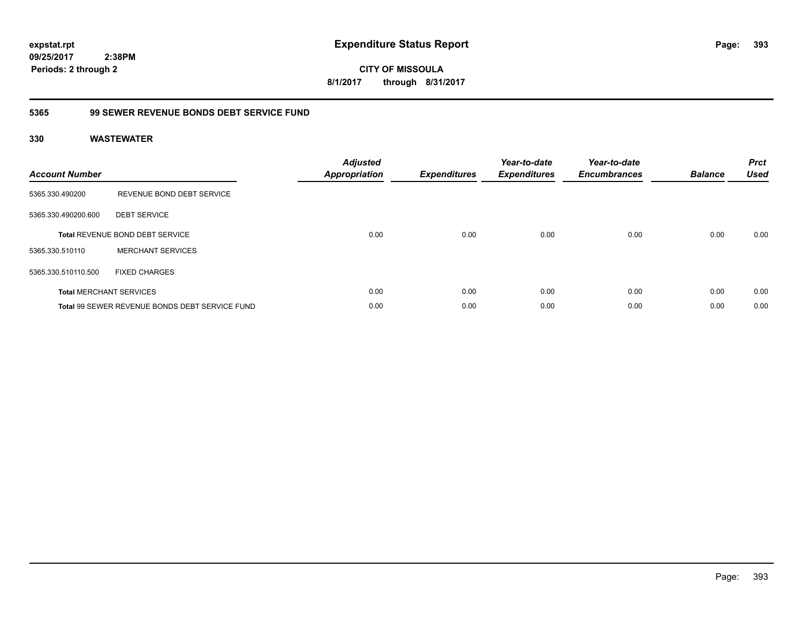**CITY OF MISSOULA 8/1/2017 through 8/31/2017**

### **5365 99 SEWER REVENUE BONDS DEBT SERVICE FUND**

| <b>Account Number</b> |                                                | <b>Adjusted</b><br>Appropriation | <b>Expenditures</b> | Year-to-date<br><b>Expenditures</b> | Year-to-date<br><b>Encumbrances</b> | <b>Balance</b> | <b>Prct</b><br><b>Used</b> |
|-----------------------|------------------------------------------------|----------------------------------|---------------------|-------------------------------------|-------------------------------------|----------------|----------------------------|
| 5365.330.490200       | REVENUE BOND DEBT SERVICE                      |                                  |                     |                                     |                                     |                |                            |
| 5365.330.490200.600   | <b>DEBT SERVICE</b>                            |                                  |                     |                                     |                                     |                |                            |
|                       | <b>Total REVENUE BOND DEBT SERVICE</b>         | 0.00                             | 0.00                | 0.00                                | 0.00                                | 0.00           | 0.00                       |
| 5365.330.510110       | <b>MERCHANT SERVICES</b>                       |                                  |                     |                                     |                                     |                |                            |
| 5365.330.510110.500   | <b>FIXED CHARGES</b>                           |                                  |                     |                                     |                                     |                |                            |
|                       | <b>Total MERCHANT SERVICES</b>                 | 0.00                             | 0.00                | 0.00                                | 0.00                                | 0.00           | 0.00                       |
|                       | Total 99 SEWER REVENUE BONDS DEBT SERVICE FUND | 0.00                             | 0.00                | 0.00                                | 0.00                                | 0.00           | 0.00                       |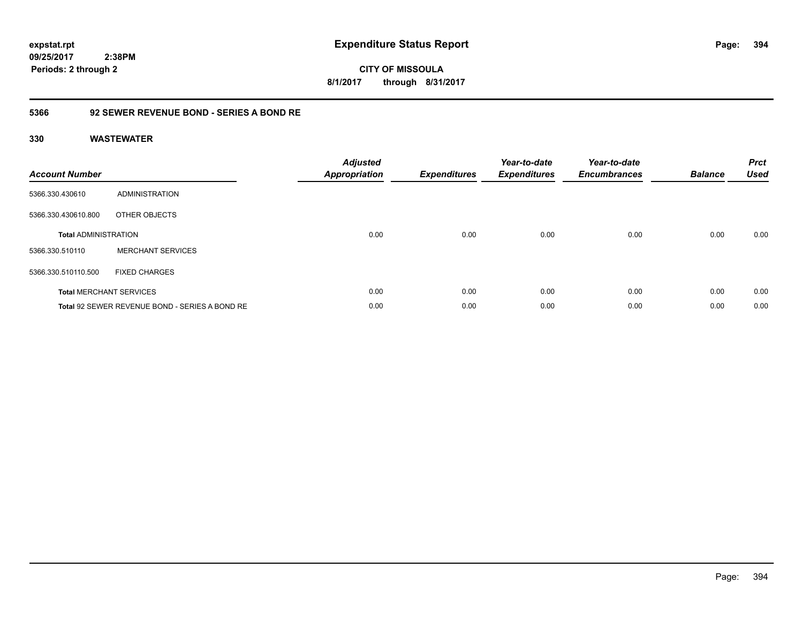**CITY OF MISSOULA 8/1/2017 through 8/31/2017**

### **5366 92 SEWER REVENUE BOND - SERIES A BOND RE**

| <b>Account Number</b>       |                                                | <b>Adjusted</b><br><b>Appropriation</b> | <b>Expenditures</b> | Year-to-date<br><b>Expenditures</b> | Year-to-date<br><b>Encumbrances</b> | <b>Balance</b> | <b>Prct</b><br><b>Used</b> |
|-----------------------------|------------------------------------------------|-----------------------------------------|---------------------|-------------------------------------|-------------------------------------|----------------|----------------------------|
| 5366.330.430610             | ADMINISTRATION                                 |                                         |                     |                                     |                                     |                |                            |
| 5366.330.430610.800         | OTHER OBJECTS                                  |                                         |                     |                                     |                                     |                |                            |
| <b>Total ADMINISTRATION</b> |                                                | 0.00                                    | 0.00                | 0.00                                | 0.00                                | 0.00           | 0.00                       |
| 5366.330.510110             | <b>MERCHANT SERVICES</b>                       |                                         |                     |                                     |                                     |                |                            |
| 5366.330.510110.500         | <b>FIXED CHARGES</b>                           |                                         |                     |                                     |                                     |                |                            |
|                             | <b>Total MERCHANT SERVICES</b>                 | 0.00                                    | 0.00                | 0.00                                | 0.00                                | 0.00           | 0.00                       |
|                             | Total 92 SEWER REVENUE BOND - SERIES A BOND RE | 0.00                                    | 0.00                | 0.00                                | 0.00                                | 0.00           | 0.00                       |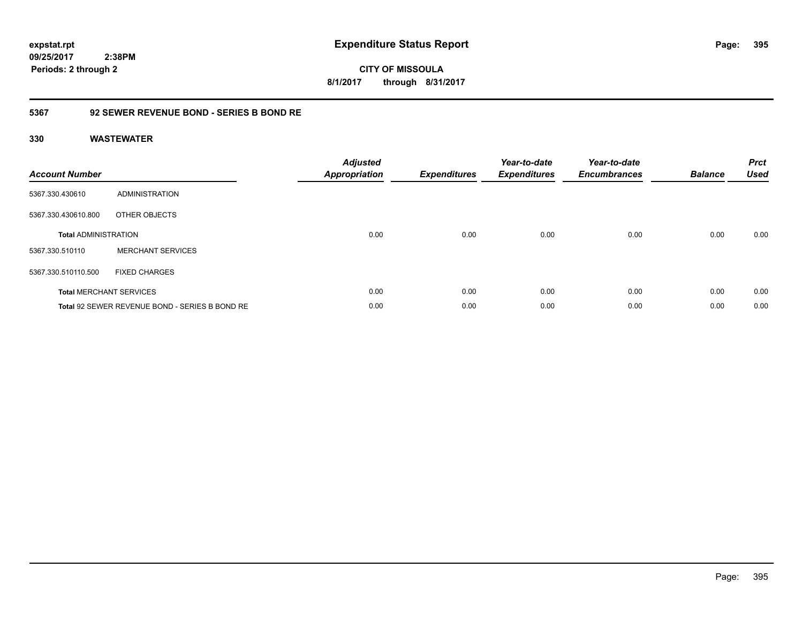**395**

**09/25/2017 2:38PM Periods: 2 through 2**

**CITY OF MISSOULA 8/1/2017 through 8/31/2017**

### **5367 92 SEWER REVENUE BOND - SERIES B BOND RE**

| <b>Account Number</b>       |                                                | <b>Adjusted</b><br><b>Appropriation</b> | <b>Expenditures</b> | Year-to-date<br><b>Expenditures</b> | Year-to-date<br><b>Encumbrances</b> | <b>Balance</b> | <b>Prct</b><br><b>Used</b> |
|-----------------------------|------------------------------------------------|-----------------------------------------|---------------------|-------------------------------------|-------------------------------------|----------------|----------------------------|
| 5367.330.430610             | ADMINISTRATION                                 |                                         |                     |                                     |                                     |                |                            |
| 5367.330.430610.800         | OTHER OBJECTS                                  |                                         |                     |                                     |                                     |                |                            |
| <b>Total ADMINISTRATION</b> |                                                | 0.00                                    | 0.00                | 0.00                                | 0.00                                | 0.00           | 0.00                       |
| 5367.330.510110             | <b>MERCHANT SERVICES</b>                       |                                         |                     |                                     |                                     |                |                            |
| 5367.330.510110.500         | <b>FIXED CHARGES</b>                           |                                         |                     |                                     |                                     |                |                            |
|                             | <b>Total MERCHANT SERVICES</b>                 | 0.00                                    | 0.00                | 0.00                                | 0.00                                | 0.00           | 0.00                       |
|                             | Total 92 SEWER REVENUE BOND - SERIES B BOND RE | 0.00                                    | 0.00                | 0.00                                | 0.00                                | 0.00           | 0.00                       |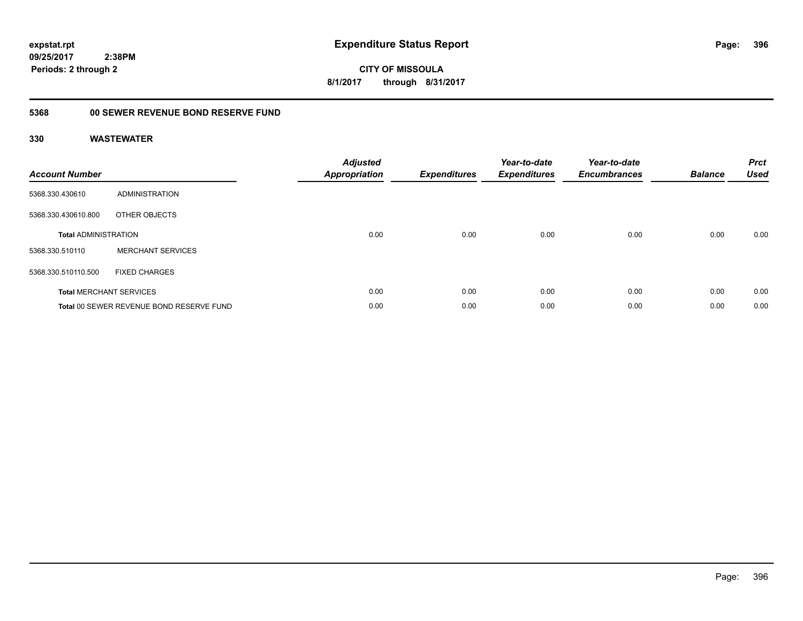**CITY OF MISSOULA 8/1/2017 through 8/31/2017**

## **5368 00 SEWER REVENUE BOND RESERVE FUND**

| <b>Account Number</b>       |                                          | <b>Adjusted</b><br>Appropriation | <b>Expenditures</b> | Year-to-date<br><b>Expenditures</b> | Year-to-date<br><b>Encumbrances</b> | <b>Balance</b> | <b>Prct</b><br><b>Used</b> |
|-----------------------------|------------------------------------------|----------------------------------|---------------------|-------------------------------------|-------------------------------------|----------------|----------------------------|
| 5368.330.430610             | ADMINISTRATION                           |                                  |                     |                                     |                                     |                |                            |
| 5368.330.430610.800         | OTHER OBJECTS                            |                                  |                     |                                     |                                     |                |                            |
| <b>Total ADMINISTRATION</b> |                                          | 0.00                             | 0.00                | 0.00                                | 0.00                                | 0.00           | 0.00                       |
| 5368.330.510110             | <b>MERCHANT SERVICES</b>                 |                                  |                     |                                     |                                     |                |                            |
| 5368.330.510110.500         | <b>FIXED CHARGES</b>                     |                                  |                     |                                     |                                     |                |                            |
|                             | <b>Total MERCHANT SERVICES</b>           | 0.00                             | 0.00                | 0.00                                | 0.00                                | 0.00           | 0.00                       |
|                             | Total 00 SEWER REVENUE BOND RESERVE FUND | 0.00                             | 0.00                | 0.00                                | 0.00                                | 0.00           | 0.00                       |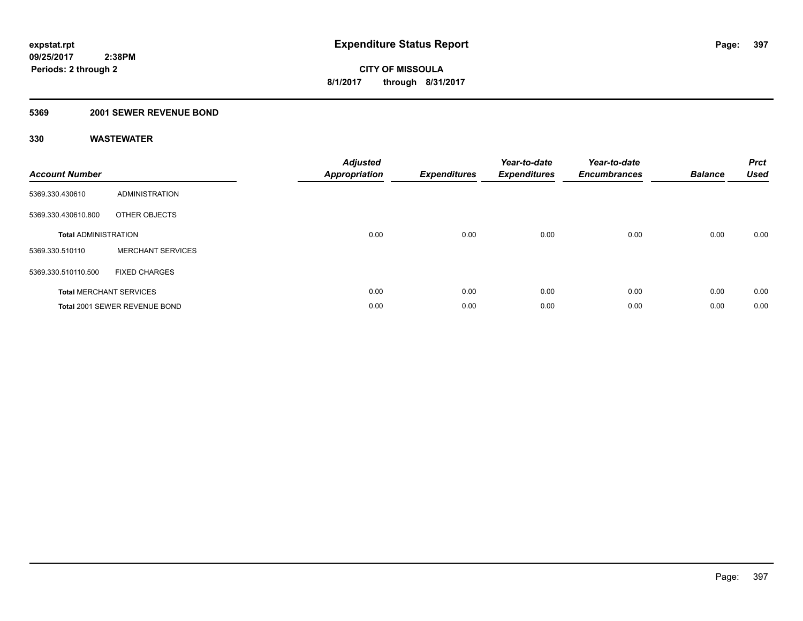#### **5369 2001 SEWER REVENUE BOND**

| <b>Account Number</b>       |                                | <b>Adjusted</b><br>Appropriation | <b>Expenditures</b> | Year-to-date<br><b>Expenditures</b> | Year-to-date<br><b>Encumbrances</b> | <b>Balance</b> | <b>Prct</b><br><b>Used</b> |
|-----------------------------|--------------------------------|----------------------------------|---------------------|-------------------------------------|-------------------------------------|----------------|----------------------------|
| 5369.330.430610             | <b>ADMINISTRATION</b>          |                                  |                     |                                     |                                     |                |                            |
| 5369.330.430610.800         | OTHER OBJECTS                  |                                  |                     |                                     |                                     |                |                            |
| <b>Total ADMINISTRATION</b> |                                | 0.00                             | 0.00                | 0.00                                | 0.00                                | 0.00           | 0.00                       |
| 5369.330.510110             | <b>MERCHANT SERVICES</b>       |                                  |                     |                                     |                                     |                |                            |
| 5369.330.510110.500         | <b>FIXED CHARGES</b>           |                                  |                     |                                     |                                     |                |                            |
|                             | <b>Total MERCHANT SERVICES</b> | 0.00                             | 0.00                | 0.00                                | 0.00                                | 0.00           | 0.00                       |
|                             | Total 2001 SEWER REVENUE BOND  | 0.00                             | 0.00                | 0.00                                | 0.00                                | 0.00           | 0.00                       |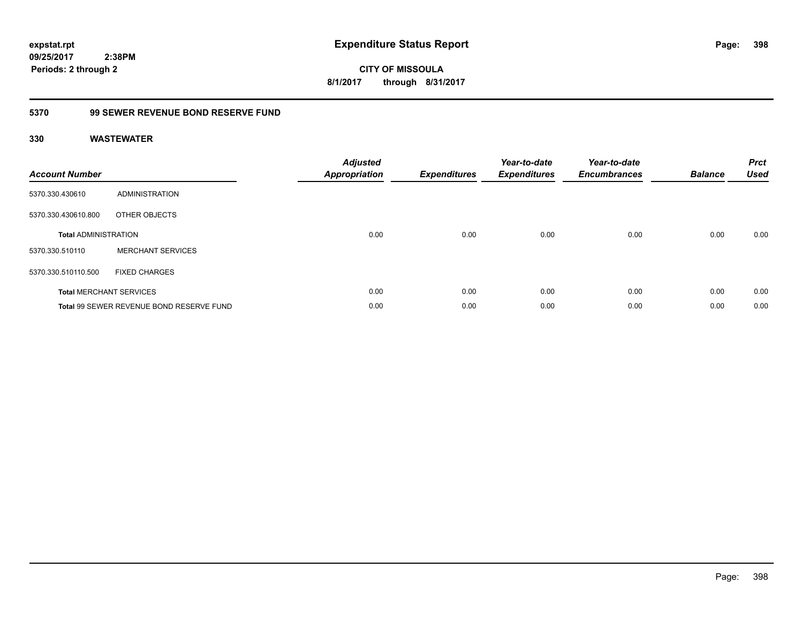**CITY OF MISSOULA 8/1/2017 through 8/31/2017**

## **5370 99 SEWER REVENUE BOND RESERVE FUND**

| <b>Account Number</b>       |                                          | <b>Adjusted</b><br><b>Appropriation</b> | <b>Expenditures</b> | Year-to-date<br><b>Expenditures</b> | Year-to-date<br><b>Encumbrances</b> | <b>Balance</b> | <b>Prct</b><br><b>Used</b> |
|-----------------------------|------------------------------------------|-----------------------------------------|---------------------|-------------------------------------|-------------------------------------|----------------|----------------------------|
| 5370.330.430610             | ADMINISTRATION                           |                                         |                     |                                     |                                     |                |                            |
| 5370.330.430610.800         | OTHER OBJECTS                            |                                         |                     |                                     |                                     |                |                            |
| <b>Total ADMINISTRATION</b> |                                          | 0.00                                    | 0.00                | 0.00                                | 0.00                                | 0.00           | 0.00                       |
| 5370.330.510110             | <b>MERCHANT SERVICES</b>                 |                                         |                     |                                     |                                     |                |                            |
| 5370.330.510110.500         | <b>FIXED CHARGES</b>                     |                                         |                     |                                     |                                     |                |                            |
|                             | <b>Total MERCHANT SERVICES</b>           | 0.00                                    | 0.00                | 0.00                                | 0.00                                | 0.00           | 0.00                       |
|                             | Total 99 SEWER REVENUE BOND RESERVE FUND | 0.00                                    | 0.00                | 0.00                                | 0.00                                | 0.00           | 0.00                       |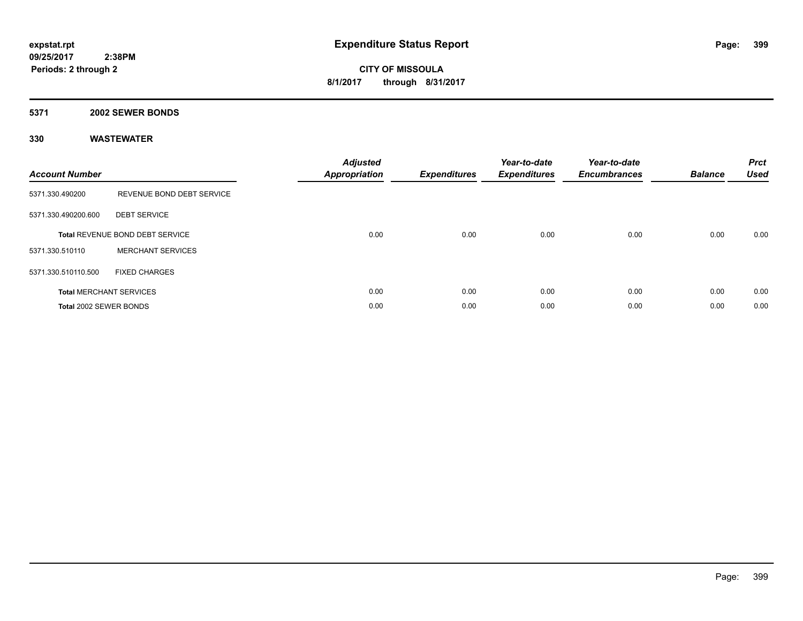#### **5371 2002 SEWER BONDS**

| <b>Account Number</b>  |                                        | <b>Adjusted</b><br><b>Appropriation</b> | <b>Expenditures</b> | Year-to-date<br><b>Expenditures</b> | Year-to-date<br><b>Encumbrances</b> | <b>Balance</b> | <b>Prct</b><br><b>Used</b> |
|------------------------|----------------------------------------|-----------------------------------------|---------------------|-------------------------------------|-------------------------------------|----------------|----------------------------|
| 5371.330.490200        | REVENUE BOND DEBT SERVICE              |                                         |                     |                                     |                                     |                |                            |
| 5371.330.490200.600    | <b>DEBT SERVICE</b>                    |                                         |                     |                                     |                                     |                |                            |
|                        | <b>Total REVENUE BOND DEBT SERVICE</b> | 0.00                                    | 0.00                | 0.00                                | 0.00                                | 0.00           | 0.00                       |
| 5371.330.510110        | <b>MERCHANT SERVICES</b>               |                                         |                     |                                     |                                     |                |                            |
| 5371.330.510110.500    | <b>FIXED CHARGES</b>                   |                                         |                     |                                     |                                     |                |                            |
|                        | <b>Total MERCHANT SERVICES</b>         | 0.00                                    | 0.00                | 0.00                                | 0.00                                | 0.00           | 0.00                       |
| Total 2002 SEWER BONDS |                                        | 0.00                                    | 0.00                | 0.00                                | 0.00                                | 0.00           | 0.00                       |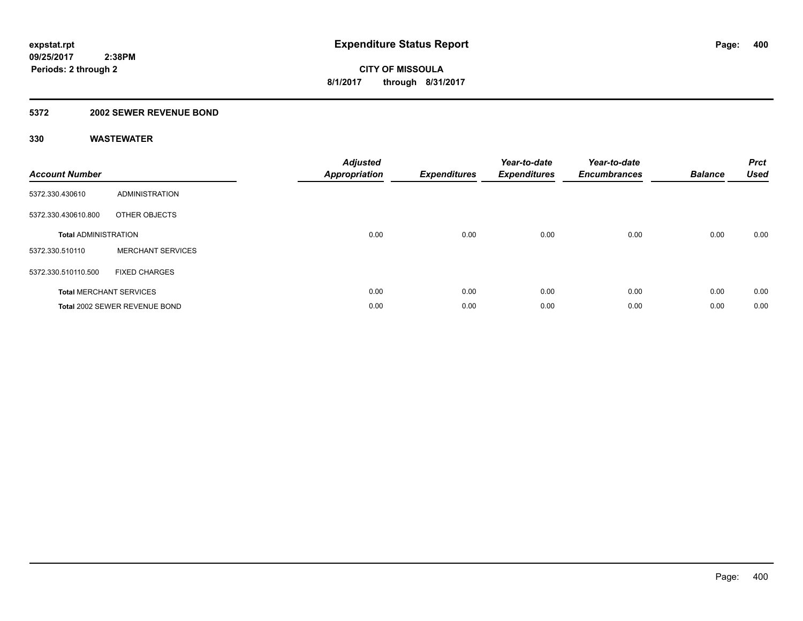#### **5372 2002 SEWER REVENUE BOND**

| <b>Account Number</b>       |                                | <b>Adjusted</b><br>Appropriation | <b>Expenditures</b> | Year-to-date<br><b>Expenditures</b> | Year-to-date<br><b>Encumbrances</b> | <b>Balance</b> | <b>Prct</b><br><b>Used</b> |
|-----------------------------|--------------------------------|----------------------------------|---------------------|-------------------------------------|-------------------------------------|----------------|----------------------------|
| 5372.330.430610             | <b>ADMINISTRATION</b>          |                                  |                     |                                     |                                     |                |                            |
| 5372.330.430610.800         | OTHER OBJECTS                  |                                  |                     |                                     |                                     |                |                            |
| <b>Total ADMINISTRATION</b> |                                | 0.00                             | 0.00                | 0.00                                | 0.00                                | 0.00           | 0.00                       |
| 5372.330.510110             | <b>MERCHANT SERVICES</b>       |                                  |                     |                                     |                                     |                |                            |
| 5372.330.510110.500         | <b>FIXED CHARGES</b>           |                                  |                     |                                     |                                     |                |                            |
|                             | <b>Total MERCHANT SERVICES</b> | 0.00                             | 0.00                | 0.00                                | 0.00                                | 0.00           | 0.00                       |
|                             | Total 2002 SEWER REVENUE BOND  | 0.00                             | 0.00                | 0.00                                | 0.00                                | 0.00           | 0.00                       |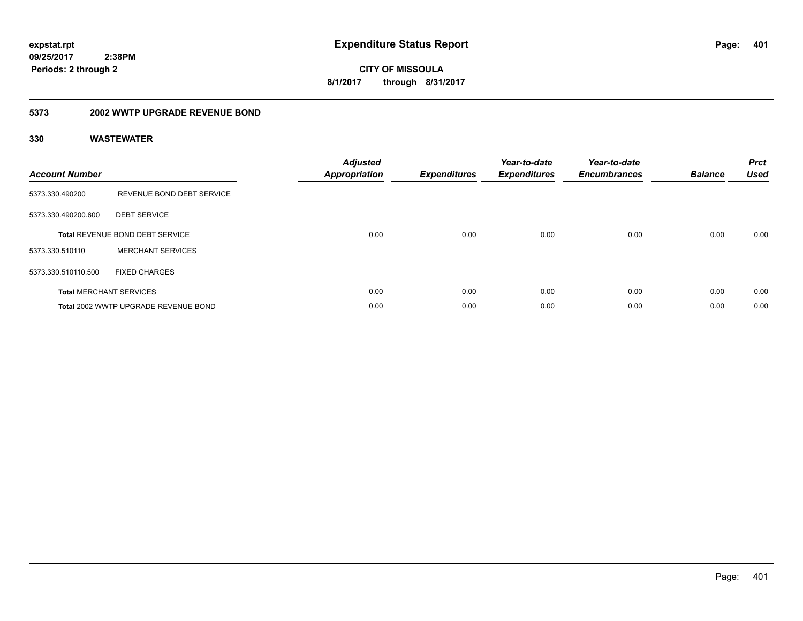**401**

**09/25/2017 2:38PM Periods: 2 through 2**

**CITY OF MISSOULA 8/1/2017 through 8/31/2017**

#### **5373 2002 WWTP UPGRADE REVENUE BOND**

| <b>Account Number</b> |                                        | <b>Adjusted</b><br>Appropriation | <b>Expenditures</b> | Year-to-date<br><b>Expenditures</b> | Year-to-date<br><b>Encumbrances</b> | <b>Balance</b> | <b>Prct</b><br><b>Used</b> |
|-----------------------|----------------------------------------|----------------------------------|---------------------|-------------------------------------|-------------------------------------|----------------|----------------------------|
| 5373.330.490200       | REVENUE BOND DEBT SERVICE              |                                  |                     |                                     |                                     |                |                            |
| 5373.330.490200.600   | <b>DEBT SERVICE</b>                    |                                  |                     |                                     |                                     |                |                            |
|                       | <b>Total REVENUE BOND DEBT SERVICE</b> | 0.00                             | 0.00                | 0.00                                | 0.00                                | 0.00           | 0.00                       |
| 5373.330.510110       | <b>MERCHANT SERVICES</b>               |                                  |                     |                                     |                                     |                |                            |
| 5373.330.510110.500   | <b>FIXED CHARGES</b>                   |                                  |                     |                                     |                                     |                |                            |
|                       | <b>Total MERCHANT SERVICES</b>         | 0.00                             | 0.00                | 0.00                                | 0.00                                | 0.00           | 0.00                       |
|                       | Total 2002 WWTP UPGRADE REVENUE BOND   | 0.00                             | 0.00                | 0.00                                | 0.00                                | 0.00           | 0.00                       |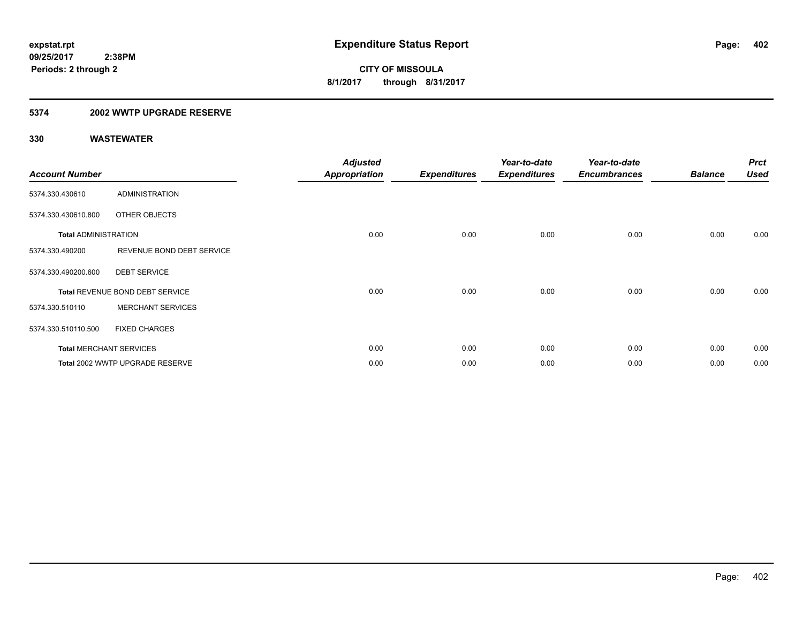#### **5374 2002 WWTP UPGRADE RESERVE**

| <b>Account Number</b>       |                                 | <b>Adjusted</b><br><b>Appropriation</b> | <b>Expenditures</b> | Year-to-date<br><b>Expenditures</b> | Year-to-date<br><b>Encumbrances</b> | <b>Balance</b> | <b>Prct</b><br><b>Used</b> |
|-----------------------------|---------------------------------|-----------------------------------------|---------------------|-------------------------------------|-------------------------------------|----------------|----------------------------|
| 5374.330.430610             | <b>ADMINISTRATION</b>           |                                         |                     |                                     |                                     |                |                            |
| 5374.330.430610.800         | OTHER OBJECTS                   |                                         |                     |                                     |                                     |                |                            |
| <b>Total ADMINISTRATION</b> |                                 | 0.00                                    | 0.00                | 0.00                                | 0.00                                | 0.00           | 0.00                       |
| 5374.330.490200             | REVENUE BOND DEBT SERVICE       |                                         |                     |                                     |                                     |                |                            |
| 5374.330.490200.600         | <b>DEBT SERVICE</b>             |                                         |                     |                                     |                                     |                |                            |
|                             | Total REVENUE BOND DEBT SERVICE | 0.00                                    | 0.00                | 0.00                                | 0.00                                | 0.00           | 0.00                       |
| 5374.330.510110             | <b>MERCHANT SERVICES</b>        |                                         |                     |                                     |                                     |                |                            |
| 5374.330.510110.500         | <b>FIXED CHARGES</b>            |                                         |                     |                                     |                                     |                |                            |
|                             | <b>Total MERCHANT SERVICES</b>  | 0.00                                    | 0.00                | 0.00                                | 0.00                                | 0.00           | 0.00                       |
|                             | Total 2002 WWTP UPGRADE RESERVE | 0.00                                    | 0.00                | 0.00                                | 0.00                                | 0.00           | 0.00                       |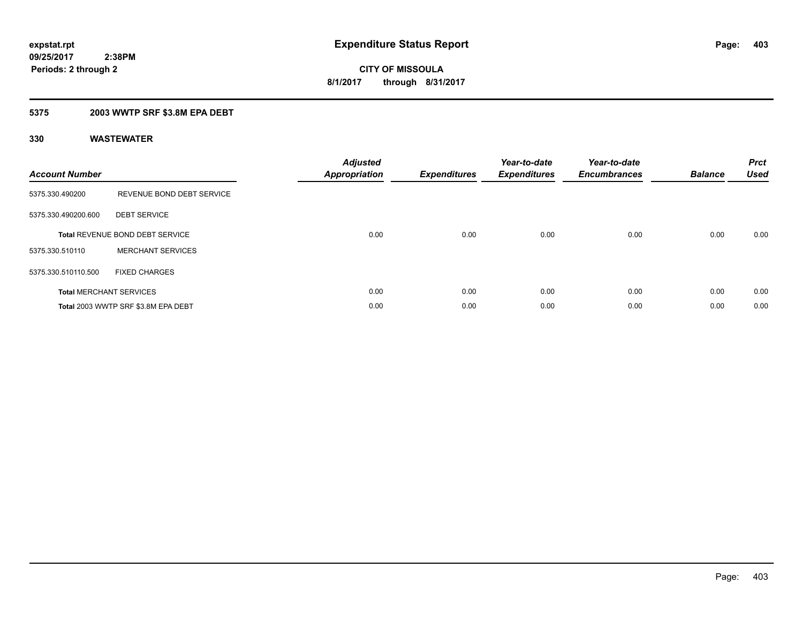#### **5375 2003 WWTP SRF \$3.8M EPA DEBT**

| <b>Account Number</b> |                                     | <b>Adjusted</b><br>Appropriation | <b>Expenditures</b> | Year-to-date<br><b>Expenditures</b> | Year-to-date<br><b>Encumbrances</b> | <b>Balance</b> | <b>Prct</b><br><b>Used</b> |
|-----------------------|-------------------------------------|----------------------------------|---------------------|-------------------------------------|-------------------------------------|----------------|----------------------------|
| 5375.330.490200       | REVENUE BOND DEBT SERVICE           |                                  |                     |                                     |                                     |                |                            |
| 5375.330.490200.600   | <b>DEBT SERVICE</b>                 |                                  |                     |                                     |                                     |                |                            |
|                       | Total REVENUE BOND DEBT SERVICE     | 0.00                             | 0.00                | 0.00                                | 0.00                                | 0.00           | 0.00                       |
| 5375.330.510110       | <b>MERCHANT SERVICES</b>            |                                  |                     |                                     |                                     |                |                            |
| 5375.330.510110.500   | <b>FIXED CHARGES</b>                |                                  |                     |                                     |                                     |                |                            |
|                       | <b>Total MERCHANT SERVICES</b>      | 0.00                             | 0.00                | 0.00                                | 0.00                                | 0.00           | 0.00                       |
|                       | Total 2003 WWTP SRF \$3.8M EPA DEBT | 0.00                             | 0.00                | 0.00                                | 0.00                                | 0.00           | 0.00                       |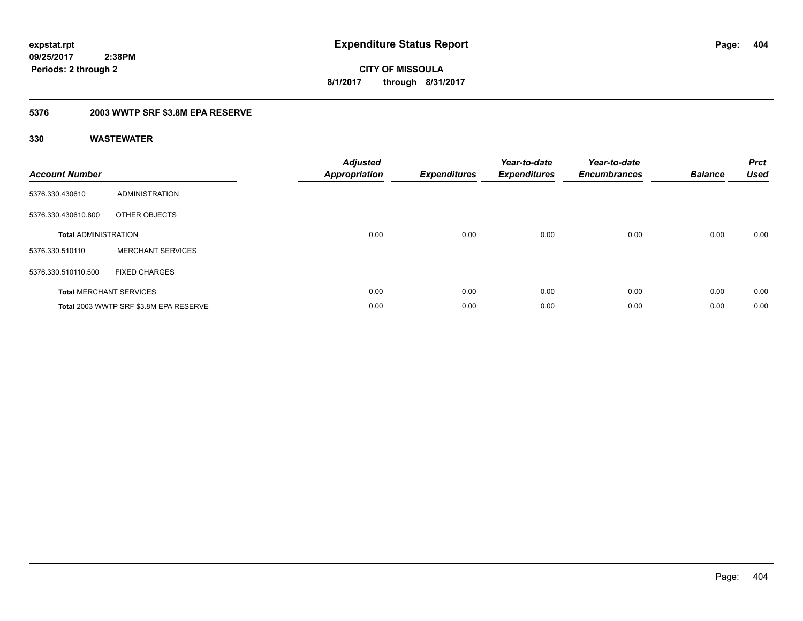### **5376 2003 WWTP SRF \$3.8M EPA RESERVE**

| <b>Account Number</b>          |                                        | <b>Adjusted</b><br><b>Appropriation</b> | <b>Expenditures</b> | Year-to-date<br><b>Expenditures</b> | Year-to-date<br><b>Encumbrances</b> | <b>Balance</b> | <b>Prct</b><br><b>Used</b> |
|--------------------------------|----------------------------------------|-----------------------------------------|---------------------|-------------------------------------|-------------------------------------|----------------|----------------------------|
| 5376.330.430610                | <b>ADMINISTRATION</b>                  |                                         |                     |                                     |                                     |                |                            |
| 5376.330.430610.800            | OTHER OBJECTS                          |                                         |                     |                                     |                                     |                |                            |
| <b>Total ADMINISTRATION</b>    |                                        | 0.00                                    | 0.00                | 0.00                                | 0.00                                | 0.00           | 0.00                       |
| 5376.330.510110                | <b>MERCHANT SERVICES</b>               |                                         |                     |                                     |                                     |                |                            |
| 5376.330.510110.500            | <b>FIXED CHARGES</b>                   |                                         |                     |                                     |                                     |                |                            |
| <b>Total MERCHANT SERVICES</b> |                                        | 0.00                                    | 0.00                | 0.00                                | 0.00                                | 0.00           | 0.00                       |
|                                | Total 2003 WWTP SRF \$3.8M EPA RESERVE | 0.00                                    | 0.00                | 0.00                                | 0.00                                | 0.00           | 0.00                       |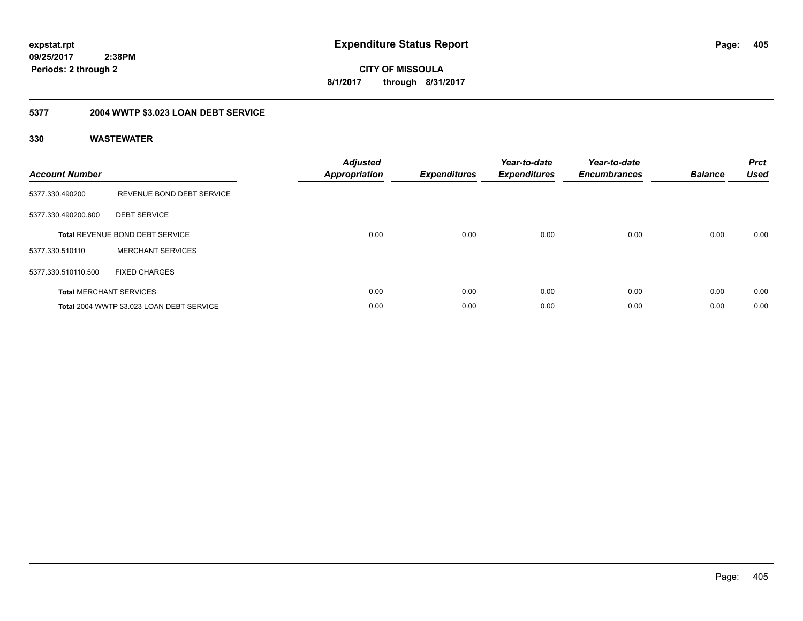**405**

**09/25/2017 2:38PM Periods: 2 through 2**

**CITY OF MISSOULA 8/1/2017 through 8/31/2017**

## **5377 2004 WWTP \$3.023 LOAN DEBT SERVICE**

| <b>Account Number</b> |                                           | <b>Adjusted</b><br>Appropriation | <b>Expenditures</b> | Year-to-date<br><b>Expenditures</b> | Year-to-date<br><b>Encumbrances</b> | <b>Balance</b> | <b>Prct</b><br><b>Used</b> |
|-----------------------|-------------------------------------------|----------------------------------|---------------------|-------------------------------------|-------------------------------------|----------------|----------------------------|
| 5377.330.490200       | REVENUE BOND DEBT SERVICE                 |                                  |                     |                                     |                                     |                |                            |
| 5377.330.490200.600   | <b>DEBT SERVICE</b>                       |                                  |                     |                                     |                                     |                |                            |
|                       | <b>Total REVENUE BOND DEBT SERVICE</b>    | 0.00                             | 0.00                | 0.00                                | 0.00                                | 0.00           | 0.00                       |
| 5377.330.510110       | <b>MERCHANT SERVICES</b>                  |                                  |                     |                                     |                                     |                |                            |
| 5377.330.510110.500   | <b>FIXED CHARGES</b>                      |                                  |                     |                                     |                                     |                |                            |
|                       | <b>Total MERCHANT SERVICES</b>            | 0.00                             | 0.00                | 0.00                                | 0.00                                | 0.00           | 0.00                       |
|                       | Total 2004 WWTP \$3.023 LOAN DEBT SERVICE | 0.00                             | 0.00                | 0.00                                | 0.00                                | 0.00           | 0.00                       |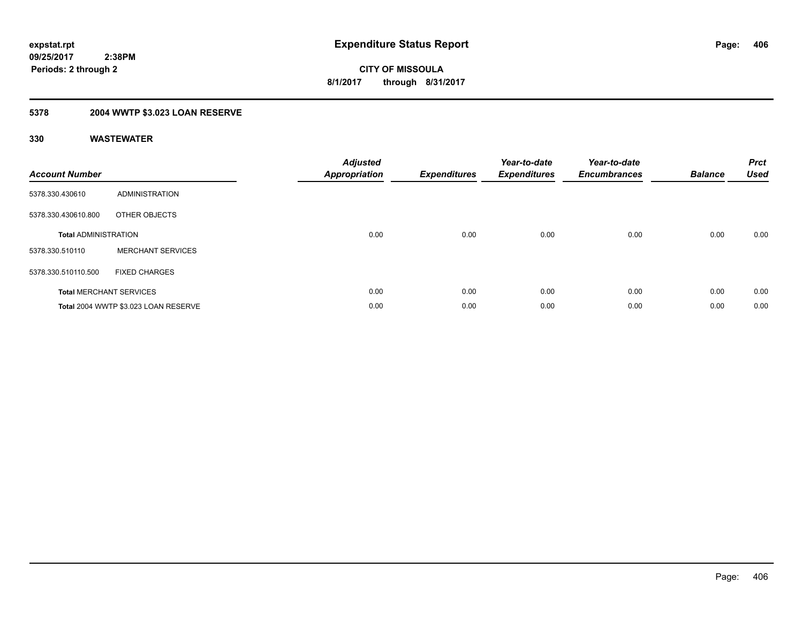## **5378 2004 WWTP \$3.023 LOAN RESERVE**

| <b>Account Number</b>       |                                      | <b>Adjusted</b><br><b>Appropriation</b> | <b>Expenditures</b> | Year-to-date<br><b>Expenditures</b> | Year-to-date<br><b>Encumbrances</b> | <b>Balance</b> | <b>Prct</b><br><b>Used</b> |
|-----------------------------|--------------------------------------|-----------------------------------------|---------------------|-------------------------------------|-------------------------------------|----------------|----------------------------|
| 5378.330.430610             | <b>ADMINISTRATION</b>                |                                         |                     |                                     |                                     |                |                            |
| 5378.330.430610.800         | OTHER OBJECTS                        |                                         |                     |                                     |                                     |                |                            |
| <b>Total ADMINISTRATION</b> |                                      | 0.00                                    | 0.00                | 0.00                                | 0.00                                | 0.00           | 0.00                       |
| 5378.330.510110             | <b>MERCHANT SERVICES</b>             |                                         |                     |                                     |                                     |                |                            |
| 5378.330.510110.500         | <b>FIXED CHARGES</b>                 |                                         |                     |                                     |                                     |                |                            |
|                             | <b>Total MERCHANT SERVICES</b>       | 0.00                                    | 0.00                | 0.00                                | 0.00                                | 0.00           | 0.00                       |
|                             | Total 2004 WWTP \$3.023 LOAN RESERVE | 0.00                                    | 0.00                | 0.00                                | 0.00                                | 0.00           | 0.00                       |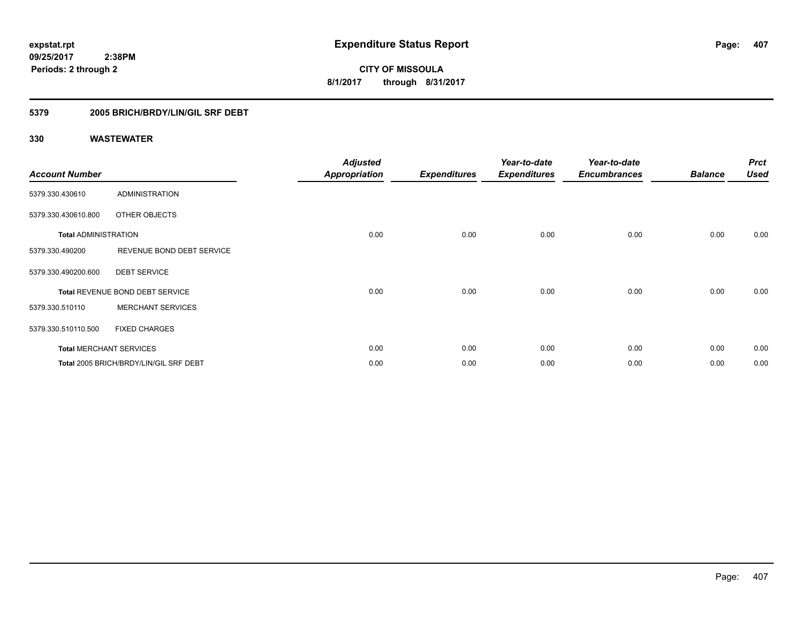**CITY OF MISSOULA 8/1/2017 through 8/31/2017**

### **5379 2005 BRICH/BRDY/LIN/GIL SRF DEBT**

| <b>Account Number</b>       |                                        | <b>Adjusted</b><br><b>Appropriation</b> | <b>Expenditures</b> | Year-to-date<br><b>Expenditures</b> | Year-to-date<br><b>Encumbrances</b> | <b>Balance</b> | <b>Prct</b><br><b>Used</b> |
|-----------------------------|----------------------------------------|-----------------------------------------|---------------------|-------------------------------------|-------------------------------------|----------------|----------------------------|
| 5379.330.430610             | <b>ADMINISTRATION</b>                  |                                         |                     |                                     |                                     |                |                            |
| 5379.330.430610.800         | <b>OTHER OBJECTS</b>                   |                                         |                     |                                     |                                     |                |                            |
| <b>Total ADMINISTRATION</b> |                                        | 0.00                                    | 0.00                | 0.00                                | 0.00                                | 0.00           | 0.00                       |
| 5379.330.490200             | REVENUE BOND DEBT SERVICE              |                                         |                     |                                     |                                     |                |                            |
| 5379.330.490200.600         | <b>DEBT SERVICE</b>                    |                                         |                     |                                     |                                     |                |                            |
|                             | Total REVENUE BOND DEBT SERVICE        | 0.00                                    | 0.00                | 0.00                                | 0.00                                | 0.00           | 0.00                       |
| 5379.330.510110             | <b>MERCHANT SERVICES</b>               |                                         |                     |                                     |                                     |                |                            |
| 5379.330.510110.500         | <b>FIXED CHARGES</b>                   |                                         |                     |                                     |                                     |                |                            |
|                             | <b>Total MERCHANT SERVICES</b>         | 0.00                                    | 0.00                | 0.00                                | 0.00                                | 0.00           | 0.00                       |
|                             | Total 2005 BRICH/BRDY/LIN/GIL SRF DEBT | 0.00                                    | 0.00                | 0.00                                | 0.00                                | 0.00           | 0.00                       |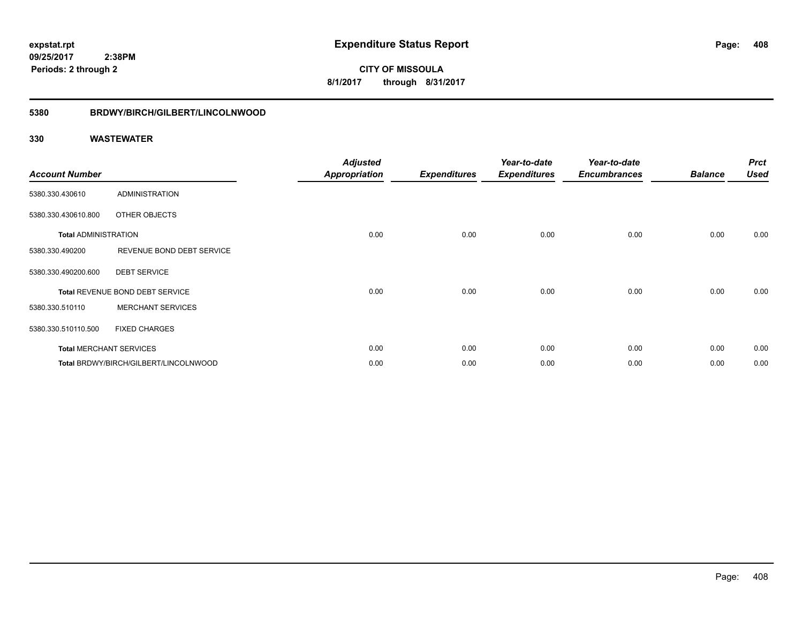**CITY OF MISSOULA 8/1/2017 through 8/31/2017**

#### **5380 BRDWY/BIRCH/GILBERT/LINCOLNWOOD**

| <b>Account Number</b>       |                                       | <b>Adjusted</b><br><b>Appropriation</b> | <b>Expenditures</b> | Year-to-date<br><b>Expenditures</b> | Year-to-date<br><b>Encumbrances</b> | <b>Balance</b> | <b>Prct</b><br><b>Used</b> |
|-----------------------------|---------------------------------------|-----------------------------------------|---------------------|-------------------------------------|-------------------------------------|----------------|----------------------------|
| 5380.330.430610             | <b>ADMINISTRATION</b>                 |                                         |                     |                                     |                                     |                |                            |
| 5380.330.430610.800         | OTHER OBJECTS                         |                                         |                     |                                     |                                     |                |                            |
| <b>Total ADMINISTRATION</b> |                                       | 0.00                                    | 0.00                | 0.00                                | 0.00                                | 0.00           | 0.00                       |
| 5380.330.490200             | REVENUE BOND DEBT SERVICE             |                                         |                     |                                     |                                     |                |                            |
| 5380.330.490200.600         | <b>DEBT SERVICE</b>                   |                                         |                     |                                     |                                     |                |                            |
|                             | Total REVENUE BOND DEBT SERVICE       | 0.00                                    | 0.00                | 0.00                                | 0.00                                | 0.00           | 0.00                       |
| 5380.330.510110             | <b>MERCHANT SERVICES</b>              |                                         |                     |                                     |                                     |                |                            |
| 5380.330.510110.500         | <b>FIXED CHARGES</b>                  |                                         |                     |                                     |                                     |                |                            |
|                             | <b>Total MERCHANT SERVICES</b>        | 0.00                                    | 0.00                | 0.00                                | 0.00                                | 0.00           | 0.00                       |
|                             | Total BRDWY/BIRCH/GILBERT/LINCOLNWOOD | 0.00                                    | 0.00                | 0.00                                | 0.00                                | 0.00           | 0.00                       |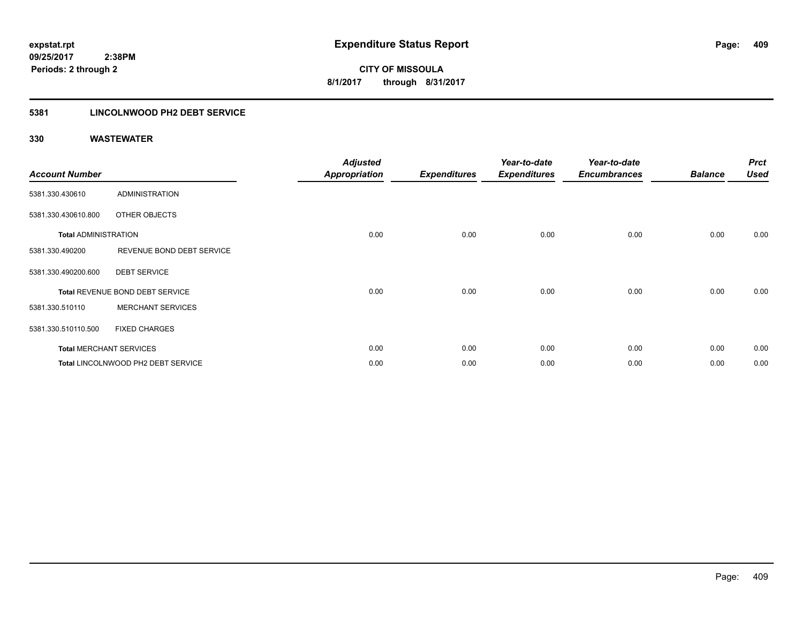### **5381 LINCOLNWOOD PH2 DEBT SERVICE**

| <b>Account Number</b>       |                                    | <b>Adjusted</b><br><b>Appropriation</b> | <b>Expenditures</b> | Year-to-date<br><b>Expenditures</b> | Year-to-date<br><b>Encumbrances</b> | <b>Balance</b> | <b>Prct</b><br><b>Used</b> |
|-----------------------------|------------------------------------|-----------------------------------------|---------------------|-------------------------------------|-------------------------------------|----------------|----------------------------|
| 5381.330.430610             | <b>ADMINISTRATION</b>              |                                         |                     |                                     |                                     |                |                            |
|                             |                                    |                                         |                     |                                     |                                     |                |                            |
| 5381.330.430610.800         | <b>OTHER OBJECTS</b>               |                                         |                     |                                     |                                     |                |                            |
| <b>Total ADMINISTRATION</b> |                                    | 0.00                                    | 0.00                | 0.00                                | 0.00                                | 0.00           | 0.00                       |
| 5381.330.490200             | REVENUE BOND DEBT SERVICE          |                                         |                     |                                     |                                     |                |                            |
| 5381.330.490200.600         | <b>DEBT SERVICE</b>                |                                         |                     |                                     |                                     |                |                            |
|                             | Total REVENUE BOND DEBT SERVICE    | 0.00                                    | 0.00                | 0.00                                | 0.00                                | 0.00           | 0.00                       |
| 5381.330.510110             | <b>MERCHANT SERVICES</b>           |                                         |                     |                                     |                                     |                |                            |
| 5381.330.510110.500         | <b>FIXED CHARGES</b>               |                                         |                     |                                     |                                     |                |                            |
|                             | <b>Total MERCHANT SERVICES</b>     | 0.00                                    | 0.00                | 0.00                                | 0.00                                | 0.00           | 0.00                       |
|                             | Total LINCOLNWOOD PH2 DEBT SERVICE | 0.00                                    | 0.00                | 0.00                                | 0.00                                | 0.00           | 0.00                       |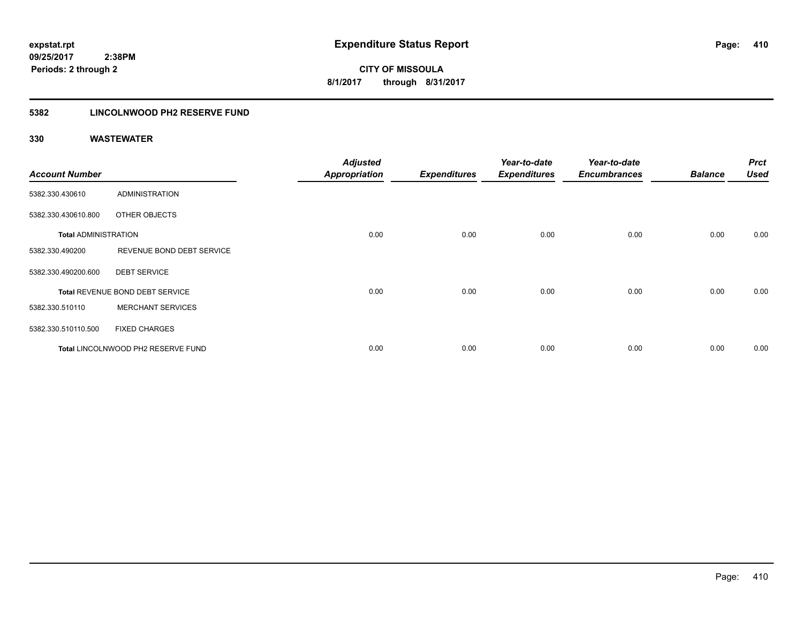**CITY OF MISSOULA 8/1/2017 through 8/31/2017**

#### **5382 LINCOLNWOOD PH2 RESERVE FUND**

| <b>Account Number</b>       |                                    | <b>Adjusted</b><br>Appropriation | <b>Expenditures</b> | Year-to-date<br><b>Expenditures</b> | Year-to-date<br><b>Encumbrances</b> | <b>Balance</b> | <b>Prct</b><br>Used |
|-----------------------------|------------------------------------|----------------------------------|---------------------|-------------------------------------|-------------------------------------|----------------|---------------------|
| 5382.330.430610             | ADMINISTRATION                     |                                  |                     |                                     |                                     |                |                     |
| 5382.330.430610.800         | OTHER OBJECTS                      |                                  |                     |                                     |                                     |                |                     |
| <b>Total ADMINISTRATION</b> |                                    | 0.00                             | 0.00                | 0.00                                | 0.00                                | 0.00           | 0.00                |
| 5382.330.490200             | REVENUE BOND DEBT SERVICE          |                                  |                     |                                     |                                     |                |                     |
| 5382.330.490200.600         | <b>DEBT SERVICE</b>                |                                  |                     |                                     |                                     |                |                     |
|                             | Total REVENUE BOND DEBT SERVICE    | 0.00                             | 0.00                | 0.00                                | 0.00                                | 0.00           | 0.00                |
| 5382.330.510110             | <b>MERCHANT SERVICES</b>           |                                  |                     |                                     |                                     |                |                     |
| 5382.330.510110.500         | <b>FIXED CHARGES</b>               |                                  |                     |                                     |                                     |                |                     |
|                             | Total LINCOLNWOOD PH2 RESERVE FUND | 0.00                             | 0.00                | 0.00                                | 0.00                                | 0.00           | 0.00                |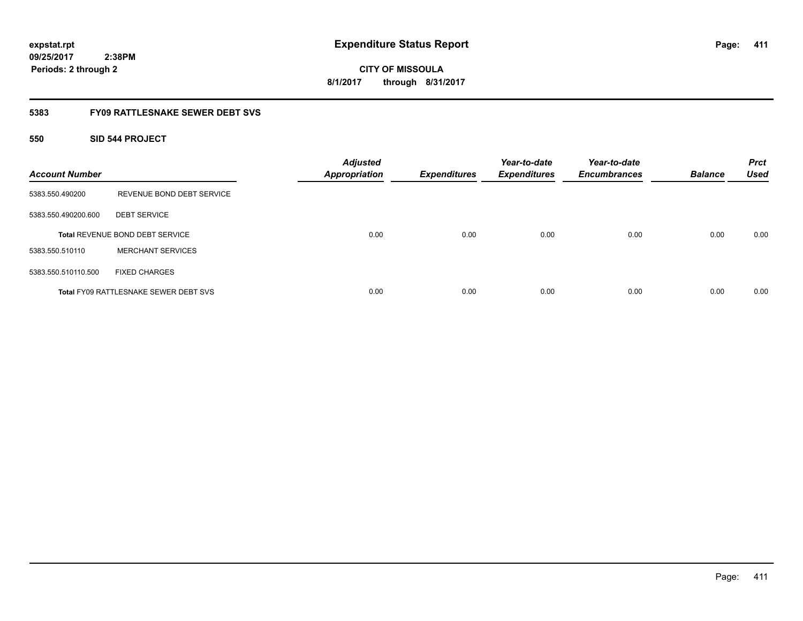### **5383 FY09 RATTLESNAKE SEWER DEBT SVS**

#### **550 SID 544 PROJECT**

| <b>Account Number</b> |                                              | <b>Adjusted</b><br><b>Appropriation</b> | <b>Expenditures</b> | Year-to-date<br><b>Expenditures</b> | Year-to-date<br><b>Encumbrances</b> | <b>Balance</b> | <b>Prct</b><br><b>Used</b> |
|-----------------------|----------------------------------------------|-----------------------------------------|---------------------|-------------------------------------|-------------------------------------|----------------|----------------------------|
| 5383.550.490200       | REVENUE BOND DEBT SERVICE                    |                                         |                     |                                     |                                     |                |                            |
| 5383.550.490200.600   | <b>DEBT SERVICE</b>                          |                                         |                     |                                     |                                     |                |                            |
|                       | <b>Total REVENUE BOND DEBT SERVICE</b>       | 0.00                                    | 0.00                | 0.00                                | 0.00                                | 0.00           | 0.00                       |
| 5383.550.510110       | <b>MERCHANT SERVICES</b>                     |                                         |                     |                                     |                                     |                |                            |
| 5383.550.510110.500   | <b>FIXED CHARGES</b>                         |                                         |                     |                                     |                                     |                |                            |
|                       | <b>Total FY09 RATTLESNAKE SEWER DEBT SVS</b> | 0.00                                    | 0.00                | 0.00                                | 0.00                                | 0.00           | 0.00                       |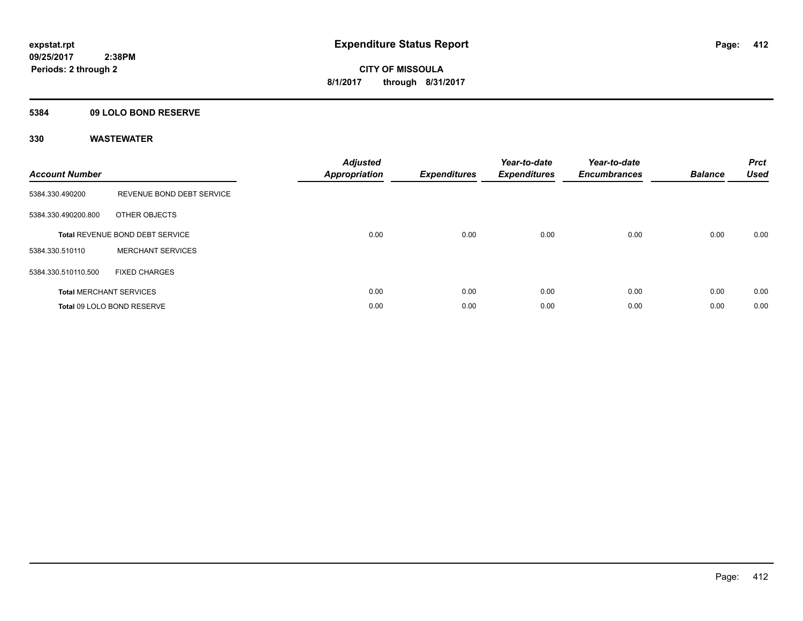#### **5384 09 LOLO BOND RESERVE**

| <b>Account Number</b> |                                 | <b>Adjusted</b><br>Appropriation | <b>Expenditures</b> | Year-to-date<br><b>Expenditures</b> | Year-to-date<br><b>Encumbrances</b> | <b>Balance</b> | <b>Prct</b><br><b>Used</b> |
|-----------------------|---------------------------------|----------------------------------|---------------------|-------------------------------------|-------------------------------------|----------------|----------------------------|
| 5384.330.490200       | REVENUE BOND DEBT SERVICE       |                                  |                     |                                     |                                     |                |                            |
| 5384.330.490200.800   | OTHER OBJECTS                   |                                  |                     |                                     |                                     |                |                            |
|                       | Total REVENUE BOND DEBT SERVICE | 0.00                             | 0.00                | 0.00                                | 0.00                                | 0.00           | 0.00                       |
| 5384.330.510110       | <b>MERCHANT SERVICES</b>        |                                  |                     |                                     |                                     |                |                            |
| 5384.330.510110.500   | <b>FIXED CHARGES</b>            |                                  |                     |                                     |                                     |                |                            |
|                       | <b>Total MERCHANT SERVICES</b>  | 0.00                             | 0.00                | 0.00                                | 0.00                                | 0.00           | 0.00                       |
|                       | Total 09 LOLO BOND RESERVE      | 0.00                             | 0.00                | 0.00                                | 0.00                                | 0.00           | 0.00                       |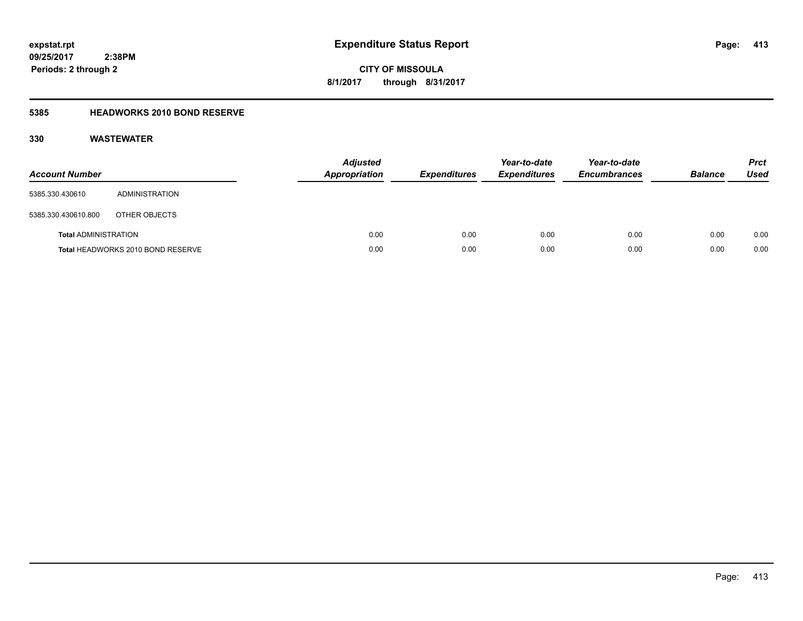**CITY OF MISSOULA 8/1/2017 through 8/31/2017**

### **5385 HEADWORKS 2010 BOND RESERVE**

| <b>Account Number</b>       |                                   | <b>Adjusted</b><br><b>Appropriation</b> | <b>Expenditures</b> | Year-to-date<br><b>Expenditures</b> | Year-to-date<br><b>Encumbrances</b> | <b>Balance</b> | <b>Prct</b><br>Used |
|-----------------------------|-----------------------------------|-----------------------------------------|---------------------|-------------------------------------|-------------------------------------|----------------|---------------------|
| 5385.330.430610             | ADMINISTRATION                    |                                         |                     |                                     |                                     |                |                     |
| 5385.330.430610.800         | OTHER OBJECTS                     |                                         |                     |                                     |                                     |                |                     |
| <b>Total ADMINISTRATION</b> |                                   | 0.00                                    | 0.00                | 0.00                                | 0.00                                | 0.00           | 0.00                |
|                             | Total HEADWORKS 2010 BOND RESERVE | 0.00                                    | 0.00                | 0.00                                | 0.00                                | 0.00           | 0.00                |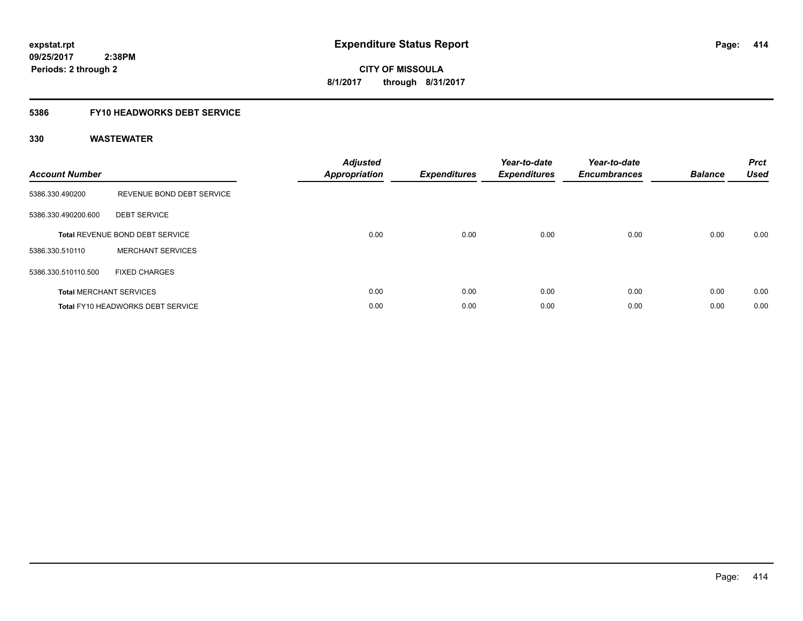**CITY OF MISSOULA 8/1/2017 through 8/31/2017**

#### **5386 FY10 HEADWORKS DEBT SERVICE**

| <b>Account Number</b> |                                          | <b>Adjusted</b><br><b>Appropriation</b> | <b>Expenditures</b> | Year-to-date<br><b>Expenditures</b> | Year-to-date<br><b>Encumbrances</b> | <b>Balance</b> | <b>Prct</b><br><b>Used</b> |
|-----------------------|------------------------------------------|-----------------------------------------|---------------------|-------------------------------------|-------------------------------------|----------------|----------------------------|
| 5386.330.490200       | REVENUE BOND DEBT SERVICE                |                                         |                     |                                     |                                     |                |                            |
| 5386.330.490200.600   | <b>DEBT SERVICE</b>                      |                                         |                     |                                     |                                     |                |                            |
|                       | Total REVENUE BOND DEBT SERVICE          | 0.00                                    | 0.00                | 0.00                                | 0.00                                | 0.00           | 0.00                       |
| 5386.330.510110       | <b>MERCHANT SERVICES</b>                 |                                         |                     |                                     |                                     |                |                            |
| 5386.330.510110.500   | <b>FIXED CHARGES</b>                     |                                         |                     |                                     |                                     |                |                            |
|                       | <b>Total MERCHANT SERVICES</b>           | 0.00                                    | 0.00                | 0.00                                | 0.00                                | 0.00           | 0.00                       |
|                       | <b>Total FY10 HEADWORKS DEBT SERVICE</b> | 0.00                                    | 0.00                | 0.00                                | 0.00                                | 0.00           | 0.00                       |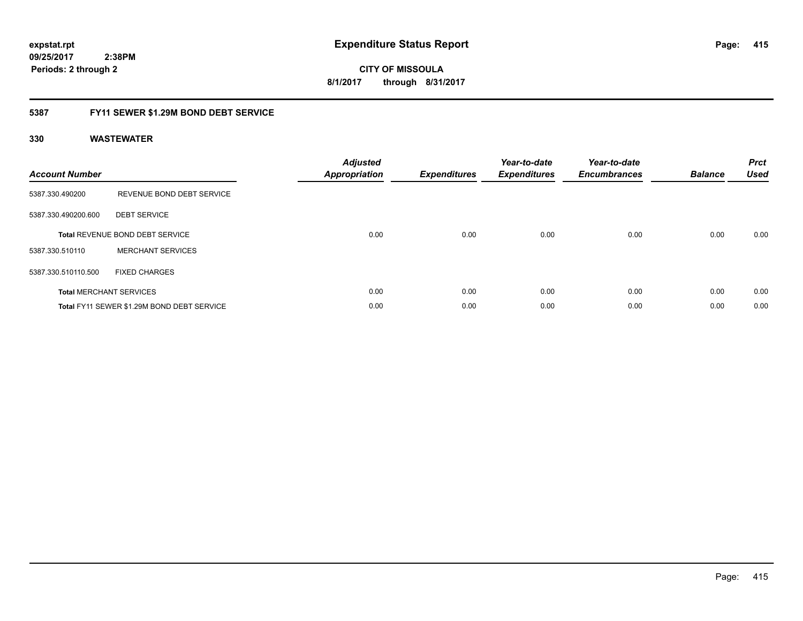**415**

**09/25/2017 2:38PM Periods: 2 through 2**

**CITY OF MISSOULA 8/1/2017 through 8/31/2017**

#### **5387 FY11 SEWER \$1.29M BOND DEBT SERVICE**

| <b>Account Number</b> |                                            | <b>Adjusted</b><br>Appropriation | <b>Expenditures</b> | Year-to-date<br><b>Expenditures</b> | Year-to-date<br><b>Encumbrances</b> | <b>Balance</b> | <b>Prct</b><br><b>Used</b> |
|-----------------------|--------------------------------------------|----------------------------------|---------------------|-------------------------------------|-------------------------------------|----------------|----------------------------|
| 5387.330.490200       | REVENUE BOND DEBT SERVICE                  |                                  |                     |                                     |                                     |                |                            |
| 5387.330.490200.600   | <b>DEBT SERVICE</b>                        |                                  |                     |                                     |                                     |                |                            |
|                       | <b>Total REVENUE BOND DEBT SERVICE</b>     | 0.00                             | 0.00                | 0.00                                | 0.00                                | 0.00           | 0.00                       |
| 5387.330.510110       | <b>MERCHANT SERVICES</b>                   |                                  |                     |                                     |                                     |                |                            |
| 5387.330.510110.500   | <b>FIXED CHARGES</b>                       |                                  |                     |                                     |                                     |                |                            |
|                       | <b>Total MERCHANT SERVICES</b>             | 0.00                             | 0.00                | 0.00                                | 0.00                                | 0.00           | 0.00                       |
|                       | Total FY11 SEWER \$1.29M BOND DEBT SERVICE | 0.00                             | 0.00                | 0.00                                | 0.00                                | 0.00           | 0.00                       |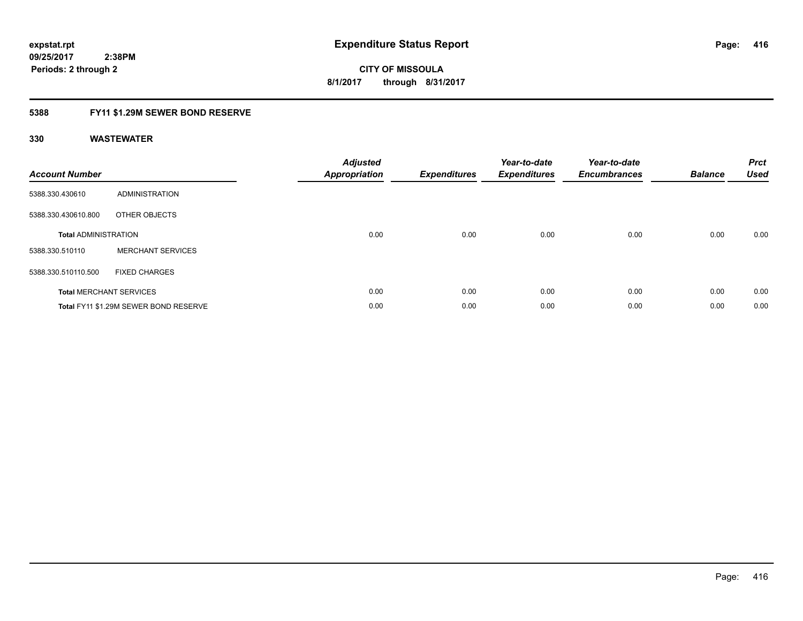#### **5388 FY11 \$1.29M SEWER BOND RESERVE**

| <b>Account Number</b>       |                                       | <b>Adjusted</b><br>Appropriation | <b>Expenditures</b> | Year-to-date<br><b>Expenditures</b> | Year-to-date<br><b>Encumbrances</b> | <b>Balance</b> | <b>Prct</b><br><b>Used</b> |
|-----------------------------|---------------------------------------|----------------------------------|---------------------|-------------------------------------|-------------------------------------|----------------|----------------------------|
| 5388.330.430610             | ADMINISTRATION                        |                                  |                     |                                     |                                     |                |                            |
| 5388.330.430610.800         | OTHER OBJECTS                         |                                  |                     |                                     |                                     |                |                            |
| <b>Total ADMINISTRATION</b> |                                       | 0.00                             | 0.00                | 0.00                                | 0.00                                | 0.00           | 0.00                       |
| 5388.330.510110             | <b>MERCHANT SERVICES</b>              |                                  |                     |                                     |                                     |                |                            |
| 5388.330.510110.500         | <b>FIXED CHARGES</b>                  |                                  |                     |                                     |                                     |                |                            |
|                             | <b>Total MERCHANT SERVICES</b>        | 0.00                             | 0.00                | 0.00                                | 0.00                                | 0.00           | 0.00                       |
|                             | Total FY11 \$1.29M SEWER BOND RESERVE | 0.00                             | 0.00                | 0.00                                | 0.00                                | 0.00           | 0.00                       |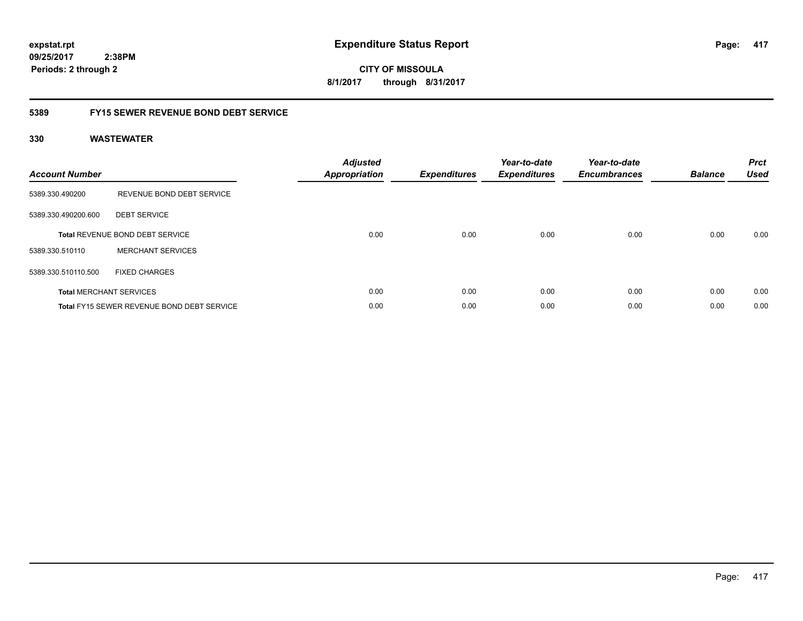**CITY OF MISSOULA 8/1/2017 through 8/31/2017**

#### **5389 FY15 SEWER REVENUE BOND DEBT SERVICE**

| <b>Account Number</b> |                                            | <b>Adjusted</b><br>Appropriation | <b>Expenditures</b> | Year-to-date<br><b>Expenditures</b> | Year-to-date<br><b>Encumbrances</b> | <b>Balance</b> | <b>Prct</b><br><b>Used</b> |
|-----------------------|--------------------------------------------|----------------------------------|---------------------|-------------------------------------|-------------------------------------|----------------|----------------------------|
| 5389.330.490200       | REVENUE BOND DEBT SERVICE                  |                                  |                     |                                     |                                     |                |                            |
| 5389.330.490200.600   | <b>DEBT SERVICE</b>                        |                                  |                     |                                     |                                     |                |                            |
|                       | <b>Total REVENUE BOND DEBT SERVICE</b>     | 0.00                             | 0.00                | 0.00                                | 0.00                                | 0.00           | 0.00                       |
| 5389.330.510110       | <b>MERCHANT SERVICES</b>                   |                                  |                     |                                     |                                     |                |                            |
| 5389.330.510110.500   | <b>FIXED CHARGES</b>                       |                                  |                     |                                     |                                     |                |                            |
|                       | <b>Total MERCHANT SERVICES</b>             | 0.00                             | 0.00                | 0.00                                | 0.00                                | 0.00           | 0.00                       |
|                       | Total FY15 SEWER REVENUE BOND DEBT SERVICE | 0.00                             | 0.00                | 0.00                                | 0.00                                | 0.00           | 0.00                       |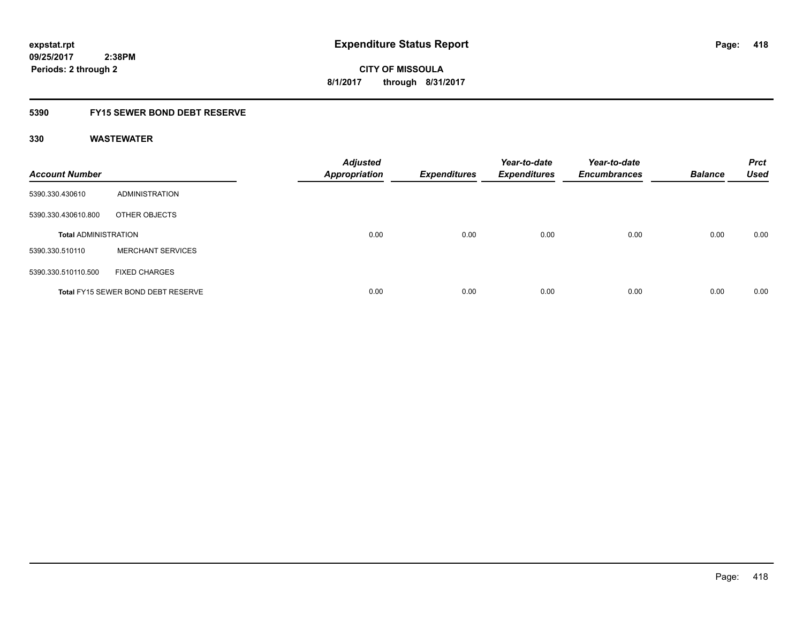#### **5390 FY15 SEWER BOND DEBT RESERVE**

| <b>Account Number</b>       |                                           | <b>Adjusted</b><br>Appropriation | <b>Expenditures</b> | Year-to-date<br><b>Expenditures</b> | Year-to-date<br><b>Encumbrances</b> | <b>Balance</b> | <b>Prct</b><br><b>Used</b> |
|-----------------------------|-------------------------------------------|----------------------------------|---------------------|-------------------------------------|-------------------------------------|----------------|----------------------------|
| 5390.330.430610             | ADMINISTRATION                            |                                  |                     |                                     |                                     |                |                            |
| 5390.330.430610.800         | OTHER OBJECTS                             |                                  |                     |                                     |                                     |                |                            |
| <b>Total ADMINISTRATION</b> |                                           | 0.00                             | 0.00                | 0.00                                | 0.00                                | 0.00           | 0.00                       |
| 5390.330.510110             | <b>MERCHANT SERVICES</b>                  |                                  |                     |                                     |                                     |                |                            |
| 5390.330.510110.500         | <b>FIXED CHARGES</b>                      |                                  |                     |                                     |                                     |                |                            |
|                             | <b>Total FY15 SEWER BOND DEBT RESERVE</b> | 0.00                             | 0.00                | 0.00                                | 0.00                                | 0.00           | 0.00                       |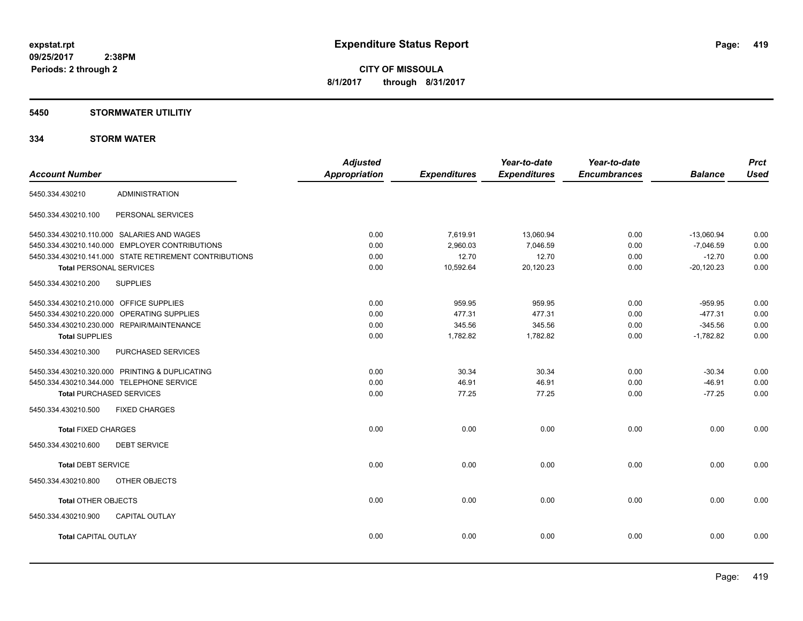#### **5450 STORMWATER UTILITIY**

#### **334 STORM WATER**

| <b>Account Number</b>                                  | <b>Adjusted</b><br>Appropriation | <b>Expenditures</b> | Year-to-date<br><b>Expenditures</b> | Year-to-date<br><b>Encumbrances</b> | <b>Balance</b> | <b>Prct</b><br><b>Used</b> |
|--------------------------------------------------------|----------------------------------|---------------------|-------------------------------------|-------------------------------------|----------------|----------------------------|
|                                                        |                                  |                     |                                     |                                     |                |                            |
| <b>ADMINISTRATION</b><br>5450.334.430210               |                                  |                     |                                     |                                     |                |                            |
| PERSONAL SERVICES<br>5450.334.430210.100               |                                  |                     |                                     |                                     |                |                            |
| 5450.334.430210.110.000 SALARIES AND WAGES             | 0.00                             | 7,619.91            | 13,060.94                           | 0.00                                | $-13,060.94$   | 0.00                       |
| 5450.334.430210.140.000 EMPLOYER CONTRIBUTIONS         | 0.00                             | 2,960.03            | 7,046.59                            | 0.00                                | $-7,046.59$    | 0.00                       |
| 5450.334.430210.141.000 STATE RETIREMENT CONTRIBUTIONS | 0.00                             | 12.70               | 12.70                               | 0.00                                | $-12.70$       | 0.00                       |
| <b>Total PERSONAL SERVICES</b>                         | 0.00                             | 10,592.64           | 20,120.23                           | 0.00                                | $-20,120.23$   | 0.00                       |
| <b>SUPPLIES</b><br>5450.334.430210.200                 |                                  |                     |                                     |                                     |                |                            |
| 5450.334.430210.210.000 OFFICE SUPPLIES                | 0.00                             | 959.95              | 959.95                              | 0.00                                | $-959.95$      | 0.00                       |
| 5450.334.430210.220.000 OPERATING SUPPLIES             | 0.00                             | 477.31              | 477.31                              | 0.00                                | $-477.31$      | 0.00                       |
| 5450.334.430210.230.000 REPAIR/MAINTENANCE             | 0.00                             | 345.56              | 345.56                              | 0.00                                | $-345.56$      | 0.00                       |
| <b>Total SUPPLIES</b>                                  | 0.00                             | 1,782.82            | 1,782.82                            | 0.00                                | $-1,782.82$    | 0.00                       |
| 5450.334.430210.300<br>PURCHASED SERVICES              |                                  |                     |                                     |                                     |                |                            |
| 5450.334.430210.320.000 PRINTING & DUPLICATING         | 0.00                             | 30.34               | 30.34                               | 0.00                                | $-30.34$       | 0.00                       |
| 5450.334.430210.344.000 TELEPHONE SERVICE              | 0.00                             | 46.91               | 46.91                               | 0.00                                | $-46.91$       | 0.00                       |
| <b>Total PURCHASED SERVICES</b>                        | 0.00                             | 77.25               | 77.25                               | 0.00                                | $-77.25$       | 0.00                       |
| 5450.334.430210.500<br><b>FIXED CHARGES</b>            |                                  |                     |                                     |                                     |                |                            |
| <b>Total FIXED CHARGES</b>                             | 0.00                             | 0.00                | 0.00                                | 0.00                                | 0.00           | 0.00                       |
| 5450.334.430210.600<br><b>DEBT SERVICE</b>             |                                  |                     |                                     |                                     |                |                            |
| <b>Total DEBT SERVICE</b>                              | 0.00                             | 0.00                | 0.00                                | 0.00                                | 0.00           | 0.00                       |
| OTHER OBJECTS<br>5450.334.430210.800                   |                                  |                     |                                     |                                     |                |                            |
| <b>Total OTHER OBJECTS</b>                             | 0.00                             | 0.00                | 0.00                                | 0.00                                | 0.00           | 0.00                       |
| 5450.334.430210.900<br>CAPITAL OUTLAY                  |                                  |                     |                                     |                                     |                |                            |
| <b>Total CAPITAL OUTLAY</b>                            | 0.00                             | 0.00                | 0.00                                | 0.00                                | 0.00           | 0.00                       |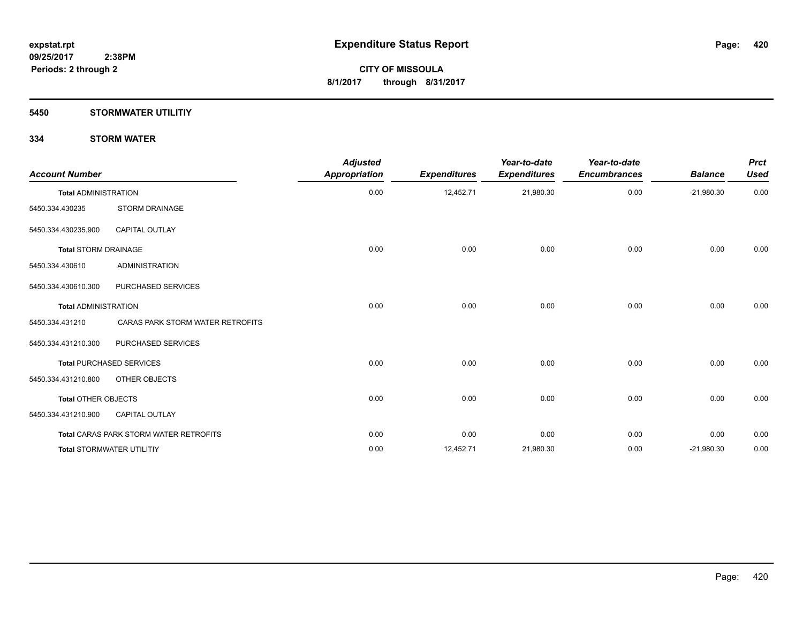#### **5450 STORMWATER UTILITIY**

#### **334 STORM WATER**

| <b>Account Number</b>       |                                               | <b>Adjusted</b><br>Appropriation | <b>Expenditures</b> | Year-to-date<br><b>Expenditures</b> | Year-to-date<br><b>Encumbrances</b> | <b>Balance</b> | <b>Prct</b><br><b>Used</b> |
|-----------------------------|-----------------------------------------------|----------------------------------|---------------------|-------------------------------------|-------------------------------------|----------------|----------------------------|
| <b>Total ADMINISTRATION</b> |                                               | 0.00                             | 12,452.71           | 21,980.30                           | 0.00                                | $-21,980.30$   | 0.00                       |
| 5450.334.430235             | <b>STORM DRAINAGE</b>                         |                                  |                     |                                     |                                     |                |                            |
| 5450.334.430235.900         | <b>CAPITAL OUTLAY</b>                         |                                  |                     |                                     |                                     |                |                            |
| <b>Total STORM DRAINAGE</b> |                                               | 0.00                             | 0.00                | 0.00                                | 0.00                                | 0.00           | 0.00                       |
| 5450.334.430610             | <b>ADMINISTRATION</b>                         |                                  |                     |                                     |                                     |                |                            |
| 5450.334.430610.300         | PURCHASED SERVICES                            |                                  |                     |                                     |                                     |                |                            |
| <b>Total ADMINISTRATION</b> |                                               | 0.00                             | 0.00                | 0.00                                | 0.00                                | 0.00           | 0.00                       |
| 5450.334.431210             | CARAS PARK STORM WATER RETROFITS              |                                  |                     |                                     |                                     |                |                            |
| 5450.334.431210.300         | PURCHASED SERVICES                            |                                  |                     |                                     |                                     |                |                            |
|                             | <b>Total PURCHASED SERVICES</b>               | 0.00                             | 0.00                | 0.00                                | 0.00                                | 0.00           | 0.00                       |
| 5450.334.431210.800         | OTHER OBJECTS                                 |                                  |                     |                                     |                                     |                |                            |
| <b>Total OTHER OBJECTS</b>  |                                               | 0.00                             | 0.00                | 0.00                                | 0.00                                | 0.00           | 0.00                       |
| 5450.334.431210.900         | <b>CAPITAL OUTLAY</b>                         |                                  |                     |                                     |                                     |                |                            |
|                             | <b>Total CARAS PARK STORM WATER RETROFITS</b> | 0.00                             | 0.00                | 0.00                                | 0.00                                | 0.00           | 0.00                       |
|                             | <b>Total STORMWATER UTILITIY</b>              | 0.00                             | 12,452.71           | 21,980.30                           | 0.00                                | $-21,980.30$   | 0.00                       |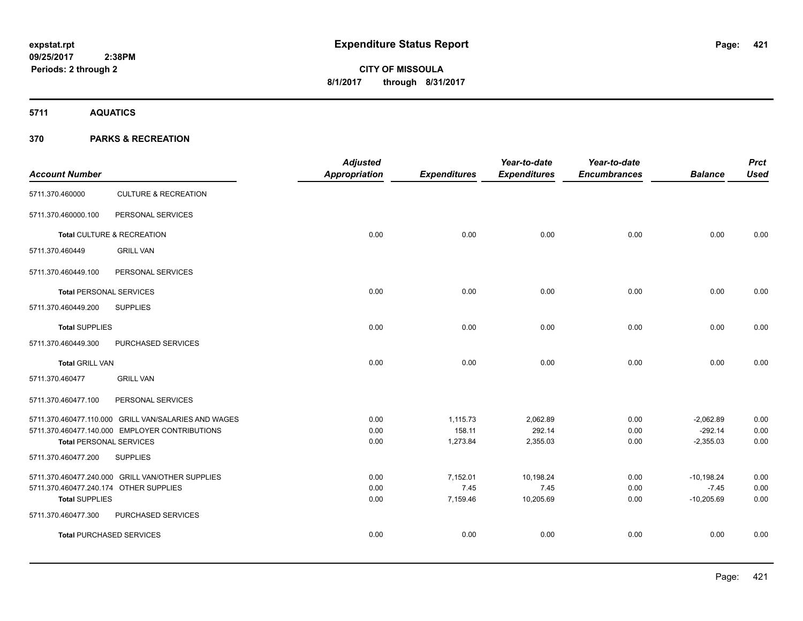**Periods: 2 through 2**

# **CITY OF MISSOULA 8/1/2017 through 8/31/2017**

**5711 AQUATICS**

|                                        |                                                      | <b>Adjusted</b> |                     | Year-to-date        | Year-to-date        |                | <b>Prct</b> |
|----------------------------------------|------------------------------------------------------|-----------------|---------------------|---------------------|---------------------|----------------|-------------|
| <b>Account Number</b>                  |                                                      | Appropriation   | <b>Expenditures</b> | <b>Expenditures</b> | <b>Encumbrances</b> | <b>Balance</b> | <b>Used</b> |
| 5711.370.460000                        | <b>CULTURE &amp; RECREATION</b>                      |                 |                     |                     |                     |                |             |
| 5711.370.460000.100                    | PERSONAL SERVICES                                    |                 |                     |                     |                     |                |             |
|                                        | Total CULTURE & RECREATION                           | 0.00            | 0.00                | 0.00                | 0.00                | 0.00           | 0.00        |
| 5711.370.460449                        | <b>GRILL VAN</b>                                     |                 |                     |                     |                     |                |             |
| 5711.370.460449.100                    | PERSONAL SERVICES                                    |                 |                     |                     |                     |                |             |
| <b>Total PERSONAL SERVICES</b>         |                                                      | 0.00            | 0.00                | 0.00                | 0.00                | 0.00           | 0.00        |
| 5711.370.460449.200                    | <b>SUPPLIES</b>                                      |                 |                     |                     |                     |                |             |
| <b>Total SUPPLIES</b>                  |                                                      | 0.00            | 0.00                | 0.00                | 0.00                | 0.00           | 0.00        |
| 5711.370.460449.300                    | PURCHASED SERVICES                                   |                 |                     |                     |                     |                |             |
| <b>Total GRILL VAN</b>                 |                                                      | 0.00            | 0.00                | 0.00                | 0.00                | 0.00           | 0.00        |
| 5711.370.460477                        | <b>GRILL VAN</b>                                     |                 |                     |                     |                     |                |             |
| 5711.370.460477.100                    | PERSONAL SERVICES                                    |                 |                     |                     |                     |                |             |
|                                        | 5711.370.460477.110.000 GRILL VAN/SALARIES AND WAGES | 0.00            | 1,115.73            | 2,062.89            | 0.00                | $-2,062.89$    | 0.00        |
|                                        | 5711.370.460477.140.000 EMPLOYER CONTRIBUTIONS       | 0.00            | 158.11              | 292.14              | 0.00                | $-292.14$      | 0.00        |
| <b>Total PERSONAL SERVICES</b>         |                                                      | 0.00            | 1,273.84            | 2,355.03            | 0.00                | $-2,355.03$    | 0.00        |
| 5711.370.460477.200                    | <b>SUPPLIES</b>                                      |                 |                     |                     |                     |                |             |
|                                        | 5711.370.460477.240.000 GRILL VAN/OTHER SUPPLIES     | 0.00            | 7,152.01            | 10,198.24           | 0.00                | $-10,198.24$   | 0.00        |
| 5711.370.460477.240.174 OTHER SUPPLIES |                                                      | 0.00            | 7.45                | 7.45                | 0.00                | $-7.45$        | 0.00        |
| <b>Total SUPPLIES</b>                  |                                                      | 0.00            | 7,159.46            | 10,205.69           | 0.00                | $-10,205.69$   | 0.00        |
| 5711.370.460477.300                    | PURCHASED SERVICES                                   |                 |                     |                     |                     |                |             |
| <b>Total PURCHASED SERVICES</b>        |                                                      | 0.00            | 0.00                | 0.00                | 0.00                | 0.00           | 0.00        |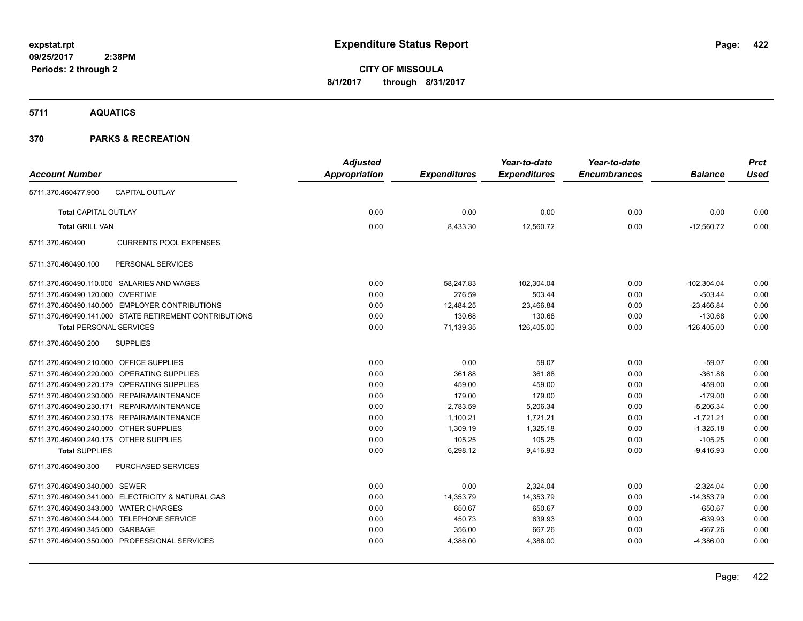**CITY OF MISSOULA 8/1/2017 through 8/31/2017**

**5711 AQUATICS**

| <b>Account Number</b>                                  | <b>Adjusted</b><br><b>Appropriation</b> | <b>Expenditures</b> | Year-to-date<br><b>Expenditures</b> | Year-to-date<br><b>Encumbrances</b> | <b>Balance</b> | <b>Prct</b><br><b>Used</b> |
|--------------------------------------------------------|-----------------------------------------|---------------------|-------------------------------------|-------------------------------------|----------------|----------------------------|
| <b>CAPITAL OUTLAY</b><br>5711.370.460477.900           |                                         |                     |                                     |                                     |                |                            |
| <b>Total CAPITAL OUTLAY</b>                            | 0.00                                    | 0.00                | 0.00                                | 0.00                                | 0.00           | 0.00                       |
| <b>Total GRILL VAN</b>                                 | 0.00                                    | 8,433.30            | 12,560.72                           | 0.00                                | $-12,560.72$   | 0.00                       |
| <b>CURRENTS POOL EXPENSES</b><br>5711.370.460490       |                                         |                     |                                     |                                     |                |                            |
| 5711.370.460490.100<br>PERSONAL SERVICES               |                                         |                     |                                     |                                     |                |                            |
| 5711.370.460490.110.000 SALARIES AND WAGES             | 0.00                                    | 58,247.83           | 102,304.04                          | 0.00                                | $-102,304.04$  | 0.00                       |
| 5711.370.460490.120.000 OVERTIME                       | 0.00                                    | 276.59              | 503.44                              | 0.00                                | $-503.44$      | 0.00                       |
| 5711.370.460490.140.000 EMPLOYER CONTRIBUTIONS         | 0.00                                    | 12,484.25           | 23,466.84                           | 0.00                                | $-23,466.84$   | 0.00                       |
| 5711.370.460490.141.000 STATE RETIREMENT CONTRIBUTIONS | 0.00                                    | 130.68              | 130.68                              | 0.00                                | $-130.68$      | 0.00                       |
| <b>Total PERSONAL SERVICES</b>                         | 0.00                                    | 71,139.35           | 126,405.00                          | 0.00                                | $-126,405.00$  | 0.00                       |
| 5711.370.460490.200<br><b>SUPPLIES</b>                 |                                         |                     |                                     |                                     |                |                            |
| 5711.370.460490.210.000 OFFICE SUPPLIES                | 0.00                                    | 0.00                | 59.07                               | 0.00                                | $-59.07$       | 0.00                       |
| 5711.370.460490.220.000 OPERATING SUPPLIES             | 0.00                                    | 361.88              | 361.88                              | 0.00                                | $-361.88$      | 0.00                       |
| 5711.370.460490.220.179 OPERATING SUPPLIES             | 0.00                                    | 459.00              | 459.00                              | 0.00                                | $-459.00$      | 0.00                       |
| 5711.370.460490.230.000 REPAIR/MAINTENANCE             | 0.00                                    | 179.00              | 179.00                              | 0.00                                | $-179.00$      | 0.00                       |
| 5711.370.460490.230.171 REPAIR/MAINTENANCE             | 0.00                                    | 2,783.59            | 5,206.34                            | 0.00                                | $-5,206.34$    | 0.00                       |
| 5711.370.460490.230.178 REPAIR/MAINTENANCE             | 0.00                                    | 1.100.21            | 1.721.21                            | 0.00                                | $-1,721.21$    | 0.00                       |
| 5711.370.460490.240.000 OTHER SUPPLIES                 | 0.00                                    | 1,309.19            | 1.325.18                            | 0.00                                | $-1,325.18$    | 0.00                       |
| 5711.370.460490.240.175 OTHER SUPPLIES                 | 0.00                                    | 105.25              | 105.25                              | 0.00                                | $-105.25$      | 0.00                       |
| <b>Total SUPPLIES</b>                                  | 0.00                                    | 6,298.12            | 9,416.93                            | 0.00                                | $-9,416.93$    | 0.00                       |
| <b>PURCHASED SERVICES</b><br>5711.370.460490.300       |                                         |                     |                                     |                                     |                |                            |
| 5711.370.460490.340.000 SEWER                          | 0.00                                    | 0.00                | 2.324.04                            | 0.00                                | $-2,324.04$    | 0.00                       |
| 5711.370.460490.341.000 ELECTRICITY & NATURAL GAS      | 0.00                                    | 14,353.79           | 14,353.79                           | 0.00                                | $-14,353.79$   | 0.00                       |
| 5711.370.460490.343.000 WATER CHARGES                  | 0.00                                    | 650.67              | 650.67                              | 0.00                                | $-650.67$      | 0.00                       |
| 5711.370.460490.344.000 TELEPHONE SERVICE              | 0.00                                    | 450.73              | 639.93                              | 0.00                                | $-639.93$      | 0.00                       |
| 5711.370.460490.345.000 GARBAGE                        | 0.00                                    | 356.00              | 667.26                              | 0.00                                | $-667.26$      | 0.00                       |
| 5711.370.460490.350.000 PROFESSIONAL SERVICES          | 0.00                                    | 4,386.00            | 4,386.00                            | 0.00                                | $-4,386.00$    | 0.00                       |
|                                                        |                                         |                     |                                     |                                     |                |                            |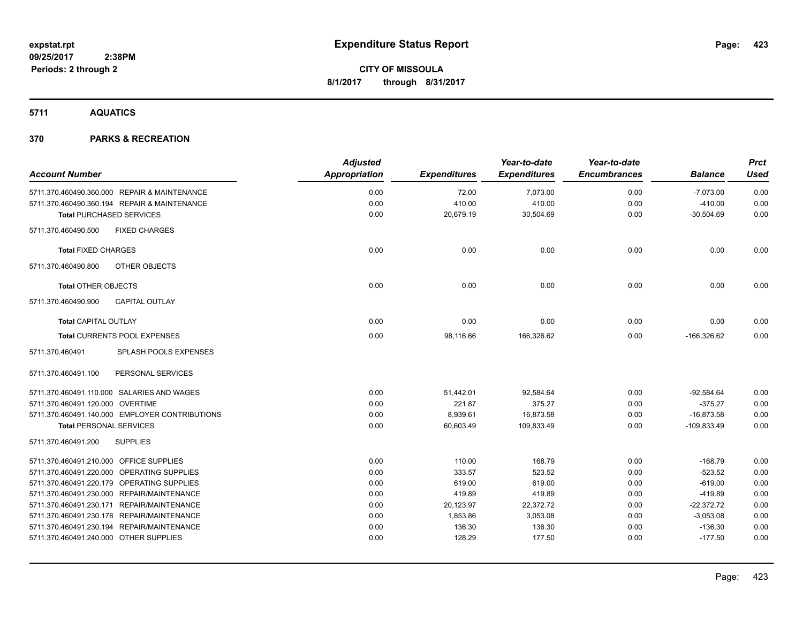### **5711 AQUATICS**

| <b>Account Number</b>                           | <b>Adjusted</b><br>Appropriation | <b>Expenditures</b> | Year-to-date<br><b>Expenditures</b> | Year-to-date<br><b>Encumbrances</b> | <b>Balance</b> | <b>Prct</b><br><b>Used</b> |
|-------------------------------------------------|----------------------------------|---------------------|-------------------------------------|-------------------------------------|----------------|----------------------------|
| 5711.370.460490.360.000 REPAIR & MAINTENANCE    | 0.00                             | 72.00               | 7,073.00                            | 0.00                                | $-7,073.00$    | 0.00                       |
| 5711.370.460490.360.194 REPAIR & MAINTENANCE    | 0.00                             | 410.00              | 410.00                              | 0.00                                | $-410.00$      | 0.00                       |
| <b>Total PURCHASED SERVICES</b>                 | 0.00                             | 20,679.19           | 30,504.69                           | 0.00                                | $-30,504.69$   | 0.00                       |
| <b>FIXED CHARGES</b><br>5711.370.460490.500     |                                  |                     |                                     |                                     |                |                            |
| <b>Total FIXED CHARGES</b>                      | 0.00                             | 0.00                | 0.00                                | 0.00                                | 0.00           | 0.00                       |
| OTHER OBJECTS<br>5711.370.460490.800            |                                  |                     |                                     |                                     |                |                            |
| <b>Total OTHER OBJECTS</b>                      | 0.00                             | 0.00                | 0.00                                | 0.00                                | 0.00           | 0.00                       |
| 5711.370.460490.900<br><b>CAPITAL OUTLAY</b>    |                                  |                     |                                     |                                     |                |                            |
| <b>Total CAPITAL OUTLAY</b>                     | 0.00                             | 0.00                | 0.00                                | 0.00                                | 0.00           | 0.00                       |
| <b>Total CURRENTS POOL EXPENSES</b>             | 0.00                             | 98,116.66           | 166,326.62                          | 0.00                                | $-166,326.62$  | 0.00                       |
| <b>SPLASH POOLS EXPENSES</b><br>5711.370.460491 |                                  |                     |                                     |                                     |                |                            |
| 5711.370.460491.100<br>PERSONAL SERVICES        |                                  |                     |                                     |                                     |                |                            |
| 5711.370.460491.110.000 SALARIES AND WAGES      | 0.00                             | 51,442.01           | 92,584.64                           | 0.00                                | $-92,584.64$   | 0.00                       |
| 5711.370.460491.120.000 OVERTIME                | 0.00                             | 221.87              | 375.27                              | 0.00                                | $-375.27$      | 0.00                       |
| 5711.370.460491.140.000 EMPLOYER CONTRIBUTIONS  | 0.00                             | 8,939.61            | 16,873.58                           | 0.00                                | $-16,873.58$   | 0.00                       |
| <b>Total PERSONAL SERVICES</b>                  | 0.00                             | 60,603.49           | 109,833.49                          | 0.00                                | $-109,833.49$  | 0.00                       |
| <b>SUPPLIES</b><br>5711.370.460491.200          |                                  |                     |                                     |                                     |                |                            |
| 5711.370.460491.210.000 OFFICE SUPPLIES         | 0.00                             | 110.00              | 168.79                              | 0.00                                | $-168.79$      | 0.00                       |
| 5711.370.460491.220.000 OPERATING SUPPLIES      | 0.00                             | 333.57              | 523.52                              | 0.00                                | $-523.52$      | 0.00                       |
| 5711.370.460491.220.179 OPERATING SUPPLIES      | 0.00                             | 619.00              | 619.00                              | 0.00                                | $-619.00$      | 0.00                       |
| 5711.370.460491.230.000 REPAIR/MAINTENANCE      | 0.00                             | 419.89              | 419.89                              | 0.00                                | $-419.89$      | 0.00                       |
| 5711.370.460491.230.171 REPAIR/MAINTENANCE      | 0.00                             | 20,123.97           | 22,372.72                           | 0.00                                | $-22,372.72$   | 0.00                       |
| 5711.370.460491.230.178 REPAIR/MAINTENANCE      | 0.00                             | 1,853.86            | 3,053.08                            | 0.00                                | $-3,053.08$    | 0.00                       |
| 5711.370.460491.230.194 REPAIR/MAINTENANCE      | 0.00                             | 136.30              | 136.30                              | 0.00                                | $-136.30$      | 0.00                       |
| 5711.370.460491.240.000 OTHER SUPPLIES          | 0.00                             | 128.29              | 177.50                              | 0.00                                | $-177.50$      | 0.00                       |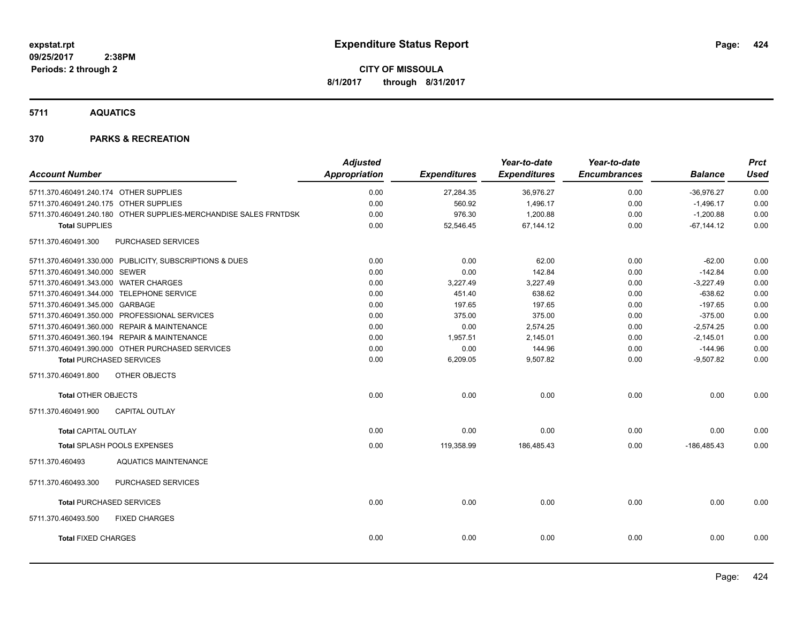**5711 AQUATICS**

|                                           |                                                                  | <b>Adjusted</b> |                     | Year-to-date        | Year-to-date        |                | <b>Prct</b> |
|-------------------------------------------|------------------------------------------------------------------|-----------------|---------------------|---------------------|---------------------|----------------|-------------|
| <b>Account Number</b>                     |                                                                  | Appropriation   | <b>Expenditures</b> | <b>Expenditures</b> | <b>Encumbrances</b> | <b>Balance</b> | <b>Used</b> |
| 5711.370.460491.240.174 OTHER SUPPLIES    |                                                                  | 0.00            | 27,284.35           | 36,976.27           | 0.00                | $-36,976.27$   | 0.00        |
| 5711.370.460491.240.175 OTHER SUPPLIES    |                                                                  | 0.00            | 560.92              | 1,496.17            | 0.00                | $-1,496.17$    | 0.00        |
|                                           | 5711.370.460491.240.180 OTHER SUPPLIES-MERCHANDISE SALES FRNTDSK | 0.00            | 976.30              | 1,200.88            | 0.00                | $-1,200.88$    | 0.00        |
| <b>Total SUPPLIES</b>                     |                                                                  | 0.00            | 52,546.45           | 67,144.12           | 0.00                | $-67, 144.12$  | 0.00        |
| 5711.370.460491.300                       | <b>PURCHASED SERVICES</b>                                        |                 |                     |                     |                     |                |             |
|                                           | 5711.370.460491.330.000 PUBLICITY, SUBSCRIPTIONS & DUES          | 0.00            | 0.00                | 62.00               | 0.00                | $-62.00$       | 0.00        |
| 5711.370.460491.340.000 SEWER             |                                                                  | 0.00            | 0.00                | 142.84              | 0.00                | $-142.84$      | 0.00        |
| 5711.370.460491.343.000 WATER CHARGES     |                                                                  | 0.00            | 3,227.49            | 3,227.49            | 0.00                | $-3,227.49$    | 0.00        |
| 5711.370.460491.344.000 TELEPHONE SERVICE |                                                                  | 0.00            | 451.40              | 638.62              | 0.00                | $-638.62$      | 0.00        |
| 5711.370.460491.345.000 GARBAGE           |                                                                  | 0.00            | 197.65              | 197.65              | 0.00                | $-197.65$      | 0.00        |
|                                           | 5711.370.460491.350.000 PROFESSIONAL SERVICES                    | 0.00            | 375.00              | 375.00              | 0.00                | $-375.00$      | 0.00        |
|                                           | 5711.370.460491.360.000 REPAIR & MAINTENANCE                     | 0.00            | 0.00                | 2,574.25            | 0.00                | $-2,574.25$    | 0.00        |
|                                           | 5711.370.460491.360.194 REPAIR & MAINTENANCE                     | 0.00            | 1,957.51            | 2,145.01            | 0.00                | $-2,145.01$    | 0.00        |
|                                           | 5711.370.460491.390.000 OTHER PURCHASED SERVICES                 | 0.00            | 0.00                | 144.96              | 0.00                | $-144.96$      | 0.00        |
| <b>Total PURCHASED SERVICES</b>           |                                                                  | 0.00            | 6,209.05            | 9,507.82            | 0.00                | $-9,507.82$    | 0.00        |
| 5711.370.460491.800                       | OTHER OBJECTS                                                    |                 |                     |                     |                     |                |             |
| <b>Total OTHER OBJECTS</b>                |                                                                  | 0.00            | 0.00                | 0.00                | 0.00                | 0.00           | 0.00        |
| 5711.370.460491.900                       | <b>CAPITAL OUTLAY</b>                                            |                 |                     |                     |                     |                |             |
| <b>Total CAPITAL OUTLAY</b>               |                                                                  | 0.00            | 0.00                | 0.00                | 0.00                | 0.00           | 0.00        |
|                                           | Total SPLASH POOLS EXPENSES                                      | 0.00            | 119,358.99          | 186,485.43          | 0.00                | $-186,485.43$  | 0.00        |
| 5711.370.460493                           | <b>AQUATICS MAINTENANCE</b>                                      |                 |                     |                     |                     |                |             |
| 5711.370.460493.300                       | PURCHASED SERVICES                                               |                 |                     |                     |                     |                |             |
| <b>Total PURCHASED SERVICES</b>           |                                                                  | 0.00            | 0.00                | 0.00                | 0.00                | 0.00           | 0.00        |
| 5711.370.460493.500                       | <b>FIXED CHARGES</b>                                             |                 |                     |                     |                     |                |             |
| <b>Total FIXED CHARGES</b>                |                                                                  | 0.00            | 0.00                | 0.00                | 0.00                | 0.00           | 0.00        |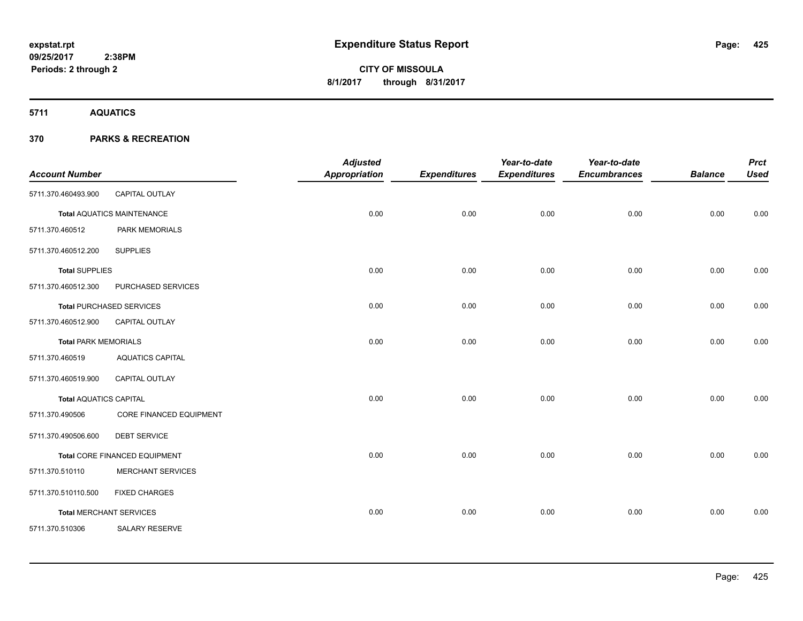**5711 AQUATICS**

|                               |                                   | <b>Adjusted</b>      |                     | Year-to-date        | Year-to-date        |                | <b>Prct</b> |
|-------------------------------|-----------------------------------|----------------------|---------------------|---------------------|---------------------|----------------|-------------|
| <b>Account Number</b>         |                                   | <b>Appropriation</b> | <b>Expenditures</b> | <b>Expenditures</b> | <b>Encumbrances</b> | <b>Balance</b> | <b>Used</b> |
| 5711.370.460493.900           | <b>CAPITAL OUTLAY</b>             |                      |                     |                     |                     |                |             |
|                               | <b>Total AQUATICS MAINTENANCE</b> | 0.00                 | 0.00                | 0.00                | 0.00                | 0.00           | 0.00        |
| 5711.370.460512               | PARK MEMORIALS                    |                      |                     |                     |                     |                |             |
| 5711.370.460512.200           | <b>SUPPLIES</b>                   |                      |                     |                     |                     |                |             |
| <b>Total SUPPLIES</b>         |                                   | 0.00                 | 0.00                | 0.00                | 0.00                | 0.00           | 0.00        |
| 5711.370.460512.300           | PURCHASED SERVICES                |                      |                     |                     |                     |                |             |
|                               | <b>Total PURCHASED SERVICES</b>   | 0.00                 | 0.00                | 0.00                | 0.00                | 0.00           | 0.00        |
| 5711.370.460512.900           | CAPITAL OUTLAY                    |                      |                     |                     |                     |                |             |
| <b>Total PARK MEMORIALS</b>   |                                   | 0.00                 | 0.00                | 0.00                | 0.00                | 0.00           | 0.00        |
| 5711.370.460519               | <b>AQUATICS CAPITAL</b>           |                      |                     |                     |                     |                |             |
| 5711.370.460519.900           | CAPITAL OUTLAY                    |                      |                     |                     |                     |                |             |
| <b>Total AQUATICS CAPITAL</b> |                                   | 0.00                 | 0.00                | 0.00                | 0.00                | 0.00           | 0.00        |
| 5711.370.490506               | CORE FINANCED EQUIPMENT           |                      |                     |                     |                     |                |             |
| 5711.370.490506.600           | <b>DEBT SERVICE</b>               |                      |                     |                     |                     |                |             |
|                               | Total CORE FINANCED EQUIPMENT     | 0.00                 | 0.00                | 0.00                | 0.00                | 0.00           | 0.00        |
| 5711.370.510110               | <b>MERCHANT SERVICES</b>          |                      |                     |                     |                     |                |             |
| 5711.370.510110.500           | <b>FIXED CHARGES</b>              |                      |                     |                     |                     |                |             |
|                               | <b>Total MERCHANT SERVICES</b>    | 0.00                 | 0.00                | 0.00                | 0.00                | 0.00           | 0.00        |
| 5711.370.510306               | SALARY RESERVE                    |                      |                     |                     |                     |                |             |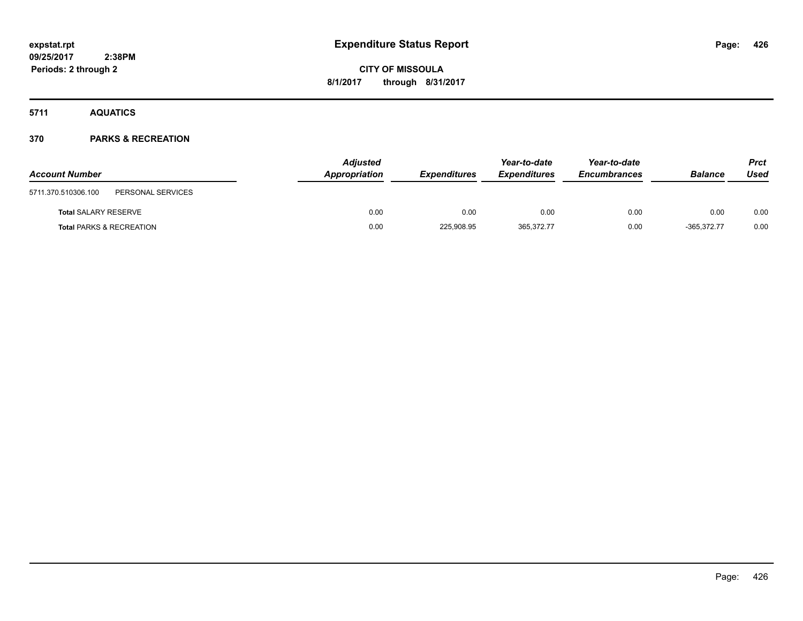**5711 AQUATICS**

| <b>Account Number</b>                    | <b>Adjusted</b><br>Appropriation | <b>Expenditures</b> | Year-to-date<br><b>Expenditures</b> | Year-to-date<br><b>Encumbrances</b> | <b>Balance</b> | <b>Prct</b><br>Used |
|------------------------------------------|----------------------------------|---------------------|-------------------------------------|-------------------------------------|----------------|---------------------|
| 5711.370.510306.100<br>PERSONAL SERVICES |                                  |                     |                                     |                                     |                |                     |
| <b>Total SALARY RESERVE</b>              | 0.00                             | 0.00                | 0.00                                | 0.00                                | 0.00           | 0.00                |
| <b>Total PARKS &amp; RECREATION</b>      | 0.00                             | 225,908.95          | 365,372.77                          | 0.00                                | $-365,372.77$  | 0.00                |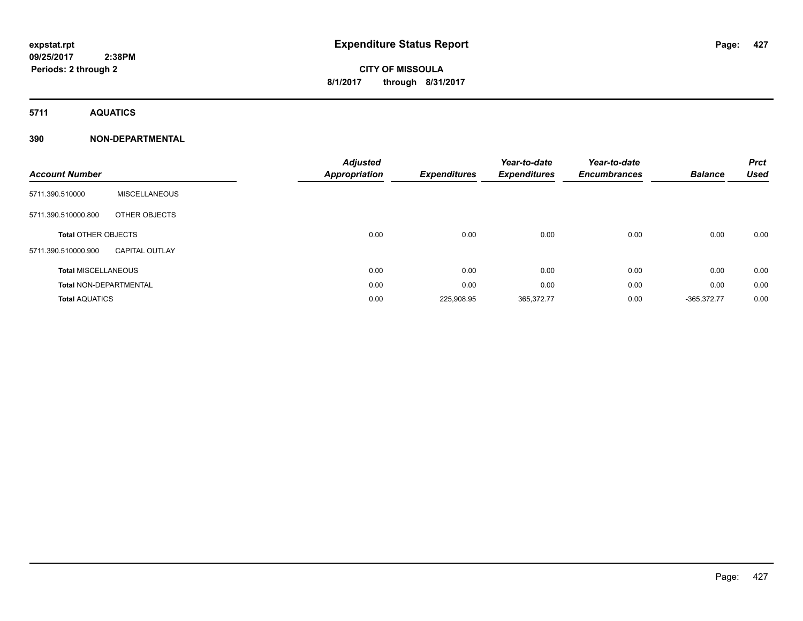**5711 AQUATICS**

### **390 NON-DEPARTMENTAL**

| <b>Account Number</b>         |                       | <b>Adjusted</b><br><b>Appropriation</b> | <b>Expenditures</b> | Year-to-date<br><b>Expenditures</b> | Year-to-date<br><b>Encumbrances</b> | <b>Balance</b> | <b>Prct</b><br><b>Used</b> |
|-------------------------------|-----------------------|-----------------------------------------|---------------------|-------------------------------------|-------------------------------------|----------------|----------------------------|
| 5711.390.510000               | MISCELLANEOUS         |                                         |                     |                                     |                                     |                |                            |
| 5711.390.510000.800           | <b>OTHER OBJECTS</b>  |                                         |                     |                                     |                                     |                |                            |
| <b>Total OTHER OBJECTS</b>    |                       | 0.00                                    | 0.00                | 0.00                                | 0.00                                | 0.00           | 0.00                       |
| 5711.390.510000.900           | <b>CAPITAL OUTLAY</b> |                                         |                     |                                     |                                     |                |                            |
| <b>Total MISCELLANEOUS</b>    |                       | 0.00                                    | 0.00                | 0.00                                | 0.00                                | 0.00           | 0.00                       |
| <b>Total NON-DEPARTMENTAL</b> |                       | 0.00                                    | 0.00                | 0.00                                | 0.00                                | 0.00           | 0.00                       |
| <b>Total AQUATICS</b>         |                       | 0.00                                    | 225,908.95          | 365,372.77                          | 0.00                                | $-365,372.77$  | 0.00                       |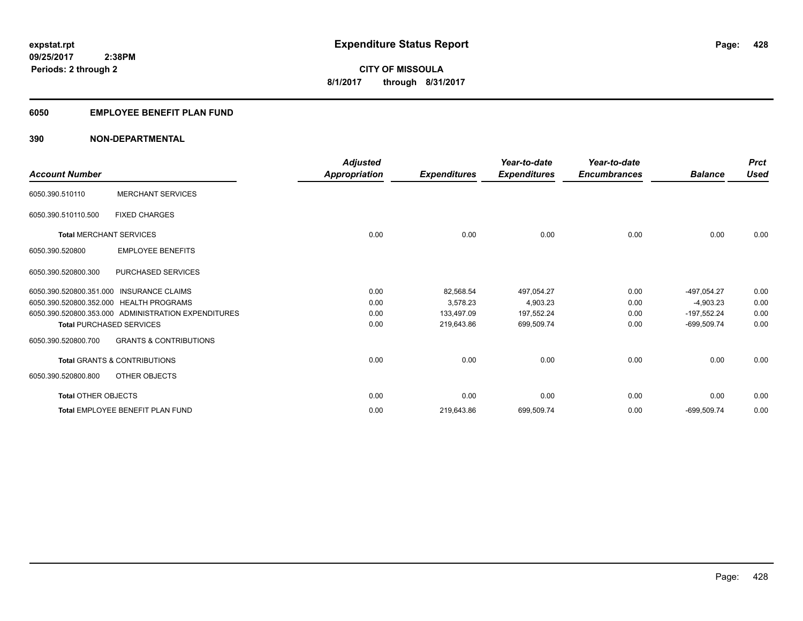#### **6050 EMPLOYEE BENEFIT PLAN FUND**

#### **390 NON-DEPARTMENTAL**

| <b>Account Number</b>      |                                                     | <b>Adjusted</b><br>Appropriation | <b>Expenditures</b> | Year-to-date<br><b>Expenditures</b> | Year-to-date<br><b>Encumbrances</b> | <b>Balance</b> | <b>Prct</b><br><b>Used</b> |
|----------------------------|-----------------------------------------------------|----------------------------------|---------------------|-------------------------------------|-------------------------------------|----------------|----------------------------|
| 6050.390.510110            | <b>MERCHANT SERVICES</b>                            |                                  |                     |                                     |                                     |                |                            |
| 6050.390.510110.500        | <b>FIXED CHARGES</b>                                |                                  |                     |                                     |                                     |                |                            |
|                            | <b>Total MERCHANT SERVICES</b>                      | 0.00                             | 0.00                | 0.00                                | 0.00                                | 0.00           | 0.00                       |
| 6050.390.520800            | <b>EMPLOYEE BENEFITS</b>                            |                                  |                     |                                     |                                     |                |                            |
| 6050.390.520800.300        | PURCHASED SERVICES                                  |                                  |                     |                                     |                                     |                |                            |
|                            | 6050.390.520800.351.000 INSURANCE CLAIMS            | 0.00                             | 82,568.54           | 497,054.27                          | 0.00                                | -497,054.27    | 0.00                       |
|                            | 6050.390.520800.352.000 HEALTH PROGRAMS             | 0.00                             | 3,578.23            | 4,903.23                            | 0.00                                | $-4,903.23$    | 0.00                       |
|                            | 6050.390.520800.353.000 ADMINISTRATION EXPENDITURES | 0.00                             | 133,497.09          | 197,552.24                          | 0.00                                | -197,552.24    | 0.00                       |
|                            | <b>Total PURCHASED SERVICES</b>                     | 0.00                             | 219.643.86          | 699.509.74                          | 0.00                                | $-699.509.74$  | 0.00                       |
| 6050.390.520800.700        | <b>GRANTS &amp; CONTRIBUTIONS</b>                   |                                  |                     |                                     |                                     |                |                            |
|                            | <b>Total GRANTS &amp; CONTRIBUTIONS</b>             | 0.00                             | 0.00                | 0.00                                | 0.00                                | 0.00           | 0.00                       |
| 6050.390.520800.800        | OTHER OBJECTS                                       |                                  |                     |                                     |                                     |                |                            |
| <b>Total OTHER OBJECTS</b> |                                                     | 0.00                             | 0.00                | 0.00                                | 0.00                                | 0.00           | 0.00                       |
|                            | <b>Total EMPLOYEE BENEFIT PLAN FUND</b>             | 0.00                             | 219,643.86          | 699,509.74                          | 0.00                                | $-699,509.74$  | 0.00                       |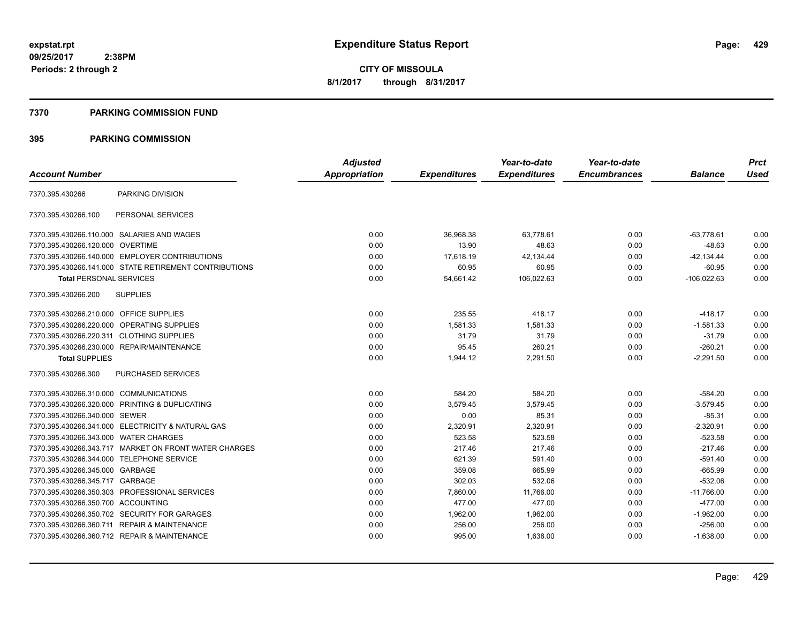#### **7370 PARKING COMMISSION FUND**

#### **395 PARKING COMMISSION**

|                                           |                                                        | <b>Adjusted</b>      |                     | Year-to-date        | Year-to-date        |                | <b>Prct</b> |
|-------------------------------------------|--------------------------------------------------------|----------------------|---------------------|---------------------|---------------------|----------------|-------------|
| <b>Account Number</b>                     |                                                        | <b>Appropriation</b> | <b>Expenditures</b> | <b>Expenditures</b> | <b>Encumbrances</b> | <b>Balance</b> | <b>Used</b> |
| 7370.395.430266                           | PARKING DIVISION                                       |                      |                     |                     |                     |                |             |
| 7370.395.430266.100                       | PERSONAL SERVICES                                      |                      |                     |                     |                     |                |             |
|                                           | 7370.395.430266.110.000 SALARIES AND WAGES             | 0.00                 | 36,968.38           | 63,778.61           | 0.00                | $-63,778.61$   | 0.00        |
| 7370.395.430266.120.000 OVERTIME          |                                                        | 0.00                 | 13.90               | 48.63               | 0.00                | $-48.63$       | 0.00        |
|                                           | 7370.395.430266.140.000 EMPLOYER CONTRIBUTIONS         | 0.00                 | 17,618.19           | 42,134.44           | 0.00                | $-42, 134.44$  | 0.00        |
|                                           | 7370.395.430266.141.000 STATE RETIREMENT CONTRIBUTIONS | 0.00                 | 60.95               | 60.95               | 0.00                | $-60.95$       | 0.00        |
| <b>Total PERSONAL SERVICES</b>            |                                                        | 0.00                 | 54,661.42           | 106,022.63          | 0.00                | $-106,022.63$  | 0.00        |
| 7370.395.430266.200                       | <b>SUPPLIES</b>                                        |                      |                     |                     |                     |                |             |
| 7370.395.430266.210.000 OFFICE SUPPLIES   |                                                        | 0.00                 | 235.55              | 418.17              | 0.00                | $-418.17$      | 0.00        |
|                                           | 7370.395.430266.220.000 OPERATING SUPPLIES             | 0.00                 | 1.581.33            | 1.581.33            | 0.00                | $-1,581.33$    | 0.00        |
| 7370.395.430266.220.311 CLOTHING SUPPLIES |                                                        | 0.00                 | 31.79               | 31.79               | 0.00                | $-31.79$       | 0.00        |
|                                           | 7370.395.430266.230.000 REPAIR/MAINTENANCE             | 0.00                 | 95.45               | 260.21              | 0.00                | $-260.21$      | 0.00        |
| <b>Total SUPPLIES</b>                     |                                                        | 0.00                 | 1,944.12            | 2,291.50            | 0.00                | $-2,291.50$    | 0.00        |
| 7370.395.430266.300                       | <b>PURCHASED SERVICES</b>                              |                      |                     |                     |                     |                |             |
| 7370.395.430266.310.000 COMMUNICATIONS    |                                                        | 0.00                 | 584.20              | 584.20              | 0.00                | $-584.20$      | 0.00        |
|                                           | 7370.395.430266.320.000 PRINTING & DUPLICATING         | 0.00                 | 3,579.45            | 3,579.45            | 0.00                | $-3,579.45$    | 0.00        |
| 7370.395.430266.340.000 SEWER             |                                                        | 0.00                 | 0.00                | 85.31               | 0.00                | $-85.31$       | 0.00        |
|                                           | 7370.395.430266.341.000 ELECTRICITY & NATURAL GAS      | 0.00                 | 2,320.91            | 2,320.91            | 0.00                | $-2,320.91$    | 0.00        |
| 7370.395.430266.343.000 WATER CHARGES     |                                                        | 0.00                 | 523.58              | 523.58              | 0.00                | $-523.58$      | 0.00        |
|                                           | 7370.395.430266.343.717 MARKET ON FRONT WATER CHARGES  | 0.00                 | 217.46              | 217.46              | 0.00                | $-217.46$      | 0.00        |
|                                           | 7370.395.430266.344.000 TELEPHONE SERVICE              | 0.00                 | 621.39              | 591.40              | 0.00                | $-591.40$      | 0.00        |
| 7370.395.430266.345.000 GARBAGE           |                                                        | 0.00                 | 359.08              | 665.99              | 0.00                | $-665.99$      | 0.00        |
| 7370.395.430266.345.717 GARBAGE           |                                                        | 0.00                 | 302.03              | 532.06              | 0.00                | $-532.06$      | 0.00        |
|                                           | 7370.395.430266.350.303 PROFESSIONAL SERVICES          | 0.00                 | 7,860.00            | 11,766.00           | 0.00                | $-11,766.00$   | 0.00        |
| 7370.395.430266.350.700 ACCOUNTING        |                                                        | 0.00                 | 477.00              | 477.00              | 0.00                | $-477.00$      | 0.00        |
|                                           | 7370.395.430266.350.702 SECURITY FOR GARAGES           | 0.00                 | 1,962.00            | 1,962.00            | 0.00                | $-1,962.00$    | 0.00        |
|                                           | 7370.395.430266.360.711 REPAIR & MAINTENANCE           | 0.00                 | 256.00              | 256.00              | 0.00                | $-256.00$      | 0.00        |
|                                           | 7370.395.430266.360.712 REPAIR & MAINTENANCE           | 0.00                 | 995.00              | 1,638.00            | 0.00                | $-1,638.00$    | 0.00        |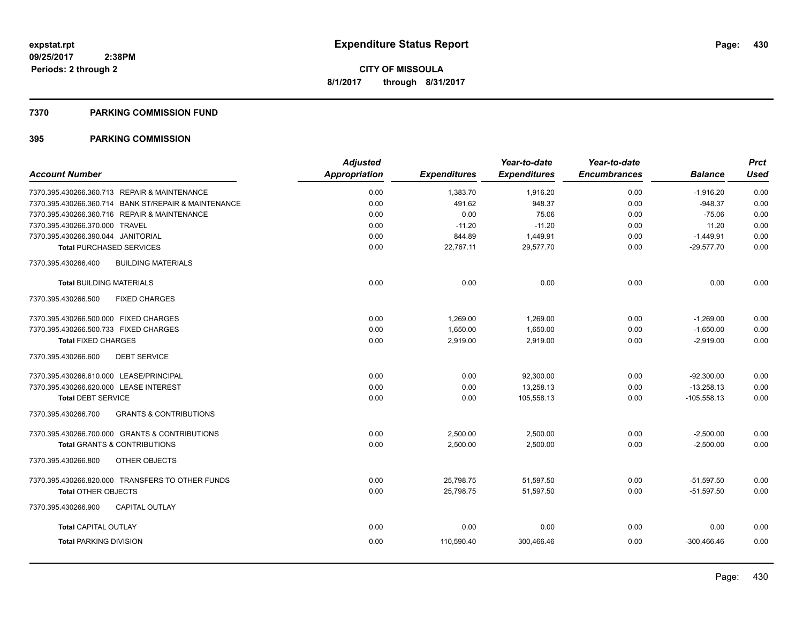#### **7370 PARKING COMMISSION FUND**

#### **395 PARKING COMMISSION**

|                                                          | <b>Adjusted</b> |                     | Year-to-date        | Year-to-date        |                | <b>Prct</b> |
|----------------------------------------------------------|-----------------|---------------------|---------------------|---------------------|----------------|-------------|
| <b>Account Number</b>                                    | Appropriation   | <b>Expenditures</b> | <b>Expenditures</b> | <b>Encumbrances</b> | <b>Balance</b> | <b>Used</b> |
| 7370.395.430266.360.713 REPAIR & MAINTENANCE             | 0.00            | 1,383.70            | 1,916.20            | 0.00                | $-1,916.20$    | 0.00        |
| 7370.395.430266.360.714 BANK ST/REPAIR & MAINTENANCE     | 0.00            | 491.62              | 948.37              | 0.00                | $-948.37$      | 0.00        |
| 7370.395.430266.360.716 REPAIR & MAINTENANCE             | 0.00            | 0.00                | 75.06               | 0.00                | $-75.06$       | 0.00        |
| 7370.395.430266.370.000 TRAVEL                           | 0.00            | $-11.20$            | $-11.20$            | 0.00                | 11.20          | 0.00        |
| 7370.395.430266.390.044 JANITORIAL                       | 0.00            | 844.89              | 1,449.91            | 0.00                | $-1,449.91$    | 0.00        |
| <b>Total PURCHASED SERVICES</b>                          | 0.00            | 22,767.11           | 29,577.70           | 0.00                | $-29,577.70$   | 0.00        |
| <b>BUILDING MATERIALS</b><br>7370.395.430266.400         |                 |                     |                     |                     |                |             |
| <b>Total BUILDING MATERIALS</b>                          | 0.00            | 0.00                | 0.00                | 0.00                | 0.00           | 0.00        |
| 7370.395.430266.500<br><b>FIXED CHARGES</b>              |                 |                     |                     |                     |                |             |
| 7370.395.430266.500.000 FIXED CHARGES                    | 0.00            | 1,269.00            | 1.269.00            | 0.00                | $-1,269.00$    | 0.00        |
| 7370.395.430266.500.733 FIXED CHARGES                    | 0.00            | 1,650.00            | 1,650.00            | 0.00                | $-1,650.00$    | 0.00        |
| <b>Total FIXED CHARGES</b>                               | 0.00            | 2,919.00            | 2,919.00            | 0.00                | $-2,919.00$    | 0.00        |
| 7370.395.430266.600<br><b>DEBT SERVICE</b>               |                 |                     |                     |                     |                |             |
| 7370.395.430266.610.000 LEASE/PRINCIPAL                  | 0.00            | 0.00                | 92,300.00           | 0.00                | $-92,300.00$   | 0.00        |
| 7370.395.430266.620.000 LEASE INTEREST                   | 0.00            | 0.00                | 13.258.13           | 0.00                | $-13.258.13$   | 0.00        |
| <b>Total DEBT SERVICE</b>                                | 0.00            | 0.00                | 105,558.13          | 0.00                | $-105,558.13$  | 0.00        |
| <b>GRANTS &amp; CONTRIBUTIONS</b><br>7370.395.430266.700 |                 |                     |                     |                     |                |             |
| 7370.395.430266.700.000 GRANTS & CONTRIBUTIONS           | 0.00            | 2,500.00            | 2,500.00            | 0.00                | $-2,500.00$    | 0.00        |
| <b>Total GRANTS &amp; CONTRIBUTIONS</b>                  | 0.00            | 2,500.00            | 2,500.00            | 0.00                | $-2,500.00$    | 0.00        |
| 7370.395.430266.800<br>OTHER OBJECTS                     |                 |                     |                     |                     |                |             |
| 7370.395.430266.820.000 TRANSFERS TO OTHER FUNDS         | 0.00            | 25,798.75           | 51,597.50           | 0.00                | $-51,597.50$   | 0.00        |
| <b>Total OTHER OBJECTS</b>                               | 0.00            | 25,798.75           | 51,597.50           | 0.00                | $-51,597.50$   | 0.00        |
| <b>CAPITAL OUTLAY</b><br>7370.395.430266.900             |                 |                     |                     |                     |                |             |
| <b>Total CAPITAL OUTLAY</b>                              | 0.00            | 0.00                | 0.00                | 0.00                | 0.00           | 0.00        |
| <b>Total PARKING DIVISION</b>                            | 0.00            | 110.590.40          | 300.466.46          | 0.00                | -300.466.46    | 0.00        |
|                                                          |                 |                     |                     |                     |                |             |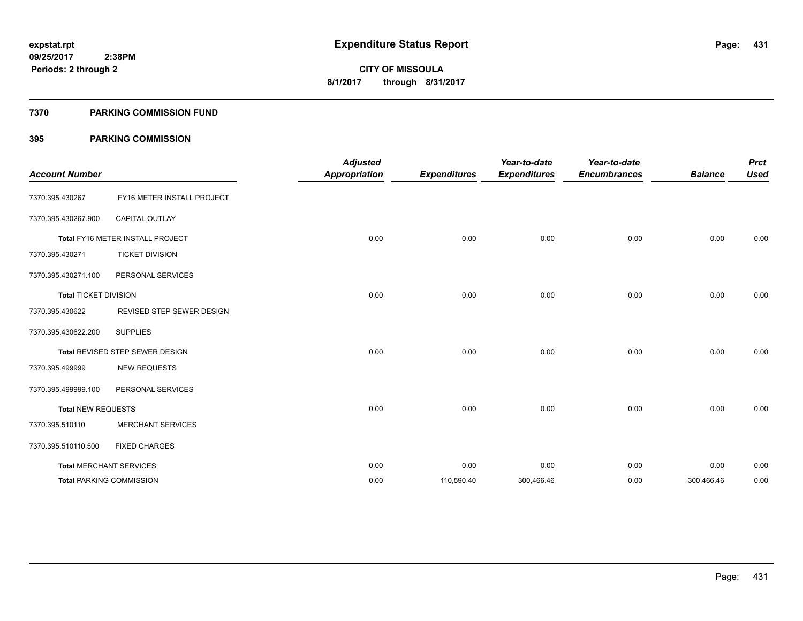#### **7370 PARKING COMMISSION FUND**

#### **395 PARKING COMMISSION**

| <b>Account Number</b>        |                                  | <b>Adjusted</b><br><b>Appropriation</b> | <b>Expenditures</b> | Year-to-date<br><b>Expenditures</b> | Year-to-date<br><b>Encumbrances</b> | <b>Balance</b> | Prct<br><b>Used</b> |
|------------------------------|----------------------------------|-----------------------------------------|---------------------|-------------------------------------|-------------------------------------|----------------|---------------------|
| 7370.395.430267              | FY16 METER INSTALL PROJECT       |                                         |                     |                                     |                                     |                |                     |
| 7370.395.430267.900          | <b>CAPITAL OUTLAY</b>            |                                         |                     |                                     |                                     |                |                     |
|                              | Total FY16 METER INSTALL PROJECT | 0.00                                    | 0.00                | 0.00                                | 0.00                                | 0.00           | 0.00                |
| 7370.395.430271              | <b>TICKET DIVISION</b>           |                                         |                     |                                     |                                     |                |                     |
| 7370.395.430271.100          | PERSONAL SERVICES                |                                         |                     |                                     |                                     |                |                     |
| <b>Total TICKET DIVISION</b> |                                  | 0.00                                    | 0.00                | 0.00                                | 0.00                                | 0.00           | 0.00                |
| 7370.395.430622              | REVISED STEP SEWER DESIGN        |                                         |                     |                                     |                                     |                |                     |
| 7370.395.430622.200          | <b>SUPPLIES</b>                  |                                         |                     |                                     |                                     |                |                     |
|                              | Total REVISED STEP SEWER DESIGN  | 0.00                                    | 0.00                | 0.00                                | 0.00                                | 0.00           | 0.00                |
| 7370.395.499999              | <b>NEW REQUESTS</b>              |                                         |                     |                                     |                                     |                |                     |
| 7370.395.499999.100          | PERSONAL SERVICES                |                                         |                     |                                     |                                     |                |                     |
| <b>Total NEW REQUESTS</b>    |                                  | 0.00                                    | 0.00                | 0.00                                | 0.00                                | 0.00           | 0.00                |
| 7370.395.510110              | <b>MERCHANT SERVICES</b>         |                                         |                     |                                     |                                     |                |                     |
| 7370.395.510110.500          | <b>FIXED CHARGES</b>             |                                         |                     |                                     |                                     |                |                     |
|                              | <b>Total MERCHANT SERVICES</b>   | 0.00                                    | 0.00                | 0.00                                | 0.00                                | 0.00           | 0.00                |
|                              | <b>Total PARKING COMMISSION</b>  | 0.00                                    | 110,590.40          | 300,466.46                          | 0.00                                | $-300,466.46$  | 0.00                |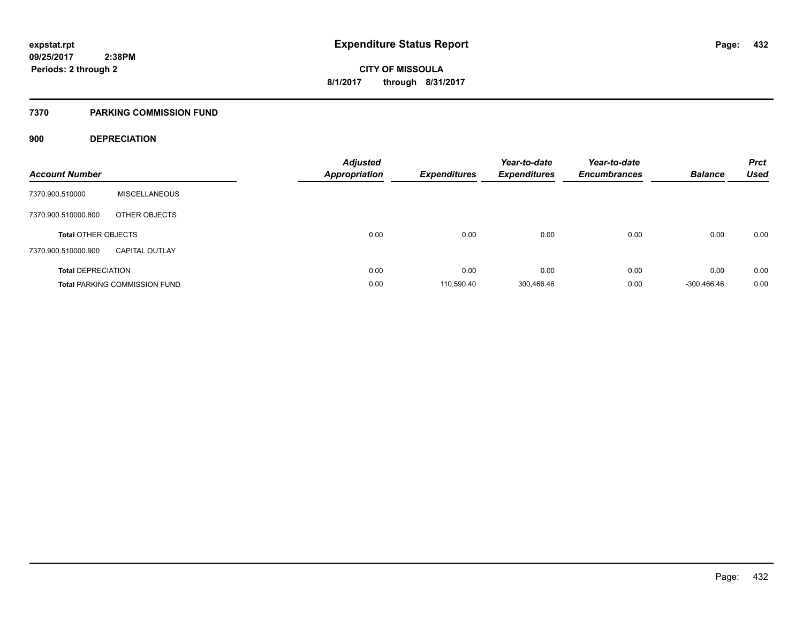#### **7370 PARKING COMMISSION FUND**

#### **900 DEPRECIATION**

| <b>Account Number</b>      |                                      | <b>Adjusted</b><br><b>Appropriation</b> | Expenditures | Year-to-date<br><b>Expenditures</b> | Year-to-date<br><b>Encumbrances</b> | <b>Balance</b> | <b>Prct</b><br><b>Used</b> |
|----------------------------|--------------------------------------|-----------------------------------------|--------------|-------------------------------------|-------------------------------------|----------------|----------------------------|
| 7370.900.510000            | <b>MISCELLANEOUS</b>                 |                                         |              |                                     |                                     |                |                            |
| 7370.900.510000.800        | OTHER OBJECTS                        |                                         |              |                                     |                                     |                |                            |
| <b>Total OTHER OBJECTS</b> |                                      | 0.00                                    | 0.00         | 0.00                                | 0.00                                | 0.00           | 0.00                       |
| 7370.900.510000.900        | <b>CAPITAL OUTLAY</b>                |                                         |              |                                     |                                     |                |                            |
| <b>Total DEPRECIATION</b>  |                                      | 0.00                                    | 0.00         | 0.00                                | 0.00                                | 0.00           | 0.00                       |
|                            | <b>Total PARKING COMMISSION FUND</b> | 0.00                                    | 110.590.40   | 300,466.46                          | 0.00                                | -300.466.46    | 0.00                       |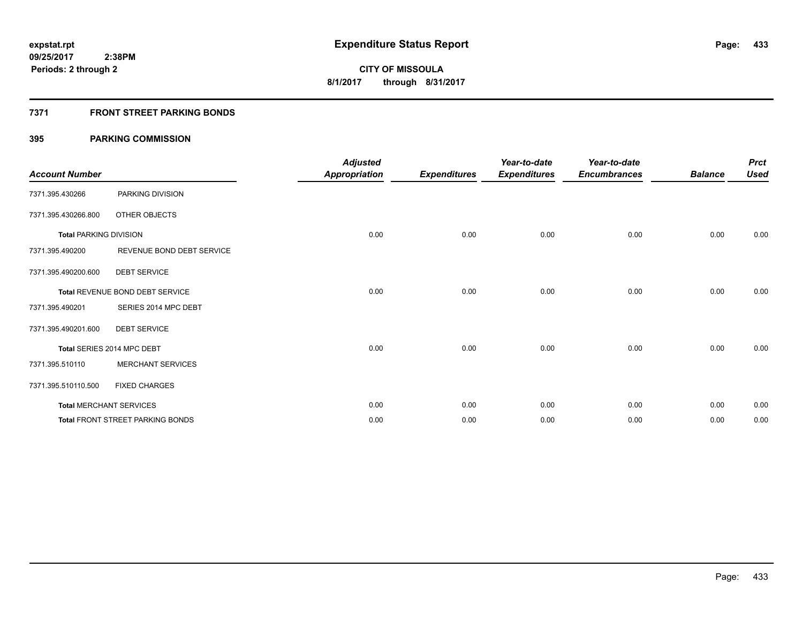# **7371 FRONT STREET PARKING BONDS**

| <b>Account Number</b>         |                                         | <b>Adjusted</b><br><b>Appropriation</b> | <b>Expenditures</b> | Year-to-date<br><b>Expenditures</b> | Year-to-date<br><b>Encumbrances</b> | <b>Balance</b> | <b>Prct</b><br><b>Used</b> |
|-------------------------------|-----------------------------------------|-----------------------------------------|---------------------|-------------------------------------|-------------------------------------|----------------|----------------------------|
| 7371.395.430266               | PARKING DIVISION                        |                                         |                     |                                     |                                     |                |                            |
| 7371.395.430266.800           | OTHER OBJECTS                           |                                         |                     |                                     |                                     |                |                            |
| <b>Total PARKING DIVISION</b> |                                         | 0.00                                    | 0.00                | 0.00                                | 0.00                                | 0.00           | 0.00                       |
| 7371.395.490200               | REVENUE BOND DEBT SERVICE               |                                         |                     |                                     |                                     |                |                            |
| 7371.395.490200.600           | <b>DEBT SERVICE</b>                     |                                         |                     |                                     |                                     |                |                            |
|                               | Total REVENUE BOND DEBT SERVICE         | 0.00                                    | 0.00                | 0.00                                | 0.00                                | 0.00           | 0.00                       |
| 7371.395.490201               | SERIES 2014 MPC DEBT                    |                                         |                     |                                     |                                     |                |                            |
| 7371.395.490201.600           | <b>DEBT SERVICE</b>                     |                                         |                     |                                     |                                     |                |                            |
|                               | Total SERIES 2014 MPC DEBT              | 0.00                                    | 0.00                | 0.00                                | 0.00                                | 0.00           | 0.00                       |
| 7371.395.510110               | <b>MERCHANT SERVICES</b>                |                                         |                     |                                     |                                     |                |                            |
| 7371.395.510110.500           | <b>FIXED CHARGES</b>                    |                                         |                     |                                     |                                     |                |                            |
|                               | <b>Total MERCHANT SERVICES</b>          | 0.00                                    | 0.00                | 0.00                                | 0.00                                | 0.00           | 0.00                       |
|                               | <b>Total FRONT STREET PARKING BONDS</b> | 0.00                                    | 0.00                | 0.00                                | 0.00                                | 0.00           | 0.00                       |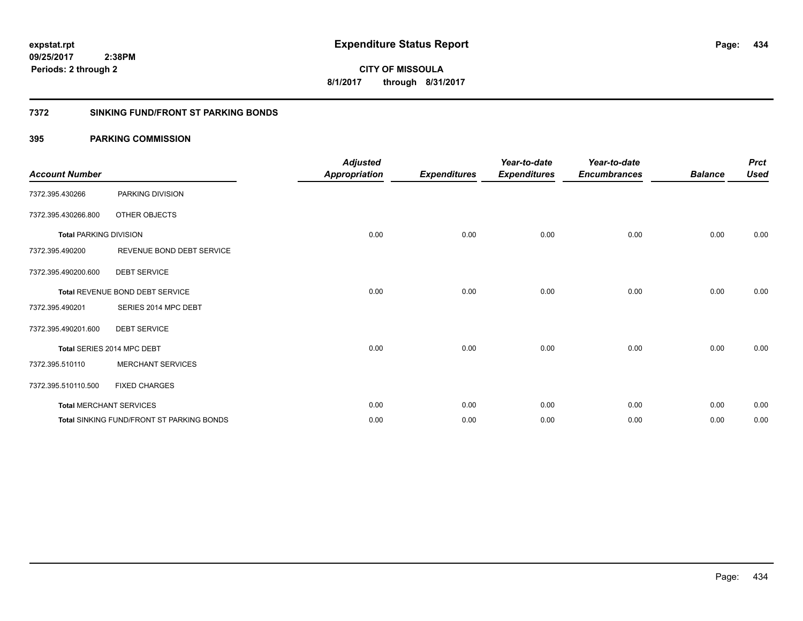**434**

**CITY OF MISSOULA 8/1/2017 through 8/31/2017**

### **7372 SINKING FUND/FRONT ST PARKING BONDS**

| <b>Account Number</b>         |                                                  | <b>Adjusted</b><br><b>Appropriation</b> | <b>Expenditures</b> | Year-to-date<br><b>Expenditures</b> | Year-to-date<br><b>Encumbrances</b> | <b>Balance</b> | <b>Prct</b><br><b>Used</b> |
|-------------------------------|--------------------------------------------------|-----------------------------------------|---------------------|-------------------------------------|-------------------------------------|----------------|----------------------------|
| 7372.395.430266               | PARKING DIVISION                                 |                                         |                     |                                     |                                     |                |                            |
| 7372.395.430266.800           | OTHER OBJECTS                                    |                                         |                     |                                     |                                     |                |                            |
| <b>Total PARKING DIVISION</b> |                                                  | 0.00                                    | 0.00                | 0.00                                | 0.00                                | 0.00           | 0.00                       |
| 7372.395.490200               | REVENUE BOND DEBT SERVICE                        |                                         |                     |                                     |                                     |                |                            |
| 7372.395.490200.600           | <b>DEBT SERVICE</b>                              |                                         |                     |                                     |                                     |                |                            |
|                               | Total REVENUE BOND DEBT SERVICE                  | 0.00                                    | 0.00                | 0.00                                | 0.00                                | 0.00           | 0.00                       |
| 7372.395.490201               | SERIES 2014 MPC DEBT                             |                                         |                     |                                     |                                     |                |                            |
| 7372.395.490201.600           | <b>DEBT SERVICE</b>                              |                                         |                     |                                     |                                     |                |                            |
|                               | Total SERIES 2014 MPC DEBT                       | 0.00                                    | 0.00                | 0.00                                | 0.00                                | 0.00           | 0.00                       |
| 7372.395.510110               | <b>MERCHANT SERVICES</b>                         |                                         |                     |                                     |                                     |                |                            |
| 7372.395.510110.500           | <b>FIXED CHARGES</b>                             |                                         |                     |                                     |                                     |                |                            |
|                               | <b>Total MERCHANT SERVICES</b>                   | 0.00                                    | 0.00                | 0.00                                | 0.00                                | 0.00           | 0.00                       |
|                               | <b>Total SINKING FUND/FRONT ST PARKING BONDS</b> | 0.00                                    | 0.00                | 0.00                                | 0.00                                | 0.00           | 0.00                       |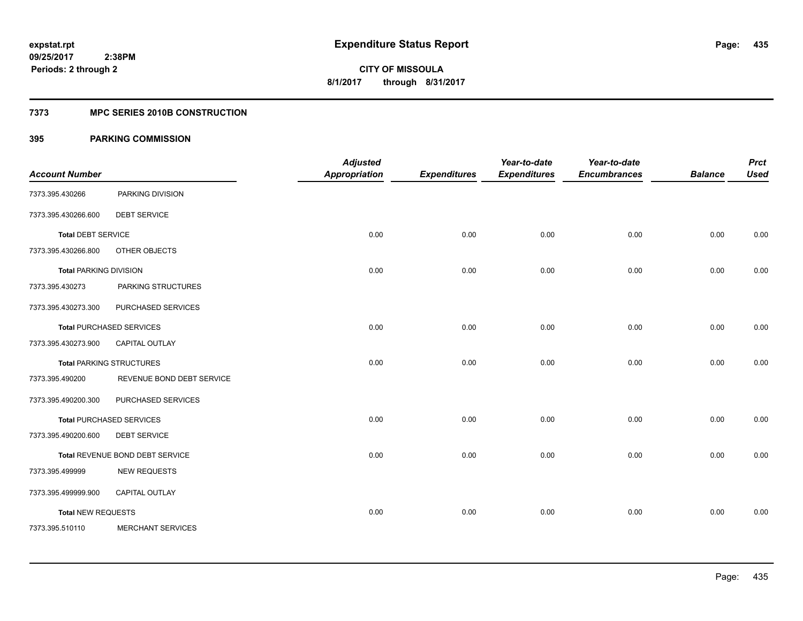# **7373 MPC SERIES 2010B CONSTRUCTION**

|                               |                                 | <b>Adjusted</b>      |                     | Year-to-date        | Year-to-date        |                | <b>Prct</b> |
|-------------------------------|---------------------------------|----------------------|---------------------|---------------------|---------------------|----------------|-------------|
| <b>Account Number</b>         |                                 | <b>Appropriation</b> | <b>Expenditures</b> | <b>Expenditures</b> | <b>Encumbrances</b> | <b>Balance</b> | <b>Used</b> |
| 7373.395.430266               | PARKING DIVISION                |                      |                     |                     |                     |                |             |
| 7373.395.430266.600           | <b>DEBT SERVICE</b>             |                      |                     |                     |                     |                |             |
| <b>Total DEBT SERVICE</b>     |                                 | 0.00                 | 0.00                | 0.00                | 0.00                | 0.00           | 0.00        |
| 7373.395.430266.800           | OTHER OBJECTS                   |                      |                     |                     |                     |                |             |
| <b>Total PARKING DIVISION</b> |                                 | 0.00                 | 0.00                | 0.00                | 0.00                | 0.00           | 0.00        |
| 7373.395.430273               | PARKING STRUCTURES              |                      |                     |                     |                     |                |             |
| 7373.395.430273.300           | PURCHASED SERVICES              |                      |                     |                     |                     |                |             |
|                               | <b>Total PURCHASED SERVICES</b> | 0.00                 | 0.00                | 0.00                | 0.00                | 0.00           | 0.00        |
| 7373.395.430273.900           | <b>CAPITAL OUTLAY</b>           |                      |                     |                     |                     |                |             |
|                               | <b>Total PARKING STRUCTURES</b> | 0.00                 | 0.00                | 0.00                | 0.00                | 0.00           | 0.00        |
| 7373.395.490200               | REVENUE BOND DEBT SERVICE       |                      |                     |                     |                     |                |             |
| 7373.395.490200.300           | PURCHASED SERVICES              |                      |                     |                     |                     |                |             |
|                               | <b>Total PURCHASED SERVICES</b> | 0.00                 | 0.00                | 0.00                | 0.00                | 0.00           | 0.00        |
| 7373.395.490200.600           | <b>DEBT SERVICE</b>             |                      |                     |                     |                     |                |             |
|                               | Total REVENUE BOND DEBT SERVICE | 0.00                 | 0.00                | 0.00                | 0.00                | 0.00           | 0.00        |
| 7373.395.499999               | <b>NEW REQUESTS</b>             |                      |                     |                     |                     |                |             |
| 7373.395.499999.900           | CAPITAL OUTLAY                  |                      |                     |                     |                     |                |             |
| <b>Total NEW REQUESTS</b>     |                                 | 0.00                 | 0.00                | 0.00                | 0.00                | 0.00           | 0.00        |
| 7373.395.510110               | <b>MERCHANT SERVICES</b>        |                      |                     |                     |                     |                |             |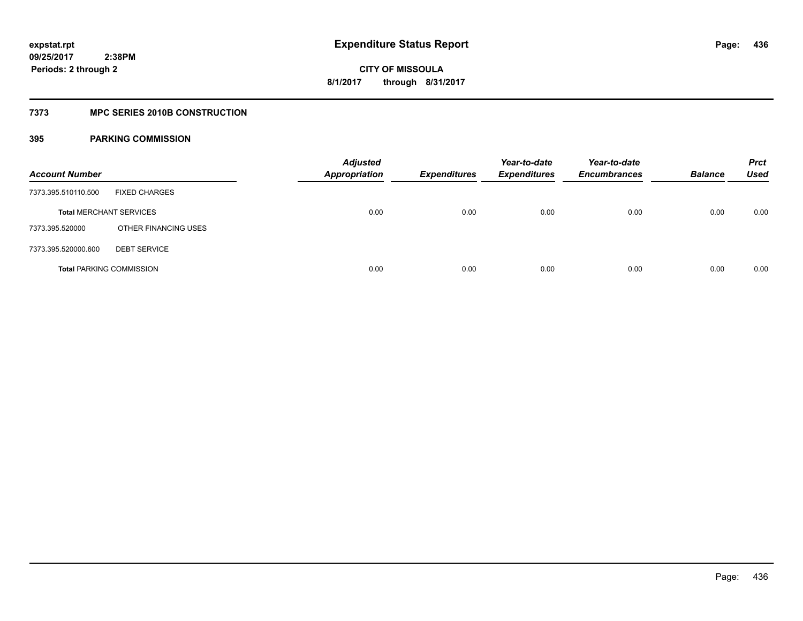# **7373 MPC SERIES 2010B CONSTRUCTION**

| <b>Account Number</b>          |                                 | <b>Adjusted</b><br><b>Appropriation</b> | <b>Expenditures</b> | Year-to-date<br><b>Expenditures</b> | Year-to-date<br><b>Encumbrances</b> | <b>Balance</b> | <b>Prct</b><br><b>Used</b> |
|--------------------------------|---------------------------------|-----------------------------------------|---------------------|-------------------------------------|-------------------------------------|----------------|----------------------------|
| 7373.395.510110.500            | <b>FIXED CHARGES</b>            |                                         |                     |                                     |                                     |                |                            |
| <b>Total MERCHANT SERVICES</b> |                                 | 0.00                                    | 0.00                | 0.00                                | 0.00                                | 0.00           | 0.00                       |
| 7373.395.520000                | OTHER FINANCING USES            |                                         |                     |                                     |                                     |                |                            |
| 7373.395.520000.600            | <b>DEBT SERVICE</b>             |                                         |                     |                                     |                                     |                |                            |
|                                | <b>Total PARKING COMMISSION</b> | 0.00                                    | 0.00                | 0.00                                | 0.00                                | 0.00           | 0.00                       |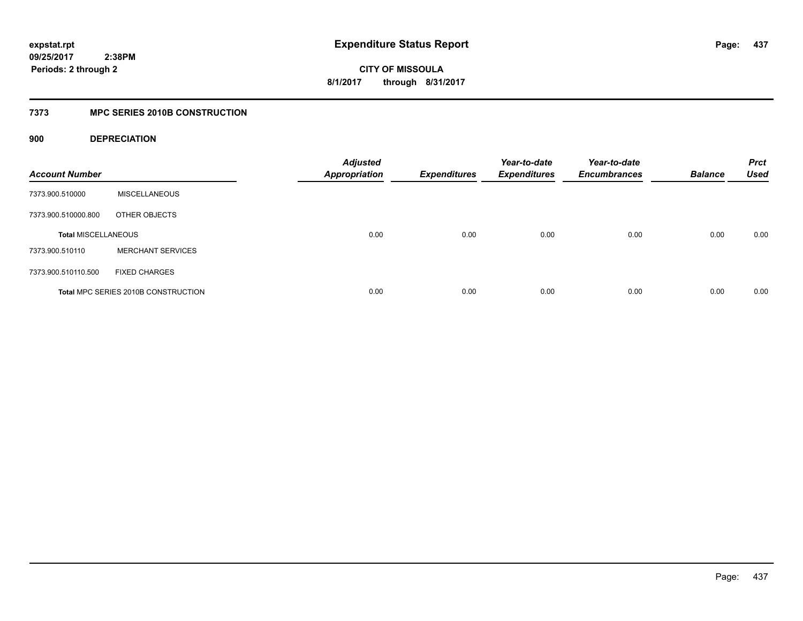**CITY OF MISSOULA 8/1/2017 through 8/31/2017**

# **7373 MPC SERIES 2010B CONSTRUCTION**

# **900 DEPRECIATION**

| <b>Account Number</b>      |                                     | <b>Adjusted</b><br><b>Appropriation</b> | <b>Expenditures</b> | Year-to-date<br><b>Expenditures</b> | Year-to-date<br><b>Encumbrances</b> | <b>Balance</b> | <b>Prct</b><br><b>Used</b> |
|----------------------------|-------------------------------------|-----------------------------------------|---------------------|-------------------------------------|-------------------------------------|----------------|----------------------------|
| 7373.900.510000            | <b>MISCELLANEOUS</b>                |                                         |                     |                                     |                                     |                |                            |
| 7373.900.510000.800        | OTHER OBJECTS                       |                                         |                     |                                     |                                     |                |                            |
| <b>Total MISCELLANEOUS</b> |                                     | 0.00                                    | 0.00                | 0.00                                | 0.00                                | 0.00           | 0.00                       |
| 7373.900.510110            | <b>MERCHANT SERVICES</b>            |                                         |                     |                                     |                                     |                |                            |
| 7373.900.510110.500        | <b>FIXED CHARGES</b>                |                                         |                     |                                     |                                     |                |                            |
|                            | Total MPC SERIES 2010B CONSTRUCTION | 0.00                                    | 0.00                | 0.00                                | 0.00                                | 0.00           | 0.00                       |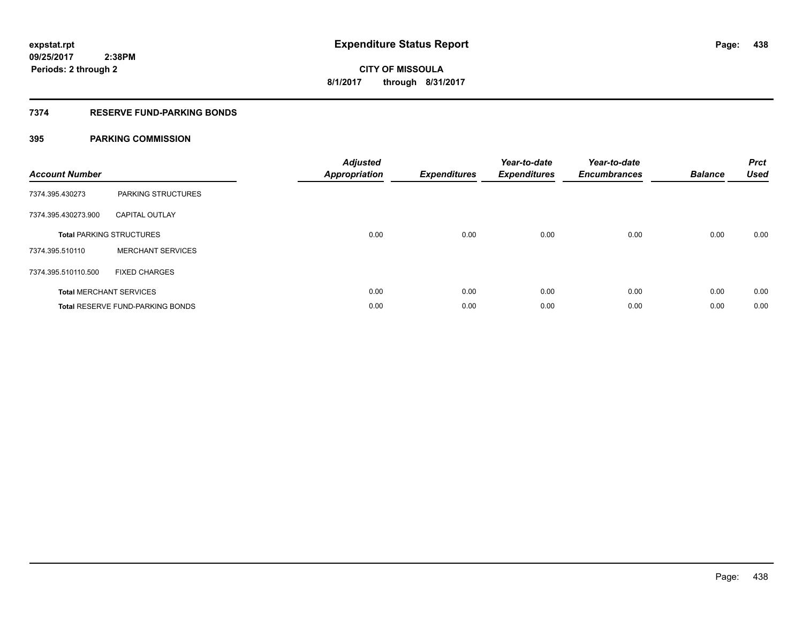# **7374 RESERVE FUND-PARKING BONDS**

| <b>Account Number</b> |                                         | <b>Adjusted</b><br>Appropriation | <b>Expenditures</b> | Year-to-date<br><b>Expenditures</b> | Year-to-date<br><b>Encumbrances</b> | <b>Balance</b> | <b>Prct</b><br><b>Used</b> |
|-----------------------|-----------------------------------------|----------------------------------|---------------------|-------------------------------------|-------------------------------------|----------------|----------------------------|
| 7374.395.430273       | <b>PARKING STRUCTURES</b>               |                                  |                     |                                     |                                     |                |                            |
| 7374.395.430273.900   | <b>CAPITAL OUTLAY</b>                   |                                  |                     |                                     |                                     |                |                            |
|                       | <b>Total PARKING STRUCTURES</b>         | 0.00                             | 0.00                | 0.00                                | 0.00                                | 0.00           | 0.00                       |
| 7374.395.510110       | <b>MERCHANT SERVICES</b>                |                                  |                     |                                     |                                     |                |                            |
| 7374.395.510110.500   | <b>FIXED CHARGES</b>                    |                                  |                     |                                     |                                     |                |                            |
|                       | <b>Total MERCHANT SERVICES</b>          | 0.00                             | 0.00                | 0.00                                | 0.00                                | 0.00           | 0.00                       |
|                       | <b>Total RESERVE FUND-PARKING BONDS</b> | 0.00                             | 0.00                | 0.00                                | 0.00                                | 0.00           | 0.00                       |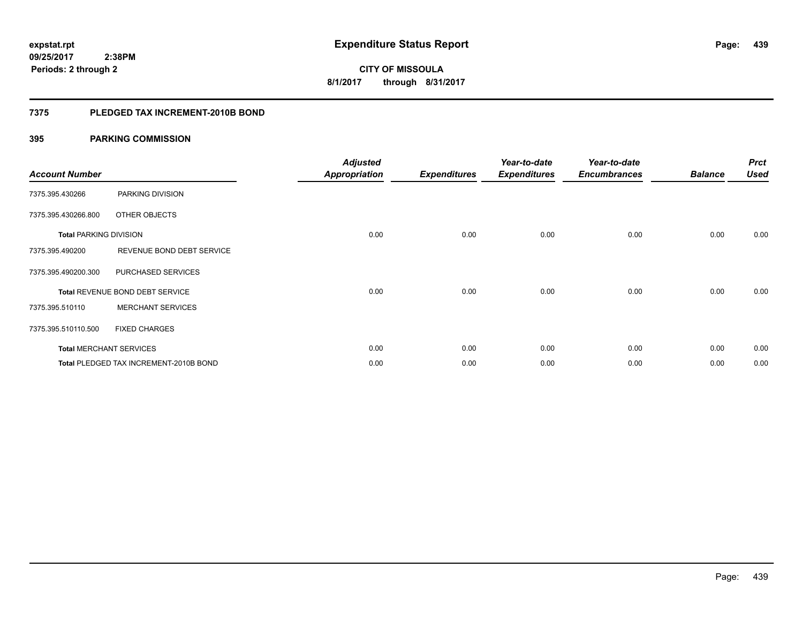**CITY OF MISSOULA 8/1/2017 through 8/31/2017**

### **7375 PLEDGED TAX INCREMENT-2010B BOND**

| <b>Account Number</b>         |                                        | <b>Adjusted</b><br><b>Appropriation</b> | <b>Expenditures</b> | Year-to-date<br><b>Expenditures</b> | Year-to-date<br><b>Encumbrances</b> | <b>Balance</b> | <b>Prct</b><br><b>Used</b> |
|-------------------------------|----------------------------------------|-----------------------------------------|---------------------|-------------------------------------|-------------------------------------|----------------|----------------------------|
| 7375.395.430266               | PARKING DIVISION                       |                                         |                     |                                     |                                     |                |                            |
| 7375.395.430266.800           | OTHER OBJECTS                          |                                         |                     |                                     |                                     |                |                            |
| <b>Total PARKING DIVISION</b> |                                        | 0.00                                    | 0.00                | 0.00                                | 0.00                                | 0.00           | 0.00                       |
| 7375.395.490200               | REVENUE BOND DEBT SERVICE              |                                         |                     |                                     |                                     |                |                            |
| 7375.395.490200.300           | PURCHASED SERVICES                     |                                         |                     |                                     |                                     |                |                            |
|                               | Total REVENUE BOND DEBT SERVICE        | 0.00                                    | 0.00                | 0.00                                | 0.00                                | 0.00           | 0.00                       |
| 7375.395.510110               | <b>MERCHANT SERVICES</b>               |                                         |                     |                                     |                                     |                |                            |
| 7375.395.510110.500           | <b>FIXED CHARGES</b>                   |                                         |                     |                                     |                                     |                |                            |
|                               | <b>Total MERCHANT SERVICES</b>         | 0.00                                    | 0.00                | 0.00                                | 0.00                                | 0.00           | 0.00                       |
|                               | Total PLEDGED TAX INCREMENT-2010B BOND | 0.00                                    | 0.00                | 0.00                                | 0.00                                | 0.00           | 0.00                       |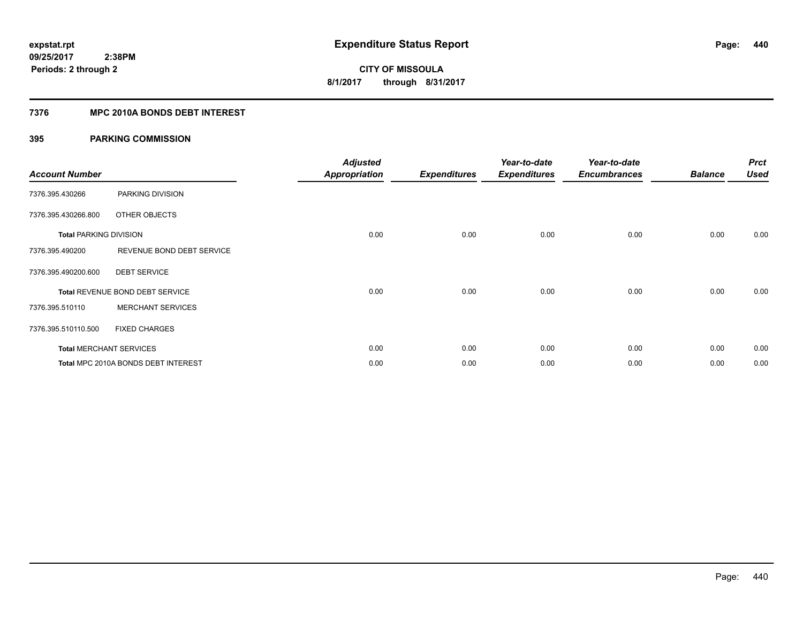# **7376 MPC 2010A BONDS DEBT INTEREST**

| <b>Account Number</b>         |                                     | <b>Adjusted</b><br><b>Appropriation</b> | <b>Expenditures</b> | Year-to-date<br><b>Expenditures</b> | Year-to-date<br><b>Encumbrances</b> | <b>Balance</b> | <b>Prct</b><br><b>Used</b> |
|-------------------------------|-------------------------------------|-----------------------------------------|---------------------|-------------------------------------|-------------------------------------|----------------|----------------------------|
| 7376.395.430266               | PARKING DIVISION                    |                                         |                     |                                     |                                     |                |                            |
| 7376.395.430266.800           | <b>OTHER OBJECTS</b>                |                                         |                     |                                     |                                     |                |                            |
| <b>Total PARKING DIVISION</b> |                                     | 0.00                                    | 0.00                | 0.00                                | 0.00                                | 0.00           | 0.00                       |
| 7376.395.490200               | REVENUE BOND DEBT SERVICE           |                                         |                     |                                     |                                     |                |                            |
| 7376.395.490200.600           | <b>DEBT SERVICE</b>                 |                                         |                     |                                     |                                     |                |                            |
|                               | Total REVENUE BOND DEBT SERVICE     | 0.00                                    | 0.00                | 0.00                                | 0.00                                | 0.00           | 0.00                       |
| 7376.395.510110               | <b>MERCHANT SERVICES</b>            |                                         |                     |                                     |                                     |                |                            |
| 7376.395.510110.500           | <b>FIXED CHARGES</b>                |                                         |                     |                                     |                                     |                |                            |
|                               | <b>Total MERCHANT SERVICES</b>      | 0.00                                    | 0.00                | 0.00                                | 0.00                                | 0.00           | 0.00                       |
|                               | Total MPC 2010A BONDS DEBT INTEREST | 0.00                                    | 0.00                | 0.00                                | 0.00                                | 0.00           | 0.00                       |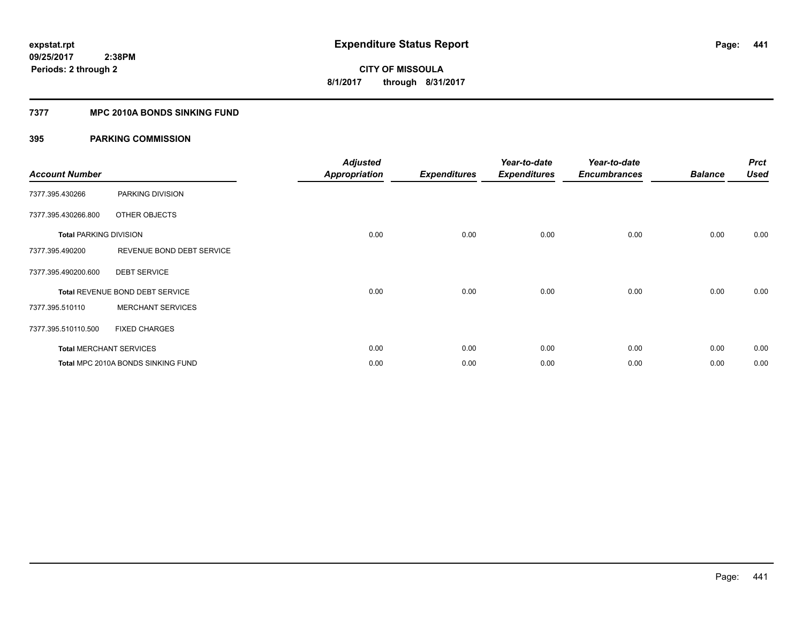# **7377 MPC 2010A BONDS SINKING FUND**

| <b>Account Number</b>         |                                    | <b>Adjusted</b><br><b>Appropriation</b> | <b>Expenditures</b> | Year-to-date<br><b>Expenditures</b> | Year-to-date<br><b>Encumbrances</b> | <b>Balance</b> | <b>Prct</b><br><b>Used</b> |
|-------------------------------|------------------------------------|-----------------------------------------|---------------------|-------------------------------------|-------------------------------------|----------------|----------------------------|
| 7377.395.430266               | PARKING DIVISION                   |                                         |                     |                                     |                                     |                |                            |
| 7377.395.430266.800           | OTHER OBJECTS                      |                                         |                     |                                     |                                     |                |                            |
| <b>Total PARKING DIVISION</b> |                                    | 0.00                                    | 0.00                | 0.00                                | 0.00                                | 0.00           | 0.00                       |
| 7377.395.490200               | REVENUE BOND DEBT SERVICE          |                                         |                     |                                     |                                     |                |                            |
| 7377.395.490200.600           | <b>DEBT SERVICE</b>                |                                         |                     |                                     |                                     |                |                            |
|                               | Total REVENUE BOND DEBT SERVICE    | 0.00                                    | 0.00                | 0.00                                | 0.00                                | 0.00           | 0.00                       |
| 7377.395.510110               | <b>MERCHANT SERVICES</b>           |                                         |                     |                                     |                                     |                |                            |
| 7377.395.510110.500           | <b>FIXED CHARGES</b>               |                                         |                     |                                     |                                     |                |                            |
|                               | <b>Total MERCHANT SERVICES</b>     | 0.00                                    | 0.00                | 0.00                                | 0.00                                | 0.00           | 0.00                       |
|                               | Total MPC 2010A BONDS SINKING FUND | 0.00                                    | 0.00                | 0.00                                | 0.00                                | 0.00           | 0.00                       |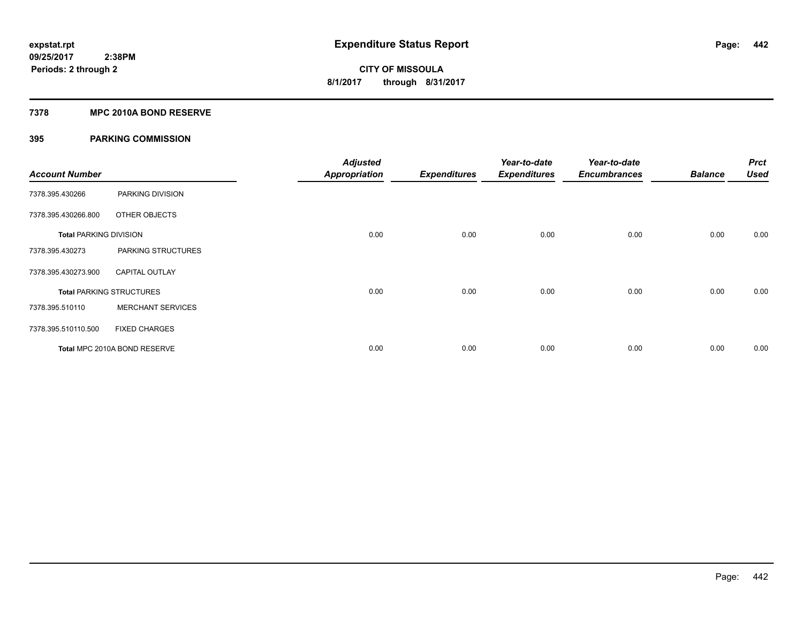# **7378 MPC 2010A BOND RESERVE**

| <b>Account Number</b>         |                                 | <b>Adjusted</b><br><b>Appropriation</b> | <b>Expenditures</b> | Year-to-date<br><b>Expenditures</b> | Year-to-date<br><b>Encumbrances</b> | <b>Balance</b> | <b>Prct</b><br><b>Used</b> |
|-------------------------------|---------------------------------|-----------------------------------------|---------------------|-------------------------------------|-------------------------------------|----------------|----------------------------|
| 7378.395.430266               | PARKING DIVISION                |                                         |                     |                                     |                                     |                |                            |
| 7378.395.430266.800           | OTHER OBJECTS                   |                                         |                     |                                     |                                     |                |                            |
| <b>Total PARKING DIVISION</b> |                                 | 0.00                                    | 0.00                | 0.00                                | 0.00                                | 0.00           | 0.00                       |
| 7378.395.430273               | PARKING STRUCTURES              |                                         |                     |                                     |                                     |                |                            |
| 7378.395.430273.900           | <b>CAPITAL OUTLAY</b>           |                                         |                     |                                     |                                     |                |                            |
|                               | <b>Total PARKING STRUCTURES</b> | 0.00                                    | 0.00                | 0.00                                | 0.00                                | 0.00           | 0.00                       |
| 7378.395.510110               | <b>MERCHANT SERVICES</b>        |                                         |                     |                                     |                                     |                |                            |
| 7378.395.510110.500           | <b>FIXED CHARGES</b>            |                                         |                     |                                     |                                     |                |                            |
|                               | Total MPC 2010A BOND RESERVE    | 0.00                                    | 0.00                | 0.00                                | 0.00                                | 0.00           | 0.00                       |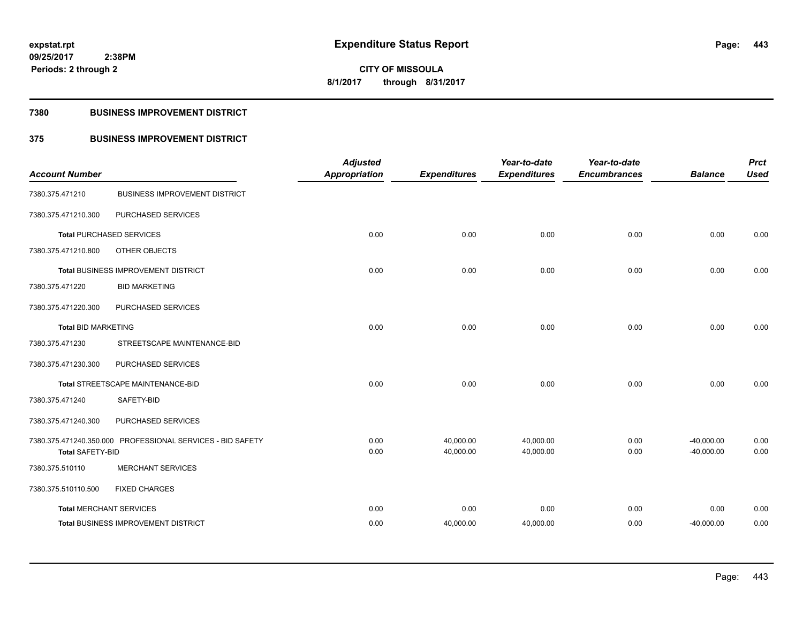**Periods: 2 through 2**

**CITY OF MISSOULA 8/1/2017 through 8/31/2017**

### **7380 BUSINESS IMPROVEMENT DISTRICT**

 **2:38PM**

# **375 BUSINESS IMPROVEMENT DISTRICT**

| <b>Account Number</b>          |                                                            | <b>Adjusted</b><br><b>Appropriation</b> | <b>Expenditures</b>    | Year-to-date<br><b>Expenditures</b> | Year-to-date<br><b>Encumbrances</b> | <b>Balance</b>               | <b>Prct</b><br><b>Used</b> |
|--------------------------------|------------------------------------------------------------|-----------------------------------------|------------------------|-------------------------------------|-------------------------------------|------------------------------|----------------------------|
| 7380.375.471210                | <b>BUSINESS IMPROVEMENT DISTRICT</b>                       |                                         |                        |                                     |                                     |                              |                            |
| 7380.375.471210.300            | PURCHASED SERVICES                                         |                                         |                        |                                     |                                     |                              |                            |
|                                | <b>Total PURCHASED SERVICES</b>                            | 0.00                                    | 0.00                   | 0.00                                | 0.00                                | 0.00                         | 0.00                       |
| 7380.375.471210.800            | OTHER OBJECTS                                              |                                         |                        |                                     |                                     |                              |                            |
|                                | Total BUSINESS IMPROVEMENT DISTRICT                        | 0.00                                    | 0.00                   | 0.00                                | 0.00                                | 0.00                         | 0.00                       |
| 7380.375.471220                | <b>BID MARKETING</b>                                       |                                         |                        |                                     |                                     |                              |                            |
| 7380.375.471220.300            | PURCHASED SERVICES                                         |                                         |                        |                                     |                                     |                              |                            |
| <b>Total BID MARKETING</b>     |                                                            | 0.00                                    | 0.00                   | 0.00                                | 0.00                                | 0.00                         | 0.00                       |
| 7380.375.471230                | STREETSCAPE MAINTENANCE-BID                                |                                         |                        |                                     |                                     |                              |                            |
| 7380.375.471230.300            | PURCHASED SERVICES                                         |                                         |                        |                                     |                                     |                              |                            |
|                                | Total STREETSCAPE MAINTENANCE-BID                          | 0.00                                    | 0.00                   | 0.00                                | 0.00                                | 0.00                         | 0.00                       |
| 7380.375.471240                | SAFETY-BID                                                 |                                         |                        |                                     |                                     |                              |                            |
| 7380.375.471240.300            | PURCHASED SERVICES                                         |                                         |                        |                                     |                                     |                              |                            |
| <b>Total SAFETY-BID</b>        | 7380.375.471240.350.000 PROFESSIONAL SERVICES - BID SAFETY | 0.00<br>0.00                            | 40,000.00<br>40,000.00 | 40,000.00<br>40,000.00              | 0.00<br>0.00                        | $-40,000.00$<br>$-40,000.00$ | 0.00<br>0.00               |
| 7380.375.510110                | <b>MERCHANT SERVICES</b>                                   |                                         |                        |                                     |                                     |                              |                            |
| 7380.375.510110.500            | <b>FIXED CHARGES</b>                                       |                                         |                        |                                     |                                     |                              |                            |
| <b>Total MERCHANT SERVICES</b> |                                                            | 0.00                                    | 0.00                   | 0.00                                | 0.00                                | 0.00                         | 0.00                       |
|                                | Total BUSINESS IMPROVEMENT DISTRICT                        | 0.00                                    | 40,000.00              | 40,000.00                           | 0.00                                | $-40,000.00$                 | 0.00                       |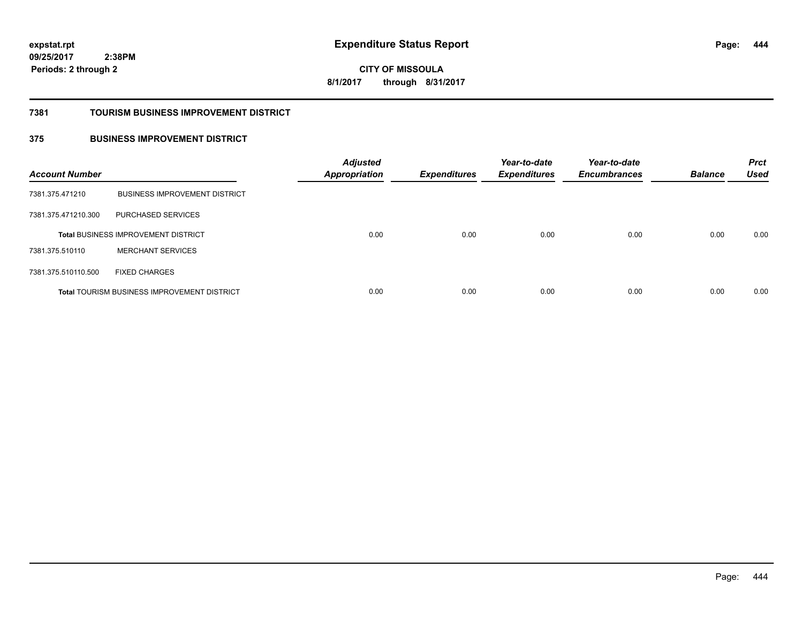**444**

**09/25/2017 2:38PM Periods: 2 through 2**

**CITY OF MISSOULA 8/1/2017 through 8/31/2017**

### **7381 TOURISM BUSINESS IMPROVEMENT DISTRICT**

# **375 BUSINESS IMPROVEMENT DISTRICT**

| <b>Account Number</b> |                                                    | <b>Adjusted</b><br><b>Appropriation</b> | <b>Expenditures</b> | Year-to-date<br><b>Expenditures</b> | Year-to-date<br><b>Encumbrances</b> | <b>Balance</b> | <b>Prct</b><br><b>Used</b> |
|-----------------------|----------------------------------------------------|-----------------------------------------|---------------------|-------------------------------------|-------------------------------------|----------------|----------------------------|
| 7381.375.471210       | <b>BUSINESS IMPROVEMENT DISTRICT</b>               |                                         |                     |                                     |                                     |                |                            |
| 7381.375.471210.300   | PURCHASED SERVICES                                 |                                         |                     |                                     |                                     |                |                            |
|                       | <b>Total BUSINESS IMPROVEMENT DISTRICT</b>         | 0.00                                    | 0.00                | 0.00                                | 0.00                                | 0.00           | 0.00                       |
| 7381.375.510110       | <b>MERCHANT SERVICES</b>                           |                                         |                     |                                     |                                     |                |                            |
| 7381.375.510110.500   | <b>FIXED CHARGES</b>                               |                                         |                     |                                     |                                     |                |                            |
|                       | <b>Total TOURISM BUSINESS IMPROVEMENT DISTRICT</b> | 0.00                                    | 0.00                | 0.00                                | 0.00                                | 0.00           | 0.00                       |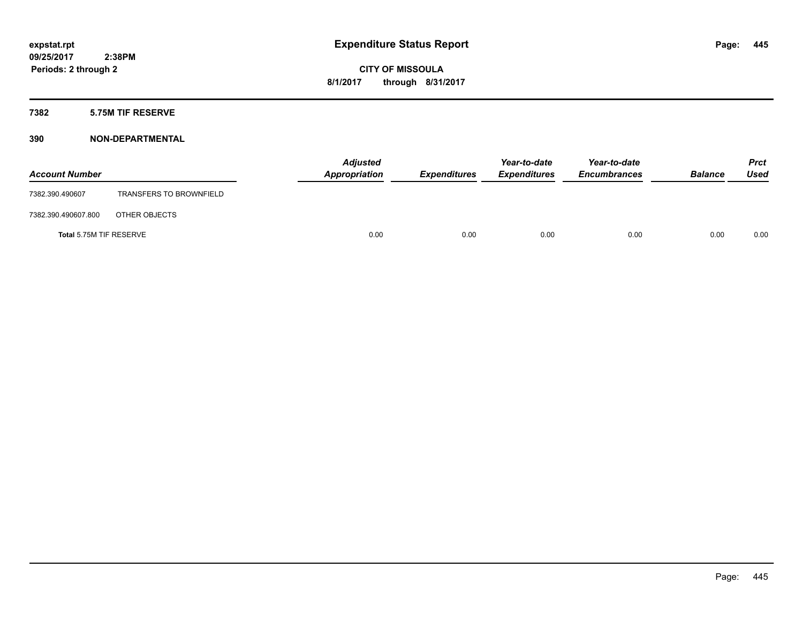### **7382 5.75M TIF RESERVE**

| <b>Account Number</b>   |                                | <b>Adjusted</b><br>Appropriation | <b>Expenditures</b> | Year-to-date<br><b>Expenditures</b> | Year-to-date<br><b>Encumbrances</b> | <b>Balance</b> | <b>Prct</b><br><b>Used</b> |
|-------------------------|--------------------------------|----------------------------------|---------------------|-------------------------------------|-------------------------------------|----------------|----------------------------|
| 7382.390.490607         | <b>TRANSFERS TO BROWNFIELD</b> |                                  |                     |                                     |                                     |                |                            |
| 7382.390.490607.800     | OTHER OBJECTS                  |                                  |                     |                                     |                                     |                |                            |
| Total 5.75M TIF RESERVE |                                | 0.00                             | 0.00                | 0.00                                | 0.00                                | 0.00           | 0.00                       |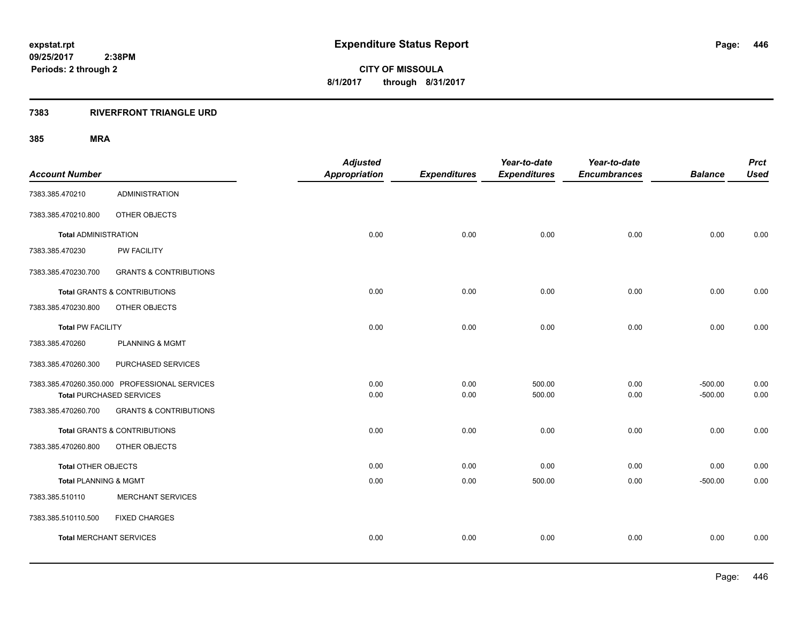# **7383 RIVERFRONT TRIANGLE URD**

|                                |                                               | <b>Adjusted</b>      |                     | Year-to-date        | Year-to-date        |                | <b>Prct</b> |
|--------------------------------|-----------------------------------------------|----------------------|---------------------|---------------------|---------------------|----------------|-------------|
| <b>Account Number</b>          |                                               | <b>Appropriation</b> | <b>Expenditures</b> | <b>Expenditures</b> | <b>Encumbrances</b> | <b>Balance</b> | <b>Used</b> |
| 7383.385.470210                | <b>ADMINISTRATION</b>                         |                      |                     |                     |                     |                |             |
| 7383.385.470210.800            | OTHER OBJECTS                                 |                      |                     |                     |                     |                |             |
| <b>Total ADMINISTRATION</b>    |                                               | 0.00                 | 0.00                | 0.00                | 0.00                | 0.00           | 0.00        |
| 7383.385.470230                | PW FACILITY                                   |                      |                     |                     |                     |                |             |
| 7383.385.470230.700            | <b>GRANTS &amp; CONTRIBUTIONS</b>             |                      |                     |                     |                     |                |             |
|                                | <b>Total GRANTS &amp; CONTRIBUTIONS</b>       | 0.00                 | 0.00                | 0.00                | 0.00                | 0.00           | 0.00        |
| 7383.385.470230.800            | OTHER OBJECTS                                 |                      |                     |                     |                     |                |             |
| <b>Total PW FACILITY</b>       |                                               | 0.00                 | 0.00                | 0.00                | 0.00                | 0.00           | 0.00        |
| 7383.385.470260                | PLANNING & MGMT                               |                      |                     |                     |                     |                |             |
| 7383.385.470260.300            | PURCHASED SERVICES                            |                      |                     |                     |                     |                |             |
|                                | 7383.385.470260.350.000 PROFESSIONAL SERVICES | 0.00                 | 0.00                | 500.00              | 0.00                | $-500.00$      | 0.00        |
|                                | <b>Total PURCHASED SERVICES</b>               | 0.00                 | 0.00                | 500.00              | 0.00                | $-500.00$      | 0.00        |
| 7383.385.470260.700            | <b>GRANTS &amp; CONTRIBUTIONS</b>             |                      |                     |                     |                     |                |             |
|                                | Total GRANTS & CONTRIBUTIONS                  | 0.00                 | 0.00                | 0.00                | 0.00                | 0.00           | 0.00        |
| 7383.385.470260.800            | OTHER OBJECTS                                 |                      |                     |                     |                     |                |             |
| Total OTHER OBJECTS            |                                               | 0.00                 | 0.00                | 0.00                | 0.00                | 0.00           | 0.00        |
| Total PLANNING & MGMT          |                                               | 0.00                 | 0.00                | 500.00              | 0.00                | $-500.00$      | 0.00        |
| 7383.385.510110                | MERCHANT SERVICES                             |                      |                     |                     |                     |                |             |
| 7383.385.510110.500            | <b>FIXED CHARGES</b>                          |                      |                     |                     |                     |                |             |
| <b>Total MERCHANT SERVICES</b> |                                               | 0.00                 | 0.00                | 0.00                | 0.00                | 0.00           | 0.00        |
|                                |                                               |                      |                     |                     |                     |                |             |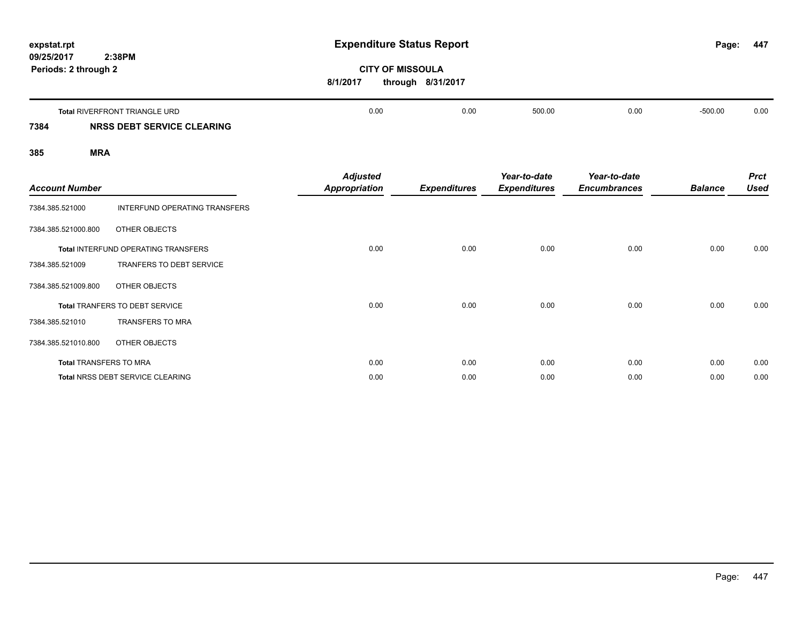| expstat.rpt                        |                                     | <b>Expenditure Status Report</b>        |                     |                                     |                                     | Page:          | 447                        |
|------------------------------------|-------------------------------------|-----------------------------------------|---------------------|-------------------------------------|-------------------------------------|----------------|----------------------------|
| 09/25/2017<br>Periods: 2 through 2 | 2:38PM                              | <b>CITY OF MISSOULA</b><br>8/1/2017     | through 8/31/2017   |                                     |                                     |                |                            |
|                                    | Total RIVERFRONT TRIANGLE URD       | 0.00                                    | 0.00                | 500.00                              | 0.00                                | $-500.00$      | 0.00                       |
| 7384                               | NRSS DEBT SERVICE CLEARING          |                                         |                     |                                     |                                     |                |                            |
| 385<br><b>MRA</b>                  |                                     |                                         |                     |                                     |                                     |                |                            |
| <b>Account Number</b>              |                                     | <b>Adjusted</b><br><b>Appropriation</b> | <b>Expenditures</b> | Year-to-date<br><b>Expenditures</b> | Year-to-date<br><b>Encumbrances</b> | <b>Balance</b> | <b>Prct</b><br><b>Used</b> |
| 7384.385.521000                    | INTERFUND OPERATING TRANSFERS       |                                         |                     |                                     |                                     |                |                            |
| 7384.385.521000.800                | OTHER OBJECTS                       |                                         |                     |                                     |                                     |                |                            |
|                                    | Total INTERFUND OPERATING TRANSFERS | 0.00                                    | 0.00                | 0.00                                | 0.00                                | 0.00           | 0.00                       |
| 7384.385.521009                    | TRANFERS TO DEBT SERVICE            |                                         |                     |                                     |                                     |                |                            |

**Total** TRANFERS TO DEBT SERVICE 0.00 0.00 0.00 0.00 0.00 0.00

**Total** TRANSFERS TO MRA 0.00 0.00 0.00 0.00 0.00 0.00 **Total** NRSS DEBT SERVICE CLEARING 0.00 0.00 0.00 0.00 0.00 0.00

7384.385.521009.800 OTHER OBJECTS

7384.385.521010.800 OTHER OBJECTS

7384.385.521010 TRANSFERS TO MRA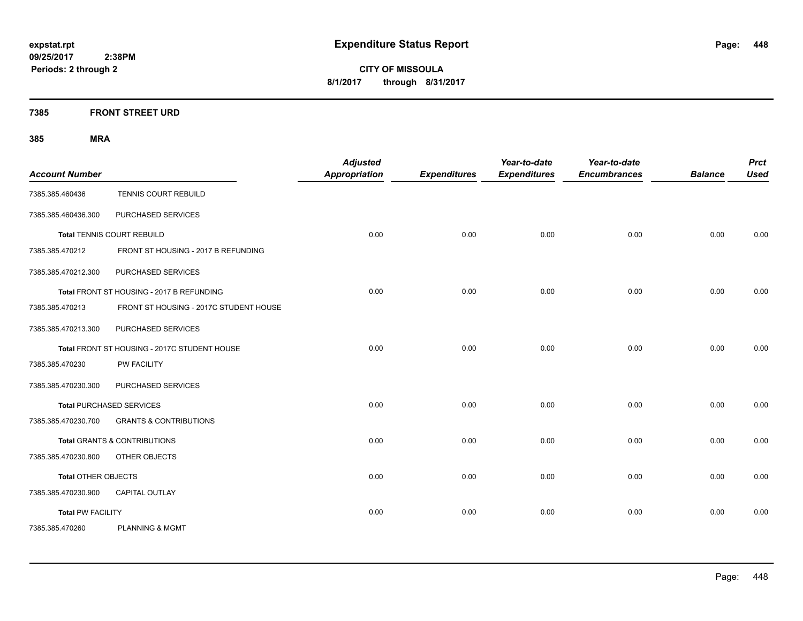**CITY OF MISSOULA 8/1/2017 through 8/31/2017**

**7385 FRONT STREET URD**

| <b>Account Number</b>      |                                              | <b>Adjusted</b><br><b>Appropriation</b> | <b>Expenditures</b> | Year-to-date<br><b>Expenditures</b> | Year-to-date<br><b>Encumbrances</b> | <b>Balance</b> | <b>Prct</b><br><b>Used</b> |
|----------------------------|----------------------------------------------|-----------------------------------------|---------------------|-------------------------------------|-------------------------------------|----------------|----------------------------|
| 7385.385.460436            | TENNIS COURT REBUILD                         |                                         |                     |                                     |                                     |                |                            |
| 7385.385.460436.300        | PURCHASED SERVICES                           |                                         |                     |                                     |                                     |                |                            |
|                            | <b>Total TENNIS COURT REBUILD</b>            | 0.00                                    | 0.00                | 0.00                                | 0.00                                | 0.00           | 0.00                       |
| 7385.385.470212            | FRONT ST HOUSING - 2017 B REFUNDING          |                                         |                     |                                     |                                     |                |                            |
| 7385.385.470212.300        | PURCHASED SERVICES                           |                                         |                     |                                     |                                     |                |                            |
|                            | Total FRONT ST HOUSING - 2017 B REFUNDING    | 0.00                                    | 0.00                | 0.00                                | 0.00                                | 0.00           | 0.00                       |
| 7385.385.470213            | FRONT ST HOUSING - 2017C STUDENT HOUSE       |                                         |                     |                                     |                                     |                |                            |
| 7385.385.470213.300        | PURCHASED SERVICES                           |                                         |                     |                                     |                                     |                |                            |
|                            | Total FRONT ST HOUSING - 2017C STUDENT HOUSE | 0.00                                    | 0.00                | 0.00                                | 0.00                                | 0.00           | 0.00                       |
| 7385.385.470230            | PW FACILITY                                  |                                         |                     |                                     |                                     |                |                            |
| 7385.385.470230.300        | PURCHASED SERVICES                           |                                         |                     |                                     |                                     |                |                            |
|                            | <b>Total PURCHASED SERVICES</b>              | 0.00                                    | 0.00                | 0.00                                | 0.00                                | 0.00           | 0.00                       |
| 7385.385.470230.700        | <b>GRANTS &amp; CONTRIBUTIONS</b>            |                                         |                     |                                     |                                     |                |                            |
|                            | <b>Total GRANTS &amp; CONTRIBUTIONS</b>      | 0.00                                    | 0.00                | 0.00                                | 0.00                                | 0.00           | 0.00                       |
| 7385.385.470230.800        | OTHER OBJECTS                                |                                         |                     |                                     |                                     |                |                            |
| <b>Total OTHER OBJECTS</b> |                                              | 0.00                                    | 0.00                | 0.00                                | 0.00                                | 0.00           | 0.00                       |
| 7385.385.470230.900        | CAPITAL OUTLAY                               |                                         |                     |                                     |                                     |                |                            |
| <b>Total PW FACILITY</b>   |                                              | 0.00                                    | 0.00                | 0.00                                | 0.00                                | 0.00           | 0.00                       |
| 7385.385.470260            | <b>PLANNING &amp; MGMT</b>                   |                                         |                     |                                     |                                     |                |                            |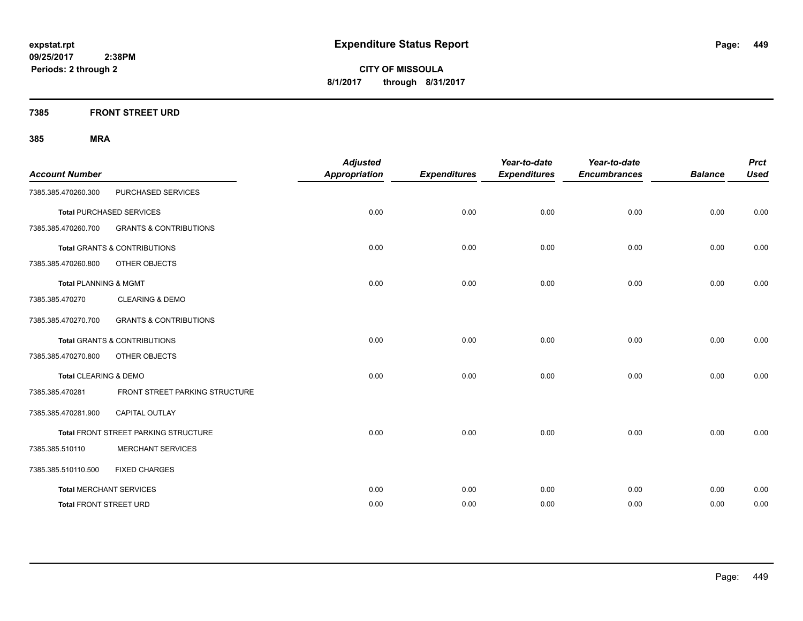**CITY OF MISSOULA 8/1/2017 through 8/31/2017**

**7385 FRONT STREET URD**

| <b>Account Number</b>            |                                             | <b>Adjusted</b><br><b>Appropriation</b> | <b>Expenditures</b> | Year-to-date<br><b>Expenditures</b> | Year-to-date<br><b>Encumbrances</b> | <b>Balance</b> | <b>Prct</b><br><b>Used</b> |
|----------------------------------|---------------------------------------------|-----------------------------------------|---------------------|-------------------------------------|-------------------------------------|----------------|----------------------------|
| 7385.385.470260.300              | PURCHASED SERVICES                          |                                         |                     |                                     |                                     |                |                            |
|                                  | <b>Total PURCHASED SERVICES</b>             | 0.00                                    | 0.00                | 0.00                                | 0.00                                | 0.00           | 0.00                       |
| 7385.385.470260.700              | <b>GRANTS &amp; CONTRIBUTIONS</b>           |                                         |                     |                                     |                                     |                |                            |
|                                  | <b>Total GRANTS &amp; CONTRIBUTIONS</b>     | 0.00                                    | 0.00                | 0.00                                | 0.00                                | 0.00           | 0.00                       |
| 7385.385.470260.800              | OTHER OBJECTS                               |                                         |                     |                                     |                                     |                |                            |
| <b>Total PLANNING &amp; MGMT</b> |                                             | 0.00                                    | 0.00                | 0.00                                | 0.00                                | 0.00           | 0.00                       |
| 7385.385.470270                  | <b>CLEARING &amp; DEMO</b>                  |                                         |                     |                                     |                                     |                |                            |
| 7385.385.470270.700              | <b>GRANTS &amp; CONTRIBUTIONS</b>           |                                         |                     |                                     |                                     |                |                            |
|                                  | <b>Total GRANTS &amp; CONTRIBUTIONS</b>     | 0.00                                    | 0.00                | 0.00                                | 0.00                                | 0.00           | 0.00                       |
| 7385.385.470270.800              | OTHER OBJECTS                               |                                         |                     |                                     |                                     |                |                            |
| Total CLEARING & DEMO            |                                             | 0.00                                    | 0.00                | 0.00                                | 0.00                                | 0.00           | 0.00                       |
| 7385.385.470281                  | FRONT STREET PARKING STRUCTURE              |                                         |                     |                                     |                                     |                |                            |
| 7385.385.470281.900              | <b>CAPITAL OUTLAY</b>                       |                                         |                     |                                     |                                     |                |                            |
|                                  | <b>Total FRONT STREET PARKING STRUCTURE</b> | 0.00                                    | 0.00                | 0.00                                | 0.00                                | 0.00           | 0.00                       |
| 7385.385.510110                  | <b>MERCHANT SERVICES</b>                    |                                         |                     |                                     |                                     |                |                            |
| 7385.385.510110.500              | <b>FIXED CHARGES</b>                        |                                         |                     |                                     |                                     |                |                            |
|                                  | <b>Total MERCHANT SERVICES</b>              | 0.00                                    | 0.00                | 0.00                                | 0.00                                | 0.00           | 0.00                       |
| <b>Total FRONT STREET URD</b>    |                                             | 0.00                                    | 0.00                | 0.00                                | 0.00                                | 0.00           | 0.00                       |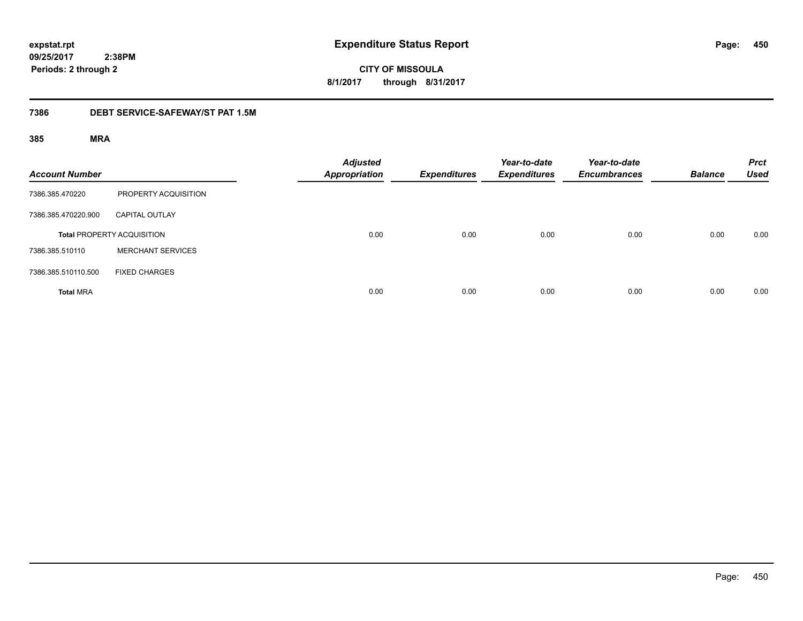**450**

**09/25/2017 2:38PM Periods: 2 through 2**

**CITY OF MISSOULA 8/1/2017 through 8/31/2017**

### **7386 DEBT SERVICE-SAFEWAY/ST PAT 1.5M**

| <b>Account Number</b> |                                   | <b>Adjusted</b><br><b>Appropriation</b> | <b>Expenditures</b> | Year-to-date<br><b>Expenditures</b> | Year-to-date<br><b>Encumbrances</b> | <b>Balance</b> | <b>Prct</b><br><b>Used</b> |
|-----------------------|-----------------------------------|-----------------------------------------|---------------------|-------------------------------------|-------------------------------------|----------------|----------------------------|
| 7386.385.470220       | PROPERTY ACQUISITION              |                                         |                     |                                     |                                     |                |                            |
| 7386.385.470220.900   | <b>CAPITAL OUTLAY</b>             |                                         |                     |                                     |                                     |                |                            |
|                       | <b>Total PROPERTY ACQUISITION</b> | 0.00                                    | 0.00                | 0.00                                | 0.00                                | 0.00           | 0.00                       |
| 7386.385.510110       | <b>MERCHANT SERVICES</b>          |                                         |                     |                                     |                                     |                |                            |
| 7386.385.510110.500   | <b>FIXED CHARGES</b>              |                                         |                     |                                     |                                     |                |                            |
| <b>Total MRA</b>      |                                   | 0.00                                    | 0.00                | 0.00                                | 0.00                                | 0.00           | 0.00                       |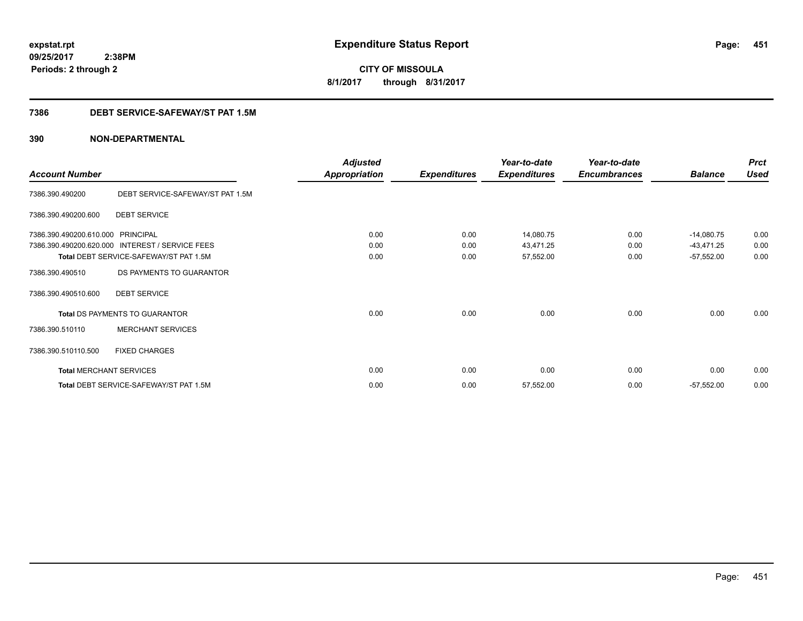**CITY OF MISSOULA 8/1/2017 through 8/31/2017**

# **7386 DEBT SERVICE-SAFEWAY/ST PAT 1.5M**

|                                |                                                 | <b>Adjusted</b>      |                     | Year-to-date        | Year-to-date        |                | <b>Prct</b> |
|--------------------------------|-------------------------------------------------|----------------------|---------------------|---------------------|---------------------|----------------|-------------|
| <b>Account Number</b>          |                                                 | <b>Appropriation</b> | <b>Expenditures</b> | <b>Expenditures</b> | <b>Encumbrances</b> | <b>Balance</b> | <b>Used</b> |
| 7386.390.490200                | DEBT SERVICE-SAFEWAY/ST PAT 1.5M                |                      |                     |                     |                     |                |             |
| 7386.390.490200.600            | <b>DEBT SERVICE</b>                             |                      |                     |                     |                     |                |             |
| 7386.390.490200.610.000        | PRINCIPAL                                       | 0.00                 | 0.00                | 14,080.75           | 0.00                | $-14,080.75$   | 0.00        |
|                                | 7386.390.490200.620.000 INTEREST / SERVICE FEES | 0.00                 | 0.00                | 43,471.25           | 0.00                | $-43,471.25$   | 0.00        |
|                                | Total DEBT SERVICE-SAFEWAY/ST PAT 1.5M          | 0.00                 | 0.00                | 57,552.00           | 0.00                | $-57,552.00$   | 0.00        |
| 7386.390.490510                | DS PAYMENTS TO GUARANTOR                        |                      |                     |                     |                     |                |             |
| 7386.390.490510.600            | <b>DEBT SERVICE</b>                             |                      |                     |                     |                     |                |             |
|                                | Total DS PAYMENTS TO GUARANTOR                  | 0.00                 | 0.00                | 0.00                | 0.00                | 0.00           | 0.00        |
| 7386.390.510110                | <b>MERCHANT SERVICES</b>                        |                      |                     |                     |                     |                |             |
| 7386.390.510110.500            | <b>FIXED CHARGES</b>                            |                      |                     |                     |                     |                |             |
| <b>Total MERCHANT SERVICES</b> |                                                 | 0.00                 | 0.00                | 0.00                | 0.00                | 0.00           | 0.00        |
|                                | Total DEBT SERVICE-SAFEWAY/ST PAT 1.5M          | 0.00                 | 0.00                | 57,552.00           | 0.00                | $-57,552.00$   | 0.00        |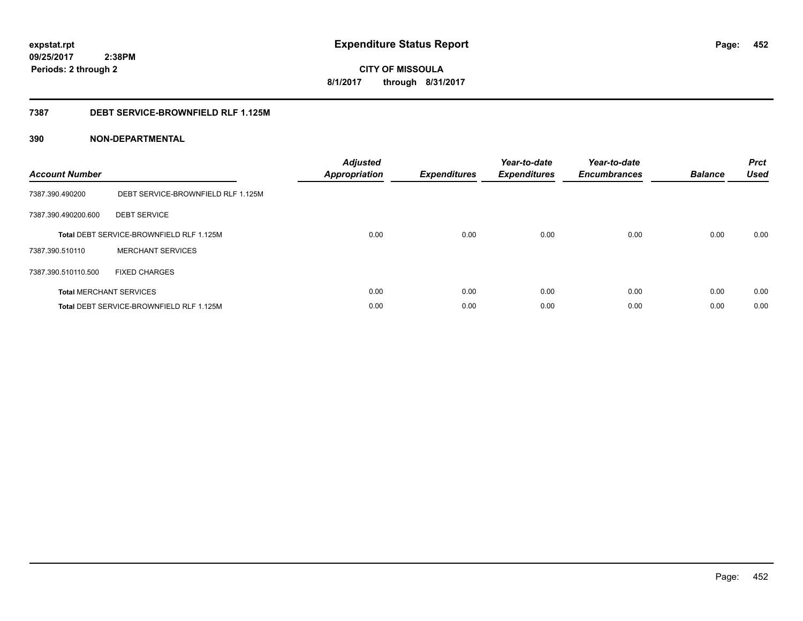# **09/25/2017**

**452**

 **2:38PM Periods: 2 through 2**

# **CITY OF MISSOULA 8/1/2017 through 8/31/2017**

# **7387 DEBT SERVICE-BROWNFIELD RLF 1.125M**

| <b>Account Number</b> |                                                 | <b>Adjusted</b><br>Appropriation | <b>Expenditures</b> | Year-to-date<br><b>Expenditures</b> | Year-to-date<br><b>Encumbrances</b> | <b>Balance</b> | <b>Prct</b><br>Used |
|-----------------------|-------------------------------------------------|----------------------------------|---------------------|-------------------------------------|-------------------------------------|----------------|---------------------|
| 7387.390.490200       | DEBT SERVICE-BROWNFIELD RLF 1.125M              |                                  |                     |                                     |                                     |                |                     |
| 7387.390.490200.600   | <b>DEBT SERVICE</b>                             |                                  |                     |                                     |                                     |                |                     |
|                       | <b>Total DEBT SERVICE-BROWNFIELD RLF 1.125M</b> | 0.00                             | 0.00                | 0.00                                | 0.00                                | 0.00           | 0.00                |
| 7387.390.510110       | <b>MERCHANT SERVICES</b>                        |                                  |                     |                                     |                                     |                |                     |
| 7387.390.510110.500   | <b>FIXED CHARGES</b>                            |                                  |                     |                                     |                                     |                |                     |
|                       | <b>Total MERCHANT SERVICES</b>                  | 0.00                             | 0.00                | 0.00                                | 0.00                                | 0.00           | 0.00                |
|                       | Total DEBT SERVICE-BROWNFIELD RLF 1.125M        | 0.00                             | 0.00                | 0.00                                | 0.00                                | 0.00           | 0.00                |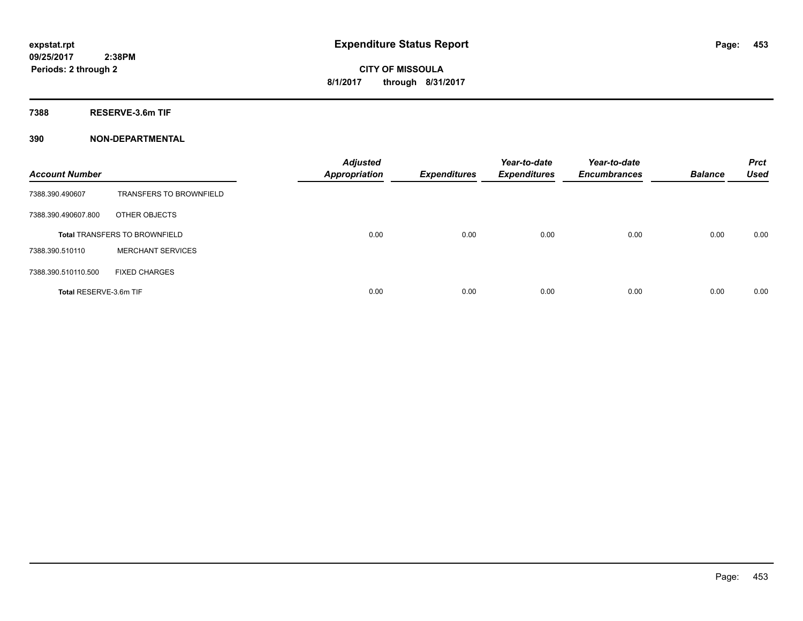**7388 RESERVE-3.6m TIF**

| <b>Account Number</b>  |                                      | <b>Adjusted</b><br><b>Appropriation</b> | <b>Expenditures</b> | Year-to-date<br><b>Expenditures</b> | Year-to-date<br><b>Encumbrances</b> | <b>Balance</b> | <b>Prct</b><br><b>Used</b> |
|------------------------|--------------------------------------|-----------------------------------------|---------------------|-------------------------------------|-------------------------------------|----------------|----------------------------|
| 7388.390.490607        | <b>TRANSFERS TO BROWNFIELD</b>       |                                         |                     |                                     |                                     |                |                            |
| 7388.390.490607.800    | OTHER OBJECTS                        |                                         |                     |                                     |                                     |                |                            |
|                        | <b>Total TRANSFERS TO BROWNFIELD</b> | 0.00                                    | 0.00                | 0.00                                | 0.00                                | 0.00           | 0.00                       |
| 7388.390.510110        | <b>MERCHANT SERVICES</b>             |                                         |                     |                                     |                                     |                |                            |
| 7388.390.510110.500    | <b>FIXED CHARGES</b>                 |                                         |                     |                                     |                                     |                |                            |
| Total RESERVE-3.6m TIF |                                      | 0.00                                    | 0.00                | 0.00                                | 0.00                                | 0.00           | 0.00                       |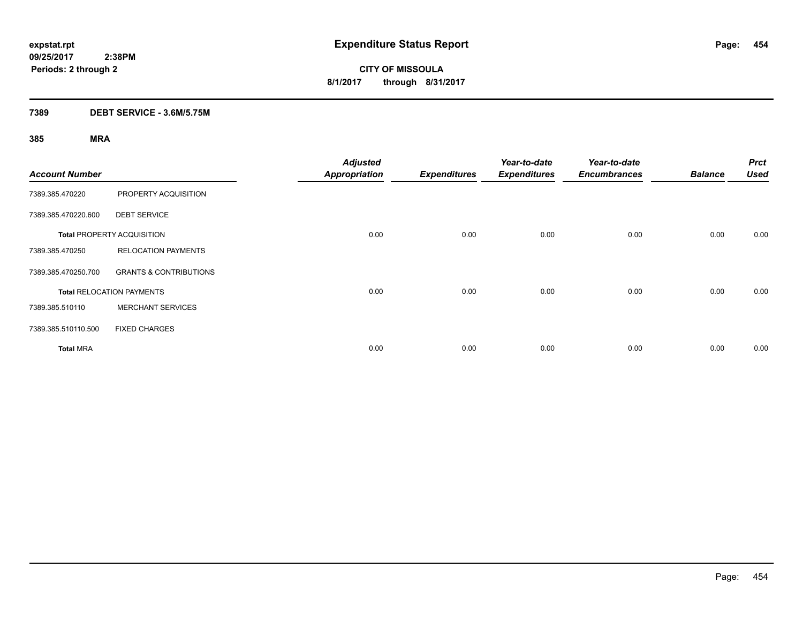# **7389 DEBT SERVICE - 3.6M/5.75M**

| <b>Account Number</b> |                                   | <b>Adjusted</b><br><b>Appropriation</b> | <b>Expenditures</b> | Year-to-date<br><b>Expenditures</b> | Year-to-date<br><b>Encumbrances</b> | <b>Balance</b> | <b>Prct</b><br>Used |
|-----------------------|-----------------------------------|-----------------------------------------|---------------------|-------------------------------------|-------------------------------------|----------------|---------------------|
| 7389.385.470220       | PROPERTY ACQUISITION              |                                         |                     |                                     |                                     |                |                     |
| 7389.385.470220.600   | <b>DEBT SERVICE</b>               |                                         |                     |                                     |                                     |                |                     |
|                       | <b>Total PROPERTY ACQUISITION</b> | 0.00                                    | 0.00                | 0.00                                | 0.00                                | 0.00           | 0.00                |
| 7389.385.470250       | <b>RELOCATION PAYMENTS</b>        |                                         |                     |                                     |                                     |                |                     |
| 7389.385.470250.700   | <b>GRANTS &amp; CONTRIBUTIONS</b> |                                         |                     |                                     |                                     |                |                     |
|                       | <b>Total RELOCATION PAYMENTS</b>  | 0.00                                    | 0.00                | 0.00                                | 0.00                                | 0.00           | 0.00                |
| 7389.385.510110       | <b>MERCHANT SERVICES</b>          |                                         |                     |                                     |                                     |                |                     |
| 7389.385.510110.500   | <b>FIXED CHARGES</b>              |                                         |                     |                                     |                                     |                |                     |
| <b>Total MRA</b>      |                                   | 0.00                                    | 0.00                | 0.00                                | 0.00                                | 0.00           | 0.00                |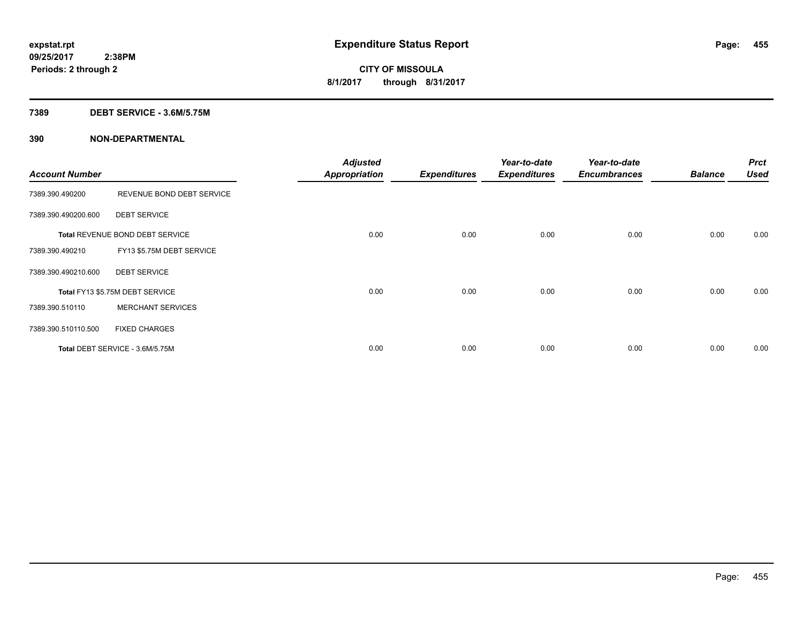### **7389 DEBT SERVICE - 3.6M/5.75M**

| <b>Account Number</b> |                                 | <b>Adjusted</b><br><b>Appropriation</b> | <b>Expenditures</b> | Year-to-date<br><b>Expenditures</b> | Year-to-date<br><b>Encumbrances</b> | <b>Balance</b> | <b>Prct</b><br><b>Used</b> |
|-----------------------|---------------------------------|-----------------------------------------|---------------------|-------------------------------------|-------------------------------------|----------------|----------------------------|
| 7389.390.490200       | REVENUE BOND DEBT SERVICE       |                                         |                     |                                     |                                     |                |                            |
| 7389.390.490200.600   | <b>DEBT SERVICE</b>             |                                         |                     |                                     |                                     |                |                            |
|                       | Total REVENUE BOND DEBT SERVICE | 0.00                                    | 0.00                | 0.00                                | 0.00                                | 0.00           | 0.00                       |
| 7389.390.490210       | FY13 \$5.75M DEBT SERVICE       |                                         |                     |                                     |                                     |                |                            |
| 7389.390.490210.600   | <b>DEBT SERVICE</b>             |                                         |                     |                                     |                                     |                |                            |
|                       | Total FY13 \$5.75M DEBT SERVICE | 0.00                                    | 0.00                | 0.00                                | 0.00                                | 0.00           | 0.00                       |
| 7389.390.510110       | <b>MERCHANT SERVICES</b>        |                                         |                     |                                     |                                     |                |                            |
| 7389.390.510110.500   | <b>FIXED CHARGES</b>            |                                         |                     |                                     |                                     |                |                            |
|                       | Total DEBT SERVICE - 3.6M/5.75M | 0.00                                    | 0.00                | 0.00                                | 0.00                                | 0.00           | 0.00                       |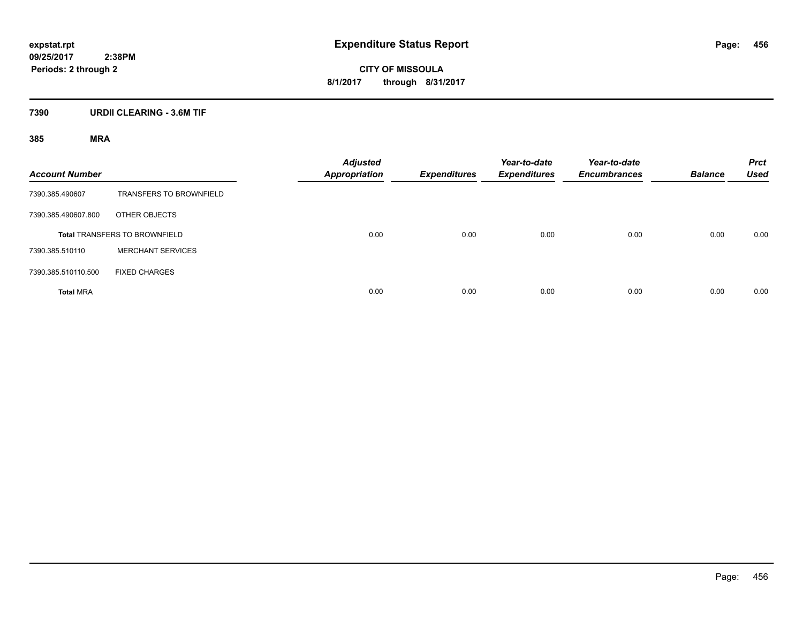# **7390 URDII CLEARING - 3.6M TIF**

| <b>Account Number</b> |                                      | <b>Adjusted</b><br><b>Appropriation</b> | <b>Expenditures</b> | Year-to-date<br><b>Expenditures</b> | Year-to-date<br><b>Encumbrances</b> | <b>Balance</b> | <b>Prct</b><br><b>Used</b> |
|-----------------------|--------------------------------------|-----------------------------------------|---------------------|-------------------------------------|-------------------------------------|----------------|----------------------------|
| 7390.385.490607       | <b>TRANSFERS TO BROWNFIELD</b>       |                                         |                     |                                     |                                     |                |                            |
| 7390.385.490607.800   | OTHER OBJECTS                        |                                         |                     |                                     |                                     |                |                            |
|                       | <b>Total TRANSFERS TO BROWNFIELD</b> | 0.00                                    | 0.00                | 0.00                                | 0.00                                | 0.00           | 0.00                       |
| 7390.385.510110       | <b>MERCHANT SERVICES</b>             |                                         |                     |                                     |                                     |                |                            |
| 7390.385.510110.500   | <b>FIXED CHARGES</b>                 |                                         |                     |                                     |                                     |                |                            |
| <b>Total MRA</b>      |                                      | 0.00                                    | 0.00                | 0.00                                | 0.00                                | 0.00           | 0.00                       |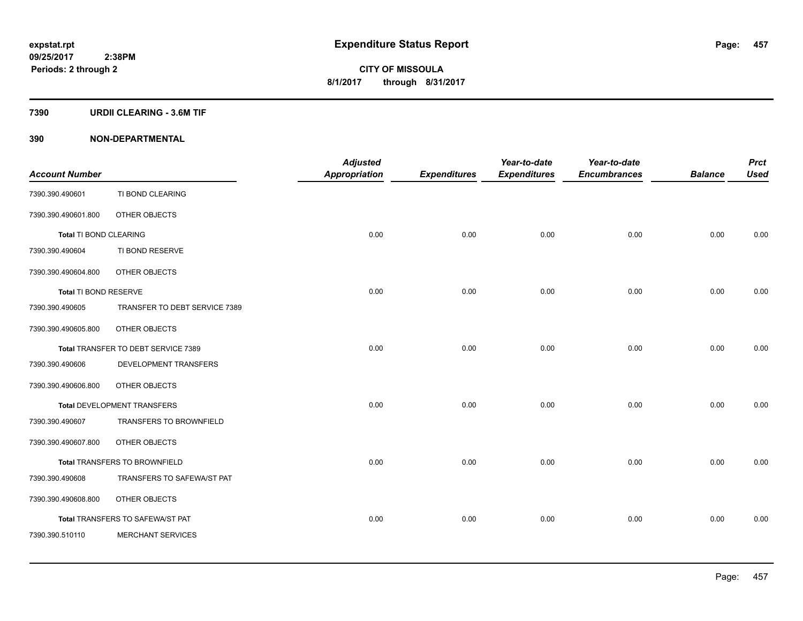### **7390 URDII CLEARING - 3.6M TIF**

|                              |                                     | <b>Adjusted</b>      |                     | Year-to-date        | Year-to-date        |                | <b>Prct</b> |
|------------------------------|-------------------------------------|----------------------|---------------------|---------------------|---------------------|----------------|-------------|
| <b>Account Number</b>        |                                     | <b>Appropriation</b> | <b>Expenditures</b> | <b>Expenditures</b> | <b>Encumbrances</b> | <b>Balance</b> | <b>Used</b> |
| 7390.390.490601              | TI BOND CLEARING                    |                      |                     |                     |                     |                |             |
| 7390.390.490601.800          | OTHER OBJECTS                       |                      |                     |                     |                     |                |             |
| Total TI BOND CLEARING       |                                     | 0.00                 | 0.00                | 0.00                | 0.00                | 0.00           | 0.00        |
| 7390.390.490604              | TI BOND RESERVE                     |                      |                     |                     |                     |                |             |
| 7390.390.490604.800          | OTHER OBJECTS                       |                      |                     |                     |                     |                |             |
| <b>Total TI BOND RESERVE</b> |                                     | 0.00                 | 0.00                | 0.00                | 0.00                | 0.00           | 0.00        |
| 7390.390.490605              | TRANSFER TO DEBT SERVICE 7389       |                      |                     |                     |                     |                |             |
| 7390.390.490605.800          | OTHER OBJECTS                       |                      |                     |                     |                     |                |             |
|                              | Total TRANSFER TO DEBT SERVICE 7389 | 0.00                 | 0.00                | 0.00                | 0.00                | 0.00           | 0.00        |
| 7390.390.490606              | DEVELOPMENT TRANSFERS               |                      |                     |                     |                     |                |             |
| 7390.390.490606.800          | OTHER OBJECTS                       |                      |                     |                     |                     |                |             |
|                              | Total DEVELOPMENT TRANSFERS         | 0.00                 | 0.00                | 0.00                | 0.00                | 0.00           | 0.00        |
| 7390.390.490607              | <b>TRANSFERS TO BROWNFIELD</b>      |                      |                     |                     |                     |                |             |
| 7390.390.490607.800          | OTHER OBJECTS                       |                      |                     |                     |                     |                |             |
|                              | Total TRANSFERS TO BROWNFIELD       | 0.00                 | 0.00                | 0.00                | 0.00                | 0.00           | 0.00        |
| 7390.390.490608              | TRANSFERS TO SAFEWA/ST PAT          |                      |                     |                     |                     |                |             |
| 7390.390.490608.800          | OTHER OBJECTS                       |                      |                     |                     |                     |                |             |
|                              | Total TRANSFERS TO SAFEWA/ST PAT    | 0.00                 | 0.00                | 0.00                | 0.00                | 0.00           | 0.00        |
| 7390.390.510110              | <b>MERCHANT SERVICES</b>            |                      |                     |                     |                     |                |             |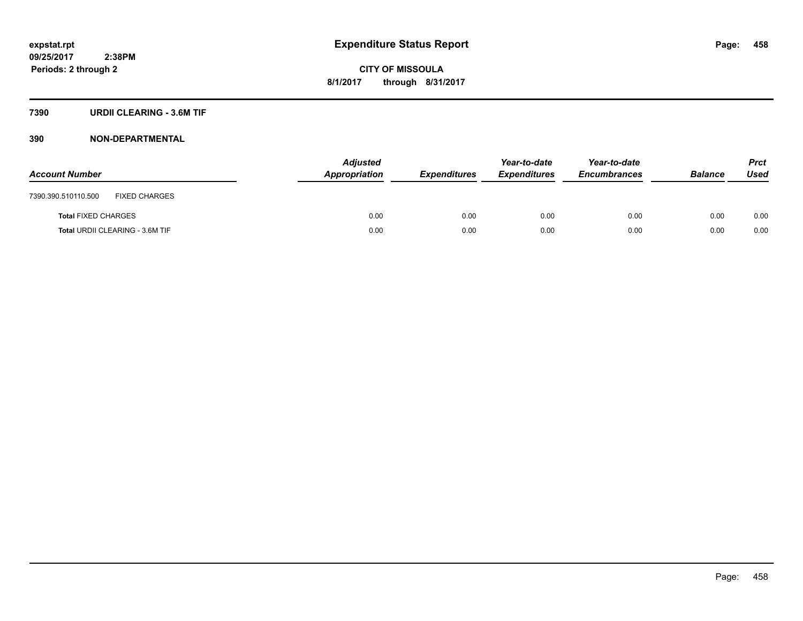# **7390 URDII CLEARING - 3.6M TIF**

| <b>Account Number</b>                       | <b>Adjusted</b><br>Appropriation | <i><b>Expenditures</b></i> | Year-to-date<br><b>Expenditures</b> | Year-to-date<br><b>Encumbrances</b> | <b>Balance</b> | <b>Prct</b><br>Used |
|---------------------------------------------|----------------------------------|----------------------------|-------------------------------------|-------------------------------------|----------------|---------------------|
| <b>FIXED CHARGES</b><br>7390.390.510110.500 |                                  |                            |                                     |                                     |                |                     |
| <b>Total FIXED CHARGES</b>                  | 0.00                             | 0.00                       | 0.00                                | 0.00                                | 0.00           | 0.00                |
| Total URDII CLEARING - 3.6M TIF             | 0.00                             | 0.00                       | 0.00                                | 0.00                                | 0.00           | 0.00                |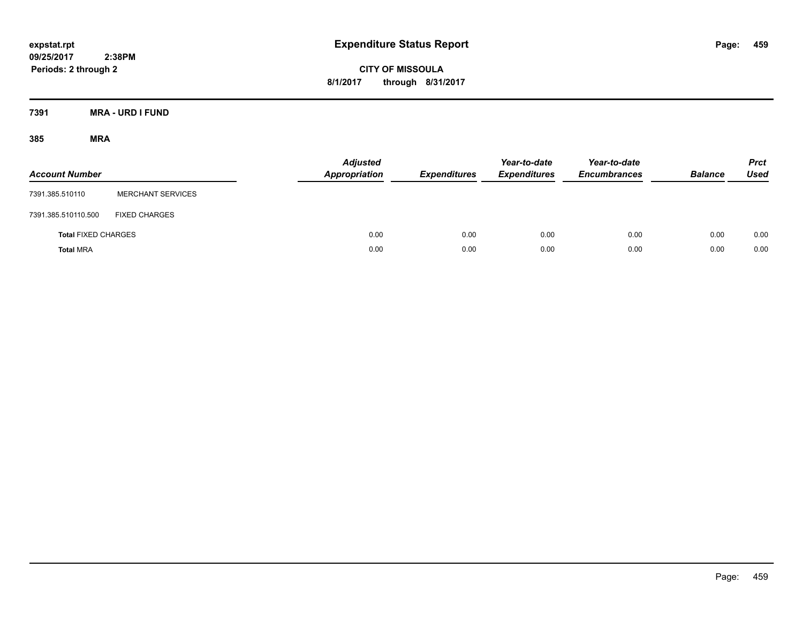**CITY OF MISSOULA 8/1/2017 through 8/31/2017**

**7391 MRA - URD I FUND**

| <b>Account Number</b>      |                          | <b>Adjusted</b><br>Appropriation | <b>Expenditures</b> | Year-to-date<br><b>Expenditures</b> | Year-to-date<br><b>Encumbrances</b> | <b>Balance</b> | <b>Prct</b><br>Used |
|----------------------------|--------------------------|----------------------------------|---------------------|-------------------------------------|-------------------------------------|----------------|---------------------|
| 7391.385.510110            | <b>MERCHANT SERVICES</b> |                                  |                     |                                     |                                     |                |                     |
| 7391.385.510110.500        | <b>FIXED CHARGES</b>     |                                  |                     |                                     |                                     |                |                     |
| <b>Total FIXED CHARGES</b> |                          | 0.00                             | 0.00                | 0.00                                | 0.00                                | 0.00           | 0.00                |
| <b>Total MRA</b>           |                          | 0.00                             | 0.00                | 0.00                                | 0.00                                | 0.00           | 0.00                |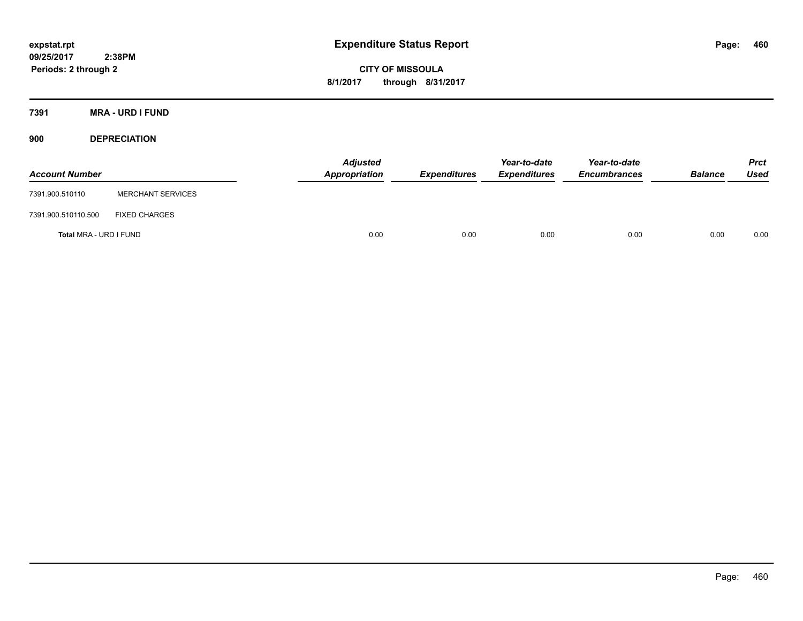**CITY OF MISSOULA 8/1/2017 through 8/31/2017**

**7391 MRA - URD I FUND**

**900 DEPRECIATION**

| <b>Account Number</b>  |                          | Adjusted<br>Appropriation | <b>Expenditures</b> | Year-to-date<br><b>Expenditures</b> | Year-to-date<br><b>Encumbrances</b> | <b>Balance</b> | Prct<br><b>Used</b> |
|------------------------|--------------------------|---------------------------|---------------------|-------------------------------------|-------------------------------------|----------------|---------------------|
| 7391.900.510110        | <b>MERCHANT SERVICES</b> |                           |                     |                                     |                                     |                |                     |
| 7391.900.510110.500    | <b>FIXED CHARGES</b>     |                           |                     |                                     |                                     |                |                     |
| Total MRA - URD I FUND |                          | 0.00                      | 0.00                | 0.00                                | 0.00                                | 0.00           | 0.00                |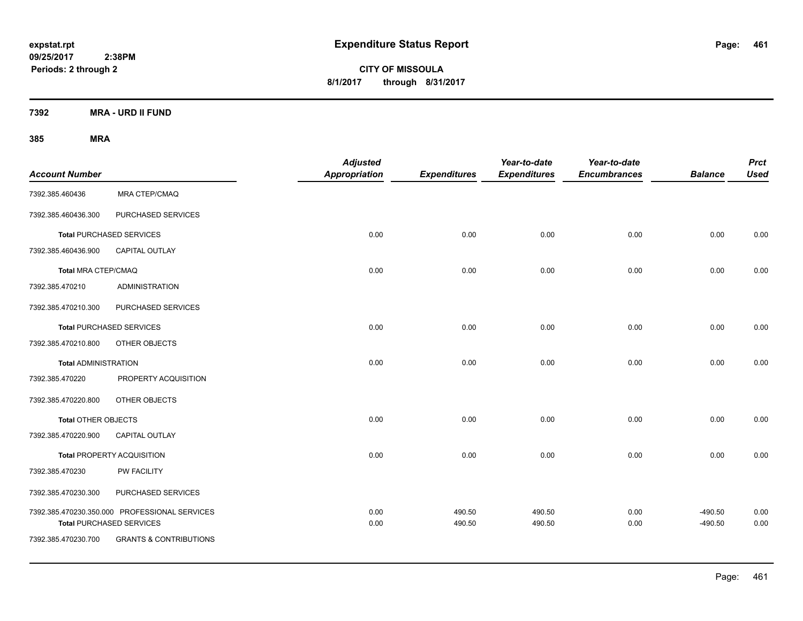**CITY OF MISSOULA 8/1/2017 through 8/31/2017**

**7392 MRA - URD II FUND**

| <b>Account Number</b>       |                                                                                  | <b>Adjusted</b><br>Appropriation | <b>Expenditures</b> | Year-to-date<br><b>Expenditures</b> | Year-to-date<br><b>Encumbrances</b> | <b>Balance</b>         | <b>Prct</b><br><b>Used</b> |
|-----------------------------|----------------------------------------------------------------------------------|----------------------------------|---------------------|-------------------------------------|-------------------------------------|------------------------|----------------------------|
| 7392.385.460436             | MRA CTEP/CMAQ                                                                    |                                  |                     |                                     |                                     |                        |                            |
| 7392.385.460436.300         | PURCHASED SERVICES                                                               |                                  |                     |                                     |                                     |                        |                            |
|                             | <b>Total PURCHASED SERVICES</b>                                                  | 0.00                             | 0.00                | 0.00                                | 0.00                                | 0.00                   | 0.00                       |
| 7392.385.460436.900         | CAPITAL OUTLAY                                                                   |                                  |                     |                                     |                                     |                        |                            |
| <b>Total MRA CTEP/CMAQ</b>  |                                                                                  | 0.00                             | 0.00                | 0.00                                | 0.00                                | 0.00                   | 0.00                       |
| 7392.385.470210             | <b>ADMINISTRATION</b>                                                            |                                  |                     |                                     |                                     |                        |                            |
| 7392.385.470210.300         | PURCHASED SERVICES                                                               |                                  |                     |                                     |                                     |                        |                            |
|                             | <b>Total PURCHASED SERVICES</b>                                                  | 0.00                             | 0.00                | 0.00                                | 0.00                                | 0.00                   | 0.00                       |
| 7392.385.470210.800         | OTHER OBJECTS                                                                    |                                  |                     |                                     |                                     |                        |                            |
| <b>Total ADMINISTRATION</b> |                                                                                  | 0.00                             | 0.00                | 0.00                                | 0.00                                | 0.00                   | 0.00                       |
| 7392.385.470220             | PROPERTY ACQUISITION                                                             |                                  |                     |                                     |                                     |                        |                            |
| 7392.385.470220.800         | OTHER OBJECTS                                                                    |                                  |                     |                                     |                                     |                        |                            |
| Total OTHER OBJECTS         |                                                                                  | 0.00                             | 0.00                | 0.00                                | 0.00                                | 0.00                   | 0.00                       |
| 7392.385.470220.900         | CAPITAL OUTLAY                                                                   |                                  |                     |                                     |                                     |                        |                            |
|                             | <b>Total PROPERTY ACQUISITION</b>                                                | 0.00                             | 0.00                | 0.00                                | 0.00                                | 0.00                   | 0.00                       |
| 7392.385.470230             | PW FACILITY                                                                      |                                  |                     |                                     |                                     |                        |                            |
| 7392.385.470230.300         | PURCHASED SERVICES                                                               |                                  |                     |                                     |                                     |                        |                            |
|                             | 7392.385.470230.350.000 PROFESSIONAL SERVICES<br><b>Total PURCHASED SERVICES</b> | 0.00<br>0.00                     | 490.50<br>490.50    | 490.50<br>490.50                    | 0.00<br>0.00                        | $-490.50$<br>$-490.50$ | 0.00<br>0.00               |
| 7392.385.470230.700         | <b>GRANTS &amp; CONTRIBUTIONS</b>                                                |                                  |                     |                                     |                                     |                        |                            |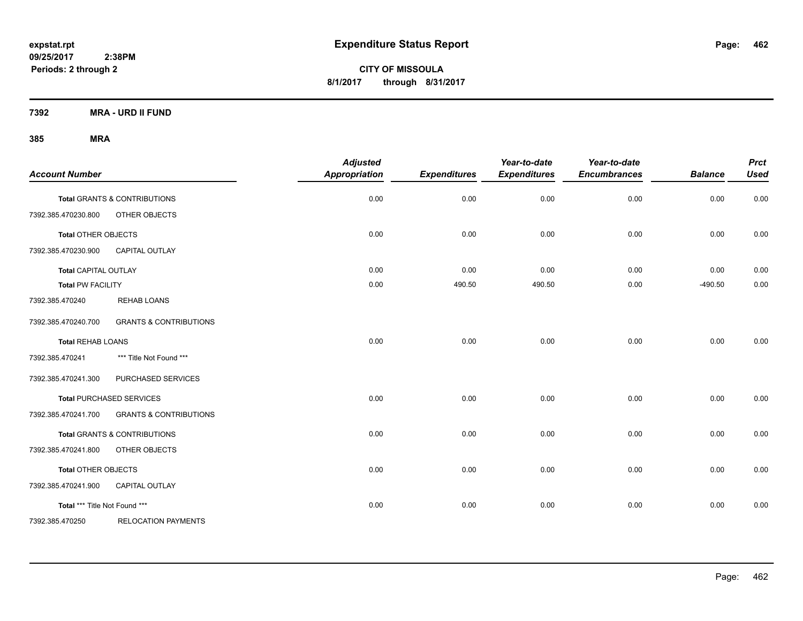**CITY OF MISSOULA 8/1/2017 through 8/31/2017**

**7392 MRA - URD II FUND**

| <b>Account Number</b>         |                                         | <b>Adjusted</b><br>Appropriation | <b>Expenditures</b> | Year-to-date<br><b>Expenditures</b> | Year-to-date<br><b>Encumbrances</b> | <b>Balance</b> | <b>Prct</b><br><b>Used</b> |
|-------------------------------|-----------------------------------------|----------------------------------|---------------------|-------------------------------------|-------------------------------------|----------------|----------------------------|
|                               | <b>Total GRANTS &amp; CONTRIBUTIONS</b> | 0.00                             | 0.00                | 0.00                                | 0.00                                | 0.00           | 0.00                       |
| 7392.385.470230.800           | OTHER OBJECTS                           |                                  |                     |                                     |                                     |                |                            |
| <b>Total OTHER OBJECTS</b>    |                                         | 0.00                             | 0.00                | 0.00                                | 0.00                                | 0.00           | 0.00                       |
| 7392.385.470230.900           | <b>CAPITAL OUTLAY</b>                   |                                  |                     |                                     |                                     |                |                            |
| <b>Total CAPITAL OUTLAY</b>   |                                         | 0.00                             | 0.00                | 0.00                                | 0.00                                | 0.00           | 0.00                       |
| <b>Total PW FACILITY</b>      |                                         | 0.00                             | 490.50              | 490.50                              | 0.00                                | $-490.50$      | 0.00                       |
| 7392.385.470240               | <b>REHAB LOANS</b>                      |                                  |                     |                                     |                                     |                |                            |
| 7392.385.470240.700           | <b>GRANTS &amp; CONTRIBUTIONS</b>       |                                  |                     |                                     |                                     |                |                            |
| <b>Total REHAB LOANS</b>      |                                         | 0.00                             | 0.00                | 0.00                                | 0.00                                | 0.00           | 0.00                       |
| 7392.385.470241               | *** Title Not Found ***                 |                                  |                     |                                     |                                     |                |                            |
| 7392.385.470241.300           | PURCHASED SERVICES                      |                                  |                     |                                     |                                     |                |                            |
|                               | Total PURCHASED SERVICES                | 0.00                             | 0.00                | 0.00                                | 0.00                                | 0.00           | 0.00                       |
| 7392.385.470241.700           | <b>GRANTS &amp; CONTRIBUTIONS</b>       |                                  |                     |                                     |                                     |                |                            |
|                               | Total GRANTS & CONTRIBUTIONS            | 0.00                             | 0.00                | 0.00                                | 0.00                                | 0.00           | 0.00                       |
| 7392.385.470241.800           | OTHER OBJECTS                           |                                  |                     |                                     |                                     |                |                            |
| <b>Total OTHER OBJECTS</b>    |                                         | 0.00                             | 0.00                | 0.00                                | 0.00                                | 0.00           | 0.00                       |
| 7392.385.470241.900           | <b>CAPITAL OUTLAY</b>                   |                                  |                     |                                     |                                     |                |                            |
| Total *** Title Not Found *** |                                         | 0.00                             | 0.00                | 0.00                                | 0.00                                | 0.00           | 0.00                       |
| 7392.385.470250               | <b>RELOCATION PAYMENTS</b>              |                                  |                     |                                     |                                     |                |                            |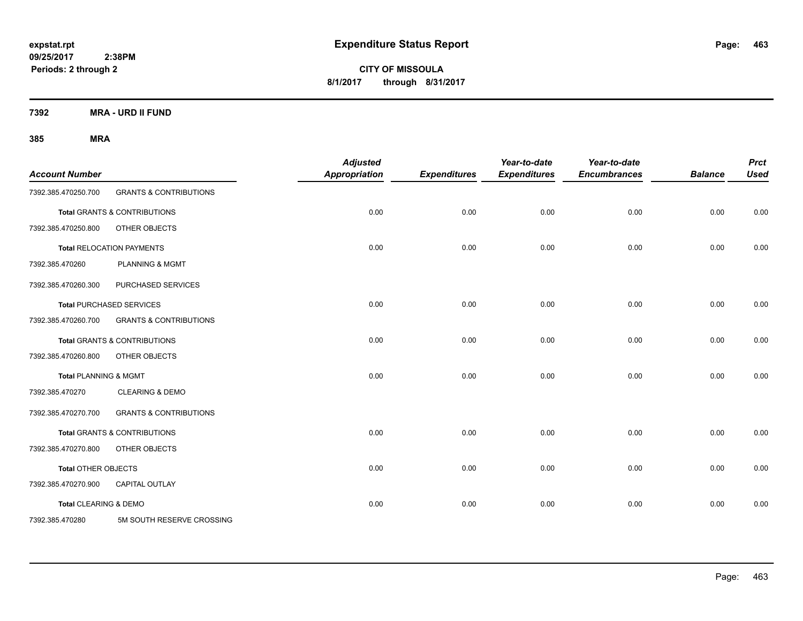**CITY OF MISSOULA 8/1/2017 through 8/31/2017**

**7392 MRA - URD II FUND**

| <b>Account Number</b>      |                                         | <b>Adjusted</b><br><b>Appropriation</b> | <b>Expenditures</b> | Year-to-date<br><b>Expenditures</b> | Year-to-date<br><b>Encumbrances</b> | <b>Balance</b> | <b>Prct</b><br><b>Used</b> |
|----------------------------|-----------------------------------------|-----------------------------------------|---------------------|-------------------------------------|-------------------------------------|----------------|----------------------------|
| 7392.385.470250.700        | <b>GRANTS &amp; CONTRIBUTIONS</b>       |                                         |                     |                                     |                                     |                |                            |
|                            | <b>Total GRANTS &amp; CONTRIBUTIONS</b> | 0.00                                    | 0.00                | 0.00                                | 0.00                                | 0.00           | 0.00                       |
| 7392.385.470250.800        | OTHER OBJECTS                           |                                         |                     |                                     |                                     |                |                            |
|                            | <b>Total RELOCATION PAYMENTS</b>        | 0.00                                    | 0.00                | 0.00                                | 0.00                                | 0.00           | 0.00                       |
| 7392.385.470260            | <b>PLANNING &amp; MGMT</b>              |                                         |                     |                                     |                                     |                |                            |
| 7392.385.470260.300        | PURCHASED SERVICES                      |                                         |                     |                                     |                                     |                |                            |
|                            | <b>Total PURCHASED SERVICES</b>         | 0.00                                    | 0.00                | 0.00                                | 0.00                                | 0.00           | 0.00                       |
| 7392.385.470260.700        | <b>GRANTS &amp; CONTRIBUTIONS</b>       |                                         |                     |                                     |                                     |                |                            |
|                            | <b>Total GRANTS &amp; CONTRIBUTIONS</b> | 0.00                                    | 0.00                | 0.00                                | 0.00                                | 0.00           | 0.00                       |
| 7392.385.470260.800        | OTHER OBJECTS                           |                                         |                     |                                     |                                     |                |                            |
| Total PLANNING & MGMT      |                                         | 0.00                                    | 0.00                | 0.00                                | 0.00                                | 0.00           | 0.00                       |
| 7392.385.470270            | <b>CLEARING &amp; DEMO</b>              |                                         |                     |                                     |                                     |                |                            |
| 7392.385.470270.700        | <b>GRANTS &amp; CONTRIBUTIONS</b>       |                                         |                     |                                     |                                     |                |                            |
|                            | <b>Total GRANTS &amp; CONTRIBUTIONS</b> | 0.00                                    | 0.00                | 0.00                                | 0.00                                | 0.00           | 0.00                       |
| 7392.385.470270.800        | OTHER OBJECTS                           |                                         |                     |                                     |                                     |                |                            |
| <b>Total OTHER OBJECTS</b> |                                         | 0.00                                    | 0.00                | 0.00                                | 0.00                                | 0.00           | 0.00                       |
| 7392.385.470270.900        | CAPITAL OUTLAY                          |                                         |                     |                                     |                                     |                |                            |
| Total CLEARING & DEMO      |                                         | 0.00                                    | 0.00                | 0.00                                | 0.00                                | 0.00           | 0.00                       |
| 7392.385.470280            | 5M SOUTH RESERVE CROSSING               |                                         |                     |                                     |                                     |                |                            |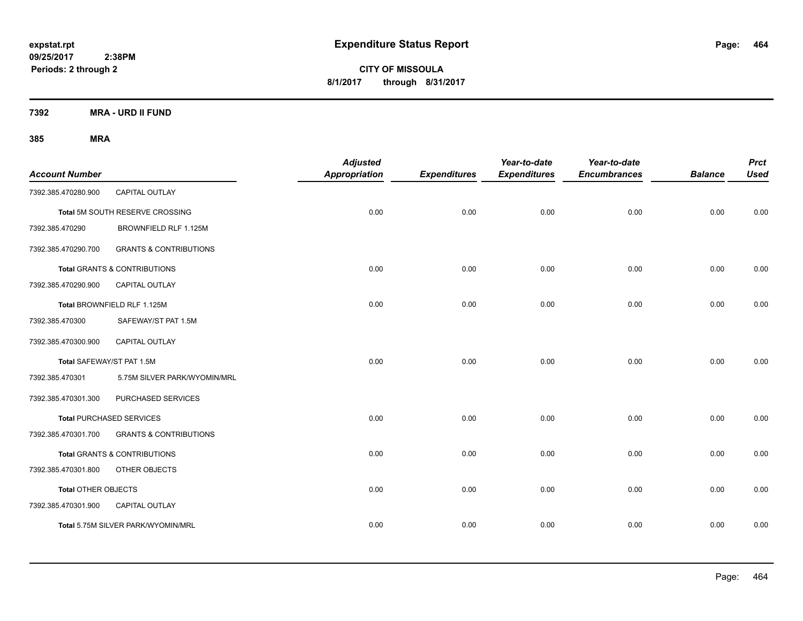**CITY OF MISSOULA 8/1/2017 through 8/31/2017**

**7392 MRA - URD II FUND**

| <b>Account Number</b>     |                                         | <b>Adjusted</b><br>Appropriation | <b>Expenditures</b> | Year-to-date<br><b>Expenditures</b> | Year-to-date<br><b>Encumbrances</b> | <b>Balance</b> | <b>Prct</b><br><b>Used</b> |
|---------------------------|-----------------------------------------|----------------------------------|---------------------|-------------------------------------|-------------------------------------|----------------|----------------------------|
| 7392.385.470280.900       | CAPITAL OUTLAY                          |                                  |                     |                                     |                                     |                |                            |
|                           | Total 5M SOUTH RESERVE CROSSING         | 0.00                             | 0.00                | 0.00                                | 0.00                                | 0.00           | 0.00                       |
| 7392.385.470290           | BROWNFIELD RLF 1.125M                   |                                  |                     |                                     |                                     |                |                            |
| 7392.385.470290.700       | <b>GRANTS &amp; CONTRIBUTIONS</b>       |                                  |                     |                                     |                                     |                |                            |
|                           | <b>Total GRANTS &amp; CONTRIBUTIONS</b> | 0.00                             | 0.00                | 0.00                                | 0.00                                | 0.00           | 0.00                       |
| 7392.385.470290.900       | CAPITAL OUTLAY                          |                                  |                     |                                     |                                     |                |                            |
|                           | Total BROWNFIELD RLF 1.125M             | 0.00                             | 0.00                | 0.00                                | 0.00                                | 0.00           | 0.00                       |
| 7392.385.470300           | SAFEWAY/ST PAT 1.5M                     |                                  |                     |                                     |                                     |                |                            |
| 7392.385.470300.900       | CAPITAL OUTLAY                          |                                  |                     |                                     |                                     |                |                            |
| Total SAFEWAY/ST PAT 1.5M |                                         | 0.00                             | 0.00                | 0.00                                | 0.00                                | 0.00           | 0.00                       |
| 7392.385.470301           | 5.75M SILVER PARK/WYOMIN/MRL            |                                  |                     |                                     |                                     |                |                            |
| 7392.385.470301.300       | PURCHASED SERVICES                      |                                  |                     |                                     |                                     |                |                            |
|                           | <b>Total PURCHASED SERVICES</b>         | 0.00                             | 0.00                | 0.00                                | 0.00                                | 0.00           | 0.00                       |
| 7392.385.470301.700       | <b>GRANTS &amp; CONTRIBUTIONS</b>       |                                  |                     |                                     |                                     |                |                            |
|                           | <b>Total GRANTS &amp; CONTRIBUTIONS</b> | 0.00                             | 0.00                | 0.00                                | 0.00                                | 0.00           | 0.00                       |
| 7392.385.470301.800       | OTHER OBJECTS                           |                                  |                     |                                     |                                     |                |                            |
| Total OTHER OBJECTS       |                                         | 0.00                             | 0.00                | 0.00                                | 0.00                                | 0.00           | 0.00                       |
| 7392.385.470301.900       | CAPITAL OUTLAY                          |                                  |                     |                                     |                                     |                |                            |
|                           | Total 5.75M SILVER PARK/WYOMIN/MRL      | 0.00                             | 0.00                | 0.00                                | 0.00                                | 0.00           | 0.00                       |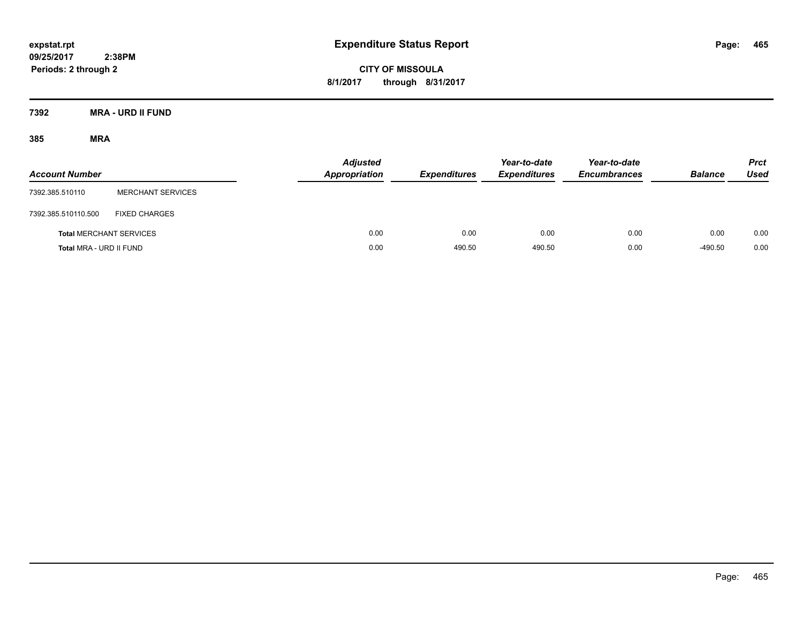**CITY OF MISSOULA 8/1/2017 through 8/31/2017**

**7392 MRA - URD II FUND**

| <b>Account Number</b>   |                                | <b>Adjusted</b><br><b>Appropriation</b> | <b>Expenditures</b> | Year-to-date<br><b>Expenditures</b> | Year-to-date<br><b>Encumbrances</b> | <b>Balance</b> | <b>Prct</b><br><b>Used</b> |
|-------------------------|--------------------------------|-----------------------------------------|---------------------|-------------------------------------|-------------------------------------|----------------|----------------------------|
| 7392.385.510110         | <b>MERCHANT SERVICES</b>       |                                         |                     |                                     |                                     |                |                            |
| 7392.385.510110.500     | <b>FIXED CHARGES</b>           |                                         |                     |                                     |                                     |                |                            |
|                         | <b>Total MERCHANT SERVICES</b> | 0.00                                    | 0.00                | 0.00                                | 0.00                                | 0.00           | 0.00                       |
| Total MRA - URD II FUND |                                | 0.00                                    | 490.50              | 490.50                              | 0.00                                | $-490.50$      | 0.00                       |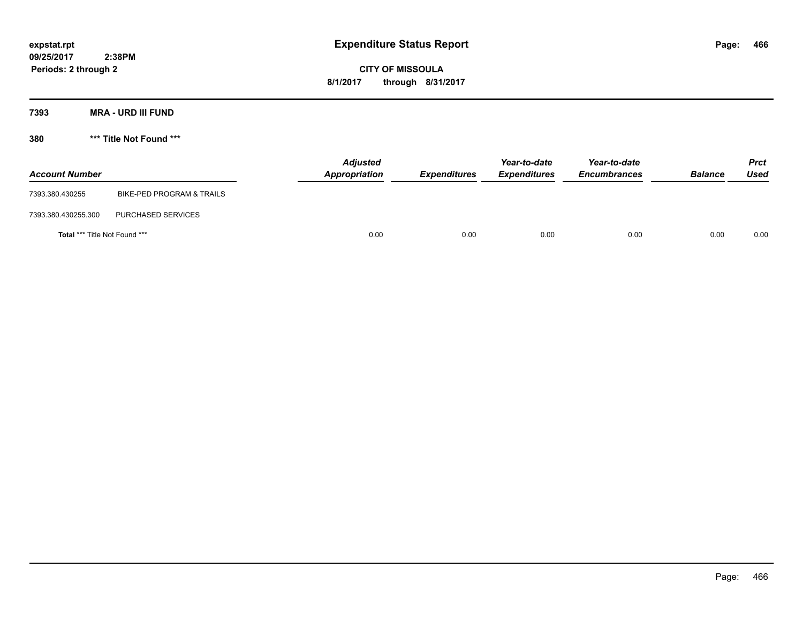**CITY OF MISSOULA 8/1/2017 through 8/31/2017**

**7393 MRA - URD III FUND**

**380 \*\*\* Title Not Found \*\*\***

| <b>Account Number</b>                |                           | <b>Adjusted</b><br>Appropriation | <b>Expenditures</b> | Year-to-date<br><b>Expenditures</b> | Year-to-date<br><b>Encumbrances</b> | <b>Balance</b> | <b>Prct</b><br>Used |
|--------------------------------------|---------------------------|----------------------------------|---------------------|-------------------------------------|-------------------------------------|----------------|---------------------|
| 7393.380.430255                      | BIKE-PED PROGRAM & TRAILS |                                  |                     |                                     |                                     |                |                     |
| 7393.380.430255.300                  | PURCHASED SERVICES        |                                  |                     |                                     |                                     |                |                     |
| <b>Total *** Title Not Found ***</b> |                           | 0.00                             | 0.00                | 0.00                                | 0.00                                | 0.00           | 0.00                |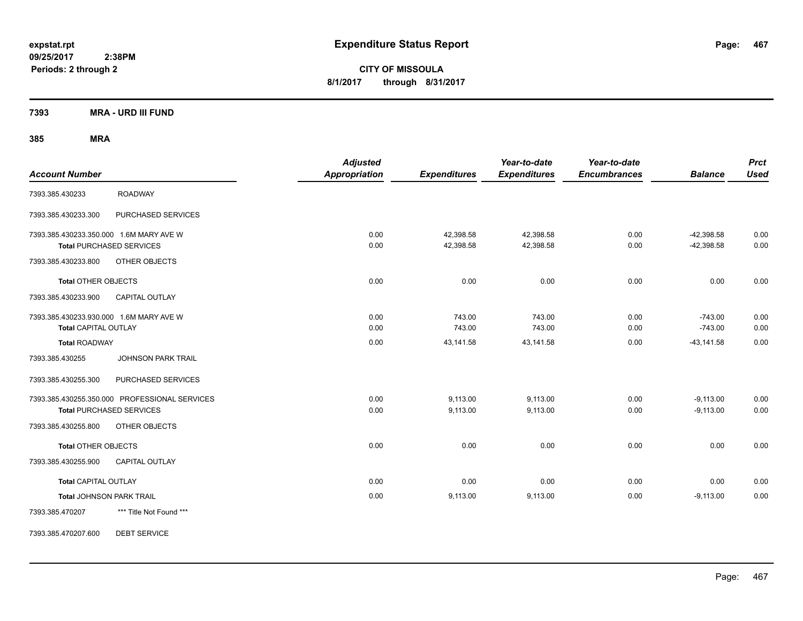**CITY OF MISSOULA 8/1/2017 through 8/31/2017**

**7393 MRA - URD III FUND**

**385 MRA**

| <b>Account Number</b>                                                      | <b>Adjusted</b><br><b>Appropriation</b> | <b>Expenditures</b>    | Year-to-date<br><b>Expenditures</b> | Year-to-date<br><b>Encumbrances</b> | <b>Balance</b>               | <b>Prct</b><br><b>Used</b> |
|----------------------------------------------------------------------------|-----------------------------------------|------------------------|-------------------------------------|-------------------------------------|------------------------------|----------------------------|
| <b>ROADWAY</b><br>7393.385.430233                                          |                                         |                        |                                     |                                     |                              |                            |
| PURCHASED SERVICES<br>7393.385.430233.300                                  |                                         |                        |                                     |                                     |                              |                            |
| 7393.385.430233.350.000 1.6M MARY AVE W<br><b>Total PURCHASED SERVICES</b> | 0.00<br>0.00                            | 42,398.58<br>42,398.58 | 42,398.58<br>42,398.58              | 0.00<br>0.00                        | $-42,398.58$<br>$-42,398.58$ | 0.00<br>0.00               |
| 7393.385.430233.800<br>OTHER OBJECTS                                       |                                         |                        |                                     |                                     |                              |                            |
| <b>Total OTHER OBJECTS</b>                                                 | 0.00                                    | 0.00                   | 0.00                                | 0.00                                | 0.00                         | 0.00                       |
| 7393.385.430233.900<br><b>CAPITAL OUTLAY</b>                               |                                         |                        |                                     |                                     |                              |                            |
| 7393.385.430233.930.000 1.6M MARY AVE W<br><b>Total CAPITAL OUTLAY</b>     | 0.00<br>0.00                            | 743.00<br>743.00       | 743.00<br>743.00                    | 0.00<br>0.00                        | $-743.00$<br>$-743.00$       | 0.00<br>0.00               |
| <b>Total ROADWAY</b>                                                       | 0.00                                    | 43,141.58              | 43,141.58                           | 0.00                                | $-43, 141.58$                | 0.00                       |
| 7393.385.430255<br><b>JOHNSON PARK TRAIL</b>                               |                                         |                        |                                     |                                     |                              |                            |
| PURCHASED SERVICES<br>7393.385.430255.300                                  |                                         |                        |                                     |                                     |                              |                            |
| 7393.385.430255.350.000 PROFESSIONAL SERVICES                              | 0.00                                    | 9,113.00               | 9,113.00                            | 0.00                                | $-9,113.00$                  | 0.00                       |
| <b>Total PURCHASED SERVICES</b>                                            | 0.00                                    | 9,113.00               | 9,113.00                            | 0.00                                | $-9,113.00$                  | 0.00                       |
| 7393.385.430255.800<br>OTHER OBJECTS                                       |                                         |                        |                                     |                                     |                              |                            |
| <b>Total OTHER OBJECTS</b>                                                 | 0.00                                    | 0.00                   | 0.00                                | 0.00                                | 0.00                         | 0.00                       |
| 7393.385.430255.900<br><b>CAPITAL OUTLAY</b>                               |                                         |                        |                                     |                                     |                              |                            |
| <b>Total CAPITAL OUTLAY</b>                                                | 0.00                                    | 0.00                   | 0.00                                | 0.00                                | 0.00                         | 0.00                       |
| <b>Total JOHNSON PARK TRAIL</b>                                            | 0.00                                    | 9,113.00               | 9,113.00                            | 0.00                                | $-9,113.00$                  | 0.00                       |
| *** Title Not Found ***<br>7393.385.470207                                 |                                         |                        |                                     |                                     |                              |                            |

7393.385.470207.600 DEBT SERVICE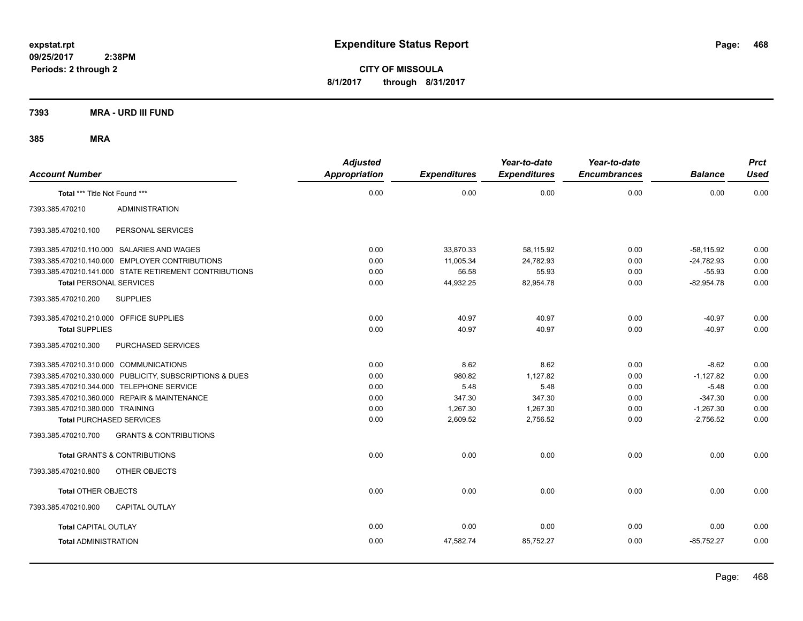**CITY OF MISSOULA 8/1/2017 through 8/31/2017**

**7393 MRA - URD III FUND**

| <b>Account Number</b>                                    | <b>Adjusted</b><br><b>Appropriation</b> | <b>Expenditures</b> | Year-to-date<br><b>Expenditures</b> | Year-to-date<br><b>Encumbrances</b> | <b>Balance</b> | <b>Prct</b><br><b>Used</b> |
|----------------------------------------------------------|-----------------------------------------|---------------------|-------------------------------------|-------------------------------------|----------------|----------------------------|
| Total *** Title Not Found ***                            | 0.00                                    | 0.00                | 0.00                                | 0.00                                | 0.00           | 0.00                       |
| 7393.385.470210<br><b>ADMINISTRATION</b>                 |                                         |                     |                                     |                                     |                |                            |
| 7393.385.470210.100<br>PERSONAL SERVICES                 |                                         |                     |                                     |                                     |                |                            |
| 7393.385.470210.110.000 SALARIES AND WAGES               | 0.00                                    | 33,870.33           | 58,115.92                           | 0.00                                | $-58,115.92$   | 0.00                       |
| 7393.385.470210.140.000 EMPLOYER CONTRIBUTIONS           | 0.00                                    | 11,005.34           | 24,782.93                           | 0.00                                | $-24,782.93$   | 0.00                       |
| 7393.385.470210.141.000 STATE RETIREMENT CONTRIBUTIONS   | 0.00                                    | 56.58               | 55.93                               | 0.00                                | $-55.93$       | 0.00                       |
| <b>Total PERSONAL SERVICES</b>                           | 0.00                                    | 44,932.25           | 82,954.78                           | 0.00                                | $-82,954.78$   | 0.00                       |
| 7393.385.470210.200<br><b>SUPPLIES</b>                   |                                         |                     |                                     |                                     |                |                            |
| 7393.385.470210.210.000 OFFICE SUPPLIES                  | 0.00                                    | 40.97               | 40.97                               | 0.00                                | $-40.97$       | 0.00                       |
| <b>Total SUPPLIES</b>                                    | 0.00                                    | 40.97               | 40.97                               | 0.00                                | $-40.97$       | 0.00                       |
| 7393.385.470210.300<br>PURCHASED SERVICES                |                                         |                     |                                     |                                     |                |                            |
| 7393.385.470210.310.000 COMMUNICATIONS                   | 0.00                                    | 8.62                | 8.62                                | 0.00                                | $-8.62$        | 0.00                       |
| 7393.385.470210.330.000 PUBLICITY, SUBSCRIPTIONS & DUES  | 0.00                                    | 980.82              | 1.127.82                            | 0.00                                | $-1.127.82$    | 0.00                       |
| 7393.385.470210.344.000 TELEPHONE SERVICE                | 0.00                                    | 5.48                | 5.48                                | 0.00                                | $-5.48$        | 0.00                       |
| 7393.385.470210.360.000 REPAIR & MAINTENANCE             | 0.00                                    | 347.30              | 347.30                              | 0.00                                | $-347.30$      | 0.00                       |
| 7393.385.470210.380.000 TRAINING                         | 0.00                                    | 1.267.30            | 1,267.30                            | 0.00                                | $-1,267.30$    | 0.00                       |
| <b>Total PURCHASED SERVICES</b>                          | 0.00                                    | 2,609.52            | 2,756.52                            | 0.00                                | $-2.756.52$    | 0.00                       |
| <b>GRANTS &amp; CONTRIBUTIONS</b><br>7393.385.470210.700 |                                         |                     |                                     |                                     |                |                            |
| <b>Total GRANTS &amp; CONTRIBUTIONS</b>                  | 0.00                                    | 0.00                | 0.00                                | 0.00                                | 0.00           | 0.00                       |
| 7393.385.470210.800<br>OTHER OBJECTS                     |                                         |                     |                                     |                                     |                |                            |
| <b>Total OTHER OBJECTS</b>                               | 0.00                                    | 0.00                | 0.00                                | 0.00                                | 0.00           | 0.00                       |
| 7393.385.470210.900<br><b>CAPITAL OUTLAY</b>             |                                         |                     |                                     |                                     |                |                            |
| <b>Total CAPITAL OUTLAY</b>                              | 0.00                                    | 0.00                | 0.00                                | 0.00                                | 0.00           | 0.00                       |
| <b>Total ADMINISTRATION</b>                              | 0.00                                    | 47,582.74           | 85,752.27                           | 0.00                                | $-85.752.27$   | 0.00                       |
|                                                          |                                         |                     |                                     |                                     |                |                            |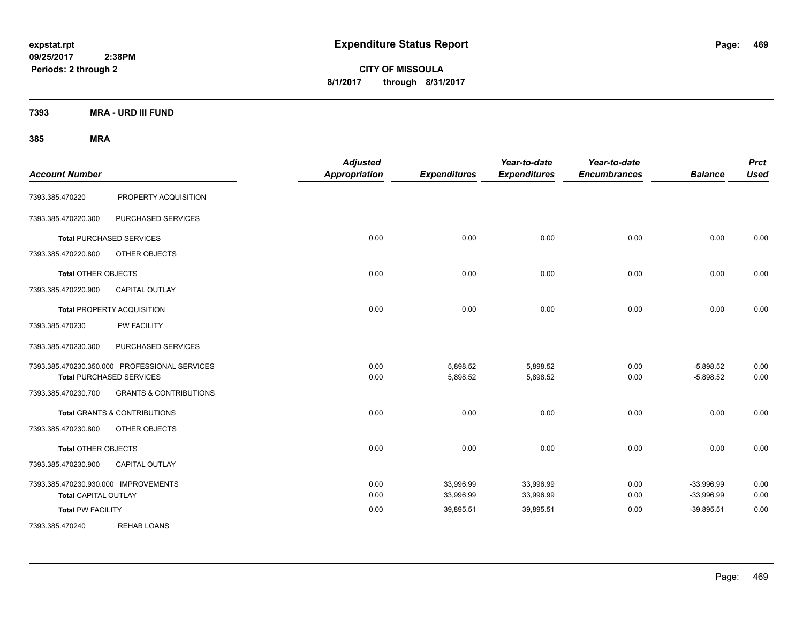**CITY OF MISSOULA 8/1/2017 through 8/31/2017**

**7393 MRA - URD III FUND**

| <b>Account Number</b>                |                                               | <b>Adjusted</b><br><b>Appropriation</b> | <b>Expenditures</b> | Year-to-date<br><b>Expenditures</b> | Year-to-date<br><b>Encumbrances</b> | <b>Balance</b> | <b>Prct</b><br><b>Used</b> |
|--------------------------------------|-----------------------------------------------|-----------------------------------------|---------------------|-------------------------------------|-------------------------------------|----------------|----------------------------|
| 7393.385.470220                      | PROPERTY ACQUISITION                          |                                         |                     |                                     |                                     |                |                            |
| 7393.385.470220.300                  | PURCHASED SERVICES                            |                                         |                     |                                     |                                     |                |                            |
|                                      | <b>Total PURCHASED SERVICES</b>               | 0.00                                    | 0.00                | 0.00                                | 0.00                                | 0.00           | 0.00                       |
| 7393.385.470220.800                  | OTHER OBJECTS                                 |                                         |                     |                                     |                                     |                |                            |
| <b>Total OTHER OBJECTS</b>           |                                               | 0.00                                    | 0.00                | 0.00                                | 0.00                                | 0.00           | 0.00                       |
| 7393.385.470220.900                  | CAPITAL OUTLAY                                |                                         |                     |                                     |                                     |                |                            |
|                                      | <b>Total PROPERTY ACQUISITION</b>             | 0.00                                    | 0.00                | 0.00                                | 0.00                                | 0.00           | 0.00                       |
| 7393.385.470230                      | <b>PW FACILITY</b>                            |                                         |                     |                                     |                                     |                |                            |
| 7393.385.470230.300                  | PURCHASED SERVICES                            |                                         |                     |                                     |                                     |                |                            |
|                                      | 7393.385.470230.350.000 PROFESSIONAL SERVICES | 0.00                                    | 5,898.52            | 5,898.52                            | 0.00                                | $-5,898.52$    | 0.00                       |
|                                      | <b>Total PURCHASED SERVICES</b>               | 0.00                                    | 5,898.52            | 5,898.52                            | 0.00                                | $-5,898.52$    | 0.00                       |
| 7393.385.470230.700                  | <b>GRANTS &amp; CONTRIBUTIONS</b>             |                                         |                     |                                     |                                     |                |                            |
|                                      | <b>Total GRANTS &amp; CONTRIBUTIONS</b>       | 0.00                                    | 0.00                | 0.00                                | 0.00                                | 0.00           | 0.00                       |
| 7393.385.470230.800                  | OTHER OBJECTS                                 |                                         |                     |                                     |                                     |                |                            |
| <b>Total OTHER OBJECTS</b>           |                                               | 0.00                                    | 0.00                | 0.00                                | 0.00                                | 0.00           | 0.00                       |
| 7393.385.470230.900                  | <b>CAPITAL OUTLAY</b>                         |                                         |                     |                                     |                                     |                |                            |
| 7393.385.470230.930.000 IMPROVEMENTS |                                               | 0.00                                    | 33,996.99           | 33,996.99                           | 0.00                                | $-33,996.99$   | 0.00                       |
| <b>Total CAPITAL OUTLAY</b>          |                                               | 0.00                                    | 33,996.99           | 33,996.99                           | 0.00                                | $-33,996.99$   | 0.00                       |
| <b>Total PW FACILITY</b>             |                                               | 0.00                                    | 39,895.51           | 39,895.51                           | 0.00                                | $-39,895.51$   | 0.00                       |
| 7393.385.470240                      | <b>REHAB LOANS</b>                            |                                         |                     |                                     |                                     |                |                            |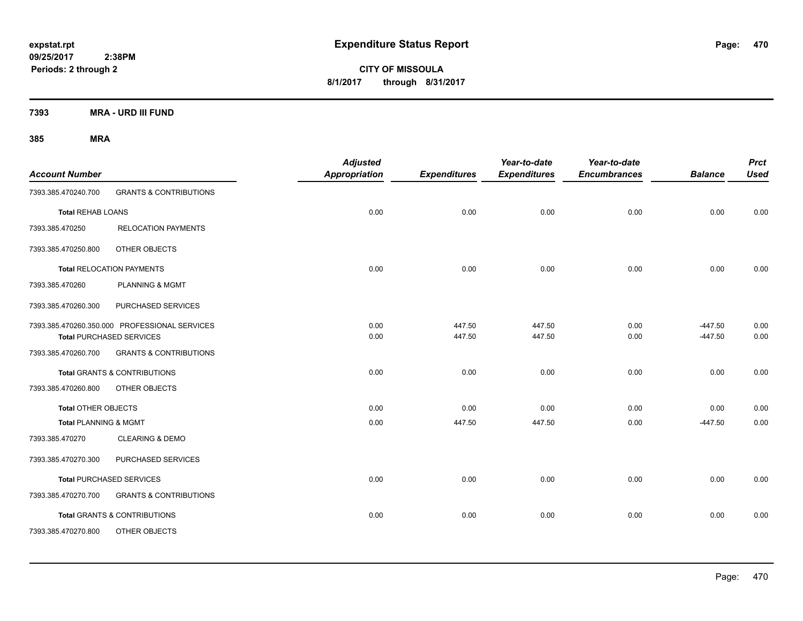**CITY OF MISSOULA 8/1/2017 through 8/31/2017**

**7393 MRA - URD III FUND**

| <b>Account Number</b>            |                                                                                  | <b>Adjusted</b><br><b>Appropriation</b> | <b>Expenditures</b> | Year-to-date<br><b>Expenditures</b> | Year-to-date<br><b>Encumbrances</b> | <b>Balance</b>         | <b>Prct</b><br><b>Used</b> |
|----------------------------------|----------------------------------------------------------------------------------|-----------------------------------------|---------------------|-------------------------------------|-------------------------------------|------------------------|----------------------------|
| 7393.385.470240.700              | <b>GRANTS &amp; CONTRIBUTIONS</b>                                                |                                         |                     |                                     |                                     |                        |                            |
| <b>Total REHAB LOANS</b>         |                                                                                  | 0.00                                    | 0.00                | 0.00                                | 0.00                                | 0.00                   | 0.00                       |
| 7393.385.470250                  | <b>RELOCATION PAYMENTS</b>                                                       |                                         |                     |                                     |                                     |                        |                            |
| 7393.385.470250.800              | OTHER OBJECTS                                                                    |                                         |                     |                                     |                                     |                        |                            |
|                                  | Total RELOCATION PAYMENTS                                                        | 0.00                                    | 0.00                | 0.00                                | 0.00                                | 0.00                   | 0.00                       |
| 7393.385.470260                  | PLANNING & MGMT                                                                  |                                         |                     |                                     |                                     |                        |                            |
| 7393.385.470260.300              | PURCHASED SERVICES                                                               |                                         |                     |                                     |                                     |                        |                            |
|                                  | 7393.385.470260.350.000 PROFESSIONAL SERVICES<br><b>Total PURCHASED SERVICES</b> | 0.00<br>0.00                            | 447.50<br>447.50    | 447.50<br>447.50                    | 0.00<br>0.00                        | $-447.50$<br>$-447.50$ | 0.00<br>0.00               |
| 7393.385.470260.700              | <b>GRANTS &amp; CONTRIBUTIONS</b>                                                |                                         |                     |                                     |                                     |                        |                            |
|                                  | <b>Total GRANTS &amp; CONTRIBUTIONS</b>                                          | 0.00                                    | 0.00                | 0.00                                | 0.00                                | 0.00                   | 0.00                       |
| 7393.385.470260.800              | OTHER OBJECTS                                                                    |                                         |                     |                                     |                                     |                        |                            |
| <b>Total OTHER OBJECTS</b>       |                                                                                  | 0.00                                    | 0.00                | 0.00                                | 0.00                                | 0.00                   | 0.00                       |
| <b>Total PLANNING &amp; MGMT</b> |                                                                                  | 0.00                                    | 447.50              | 447.50                              | 0.00                                | $-447.50$              | 0.00                       |
| 7393.385.470270                  | <b>CLEARING &amp; DEMO</b>                                                       |                                         |                     |                                     |                                     |                        |                            |
| 7393.385.470270.300              | PURCHASED SERVICES                                                               |                                         |                     |                                     |                                     |                        |                            |
|                                  | <b>Total PURCHASED SERVICES</b>                                                  | 0.00                                    | 0.00                | 0.00                                | 0.00                                | 0.00                   | 0.00                       |
| 7393.385.470270.700              | <b>GRANTS &amp; CONTRIBUTIONS</b>                                                |                                         |                     |                                     |                                     |                        |                            |
|                                  | <b>Total GRANTS &amp; CONTRIBUTIONS</b>                                          | 0.00                                    | 0.00                | 0.00                                | 0.00                                | 0.00                   | 0.00                       |
| 7393.385.470270.800              | OTHER OBJECTS                                                                    |                                         |                     |                                     |                                     |                        |                            |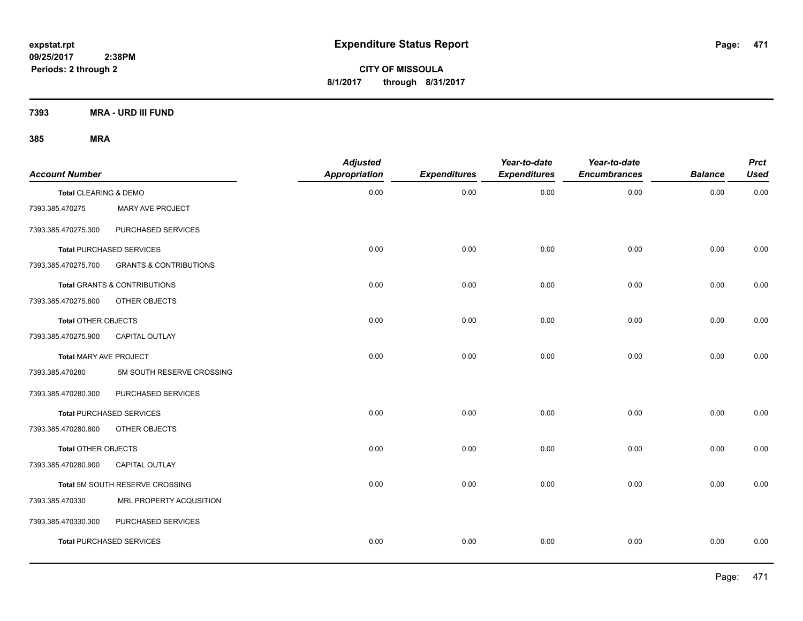**CITY OF MISSOULA 8/1/2017 through 8/31/2017**

**7393 MRA - URD III FUND**

| <b>Account Number</b>      |                                   | <b>Adjusted</b><br><b>Appropriation</b> | <b>Expenditures</b> | Year-to-date<br><b>Expenditures</b> | Year-to-date<br><b>Encumbrances</b> | <b>Balance</b> | <b>Prct</b><br><b>Used</b> |
|----------------------------|-----------------------------------|-----------------------------------------|---------------------|-------------------------------------|-------------------------------------|----------------|----------------------------|
| Total CLEARING & DEMO      |                                   | 0.00                                    | 0.00                | 0.00                                | 0.00                                | 0.00           | 0.00                       |
| 7393.385.470275            | MARY AVE PROJECT                  |                                         |                     |                                     |                                     |                |                            |
| 7393.385.470275.300        | PURCHASED SERVICES                |                                         |                     |                                     |                                     |                |                            |
|                            | <b>Total PURCHASED SERVICES</b>   | 0.00                                    | 0.00                | 0.00                                | 0.00                                | 0.00           | 0.00                       |
| 7393.385.470275.700        | <b>GRANTS &amp; CONTRIBUTIONS</b> |                                         |                     |                                     |                                     |                |                            |
|                            | Total GRANTS & CONTRIBUTIONS      | 0.00                                    | 0.00                | 0.00                                | 0.00                                | 0.00           | 0.00                       |
| 7393.385.470275.800        | OTHER OBJECTS                     |                                         |                     |                                     |                                     |                |                            |
| <b>Total OTHER OBJECTS</b> |                                   | 0.00                                    | 0.00                | 0.00                                | 0.00                                | 0.00           | 0.00                       |
| 7393.385.470275.900        | CAPITAL OUTLAY                    |                                         |                     |                                     |                                     |                |                            |
| Total MARY AVE PROJECT     |                                   | 0.00                                    | 0.00                | 0.00                                | 0.00                                | 0.00           | 0.00                       |
| 7393.385.470280            | 5M SOUTH RESERVE CROSSING         |                                         |                     |                                     |                                     |                |                            |
| 7393.385.470280.300        | PURCHASED SERVICES                |                                         |                     |                                     |                                     |                |                            |
|                            | <b>Total PURCHASED SERVICES</b>   | 0.00                                    | 0.00                | 0.00                                | 0.00                                | 0.00           | 0.00                       |
| 7393.385.470280.800        | OTHER OBJECTS                     |                                         |                     |                                     |                                     |                |                            |
| Total OTHER OBJECTS        |                                   | 0.00                                    | 0.00                | 0.00                                | 0.00                                | 0.00           | 0.00                       |
| 7393.385.470280.900        | CAPITAL OUTLAY                    |                                         |                     |                                     |                                     |                |                            |
|                            | Total 5M SOUTH RESERVE CROSSING   | 0.00                                    | 0.00                | 0.00                                | 0.00                                | 0.00           | 0.00                       |
| 7393.385.470330            | MRL PROPERTY ACQUSITION           |                                         |                     |                                     |                                     |                |                            |
| 7393.385.470330.300        | PURCHASED SERVICES                |                                         |                     |                                     |                                     |                |                            |
|                            | <b>Total PURCHASED SERVICES</b>   | 0.00                                    | 0.00                | 0.00                                | 0.00                                | 0.00           | 0.00                       |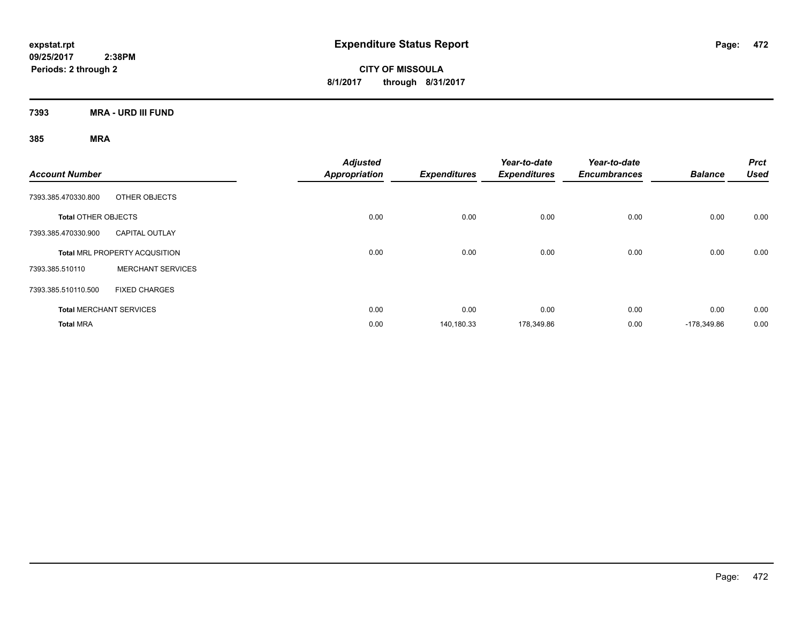**CITY OF MISSOULA 8/1/2017 through 8/31/2017**

**7393 MRA - URD III FUND**

| <b>Account Number</b>          |                                      | <b>Adjusted</b><br><b>Appropriation</b> | <b>Expenditures</b> | Year-to-date<br><b>Expenditures</b> | Year-to-date<br><b>Encumbrances</b> | <b>Balance</b> | <b>Prct</b><br><b>Used</b> |
|--------------------------------|--------------------------------------|-----------------------------------------|---------------------|-------------------------------------|-------------------------------------|----------------|----------------------------|
| 7393.385.470330.800            | OTHER OBJECTS                        |                                         |                     |                                     |                                     |                |                            |
| <b>Total OTHER OBJECTS</b>     |                                      | 0.00                                    | 0.00                | 0.00                                | 0.00                                | 0.00           | 0.00                       |
| 7393.385.470330.900            | <b>CAPITAL OUTLAY</b>                |                                         |                     |                                     |                                     |                |                            |
|                                | <b>Total MRL PROPERTY ACQUSITION</b> | 0.00                                    | 0.00                | 0.00                                | 0.00                                | 0.00           | 0.00                       |
| 7393.385.510110                | <b>MERCHANT SERVICES</b>             |                                         |                     |                                     |                                     |                |                            |
| 7393.385.510110.500            | <b>FIXED CHARGES</b>                 |                                         |                     |                                     |                                     |                |                            |
| <b>Total MERCHANT SERVICES</b> |                                      | 0.00                                    | 0.00                | 0.00                                | 0.00                                | 0.00           | 0.00                       |
| <b>Total MRA</b>               |                                      | 0.00                                    | 140,180.33          | 178,349.86                          | 0.00                                | -178.349.86    | 0.00                       |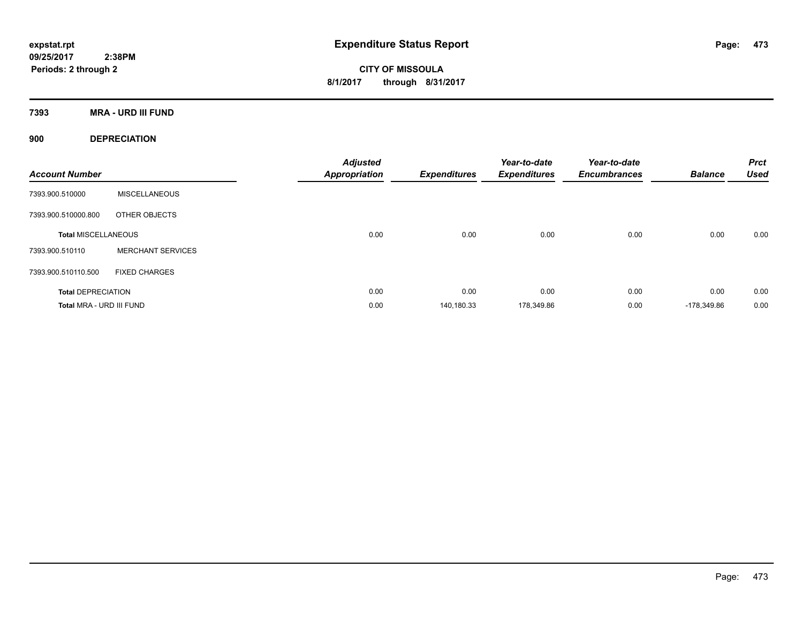**CITY OF MISSOULA 8/1/2017 through 8/31/2017**

**7393 MRA - URD III FUND**

**900 DEPRECIATION**

| <b>Account Number</b>      |                          | <b>Adjusted</b><br><b>Appropriation</b> | <b>Expenditures</b> | Year-to-date<br><b>Expenditures</b> | Year-to-date<br><b>Encumbrances</b> | <b>Balance</b> | <b>Prct</b><br><b>Used</b> |
|----------------------------|--------------------------|-----------------------------------------|---------------------|-------------------------------------|-------------------------------------|----------------|----------------------------|
| 7393.900.510000            | <b>MISCELLANEOUS</b>     |                                         |                     |                                     |                                     |                |                            |
| 7393.900.510000.800        | OTHER OBJECTS            |                                         |                     |                                     |                                     |                |                            |
| <b>Total MISCELLANEOUS</b> |                          | 0.00                                    | 0.00                | 0.00                                | 0.00                                | 0.00           | 0.00                       |
| 7393.900.510110            | <b>MERCHANT SERVICES</b> |                                         |                     |                                     |                                     |                |                            |
| 7393.900.510110.500        | <b>FIXED CHARGES</b>     |                                         |                     |                                     |                                     |                |                            |
| <b>Total DEPRECIATION</b>  |                          | 0.00                                    | 0.00                | 0.00                                | 0.00                                | 0.00           | 0.00                       |
| Total MRA - URD III FUND   |                          | 0.00                                    | 140,180.33          | 178,349.86                          | 0.00                                | -178.349.86    | 0.00                       |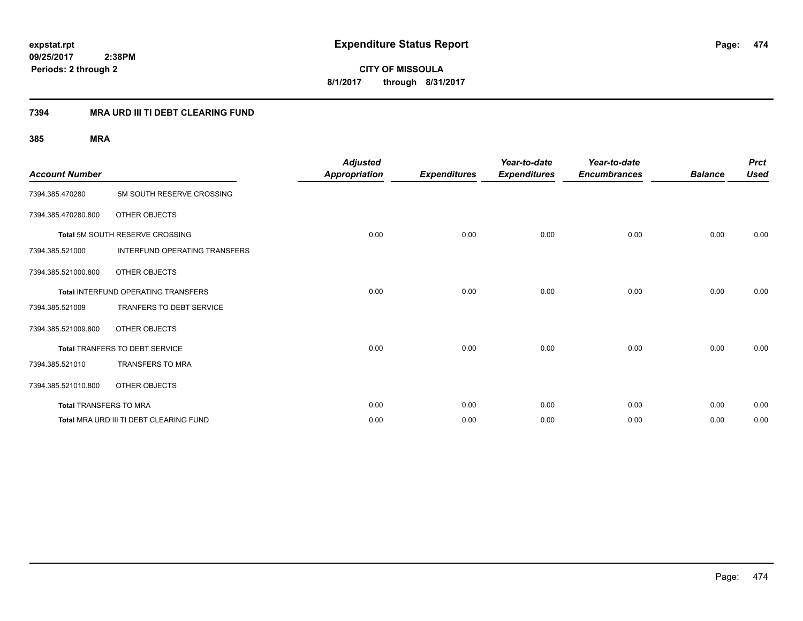## **7394 MRA URD III TI DEBT CLEARING FUND**

| <b>Account Number</b>  |                                            | <b>Adjusted</b><br><b>Appropriation</b> | <b>Expenditures</b> | Year-to-date<br><b>Expenditures</b> | Year-to-date<br><b>Encumbrances</b> | <b>Balance</b> | <b>Prct</b><br><b>Used</b> |
|------------------------|--------------------------------------------|-----------------------------------------|---------------------|-------------------------------------|-------------------------------------|----------------|----------------------------|
| 7394.385.470280        | 5M SOUTH RESERVE CROSSING                  |                                         |                     |                                     |                                     |                |                            |
| 7394.385.470280.800    | OTHER OBJECTS                              |                                         |                     |                                     |                                     |                |                            |
|                        | Total 5M SOUTH RESERVE CROSSING            | 0.00                                    | 0.00                | 0.00                                | 0.00                                | 0.00           | 0.00                       |
| 7394.385.521000        | <b>INTERFUND OPERATING TRANSFERS</b>       |                                         |                     |                                     |                                     |                |                            |
| 7394.385.521000.800    | OTHER OBJECTS                              |                                         |                     |                                     |                                     |                |                            |
|                        | <b>Total INTERFUND OPERATING TRANSFERS</b> | 0.00                                    | 0.00                | 0.00                                | 0.00                                | 0.00           | 0.00                       |
| 7394.385.521009        | <b>TRANFERS TO DEBT SERVICE</b>            |                                         |                     |                                     |                                     |                |                            |
| 7394.385.521009.800    | OTHER OBJECTS                              |                                         |                     |                                     |                                     |                |                            |
|                        | <b>Total TRANFERS TO DEBT SERVICE</b>      | 0.00                                    | 0.00                | 0.00                                | 0.00                                | 0.00           | 0.00                       |
| 7394.385.521010        | <b>TRANSFERS TO MRA</b>                    |                                         |                     |                                     |                                     |                |                            |
| 7394.385.521010.800    | OTHER OBJECTS                              |                                         |                     |                                     |                                     |                |                            |
| Total TRANSFERS TO MRA |                                            | 0.00                                    | 0.00                | 0.00                                | 0.00                                | 0.00           | 0.00                       |
|                        | Total MRA URD III TI DEBT CLEARING FUND    | 0.00                                    | 0.00                | 0.00                                | 0.00                                | 0.00           | 0.00                       |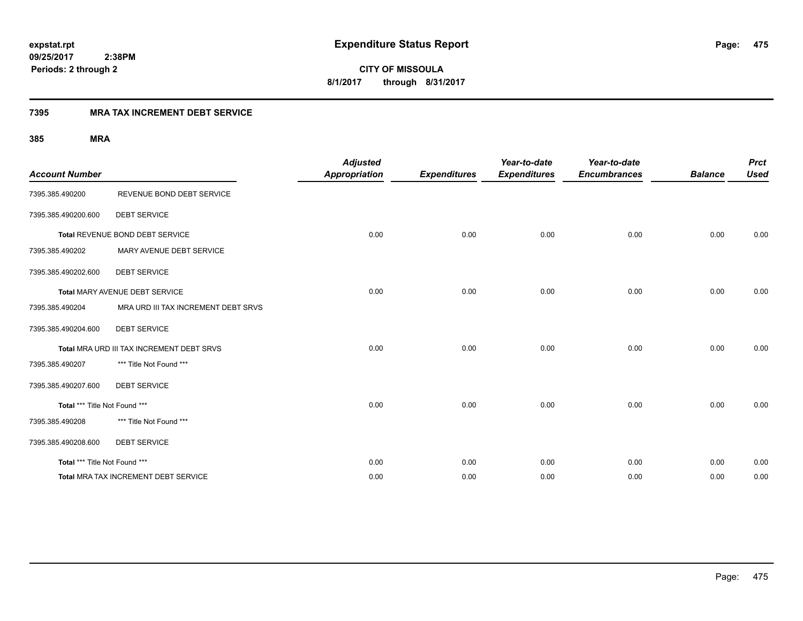**475**

**09/25/2017 2:38PM Periods: 2 through 2**

**CITY OF MISSOULA 8/1/2017 through 8/31/2017**

## **7395 MRA TAX INCREMENT DEBT SERVICE**

| <b>Account Number</b>         |                                           | <b>Adjusted</b><br><b>Appropriation</b> | <b>Expenditures</b> | Year-to-date<br><b>Expenditures</b> | Year-to-date<br><b>Encumbrances</b> | <b>Balance</b> | <b>Prct</b><br><b>Used</b> |
|-------------------------------|-------------------------------------------|-----------------------------------------|---------------------|-------------------------------------|-------------------------------------|----------------|----------------------------|
| 7395.385.490200               | REVENUE BOND DEBT SERVICE                 |                                         |                     |                                     |                                     |                |                            |
| 7395.385.490200.600           | <b>DEBT SERVICE</b>                       |                                         |                     |                                     |                                     |                |                            |
|                               | Total REVENUE BOND DEBT SERVICE           | 0.00                                    | 0.00                | 0.00                                | 0.00                                | 0.00           | 0.00                       |
| 7395.385.490202               | MARY AVENUE DEBT SERVICE                  |                                         |                     |                                     |                                     |                |                            |
| 7395.385.490202.600           | <b>DEBT SERVICE</b>                       |                                         |                     |                                     |                                     |                |                            |
|                               | Total MARY AVENUE DEBT SERVICE            | 0.00                                    | 0.00                | 0.00                                | 0.00                                | 0.00           | 0.00                       |
| 7395.385.490204               | MRA URD III TAX INCREMENT DEBT SRVS       |                                         |                     |                                     |                                     |                |                            |
| 7395.385.490204.600           | <b>DEBT SERVICE</b>                       |                                         |                     |                                     |                                     |                |                            |
|                               | Total MRA URD III TAX INCREMENT DEBT SRVS | 0.00                                    | 0.00                | 0.00                                | 0.00                                | 0.00           | 0.00                       |
| 7395.385.490207               | *** Title Not Found ***                   |                                         |                     |                                     |                                     |                |                            |
| 7395.385.490207.600           | <b>DEBT SERVICE</b>                       |                                         |                     |                                     |                                     |                |                            |
| Total *** Title Not Found *** |                                           | 0.00                                    | 0.00                | 0.00                                | 0.00                                | 0.00           | 0.00                       |
| 7395.385.490208               | *** Title Not Found ***                   |                                         |                     |                                     |                                     |                |                            |
| 7395.385.490208.600           | <b>DEBT SERVICE</b>                       |                                         |                     |                                     |                                     |                |                            |
| Total *** Title Not Found *** |                                           | 0.00                                    | 0.00                | 0.00                                | 0.00                                | 0.00           | 0.00                       |
|                               | Total MRA TAX INCREMENT DEBT SERVICE      | 0.00                                    | 0.00                | 0.00                                | 0.00                                | 0.00           | 0.00                       |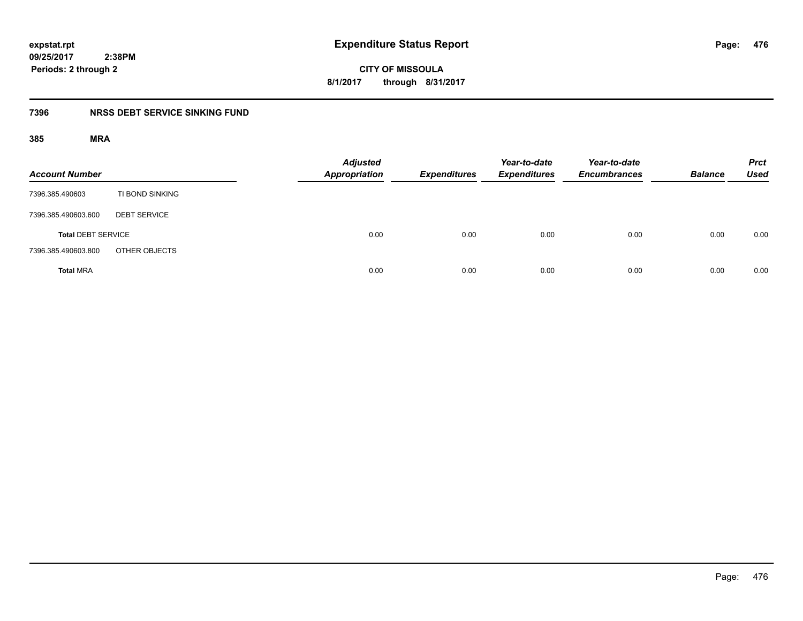**476**

**CITY OF MISSOULA 8/1/2017 through 8/31/2017**

## **7396 NRSS DEBT SERVICE SINKING FUND**

| <b>Account Number</b>     |                     | <b>Adjusted</b><br>Appropriation | <b>Expenditures</b> | Year-to-date<br><b>Expenditures</b> | Year-to-date<br><b>Encumbrances</b> | <b>Balance</b> | <b>Prct</b><br><b>Used</b> |
|---------------------------|---------------------|----------------------------------|---------------------|-------------------------------------|-------------------------------------|----------------|----------------------------|
| 7396.385.490603           | TI BOND SINKING     |                                  |                     |                                     |                                     |                |                            |
| 7396.385.490603.600       | <b>DEBT SERVICE</b> |                                  |                     |                                     |                                     |                |                            |
| <b>Total DEBT SERVICE</b> |                     | 0.00                             | 0.00                | 0.00                                | 0.00                                | 0.00           | 0.00                       |
| 7396.385.490603.800       | OTHER OBJECTS       |                                  |                     |                                     |                                     |                |                            |
| <b>Total MRA</b>          |                     | 0.00                             | 0.00                | 0.00                                | 0.00                                | 0.00           | 0.00                       |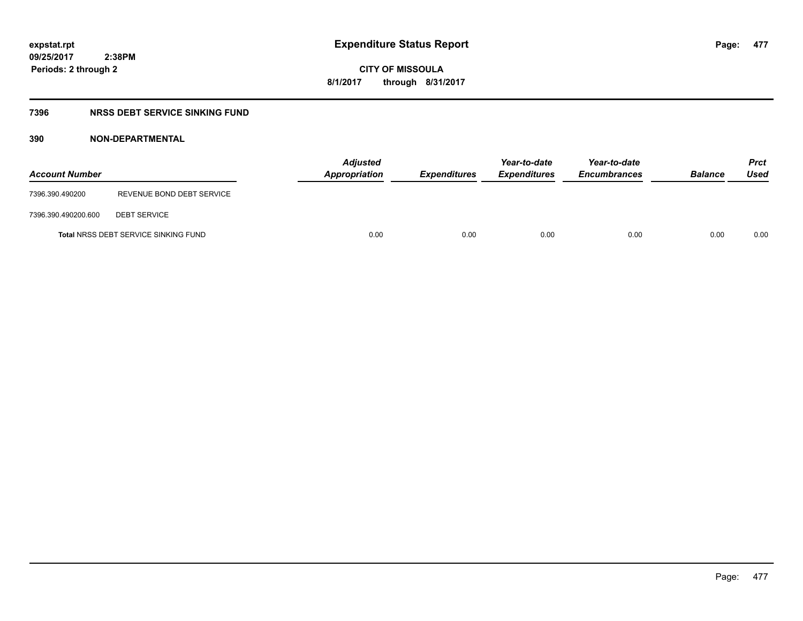**CITY OF MISSOULA 8/1/2017 through 8/31/2017**

## **7396 NRSS DEBT SERVICE SINKING FUND**

## **390 NON-DEPARTMENTAL**

| <b>Account Number</b> |                                             | Appropriation | <b>Adjusted</b> | <b>Expenditures</b> | Year-to-date<br><b>Expenditures</b> | Year-to-date<br><b>Encumbrances</b> | <b>Balance</b> | <b>Prct</b><br>Used |
|-----------------------|---------------------------------------------|---------------|-----------------|---------------------|-------------------------------------|-------------------------------------|----------------|---------------------|
| 7396.390.490200       | REVENUE BOND DEBT SERVICE                   |               |                 |                     |                                     |                                     |                |                     |
| 7396.390.490200.600   | <b>DEBT SERVICE</b>                         |               |                 |                     |                                     |                                     |                |                     |
|                       | <b>Total NRSS DEBT SERVICE SINKING FUND</b> |               | 0.00            | 0.00                | 0.00                                | 0.00                                | 0.00           | 0.00                |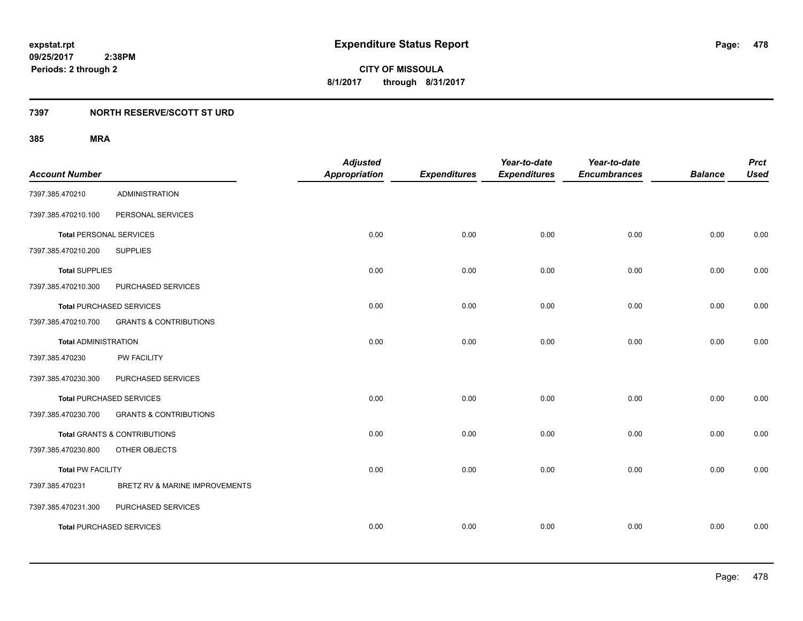## **7397 NORTH RESERVE/SCOTT ST URD**

| <b>Account Number</b>          |                                   | <b>Adjusted</b><br><b>Appropriation</b> | <b>Expenditures</b> | Year-to-date<br><b>Expenditures</b> | Year-to-date<br><b>Encumbrances</b> | <b>Balance</b> | <b>Prct</b><br><b>Used</b> |
|--------------------------------|-----------------------------------|-----------------------------------------|---------------------|-------------------------------------|-------------------------------------|----------------|----------------------------|
| 7397.385.470210                | <b>ADMINISTRATION</b>             |                                         |                     |                                     |                                     |                |                            |
| 7397.385.470210.100            | PERSONAL SERVICES                 |                                         |                     |                                     |                                     |                |                            |
| <b>Total PERSONAL SERVICES</b> |                                   | 0.00                                    | 0.00                | 0.00                                | 0.00                                | 0.00           | 0.00                       |
| 7397.385.470210.200            | <b>SUPPLIES</b>                   |                                         |                     |                                     |                                     |                |                            |
| <b>Total SUPPLIES</b>          |                                   | 0.00                                    | 0.00                | 0.00                                | 0.00                                | 0.00           | 0.00                       |
| 7397.385.470210.300            | PURCHASED SERVICES                |                                         |                     |                                     |                                     |                |                            |
|                                | Total PURCHASED SERVICES          | 0.00                                    | 0.00                | 0.00                                | 0.00                                | 0.00           | 0.00                       |
| 7397.385.470210.700            | <b>GRANTS &amp; CONTRIBUTIONS</b> |                                         |                     |                                     |                                     |                |                            |
| <b>Total ADMINISTRATION</b>    |                                   | 0.00                                    | 0.00                | 0.00                                | 0.00                                | 0.00           | 0.00                       |
| 7397.385.470230                | PW FACILITY                       |                                         |                     |                                     |                                     |                |                            |
| 7397.385.470230.300            | PURCHASED SERVICES                |                                         |                     |                                     |                                     |                |                            |
|                                | <b>Total PURCHASED SERVICES</b>   | 0.00                                    | 0.00                | 0.00                                | 0.00                                | 0.00           | 0.00                       |
| 7397.385.470230.700            | <b>GRANTS &amp; CONTRIBUTIONS</b> |                                         |                     |                                     |                                     |                |                            |
|                                | Total GRANTS & CONTRIBUTIONS      | 0.00                                    | 0.00                | 0.00                                | 0.00                                | 0.00           | 0.00                       |
| 7397.385.470230.800            | OTHER OBJECTS                     |                                         |                     |                                     |                                     |                |                            |
| <b>Total PW FACILITY</b>       |                                   | 0.00                                    | 0.00                | 0.00                                | 0.00                                | 0.00           | 0.00                       |
| 7397.385.470231                | BRETZ RV & MARINE IMPROVEMENTS    |                                         |                     |                                     |                                     |                |                            |
| 7397.385.470231.300            | PURCHASED SERVICES                |                                         |                     |                                     |                                     |                |                            |
|                                | <b>Total PURCHASED SERVICES</b>   | 0.00                                    | 0.00                | 0.00                                | 0.00                                | 0.00           | 0.00                       |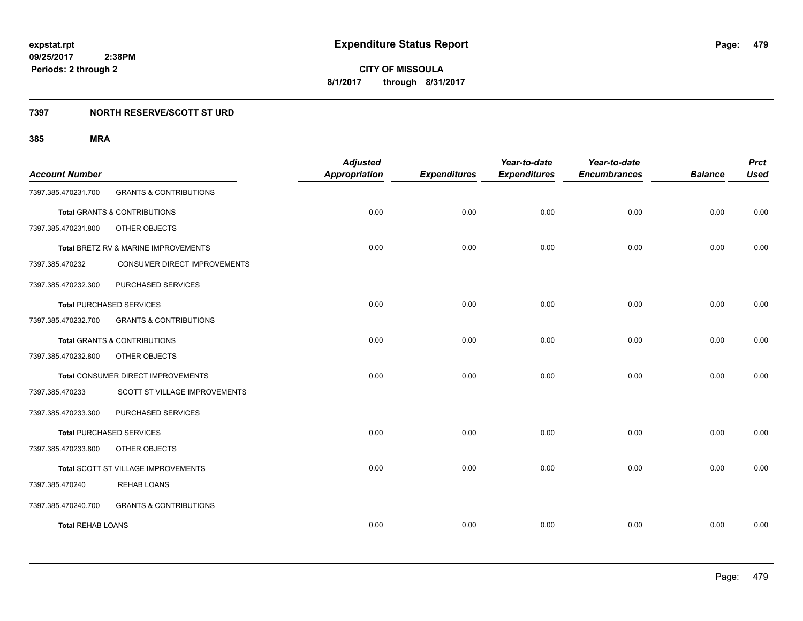## **7397 NORTH RESERVE/SCOTT ST URD**

| <b>Account Number</b>    |                                         | <b>Adjusted</b><br><b>Appropriation</b> | <b>Expenditures</b> | Year-to-date<br><b>Expenditures</b> | Year-to-date<br><b>Encumbrances</b> | <b>Balance</b> | <b>Prct</b><br><b>Used</b> |
|--------------------------|-----------------------------------------|-----------------------------------------|---------------------|-------------------------------------|-------------------------------------|----------------|----------------------------|
| 7397.385.470231.700      | <b>GRANTS &amp; CONTRIBUTIONS</b>       |                                         |                     |                                     |                                     |                |                            |
|                          | <b>Total GRANTS &amp; CONTRIBUTIONS</b> | 0.00                                    | 0.00                | 0.00                                | 0.00                                | 0.00           | 0.00                       |
| 7397.385.470231.800      | OTHER OBJECTS                           |                                         |                     |                                     |                                     |                |                            |
|                          | Total BRETZ RV & MARINE IMPROVEMENTS    | 0.00                                    | 0.00                | 0.00                                | 0.00                                | 0.00           | 0.00                       |
| 7397.385.470232          | CONSUMER DIRECT IMPROVEMENTS            |                                         |                     |                                     |                                     |                |                            |
| 7397.385.470232.300      | PURCHASED SERVICES                      |                                         |                     |                                     |                                     |                |                            |
|                          | <b>Total PURCHASED SERVICES</b>         | 0.00                                    | 0.00                | 0.00                                | 0.00                                | 0.00           | 0.00                       |
| 7397.385.470232.700      | <b>GRANTS &amp; CONTRIBUTIONS</b>       |                                         |                     |                                     |                                     |                |                            |
|                          | <b>Total GRANTS &amp; CONTRIBUTIONS</b> | 0.00                                    | 0.00                | 0.00                                | 0.00                                | 0.00           | 0.00                       |
| 7397.385.470232.800      | OTHER OBJECTS                           |                                         |                     |                                     |                                     |                |                            |
|                          | Total CONSUMER DIRECT IMPROVEMENTS      | 0.00                                    | 0.00                | 0.00                                | 0.00                                | 0.00           | 0.00                       |
| 7397.385.470233          | SCOTT ST VILLAGE IMPROVEMENTS           |                                         |                     |                                     |                                     |                |                            |
| 7397.385.470233.300      | PURCHASED SERVICES                      |                                         |                     |                                     |                                     |                |                            |
|                          | <b>Total PURCHASED SERVICES</b>         | 0.00                                    | 0.00                | 0.00                                | 0.00                                | 0.00           | 0.00                       |
| 7397.385.470233.800      | OTHER OBJECTS                           |                                         |                     |                                     |                                     |                |                            |
|                          | Total SCOTT ST VILLAGE IMPROVEMENTS     | 0.00                                    | 0.00                | 0.00                                | 0.00                                | 0.00           | 0.00                       |
| 7397.385.470240          | <b>REHAB LOANS</b>                      |                                         |                     |                                     |                                     |                |                            |
| 7397.385.470240.700      | <b>GRANTS &amp; CONTRIBUTIONS</b>       |                                         |                     |                                     |                                     |                |                            |
| <b>Total REHAB LOANS</b> |                                         | 0.00                                    | 0.00                | 0.00                                | 0.00                                | 0.00           | 0.00                       |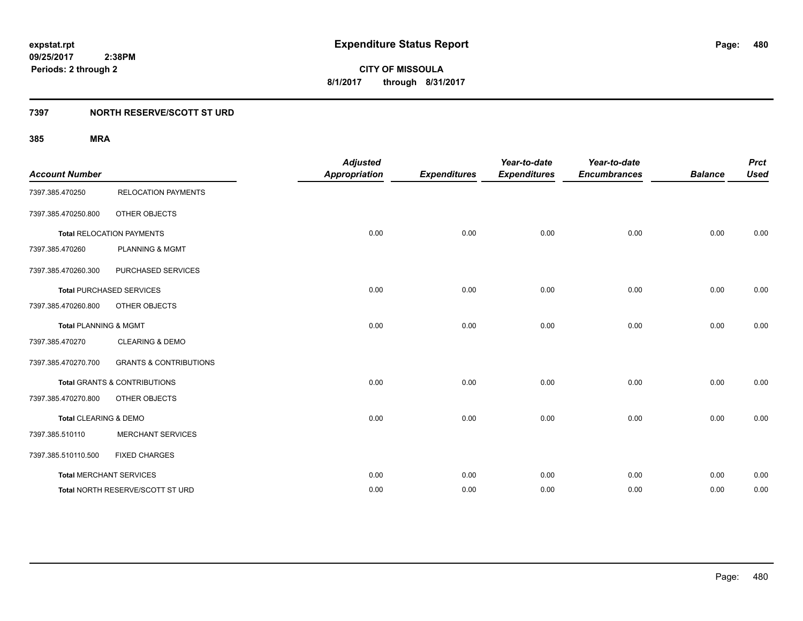## **7397 NORTH RESERVE/SCOTT ST URD**

| <b>Account Number</b>            |                                         | <b>Adjusted</b><br><b>Appropriation</b> | <b>Expenditures</b> | Year-to-date<br><b>Expenditures</b> | Year-to-date<br><b>Encumbrances</b> | <b>Balance</b> | <b>Prct</b><br><b>Used</b> |
|----------------------------------|-----------------------------------------|-----------------------------------------|---------------------|-------------------------------------|-------------------------------------|----------------|----------------------------|
| 7397.385.470250                  | <b>RELOCATION PAYMENTS</b>              |                                         |                     |                                     |                                     |                |                            |
| 7397.385.470250.800              | OTHER OBJECTS                           |                                         |                     |                                     |                                     |                |                            |
|                                  | <b>Total RELOCATION PAYMENTS</b>        | 0.00                                    | 0.00                | 0.00                                | 0.00                                | 0.00           | 0.00                       |
| 7397.385.470260                  | <b>PLANNING &amp; MGMT</b>              |                                         |                     |                                     |                                     |                |                            |
| 7397.385.470260.300              | PURCHASED SERVICES                      |                                         |                     |                                     |                                     |                |                            |
|                                  | <b>Total PURCHASED SERVICES</b>         | 0.00                                    | 0.00                | 0.00                                | 0.00                                | 0.00           | 0.00                       |
| 7397.385.470260.800              | OTHER OBJECTS                           |                                         |                     |                                     |                                     |                |                            |
| <b>Total PLANNING &amp; MGMT</b> |                                         | 0.00                                    | 0.00                | 0.00                                | 0.00                                | 0.00           | 0.00                       |
| 7397.385.470270                  | <b>CLEARING &amp; DEMO</b>              |                                         |                     |                                     |                                     |                |                            |
| 7397.385.470270.700              | <b>GRANTS &amp; CONTRIBUTIONS</b>       |                                         |                     |                                     |                                     |                |                            |
|                                  | <b>Total GRANTS &amp; CONTRIBUTIONS</b> | 0.00                                    | 0.00                | 0.00                                | 0.00                                | 0.00           | 0.00                       |
| 7397.385.470270.800              | OTHER OBJECTS                           |                                         |                     |                                     |                                     |                |                            |
| Total CLEARING & DEMO            |                                         | 0.00                                    | 0.00                | 0.00                                | 0.00                                | 0.00           | 0.00                       |
| 7397.385.510110                  | <b>MERCHANT SERVICES</b>                |                                         |                     |                                     |                                     |                |                            |
| 7397.385.510110.500              | <b>FIXED CHARGES</b>                    |                                         |                     |                                     |                                     |                |                            |
|                                  | <b>Total MERCHANT SERVICES</b>          | 0.00                                    | 0.00                | 0.00                                | 0.00                                | 0.00           | 0.00                       |
|                                  | Total NORTH RESERVE/SCOTT ST URD        | 0.00                                    | 0.00                | 0.00                                | 0.00                                | 0.00           | 0.00                       |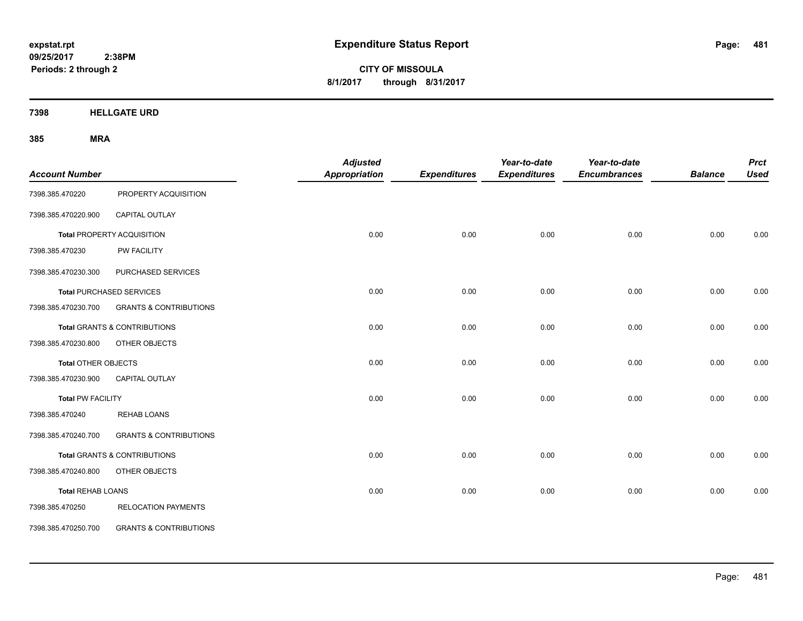**CITY OF MISSOULA 8/1/2017 through 8/31/2017**

**7398 HELLGATE URD**

| <b>Account Number</b>      |                                         | <b>Adjusted</b><br><b>Appropriation</b> | <b>Expenditures</b> | Year-to-date<br><b>Expenditures</b> | Year-to-date<br><b>Encumbrances</b> | <b>Balance</b> | <b>Prct</b><br><b>Used</b> |
|----------------------------|-----------------------------------------|-----------------------------------------|---------------------|-------------------------------------|-------------------------------------|----------------|----------------------------|
| 7398.385.470220            | PROPERTY ACQUISITION                    |                                         |                     |                                     |                                     |                |                            |
| 7398.385.470220.900        | CAPITAL OUTLAY                          |                                         |                     |                                     |                                     |                |                            |
|                            | Total PROPERTY ACQUISITION              | 0.00                                    | 0.00                | 0.00                                | 0.00                                | 0.00           | 0.00                       |
| 7398.385.470230            | PW FACILITY                             |                                         |                     |                                     |                                     |                |                            |
| 7398.385.470230.300        | PURCHASED SERVICES                      |                                         |                     |                                     |                                     |                |                            |
|                            | <b>Total PURCHASED SERVICES</b>         | 0.00                                    | 0.00                | 0.00                                | 0.00                                | 0.00           | 0.00                       |
| 7398.385.470230.700        | <b>GRANTS &amp; CONTRIBUTIONS</b>       |                                         |                     |                                     |                                     |                |                            |
|                            | <b>Total GRANTS &amp; CONTRIBUTIONS</b> | 0.00                                    | 0.00                | 0.00                                | 0.00                                | 0.00           | 0.00                       |
| 7398.385.470230.800        | OTHER OBJECTS                           |                                         |                     |                                     |                                     |                |                            |
| <b>Total OTHER OBJECTS</b> |                                         | 0.00                                    | 0.00                | 0.00                                | 0.00                                | 0.00           | 0.00                       |
| 7398.385.470230.900        | CAPITAL OUTLAY                          |                                         |                     |                                     |                                     |                |                            |
| <b>Total PW FACILITY</b>   |                                         | 0.00                                    | 0.00                | 0.00                                | 0.00                                | 0.00           | 0.00                       |
| 7398.385.470240            | <b>REHAB LOANS</b>                      |                                         |                     |                                     |                                     |                |                            |
| 7398.385.470240.700        | <b>GRANTS &amp; CONTRIBUTIONS</b>       |                                         |                     |                                     |                                     |                |                            |
|                            | <b>Total GRANTS &amp; CONTRIBUTIONS</b> | 0.00                                    | 0.00                | 0.00                                | 0.00                                | 0.00           | 0.00                       |
| 7398.385.470240.800        | OTHER OBJECTS                           |                                         |                     |                                     |                                     |                |                            |
| <b>Total REHAB LOANS</b>   |                                         | 0.00                                    | 0.00                | 0.00                                | 0.00                                | 0.00           | 0.00                       |
| 7398.385.470250            | <b>RELOCATION PAYMENTS</b>              |                                         |                     |                                     |                                     |                |                            |
| 7398.385.470250.700        | <b>GRANTS &amp; CONTRIBUTIONS</b>       |                                         |                     |                                     |                                     |                |                            |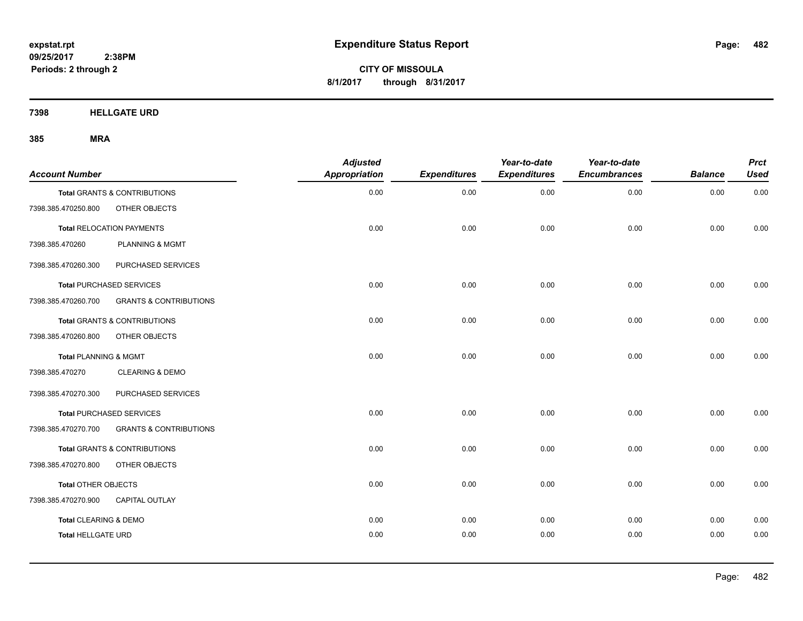**CITY OF MISSOULA 8/1/2017 through 8/31/2017**

**7398 HELLGATE URD**

| <b>Account Number</b>     |                                   | <b>Adjusted</b><br><b>Appropriation</b> | <b>Expenditures</b> | Year-to-date<br><b>Expenditures</b> | Year-to-date<br><b>Encumbrances</b> | <b>Balance</b> | <b>Prct</b><br><b>Used</b> |
|---------------------------|-----------------------------------|-----------------------------------------|---------------------|-------------------------------------|-------------------------------------|----------------|----------------------------|
|                           | Total GRANTS & CONTRIBUTIONS      | 0.00                                    | 0.00                | 0.00                                | 0.00                                | 0.00           | 0.00                       |
| 7398.385.470250.800       | OTHER OBJECTS                     |                                         |                     |                                     |                                     |                |                            |
|                           | <b>Total RELOCATION PAYMENTS</b>  | 0.00                                    | 0.00                | 0.00                                | 0.00                                | 0.00           | 0.00                       |
| 7398.385.470260           | <b>PLANNING &amp; MGMT</b>        |                                         |                     |                                     |                                     |                |                            |
| 7398.385.470260.300       | PURCHASED SERVICES                |                                         |                     |                                     |                                     |                |                            |
|                           | <b>Total PURCHASED SERVICES</b>   | 0.00                                    | 0.00                | 0.00                                | 0.00                                | 0.00           | 0.00                       |
| 7398.385.470260.700       | <b>GRANTS &amp; CONTRIBUTIONS</b> |                                         |                     |                                     |                                     |                |                            |
|                           | Total GRANTS & CONTRIBUTIONS      | 0.00                                    | 0.00                | 0.00                                | 0.00                                | 0.00           | 0.00                       |
| 7398.385.470260.800       | OTHER OBJECTS                     |                                         |                     |                                     |                                     |                |                            |
| Total PLANNING & MGMT     |                                   | 0.00                                    | 0.00                | 0.00                                | 0.00                                | 0.00           | 0.00                       |
| 7398.385.470270           | <b>CLEARING &amp; DEMO</b>        |                                         |                     |                                     |                                     |                |                            |
| 7398.385.470270.300       | PURCHASED SERVICES                |                                         |                     |                                     |                                     |                |                            |
|                           | <b>Total PURCHASED SERVICES</b>   | 0.00                                    | 0.00                | 0.00                                | 0.00                                | 0.00           | 0.00                       |
| 7398.385.470270.700       | <b>GRANTS &amp; CONTRIBUTIONS</b> |                                         |                     |                                     |                                     |                |                            |
|                           | Total GRANTS & CONTRIBUTIONS      | 0.00                                    | 0.00                | 0.00                                | 0.00                                | 0.00           | 0.00                       |
| 7398.385.470270.800       | OTHER OBJECTS                     |                                         |                     |                                     |                                     |                |                            |
| Total OTHER OBJECTS       |                                   | 0.00                                    | 0.00                | 0.00                                | 0.00                                | 0.00           | 0.00                       |
| 7398.385.470270.900       | <b>CAPITAL OUTLAY</b>             |                                         |                     |                                     |                                     |                |                            |
| Total CLEARING & DEMO     |                                   | 0.00                                    | 0.00                | 0.00                                | 0.00                                | 0.00           | 0.00                       |
| <b>Total HELLGATE URD</b> |                                   | 0.00                                    | 0.00                | 0.00                                | 0.00                                | 0.00           | 0.00                       |
|                           |                                   |                                         |                     |                                     |                                     |                |                            |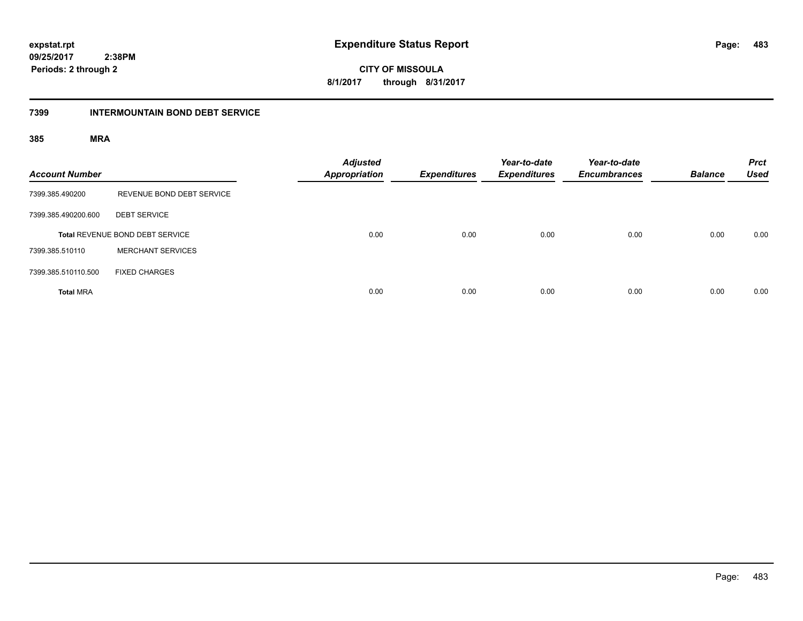**483**

**09/25/2017 2:38PM Periods: 2 through 2**

**CITY OF MISSOULA 8/1/2017 through 8/31/2017**

### **7399 INTERMOUNTAIN BOND DEBT SERVICE**

| <b>Account Number</b> |                                 | <b>Adjusted</b><br><b>Appropriation</b> | <b>Expenditures</b> | Year-to-date<br><b>Expenditures</b> | Year-to-date<br><b>Encumbrances</b> | <b>Balance</b> | <b>Prct</b><br><b>Used</b> |
|-----------------------|---------------------------------|-----------------------------------------|---------------------|-------------------------------------|-------------------------------------|----------------|----------------------------|
| 7399.385.490200       | REVENUE BOND DEBT SERVICE       |                                         |                     |                                     |                                     |                |                            |
| 7399.385.490200.600   | <b>DEBT SERVICE</b>             |                                         |                     |                                     |                                     |                |                            |
|                       | Total REVENUE BOND DEBT SERVICE | 0.00                                    | 0.00                | 0.00                                | 0.00                                | 0.00           | 0.00                       |
| 7399.385.510110       | <b>MERCHANT SERVICES</b>        |                                         |                     |                                     |                                     |                |                            |
| 7399.385.510110.500   | <b>FIXED CHARGES</b>            |                                         |                     |                                     |                                     |                |                            |
| <b>Total MRA</b>      |                                 | 0.00                                    | 0.00                | 0.00                                | 0.00                                | 0.00           | 0.00                       |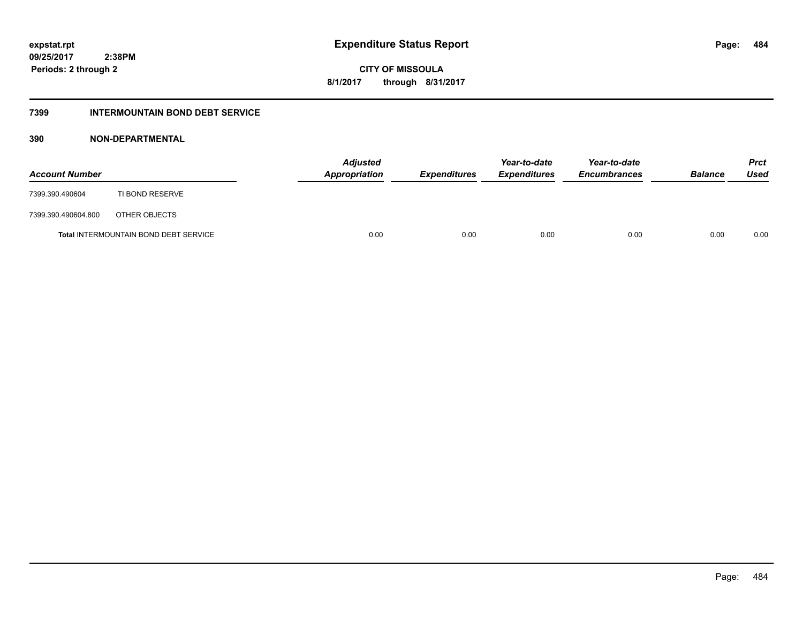**CITY OF MISSOULA 8/1/2017 through 8/31/2017**

## **7399 INTERMOUNTAIN BOND DEBT SERVICE**

## **390 NON-DEPARTMENTAL**

| <b>Account Number</b> |                                              | <b>Adjusted</b><br>Appropriation | <b>Expenditures</b> | Year-to-date<br><i><b>Expenditures</b></i> | Year-to-date<br><b>Encumbrances</b> | <b>Balance</b> | <b>Prct</b><br>Used |
|-----------------------|----------------------------------------------|----------------------------------|---------------------|--------------------------------------------|-------------------------------------|----------------|---------------------|
| 7399.390.490604       | TI BOND RESERVE                              |                                  |                     |                                            |                                     |                |                     |
| 7399.390.490604.800   | OTHER OBJECTS                                |                                  |                     |                                            |                                     |                |                     |
|                       | <b>Total INTERMOUNTAIN BOND DEBT SERVICE</b> | 0.00                             | 0.00                | 0.00                                       | 0.00                                | 0.00           | 0.00                |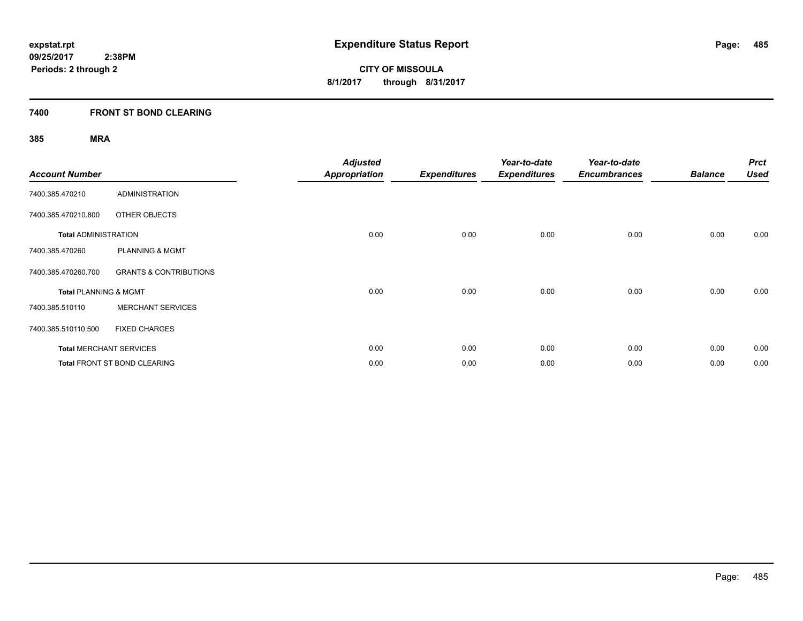## **7400 FRONT ST BOND CLEARING**

| <b>Account Number</b>            |                                     | <b>Adjusted</b><br><b>Appropriation</b> | <b>Expenditures</b> | Year-to-date<br><b>Expenditures</b> | Year-to-date<br><b>Encumbrances</b> | <b>Balance</b> | <b>Prct</b><br><b>Used</b> |
|----------------------------------|-------------------------------------|-----------------------------------------|---------------------|-------------------------------------|-------------------------------------|----------------|----------------------------|
| 7400.385.470210                  | <b>ADMINISTRATION</b>               |                                         |                     |                                     |                                     |                |                            |
| 7400.385.470210.800              | OTHER OBJECTS                       |                                         |                     |                                     |                                     |                |                            |
| <b>Total ADMINISTRATION</b>      |                                     | 0.00                                    | 0.00                | 0.00                                | 0.00                                | 0.00           | 0.00                       |
| 7400.385.470260                  | <b>PLANNING &amp; MGMT</b>          |                                         |                     |                                     |                                     |                |                            |
| 7400.385.470260.700              | <b>GRANTS &amp; CONTRIBUTIONS</b>   |                                         |                     |                                     |                                     |                |                            |
| <b>Total PLANNING &amp; MGMT</b> |                                     | 0.00                                    | 0.00                | 0.00                                | 0.00                                | 0.00           | 0.00                       |
| 7400.385.510110                  | <b>MERCHANT SERVICES</b>            |                                         |                     |                                     |                                     |                |                            |
| 7400.385.510110.500              | <b>FIXED CHARGES</b>                |                                         |                     |                                     |                                     |                |                            |
|                                  | <b>Total MERCHANT SERVICES</b>      | 0.00                                    | 0.00                | 0.00                                | 0.00                                | 0.00           | 0.00                       |
|                                  | <b>Total FRONT ST BOND CLEARING</b> | 0.00                                    | 0.00                | 0.00                                | 0.00                                | 0.00           | 0.00                       |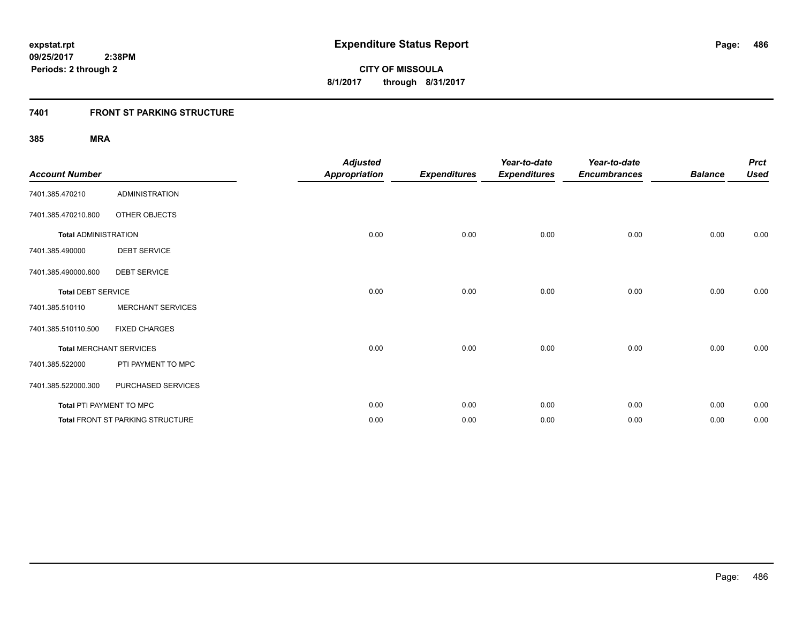## **7401 FRONT ST PARKING STRUCTURE**

| <b>Account Number</b>       |                                  | <b>Adjusted</b><br><b>Appropriation</b> | <b>Expenditures</b> | Year-to-date<br><b>Expenditures</b> | Year-to-date<br><b>Encumbrances</b> | <b>Balance</b> | <b>Prct</b><br><b>Used</b> |
|-----------------------------|----------------------------------|-----------------------------------------|---------------------|-------------------------------------|-------------------------------------|----------------|----------------------------|
| 7401.385.470210             | <b>ADMINISTRATION</b>            |                                         |                     |                                     |                                     |                |                            |
| 7401.385.470210.800         | OTHER OBJECTS                    |                                         |                     |                                     |                                     |                |                            |
| <b>Total ADMINISTRATION</b> |                                  | 0.00                                    | 0.00                | 0.00                                | 0.00                                | 0.00           | 0.00                       |
| 7401.385.490000             | <b>DEBT SERVICE</b>              |                                         |                     |                                     |                                     |                |                            |
| 7401.385.490000.600         | <b>DEBT SERVICE</b>              |                                         |                     |                                     |                                     |                |                            |
| <b>Total DEBT SERVICE</b>   |                                  | 0.00                                    | 0.00                | 0.00                                | 0.00                                | 0.00           | 0.00                       |
| 7401.385.510110             | <b>MERCHANT SERVICES</b>         |                                         |                     |                                     |                                     |                |                            |
| 7401.385.510110.500         | <b>FIXED CHARGES</b>             |                                         |                     |                                     |                                     |                |                            |
|                             | <b>Total MERCHANT SERVICES</b>   | 0.00                                    | 0.00                | 0.00                                | 0.00                                | 0.00           | 0.00                       |
| 7401.385.522000             | PTI PAYMENT TO MPC               |                                         |                     |                                     |                                     |                |                            |
| 7401.385.522000.300         | PURCHASED SERVICES               |                                         |                     |                                     |                                     |                |                            |
| Total PTI PAYMENT TO MPC    |                                  | 0.00                                    | 0.00                | 0.00                                | 0.00                                | 0.00           | 0.00                       |
|                             | Total FRONT ST PARKING STRUCTURE | 0.00                                    | 0.00                | 0.00                                | 0.00                                | 0.00           | 0.00                       |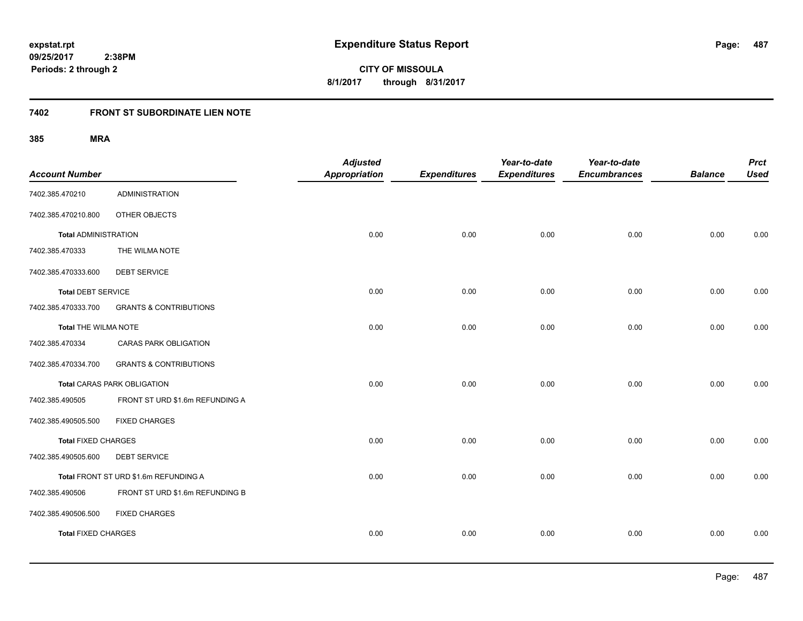**487**

**CITY OF MISSOULA 8/1/2017 through 8/31/2017**

# **7402 FRONT ST SUBORDINATE LIEN NOTE**

| <b>Account Number</b>       |                                       | <b>Adjusted</b><br><b>Appropriation</b> | <b>Expenditures</b> | Year-to-date<br><b>Expenditures</b> | Year-to-date<br><b>Encumbrances</b> | <b>Balance</b> | <b>Prct</b><br><b>Used</b> |
|-----------------------------|---------------------------------------|-----------------------------------------|---------------------|-------------------------------------|-------------------------------------|----------------|----------------------------|
| 7402.385.470210             | <b>ADMINISTRATION</b>                 |                                         |                     |                                     |                                     |                |                            |
| 7402.385.470210.800         | OTHER OBJECTS                         |                                         |                     |                                     |                                     |                |                            |
| <b>Total ADMINISTRATION</b> |                                       | 0.00                                    | 0.00                | 0.00                                | 0.00                                | 0.00           | 0.00                       |
| 7402.385.470333             | THE WILMA NOTE                        |                                         |                     |                                     |                                     |                |                            |
| 7402.385.470333.600         | <b>DEBT SERVICE</b>                   |                                         |                     |                                     |                                     |                |                            |
| <b>Total DEBT SERVICE</b>   |                                       | 0.00                                    | 0.00                | 0.00                                | 0.00                                | 0.00           | 0.00                       |
| 7402.385.470333.700         | <b>GRANTS &amp; CONTRIBUTIONS</b>     |                                         |                     |                                     |                                     |                |                            |
| <b>Total THE WILMA NOTE</b> |                                       | 0.00                                    | 0.00                | 0.00                                | 0.00                                | 0.00           | 0.00                       |
| 7402.385.470334             | <b>CARAS PARK OBLIGATION</b>          |                                         |                     |                                     |                                     |                |                            |
| 7402.385.470334.700         | <b>GRANTS &amp; CONTRIBUTIONS</b>     |                                         |                     |                                     |                                     |                |                            |
|                             | <b>Total CARAS PARK OBLIGATION</b>    | 0.00                                    | 0.00                | 0.00                                | 0.00                                | 0.00           | 0.00                       |
| 7402.385.490505             | FRONT ST URD \$1.6m REFUNDING A       |                                         |                     |                                     |                                     |                |                            |
| 7402.385.490505.500         | <b>FIXED CHARGES</b>                  |                                         |                     |                                     |                                     |                |                            |
| <b>Total FIXED CHARGES</b>  |                                       | 0.00                                    | 0.00                | 0.00                                | 0.00                                | 0.00           | 0.00                       |
| 7402.385.490505.600         | <b>DEBT SERVICE</b>                   |                                         |                     |                                     |                                     |                |                            |
|                             | Total FRONT ST URD \$1.6m REFUNDING A | 0.00                                    | 0.00                | 0.00                                | 0.00                                | 0.00           | 0.00                       |
| 7402.385.490506             | FRONT ST URD \$1.6m REFUNDING B       |                                         |                     |                                     |                                     |                |                            |
| 7402.385.490506.500         | <b>FIXED CHARGES</b>                  |                                         |                     |                                     |                                     |                |                            |
| <b>Total FIXED CHARGES</b>  |                                       | 0.00                                    | 0.00                | 0.00                                | 0.00                                | 0.00           | 0.00                       |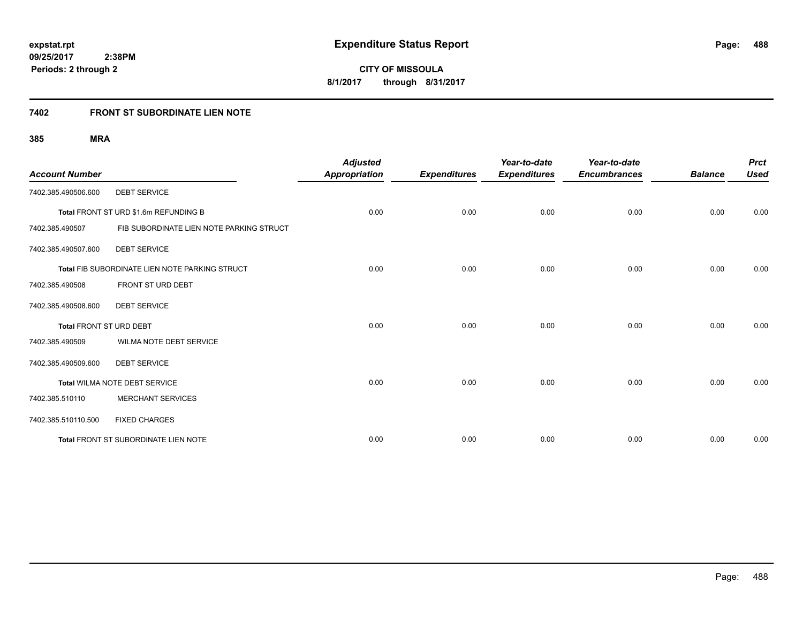**488**

**CITY OF MISSOULA 8/1/2017 through 8/31/2017**

# **7402 FRONT ST SUBORDINATE LIEN NOTE**

| <b>Account Number</b>          |                                                | <b>Adjusted</b><br><b>Appropriation</b> | <b>Expenditures</b> | Year-to-date<br><b>Expenditures</b> | Year-to-date<br><b>Encumbrances</b> | <b>Balance</b> | <b>Prct</b><br><b>Used</b> |
|--------------------------------|------------------------------------------------|-----------------------------------------|---------------------|-------------------------------------|-------------------------------------|----------------|----------------------------|
| 7402.385.490506.600            | <b>DEBT SERVICE</b>                            |                                         |                     |                                     |                                     |                |                            |
|                                | Total FRONT ST URD \$1.6m REFUNDING B          | 0.00                                    | 0.00                | 0.00                                | 0.00                                | 0.00           | 0.00                       |
| 7402.385.490507                | FIB SUBORDINATE LIEN NOTE PARKING STRUCT       |                                         |                     |                                     |                                     |                |                            |
| 7402.385.490507.600            | <b>DEBT SERVICE</b>                            |                                         |                     |                                     |                                     |                |                            |
|                                | Total FIB SUBORDINATE LIEN NOTE PARKING STRUCT | 0.00                                    | 0.00                | 0.00                                | 0.00                                | 0.00           | 0.00                       |
| 7402.385.490508                | FRONT ST URD DEBT                              |                                         |                     |                                     |                                     |                |                            |
| 7402.385.490508.600            | <b>DEBT SERVICE</b>                            |                                         |                     |                                     |                                     |                |                            |
| <b>Total FRONT ST URD DEBT</b> |                                                | 0.00                                    | 0.00                | 0.00                                | 0.00                                | 0.00           | 0.00                       |
| 7402.385.490509                | WILMA NOTE DEBT SERVICE                        |                                         |                     |                                     |                                     |                |                            |
| 7402.385.490509.600            | <b>DEBT SERVICE</b>                            |                                         |                     |                                     |                                     |                |                            |
|                                | Total WILMA NOTE DEBT SERVICE                  | 0.00                                    | 0.00                | 0.00                                | 0.00                                | 0.00           | 0.00                       |
| 7402.385.510110                | <b>MERCHANT SERVICES</b>                       |                                         |                     |                                     |                                     |                |                            |
| 7402.385.510110.500            | <b>FIXED CHARGES</b>                           |                                         |                     |                                     |                                     |                |                            |
|                                | Total FRONT ST SUBORDINATE LIEN NOTE           | 0.00                                    | 0.00                | 0.00                                | 0.00                                | 0.00           | 0.00                       |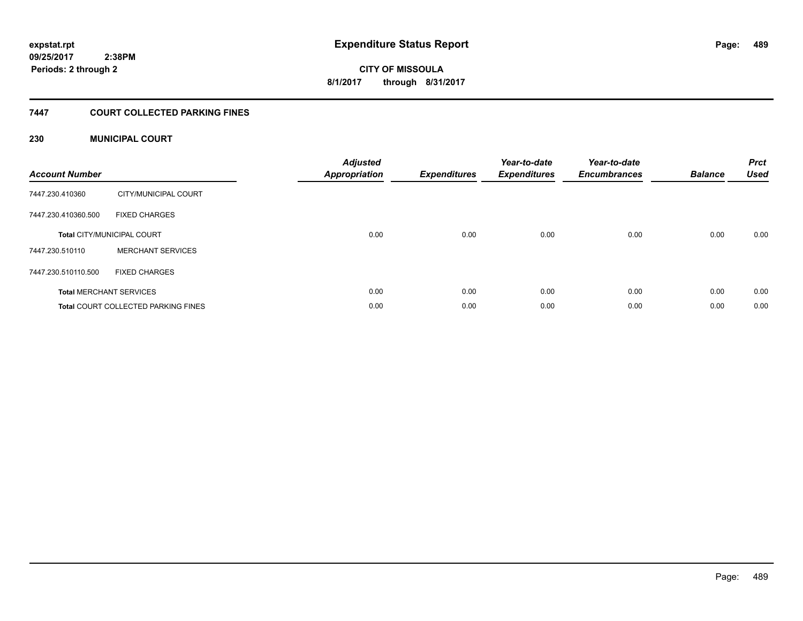**CITY OF MISSOULA 8/1/2017 through 8/31/2017**

## **7447 COURT COLLECTED PARKING FINES**

## **230 MUNICIPAL COURT**

| <b>Account Number</b> |                                            | <b>Adjusted</b><br>Appropriation | <b>Expenditures</b> | Year-to-date<br><b>Expenditures</b> | Year-to-date<br><b>Encumbrances</b> | <b>Balance</b> | <b>Prct</b><br><b>Used</b> |
|-----------------------|--------------------------------------------|----------------------------------|---------------------|-------------------------------------|-------------------------------------|----------------|----------------------------|
| 7447.230.410360       | CITY/MUNICIPAL COURT                       |                                  |                     |                                     |                                     |                |                            |
| 7447.230.410360.500   | <b>FIXED CHARGES</b>                       |                                  |                     |                                     |                                     |                |                            |
|                       | <b>Total CITY/MUNICIPAL COURT</b>          | 0.00                             | 0.00                | 0.00                                | 0.00                                | 0.00           | 0.00                       |
| 7447.230.510110       | <b>MERCHANT SERVICES</b>                   |                                  |                     |                                     |                                     |                |                            |
| 7447.230.510110.500   | <b>FIXED CHARGES</b>                       |                                  |                     |                                     |                                     |                |                            |
|                       | <b>Total MERCHANT SERVICES</b>             | 0.00                             | 0.00                | 0.00                                | 0.00                                | 0.00           | 0.00                       |
|                       | <b>Total COURT COLLECTED PARKING FINES</b> | 0.00                             | 0.00                | 0.00                                | 0.00                                | 0.00           | 0.00                       |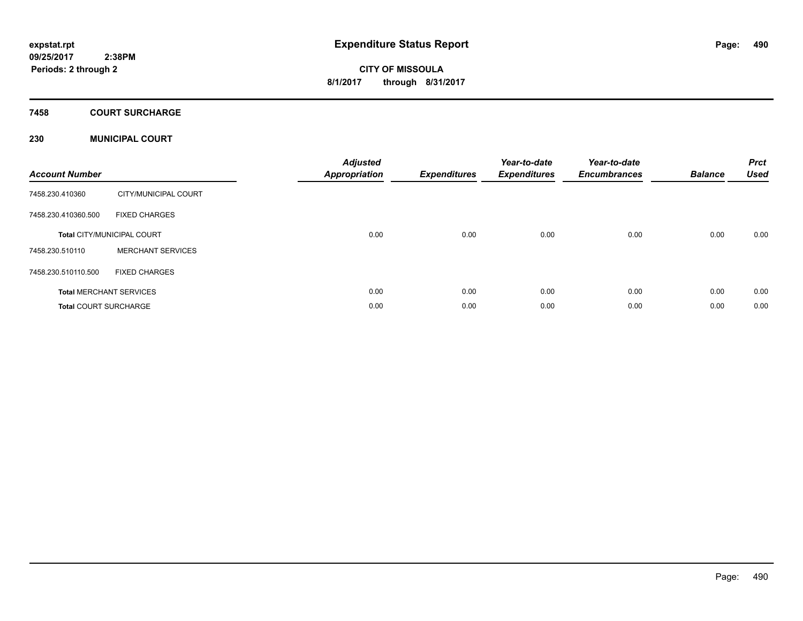**Periods: 2 through 2**

# **CITY OF MISSOULA 8/1/2017 through 8/31/2017**

## **7458 COURT SURCHARGE**

## **230 MUNICIPAL COURT**

| <b>Account Number</b>        |                                   | <b>Adjusted</b><br><b>Appropriation</b> | <b>Expenditures</b> | Year-to-date<br><b>Expenditures</b> | Year-to-date<br><b>Encumbrances</b> | <b>Balance</b> | <b>Prct</b><br><b>Used</b> |
|------------------------------|-----------------------------------|-----------------------------------------|---------------------|-------------------------------------|-------------------------------------|----------------|----------------------------|
| 7458.230.410360              | CITY/MUNICIPAL COURT              |                                         |                     |                                     |                                     |                |                            |
| 7458.230.410360.500          | <b>FIXED CHARGES</b>              |                                         |                     |                                     |                                     |                |                            |
|                              | <b>Total CITY/MUNICIPAL COURT</b> | 0.00                                    | 0.00                | 0.00                                | 0.00                                | 0.00           | 0.00                       |
| 7458.230.510110              | <b>MERCHANT SERVICES</b>          |                                         |                     |                                     |                                     |                |                            |
| 7458.230.510110.500          | <b>FIXED CHARGES</b>              |                                         |                     |                                     |                                     |                |                            |
|                              | <b>Total MERCHANT SERVICES</b>    | 0.00                                    | 0.00                | 0.00                                | 0.00                                | 0.00           | 0.00                       |
| <b>Total COURT SURCHARGE</b> |                                   | 0.00                                    | 0.00                | 0.00                                | 0.00                                | 0.00           | 0.00                       |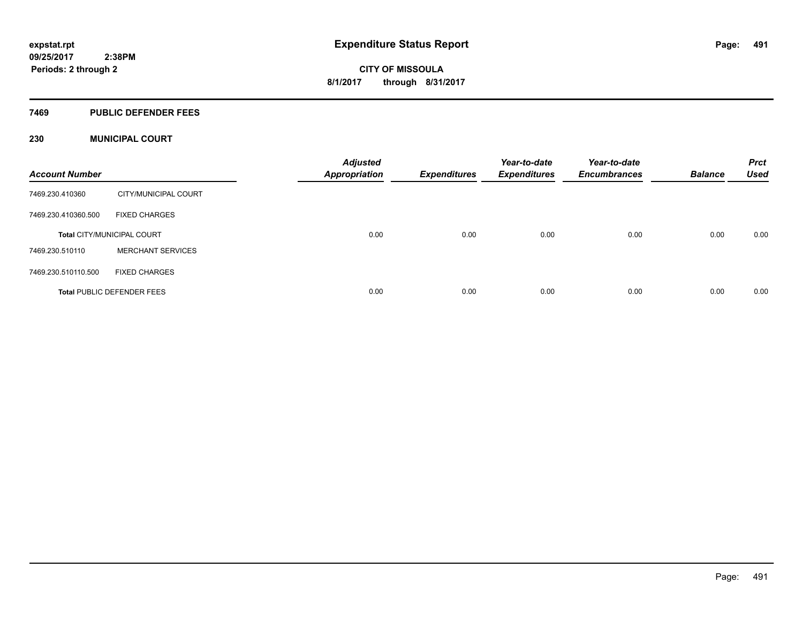### **7469 PUBLIC DEFENDER FEES**

## **230 MUNICIPAL COURT**

| <b>Account Number</b> |                                   | <b>Adjusted</b><br><b>Appropriation</b> | <b>Expenditures</b> | Year-to-date<br><b>Expenditures</b> | Year-to-date<br><b>Encumbrances</b> | <b>Balance</b> | <b>Prct</b><br><b>Used</b> |
|-----------------------|-----------------------------------|-----------------------------------------|---------------------|-------------------------------------|-------------------------------------|----------------|----------------------------|
| 7469.230.410360       | CITY/MUNICIPAL COURT              |                                         |                     |                                     |                                     |                |                            |
| 7469.230.410360.500   | <b>FIXED CHARGES</b>              |                                         |                     |                                     |                                     |                |                            |
|                       | <b>Total CITY/MUNICIPAL COURT</b> | 0.00                                    | 0.00                | 0.00                                | 0.00                                | 0.00           | 0.00                       |
| 7469.230.510110       | <b>MERCHANT SERVICES</b>          |                                         |                     |                                     |                                     |                |                            |
| 7469.230.510110.500   | <b>FIXED CHARGES</b>              |                                         |                     |                                     |                                     |                |                            |
|                       | <b>Total PUBLIC DEFENDER FEES</b> | 0.00                                    | 0.00                | 0.00                                | 0.00                                | 0.00           | 0.00                       |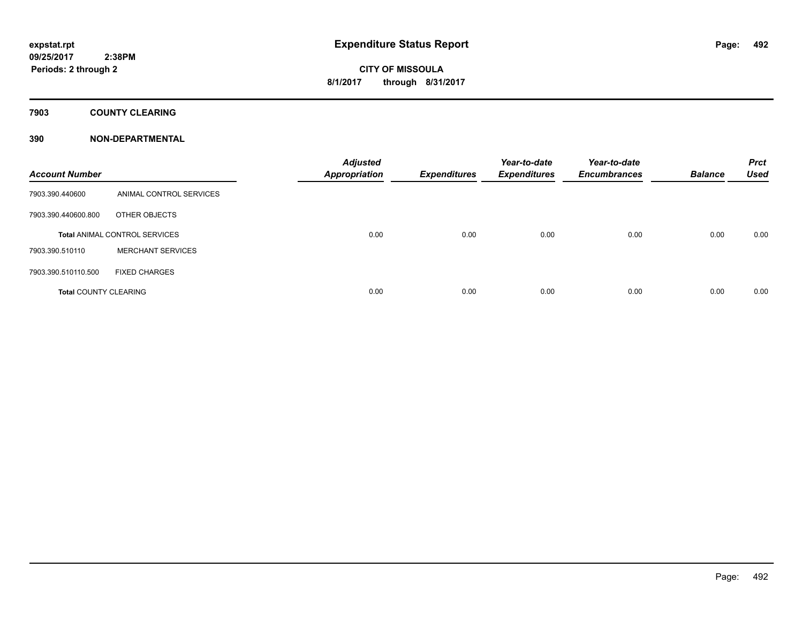## **7903 COUNTY CLEARING**

## **390 NON-DEPARTMENTAL**

| <b>Account Number</b>        |                                      | <b>Adjusted</b><br><b>Appropriation</b> | <b>Expenditures</b> | Year-to-date<br><b>Expenditures</b> | Year-to-date<br><b>Encumbrances</b> | <b>Balance</b> | <b>Prct</b><br><b>Used</b> |
|------------------------------|--------------------------------------|-----------------------------------------|---------------------|-------------------------------------|-------------------------------------|----------------|----------------------------|
| 7903.390.440600              | ANIMAL CONTROL SERVICES              |                                         |                     |                                     |                                     |                |                            |
| 7903.390.440600.800          | OTHER OBJECTS                        |                                         |                     |                                     |                                     |                |                            |
|                              | <b>Total ANIMAL CONTROL SERVICES</b> | 0.00                                    | 0.00                | 0.00                                | 0.00                                | 0.00           | 0.00                       |
| 7903.390.510110              | <b>MERCHANT SERVICES</b>             |                                         |                     |                                     |                                     |                |                            |
| 7903.390.510110.500          | <b>FIXED CHARGES</b>                 |                                         |                     |                                     |                                     |                |                            |
| <b>Total COUNTY CLEARING</b> |                                      | 0.00                                    | 0.00                | 0.00                                | 0.00                                | 0.00           | 0.00                       |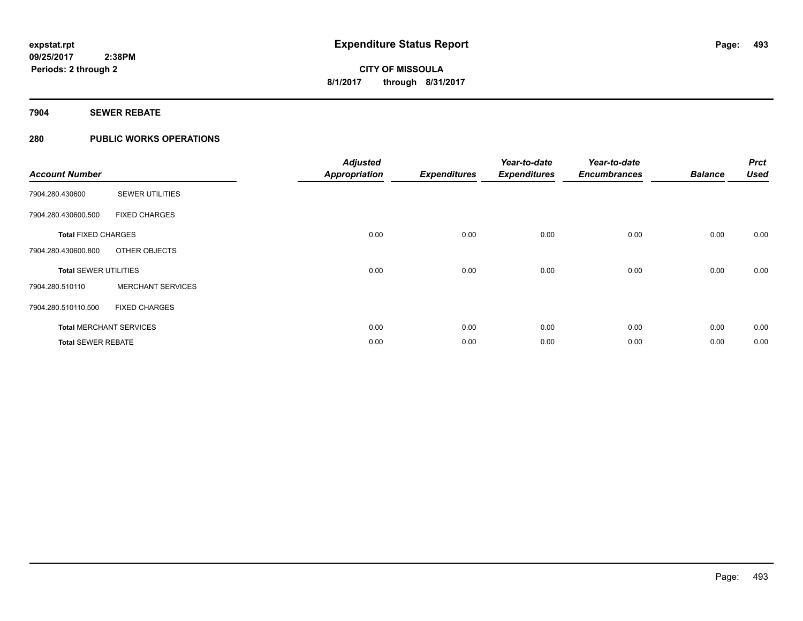## **7904 SEWER REBATE**

## **280 PUBLIC WORKS OPERATIONS**

| <b>Account Number</b>          |                          | <b>Adjusted</b><br><b>Appropriation</b> | <b>Expenditures</b> | Year-to-date<br><b>Expenditures</b> | Year-to-date<br><b>Encumbrances</b> | <b>Balance</b> | <b>Prct</b><br><b>Used</b> |
|--------------------------------|--------------------------|-----------------------------------------|---------------------|-------------------------------------|-------------------------------------|----------------|----------------------------|
| 7904.280.430600                | <b>SEWER UTILITIES</b>   |                                         |                     |                                     |                                     |                |                            |
| 7904.280.430600.500            | <b>FIXED CHARGES</b>     |                                         |                     |                                     |                                     |                |                            |
| <b>Total FIXED CHARGES</b>     |                          | 0.00                                    | 0.00                | 0.00                                | 0.00                                | 0.00           | 0.00                       |
| 7904.280.430600.800            | OTHER OBJECTS            |                                         |                     |                                     |                                     |                |                            |
| <b>Total SEWER UTILITIES</b>   |                          | 0.00                                    | 0.00                | 0.00                                | 0.00                                | 0.00           | 0.00                       |
| 7904.280.510110                | <b>MERCHANT SERVICES</b> |                                         |                     |                                     |                                     |                |                            |
| 7904.280.510110.500            | <b>FIXED CHARGES</b>     |                                         |                     |                                     |                                     |                |                            |
| <b>Total MERCHANT SERVICES</b> |                          | 0.00                                    | 0.00                | 0.00                                | 0.00                                | 0.00           | 0.00                       |
| <b>Total SEWER REBATE</b>      |                          | 0.00                                    | 0.00                | 0.00                                | 0.00                                | 0.00           | 0.00                       |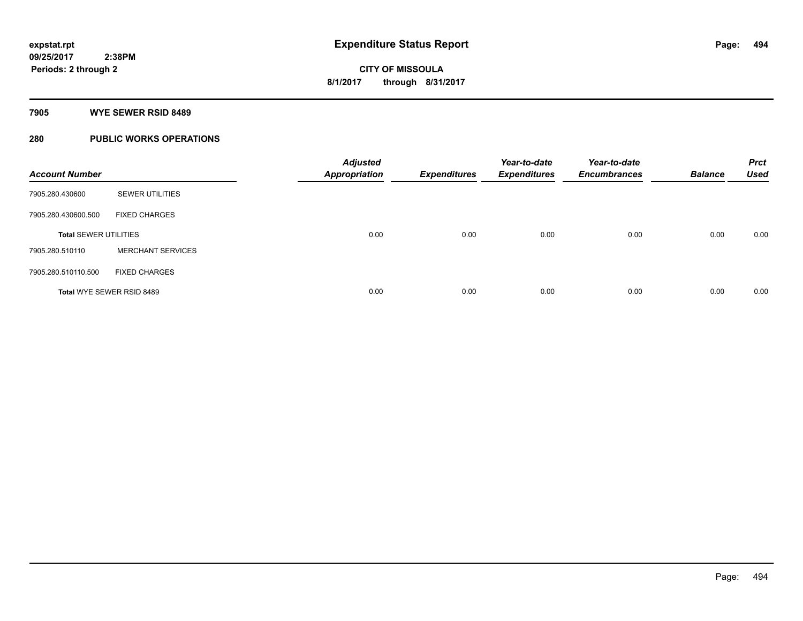#### **7905 WYE SEWER RSID 8489**

## **280 PUBLIC WORKS OPERATIONS**

| <b>Account Number</b>            |                          | <b>Adjusted</b><br><b>Appropriation</b> | <b>Expenditures</b> | Year-to-date<br><b>Expenditures</b> | Year-to-date<br><b>Encumbrances</b> | <b>Balance</b> | <b>Prct</b><br><b>Used</b> |
|----------------------------------|--------------------------|-----------------------------------------|---------------------|-------------------------------------|-------------------------------------|----------------|----------------------------|
| 7905.280.430600                  | <b>SEWER UTILITIES</b>   |                                         |                     |                                     |                                     |                |                            |
| 7905.280.430600.500              | <b>FIXED CHARGES</b>     |                                         |                     |                                     |                                     |                |                            |
| <b>Total SEWER UTILITIES</b>     |                          | 0.00                                    | 0.00                | 0.00                                | 0.00                                | 0.00           | 0.00                       |
| 7905.280.510110                  | <b>MERCHANT SERVICES</b> |                                         |                     |                                     |                                     |                |                            |
| 7905.280.510110.500              | <b>FIXED CHARGES</b>     |                                         |                     |                                     |                                     |                |                            |
| <b>Total WYE SEWER RSID 8489</b> |                          | 0.00                                    | 0.00                | 0.00                                | 0.00                                | 0.00           | 0.00                       |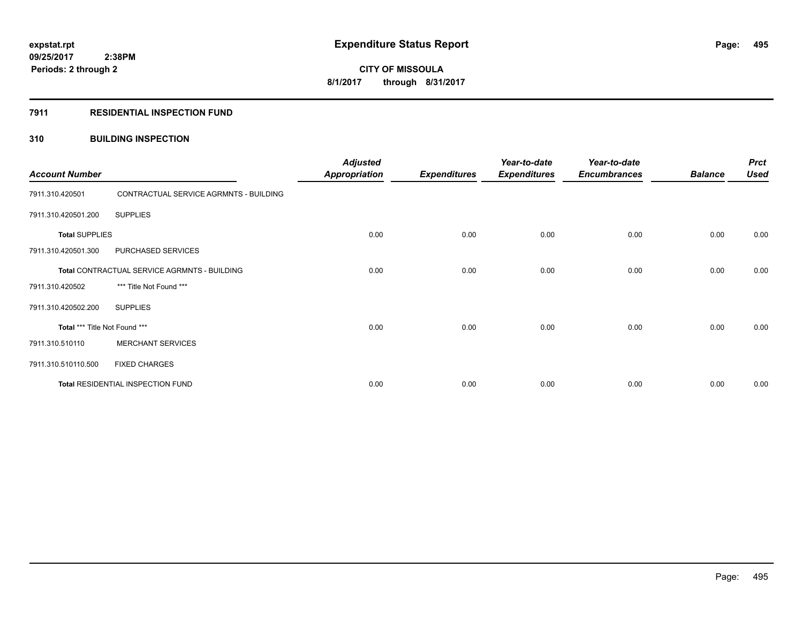### **7911 RESIDENTIAL INSPECTION FUND**

## **310 BUILDING INSPECTION**

| <b>Account Number</b>                        |                                        | <b>Adjusted</b><br><b>Appropriation</b> | <b>Expenditures</b> | Year-to-date<br><b>Expenditures</b> | Year-to-date<br><b>Encumbrances</b> | <b>Balance</b> | <b>Prct</b><br><b>Used</b> |
|----------------------------------------------|----------------------------------------|-----------------------------------------|---------------------|-------------------------------------|-------------------------------------|----------------|----------------------------|
| 7911.310.420501                              | CONTRACTUAL SERVICE AGRMNTS - BUILDING |                                         |                     |                                     |                                     |                |                            |
| 7911.310.420501.200                          | <b>SUPPLIES</b>                        |                                         |                     |                                     |                                     |                |                            |
| <b>Total SUPPLIES</b>                        |                                        | 0.00                                    | 0.00                | 0.00                                | 0.00                                | 0.00           | 0.00                       |
| 7911.310.420501.300                          | PURCHASED SERVICES                     |                                         |                     |                                     |                                     |                |                            |
| Total CONTRACTUAL SERVICE AGRMNTS - BUILDING |                                        | 0.00                                    | 0.00                | 0.00                                | 0.00                                | 0.00           | 0.00                       |
| 7911.310.420502                              | *** Title Not Found ***                |                                         |                     |                                     |                                     |                |                            |
| 7911.310.420502.200                          | <b>SUPPLIES</b>                        |                                         |                     |                                     |                                     |                |                            |
| Total *** Title Not Found ***                |                                        | 0.00                                    | 0.00                | 0.00                                | 0.00                                | 0.00           | 0.00                       |
| 7911.310.510110                              | <b>MERCHANT SERVICES</b>               |                                         |                     |                                     |                                     |                |                            |
| 7911.310.510110.500                          | <b>FIXED CHARGES</b>                   |                                         |                     |                                     |                                     |                |                            |
| Total RESIDENTIAL INSPECTION FUND            |                                        | 0.00                                    | 0.00                | 0.00                                | 0.00                                | 0.00           | 0.00                       |